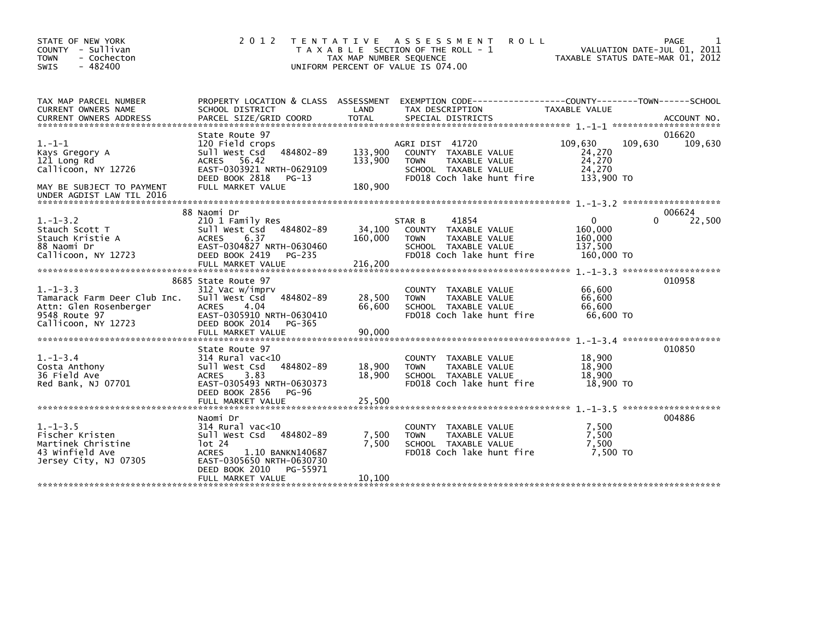| TAX MAP PARCEL NUMBER<br>PROPERTY LOCATION & CLASS ASSESSMENT EXEMPTION CODE---------------COUNTY-------TOWN------SCHOOL<br>LAND<br>CURRENT OWNERS NAME<br>SCHOOL DISTRICT<br>TAX DESCRIPTION<br>TAXABLE VALUE<br>PARCEL SIZE/GRID COORD<br><b>TOTAL</b><br><b>CURRENT OWNERS ADDRESS</b><br>SPECIAL DISTRICTS<br>ACCOUNT NO.<br>016620<br>State Route 97<br>$1. - 1 - 1$<br>109,630<br>109,630<br>109,630<br>120 Field crops<br>AGRI DIST 41720<br>484802-89<br>133,900<br>sull west Csd<br>24,270<br>Kays Gregory A<br>COUNTY TAXABLE VALUE<br>24,270<br>ACRES 56.42<br>133,900<br>121 Long Rd<br>TAXABLE VALUE<br><b>TOWN</b><br>Callicoon, NY 12726<br>EAST-0303921 NRTH-0629109<br>SCHOOL TAXABLE VALUE<br>24,270<br>DEED BOOK 2818<br>FD018 Coch lake hunt fire<br>133,900 TO<br>$PG-13$<br>FULL MARKET VALUE<br>180,900<br>MAY BE SUBJECT TO PAYMENT | STATE OF NEW YORK<br>COUNTY - Sullivan<br>- Cochecton<br><b>TOWN</b><br>$-482400$<br><b>SWIS</b> | 2 0 1 2 | T E N T A T I V E<br>TAX MAP NUMBER SEQUENCE | A S S E S S M E N T<br><b>ROLL</b><br>T A X A B L E SECTION OF THE ROLL - 1<br>UNIFORM PERCENT OF VALUE IS 074.00 | TAXABLE STATUS DATE-MAR 01, 2012 | PAGE<br>VALUATION DATE-JUL 01, 2011 |
|-------------------------------------------------------------------------------------------------------------------------------------------------------------------------------------------------------------------------------------------------------------------------------------------------------------------------------------------------------------------------------------------------------------------------------------------------------------------------------------------------------------------------------------------------------------------------------------------------------------------------------------------------------------------------------------------------------------------------------------------------------------------------------------------------------------------------------------------------------------|--------------------------------------------------------------------------------------------------|---------|----------------------------------------------|-------------------------------------------------------------------------------------------------------------------|----------------------------------|-------------------------------------|
|                                                                                                                                                                                                                                                                                                                                                                                                                                                                                                                                                                                                                                                                                                                                                                                                                                                             |                                                                                                  |         |                                              |                                                                                                                   |                                  |                                     |
| UNDER AGDIST LAW TIL 2016                                                                                                                                                                                                                                                                                                                                                                                                                                                                                                                                                                                                                                                                                                                                                                                                                                   |                                                                                                  |         |                                              |                                                                                                                   |                                  |                                     |
| 88 Naomi Dr<br>006624<br>$1. - 1 - 3.2$<br>210 1 Family Res<br>41854<br>0<br>$\Omega$<br>22,500<br>STAR B<br>sull west Csd<br>34,100<br>TAXABLE VALUE<br>160,000<br>Stauch Scott T<br>484802-89<br><b>COUNTY</b><br>160,000<br>Stauch Kristie A<br>6.37<br>160,000<br>TAXABLE VALUE<br><b>ACRES</b><br><b>TOWN</b><br>88 Naomi Dr<br>137,500<br>EAST-0304827 NRTH-0630460<br>SCHOOL TAXABLE VALUE<br>FD018 Coch lake hunt fire<br>Callicoon, NY 12723<br>DEED BOOK 2419<br>PG-235<br>160,000 TO<br>FULL MARKET VALUE<br>216,200                                                                                                                                                                                                                                                                                                                             |                                                                                                  |         |                                              |                                                                                                                   |                                  |                                     |
| 010958<br>8685 State Route 97<br>$1. - 1 - 3.3$<br>312 Vac w/imprv<br>66,600<br>COUNTY TAXABLE VALUE<br>484802-89<br>28,500<br>66.600<br>Tamarack Farm Deer Club Inc.<br>Sull West Csd<br><b>TOWN</b><br>TAXABLE VALUE<br>4.04<br>66,600<br>66,600<br>Attn: Glen Rosenberger<br><b>ACRES</b><br>SCHOOL TAXABLE VALUE<br>FD018 Coch lake hunt fire<br>9548 Route 97<br>EAST-0305910 NRTH-0630410<br>66.600 TO<br>Callicoon, NY 12723<br>DEED BOOK 2014<br>PG-365<br>FULL MARKET VALUE<br>90,000                                                                                                                                                                                                                                                                                                                                                              |                                                                                                  |         |                                              |                                                                                                                   |                                  |                                     |
| 010850<br>State Route 97<br>$1. - 1 - 3.4$<br>$314$ Rural vac<10<br>18,900<br><b>COUNTY</b><br>TAXABLE VALUE<br>18,900<br>Sull West Csd<br>484802-89<br>Costa Anthony<br>18,900<br>TAXABLE VALUE<br><b>TOWN</b><br>18,900<br>3.83<br>18,900<br>36 Field Ave<br><b>ACRES</b><br>SCHOOL TAXABLE VALUE<br>Red Bank, NJ 07701<br>EAST-0305493 NRTH-0630373<br>FD018 Coch lake hunt fire<br>18,900 TO<br>DEED BOOK 2856<br>PG-96<br>25,500<br>FULL MARKET VALUE                                                                                                                                                                                                                                                                                                                                                                                                  |                                                                                                  |         |                                              |                                                                                                                   |                                  |                                     |
| 004886<br>Naomi Dr<br>$1.-1-3.5$<br>314 Rural vac<10<br>7,500<br>COUNTY TAXABLE VALUE<br>Sull West Csd 484802-89<br>7,500<br>7,500<br>Fischer Kristen<br><b>TOWN</b><br>TAXABLE VALUE<br>7.500<br>Martinek Christine<br>lot 24<br>7,500<br>SCHOOL TAXABLE VALUE<br>7,500 TO<br>43 Winfield Ave<br><b>ACRES</b><br>1.10 BANKN140687<br>FD018 Coch lake hunt fire<br>Jersey City, NJ 07305<br>EAST-0305650 NRTH-0630730<br>DEED BOOK 2010<br>PG-55971<br>FULL MARKET VALUE<br>10,100                                                                                                                                                                                                                                                                                                                                                                          |                                                                                                  |         |                                              |                                                                                                                   |                                  |                                     |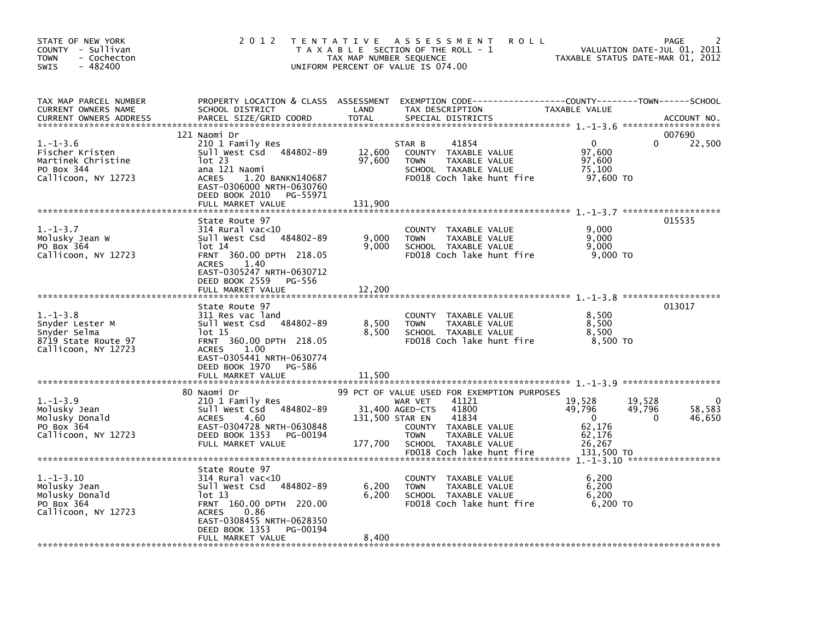| STATE OF NEW YORK<br>COUNTY - Sullivan<br><b>TOWN</b><br>- Cochecton<br><b>SWIS</b><br>$-482400$ | 2 0 1 2                                                                                                                                                                                                       | TAX MAP NUMBER SEQUENCE     | TENTATIVE ASSESSMENT<br><b>ROLL</b><br>T A X A B L E SECTION OF THE ROLL - 1<br>UNIFORM PERCENT OF VALUE IS 074.00                                                                                                |                                                                          | <b>PAGE</b><br>VALUATION DATE-JUL 01, 2011<br>TAXABLE STATUS DATE-MAR 01, 2012 |
|--------------------------------------------------------------------------------------------------|---------------------------------------------------------------------------------------------------------------------------------------------------------------------------------------------------------------|-----------------------------|-------------------------------------------------------------------------------------------------------------------------------------------------------------------------------------------------------------------|--------------------------------------------------------------------------|--------------------------------------------------------------------------------|
| TAX MAP PARCEL NUMBER<br>CURRENT OWNERS NAME<br><b>CURRENT OWNERS ADDRESS</b>                    | SCHOOL DISTRICT<br>PARCEL SIZE/GRID COORD                                                                                                                                                                     | LAND<br><b>TOTAL</b>        | PROPERTY LOCATION & CLASS ASSESSMENT EXEMPTION CODE----------------COUNTY-------TOWN------SCHOOL<br>TAX DESCRIPTION<br>SPECIAL DISTRICTS                                                                          | TAXABLE VALUE                                                            | ACCOUNT NO.                                                                    |
| $1. - 1 - 3.6$<br>Fischer Kristen<br>Martinek Christine<br>PO Box 344<br>Callicoon, NY 12723     | 121 Naomi Dr<br>210 1 Family Res<br>Sull West Csd 484802-89<br>$1$ ot 23<br>ana 121 Naomi<br>1.20 BANKN140687<br><b>ACRES</b><br>EAST-0306000 NRTH-0630760<br>DEED BOOK 2010<br>PG-55971<br>FULL MARKET VALUE | 12,600<br>97,600<br>131,900 | STAR B<br>41854<br>COUNTY TAXABLE VALUE<br>TAXABLE VALUE<br><b>TOWN</b><br>SCHOOL TAXABLE VALUE<br>FD018 Coch lake hunt fire                                                                                      | $\mathbf{0}$<br>97,600<br>97,600<br>75,100<br>97,600 TO                  | 007690<br>22,500<br>$\Omega$                                                   |
| $1. - 1 - 3.7$<br>Molusky Jean W<br>PO Box 364<br>Callicoon, NY 12723                            | State Route 97<br>$314$ Rural vac<10<br>Sull West Csd 484802-89<br>lot 14<br>FRNT 360.00 DPTH 218.05<br><b>ACRES</b><br>1.40<br>EAST-0305247 NRTH-0630712                                                     | 9,000<br>9,000              | COUNTY<br>TAXABLE VALUE<br>TAXABLE VALUE<br><b>TOWN</b><br>SCHOOL TAXABLE VALUE<br>FD018 Coch lake hunt fire                                                                                                      | 9,000<br>9,000<br>9,000<br>9,000 TO                                      | 015535                                                                         |
| $1. - 1 - 3.8$<br>Snyder Lester M<br>Snyder Selma                                                | DEED BOOK 2559 PG-556<br>FULL MARKET VALUE<br>State Route 97<br>311 Res vac land<br>Sull West Csd 484802-89<br>lot 15                                                                                         | 12,200<br>8,500<br>8,500    | COUNTY TAXABLE VALUE<br>TAXABLE VALUE<br><b>TOWN</b><br>SCHOOL TAXABLE VALUE                                                                                                                                      | 8,500<br>8,500<br>8,500                                                  | 013017                                                                         |
| 8719 State Route 97<br>Callicoon, NY 12723                                                       | FRNT 360.00 DPTH 218.05<br><b>ACRES</b><br>1.00<br>EAST-0305441 NRTH-0630774<br>DEED BOOK 1970<br>PG-586<br>FULL MARKET VALUE                                                                                 | 11,500                      | FD018 Coch lake hunt fire                                                                                                                                                                                         | 8,500 TO                                                                 |                                                                                |
| $1. - 1 - 3.9$<br>Molusky Jean<br>Molusky Donald<br>PO Box 364<br>Callicoon, NY 12723            | 80 Naomi Dr<br>210 1 Family Res<br>484802-89<br>Sull West Csd<br><b>ACRES</b><br>4.60<br>EAST-0304728 NRTH-0630848<br>DEED BOOK 1353<br>PG-00194<br>FULL MARKET VALUE                                         | 131,500 STAR EN<br>177,700  | 99 PCT OF VALUE USED FOR EXEMPTION PURPOSES<br>WAR VET<br>41121<br>41800<br>31,400 AGED-CTS<br>41834<br>COUNTY TAXABLE VALUE<br>TAXABLE VALUE<br><b>TOWN</b><br>SCHOOL TAXABLE VALUE<br>FD018 Coch lake hunt fire | 19,528<br>49,796<br>$\Omega$<br>62,176<br>62,176<br>26,267<br>131,500 TO | $\Omega$<br>19,528<br>49,796<br>58,583<br>46,650<br>$\mathbf{0}$               |
| $1.-1-3.10$<br>Molusky Jean<br>Molusky Donald<br>PO Box 364<br>Callicoon, NY 12723               | State Route 97<br>$314$ Rural vac<10<br>Sull West Csd 484802-89<br>lot 13<br>FRNT 160.00 DPTH 220.00<br><b>ACRES</b><br>0.86<br>EAST-0308455 NRTH-0628350<br>DEED BOOK 1353<br>PG-00194                       | 6,200<br>6,200              | COUNTY TAXABLE VALUE<br><b>TOWN</b><br>TAXABLE VALUE<br>SCHOOL TAXABLE VALUE<br>FD018 Coch lake hunt fire                                                                                                         | 6,200<br>6,200<br>6,200<br>6,200 TO                                      |                                                                                |
|                                                                                                  | FULL MARKET VALUE                                                                                                                                                                                             | 8.400                       |                                                                                                                                                                                                                   |                                                                          |                                                                                |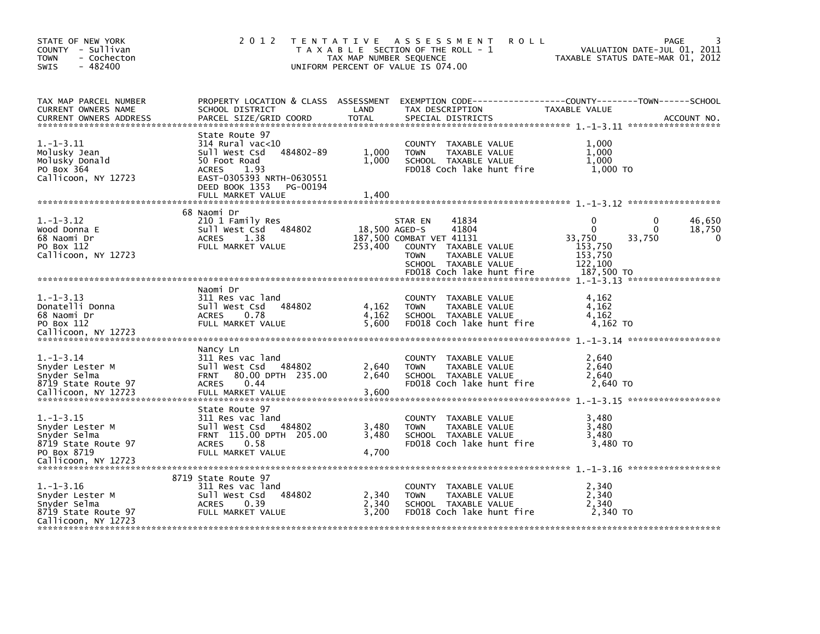| STATE OF NEW YORK<br>COUNTY - Sullivan<br><b>TOWN</b><br>- Cochecton<br>$-482400$<br><b>SWIS</b>                | 2 0 1 2                                                                                                                                                                                    | TAX MAP NUMBER SEQUENCE | TENTATIVE ASSESSMENT<br>T A X A B L E SECTION OF THE ROLL - 1<br>UNIFORM PERCENT OF VALUE IS 074.00                                                                                 | <b>ROLL</b> |                                                                                       | PAGE<br>VALUATION DATE-JUL 01, 2011<br>TAXABLE STATUS DATE-MAR 01, 2012             |
|-----------------------------------------------------------------------------------------------------------------|--------------------------------------------------------------------------------------------------------------------------------------------------------------------------------------------|-------------------------|-------------------------------------------------------------------------------------------------------------------------------------------------------------------------------------|-------------|---------------------------------------------------------------------------------------|-------------------------------------------------------------------------------------|
| TAX MAP PARCEL NUMBER<br>CURRENT OWNERS NAME<br><b>CURRENT OWNERS ADDRESS</b>                                   | PROPERTY LOCATION & CLASS ASSESSMENT<br>SCHOOL DISTRICT<br>PARCEL SIZE/GRID COORD                                                                                                          | LAND<br><b>TOTAL</b>    | TAX DESCRIPTION<br>SPECIAL DISTRICTS                                                                                                                                                |             | TAXABLE VALUE                                                                         | EXEMPTION        CODE------------------COUNTY-------TOWN------SCHOOL<br>ACCOUNT NO. |
| $1.-1-3.11$<br>Molusky Jean<br>Molusky Donald<br>PO Box 364<br>Callicoon, NY 12723                              | State Route 97<br>$314$ Rural vac<10<br>484802-89<br>Sull West Csd<br>50 Foot Road<br><b>ACRES</b><br>1.93<br>EAST-0305393 NRTH-0630551<br>DEED BOOK 1353<br>PG-00194<br>FULL MARKET VALUE | 1,000<br>1,000<br>1,400 | COUNTY TAXABLE VALUE<br><b>TOWN</b><br>TAXABLE VALUE<br>SCHOOL TAXABLE VALUE<br>FD018 Coch lake hunt fire                                                                           |             | 1,000<br>1,000<br>1,000<br>1,000 TO                                                   |                                                                                     |
|                                                                                                                 |                                                                                                                                                                                            |                         |                                                                                                                                                                                     |             |                                                                                       |                                                                                     |
| $1. - 1 - 3.12$<br>Wood Donna E<br>68 Naomi Dr<br>PO Box 112<br>Callicoon, NY 12723                             | 68 Naomi Dr<br>210 1 Family Res<br>Sull West Csd 484802<br><b>ACRES</b><br>1.38<br>FULL MARKET VALUE                                                                                       | 253,400                 | STAR EN<br>41834<br>41804<br>18,500 AGED-S<br>187,500 COMBAT VET 41131<br>COUNTY TAXABLE VALUE<br><b>TOWN</b><br>TAXABLE VALUE<br>SCHOOL TAXABLE VALUE<br>FD018 Coch lake hunt fire |             | $\mathbf{0}$<br>$\mathbf{0}$<br>33,750<br>153,750<br>153,750<br>122,100<br>187,500 TO | 46,650<br>0<br>18,750<br>$\Omega$<br>33,750<br>0                                    |
|                                                                                                                 |                                                                                                                                                                                            |                         |                                                                                                                                                                                     |             |                                                                                       |                                                                                     |
| $1. - 1 - 3.13$<br>Donatelli Donna<br>68 Naomi Dr<br>PO Box 112<br>Callicoon, NY 12723                          | Naomi Dr<br>311 Res vac land<br>Sull West Csd<br>484802<br><b>ACRES</b><br>0.78<br>FULL MARKET VALUE                                                                                       | 4,162<br>4,162<br>5,600 | COUNTY TAXABLE VALUE<br><b>TOWN</b><br>TAXABLE VALUE<br>SCHOOL TAXABLE VALUE<br>FD018 Coch lake hunt fire                                                                           |             | 4,162<br>4,162<br>4,162<br>4,162 TO                                                   |                                                                                     |
|                                                                                                                 | Nancy Ln                                                                                                                                                                                   |                         |                                                                                                                                                                                     |             |                                                                                       |                                                                                     |
| $1. - 1 - 3.14$<br>Snyder Lester M<br>Snyder Selma<br>8719 State Route 97<br>Callicoon, NY 12723                | 311 Res vac land<br>Sull West Csd<br>484802<br>80.00 DPTH 235.00<br>FRNT<br><b>ACRES</b><br>0.44<br>FULL MARKET VALUE                                                                      | 2,640<br>2,640<br>3.600 | COUNTY TAXABLE VALUE<br><b>TOWN</b><br>TAXABLE VALUE<br>SCHOOL TAXABLE VALUE<br>FD018 Coch lake hunt fire                                                                           |             | 2,640<br>2.640<br>2,640<br>2,640 TO                                                   |                                                                                     |
|                                                                                                                 | State Route 97                                                                                                                                                                             |                         |                                                                                                                                                                                     |             |                                                                                       |                                                                                     |
| $1. - 1 - 3.15$<br>Snyder Lester M<br>Snyder Selma<br>8719 State Route 97<br>PO Box 8719<br>Callicoon, NY 12723 | 311 Res vac land<br>484802<br>Sull West Csd<br>FRNT 115.00 DPTH 205.00<br><b>ACRES</b><br>0.58<br>FULL MARKET VALUE                                                                        | 3,480<br>3,480<br>4,700 | COUNTY TAXABLE VALUE<br><b>TOWN</b><br>TAXABLE VALUE<br>SCHOOL TAXABLE VALUE<br>FD018 Coch lake hunt fire                                                                           |             | 3,480<br>3,480<br>3,480<br>3,480 TO                                                   |                                                                                     |
|                                                                                                                 | 8719 State Route 97                                                                                                                                                                        |                         |                                                                                                                                                                                     |             |                                                                                       |                                                                                     |
| $1.-1-3.16$<br>Snyder Lester M<br>Snyder Selma<br>8719 State Route 97<br>Callicoon, NY 12723                    | 311 Res vac land<br>Sull West Csd<br>484802<br>0.39<br><b>ACRES</b><br>FULL MARKET VALUE                                                                                                   | 2,340<br>2,340<br>3,200 | COUNTY<br>TAXABLE VALUE<br><b>TOWN</b><br>TAXABLE VALUE<br>SCHOOL TAXABLE VALUE<br>FD018 Coch lake hunt fire                                                                        |             | 2,340<br>2,340<br>2,340<br>2,340 TO                                                   |                                                                                     |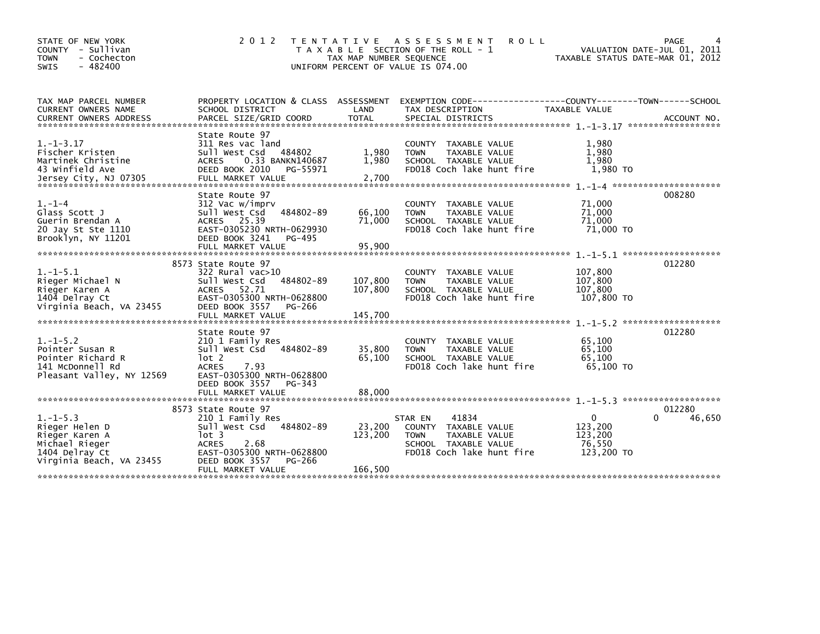| STATE OF NEW YORK<br>COUNTY - Sullivan<br>- Cochecton<br><b>TOWN</b><br><b>SWIS</b><br>$-482400$                   | 2 0 1 2                                                                                                                                                                                 | T E N T A T I V E<br>TAX MAP NUMBER SEQUENCE | <b>ROLL</b><br>A S S E S S M E N T<br>T A X A B L E SECTION OF THE ROLL - 1<br>UNIFORM PERCENT OF VALUE IS 074.00                       | VALUATION DATE-JUL 01, 2011<br>TAXABLE STATUS DATE-MAR 01, 2012 | PAGE                  |
|--------------------------------------------------------------------------------------------------------------------|-----------------------------------------------------------------------------------------------------------------------------------------------------------------------------------------|----------------------------------------------|-----------------------------------------------------------------------------------------------------------------------------------------|-----------------------------------------------------------------|-----------------------|
| TAX MAP PARCEL NUMBER<br>CURRENT OWNERS NAME                                                                       | PROPERTY LOCATION & CLASS ASSESSMENT<br>SCHOOL DISTRICT                                                                                                                                 | LAND                                         | EXEMPTION CODE-----------------COUNTY-------TOWN------SCHOOL<br>TAX DESCRIPTION                                                         | TAXABLE VALUE                                                   |                       |
| $1. - 1 - 3.17$<br>Fischer Kristen<br>Martinek Christine<br>43 Winfield Ave                                        | State Route 97<br>311 Res vac land<br>484802<br>Sull West Csd<br><b>ACRES</b><br>0.33 BANKN140687<br>DEED BOOK 2010<br>PG-55971                                                         | 1,980<br>1,980                               | COUNTY TAXABLE VALUE<br><b>TOWN</b><br>TAXABLE VALUE<br>SCHOOL TAXABLE VALUE<br>FD018 Coch lake hunt fire                               | 1.980<br>1,980<br>1.980<br>1,980 TO                             |                       |
| $1. - 1 - 4$<br>Glass Scott J<br>Guerin Brendan A<br>20 Jay St Ste 1110<br>Brooklyn, NY 11201                      | State Route 97<br>312 Vac w/imprv<br>484802-89<br>Sull West Csd<br>25.39<br><b>ACRES</b><br>EAST-0305230 NRTH-0629930<br>DEED BOOK 3241<br>PG-495                                       | 66,100<br>71,000                             | COUNTY TAXABLE VALUE<br><b>TOWN</b><br>TAXABLE VALUE<br>SCHOOL TAXABLE VALUE<br>FD018 Coch lake hunt fire                               | 71,000<br>71,000<br>71,000<br>71,000 TO                         | 008280                |
| $1. - 1 - 5.1$<br>Rieger Michael N<br>Rieger Karen A<br>1404 Delray Ct<br>Virginia Beach, VA 23455                 | 8573 State Route 97<br>322 Rural vac>10<br>484802-89<br>Sull West Csd<br>52.71<br><b>ACRES</b><br>EAST-0305300 NRTH-0628800<br>DEED BOOK 3557<br>PG-266                                 | 107,800<br>107,800                           | <b>COUNTY</b><br>TAXABLE VALUE<br><b>TOWN</b><br>TAXABLE VALUE<br>SCHOOL TAXABLE VALUE<br>FD018 Coch lake hunt fire                     | 107,800<br>107,800<br>107,800<br>107,800 TO                     | 012280                |
| $1. - 1 - 5.2$<br>Pointer Susan R<br>Pointer Richard R<br>141 McDonnell Rd<br>Pleasant Valley, NY 12569            | State Route 97<br>210 1 Family Res<br>484802-89<br>sull west Csd<br>lot 2<br><b>ACRES</b><br>7.93<br>EAST-0305300 NRTH-0628800<br>DEED BOOK 3557<br>PG-343<br>FULL MARKET VALUE         | 35,800<br>65,100<br>88,000                   | COUNTY TAXABLE VALUE<br>TAXABLE VALUE<br><b>TOWN</b><br>SCHOOL TAXABLE VALUE<br>FD018 Coch lake hunt fire                               | 65,100<br>65,100<br>65,100<br>65,100 TO                         | 012280                |
| $1. - 1 - 5.3$<br>Rieger Helen D<br>Rieger Karen A<br>Michael Rieger<br>1404 Delray Ct<br>Virginia Beach, VA 23455 | 8573 State Route 97<br>210 1 Family Res<br>484802-89<br>Sull West Csd<br>$1$ ot 3<br><b>ACRES</b><br>2.68<br>EAST-0305300 NRTH-0628800<br>DEED BOOK 3557<br>PG-266<br>FULL MARKET VALUE | 23,200<br>123,200<br>166,500                 | 41834<br>STAR EN<br><b>COUNTY</b><br>TAXABLE VALUE<br><b>TOWN</b><br>TAXABLE VALUE<br>SCHOOL TAXABLE VALUE<br>FD018 Coch lake hunt fire | $\Omega$<br>123,200<br>123,200<br>76,550<br>123,200 TO          | 012280<br>46,650<br>O |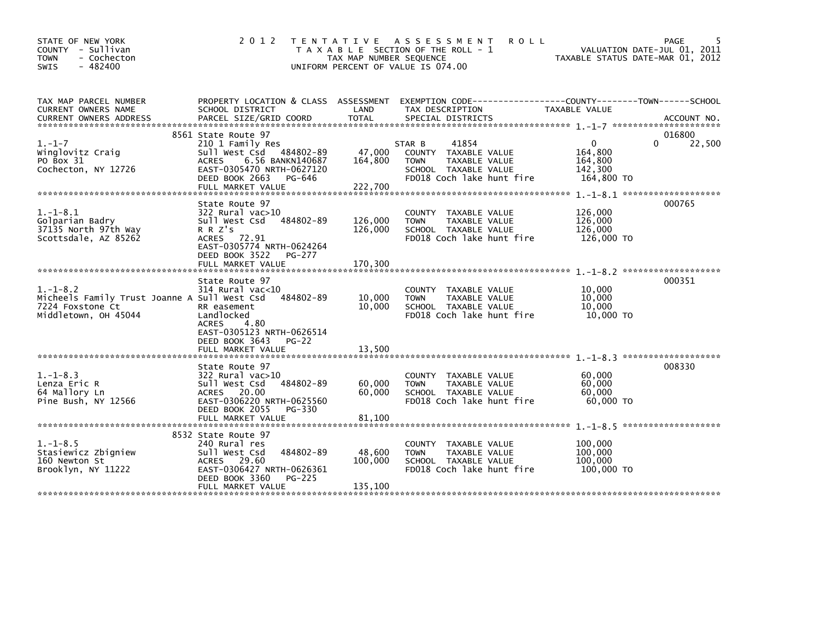| STATE OF NEW YORK<br>COUNTY - Sullivan<br><b>TOWN</b><br>- Cochecton<br>$-482400$<br>SWIS              | 2 0 1 2                                                                                                                                                                              | TAX MAP NUMBER SEQUENCE       | TENTATIVE ASSESSMENT<br><b>ROLL</b><br>T A X A B L E SECTION OF THE ROLL - 1<br>UNIFORM PERCENT OF VALUE IS 074.00                       |                                                         | PAGE<br>VALUATION DATE-JUL 01, 2011<br>TAXABLE STATUS DATE-MAR 01, 2012 |
|--------------------------------------------------------------------------------------------------------|--------------------------------------------------------------------------------------------------------------------------------------------------------------------------------------|-------------------------------|------------------------------------------------------------------------------------------------------------------------------------------|---------------------------------------------------------|-------------------------------------------------------------------------|
| TAX MAP PARCEL NUMBER<br>CURRENT OWNERS NAME<br><b>CURRENT OWNERS ADDRESS</b>                          | SCHOOL DISTRICT<br>PARCEL SIZE/GRID COORD                                                                                                                                            | LAND<br>TOTAL                 | PROPERTY LOCATION & CLASS ASSESSMENT EXEMPTION CODE----------------COUNTY-------TOWN------SCHOOL<br>TAX DESCRIPTION<br>SPECIAL DISTRICTS | TAXABLE VALUE                                           | ACCOUNT NO.                                                             |
| $1. - 1 - 7$<br>Winglovitz Craig<br>PO Box 31<br>Cochecton, NY 12726                                   | 8561 State Route 97<br>210 1 Family Res<br>Sull West Csd 484802-89<br>6.56 BANKN140687<br><b>ACRES</b><br>EAST-0305470 NRTH-0627120<br>DEED BOOK 2663<br>PG-646<br>FULL MARKET VALUE | 47,000<br>164,800<br>222,700  | 41854<br>STAR B<br>COUNTY TAXABLE VALUE<br>TAXABLE VALUE<br><b>TOWN</b><br>SCHOOL TAXABLE VALUE<br>FD018 Coch lake hunt fire             | $\Omega$<br>164,800<br>164,800<br>142,300<br>164,800 TO | 016800<br>22,500<br>0                                                   |
| $1. - 1 - 8.1$<br>Golparian Badry<br>37135 North 97th Way<br>Scottsdale, AZ 85262                      | State Route 97<br>$322$ Rural vac $>10$<br>Sull West Csd<br>484802-89<br>R R Z's<br>ACRES 72.91<br>EAST-0305774 NRTH-0624264<br>DEED BOOK 3522<br>PG-277<br>FULL MARKET VALUE        | 126,000<br>126,000<br>170,300 | COUNTY TAXABLE VALUE<br>TAXABLE VALUE<br><b>TOWN</b><br>SCHOOL TAXABLE VALUE<br>FD018 Coch lake hunt fire                                | 126,000<br>126,000<br>126,000<br>126,000 TO             | 000765                                                                  |
| $1.-1-8.2$<br>Micheels Family Trust Joanne A Sull West Csd<br>7224 Foxstone Ct<br>Middletown, OH 45044 | State Route 97<br>314 Rural vac<10<br>484802-89<br>RR easement<br>Landlocked<br>ACRES<br>4.80<br>EAST-0305123 NRTH-0626514<br>DEED BOOK 3643<br>$PG-22$<br>FULL MARKET VALUE         | 10,000<br>10,000<br>13,500    | <b>COUNTY</b><br>TAXABLE VALUE<br><b>TAXABLE VALUE</b><br><b>TOWN</b><br>SCHOOL TAXABLE VALUE<br>FD018 Coch lake hunt fire               | 10,000<br>10,000<br>10,000<br>10,000 TO                 | *******************<br>000351                                           |
| $1. - 1 - 8.3$<br>Lenza Eric R<br>64 Mallory Ln<br>Pine Bush, NY 12566                                 | State Route 97<br>$322$ Rural vac $>10$<br>484802-89<br>Sull West Csd<br>ACRES 20.00<br>EAST-0306220 NRTH-0625560<br>DEED BOOK 2055<br>PG-330<br>FULL MARKET VALUE                   | 60,000<br>60,000<br>81.100    | COUNTY TAXABLE VALUE<br>TAXABLE VALUE<br><b>TOWN</b><br>SCHOOL TAXABLE VALUE<br>FD018 Coch lake hunt fire                                | 60,000<br>60,000<br>60,000<br>60,000 TO                 | *******************<br>008330                                           |
| $1.-1-8.5$<br>Stasiewicz Zbigniew<br>160 Newton St<br>Brooklyn, NY 11222                               | 8532 State Route 97<br>240 Rural res<br>484802-89<br>Sull West Csd<br>ACRES 29.60<br>EAST-0306427 NRTH-0626361<br>DEED BOOK 3360<br>PG-225<br>FULL MARKET VALUE                      | 48,600<br>100,000<br>135,100  | TAXABLE VALUE<br>COUNTY<br>TAXABLE VALUE<br><b>TOWN</b><br>SCHOOL TAXABLE VALUE<br>FD018 Coch lake hunt fire                             | 100,000<br>100,000<br>100,000<br>100,000 TO             |                                                                         |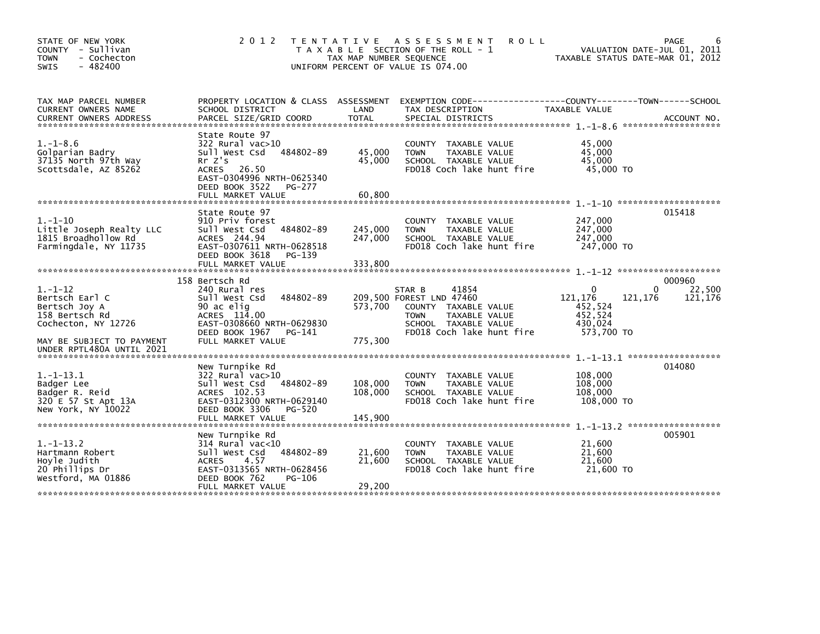| STATE OF NEW YORK<br>COUNTY - Sullivan<br><b>TOWN</b><br>- Cochecton<br>$-482400$<br>SWIS                              | 2 0 1 2                                                                                                                                                                        | TAX MAP NUMBER SEQUENCE       | TENTATIVE ASSESSMENT<br><b>ROLL</b><br>T A X A B L E SECTION OF THE ROLL - 1<br>UNIFORM PERCENT OF VALUE IS 074.00                                       | TAXABLE STATUS DATE-MAR 01, 2012                                                  | PAGE<br>VALUATION DATE-JUL 01, 2011 |
|------------------------------------------------------------------------------------------------------------------------|--------------------------------------------------------------------------------------------------------------------------------------------------------------------------------|-------------------------------|----------------------------------------------------------------------------------------------------------------------------------------------------------|-----------------------------------------------------------------------------------|-------------------------------------|
| TAX MAP PARCEL NUMBER<br>CURRENT OWNERS NAME<br><b>CURRENT OWNERS ADDRESS</b>                                          | SCHOOL DISTRICT<br>PARCEL SIZE/GRID COORD                                                                                                                                      | LAND<br><b>TOTAL</b>          | PROPERTY LOCATION & CLASS ASSESSMENT EXEMPTION CODE----------------COUNTY-------TOWN------SCHOOL<br>TAX DESCRIPTION<br>SPECIAL DISTRICTS                 | TAXABLE VALUE                                                                     | ACCOUNT NO.<br>*******************  |
| $1.-1-8.6$<br>Golparian Badry<br>37135 North 97th Way<br>Scottsdale, AZ 85262                                          | State Route 97<br>322 Rural vac>10<br>484802-89<br>Sull West Csd<br>$Rr$ $Z's$<br>26.50<br>ACRES<br>EAST-0304996 NRTH-0625340<br>DEED BOOK 3522<br>PG-277<br>FULL MARKET VALUE | 45,000<br>45,000<br>60,800    | COUNTY TAXABLE VALUE<br>TAXABLE VALUE<br><b>TOWN</b><br>SCHOOL TAXABLE VALUE<br>FD018 Coch lake hunt fire                                                | 45,000<br>45,000<br>45,000<br>45,000 TO                                           |                                     |
| $1.-1-10$<br>Little Joseph Realty LLC<br>1815 Broadhollow Rd<br>Farmingdale, NY 11735                                  | State Route 97<br>910 Priv forest<br>484802-89<br>Sull West Csd<br>ACRES 244.94<br>EAST-0307611 NRTH-0628518<br>DEED BOOK 3618<br>PG-139<br>FULL MARKET VALUE                  | 245,000<br>247,000<br>333.800 | <b>COUNTY</b><br>TAXABLE VALUE<br>TAXABLE VALUE<br><b>TOWN</b><br>SCHOOL TAXABLE VALUE<br>FD018 Coch lake hunt fire                                      | 247,000<br>247,000<br>247,000<br>247,000 TO                                       | 015418                              |
| $1. - 1 - 12$<br>Bertsch Earl C<br>Bertsch Joy A<br>158 Bertsch Rd<br>Cochecton, NY 12726<br>MAY BE SUBJECT TO PAYMENT | 158 Bertsch Rd<br>240 Rural res<br>484802-89<br>Sull West Csd<br>90 ac elig<br>ACRES 114.00<br>EAST-0308660 NRTH-0629830<br>DEED BOOK 1967<br>PG-141<br>FULL MARKET VALUE      | 573.700<br>775,300            | 41854<br>STAR B<br>209,500 FOREST LND 47460<br>COUNTY TAXABLE VALUE<br>TAXABLE VALUE<br><b>TOWN</b><br>SCHOOL TAXABLE VALUE<br>FD018 Coch lake hunt fire | $\mathbf{0}$<br>121,176<br>121,176<br>452,524<br>452,524<br>430,024<br>573,700 TO | 000960<br>22,500<br>0<br>121,176    |
| UNDER RPTL480A UNTIL 2021<br>$1.-1-13.1$<br>Badger Lee<br>Badger R. Reid<br>320 E 57 St Apt 13A<br>New York, NY 10022  | New Turnpike Rd<br>322 Rural vac>10<br>Sull West Csd<br>484802-89<br>ACRES 102.53<br>EAST-0312300 NRTH-0629140<br>DEED BOOK 3306<br>PG-520<br>FULL MARKET VALUE                | 108,000<br>108,000<br>145.900 | <b>COUNTY</b><br>TAXABLE VALUE<br>TAXABLE VALUE<br><b>TOWN</b><br>SCHOOL TAXABLE VALUE<br>FD018 Coch lake hunt fire                                      | 108,000<br>108,000<br>108,000<br>108,000 TO                                       | 014080                              |
| $1. - 1 - 13.2$<br>Hartmann Robert<br>Hoyle Judith<br>20 Phillips Dr<br>Westford, MA 01886                             | New Turnpike Rd<br>$314$ Rural vac<10<br>484802-89<br>Sull West Csd<br>4.57<br><b>ACRES</b><br>EAST-0313565 NRTH-0628456<br>DEED BOOK 762<br>PG-106<br>FULL MARKET VALUE       | 21,600<br>21,600<br>29,200    | COUNTY TAXABLE VALUE<br><b>TOWN</b><br>TAXABLE VALUE<br>SCHOOL TAXABLE VALUE<br>FD018 Coch lake hunt fire                                                | 21,600<br>21,600<br>21,600<br>21,600 TO                                           | 005901                              |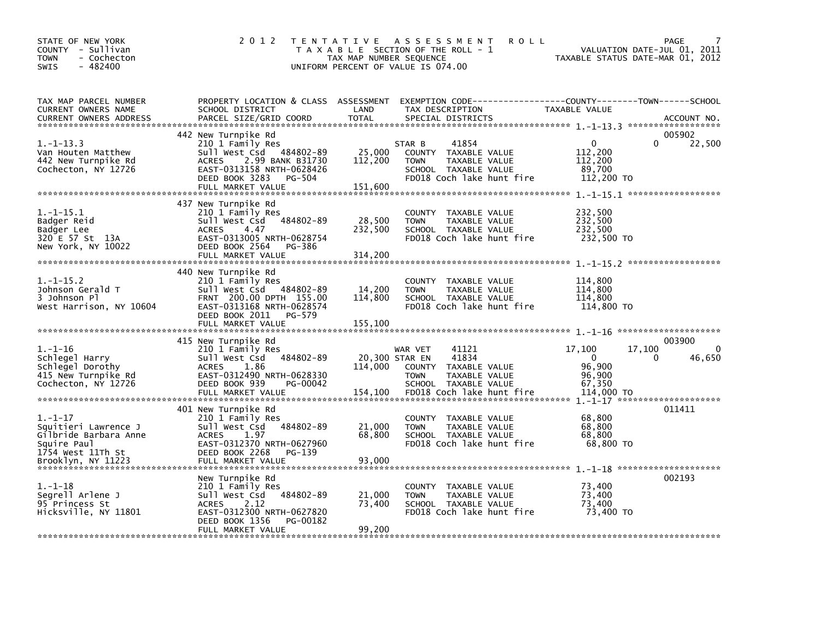| STATE OF NEW YORK<br>COUNTY - Sullivan<br>- Cochecton<br><b>TOWN</b><br>$-482400$<br><b>SWIS</b>                         | 2 0 1 2                                                                                                                                                                      | TAX MAP NUMBER SEQUENCE              | TENTATIVE ASSESSMENT<br><b>ROLL</b><br>T A X A B L E SECTION OF THE ROLL - 1<br>UNIFORM PERCENT OF VALUE IS 074.00                       | VALUATION DATE-JUL 01, 2011<br>TAXABLE STATUS DATE-MAR 01, 2012                      | PAGE                         |
|--------------------------------------------------------------------------------------------------------------------------|------------------------------------------------------------------------------------------------------------------------------------------------------------------------------|--------------------------------------|------------------------------------------------------------------------------------------------------------------------------------------|--------------------------------------------------------------------------------------|------------------------------|
| TAX MAP PARCEL NUMBER<br>CURRENT OWNERS NAME<br><b>CURRENT OWNERS ADDRESS</b>                                            | SCHOOL DISTRICT<br>PARCEL SIZE/GRID COORD                                                                                                                                    | LAND<br><b>TOTAL</b>                 | PROPERTY LOCATION & CLASS ASSESSMENT EXEMPTION CODE----------------COUNTY-------TOWN------SCHOOL<br>TAX DESCRIPTION<br>SPECIAL DISTRICTS | TAXABLE VALUE                                                                        | ACCOUNT NO.                  |
| $1.-1-13.3$<br>Van Houten Matthew<br>442 New Turnpike Rd<br>Cochecton, NY 12726                                          | 442 New Turnpike Rd<br>210 1 Family Res<br>Sull West Csd 484802-89<br>ACRES 2.99 BANK B31730<br>EAST-0313158 NRTH-0628426<br>DEED BOOK 3283<br>PG-504<br>FULL MARKET VALUE   | 25,000<br>112,200<br>151,600         | 41854<br>STAR B<br>COUNTY TAXABLE VALUE<br><b>TOWN</b><br>TAXABLE VALUE<br>SCHOOL TAXABLE VALUE<br>FD018 Coch lake hunt fire             | $\Omega$<br>$\mathbf{0}$<br>112,200<br>112,200<br>89,700<br>112,200 TO               | 005902<br>22,500             |
| $1.-1-15.1$<br>Badger Reid<br>Badger Lee<br>320 E 57 St 13A<br>New York, NY 10022                                        | 437 New Turnpike Rd<br>210 1 Family Res<br>484802-89<br>Sull West Csd<br><b>ACRES</b><br>4.47<br>EAST-0313005 NRTH-0628754<br>DEED BOOK 2564 PG-386<br>FULL MARKET VALUE     | 28,500<br>232,500<br>314,200         | COUNTY TAXABLE VALUE<br><b>TOWN</b><br>TAXABLE VALUE<br>SCHOOL TAXABLE VALUE<br>FD018 Coch lake hunt fire                                | 232,500<br>232,500<br>232,500<br>232,500 TO                                          |                              |
| $1.-1-15.2$<br>Johnson Gerald T<br>3 Johnson Pl<br>West Harrison, NY 10604                                               | 440 New Turnpike Rd<br>210 1 Family Res<br>Sull West Csd 484802-89<br>FRNT 200.00 DPTH 155.00<br>EAST-0313168 NRTH-0628574<br>DEED BOOK 2011 PG-579                          | 14,200<br>114,800                    | COUNTY TAXABLE VALUE<br><b>TOWN</b><br>TAXABLE VALUE<br>SCHOOL TAXABLE VALUE<br>FD018 Coch lake hunt fire                                | 114,800<br>114,800<br>114,800<br>114,800 TO                                          |                              |
| $1. - 1 - 16$<br>Schlegel Harry<br>Schlegel Dorothy<br>415 New Turnpike Rd<br>Cochecton, NY 12726                        | 415 New Turnpike Rd<br>210 1 Family Res<br>484802-89<br>sull west Csd<br><b>ACRES</b><br>1.86<br>EAST-0312490 NRTH-0628330<br>PG-00042<br>DEED BOOK 939<br>FULL MARKET VALUE | 20,300 STAR EN<br>114.000<br>154,100 | 41121<br>WAR VET<br>41834<br>COUNTY TAXABLE VALUE<br>TAXABLE VALUE<br><b>TOWN</b><br>SCHOOL TAXABLE VALUE<br>FD018 Coch lake hunt fire   | 17,100<br>17,100<br>$\Omega$<br>$\Omega$<br>96,900<br>96,900<br>67,350<br>114,000 TO | 003900<br>$\Omega$<br>46,650 |
| $1. - 1 - 17$<br>Squitieri Lawrence J<br>Gilbride Barbara Anne<br>Squire Paul<br>1754 West 11Th St<br>Brooklyn, NY 11223 | 401 New Turnpike Rd<br>210 1 Family Res<br>484802-89<br>Sull West Csd<br>ACRES<br>1.97<br>EAST-0312370 NRTH-0627960<br>DEED BOOK 2268<br>PG-139<br>FULL MARKET VALUE         | 21,000<br>68,800<br>93,000           | COUNTY TAXABLE VALUE<br><b>TOWN</b><br>TAXABLE VALUE<br>SCHOOL TAXABLE VALUE<br>FD018 Coch lake hunt fire                                | 68,800<br>68,800<br>68,800<br>68,800 TO                                              | 011411                       |
| $1. - 1 - 18$<br>Segrell Arlene J<br>95 Princess St<br>Hicksville, NY 11801                                              | New Turnpike Rd<br>210 1 Family Res<br>484802-89<br>sull west Csd<br><b>ACRES</b><br>2.12<br>EAST-0312300 NRTH-0627820<br>DEED BOOK 1356<br>PG-00182<br>FULL MARKET VALUE    | 21,000<br>73,400<br>99,200           | COUNTY TAXABLE VALUE<br>TAXABLE VALUE<br><b>TOWN</b><br>SCHOOL TAXABLE VALUE<br>FD018 Coch lake hunt fire                                | 73,400<br>73.400<br>73,400<br>73,400 TO                                              | 002193                       |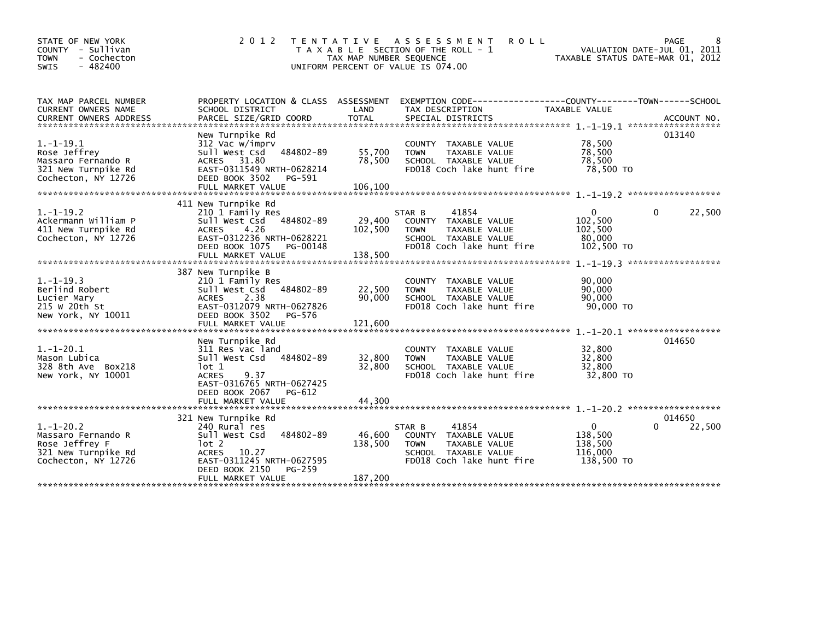| STATE OF NEW YORK<br>COUNTY - Sullivan<br>- Cochecton<br><b>TOWN</b><br>$-482400$<br><b>SWIS</b>   | 2 0 1 2                                                                                                                                                                            | T E N T A T I V E<br>TAX MAP NUMBER SEQUENCE<br>UNIFORM PERCENT OF VALUE IS 074.00 | A S S E S S M E N T<br><b>ROLL</b><br>T A X A B L E SECTION OF THE ROLL - 1                                                  | TAXABLE STATUS DATE-MAR 01, 2012                            | PAGE<br>8<br>VALUATION DATE-JUL 01, 2011 |
|----------------------------------------------------------------------------------------------------|------------------------------------------------------------------------------------------------------------------------------------------------------------------------------------|------------------------------------------------------------------------------------|------------------------------------------------------------------------------------------------------------------------------|-------------------------------------------------------------|------------------------------------------|
| TAX MAP PARCEL NUMBER<br>CURRENT OWNERS NAME                                                       | PROPERTY LOCATION & CLASS ASSESSMENT<br>SCHOOL DISTRICT                                                                                                                            | LAND                                                                               | EXEMPTION        CODE-----------------COUNTY-------TOWN------SCHOOL<br>TAX DESCRIPTION                                       | TAXABLE VALUE                                               |                                          |
| $1. -1 - 19.1$<br>Rose Jeffrey<br>Massaro Fernando R<br>321 New Turnpike Rd<br>Cochecton, NY 12726 | New Turnpike Rd<br>312 Vac w/imprv<br>484802-89<br>Sull West Csd<br>31.80<br><b>ACRES</b><br>EAST-0311549 NRTH-0628214<br>DEED BOOK 3502<br>PG-591<br>FULL MARKET VALUE            | 55,700<br>78,500<br>106,100                                                        | COUNTY TAXABLE VALUE<br><b>TOWN</b><br>TAXABLE VALUE<br>SCHOOL TAXABLE VALUE<br>FD018 Coch lake hunt fire                    | 78,500<br>78.500<br>78,500<br>78,500 TO                     | 013140                                   |
| $1. - 1 - 19.2$<br>Ackermann William P<br>411 New Turnpike Rd<br>Cochecton, NY 12726               | 411 New Turnpike Rd<br>210 1 Family Res<br>484802-89<br>Sull West Csd<br>4.26<br><b>ACRES</b><br>EAST-0312236 NRTH-0628221<br>DEED BOOK 1075<br>PG-00148<br>FULL MARKET VALUE      | 29,400<br>102,500<br>138,500                                                       | 41854<br>STAR B<br>COUNTY TAXABLE VALUE<br><b>TOWN</b><br>TAXABLE VALUE<br>SCHOOL TAXABLE VALUE<br>FD018 Coch lake hunt fire | $\mathbf{0}$<br>102,500<br>102,500<br>80.000<br>102,500 TO  | 22,500<br>0                              |
| $1.-1-19.3$<br>Berlind Robert<br>Lucier Mary<br>215 W 20th St<br>New York, NY 10011                | 387 New Turnpike B<br>210 1 Family Res<br>484802-89<br>Sull West Csd<br><b>ACRES</b><br>2.38<br>EAST-0312079 NRTH-0627826<br>DEED BOOK 3502<br>PG-576<br>FULL MARKET VALUE         | 22,500<br>90,000<br>121,600                                                        | COUNTY TAXABLE VALUE<br><b>TOWN</b><br><b>TAXABLE VALUE</b><br>SCHOOL TAXABLE VALUE<br>FD018 Coch lake hunt fire             | 90,000<br>90.000<br>90,000<br>90,000 TO                     |                                          |
| $1.-1-20.1$<br>Mason Lubica<br>328 8th Ave Box218<br>New York, NY 10001                            | New Turnpike Rd<br>311 Res vac land<br>484802-89<br>Sull West Csd<br>lot 1<br><b>ACRES</b><br>9.37<br>EAST-0316765 NRTH-0627425<br>DEED BOOK 2067<br>PG-612<br>FULL MARKET VALUE   | 32,800<br>32,800<br>44,300                                                         | COUNTY TAXABLE VALUE<br><b>TOWN</b><br>TAXABLE VALUE<br>SCHOOL TAXABLE VALUE<br>FD018 Coch lake hunt fire                    | 32,800<br>32,800<br>32,800<br>32,800 TO                     | 014650                                   |
| $1.-1-20.2$<br>Massaro Fernando R<br>Rose Jeffrey F<br>321 New Turnpike Rd<br>Cochecton, NY 12726  | 321 New Turnpike Rd<br>240 Rural res<br>Sull West Csd<br>484802-89<br>lot 2<br>10.27<br><b>ACRES</b><br>EAST-0311245 NRTH-0627595<br>DEED BOOK 2150<br>PG-259<br>FULL MARKET VALUE | 46,600<br>138,500<br>187,200                                                       | 41854<br>STAR B<br>COUNTY TAXABLE VALUE<br>TAXABLE VALUE<br><b>TOWN</b><br>SCHOOL TAXABLE VALUE<br>FD018 Coch lake hunt fire | $\mathbf{0}$<br>138,500<br>138,500<br>116,000<br>138,500 TO | 014650<br>22,500<br>$\Omega$             |
|                                                                                                    |                                                                                                                                                                                    |                                                                                    |                                                                                                                              |                                                             |                                          |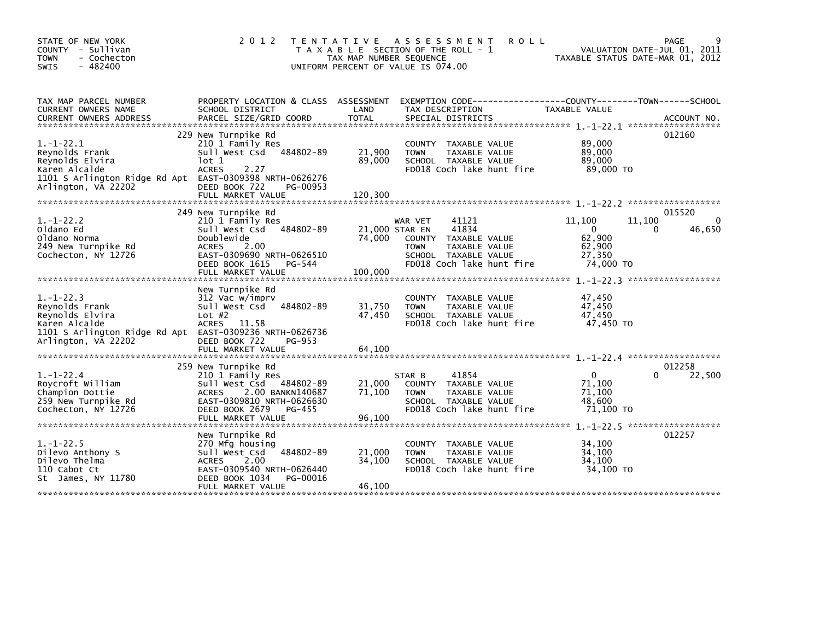| STATE OF NEW YORK<br>COUNTY - Sullivan<br><b>TOWN</b><br>- Cochecton<br>$-482400$<br><b>SWIS</b>                                                        | 2 0 1 2                                                                                                                                                                                | T E N T A T I V E<br>TAX MAP NUMBER SEQUENCE | ASSESSMENT<br><b>ROLL</b><br>T A X A B L E SECTION OF THE ROLL - 1<br>UNIFORM PERCENT OF VALUE IS 074.00                               | VALUATION DATE-JUL 01, 2011<br>TAXABLE STATUS DATE-MAR 01, 2012         | PAGE                              |
|---------------------------------------------------------------------------------------------------------------------------------------------------------|----------------------------------------------------------------------------------------------------------------------------------------------------------------------------------------|----------------------------------------------|----------------------------------------------------------------------------------------------------------------------------------------|-------------------------------------------------------------------------|-----------------------------------|
| TAX MAP PARCEL NUMBER<br>CURRENT OWNERS NAME                                                                                                            | SCHOOL DISTRICT                                                                                                                                                                        | LAND                                         | PROPERTY LOCATION & CLASS ASSESSMENT EXEMPTION CODE---------------COUNTY-------TOWN------SCHOOL<br>TAX DESCRIPTION                     | TAXABLE VALUE                                                           |                                   |
| $1. - 1 - 22.1$<br>Reynolds Frank<br>Reynolds Elvira<br>Karen Alcalde<br>1101 S Arlington Ridge Rd Apt EAST-0309398 NRTH-0626276<br>Arlington, VA 22202 | 229 New Turnpike Rd<br>210 1 Family Res<br>Sull West Csd 484802-89<br>lot 1<br><b>ACRES</b><br>2.27<br>DEED BOOK 722<br>PG-00953<br>FULL MARKET VALUE                                  | 21,900<br>89,000<br>120,300                  | COUNTY TAXABLE VALUE<br>TAXABLE VALUE<br><b>TOWN</b><br>SCHOOL TAXABLE VALUE<br>FD018 Coch lake hunt fire                              | 89,000<br>89,000<br>89,000<br>89,000 TO                                 | 012160                            |
| $1.-1-22.2$<br>Oldano Ed<br>Oldano Norma<br>249 New Turnpike Rd<br>Cochecton, NY 12726                                                                  | 249 New Turnpike Rd<br>210 1 Family Res<br>Sull West Csd 484802-89<br>Doublewide<br>2.00<br><b>ACRES</b><br>EAST-0309690 NRTH-0626510<br>DEED BOOK 1615<br>PG-544<br>FULL MARKET VALUE | 21,000 STAR EN<br>74,000<br>100,000          | 41121<br>WAR VET<br>41834<br>COUNTY TAXABLE VALUE<br>TAXABLE VALUE<br><b>TOWN</b><br>SCHOOL TAXABLE VALUE<br>FD018 Coch lake hunt fire | 11,100<br>11,100<br>$\Omega$<br>62,900<br>62,900<br>27,350<br>74,000 TO | 015520<br>$\Omega$<br>46,650<br>0 |
| $1. - 1 - 22.3$<br>Reynolds Frank<br>Reynolds Elvira<br>Karen Alcalde<br>1101 S Arlington Ridge Rd Apt EAST-0309236 NRTH-0626736<br>Arlington, VA 22202 | New Turnpike Rd<br>312 Vac w/imprv<br>Sull West Csd 484802-89<br>Lot $#2$<br>ACRES 11.58<br>DEED BOOK 722<br>PG-953<br>FULL MARKET VALUE                                               | 31,750<br>47,450<br>64,100                   | COUNTY TAXABLE VALUE<br>TAXABLE VALUE<br><b>TOWN</b><br>SCHOOL TAXABLE VALUE<br>FD018 Coch lake hunt fire                              | 47,450<br>47,450<br>47,450<br>47.450 TO                                 |                                   |
| $1.-1-22.4$<br>Roycroft William<br>Champion Dottie<br>259 New Turnpike Rd<br>Cochecton, NY 12726                                                        | 259 New Turnpike Rd<br>210 1 Family Res<br>Sull West Csd 484802-89<br>ACRES 2.00 BANKN140687<br>EAST-0309810 NRTH-0626630<br>DEED BOOK 2679<br>PG-455<br>FULL MARKET VALUE             | 21,000<br>71,100<br>96,100                   | 41854<br>STAR B<br>COUNTY TAXABLE VALUE<br><b>TOWN</b><br>TAXABLE VALUE<br>SCHOOL TAXABLE VALUE<br>FD018 Coch lake hunt fire           | $\Omega$<br>71,100<br>71,100<br>48,600<br>71.100 TO                     | 012258<br>0<br>22,500             |
| $1. - 1 - 22.5$<br>Dilevo Anthony S<br>Dilevo Thelma<br>110 Cabot Ct<br>St James, NY 11780                                                              | New Turnpike Rd<br>270 Mfg housing<br>Sull West Csd 484802-89<br><b>ACRES</b><br>2.00<br>EAST-0309540 NRTH-0626440<br>DEED BOOK 1034<br>PG-00016<br>FULL MARKET VALUE                  | 21,000<br>34,100<br>46,100                   | COUNTY TAXABLE VALUE<br>TAXABLE VALUE<br><b>TOWN</b><br>SCHOOL TAXABLE VALUE<br>FD018 Coch lake hunt fire                              | 34,100<br>34,100<br>34,100<br>34,100 TO                                 | 012257                            |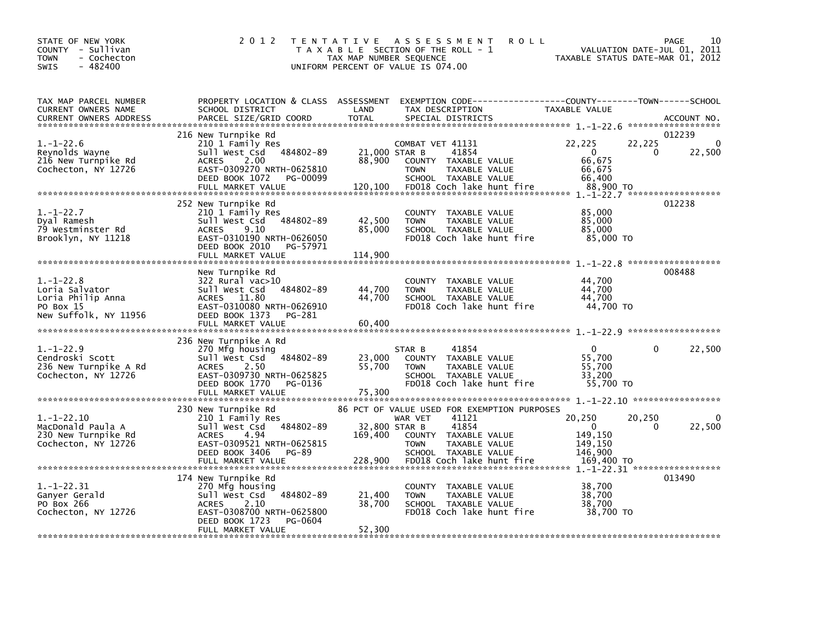| STATE OF NEW YORK<br>COUNTY - Sullivan<br>- Cochecton<br><b>TOWN</b><br>$-482400$<br><b>SWIS</b> | 2 0 1 2                                                                                                                                                                       | TAX MAP NUMBER SEQUENCE            | TENTATIVE ASSESSMENT<br>T A X A B L E SECTION OF THE ROLL - 1<br>UNIFORM PERCENT OF VALUE IS 074.00                                                                       | <b>ROLL</b><br>TAXABLE STATUS DATE-MAR 01, 2012                         | 10<br>PAGE<br>VALUATION DATE-JUL 01, 2011 |
|--------------------------------------------------------------------------------------------------|-------------------------------------------------------------------------------------------------------------------------------------------------------------------------------|------------------------------------|---------------------------------------------------------------------------------------------------------------------------------------------------------------------------|-------------------------------------------------------------------------|-------------------------------------------|
| TAX MAP PARCEL NUMBER<br>CURRENT OWNERS NAME<br><b>CURRENT OWNERS ADDRESS</b>                    | PROPERTY LOCATION & CLASS ASSESSMENT<br>SCHOOL DISTRICT<br>PARCEL SIZE/GRID COORD                                                                                             | LAND<br><b>TOTAL</b>               | EXEMPTION CODE-----------------COUNTY-------TOWN------SCHOOL<br>TAX DESCRIPTION<br>SPECIAL DISTRICTS                                                                      | TAXABLE VALUE                                                           | ACCOUNT NO.<br>******************         |
| $1.-1-22.6$<br>Reynolds Wayne<br>216 New Turnpike Rd<br>Cochecton, NY 12726                      | 216 New Turnpike Rd<br>210 1 Family Res<br>484802-89<br>Sull West Csd<br><b>ACRES</b><br>2.00<br>EAST-0309270 NRTH-0625810<br>DEED BOOK 1072<br>PG-00099<br>FULL MARKET VALUE | 21,000 STAR B<br>88,900<br>120,100 | COMBAT VET 41131<br>41854<br>COUNTY TAXABLE VALUE<br><b>TOWN</b><br>TAXABLE VALUE<br>SCHOOL TAXABLE VALUE<br>FD018 Coch lake hunt fire                                    | 22,225<br>22,225<br>$\Omega$<br>66,675<br>66,675<br>66,400<br>88,900 TO | 012239<br>22,500<br>0                     |
| $1. - 1 - 22.7$<br>Dval Ramesh<br>79 Westminster Rd<br>Brooklyn, NY 11218                        | 252 New Turnpike Rd<br>210 1 Family Res<br>Sull West Csd<br>484802-89<br>9.10<br><b>ACRES</b><br>EAST-0310190 NRTH-0626050<br>DEED BOOK 2010<br>PG-57971<br>FULL MARKET VALUE | 42,500<br>85,000<br>114,900        | COUNTY TAXABLE VALUE<br><b>TOWN</b><br>TAXABLE VALUE<br>SCHOOL TAXABLE VALUE<br>FD018 Coch lake hunt fire                                                                 | 85,000<br>85,000<br>85,000<br>85,000 TO                                 | 012238                                    |
| $1. - 1 - 22.8$<br>Loria Salvator<br>Loria Philip Anna<br>PO Box 15<br>New Suffolk, NY 11956     | New Turnpike Rd<br>322 Rural vac>10<br>Sull West Csd<br>484802-89<br>ACRES 11.80<br>EAST-0310080 NRTH-0626910<br>DEED BOOK 1373<br>PG-281<br>FULL MARKET VALUE                | 44,700<br>44.700<br>60,400         | COUNTY TAXABLE VALUE<br><b>TOWN</b><br>TAXABLE VALUE<br>SCHOOL TAXABLE VALUE<br>FD018 Coch lake hunt fire                                                                 | 44,700<br>44,700<br>44.700<br>44,700 TO                                 | 008488<br>******************              |
| $1. - 1 - 22.9$<br>Cendroski Scott<br>236 New Turnpike A Rd<br>Cochecton, NY 12726               | 236 New Turnpike A Rd<br>270 Mfg housing<br>Sull West Csd<br>484802-89<br><b>ACRES</b><br>2.50<br>EAST-0309730 NRTH-0625825<br>DEED BOOK 1770<br>PG-0136<br>FULL MARKET VALUE | 23,000<br>55,700<br>75,300         | STAR B<br>41854<br>COUNTY TAXABLE VALUE<br>TAXABLE VALUE<br><b>TOWN</b><br>SCHOOL TAXABLE VALUE<br>FD018 Coch lake hunt fire                                              | $\mathbf{0}$<br>55,700<br>55,700<br>33.200<br>55.700 TO                 | 22,500<br>$\Omega$                        |
| $1.-1-22.10$<br>MacDonald Paula A<br>230 New Turnpike Rd<br>Cochecton, NY 12726                  | 230 New Turnpike Rd<br>210 1 Family Res<br>484802-89<br>Sull West Csd<br>4.94<br><b>ACRES</b><br>EAST-0309521 NRTH-0625815<br>DEED BOOK 3406<br>PG-89                         | 169,400                            | 86 PCT OF VALUE USED FOR EXEMPTION PURPOSES<br>WAR VET<br>41121<br>32,800 STAR B<br>41854<br>COUNTY TAXABLE VALUE<br><b>TOWN</b><br>TAXABLE VALUE<br>SCHOOL TAXABLE VALUE | 20,250<br>20,250<br>$\Omega$<br>149,150<br>149,150<br>146.900           | 22,500<br>0                               |
| $1. - 1 - 22.31$<br>Ganyer Gerald<br>PO Box 266<br>Cochecton, NY 12726                           | 174 New Turnpike Rd<br>270 Mfg housing<br>Sull West Csd<br>484802-89<br><b>ACRES</b><br>2.10<br>EAST-0308700 NRTH-0625800<br>DEED BOOK 1723<br>PG-0604<br>FULL MARKET VALUE   | 21,400<br>38,700<br>52,300         | COUNTY TAXABLE VALUE<br><b>TOWN</b><br>TAXABLE VALUE<br>SCHOOL TAXABLE VALUE<br>FD018 Coch lake hunt fire                                                                 | 38,700<br>38,700<br>38,700<br>38,700 TO                                 | 013490                                    |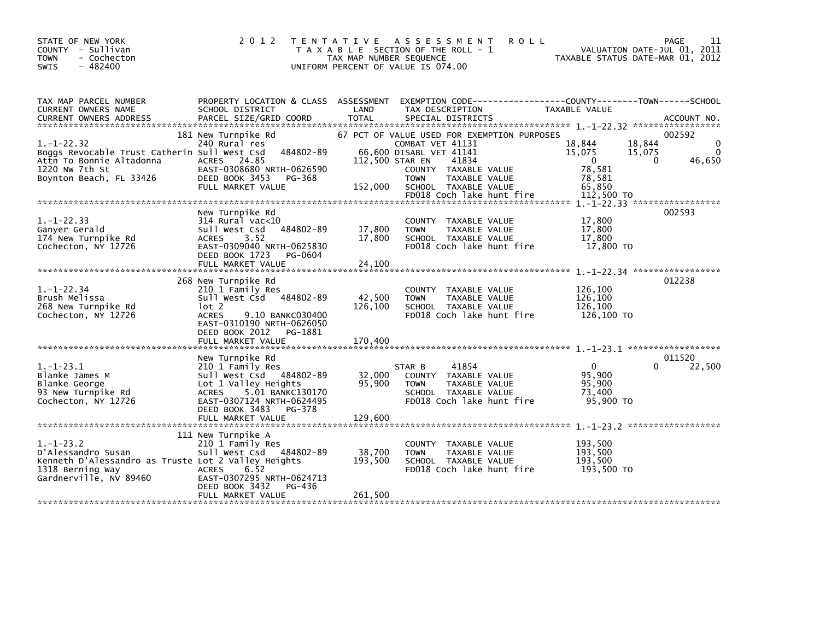| STATE OF NEW YORK<br>COUNTY - Sullivan<br><b>TOWN</b><br>- Cochecton<br>$-482400$<br>SWIS                                              | 2 0 1 2                                                                                                                                                                       | TAX MAP NUMBER SEQUENCE    | TENTATIVE ASSESSMENT<br>T A X A B L E SECTION OF THE ROLL - 1<br>UNIFORM PERCENT OF VALUE IS 074.00                                                                                 | <b>ROLL</b>                                                                  | 11<br>PAGE<br>VALUATION DATE-JUL 01, 2011<br>TAXABLE STATUS DATE-MAR 01, 2012 |
|----------------------------------------------------------------------------------------------------------------------------------------|-------------------------------------------------------------------------------------------------------------------------------------------------------------------------------|----------------------------|-------------------------------------------------------------------------------------------------------------------------------------------------------------------------------------|------------------------------------------------------------------------------|-------------------------------------------------------------------------------|
| TAX MAP PARCEL NUMBER<br>CURRENT OWNERS NAME                                                                                           | PROPERTY LOCATION & CLASS ASSESSMENT EXEMPTION CODE----------------COUNTY-------TOWN------SCHOOL<br>SCHOOL DISTRICT                                                           | LAND                       | TAX DESCRIPTION                                                                                                                                                                     | TAXABLE VALUE                                                                |                                                                               |
| $1.-1-22.32$<br>Boggs Revocable Trust Catherin Sull West Csd<br>Attn To Bonnie Altadonna<br>1220 NW 7th St<br>Boynton Beach, FL 33426  | 181 New Turnpike Rd<br>240 Rural res<br>484802-89<br>ACRES 24.85<br>EAST-0308680 NRTH-0626590<br>DEED BOOK 3453<br>PG-368<br>FULL MARKET VALUE                                | 112,500 STAR EN<br>152,000 | 67 PCT OF VALUE USED FOR EXEMPTION PURPOSES<br>COMBAT VET 41131<br>66,600 DISABL VET 41141<br>41834<br>COUNTY TAXABLE VALUE<br><b>TOWN</b><br>TAXABLE VALUE<br>SCHOOL TAXABLE VALUE | 18.844<br>15,075<br>$\mathbf{0}$<br>78,581<br>78,581<br>65,850<br>112,500 TO | 002592<br>18,844<br>$\Omega$<br>$\Omega$<br>15,075<br>46,650<br>$\Omega$      |
|                                                                                                                                        |                                                                                                                                                                               |                            | FD018 Coch lake hunt fire                                                                                                                                                           |                                                                              |                                                                               |
| $1. - 1 - 22.33$<br>Ganyer Gerald<br>174 New Turnpike Rd<br>Cochecton, NY 12726                                                        | New Turnpike Rd<br>$314$ Rural vac< $10$<br>484802-89<br>Sull West Csd<br>3.52<br><b>ACRES</b><br>EAST-0309040 NRTH-0625830<br>DEED BOOK 1723<br>PG-0604<br>FULL MARKET VALUE | 17,800<br>17,800<br>24,100 | COUNTY TAXABLE VALUE<br>TAXABLE VALUE<br><b>TOWN</b><br>SCHOOL TAXABLE VALUE<br>FD018 Coch lake hunt fire                                                                           | 17,800<br>17,800<br>17.800<br>17,800 TO                                      | 002593                                                                        |
|                                                                                                                                        |                                                                                                                                                                               |                            |                                                                                                                                                                                     |                                                                              |                                                                               |
| $1. - 1 - 22.34$<br>Brush Melissa<br>268 New Turnpike Rd<br>Cochecton, NY 12726                                                        | 268 New Turnpike Rd<br>210 1 Family Res<br>Sull West Csd 484802-89<br>lot 2<br>9.10 BANKC030400<br><b>ACRES</b><br>EAST-0310190 NRTH-0626050<br>DEED BOOK 2012<br>PG-1881     | 42,500<br>126,100          | COUNTY TAXABLE VALUE<br>TAXABLE VALUE<br><b>TOWN</b><br>SCHOOL TAXABLE VALUE<br>FD018 Coch lake hunt fire                                                                           | 126,100<br>126,100<br>126.100<br>126,100 TO                                  | 012238                                                                        |
|                                                                                                                                        | FULL MARKET VALUE                                                                                                                                                             | 170,400                    |                                                                                                                                                                                     |                                                                              |                                                                               |
| $1. - 1 - 23.1$<br>Blanke James M<br>Blanke George<br>93 New Turnpike Rd<br>Cochecton, NY 12726                                        | New Turnpike Rd<br>210 1 Family Res<br>Sull West Csd 484802-89<br>Lot 1 Valley Heights<br>ACRES 5.01 BANKC130170<br>EAST-0307124 NRTH-0624495<br>DEED BOOK 3483 PG-378        | 32,000<br>95,900           | 41854<br>STAR B<br>COUNTY TAXABLE VALUE<br><b>TOWN</b><br><b>TAXABLE VALUE</b><br>SCHOOL TAXABLE VALUE<br>FD018 Coch lake hunt fire                                                 | $\overline{0}$<br>95.900<br>95,900<br>73,400<br>95,900 TO                    | 011520<br>22,500<br>0                                                         |
|                                                                                                                                        | 111 New Turnpike A                                                                                                                                                            |                            |                                                                                                                                                                                     |                                                                              |                                                                               |
| $1.-1-23.2$<br>D'Alessandro Susan<br>Kenneth D'Alessandro as Truste Lot 2 Valley Heights<br>1318 Berning Way<br>Gardnerville, NV 89460 | 210 1 Family Res<br>Sull West Csd 484802-89<br><b>ACRES</b><br>6.52<br>EAST-0307295 NRTH-0624713<br>DEED BOOK 3432<br>PG-436                                                  | 38,700<br>193,500          | COUNTY<br>TAXABLE VALUE<br><b>TOWN</b><br>TAXABLE VALUE<br>SCHOOL TAXABLE VALUE<br>FD018 Coch lake hunt fire                                                                        | 193,500<br>193,500<br>193,500<br>193,500 TO                                  |                                                                               |
|                                                                                                                                        | FULL MARKET VALUE                                                                                                                                                             | 261,500                    |                                                                                                                                                                                     |                                                                              |                                                                               |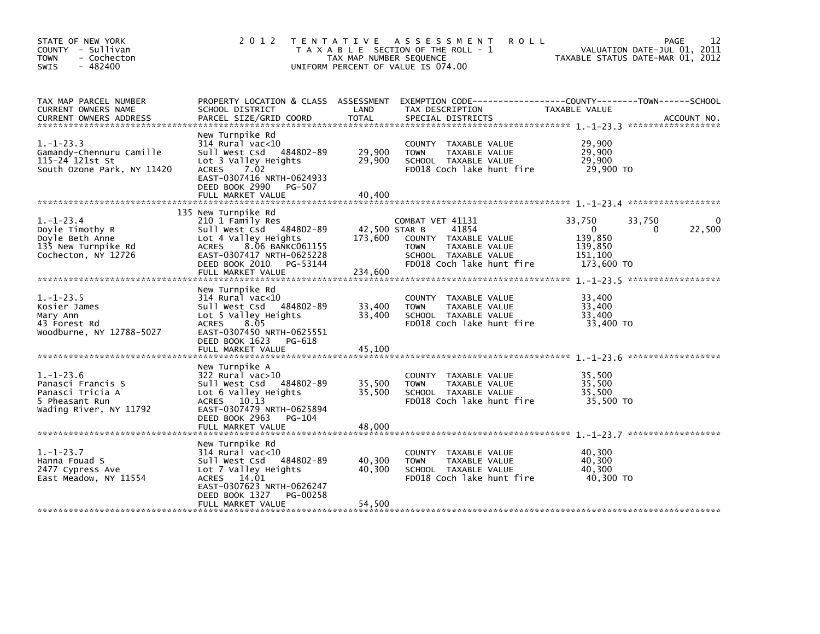| STATE OF NEW YORK<br>COUNTY - Sullivan<br><b>TOWN</b><br>- Cochecton<br>$-482400$<br><b>SWIS</b>                                                                                                                         | 2 0 1 2                                                                                                                                                                                              | TAX MAP NUMBER SEQUENCE             | TENTATIVE ASSESSMENT<br><b>ROLL</b><br>T A X A B L E SECTION OF THE ROLL - 1<br>UNIFORM PERCENT OF VALUE IS 074.00                     | TAXABLE STATUS DATE-MAR 01, 2012                                            | 12<br>PAGE<br>VALUATION DATE-JUL 01, 2011 |
|--------------------------------------------------------------------------------------------------------------------------------------------------------------------------------------------------------------------------|------------------------------------------------------------------------------------------------------------------------------------------------------------------------------------------------------|-------------------------------------|----------------------------------------------------------------------------------------------------------------------------------------|-----------------------------------------------------------------------------|-------------------------------------------|
| TAX MAP PARCEL NUMBER<br>CURRENT OWNERS NAME<br>.CURRENT OWNERS ADDRESS PARCEL SIZE/GRID COORD TOTAL SPECIAL DISTRICTS AND MESS ADDRESS PARCEL SIZE/GRID COORD TOTAL SPECIAL DISTRICTS AND MESS AND MESS AND ACCOUNT NO. | SCHOOL DISTRICT                                                                                                                                                                                      | LAND                                | PROPERTY LOCATION & CLASS ASSESSMENT EXEMPTION CODE----------------COUNTY-------TOWN------SCHOOL<br>TAX DESCRIPTION                    | TAXABLE VALUE                                                               |                                           |
| $1. - 1 - 23.3$<br>Gamandy-Chennuru Camille<br>115-24 121st St<br>South Ozone Park, NY 11420                                                                                                                             | New Turnpike Rd<br>$314$ Rural vac< $10$<br>Sull West Csd 484802-89<br>Lot 3 Valley Heights<br>ACRES 7.02<br>EAST-0307416 NRTH-0624933<br>DEED BOOK 2990 PG-507<br>FULL MARKET VALUE                 | 29,900<br>29,900<br>40,400          | COUNTY TAXABLE VALUE<br>TAXABLE VALUE<br><b>TOWN</b><br>SCHOOL TAXABLE VALUE<br>FD018 Coch lake hunt fire                              | 29,900<br>29,900<br>29,900<br>29,900 TO                                     |                                           |
| $1.-1-23.4$<br>Doyle Timothy R<br>Doyle Beth Anne<br>135 New Turnpike Rd<br>Cochecton, NY 12726                                                                                                                          | 135 New Turnpike Rd<br>210 1 Family Res<br>Sull West Csd 484802-89<br>Lot 4 Valley Heights<br>8.06 BANKC061155<br>ACRES<br>EAST-0307417 NRTH-0625228<br>DEED BOOK 2010 PG-53144<br>FULL MARKET VALUE | 42,500 STAR B<br>173,600<br>234,600 | COMBAT VET 41131<br>41854<br>COUNTY TAXABLE VALUE<br>TAXABLE VALUE<br><b>TOWN</b><br>SCHOOL TAXABLE VALUE<br>FD018 Coch lake hunt fire | 33,750<br>33,750<br>$\Omega$<br>139,850<br>139,850<br>151,100<br>173,600 TO | 22,500<br>0                               |
| $1. - 1 - 23.5$<br>Kosier James<br>Mary Ann<br>43 Forest Rd<br>Woodburne, NY 12788-5027                                                                                                                                  | New Turnpike Rd<br>$314$ Rural vac< $10$<br>Sull West Csd 484802-89<br>Lot 5 Valley Heights<br>8.05<br><b>ACRES</b><br>EAST-0307450 NRTH-0625551<br>DEED BOOK 1623 PG-618<br>FULL MARKET VALUE       | 33,400<br>33,400<br>45,100          | COUNTY TAXABLE VALUE<br><b>TOWN</b><br>TAXABLE VALUE<br>SCHOOL TAXABLE VALUE<br>FD018 Coch lake hunt fire                              | 33,400<br>33,400<br>33,400<br>33,400 TO                                     |                                           |
| $1. - 1 - 23.6$<br>Panasci Francis S<br>Panasci Tricia A<br>5 Pheasant Run<br>Wading River, NY 11792                                                                                                                     | New Turnpike A<br>322 Rural vac>10<br>Sull West Csd 484802-89<br>Lot 6 Valley Heights<br>ACRES 10.13<br>EAST-0307479 NRTH-0625894<br>DEED BOOK 2963<br>PG-104<br>FULL MARKET VALUE                   | 35,500<br>35,500<br>48,000          | COUNTY TAXABLE VALUE<br>TAXABLE VALUE<br><b>TOWN</b><br>SCHOOL TAXABLE VALUE<br>FD018 Coch lake hunt fire                              | 35,500<br>35,500<br>35,500<br>35,500 TO                                     |                                           |
| $1. - 1 - 23.7$<br>Hanna Fouad S<br>2477 Cypress Ave<br>East Meadow, NY 11554                                                                                                                                            | New Turnpike Rd<br>$314$ Rural vac<10<br>Sull West Csd 484802-89<br>Lot 7 Valley Heights<br>ACRES 14.01<br>EAST-0307623 NRTH-0626247<br>DEED BOOK 1327<br>PG-00258<br>FULL MARKET VALUE              | 40,300<br>40,300<br>54,500          | COUNTY TAXABLE VALUE<br>TAXABLE VALUE<br><b>TOWN</b><br>SCHOOL TAXABLE VALUE<br>FD018 Coch lake hunt fire                              | 40,300<br>40,300<br>40,300<br>40,300 TO                                     |                                           |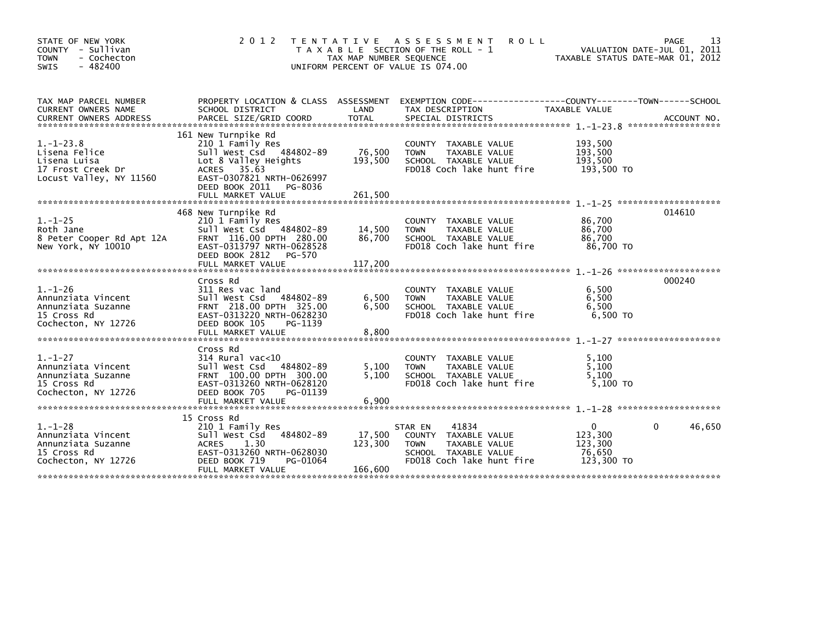| STATE OF NEW YORK<br>COUNTY - Sullivan<br><b>TOWN</b><br>- Cochecton<br>$-482400$<br><b>SWIS</b> | 2 0 1 2                                                                                                                                                                     | TENTATIVE ASSESSMENT<br><b>ROLL</b><br>T A X A B L E SECTION OF THE ROLL - 1<br>TAX MAP NUMBER SEQUENCE<br>UNIFORM PERCENT OF VALUE IS 074.00                 | 13<br>PAGE<br>VALUATION DATE-JUL 01, 2011<br>TAXABLE STATUS DATE-MAR 01, 2012 |
|--------------------------------------------------------------------------------------------------|-----------------------------------------------------------------------------------------------------------------------------------------------------------------------------|---------------------------------------------------------------------------------------------------------------------------------------------------------------|-------------------------------------------------------------------------------|
| TAX MAP PARCEL NUMBER<br>CURRENT OWNERS NAME                                                     | SCHOOL DISTRICT                                                                                                                                                             | PROPERTY LOCATION & CLASS ASSESSMENT EXEMPTION CODE----------------COUNTY-------TOWN------SCHOOL<br>LAND<br>TAX DESCRIPTION                                   | TAXABLE VALUE                                                                 |
| $1.-1-23.8$<br>Lisena Felice<br>Lisena Luisa<br>17 Frost Creek Dr<br>Locust Valley, NY 11560     | 161 New Turnpike Rd<br>210 1 Family Res<br>Sull West Csd 484802-89<br>Lot 8 Valley Heights<br>ACRES 35.63<br>EAST-0307821 NRTH-0626997<br>DEED BOOK 2011 PG-8036            | COUNTY TAXABLE VALUE<br>76,500<br><b>TOWN</b><br>TAXABLE VALUE<br>193,500<br>SCHOOL TAXABLE VALUE<br>FD018 Coch lake hunt fire                                | 193,500<br>193,500<br>193,500<br>193,500 TO                                   |
| $1. - 1 - 25$<br>Roth Jane<br>8 Peter Cooper Rd Apt 12A<br>New York, NY 10010                    | 468 New Turnpike Rd<br>210 1 Family Res<br>Sull West Csd 484802-89<br>FRNT 116.00 DPTH 280.00<br>EAST-0313797 NRTH-0628528<br>DEED BOOK 2812<br>PG-570<br>FULL MARKET VALUE | COUNTY TAXABLE VALUE<br>14,500<br><b>TOWN</b><br>TAXABLE VALUE<br>86,700<br>SCHOOL TAXABLE VALUE<br>FD018 Coch lake hunt fire<br>117,200                      | 014610<br>86,700<br>86,700<br>86.700<br>86,700 TO                             |
| $1. - 1 - 26$<br>Annunziata Vincent<br>Annunziata Suzanne<br>15 Cross Rd<br>Cochecton, NY 12726  | Cross Rd<br>311 Res vac land<br>Sull West Csd 484802-89<br>FRNT 218.00 DPTH 325.00<br>EAST-0313220 NRTH-0628230<br>DEED BOOK 105<br>PG-1139<br>FULL MARKET VALUE            | COUNTY TAXABLE VALUE<br>6,500<br>TAXABLE VALUE<br><b>TOWN</b><br>6,500<br>SCHOOL TAXABLE VALUE<br>FD018 Coch lake hunt fire<br>8.800                          | 000240<br>6,500<br>6,500<br>6,500<br>6.500 TO                                 |
| $1. - 1 - 27$<br>Annunziata Vincent<br>Annunziata Suzanne<br>15 Cross Rd<br>Cochecton, NY 12726  | Cross Rd<br>$314$ Rural vac< $10$<br>Sull West Csd 484802-89<br>FRNT 100.00 DPTH 300.00<br>EAST-0313260 NRTH-0628120<br>DEED BOOK 705<br>PG-01139<br>FULL MARKET VALUE      | COUNTY TAXABLE VALUE<br>5,100<br><b>TOWN</b><br>TAXABLE VALUE<br>5.100<br>SCHOOL TAXABLE VALUE<br>FD018 Coch lake hunt fire<br>6,900                          | 5,100<br>5,100<br>5.100<br>5,100 TO                                           |
| $1. - 1 - 28$<br>Annunziata Vincent<br>Annunziata Suzanne<br>15 Cross Rd<br>Cochecton, NY 12726  | 15 Cross Rd<br>210 1 Family Res<br>484802-89<br>Sull West Csd<br><b>ACRES</b><br>1.30<br>EAST-0313260 NRTH-0628030<br>DEED BOOK 719<br>PG-01064<br>FULL MARKET VALUE        | 41834<br>STAR EN<br>17,500<br>COUNTY TAXABLE VALUE<br>123,300<br>TAXABLE VALUE<br><b>TOWN</b><br>SCHOOL TAXABLE VALUE<br>FD018 Coch lake hunt fire<br>166,600 | 46,650<br>$\mathbf{0}$<br>0<br>123,300<br>123,300<br>76,650<br>123,300 TO     |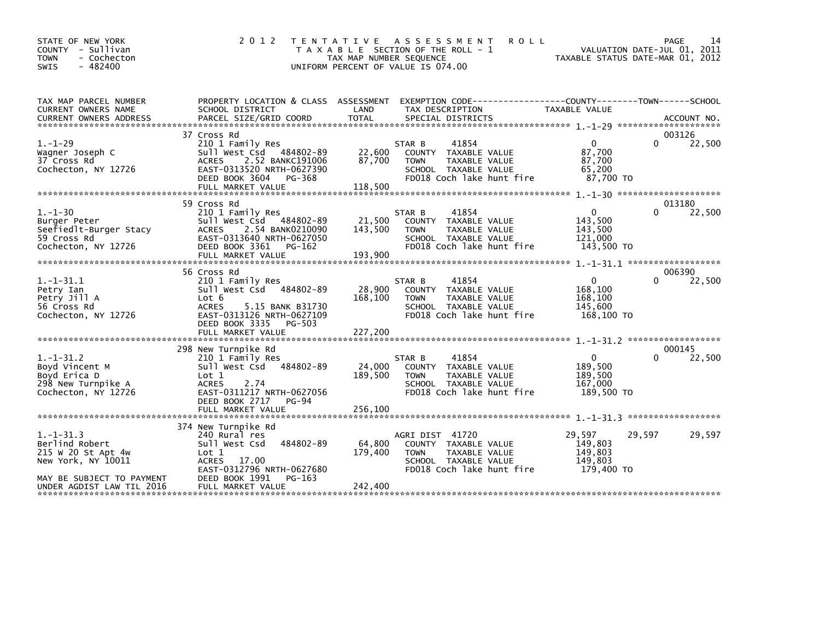| STATE OF NEW YORK<br>COUNTY - Sullivan<br>- Cochecton<br><b>TOWN</b><br>- 482400<br><b>SWIS</b>        | 2 0 1 2                                                                                                                                                             | T E N T A T I V E<br>TAX MAP NUMBER SEQUENCE<br>UNIFORM PERCENT OF VALUE IS 074.00 | A S S E S S M E N T<br>T A X A B L E SECTION OF THE ROLL - 1                                                                 | <b>ROLL</b>                                                                          | PAGE<br>VALUATION DATE-JUL 01, 2011<br>TAXABLE STATUS DATE-MAR 01, 2012 | 14     |
|--------------------------------------------------------------------------------------------------------|---------------------------------------------------------------------------------------------------------------------------------------------------------------------|------------------------------------------------------------------------------------|------------------------------------------------------------------------------------------------------------------------------|--------------------------------------------------------------------------------------|-------------------------------------------------------------------------|--------|
| TAX MAP PARCEL NUMBER<br>CURRENT OWNERS NAME                                                           | PROPERTY LOCATION & CLASS ASSESSMENT<br>SCHOOL DISTRICT                                                                                                             | LAND                                                                               | TAX DESCRIPTION                                                                                                              | EXEMPTION CODE-----------------COUNTY-------TOWN------SCHOOL<br><b>TAXABLE VALUE</b> |                                                                         |        |
|                                                                                                        |                                                                                                                                                                     |                                                                                    |                                                                                                                              |                                                                                      |                                                                         |        |
| $1. - 1 - 29$                                                                                          | 37 Cross Rd<br>210 1 Family Res                                                                                                                                     |                                                                                    | 41854<br>STAR B                                                                                                              | $\Omega$                                                                             | 003126<br>0                                                             | 22,500 |
| Wagner Joseph C<br>37 Cross Rd<br>Cochecton, NY 12726                                                  | Sull West Csd 484802-89<br><b>ACRES</b><br>2.52 BANKC191006<br>EAST-0313520 NRTH-0627390<br>DEED BOOK 3604<br>PG-368<br>FULL MARKET VALUE                           | 22,600<br>87,700<br>118,500                                                        | COUNTY TAXABLE VALUE<br><b>TOWN</b><br>TAXABLE VALUE<br>SCHOOL TAXABLE VALUE<br>FD018 Coch lake hunt fire                    | 87,700<br>87,700<br>65,200<br>87.700 TO                                              |                                                                         |        |
|                                                                                                        |                                                                                                                                                                     |                                                                                    |                                                                                                                              |                                                                                      |                                                                         |        |
| $1. - 1 - 30$<br>Burger Peter<br>Seefiedlt-Burger Stacy<br>59 Cross Rd<br>Cochecton, NY 12726          | 59 Cross Rd<br>210 1 Family Res<br>Sull West Csd 484802-89<br>2.54 BANK0210090<br><b>ACRES</b><br>EAST-0313640 NRTH-0627050<br>DEED BOOK 3361<br>PG-162             | 21,500<br>143,500                                                                  | 41854<br>STAR B<br>COUNTY TAXABLE VALUE<br>TAXABLE VALUE<br><b>TOWN</b><br>SCHOOL TAXABLE VALUE<br>FD018 Coch lake hunt fire | $\mathbf{0}$<br>143,500<br>143,500<br>121,000<br>143,500 TO                          | 013180<br>0                                                             | 22,500 |
|                                                                                                        |                                                                                                                                                                     |                                                                                    |                                                                                                                              |                                                                                      |                                                                         |        |
|                                                                                                        | 56 Cross Rd                                                                                                                                                         |                                                                                    |                                                                                                                              |                                                                                      | 006390                                                                  |        |
| $1.-1-31.1$<br>Petry Ian<br>Petry Jill A<br>56 Cross Rd<br>Cochecton, NY 12726                         | 210 1 Family Res<br>Sull West Csd 484802-89<br>Lot 6<br><b>ACRES</b><br>5.15 BANK B31730<br>EAST-0313126 NRTH-0627109<br>DEED BOOK 3335<br>PG-503                   | 28,900<br>168,100                                                                  | 41854<br>STAR B<br>COUNTY TAXABLE VALUE<br><b>TOWN</b><br>TAXABLE VALUE<br>SCHOOL TAXABLE VALUE<br>FD018 Coch lake hunt fire | $\mathbf{0}$<br>168,100<br>168,100<br>145,600<br>168,100 TO                          | 0                                                                       | 22,500 |
|                                                                                                        | FULL MARKET VALUE                                                                                                                                                   | 227,200                                                                            |                                                                                                                              |                                                                                      |                                                                         |        |
|                                                                                                        | 298 New Turnpike Rd                                                                                                                                                 |                                                                                    |                                                                                                                              |                                                                                      | 000145                                                                  |        |
| $1.-1-31.2$<br>Boyd Vincent M<br>Boyd Erica D<br>298 New Turnpike A<br>Cochecton, NY 12726             | 210 1 Family Res<br>Sull West Csd<br>484802-89<br>Lot 1<br><b>ACRES</b><br>2.74<br>EAST-0311217 NRTH-0627056<br>DEED BOOK 2717<br><b>PG-94</b><br>FULL MARKET VALUE | 24,000<br>189,500<br>256,100                                                       | 41854<br>STAR B<br>COUNTY TAXABLE VALUE<br><b>TOWN</b><br>TAXABLE VALUE<br>SCHOOL TAXABLE VALUE<br>FD018 Coch lake hunt fire | $\Omega$<br>189,500<br>189,500<br>167,000<br>189,500 TO                              |                                                                         | 22,500 |
|                                                                                                        |                                                                                                                                                                     |                                                                                    |                                                                                                                              |                                                                                      |                                                                         |        |
| $1.-1-31.3$<br>Berlind Robert<br>215 W 20 St Apt 4w<br>New York, NY 10011<br>MAY BE SUBJECT TO PAYMENT | 374 New Turnpike Rd<br>240 Rural res<br>484802-89<br>Sull West Csd<br>Lot 1<br>ACRES 17.00<br>EAST-0312796 NRTH-0627680<br>DEED BOOK 1991<br>PG-163                 | 64,800<br>179,400                                                                  | AGRI DIST 41720<br>COUNTY TAXABLE VALUE<br>TAXABLE VALUE<br><b>TOWN</b><br>SCHOOL TAXABLE VALUE<br>FD018 Coch lake hunt fire | 29,597<br>149,803<br>149,803<br>149,803<br>179.400 TO                                | 29,597                                                                  | 29,597 |
| UNDER AGDIST LAW TIL 2016                                                                              | FULL MARKET VALUE                                                                                                                                                   | 242,400                                                                            |                                                                                                                              |                                                                                      |                                                                         |        |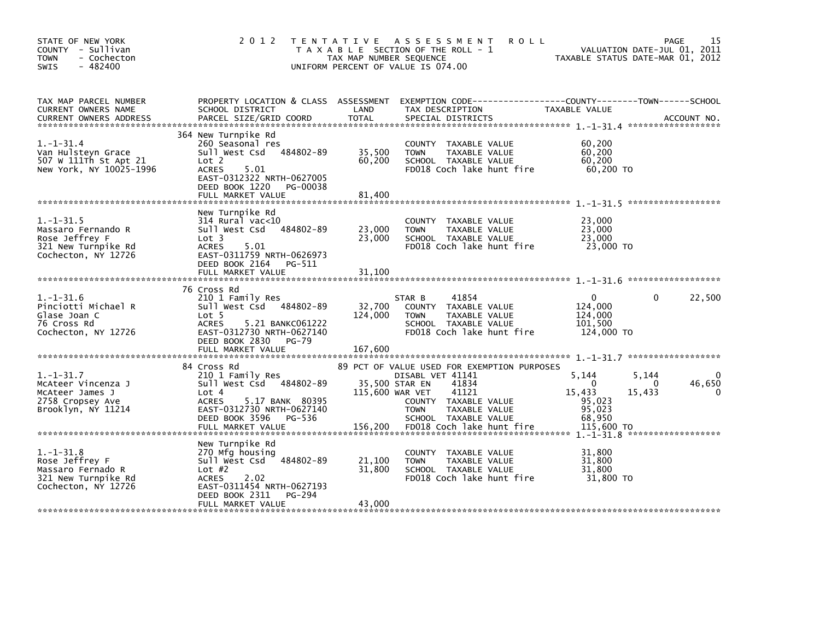| STATE OF NEW YORK<br>COUNTY - Sullivan<br><b>TOWN</b><br>- Cochecton<br>$-482400$<br><b>SWIS</b>                                                                                                                                                                               | 2 0 1 2                                                                                                                                                                              | TAX MAP NUMBER SEOUENCE      | TENTATIVE ASSESSMENT<br><b>ROLL</b><br>T A X A B L E SECTION OF THE ROLL - 1<br>UNIFORM PERCENT OF VALUE IS 074.00                                                                  | VALUATION DATE-JUL 01, 2011<br>TAXABLE STATUS DATE-MAR 01, 2012                   | 15<br><b>PAGE</b> |
|--------------------------------------------------------------------------------------------------------------------------------------------------------------------------------------------------------------------------------------------------------------------------------|--------------------------------------------------------------------------------------------------------------------------------------------------------------------------------------|------------------------------|-------------------------------------------------------------------------------------------------------------------------------------------------------------------------------------|-----------------------------------------------------------------------------------|-------------------|
| TAX MAP PARCEL NUMBER<br>CURRENT OWNERS NAME<br>.CURRENT OWNERS ADDRESS PARCEL SIZE/GRID COORD TOTAL SPECIAL DISTRICTS AND MESS ADDRESS PARCEL SIZE/GRID COORD TOTAL SPECIAL DISTRICTS AND MESS AND MESS ASSESSMENT ON A SERVER AND TOTAL SERVER AND TOTAL THE SERVER SERVER A | PROPERTY LOCATION & CLASS ASSESSMENT<br>SCHOOL DISTRICT                                                                                                                              | LAND                         | EXEMPTION CODE------------------COUNTY--------TOWN------SCHOOL<br>TAX DESCRIPTION                                                                                                   | TAXABLE VALUE                                                                     |                   |
| $1. - 1 - 31.4$<br>Van Hulsteyn Grace<br>507 W 111Th St Apt 21<br>New York, NY 10025-1996                                                                                                                                                                                      | 364 New Turnpike Rd<br>260 Seasonal res<br>Sull West Csd<br>484802-89<br>Lot 2<br><b>ACRES</b><br>5.01<br>EAST-0312322 NRTH-0627005<br>DEED BOOK 1220 PG-00038<br>FULL MARKET VALUE  | 35,500<br>60,200<br>81.400   | COUNTY TAXABLE VALUE<br><b>TOWN</b><br>TAXABLE VALUE<br>SCHOOL TAXABLE VALUE<br>FD018 Coch lake hunt fire                                                                           | 60,200<br>60,200<br>60, 200<br>60,200 TO                                          |                   |
| $1.-1-.31.5$<br>Massaro Fernando R<br>Rose Jeffrey F<br>321 New Turnpike Rd<br>Cochecton, NY 12726                                                                                                                                                                             | New Turnpike Rd<br>$314$ Rural vac<10<br>484802-89<br>Sull West Csd<br>Lot 3<br><b>ACRES</b><br>5.01<br>EAST-0311759 NRTH-0626973<br>DEED BOOK 2164 PG-511<br>FULL MARKET VALUE      | 23,000<br>23,000<br>31,100   | COUNTY TAXABLE VALUE<br>TAXABLE VALUE<br><b>TOWN</b><br>SCHOOL TAXABLE VALUE<br>FD018 Coch lake hunt fire                                                                           | 23,000<br>23,000<br>23,000<br>23,000 TO                                           |                   |
| $1. - 1 - 31.6$<br>Pinciotti Michael R<br>Glase Joan C<br>76 Cross Rd<br>Cochecton, NY 12726                                                                                                                                                                                   | 76 Cross Rd<br>210 1 Family Res<br>Sull West Csd 484802-89<br>Lot 5<br><b>ACRES</b><br>5.21 BANKC061222<br>EAST-0312730 NRTH-0627140<br>DEED BOOK 2830<br>PG-79<br>FULL MARKET VALUE | 32,700<br>124,000<br>167,600 | 41854<br>STAR B<br>COUNTY TAXABLE VALUE<br><b>TOWN</b><br>TAXABLE VALUE<br>SCHOOL TAXABLE VALUE<br>FD018 Coch lake hunt fire                                                        | $\Omega$<br>0<br>124,000<br>124,000<br>101,500<br>124,000 TO                      | 22,500            |
| $1. - 1 - 31.7$<br>McAteer Vincenza J<br>McAteer James J<br>2758 Cropsey Ave<br>Brooklyn, NY 11214                                                                                                                                                                             | 84 Cross Rd<br>210 1 Family Res<br>Sull West Csd 484802-89<br>Lot 4<br>5.17 BANK 80395<br><b>ACRES</b><br>EAST-0312730 NRTH-0627140<br>DEED BOOK 3596<br>PG-536                      | 115,600 WAR VET              | 89 PCT OF VALUE USED FOR EXEMPTION PURPOSES<br>DISABL VET 41141<br>35,500 STAR EN<br>41834<br>41121<br>COUNTY TAXABLE VALUE<br><b>TOWN</b><br>TAXABLE VALUE<br>SCHOOL TAXABLE VALUE | 5,144<br>5,144<br>$\Omega$<br>0<br>15,433<br>15,433<br>95,023<br>95,023<br>68,950 | 46,650            |
| $1. - 1 - 31.8$<br>Rose Jeffrey F<br>Massaro Fernado R<br>321 New Turnpike Rd<br>Cochecton, NY 12726                                                                                                                                                                           | New Turnpike Rd<br>270 Mfg housing<br>484802-89<br>sull west Csd<br>Lot $#2$<br><b>ACRES</b><br>2.02<br>EAST-0311454 NRTH-0627193<br>DEED BOOK 2311<br>PG-294<br>FULL MARKET VALUE   | 21,100<br>31,800<br>43,000   | COUNTY TAXABLE VALUE<br>TAXABLE VALUE<br><b>TOWN</b><br>SCHOOL TAXABLE VALUE<br>FD018 Coch lake hunt fire                                                                           | 31,800<br>31,800<br>31,800<br>31,800 TO                                           |                   |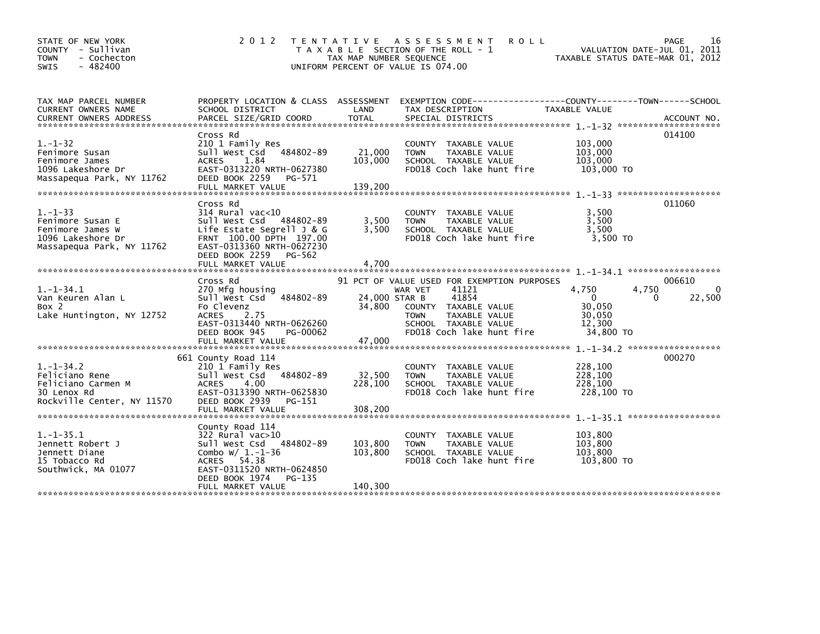| STATE OF NEW YORK<br>COUNTY - Sullivan<br>- Cochecton<br><b>TOWN</b><br>$-482400$<br><b>SWIS</b>        | 2 0 1 2                                                                                                                                                                 | T E N T A T I V E<br>TAX MAP NUMBER SEQUENCE | A S S E S S M E N T<br><b>ROLL</b><br>T A X A B L E SECTION OF THE ROLL - 1<br>UNIFORM PERCENT OF VALUE IS 074.00                                                                     | VALUATION DATE-JUL 01, 2011<br>TAXABLE STATUS DATE-MAR 01, 2012       | 16<br>PAGE                            |
|---------------------------------------------------------------------------------------------------------|-------------------------------------------------------------------------------------------------------------------------------------------------------------------------|----------------------------------------------|---------------------------------------------------------------------------------------------------------------------------------------------------------------------------------------|-----------------------------------------------------------------------|---------------------------------------|
| TAX MAP PARCEL NUMBER<br>CURRENT OWNERS NAME<br><b>CURRENT OWNERS ADDRESS</b>                           | PROPERTY LOCATION & CLASS ASSESSMENT<br>SCHOOL DISTRICT<br>PARCEL SIZE/GRID COORD                                                                                       | LAND<br><b>TOTAL</b>                         | EXEMPTION CODE-----------------COUNTY-------TOWN------SCHOOL<br>TAX DESCRIPTION<br>SPECIAL DISTRICTS                                                                                  | TAXABLE VALUE                                                         | ACCOUNT NO.                           |
|                                                                                                         |                                                                                                                                                                         |                                              |                                                                                                                                                                                       |                                                                       |                                       |
| $1. - 1 - 32$<br>Fenimore Susan<br>Fenimore James<br>1096 Lakeshore Dr<br>Massapequa Park, NY 11762     | Cross Rd<br>210 1 Family Res<br>Sull West Csd<br>484802-89<br><b>ACRES</b><br>1.84<br>EAST-0313220 NRTH-0627380<br>DEED BOOK 2259<br>PG-571                             | 21,000<br>103,000                            | COUNTY TAXABLE VALUE<br>TAXABLE VALUE<br><b>TOWN</b><br>SCHOOL TAXABLE VALUE<br>FD018 Coch lake hunt fire                                                                             | 103,000<br>103,000<br>103,000<br>103,000 TO                           | 014100                                |
|                                                                                                         | FULL MARKET VALUE                                                                                                                                                       | 139,200                                      |                                                                                                                                                                                       |                                                                       |                                       |
| $1. - 1 - 33$<br>Fenimore Susan E<br>Fenimore James W<br>1096 Lakeshore Dr<br>Massapequa Park, NY 11762 | Cross Rd<br>$314$ Rural vac<10<br>Sull West Csd 484802-89<br>Life Estate Segrell J & G<br>FRNT 100.00 DPTH 197.00<br>EAST-0313360 NRTH-0627230<br>DEED BOOK 2259 PG-562 | 3,500<br>3,500                               | COUNTY TAXABLE VALUE<br>TAXABLE VALUE<br><b>TOWN</b><br>SCHOOL TAXABLE VALUE<br>FD018 Coch lake hunt fire                                                                             | 3,500<br>3,500<br>3.500<br>3,500 TO                                   | 011060                                |
|                                                                                                         | FULL MARKET VALUE                                                                                                                                                       | 4,700                                        |                                                                                                                                                                                       |                                                                       |                                       |
| $1. - 1 - 34.1$<br>Van Keuren Alan L<br>Box 2<br>Lake Huntington, NY 12752                              | Cross Rd<br>270 Mfg housing<br>484802-89<br>Sull West Csd<br>Fo Clevenz<br>2.75<br><b>ACRES</b><br>EAST-0313440 NRTH-0626260<br>DEED BOOK 945<br>PG-00062               | 24,000 STAR B<br>34,800                      | 91 PCT OF VALUE USED FOR EXEMPTION PURPOSES<br>41121<br>WAR VET<br>41854<br>COUNTY TAXABLE VALUE<br>TAXABLE VALUE<br><b>TOWN</b><br>SCHOOL TAXABLE VALUE<br>FD018 Coch lake hunt fire | 4.750<br>4,750<br>$\Omega$<br>30,050<br>30,050<br>12,300<br>34,800 TO | 006610<br>$\mathbf{0}$<br>22,500<br>0 |
|                                                                                                         | 661 County Road 114                                                                                                                                                     |                                              |                                                                                                                                                                                       |                                                                       | 000270                                |
| $1. - 1 - 34.2$<br>Feliciano Rene<br>Feliciano Carmen M<br>30 Lenox Rd<br>Rockville Center, NY 11570    | 210 1 Family Res<br>Sull West Csd 484802-89<br><b>ACRES</b><br>4.00<br>EAST-0313390 NRTH-0625830<br>DEED BOOK 2939<br>PG-151                                            | 32,500<br>228,100                            | COUNTY TAXABLE VALUE<br><b>TOWN</b><br><b>TAXABLE VALUE</b><br>SCHOOL TAXABLE VALUE<br>FD018 Coch lake hunt fire                                                                      | 228,100<br>228,100<br>228,100<br>228,100 TO                           |                                       |
|                                                                                                         | FULL MARKET VALUE                                                                                                                                                       | 308,200                                      |                                                                                                                                                                                       | $1. -1 - 35.1$ ********************                                   |                                       |
| $1. -1 - 35.1$<br>Jennett Robert J<br>Jennett Diane<br>15 Tobacco Rd<br>Southwick, MA 01077             | County Road 114<br>$322$ Rural vac $>10$<br>Sull West Csd 484802-89<br>Combo $W/1.-1-36$<br>ACRES 54.38<br>EAST-0311520 NRTH-0624850<br>DEED BOOK 1974<br>PG-135        | 103,800<br>103,800                           | COUNTY TAXABLE VALUE<br>TAXABLE VALUE<br><b>TOWN</b><br>SCHOOL TAXABLE VALUE<br>FD018 Coch lake hunt fire                                                                             | 103,800<br>103,800<br>103.800<br>103,800 TO                           |                                       |
|                                                                                                         | FULL MARKET VALUE                                                                                                                                                       | 140,300                                      |                                                                                                                                                                                       |                                                                       |                                       |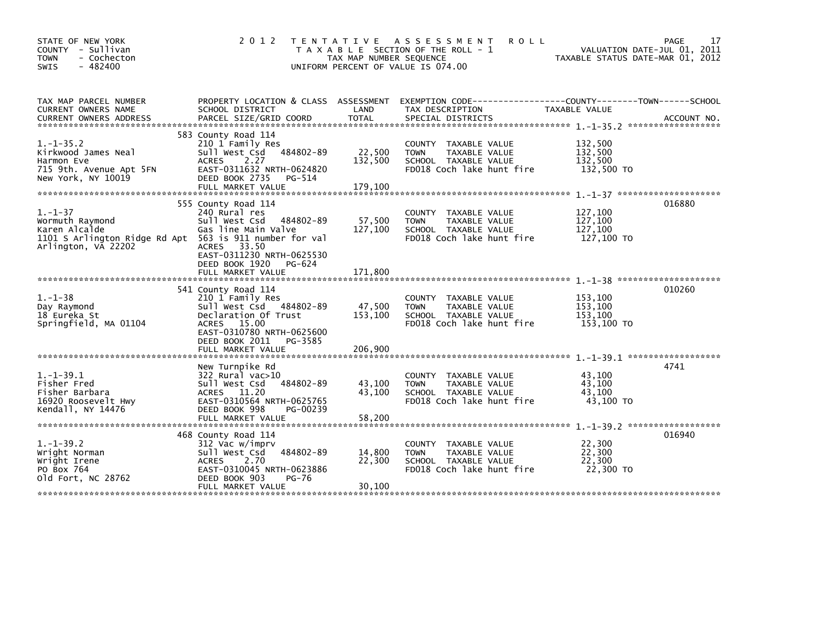| STATE OF NEW YORK<br>COUNTY - Sullivan<br><b>TOWN</b><br>- Cochecton<br>$-482400$<br><b>SWIS</b>                                    | 2 0 1 2                                                                                                                                                                                  | T E N T A T I V E<br>TAX MAP NUMBER SEQUENCE | <b>ROLL</b><br>A S S E S S M E N T<br>T A X A B L E SECTION OF THE ROLL - 1<br>UNIFORM PERCENT OF VALUE IS 074.00 | TAXABLE STATUS DATE-MAR 01, 2012            | 17<br>PAGE<br>VALUATION DATE-JUL 01, 2011 |
|-------------------------------------------------------------------------------------------------------------------------------------|------------------------------------------------------------------------------------------------------------------------------------------------------------------------------------------|----------------------------------------------|-------------------------------------------------------------------------------------------------------------------|---------------------------------------------|-------------------------------------------|
| TAX MAP PARCEL NUMBER<br>CURRENT OWNERS NAME<br><b>CURRENT OWNERS ADDRESS</b>                                                       | PROPERTY LOCATION & CLASS ASSESSMENT<br>SCHOOL DISTRICT<br>PARCEL SIZE/GRID COORD                                                                                                        | LAND<br>TOTAL                                | TAX DESCRIPTION<br>SPECIAL DISTRICTS                                                                              | TAXABLE VALUE                               | ACCOUNT NO.                               |
| $1. -1 - 35.2$<br>Kirkwood James Neal<br>Harmon Eve<br>715 9th. Avenue Apt 5FN<br>New York, NY 10019                                | 583 County Road 114<br>210 1 Family Res<br>Sull West Csd 484802-89<br>2.27<br>ACRES<br>EAST-0311632 NRTH-0624820<br>DEED BOOK 2735<br>PG-514<br>FULL MARKET VALUE                        | 22,500<br>132,500<br>179.100                 | COUNTY TAXABLE VALUE<br><b>TOWN</b><br>TAXABLE VALUE<br>SCHOOL TAXABLE VALUE<br>FD018 Coch lake hunt fire         | 132,500<br>132,500<br>132,500<br>132,500 TO |                                           |
| $1. - 1 - 37$<br>Wormuth Raymond<br>Karen Alcalde<br>1101 S Arlington Ridge Rd Apt 563 is 911 number for val<br>Arlington, VA 22202 | 555 County Road 114<br>240 Rural res<br>484802-89<br>Sull West Csd<br>Gas line Main Valve<br>ACRES 33.50<br>EAST-0311230 NRTH-0625530<br>DEED BOOK 1920<br>PG-624<br>FULL MARKET VALUE   | 57,500<br>127,100<br>171.800                 | COUNTY TAXABLE VALUE<br>TAXABLE VALUE<br><b>TOWN</b><br>SCHOOL TAXABLE VALUE<br>FD018 Coch lake hunt fire         | 127,100<br>127,100<br>127.100<br>127,100 TO | 016880                                    |
| $1. - 1 - 38$<br>Day Raymond<br>18 Eureka St<br>Springfield, MA 01104                                                               | 541 County Road 114<br>210 1 Family Res<br>Sull West Csd 484802-89<br>Declaration Of Trust<br>ACRES 15.00<br>EAST-0310780 NRTH-0625600<br>DEED BOOK 2011<br>PG-3585<br>FULL MARKET VALUE | 47,500<br>153,100<br>206,900                 | COUNTY TAXABLE VALUE<br><b>TOWN</b><br>TAXABLE VALUE<br>SCHOOL TAXABLE VALUE<br>FD018 Coch lake hunt fire         | 153,100<br>153,100<br>153,100<br>153,100 TO | 010260                                    |
| $1. -1 - 39.1$<br>Fisher Fred<br>Fisher Barbara<br>16920 Roosevelt Hwy<br>Kendall, NY 14476                                         | New Turnpike Rd<br>322 Rural vac>10<br>Sull West Csd<br>484802-89<br>ACRES 11.20<br>EAST-0310564 NRTH-0625765<br>DEED BOOK 998<br>PG-00239<br>FULL MARKET VALUE                          | 43,100<br>43,100<br>58,200                   | TAXABLE VALUE<br>COUNTY<br><b>TOWN</b><br>TAXABLE VALUE<br>SCHOOL TAXABLE VALUE<br>FD018 Coch lake hunt fire      | 43,100<br>43,100<br>43,100<br>43,100 TO     | 4741                                      |
| $1.-1-39.2$<br>Wright Norman<br>Wright Irene<br>PO Box 764<br>old Fort, NC 28762                                                    | 468 County Road 114<br>312 Vac w/imprv<br>484802-89<br>Sull West Csd<br>2.70<br><b>ACRES</b><br>EAST-0310045 NRTH-0623886<br>DEED BOOK 903<br>PG-76<br>FULL MARKET VALUE                 | 14,800<br>22,300<br>30,100                   | COUNTY TAXABLE VALUE<br>TAXABLE VALUE<br><b>TOWN</b><br>SCHOOL TAXABLE VALUE<br>FD018 Coch lake hunt fire         | 22,300<br>22,300<br>22.300<br>22,300 TO     | 016940                                    |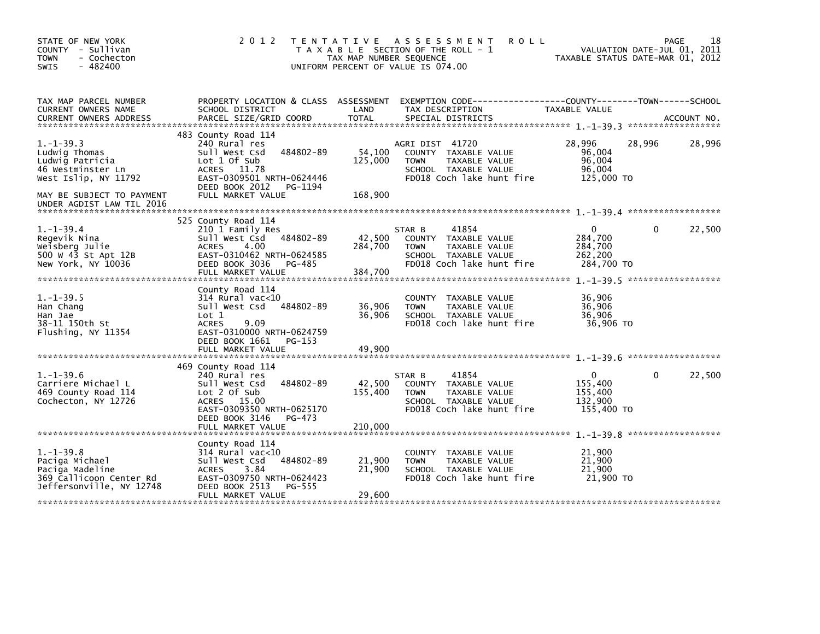| STATE OF NEW YORK<br>COUNTY - Sullivan<br><b>TOWN</b><br>- Cochecton<br>$-482400$<br>SWIS                                                                 | 2 0 1 2                                                                                                                                                                               | TAX MAP NUMBER SEQUENCE      | TENTATIVE ASSESSMENT<br><b>ROLL</b><br>T A X A B L E SECTION OF THE ROLL - 1<br>UNIFORM PERCENT OF VALUE IS 074.00           | VALUATION DATE-JUL 01, 2011<br>TAXABLE STATUS DATE-MAR 01, 2012 | PAGE     | 18     |
|-----------------------------------------------------------------------------------------------------------------------------------------------------------|---------------------------------------------------------------------------------------------------------------------------------------------------------------------------------------|------------------------------|------------------------------------------------------------------------------------------------------------------------------|-----------------------------------------------------------------|----------|--------|
| TAX MAP PARCEL NUMBER<br>CURRENT OWNERS NAME                                                                                                              | PROPERTY LOCATION & CLASS ASSESSMENT<br>SCHOOL DISTRICT                                                                                                                               | LAND                         | EXEMPTION CODE-----------------COUNTY-------TOWN------SCHOOL<br>TAX DESCRIPTION                                              | TAXABLE VALUE                                                   |          |        |
| $1. -1 - 39.3$<br>Ludwig Thomas<br>Ludwig Patricia<br>46 Westminster Ln<br>West Islip, NY 11792<br>MAY BE SUBJECT TO PAYMENT<br>UNDER AGDIST LAW TIL 2016 | 483 County Road 114<br>240 Rural res<br>484802-89<br>Sull West Csd<br>Lot 1 Of Sub<br>ACRES 11.78<br>EAST-0309501 NRTH-0624446<br>DEED BOOK 2012<br>PG-1194<br>FULL MARKET VALUE      | 54,100<br>125,000<br>168,900 | AGRI DIST 41720<br>COUNTY TAXABLE VALUE<br>TAXABLE VALUE<br><b>TOWN</b><br>SCHOOL TAXABLE VALUE<br>FD018 Coch lake hunt fire | 28,996<br>96,004<br>96,004<br>96,004<br>125,000 TO              | 28,996   | 28,996 |
| $1.-1-39.4$<br>Regevik Nina<br>Weisberg Julie<br>500 W 43 St Apt 12B<br>New York, NY 10036                                                                | 525 County Road 114<br>210 1 Family Res<br>Sull West Csd<br>484802-89<br><b>ACRES</b><br>4.00<br>EAST-0310462 NRTH-0624585<br>DEED BOOK 3036<br>PG-485<br>FULL MARKET VALUE           | 42,500<br>284,700<br>384,700 | 41854<br>STAR B<br>COUNTY TAXABLE VALUE<br>TAXABLE VALUE<br><b>TOWN</b><br>SCHOOL TAXABLE VALUE<br>FD018 Coch lake hunt fire | $\Omega$<br>284,700<br>284,700<br>262,200<br>284,700 TO         | $\Omega$ | 22,500 |
| $1.-1-39.5$<br>Han Chang<br>Han Jae<br>38-11 150th St<br>Flushing, NY 11354                                                                               | County Road 114<br>$314$ Rural vac< $10$<br>Sull West Csd<br>484802-89<br>Lot 1<br><b>ACRES</b><br>9.09<br>EAST-0310000 NRTH-0624759<br>DEED BOOK 1661<br>PG-153<br>FULL MARKET VALUE | 36,906<br>36,906<br>49,900   | COUNTY TAXABLE VALUE<br><b>TOWN</b><br>TAXABLE VALUE<br>SCHOOL TAXABLE VALUE<br>FD018 Coch lake hunt fire                    | 36,906<br>36.906<br>36,906<br>36,906 TO                         |          |        |
| $1. - 1 - 39.6$<br>Carriere Michael L<br>469 County Road 114<br>Cochecton, NY 12726                                                                       | 469 County Road 114<br>240 Rural res<br>Sull West Csd<br>484802-89<br>Lot 2 Of Sub<br>ACRES 15.00<br>EAST-0309350 NRTH-0625170<br>DEED BOOK 3146<br>$PG-473$<br>FULL MARKET VALUE     | 42,500<br>155,400<br>210,000 | 41854<br>STAR B<br>COUNTY TAXABLE VALUE<br><b>TOWN</b><br>TAXABLE VALUE<br>SCHOOL TAXABLE VALUE<br>FD018 Coch lake hunt fire | $\Omega$<br>155,400<br>155,400<br>132,900<br>155,400 TO         | $\Omega$ | 22,500 |
| $1. - 1 - 39.8$<br>Paciga Michael<br>Paciga Madeline<br>369 Callicoon Center Rd<br>Jeffersonville, NY 12748                                               | County Road 114<br>$314$ Rural vac< $10$<br>484802-89<br>Sull West Csd<br><b>ACRES</b><br>3.84<br>EAST-0309750 NRTH-0624423<br>DEED BOOK 2513<br>PG-555<br>FULL MARKET VALUE          | 21,900<br>21,900<br>29,600   | COUNTY TAXABLE VALUE<br>TAXABLE VALUE<br><b>TOWN</b><br>SCHOOL TAXABLE VALUE<br>FD018 Coch lake hunt fire                    | 21,900<br>21,900<br>21,900<br>21,900 TO                         |          |        |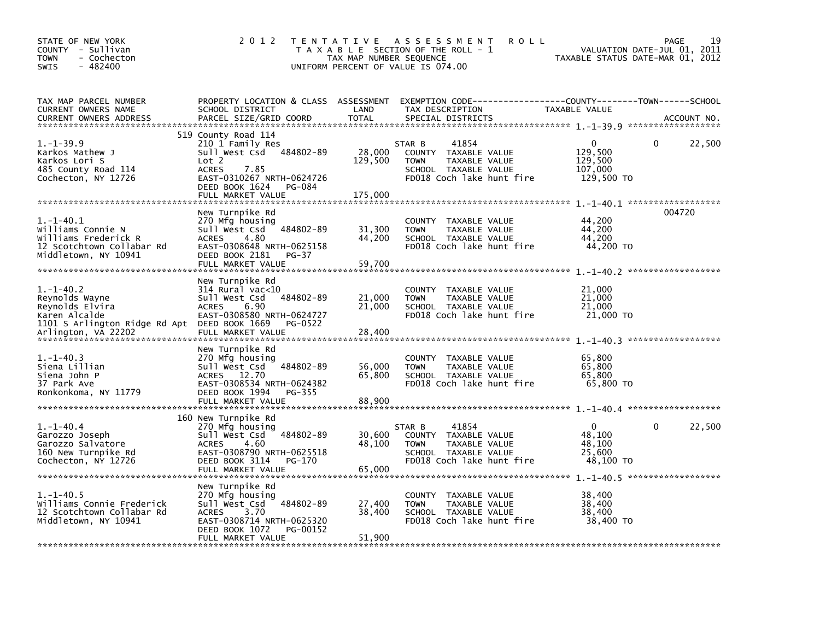| STATE OF NEW YORK<br>COUNTY - Sullivan<br>- Cochecton<br><b>TOWN</b><br>$-482400$<br><b>SWIS</b>                                         | 2 0 1 2                                                                                                                                                                    | TAX MAP NUMBER SEQUENCE    | TENTATIVE ASSESSMENT<br><b>ROLL</b><br>T A X A B L E SECTION OF THE ROLL - 1<br>UNIFORM PERCENT OF VALUE IS 074.00              | VALUATION DATE-JUL 01,<br>TAXABLE STATUS DATE-MAR 01, 2012 | 19<br><b>PAGE</b><br>2011 |
|------------------------------------------------------------------------------------------------------------------------------------------|----------------------------------------------------------------------------------------------------------------------------------------------------------------------------|----------------------------|---------------------------------------------------------------------------------------------------------------------------------|------------------------------------------------------------|---------------------------|
| TAX MAP PARCEL NUMBER<br>CURRENT OWNERS NAME<br><b>CURRENT OWNERS ADDRESS</b>                                                            | PROPERTY LOCATION & CLASS ASSESSMENT<br>SCHOOL DISTRICT<br>PARCEL SIZE/GRID COORD                                                                                          | LAND<br><b>TOTAL</b>       | EXEMPTION CODE------------------COUNTY--------TOWN------SCHOOL<br>TAX DESCRIPTION<br>SPECIAL DISTRICTS                          | TAXABLE VALUE                                              | ACCOUNT NO.               |
| $1. - 1 - 39.9$<br>Karkos Mathew J<br>Karkos Lori S<br>485 County Road 114<br>Cochecton, NY 12726                                        | 519 County Road 114<br>210 1 Family Res<br>Sull West Csd 484802-89<br>Lot 2<br><b>ACRES</b><br>7.85<br>EAST-0310267 NRTH-0624726<br>DEED BOOK 1624<br>PG-084               | 28,000<br>129,500          | 41854<br>STAR B<br>COUNTY TAXABLE VALUE<br>TAXABLE VALUE<br><b>TOWN</b><br>SCHOOL TAXABLE VALUE<br>FD018 Coch lake hunt fire    | 0<br>129,500<br>129,500<br>107,000<br>129,500 TO           | 22,500<br>0               |
| $1.-1-40.1$<br>Williams Connie N<br>Williams Frederick R<br>12 Scotchtown Collabar Rd<br>Middletown, NY 10941                            | New Turnpike Rd<br>270 Mfg housing<br>Sull West Csd<br>484802-89<br><b>ACRES</b><br>4.80<br>EAST-0308648 NRTH-0625158<br>DEED BOOK 2181<br>PG-37<br>FULL MARKET VALUE      | 31,300<br>44,200<br>59,700 | COUNTY TAXABLE VALUE<br><b>TOWN</b><br>TAXABLE VALUE<br>SCHOOL TAXABLE VALUE<br>FD018 Coch lake hunt fire                       | 44,200<br>44,200<br>44,200<br>44,200 TO                    | 004720                    |
| $1.-1-40.2$<br>Reynolds Wayne<br>Reynolds Elvira<br>Karen Alcalde<br>1101 S Arlington Ridge Rd Apt DEED BOOK 1669<br>Arlington, VA 22202 | New Turnpike Rd<br>$314$ Rural vac<10<br>Sull West Csd<br>484802-89<br><b>ACRES</b><br>6.90<br>EAST-0308580 NRTH-0624727<br>PG-0522<br>FULL MARKET VALUE                   | 21,000<br>21,000<br>28,400 | COUNTY TAXABLE VALUE<br><b>TOWN</b><br>TAXABLE VALUE<br>SCHOOL TAXABLE VALUE<br>FD018 Coch lake hunt fire                       | 21,000<br>21,000<br>21,000<br>21,000 TO                    |                           |
| $1.-1-40.3$<br>Siena Lillian<br>Siena John P<br>37 Park Ave<br>Ronkonkoma, NY 11779                                                      | New Turnpike Rd<br>270 Mfg housing<br>Sull West Csd<br>484802-89<br>12.70<br><b>ACRES</b><br>EAST-0308534 NRTH-0624382<br>DEED BOOK 1994<br>PG-355<br>FULL MARKET VALUE    | 56,000<br>65,800<br>88,900 | COUNTY TAXABLE VALUE<br><b>TOWN</b><br>TAXABLE VALUE<br>SCHOOL TAXABLE VALUE<br>FD018 Coch lake hunt fire                       | 65,800<br>65,800<br>65,800<br>65,800 TO                    |                           |
| $1.-1-40.4$<br>Garozzo Joseph<br>Garozzo Salvatore<br>160 New Turnpike Rd<br>Cochecton, NY 12726<br>******************************       | 160 New Turnpike Rd<br>270 Mfg housing<br>484802-89<br>Sull West Csd<br>4.60<br><b>ACRES</b><br>EAST-0308790 NRTH-0625518<br>DEED BOOK 3114<br>PG-170<br>FULL MARKET VALUE | 30,600<br>48,100<br>65,000 | STAR B<br>41854<br>COUNTY<br>TAXABLE VALUE<br><b>TOWN</b><br>TAXABLE VALUE<br>SCHOOL TAXABLE VALUE<br>FD018 Coch lake hunt fire | $\Omega$<br>48.100<br>48,100<br>25,600<br>48,100 TO        | 22,500<br>0               |
| $1.-1-40.5$<br>Williams Connie Frederick<br>12 Scotchtown Collabar Rd<br>Middletown, NY 10941                                            | New Turnpike Rd<br>270 Mfg housing<br>484802-89<br>Sull West Csd<br>3.70<br><b>ACRES</b><br>EAST-0308714 NRTH-0625320<br>DEED BOOK 1072<br>PG-00152<br>FULL MARKET VALUE   | 27,400<br>38,400<br>51,900 | COUNTY TAXABLE VALUE<br><b>TOWN</b><br>TAXABLE VALUE<br>SCHOOL TAXABLE VALUE<br>FD018 Coch lake hunt fire                       | 38,400<br>38,400<br>38,400<br>38,400 TO                    |                           |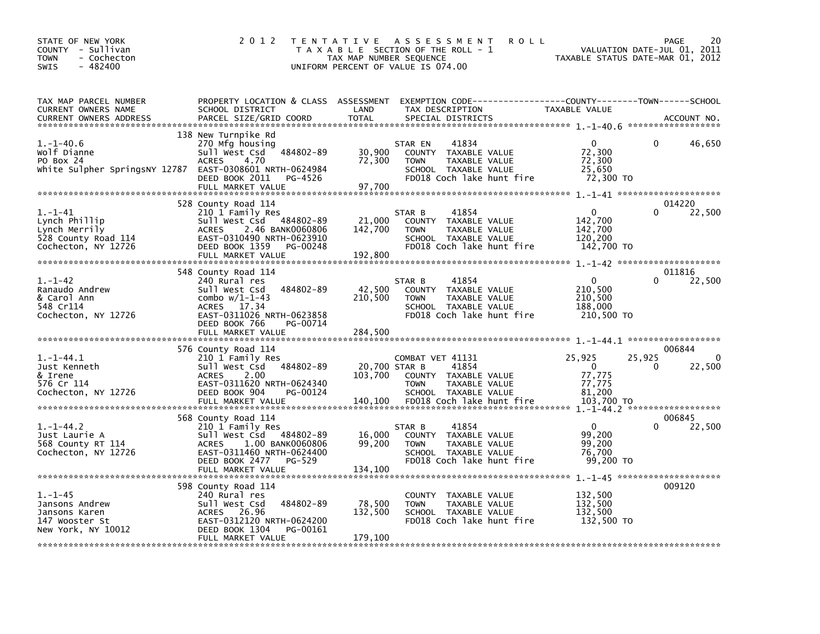| STATE OF NEW YORK<br>COUNTY - Sullivan<br>- Cochecton<br>TOWN<br>$-482400$<br><b>SWIS</b>          | 2 0 1 2                                                                                                                                                                              | T E N T A T I V E<br>TAX MAP NUMBER SEQUENCE | A S S E S S M E N T<br><b>ROLL</b><br>T A X A B L E SECTION OF THE ROLL - 1<br>UNIFORM PERCENT OF VALUE IS 074.00                       | TAXABLE STATUS DATE-MAR 01, 2012                                     | 20<br>PAGE<br>VALUATION DATE-JUL 01, 2011   |
|----------------------------------------------------------------------------------------------------|--------------------------------------------------------------------------------------------------------------------------------------------------------------------------------------|----------------------------------------------|-----------------------------------------------------------------------------------------------------------------------------------------|----------------------------------------------------------------------|---------------------------------------------|
| TAX MAP PARCEL NUMBER<br>CURRENT OWNERS NAME<br><b>CURRENT OWNERS ADDRESS</b>                      | SCHOOL DISTRICT<br>PARCEL SIZE/GRID COORD                                                                                                                                            | LAND<br><b>TOTAL</b>                         | PROPERTY LOCATION & CLASS ASSESSMENT EXEMPTION CODE---------------COUNTY-------TOWN------SCHOOL<br>TAX DESCRIPTION<br>SPECIAL DISTRICTS | TAXABLE VALUE                                                        | ACCOUNT NO.                                 |
| $1.-1-40.6$<br>Wolf Dianne<br>PO Box 24<br>White Sulpher SpringsNY 12787 EAST-0308601 NRTH-0624984 | 138 New Turnpike Rd<br>270 Mfg housing<br>484802-89<br>Sull West Csd<br><b>ACRES</b><br>4.70<br>DEED BOOK 2011<br>PG-4526<br>FULL MARKET VALUE                                       | 30,900<br>72,300<br>97.700                   | 41834<br>STAR EN<br>COUNTY TAXABLE VALUE<br>TAXABLE VALUE<br><b>TOWN</b><br>SCHOOL TAXABLE VALUE<br>FD018 Coch lake hunt fire           | $\mathbf{0}$<br>72,300<br>72,300<br>25,650<br>72,300 TO              | 46,650<br>0                                 |
| $1.-1-41$<br>Lynch Phillip<br>Lynch Merrily<br>528 County Road 114<br>Cochecton, NY 12726          | 528 County Road 114<br>210 1 Family Res<br>Sull West Csd 484802-89<br>2.46 BANK0060806<br>ACRES<br>EAST-0310490 NRTH-0623910<br>DEED BOOK 1359<br>PG-00248<br>FULL MARKET VALUE      | 21,000<br>142,700<br>192,800                 | 41854<br>STAR B<br>COUNTY TAXABLE VALUE<br>TAXABLE VALUE<br><b>TOWN</b><br>SCHOOL TAXABLE VALUE<br>FD018 Coch lake hunt fire            | $\mathbf{0}$<br>142,700<br>142,700<br>120,200<br>142,700 TO          | 014220<br>22,500<br>0                       |
| $1. - 1 - 42$<br>Ranaudo Andrew<br>& Carol Ann<br>548 Cr114<br>Cochecton, NY 12726                 | 548 County Road 114<br>240 Rural res<br>484802-89<br>Sull West Csd<br>combo $w/1-1-43$<br><b>ACRES</b><br>17.34<br>EAST-0311026 NRTH-0623858<br>DEED BOOK 766<br>PG-00714            | 42,500<br>210,500                            | 41854<br>STAR B<br>COUNTY TAXABLE VALUE<br>TAXABLE VALUE<br><b>TOWN</b><br>SCHOOL TAXABLE VALUE<br>FD018 Coch lake hunt fire            | $\mathbf{0}$<br>210,500<br>210,500<br>188,000<br>210,500 TO          | 011816<br>22,500<br>$\Omega$                |
| $1. -1 - 44.1$<br>Just Kenneth<br>& Irene<br>576 Cr 114<br>Cochecton, NY 12726                     | 576 County Road 114<br>210 1 Family Res<br>484802-89<br>Sull West Csd<br>2.00<br><b>ACRES</b><br>EAST-0311620 NRTH-0624340<br>DEED BOOK 904<br>PG-00124<br>FULL MARKET VALUE         | 20,700 STAR B<br>103,700<br>140,100          | COMBAT VET 41131<br>41854<br>COUNTY TAXABLE VALUE<br><b>TOWN</b><br>TAXABLE VALUE<br>SCHOOL TAXABLE VALUE<br>FD018 Coch lake hunt fire  | 25,925<br>$\overline{0}$<br>77,775<br>77,775<br>81,200<br>103,700 TO | 006844<br>25,925<br>$\Omega$<br>22,500<br>0 |
| $1.-1-44.2$<br>Just Laurie A<br>568 County RT 114<br>Cochecton, NY 12726                           | 568 County Road 114<br>210 1 Family Res<br>484802-89<br>Sull West Csd<br>1.00 BANK0060806<br><b>ACRES</b><br>EAST-0311460 NRTH-0624400<br>DEED BOOK 2477 PG-529<br>FULL MARKET VALUE | 16,000<br>99,200<br>134,100                  | 41854<br>STAR B<br>COUNTY TAXABLE VALUE<br>TAXABLE VALUE<br><b>TOWN</b><br>SCHOOL TAXABLE VALUE<br>FD018 Coch lake hunt fire            | $\Omega$<br>99,200<br>99,200<br>76,700<br>99,200 TO                  | 006845<br>0<br>22,500                       |
| $1. - 1 - 45$<br>Jansons Andrew<br>Jansons Karen<br>147 Wooster St<br>New York, NY 10012           | 598 County Road 114<br>240 Rural res<br>484802-89<br>Sull West Csd<br>26.96<br><b>ACRES</b><br>EAST-0312120 NRTH-0624200<br>DEED BOOK 1304<br>PG-00161<br>FULL MARKET VALUE          | 78,500<br>132,500<br>179.100                 | COUNTY TAXABLE VALUE<br><b>TOWN</b><br>TAXABLE VALUE<br>SCHOOL TAXABLE VALUE<br>FD018 Coch lake hunt fire                               | 132,500<br>132,500<br>132,500<br>132,500 TO                          | 009120                                      |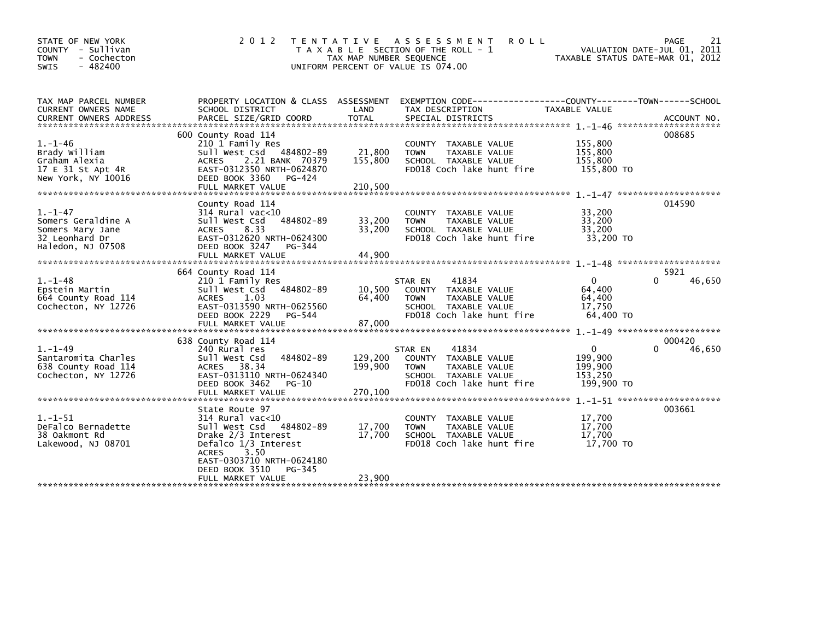| STATE OF NEW YORK<br>COUNTY - Sullivan<br><b>TOWN</b><br>- Cochecton<br>$-482400$<br><b>SWIS</b> | 2 0 1 2                                                                                                                                                                                                                | T E N T A T I V E<br>TAX MAP NUMBER SEQUENCE | <b>ROLL</b><br>A S S E S S M E N T<br>T A X A B L E SECTION OF THE ROLL - 1<br>UNIFORM PERCENT OF VALUE IS 074.00             | TAXABLE STATUS DATE-MAR 01, 2012                            | PAGE<br>21<br>VALUATION DATE-JUL 01, 2011 |
|--------------------------------------------------------------------------------------------------|------------------------------------------------------------------------------------------------------------------------------------------------------------------------------------------------------------------------|----------------------------------------------|-------------------------------------------------------------------------------------------------------------------------------|-------------------------------------------------------------|-------------------------------------------|
| TAX MAP PARCEL NUMBER<br>CURRENT OWNERS NAME<br><b>CURRENT OWNERS ADDRESS</b>                    | PROPERTY LOCATION & CLASS ASSESSMENT<br>SCHOOL DISTRICT<br>PARCEL SIZE/GRID COORD                                                                                                                                      | LAND<br><b>TOTAL</b>                         | EXEMPTION CODE-----------------COUNTY-------TOWN------SCHOOL<br>TAX DESCRIPTION<br>SPECIAL DISTRICTS                          | <b>TAXABLE VALUE</b>                                        | ACCOUNT NO.                               |
| $1. - 1 - 46$<br>Brady William<br>Graham Alexia<br>17 E 31 St Apt 4R<br>New York, NY 10016       | 600 County Road 114<br>210 1 Family Res<br>Sull West Csd 484802-89<br>2.21 BANK 70379<br><b>ACRES</b><br>EAST-0312350 NRTH-0624870<br>DEED BOOK 3360<br>PG-424<br>FULL MARKET VALUE                                    | 21,800<br>155,800<br>210,500                 | COUNTY TAXABLE VALUE<br>TAXABLE VALUE<br><b>TOWN</b><br>SCHOOL TAXABLE VALUE<br>FD018 Coch lake hunt fire                     | 155,800<br>155,800<br>155,800<br>155,800 TO                 | 008685                                    |
| $1. - 1 - 47$<br>Somers Geraldine A<br>Somers Mary Jane<br>32 Leonhard Dr<br>Haledon, NJ 07508   | County Road 114<br>$314$ Rural vac<10<br>484802-89<br>Sull West Csd<br>8.33<br><b>ACRES</b><br>EAST-0312620 NRTH-0624300<br>DEED BOOK 3247<br>PG-344<br>FULL MARKET VALUE                                              | 33,200<br>33,200<br>44,900                   | COUNTY TAXABLE VALUE<br>TAXABLE VALUE<br><b>TOWN</b><br>SCHOOL TAXABLE VALUE<br>FD018 Coch lake hunt fire                     | 33,200<br>33,200<br>33,200<br>33,200 TO                     | 014590                                    |
| $1. - 1 - 48$<br>Epstein Martin<br>664 County Road 114<br>Cochecton, NY 12726                    | 664 County Road 114<br>210 1 Family Res<br>sull west Csd<br>484802-89<br><b>ACRES</b><br>1.03<br>EAST-0313590 NRTH-0625560<br>DEED BOOK 2229<br>PG-544                                                                 | 10,500<br>64,400                             | 41834<br>STAR EN<br>COUNTY TAXABLE VALUE<br>TAXABLE VALUE<br><b>TOWN</b><br>SCHOOL TAXABLE VALUE<br>FD018 Coch lake hunt fire | $\mathbf{0}$<br>64,400<br>64,400<br>17,750<br>64,400 TO     | 5921<br>46,650                            |
| $1. - 1 - 49$<br>Santaromita Charles<br>638 County Road 114<br>Cochecton, NY 12726               | 638 County Road 114<br>240 Rural res<br>484802-89<br>Sull West Csd<br>38.34<br><b>ACRES</b><br>EAST-0313110 NRTH-0624340<br>DEED BOOK 3462<br>PG-10                                                                    | 129,200<br>199,900                           | 41834<br>STAR EN<br>COUNTY TAXABLE VALUE<br>TAXABLE VALUE<br><b>TOWN</b><br>SCHOOL TAXABLE VALUE<br>FD018 Coch lake hunt fire | $\mathbf{0}$<br>199,900<br>199,900<br>153,250<br>199,900 TO | 000420<br>46,650<br><sup>0</sup>          |
| $1. - 1 - 51$<br>DeFalco Bernadette<br>38 Oakmont Rd<br>Lakewood, NJ 08701                       | State Route 97<br>$314$ Rural vac<10<br>Sull West Csd<br>484802-89<br>Drake 2/3 Interest<br>Defalco 1/3 Interest<br>3.50<br><b>ACRES</b><br>EAST-0303710 NRTH-0624180<br>DEED BOOK 3510<br>PG-345<br>FULL MARKET VALUE | 17,700<br>17,700<br>23,900                   | COUNTY TAXABLE VALUE<br>TAXABLE VALUE<br><b>TOWN</b><br>SCHOOL TAXABLE VALUE<br>FD018 Coch lake hunt fire                     | 17,700<br>17,700<br>17,700<br>17.700 TO                     | 003661                                    |
|                                                                                                  |                                                                                                                                                                                                                        |                                              |                                                                                                                               |                                                             |                                           |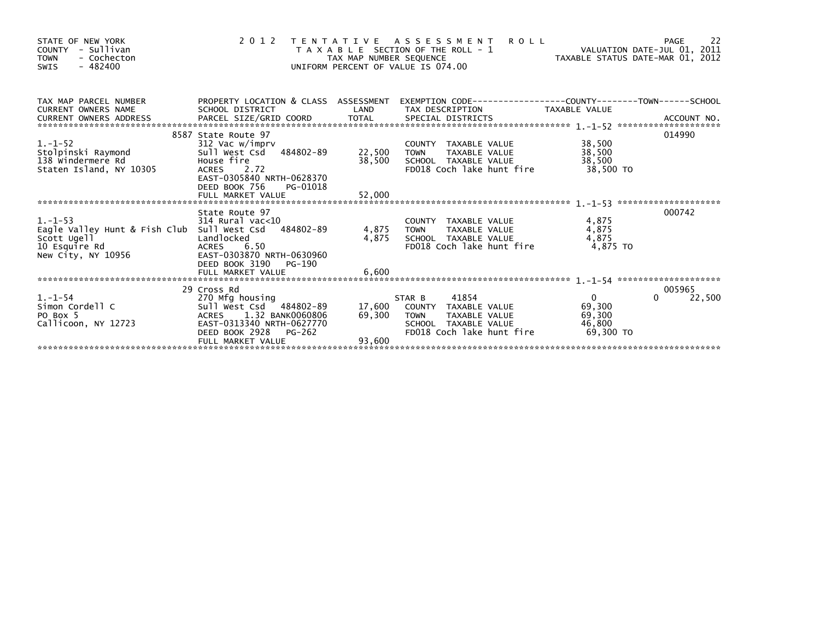| STATE OF NEW YORK<br>- Sullivan<br><b>COUNTY</b><br>- Cochecton<br><b>TOWN</b><br>$-482400$<br><b>SWIS</b>                                                                                                                                                     | 2 0 1 2                                                                                                                                                                      | TAX MAP NUMBER SEQUENCE                                        | <b>ROLL</b><br>TENTATIVE ASSESSMENT<br>T A X A B L E SECTION OF THE ROLL - 1<br>UNIFORM PERCENT OF VALUE IS 074.00                  |                                                           | 22<br>PAGE            |
|----------------------------------------------------------------------------------------------------------------------------------------------------------------------------------------------------------------------------------------------------------------|------------------------------------------------------------------------------------------------------------------------------------------------------------------------------|----------------------------------------------------------------|-------------------------------------------------------------------------------------------------------------------------------------|-----------------------------------------------------------|-----------------------|
| TAX MAP PARCEL NUMBER<br>CURRENT OWNERS NAME<br>CURRENT OWNERS ADDRESS<br>CURRENT OWNERS ADDRESS FORCEL SIZE/GRID COORD TOTAL SPECIAL DISTRICTS (2008) ACCOUNT NO.<br>EURRENT OWNERS ADDRESS PARCEL SIZE/GRID COORD TOTAL SPECIAL DISTRICTS (2008) 2014 - 2014 | SCHOOL DISTRICT                                                                                                                                                              | LAND                                                           | PROPERTY LOCATION & CLASS ASSESSMENT EXEMPTION CODE---------------COUNTY-------TOWN------SCHOOL<br>TAX DESCRIPTION TAXABLE VALUE    |                                                           |                       |
| $1. - 1 - 52$<br>:<br>Stolpinski Raymond<br>138 Windermere Rd<br>Staten Island. NY 10305<br>Staten Island, NY 10305                                                                                                                                            | 8587 State Route 97<br>312 Vac w/imprv<br>Sull West Csd 484802-89<br>House fire<br>ACRES 2.72<br>EAST-0305840 NRTH-0628370<br>DEED BOOK 756<br>PG-01018<br>FULL MARKET VALUE | COUNTY<br>-89 22,500 TOWN<br>-22,500 SCHOC<br>38,500<br>52,000 | COUNTY TAXABLE VALUE<br>TAXABLE VALUE<br>SCHOOL TAXABLE VALUE<br>FD018 Coch lake hunt fire                                          | 38,500<br>38,500<br>38,500<br>38.500 TO                   | 014990                |
| $1. - 1 - 53$<br>Eagle Valley Hunt & Fish Club Sull West Csd 484802-89<br>Scott Ugell<br>10 Esquire Rd<br>New City, NY 10956                                                                                                                                   | State Route 97<br>$314$ Rural vac<10<br>Landlocked<br><b>ACRES</b><br>6.50<br>EAST-0303870 NRTH-0630960<br>DEED BOOK 3190<br>PG-190<br>FULL MARKET VALUE                     | 4,875<br>6,600                                                 | COUNTY TAXABLE VALUE<br>4,875 TOWN<br>TAXABLE VALUE<br>SCHOOL TAXABLE VALUE<br>FD018 Coch lake hunt fire                            | 4,875<br>4,875<br>4,875<br>4.875 TO                       | 000742                |
| $1. -1 - 54$<br>Simon Cordell C<br>PO Box 5<br>Callicoon, NY 12723                                                                                                                                                                                             | 29 Cross Rd<br>270 Mfg housing<br>Sull West Csd 484802-89<br>ACRES 1.32 BANK0060806<br>EAST-0313340 NRTH-0627770<br>DEED BOOK 2928 PG-262<br>FULL MARKET VALUE               | 69,300<br>93,600                                               | 41854<br>STAR B<br>17,600 COUNTY TAXABLE VALUE<br>TAXABLE VALUE<br><b>TOWN</b><br>SCHOOL TAXABLE VALUE<br>FD018 Coch lake hunt fire | $\overline{0}$<br>69,300<br>69,300<br>46,800<br>69.300 TO | 005965<br>22,500<br>0 |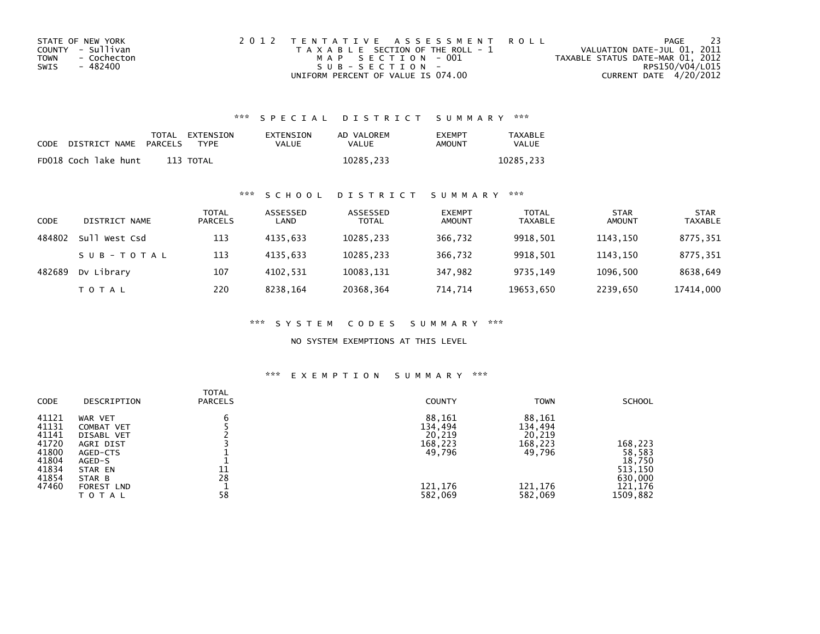| STATE OF NEW YORK   | 2012 TENTATIVE ASSESSMENT ROLL        | PAGE                             | -23             |
|---------------------|---------------------------------------|----------------------------------|-----------------|
| COUNTY - Sullivan   | T A X A B L E SECTION OF THE ROLL - 1 | VALUATION DATE-JUL 01, 2011      |                 |
| TOWN<br>- Cochecton | MAP SECTION - 001                     | TAXABLE STATUS DATE-MAR 01, 2012 |                 |
| - 482400<br>SWIS    | $SUB - SECTION -$                     |                                  | RPS150/V04/L015 |
|                     | UNIFORM PERCENT OF VALUE IS 074.00    | CURRENT DATE 4/20/2012           |                 |

## \*\*\* S P E C I A L D I S T R I C T S U M M A R Y \*\*\*

| CODE | DISTRICT NAME        | PARCELS | TOTAL EXTENSION<br>TYPF | EXTENSION<br><b>VALUE</b> | AD VALOREM<br><b>VALUE</b> | <b>EXEMPT</b><br>AMOUNT | <b>TAXABLE</b><br><b>VALUE</b> |
|------|----------------------|---------|-------------------------|---------------------------|----------------------------|-------------------------|--------------------------------|
|      | FD018 Coch lake hunt |         | 113 TOTAL               |                           | 10285,233                  |                         | 10285.233                      |

## \*\*\* S C H O O L D I S T R I C T S U M M A R Y \*\*\*

| CODE   | DISTRICT NAME    | TOTAL<br><b>PARCELS</b> | ASSESSED<br>LAND | ASSESSED<br><b>TOTAL</b> | <b>EXEMPT</b><br><b>AMOUNT</b> | <b>TOTAL</b><br><b>TAXABLE</b> | <b>STAR</b><br><b>AMOUNT</b> | <b>STAR</b><br><b>TAXABLE</b> |
|--------|------------------|-------------------------|------------------|--------------------------|--------------------------------|--------------------------------|------------------------------|-------------------------------|
| 484802 | Sull<br>West Csd | 113                     | 4135.633         | 10285.233                | 366.732                        | 9918.501                       | 1143.150                     | 8775,351                      |
|        | SUB-TOTAL        | 113                     | 4135.633         | 10285,233                | 366,732                        | 9918,501                       | 1143,150                     | 8775,351                      |
| 482689 | Dv Library       | 107                     | 4102.531         | 10083,131                | 347.982                        | 9735.149                       | 1096.500                     | 8638,649                      |
|        | <b>TOTAL</b>     | 220                     | 8238,164         | 20368,364                | 714.714                        | 19653,650                      | 2239,650                     | 17414,000                     |

\*\*\* S Y S T E M C O D E S S U M M A R Y \*\*\*

NO SYSTEM EXEMPTIONS AT THIS LEVEL

## \*\*\* E X E M P T I O N S U M M A R Y \*\*\*

| CODE                                                                          | DESCRIPTION                                                                                                               | <b>TOTAL</b><br><b>PARCELS</b> | <b>COUNTY</b>                                                          | <b>TOWN</b>                                                            | <b>SCHOOL</b>                                                            |
|-------------------------------------------------------------------------------|---------------------------------------------------------------------------------------------------------------------------|--------------------------------|------------------------------------------------------------------------|------------------------------------------------------------------------|--------------------------------------------------------------------------|
| 41121<br>41131<br>41141<br>41720<br>41800<br>41804<br>41834<br>41854<br>47460 | WAR VET<br>COMBAT VET<br>DISABL VET<br>AGRI DIST<br>AGED-CTS<br>AGED-S<br>STAR EN<br>STAR B<br><b>FOREST LND</b><br>TOTAL | b<br>11<br>28<br>58            | 88,161<br>134,494<br>20,219<br>168,223<br>49,796<br>121,176<br>582,069 | 88,161<br>134,494<br>20,219<br>168,223<br>49,796<br>121,176<br>582,069 | 168,223<br>58,583<br>18,750<br>513,150<br>630,000<br>121,176<br>1509,882 |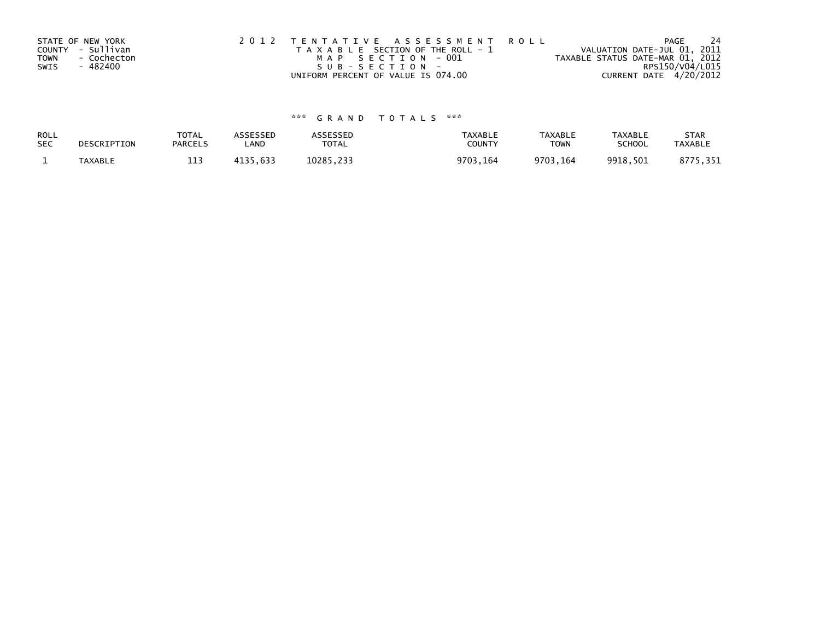| STATE OF NEW YORK          | 2012 TENTATIVE ASSESSMENT ROLL        | PAGE                             | 24 |
|----------------------------|---------------------------------------|----------------------------------|----|
| COUNTY - Sullivan          | T A X A B L E SECTION OF THE ROLL - 1 | VALUATION DATE-JUL 01, 2011      |    |
| <b>TOWN</b><br>- Cochecton | MAP SECTION - 001                     | TAXABLE STATUS DATE-MAR 01, 2012 |    |
| SWIS<br>- 482400           | SUB-SECTION-                          | RPS150/V04/L015                  |    |
|                            | UNIFORM PERCENT OF VALUE IS 074.00    | CURRENT DATE 4/20/2012           |    |

## \*\*\* G R A N D T O T A L S \*\*\*

| ROLL       | DESCRIPTION | <b>TOTAL</b>   | <b>ASSESSED</b> | <b>\SSESSED</b> | <b>TAXABLE</b> | <b>TAXABLE</b> | <b>TAXABLE</b> | <b>STAR</b>    |
|------------|-------------|----------------|-----------------|-----------------|----------------|----------------|----------------|----------------|
| <b>SEC</b> |             | <b>PARCELS</b> | LAND            | <b>TOTAL</b>    | COUNTY         | <b>TOWN</b>    | <b>SCHOOL</b>  | <b>TAXABLE</b> |
|            | TAXABLE     | 113            | 4135,633        | 10285.233       | 9703,164       | 9703.164       | 9918,501       | 75.351<br>8775 |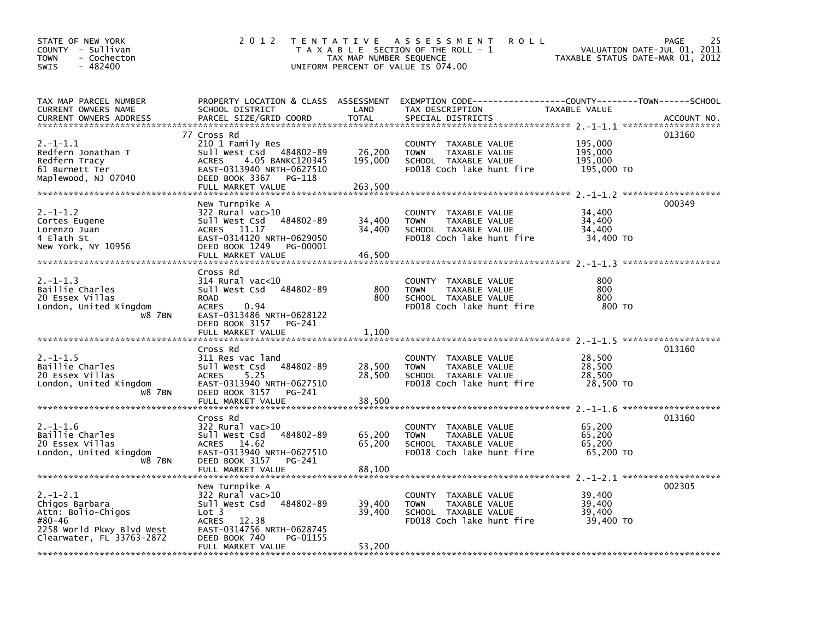| STATE OF NEW YORK<br>COUNTY - Sullivan<br><b>TOWN</b><br>- Cochecton<br>$-482400$<br>SWIS                                                                                                                                                              | 2 0 1 2                                                                                                                                                                                           | T E N T A T I V E<br>TAX MAP NUMBER SEQUENCE | A S S E S S M E N T<br><b>ROLL</b><br>T A X A B L E SECTION OF THE ROLL - 1<br>UNIFORM PERCENT OF VALUE IS 074.00   |                                             | 25<br>PAGE<br>VALUATION DATE-JUL 01, 2011<br>TAXABLE STATUS DATE-MAR 01, 2012 |
|--------------------------------------------------------------------------------------------------------------------------------------------------------------------------------------------------------------------------------------------------------|---------------------------------------------------------------------------------------------------------------------------------------------------------------------------------------------------|----------------------------------------------|---------------------------------------------------------------------------------------------------------------------|---------------------------------------------|-------------------------------------------------------------------------------|
| TAX MAP PARCEL NUMBER<br>CURRENT OWNERS NAME<br><b>CURRENT OWNERS ADDRESS</b>                                                                                                                                                                          | PROPERTY LOCATION & CLASS ASSESSMENT<br>SCHOOL DISTRICT<br>PARCEL SIZE/GRID COORD                                                                                                                 | LAND<br><b>TOTAL</b>                         | EXEMPTION CODE-----------------COUNTY-------TOWN------SCHOOL<br>TAX DESCRIPTION<br>SPECIAL DISTRICTS                | TAXABLE VALUE                               | ACCOUNT NO.                                                                   |
| $2. -1 - 1.1$<br>Redfern Jonathan T<br>Redfern Tracy<br>61 Burnett Ter<br>Maplewood, NJ 07040                                                                                                                                                          | 77 Cross Rd<br>210 1 Family Res<br>Sull West Csd 484802-89<br>4.05 BANKC120345<br><b>ACRES</b><br>EAST-0313940 NRTH-0627510<br>DEED BOOK 3367<br>PG-118<br>FULL MARKET VALUE                      | 26,200<br>195,000<br>263,500                 | COUNTY TAXABLE VALUE<br>TAXABLE VALUE<br><b>TOWN</b><br>SCHOOL TAXABLE VALUE<br>FD018 Coch lake hunt fire           | 195,000<br>195,000<br>195,000<br>195,000 TO | 013160                                                                        |
| $2. -1 - 1.2$<br>Cortes Eugene<br>Lorenzo Juan<br>4 Elath St<br>New York, NY 10956                                                                                                                                                                     | New Turnpike A<br>322 Rural vac>10<br>Sull West Csd<br>484802-89<br>ACRES 11.17<br>EAST-0314120 NRTH-0629050<br>DEED BOOK 1249<br>PG-00001<br>FULL MARKET VALUE                                   | 34,400<br>34,400<br>46,500                   | <b>COUNTY</b><br>TAXABLE VALUE<br><b>TOWN</b><br>TAXABLE VALUE<br>SCHOOL TAXABLE VALUE<br>FD018 Coch lake hunt fire | 34,400<br>34,400<br>34,400<br>34,400 TO     | 000349                                                                        |
| $2. -1 - 1.3$<br>Baillie Charles<br>20 Essex Villas<br>London, United Kingdom<br><b>W8 7BN</b>                                                                                                                                                         | Cross Rd<br>$314$ Rural vac<10<br>Sull West Csd<br>484802-89<br><b>ROAD</b><br>0.94<br><b>ACRES</b><br>EAST-0313486 NRTH-0628122<br>DEED BOOK 3157 PG-241<br>FULL MARKET VALUE                    | 800<br>800<br>1,100                          | <b>COUNTY</b><br>TAXABLE VALUE<br>TAXABLE VALUE<br><b>TOWN</b><br>SCHOOL TAXABLE VALUE<br>FD018 Coch lake hunt fire | 800<br>800<br>800<br>800 TO                 |                                                                               |
| $2. -1 - 1.5$<br>Baillie Charles<br>20 Essex Villas<br>London, United Kingdom<br>W8 7BN                                                                                                                                                                | Cross Rd<br>311 Res vac land<br>Sull West Csd<br>484802-89<br>5.25<br><b>ACRES</b><br>EAST-0313940 NRTH-0627510<br>DEED BOOK 3157<br>PG-241<br>FULL MARKET VALUE                                  | 28,500<br>28,500<br>38,500                   | COUNTY TAXABLE VALUE<br><b>TOWN</b><br>TAXABLE VALUE<br>SCHOOL TAXABLE VALUE<br>FD018 Coch lake hunt fire           | 28,500<br>28,500<br>28,500<br>28,500 TO     | 013160                                                                        |
| $2. -1 - 1.6$<br>Baillie Charles<br>20 Essex Villas<br>London, United Kingdom<br><b>W8 7BN</b>                                                                                                                                                         | Cross Rd<br>322 Rural vac>10<br>Sull West Csd<br>484802-89<br>ACRES 14.62<br>EAST-0313940 NRTH-0627510<br>DEED BOOK 3157<br>PG-241<br>FULL MARKET VALUE                                           | 65,200<br>65,200<br>88,100                   | COUNTY TAXABLE VALUE<br><b>TOWN</b><br>TAXABLE VALUE<br>SCHOOL TAXABLE VALUE<br>FD018 Coch lake hunt fire           | 65,200<br>65,200<br>65,200<br>65,200 TO     | 013160                                                                        |
| $2. -1 - 2.1$<br>Chigos Barbara<br>Attn: Bolio-Chigos<br>#80-46<br>2258 World Pkwy Blvd West<br>Clearwater, FL 33763-2872<br>المراج مؤم مؤم مؤم بالمراج مؤد والمستوفر والمستوفر مؤد مؤد مؤد مؤد مؤد والمستوفر مؤد مؤد مؤد مؤد مؤد مؤد مؤد مؤد المستوفر | New Turnpike A<br>$322$ Rural vac $>10$<br>Sull West Csd<br>484802-89<br>Lot <sub>3</sub><br><b>ACRES</b><br>12.38<br>EAST-0314756 NRTH-0628745<br>DEED BOOK 740<br>PG-01155<br>FULL MARKET VALUE | 39,400<br>39,400<br>53,200                   | <b>COUNTY</b><br>TAXABLE VALUE<br><b>TOWN</b><br>TAXABLE VALUE<br>SCHOOL TAXABLE VALUE<br>FD018 Coch lake hunt fire | 39,400<br>39,400<br>39,400<br>39,400 TO     | 002305                                                                        |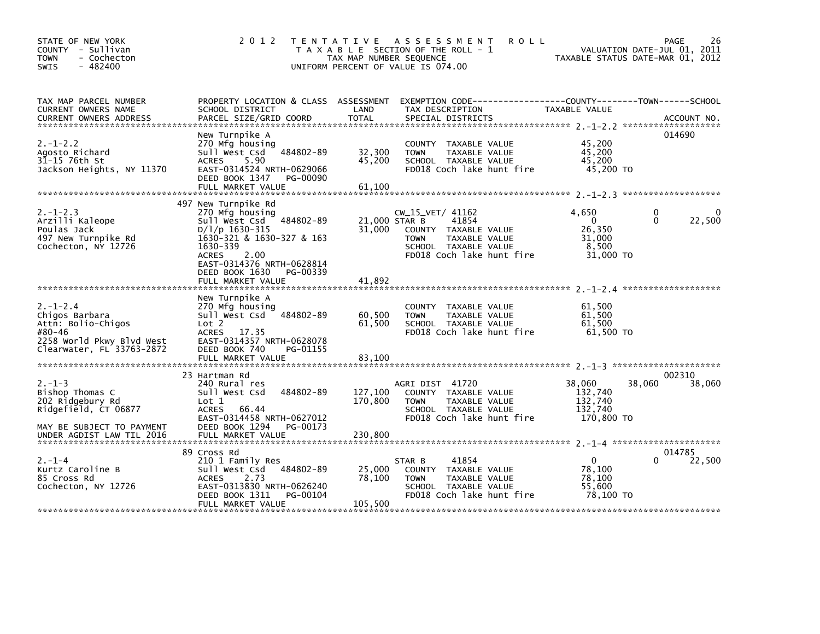| STATE OF NEW YORK<br>COUNTY - Sullivan<br>- Cochecton<br><b>TOWN</b><br>- 482400<br><b>SWIS</b>                                       | 2 0 1 2                                                                                                                                                                                                                                   | <b>ROLL</b><br>TENTATIVE ASSESSMENT<br>T A X A B L E SECTION OF THE ROLL - 1<br>TAX MAP NUMBER SEQUENCE<br>UNIFORM PERCENT OF VALUE IS 074.00                               | 26<br><b>PAGE</b><br>VALUATION DATE-JUL 01, 2011<br>TAXABLE STATUS DATE-MAR 01, 2012   |
|---------------------------------------------------------------------------------------------------------------------------------------|-------------------------------------------------------------------------------------------------------------------------------------------------------------------------------------------------------------------------------------------|-----------------------------------------------------------------------------------------------------------------------------------------------------------------------------|----------------------------------------------------------------------------------------|
| TAX MAP PARCEL NUMBER<br>CURRENT OWNERS NAME<br><b>CURRENT OWNERS ADDRESS</b>                                                         | SCHOOL DISTRICT<br>PARCEL SIZE/GRID COORD                                                                                                                                                                                                 | PROPERTY LOCATION & CLASS ASSESSMENT EXEMPTION CODE---------------COUNTY-------TOWN-----SCHOOL<br>LAND<br>TAX DESCRIPTION<br><b>TOTAL</b><br>SPECIAL DISTRICTS              | TAXABLE VALUE<br>ACCOUNT NO.                                                           |
| $2. -1 - 2.2$<br>Agosto Richard<br>31-15 76th St<br>Jackson Heights, NY 11370                                                         | New Turnpike A<br>270 Mfg housing<br>484802-89<br>Sull West Csd<br><b>ACRES</b><br>5.90<br>EAST-0314524 NRTH-0629066<br>DEED BOOK 1347<br>PG-00090<br>FULL MARKET VALUE                                                                   | COUNTY TAXABLE VALUE<br>32,300<br>TAXABLE VALUE<br><b>TOWN</b><br>45,200<br>SCHOOL TAXABLE VALUE<br>FD018 Coch lake hunt fire<br>61,100                                     | 014690<br>45,200<br>45.200<br>45,200<br>45,200 TO                                      |
| $2. -1 - 2.3$<br>Arzilli Kaleope<br>Poulas Jack<br>497 New Turnpike Rd<br>Cochecton, NY 12726                                         | 497 New Turnpike Rd<br>270 Mfg housing<br>484802-89<br>Sull West Csd<br>$D/1/p$ 1630-315<br>1630-321 & 1630-327 & 163<br>1630-339<br><b>ACRES</b><br>2.00<br>EAST-0314376 NRTH-0628814<br>DEED BOOK 1630<br>PG-00339<br>FULL MARKET VALUE | CW_15_VET/ 41162<br>21,000 STAR B<br>41854<br>31,000<br>COUNTY TAXABLE VALUE<br><b>TOWN</b><br>TAXABLE VALUE<br>SCHOOL TAXABLE VALUE<br>FD018 Coch lake hunt fire<br>41,892 | 4,650<br>0<br>$\Omega$<br>22,500<br>$\Omega$<br>26,350<br>31,000<br>8,500<br>31,000 TO |
| $2. - 1 - 2.4$<br>Chigos Barbara<br>Attn: Bolio-Chigos<br>#80-46<br>2258 World Pkwy Blvd West<br>Clearwater, FL 33763-2872            | New Turnpike A<br>270 Mfg housing<br>484802-89<br>Sull West Csd<br>Lot 2<br>ACRES 17.35<br>EAST-0314357 NRTH-0628078<br>DEED BOOK 740<br>PG-01155<br>FULL MARKET VALUE                                                                    | COUNTY TAXABLE VALUE<br>60,500<br>TAXABLE VALUE<br><b>TOWN</b><br>61,500<br>SCHOOL TAXABLE VALUE<br>FD018 Coch lake hunt fire<br>83,100                                     | 61,500<br>61,500<br>61,500<br>61.500 TO                                                |
| $2. - 1 - 3$<br>Bishop Thomas C<br>202 Ridgebury Rd<br>Ridgefield, CT 06877<br>MAY BE SUBJECT TO PAYMENT<br>UNDER AGDIST LAW TIL 2016 | 23 Hartman Rd<br>240 Rural res<br>484802-89<br>Sull West Csd<br>Lot 1<br>66.44<br>ACRES<br>EAST-0314458 NRTH-0627012<br>DEED BOOK 1294<br>PG-00173<br>FULL MARKET VALUE                                                                   | AGRI DIST 41720<br>127,100<br>COUNTY TAXABLE VALUE<br>170,800<br>TAXABLE VALUE<br><b>TOWN</b><br>SCHOOL TAXABLE VALUE<br>FD018 Coch lake hunt fire<br>230,800               | 002310<br>38,060<br>38,060<br>38,060<br>132,740<br>132,740<br>132,740<br>170,800 TO    |
| $2. - 1 - 4$<br>Kurtz Caroline B<br>85 Cross Rd<br>Cochecton, NY 12726                                                                | 89 Cross Rd<br>210 1 Family Res<br>484802-89<br>Sull West Csd<br>2.73<br><b>ACRES</b><br>EAST-0313830 NRTH-0626240<br>PG-00104<br>DEED BOOK 1311<br>FULL MARKET VALUE                                                                     | 41854<br>STAR B<br>25,000<br>COUNTY TAXABLE VALUE<br>78,100<br>TAXABLE VALUE<br><b>TOWN</b><br>SCHOOL TAXABLE VALUE<br>FD018 Coch lake hunt fire<br>105,500                 | 014785<br>$\Omega$<br>22,500<br>0<br>78.100<br>78.100<br>55,600<br>78.100 TO           |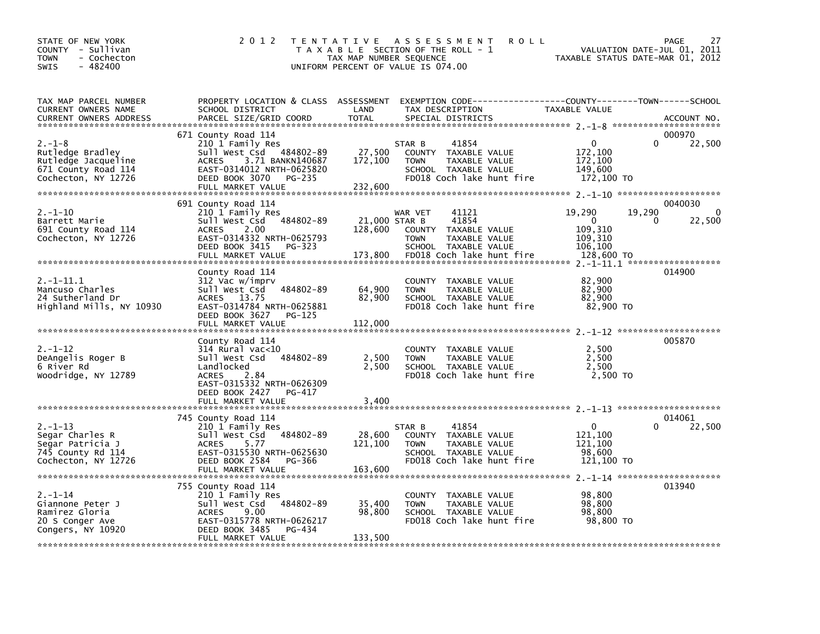| STATE OF NEW YORK<br>COUNTY - Sullivan<br>- Cochecton<br><b>TOWN</b><br>$-482400$<br>SWIS        | 2 0 1 2                                                                                                                                                                                 | T E N T A T I V E<br>TAX MAP NUMBER SEQUENCE | A S S E S S M E N T<br><b>ROLL</b><br>T A X A B L E SECTION OF THE ROLL - 1<br>UNIFORM PERCENT OF VALUE IS 074.00                        | VALUATION DATE-JUL 01, 2011<br>TAXABLE STATUS DATE-MAR 01, 2012                         | <b>PAGE</b><br>27             |
|--------------------------------------------------------------------------------------------------|-----------------------------------------------------------------------------------------------------------------------------------------------------------------------------------------|----------------------------------------------|------------------------------------------------------------------------------------------------------------------------------------------|-----------------------------------------------------------------------------------------|-------------------------------|
| TAX MAP PARCEL NUMBER<br>CURRENT OWNERS NAME<br><b>CURRENT OWNERS ADDRESS</b>                    | SCHOOL DISTRICT<br>PARCEL SIZE/GRID COORD                                                                                                                                               | LAND<br><b>TOTAL</b>                         | PROPERTY LOCATION & CLASS ASSESSMENT EXEMPTION CODE----------------COUNTY-------TOWN------SCHOOL<br>TAX DESCRIPTION<br>SPECIAL DISTRICTS | TAXABLE VALUE                                                                           | ACCOUNT NO.                   |
| 2.–1–8<br>Rutledge Bradley<br>Rutledge Jacqueline<br>671 County Road 114<br>Cochecton, NY 12726  | 671 County Road 114<br>210 1 Family Res<br>Sull West Csd 484802-89<br>3.71 BANKN140687<br><b>ACRES</b><br>EAST-0314012 NRTH-0625820<br>DEED BOOK 3070<br>PG-235<br>FULL MARKET VALUE    | 27,500<br>172,100<br>232,600                 | 41854<br>STAR B<br>COUNTY TAXABLE VALUE<br><b>TOWN</b><br>TAXABLE VALUE<br>SCHOOL TAXABLE VALUE<br>FD018 Coch lake hunt fire             | $\mathbf{0}$<br>172,100<br>172,100<br>149,600<br>172,100 TO                             | 000970<br>22,500              |
| 2.-1-10<br>Barrett Marie<br>691 County Road 114<br>Cochecton, NY 12726                           | 691 County Road 114<br>210 1 Family Res<br>Sull West Csd 484802-89<br>2.00<br><b>ACRES</b><br>EAST-0314332 NRTH-0625793<br>DEED BOOK 3415<br>PG-323<br>FULL MARKET VALUE                | 21,000 STAR B<br>128,600<br>173,800          | 41121<br>WAR VET<br>41854<br>COUNTY TAXABLE VALUE<br><b>TOWN</b><br>TAXABLE VALUE<br>SCHOOL TAXABLE VALUE<br>FD018 Coch lake hunt fire   | 19,290<br>19,290<br>$\Omega$<br>$\Omega$<br>109,310<br>109,310<br>106,100<br>128,600 TO | 0040030<br>$\Omega$<br>22,500 |
| 2.-1-11.1<br>Mancuso Charles<br>24 Sutherland Dr<br>Highland Mills, NY 10930                     | County Road 114<br>312 Vac w/imprv<br>Sull West Csd 484802-89<br><b>ACRES</b><br>13.75<br>EAST-0314784 NRTH-0625881<br>DEED BOOK 3627<br>PG-125<br>FULL MARKET VALUE                    | 64,900<br>82,900<br>112,000                  | COUNTY TAXABLE VALUE<br>TAXABLE VALUE<br><b>TOWN</b><br>SCHOOL TAXABLE VALUE<br>FD018 Coch lake hunt fire                                | 82,900<br>82,900<br>82,900<br>82,900 TO                                                 | 014900                        |
| $2. - 1 - 12$<br>DeAngelis Roger B<br>6 River Rd<br>Woodridge, NY 12789                          | County Road 114<br>$314$ Rural vac< $10$<br>Sull West Csd 484802-89<br>Landlocked<br><b>ACRES</b><br>2.84<br>EAST-0315332 NRTH-0626309<br>DEED BOOK 2427<br>PG-417<br>FULL MARKET VALUE | 2,500<br>2,500<br>3,400                      | COUNTY TAXABLE VALUE<br><b>TOWN</b><br>TAXABLE VALUE<br>SCHOOL TAXABLE VALUE<br>FD018 Coch lake hunt fire                                | 2,500<br>2,500<br>2,500<br>2.500 TO                                                     | 005870                        |
| $2. - 1 - 13$<br>Segar Charles R<br>Segar Patricia J<br>745 County Rd 114<br>Cochecton, NY 12726 | 745 County Road 114<br>210 1 Family Res<br>Sull West Csd 484802-89<br>5.77<br><b>ACRES</b><br>EAST-0315530 NRTH-0625630<br>DEED BOOK 2584<br>PG-366<br>FULL MARKET VALUE                | 28,600<br>121,100<br>163,600                 | 41854<br>STAR B<br>COUNTY TAXABLE VALUE<br>TAXABLE VALUE<br><b>TOWN</b><br>SCHOOL TAXABLE VALUE<br>FD018 Coch lake hunt fire             | $\mathbf{0}$<br>0<br>121,100<br>121,100<br>98,600<br>121,100 TO                         | 014061<br>22,500              |
| $2. - 1 - 14$<br>Giannone Peter J<br>Ramirez Gloria<br>20 S Conger Ave<br>Congers, NY 10920      | 755 County Road 114<br>210 1 Family Res<br>Sull West Csd 484802-89<br>9.00<br><b>ACRES</b><br>EAST-0315778 NRTH-0626217<br>DEED BOOK 3485<br>PG-434<br>FULL MARKET VALUE                | 35,400<br>98,800<br>133,500                  | COUNTY TAXABLE VALUE<br>TAXABLE VALUE<br><b>TOWN</b><br>SCHOOL TAXABLE VALUE<br>FD018 Coch lake hunt fire                                | 98,800<br>98,800<br>98,800<br>98,800 TO                                                 | 013940                        |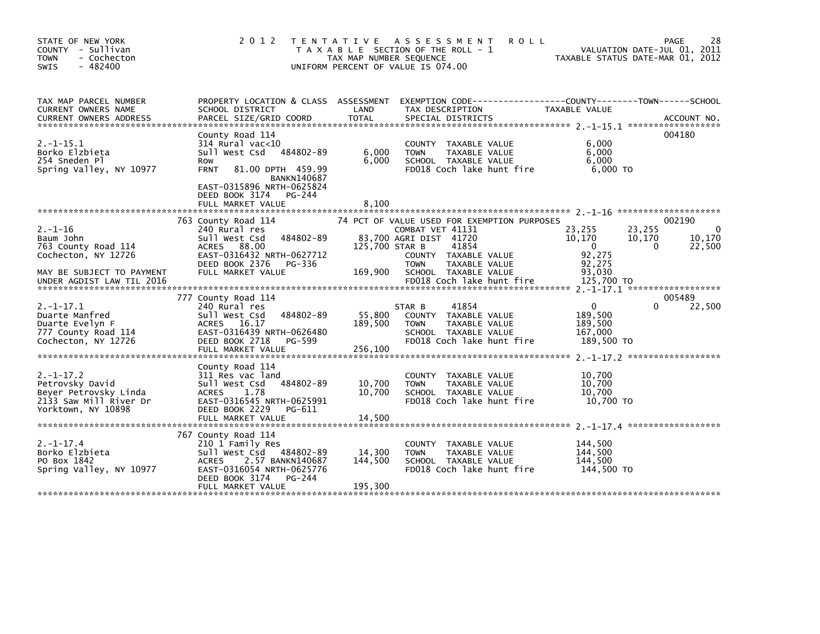| STATE OF NEW YORK<br>COUNTY - Sullivan<br><b>TOWN</b><br>- Cochecton<br>$-482400$<br><b>SWIS</b>           | 2 0 1 2                                                                                                                                                                                                         | <b>TENTATIVE</b><br>TAX MAP NUMBER SEQUENCE | ASSESSMENT<br><b>ROLL</b><br>T A X A B L E SECTION OF THE ROLL - 1<br>UNIFORM PERCENT OF VALUE IS 074.00                     |                                                             | 28<br>PAGE<br>VALUATION DATE-JUL 01, 2011<br>TAXABLE STATUS DATE-MAR 01, 2012 |
|------------------------------------------------------------------------------------------------------------|-----------------------------------------------------------------------------------------------------------------------------------------------------------------------------------------------------------------|---------------------------------------------|------------------------------------------------------------------------------------------------------------------------------|-------------------------------------------------------------|-------------------------------------------------------------------------------|
| TAX MAP PARCEL NUMBER<br>CURRENT OWNERS NAME<br><b>CURRENT OWNERS ADDRESS</b>                              | PROPERTY LOCATION & CLASS ASSESSMENT<br>SCHOOL DISTRICT<br>PARCEL SIZE/GRID COORD                                                                                                                               | LAND<br><b>TOTAL</b>                        | EXEMPTION CODE-----------------COUNTY-------TOWN------SCHOOL<br>TAX DESCRIPTION<br>SPECIAL DISTRICTS                         | TAXABLE VALUE                                               | ACCOUNT NO.                                                                   |
| $2. -1 - 15.1$<br>Borko Elzbieta<br>254 Sneden Pl<br>Spring Valley, NY 10977                               | County Road 114<br>$314$ Rural vac<10<br>Sull West Csd 484802-89<br>Row<br>81.00 DPTH 459.99<br><b>FRNT</b><br><b>BANKN140687</b><br>EAST-0315896 NRTH-0625824<br>DEED BOOK 3174<br>PG-244<br>FULL MARKET VALUE | 6,000<br>6,000<br>8,100                     | COUNTY TAXABLE VALUE<br>TAXABLE VALUE<br><b>TOWN</b><br>SCHOOL TAXABLE VALUE<br>FD018 Coch lake hunt fire                    | 6.000<br>6,000<br>6.000<br>6,000 TO                         | 004180                                                                        |
| $2. - 1 - 16$<br>Baum John<br>763 County Road 114<br>Cochecton, NY 12726                                   | 763 County Road 114<br>240 Rural res<br>Sull West Csd<br>484802-89<br>ACRES 88.00<br>EAST-0316432 NRTH-0627712                                                                                                  | 125,700 STAR B                              | 74 PCT OF VALUE USED FOR EXEMPTION PURPOSES<br>COMBAT VET 41131<br>83,700 AGRI DIST 41720<br>41854<br>COUNTY TAXABLE VALUE   | 23,255<br>10,170<br>$\mathbf{0}$<br>92,275                  | 002190<br>23,255<br>0<br>10.170<br>10,170<br>$\Omega$<br>22,500               |
| MAY BE SUBJECT TO PAYMENT<br>UNDER AGDIST LAW TIL 2016                                                     | DEED BOOK 2376<br>PG-336<br>FULL MARKET VALUE                                                                                                                                                                   | 169,900                                     | <b>TOWN</b><br>TAXABLE VALUE<br>SCHOOL TAXABLE VALUE<br>FD018 Coch lake hunt fire                                            | 92,275<br>93,030<br>125,700 TO                              |                                                                               |
| $2. -1 - 17.1$<br>Duarte Manfred<br>Duarte Evelyn F<br>777 County Road 114<br>Cochecton, NY 12726          | 777 County Road 114<br>240 Rural res<br>Sull West Csd<br>484802-89<br>ACRES 16.17<br>EAST-0316439 NRTH-0626480<br>DEED BOOK 2718<br>PG-599<br>FULL MARKET VALUE                                                 | 55,800<br>189,500<br>256,100                | 41854<br>STAR B<br>COUNTY TAXABLE VALUE<br><b>TOWN</b><br>TAXABLE VALUE<br>SCHOOL TAXABLE VALUE<br>FD018 Coch lake hunt fire | $\mathbf{0}$<br>189,500<br>189,500<br>167,000<br>189,500 TO | 005489<br>22,500<br>0                                                         |
| $2. -1 - 17.2$<br>Petrovsky David<br>Beyer Petrovsky Linda<br>2133 Saw Mill River Dr<br>Yorktown, NY 10898 | County Road 114<br>311 Res vac land<br>484802-89<br>Sull West Csd<br>1.78<br><b>ACRES</b><br>EAST-0316545 NRTH-0625991<br>DEED BOOK 2229<br>PG-611<br>FULL MARKET VALUE                                         | 10,700<br>10,700<br>14,500                  | COUNTY TAXABLE VALUE<br>TAXABLE VALUE<br><b>TOWN</b><br>SCHOOL TAXABLE VALUE<br>FD018 Coch lake hunt fire                    | 10,700<br>10,700<br>10,700<br>10.700 TO                     |                                                                               |
| $2. -1 - 17.4$<br>Borko Elzbieta<br>PO Box 1842<br>Spring Valley, NY 10977                                 | 767 County Road 114<br>210 1 Family Res<br>Sull West Csd<br>484802-89<br><b>ACRES</b><br>2.57 BANKN140687<br>EAST-0316054 NRTH-0625776<br>DEED BOOK 3174<br>PG-244<br>FULL MARKET VALUE                         | 14,300<br>144,500<br>195,300                | <b>COUNTY</b><br>TAXABLE VALUE<br><b>TOWN</b><br>TAXABLE VALUE<br>SCHOOL TAXABLE VALUE<br>FD018 Coch lake hunt fire          | 144,500<br>144,500<br>144,500<br>144,500 TO                 |                                                                               |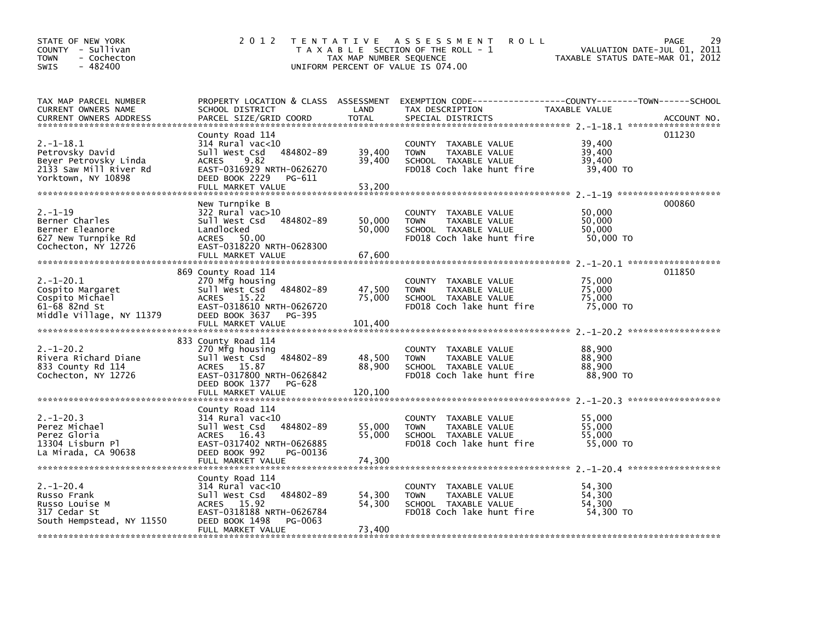| STATE OF NEW YORK<br>COUNTY - Sullivan<br>- Cochecton<br><b>TOWN</b><br>- 482400<br><b>SWIS</b>            | 2 0 1 2                                                                                                                                                                     | TAX MAP NUMBER SEQUENCE     | TENTATIVE ASSESSMENT<br><b>ROLL</b><br>T A X A B L E SECTION OF THE ROLL - 1<br>UNIFORM PERCENT OF VALUE IS 074.00                      | VALUATION DATE-JUL 01, 2011<br>TAXABLE STATUS DATE-MAR 01, 2012 | 29<br>PAGE  |
|------------------------------------------------------------------------------------------------------------|-----------------------------------------------------------------------------------------------------------------------------------------------------------------------------|-----------------------------|-----------------------------------------------------------------------------------------------------------------------------------------|-----------------------------------------------------------------|-------------|
| TAX MAP PARCEL NUMBER<br>CURRENT OWNERS NAME<br><b>CURRENT OWNERS ADDRESS</b>                              | SCHOOL DISTRICT<br>PARCEL SIZE/GRID COORD                                                                                                                                   | LAND<br><b>TOTAL</b>        | PROPERTY LOCATION & CLASS ASSESSMENT EXEMPTION CODE---------------COUNTY-------TOWN------SCHOOL<br>TAX DESCRIPTION<br>SPECIAL DISTRICTS | TAXABLE VALUE                                                   | ACCOUNT NO. |
| $2. -1 - 18.1$<br>Petrovsky David<br>Beyer Petrovsky Linda<br>2133 Saw Mill River Rd<br>Yorktown, NY 10898 | County Road 114<br>$314$ Rural vac<10<br>Sull West Csd<br>484802-89<br>9.82<br><b>ACRES</b><br>EAST-0316929 NRTH-0626270<br>DEED BOOK 2229<br>PG-611<br>FULL MARKET VALUE   | 39,400<br>39,400<br>53,200  | COUNTY TAXABLE VALUE<br><b>TAXABLE VALUE</b><br><b>TOWN</b><br>SCHOOL TAXABLE VALUE<br>FD018 Coch lake hunt fire                        | 39,400<br>39.400<br>39,400<br>39,400 TO                         | 011230      |
| $2. - 1 - 19$<br>Berner Charles<br>Berner Eleanore<br>627 New Turnpike Rd<br>Cochecton, NY 12726           | New Turnpike B<br>$322$ Rural vac $>10$<br>Sull West Csd<br>484802-89<br>Landlocked<br>ACRES 50.00<br>EAST-0318220 NRTH-0628300<br>FULL MARKET VALUE                        | 50,000<br>50,000<br>67,600  | COUNTY TAXABLE VALUE<br><b>TOWN</b><br>TAXABLE VALUE<br>SCHOOL TAXABLE VALUE<br>FD018 Coch lake hunt fire                               | 50,000<br>50,000<br>50,000<br>50,000 TO                         | 000860      |
| $2. -1 - 20.1$<br>Cospito Margaret<br>Cospito Michael<br>61-68 82nd St<br>Middle Village, NY 11379         | 869 County Road 114<br>270 Mfg housing<br>Sull West Csd<br>484802-89<br>ACRES 15.22<br>EAST-0318610 NRTH-0626720<br>DEED BOOK 3637<br>PG-395<br>FULL MARKET VALUE           | 47,500<br>75,000<br>101,400 | COUNTY TAXABLE VALUE<br><b>TOWN</b><br>TAXABLE VALUE<br>SCHOOL TAXABLE VALUE<br>FD018 Coch lake hunt fire                               | 75,000<br>75,000<br>75.000<br>75,000 TO                         | 011850      |
| $2. - 1 - 20.2$<br>Rivera Richard Diane<br>833 County Rd 114<br>Cochecton, NY 12726                        | 833 County Road 114<br>270 Mfg housing<br>484802-89<br>Sull West Csd<br>ACRES 15.87<br>EAST-0317800 NRTH-0626842<br>DEED BOOK 1377<br>PG-628<br>FULL MARKET VALUE           | 48,500<br>88,900<br>120,100 | COUNTY TAXABLE VALUE<br><b>TOWN</b><br>TAXABLE VALUE<br>SCHOOL TAXABLE VALUE<br>FD018 Coch lake hunt fire                               | 88,900<br>88,900<br>88,900<br>88,900 TO                         |             |
| $2. -1 - 20.3$<br>Perez Michael<br>Perez Gloria<br>13304 Lisburn Pl<br>La Mirada, CA 90638                 | County Road 114<br>$314$ Rural vac<10<br>Sull West Csd<br>484802-89<br><b>ACRES</b><br>16.43<br>EAST-0317402 NRTH-0626885<br>DEED BOOK 992<br>PG-00136<br>FULL MARKET VALUE | 55,000<br>55,000<br>74,300  | COUNTY TAXABLE VALUE<br><b>TOWN</b><br>TAXABLE VALUE<br>SCHOOL TAXABLE VALUE<br>FD018 Coch lake hunt fire                               | 55,000<br>55,000<br>55,000<br>55,000 TO                         |             |
| $2. - 1 - 20.4$<br>Russo Frank<br>Russo Louise M<br>317 Cedar St<br>South Hempstead, NY 11550              | County Road 114<br>$314$ Rural vac< $10$<br>Sull West Csd<br>484802-89<br>ACRES 15.92<br>EAST-0318188 NRTH-0626784<br>DEED BOOK 1498<br>PG-0063<br>FULL MARKET VALUE        | 54,300<br>54,300<br>73.400  | COUNTY TAXABLE VALUE<br>TAXABLE VALUE<br><b>TOWN</b><br>SCHOOL TAXABLE VALUE<br>FD018 Coch lake hunt fire                               | 54.300<br>54,300<br>54,300<br>54,300 TO                         |             |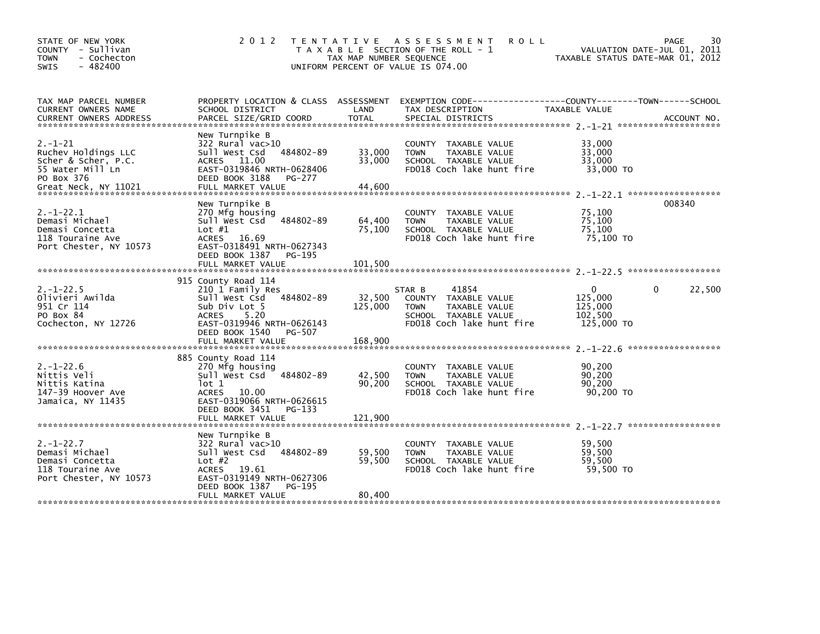| STATE OF NEW YORK<br>COUNTY - Sullivan<br><b>TOWN</b><br>- Cochecton<br>$-482400$<br><b>SWIS</b>                      | 2 0 1 2                                                                                                                                                                                   | TAX MAP NUMBER SEQUENCE      | TENTATIVE ASSESSMENT<br><b>ROLL</b><br>T A X A B L E SECTION OF THE ROLL - 1<br>UNIFORM PERCENT OF VALUE IS 074.00           | TAXABLE STATUS DATE-MAR 01, 2012                            | 30<br>PAGE<br>VALUATION DATE-JUL 01, 2011 |
|-----------------------------------------------------------------------------------------------------------------------|-------------------------------------------------------------------------------------------------------------------------------------------------------------------------------------------|------------------------------|------------------------------------------------------------------------------------------------------------------------------|-------------------------------------------------------------|-------------------------------------------|
| TAX MAP PARCEL NUMBER<br>CURRENT OWNERS NAME<br><b>CURRENT OWNERS ADDRESS</b>                                         | PROPERTY LOCATION & CLASS ASSESSMENT<br>SCHOOL DISTRICT<br>PARCEL SIZE/GRID COORD                                                                                                         | LAND<br><b>TOTAL</b>         | EXEMPTION CODE-----------------COUNTY-------TOWN------SCHOOL<br>TAX DESCRIPTION<br>SPECIAL DISTRICTS                         | TAXABLE VALUE                                               | ACCOUNT NO.                               |
| $2. - 1 - 21$<br>Ruchev Holdings LLC<br>Scher & Scher, P.C.<br>55 Water Mill Ln<br>PO Box 376<br>Great Neck, NY 11021 | New Turnpike B<br>322 Rural vac>10<br>484802-89<br>Sull West Csd<br>ACRES 11.00<br>EAST-0319846 NRTH-0628406<br>DEED BOOK 3188<br>PG-277<br>FULL MARKET VALUE                             | 33,000<br>33,000<br>44.600   | COUNTY<br>TAXABLE VALUE<br>TAXABLE VALUE<br><b>TOWN</b><br>SCHOOL TAXABLE VALUE<br>FD018 Coch lake hunt fire                 | 33,000<br>33,000<br>33,000<br>33,000 TO                     |                                           |
| $2. -1 - 22.1$<br>Demasi Michael<br>Demasi Concetta<br>118 Touraine Ave<br>Port Chester, NY 10573                     | New Turnpike B<br>270 Mfg housing<br>Sull West Csd<br>484802-89<br>Lot $#1$<br>ACRES 16.69<br>EAST-0318491 NRTH-0627343<br>DEED BOOK 1387<br>PG-195<br>FULL MARKET VALUE                  | 64,400<br>75,100<br>101,500  | COUNTY<br>TAXABLE VALUE<br><b>TOWN</b><br>TAXABLE VALUE<br>SCHOOL TAXABLE VALUE<br>FD018 Coch lake hunt fire                 | 75,100<br>75,100<br>75,100<br>75,100 TO                     | 008340                                    |
| $2. - 1 - 22.5$<br>Olivieri Awilda<br>951 Cr 114<br>PO Box 84<br>Cochecton, NY 12726                                  | 915 County Road 114<br>210 1 Family Res<br>Sull West Csd 484802-89<br>Sub Div Lot 5<br>5.20<br><b>ACRES</b><br>EAST-0319946 NRTH-0626143<br>DEED BOOK 1540<br>PG-507<br>FULL MARKET VALUE | 32,500<br>125,000<br>168,900 | 41854<br>STAR B<br>COUNTY TAXABLE VALUE<br>TAXABLE VALUE<br><b>TOWN</b><br>SCHOOL TAXABLE VALUE<br>FD018 Coch lake hunt fire | $\mathbf{0}$<br>125,000<br>125,000<br>102,500<br>125,000 TO | 22,500<br>0                               |
| $2. - 1 - 22.6$<br>Nittis Veli<br>Nittis Katina<br>147-39 Hoover Ave<br>Jamaica, NY 11435                             | 885 County Road 114<br>270 Mfg housing<br>Sull West Csd 484802-89<br>lot 1<br>ACRES<br>10.00<br>EAST-0319066 NRTH-0626615<br>DEED BOOK 3451<br>PG-133<br>FULL MARKET VALUE                | 42,500<br>90,200<br>121,900  | COUNTY TAXABLE VALUE<br><b>TOWN</b><br>TAXABLE VALUE<br>SCHOOL TAXABLE VALUE<br>FD018 Coch lake hunt fire                    | 90,200<br>90.200<br>90,200<br>90,200 TO                     | ******************                        |
| $2. - 1 - 22.7$<br>Demasi Michael<br>Demasi Concetta<br>118 Touraine Ave<br>Port Chester, NY 10573                    | New Turnpike B<br>$322$ Rural vac $>10$<br>Sull West Csd<br>484802-89<br>Lot $#2$<br>ACRES 19.61<br>EAST-0319149 NRTH-0627306<br>DEED BOOK 1387<br>PG-195<br>FULL MARKET VALUE            | 59,500<br>59,500<br>80,400   | <b>COUNTY</b><br>TAXABLE VALUE<br>TAXABLE VALUE<br><b>TOWN</b><br>SCHOOL TAXABLE VALUE<br>FD018 Coch lake hunt fire          | 59,500<br>59,500<br>59,500<br>59,500 TO                     |                                           |
|                                                                                                                       |                                                                                                                                                                                           |                              |                                                                                                                              |                                                             |                                           |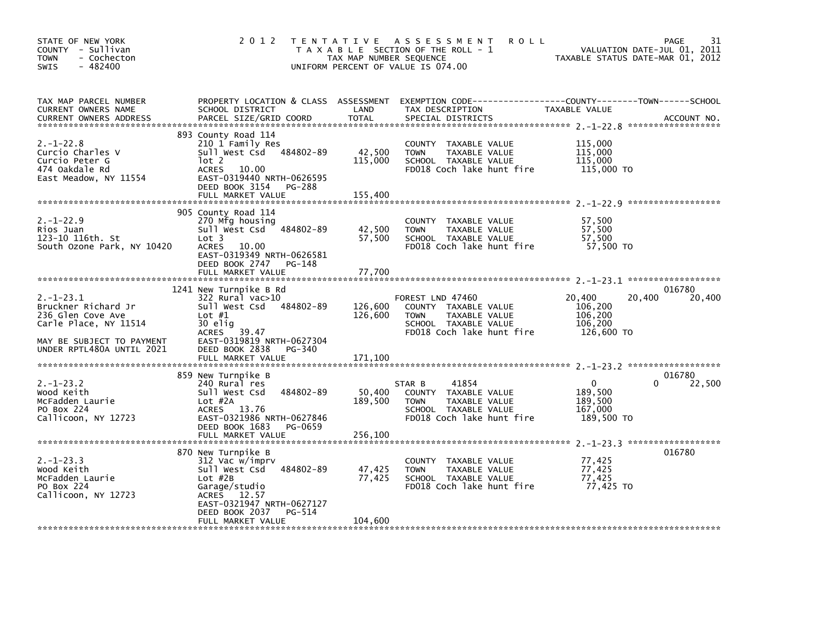| STATE OF NEW YORK<br>COUNTY - Sullivan<br><b>TOWN</b><br>- Cochecton<br>$-482400$<br>SWIS                                                     |                                                                                                                                                                                              | TAX MAP NUMBER SEQUENCE<br>UNIFORM PERCENT OF VALUE IS 074.00 | 2012 TENTATIVE ASSESSMENT<br><b>ROLL</b><br>T A X A B L E SECTION OF THE ROLL - 1                                             | VALUATION DATE-JUL V1, 2012<br>TAXABLE STATUS DATE-MAR 01, 2012 | 31<br>PAGE                   |
|-----------------------------------------------------------------------------------------------------------------------------------------------|----------------------------------------------------------------------------------------------------------------------------------------------------------------------------------------------|---------------------------------------------------------------|-------------------------------------------------------------------------------------------------------------------------------|-----------------------------------------------------------------|------------------------------|
| TAX MAP PARCEL NUMBER<br>CURRENT OWNERS NAME<br><b>CURRENT OWNERS ADDRESS</b>                                                                 | SCHOOL DISTRICT                                                                                                                                                                              | LAND                                                          | PROPERTY LOCATION & CLASS ASSESSMENT EXEMPTION CODE---------------COUNTY-------TOWN------SCHOOL<br>TAX DESCRIPTION            | TAXABLE VALUE                                                   |                              |
| $2. - 1 - 22.8$<br>Curcio Charles V<br>Curcio Peter G<br>474 Oakdale Rd<br>East Meadow, NY 11554                                              | 893 County Road 114<br>210 1 Family Res<br>Sull West Csd 484802-89<br>lot 2<br>ACRES 10.00<br>EAST-0319440 NRTH-0626595<br>DEED BOOK 3154<br>PG-288<br>FULL MARKET VALUE                     | 42,500<br>115,000<br>155,400                                  | COUNTY TAXABLE VALUE<br><b>TOWN</b><br>TAXABLE VALUE<br>SCHOOL TAXABLE VALUE<br>FD018 Coch lake hunt fire                     | 115,000<br>115,000<br>115,000<br>115,000 TO                     |                              |
|                                                                                                                                               |                                                                                                                                                                                              |                                                               |                                                                                                                               |                                                                 |                              |
| $2. - 1 - 22.9$<br>Rios Juan<br>123-10 116th. St<br>South Ozone Park, NY 10420                                                                | 905 County Road 114<br>270 Mfg housing<br>Sull West Csd 484802-89<br>Lot <sub>3</sub><br><b>ACRES</b><br>10.00<br>EAST-0319349 NRTH-0626581<br>DEED BOOK 2747<br>PG-148<br>FULL MARKET VALUE | 42,500<br>57,500                                              | COUNTY TAXABLE VALUE<br>TAXABLE VALUE<br><b>TOWN</b><br>SCHOOL TAXABLE VALUE<br>FD018 Coch lake hunt fire                     | 57,500<br>57,500<br>57,500<br>57,500 TO                         |                              |
|                                                                                                                                               |                                                                                                                                                                                              | 77,700                                                        |                                                                                                                               |                                                                 |                              |
| $2. -1 - 23.1$<br>Bruckner Richard Jr<br>236 Glen Cove Ave<br>Carle Place, NY 11514<br>MAY BE SUBJECT TO PAYMENT<br>UNDER RPTL480A UNTIL 2021 | 1241 New Turnpike B Rd<br>322 Rural vac>10<br>Sull West Csd 484802-89<br>Lot $#1$<br>30 elig<br>ACRES 39.47<br>EAST-0319819 NRTH-0627304<br>DEED BOOK 2838<br>PG-340                         | 126,600<br>126,600                                            | FOREST LND 47460<br>COUNTY TAXABLE VALUE<br>TAXABLE VALUE<br><b>TOWN</b><br>SCHOOL TAXABLE VALUE<br>FD018 Coch lake hunt fire | 20,400<br>20,400<br>106,200<br>106,200<br>106,200<br>126,600 TO | 016780<br>20,400             |
|                                                                                                                                               |                                                                                                                                                                                              |                                                               |                                                                                                                               |                                                                 |                              |
| $2. -1 - 23.2$<br>Wood Keith<br>McFadden Laurie                                                                                               | 859 New Turnpike B<br>240 Rural res<br>Sull West Csd<br>484802-89<br>Lot #2A                                                                                                                 | 50,400<br>189,500                                             | 41854<br>STAR B<br>COUNTY TAXABLE VALUE<br>TAXABLE VALUE<br><b>TOWN</b>                                                       | $\mathbf{0}$<br>189,500<br>189,500                              | 016780<br>22,500<br>$\Omega$ |
| PO Box 224<br>Callicoon, NY 12723                                                                                                             | ACRES 13.76<br>EAST-0321986 NRTH-0627846<br>DEED BOOK 1683<br>PG-0659<br>FULL MARKET VALUE                                                                                                   | 256,100                                                       | SCHOOL TAXABLE VALUE<br>FD018 Coch lake hunt fire                                                                             | 167,000<br>189,500 TO                                           |                              |
|                                                                                                                                               |                                                                                                                                                                                              |                                                               |                                                                                                                               |                                                                 |                              |
| $2. -1 - 23.3$<br>Wood Keith<br>McFadden Laurie<br>PO Box 224<br>Callicoon, NY 12723                                                          | 870 New Turnpike B<br>312 Vac w/imprv<br>sull west Csd 484802-89<br>$Lot$ #2B<br>Garage/studio<br>ACRES 12.57<br>EAST-0321947 NRTH-0627127<br>DEED BOOK 2037<br>PG-514                       | 47,425<br>77,425                                              | COUNTY TAXABLE VALUE<br><b>TOWN</b><br>TAXABLE VALUE<br>SCHOOL TAXABLE VALUE<br>FD018 Coch lake hunt fire                     | 77,425<br>77,425<br>77,425<br>77,425<br>77,425 TO               | 016780                       |
|                                                                                                                                               | FULL MARKET VALUE                                                                                                                                                                            | 104,600                                                       |                                                                                                                               |                                                                 |                              |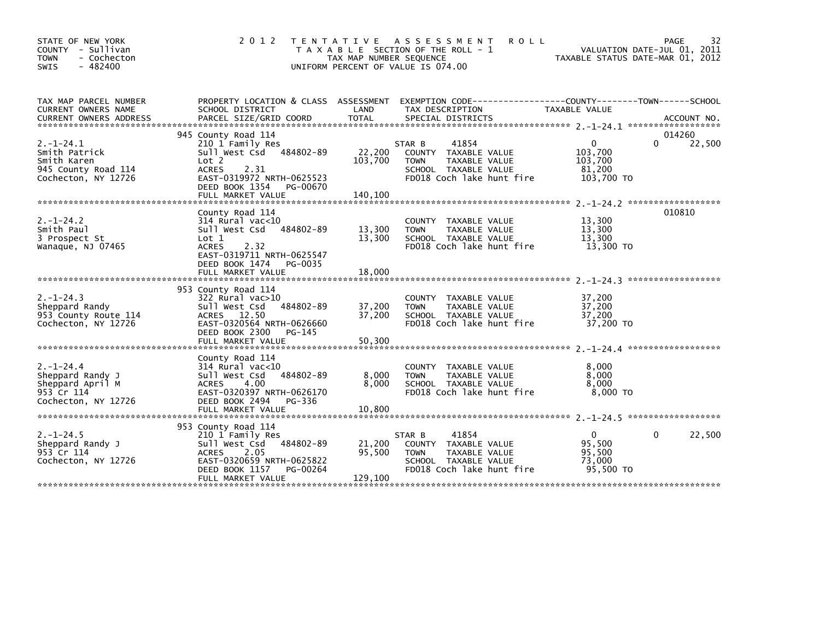| STATE OF NEW YORK<br>COUNTY - Sullivan<br>- Cochecton<br><b>TOWN</b><br>$-482400$<br><b>SWIS</b> | 2 0 1 2                                                                                                                                                                                    | T E N T A T I V E<br>TAX MAP NUMBER SEQUENCE | <b>ROLL</b><br>A S S E S S M E N T<br>T A X A B L E SECTION OF THE ROLL - 1<br>UNIFORM PERCENT OF VALUE IS 074.00            | TAXABLE STATUS DATE-MAR 01, 2012                        | 32<br>PAGE<br>VALUATION DATE-JUL 01, 2011 |
|--------------------------------------------------------------------------------------------------|--------------------------------------------------------------------------------------------------------------------------------------------------------------------------------------------|----------------------------------------------|------------------------------------------------------------------------------------------------------------------------------|---------------------------------------------------------|-------------------------------------------|
| TAX MAP PARCEL NUMBER<br><b>CURRENT OWNERS NAME</b><br><b>CURRENT OWNERS ADDRESS</b>             | PROPERTY LOCATION & CLASS ASSESSMENT<br>SCHOOL DISTRICT<br>PARCEL SIZE/GRID COORD                                                                                                          | LAND<br><b>TOTAL</b>                         | EXEMPTION CODE-----------------COUNTY-------TOWN------SCHOOL<br>TAX DESCRIPTION<br>SPECIAL DISTRICTS                         | TAXABLE VALUE                                           | ACCOUNT NO.                               |
| $2. - 1 - 24.1$<br>Smith Patrick<br>Smith Karen<br>945 County Road 114<br>Cochecton, NY 12726    | 945 County Road 114<br>210 1 Family Res<br>484802-89<br>Sull West Csd<br>Lot <sub>2</sub><br>2.31<br>ACRES<br>EAST-0319972 NRTH-0625523<br>DEED BOOK 1354<br>PG-00670<br>FULL MARKET VALUE | 22,200<br>103,700<br>140.100                 | 41854<br>STAR B<br>COUNTY TAXABLE VALUE<br><b>TOWN</b><br>TAXABLE VALUE<br>SCHOOL TAXABLE VALUE<br>FD018 Coch lake hunt fire | $\Omega$<br>103,700<br>103,700<br>81,200<br>103,700 TO  | 014260<br>22,500<br>0                     |
| $2. - 1 - 24.2$<br>Smith Paul<br>3 Prospect St<br>Wanaque, NJ 07465                              | County Road 114<br>$314$ Rural vac< $10$<br>Sull West Csd 484802-89<br>Lot 1<br><b>ACRES</b><br>2.32<br>EAST-0319711 NRTH-0625547<br>DEED BOOK 1474 PG-0035<br>FULL MARKET VALUE           | 13,300<br>13,300<br>18,000                   | COUNTY TAXABLE VALUE<br><b>TOWN</b><br>TAXABLE VALUE<br>SCHOOL TAXABLE VALUE<br>FD018 Coch lake hunt fire                    | 13,300<br>13,300<br>13.300<br>13,300 TO                 | 010810                                    |
| $2. - 1 - 24.3$<br>Sheppard Randy<br>953 County Route 114<br>Cochecton, NY 12726                 | 953 County Road 114<br>$322$ Rural vac $>10$<br>484802-89<br>Sull West Csd<br>ACRES 12.50<br>EAST-0320564 NRTH-0626660<br>DEED BOOK 2300<br>PG-145<br>FULL MARKET VALUE                    | 37,200<br>37,200<br>50,300                   | COUNTY TAXABLE VALUE<br>TAXABLE VALUE<br><b>TOWN</b><br>SCHOOL TAXABLE VALUE<br>FD018 Coch lake hunt fire                    | 37,200<br>37,200<br>37,200<br>37,200 TO                 |                                           |
| $2. - 1 - 24.4$<br>Sheppard Randy J<br>Sheppard April M<br>953 Cr 114<br>Cochecton, NY 12726     | County Road 114<br>$314$ Rural vac<10<br>484802-89<br>Sull West Csd<br><b>ACRES</b><br>4.00<br>EAST-0320397 NRTH-0626170<br>DEED BOOK 2494<br>PG-336<br>FULL MARKET VALUE                  | 8,000<br>8,000<br>10,800                     | COUNTY TAXABLE VALUE<br>TAXABLE VALUE<br><b>TOWN</b><br>SCHOOL TAXABLE VALUE<br>FD018 Coch lake hunt fire                    | 8,000<br>8,000<br>8,000<br>8.000 TO                     |                                           |
| $2. -1 - 24.5$<br>Sheppard Randy J<br>953 Cr 114<br>Cochecton, NY 12726                          | 953 County Road 114<br>210 1 Family Res<br>484802-89<br>Sull West Csd<br><b>ACRES</b><br>2.05<br>EAST-0320659 NRTH-0625822<br>DEED BOOK 1157<br>PG-00264<br>FULL MARKET VALUE              | 21,200<br>95,500<br>129,100                  | 41854<br>STAR B<br>COUNTY TAXABLE VALUE<br><b>TOWN</b><br>TAXABLE VALUE<br>SCHOOL TAXABLE VALUE<br>FD018 Coch lake hunt fire | $\mathbf{0}$<br>95,500<br>95,500<br>73,000<br>95,500 TO | 22,500<br>0                               |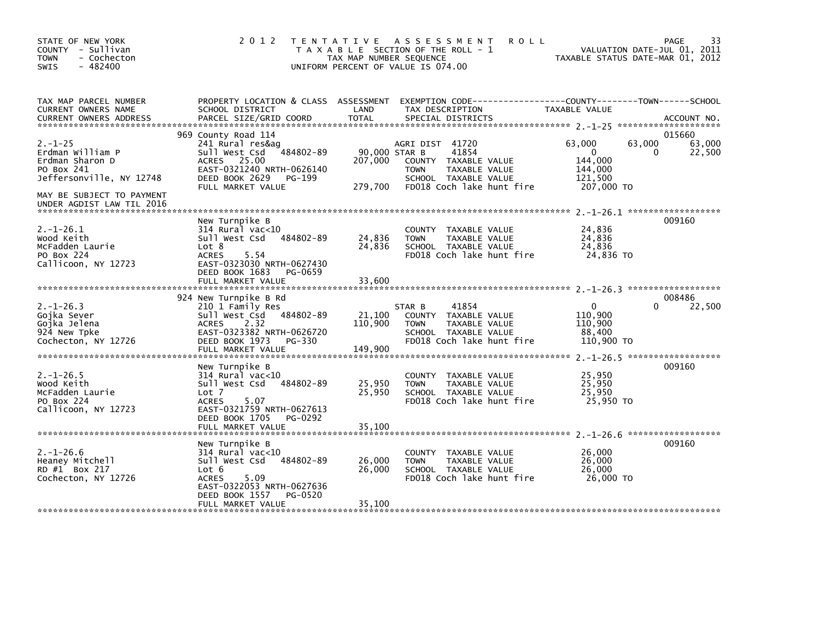| STATE OF NEW YORK<br>COUNTY - Sullivan<br><b>TOWN</b><br>- Cochecton<br>$-482400$<br>SWIS                                                                | 2 0 1 2                                                                                                                                                                            | TAX MAP NUMBER SEQUENCE             | TENTATIVE ASSESSMENT<br><b>ROLL</b><br>T A X A B L E SECTION OF THE ROLL - 1<br>UNIFORM PERCENT OF VALUE IS 074.00                    | VALUATION DATE-JUL 01, 2011<br>TAXABLE STATUS DATE-MAR 01, 2012      | 33<br>PAGE                      |
|----------------------------------------------------------------------------------------------------------------------------------------------------------|------------------------------------------------------------------------------------------------------------------------------------------------------------------------------------|-------------------------------------|---------------------------------------------------------------------------------------------------------------------------------------|----------------------------------------------------------------------|---------------------------------|
| TAX MAP PARCEL NUMBER<br>CURRENT OWNERS NAME                                                                                                             | PROPERTY LOCATION & CLASS ASSESSMENT<br>SCHOOL DISTRICT                                                                                                                            | LAND                                | TAX DESCRIPTION                                                                                                                       | TAXABLE VALUE                                                        |                                 |
| $2. - 1 - 25$<br>Erdman William P<br>Erdman Sharon D<br>PO Box 241<br>Jeffersonville, NY 12748<br>MAY BE SUBJECT TO PAYMENT<br>UNDER AGDIST LAW TIL 2016 | 969 County Road 114<br>241 Rural res&ag<br>484802-89<br>Sull West Csd<br>25.00<br><b>ACRES</b><br>EAST-0321240 NRTH-0626140<br>DEED BOOK 2629<br>PG-199<br>FULL MARKET VALUE       | 90,000 STAR B<br>207,000<br>279,700 | AGRI DIST 41720<br>41854<br>COUNTY TAXABLE VALUE<br><b>TOWN</b><br>TAXABLE VALUE<br>SCHOOL TAXABLE VALUE<br>FD018 Coch lake hunt fire | 63,000<br>63,000<br>0<br>144,000<br>144,000<br>121.500<br>207,000 TO | 015660<br>63,000<br>22,500<br>0 |
| $2. -1 - 26.1$<br>Wood Keith<br>McFadden Laurie<br>PO Box 224<br>Callicoon, NY 12723                                                                     | New Turnpike B<br>$314$ Rural vac<10<br>Sull West Csd<br>484802-89<br>Lot 8<br>5.54<br><b>ACRES</b><br>EAST-0323030 NRTH-0627430<br>DEED BOOK 1683<br>PG-0659<br>FULL MARKET VALUE | 24,836<br>24,836<br>33,600          | COUNTY TAXABLE VALUE<br><b>TOWN</b><br>TAXABLE VALUE<br>SCHOOL TAXABLE VALUE<br>FD018 Coch lake hunt fire                             | 24,836<br>24,836<br>24,836<br>24,836 TO                              | 009160                          |
| $2. -1 - 26.3$<br>Gojka Sever<br>Gojka Jelena<br>924 New Tpke<br>Cochecton, NY 12726                                                                     | 924 New Turnpike B Rd<br>210 1 Family Res<br>Sull West Csd<br>484802-89<br>2.32<br><b>ACRES</b><br>EAST-0323382 NRTH-0626720<br>DEED BOOK 1973 PG-330<br>FULL MARKET VALUE         | 21,100<br>110,900<br>149,900        | 41854<br>STAR B<br>COUNTY TAXABLE VALUE<br><b>TOWN</b><br>TAXABLE VALUE<br>SCHOOL TAXABLE VALUE<br>FD018 Coch lake hunt fire          | $\Omega$<br>110,900<br>110,900<br>88,400<br>110,900 TO               | 008486<br>22,500<br>0           |
| $2. -1 - 26.5$<br>Wood Keith<br>McFadden Laurie<br>PO Box 224<br>Callicoon, NY 12723                                                                     | New Turnpike B<br>$314$ Rural vac<10<br>Sull West Csd<br>484802-89<br>Lot 7<br><b>ACRES</b><br>5.07<br>EAST-0321759 NRTH-0627613<br>DEED BOOK 1705<br>PG-0292<br>FULL MARKET VALUE | 25,950<br>25,950<br>35,100          | <b>COUNTY</b><br>TAXABLE VALUE<br>TAXABLE VALUE<br><b>TOWN</b><br>SCHOOL TAXABLE VALUE<br>FD018 Coch lake hunt fire                   | 25,950<br>25,950<br>25,950<br>25.950 TO                              | 009160                          |
| $2. - 1 - 26.6$<br>Heaney Mitchell<br>RD #1 Box 217<br>Cochecton, NY 12726                                                                               | New Turnpike B<br>$314$ Rural vac<10<br>Sull West Csd<br>484802-89<br>Lot 6<br>5.09<br><b>ACRES</b><br>EAST-0322053 NRTH-0627636<br>DEED BOOK 1557<br>PG-0520<br>FULL MARKET VALUE | 26,000<br>26,000<br>35,100          | COUNTY<br>TAXABLE VALUE<br><b>TOWN</b><br>TAXABLE VALUE<br>SCHOOL TAXABLE VALUE<br>FD018 Coch lake hunt fire                          | 26,000<br>26,000<br>26,000<br>26,000 TO                              | 009160                          |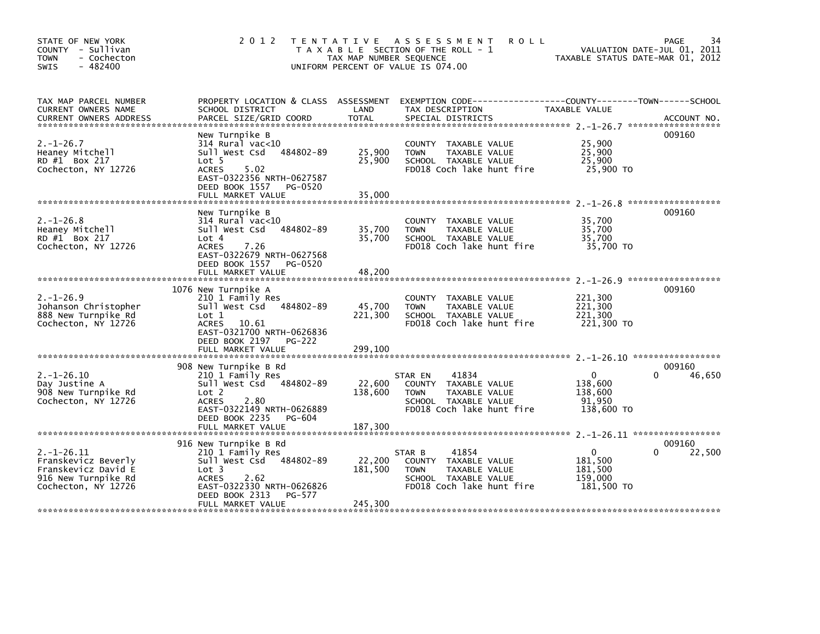| STATE OF NEW YORK<br>COUNTY - Sullivan<br>- Cochecton<br><b>TOWN</b><br>$-482400$<br>SWIS                   | 2012                                                                                                                                                                                           | T E N T A T I V E<br>TAX MAP NUMBER SEQUENCE<br>UNIFORM PERCENT OF VALUE IS 074.00 | A S S E S S M E N T<br><b>ROLL</b><br>T A X A B L E SECTION OF THE ROLL - 1                                                   | VALUATION DATE-JUL 01, 2011<br>TAXABLE STATUS DATE-MAR 01, 2012        | 34<br><b>PAGE</b> |
|-------------------------------------------------------------------------------------------------------------|------------------------------------------------------------------------------------------------------------------------------------------------------------------------------------------------|------------------------------------------------------------------------------------|-------------------------------------------------------------------------------------------------------------------------------|------------------------------------------------------------------------|-------------------|
| TAX MAP PARCEL NUMBER<br><b>CURRENT OWNERS NAME</b>                                                         | PROPERTY LOCATION & CLASS ASSESSMENT<br>SCHOOL DISTRICT                                                                                                                                        | LAND                                                                               | EXEMPTION CODE-----------------COUNTY-------TOWN------SCHOOL<br>TAX DESCRIPTION                                               | TAXABLE VALUE                                                          |                   |
| $2. - 1 - 26.7$<br>Heaney Mitchell<br>RD #1 Box 217<br>Cochecton, NY 12726                                  | New Turnpike B<br>$314$ Rural vac< $10$<br>484802-89<br>Sull West Csd<br>Lot <sub>5</sub><br><b>ACRES</b><br>5.02<br>EAST-0322356 NRTH-0627587<br>DEED BOOK 1557 PG-0520<br>FULL MARKET VALUE  | 25,900<br>25,900<br>35,000                                                         | COUNTY TAXABLE VALUE<br>TAXABLE VALUE<br><b>TOWN</b><br>SCHOOL TAXABLE VALUE<br>FD018 Coch lake hunt fire                     | 25,900<br>25,900<br>25,900<br>25,900 TO                                | 009160            |
| $2. -1 - 26.8$<br>Heaney Mitchell<br>RD #1 Box 217<br>Cochecton, NY 12726                                   | New Turnpike B<br>$314$ Rural vac<10<br>484802-89<br>Sull West Csd<br>Lot 4<br><b>ACRES</b><br>7.26<br>EAST-0322679 NRTH-0627568<br>DEED BOOK 1557 PG-0520<br>FULL MARKET VALUE                | 35,700<br>35,700<br>48,200                                                         | COUNTY TAXABLE VALUE<br><b>TAXABLE VALUE</b><br><b>TOWN</b><br>SCHOOL TAXABLE VALUE<br>FD018 Coch lake hunt fire              | 35,700<br>35.700<br>35,700<br>35,700 TO                                | 009160            |
| $2. - 1 - 26.9$<br>Johanson Christopher<br>888 New Turnpike Rd<br>Cochecton, NY 12726                       | 1076 New Turnpike A<br>210 1 Family Res<br>Sull West Csd 484802-89<br>Lot 1<br>ACRES 10.61<br>EAST-0321700 NRTH-0626836<br>DEED BOOK 2197 PG-222                                               | 45,700<br>221,300                                                                  | COUNTY TAXABLE VALUE<br><b>TOWN</b><br><b>TAXABLE VALUE</b><br>SCHOOL TAXABLE VALUE<br>FD018 Coch lake hunt fire              | 221,300<br>221,300<br>221,300<br>221,300 TO                            | 009160            |
| $2. -1 - 26.10$<br>Day Justine A<br>908 New Turnpike Rd<br>Cochecton, NY 12726                              | 908 New Turnpike B Rd<br>210 1 Family Res<br>Sull West Csd 484802-89<br>Lot 2<br><b>ACRES</b><br>2.80<br>EAST-0322149 NRTH-0626889<br>DEED BOOK 2235<br>PG-604                                 | 22,600<br>138,600                                                                  | 41834<br>STAR EN<br>COUNTY TAXABLE VALUE<br>TAXABLE VALUE<br><b>TOWN</b><br>SCHOOL TAXABLE VALUE<br>FD018 Coch lake hunt fire | $\mathbf{0}$<br>$\Omega$<br>138,600<br>138,600<br>91,950<br>138,600 TO | 009160<br>46,650  |
| $2. -1 - 26.11$<br>Franskevicz Beverly<br>Franskevicz David E<br>916 New Turnpike Rd<br>Cochecton, NY 12726 | 916 New Turnpike B Rd<br>210 1 Family Res<br>Sull West Csd 484802-89<br>Lot <sub>3</sub><br><b>ACRES</b><br>2.62<br>EAST-0322330 NRTH-0626826<br>DEED BOOK 2313<br>PG-577<br>FULL MARKET VALUE | 22,200<br>181,500<br>245,300                                                       | 41854<br>STAR B<br>COUNTY TAXABLE VALUE<br>TAXABLE VALUE<br><b>TOWN</b><br>SCHOOL TAXABLE VALUE<br>FD018 Coch lake hunt fire  | $\mathbf{0}$<br>0<br>181,500<br>181,500<br>159,000<br>181,500 TO       | 009160<br>22,500  |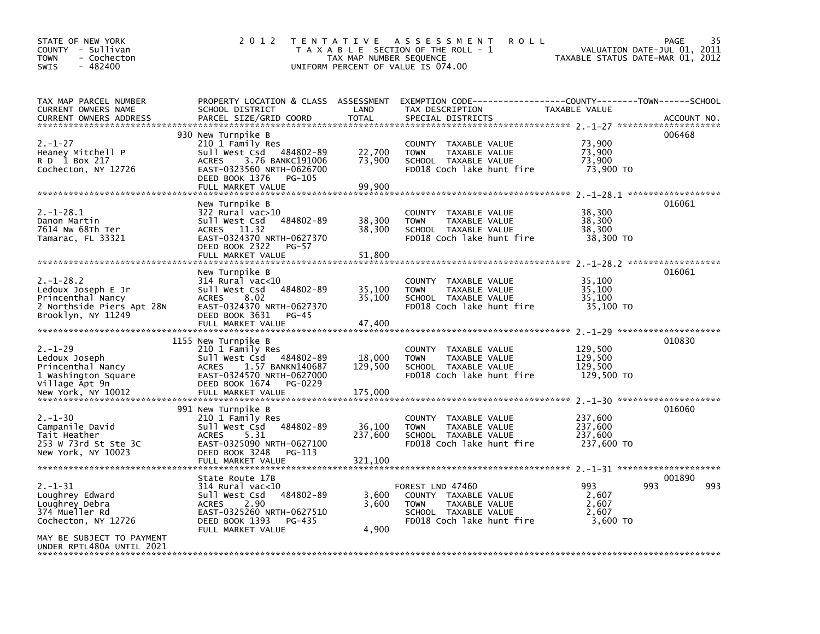| STATE OF NEW YORK<br>COUNTY - Sullivan<br>- Cochecton<br><b>TOWN</b><br>$-482400$<br>SWIS                                                             | 2 0 1 2                                                                                                                                                                             | T E N T A T I V E<br>TAX MAP NUMBER SEQUENCE | A S S E S S M E N T<br><b>ROLL</b><br>T A X A B L E SECTION OF THE ROLL - 1<br>UNIFORM PERCENT OF VALUE IS 074.00                    | VALUATION DATE-JUL 01, 2011<br>TAXABLE STATUS DATE-MAR 01, 2012                   | 35<br><b>PAGE</b> |
|-------------------------------------------------------------------------------------------------------------------------------------------------------|-------------------------------------------------------------------------------------------------------------------------------------------------------------------------------------|----------------------------------------------|--------------------------------------------------------------------------------------------------------------------------------------|-----------------------------------------------------------------------------------|-------------------|
| TAX MAP PARCEL NUMBER<br>CURRENT OWNERS NAME<br><b>CURRENT OWNERS ADDRESS</b>                                                                         | PROPERTY LOCATION & CLASS ASSESSMENT<br>SCHOOL DISTRICT<br>PARCEL SIZE/GRID COORD                                                                                                   | LAND<br><b>TOTAL</b>                         | EXEMPTION        CODE------------------COUNTY-------TOWN------SCHOOL<br>TAX DESCRIPTION<br>SPECIAL DISTRICTS                         | TAXABLE VALUE                                                                     | ACCOUNT NO.       |
| $2. - 1 - 27$<br>Heaney Mitchell P<br>R D 1 Box 217<br>Cochecton, NY 12726                                                                            | 930 New Turnpike B<br>210 1 Family Res<br>Sull West Csd 484802-89<br>3.76 BANKC191006<br><b>ACRES</b><br>EAST-0323560 NRTH-0626700<br>DEED BOOK 1376<br>PG-105<br>FULL MARKET VALUE | 22,700<br>73,900<br>99,900                   | COUNTY TAXABLE VALUE<br>TAXABLE VALUE<br><b>TOWN</b><br>SCHOOL TAXABLE VALUE<br>FD018 Coch lake hunt fire                            | 73,900<br>73,900<br>73,900<br>73,900 TO                                           | 006468            |
| $2. -1 - 28.1$<br>Danon Martin<br>7614 Nw 68Th Ter<br>Tamarac, FL 33321                                                                               | New Turnpike B<br>$322$ Rural vac $>10$<br>Sull West Csd<br>484802-89<br>ACRES 11.32<br>EAST-0324370 NRTH-0627370<br>DEED BOOK 2322<br>PG-57<br>FULL MARKET VALUE                   | 38,300<br>38,300<br>51,800                   | COUNTY TAXABLE VALUE<br><b>TOWN</b><br>TAXABLE VALUE<br>SCHOOL TAXABLE VALUE<br>FD018 Coch lake hunt fire                            | 38,300<br>38,300<br>38,300<br>38,300 TO                                           | 016061            |
| $2. - 1 - 28.2$<br>Ledoux Joseph E Jr<br>Princenthal Nancy<br>2 Northside Piers Apt 28N<br>Brooklyn, NY 11249                                         | New Turnpike B<br>314 Rural vac<10<br>Sull West Csd<br>484802-89<br><b>ACRES</b><br>8.02<br>EAST-0324370 NRTH-0627370<br>DEED BOOK 3631<br>PG-45<br>FULL MARKET VALUE               | 35,100<br>35,100<br>47,400                   | COUNTY TAXABLE VALUE<br>TAXABLE VALUE<br><b>TOWN</b><br>SCHOOL TAXABLE VALUE<br>FD018 Coch lake hunt fire                            | 35,100<br>35,100<br>35.100<br>35,100 TO                                           | 016061            |
| $2. - 1 - 29$<br>Ledoux Joseph<br>Princenthal Nancy<br>1 Washington Square<br>Village Apt 9n<br>New York, NY 10012                                    | 1155 New Turnpike B<br>210 1 Family Res<br>Sull West Csd<br>484802-89<br>1.57 BANKN140687<br>ACRES<br>EAST-0324570 NRTH-0627000<br>DEED BOOK 1674<br>PG-0229<br>FULL MARKET VALUE   | 18,000<br>129,500<br>175,000                 | COUNTY TAXABLE VALUE<br><b>TOWN</b><br>TAXABLE VALUE<br>SCHOOL TAXABLE VALUE<br>FD018 Coch lake hunt fire                            | 129,500<br>129,500<br>129,500<br>129,500 TO<br>$2 - 1 - 30$ ********************* | 010830            |
| $2. - 1 - 30$<br>Campanile David<br>Tait Heather<br>253 W 73rd St Ste 3C<br>New York, NY 10023                                                        | 991 New Turnpike B<br>210 1 Family Res<br>Sull West Csd<br>484802-89<br><b>ACRES</b><br>5.31<br>EAST-0325090 NRTH-0627100<br>DEED BOOK 3248<br>PG-113<br>FULL MARKET VALUE          | 36,100<br>237,600<br>321,100                 | COUNTY TAXABLE VALUE<br><b>TOWN</b><br>TAXABLE VALUE<br>SCHOOL TAXABLE VALUE<br>FD018 Coch lake hunt fire                            | 237,600<br>237,600<br>237.600<br>237,600 TO<br>$2 - 1 - 31$ ********************* | 016060            |
| $2. - 1 - 31$<br>Loughrey Edward<br>Loughrey Debra<br>374 Mueller Rd<br>Cochecton, NY 12726<br>MAY BE SUBJECT TO PAYMENT<br>UNDER RPTL480A UNTIL 2021 | State Route 17B<br>$314$ Rural vac<10<br>Sull West Csd<br>484802-89<br><b>ACRES</b><br>2.90<br>EAST-0325260 NRTH-0627510<br>DEED BOOK 1393<br>PG-435<br>FULL MARKET VALUE           | 3,600<br>3,600<br>4,900                      | FOREST LND 47460<br>COUNTY TAXABLE VALUE<br><b>TOWN</b><br><b>TAXABLE VALUE</b><br>SCHOOL TAXABLE VALUE<br>FD018 Coch lake hunt fire | 993<br>993<br>2,607<br>2,607<br>2,607<br>3,600 TO                                 | 001890<br>993     |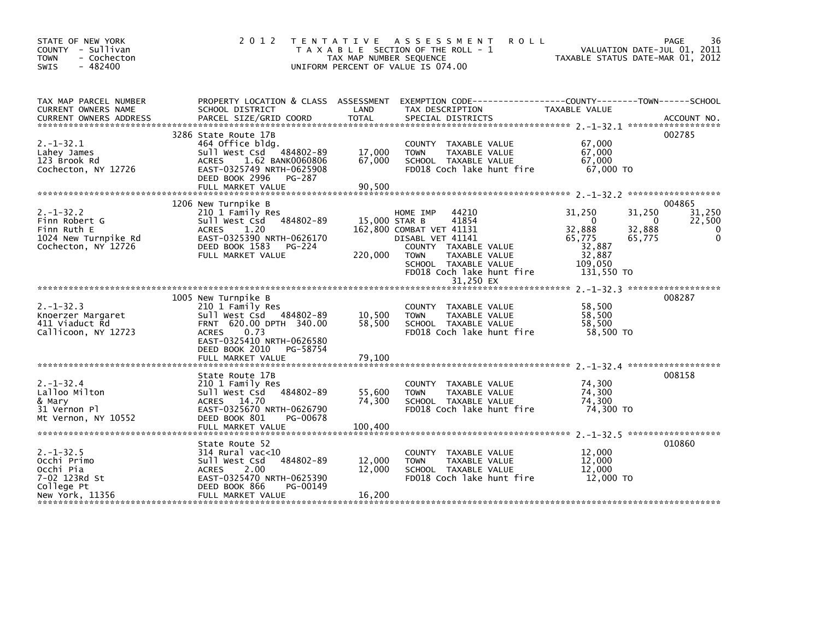| STATE OF NEW YORK<br>COUNTY - Sullivan<br>- Cochecton<br><b>TOWN</b><br>$-482400$<br>SWIS     | 2 0 1 2                                                                                                                                                                                               | TAX MAP NUMBER SEQUENCE     | TENTATIVE ASSESSMENT<br><b>ROLL</b><br>T A X A B L E SECTION OF THE ROLL - 1<br>UNIFORM PERCENT OF VALUE IS 074.00                                                                                   | VALUATION DATE-JUL 01, 2011<br>TAXABLE STATUS DATE-MAR 01, 2012                                                                  | 36<br>PAGE                           |
|-----------------------------------------------------------------------------------------------|-------------------------------------------------------------------------------------------------------------------------------------------------------------------------------------------------------|-----------------------------|------------------------------------------------------------------------------------------------------------------------------------------------------------------------------------------------------|----------------------------------------------------------------------------------------------------------------------------------|--------------------------------------|
| TAX MAP PARCEL NUMBER<br>CURRENT OWNERS NAME<br><b>CURRENT OWNERS ADDRESS</b>                 | PROPERTY LOCATION & CLASS ASSESSMENT<br>SCHOOL DISTRICT<br>PARCEL SIZE/GRID COORD                                                                                                                     | LAND<br><b>TOTAL</b>        | EXEMPTION CODE-----------------COUNTY-------TOWN------SCHOOL<br>TAX DESCRIPTION<br>SPECIAL DISTRICTS                                                                                                 | TAXABLE VALUE                                                                                                                    | ACCOUNT NO.                          |
| $2. -1 - 32.1$<br>Lahey James<br>123 Brook Rd<br>Cochecton, NY 12726                          | 3286 State Route 17B<br>464 Office bldg.<br>Sull West Csd 484802-89<br><b>ACRES</b><br>1.62 BANK0060806<br>EAST-0325749 NRTH-0625908<br>DEED BOOK 2996<br>PG-287                                      | 17,000<br>67,000            | COUNTY TAXABLE VALUE<br><b>TOWN</b><br>TAXABLE VALUE<br>SCHOOL TAXABLE VALUE<br>FD018 Coch lake hunt fire                                                                                            | 67,000<br>67,000<br>67.000<br>$67.000$ TO                                                                                        | 002785                               |
|                                                                                               | FULL MARKET VALUE                                                                                                                                                                                     | 90,500                      |                                                                                                                                                                                                      |                                                                                                                                  |                                      |
| $2. -1 - 32.2$<br>Finn Robert G<br>Finn Ruth E<br>1024 New Turnpike Rd<br>Cochecton, NY 12726 | 1206 New Turnpike B<br>210 1 Family Res<br>484802-89<br>Sull West Csd<br><b>ACRES</b><br>1.20<br>EAST-0325390 NRTH-0626170<br>DEED BOOK 1583<br>PG-224<br>FULL MARKET VALUE                           | 15,000 STAR B<br>220,000    | 44210<br>HOME IMP<br>41854<br>162,800 COMBAT VET 41131<br>DISABL VET 41141<br>COUNTY TAXABLE VALUE<br><b>TOWN</b><br>TAXABLE VALUE<br>SCHOOL TAXABLE VALUE<br>FD018 Coch lake hunt fire<br>31,250 EX | 31,250<br>31,250<br>$\mathbf 0$<br>$\Omega$<br>32,888<br>32,888<br>65,775<br>65,775<br>32,887<br>32,887<br>109,050<br>131,550 TO | 004865<br>31,250<br>22,500<br>0<br>0 |
|                                                                                               |                                                                                                                                                                                                       |                             |                                                                                                                                                                                                      |                                                                                                                                  |                                      |
| $2. -1 - 32.3$<br>Knoerzer Margaret<br>411 Viaduct Rd<br>Callicoon, NY 12723                  | 1005 New Turnpike B<br>210 1 Family Res<br>Sull West Csd 484802-89<br>FRNT 620.00 DPTH 340.00<br>0.73<br><b>ACRES</b><br>EAST-0325410 NRTH-0626580<br>DEED BOOK 2010<br>PG-58754<br>FULL MARKET VALUE | 10,500<br>58,500<br>79,100  | COUNTY TAXABLE VALUE<br><b>TOWN</b><br>TAXABLE VALUE<br>SCHOOL TAXABLE VALUE<br>FD018 Coch lake hunt fire                                                                                            | 58,500<br>58,500<br>58,500<br>58,500 TO                                                                                          | 008287                               |
|                                                                                               |                                                                                                                                                                                                       |                             |                                                                                                                                                                                                      |                                                                                                                                  |                                      |
| $2. - 1 - 32.4$<br>Lalloo Milton<br>& Mary<br>31 Vernon Pl<br>Mt Vernon, NY 10552             | State Route 17B<br>210 1 Family Res<br>Sull West Csd<br>484802-89<br>ACRES 14.70<br>EAST-0325670 NRTH-0626790<br>DEED BOOK 801<br>PG-00678<br>FULL MARKET VALUE                                       | 55,600<br>74,300<br>100,400 | COUNTY TAXABLE VALUE<br>TAXABLE VALUE<br><b>TOWN</b><br>SCHOOL TAXABLE VALUE<br>FD018 Coch lake hunt fire                                                                                            | 74,300<br>74,300<br>74,300<br>74,300 TO                                                                                          | 008158                               |
| $2. -1 - 32.5$<br>Occhi Primo<br>Occhi Pia<br>7-02 123Rd St<br>College Pt<br>New York, 11356  | State Route 52<br>$314$ Rural vac<10<br>484802-89<br>Sull West Csd<br>2.00<br><b>ACRES</b><br>EAST-0325470 NRTH-0625390<br>DEED BOOK 866<br>PG-00149<br>FULL MARKET VALUE                             | 12,000<br>12,000<br>16,200  | COUNTY TAXABLE VALUE<br><b>TOWN</b><br>TAXABLE VALUE<br>SCHOOL TAXABLE VALUE<br>FD018 Coch lake hunt fire                                                                                            | 12,000<br>12,000<br>12,000<br>12,000 TO                                                                                          | 010860                               |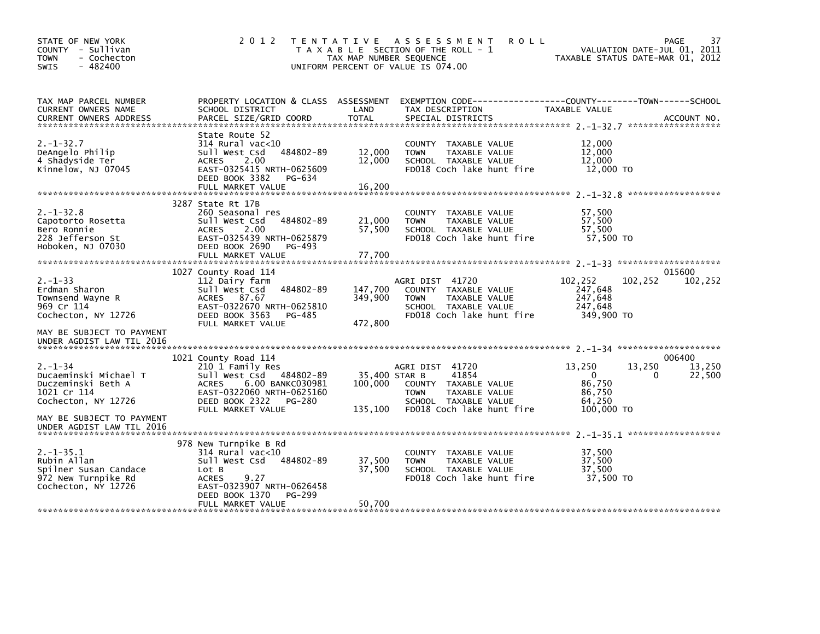| STATE OF NEW YORK<br>COUNTY - Sullivan<br>- Cochecton<br>TOWN<br>$-482400$<br>SWIS                                              | 2 0 1 2<br>T E N T A T I V E                                                                                                                                                          | TAX MAP NUMBER SEQUENCE             | A S S E S S M E N T<br><b>ROLL</b><br>T A X A B L E SECTION OF THE ROLL - 1<br>UNIFORM PERCENT OF VALUE IS 074.00                     | VALUATION DATE-JUL 01, 2011<br>TAXABLE STATUS DATE-MAR 01, 2012          | 37<br>PAGE                 |
|---------------------------------------------------------------------------------------------------------------------------------|---------------------------------------------------------------------------------------------------------------------------------------------------------------------------------------|-------------------------------------|---------------------------------------------------------------------------------------------------------------------------------------|--------------------------------------------------------------------------|----------------------------|
| TAX MAP PARCEL NUMBER<br>CURRENT OWNERS NAME                                                                                    | PROPERTY LOCATION & CLASS ASSESSMENT<br>SCHOOL DISTRICT                                                                                                                               | LAND                                | TAX DESCRIPTION                                                                                                                       | TAXABLE VALUE                                                            |                            |
| $2. -1 - 32.7$<br>DeAngelo Philip<br>4 Shadyside Ter<br>Kinnelow, NJ 07045                                                      | State Route 52<br>$314$ Rural vac<10<br>484802-89<br>Sull West Csd<br><b>ACRES</b><br>2.00<br>EAST-0325415 NRTH-0625609<br>DEED BOOK 3382<br>PG-634<br>FULL MARKET VALUE              | 12,000<br>12,000<br>16,200          | COUNTY TAXABLE VALUE<br>TAXABLE VALUE<br><b>TOWN</b><br>SCHOOL TAXABLE VALUE<br>FD018 Coch lake hunt fire                             | 12,000<br>12,000<br>12,000<br>12,000 TO                                  |                            |
| $2. -1 - 32.8$<br>Capotorto Rosetta<br>Bero Ronnie<br>228 Jefferson St<br>Hoboken, NJ 07030                                     | 3287 State Rt 17B<br>260 Seasonal res<br>Sull West Csd<br>484802-89<br>2.00<br><b>ACRES</b><br>EAST-0325439 NRTH-0625879<br>DEED BOOK 2690<br>PG-493<br>FULL MARKET VALUE             | 21,000<br>57,500<br>77,700          | COUNTY TAXABLE VALUE<br>TAXABLE VALUE<br><b>TOWN</b><br>SCHOOL TAXABLE VALUE<br>FD018 Coch lake hunt fire                             | 57,500<br>57,500<br>57,500<br>57.500 TO                                  |                            |
| $2. - 1 - 33$<br>Erdman Sharon<br>Townsend Wayne R<br>969 Cr 114<br>Cochecton, NY 12726<br>MAY BE SUBJECT TO PAYMENT            | 1027 County Road 114<br>112 Dairy farm<br>484802-89<br>Sull West Csd<br>87.67<br><b>ACRES</b><br>EAST-0322670 NRTH-0625810<br>DEED BOOK 3563<br>PG-485<br>FULL MARKET VALUE           | 147,700<br>349,900<br>472,800       | AGRI DIST 41720<br>COUNTY TAXABLE VALUE<br><b>TOWN</b><br><b>TAXABLE VALUE</b><br>SCHOOL TAXABLE VALUE<br>FD018 Coch lake hunt fire   | 102,252<br>102,252<br>247,648<br>247,648<br>247,648<br>349,900 TO        | 015600<br>102,252          |
| UNDER AGDIST LAW TIL 2016                                                                                                       |                                                                                                                                                                                       |                                     |                                                                                                                                       |                                                                          |                            |
| $2. - 1 - 34$<br>Ducaeminski Michael T<br>Duczeminski Beth A<br>1021 Cr 114<br>Cochecton, NY 12726<br>MAY BE SUBJECT TO PAYMENT | 1021 County Road 114<br>210 1 Family Res<br>Sull West Csd 484802-89<br>6.00 BANKC030981<br><b>ACRES</b><br>EAST-0322060 NRTH-0625160<br>DEED BOOK 2322<br>PG-280<br>FULL MARKET VALUE | 35,400 STAR B<br>100,000<br>135,100 | AGRI DIST 41720<br>41854<br>COUNTY TAXABLE VALUE<br><b>TOWN</b><br>TAXABLE VALUE<br>SCHOOL TAXABLE VALUE<br>FD018 Coch lake hunt fire | 13,250<br>13,250<br>$\Omega$<br>86,750<br>86,750<br>64.250<br>100,000 TO | 006400<br>13,250<br>22,500 |
| UNDER AGDIST LAW TIL 2016                                                                                                       |                                                                                                                                                                                       |                                     |                                                                                                                                       |                                                                          |                            |
| $2. -1 - 35.1$<br>Rubin Allan<br>Spilner Susan Candace<br>972 New Turnpike Rd<br>Cochecton, NY 12726                            | 978 New Turnpike B Rd<br>$314$ Rural vac<10<br>484802-89<br>sull west Csd<br>Lot B<br><b>ACRES</b><br>9.27<br>EAST-0323907 NRTH-0626458                                               | 37,500<br>37,500                    | COUNTY TAXABLE VALUE<br>TAXABLE VALUE<br><b>TOWN</b><br>SCHOOL TAXABLE VALUE<br>FD018 Coch lake hunt fire                             | 37,500<br>37,500<br>37,500<br>37,500 TO                                  |                            |
|                                                                                                                                 | DEED BOOK 1370<br>PG-299<br>FULL MARKET VALUE                                                                                                                                         | 50,700                              |                                                                                                                                       |                                                                          |                            |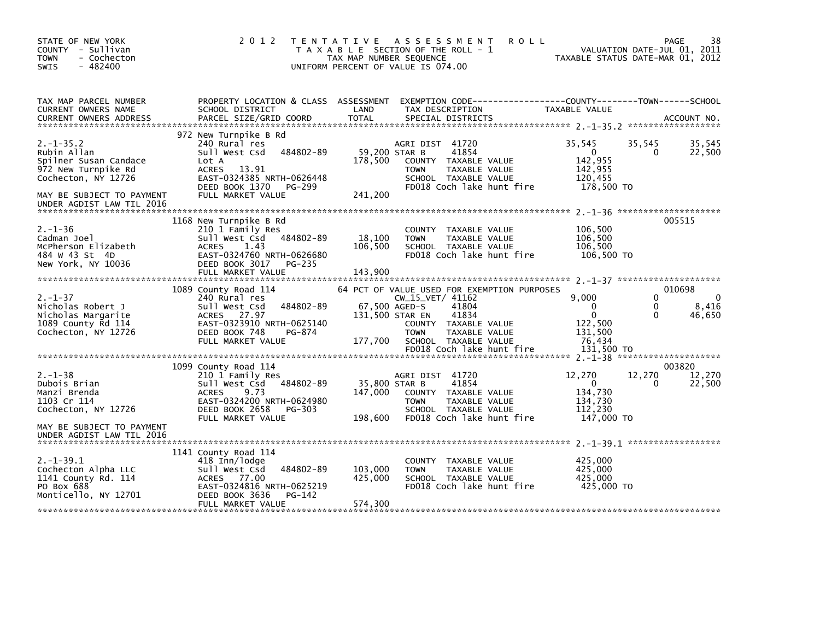| STATE OF NEW YORK<br>COUNTY - Sullivan<br><b>TOWN</b><br>- Cochecton<br>$-482400$<br><b>SWIS</b>                                                               | 2 0 1 2                                                                                                                                                                           | <b>ROLL</b><br>TENTATIVE ASSESSMENT<br>T A X A B L E SECTION OF THE ROLL - 1<br>TAX MAP NUMBER SEQUENCE<br>UNIFORM PERCENT OF VALUE IS 074.00                                                                                                   | 38<br><b>PAGE</b><br>VALUATION DATE-JUL 01, 2011<br>TAXABLE STATUS DATE-MAR 01, 2012                                                                      |
|----------------------------------------------------------------------------------------------------------------------------------------------------------------|-----------------------------------------------------------------------------------------------------------------------------------------------------------------------------------|-------------------------------------------------------------------------------------------------------------------------------------------------------------------------------------------------------------------------------------------------|-----------------------------------------------------------------------------------------------------------------------------------------------------------|
| TAX MAP PARCEL NUMBER<br>CURRENT OWNERS NAME<br><b>CURRENT OWNERS ADDRESS</b>                                                                                  | PROPERTY LOCATION & CLASS ASSESSMENT<br>SCHOOL DISTRICT<br>PARCEL SIZE/GRID COORD                                                                                                 | LAND<br>TAX DESCRIPTION<br><b>TOTAL</b><br>SPECIAL DISTRICTS                                                                                                                                                                                    | TAXABLE VALUE<br>ACCOUNT NO.                                                                                                                              |
| $2. -1 - 35.2$<br>Rubin Allan<br>Spilner Susan Candace<br>972 New Turnpike Rd<br>Cochecton, NY 12726<br>MAY BE SUBJECT TO PAYMENT<br>UNDER AGDIST LAW TIL 2016 | 972 New Turnpike B Rd<br>240 Rural res<br>484802-89<br>Sull West Csd<br>Lot A<br><b>ACRES</b><br>13.91<br>EAST-0324385 NRTH-0626448<br>DEED BOOK 1370 PG-299<br>FULL MARKET VALUE | AGRI DIST 41720<br>59,200 STAR B<br>41854<br>178,500<br>COUNTY TAXABLE VALUE<br>TAXABLE VALUE<br><b>TOWN</b><br>SCHOOL TAXABLE VALUE<br>FD018 Coch lake hunt fire<br>241,200                                                                    | 35,545<br>35,545<br>35,545<br>22,500<br>$\mathbf{0}$<br>0<br>142,955<br>142,955<br>120,455<br>178,500 TO                                                  |
| $2. - 1 - 36$<br>Cadman Joel<br>McPherson Elizabeth<br>484 W 43 St 4D<br>New York, NY 10036                                                                    | 1168 New Turnpike B Rd<br>210 1 Family Res<br>484802-89<br>Sull West Csd<br><b>ACRES</b><br>1.43<br>EAST-0324760 NRTH-0626680<br>DEED BOOK 3017<br>PG-235<br>FULL MARKET VALUE    | COUNTY TAXABLE VALUE<br>18,100<br><b>TOWN</b><br>TAXABLE VALUE<br>106,500<br>SCHOOL TAXABLE VALUE<br>FD018 Coch lake hunt fire<br>143,900                                                                                                       | 005515<br>106,500<br>106,500<br>106.500<br>106,500 TO                                                                                                     |
| $2. - 1 - 37$<br>Nicholas Robert J<br>Nicholas Margarite<br>1089 County Rd 114<br>Cochecton, NY 12726                                                          | 1089 County Road 114<br>240 Rural res<br>484802-89<br>Sull West Csd<br>ACRES 27.97<br>EAST-0323910 NRTH-0625140<br>DEED BOOK 748<br>PG-874<br>FULL MARKET VALUE                   | 64 PCT OF VALUE USED FOR EXEMPTION PURPOSES<br>$CW_15_VET/ 41162$<br>67,500 AGED-S<br>41804<br>131,500 STAR EN<br>41834<br>COUNTY TAXABLE VALUE<br><b>TOWN</b><br>TAXABLE VALUE<br>177,700<br>SCHOOL TAXABLE VALUE<br>FD018 Coch lake hunt fire | 010698<br>$\Omega$<br>9.000<br>$\Omega$<br>$\mathbf{0}$<br>8,416<br>$\Omega$<br>$\mathbf{0}$<br>0<br>46,650<br>122.500<br>131,500<br>76,434<br>131.500 TO |
| $2. - 1 - 38$<br>Dubois Brian<br>Manzi Brenda<br>1103 Cr 114<br>Cochecton, NY 12726<br>MAY BE SUBJECT TO PAYMENT<br>UNDER AGDIST LAW TIL 2016                  | 1099 County Road 114<br>210 1 Family Res<br>Sull West Csd 484802-89<br>ACRES<br>9.73<br>EAST-0324200 NRTH-0624980<br>DEED BOOK 2658<br>PG-303<br>FULL MARKET VALUE                | AGRI DIST 41720<br>35,800 STAR B<br>41854<br>147,000<br>COUNTY TAXABLE VALUE<br><b>TOWN</b><br>TAXABLE VALUE<br>SCHOOL TAXABLE VALUE<br>198,600<br>FD018 Coch lake hunt fire                                                                    | 003820<br>12,270<br>12,270<br>12,270<br>$\mathbf{0}$<br>22,500<br>0<br>134,730<br>134,730<br>112,230<br>147,000 TO                                        |
| $2. -1 - 39.1$<br>Cochecton Alpha LLC<br>1141 County Rd. 114<br>PO Box 688<br>Monticello, NY 12701                                                             | 1141 County Road 114<br>418 Inn/lodge<br>Sull West Csd<br>484802-89<br>ACRES 77.00<br>EAST-0324816 NRTH-0625219<br>DEED BOOK 3636<br>PG-142<br>FULL MARKET VALUE                  | COUNTY TAXABLE VALUE<br>103,000<br><b>TOWN</b><br>TAXABLE VALUE<br>425,000<br>SCHOOL TAXABLE VALUE<br>FD018 Coch lake hunt fire<br>574,300                                                                                                      | 425,000<br>425,000<br>425.000<br>425,000 TO                                                                                                               |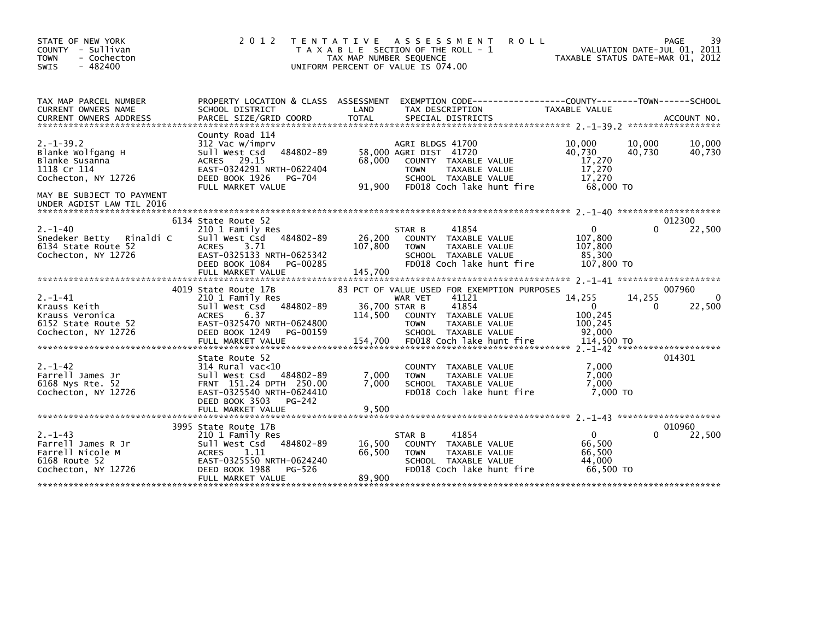| STATE OF NEW YORK<br>COUNTY - Sullivan<br><b>TOWN</b><br>- Cochecton<br>$-482400$<br>SWIS       | 2 0 1 2                                                                                                                                                                        | TENTATIVE<br>ASSESSMENT<br><b>ROLL</b><br>T A X A B L E SECTION OF THE ROLL - 1<br>TAX MAP NUMBER SEQUENCE<br>UNIFORM PERCENT OF VALUE IS 074.00                                                                             | 39<br>PAGE<br>VALUATION DATE-JUL 01, 2011<br>TAXABLE STATUS DATE-MAR 01, 2012                                       |
|-------------------------------------------------------------------------------------------------|--------------------------------------------------------------------------------------------------------------------------------------------------------------------------------|------------------------------------------------------------------------------------------------------------------------------------------------------------------------------------------------------------------------------|---------------------------------------------------------------------------------------------------------------------|
| TAX MAP PARCEL NUMBER<br>CURRENT OWNERS NAME<br><b>CURRENT OWNERS ADDRESS</b>                   | SCHOOL DISTRICT<br>PARCEL SIZE/GRID COORD                                                                                                                                      | PROPERTY LOCATION & CLASS ASSESSMENT EXEMPTION CODE----------------COUNTY-------TOWN------SCHOOL<br>LAND<br>TAX DESCRIPTION<br><b>TOTAL</b><br>SPECIAL DISTRICTS                                                             | <b>TAXABLE VALUE</b><br>ACCOUNT NO.                                                                                 |
| $2. -1 - 39.2$<br>Blanke Wolfgang H<br>Blanke Susanna<br>1118 Cr 114<br>Cochecton, NY 12726     | County Road 114<br>312 Vac w/imprv<br>484802-89<br>Sull West Csd<br>ACRES 29.15<br>EAST-0324291 NRTH-0622404<br>DEED BOOK 1926<br>PG-704<br>FULL MARKET VALUE                  | AGRI BLDGS 41700<br>58,000 AGRI DIST 41720<br>68,000<br>COUNTY TAXABLE VALUE<br>TAXABLE VALUE<br><b>TOWN</b><br>SCHOOL TAXABLE VALUE<br>91,900<br>FD018 Coch lake hunt fire                                                  | 10,000<br>10,000<br>10,000<br>40.730<br>40,730<br>40,730<br>17,270<br>17,270<br>17.270<br>68,000 TO                 |
| MAY BE SUBJECT TO PAYMENT<br>UNDER AGDIST LAW TIL 2016                                          |                                                                                                                                                                                |                                                                                                                                                                                                                              |                                                                                                                     |
| $2. - 1 - 40$<br>Snedeker Betty<br>Rinaldi C<br>6134 State Route 52<br>Cochecton, NY 12726      | 6134 State Route 52<br>210 1 Family Res<br>484802-89<br>Sull West Csd<br><b>ACRES</b><br>3.71<br>EAST-0325133 NRTH-0625342<br>DEED BOOK 1084<br>PG-00285<br>FULL MARKET VALUE  | STAR B<br>41854<br>26,200<br>COUNTY TAXABLE VALUE<br>107,800<br><b>TOWN</b><br>TAXABLE VALUE<br>SCHOOL TAXABLE VALUE<br>FD018 Coch lake hunt fire<br>145,700                                                                 | 012300<br>22,500<br>$\Omega$<br>0<br>107,800<br>107,800<br>85,300<br>107,800 TO                                     |
| $2. - 1 - 41$<br>Krauss Keith<br>Krauss Veronica<br>6152 State Route 52<br>Cochecton, NY 12726  | 4019 State Route 17B<br>210 1 Family Res<br>484802-89<br>Sull West Csd<br><b>ACRES</b><br>6.37<br>EAST-0325470 NRTH-0624800<br>DEED BOOK 1249<br>PG-00159<br>FULL MARKET VALUE | 83 PCT OF VALUE USED FOR EXEMPTION PURPOSES<br>41121<br>WAR VET<br>36,700 STAR B<br>41854<br>114,500<br>COUNTY TAXABLE VALUE<br><b>TOWN</b><br>TAXABLE VALUE<br>SCHOOL TAXABLE VALUE<br>154,700<br>FD018 Coch lake hunt fire | 007960<br>14,255<br>14,255<br>$\Omega$<br>$\mathbf{0}$<br>22,500<br>0<br>100,245<br>100,245<br>92.000<br>114,500 TO |
| $2. - 1 - 42$<br>Farrell James Jr<br>6168 Nys Rte. 52<br>Cochecton, NY 12726                    | State Route 52<br>$314$ Rural vac<10<br>Sull West Csd<br>484802-89<br>FRNT 151.24 DPTH 250.00<br>EAST-0325540 NRTH-0624410<br>DEED BOOK 3503<br>PG-242<br>FULL MARKET VALUE    | COUNTY TAXABLE VALUE<br>7,000<br><b>TOWN</b><br>TAXABLE VALUE<br>7,000<br>SCHOOL TAXABLE VALUE<br>FD018 Coch lake hunt fire<br>9,500                                                                                         | 014301<br>7,000<br>7,000<br>7,000<br>7.000 TO                                                                       |
| $2. - 1 - 43$<br>Farrell James R Jr<br>Farrell Nicole M<br>6168 Route 52<br>Cochecton, NY 12726 | 3995 State Route 17B<br>210 1 Family Res<br>484802-89<br>Sull West Csd<br><b>ACRES</b><br>1.11<br>EAST-0325550 NRTH-0624240<br>DEED BOOK 1988<br>PG-526<br>FULL MARKET VALUE   | 41854<br>STAR B<br>16,500<br>COUNTY TAXABLE VALUE<br>66,500<br><b>TOWN</b><br>TAXABLE VALUE<br>SCHOOL TAXABLE VALUE<br>FD018 Coch lake hunt fire<br>89,900                                                                   | 010960<br>$\Omega$<br>22,500<br>0<br>66.500<br>66,500<br>44.000<br>66.500 TO                                        |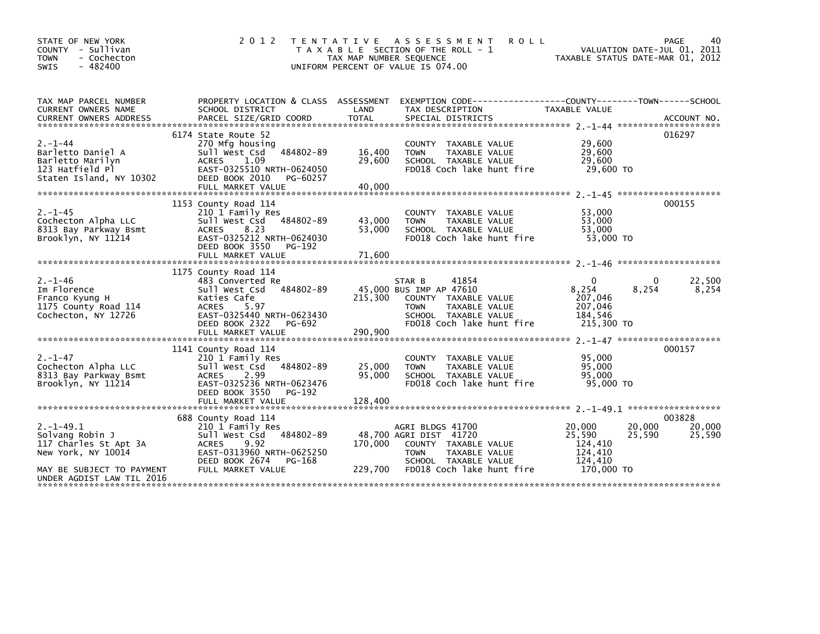| STATE OF NEW YORK<br>- Sullivan<br><b>COUNTY</b><br>- Cochecton<br><b>TOWN</b><br>$-482400$<br><b>SWIS</b>                                 | 2 0 1 2                                                                                                                                                                   | T E N T A T I V E<br>TAX MAP NUMBER SEQUENCE | ASSESSMENT<br><b>ROLL</b><br>T A X A B L E SECTION OF THE ROLL - 1<br>UNIFORM PERCENT OF VALUE IS 074.00                                                | VALUATION DATE-JUL 01, 2011<br>TAXABLE STATUS DATE-MAR 01, 2012                     | PAGE<br>40                 |
|--------------------------------------------------------------------------------------------------------------------------------------------|---------------------------------------------------------------------------------------------------------------------------------------------------------------------------|----------------------------------------------|---------------------------------------------------------------------------------------------------------------------------------------------------------|-------------------------------------------------------------------------------------|----------------------------|
| TAX MAP PARCEL NUMBER<br><b>CURRENT OWNERS NAME</b>                                                                                        | SCHOOL DISTRICT                                                                                                                                                           | LAND                                         | PROPERTY LOCATION & CLASS ASSESSMENT EXEMPTION CODE----------------COUNTY-------TOWN------SCHOOL<br>TAX DESCRIPTION                                     | TAXABLE VALUE                                                                       |                            |
| $2. - 1 - 44$<br>Barletto Daniel A<br>Barletto Marilyn<br>123 Hatfield Pl<br>Staten Island, NY 10302                                       | 6174 State Route 52<br>270 Mfg housing<br>Sull West Csd 484802-89<br><b>ACRES</b><br>1.09<br>EAST-0325510 NRTH-0624050<br>DEED BOOK 2010<br>PG-60257                      | 16,400<br>29,600                             | COUNTY TAXABLE VALUE<br>TAXABLE VALUE<br><b>TOWN</b><br>SCHOOL TAXABLE VALUE<br>FD018 Coch lake hunt fire                                               | 29,600<br>29,600<br>29,600<br>29,600 TO                                             | 016297                     |
| $2. -1 - 45$<br>Cochecton Alpha LLC<br>8313 Bay Parkway Bsmt<br>Brooklyn, NY 11214                                                         | 1153 County Road 114<br>210 1 Family Res<br>Sull West Csd 484802-89<br>8.23<br><b>ACRES</b><br>EAST-0325212 NRTH-0624030<br>DEED BOOK 3550<br>PG-192<br>FULL MARKET VALUE | 43,000<br>53,000<br>71,600                   | <b>COUNTY</b><br>TAXABLE VALUE<br>TAXABLE VALUE<br><b>TOWN</b><br>SCHOOL TAXABLE VALUE<br>FD018 Coch lake hunt fire                                     | 53,000<br>53,000<br>53,000<br>53,000 TO                                             | 000155                     |
| $2. - 1 - 46$<br>Im Florence<br>Franco Kyung H<br>1175 County Road 114<br>Cochecton, NY 12726                                              | 1175 County Road 114<br>483 Converted Re<br>Sull West Csd 484802-89<br>Katies Cafe<br><b>ACRES</b><br>5.97<br>EAST-0325440 NRTH-0623430<br>DEED BOOK 2322<br>PG-692       | 215,300                                      | 41854<br>STAR B<br>45,000 BUS IMP AP 47610<br>COUNTY TAXABLE VALUE<br><b>TOWN</b><br>TAXABLE VALUE<br>SCHOOL TAXABLE VALUE<br>FD018 Coch lake hunt fire | $\mathbf{0}$<br>8,254<br>8,254<br>207,046<br>207,046<br>184.546<br>215,300 TO       | 22,500<br>8,254            |
| $2. - 1 - 47$<br>Cochecton Alpha LLC<br>8313 Bay Parkway Bsmt<br>Brooklyn, NY 11214                                                        | 1141 County Road 114<br>210 1 Family Res<br>Sull West Csd 484802-89<br><b>ACRES</b><br>2.99<br>EAST-0325236 NRTH-0623476<br>DEED BOOK 3550<br>PG-192<br>FULL MARKET VALUE | 25,000<br>95,000<br>128.400                  | TAXABLE VALUE<br><b>COUNTY</b><br>TAXABLE VALUE<br><b>TOWN</b><br>SCHOOL TAXABLE VALUE<br>FD018 Coch lake hunt fire                                     | 95,000<br>95,000<br>95,000<br>95,000 TO                                             | 000157                     |
| $2. -1 - 49.1$<br>Solvang Robin J<br>117 Charles St Apt 3A<br>New York, NY 10014<br>MAY BE SUBJECT TO PAYMENT<br>UNDER AGDIST LAW TIL 2016 | 688 County Road 114<br>210 1 Family Res<br>Sull West Csd 484802-89<br>9.92<br><b>ACRES</b><br>EAST-0313960 NRTH-0625250<br>DEED BOOK 2674<br>PG-168<br>FULL MARKET VALUE  | 170.000<br>229,700                           | AGRI BLDGS 41700<br>48,700 AGRI DIST 41720<br>COUNTY TAXABLE VALUE<br><b>TOWN</b><br>TAXABLE VALUE<br>SCHOOL TAXABLE VALUE<br>FD018 Coch lake hunt fire | 20,000<br>20,000<br>25,590<br>25,590<br>124.410<br>124,410<br>124.410<br>170,000 TO | 003828<br>20,000<br>25,590 |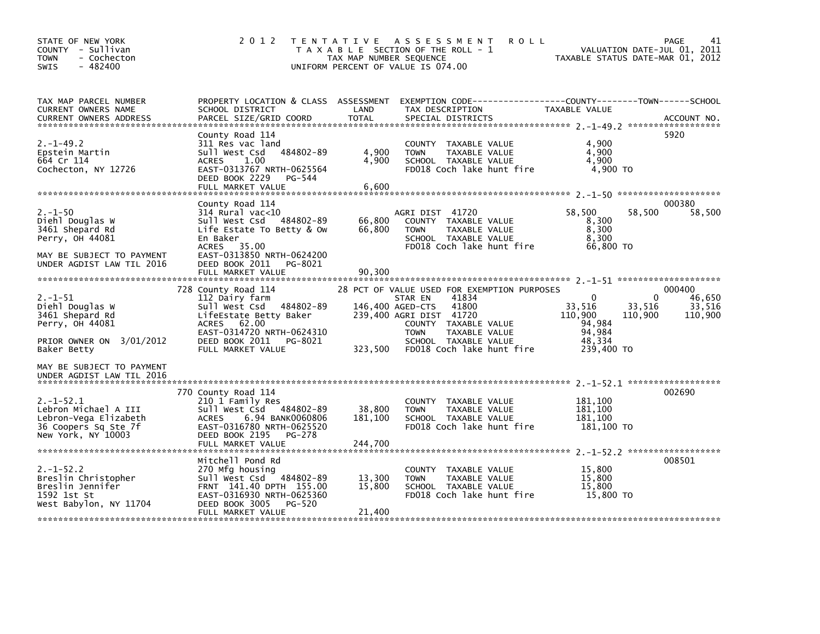| STATE OF NEW YORK<br>COUNTY - Sullivan<br><b>TOWN</b><br>- Cochecton<br>$-482400$<br>SWIS                                                                               | 2 0 1 2                                                                                                                                                                                                    | TAX MAP NUMBER SEQUENCE               | TENTATIVE ASSESSMENT<br><b>ROLL</b><br>T A X A B L E SECTION OF THE ROLL - 1<br>UNIFORM PERCENT OF VALUE IS 074.00                                                                                               | VALUATION DATE-JUL 01, 2011<br>TAXABLE STATUS DATE-MAR 01, 2012                                                | 41<br>PAGE                            |
|-------------------------------------------------------------------------------------------------------------------------------------------------------------------------|------------------------------------------------------------------------------------------------------------------------------------------------------------------------------------------------------------|---------------------------------------|------------------------------------------------------------------------------------------------------------------------------------------------------------------------------------------------------------------|----------------------------------------------------------------------------------------------------------------|---------------------------------------|
| TAX MAP PARCEL NUMBER<br>CURRENT OWNERS NAME<br><b>CURRENT OWNERS ADDRESS</b>                                                                                           | SCHOOL DISTRICT<br>PARCEL SIZE/GRID COORD                                                                                                                                                                  | LAND<br>TOTAL                         | PROPERTY LOCATION & CLASS ASSESSMENT EXEMPTION CODE----------------COUNTY-------TOWN------SCHOOL<br>TAX DESCRIPTION<br>SPECIAL DISTRICTS                                                                         | TAXABLE VALUE                                                                                                  | ACCOUNT NO.                           |
| $2. -1 - 49.2$<br>Epstein Martin<br>664 Cr 114<br>Cochecton, NY 12726                                                                                                   | County Road 114<br>311 Res vac land<br>484802-89<br>Sull West Csd<br>1.00<br>ACRES<br>EAST-0313767 NRTH-0625564<br>DEED BOOK 2229<br>PG-544<br>FULL MARKET VALUE                                           | 4,900<br>4,900<br>6,600               | COUNTY TAXABLE VALUE<br><b>TOWN</b><br>TAXABLE VALUE<br>SCHOOL TAXABLE VALUE<br>FD018 Coch lake hunt fire                                                                                                        | 4,900<br>4,900<br>4.900<br>$4,900$ TO                                                                          | 5920                                  |
| $2. - 1 - 50$<br>Diehl Douglas W<br>3461 Shepard Rd<br>Perry, OH 44081<br>MAY BE SUBJECT TO PAYMENT<br>UNDER AGDIST LAW TIL 2016                                        | County Road 114<br>$314$ Rural vac<10<br>484802-89<br>sull west Csd<br>Life Estate To Betty & Ow<br>En Baker<br>ACRES 35.00<br>EAST-0313850 NRTH-0624200<br>DEED BOOK 2011<br>PG-8021                      | 66,800<br>66,800                      | AGRI DIST 41720<br>COUNTY TAXABLE VALUE<br>TAXABLE VALUE<br><b>TOWN</b><br>SCHOOL TAXABLE VALUE<br>FD018 Coch lake hunt fire                                                                                     | 58,500<br>58,500<br>8,300<br>8,300<br>8.300<br>66,800 TO                                                       | 000380<br>58,500                      |
| $2. - 1 - 51$<br>Diehl Douglas W<br>3461 Shepard Rd<br>Perry, OH 44081<br>PRIOR OWNER ON 3/01/2012<br>Baker Betty                                                       | FULL MARKET VALUE<br>728 County Road 114<br>112 Dairy farm<br>Sull West Csd 484802-89<br>LifeEstate Betty Baker<br>ACRES 62.00<br>EAST-0314720 NRTH-0624310<br>DEED BOOK 2011 PG-8021<br>FULL MARKET VALUE | 90,300<br>146,400 AGED-CTS<br>323,500 | 28 PCT OF VALUE USED FOR EXEMPTION PURPOSES<br>41834<br>STAR EN<br>41800<br>239,400 AGRI DIST 41720<br>COUNTY TAXABLE VALUE<br><b>TOWN</b><br>TAXABLE VALUE<br>SCHOOL TAXABLE VALUE<br>FD018 Coch lake hunt fire | $\mathbf{0}$<br>$\Omega$<br>33,516<br>33,516<br>110,900<br>110,900<br>94,984<br>94,984<br>48.334<br>239,400 TO | 000400<br>46,650<br>33,516<br>110,900 |
| MAY BE SUBJECT TO PAYMENT<br>UNDER AGDIST LAW TIL 2016<br>$2. -1 - 52.1$<br>Lebron Michael A III<br>Lebron-Vega Elizabeth<br>36 Coopers Sq Ste 7f<br>New York, NY 10003 | 770 County Road 114<br>210 1 Family Res<br>Sull West Csd 484802-89<br><b>ACRES</b><br>6.94 BANK0060806<br>EAST-0316780 NRTH-0625520<br>DEED BOOK 2195<br>PG-278<br>FULL MARKET VALUE                       | 38,800<br>181,100<br>244,700          | COUNTY TAXABLE VALUE<br><b>TOWN</b><br>TAXABLE VALUE<br>SCHOOL TAXABLE VALUE<br>FD018 Coch lake hunt fire                                                                                                        | 181,100<br>181,100<br>181,100<br>181,100 TO                                                                    | 002690                                |
| $2. -1 - 52.2$<br>Breslin Christopher<br>Breslin Jennifer<br>1592 1st St<br>West Babylon, NY 11704                                                                      | Mitchell Pond Rd<br>270 Mfg housing<br>Sull West Csd 484802-89<br>FRNT 141.40 DPTH 155.00<br>EAST-0316930 NRTH-0625360<br>DEED BOOK 3005<br>PG-520<br>FULL MARKET VALUE                                    | 13,300<br>15,800<br>21,400            | COUNTY TAXABLE VALUE<br>TAXABLE VALUE<br><b>TOWN</b><br>SCHOOL TAXABLE VALUE<br>FD018 Coch lake hunt fire                                                                                                        | 15,800<br>15,800<br>15,800<br>15,800 TO                                                                        | 008501                                |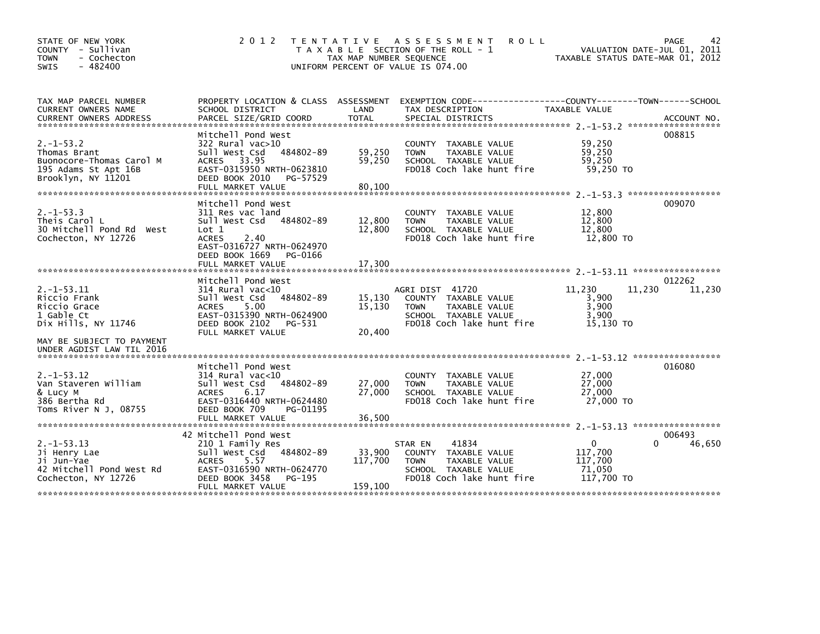| STATE OF NEW YORK<br>COUNTY - Sullivan<br><b>TOWN</b><br>- Cochecton<br>$-482400$<br><b>SWIS</b>         | 2 0 1 2                                                                                                                                                                         | TAX MAP NUMBER SEQUENCE      | TENTATIVE ASSESSMENT<br><b>ROLL</b><br>T A X A B L E SECTION OF THE ROLL - 1<br>UNIFORM PERCENT OF VALUE IS 074.00                  | TAXABLE STATUS DATE-MAR 01, 2012                           | PAGE<br>42<br>VALUATION DATE-JUL 01, 2011 |
|----------------------------------------------------------------------------------------------------------|---------------------------------------------------------------------------------------------------------------------------------------------------------------------------------|------------------------------|-------------------------------------------------------------------------------------------------------------------------------------|------------------------------------------------------------|-------------------------------------------|
| TAX MAP PARCEL NUMBER<br>CURRENT OWNERS NAME<br><b>CURRENT OWNERS ADDRESS</b>                            | PROPERTY LOCATION & CLASS ASSESSMENT<br>SCHOOL DISTRICT<br>PARCEL SIZE/GRID COORD                                                                                               | LAND<br><b>TOTAL</b>         | EXEMPTION CODE-----------------COUNTY-------TOWN------SCHOOL<br>TAX DESCRIPTION<br>SPECIAL DISTRICTS                                | TAXABLE VALUE                                              | ACCOUNT NO.                               |
| $2. -1 - 53.2$<br>Thomas Brant<br>Buonocore-Thomas Carol M<br>195 Adams St Apt 16B<br>Brooklyn, NY 11201 | Mitchell Pond West<br>322 Rural vac>10<br>484802-89<br>Sull West Csd<br>ACRES 33.95<br>EAST-0315950 NRTH-0623810<br>DEED BOOK 2010<br>PG-57529                                  | 59,250<br>59,250             | COUNTY TAXABLE VALUE<br><b>TOWN</b><br>TAXABLE VALUE<br>SCHOOL TAXABLE VALUE<br>FD018 Coch lake hunt fire                           | 59,250<br>59,250<br>59.250<br>59,250 TO                    | 008815                                    |
|                                                                                                          | FULL MARKET VALUE                                                                                                                                                               | 80,100                       |                                                                                                                                     |                                                            |                                           |
| $2. -1 - 53.3$<br>Theis Carol L<br>30 Mitchell Pond Rd<br>West<br>Cochecton, NY 12726                    | Mitchell Pond West<br>311 Res vac land<br>Sull West Csd<br>484802-89<br>Lot 1<br><b>ACRES</b><br>2.40<br>EAST-0316727 NRTH-0624970<br>DEED BOOK 1669<br>PG-0166                 | 12,800<br>12,800             | COUNTY TAXABLE VALUE<br><b>TOWN</b><br>TAXABLE VALUE<br>SCHOOL TAXABLE VALUE<br>FD018 Coch lake hunt fire                           | 12,800<br>12,800<br>12,800<br>12,800 TO                    | 009070                                    |
|                                                                                                          | FULL MARKET VALUE                                                                                                                                                               | 17,300                       |                                                                                                                                     |                                                            |                                           |
| $2. -1 - 53.11$<br>Riccio Frank<br>Riccio Grace<br>1 Gable Ct<br>Dix Hills, NY 11746                     | Mitchell Pond West<br>$314$ Rural vac< $10$<br>Sull West Csd<br>484802-89<br>5.00<br><b>ACRES</b><br>EAST-0315390 NRTH-0624900<br>DEED BOOK 2102<br>PG-531<br>FULL MARKET VALUE | 15,130<br>15,130<br>20,400   | AGRI DIST 41720<br>COUNTY TAXABLE VALUE<br><b>TAXABLE VALUE</b><br><b>TOWN</b><br>SCHOOL TAXABLE VALUE<br>FD018 Coch lake hunt fire | 11,230<br>3,900<br>3,900<br>3,900<br>15.130 TO             | 012262<br>11,230<br>11,230                |
| MAY BE SUBJECT TO PAYMENT<br>UNDER AGDIST LAW TIL 2016                                                   |                                                                                                                                                                                 |                              |                                                                                                                                     |                                                            |                                           |
| $2. -1 - 53.12$<br>Van Staveren William<br>& Lucy M<br>386 Bertha Rd<br>Toms River N J, 08755            | Mitchell Pond West<br>$314$ Rural vac<10<br>484802-89<br>Sull West Csd<br>6.17<br><b>ACRES</b><br>EAST-0316440 NRTH-0624480<br>DEED BOOK 709<br>PG-01195<br>FULL MARKET VALUE   | 27,000<br>27,000<br>36,500   | <b>COUNTY</b><br>TAXABLE VALUE<br><b>TAXABLE VALUE</b><br><b>TOWN</b><br>SCHOOL TAXABLE VALUE<br>FD018 Coch lake hunt fire          | 27,000<br>27,000<br>27,000<br>27,000 TO                    | 016080                                    |
|                                                                                                          | 42 Mitchell Pond West                                                                                                                                                           |                              |                                                                                                                                     |                                                            | 006493                                    |
| $2. -1 - 53.13$<br>Ji Henry Lae<br>Ji Jun-Yae<br>42 Mitchell Pond West Rd<br>Cochecton, NY 12726         | 210 1 Family Res<br>Sull West Csd<br>484802-89<br><b>ACRES</b><br>5.57<br>EAST-0316590 NRTH-0624770<br>DEED BOOK 3458<br>PG-195<br>FULL MARKET VALUE                            | 33,900<br>117,700<br>159,100 | 41834<br>STAR EN<br>COUNTY<br>TAXABLE VALUE<br><b>TOWN</b><br>TAXABLE VALUE<br>SCHOOL TAXABLE VALUE<br>FD018 Coch lake hunt fire    | $\mathbf{0}$<br>117,700<br>117,700<br>71.050<br>117,700 TO | 0<br>46,650                               |
|                                                                                                          |                                                                                                                                                                                 |                              |                                                                                                                                     |                                                            |                                           |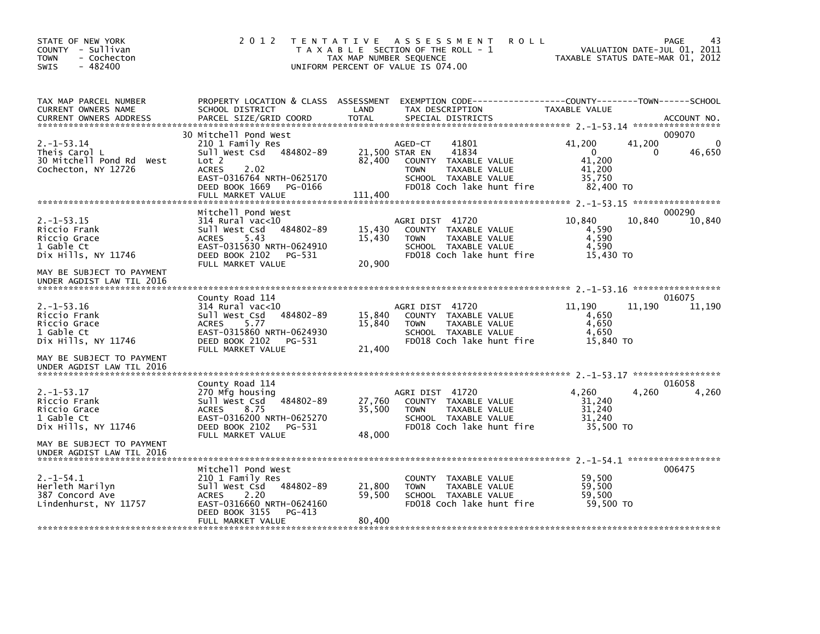| STATE OF NEW YORK<br>COUNTY - Sullivan<br><b>TOWN</b><br>- Cochecton<br>$-482400$<br><b>SWIS</b>                  | 2 0 1 2                                                                                                                                                                                         | T E N T A T I V E<br>A S S E S S M E N T<br><b>ROLL</b><br>T A X A B L E SECTION OF THE ROLL - 1<br>TAX MAP NUMBER SEQUENCE<br>UNIFORM PERCENT OF VALUE IS 074.00             | PAGE<br>VALUATION DATE-JUL 01, 2011<br>TAXABLE STATUS DATE-MAR 01, 2012                   |
|-------------------------------------------------------------------------------------------------------------------|-------------------------------------------------------------------------------------------------------------------------------------------------------------------------------------------------|-------------------------------------------------------------------------------------------------------------------------------------------------------------------------------|-------------------------------------------------------------------------------------------|
| TAX MAP PARCEL NUMBER<br>CURRENT OWNERS NAME<br><b>CURRENT OWNERS ADDRESS</b>                                     | PROPERTY LOCATION & CLASS ASSESSMENT<br>SCHOOL DISTRICT<br>PARCEL SIZE/GRID COORD                                                                                                               | LAND<br>TAX DESCRIPTION<br><b>TOTAL</b><br>SPECIAL DISTRICTS                                                                                                                  | TAXABLE VALUE<br>ACCOUNT NO.                                                              |
| $2. -1 - 53.14$<br>Theis Carol L<br>30 Mitchell Pond Rd West<br>Cochecton, NY 12726                               | 30 Mitchell Pond West<br>210 1 Family Res<br>Sull West Csd 484802-89<br>Lot <sub>2</sub><br><b>ACRES</b><br>2.02<br>EAST-0316764 NRTH-0625170<br>DEED BOOK 1669<br>PG-0166<br>FULL MARKET VALUE | 41801<br>AGED-CT<br>41834<br>21,500 STAR EN<br>82,400<br>COUNTY TAXABLE VALUE<br>TAXABLE VALUE<br><b>TOWN</b><br>SCHOOL TAXABLE VALUE<br>FD018 Coch lake hunt fire<br>111,400 | 009070<br>41,200<br>41,200<br>0<br>46,650<br>0<br>41,200<br>41,200<br>35,750<br>82,400 TO |
| $2. -1 - 53.15$<br>Riccio Frank<br>Riccio Grace<br>1 Gable Ct<br>Dix Hills, NY 11746<br>MAY BE SUBJECT TO PAYMENT | Mitchell Pond West<br>$314$ Rural vac<10<br>Sull West Csd<br>484802-89<br><b>ACRES</b><br>5.43<br>EAST-0315630 NRTH-0624910<br>DEED BOOK 2102<br>PG-531<br>FULL MARKET VALUE                    | AGRI DIST 41720<br>15,430<br>COUNTY TAXABLE VALUE<br>15,430<br><b>TOWN</b><br>TAXABLE VALUE<br>SCHOOL TAXABLE VALUE<br>FD018 Coch lake hunt fire<br>20,900                    | 000290<br>10,840<br>10,840<br>10,840<br>4,590<br>4,590<br>4.590<br>15,430 TO              |
| UNDER AGDIST LAW TIL 2016                                                                                         |                                                                                                                                                                                                 |                                                                                                                                                                               |                                                                                           |
| $2. -1 - 53.16$<br>Riccio Frank<br>Riccio Grace<br>1 Gable Ct<br>Dix Hills, NY 11746                              | County Road 114<br>314 Rural vac<10<br>Sull West Csd<br>484802-89<br><b>ACRES</b><br>5.77<br>EAST-0315860 NRTH-0624930<br>DEED BOOK 2102<br>PG-531<br>FULL MARKET VALUE                         | AGRI DIST 41720<br>15,840<br>COUNTY TAXABLE VALUE<br>15,840<br>TAXABLE VALUE<br><b>TOWN</b><br>SCHOOL TAXABLE VALUE<br>FD018 Coch lake hunt fire<br>21,400                    | 016075<br>11,190<br>11,190<br>11,190<br>4,650<br>4,650<br>4,650<br>15,840 TO              |
| MAY BE SUBJECT TO PAYMENT<br>UNDER AGDIST LAW TIL 2016                                                            |                                                                                                                                                                                                 |                                                                                                                                                                               |                                                                                           |
| $2. -1 - 53.17$<br>Riccio Frank<br>Riccio Grace<br>1 Gable Ct<br>Dix Hills, NY 11746                              | County Road 114<br>270 Mfg housing<br>Sull West Csd<br>484802-89<br><b>ACRES</b><br>8.75<br>EAST-0316200 NRTH-0625270<br>DEED BOOK 2102<br>PG-531<br>FULL MARKET VALUE                          | AGRI DIST 41720<br>27,760<br>COUNTY TAXABLE VALUE<br>35,500<br><b>TOWN</b><br>TAXABLE VALUE<br>SCHOOL TAXABLE VALUE<br>FD018 Coch lake hunt fire<br>48,000                    | 016058<br>4,260<br>4,260<br>4,260<br>31,240<br>31,240<br>31,240<br>35,500 TO              |
| MAY BE SUBJECT TO PAYMENT<br>UNDER AGDIST LAW TIL 2016                                                            |                                                                                                                                                                                                 |                                                                                                                                                                               |                                                                                           |
| $2. -1 - 54.1$<br>Herleth Marilyn<br>387 Concord Ave<br>Lindenhurst, NY 11757                                     | Mitchell Pond West<br>210 1 Family Res<br>Sull West Csd<br>484802-89<br>2.20<br><b>ACRES</b><br>EAST-0316660 NRTH-0624160<br>DEED BOOK 3155<br>PG-413<br>FULL MARKET VALUE                      | TAXABLE VALUE<br>COUNTY<br>21,800<br><b>TOWN</b><br>TAXABLE VALUE<br>59,500<br>SCHOOL TAXABLE VALUE<br>FD018 Coch lake hunt fire<br>80,400                                    | 006475<br>59,500<br>59,500<br>59.500<br>59,500 TO                                         |
|                                                                                                                   |                                                                                                                                                                                                 |                                                                                                                                                                               |                                                                                           |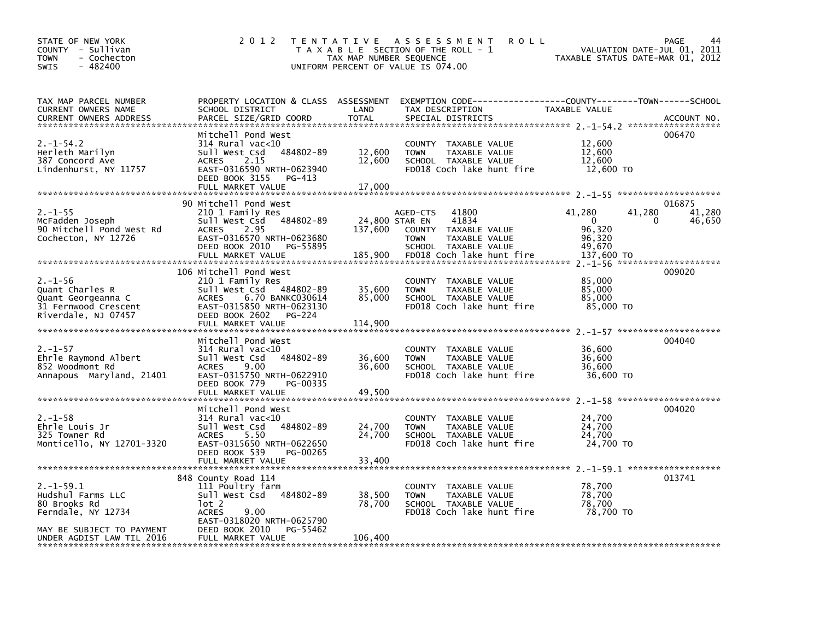| STATE OF NEW YORK<br>COUNTY - Sullivan<br>- Cochecton<br><b>TOWN</b><br>$-482400$<br>SWIS                                           | 2 0 1 2                                                                                                                                                                                   | T E N T A T I V E<br>TAX MAP NUMBER SEQUENCE | A S S E S S M E N T<br><b>ROLL</b><br>T A X A B L E SECTION OF THE ROLL - 1<br>UNIFORM PERCENT OF VALUE IS 074.00                          | TAXABLE STATUS DATE-MAR 01, 2012                                         | PAGE<br>44<br>VALUATION DATE-JUL 01, 2011 |
|-------------------------------------------------------------------------------------------------------------------------------------|-------------------------------------------------------------------------------------------------------------------------------------------------------------------------------------------|----------------------------------------------|--------------------------------------------------------------------------------------------------------------------------------------------|--------------------------------------------------------------------------|-------------------------------------------|
| TAX MAP PARCEL NUMBER<br>CURRENT OWNERS NAME<br><b>CURRENT OWNERS ADDRESS</b>                                                       | PROPERTY LOCATION & CLASS ASSESSMENT<br>SCHOOL DISTRICT<br>PARCEL SIZE/GRID COORD                                                                                                         | LAND<br><b>TOTAL</b>                         | EXEMPTION        CODE-----------------COUNTY-------TOWN------SCHOOL<br>TAX DESCRIPTION<br>SPECIAL DISTRICTS                                | TAXABLE VALUE                                                            | ACCOUNT NO.                               |
| $2. -1 - 54.2$<br>Herleth Marilyn<br>387 Concord Ave<br>Lindenhurst, NY 11757                                                       | Mitchell Pond West<br>314 Rural vac<10<br>484802-89<br>Sull West Csd<br>2.15<br><b>ACRES</b><br>EAST-0316590 NRTH-0623940<br>DEED BOOK 3155<br>PG-413<br>FULL MARKET VALUE                | 12,600<br>12,600<br>17,000                   | COUNTY TAXABLE VALUE<br><b>TOWN</b><br>TAXABLE VALUE<br>SCHOOL TAXABLE VALUE<br>FD018 Coch lake hunt fire                                  | 12,600<br>12,600<br>12,600<br>12,600 TO                                  | 006470                                    |
| $2. - 1 - 55$<br>McFadden Joseph<br>90 Mitchell Pond West Rd<br>Cochecton, NY 12726                                                 | 90 Mitchell Pond West<br>210 1 Family Res<br>484802-89<br>Sull West Csd<br>2.95<br><b>ACRES</b><br>EAST-0316570 NRTH-0623680<br>DEED BOOK 2010<br>PG-55895<br>FULL MARKET VALUE           | 24,800 STAR EN<br>137,600<br>185,900         | 41800<br>AGED-CTS<br>41834<br>COUNTY<br>TAXABLE VALUE<br><b>TOWN</b><br>TAXABLE VALUE<br>SCHOOL TAXABLE VALUE<br>FD018 Coch lake hunt fire | 41,280<br>41,280<br>$\Omega$<br>96,320<br>96,320<br>49,670<br>137,600 TO | 016875<br>41,280<br>46,650<br>0           |
| $2. - 1 - 56$<br>Quant Charles R<br>Quant Georgeanna C<br>31 Fernwood Crescent<br>Riverdale, NJ 07457                               | 106 Mitchell Pond West<br>210 1 Family Res<br>Sull West Csd 484802-89<br>6.70 BANKC030614<br><b>ACRES</b><br>EAST-0315850 NRTH-0623130<br>DEED BOOK 2602<br>PG-224<br>FULL MARKET VALUE   | 35,600<br>85,000<br>114,900                  | COUNTY TAXABLE VALUE<br>TAXABLE VALUE<br><b>TOWN</b><br>SCHOOL TAXABLE VALUE<br>FD018 Coch lake hunt fire                                  | 85,000<br>85,000<br>85,000<br>85,000 TO                                  | 009020                                    |
| $2. - 1 - 57$<br>Ehrle Raymond Albert<br>852 Woodmont Rd<br>Annapous Maryland, 21401                                                | Mitchell Pond West<br>$314$ Rural vac<10<br>Sull West Csd<br>484802-89<br>9.00<br><b>ACRES</b><br>EAST-0315750 NRTH-0622910<br>DEED BOOK 779<br>PG-00335<br>FULL MARKET VALUE             | 36,600<br>36,600<br>49,500                   | COUNTY TAXABLE VALUE<br>TAXABLE VALUE<br><b>TOWN</b><br>SCHOOL TAXABLE VALUE<br>FD018 Coch lake hunt fire                                  | 36,600<br>36,600<br>36,600<br>36,600 TO                                  | 004040                                    |
| $2. - 1 - 58$<br>Ehrle Louis Jr<br>325 Towner Rd<br>Monticello, NY 12701-3320                                                       | Mitchell Pond West<br>$314$ Rural vac<10<br>Sull West Csd<br>484802-89<br>5.50<br><b>ACRES</b><br>EAST-0315650 NRTH-0622650<br>DEED BOOK 539<br>PG-00265<br>FULL MARKET VALUE             | 24,700<br>24,700<br>33,400                   | COUNTY TAXABLE VALUE<br>TAXABLE VALUE<br><b>TOWN</b><br>SCHOOL TAXABLE VALUE<br>FD018 Coch lake hunt fire                                  | 24,700<br>24,700<br>24,700<br>24,700 TO                                  | 004020                                    |
| $2. -1 - 59.1$<br>Hudshul Farms LLC<br>80 Brooks Rd<br>Ferndale, NY 12734<br>MAY BE SUBJECT TO PAYMENT<br>UNDER AGDIST LAW TIL 2016 | 848 County Road 114<br>111 Poultry farm<br>Sull West Csd<br>484802-89<br>$1$ ot 2<br>9.00<br><b>ACRES</b><br>EAST-0318020 NRTH-0625790<br>DEED BOOK 2010<br>PG-55462<br>FULL MARKET VALUE | 38,500<br>78,700<br>106,400                  | COUNTY TAXABLE VALUE<br>TAXABLE VALUE<br><b>TOWN</b><br>SCHOOL TAXABLE VALUE<br>FD018 Coch lake hunt fire                                  | 78,700<br>78,700<br>78,700<br>78,700 TO                                  | 013741                                    |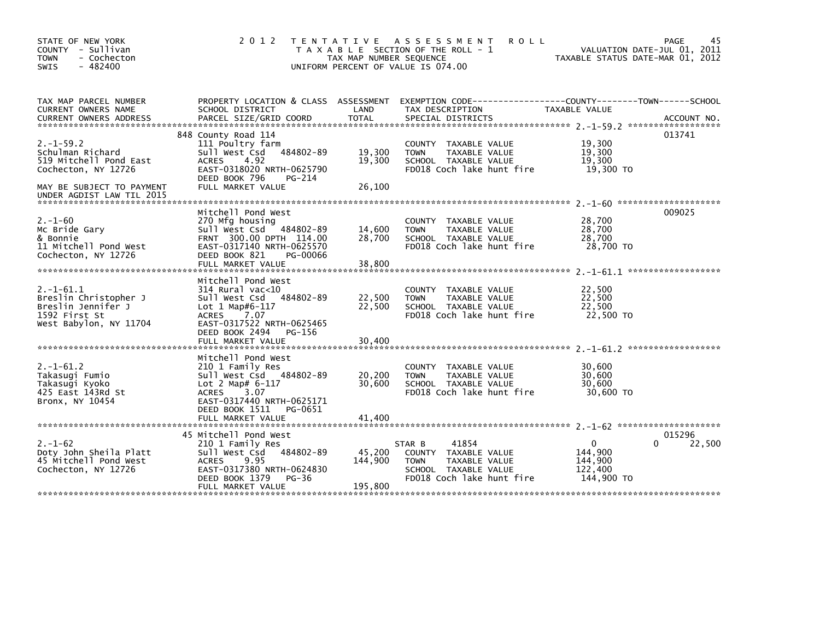| STATE OF NEW YORK<br>COUNTY - Sullivan<br><b>TOWN</b><br>- Cochecton<br>$-482400$<br><b>SWIS</b>         | 2 0 1 2                                                                                                                                                                                         | T E N T A T I V E<br>TAX MAP NUMBER SEQUENCE | <b>ROLL</b><br>A S S E S S M E N T<br>T A X A B L E SECTION OF THE ROLL - 1<br>UNIFORM PERCENT OF VALUE IS 074.00            | TAXABLE STATUS DATE-MAR 01, 2012                            | 45<br>PAGE<br>VALUATION DATE-JUL 01, 2011 |
|----------------------------------------------------------------------------------------------------------|-------------------------------------------------------------------------------------------------------------------------------------------------------------------------------------------------|----------------------------------------------|------------------------------------------------------------------------------------------------------------------------------|-------------------------------------------------------------|-------------------------------------------|
| TAX MAP PARCEL NUMBER<br>CURRENT OWNERS NAME<br><b>CURRENT OWNERS ADDRESS</b>                            | PROPERTY LOCATION & CLASS ASSESSMENT<br>SCHOOL DISTRICT<br>PARCEL SIZE/GRID COORD                                                                                                               | LAND<br>TOTAL                                | TAX DESCRIPTION<br>SPECIAL DISTRICTS                                                                                         | TAXABLE VALUE                                               | ACCOUNT NO.                               |
| $2. -1 - 59.2$<br>Schulman Richard<br>519 Mitchell Pond East<br>Cochecton, NY 12726                      | 848 County Road 114<br>111 Poultry farm<br>Sull West Csd<br>484802-89<br>4.92<br><b>ACRES</b><br>EAST-0318020 NRTH-0625790<br>DEED BOOK 796<br>PG-214                                           | 19,300<br>19,300                             | COUNTY TAXABLE VALUE<br>TAXABLE VALUE<br><b>TOWN</b><br>SCHOOL TAXABLE VALUE<br>FD018 Coch lake hunt fire                    | 19,300<br>19,300<br>19,300<br>19,300 TO                     | 013741                                    |
| MAY BE SUBJECT TO PAYMENT                                                                                | FULL MARKET VALUE                                                                                                                                                                               | 26,100                                       |                                                                                                                              |                                                             |                                           |
| $2. - 1 - 60$<br>Mc Bride Gary<br>& Bonnie<br>11 Mitchell Pond West<br>Cochecton, NY 12726               | Mitchell Pond West<br>270 Mfg housing<br>Sull West Csd<br>484802-89<br>FRNT 300.00 DPTH 114.00<br>EAST-0317140 NRTH-0625570<br>DEED BOOK 821<br>PG-00066<br>FULL MARKET VALUE                   | 14,600<br>28,700<br>38,800                   | COUNTY TAXABLE VALUE<br>TAXABLE VALUE<br><b>TOWN</b><br>SCHOOL TAXABLE VALUE<br>FD018 Coch lake hunt fire                    | 28,700<br>28,700<br>28,700<br>28,700 TO                     | 009025                                    |
| $2. -1 - 61.1$<br>Breslin Christopher J<br>Breslin Jennifer J<br>1592 First St<br>West Babylon, NY 11704 | Mitchell Pond West<br>$314$ Rural vac<10<br>484802-89<br>Sull West Csd<br>Lot 1 Map#6-117<br><b>ACRES</b><br>7.07<br>EAST-0317522 NRTH-0625465<br>DEED BOOK 2494<br>PG-156<br>FULL MARKET VALUE | 22,500<br>22,500<br>30,400                   | COUNTY TAXABLE VALUE<br>TAXABLE VALUE<br><b>TOWN</b><br>SCHOOL TAXABLE VALUE<br>FD018 Coch lake hunt fire                    | 22,500<br>22,500<br>22,500<br>22,500 TO                     |                                           |
| $2. - 1 - 61.2$<br>Takasugi Fumio<br>Takasugi Kyoko<br>425 East 143Rd St<br>Bronx, NY 10454              | Mitchell Pond West<br>210 1 Family Res<br>Sull West Csd 484802-89<br>$Lot 2 Map# 6-117$<br>3.07<br><b>ACRES</b><br>EAST-0317440 NRTH-0625171<br>DEED BOOK 1511<br>PG-0651<br>FULL MARKET VALUE  | 20,200<br>30,600<br>41.400                   | TAXABLE VALUE<br><b>COUNTY</b><br>TAXABLE VALUE<br><b>TOWN</b><br>SCHOOL TAXABLE VALUE<br>FD018 Coch lake hunt fire          | 30,600<br>30,600<br>30,600<br>30,600 TO                     |                                           |
| $2. - 1 - 62$<br>Doty John Sheila Platt<br>45 Mitchell Pond West<br>Cochecton, NY 12726                  | 45 Mitchell Pond West<br>210 1 Family Res<br>484802-89<br>Sull West Csd<br><b>ACRES</b><br>9.95<br>EAST-0317380 NRTH-0624830<br>DEED BOOK 1379<br>PG-36<br>FULL MARKET VALUE                    | 45,200<br>144,900<br>195,800                 | 41854<br>STAR B<br>COUNTY TAXABLE VALUE<br>TAXABLE VALUE<br><b>TOWN</b><br>SCHOOL TAXABLE VALUE<br>FD018 Coch lake hunt fire | $\mathbf{0}$<br>144,900<br>144,900<br>122,400<br>144,900 TO | 015296<br>22,500<br>0                     |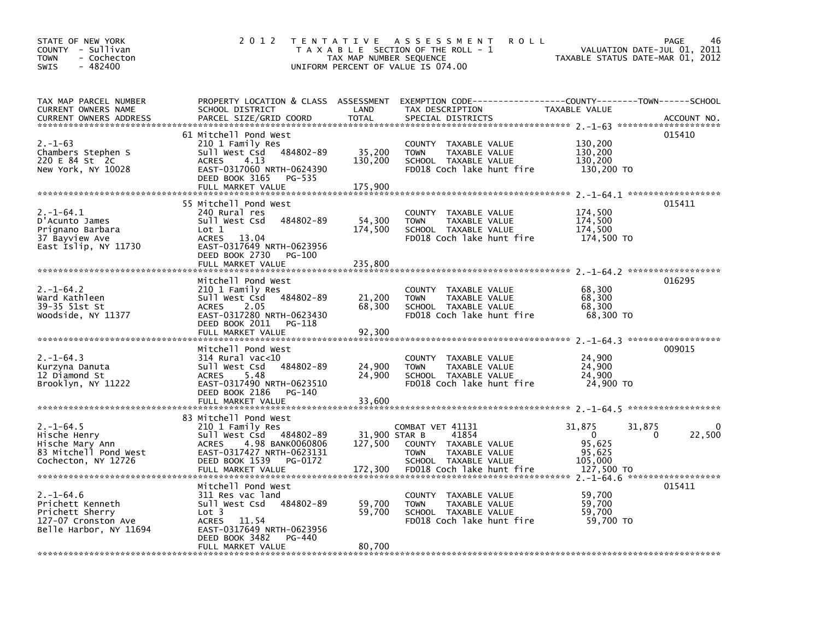| STATE OF NEW YORK<br>COUNTY - Sullivan<br>- Cochecton<br>TOWN<br>$-482400$<br><b>SWIS</b>              | 2 0 1 2                                                                                                                                                                                 | TAX MAP NUMBER SEQUENCE             | TENTATIVE ASSESSMENT<br><b>ROLL</b><br>T A X A B L E SECTION OF THE ROLL - 1<br>UNIFORM PERCENT OF VALUE IS 074.00                      | VALUATION DATE-JUL 01, 2011<br>TAXABLE STATUS DATE-MAR 01, 2012                       | 46<br>PAGE  |
|--------------------------------------------------------------------------------------------------------|-----------------------------------------------------------------------------------------------------------------------------------------------------------------------------------------|-------------------------------------|-----------------------------------------------------------------------------------------------------------------------------------------|---------------------------------------------------------------------------------------|-------------|
| TAX MAP PARCEL NUMBER<br>CURRENT OWNERS NAME<br><b>CURRENT OWNERS ADDRESS</b>                          | SCHOOL DISTRICT<br>PARCEL SIZE/GRID COORD                                                                                                                                               | LAND<br><b>TOTAL</b>                | PROPERTY LOCATION & CLASS ASSESSMENT EXEMPTION CODE---------------COUNTY-------TOWN------SCHOOL<br>TAX DESCRIPTION<br>SPECIAL DISTRICTS | TAXABLE VALUE                                                                         | ACCOUNT NO. |
| $2. - 1 - 63$<br>Chambers Stephen S<br>220 E 84 St 2C<br>New York, NY 10028                            | 61 Mitchell Pond West<br>210 1 Family Res<br>sull west Csd<br>484802-89<br><b>ACRES</b><br>4.13<br>EAST-0317060 NRTH-0624390<br>DEED BOOK 3165<br>PG-535<br>FULL MARKET VALUE           | 35,200<br>130,200<br>175,900        | COUNTY TAXABLE VALUE<br><b>TOWN</b><br>TAXABLE VALUE<br>SCHOOL TAXABLE VALUE<br>FD018 Coch lake hunt fire                               | 130,200<br>130,200<br>130,200<br>130,200 TO                                           | 015410      |
| $2. -1 - 64.1$<br>D'Acunto James<br>Prignano Barbara<br>37 Bayview Ave<br>East Islip, NY 11730         | 55 Mitchell Pond West<br>240 Rural res<br>484802-89<br>Sull West Csd<br>Lot 1<br><b>ACRES</b><br>13.04<br>EAST-0317649 NRTH-0623956<br>DEED BOOK 2730 PG-100<br>FULL MARKET VALUE       | 54,300<br>174,500<br>235,800        | COUNTY TAXABLE VALUE<br>TAXABLE VALUE<br><b>TOWN</b><br>SCHOOL TAXABLE VALUE<br>FD018 Coch lake hunt fire                               | 174,500<br>174,500<br>174,500<br>174,500 TO                                           | 015411      |
| $2. -1 - 64.2$<br>Ward Kathleen<br>39-35 51st St<br>Woodside, NY 11377                                 | Mitchell Pond West<br>210 1 Family Res<br>484802-89<br>sull west Csd<br>2.05<br><b>ACRES</b><br>EAST-0317280 NRTH-0623430<br>DEED BOOK 2011<br>PG-118<br>FULL MARKET VALUE              | 21,200<br>68,300<br>92,300          | COUNTY TAXABLE VALUE<br><b>TOWN</b><br>TAXABLE VALUE<br>SCHOOL TAXABLE VALUE<br>FD018 Coch lake hunt fire                               | 68,300<br>68,300<br>68,300<br>68,300 TO                                               | 016295      |
| $2. -1 - 64.3$<br>Kurzyna Danuta<br>12 Diamond St<br>Brooklyn, NY 11222                                | Mitchell Pond West<br>$314$ Rural vac<10<br>sull west Csd<br>484802-89<br><b>ACRES</b><br>5.48<br>EAST-0317490 NRTH-0623510<br>DEED BOOK 2186<br>PG-140<br>FULL MARKET VALUE            | 24,900<br>24,900<br>33,600          | COUNTY TAXABLE VALUE<br>TAXABLE VALUE<br><b>TOWN</b><br>SCHOOL TAXABLE VALUE<br>FD018 Coch lake hunt fire                               | 24,900<br>24,900<br>24,900<br>24,900 TO                                               | 009015      |
| $2. -1 - 64.5$<br>Hische Henry<br>Hische Mary Ann<br>83 Mitchell Pond West<br>Cochecton, NY 12726      | 83 Mitchell Pond West<br>210 1 Family Res<br>Sull West Csd 484802-89<br>4.98 BANK0060806<br><b>ACRES</b><br>EAST-0317427 NRTH-0623131<br>DEED BOOK 1539<br>PG-0172<br>FULL MARKET VALUE | 31,900 STAR B<br>127,500<br>172,300 | COMBAT VET 41131<br>41854<br>COUNTY TAXABLE VALUE<br><b>TOWN</b><br>TAXABLE VALUE<br>SCHOOL TAXABLE VALUE<br>FD018 Coch lake hunt fire  | 31,875<br>31,875<br>$\Omega$<br>$\Omega$<br>95,625<br>95,625<br>105,000<br>127,500 TO | 0<br>22,500 |
| $2. -1 - 64.6$<br>Prichett Kenneth<br>Prichett Sherry<br>127-07 Cronston Ave<br>Belle Harbor, NY 11694 | Mitchell Pond West<br>311 Res vac land<br>484802-89<br>Sull West Csd<br>Lot 3<br><b>ACRES</b><br>11.54<br>EAST-0317649 NRTH-0623956<br>DEED BOOK 3482<br>PG-440<br>FULL MARKET VALUE    | 59,700<br>59,700<br>80,700          | COUNTY<br>TAXABLE VALUE<br><b>TOWN</b><br>TAXABLE VALUE<br>SCHOOL TAXABLE VALUE<br>FD018 Coch lake hunt fire                            | 59,700<br>59,700<br>59,700<br>59,700 TO                                               | 015411      |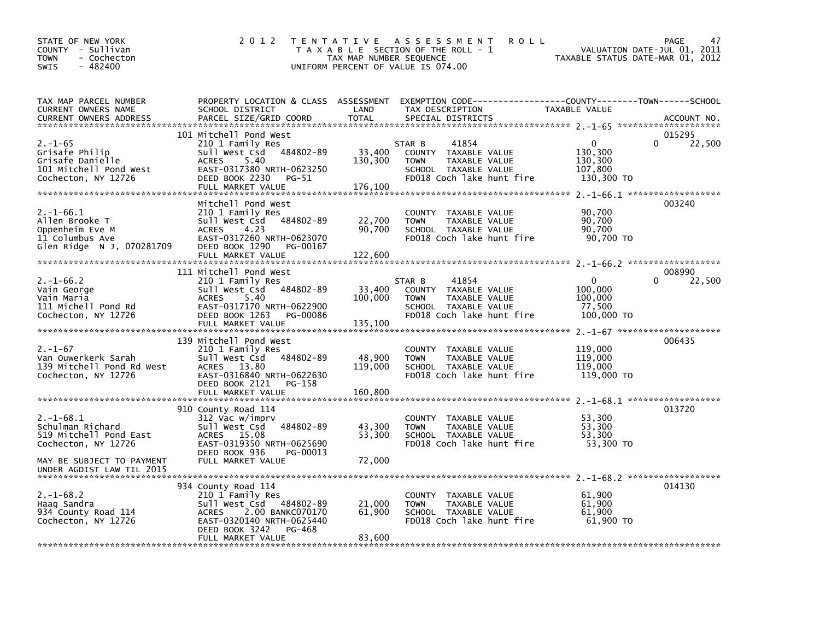| STATE OF NEW YORK<br>COUNTY - Sullivan<br>- Cochecton<br>TOWN<br>$-482400$<br>SWIS                   | 2 0 1 2                                                                                                                                                                              | T E N T A T I V E<br>TAX MAP NUMBER SEQUENCE | A S S E S S M E N T<br><b>ROLL</b><br>T A X A B L E SECTION OF THE ROLL - 1<br>UNIFORM PERCENT OF VALUE IS 074.00                      | VALUATION DATE-JUL 01, 2011<br>TAXABLE STATUS DATE-MAR 01, 2012 | 47<br>PAGE       |
|------------------------------------------------------------------------------------------------------|--------------------------------------------------------------------------------------------------------------------------------------------------------------------------------------|----------------------------------------------|----------------------------------------------------------------------------------------------------------------------------------------|-----------------------------------------------------------------|------------------|
| TAX MAP PARCEL NUMBER<br>CURRENT OWNERS NAME<br><b>CURRENT OWNERS ADDRESS</b>                        | SCHOOL DISTRICT<br>PARCEL SIZE/GRID COORD                                                                                                                                            | LAND<br><b>TOTAL</b>                         | PROPERTY LOCATION & CLASS ASSESSMENT EXEMPTION CODE---------------COUNTY-------TOWN-----SCHOOL<br>TAX DESCRIPTION<br>SPECIAL DISTRICTS | TAXABLE VALUE                                                   | ACCOUNT NO.      |
| $2. - 1 - 65$<br>Grisafe Philip<br>Grisafe Danielle<br>101 Mitchell Pond West<br>Cochecton, NY 12726 | 101 Mitchell Pond West<br>210 1 Family Res<br>484802-89<br>Sull West Csd<br>5.40<br><b>ACRES</b><br>EAST-0317380 NRTH-0623250<br>DEED BOOK 2230<br>PG-51<br>FULL MARKET VALUE        | 33,400<br>130,300<br>176,100                 | 41854<br>STAR B<br>COUNTY TAXABLE VALUE<br>TAXABLE VALUE<br><b>TOWN</b><br>SCHOOL TAXABLE VALUE<br>FD018 Coch lake hunt fire           | $\Omega$<br>0<br>130,300<br>130,300<br>107,800<br>130,300 TO    | 015295<br>22,500 |
| $2. -1 - 66.1$<br>Allen Brooke T<br>Oppenheim Eve M<br>11 Columbus Ave<br>Glen Ridge N J, 070281709  | Mitchell Pond West<br>210 1 Family Res<br>Sull West Csd 484802-89<br>4.23<br><b>ACRES</b><br>EAST-0317260 NRTH-0623070<br>DEED BOOK 1290<br>PG-00167<br>FULL MARKET VALUE            | 22,700<br>90,700<br>122,600                  | COUNTY TAXABLE VALUE<br><b>TOWN</b><br>TAXABLE VALUE<br>SCHOOL TAXABLE VALUE<br>FD018 Coch lake hunt fire                              | 90,700<br>90,700<br>90.700<br>90,700 TO                         | 003240           |
| $2. -1 - 66.2$<br>Vain George<br>Vain Maria<br>111 Michell Pond Rd<br>Cochecton, NY 12726            | 111 Mitchell Pond West<br>210 1 Family Res<br>Sull West Csd 484802-89<br>5.40<br><b>ACRES</b><br>EAST-0317170 NRTH-0622900<br>DEED BOOK 1263<br>PG-00086<br>FULL MARKET VALUE        | 33,400<br>100,000<br>135,100                 | 41854<br>STAR B<br>COUNTY TAXABLE VALUE<br>TAXABLE VALUE<br><b>TOWN</b><br>SCHOOL TAXABLE VALUE<br>FD018 Coch lake hunt fire           | 0<br>$\Omega$<br>100,000<br>100,000<br>77,500<br>100,000 TO     | 008990<br>22,500 |
| $2. - 1 - 67$<br>Van Ouwerkerk Sarah<br>139 Mitchell Pond Rd West<br>Cochecton, NY 12726             | 139 Mitchell Pond West<br>210 1 Family Res<br>Sull West Csd<br>484802-89<br>ACRES 13.80<br>EAST-0316840 NRTH-0622630<br>DEED BOOK 2121<br>PG-158<br>FULL MARKET VALUE                | 48,900<br>119,000<br>160,800                 | <b>COUNTY</b><br>TAXABLE VALUE<br>TAXABLE VALUE<br><b>TOWN</b><br>SCHOOL TAXABLE VALUE<br>FD018 Coch lake hunt fire                    | 119,000<br>119,000<br>119,000<br>119,000 TO                     | 006435           |
| $2. -1 - 68.1$<br>Schulman Richard<br>519 Mitchell Pond East<br>Cochecton, NY 12726                  | 910 County Road 114<br>312 Vac w/imprv<br>Sull West Csd<br>484802-89<br>ACRES 15.08<br>EAST-0319350 NRTH-0625690<br>DEED BOOK 936<br>PG-00013                                        | 43,300<br>53,300                             | COUNTY TAXABLE VALUE<br>TAXABLE VALUE<br><b>TOWN</b><br>SCHOOL TAXABLE VALUE<br>FD018 Coch lake hunt fire                              | 53,300<br>53,300<br>53,300<br>53,300 TO                         | 013720           |
| MAY BE SUBJECT TO PAYMENT<br>UNDER AGDIST LAW TIL 2015                                               | FULL MARKET VALUE                                                                                                                                                                    | 72,000                                       |                                                                                                                                        |                                                                 | 014130           |
| $2. -1 - 68.2$<br>Haag Sandra<br>934 County Road 114<br>Cochecton, NY 12726                          | 934 County Road 114<br>210 1 Family Res<br>Sull West Csd 484802-89<br>2.00 BANKC070170<br><b>ACRES</b><br>EAST-0320140 NRTH-0625440<br>DEED BOOK 3242<br>PG-468<br>FULL MARKET VALUE | 21,000<br>61,900<br>83,600                   | COUNTY TAXABLE VALUE<br><b>TOWN</b><br>TAXABLE VALUE<br>SCHOOL TAXABLE VALUE<br>FD018 Coch lake hunt fire                              | 61,900<br>61,900<br>61,900<br>61,900 TO                         |                  |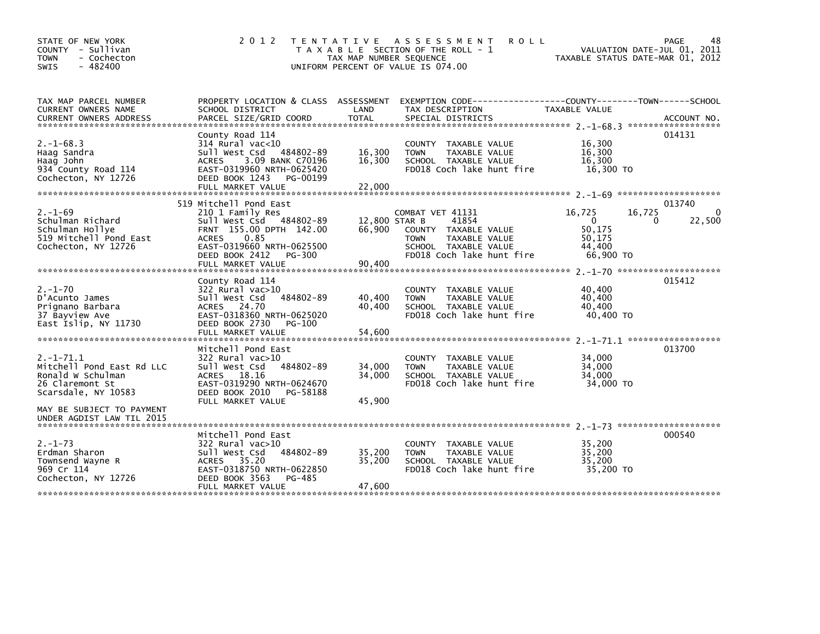| 2 0 1 2                                                                                                                                                             |                                                                                                           |                                                                                                           |                                                                                                                                                                                                                      | PAGE<br>48<br>VALUATION DATE-JUL 01, 2011                                                                                                                                                                                                                                                             |
|---------------------------------------------------------------------------------------------------------------------------------------------------------------------|-----------------------------------------------------------------------------------------------------------|-----------------------------------------------------------------------------------------------------------|----------------------------------------------------------------------------------------------------------------------------------------------------------------------------------------------------------------------|-------------------------------------------------------------------------------------------------------------------------------------------------------------------------------------------------------------------------------------------------------------------------------------------------------|
| SCHOOL DISTRICT                                                                                                                                                     | LAND                                                                                                      | TAX DESCRIPTION                                                                                           | TAXABLE VALUE                                                                                                                                                                                                        |                                                                                                                                                                                                                                                                                                       |
|                                                                                                                                                                     |                                                                                                           |                                                                                                           |                                                                                                                                                                                                                      |                                                                                                                                                                                                                                                                                                       |
| 314 Rural vac<10<br>Sull West Csd 484802-89<br>3.09 BANK C70196<br><b>ACRES</b><br>EAST-0319960 NRTH-0625420<br>DEED BOOK 1243<br>PG-00199                          | 16,300<br>16,300                                                                                          | COUNTY TAXABLE VALUE<br><b>TOWN</b><br>TAXABLE VALUE<br>SCHOOL TAXABLE VALUE<br>FD018 Coch lake hunt fire | 16,300<br>16,300<br>16,300<br>16,300 TO                                                                                                                                                                              | 014131                                                                                                                                                                                                                                                                                                |
|                                                                                                                                                                     |                                                                                                           |                                                                                                           |                                                                                                                                                                                                                      |                                                                                                                                                                                                                                                                                                       |
| 210 1 Family Res                                                                                                                                                    |                                                                                                           |                                                                                                           | 16,725                                                                                                                                                                                                               | 013740<br>0<br>0                                                                                                                                                                                                                                                                                      |
| FRNT 155.00 DPTH 142.00<br><b>ACRES</b><br>0.85<br>EAST-0319660 NRTH-0625500<br>DEED BOOK 2412 PG-300                                                               | 66,900                                                                                                    | COUNTY TAXABLE VALUE<br>TAXABLE VALUE<br><b>TOWN</b><br>SCHOOL TAXABLE VALUE<br>FD018 Coch lake hunt fire | 50,175<br>50,175<br>44,400<br>66,900 TO                                                                                                                                                                              | 22,500                                                                                                                                                                                                                                                                                                |
|                                                                                                                                                                     |                                                                                                           |                                                                                                           |                                                                                                                                                                                                                      |                                                                                                                                                                                                                                                                                                       |
| County Road 114<br>$322$ Rural vac $>10$<br>484802-89<br>Sull West Csd<br>ACRES 24.70<br>EAST-0318360 NRTH-0625020<br>DEED BOOK 2730<br>PG-100<br>FULL MARKET VALUE | 40,400<br>40.400<br>54,600                                                                                | COUNTY TAXABLE VALUE<br><b>TOWN</b><br>TAXABLE VALUE<br>SCHOOL TAXABLE VALUE<br>FD018 Coch lake hunt fire | 40,400<br>40,400<br>40.400<br>40,400 TO                                                                                                                                                                              | 015412                                                                                                                                                                                                                                                                                                |
|                                                                                                                                                                     |                                                                                                           |                                                                                                           |                                                                                                                                                                                                                      |                                                                                                                                                                                                                                                                                                       |
| 322 Rural vac>10<br>Sull West Csd<br>484802-89<br>ACRES 18.16<br>EAST-0319290 NRTH-0624670<br>DEED BOOK 2010<br>PG-58188<br>FULL MARKET VALUE                       | 34,000<br>34,000<br>45,900                                                                                | COUNTY TAXABLE VALUE<br><b>TOWN</b><br>TAXABLE VALUE<br>SCHOOL TAXABLE VALUE<br>FD018 Coch lake hunt fire | 34,000<br>34,000<br>34.000<br>34,000 TO                                                                                                                                                                              | 013700                                                                                                                                                                                                                                                                                                |
|                                                                                                                                                                     |                                                                                                           |                                                                                                           |                                                                                                                                                                                                                      |                                                                                                                                                                                                                                                                                                       |
| Mitchell Pond East<br>322 Rural vac>10<br>Sull West Csd<br>484802-89<br>ACRES 35.20<br>EAST-0318750 NRTH-0622850<br>DEED BOOK 3563<br>PG-485<br>FULL MARKET VALUE   | 35,200<br>35,200<br>47,600                                                                                | COUNTY TAXABLE VALUE<br><b>TOWN</b><br>TAXABLE VALUE<br>SCHOOL TAXABLE VALUE<br>FD018 Coch lake hunt fire | 35,200<br>35,200<br>35,200<br>35,200 TO                                                                                                                                                                              | 000540                                                                                                                                                                                                                                                                                                |
|                                                                                                                                                                     | County Road 114<br>FULL MARKET VALUE<br>519 Mitchell Pond East<br>FULL MARKET VALUE<br>Mitchell Pond East | 22,000<br>Sull West Csd 484802-89<br>90,400                                                               | TENTATIVE ASSESSMENT<br>T A X A B L E SECTION OF THE ROLL - 1<br>TAX MAP NUMBER SEQUENCE<br>UNIFORM PERCENT OF VALUE IS 074.00<br>PROPERTY LOCATION & CLASS ASSESSMENT<br>COMBAT VET 41131<br>12,800 STAR B<br>41854 | <b>ROLL</b><br>TAXABLE STATUS DATE-MAR 01, 2012<br>EXEMPTION CODE-----------------COUNTY-------TOWN------SCHOOL<br>.CURRENT OWNERS ADDRESS PARCEL SIZE/GRID COORD TOTAL SPECIAL DISTRICTS (2011-08) ACCOUNT NO ACCOUNT NO AND ARCEL SIZE/GRID COORD TOTAL SPECIAL DISTRICTS<br>16,725<br>$\mathbf{0}$ |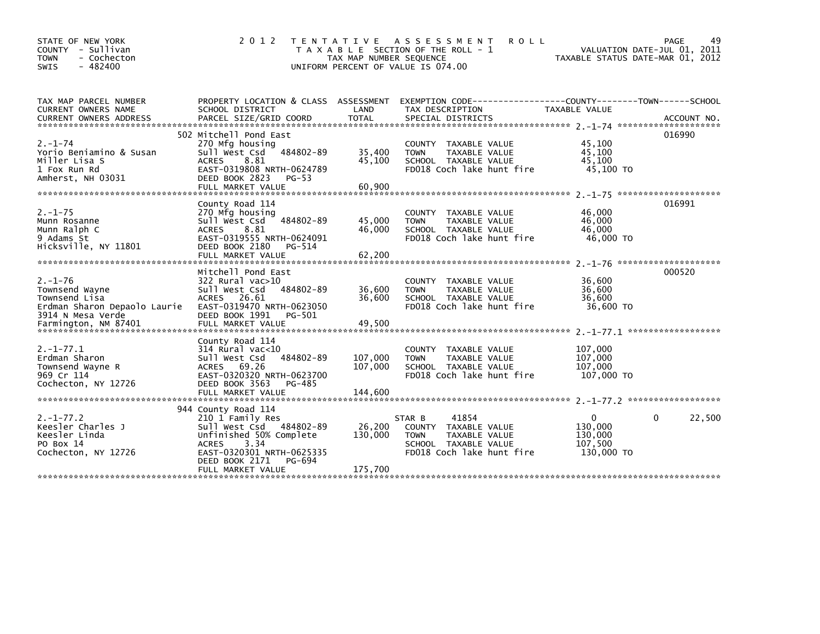| STATE OF NEW YORK<br>COUNTY - Sullivan<br>- Cochecton<br><b>TOWN</b><br><b>SWIS</b><br>$-482400$      | 2 0 1 2                                                                                                                                                                                             | T E N T A T I V E<br>TAX MAP NUMBER SEQUENCE<br>UNIFORM PERCENT OF VALUE IS 074.00 | A S S E S S M E N T<br><b>ROLL</b><br>T A X A B L E SECTION OF THE ROLL - 1                                                  | VALUATION DATE-JUL 01, 2011<br>TAXABLE STATUS DATE-MAR 01, 2012 | PAGE<br>49  |
|-------------------------------------------------------------------------------------------------------|-----------------------------------------------------------------------------------------------------------------------------------------------------------------------------------------------------|------------------------------------------------------------------------------------|------------------------------------------------------------------------------------------------------------------------------|-----------------------------------------------------------------|-------------|
| TAX MAP PARCEL NUMBER<br>CURRENT OWNERS NAME                                                          | SCHOOL DISTRICT                                                                                                                                                                                     | LAND                                                                               | PROPERTY LOCATION & CLASS ASSESSMENT EXEMPTION CODE----------------COUNTY-------TOWN------SCHOOL<br>TAX DESCRIPTION          | TAXABLE VALUE                                                   |             |
| $2. - 1 - 74$<br>Yorio Beniamino & Susan<br>Miller Lisa S<br>1 Fox Run Rd<br>Amherst, NH 03031        | 502 Mitchell Pond East<br>270 Mfg housing<br>sull west Csd<br>484802-89<br><b>ACRES</b><br>8.81<br>EAST-0319808 NRTH-0624789<br>DEED BOOK 2823<br>PG-53                                             | 35,400<br>45,100                                                                   | COUNTY TAXABLE VALUE<br>TAXABLE VALUE<br><b>TOWN</b><br>SCHOOL TAXABLE VALUE<br>FD018 Coch lake hunt fire                    | 45,100<br>45,100<br>45,100<br>45,100 TO                         | 016990      |
| $2. - 1 - 75$<br>Munn Rosanne<br>Munn Ralph C<br>9 Adams St<br>Hicksville, NY 11801                   | County Road 114<br>270 Mfg housing<br>Sull West Csd 484802-89<br>8.81<br><b>ACRES</b><br>EAST-0319555 NRTH-0624091<br>DEED BOOK 2180<br>PG-514<br>FULL MARKET VALUE                                 | 45,000<br>46,000<br>62,200                                                         | COUNTY TAXABLE VALUE<br><b>TOWN</b><br>TAXABLE VALUE<br>SCHOOL TAXABLE VALUE<br>FD018 Coch lake hunt fire                    | 46,000<br>46,000<br>46,000<br>46,000 TO                         | 016991      |
| $2. - 1 - 76$<br>Townsend Wayne<br>Townsend Lisa<br>Erdman Sharon Depaolo Laurie<br>3914 N Mesa Verde | Mitchell Pond East<br>322 Rural vac>10<br>484802-89<br>Sull West Csd<br>ACRES 26.61<br>EAST-0319470 NRTH-0623050<br>DEED BOOK 1991<br>PG-501                                                        | 36,600<br>36.600                                                                   | COUNTY TAXABLE VALUE<br><b>TOWN</b><br>TAXABLE VALUE<br>SCHOOL TAXABLE VALUE<br>FD018 Coch lake hunt fire                    | 36,600<br>36,600<br>36.600<br>36,600 TO                         | 000520      |
| $2. -1 - 77.1$<br>Erdman Sharon<br>Townsend Wayne R<br>969 Cr 114<br>Cochecton, NY 12726              | County Road 114<br>314 Rural vac<10<br>484802-89<br>Sull West Csd<br>ACRES 69.26<br>EAST-0320320 NRTH-0623700<br>DEED BOOK 3563<br>PG-485<br>FULL MARKET VALUE                                      | 107,000<br>107,000<br>144,600                                                      | COUNTY TAXABLE VALUE<br><b>TOWN</b><br>TAXABLE VALUE<br>SCHOOL TAXABLE VALUE<br>FD018 Coch lake hunt fire                    | 107,000<br>107,000<br>107,000<br>107,000 TO                     |             |
| $2. -1 - 77.2$<br>Keesler Charles J<br>Keesler Linda<br>PO Box 14<br>Cochecton, NY 12726              | 944 County Road 114<br>210 1 Family Res<br>Sull West Csd 484802-89<br>Unfinished 50% Complete<br>3.34<br><b>ACRES</b><br>EAST-0320301 NRTH-0625335<br>DEED BOOK 2171<br>PG-694<br>FULL MARKET VALUE | 26,200<br>130,000<br>175,700                                                       | 41854<br>STAR B<br>COUNTY TAXABLE VALUE<br>TAXABLE VALUE<br><b>TOWN</b><br>SCHOOL TAXABLE VALUE<br>FD018 Coch lake hunt fire | 0<br>130,000<br>130,000<br>107,500<br>130,000 TO                | 22,500<br>0 |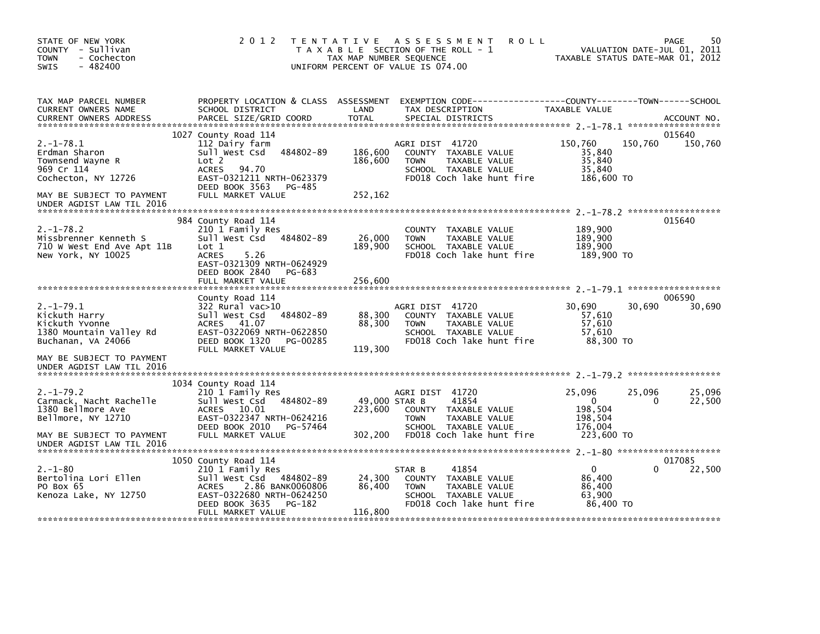| STATE OF NEW YORK<br>COUNTY - Sullivan<br><b>TOWN</b><br>- Cochecton<br>$-482400$<br><b>SWIS</b>                                               | 2 0 1 2                                                                                                                                                                                  | TENTATIVE ASSESSMENT<br><b>ROLL</b><br>T A X A B L E SECTION OF THE ROLL - 1<br>TAX MAP NUMBER SEQUENCE<br>UNIFORM PERCENT OF VALUE IS 074.00                                | 50<br>PAGE<br>VALUATION DATE-JUL 01, 2011<br>TAXABLE STATUS DATE-MAR 01, 2012                                   |
|------------------------------------------------------------------------------------------------------------------------------------------------|------------------------------------------------------------------------------------------------------------------------------------------------------------------------------------------|------------------------------------------------------------------------------------------------------------------------------------------------------------------------------|-----------------------------------------------------------------------------------------------------------------|
| TAX MAP PARCEL NUMBER<br>CURRENT OWNERS NAME<br><b>CURRENT OWNERS ADDRESS</b>                                                                  | PROPERTY LOCATION & CLASS ASSESSMENT<br>SCHOOL DISTRICT<br>PARCEL SIZE/GRID COORD                                                                                                        | LAND<br>TAX DESCRIPTION<br><b>TOTAL</b><br>SPECIAL DISTRICTS                                                                                                                 | EXEMPTION CODE-----------------COUNTY-------TOWN------SCHOOL<br>TAXABLE VALUE<br>ACCOUNT NO.                    |
| $2. -1 - 78.1$<br>Erdman Sharon<br>Townsend Wayne R<br>969 Cr 114<br>Cochecton, NY 12726                                                       | 1027 County Road 114<br>112 Dairy farm<br>Sull West Csd 484802-89<br>Lot 2<br>ACRES<br>94.70<br>EAST-0321211 NRTH-0623379<br>DEED BOOK 3563<br>PG-485                                    | AGRI DIST 41720<br>186,600<br>COUNTY TAXABLE VALUE<br>186,600<br><b>TOWN</b><br>TAXABLE VALUE<br>SCHOOL TAXABLE VALUE<br>FD018 Coch lake hunt fire                           | 015640<br>150,760<br>150,760<br>150,760<br>35,840<br>35,840<br>35,840<br>186,600 TO                             |
| MAY BE SUBJECT TO PAYMENT<br>UNDER AGDIST LAW TIL 2016                                                                                         | FULL MARKET VALUE                                                                                                                                                                        | 252,162                                                                                                                                                                      |                                                                                                                 |
| $2. - 1 - 78.2$<br>Missbrenner Kenneth S<br>710 W West End Ave Apt 11B<br>New York, NY 10025                                                   | 984 County Road 114<br>210 1 Family Res<br>Sull West Csd 484802-89<br>Lot 1<br><b>ACRES</b><br>5.26<br>EAST-0321309 NRTH-0624929<br>DEED BOOK 2840<br>PG-683<br>FULL MARKET VALUE        | COUNTY TAXABLE VALUE<br>26,000<br>TAXABLE VALUE<br><b>TOWN</b><br>189,900<br>SCHOOL TAXABLE VALUE<br>FD018 Coch lake hunt fire<br>256,600                                    | 015640<br>189,900<br>189,900<br>189,900<br>189,900 TO                                                           |
| $2. -1 - 79.1$<br>Kickuth Harry<br>Kickuth Yvonne<br>1380 Mountain Valley Rd<br>Buchanan, VA 24066                                             | County Road 114<br>322 Rural vac>10<br>484802-89<br>Sull West Csd<br>ACRES 41.07<br>EAST-0322069 NRTH-0622850<br>DEED BOOK 1320<br>PG-00285<br>FULL MARKET VALUE                         | AGRI DIST 41720<br>88,300<br>COUNTY TAXABLE VALUE<br>88,300<br>TAXABLE VALUE<br><b>TOWN</b><br>SCHOOL TAXABLE VALUE<br>FD018 Coch lake hunt fire<br>119,300                  | 006590<br>30,690<br>30,690<br>30,690<br>57,610<br>57,610<br>57,610<br>88,300 TO                                 |
| MAY BE SUBJECT TO PAYMENT<br>UNDER AGDIST LAW TIL 2016                                                                                         |                                                                                                                                                                                          |                                                                                                                                                                              |                                                                                                                 |
| $2. -1 - 79.2$<br>Carmack, Nacht Rachelle<br>1380 Bellmore Ave<br>Bellmore, NY 12710<br>MAY BE SUBJECT TO PAYMENT<br>UNDER AGDIST LAW TIL 2016 | 1034 County Road 114<br>210 1 Family Res<br>484802-89<br>Sull West Csd<br>10.01<br>ACRES<br>EAST-0322347 NRTH-0624216<br>DEED BOOK 2010<br>PG-57464<br>FULL MARKET VALUE                 | AGRI DIST 41720<br>49,000 STAR B<br>41854<br>223,600<br>COUNTY TAXABLE VALUE<br><b>TOWN</b><br>TAXABLE VALUE<br>SCHOOL TAXABLE VALUE<br>302,200<br>FD018 Coch lake hunt fire | 25,096<br>25,096<br>25,096<br>$\mathbf{0}$<br>$\Omega$<br>22,500<br>198,504<br>198,504<br>176,004<br>223,600 TO |
| $2. - 1 - 80$<br>Bertolina Lori Ellen<br>PO Box 65<br>Kenoza Lake, NY 12750                                                                    | 1050 County Road 114<br>210 1 Family Res<br>Sull West Csd<br>484802-89<br>2.86 BANK0060806<br><b>ACRES</b><br>EAST-0322680 NRTH-0624250<br>DEED BOOK 3635<br>PG-182<br>FULL MARKET VALUE | 41854<br>STAR B<br>24,300<br>COUNTY TAXABLE VALUE<br>86,400<br><b>TOWN</b><br>TAXABLE VALUE<br>SCHOOL TAXABLE VALUE<br>FD018 Coch lake hunt fire<br>116,800                  | 017085<br>22,500<br>$\mathbf{0}$<br>0<br>86,400<br>86,400<br>63,900<br>86,400 TO                                |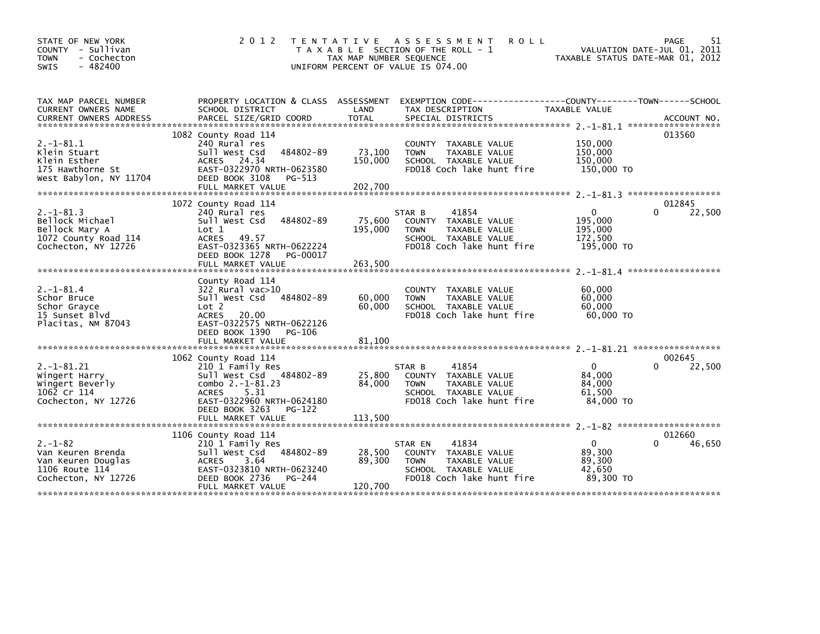| STATE OF NEW YORK<br>COUNTY - Sullivan<br><b>TOWN</b><br>- Cochecton<br>$-482400$<br>SWIS          | 2 0 1 2                                                                                                                                                                                        | TENTATIVE ASSESSMENT<br>T A X A B L E SECTION OF THE ROLL - 1<br>TAX MAP NUMBER SEQUENCE<br>UNIFORM PERCENT OF VALUE IS 074.00 | <b>ROLL</b>                                                                                                          | VALUATION DATE-JUL 01, 2011<br>TAXABLE STATUS DATE-MAR 01, 2012 | 51<br>PAGE            |
|----------------------------------------------------------------------------------------------------|------------------------------------------------------------------------------------------------------------------------------------------------------------------------------------------------|--------------------------------------------------------------------------------------------------------------------------------|----------------------------------------------------------------------------------------------------------------------|-----------------------------------------------------------------|-----------------------|
| TAX MAP PARCEL NUMBER<br>CURRENT OWNERS NAME<br><b>CURRENT OWNERS ADDRESS</b>                      | PROPERTY LOCATION & CLASS ASSESSMENT<br>SCHOOL DISTRICT                                                                                                                                        | LAND                                                                                                                           | EXEMPTION CODE-----------------COUNTY--------TOWN------SCHOOL<br>TAX DESCRIPTION                                     | TAXABLE VALUE                                                   |                       |
| $2. -1 - 81.1$<br>Klein Stuart<br>Klein Esther<br>175 Hawthorne St<br>West Babylon, NY 11704       | 1082 County Road 114<br>240 Rural res<br>Sull West Csd<br>484802-89<br>ACRES 24.34<br>EAST-0322970 NRTH-0623580<br>DEED BOOK 3108<br>PG-513<br>FULL MARKET VALUE                               | 73,100<br><b>TOWN</b><br>150,000<br>202,700                                                                                    | COUNTY TAXABLE VALUE<br>TAXABLE VALUE<br>SCHOOL TAXABLE VALUE<br>FD018 Coch lake hunt fire                           | 150,000<br>150,000<br>150,000<br>150,000 TO                     | 013560                |
| $2. -1 - 81.3$<br>Bellock Michael<br>Bellock Mary A<br>1072 County Road 114<br>Cochecton, NY 12726 | 1072 County Road 114<br>240 Rural res<br>484802-89<br>Sull West Csd<br>Lot 1<br>ACRES 49.57<br>EAST-0323365 NRTH-0622224<br>DEED BOOK 1278<br>PG-00017<br>FULL MARKET VALUE                    | STAR B<br>75,600<br>195,000<br><b>TOWN</b><br>263,500                                                                          | 41854<br><b>COUNTY</b><br>TAXABLE VALUE<br><b>TAXABLE VALUE</b><br>SCHOOL TAXABLE VALUE<br>FD018 Coch lake hunt fire | $\Omega$<br>195,000<br>195,000<br>172,500<br>195,000 TO         | 012845<br>22,500<br>0 |
| $2. -1 - 81.4$<br>Schor Bruce<br>Schor Grayce<br>15 Sunset Blvd<br>Placitas, NM 87043              | County Road 114<br>322 Rural vac>10<br>Sull West Csd 484802-89<br>Lot 2<br>ACRES 20.00<br>EAST-0322575 NRTH-0622126<br>DEED BOOK 1390<br>PG-106                                                | 60,000<br><b>TOWN</b><br>60,000                                                                                                | TAXABLE VALUE<br><b>COUNTY</b><br>TAXABLE VALUE<br>SCHOOL TAXABLE VALUE<br>FD018 Coch lake hunt fire                 | 60,000<br>60,000<br>60,000<br>60,000 TO                         |                       |
| $2. -1 - 81.21$<br>Wingert Harry<br>Wingert Beverly<br>1062 Cr 114<br>Cochecton, NY 12726          | 1062 County Road 114<br>210 1 Family Res<br>Sull West Csd 484802-89<br>combo $2. -1 - 81.23$<br>5.31<br><b>ACRES</b><br>EAST-0322960 NRTH-0624180<br>DEED BOOK 3263<br>PG-122                  | STAR B<br>25,800<br>84,000<br><b>TOWN</b>                                                                                      | 41854<br>TAXABLE VALUE<br><b>COUNTY</b><br>TAXABLE VALUE<br>SCHOOL TAXABLE VALUE<br>FD018 Coch lake hunt fire        | $\Omega$<br>84,000<br>84,000<br>61,500<br>84,000 TO             | 002645<br>0<br>22,500 |
| $2. - 1 - 82$<br>Van Keuren Brenda<br>Van Keuren Douglas<br>1106 Route 114<br>Cochecton, NY 12726  | FULL MARKET VALUE<br>1106 County Road 114<br>210 1 Family Res<br>Sull West Csd 484802-89<br><b>ACRES</b><br>3.64<br>EAST-0323810 NRTH-0623240<br>DEED BOOK 2736<br>PG-244<br>FULL MARKET VALUE | 113,500<br>STAR EN<br>28,500<br>89,300<br><b>TOWN</b><br>120,700                                                               | 41834<br>COUNTY TAXABLE VALUE<br>TAXABLE VALUE<br>SCHOOL TAXABLE VALUE<br>FD018 Coch lake hunt fire                  | $\mathbf{0}$<br>∩<br>89,300<br>89,300<br>42,650<br>89,300 TO    | 012660<br>46,650      |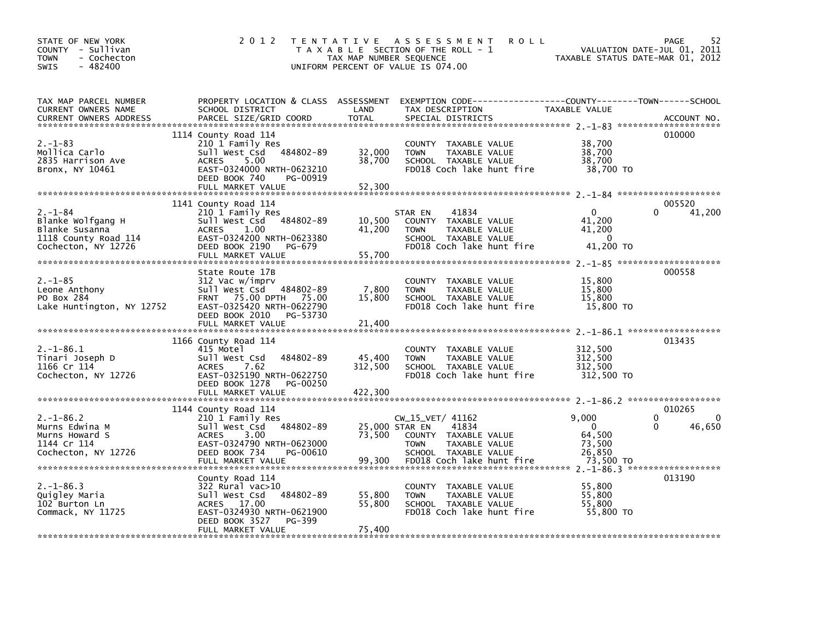| STATE OF NEW YORK<br>COUNTY - Sullivan<br><b>TOWN</b><br>- Cochecton<br>$-482400$<br><b>SWIS</b>    | 2 0 1 2                                                                                                                                                                    | TAX MAP NUMBER SEQUENCE      | TENTATIVE ASSESSMENT<br><b>ROLL</b><br>T A X A B L E SECTION OF THE ROLL - 1<br>UNIFORM PERCENT OF VALUE IS 074.00                     | VALUATION DATE-JUL 01, 2011<br>TAXABLE STATUS DATE-MAR 01, 2012 | 52<br>PAGE                             |
|-----------------------------------------------------------------------------------------------------|----------------------------------------------------------------------------------------------------------------------------------------------------------------------------|------------------------------|----------------------------------------------------------------------------------------------------------------------------------------|-----------------------------------------------------------------|----------------------------------------|
| TAX MAP PARCEL NUMBER<br>CURRENT OWNERS NAME<br><b>CURRENT OWNERS ADDRESS</b>                       | SCHOOL DISTRICT<br>PARCEL SIZE/GRID COORD                                                                                                                                  | LAND<br><b>TOTAL</b>         | PROPERTY LOCATION & CLASS ASSESSMENT EXEMPTION CODE---------------COUNTY-------TOWN-----SCHOOL<br>TAX DESCRIPTION<br>SPECIAL DISTRICTS | TAXABLE VALUE                                                   | ACCOUNT NO.                            |
| $2. - 1 - 83$<br>Mollica Carlo<br>2835 Harrison Ave<br>Bronx, NY 10461                              | 1114 County Road 114<br>210 1 Family Res<br>Sull West Csd 484802-89<br>5.00<br><b>ACRES</b><br>EAST-0324000 NRTH-0623210<br>DEED BOOK 740<br>PG-00919<br>FULL MARKET VALUE | 32,000<br>38,700<br>52,300   | COUNTY TAXABLE VALUE<br>TAXABLE VALUE<br><b>TOWN</b><br>SCHOOL TAXABLE VALUE<br>FD018 Coch lake hunt fire                              | 38,700<br>38,700<br>38,700<br>38.700 TO                         | 010000                                 |
| $2. - 1 - 84$<br>Blanke Wolfgang H<br>Blanke Susanna<br>1118 County Road 114<br>Cochecton, NY 12726 | 1141 County Road 114<br>210 1 Family Res<br>Sull West Csd 484802-89<br>ACRES<br>1.00<br>EAST-0324200 NRTH-0623380<br>DEED BOOK 2190<br>PG-679<br>FULL MARKET VALUE         | 10,500<br>41,200<br>55,700   | 41834<br>STAR EN<br>COUNTY TAXABLE VALUE<br>TAXABLE VALUE<br><b>TOWN</b><br>SCHOOL TAXABLE VALUE<br>FD018 Coch lake hunt fire          | $\Omega$<br>41,200<br>41,200<br>$\Omega$<br>41,200 TO           | 005520<br>41,200                       |
| 2. –1–85<br>Leone Anthony<br>PO Box 284<br>Lake Huntington, NY 12752                                | State Route 17B<br>312 Vac w/imprv<br>Sull West Csd 484802-89<br>FRNT 75.00 DPTH 75.00<br>EAST-0325420 NRTH-0622790<br>DEED BOOK 2010 PG-53730<br>FULL MARKET VALUE        | 7,800<br>15,800<br>21,400    | COUNTY TAXABLE VALUE<br><b>TOWN</b><br>TAXABLE VALUE<br>SCHOOL TAXABLE VALUE<br>FD018 Coch lake hunt fire                              | 15,800<br>15,800<br>15,800<br>15,800 TO                         | 000558                                 |
| $2. -1 - 86.1$<br>Tinari Joseph D<br>1166 Cr 114<br>Cochecton, NY 12726                             | 1166 County Road 114<br>415 Motel<br>Sull West Csd<br>484802-89<br><b>ACRES</b><br>7.62<br>EAST-0325190 NRTH-0622750<br>PG-00250<br>DEED BOOK 1278<br>FULL MARKET VALUE    | 45,400<br>312,500<br>422,300 | COUNTY TAXABLE VALUE<br><b>TOWN</b><br>TAXABLE VALUE<br>SCHOOL TAXABLE VALUE<br>FD018 Coch lake hunt fire                              | 312,500<br>312,500<br>312,500<br>312,500 TO                     | 013435                                 |
| $2. -1 - 86.2$<br>Murns Edwina M<br>Murns Howard S<br>1144 Cr 114<br>Cochecton, NY 12726            | 1144 County Road 114<br>210 1 Family Res<br>484802-89<br>Sull West Csd<br>3.00<br>ACRES<br>EAST-0324790 NRTH-0623000<br>DEED BOOK 734<br>PG-00610                          | 25,000 STAR EN<br>73,500     | $CW_15_VET/ 41162$<br>41834<br>COUNTY TAXABLE VALUE<br><b>TOWN</b><br>TAXABLE VALUE<br>SCHOOL TAXABLE VALUE                            | 9,000<br>$\Omega$<br>64,500<br>73,500<br>26,850                 | 010265<br>$\Omega$<br>0<br>0<br>46,650 |
| $2. -1 - 86.3$<br>Quigley Maria<br>102 Burton Ln<br>Commack, NY 11725                               | County Road 114<br>$322$ Rural vac $>10$<br>484802-89<br>Sull West Csd<br>ACRES 17.00<br>EAST-0324930 NRTH-0621900<br>DEED BOOK 3527<br>PG-399<br>FULL MARKET VALUE        | 55,800<br>55,800<br>75,400   | COUNTY TAXABLE VALUE<br>TAXABLE VALUE<br><b>TOWN</b><br>SCHOOL TAXABLE VALUE<br>FD018 Coch lake hunt fire                              | 55,800<br>55,800<br>55,800<br>55,800 TO                         | 013190                                 |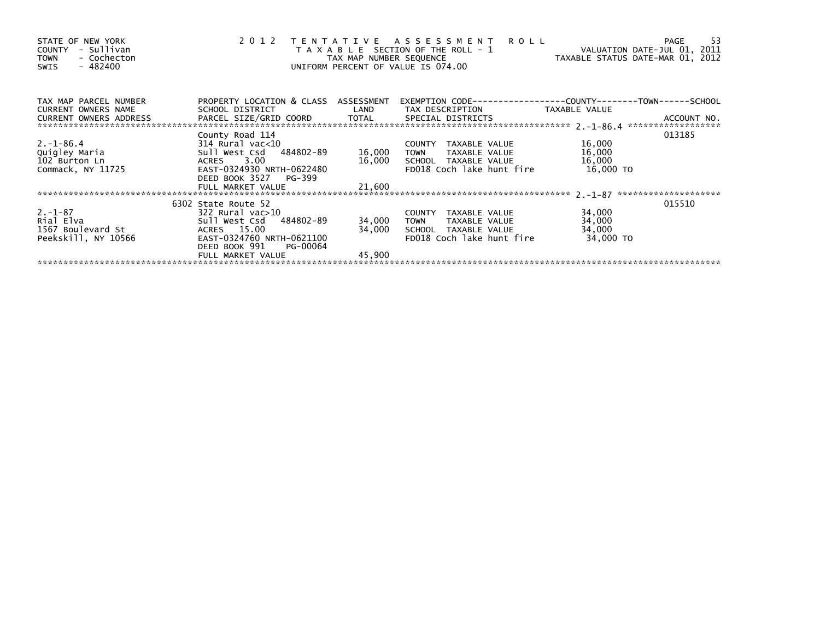| STATE OF NEW YORK<br>- Sullivan<br>COUNTY<br>- Cochecton<br><b>TOWN</b><br>$-482400$<br>SWIS |                                                         | TAX MAP NUMBER SEQUENCE | 2012 TENTATIVE ASSESSMENT<br><b>ROLL</b><br>T A X A B L E SECTION OF THE ROLL - 1<br>UNIFORM PERCENT OF VALUE IS 074.00 | VALUATION DATE-JUL 01, 2011<br>TAXABLE STATUS DATE-MAR 01, 2012 | -53<br>PAGE |
|----------------------------------------------------------------------------------------------|---------------------------------------------------------|-------------------------|-------------------------------------------------------------------------------------------------------------------------|-----------------------------------------------------------------|-------------|
| TAX MAP PARCEL NUMBER<br>CURRENT OWNERS NAME                                                 | PROPERTY LOCATION & CLASS ASSESSMENT<br>SCHOOL DISTRICT | LAND                    | TAX DESCRIPTION                                                                                                         | TAXABLE VALUE                                                   |             |
| CURRENT OWNERS ADDRESS PA                                                                    |                                                         |                         |                                                                                                                         |                                                                 |             |
|                                                                                              | County Road 114                                         |                         |                                                                                                                         |                                                                 | 013185      |
| $2. - 1 - 86.4$                                                                              | 314 Rural vac<10                                        |                         | TAXABLE VALUE<br>COUNTY                                                                                                 | 16,000                                                          |             |
| Quigley Maria                                                                                | Sull West Csd 484802-89                                 | 16,000                  | <b>TOWN</b><br>TAXABLE VALUE                                                                                            | 16,000                                                          |             |
| 102 Burton Ln                                                                                | ACRES 3.00                                              |                         | 16,000 SCHOOL TAXABLE VALUE                                                                                             | 16,000                                                          |             |
| Commack, NY 11725                                                                            | EAST-0324930 NRTH-0622480                               |                         | FD018 Coch lake hunt fire                                                                                               | 16,000 TO                                                       |             |
|                                                                                              | DEED BOOK 3527<br>PG-399                                |                         |                                                                                                                         |                                                                 |             |
|                                                                                              |                                                         |                         |                                                                                                                         |                                                                 |             |
|                                                                                              | 6302 State Route 52                                     |                         |                                                                                                                         |                                                                 | 015510      |
| $2. -1 - 87$                                                                                 | 322 Rural vac>10                                        |                         | COUNTY TAXABLE VALUE                                                                                                    | 34,000                                                          |             |
| Rial Elva                                                                                    | Sull West Csd 484802-89                                 | 34,000                  | TAXABLE VALUE<br>TOWN                                                                                                   | 34,000                                                          |             |
| 1567 Boulevard St                                                                            | ACRES 15.00                                             | 34,000                  | SCHOOL TAXABLE VALUE                                                                                                    | 34,000                                                          |             |
| Peekskill, NY 10566                                                                          | EAST-0324760 NRTH-0621100                               |                         | FD018 Coch lake hunt fire                                                                                               | 34,000 TO                                                       |             |
|                                                                                              | DEED BOOK 991<br>PG-00064                               |                         |                                                                                                                         |                                                                 |             |
|                                                                                              | FULL MARKET VALUE                                       | 45,900                  |                                                                                                                         |                                                                 |             |
|                                                                                              |                                                         |                         |                                                                                                                         |                                                                 |             |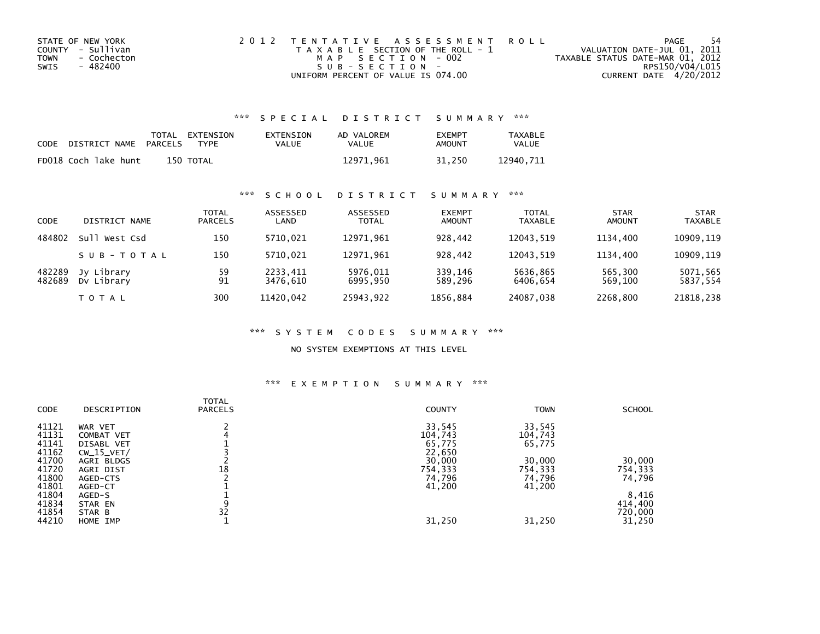| STATE OF NEW YORK   | 2012 TENTATIVE ASSESSMENT ROLL        |                                  | PAGE | -54 |
|---------------------|---------------------------------------|----------------------------------|------|-----|
| COUNTY - Sullivan   | T A X A B L E SECTION OF THE ROLL - 1 | VALUATION DATE-JUL 01, 2011      |      |     |
| TOWN<br>- Cochecton | MAP SECTION - 002                     | TAXABLE STATUS DATE-MAR 01, 2012 |      |     |
| - 482400<br>SWIS    | $S \cup R - S F C T T O N -$          | RPS150/V04/L015                  |      |     |
|                     | UNIFORM PERCENT OF VALUE IS 074.00    | CURRENT DATE 4/20/2012           |      |     |

## \*\*\* S P E C I A L D I S T R I C T S U M M A R Y \*\*\*

| CODE | DISTRICT NAME        | PARCELS | TOTAL EXTENSION<br>TYPF | EXTENSION<br>VALUE | AD VALOREM<br>VALUE | <b>FXFMPT</b><br>AMOUNT | <b>TAXABLE</b><br><b>VALUE</b> |
|------|----------------------|---------|-------------------------|--------------------|---------------------|-------------------------|--------------------------------|
|      | FD018 Coch lake hunt |         | 150 TOTAL               |                    | 12971.961           | 31.250                  | 12940.711                      |

## \*\*\* S C H O O L D I S T R I C T S U M M A R Y \*\*\*

| <b>CODE</b>      | DISTRICT NAME            | <b>TOTAL</b><br><b>PARCELS</b> | ASSESSED<br>LAND     | ASSESSED<br><b>TOTAL</b> | <b>EXEMPT</b><br><b>AMOUNT</b> | <b>TOTAL</b><br><b>TAXABLE</b> | <b>STAR</b><br><b>AMOUNT</b> | <b>STAR</b><br><b>TAXABLE</b> |
|------------------|--------------------------|--------------------------------|----------------------|--------------------------|--------------------------------|--------------------------------|------------------------------|-------------------------------|
| 484802           | su11<br>West Csd         | 150                            | 5710.021             | 12971.961                | 928.442                        | 12043.519                      | 1134.400                     | 10909.119                     |
|                  | SUB-TOTAL                | 150                            | 5710.021             | 12971.961                | 928.442                        | 12043.519                      | 1134.400                     | 10909,119                     |
| 482289<br>482689 | Jy Library<br>Dy Library | 59<br>91                       | 2233,411<br>3476.610 | 5976,011<br>6995,950     | 339,146<br>589,296             | 5636,865<br>6406.654           | 565,300<br>569,100           | 5071,565<br>5837,554          |
|                  | <b>TOTAL</b>             | 300                            | 11420.042            | 25943.922                | 1856.884                       | 24087,038                      | 2268.800                     | 21818,238                     |

### \*\*\* S Y S T E M C O D E S S U M M A R Y \*\*\*

### NO SYSTEM EXEMPTIONS AT THIS LEVEL

### \*\*\* E X E M P T I O N S U M M A R Y \*\*\*

| <b>CODE</b> | DESCRIPTION  | <b>TOTAL</b><br><b>PARCELS</b> | <b>COUNTY</b> | <b>TOWN</b> | <b>SCHOOL</b> |
|-------------|--------------|--------------------------------|---------------|-------------|---------------|
| 41121       | WAR VET      |                                | 33,545        | 33,545      |               |
| 41131       | COMBAT VET   |                                | 104,743       | 104,743     |               |
| 41141       | DISABL VET   |                                | 65,775        | 65,775      |               |
| 41162       | $CW_15_VET/$ |                                | 22,650        |             |               |
| 41700       | AGRI BLDGS   |                                | 30,000        | 30,000      | 30,000        |
| 41720       | AGRI DIST    | 18                             | 754,333       | 754,333     | 754,333       |
| 41800       | AGED-CTS     |                                | 74,796        | 74,796      | 74,796        |
| 41801       | AGED-CT      |                                | 41,200        | 41,200      |               |
| 41804       | AGED-S       |                                |               |             | 8,416         |
| 41834       | STAR EN      | 9                              |               |             | 414,400       |
| 41854       | STAR B       | 32                             |               |             | 720,000       |
| 44210       | HOME IMP     |                                | 31,250        | 31,250      | 31,250        |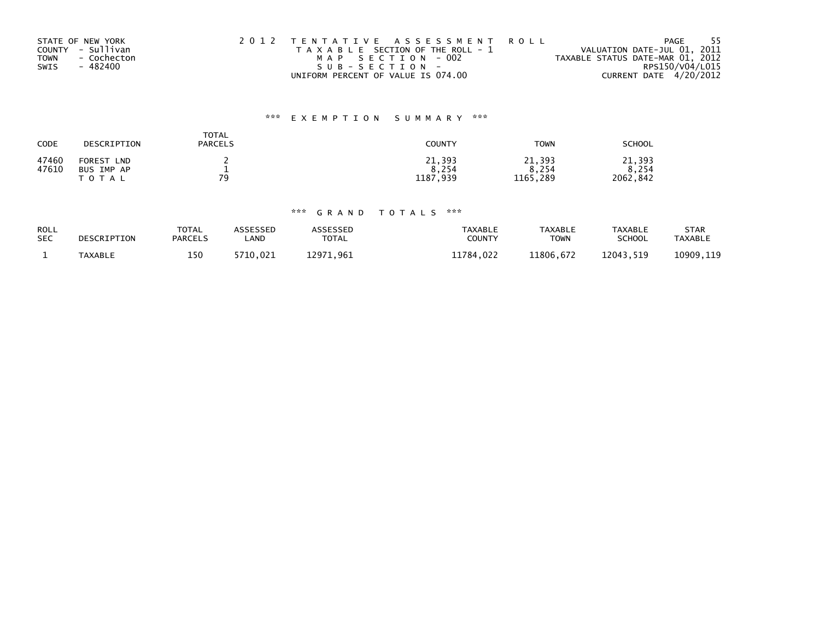|             | STATE OF NEW YORK | 2012 TENTATIVE ASSESSMENT ROLL        | PAGE                             | - 55 |
|-------------|-------------------|---------------------------------------|----------------------------------|------|
|             | COUNTY - Sullivan | T A X A B L E SECTION OF THE ROLL - 1 | VALUATION DATE-JUL 01, 2011      |      |
| <b>TOWN</b> | - Cochecton       | MAP SECTION - 002                     | TAXABLE STATUS DATE-MAR 01, 2012 |      |
| SWIS        | - 482400          | $SUB - SECTION -$                     | RPS150/V04/L015                  |      |
|             |                   | UNIFORM PERCENT OF VALUE IS 074.00    | CURRENT DATE 4/20/2012           |      |

# \*\*\* E X E M P T I O N S U M M A R Y \*\*\*

| CODE  | DESCRIPTION          | <b>TOTAL</b><br><b>PARCELS</b> | <b>COUNTY</b> | <b>TOWN</b> | <b>SCHOOL</b> |
|-------|----------------------|--------------------------------|---------------|-------------|---------------|
| 47460 | FOREST<br><b>LND</b> |                                | 21,393        | 21,393      | 21,393        |
| 47610 | BUS IMP AP           | -                              | 8,254         | 8.254       | 8,254         |
|       | T O T A L            | 70                             | 1187,939      | 1165,289    | 2062,842      |

# \*\*\* G R A N D T O T A L S \*\*\*

| ROLL<br><b>SEC</b> | DESCRIPTION    | <b>TOTAL</b><br><b>PARCELS</b> | <b>\SSESSED</b><br><b>AND</b> | <b>\SSESSED</b><br><b>TOTAL</b> | TAXABLE<br><b>COUNTY</b> | <b>TAXABLE</b><br><b>TOWN</b> | <b>TAXABLE</b><br>SCHOOL | STAR<br><b>TAXABLE</b> |
|--------------------|----------------|--------------------------------|-------------------------------|---------------------------------|--------------------------|-------------------------------|--------------------------|------------------------|
|                    | <b>TAXABLE</b> | 150                            | 5710.021                      | 12971<br>.961                   | 11784.022                | 11806.672                     | 12043.519                | 10909,119              |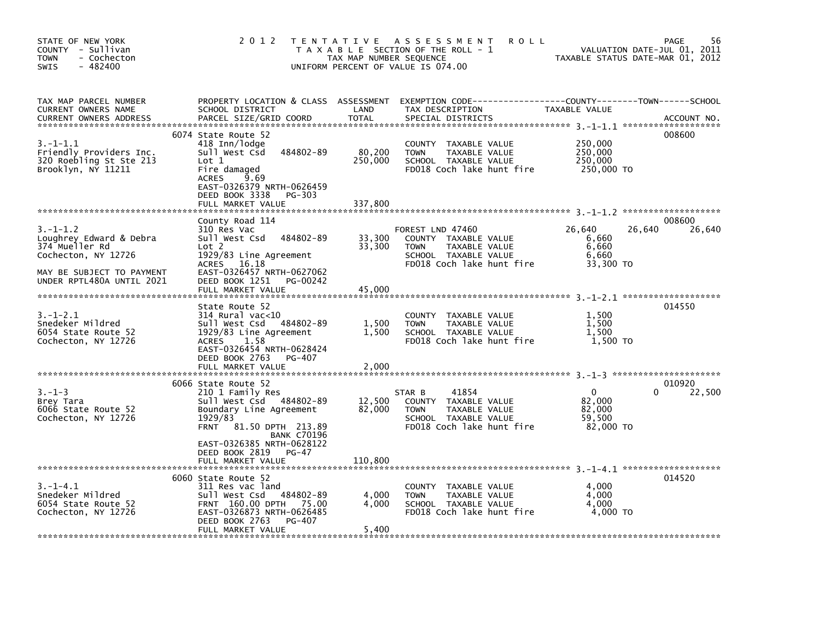| STATE OF NEW YORK<br>COUNTY - Sullivan<br><b>TOWN</b><br>- Cochecton<br>$-482400$<br><b>SWIS</b>                                         | 2 0 1 2                                                                                                                                                                                           | TAX MAP NUMBER SEQUENCE      | <b>ROLL</b><br>TENTATIVE ASSESSMENT<br>T A X A B L E SECTION OF THE ROLL - 1<br>UNIFORM PERCENT OF VALUE IS 074.00            | TAXABLE STATUS DATE-MAR 01, 2012                         | 56<br>PAGE<br>VALUATION DATE-JUL 01, 2011 |
|------------------------------------------------------------------------------------------------------------------------------------------|---------------------------------------------------------------------------------------------------------------------------------------------------------------------------------------------------|------------------------------|-------------------------------------------------------------------------------------------------------------------------------|----------------------------------------------------------|-------------------------------------------|
| TAX MAP PARCEL NUMBER<br>CURRENT OWNERS NAME<br><b>CURRENT OWNERS ADDRESS</b>                                                            | PROPERTY LOCATION & CLASS ASSESSMENT<br>SCHOOL DISTRICT<br>PARCEL SIZE/GRID COORD                                                                                                                 | LAND<br><b>TOTAL</b>         | TAX DESCRIPTION<br>SPECIAL DISTRICTS                                                                                          | TAXABLE VALUE                                            | ACCOUNT NO.                               |
| $3.-1-1.1$<br>Friendly Providers Inc.<br>320 Roebling St Ste 213<br>Brooklyn, NY 11211                                                   | 6074 State Route 52<br>418 Inn/lodge<br>484802-89<br>Sull West Csd<br>Lot 1<br>Fire damaged<br><b>ACRES</b><br>9.69<br>EAST-0326379 NRTH-0626459<br>DEED BOOK 3338<br>PG-303<br>FULL MARKET VALUE | 80,200<br>250,000<br>337,800 | COUNTY TAXABLE VALUE<br>TAXABLE VALUE<br><b>TOWN</b><br>SCHOOL TAXABLE VALUE<br>FD018 Coch lake hunt fire                     | 250,000<br>250,000<br>250,000<br>250,000 TO              | 008600                                    |
|                                                                                                                                          |                                                                                                                                                                                                   |                              |                                                                                                                               |                                                          |                                           |
| $3.-1-1.2$<br>Loughrey Edward & Debra<br>374 Mueller Rd<br>Cochecton, NY 12726<br>MAY BE SUBJECT TO PAYMENT<br>UNDER RPTL480A UNTIL 2021 | County Road 114<br>310 Res Vac<br>Sull West Csd<br>484802-89<br>Lot 2<br>1929/83 Line Agreement<br>16.18<br><b>ACRES</b><br>EAST-0326457 NRTH-0627062<br>DEED BOOK 1251<br>PG-00242               | 33,300<br>33,300             | FOREST LND 47460<br>COUNTY TAXABLE VALUE<br>TAXABLE VALUE<br><b>TOWN</b><br>SCHOOL TAXABLE VALUE<br>FD018 Coch lake hunt fire | 26,640<br>26,640<br>6,660<br>6,660<br>6,660<br>33,300 TO | 008600<br>26,640                          |
|                                                                                                                                          | FULL MARKET VALUE                                                                                                                                                                                 | 45.000                       |                                                                                                                               |                                                          |                                           |
| $3. - 1 - 2.1$<br>Snedeker Mildred<br>6054 State Route 52<br>Cochecton, NY 12726                                                         | State Route 52<br>$314$ Rural vac<10<br>sull west Csd<br>484802-89<br>1929/83 Line Agreement<br>1.58<br><b>ACRES</b><br>EAST-0326454 NRTH-0628424<br>DEED BOOK 2763<br>PG-407                     | 1,500<br>1,500               | <b>COUNTY</b><br>TAXABLE VALUE<br><b>TOWN</b><br>TAXABLE VALUE<br>SCHOOL TAXABLE VALUE<br>FD018 Coch lake hunt fire           | 1,500<br>1,500<br>1,500<br>1.500 TO                      | 014550                                    |
|                                                                                                                                          | FULL MARKET VALUE                                                                                                                                                                                 | 2,000                        |                                                                                                                               |                                                          |                                           |
| $3. - 1 - 3$<br>Brey Tara<br>6066 State Route 52<br>Cochecton, NY 12726                                                                  | 6066 State Route 52<br>210 1 Family Res<br>Sull West Csd<br>484802-89<br>Boundary Line Agreement<br>1929/83<br>81.50 DPTH 213.89<br><b>FRNT</b><br><b>BANK C70196</b>                             | 12,500<br>82,000             | 41854<br>STAR B<br>COUNTY TAXABLE VALUE<br><b>TOWN</b><br>TAXABLE VALUE<br>SCHOOL TAXABLE VALUE<br>FD018 Coch lake hunt fire  | $\Omega$<br>82.000<br>82,000<br>59,500<br>82.000 TO      | 010920<br>22,500<br>0                     |
|                                                                                                                                          | EAST-0326385 NRTH-0628122<br>DEED BOOK 2819<br>PG-47<br>FULL MARKET VALUE                                                                                                                         | 110,800                      |                                                                                                                               |                                                          |                                           |
| $3. -1 - 4.1$                                                                                                                            | 6060 State Route 52<br>311 Res vac land                                                                                                                                                           |                              |                                                                                                                               | 4,000                                                    | 014520                                    |
| Snedeker Mildred<br>6054 State Route 52<br>Cochecton, NY 12726                                                                           | 484802-89<br>Sull West Csd<br>FRNT 160.00 DPTH 75.00<br>EAST-0326873 NRTH-0626485<br>DEED BOOK 2763<br>PG-407                                                                                     | 4.000<br>4.000               | COUNTY TAXABLE VALUE<br><b>TOWN</b><br>TAXABLE VALUE<br>SCHOOL TAXABLE VALUE<br>FD018 Coch lake hunt fire                     | 4.000<br>4.000<br>4,000 TO                               |                                           |
|                                                                                                                                          | FULL MARKET VALUE                                                                                                                                                                                 | 5,400                        |                                                                                                                               |                                                          |                                           |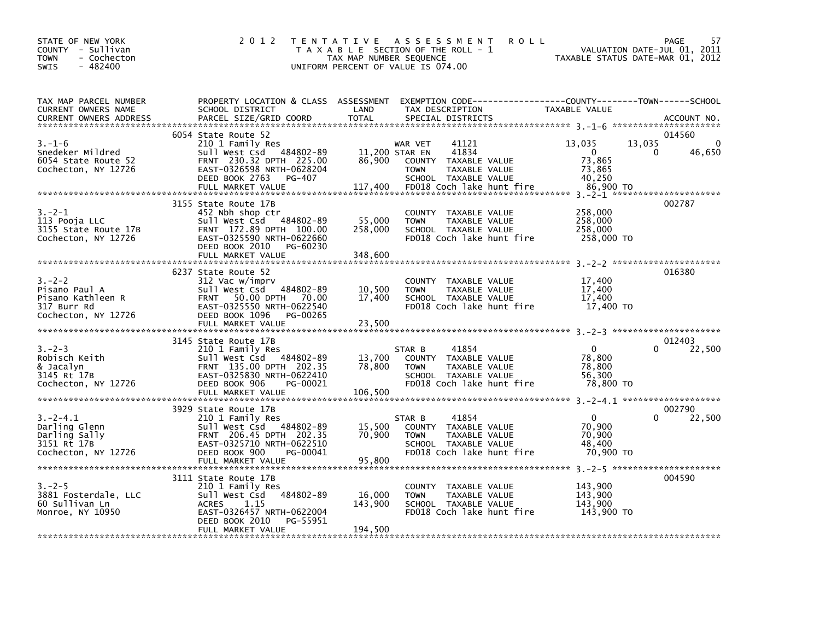| PROPERTY LOCATION & CLASS ASSESSMENT EXEMPTION CODE---------------COUNTY-------TOWN-----SCHOOL<br>TAX MAP PARCEL NUMBER<br>TAX DESCRIPTION<br>TAX DESCRIPTION<br>SPECIAL DISTRICTS<br>CURRENT OWNERS NAME<br>CURRENT OWNERS NAME MANISS STRING OF STATE STATE TO THE SPECIAL DISTRICTS CURRENT OWNERS ADDRESS PARCEL SIZE/GRID COORD TOTAL SPECIAL DISTRICTS (2000) TOTAL STRING ON THE STATE OF ACCOUNT NO.<br>6054 State Route 52<br>014560                                                                                                                                                                                                       | 57 | PAGE   | T A X A B L E SECTION OF THE ROLL - 1<br>T A X A B L E SECTION OF THE ROLL - 1<br>TAXABLE STATUS DATE-MAR 01, 2012 | <b>ROLL</b> |  | TENTATIVE ASSESSMENT<br>UNIFORM PERCENT OF VALUE IS 074.00 | 2 0 1 2 | STATE OF NEW YORK<br>COUNTY - Sullivan<br>- Cochecton<br><b>TOWN</b><br>$-482400$<br><b>SWIS</b> |
|-----------------------------------------------------------------------------------------------------------------------------------------------------------------------------------------------------------------------------------------------------------------------------------------------------------------------------------------------------------------------------------------------------------------------------------------------------------------------------------------------------------------------------------------------------------------------------------------------------------------------------------------------------|----|--------|--------------------------------------------------------------------------------------------------------------------|-------------|--|------------------------------------------------------------|---------|--------------------------------------------------------------------------------------------------|
|                                                                                                                                                                                                                                                                                                                                                                                                                                                                                                                                                                                                                                                     |    |        |                                                                                                                    |             |  |                                                            |         |                                                                                                  |
|                                                                                                                                                                                                                                                                                                                                                                                                                                                                                                                                                                                                                                                     |    |        |                                                                                                                    |             |  |                                                            |         |                                                                                                  |
| 3155 State Route 17B                                                                                                                                                                                                                                                                                                                                                                                                                                                                                                                                                                                                                                |    | 002787 |                                                                                                                    |             |  |                                                            |         |                                                                                                  |
| 452 Nbh shop ctr<br>$3 - 2 - 1$<br>258,000<br>COUNTY TAXABLE VALUE<br>452 NDM SHOP Ctr<br>Sull West Csd 484802-89 55,000 TOWN<br>FRNT 172.89 DPTH 100.00 258,000 SCHOO<br>113 Pooja LLC<br>258,000<br>TAXABLE VALUE<br>258,000 SCHOOL TAXABLE VALUE<br>258,000<br>FD018 Coch lake hunt fire<br>258,000 TO<br>DEED BOOK 2010 PG-60230<br>348,600<br>FULL MARKET VALUE                                                                                                                                                                                                                                                                                |    |        |                                                                                                                    |             |  |                                                            |         |                                                                                                  |
|                                                                                                                                                                                                                                                                                                                                                                                                                                                                                                                                                                                                                                                     |    |        |                                                                                                                    |             |  |                                                            |         |                                                                                                  |
| 016380<br>6237 State Route 52<br>$3 - 2 - 2$<br>312 Vac w/imprv<br>17,400<br>17,400<br>COUNTY TAXABLE VALUE<br>SLE Value (Sulle Market Value 1997)<br>Sull West Csd (484802-89 10,500 TOWN TAXABLE VALUE<br>FRNT 50.00 DPTH 70.00 17,400 SCHOOL TAXABLE VALUE<br>EAST-0325550 NRTH-0622540 FD018 Coch lake hunt f<br>Pisano Paul A<br>Pisano Kathleen R<br>Pisano Kathleen R<br>317 Burr Rd<br>Cochecton, NY 12726<br>Cochecton, NY 12726<br>BEED BOOK 1096 PG-00265<br>SCHOOL TAXABLE VALUE<br>17,400<br>FD018 Coch lake hunt fire 17.400 TO                                                                                                       |    |        |                                                                                                                    |             |  |                                                            |         |                                                                                                  |
|                                                                                                                                                                                                                                                                                                                                                                                                                                                                                                                                                                                                                                                     |    |        |                                                                                                                    |             |  |                                                            |         |                                                                                                  |
| 012403<br>3145 State Route 17B<br>$3 - 2 - 3$<br>$\overline{0}$<br>$\Omega$<br>22,500<br>State ROUTE 1/B<br>210 1 Family Res (STAR B (41034)<br>13,700 COUNTY TAXABLE VALUE<br>FRNT 135.00 DPTH 202.35 78,800 TOWN TAXABLE VALUE<br>EAST-0325830_NRTH-0622410 (SCHOOL TAXABLE VALUE<br>FD018 Coch lake hunt fir<br>210 1 1 1 1 1 1 1 1 1 1 1 1 1 1 1 1 2 2 - 0 50<br>Sull West Csd 484802-0 5<br>FRNT 135.00 DPTH 202.35<br>EAST-0325830 NRTH-0622410<br>DEED BOOK 906 PG-00021<br>78,800<br>Robisch Keith<br>78,800<br>& Jacalyn<br>SCHOOL TAXABLE VALUE<br>3145 Rt 17B<br>56,300<br>Cochecton, NY 12726<br>FD018 Coch lake hunt fire<br>78,800 TO |    |        |                                                                                                                    |             |  |                                                            |         |                                                                                                  |
| 002790<br>3929 State Route 17B                                                                                                                                                                                                                                                                                                                                                                                                                                                                                                                                                                                                                      |    |        |                                                                                                                    |             |  |                                                            |         |                                                                                                  |
| $3.-2-4.1$<br>$\overline{\mathbf{0}}$<br>210 1 Family Res<br>STAR B<br>41854<br>$\Omega$<br>22,500<br>3.-2-4.1<br>Darling Glenn<br>Darling Sally<br>Darling Sally<br>Darling Sally<br>Sull West Csd 484802-89<br>FRNT 206.45 DPTH 202.35<br>70,900<br>3151 Rt 17B<br>202.35<br>EAST-0325710 NRTH-0622510<br>202.41<br>70,900<br>COUNTY TAXABLE VALUE<br>70,900<br>TAXABLE VALUE<br><b>TOWN</b><br>SCHOOL TAXABLE VALUE<br>48,400<br>Cochecton, NY 12726<br>DEED BOOK 900<br>PG-00041<br>FD018 Coch lake hunt fire<br>70.900 TO                                                                                                                      |    |        |                                                                                                                    |             |  |                                                            |         |                                                                                                  |
| 004590<br>3111 State Route 17B                                                                                                                                                                                                                                                                                                                                                                                                                                                                                                                                                                                                                      |    |        |                                                                                                                    |             |  |                                                            |         |                                                                                                  |
| 143,900<br>3.-2-5<br>3881 Fosterdale, LLC<br>60 Sullivan Ln<br>Monroe, NY 10950<br>Monroe, NY 10950<br>CONFINITY CONSIST PASSES<br>CONFINITY CONSIST PASSES<br>CONFINITY PASSES<br>CONFINITY PASSES<br>CONFINITY PASSES<br>CONFINITY PASSES<br>CONFINITY PASSES<br>COUNTY TAXABLE VALUE<br>16,000<br>TAXABLE VALUE<br>143,900<br><b>TOWN</b><br>SCHOOL TAXABLE VALUE<br>143,900<br>143,900<br>FD018 Coch lake hunt fire<br>143.900 TO<br>DEED BOOK 2010 PG-55951<br>194,500<br>FULL MARKET VALUE                                                                                                                                                    |    |        |                                                                                                                    |             |  |                                                            |         |                                                                                                  |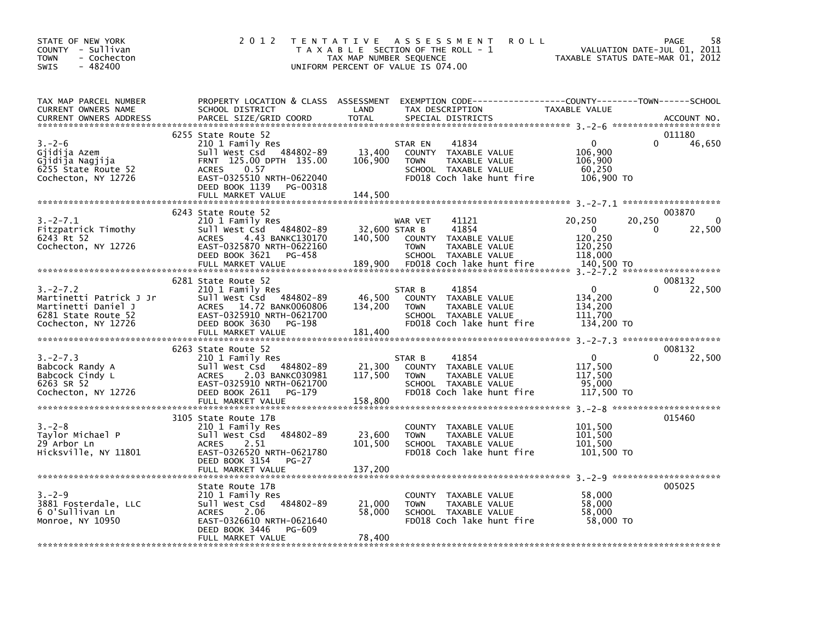| STATE OF NEW YORK<br>COUNTY - Sullivan<br>- Cochecton<br>TOWN<br>$-482400$<br><b>SWIS</b>                     | 2 0 1 2                                                                                                                                                                          | TAX MAP NUMBER SEQUENCE      | <b>ROLL</b><br>TENTATIVE ASSESSMENT<br>T A X A B L E SECTION OF THE ROLL - 1<br>UNIFORM PERCENT OF VALUE IS 074.00            | TAXABLE STATUS DATE-MAR 01, 2012                            | 58<br>PAGE<br>VALUATION DATE-JUL 01, 2011 |
|---------------------------------------------------------------------------------------------------------------|----------------------------------------------------------------------------------------------------------------------------------------------------------------------------------|------------------------------|-------------------------------------------------------------------------------------------------------------------------------|-------------------------------------------------------------|-------------------------------------------|
| TAX MAP PARCEL NUMBER<br>CURRENT OWNERS NAME<br><b>CURRENT OWNERS ADDRESS</b>                                 | PROPERTY LOCATION & CLASS ASSESSMENT<br>SCHOOL DISTRICT<br>PARCEL SIZE/GRID COORD                                                                                                | LAND<br><b>TOTAL</b>         | EXEMPTION CODE-----------------COUNTY-------TOWN------SCHOOL<br>TAX DESCRIPTION<br>SPECIAL DISTRICTS                          | TAXABLE VALUE                                               | ACCOUNT NO.                               |
| $3 - 2 - 6$<br>Gjidija Azem<br>Gjidija Nagjija<br>6255 State Route 52<br>Cochecton, NY 12726                  | 6255 State Route 52<br>210 1 Family Res<br>Sull West Csd 484802-89<br>FRNT 125.00 DPTH 135.00<br><b>ACRES</b><br>0.57<br>EAST-0325510 NRTH-0622040<br>DEED BOOK 1139<br>PG-00318 | 13,400<br>106,900            | 41834<br>STAR EN<br>COUNTY TAXABLE VALUE<br><b>TOWN</b><br>TAXABLE VALUE<br>SCHOOL TAXABLE VALUE<br>FD018 Coch lake hunt fire | $\Omega$<br>106,900<br>106,900<br>60,250<br>106,900 TO      | 011180<br>46,650                          |
| $3.-2-7.1$<br>Fitzpatrick Timothy<br>6243 Rt 52<br>Cochecton, NY 12726                                        | 6243 State Route 52<br>210 1 Family Res<br>Sull West Csd 484802-89<br>4.43 BANKC130170<br><b>ACRES</b><br>EAST-0325870 NRTH-0622160                                              | 32,600 STAR B<br>140,500     | 41121<br>WAR VET<br>41854<br>COUNTY TAXABLE VALUE<br><b>TOWN</b><br>TAXABLE VALUE                                             | 20,250<br>20,250<br>0<br>120,250<br>120,250                 | 003870<br>$\mathbf{0}$<br>22,500<br>0     |
|                                                                                                               | DEED BOOK 3621<br>PG-458<br>FULL MARKET VALUE<br>6281 State Route 52                                                                                                             | 189,900                      | SCHOOL TAXABLE VALUE<br>FD018 Coch lake hunt fire                                                                             | 118,000<br>140,500 TO                                       | 008132                                    |
| $3. -2 - 7.2$<br>Martinetti Patrick J Jr<br>Martinetti Daniel J<br>6281 State Route 52<br>Cochecton, NY 12726 | 210 1 Family Res<br>Sull West Csd 484802-89<br>ACRES 14.72 BANK0060806<br>EAST-0325910 NRTH-0621700<br>DEED BOOK 3630<br>PG-198                                                  | 46,500<br>134,200            | 41854<br>STAR B<br>COUNTY TAXABLE VALUE<br><b>TOWN</b><br>TAXABLE VALUE<br>SCHOOL TAXABLE VALUE<br>FD018 Coch lake hunt fire  | $\mathbf{0}$<br>134,200<br>134,200<br>111,700<br>134,200 TO | 22,500                                    |
|                                                                                                               |                                                                                                                                                                                  |                              |                                                                                                                               |                                                             |                                           |
| $3. -2 - 7.3$<br>Babcock Randy A<br>Babcock Cindy L<br>6263 SR 52<br>Cochecton, NY 12726                      | 6263 State Route 52<br>210 1 Family Res<br>Sull West Csd 484802-89<br>2.03 BANKC030981<br><b>ACRES</b><br>EAST-0325910 NRTH-0621700<br>DEED BOOK 2611<br>PG-179                  | 21,300<br>117,500            | STAR B<br>41854<br>COUNTY TAXABLE VALUE<br><b>TOWN</b><br>TAXABLE VALUE<br>SCHOOL TAXABLE VALUE<br>FD018 Coch lake hunt fire  | $\mathbf{0}$<br>117,500<br>117,500<br>95,000<br>117,500 TO  | 008132<br>22,500                          |
| $3 - 2 - 8$<br>Taylor Michael P<br>29 Arbor Ln<br>Hicksville, NY 11801                                        | 3105 State Route 17B<br>210 1 Family Res<br>sull west Csd<br>484802-89<br>2.51<br><b>ACRES</b><br>EAST-0326520 NRTH-0621780<br>DEED BOOK 3154<br>PG-27<br>FULL MARKET VALUE      | 23,600<br>101,500<br>137,200 | COUNTY TAXABLE VALUE<br><b>TOWN</b><br>TAXABLE VALUE<br>SCHOOL TAXABLE VALUE<br>FD018 Coch lake hunt fire                     | 101,500<br>101.500<br>101,500<br>101,500 TO                 | 015460                                    |
|                                                                                                               |                                                                                                                                                                                  |                              |                                                                                                                               |                                                             |                                           |
| $3 - 2 - 9$<br>3881 Fosterdale, LLC<br>6 O'Sullivan Ln<br>Monroe, NY 10950                                    | State Route 17B<br>210 1 Family Res<br>484802-89<br>Sull West Csd<br>2.06<br><b>ACRES</b><br>EAST-0326610 NRTH-0621640<br>DEED BOOK 3446<br>PG-609<br>FULL MARKET VALUE          | 21,000<br>58,000<br>78,400   | COUNTY TAXABLE VALUE<br>TAXABLE VALUE<br><b>TOWN</b><br>SCHOOL TAXABLE VALUE<br>FD018 Coch lake hunt fire                     | 58,000<br>58.000<br>58,000<br>58,000 TO                     | 005025                                    |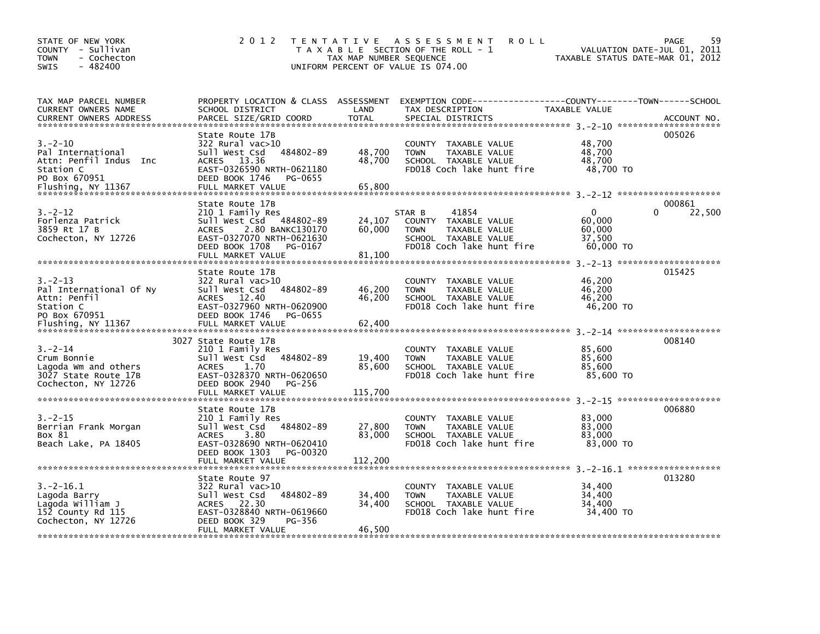| STATE OF NEW YORK<br>COUNTY - Sullivan<br><b>TOWN</b><br>- Cochecton<br>$-482400$<br><b>SWIS</b>                 | 2 0 1 2                                                                                                                                                                           | T E N T A T I V E<br>TAX MAP NUMBER SEQUENCE | A S S E S S M E N T<br><b>ROLL</b><br>T A X A B L E SECTION OF THE ROLL - 1<br>UNIFORM PERCENT OF VALUE IS 074.00                         | TAXABLE STATUS DATE-MAR 01, 2012                    | 59<br>PAGE<br>VALUATION DATE-JUL 01, 2011 |
|------------------------------------------------------------------------------------------------------------------|-----------------------------------------------------------------------------------------------------------------------------------------------------------------------------------|----------------------------------------------|-------------------------------------------------------------------------------------------------------------------------------------------|-----------------------------------------------------|-------------------------------------------|
| TAX MAP PARCEL NUMBER<br>CURRENT OWNERS NAME<br>CURRENT OWNERS ADDRESS                                           | SCHOOL DISTRICT<br>PARCEL SIZE/GRID COORD                                                                                                                                         | LAND<br><b>TOTAL</b>                         | PROPERTY LOCATION & CLASS ASSESSMENT EXEMPTION CODE-----------------COUNTY-------TOWN------SCHOOL<br>TAX DESCRIPTION<br>SPECIAL DISTRICTS | TAXABLE VALUE                                       | ACCOUNT NO.                               |
| $3. - 2 - 10$<br>Pal International<br>Attn: Penfil Indus Inc<br>Station C<br>PO Box 670951<br>Flushing, NY 11367 | State Route 17B<br>$322$ Rural vac $>10$<br>484802-89<br>Sull West Csd<br>ACRES 13.36<br>EAST-0326590 NRTH-0621180<br>DEED BOOK 1746<br>PG-0655<br>FULL MARKET VALUE              | 48,700<br>48.700<br>65,800                   | COUNTY TAXABLE VALUE<br><b>TOWN</b><br>TAXABLE VALUE<br>SCHOOL TAXABLE VALUE<br>FD018 Coch lake hunt fire                                 | 48,700<br>48,700<br>48.700<br>48,700 TO             | 005026                                    |
| $3 - 2 - 12$<br>Forlenza Patrick<br>3859 Rt 17 B<br>Cochecton, NY 12726                                          | State Route 17B<br>210 1 Family Res<br>Sull West Csd 484802-89<br><b>ACRES</b><br>2.80 BANKC130170<br>EAST-0327070 NRTH-0621630<br>DEED BOOK 1708<br>PG-0167<br>FULL MARKET VALUE | 24,107<br>60,000<br>81,100                   | 41854<br>STAR B<br>COUNTY<br>TAXABLE VALUE<br>TAXABLE VALUE<br><b>TOWN</b><br>SCHOOL TAXABLE VALUE<br>FD018 Coch lake hunt fire           | $\Omega$<br>60,000<br>60,000<br>37,500<br>60,000 TO | 000861<br>22,500<br>0                     |
| $3. -2 - 13$<br>Pal International Of Ny<br>Attn: Penfil<br>Station C<br>PO Box 670951<br>Flushing, NY 11367      | State Route 17B<br>$322$ Rural vac $>10$<br>Sull West Csd<br>484802-89<br>ACRES 12.40<br>EAST-0327960 NRTH-0620900<br>DEED BOOK 1746<br>PG-0655<br>FULL MARKET VALUE              | 46,200<br>46,200<br>62,400                   | COUNTY TAXABLE VALUE<br>TAXABLE VALUE<br><b>TOWN</b><br>SCHOOL TAXABLE VALUE<br>FD018 Coch lake hunt fire                                 | 46,200<br>46.200<br>46,200<br>46,200 TO             | 015425                                    |
| $3 - 2 - 14$<br>Crum Bonnie<br>Lagoda Wm and others<br>3027 State Route 17B<br>Cochecton, NY 12726               | 3027 State Route 17B<br>210 1 Family Res<br>Sull West Csd<br>484802-89<br><b>ACRES</b><br>1.70<br>EAST-0328370 NRTH-0620650<br>DEED BOOK 2940<br>PG-256<br>FULL MARKET VALUE      | 19,400<br>85,600<br>115,700                  | COUNTY TAXABLE VALUE<br><b>TOWN</b><br>TAXABLE VALUE<br>SCHOOL TAXABLE VALUE<br>FD018 Coch lake hunt fire                                 | 85,600<br>85,600<br>85,600<br>85,600 TO             | 008140                                    |
| $3. -2 - 15$<br>Berrian Frank Morgan<br>Box 81<br>Beach Lake, PA 18405                                           | State Route 17B<br>210 1 Family Res<br>484802-89<br>Sull West Csd<br>3.80<br><b>ACRES</b><br>EAST-0328690 NRTH-0620410<br>DEED BOOK 1303<br>PG-00320                              | 27,800<br>83,000                             | COUNTY TAXABLE VALUE<br><b>TOWN</b><br>TAXABLE VALUE<br>SCHOOL TAXABLE VALUE<br>FD018 Coch lake hunt fire                                 | 83,000<br>83,000<br>83,000<br>83,000 TO             | 006880                                    |
| $3.-2-16.1$<br>Lagoda Barry<br>Lagoda William J<br>152 County Rd 115<br>Cochecton, NY 12726                      | State Route 97<br>322 Rural vac>10<br>Sull West Csd<br>484802-89<br>ACRES 22.30<br>EAST-0328840 NRTH-0619660<br>DEED BOOK 329<br>PG-356<br>FULL MARKET VALUE                      | 34,400<br>34,400<br>46,500                   | COUNTY<br>TAXABLE VALUE<br><b>TAXABLE VALUE</b><br><b>TOWN</b><br>SCHOOL TAXABLE VALUE<br>FD018 Coch lake hunt fire                       | 34,400<br>34,400<br>34,400<br>34,400 TO             | 013280                                    |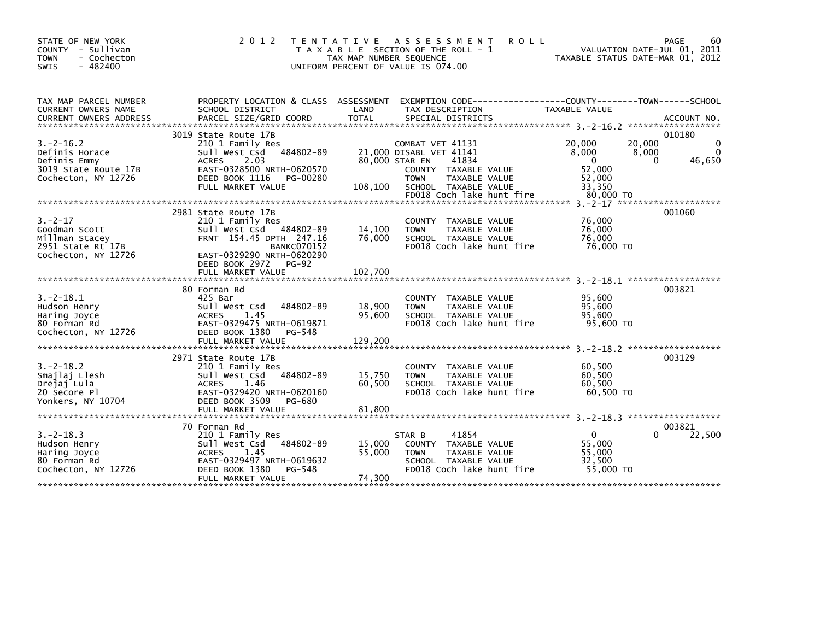| STATE OF NEW YORK<br>COUNTY - Sullivan<br>- Cochecton<br><b>TOWN</b><br>$-482400$<br><b>SWIS</b> | 2 0 1 2                                                                                                                                                                                                  | <b>ROLL</b><br>T E N T A T I V E<br>A S S E S S M E N T<br>T A X A B L E SECTION OF THE ROLL - 1<br>TAX MAP NUMBER SEQUENCE<br>UNIFORM PERCENT OF VALUE IS 074.00                              | 60<br>PAGE<br>VALUATION DATE-JUL 01, 2011<br>TAXABLE STATUS DATE-MAR 01, 2012                                             |
|--------------------------------------------------------------------------------------------------|----------------------------------------------------------------------------------------------------------------------------------------------------------------------------------------------------------|------------------------------------------------------------------------------------------------------------------------------------------------------------------------------------------------|---------------------------------------------------------------------------------------------------------------------------|
| TAX MAP PARCEL NUMBER<br>CURRENT OWNERS NAME<br><b>CURRENT OWNERS ADDRESS</b>                    | SCHOOL DISTRICT<br>PARCEL SIZE/GRID COORD                                                                                                                                                                | PROPERTY LOCATION & CLASS ASSESSMENT EXEMPTION CODE----<br>LAND<br>TAX DESCRIPTION<br><b>TOTAL</b><br>SPECIAL DISTRICTS                                                                        | -------------COUNTY--------TOWN------SCHOOL<br>TAXABLE VALUE<br>ACCOUNT NO.                                               |
| $3. -2 - 16.2$<br>Definis Horace<br>Definis Emmy<br>3019 State Route 17B<br>Cochecton, NY 12726  | 3019 State Route 17B<br>210 1 Family Res<br>484802-89<br>Sull West Csd<br>2.03<br><b>ACRES</b><br>EAST-0328500 NRTH-0620570<br>DEED BOOK 1116<br>PG-00280<br>FULL MARKET VALUE                           | COMBAT VET 41131<br>21,000 DISABL VET 41141<br>80,000 STAR EN<br>41834<br>COUNTY TAXABLE VALUE<br><b>TOWN</b><br>TAXABLE VALUE<br>SCHOOL TAXABLE VALUE<br>108,100<br>FD018 Coch lake hunt fire | 010180<br>20,000<br>20,000<br>8,000<br>8,000<br>$\Omega$<br>$\Omega$<br>46,650<br>52,000<br>52,000<br>33,350<br>80,000 TO |
| $3 - 2 - 17$<br>Goodman Scott<br>Millman Stacey<br>2951 State Rt 17B<br>Cochecton, NY 12726      | 2981 State Route 17B<br>210 1 Family Res<br>Sull West Csd 484802-89<br>FRNT 154.45 DPTH 247.16<br><b>BANKC070152</b><br>EAST-0329290 NRTH-0620290<br>DEED BOOK 2972<br><b>PG-92</b><br>FULL MARKET VALUE | COUNTY TAXABLE VALUE<br>14,100<br>TAXABLE VALUE<br><b>TOWN</b><br>SCHOOL TAXABLE VALUE<br>76,000<br>FD018 Coch lake hunt fire<br>102,700                                                       | $3. -2 - 17$ **********************<br>001060<br>76,000<br>76,000<br>76,000<br>76,000 TO                                  |
| $3. -2 - 18.1$<br>Hudson Henry<br>Haring Joyce<br>80 Forman Rd<br>Cochecton, NY 12726            | 80 Forman Rd<br>425 Bar<br>484802-89<br>Sull West Csd<br>1.45<br><b>ACRES</b><br>EAST-0329475 NRTH-0619871<br>DEED BOOK 1380<br>PG-548<br>FULL MARKET VALUE                                              | <b>COUNTY</b><br>TAXABLE VALUE<br>18,900<br><b>TAXABLE VALUE</b><br><b>TOWN</b><br>95,600<br>SCHOOL TAXABLE VALUE<br>FD018 Coch lake hunt fire<br>129,200                                      | 003821<br>95.600<br>95,600<br>95,600<br>95,600 TO                                                                         |
| $3. -2 - 18.2$<br>Smajlaj Llesh<br>Drejaj Lula<br>20 Secore Pl<br>Yonkers, NY 10704              | 2971 State Route 17B<br>210 1 Family Res<br>Sull West Csd<br>484802-89<br>1.46<br><b>ACRES</b><br>EAST-0329420 NRTH-0620160<br>DEED BOOK 3509<br>PG-680<br>FULL MARKET VALUE                             | COUNTY TAXABLE VALUE<br>15,750<br>TAXABLE VALUE<br><b>TOWN</b><br>60,500<br>SCHOOL TAXABLE VALUE<br>FD018 Coch lake hunt fire<br>81,800                                                        | 003129<br>60,500<br>60,500<br>60,500<br>60.500 TO                                                                         |
| $3. -2 - 18.3$<br>Hudson Henry<br>Haring Joyce<br>80 Forman Rd<br>Cochecton, NY 12726            | 70 Forman Rd<br>210 1 Family Res<br>Sull West Csd<br>484802-89<br><b>ACRES</b><br>1.45<br>EAST-0329497 NRTH-0619632<br>DEED BOOK 1380<br>PG-548<br>FULL MARKET VALUE                                     | 41854<br>STAR B<br>15,000<br>COUNTY<br>TAXABLE VALUE<br>55,000<br><b>TOWN</b><br>TAXABLE VALUE<br>SCHOOL TAXABLE VALUE<br>FD018 Coch lake hunt fire<br>74,300                                  | 003821<br>$\mathbf{0}$<br>22,500<br>55,000<br>55,000<br>32.500<br>55,000 TO                                               |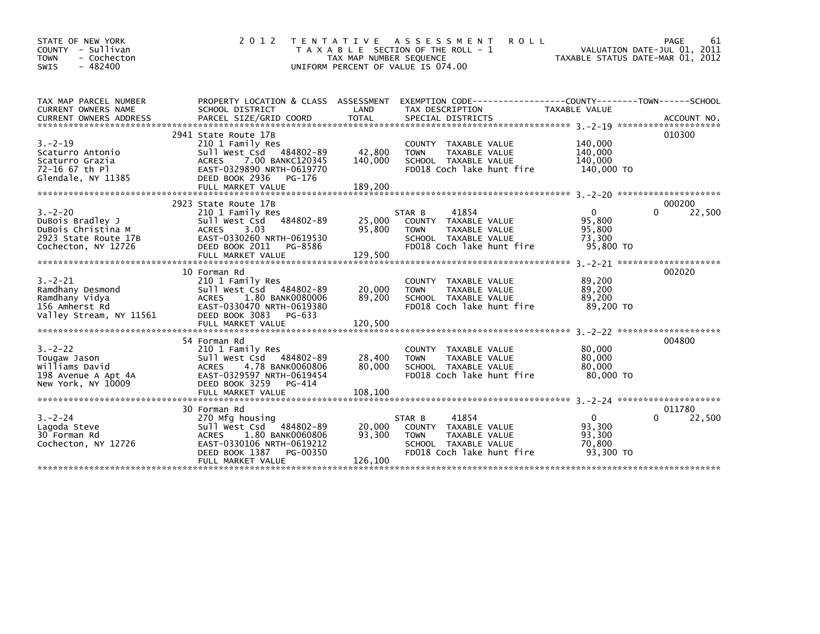| STATE OF NEW YORK<br>COUNTY - Sullivan<br>- Cochecton<br><b>TOWN</b><br>$-482400$<br><b>SWIS</b>      | 2 0 1 2                                                                                                                                                                               | T E N T A T I V E<br>TAX MAP NUMBER SEQUENCE<br>UNIFORM PERCENT OF VALUE IS 074.00 | A S S E S S M E N T<br>T A X A B L E SECTION OF THE ROLL - 1                                                                 | <b>ROLL</b>                                                                   | 61<br><b>PAGE</b><br>VALUATION DATE-JUL 01, 2011<br>TAXABLE STATUS DATE-MAR 01, 2012 |
|-------------------------------------------------------------------------------------------------------|---------------------------------------------------------------------------------------------------------------------------------------------------------------------------------------|------------------------------------------------------------------------------------|------------------------------------------------------------------------------------------------------------------------------|-------------------------------------------------------------------------------|--------------------------------------------------------------------------------------|
| TAX MAP PARCEL NUMBER<br>CURRENT OWNERS NAME                                                          | PROPERTY LOCATION & CLASS ASSESSMENT<br>SCHOOL DISTRICT                                                                                                                               | LAND                                                                               | TAX DESCRIPTION                                                                                                              | EXEMPTION CODE-----------------COUNTY-------TOWN------SCHOOL<br>TAXABLE VALUE |                                                                                      |
| $3. - 2 - 19$<br>Scaturro Antonio<br>Scaturro Grazia<br>72-16 67 th Pl<br>Glendale, NY 11385          | 2941 State Route 17B<br>210 1 Family Res<br>Sull West Csd 484802-89<br>7.00 BANKC120345<br><b>ACRES</b><br>EAST-0329890 NRTH-0619770<br>DEED BOOK 2936<br>PG-176<br>FULL MARKET VALUE | 42,800<br>140,000<br>189,200                                                       | COUNTY TAXABLE VALUE<br><b>TOWN</b><br>TAXABLE VALUE<br>SCHOOL TAXABLE VALUE<br>FD018 Coch lake hunt fire                    | 140,000<br>140,000<br>140,000<br>140,000 TO                                   | 010300                                                                               |
| $3. -2 - 20$<br>DuBois Bradley J<br>DuBois Christina M<br>2923 State Route 17B<br>Cochecton, NY 12726 | 2923 State Route 17B<br>210 1 Family Res<br>Sull West Csd<br>3.03<br><b>ACRES</b><br>EAST-0330260 NRTH-0619530<br>DEED BOOK 2011<br>PG-8586<br>FULL MARKET VALUE                      | 484802-89<br>25,000<br>95,800<br>129,500                                           | 41854<br>STAR B<br>COUNTY TAXABLE VALUE<br>TAXABLE VALUE<br><b>TOWN</b><br>SCHOOL TAXABLE VALUE<br>FD018 Coch lake hunt fire | $\mathbf{0}$<br>95,800<br>95,800<br>73,300<br>95,800 TO                       | 000200<br>22,500<br>0                                                                |
| $3. - 2 - 21$<br>Ramdhany Desmond<br>Ramdhany Vidya<br>156 Amherst Rd<br>Valley Stream, NY 11561      | 10 Forman Rd<br>210 1 Family Res<br>Sull West Csd 484802-89<br>1.80 BANK0080006<br><b>ACRES</b><br>EAST-0330470 NRTH-0619380<br>DEED BOOK 3083<br>PG-633                              | 20,000<br>89,200                                                                   | COUNTY TAXABLE VALUE<br><b>TAXABLE VALUE</b><br><b>TOWN</b><br>SCHOOL TAXABLE VALUE<br>FD018 Coch lake hunt fire             | 89,200<br>89,200<br>89,200<br>89.200 TO                                       | 002020                                                                               |
| $3. -2 - 22$<br>Tougaw Jason<br>Williams David<br>198 Avenue A Apt 4A<br>New York, NY 10009           | 54 Forman Rd<br>210 1 Family Res<br>Sull West Csd<br><b>ACRES</b><br>4.78 BANK0060806<br>EAST-0329597 NRTH-0619454<br>DEED BOOK 3259<br>PG-414                                        | 484802-89<br>28,400<br>80.000                                                      | COUNTY TAXABLE VALUE<br>TAXABLE VALUE<br><b>TOWN</b><br>SCHOOL TAXABLE VALUE<br>FD018 Coch lake hunt fire                    | 80,000<br>80,000<br>80.000<br>80.000 TO                                       | 004800                                                                               |
| $3 - 2 - 24$<br>Lagoda Steve<br>30 Forman Rd<br>Cochecton, NY 12726                                   | 30 Forman Rd<br>270 Mfg housing<br>Sull West Csd<br>484802-89<br>1.80 BANK0060806<br><b>ACRES</b><br>EAST-0330106 NRTH-0619212<br>DEED BOOK 1387<br>FULL MARKET VALUE                 | 20,000<br>93,300<br>PG-00350<br>126,100                                            | STAR B<br>41854<br>COUNTY TAXABLE VALUE<br><b>TOWN</b><br>TAXABLE VALUE<br>SCHOOL TAXABLE VALUE<br>FD018 Coch lake hunt fire | $\Omega$<br>93,300<br>93,300<br>70,800<br>93.300 TO                           | 011780<br>22,500<br>0                                                                |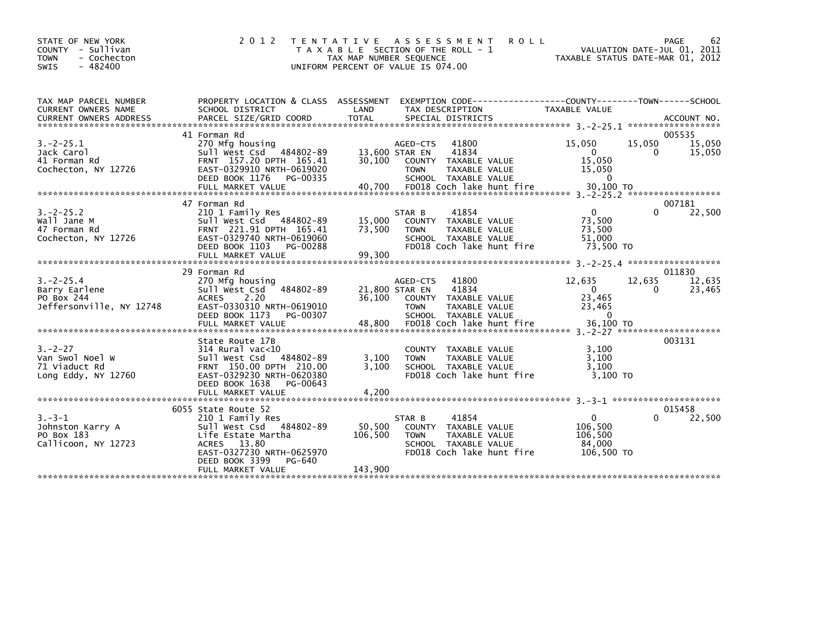| STATE OF NEW YORK<br>COUNTY - Sullivan<br>- Cochecton<br><b>TOWN</b><br>$-482400$<br>SWIS | 2 0 1 2                                                                                                                                              | T E N T A T I V E<br>T A X A B L E SECTION OF THE ROLL - 1<br>TAX MAP NUMBER SEQUENCE<br>UNIFORM PERCENT OF VALUE IS 074.00 |                                                            | A S S E S S M E N T<br><b>ROLL</b>                                                                           | TAXABLE STATUS DATE-MAR 01, 2012                                      | VALUATION DATE-JUL 01, 2011 | 62<br>PAGE       |
|-------------------------------------------------------------------------------------------|------------------------------------------------------------------------------------------------------------------------------------------------------|-----------------------------------------------------------------------------------------------------------------------------|------------------------------------------------------------|--------------------------------------------------------------------------------------------------------------|-----------------------------------------------------------------------|-----------------------------|------------------|
| TAX MAP PARCEL NUMBER<br>CURRENT OWNERS NAME                                              | PROPERTY LOCATION & CLASS ASSESSMENT<br>SCHOOL DISTRICT                                                                                              | LAND                                                                                                                        |                                                            | EXEMPTION CODE-----------------COUNTY-------TOWN------SCHOOL<br>TAX DESCRIPTION                              | <b>TAXABLE VALUE</b>                                                  |                             |                  |
|                                                                                           | 41 Forman Rd                                                                                                                                         |                                                                                                                             |                                                            |                                                                                                              |                                                                       |                             | 005535           |
| $3.-2-25.1$<br>Jack Carol<br>41 Forman Rd<br>Cochecton, NY 12726                          | 270 Mfg housing<br>Sull West Csd 484802-89<br>FRNT 157.20 DPTH 165.41<br>EAST-0329910 NRTH-0619020<br>DEED BOOK 1176 PG-00335                        | 30.100                                                                                                                      | AGED-CTS<br>13,600 STAR EN<br><b>COUNTY</b><br><b>TOWN</b> | 41800<br>41834<br>TAXABLE VALUE<br>TAXABLE VALUE<br>SCHOOL TAXABLE VALUE                                     | 15,050<br>$\overline{0}$<br>15,050<br>15,050<br>$\Omega$              | 15,050<br>0                 | 15,050<br>15,050 |
|                                                                                           |                                                                                                                                                      |                                                                                                                             |                                                            |                                                                                                              |                                                                       |                             |                  |
|                                                                                           | 47 Forman Rd                                                                                                                                         |                                                                                                                             |                                                            |                                                                                                              |                                                                       |                             | 007181           |
| $3. -2 - 25.2$<br>Wall Jane M<br>47 Forman Rd<br>Cochecton, NY 12726                      | 210 1 Family Res<br>Sull West Csd 484802-89<br>FRNT 221.91 DPTH 165.41<br>EAST-0329740 NRTH-0619060<br>DEED BOOK 1103                                | 15,000<br>73,500<br>PG-00288                                                                                                | STAR B<br><b>TOWN</b>                                      | 41854<br>COUNTY TAXABLE VALUE<br><b>TAXABLE VALUE</b><br>SCHOOL TAXABLE VALUE<br>FD018 Coch lake hunt fire   | $\mathbf{0}$<br>73,500<br>73,500<br>51,000<br>73,500 TO               | 0                           | 22,500           |
|                                                                                           |                                                                                                                                                      |                                                                                                                             |                                                            |                                                                                                              |                                                                       |                             |                  |
|                                                                                           |                                                                                                                                                      |                                                                                                                             |                                                            |                                                                                                              |                                                                       |                             |                  |
|                                                                                           | 29 Forman Rd                                                                                                                                         |                                                                                                                             |                                                            |                                                                                                              |                                                                       |                             | 011830           |
| $3. -2 - 25.4$<br>Barry Earlene<br>PO Box 244<br>Jeffersonville, NY 12748                 | 270 Mfg housing<br>Sull West Csd<br><b>ACRES</b><br>2.20<br>EAST-0330310 NRTH-0619010<br>DEED BOOK 1173<br>FULL MARKET VALUE                         | 484802-89<br>36,100<br>PG-00307<br>48,800                                                                                   | AGED-CTS<br>21,800 STAR EN<br><b>TOWN</b>                  | 41800<br>41834<br>COUNTY TAXABLE VALUE<br>TAXABLE VALUE<br>SCHOOL TAXABLE VALUE<br>FD018 Coch lake hunt fire | 12,635<br>$\overline{0}$<br>23,465<br>23,465<br>$\Omega$<br>36,100 TO | 12,635<br>$\Omega$          | 12,635<br>23,465 |
|                                                                                           |                                                                                                                                                      |                                                                                                                             |                                                            |                                                                                                              |                                                                       |                             |                  |
| $3 - 2 - 27$<br>Van Swol Noel W<br>71 Viaduct Rd<br>Long Eddy, NY 12760                   | State Route 17B<br>$314$ Rural vac<10<br>Sull West Csd 484802-89<br>FRNT 150.00 DPTH 210.00<br>EAST-0329230 NRTH-0620380<br>DEED BOOK 1638           | 3,100<br>3,100<br>PG-00643                                                                                                  | <b>TOWN</b>                                                | COUNTY TAXABLE VALUE<br><b>TAXABLE VALUE</b><br>SCHOOL TAXABLE VALUE<br>FD018 Coch lake hunt fire            | 3.100<br>3,100<br>3,100<br>$3.100$ TO                                 |                             | 003131           |
|                                                                                           | FULL MARKET VALUE                                                                                                                                    | 4,200                                                                                                                       |                                                            |                                                                                                              |                                                                       |                             |                  |
|                                                                                           | 6055 State Route 52                                                                                                                                  |                                                                                                                             |                                                            |                                                                                                              |                                                                       |                             | 015458           |
| $3 - 3 - 1$<br>Johnston Karry A<br>PO Box 183<br>Callicoon, NY 12723                      | 210 1 Family Res<br>Sull West Csd 484802-89<br>Life Estate Martha<br>ACRES 13.80<br>EAST-0327230 NRTH-0625970<br>DEED BOOK 3399<br>FULL MARKET VALUE | 50,500<br>106,500<br>PG-640<br>143,900                                                                                      | STAR B<br><b>TOWN</b>                                      | 41854<br>COUNTY TAXABLE VALUE<br>TAXABLE VALUE<br>SCHOOL TAXABLE VALUE<br>FD018 Coch lake hunt fire          | $\mathbf{0}$<br>106,500<br>106,500<br>84,000<br>106,500 TO            | 0                           | 22,500           |
|                                                                                           |                                                                                                                                                      |                                                                                                                             |                                                            |                                                                                                              |                                                                       |                             |                  |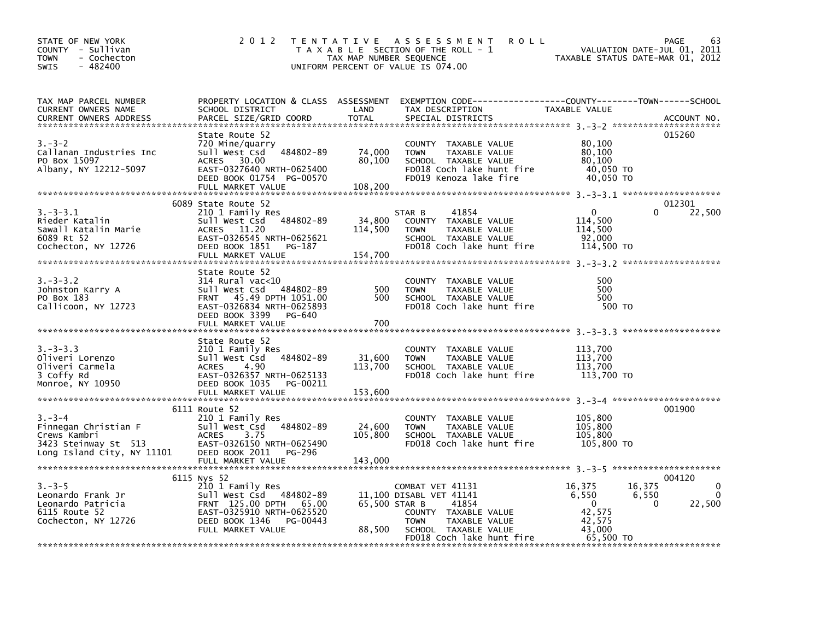| STATE OF NEW YORK<br>COUNTY - Sullivan<br>- Cochecton<br><b>TOWN</b><br>$-482400$<br><b>SWIS</b>          | 2 0 1 2                                                                                                                                                                        | TAX MAP NUMBER SEQUENCE      | TENTATIVE ASSESSMENT<br><b>ROLL</b><br>T A X A B L E SECTION OF THE ROLL - 1<br>UNIFORM PERCENT OF VALUE IS 074.00                                                | VALUATION DATE-JUL 01, 2011<br>TAXABLE STATUS DATE-MAR 01, 2012                               | 63<br><b>PAGE</b>                      |
|-----------------------------------------------------------------------------------------------------------|--------------------------------------------------------------------------------------------------------------------------------------------------------------------------------|------------------------------|-------------------------------------------------------------------------------------------------------------------------------------------------------------------|-----------------------------------------------------------------------------------------------|----------------------------------------|
| TAX MAP PARCEL NUMBER<br>CURRENT OWNERS NAME<br>CURRENT OWNERS ADDRESS                                    | SCHOOL DISTRICT<br>PARCEL SIZE/GRID COORD                                                                                                                                      | LAND<br><b>TOTAL</b>         | PROPERTY LOCATION & CLASS ASSESSMENT EXEMPTION CODE----------------COUNTY-------TOWN------SCHOOL<br>TAX DESCRIPTION<br>SPECIAL DISTRICTS                          | TAXABLE VALUE                                                                                 | ACCOUNT NO.                            |
| $3 - 3 - 2$<br>Callanan Industries Inc<br>PO Box 15097<br>Albany, NY 12212-5097                           | State Route 52<br>720 Mine/quarry<br>Sull West Csd<br>484802-89<br>30.00<br>ACRES<br>EAST-0327640 NRTH-0625400<br>DEED BOOK 01754 PG-00570<br>FULL MARKET VALUE                | 74,000<br>80,100<br>108,200  | COUNTY TAXABLE VALUE<br><b>TOWN</b><br>TAXABLE VALUE<br>SCHOOL TAXABLE VALUE<br>FD018 Coch lake hunt fire<br>FD019 Kenoza lake fire                               | 80,100<br>80,100<br>80,100<br>40,050 TO<br>40,050 TO                                          | 015260                                 |
| $3.-3-3.1$<br>Rieder Katalin<br>Sawall Katalin Marie<br>6089 Rt 52<br>Cochecton, NY 12726                 | 6089 State Route 52<br>210 1 Family Res<br>484802-89<br>Sull West Csd<br>ACRES 11.20<br>EAST-0326545 NRTH-0625621<br>DEED BOOK 1851<br>PG-187<br>FULL MARKET VALUE             | 34,800<br>114,500<br>154,700 | STAR B<br>41854<br>COUNTY TAXABLE VALUE<br>TAXABLE VALUE<br><b>TOWN</b><br>SCHOOL TAXABLE VALUE<br>FD018 Coch lake hunt fire                                      | $\mathbf{0}$<br>114,500<br>114,500<br>92,000<br>114,500 TO                                    | 012301<br>$\Omega$<br>22,500           |
| $3 - 3 - 3 - 2$<br>Johnston Karry A<br>PO Box 183<br>Callicoon, NY 12723                                  | State Route 52<br>$314$ Rural vac< $10$<br>484802-89<br>Sull West Csd<br>FRNT 45.49 DPTH 1051.00<br>EAST-0326834 NRTH-0625893<br>DEED BOOK 3399<br>PG-640<br>FULL MARKET VALUE | 500<br>500<br>700            | COUNTY TAXABLE VALUE<br><b>TOWN</b><br>TAXABLE VALUE<br>SCHOOL TAXABLE VALUE<br>FD018 Coch lake hunt fire                                                         | 500<br>500<br>500<br>500 TO                                                                   |                                        |
| $3. -3 - 3.3$<br>Oliveri Lorenzo<br>Oliveri Carmela<br>3 Coffy Rd<br>Monroe, NY 10950                     | State Route 52<br>210 1 Family Res<br>484802-89<br>Sull West Csd<br>ACRES<br>4.90<br>EAST-0326357 NRTH-0625133<br>DEED BOOK 1035<br>PG-00211<br>FULL MARKET VALUE              | 31,600<br>113,700<br>153,600 | COUNTY TAXABLE VALUE<br><b>TOWN</b><br>TAXABLE VALUE<br>SCHOOL TAXABLE VALUE<br>FD018 Coch lake hunt fire                                                         | 113,700<br>113,700<br>113,700<br>113,700 TO                                                   |                                        |
| $3 - 3 - 4$<br>Finnegan Christian F<br>Crews Kambri<br>3423 Steinway St 513<br>Long Island City, NY 11101 | 6111 Route 52<br>210 1 Family Res<br>484802-89<br>Sull West Csd<br>3.75<br><b>ACRES</b><br>EAST-0326150 NRTH-0625490<br>DEED BOOK 2011<br>PG-296<br>FULL MARKET VALUE          | 24,600<br>105,800<br>143,000 | COUNTY TAXABLE VALUE<br>TAXABLE VALUE<br><b>TOWN</b><br>SCHOOL TAXABLE VALUE<br>FD018 Coch lake hunt fire                                                         | 105,800<br>105,800<br>105,800<br>105,800 TO                                                   | 001900                                 |
| $3 - 3 - 5$<br>Leonardo Frank Jr<br>Leonardo Patricia<br>6115 Route 52<br>Cochecton, NY 12726             | 6115 Nys 52<br>210 1 Family Res<br>Sull West Csd 484802-89<br>FRNT 125.00 DPTH 65.00<br>EAST-0325910 NRTH-0625520<br>DEED BOOK 1346<br>PG-00443<br>FULL MARKET VALUE           | 65,500 STAR B<br>88,500      | COMBAT VET 41131<br>11,100 DISABL VET 41141<br>41854<br>COUNTY TAXABLE VALUE<br>TAXABLE VALUE<br><b>TOWN</b><br>SCHOOL TAXABLE VALUE<br>FD018 Coch lake hunt fire | 16,375<br>16,375<br>6,550<br>6,550<br>$\mathbf{0}$<br>42,575<br>42,575<br>43,000<br>65,500 TO | 004120<br>0<br>0<br>22,500<br>$\Omega$ |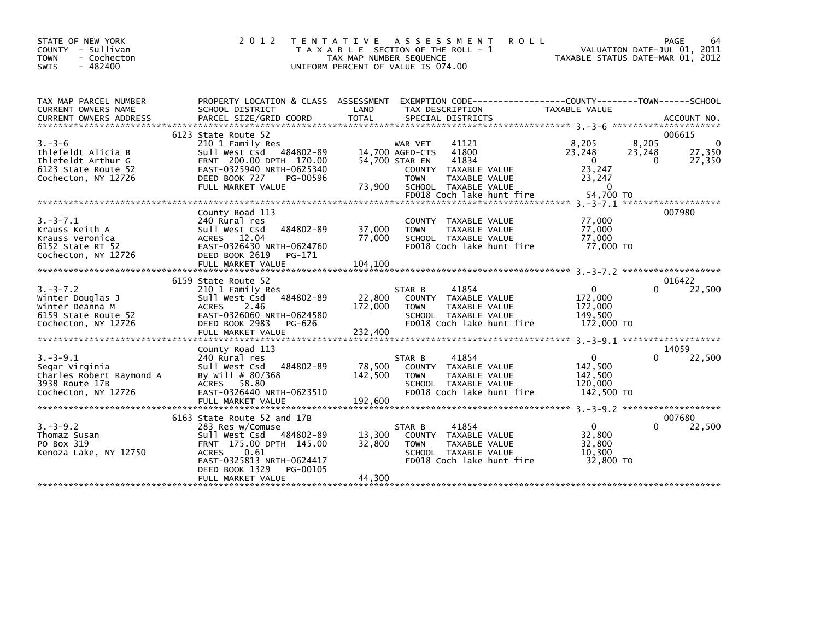| STATE OF NEW YORK<br>COUNTY - Sullivan<br><b>TOWN</b><br>- Cochecton<br>$-482400$<br><b>SWIS</b>      | 2 0 1 2                                                                                                                                                                        | T E N T A T I V E<br>TAX MAP NUMBER SEQUENCE | A S S E S S M E N T<br><b>ROLL</b><br>T A X A B L E SECTION OF THE ROLL - 1<br>UNIFORM PERCENT OF VALUE IS 074.00                                                                              |                                                                             | PAGE<br>64<br>VALUATION DATE-JUL 01, 2011<br>TAXABLE STATUS DATE-MAR 01, 2012 |
|-------------------------------------------------------------------------------------------------------|--------------------------------------------------------------------------------------------------------------------------------------------------------------------------------|----------------------------------------------|------------------------------------------------------------------------------------------------------------------------------------------------------------------------------------------------|-----------------------------------------------------------------------------|-------------------------------------------------------------------------------|
| TAX MAP PARCEL NUMBER<br>CURRENT OWNERS NAME                                                          | SCHOOL DISTRICT                                                                                                                                                                | LAND                                         | PROPERTY LOCATION & CLASS ASSESSMENT EXEMPTION CODE---------------COUNTY-------TOWN------SCHOOL<br>TAX DESCRIPTION                                                                             | TAXABLE VALUE                                                               |                                                                               |
|                                                                                                       | 6123 State Route 52                                                                                                                                                            |                                              |                                                                                                                                                                                                |                                                                             | 006615                                                                        |
| $3 - 3 - 6$<br>Ihlefeldt Alicia B<br>Ihlefeldt Arthur G<br>6123 State Route 52<br>Cochecton, NY 12726 | 210 1 Family Res<br>Sull West Csd 484802-89<br>FRNT 200.00 DPTH 170.00<br>EAST-0325940 NRTH-0625340<br>DEED BOOK 727<br>PG-00596<br>FULL MARKET VALUE                          | 73,900                                       | 41121<br>WAR VET<br>41800<br>14,700 AGED-CTS<br>54,700 STAR EN<br>41834<br>TAXABLE VALUE<br><b>COUNTY</b><br><b>TOWN</b><br>TAXABLE VALUE<br>SCHOOL TAXABLE VALUE<br>FD018 Coch lake hunt fire | 8,205<br>23,248<br>$\mathbf 0$<br>23,247<br>23,247<br>$\Omega$<br>54,700 TO | 8,205<br>0<br>27,350<br>23,248<br>$\mathbf{0}$<br>27,350                      |
|                                                                                                       |                                                                                                                                                                                |                                              |                                                                                                                                                                                                |                                                                             | 3. - 3 - 7. 1 *********************                                           |
| $3. - 3 - 7.1$<br>Krauss Keith A<br>Krauss Veronica<br>6152 State RT 52<br>Cochecton, NY 12726        | County Road 113<br>240 Rural res<br>Sull West Csd<br>484802-89<br>ACRES 12.04<br>EAST-0326430 NRTH-0624760<br>DEED BOOK 2619<br>PG-171                                         | 37,000<br>77,000                             | COUNTY TAXABLE VALUE<br><b>TOWN</b><br>TAXABLE VALUE<br>SCHOOL TAXABLE VALUE<br>FD018 Coch lake hunt fire                                                                                      | 77,000<br>77,000<br>77.000<br>77,000 TO                                     | 007980                                                                        |
|                                                                                                       |                                                                                                                                                                                |                                              |                                                                                                                                                                                                |                                                                             |                                                                               |
|                                                                                                       | 6159 State Route 52                                                                                                                                                            |                                              |                                                                                                                                                                                                |                                                                             | 016422                                                                        |
| $3. - 3 - 7.2$<br>Winter Douglas J<br>Winter Deanna M<br>6159 State Route 52<br>Cochecton, NY 12726   | 210 1 Family Res<br>Sull West Csd 484802-89<br><b>ACRES</b><br>2.46<br>EAST-0326060 NRTH-0624580<br>DEED BOOK 2983<br>PG-626<br>FULL MARKET VALUE                              | 22,800<br>172,000<br>232,400                 | STAR B<br>41854<br>COUNTY TAXABLE VALUE<br><b>TOWN</b><br>TAXABLE VALUE<br>SCHOOL TAXABLE VALUE<br>FD018 Coch lake hunt fire                                                                   | 0<br>172,000<br>172,000<br>149,500<br>172,000 TO                            | 22,500<br>0                                                                   |
| ******************************                                                                        |                                                                                                                                                                                |                                              |                                                                                                                                                                                                |                                                                             |                                                                               |
| $3. - 3 - 9.1$<br>Segar Virginia<br>Charles Robert Raymond A<br>3938 Route 17B<br>Cochecton, NY 12726 | County Road 113<br>240 Rural res<br>484802-89<br>Sull West Csd<br>By Will # 80/368<br>ACRES 58.80<br>EAST-0326440 NRTH-0623510<br>FULL MARKET VALUE                            | 78,500<br>142,500<br>192,600                 | 41854<br>STAR B<br>COUNTY TAXABLE VALUE<br><b>TOWN</b><br>TAXABLE VALUE<br>SCHOOL TAXABLE VALUE<br>FD018 Coch lake hunt fire                                                                   | $\mathbf{0}$<br>142,500<br>142,500<br>120,000<br>142,500 TO                 | 14059<br>0<br>22,500                                                          |
|                                                                                                       | 6163 State Route 52 and 17B                                                                                                                                                    |                                              |                                                                                                                                                                                                |                                                                             | 007680                                                                        |
| $3. - 3 - 9.2$<br>Thomaz Susan<br>PO Box 319<br>Kenoza Lake, NY 12750                                 | 283 Res w/Comuse<br>Sull West Csd 484802-89<br>FRNT 175.00 DPTH 145.00<br><b>ACRES</b><br>0.61<br>EAST-0325813 NRTH-0624417<br>DEED BOOK 1329<br>PG-00105<br>FULL MARKET VALUE | 13,300<br>32,800<br>44,300                   | 41854<br>STAR B<br>COUNTY TAXABLE VALUE<br><b>TOWN</b><br>TAXABLE VALUE<br>SCHOOL TAXABLE VALUE<br>FD018 Coch lake hunt fire                                                                   | $\Omega$<br>32,800<br>32,800<br>10,300<br>32,800 TO                         | 22,500<br>0                                                                   |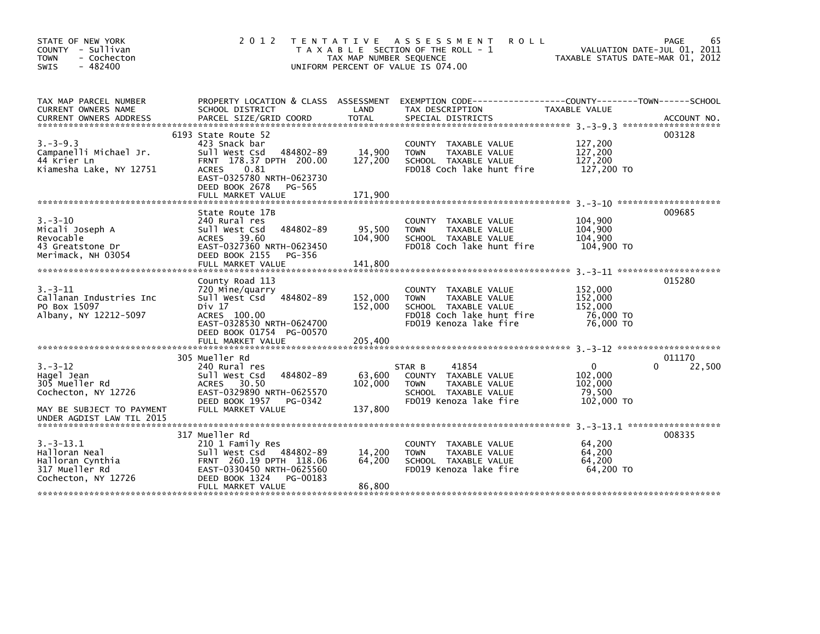| STATE OF NEW YORK<br>COUNTY - Sullivan<br><b>TOWN</b><br>- Cochecton<br>$-482400$<br>SWIS                                      | 2 0 1 2                                                                                                                                                                                             | TAX MAP NUMBER SEQUENCE      | <b>ROLL</b><br>TENTATIVE ASSESSMENT<br>T A X A B L E SECTION OF THE ROLL - 1<br>UNIFORM PERCENT OF VALUE IS 074.00                     | TAXABLE STATUS DATE-MAR 01, 2012                        | 65<br>PAGE<br>VALUATION DATE-JUL 01, 2011 |
|--------------------------------------------------------------------------------------------------------------------------------|-----------------------------------------------------------------------------------------------------------------------------------------------------------------------------------------------------|------------------------------|----------------------------------------------------------------------------------------------------------------------------------------|---------------------------------------------------------|-------------------------------------------|
| TAX MAP PARCEL NUMBER<br>CURRENT OWNERS NAME                                                                                   | PROPERTY LOCATION & CLASS ASSESSMENT<br>SCHOOL DISTRICT                                                                                                                                             | LAND                         | EXEMPTION CODE-----------------COUNTY-------TOWN------SCHOOL<br>TAX DESCRIPTION                                                        | TAXABLE VALUE                                           |                                           |
| $3. -3 - 9.3$<br>Campanelli Michael Jr.<br>44 Krier Ln<br>Kiamesha Lake, NY 12751                                              | 6193 State Route 52<br>423 Snack bar<br>Sull West Csd<br>484802-89<br>FRNT 178.37 DPTH 200.00<br><b>ACRES</b><br>0.81<br>EAST-0325780 NRTH-0623730<br>DEED BOOK 2678<br>PG-565<br>FULL MARKET VALUE | 14,900<br>127,200<br>171,900 | COUNTY TAXABLE VALUE<br><b>TOWN</b><br>TAXABLE VALUE<br>SCHOOL TAXABLE VALUE<br>FD018 Coch lake hunt fire                              | 127,200<br>127,200<br>127.200<br>127,200 TO             | 003128                                    |
| $3 - 3 - 10$<br>Micali Joseph A<br>Revocable<br>43 Greatstone Dr<br>Merimack, NH 03054                                         | State Route 17B<br>240 Rural res<br>Sull West Csd<br>484802-89<br>ACRES 39.60<br>EAST-0327360 NRTH-0623450<br>DEED BOOK 2155<br>PG-356                                                              | 95,500<br>104,900            | COUNTY TAXABLE VALUE<br>TAXABLE VALUE<br><b>TOWN</b><br>SCHOOL TAXABLE VALUE<br>FD018 Coch lake hunt fire                              | 104,900<br>104,900<br>104,900<br>104,900 TO             | 009685                                    |
| $3. - 3 - 11$<br>Callanan Industries Inc<br>PO Box 15097<br>Albany, NY 12212-5097                                              | County Road 113<br>720 Mine/quarry<br>Sull West Csd 484802-89<br>Div 17<br>ACRES 100.00<br>EAST-0328530 NRTH-0624700<br>DEED BOOK 01754 PG-00570                                                    | 152,000<br>152,000           | TAXABLE VALUE<br>COUNTY<br><b>TOWN</b><br>TAXABLE VALUE<br>SCHOOL TAXABLE VALUE<br>FD018 Coch lake hunt fire<br>FD019 Kenoza lake fire | 152,000<br>152,000<br>152,000<br>76,000 TO<br>76,000 TO | 015280                                    |
| $3. - 3 - 12$<br>Hagel Jean<br>305 Mueller Rd<br>Cochecton, NY 12726<br>MAY BE SUBJECT TO PAYMENT<br>UNDER AGDIST LAW TIL 2015 | 305 Mueller Rd<br>240 Rural res<br>484802-89<br>Sull West Csd<br>ACRES 30.50<br>EAST-0329890 NRTH-0625570<br>DEED BOOK 1957<br>PG-0342<br>FULL MARKET VALUE                                         | 63,600<br>102,000<br>137,800 | 41854<br>STAR B<br>COUNTY TAXABLE VALUE<br>TAXABLE VALUE<br><b>TOWN</b><br>SCHOOL TAXABLE VALUE<br>FD019 Kenoza lake fire              | 0<br>102,000<br>102,000<br>79,500<br>102,000 TO         | 011170<br>22,500<br>0                     |
| $3.-3-13.1$<br>Halloran Neal<br>Halloran Cynthia<br>317 Mueller Rd<br>Cochecton, NY 12726                                      | 317 Mueller Rd<br>210 1 Family Res<br>Sull West Csd 484802-89<br>FRNT 260.19 DPTH 118.06<br>EAST-0330450 NRTH-0625560<br>DEED BOOK 1324<br>PG-00183<br>FULL MARKET VALUE                            | 14,200<br>64.200<br>86,800   | TAXABLE VALUE<br>COUNTY<br><b>TOWN</b><br>TAXABLE VALUE<br>SCHOOL TAXABLE VALUE<br>FD019 Kenoza lake fire                              | 64,200<br>64,200<br>64.200<br>64,200 TO                 | 008335                                    |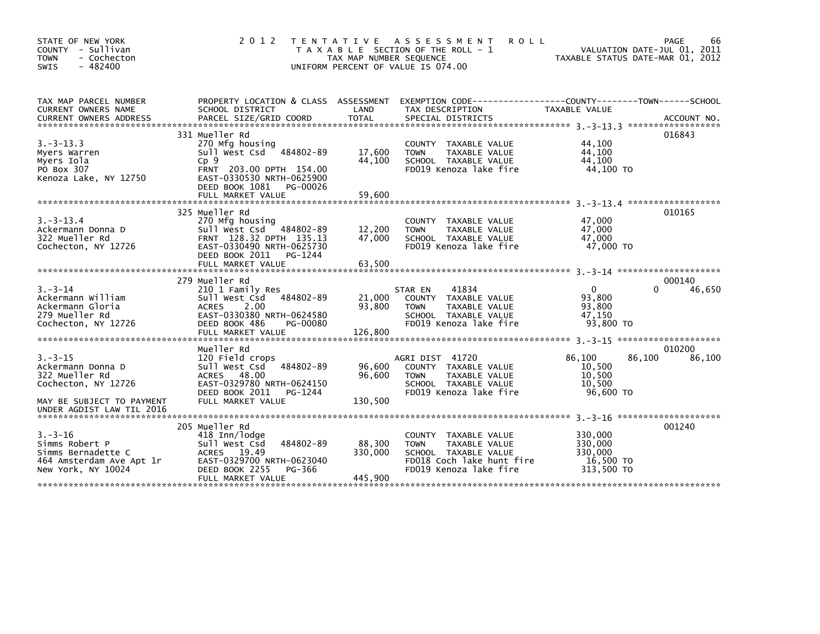| STATE OF NEW YORK<br>COUNTY - Sullivan<br><b>TOWN</b><br>- Cochecton<br>$-482400$<br>SWIS                                            | 2 0 1 2                                                                                                                                                                        | ASSESSMENT<br>T E N T A T I V E<br><b>ROLL</b><br>T A X A B L E SECTION OF THE ROLL - 1<br>TAX MAP NUMBER SEQUENCE<br>UNIFORM PERCENT OF VALUE IS 074.00                      | 66<br>PAGE<br>VALUATION DATE-JUL 01, 2011<br>TAXABLE STATUS DATE-MAR 01, 2012   |
|--------------------------------------------------------------------------------------------------------------------------------------|--------------------------------------------------------------------------------------------------------------------------------------------------------------------------------|-------------------------------------------------------------------------------------------------------------------------------------------------------------------------------|---------------------------------------------------------------------------------|
| TAX MAP PARCEL NUMBER<br>CURRENT OWNERS NAME<br><b>CURRENT OWNERS ADDRESS</b>                                                        | SCHOOL DISTRICT<br>PARCEL SIZE/GRID COORD                                                                                                                                      | PROPERTY LOCATION & CLASS ASSESSMENT EXEMPTION CODE---------------COUNTY-------TOWN------SCHOOL<br>LAND<br>TAX DESCRIPTION<br><b>TOTAL</b><br>SPECIAL DISTRICTS               | TAXABLE VALUE<br>ACCOUNT NO.                                                    |
| $3. -3 - 13.3$<br>Myers Warren<br>Myers Iola<br>PO Box 307<br>Kenoza Lake, NY 12750                                                  | 331 Mueller Rd<br>270 Mfg housing<br>Sull West Csd 484802-89<br>Cp9<br>FRNT 203.00 DPTH 154.00<br>EAST-0330530 NRTH-0625900<br>DEED BOOK 1081<br>PG-00026<br>FULL MARKET VALUE | COUNTY TAXABLE VALUE<br>17,600<br><b>TOWN</b><br>TAXABLE VALUE<br>44,100<br>SCHOOL TAXABLE VALUE<br>FD019 Kenoza lake fire<br>59,600                                          | 016843<br>44.100<br>44.100<br>44,100<br>44.100 TO                               |
| $3. -3 - 13.4$<br>Ackermann Donna D<br>322 Mueller Rd<br>Cochecton, NY 12726                                                         | 325 Mueller Rd<br>270 Mfg housing<br>Sull West Csd<br>484802-89<br>FRNT 128.32 DPTH 135.13<br>EAST-0330490 NRTH-0625730<br>DEED BOOK 2011<br>PG-1244<br>FULL MARKET VALUE      | COUNTY TAXABLE VALUE<br>12,200<br><b>TOWN</b><br>TAXABLE VALUE<br>47,000<br>SCHOOL TAXABLE VALUE<br>FD019 Kenoza lake fire<br>63,500                                          | 010165<br>47,000<br>47.000<br>47,000<br>47,000 TO                               |
| $3. - 3 - 14$<br>Ackermann William<br>Ackermann Gloria<br>279 Mueller Rd<br>Cochecton, NY 12726                                      | 279 Mueller Rd<br>210 1 Family Res<br>Sull West Csd<br>484802-89<br>ACRES<br>2.00<br>EAST-0330380 NRTH-0624580<br>DEED BOOK 486<br>PG-00080                                    | STAR EN<br>41834<br>21,000<br>COUNTY TAXABLE VALUE<br>93,800<br><b>TOWN</b><br>TAXABLE VALUE<br>SCHOOL TAXABLE VALUE<br>FD019 Kenoza lake fire                                | 000140<br>$\Omega$<br>0<br>46,650<br>93,800<br>93,800<br>47.150<br>93,800 TO    |
| $3 - 3 - 15$<br>Ackermann Donna D<br>322 Mueller Rd<br>Cochecton, NY 12726<br>MAY BE SUBJECT TO PAYMENT<br>UNDER AGDIST LAW TIL 2016 | Mueller Rd<br>120 Field crops<br>Sull West Csd<br>484802-89<br>ACRES 48.00<br>EAST-0329780 NRTH-0624150<br>DEED BOOK 2011<br>PG-1244<br>FULL MARKET VALUE                      | AGRI DIST 41720<br>96,600<br>COUNTY TAXABLE VALUE<br>96,600<br><b>TOWN</b><br>TAXABLE VALUE<br>SCHOOL TAXABLE VALUE<br>FD019 Kenoza lake fire<br>130,500                      | 010200<br>86,100<br>86.100<br>86,100<br>10,500<br>10,500<br>10,500<br>96,600 TO |
| $3. - 3 - 16$<br>Simms Robert P<br>Simms Bernadette C<br>464 Amsterdam Ave Apt 1r<br>New York, NY 10024                              | 205 Mueller Rd<br>418 Inn/lodge<br>Sull West Csd<br>484802-89<br><b>ACRES</b><br>19.49<br>EAST-0329700 NRTH-0623040<br>DEED BOOK 2255<br>PG-366<br>FULL MARKET VALUE           | <b>COUNTY</b><br>TAXABLE VALUE<br>88,300<br>TAXABLE VALUE<br><b>TOWN</b><br>330,000<br>SCHOOL TAXABLE VALUE<br>FD018 Coch lake hunt fire<br>FD019 Kenoza lake fire<br>445,900 | 001240<br>330,000<br>330,000<br>330,000<br>16,500 TO<br>313,500 TO              |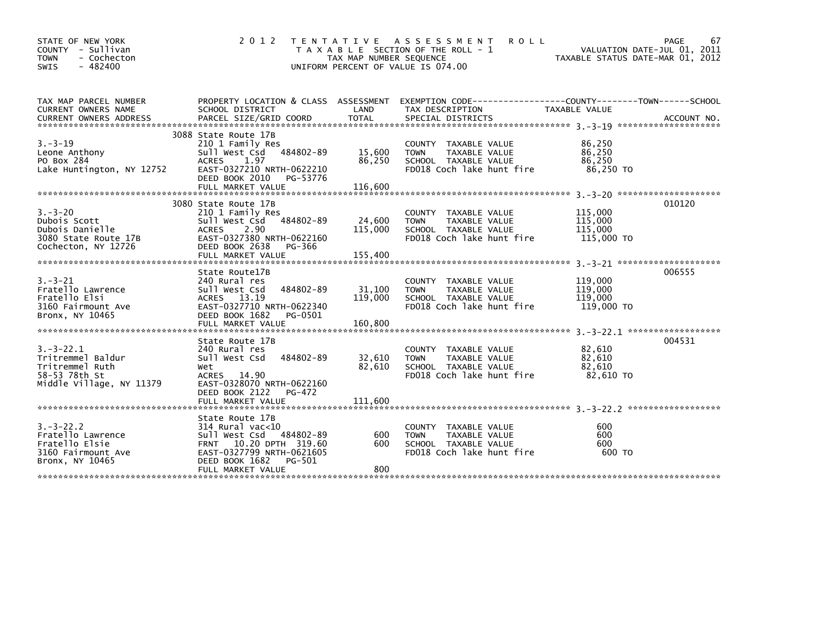| STATE OF NEW YORK<br>COUNTY - Sullivan<br><b>TOWN</b><br>- Cochecton<br>$-482400$<br><b>SWIS</b>    | 2 0 1 2                                                                                                                                                                        | TAX MAP NUMBER SEQUENCE      | TENTATIVE ASSESSMENT<br><b>ROLL</b><br>T A X A B L E SECTION OF THE ROLL - 1<br>UNIFORM PERCENT OF VALUE IS 074.00  | VALUATION DATE-JUL 01, 2011<br>TAXABLE STATUS DATE-MAR 01, 2012 | PAGE<br>67 |
|-----------------------------------------------------------------------------------------------------|--------------------------------------------------------------------------------------------------------------------------------------------------------------------------------|------------------------------|---------------------------------------------------------------------------------------------------------------------|-----------------------------------------------------------------|------------|
| TAX MAP PARCEL NUMBER<br>CURRENT OWNERS NAME                                                        | SCHOOL DISTRICT                                                                                                                                                                | LAND                         | PROPERTY LOCATION & CLASS ASSESSMENT EXEMPTION CODE----------------COUNTY-------TOWN------SCHOOL<br>TAX DESCRIPTION | TAXABLE VALUE                                                   |            |
| $3. - 3 - 19$<br>Leone Anthony<br>PO Box 284<br>Lake Huntington, NY 12752                           | 3088 State Route 17B<br>210 1 Family Res<br>484802-89<br>Sull West Csd<br><b>ACRES</b><br>1.97<br>EAST-0327210 NRTH-0622210<br>DEED BOOK 2010<br>PG-53776<br>FULL MARKET VALUE | 15,600<br>86,250<br>116,600  | COUNTY TAXABLE VALUE<br><b>TOWN</b><br>TAXABLE VALUE<br>SCHOOL TAXABLE VALUE<br>FD018 Coch lake hunt fire           | 86,250<br>86,250<br>86,250<br>86,250 TO                         |            |
| $3. - 3 - 20$<br>Dubois Scott<br>Dubois Danielle<br>3080 State Route 17B<br>Cochecton, NY 12726     | 3080 State Route 17B<br>210 1 Family Res<br>484802-89<br>Sull West Csd<br><b>ACRES</b><br>2.90<br>EAST-0327380 NRTH-0622160<br>DEED BOOK 2638<br>PG-366                        | 24,600<br>115,000            | COUNTY TAXABLE VALUE<br>TAXABLE VALUE<br><b>TOWN</b><br>SCHOOL TAXABLE VALUE<br>FD018 Coch lake hunt fire           | 115,000<br>115,000<br>115,000<br>115,000 TO                     | 010120     |
| $3. - 3 - 21$<br>Fratello Lawrence<br>Fratello Elsi<br>3160 Fairmount Ave<br>Bronx, NY 10465        | State Route17B<br>240 Rural res<br>Sull West Csd<br>484802-89<br>ACRES 13.19<br>EAST-0327710 NRTH-0622340<br>DEED BOOK 1682<br>PG-0501<br>FULL MARKET VALUE                    | 31,100<br>119,000<br>160,800 | COUNTY TAXABLE VALUE<br>TAXABLE VALUE<br><b>TOWN</b><br>SCHOOL TAXABLE VALUE<br>FD018 Coch lake hunt fire           | 119,000<br>119,000<br>119,000<br>119,000 TO                     | 006555     |
| $3. -3 - 22.1$<br>Tritremmel Baldur<br>Tritremmel Ruth<br>58-53 78th St<br>Middle Village, NY 11379 | State Route 17B<br>240 Rural res<br>484802-89<br>Sull West Csd<br>Wet<br><b>ACRES</b><br>- 14.90<br>EAST-0328070 NRTH-0622160<br>DEED BOOK 2122<br>PG-472<br>FULL MARKET VALUE | 32,610<br>82,610<br>111,600  | COUNTY TAXABLE VALUE<br><b>TOWN</b><br>TAXABLE VALUE<br>SCHOOL TAXABLE VALUE<br>FD018 Coch lake hunt fire           | 82,610<br>82,610<br>82,610<br>82,610 TO                         | 004531     |
| $3. - 3 - 22.2$<br>Fratello Lawrence<br>Fratello Elsie<br>3160 Fairmount Ave<br>Bronx, NY 10465     | State Route 17B<br>$314$ Rural vac<10<br>484802-89<br>sull west Csd<br>FRNT 10.20 DPTH 319.60<br>EAST-0327799 NRTH-0621605<br>DEED BOOK 1682<br>PG-501<br>FULL MARKET VALUE    | 600<br>600<br>800            | <b>COUNTY</b><br>TAXABLE VALUE<br><b>TOWN</b><br>TAXABLE VALUE<br>SCHOOL TAXABLE VALUE<br>FD018 Coch lake hunt fire | 600<br>600<br>600<br>600 TO                                     |            |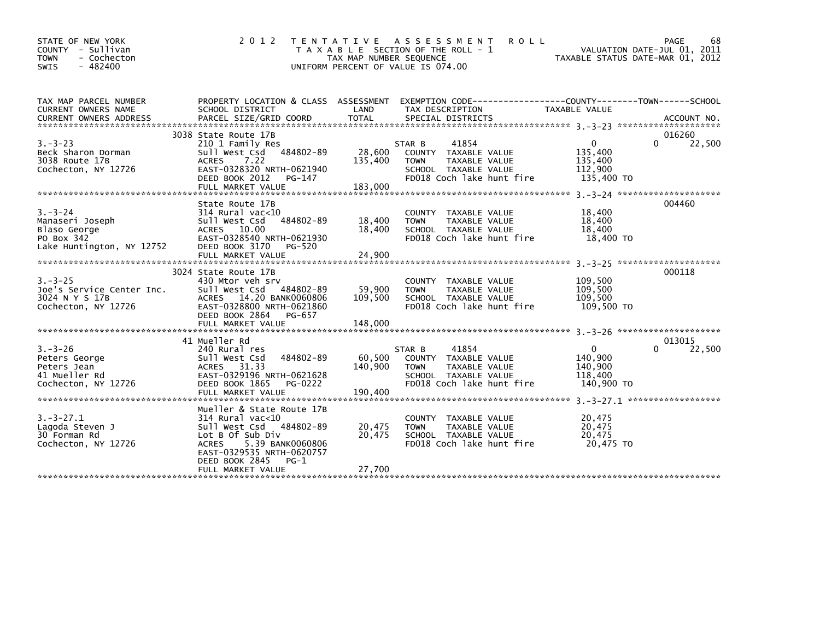| STATE OF NEW YORK<br>COUNTY - Sullivan<br><b>TOWN</b><br>- Cochecton<br>$-482400$<br><b>SWIS</b> | 2 0 1 2                                                                                                                                                      | T E N T A T I V E<br>TAX MAP NUMBER SEQUENCE<br>UNIFORM PERCENT OF VALUE IS 074.00 | A S S E S S M E N T<br>T A X A B L E SECTION OF THE ROLL - 1                                                                 | <b>ROLL</b><br>TAXABLE STATUS DATE-MAR 01, 2012                                      | 68<br>PAGE<br>VALUATION DATE-JUL 01, 2011 |
|--------------------------------------------------------------------------------------------------|--------------------------------------------------------------------------------------------------------------------------------------------------------------|------------------------------------------------------------------------------------|------------------------------------------------------------------------------------------------------------------------------|--------------------------------------------------------------------------------------|-------------------------------------------|
| TAX MAP PARCEL NUMBER<br>CURRENT OWNERS NAME                                                     | PROPERTY LOCATION & CLASS ASSESSMENT<br>SCHOOL DISTRICT                                                                                                      | LAND                                                                               | TAX DESCRIPTION                                                                                                              | EXEMPTION        CODE-----------------COUNTY-------TOWN------SCHOOL<br>TAXABLE VALUE |                                           |
|                                                                                                  | 3038 State Route 17B                                                                                                                                         |                                                                                    |                                                                                                                              |                                                                                      | 016260                                    |
| $3. - 3 - 23$<br>Beck Sharon Dorman<br>3038 Route 17B<br>Cochecton, NY 12726                     | 210 1 Family Res<br>Sull West Csd 484802-89<br>7.22<br><b>ACRES</b><br>EAST-0328320 NRTH-0621940<br>DEED BOOK 2012<br>PG-147                                 | 28,600<br>135,400                                                                  | 41854<br>STAR B<br>COUNTY TAXABLE VALUE<br><b>TOWN</b><br>TAXABLE VALUE<br>SCHOOL TAXABLE VALUE<br>FD018 Coch lake hunt fire | $\mathbf{0}$<br>135,400<br>135,400<br>112,900<br>135,400 TO                          | 22,500<br>0                               |
|                                                                                                  |                                                                                                                                                              |                                                                                    |                                                                                                                              |                                                                                      |                                           |
| $3. - 3 - 24$<br>Manaseri Joseph<br>Blaso George<br>PO Box 342                                   | State Route 17B<br>314 Rural vac<10<br>484802-89<br>Sull West Csd<br>ACRES 10.00<br>EAST-0328540 NRTH-0621930                                                | 18,400<br>18,400                                                                   | COUNTY TAXABLE VALUE<br>TAXABLE VALUE<br><b>TOWN</b><br>SCHOOL TAXABLE VALUE<br>FD018 Coch lake hunt fire                    | 18,400<br>18,400<br>18,400<br>18,400 TO                                              | 004460                                    |
| Lake Huntington, NY 12752                                                                        | DEED BOOK 3170<br>PG-520                                                                                                                                     |                                                                                    |                                                                                                                              |                                                                                      |                                           |
|                                                                                                  |                                                                                                                                                              |                                                                                    |                                                                                                                              |                                                                                      |                                           |
|                                                                                                  | 3024 State Route 17B                                                                                                                                         |                                                                                    |                                                                                                                              |                                                                                      | 000118                                    |
| $3. - 3 - 25$<br>Joe's Service Center Inc.<br>3024 N Y S 17B<br>Cochecton, NY 12726              | 430 Mtor veh srv<br>Sull West Csd 484802-89<br>ACRES 14.20 BANK0060806<br>EAST-0328800 NRTH-0621860<br>DEED BOOK 2864<br>PG-657                              | 59,900<br>109,500                                                                  | COUNTY TAXABLE VALUE<br>TAXABLE VALUE<br><b>TOWN</b><br>SCHOOL TAXABLE VALUE<br>FD018 Coch lake hunt fire                    | 109,500<br>109,500<br>109,500<br>109.500 TO                                          |                                           |
|                                                                                                  | FULL MARKET VALUE                                                                                                                                            | 148,000                                                                            |                                                                                                                              |                                                                                      |                                           |
|                                                                                                  |                                                                                                                                                              |                                                                                    |                                                                                                                              |                                                                                      |                                           |
| $3. - 3 - 26$<br>Peters George<br>Peters Jean<br>41 Mueller Rd<br>Cochecton, NY 12726            | 41 Mueller Rd<br>240 Rural res<br>484802-89<br>Sull West Csd<br>ACRES 31.33<br>EAST-0329196 NRTH-0621628<br>DEED BOOK 1865<br>PG-0222<br>FULL MARKET VALUE   | 60,500<br>140,900<br>190.400                                                       | 41854<br>STAR B<br>COUNTY TAXABLE VALUE<br>TAXABLE VALUE<br><b>TOWN</b><br>SCHOOL TAXABLE VALUE<br>FD018 Coch lake hunt fire | $\mathbf{0}$<br>140.900<br>140,900<br>118,400<br>140,900 TO                          | 013015<br>$\Omega$<br>22,500              |
|                                                                                                  | Mueller & State Route 17B                                                                                                                                    |                                                                                    |                                                                                                                              |                                                                                      |                                           |
| $3. - 3 - 27.1$<br>Lagoda Steven J<br>30 Forman Rd<br>Cochecton, NY 12726                        | 314 Rural vac<10<br>Sull West Csd 484802-89<br>Lot B Of Sub Div<br>5.39 BANK0060806<br><b>ACRES</b><br>EAST-0329535 NRTH-0620757<br>DEED BOOK 2845<br>$PG-1$ | 20,475<br>20.475                                                                   | COUNTY TAXABLE VALUE<br><b>TOWN</b><br>TAXABLE VALUE<br>SCHOOL TAXABLE VALUE<br>FD018 Coch lake hunt fire                    | 20,475<br>20,475<br>20.475<br>20.475 TO                                              |                                           |
|                                                                                                  | FULL MARKET VALUE                                                                                                                                            | 27,700                                                                             |                                                                                                                              |                                                                                      |                                           |
|                                                                                                  |                                                                                                                                                              |                                                                                    |                                                                                                                              |                                                                                      |                                           |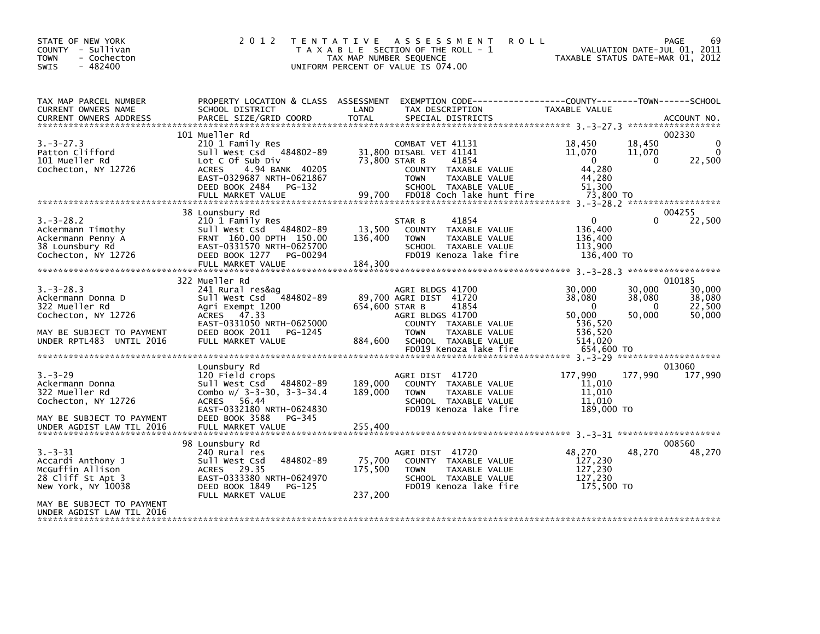| STATE OF NEW YORK<br>COUNTY - Sullivan<br><b>TOWN</b><br>- Cochecton<br>$-482400$<br><b>SWIS</b>          | 2 0 1 2                                                                                                                                                                   | T E N T A T I V E<br>TAX MAP NUMBER SEQUENCE | A S S E S S M E N T<br><b>ROLL</b><br>T A X A B L E SECTION OF THE ROLL - 1<br>UNIFORM PERCENT OF VALUE IS 074.00                                                 | TAXABLE STATUS DATE-MAR 01, 2012                                            | VALUATION DATE-JUL 01, 2011            | PAGE<br>69                           |
|-----------------------------------------------------------------------------------------------------------|---------------------------------------------------------------------------------------------------------------------------------------------------------------------------|----------------------------------------------|-------------------------------------------------------------------------------------------------------------------------------------------------------------------|-----------------------------------------------------------------------------|----------------------------------------|--------------------------------------|
| TAX MAP PARCEL NUMBER<br>CURRENT OWNERS NAME<br><b>CURRENT OWNERS ADDRESS</b>                             | PROPERTY LOCATION & CLASS ASSESSMENT<br>SCHOOL DISTRICT<br>PARCEL SIZE/GRID COORD                                                                                         | LAND<br><b>TOTAL</b>                         | EXEMPTION CODE------------------COUNTY--------TOWN------SCHOOL<br>TAX DESCRIPTION<br>SPECIAL DISTRICTS                                                            | TAXABLE VALUE                                                               |                                        | ACCOUNT NO.                          |
|                                                                                                           | 101 Mueller Rd                                                                                                                                                            |                                              |                                                                                                                                                                   |                                                                             |                                        | 002330                               |
| $3. -3 - 27.3$<br>Patton Clifford<br>101 Mueller Rd<br>Cochecton, NY 12726                                | 210 1 Family Res<br>Sull West Csd 484802-89<br>Lot C Of Sub Div<br>ACRES<br>4.94 BANK 40205<br>EAST-0329687 NRTH-0621867<br>DEED BOOK 2484<br>PG-132<br>FULL MARKET VALUE | 73,800 STAR B<br>99,700                      | COMBAT VET 41131<br>31,800 DISABL VET 41141<br>41854<br>COUNTY TAXABLE VALUE<br><b>TOWN</b><br>TAXABLE VALUE<br>SCHOOL TAXABLE VALUE<br>FD018 Coch lake hunt fire | 18,450<br>11,070<br>$\mathbf{0}$<br>44,280<br>44,280<br>51.300<br>73,800 TO | 18,450<br>11,070<br>$\Omega$           | 0<br>$\mathbf{0}$<br>22,500          |
|                                                                                                           |                                                                                                                                                                           |                                              |                                                                                                                                                                   |                                                                             |                                        |                                      |
| $3. - 3 - 28.2$<br>Ackermann Timothy<br>Ackermann Penny A<br>38 Lounsbury Rd<br>Cochecton, NY 12726       | 38 Lounsbury Rd<br>210 1 Family Res<br>Sull West Csd 484802-89<br>FRNT 160.00 DPTH 150.00<br>EAST-0331570 NRTH-0625700<br>DEED BOOK 1277 PG-00294<br>FULL MARKET VALUE    | 13,500<br>136,400<br>184,300                 | 41854<br>STAR B<br>COUNTY TAXABLE VALUE<br><b>TOWN</b><br>TAXABLE VALUE<br>SCHOOL TAXABLE VALUE<br>FD019 Kenoza lake fire                                         | $\mathbf{0}$<br>136,400<br>136,400<br>113,900<br>136,400 TO                 | 0                                      | 004255<br>22,500                     |
|                                                                                                           | 322 Mueller Rd                                                                                                                                                            |                                              |                                                                                                                                                                   |                                                                             |                                        | 010185                               |
| $3. -3 - 28.3$<br>Ackermann Donna D<br>322 Mueller Rd<br>Cochecton, NY 12726<br>MAY BE SUBJECT TO PAYMENT | 241 Rural res&ag<br>Sull West Csd 484802-89<br>Agri Exempt 1200<br>ACRES 47.33<br>EAST-0331050 NRTH-0625000<br>DEED BOOK 2011<br>PG-1245                                  | 654.600 STAR B                               | AGRI BLDGS 41700<br>89,700 AGRI DIST 41720<br>41854<br>AGRI BLDGS 41700<br>COUNTY TAXABLE VALUE<br><b>TOWN</b><br>TAXABLE VALUE                                   | 30,000<br>38,080<br>$\Omega$<br>50,000<br>536,520<br>536,520                | 30,000<br>38,080<br>$\Omega$<br>50.000 | 30,000<br>38,080<br>22,500<br>50,000 |
| UNDER RPTL483 UNTIL 2016                                                                                  | FULL MARKET VALUE                                                                                                                                                         | 884,600                                      | SCHOOL TAXABLE VALUE                                                                                                                                              | 514.020                                                                     |                                        |                                      |
|                                                                                                           |                                                                                                                                                                           |                                              | FD019 Kenoza lake fire                                                                                                                                            | 654,600 TO                                                                  |                                        |                                      |
|                                                                                                           | Lounsbury Rd                                                                                                                                                              |                                              |                                                                                                                                                                   |                                                                             |                                        | 013060                               |
| $3. - 3 - 29$<br>Ackermann Donna<br>322 Mueller Rd<br>Cochecton, NY 12726                                 | 120 Field crops<br>Sull West Csd 484802-89<br>Combo $w/$ 3-3-30, 3-3-34.4<br><b>ACRES</b><br>56.44<br>EAST-0332180 NRTH-0624830                                           | 189,000<br>189,000                           | AGRI DIST 41720<br>COUNTY TAXABLE VALUE<br>TAXABLE VALUE<br><b>TOWN</b><br>SCHOOL TAXABLE VALUE<br>FD019 Kenoza lake fire                                         | 177,990<br>11,010<br>11,010<br>11,010<br>189,000 TO                         | 177,990                                | 177,990                              |
| MAY BE SUBJECT TO PAYMENT<br>UNDER AGDIST LAW TIL 2016                                                    | DEED BOOK 3588<br>PG-345<br>FULL MARKET VALUE                                                                                                                             | 255,400                                      |                                                                                                                                                                   |                                                                             |                                        |                                      |
|                                                                                                           | 98 Lounsbury Rd                                                                                                                                                           |                                              |                                                                                                                                                                   |                                                                             |                                        | 008560                               |
| $3. - 3 - 31$<br>Accardi Anthony J<br>McGuffin Allison<br>28 Cliff St Apt 3<br>New York, NY 10038         | 240 Rural res<br>484802-89<br>Sull West Csd<br>ACRES 29.35<br>EAST-0333380 NRTH-0624970<br>DEED BOOK 1849<br>PG-125                                                       | 75,700<br>175,500                            | AGRI DIST 41720<br>COUNTY TAXABLE VALUE<br><b>TOWN</b><br>TAXABLE VALUE<br>SCHOOL TAXABLE VALUE<br>FD019 Kenoza lake fire                                         | 48.270<br>127,230<br>127,230<br>127,230<br>175,500 TO                       | 48,270                                 | 48,270                               |
|                                                                                                           | FULL MARKET VALUE                                                                                                                                                         | 237,200                                      |                                                                                                                                                                   |                                                                             |                                        |                                      |
| MAY BE SUBJECT TO PAYMENT<br>UNDER AGDIST LAW TIL 2016                                                    |                                                                                                                                                                           |                                              |                                                                                                                                                                   |                                                                             |                                        |                                      |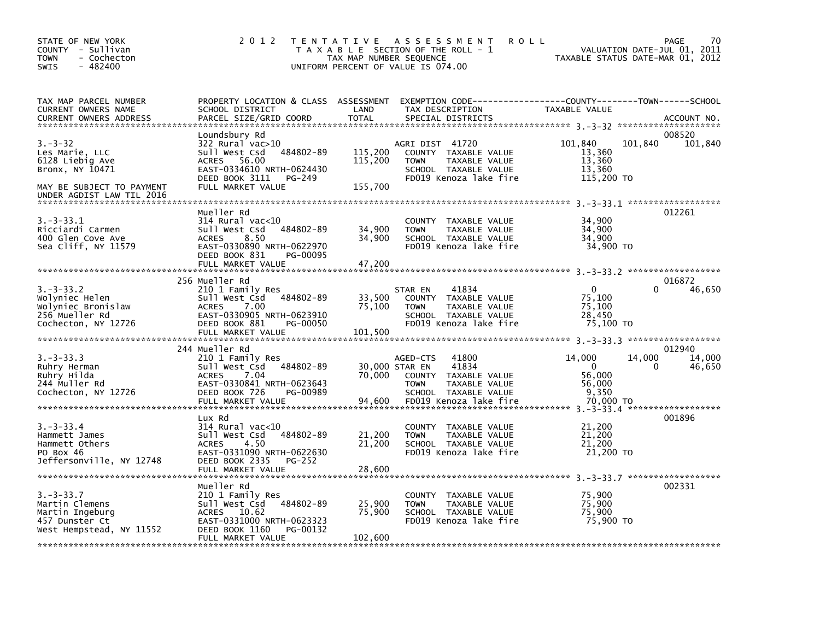| STATE OF NEW YORK<br>COUNTY - Sullivan<br>- Cochecton<br>TOWN<br>$-482400$<br><b>SWIS</b>                                       | 2 0 1 2                                                                                                                                                                    | TENTATIVE ASSESSMENT<br>T A X A B L E SECTION OF THE ROLL - 1<br>TAX MAP NUMBER SEQUENCE<br>UNIFORM PERCENT OF VALUE IS 074.00                                                       | 70<br><b>ROLL</b><br>PAGE<br>VALUATION DATE-JUL 01, 2011<br>TAXABLE STATUS DATE-MAR 01, 2012                                   |
|---------------------------------------------------------------------------------------------------------------------------------|----------------------------------------------------------------------------------------------------------------------------------------------------------------------------|--------------------------------------------------------------------------------------------------------------------------------------------------------------------------------------|--------------------------------------------------------------------------------------------------------------------------------|
| TAX MAP PARCEL NUMBER<br>CURRENT OWNERS NAME<br><b>CURRENT OWNERS ADDRESS</b>                                                   | SCHOOL DISTRICT<br>PARCEL SIZE/GRID COORD                                                                                                                                  | LAND<br>TAX DESCRIPTION<br><b>TOTAL</b><br>SPECIAL DISTRICTS                                                                                                                         | PROPERTY LOCATION & CLASS ASSESSMENT EXEMPTION CODE---------------COUNTY-------TOWN-----SCHOOL<br>TAXABLE VALUE<br>ACCOUNT NO. |
| $3. - 3 - 32$<br>Les Marie, LLC<br>6128 Liebig Ave<br>Bronx, NY 10471<br>MAY BE SUBJECT TO PAYMENT<br>UNDER AGDIST LAW TIL 2016 | Loundsbury Rd<br>322 Rural vac>10<br>Sull West Csd<br>484802-89<br>ACRES 56.00<br>EAST-0334610 NRTH-0624430<br>DEED BOOK 3111 PG-249<br>FULL MARKET VALUE                  | AGRI DIST 41720<br>115,200<br>COUNTY TAXABLE VALUE<br>115,200<br><b>TOWN</b><br>TAXABLE VALUE<br>SCHOOL TAXABLE VALUE<br>FD019 Kenoza lake fire<br>155,700                           | 008520<br>101,840<br>101.840<br>101,840<br>13,360<br>13,360<br>13,360<br>115,200 TO                                            |
| $3. -3 - 33.1$<br>Ricciardi Carmen<br>400 Glen Cove Ave<br>Sea Cliff, NY 11579                                                  | Mueller Rd<br>$314$ Rural vac<10<br>Sull West Csd<br>484802-89<br>8.50<br><b>ACRES</b><br>EAST-0330890 NRTH-0622970<br>DEED BOOK 831<br>PG-00095<br>FULL MARKET VALUE      | COUNTY TAXABLE VALUE<br>34,900<br><b>TOWN</b><br>TAXABLE VALUE<br>34,900<br>SCHOOL TAXABLE VALUE<br>FD019 Kenoza lake fire<br>47,200                                                 | 012261<br>34,900<br>34,900<br>34,900<br>34,900 TO                                                                              |
|                                                                                                                                 |                                                                                                                                                                            |                                                                                                                                                                                      |                                                                                                                                |
| $3. -3 - 33.2$<br>Wolyniec Helen<br>Wolyniec Bronislaw<br>256 Mueller Rd<br>Cochecton, NY 12726                                 | 256 Mueller Rd<br>210 1 Family Res<br>Sull West Csd<br>484802-89<br><b>ACRES</b><br>7.00<br>EAST-0330905 NRTH-0623910<br>DEED BOOK 881<br>PG-00050<br>FULL MARKET VALUE    | 41834<br>STAR EN<br>33,500<br>TAXABLE VALUE<br><b>COUNTY</b><br>75,100<br><b>TOWN</b><br>TAXABLE VALUE<br>SCHOOL TAXABLE VALUE<br>FD019 Kenoza lake fire<br>101,500                  | 016872<br>0<br>46,650<br>75,100<br>75,100<br>28,450<br>75,100 TO                                                               |
| $3. -3 - 33.3$<br>Ruhry Herman<br>Ruhry Hilda<br>244 Muller Rd<br>Cochecton, NY 12726                                           | 244 Mueller Rd<br>210 1 Family Res<br>484802-89<br>Sull West Csd<br><b>ACRES</b><br>7.04<br>EAST-0330841 NRTH-0623643<br>DEED BOOK 726<br>PG-00989<br>FULL MARKET VALUE    | 41800<br>AGED-CTS<br>30,000 STAR EN<br>41834<br>70,000<br><b>COUNTY</b><br>TAXABLE VALUE<br><b>TOWN</b><br>TAXABLE VALUE<br>SCHOOL TAXABLE VALUE<br>FD019 Kenoza lake fire<br>94,600 | 012940<br>14,000<br>14,000<br>14,000<br>$\Omega$<br>46,650<br>$\Omega$<br>56,000<br>56,000<br>9,350<br>70.000 TO               |
| $3. -3 - 33.4$<br>Hammett James<br>Hammett Others<br>PO Box 46<br>Jeffersonville, NY 12748                                      | Lux Rd<br>$314$ Rural vac< $10$<br>484802-89<br>Sull West Csd<br>4.50<br><b>ACRES</b><br>EAST-0331090 NRTH-0622630<br>DEED BOOK 2335<br><b>PG-252</b><br>FULL MARKET VALUE | COUNTY TAXABLE VALUE<br>21,200<br><b>TOWN</b><br>TAXABLE VALUE<br>21,200<br>SCHOOL TAXABLE VALUE<br>FD019 Kenoza lake fire<br>28,600                                                 | 001896<br>21,200<br>21,200<br>21,200<br>21,200 TO                                                                              |
| $3. -3 - 33.7$<br>Martin Clemens<br>Martin Ingeburg<br>457 Dunster Ct<br>West Hempstead, NY 11552                               | Mueller Rd<br>210 1 Family Res<br>484802-89<br>Sull West Csd<br>ACRES 10.62<br>EAST-0331000 NRTH-0623323<br>DEED BOOK 1160<br>PG-00132<br>FULL MARKET VALUE                | COUNTY TAXABLE VALUE<br>25,900<br><b>TOWN</b><br>TAXABLE VALUE<br>75,900<br>SCHOOL TAXABLE VALUE<br>FD019 Kenoza lake fire<br>102,600                                                | 002331<br>75,900<br>75,900<br>75,900<br>75,900 TO                                                                              |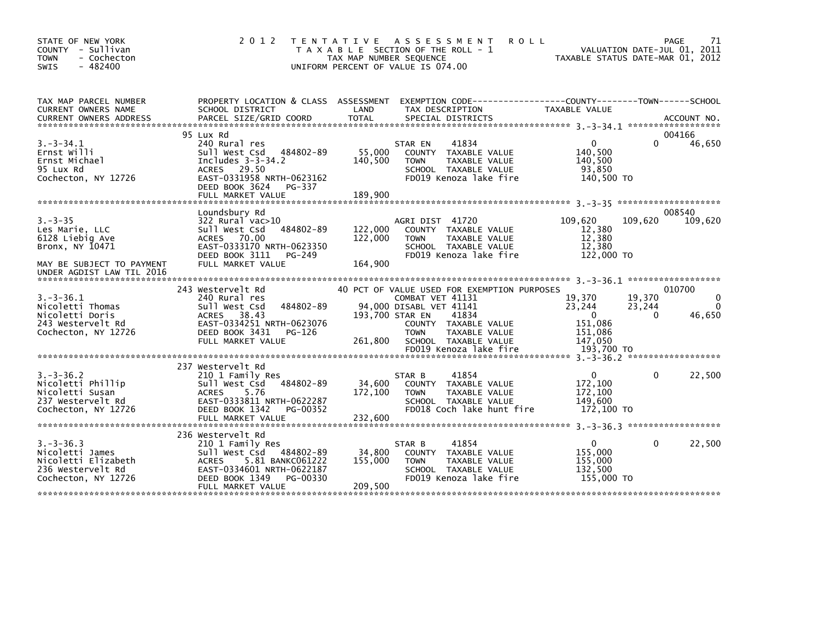| STATE OF NEW YORK<br>- Sullivan<br><b>COUNTY</b><br>- Cochecton<br><b>TOWN</b><br>$-482400$<br><b>SWIS</b> | 2 0 1 2<br>T E N T A T I V E                                                                                                                                                         | TAX MAP NUMBER SEQUENCE      | A S S E S S M E N T<br><b>ROLL</b><br>T A X A B L E SECTION OF THE ROLL - 1<br>UNIFORM PERCENT OF VALUE IS 074.00                                              | TAXABLE STATUS DATE-MAR 01, 2012                                  | PAGE<br>VALUATION DATE-JUL 01, 2011 | 71                                 |
|------------------------------------------------------------------------------------------------------------|--------------------------------------------------------------------------------------------------------------------------------------------------------------------------------------|------------------------------|----------------------------------------------------------------------------------------------------------------------------------------------------------------|-------------------------------------------------------------------|-------------------------------------|------------------------------------|
| TAX MAP PARCEL NUMBER<br>CURRENT OWNERS NAME<br><b>CURRENT OWNERS ADDRESS</b>                              | SCHOOL DISTRICT                                                                                                                                                                      | LAND                         | PROPERTY LOCATION & CLASS ASSESSMENT EXEMPTION CODE---------------COUNTY-------TOWN------SCHOOL<br>TAX DESCRIPTION                                             | TAXABLE VALUE                                                     |                                     |                                    |
|                                                                                                            | 95 Lux Rd                                                                                                                                                                            |                              |                                                                                                                                                                |                                                                   | 004166                              |                                    |
| $3. -3 - 34.1$<br>Ernst Willi<br>Ernst Michael<br>95 Lux Rd<br>Cochecton, NY 12726                         | 240 Rural res<br>Sull West Csd 484802-89<br>Includes $3-3-34.2$<br>29.50<br><b>ACRES</b><br>EAST-0331958 NRTH-0623162<br>DEED BOOK 3624<br>PG-337<br>FULL MARKET VALUE               | 55,000<br>140,500<br>189,900 | 41834<br>STAR EN<br><b>COUNTY</b><br>TAXABLE VALUE<br>TAXABLE VALUE<br><b>TOWN</b><br>SCHOOL TAXABLE VALUE<br>FD019 Kenoza lake fire                           | 0<br>140.500<br>140.500<br>93,850<br>140,500 TO                   | 0                                   | 46,650                             |
|                                                                                                            |                                                                                                                                                                                      |                              |                                                                                                                                                                |                                                                   |                                     |                                    |
|                                                                                                            | Loundsbury Rd                                                                                                                                                                        |                              |                                                                                                                                                                |                                                                   | 008540                              |                                    |
| $3. - 3 - 35$<br>Les Marie, LLC<br>6128 Liebig Ave<br>Bronx, NY 10471                                      | $322$ Rural vac $>10$<br>sull west Csd<br>484802-89<br>ACRES 70.00<br>EAST-0333170 NRTH-0623350<br>DEED BOOK 3111<br>PG-249                                                          | 122,000<br>122,000           | AGRI DIST 41720<br>COUNTY TAXABLE VALUE<br><b>TOWN</b><br>TAXABLE VALUE<br>SCHOOL TAXABLE VALUE<br>FD019 Kenoza lake fire                                      | 109,620<br>12,380<br>12,380<br>12,380<br>122,000 TO               | 109,620                             | 109,620                            |
| MAY BE SUBJECT TO PAYMENT<br>UNDER AGDIST LAW TIL 2016                                                     | FULL MARKET VALUE                                                                                                                                                                    | 164,900                      |                                                                                                                                                                |                                                                   |                                     |                                    |
|                                                                                                            | 243 Westervelt Rd                                                                                                                                                                    |                              | 40 PCT OF VALUE USED FOR EXEMPTION PURPOSES                                                                                                                    |                                                                   | 010700                              |                                    |
| $3.-3-36.1$<br>Nicoletti Thomas<br>Nicoletti Doris<br>243 Westervelt Rd<br>Cochecton, NY 12726             | 240 Rural res<br>484802-89<br>Sull West Csd<br>ACRES<br>38.43<br>EAST-0334251 NRTH-0623076<br>DEED BOOK 3431<br>PG-126<br>FULL MARKET VALUE                                          | 193,700 STAR EN<br>261,800   | COMBAT VET 41131<br>94,000 DISABL VET 41141<br>41834<br>COUNTY TAXABLE VALUE<br><b>TOWN</b><br>TAXABLE VALUE<br>SCHOOL TAXABLE VALUE<br>FD019 Kenoza lake fire | 19,370<br>23,244<br>$\mathbf{0}$<br>151,086<br>151,086<br>147,050 | 19,370<br>23,244<br>0               | $\mathbf{0}$<br>$\Omega$<br>46,650 |
|                                                                                                            |                                                                                                                                                                                      |                              |                                                                                                                                                                | 193,700 TO                                                        |                                     |                                    |
| $3. -3 - 36.2$<br>Nicoletti Phillip<br>Nicoletti Susan<br>237 Westervelt Rd<br>Cochecton, NY 12726         | 237 Westervelt Rd<br>210 1 Family Res<br>Sull West Csd 484802-89<br>5.76<br><b>ACRES</b><br>EAST-0333811 NRTH-0622287<br>DEED BOOK 1342<br>PG-00352<br>FULL MARKET VALUE             | 34,600<br>172,100<br>232,600 | 41854<br>STAR B<br>COUNTY TAXABLE VALUE<br>TAXABLE VALUE<br><b>TOWN</b><br>SCHOOL TAXABLE VALUE<br>FD018 Coch lake hunt fire                                   | $\mathbf{0}$<br>172,100<br>172,100<br>149.600<br>172,100 TO       | 0                                   | 22,500                             |
|                                                                                                            |                                                                                                                                                                                      |                              |                                                                                                                                                                |                                                                   |                                     |                                    |
| $3. -3 - 36.3$<br>Nicoletti James<br>Nicoletti Elizabeth<br>236 Westervelt Rd<br>Cochecton, NY 12726       | 236 Westervelt Rd<br>210 1 Family Res<br>Sull West Csd 484802-89<br><b>ACRES</b><br>5.81 BANKC061222<br>EAST-0334601 NRTH-0622187<br>DEED BOOK 1349<br>PG-00330<br>FULL MARKET VALUE | 34,800<br>155,000<br>209,500 | 41854<br>STAR B<br>COUNTY TAXABLE VALUE<br><b>TOWN</b><br>TAXABLE VALUE<br>SCHOOL TAXABLE VALUE<br>FD019 Kenoza lake fire                                      | $\mathbf{0}$<br>155,000<br>155,000<br>132,500<br>155,000 TO       | 0                                   | 22,500                             |
|                                                                                                            |                                                                                                                                                                                      |                              |                                                                                                                                                                |                                                                   |                                     |                                    |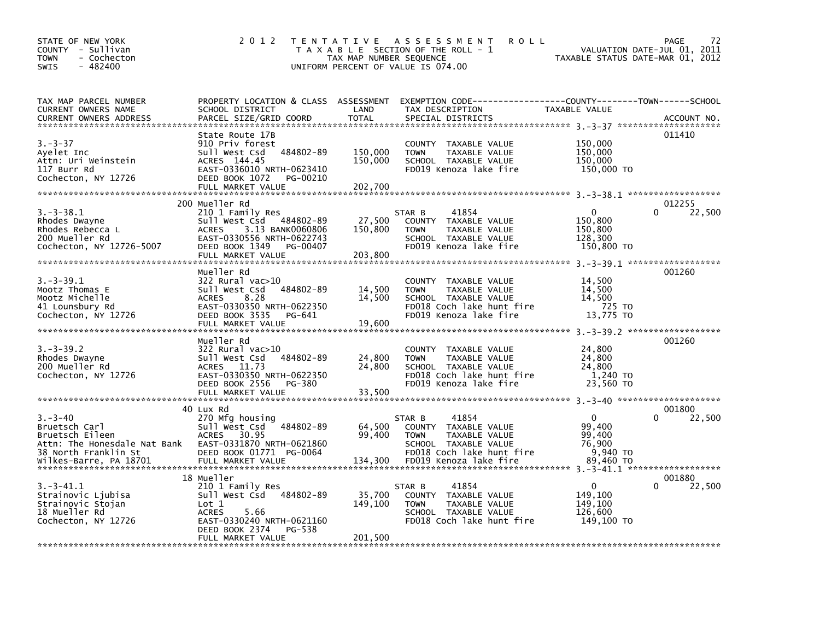| STATE OF NEW YORK<br>COUNTY - Sullivan<br>- Cochecton<br>TOWN<br>$-482400$<br><b>SWIS</b>      | 2 0 1 2                                                                                                                                                                           | T E N T A T I V E<br>TAX MAP NUMBER SEQUENCE | A S S E S S M E N T<br><b>ROLL</b><br>T A X A B L E SECTION OF THE ROLL - 1<br>UNIFORM PERCENT OF VALUE IS 074.00                   | TAXABLE STATUS DATE-MAR 01, 2012                    | 72<br><b>PAGE</b><br>VALUATION DATE-JUL 01, 2011 |
|------------------------------------------------------------------------------------------------|-----------------------------------------------------------------------------------------------------------------------------------------------------------------------------------|----------------------------------------------|-------------------------------------------------------------------------------------------------------------------------------------|-----------------------------------------------------|--------------------------------------------------|
| TAX MAP PARCEL NUMBER<br>CURRENT OWNERS NAME<br><b>CURRENT OWNERS ADDRESS</b>                  | PROPERTY LOCATION & CLASS ASSESSMENT<br>SCHOOL DISTRICT<br>PARCEL SIZE/GRID COORD                                                                                                 | LAND<br><b>TOTAL</b>                         | EXEMPTION CODE-----------------COUNTY-------TOWN------SCHOOL<br>TAX DESCRIPTION<br>SPECIAL DISTRICTS                                | TAXABLE VALUE                                       | ACCOUNT NO.                                      |
| $3. - 3 - 37$<br>Ayelet Inc<br>Attn: Uri Weinstein<br>117 Burr Rd<br>Cochecton, NY 12726       | State Route 17B<br>910 Priv forest<br>Sull West Csd<br>484802-89<br>ACRES 144.45<br>EAST-0336010 NRTH-0623410<br>DEED BOOK 1072<br>PG-00210<br>FULL MARKET VALUE                  | 150,000<br>150,000<br>202,700                | COUNTY TAXABLE VALUE<br>TAXABLE VALUE<br><b>TOWN</b><br>SCHOOL TAXABLE VALUE<br>FD019 Kenoza lake fire                              | 150,000<br>150,000<br>150,000<br>150,000 TO         | 011410                                           |
| $3.-3-38.1$<br>Rhodes Dwayne<br>Rhodes Rebecca L<br>200 Mueller Rd<br>Cochecton, NY 12726-5007 | 200 Mueller Rd<br>210 1 Family Res<br>Sull West Csd 484802-89<br>3.13 BANK0060806<br><b>ACRES</b><br>EAST-0330556 NRTH-0622743<br>DEED BOOK 1349<br>PG-00407<br>FULL MARKET VALUE | 27,500<br>150,800<br>203,800                 | 41854<br>STAR B<br>COUNTY TAXABLE VALUE<br>TAXABLE VALUE<br><b>TOWN</b><br>SCHOOL TAXABLE VALUE<br>FD019 Kenoza lake fire           | 0<br>150,800<br>150,800<br>128,300<br>150,800 TO    | 012255<br>0<br>22,500                            |
| $3.-3-39.1$<br>Mootz Thomas E<br>Mootz Michelle<br>41 Lounsbury Rd<br>Cochecton, NY 12726      | Mueller Rd<br>322 Rural vac>10<br>Sull West Csd<br>484802-89<br>8.28<br><b>ACRES</b><br>EAST-0330350 NRTH-0622350<br>DEED BOOK 3535<br>PG-641<br>FULL MARKET VALUE                | 14,500<br>14,500<br>19,600                   | COUNTY TAXABLE VALUE<br><b>TOWN</b><br>TAXABLE VALUE<br>SCHOOL TAXABLE VALUE<br>FD018 Coch lake hunt fire<br>FD019 Kenoza lake fire | 14,500<br>14,500<br>14,500<br>725 TO<br>13,775 TO   | 001260                                           |
| $3. -3 - 39.2$<br>Rhodes Dwayne<br>200 Mueller Rd<br>Cochecton, NY 12726                       | Mueller Rd<br>322 Rural vac>10<br>Sull West Csd<br>484802-89<br>ACRES 11.73<br>EAST-0330350 NRTH-0622350<br>DEED BOOK 2556<br>PG-380<br>FULL MARKET VALUE                         | 24,800<br>24,800<br>33,500                   | COUNTY TAXABLE VALUE<br><b>TOWN</b><br>TAXABLE VALUE<br>SCHOOL TAXABLE VALUE<br>FD018 Coch lake hunt fire<br>FD019 Kenoza lake fire | 24,800<br>24,800<br>24,800<br>1,240 TO<br>23,560 TO | 001260                                           |
| $3 - 3 - 40$<br>Bruetsch Carl<br>Bruetsch Eileen<br>Attn: The Honesdale Nat Bank               | 40 Lux Rd<br>270 Mfg housing<br>484802-89<br>Sull West Csd<br>30.95<br><b>ACRES</b><br>EAST-0331870 NRTH-0621860                                                                  | 64,500<br>99,400                             | 41854<br>STAR B<br>COUNTY TAXABLE VALUE<br><b>TOWN</b><br>TAXABLE VALUE<br>SCHOOL TAXABLE VALUE                                     | 0<br>99,400<br>99,400<br>76,900                     | 001800<br>22,500                                 |
| 38 North Franklin St<br>Wilkes-Barre, PA 18701<br>$3.-3-41.1$                                  | DEED BOOK 01771 PG-0064<br>FULL MARKET VALUE<br>18 Mueller<br>210 1 Family Res                                                                                                    | 134,300                                      | FD018 Coch lake hunt fire<br>FD019 Kenoza lake fire<br>41854<br>STAR B                                                              | 9,940 TO<br>89,460 TO<br>0                          | 001880<br>22,500                                 |
| Strainovic Ljubisa<br>Strainovic Stojan<br>18 Mueller Rd<br>Cochecton, NY 12726                | Sull West Csd<br>484802-89<br>Lot 1<br><b>ACRES</b><br>5.66<br>EAST-0330240 NRTH-0621160<br>DEED BOOK 2374<br>PG-538<br>FULL MARKET VALUE                                         | 35,700<br>149,100<br>201,500                 | COUNTY TAXABLE VALUE<br>TAXABLE VALUE<br><b>TOWN</b><br>SCHOOL TAXABLE VALUE<br>FD018 Coch lake hunt fire                           | 149,100<br>149,100<br>126,600<br>149,100 TO         |                                                  |
|                                                                                                |                                                                                                                                                                                   |                                              |                                                                                                                                     |                                                     |                                                  |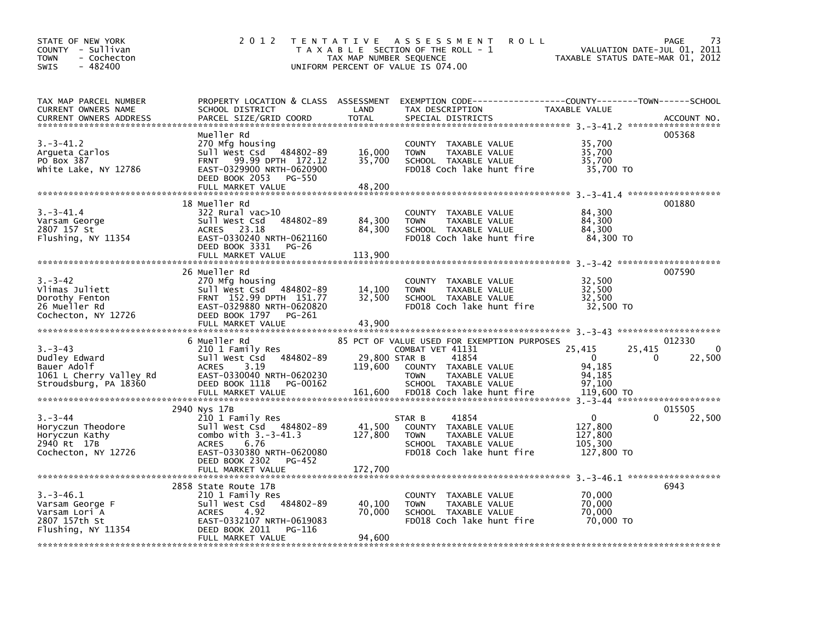| STATE OF NEW YORK<br>COUNTY - Sullivan<br>- Cochecton<br><b>TOWN</b><br>$-482400$<br>SWIS         | 2012                                                                                                                                                                       | TAX MAP NUMBER SEQUENCE<br>UNIFORM PERCENT OF VALUE IS 074.00 | TENTATIVE ASSESSMENT<br><b>ROLL</b><br>T A X A B L E SECTION OF THE ROLL - 1                                                                                                          | VALUATION DATE-JUL 01,<br>TAXABLE STATUS DATE-MAR 01, 2012                          | 73<br>PAGE<br>2011    |
|---------------------------------------------------------------------------------------------------|----------------------------------------------------------------------------------------------------------------------------------------------------------------------------|---------------------------------------------------------------|---------------------------------------------------------------------------------------------------------------------------------------------------------------------------------------|-------------------------------------------------------------------------------------|-----------------------|
| TAX MAP PARCEL NUMBER<br>CURRENT OWNERS NAME<br><b>CURRENT OWNERS ADDRESS</b>                     | SCHOOL DISTRICT<br>PARCEL SIZE/GRID COORD                                                                                                                                  | LAND<br><b>TOTAL</b>                                          | PROPERTY LOCATION & CLASS ASSESSMENT EXEMPTION CODE---------------COUNTY-------TOWN------SCHOOL<br>TAX DESCRIPTION<br>SPECIAL DISTRICTS                                               | TAXABLE VALUE                                                                       | ACCOUNT NO.           |
| 3.–3–41.2<br>Arqueta Carlos<br>PO Box 387<br>White Lake, NY 12786                                 | Mueller Rd<br>270 Mfg housing<br>Sull West Csd 484802-89<br>99.99 DPTH 172.12<br><b>FRNT</b><br>EAST-0329900 NRTH-0620900<br>DEED BOOK 2053<br>PG-550<br>FULL MARKET VALUE | 16,000<br>35,700<br>48,200                                    | COUNTY TAXABLE VALUE<br>TAXABLE VALUE<br><b>TOWN</b><br>SCHOOL TAXABLE VALUE<br>FD018 Coch lake hunt fire                                                                             | 35,700<br>35,700<br>35,700<br>35,700 TO                                             | 005368                |
|                                                                                                   | 18 Mueller Rd                                                                                                                                                              |                                                               |                                                                                                                                                                                       |                                                                                     | 001880                |
| $3.-3-41.4$<br>Varsam George<br>2807 157 St<br>Flushing, NY 11354                                 | 322 Rural vac>10<br>Sull West Csd 484802-89<br>ACRES 23.18<br>EAST-0330240 NRTH-0621160<br>DEED BOOK 3331<br>PG-26<br>FULL MARKET VALUE                                    | 84,300<br>84,300<br>113,900                                   | COUNTY TAXABLE VALUE<br><b>TOWN</b><br>TAXABLE VALUE<br>SCHOOL TAXABLE VALUE<br>FD018 Coch lake hunt fire                                                                             | 84,300<br>84,300<br>84.300<br>84,300 TO                                             |                       |
|                                                                                                   | 26 Mueller Rd                                                                                                                                                              |                                                               |                                                                                                                                                                                       |                                                                                     | 007590                |
| $3. - 3 - 42$<br>Vlimas Juliett<br>Dorothy Fenton<br>26 Mueller Rd<br>Cochecton, NY 12726         | 270 Mfg housing<br>Sull West Csd 484802-89<br>FRNT 152.99 DPTH 151.77<br>EAST-0329880 NRTH-0620820<br>DEED BOOK 1797<br>PG-261<br>FULL MARKET VALUE                        | 14,100<br>32,500<br>43,900                                    | COUNTY TAXABLE VALUE<br><b>TOWN</b><br>TAXABLE VALUE<br>SCHOOL TAXABLE VALUE<br>FD018 Coch lake hunt fire                                                                             | 32,500<br>32,500<br>32,500<br>32,500 TO                                             |                       |
|                                                                                                   |                                                                                                                                                                            |                                                               |                                                                                                                                                                                       |                                                                                     |                       |
| $3. - 3 - 43$<br>Dudley Edward<br>Bauer Adolf<br>1061 L Cherry Valley Rd<br>Stroudsburg, PA 18360 | 6 Mueller Rd<br>210 1 Family Res<br>Sull West Csd 484802-89<br>3.19<br><b>ACRES</b><br>EAST-0330040 NRTH-0620230<br>DEED BOOK 1118<br>PG-00162<br>FULL MARKET VALUE        | 29,800 STAR B<br>119,600<br>161,600                           | 85 PCT OF VALUE USED FOR EXEMPTION PURPOSES<br>COMBAT VET 41131<br>41854<br>COUNTY TAXABLE VALUE<br><b>TOWN</b><br>TAXABLE VALUE<br>SCHOOL TAXABLE VALUE<br>FD018 Coch lake hunt fire | 25,415<br>25,415<br>$\overline{0}$<br>0<br>94,185<br>94,185<br>97,100<br>119,600 TO | 012330<br>0<br>22,500 |
|                                                                                                   | 2940 Nys 17B                                                                                                                                                               |                                                               |                                                                                                                                                                                       |                                                                                     | 015505                |
| $3. - 3 - 44$<br>Horyczun Theodore<br>Horyczun Kathy<br>2940 Rt 17B<br>Cochecton, NY 12726        | 210 1 Family Res<br>Sull West Csd 484802-89<br>combo with $3.-3-41.3$<br>6.76<br><b>ACRES</b><br>EAST-0330380 NRTH-0620080<br>DEED BOOK 2302 PG-452<br>FULL MARKET VALUE   | 41,500<br>127,800<br>172,700                                  | 41854<br>STAR B<br>COUNTY TAXABLE VALUE<br>TAXABLE VALUE<br><b>TOWN</b><br>SCHOOL TAXABLE VALUE<br>FD018 Coch lake hunt fire                                                          | $\Omega$<br>0<br>127,800<br>127,800<br>105,300<br>127,800 TO                        | 22,500                |
|                                                                                                   |                                                                                                                                                                            |                                                               |                                                                                                                                                                                       |                                                                                     |                       |
| $3.-3-46.1$<br>Varsam George F<br>Varsam Lori A<br>2807 157th St<br>Flushing, NY 11354            | 2858 State Route 17B<br>210 1 Family Res<br>Sull West Csd 484802-89<br><b>ACRES</b><br>4.92<br>EAST-0332107 NRTH-0619083<br>DEED BOOK 2011<br>PG-116<br>FULL MARKET VALUE  | 40,100<br>70,000<br>94,600                                    | COUNTY TAXABLE VALUE<br>TAXABLE VALUE<br><b>TOWN</b><br>SCHOOL TAXABLE VALUE<br>FD018 Coch lake hunt fire                                                                             | 70,000<br>70,000<br>70,000<br>70,000 TO                                             | 6943                  |
|                                                                                                   |                                                                                                                                                                            |                                                               |                                                                                                                                                                                       |                                                                                     |                       |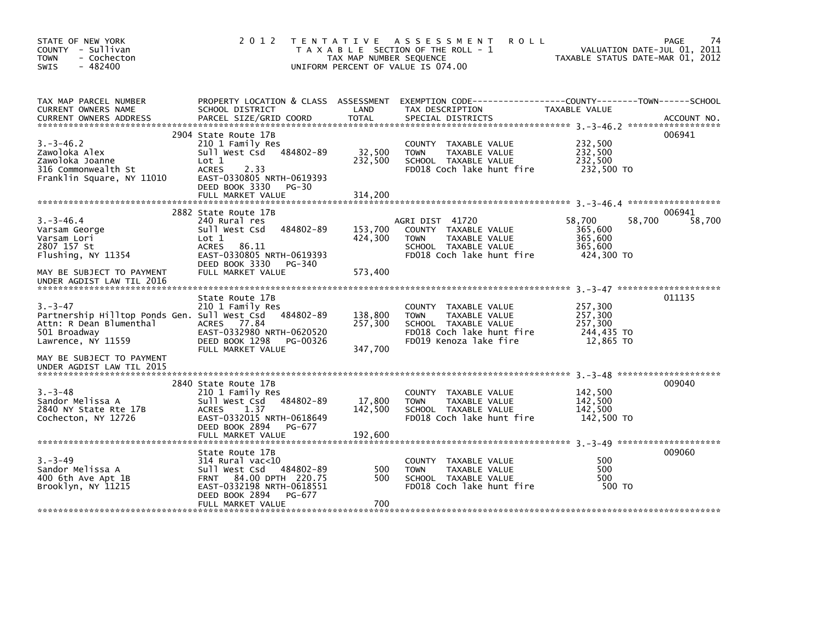| STATE OF NEW YORK<br>COUNTY - Sullivan<br><b>TOWN</b><br>- Cochecton<br>$-482400$<br><b>SWIS</b>                                        |                                                                                                                                                                                | TAX MAP NUMBER SEQUENCE       | 2012 TENTATIVE ASSESSMENT<br><b>ROLL</b><br>T A X A B L E SECTION OF THE ROLL - 1<br>UNIFORM PERCENT OF VALUE IS 074.00             | VALUATION DATE-JUL 01, 2011<br>TAXABLE STATUS DATE-MAR 01, 2012 | 74<br><b>PAGE</b> |
|-----------------------------------------------------------------------------------------------------------------------------------------|--------------------------------------------------------------------------------------------------------------------------------------------------------------------------------|-------------------------------|-------------------------------------------------------------------------------------------------------------------------------------|-----------------------------------------------------------------|-------------------|
| TAX MAP PARCEL NUMBER<br>CURRENT OWNERS NAME                                                                                            | SCHOOL DISTRICT                                                                                                                                                                | LAND                          | PROPERTY LOCATION & CLASS ASSESSMENT EXEMPTION CODE----------------COUNTY-------TOWN------SCHOOL<br>TAX DESCRIPTION                 | TAXABLE VALUE                                                   |                   |
| $3. -3 - 46.2$<br>Zawoloka Alex<br>Zawoloka Joanne<br>316 Commonwealth St<br>Franklin Square, NY 11010                                  | 2904 State Route 17B<br>210 1 Family Res<br>Sull West Csd 484802-89<br>Lot 1<br><b>ACRES</b><br>2.33<br>EAST-0330805 NRTH-0619393<br>DEED BOOK 3330 PG-30<br>FULL MARKET VALUE | 32,500<br>232,500<br>314,200  | COUNTY TAXABLE VALUE<br>TAXABLE VALUE<br><b>TOWN</b><br>SCHOOL TAXABLE VALUE<br>FD018 Coch lake hunt fire                           | 232,500<br>232,500<br>232,500<br>232,500 TO                     | 006941            |
|                                                                                                                                         | 2882 State Route 17B                                                                                                                                                           |                               |                                                                                                                                     |                                                                 | 006941            |
| $3. -3 - 46.4$<br>Varsam George<br>Varsam Lori<br>2807 157 St<br>Flushing, NY 11354                                                     | 240 Rural res<br>484802-89<br>Sull West Csd<br>Lot 1<br><b>ACRES</b><br>86.11<br>EAST-0330805 NRTH-0619393                                                                     | 153,700<br>424,300            | AGRI DIST 41720<br>COUNTY TAXABLE VALUE<br><b>TOWN</b><br>TAXABLE VALUE<br>SCHOOL TAXABLE VALUE<br>FD018 Coch lake hunt fire        | 58,700<br>58,700<br>365,600<br>365,600<br>365,600<br>424.300 TO | 58,700            |
| MAY BE SUBJECT TO PAYMENT<br>UNDER AGDIST LAW TIL 2016                                                                                  | DEED BOOK 3330 PG-340<br>FULL MARKET VALUE                                                                                                                                     | 573,400                       |                                                                                                                                     |                                                                 |                   |
| $3 - 3 - 47$<br>Partnership Hilltop Ponds Gen. Sull West Csd 484802-89<br>Attn: R Dean Blumenthal<br>501 Broadway<br>Lawrence, NY 11559 | State Route 17B<br>210 1 Family Res<br>ACRES 77.84<br>EAST-0332980 NRTH-0620520<br>DEED BOOK 1298<br>PG-00326<br>FULL MARKET VALUE                                             | 138,800<br>257,300<br>347,700 | COUNTY TAXABLE VALUE<br>TAXABLE VALUE<br><b>TOWN</b><br>SCHOOL TAXABLE VALUE<br>FD018 Coch lake hunt fire<br>FD019 Kenoza lake fire | 257,300<br>257,300<br>257.300<br>244,435 TO<br>12,865 TO        | 011135            |
| MAY BE SUBJECT TO PAYMENT<br>UNDER AGDIST LAW TIL 2015                                                                                  |                                                                                                                                                                                |                               |                                                                                                                                     |                                                                 |                   |
| $3. - 3 - 48$<br>Sandor Melissa A<br>2840 NY State Rte 17B<br>Cochecton, NY 12726                                                       | 2840 State Route 17B<br>210 1 Family Res<br>Sull West Csd 484802-89<br>ACRES<br>1.37<br>EAST-0332015 NRTH-0618649<br>DEED BOOK 2894 PG-677<br>FULL MARKET VALUE                | 17,800<br>142,500<br>192,600  | COUNTY TAXABLE VALUE<br>TAXABLE VALUE<br><b>TOWN</b><br>SCHOOL TAXABLE VALUE<br>FD018 Coch lake hunt fire                           | 142,500<br>142,500<br>142,500<br>142,500 TO                     | 009040            |
| $3 - 3 - 49$<br>Sandor Melissa A<br>400 6th Ave Apt 1B<br>Brooklyn, NY 11215                                                            | State Route 17B<br>$314$ Rural vac< $10$<br>Sull West Csd 484802-89<br>FRNT 84.00 DPTH 220.75<br>EAST-0332198 NRTH-0618551<br>DEED BOOK 2894<br>PG-677<br>FULL MARKET VALUE    | 500<br>500<br>700             | COUNTY TAXABLE VALUE<br>TAXABLE VALUE<br><b>TOWN</b><br>SCHOOL TAXABLE VALUE<br>FD018 Coch lake hunt fire                           | 500<br>500<br>500<br>500 TO                                     | 009060            |
|                                                                                                                                         |                                                                                                                                                                                |                               |                                                                                                                                     |                                                                 |                   |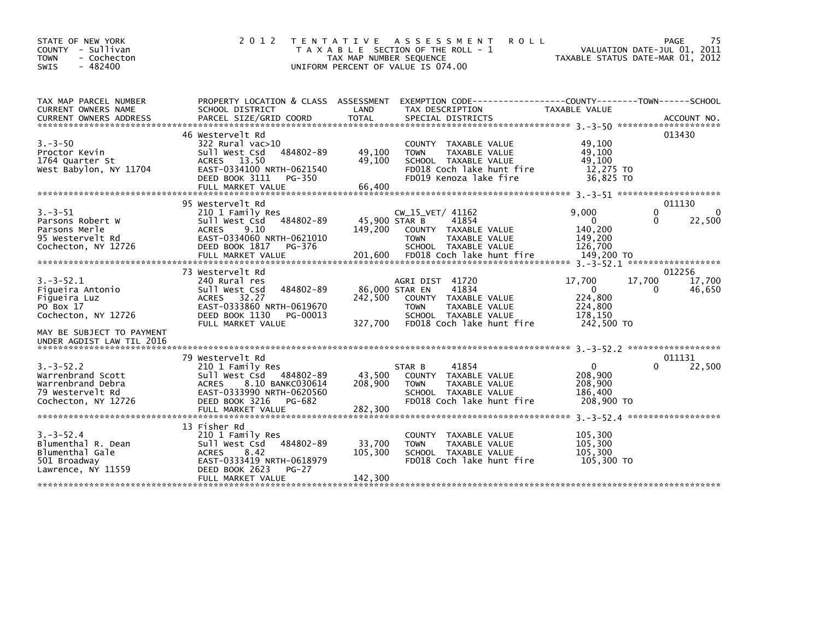| STATE OF NEW YORK<br>COUNTY - Sullivan<br>- Cochecton<br><b>TOWN</b><br>$-482400$<br><b>SWIS</b>    | 2 0 1 2                                                                                                                                                                           | T E N T A T I V E<br>TAX MAP NUMBER SEQUENCE | A S S E S S M E N T<br><b>ROLL</b><br>T A X A B L E SECTION OF THE ROLL - 1<br>UNIFORM PERCENT OF VALUE IS 074.00                      | VALUATION DATE-JUL 01, 2011<br>TAXABLE STATUS DATE-MAR 01, 2012                 | PAGE<br>75                                           |
|-----------------------------------------------------------------------------------------------------|-----------------------------------------------------------------------------------------------------------------------------------------------------------------------------------|----------------------------------------------|----------------------------------------------------------------------------------------------------------------------------------------|---------------------------------------------------------------------------------|------------------------------------------------------|
| TAX MAP PARCEL NUMBER<br>CURRENT OWNERS NAME                                                        | PROPERTY LOCATION & CLASS ASSESSMENT<br>SCHOOL DISTRICT                                                                                                                           | LAND                                         | EXEMPTION CODE-----------------COUNTY-------TOWN------SCHOOL<br>TAX DESCRIPTION                                                        | <b>TAXABLE VALUE</b>                                                            |                                                      |
| $3. - 3 - 50$<br>Proctor Kevin<br>1764 Quarter St<br>West Babylon, NY 11704                         | 46 Westervelt Rd<br>322 Rural vac>10<br>484802-89<br>Sull West Csd<br>ACRES 13.50<br>EAST-0334100 NRTH-0621540<br>DEED BOOK 3111<br>PG-350<br>FULL MARKET VALUE                   | 49,100<br>49,100<br>66,400                   | COUNTY TAXABLE VALUE<br>TAXABLE VALUE<br><b>TOWN</b><br>SCHOOL TAXABLE VALUE<br>FD018 Coch lake hunt fire<br>FD019 Kenoza lake fire    | 49,100<br>49,100<br>49,100<br>12,275 TO<br>36,825 TO                            | 013430                                               |
| $3 - 3 - 51$<br>Parsons Robert W<br>Parsons Merle<br>95 Westervelt Rd<br>Cochecton, NY 12726        | 95 Westervelt Rd<br>210 1 Family Res<br>484802-89<br>sull west Csd<br><b>ACRES</b><br>9.10<br>EAST-0334060 NRTH-0621010<br>DEED BOOK 1817<br>PG-376<br>FULL MARKET VALUE          | 45,900 STAR B<br>149,200<br>201,600          | CW 15 VET/ 41162<br>41854<br>COUNTY TAXABLE VALUE<br><b>TOWN</b><br>TAXABLE VALUE<br>SCHOOL TAXABLE VALUE<br>FD018 Coch lake hunt fire | 9.000<br>$\mathbf 0$<br>140,200<br>149,200<br>126.700<br>149,200 TO             | 011130<br>$\Omega$<br>$\Omega$<br>22,500<br>$\Omega$ |
| $3.-3-52.1$<br>Figueira Antonio<br>Fiqueira Luz<br>PO Box 17<br>Cochecton, NY 12726                 | 73 Westervelt Rd<br>240 Rural res<br>484802-89<br>Sull West Csd<br><b>ACRES</b><br>32.27<br>EAST-0333860 NRTH-0619670<br>DEED BOOK 1130<br>PG-00013<br>FULL MARKET VALUE          | 86,000 STAR EN<br>242,500<br>327,700         | AGRI DIST 41720<br>41834<br>COUNTY TAXABLE VALUE<br><b>TOWN</b><br>TAXABLE VALUE<br>SCHOOL TAXABLE VALUE<br>FD018 Coch lake hunt fire  | 17,700<br>17,700<br>$\mathbf{0}$<br>224,800<br>224,800<br>178,150<br>242,500 TO | 012256<br>17,700<br>46,650<br>0                      |
| MAY BE SUBJECT TO PAYMENT<br>UNDER AGDIST LAW TIL 2016                                              |                                                                                                                                                                                   |                                              |                                                                                                                                        | $3. -3 - 52.2$ *******************                                              |                                                      |
| $3. -3 - 52.2$<br>Warrenbrand Scott<br>Warrenbrand Debra<br>79 Westervelt Rd<br>Cochecton, NY 12726 | 79 Westervelt Rd<br>210 1 Family Res<br>Sull West Csd 484802-89<br>8.10 BANKC030614<br><b>ACRES</b><br>EAST-0333990 NRTH-0620560<br>DEED BOOK 3216<br>PG-682<br>FULL MARKET VALUE | 43,500<br>208,900<br>282,300                 | 41854<br>STAR B<br>COUNTY TAXABLE VALUE<br>TAXABLE VALUE<br><b>TOWN</b><br>SCHOOL TAXABLE VALUE<br>FD018 Coch lake hunt fire           | $\mathbf 0$<br>208,900<br>208,900<br>186,400<br>208,900 TO                      | 011131<br>22,500<br>0                                |
| $3. - 3 - 52.4$<br>Blumenthal R. Dean<br>Blumenthal Gale<br>501 Broadway<br>Lawrence, NY 11559      | 13 Fisher Rd<br>210 1 Family Res<br>Sull West Csd 484802-89<br>8.42<br><b>ACRES</b><br>EAST-0333419 NRTH-0618979<br>DEED BOOK 2623<br>$PG-27$<br>FULL MARKET VALUE                | 33,700<br>105,300<br>142,300                 | <b>COUNTY</b><br>TAXABLE VALUE<br>TAXABLE VALUE<br><b>TOWN</b><br>SCHOOL TAXABLE VALUE<br>FD018 Coch lake hunt fire                    | 105,300<br>105,300<br>105,300<br>105,300 TO                                     |                                                      |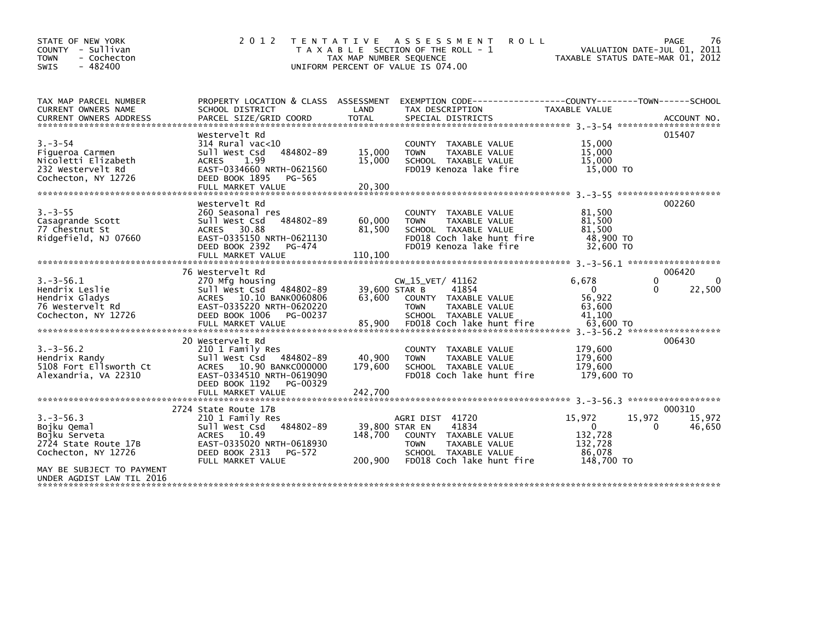| STATE OF NEW YORK<br>COUNTY - Sullivan<br><b>TOWN</b><br>- Cochecton<br>$-482400$<br>SWIS                                                               | 2 0 1 2                                                                                                                                                                   | T E N T A T I V E<br>TAX MAP NUMBER SEQUENCE | A S S E S S M E N T<br><b>ROLL</b><br>T A X A B L E SECTION OF THE ROLL - 1<br>UNIFORM PERCENT OF VALUE IS 074.00                          |                                                                      | PAGE<br>76<br>VALUATION DATE-JUL 01, 2011<br>TAXABLE STATUS DATE-MAR 01, 2012 |
|---------------------------------------------------------------------------------------------------------------------------------------------------------|---------------------------------------------------------------------------------------------------------------------------------------------------------------------------|----------------------------------------------|--------------------------------------------------------------------------------------------------------------------------------------------|----------------------------------------------------------------------|-------------------------------------------------------------------------------|
| TAX MAP PARCEL NUMBER<br>CURRENT OWNERS NAME<br><b>CURRENT OWNERS ADDRESS</b>                                                                           | PROPERTY LOCATION & CLASS ASSESSMENT<br>SCHOOL DISTRICT<br>PARCEL SIZE/GRID COORD                                                                                         | LAND<br><b>TOTAL</b>                         | EXEMPTION CODE-----------------COUNTY-------TOWN------SCHOOL<br>TAX DESCRIPTION<br>SPECIAL DISTRICTS                                       | <b>TAXABLE VALUE</b>                                                 | ACCOUNT NO.                                                                   |
| $3. - 3 - 54$<br>Figueroa Carmen<br>Nicoletti Elizabeth<br>232 Westervelt Rd<br>Cochecton, NY 12726                                                     | Westervelt Rd<br>$314$ Rural vac<10<br>484802-89<br>Sull West Csd<br>1.99<br><b>ACRES</b><br>EAST-0334660 NRTH-0621560<br>DEED BOOK 1895<br>PG-565                        | 15,000<br>15,000                             | COUNTY TAXABLE VALUE<br><b>TOWN</b><br>TAXABLE VALUE<br>SCHOOL TAXABLE VALUE<br>FD019 Kenoza lake fire                                     | 15,000<br>15,000<br>15,000<br>15,000 TO                              | 015407                                                                        |
| $3. - 3 - 55$<br>Casagrande Scott<br>77 Chestnut St<br>Ridgefield, NJ 07660                                                                             | Westervelt Rd<br>260 Seasonal res<br>484802-89<br>Sull West Csd<br>ACRES 30.88<br>EAST-0335150 NRTH-0621130<br>DEED BOOK 2392<br>PG-474<br>FULL MARKET VALUE              | 60,000<br>81,500<br>110,100                  | COUNTY TAXABLE VALUE<br><b>TAXABLE VALUE</b><br><b>TOWN</b><br>SCHOOL TAXABLE VALUE<br>FD018 Coch lake hunt fire<br>FD019 Kenoza lake fire | 81,500<br>81,500<br>81.500<br>48,900 TO<br>32,600 TO                 | 002260                                                                        |
| $3.-3-56.1$<br>Hendrix Leslie<br>Hendrix Gladys<br>76 Westervelt Rd<br>Cochecton, NY 12726                                                              | 76 Westervelt Rd<br>270 Mfg housing<br>Sull West Csd 484802-89<br>ACRES 10.10 BANK0060806<br>EAST-0335220 NRTH-0620220<br>DEED BOOK 1006<br>PG-00237<br>FULL MARKET VALUE | 39,600 STAR B<br>63,600<br>85,900            | CW_15_VET/ 41162<br>41854<br>COUNTY TAXABLE VALUE<br><b>TOWN</b><br>TAXABLE VALUE<br>SCHOOL TAXABLE VALUE<br>FD018 Coch lake hunt fire     | 6,678<br>$\mathbf{0}$<br>56,922<br>63,600<br>41.100<br>63,600 TO     | 006420<br>0<br>$\Omega$<br>22,500<br>0                                        |
| $3. -3 - 56.2$<br>Hendrix Randy<br>5108 Fort Ellsworth Ct<br>Alexandria, VA 22310                                                                       | 20 Westervelt Rd<br>210 1 Family Res<br>Sull West Csd<br>484802-89<br>ACRES 10.90 BANKC000000<br>EAST-0334510 NRTH-0619090<br>DEED BOOK 1192<br>PG-00329                  | 40,900<br>179,600                            | COUNTY TAXABLE VALUE<br>TAXABLE VALUE<br><b>TOWN</b><br>SCHOOL TAXABLE VALUE<br>FD018 Coch lake hunt fire                                  | 179.600<br>179,600<br>179,600<br>179,600 TO                          | 006430                                                                        |
| $3. -3 - 56.3$<br>Bojku Qemal<br>Bojku Serveta<br>2724 State Route 17B<br>Cochecton, NY 12726<br>MAY BE SUBJECT TO PAYMENT<br>UNDER AGDIST LAW TIL 2016 | 2724 State Route 17B<br>210 1 Family Res<br>Sull West Csd<br>484802-89<br>ACRES 10.49<br>EAST-0335020 NRTH-0618930<br>DEED BOOK 2313<br>PG-572<br>FULL MARKET VALUE       | 39,800 STAR EN<br>148,700<br>200,900         | AGRI DIST 41720<br>41834<br>COUNTY TAXABLE VALUE<br>TAXABLE VALUE<br><b>TOWN</b><br>SCHOOL TAXABLE VALUE<br>FD018 Coch lake hunt fire      | 15,972<br>$\mathbf{0}$<br>132,728<br>132,728<br>86,078<br>148,700 TO | ******************<br>000310<br>15,972<br>15,972<br>46,650<br>$\Omega$        |
|                                                                                                                                                         |                                                                                                                                                                           |                                              |                                                                                                                                            |                                                                      |                                                                               |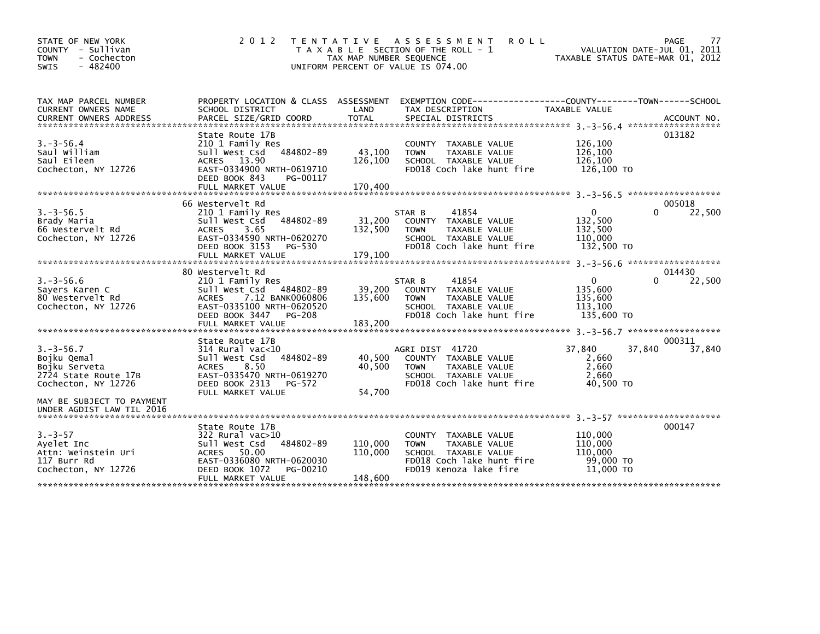| STATE OF NEW YORK<br>COUNTY - Sullivan<br><b>TOWN</b><br>- Cochecton<br>$-482400$<br><b>SWIS</b> | 2 0 1 2                                                                                                                                                               | TAX MAP NUMBER SEQUENCE       | TENTATIVE ASSESSMENT<br><b>ROLL</b><br>T A X A B L E SECTION OF THE ROLL - 1<br>UNIFORM PERCENT OF VALUE IS 074.00                  | TAXABLE STATUS DATE-MAR 01, 2012                        | 77<br>PAGE<br>VALUATION DATE-JUL 01, 2011 |
|--------------------------------------------------------------------------------------------------|-----------------------------------------------------------------------------------------------------------------------------------------------------------------------|-------------------------------|-------------------------------------------------------------------------------------------------------------------------------------|---------------------------------------------------------|-------------------------------------------|
| TAX MAP PARCEL NUMBER<br><b>CURRENT OWNERS NAME</b>                                              | SCHOOL DISTRICT                                                                                                                                                       | LAND                          | PROPERTY LOCATION & CLASS ASSESSMENT EXEMPTION CODE---------------COUNTY-------TOWN------SCHOOL<br>TAX DESCRIPTION                  | TAXABLE VALUE                                           |                                           |
| $3. - 3 - 56.4$<br>Saul William<br>Saul Eileen<br>Cochecton, NY 12726                            | State Route 17B<br>210 1 Family Res<br>484802-89<br>Sull West Csd<br>ACRES 13.90<br>EAST-0334900 NRTH-0619710<br>DEED BOOK 843<br>PG-00117<br>FULL MARKET VALUE       | 43,100<br>126,100<br>170,400  | COUNTY TAXABLE VALUE<br><b>TOWN</b><br>TAXABLE VALUE<br>SCHOOL TAXABLE VALUE<br>FD018 Coch lake hunt fire                           | 126,100<br>126,100<br>126,100<br>126,100 TO             | 013182                                    |
| $3. - 3 - 56.5$<br>Brady Maria<br>66 Westervelt Rd<br>Cochecton, NY 12726                        | 66 Westervelt Rd<br>210 1 Family Res<br>484802-89<br>Sull West Csd<br>3.65<br><b>ACRES</b><br>EAST-0334590 NRTH-0620270<br>DEED BOOK 3153<br>PG-530                   | 31,200<br>132,500             | 41854<br>STAR B<br>COUNTY TAXABLE VALUE<br>TAXABLE VALUE<br><b>TOWN</b><br>SCHOOL TAXABLE VALUE<br>FD018 Coch lake hunt fire        | $\Omega$<br>132,500<br>132,500<br>110.000<br>132,500 TO | 005018<br>22,500<br>$\Omega$              |
|                                                                                                  | FULL MARKET VALUE<br>80 Westervelt Rd                                                                                                                                 | 179,100                       |                                                                                                                                     |                                                         | 014430                                    |
| $3. -3 - 56.6$<br>Sayers Karen C<br>80 Westervelt Rd<br>Cochecton, NY 12726                      | 210 1 Family Res<br>Sull West Csd<br>484802-89<br>7.12 BANK0060806<br><b>ACRES</b><br>EAST-0335100 NRTH-0620520<br>DEED BOOK 3447<br>PG-208<br>FULL MARKET VALUE      | 39,200<br>135,600<br>183,200  | STAR B<br>41854<br>COUNTY TAXABLE VALUE<br>TAXABLE VALUE<br><b>TOWN</b><br>SCHOOL TAXABLE VALUE<br>FD018 Coch lake hunt fire        | 0<br>135,600<br>135,600<br>113,100<br>135,600 TO        | $\Omega$<br>22,500                        |
|                                                                                                  | State Route 17B                                                                                                                                                       |                               |                                                                                                                                     |                                                         | 000311                                    |
| $3. - 3 - 56.7$<br>Bojku Qemal<br>Bojku Serveta<br>2724 State Route 17B<br>Cochecton, NY 12726   | $314$ Rural vac<10<br>484802-89<br>Sull West Csd<br>8.50<br><b>ACRES</b><br>EAST-0335470 NRTH-0619270<br>DEED BOOK 2313<br>PG-572<br>FULL MARKET VALUE                | 40,500<br>40,500<br>54.700    | AGRI DIST 41720<br>COUNTY TAXABLE VALUE<br>TAXABLE VALUE<br><b>TOWN</b><br>SCHOOL TAXABLE VALUE<br>FD018 Coch lake hunt fire        | 37,840<br>2,660<br>2,660<br>2.660<br>40.500 TO          | 37,840<br>37,840                          |
| MAY BE SUBJECT TO PAYMENT<br>UNDER AGDIST LAW TIL 2016                                           |                                                                                                                                                                       |                               |                                                                                                                                     |                                                         |                                           |
| $3. - 3 - 57$<br>Ayelet Inc<br>Attn: Weinstein Uri<br>117 Burr Rd<br>Cochecton, NY 12726         | State Route 17B<br>$322$ Rural vac $>10$<br>484802-89<br>Sull West Csd<br>ACRES 50.00<br>EAST-0336080 NRTH-0620030<br>DEED BOOK 1072<br>PG-00210<br>FULL MARKET VALUE | 110,000<br>110,000<br>148,600 | COUNTY TAXABLE VALUE<br><b>TOWN</b><br>TAXABLE VALUE<br>SCHOOL TAXABLE VALUE<br>FD018 Coch lake hunt fire<br>FD019 Kenoza lake fire | 110,000<br>110,000<br>110,000<br>99,000 TO<br>11,000 TO | 000147                                    |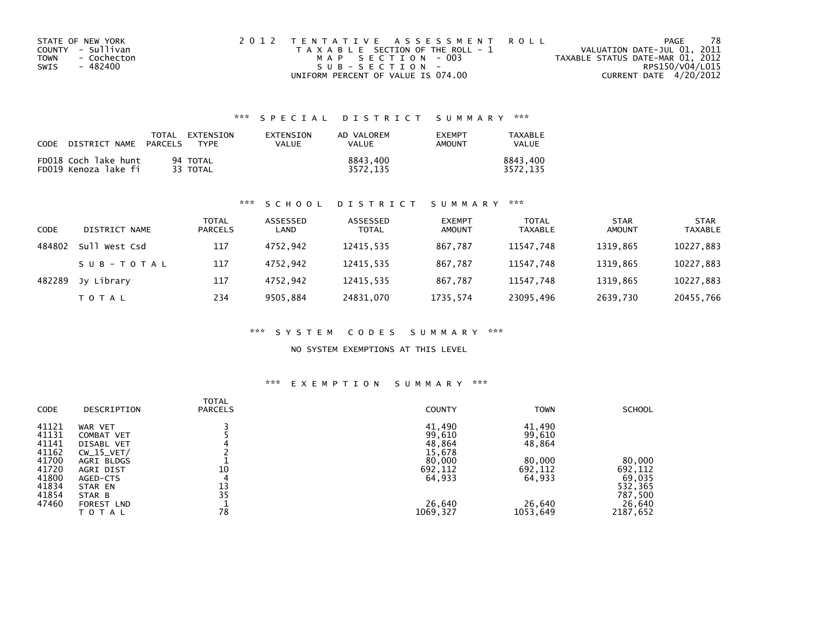| STATE OF NEW YORK          | 2012 TENTATIVE ASSESSMENT ROLL        | PAGE                             | 78 |
|----------------------------|---------------------------------------|----------------------------------|----|
| COUNTY - Sullivan          | T A X A B L E SECTION OF THE ROLL - 1 | VALUATION DATE-JUL 01, 2011      |    |
| <b>TOWN</b><br>- Cochecton | MAP SECTION - 003                     | TAXABLE STATUS DATE-MAR 01, 2012 |    |
| SWIS<br>- 482400           | $SUB - SECTION -$                     | RPS150/V04/L015                  |    |
|                            | UNIFORM PERCENT OF VALUE IS 074.00    | CURRENT DATE 4/20/2012           |    |

| CODE | DISTRICT NAME                                | TOTAL<br>PARCELS | EXTENSION<br><b>TYPF</b> | EXTENSION<br>VALUE | AD VALOREM<br>VALUE  | <b>FXFMPT</b><br>AMOUNT | TAXABLE<br><b>VALUE</b> |
|------|----------------------------------------------|------------------|--------------------------|--------------------|----------------------|-------------------------|-------------------------|
|      | FD018 Coch lake hunt<br>FD019 Kenoza lake fi |                  | 94 TOTAL<br>33 TOTAL     |                    | 8843.400<br>3572.135 |                         | 8843.400<br>3572.135    |

### \*\*\* S C H O O L D I S T R I C T S U M M A R Y \*\*\*

| CODE   | DISTRICT NAME | TOTAL<br><b>PARCELS</b> | ASSESSED<br>LAND | ASSESSED<br><b>TOTAL</b> | <b>EXEMPT</b><br><b>AMOUNT</b> | <b>TOTAL</b><br><b>TAXABLE</b> | <b>STAR</b><br><b>AMOUNT</b> | <b>STAR</b><br><b>TAXABLE</b> |
|--------|---------------|-------------------------|------------------|--------------------------|--------------------------------|--------------------------------|------------------------------|-------------------------------|
| 484802 | Sull West Csd | 117                     | 4752.942         | 12415,535                | 867,787                        | 11547,748                      | 1319.865                     | 10227,883                     |
|        | SUB-TOTAL     | 117                     | 4752.942         | 12415.535                | 867.787                        | 11547.748                      | 1319.865                     | 10227,883                     |
| 482289 | Jv Librarv    | 117                     | 4752.942         | 12415,535                | 867.787                        | 11547.748                      | 1319.865                     | 10227,883                     |
|        | T O T A L     | 234                     | 9505.884         | 24831,070                | 1735,574                       | 23095,496                      | 2639,730                     | 20455,766                     |

### \*\*\* S Y S T E M C O D E S S U M M A R Y \*\*\*

### NO SYSTEM EXEMPTIONS AT THIS LEVEL

| CODE  | DESCRIPTION  | <b>TOTAL</b><br><b>PARCELS</b> | <b>COUNTY</b> | <b>TOWN</b> | <b>SCHOOL</b> |
|-------|--------------|--------------------------------|---------------|-------------|---------------|
| 41121 | WAR VET      |                                | 41,490        | 41,490      |               |
| 41131 | COMBAT VET   |                                | 99,610        | 99,610      |               |
| 41141 | DISABL VET   |                                | 48,864        | 48,864      |               |
| 41162 | $CW_15_VET/$ |                                | 15,678        |             |               |
| 41700 | AGRI BLDGS   |                                | 80,000        | 80,000      | 80,000        |
| 41720 | AGRI DIST    | 10                             | 692,112       | 692,112     | 692,112       |
| 41800 | AGED-CTS     | 4                              | 64,933        | 64,933      | 69,035        |
| 41834 | STAR EN      | 13                             |               |             | 532,365       |
| 41854 | STAR B       | 35                             |               |             | 787,500       |
| 47460 | FOREST LND   |                                | 26,640        | 26,640      | 26,640        |
|       | TOTAL        | 78                             | 1069,327      | 1053,649    | 2187,652      |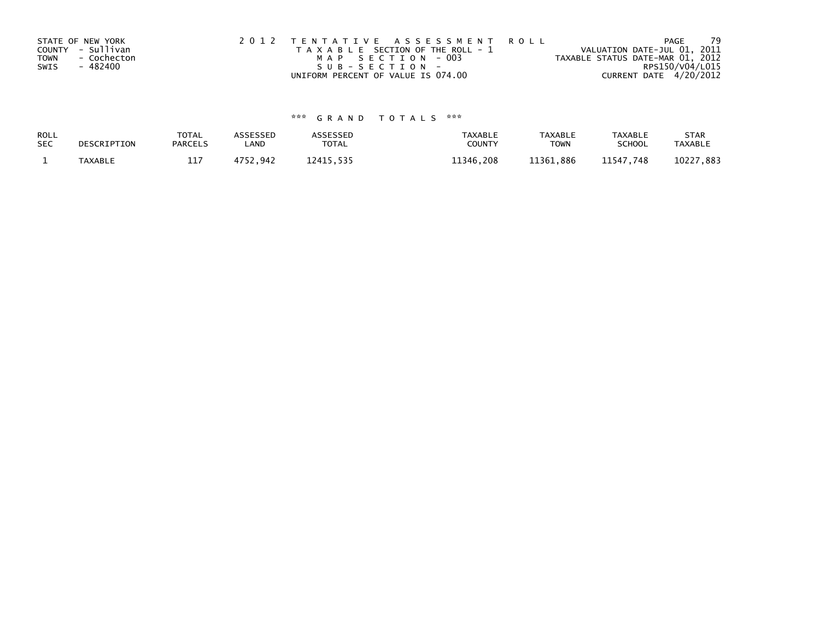|             | STATE OF NEW YORK | 2012 TENTATIVE ASSESSMENT ROLL        | PAGE                             | 79 |
|-------------|-------------------|---------------------------------------|----------------------------------|----|
|             | COUNTY - Sullivan | T A X A B L E SECTION OF THE ROLL - 1 | VALUATION DATE-JUL 01, 2011      |    |
| <b>TOWN</b> | - Cochecton       | MAP SECTION - 003                     | TAXABLE STATUS DATE-MAR 01, 2012 |    |
| SWIS        | - 482400          | $SUB - SECTION -$                     | RPS150/V04/L015                  |    |
|             |                   | UNIFORM PERCENT OF VALUE IS 074.00    | CURRENT DATE 4/20/2012           |    |

| ROLL       | DESCRIPTION | <b>TOTAL</b>   | ASSESSED | <b>ASSESSED</b> | <b>TAXABLE</b> | <b>TAXABLE</b> | <b>TAXABLE</b> | <b>STAR</b>    |
|------------|-------------|----------------|----------|-----------------|----------------|----------------|----------------|----------------|
| <b>SEC</b> |             | <b>PARCELS</b> | LAND     | TOTAL           | <b>COUNT</b>   | <b>TOWN</b>    | <b>SCHOOL</b>  | <b>TAXABLE</b> |
|            | TAXABLE     | 117<br>ᅩᅩ      | 4752.942 | 12415.535       | 11346.208      | 11361.886      | 11547,748      | 10227,883      |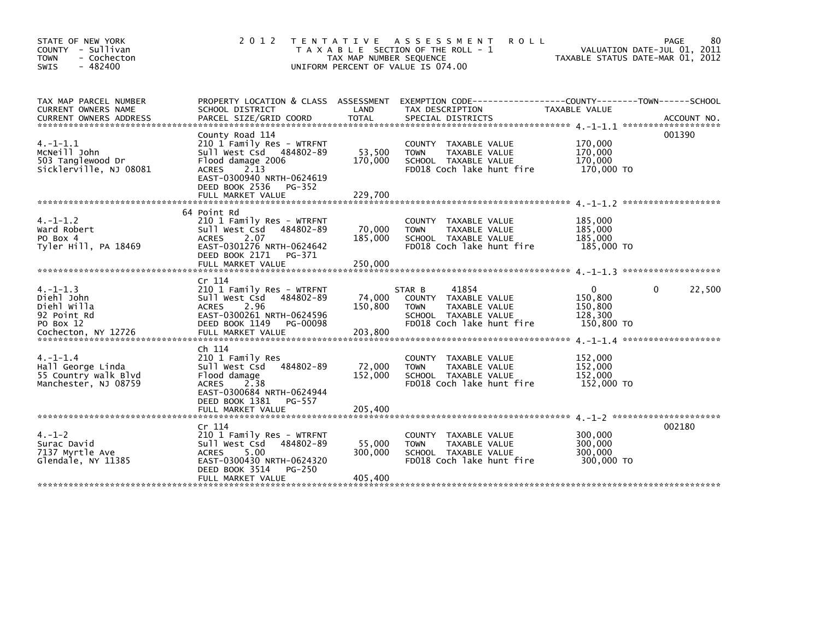| STATE OF NEW YORK<br>COUNTY - Sullivan<br><b>TOWN</b><br>- Cochecton<br>$-482400$<br><b>SWIS</b> | 2 0 1 2                                                                                                                                                                                            | TAX MAP NUMBER SEQUENCE      | TENTATIVE ASSESSMENT<br><b>ROLL</b><br>T A X A B L E SECTION OF THE ROLL - 1<br>UNIFORM PERCENT OF VALUE IS 074.00                       | TAXABLE STATUS DATE-MAR 01, 2012                 | 80<br>PAGE<br>VALUATION DATE-JUL 01, 2011 |
|--------------------------------------------------------------------------------------------------|----------------------------------------------------------------------------------------------------------------------------------------------------------------------------------------------------|------------------------------|------------------------------------------------------------------------------------------------------------------------------------------|--------------------------------------------------|-------------------------------------------|
| TAX MAP PARCEL NUMBER<br>CURRENT OWNERS NAME<br><b>CURRENT OWNERS ADDRESS</b>                    | SCHOOL DISTRICT<br>PARCEL SIZE/GRID COORD                                                                                                                                                          | LAND<br><b>TOTAL</b>         | PROPERTY LOCATION & CLASS ASSESSMENT EXEMPTION CODE----------------COUNTY-------TOWN------SCHOOL<br>TAX DESCRIPTION<br>SPECIAL DISTRICTS | TAXABLE VALUE                                    | ACCOUNT NO.                               |
| $4. -1 - 1.1$<br>MCNeill John<br>503 Tanglewood Dr<br>Sicklerville, NJ 08081                     | County Road 114<br>210 1 Family Res - WTRFNT<br>Sull West Csd 484802-89<br>Flood damage 2006<br>2.13<br><b>ACRES</b><br>EAST-0300940 NRTH-0624619<br>DEED BOOK 2536<br>PG-352<br>FULL MARKET VALUE | 53,500<br>170,000<br>229.700 | COUNTY TAXABLE VALUE<br>TAXABLE VALUE<br><b>TOWN</b><br>SCHOOL TAXABLE VALUE<br>FD018 Coch lake hunt fire                                | 170,000<br>170,000<br>170,000<br>170,000 TO      | 001390                                    |
| $4. -1 - 1.2$<br>Ward Robert<br>PO Box 4<br>Tyler Hill, PA 18469                                 | 64 Point Rd<br>210 1 Family Res - WTRFNT<br>Sull West Csd<br>484802-89<br>2.07<br><b>ACRES</b><br>EAST-0301276 NRTH-0624642<br>DEED BOOK 2171<br>PG-371<br>FULL MARKET VALUE                       | 70,000<br>185,000<br>250,000 | COUNTY TAXABLE VALUE<br><b>TOWN</b><br>TAXABLE VALUE<br>SCHOOL TAXABLE VALUE<br>FD018 Coch lake hunt fire                                | 185,000<br>185,000<br>185,000<br>185,000 TO      |                                           |
| $4. -1 - 1.3$<br>Diehl John<br>Diehl Willa<br>92 Point Rd<br>PO Box 12<br>Cochecton, NY 12726    | Cr 114<br>210 1 Family Res - WTRFNT<br>Sull West Csd<br>484802-89<br>2.96<br><b>ACRES</b><br>EAST-0300261 NRTH-0624596<br>DEED BOOK 1149<br>PG-00098<br>FULL MARKET VALUE                          | 74,000<br>150,800<br>203,800 | 41854<br>STAR B<br>COUNTY TAXABLE VALUE<br><b>TOWN</b><br>TAXABLE VALUE<br>SCHOOL TAXABLE VALUE<br>FD018 Coch lake hunt fire             | 0<br>150,800<br>150,800<br>128,300<br>150,800 TO | 22,500<br>0                               |
| $4. -1 - 1.4$<br>Hall George Linda<br>55 Country walk Blvd<br>Manchester, NJ 08759               | Ch 114<br>210 1 Family Res<br>Sull West Csd<br>484802-89<br>Flood damage<br><b>ACRES</b><br>2.38<br>EAST-0300684 NRTH-0624944<br>DEED BOOK 1381<br>PG-557<br>FULL MARKET VALUE                     | 72,000<br>152,000<br>205,400 | <b>COUNTY</b><br>TAXABLE VALUE<br><b>TOWN</b><br>TAXABLE VALUE<br>SCHOOL TAXABLE VALUE<br>FD018 Coch lake hunt fire                      | 152,000<br>152,000<br>152,000<br>152,000 TO      |                                           |
| $4. - 1 - 2$<br>Surac David<br>7137 Myrtle Ave<br>Glendale, NY 11385                             | Cr 114<br>210 1 Family Res - WTRFNT<br>Sull West Csd<br>484802-89<br>5.00<br><b>ACRES</b><br>EAST-0300430 NRTH-0624320<br>DEED BOOK 3514<br>PG-250<br>FULL MARKET VALUE                            | 55,000<br>300,000<br>405,400 | TAXABLE VALUE<br>COUNTY<br>TAXABLE VALUE<br><b>TOWN</b><br>SCHOOL TAXABLE VALUE<br>FD018 Coch lake hunt fire                             | 300,000<br>300,000<br>300,000<br>300,000 TO      | 002180                                    |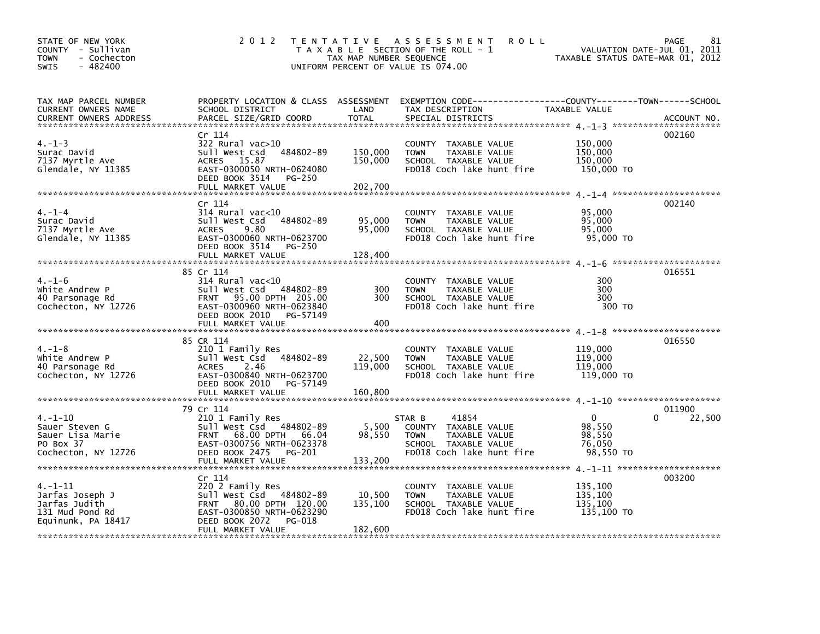| STATE OF NEW YORK<br>COUNTY - Sullivan<br>- Cochecton<br><b>TOWN</b><br>SWIS<br>$-482400$ | 2 0 1 2                                                                                                                                                           | TAX MAP NUMBER SEQUENCE       | TENTATIVE ASSESSMENT<br><b>ROLL</b><br>T A X A B L E SECTION OF THE ROLL - 1<br>UNIFORM PERCENT OF VALUE IS 074.00                       | VALUATION DATE-JUL 01, 2011<br>TAXABLE STATUS DATE-MAR 01, 2012 | PAGE<br>81  |
|-------------------------------------------------------------------------------------------|-------------------------------------------------------------------------------------------------------------------------------------------------------------------|-------------------------------|------------------------------------------------------------------------------------------------------------------------------------------|-----------------------------------------------------------------|-------------|
| TAX MAP PARCEL NUMBER<br><b>CURRENT OWNERS NAME</b><br><b>CURRENT OWNERS ADDRESS</b>      | SCHOOL DISTRICT<br>PARCEL SIZE/GRID COORD                                                                                                                         | LAND<br>TOTAL                 | PROPERTY LOCATION & CLASS ASSESSMENT EXEMPTION CODE----------------COUNTY-------TOWN------SCHOOL<br>TAX DESCRIPTION<br>SPECIAL DISTRICTS | TAXABLE VALUE                                                   | ACCOUNT NO. |
| $4. - 1 - 3$<br>Surac David<br>7137 Myrtle Ave<br>Glendale, NY 11385                      | Cr 114<br>$322$ Rural vac $>10$<br>sull west Csd<br>484802-89<br>ACRES 15.87<br>EAST-0300050 NRTH-0624080<br>DEED BOOK 3514<br>PG-250<br>FULL MARKET VALUE        | 150,000<br>150,000<br>202,700 | COUNTY TAXABLE VALUE<br>TAXABLE VALUE<br><b>TOWN</b><br>SCHOOL TAXABLE VALUE<br>FD018 Coch lake hunt fire                                | 150,000<br>150,000<br>150,000<br>150,000 TO                     | 002160      |
|                                                                                           |                                                                                                                                                                   |                               |                                                                                                                                          |                                                                 |             |
| $4. - 1 - 4$<br>Surac David<br>7137 Myrtle Ave<br>Glendale, NY 11385                      | Cr 114<br>314 Rural vac<10<br>484802-89<br>Sull West Csd<br>ACRES 9.80<br>EAST-0300060 NRTH-0623700<br>DEED BOOK 3514 PG-250                                      | 95,000<br>95,000              | COUNTY TAXABLE VALUE<br>TAXABLE VALUE<br><b>TOWN</b><br>SCHOOL TAXABLE VALUE<br>FD018 Coch lake hunt fire                                | 95,000<br>95,000<br>95,000<br>95,000 TO                         | 002140      |
|                                                                                           | FULL MARKET VALUE                                                                                                                                                 | 128,400                       |                                                                                                                                          |                                                                 |             |
|                                                                                           |                                                                                                                                                                   |                               |                                                                                                                                          |                                                                 |             |
| $4. - 1 - 6$<br>White Andrew P<br>40 Parsonage Rd<br>Cochecton, NY 12726                  | 85 Cr 114<br>$314$ Rural vac<10<br>Sull West Csd 484802-89<br>FRNT 95.00 DPTH 205.00<br>EAST-0300960 NRTH-0623840<br>DEED BOOK 2010 PG-57149<br>FULL MARKET VALUE | 300<br>300<br>400             | COUNTY TAXABLE VALUE<br><b>TOWN</b><br>TAXABLE VALUE<br>SCHOOL TAXABLE VALUE<br>FD018 Coch lake hunt fire                                | 300<br>300<br>300<br>300 TO                                     | 016551      |
|                                                                                           |                                                                                                                                                                   |                               |                                                                                                                                          |                                                                 |             |
| $4. - 1 - 8$<br>White Andrew P<br>40 Parsonage Rd<br>Cochecton, NY 12726                  | 85 CR 114<br>210 1 Family Res<br>484802-89<br>sull west Csd<br>2.46<br>ACRES<br>EAST-0300840 NRTH-0623700<br>DEED BOOK 2010 PG-57149                              | 22,500<br>119,000             | COUNTY TAXABLE VALUE<br>TAXABLE VALUE<br><b>TOWN</b><br>SCHOOL TAXABLE VALUE<br>FD018 Coch lake hunt fire                                | 119,000<br>119,000<br>119,000<br>119,000 TO                     | 016550      |
|                                                                                           | FULL MARKET VALUE                                                                                                                                                 | 160,800                       |                                                                                                                                          |                                                                 |             |
|                                                                                           | 79 Cr 114                                                                                                                                                         |                               |                                                                                                                                          |                                                                 | 011900      |
| $4. -1 - 10$<br>Sauer Steven G<br>Sauer Lisa Marie<br>PO Box 37<br>Cochecton, NY 12726    | 210 1 Family Res<br>Sull West Csd 484802-89<br>FRNT 68.00 DPTH 66.04<br>EAST-0300756 NRTH-0623378<br>DEED BOOK 2475 PG-201<br>FULL MARKET VALUE                   | 5,500<br>98,550<br>133,200    | 41854<br>STAR B<br>COUNTY TAXABLE VALUE<br>TAXABLE VALUE<br><b>TOWN</b><br>SCHOOL TAXABLE VALUE<br>FD018 Coch lake hunt fire             | $\mathbf 0$<br>98.550<br>98,550<br>76,050<br>98.550 TO          | 0<br>22,500 |
|                                                                                           |                                                                                                                                                                   |                               |                                                                                                                                          |                                                                 |             |
| 4. –1–11<br>Jarfas Joseph J<br>Jarfas Judith<br>131 Mud Pond Rd<br>Equinunk, PA 18417     | Cr 114<br>220 2 Family Res<br>Sull West Csd 484802-89<br>FRNT 80.00 DPTH 120.00<br>EAST-0300850 NRTH-0623290<br>DEED BOOK 2072<br>PG-018<br>FULL MARKET VALUE     | 10,500<br>135,100<br>182,600  | COUNTY TAXABLE VALUE<br>TAXABLE VALUE<br><b>TOWN</b><br>SCHOOL TAXABLE VALUE<br>FD018 Coch lake hunt fire                                | 135,100<br>135,100<br>135,100<br>135,100 TO                     | 003200      |
|                                                                                           |                                                                                                                                                                   |                               |                                                                                                                                          |                                                                 |             |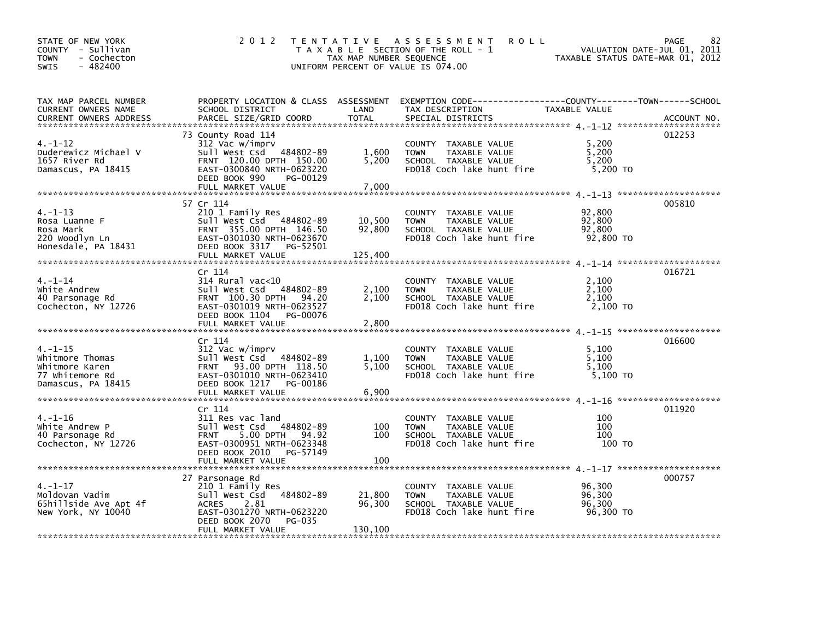| STATE OF NEW YORK<br>COUNTY - Sullivan<br>- Cochecton<br><b>TOWN</b><br>$-482400$<br>SWIS  | 2012                                                                                                                                                                       | TAX MAP NUMBER SEQUENCE | TENTATIVE ASSESSMENT<br><b>ROLL</b><br>T A X A B L E SECTION OF THE ROLL - 1<br>UNIFORM PERCENT OF VALUE IS 074.00                       | VALUATION DATE-JUL 01, 2011<br>TAXABLE STATUS DATE-MAR 01, 2012 | 82<br>PAGE  |
|--------------------------------------------------------------------------------------------|----------------------------------------------------------------------------------------------------------------------------------------------------------------------------|-------------------------|------------------------------------------------------------------------------------------------------------------------------------------|-----------------------------------------------------------------|-------------|
| TAX MAP PARCEL NUMBER<br>CURRENT OWNERS NAME<br><b>CURRENT OWNERS ADDRESS</b>              | SCHOOL DISTRICT<br>PARCEL SIZE/GRID COORD                                                                                                                                  | LAND<br><b>TOTAL</b>    | PROPERTY LOCATION & CLASS ASSESSMENT EXEMPTION CODE----------------COUNTY-------TOWN------SCHOOL<br>TAX DESCRIPTION<br>SPECIAL DISTRICTS | TAXABLE VALUE                                                   | ACCOUNT NO. |
| $4. - 1 - 12$<br>Duderewicz Michael V<br>1657 River Rd<br>Damascus, PA 18415               | 73 County Road 114<br>312 Vac w/imprv<br>Sull West Csd 484802-89<br>FRNT 120.00 DPTH 150.00<br>EAST-0300840 NRTH-0623220<br>DEED BOOK 990<br>PG-00129<br>FULL MARKET VALUE | 1,600<br>5,200<br>7,000 | COUNTY TAXABLE VALUE<br>TAXABLE VALUE<br><b>TOWN</b><br>SCHOOL TAXABLE VALUE<br>FD018 Coch lake hunt fire                                | 5,200<br>5,200<br>5,200<br>5,200 TO                             | 012253      |
|                                                                                            | 57 Cr 114                                                                                                                                                                  |                         |                                                                                                                                          |                                                                 | 005810      |
| $4. - 1 - 13$<br>Rosa Luanne F<br>Rosa Mark<br>220 Woodlyn Ln<br>Honesdale, PA 18431       | 210 1 Family Res<br>Sull West Csd 484802-89<br>FRNT 355.00 DPTH 146.50<br>EAST-0301030 NRTH-0623670<br>DEED BOOK 3317 PG-52501<br>FULL MARKET VALUE                        | 10,500<br>92,800        | COUNTY TAXABLE VALUE<br><b>TOWN</b><br>TAXABLE VALUE<br>SCHOOL TAXABLE VALUE<br>FD018 Coch lake hunt fire                                | 92,800<br>92,800<br>92,800<br>92,800 TO                         |             |
|                                                                                            |                                                                                                                                                                            | 125,400                 |                                                                                                                                          |                                                                 |             |
| $4. -1 - 14$<br>white Andrew<br>40 Parsonage Rd<br>Cochecton, NY 12726                     | Cr 114<br>$314$ Rural vac<10<br>Sull West Csd 484802-89<br>FRNT 100.30 DPTH<br>94.20<br>EAST-0301019 NRTH-0623527<br>DEED BOOK 1104 PG-00076                               | 2,100<br>2.100          | COUNTY TAXABLE VALUE<br>TAXABLE VALUE<br><b>TOWN</b><br>SCHOOL TAXABLE VALUE<br>FD018 Coch lake hunt fire                                | 2,100<br>2,100<br>2.100<br>2,100 TO                             | 016721      |
|                                                                                            | Cr 114                                                                                                                                                                     |                         |                                                                                                                                          |                                                                 | 016600      |
| $4. -1 - 15$<br>Whitmore Thomas<br>Whitmore Karen<br>77 Whitemore Rd<br>Damascus, PA 18415 | 312 Vac w/imprv<br>Sull West Csd 484802-89<br>FRNT 93.00 DPTH 118.50<br>EAST-0301010 NRTH-0623410<br>DEED BOOK 1217 PG-00186<br>FULL MARKET VALUE                          | 1,100<br>5,100<br>6,900 | COUNTY TAXABLE VALUE<br>TAXABLE VALUE<br><b>TOWN</b><br>SCHOOL TAXABLE VALUE<br>FD018 Coch lake hunt fire                                | 5,100<br>5,100<br>5.100<br>5,100 TO                             |             |
|                                                                                            |                                                                                                                                                                            |                         |                                                                                                                                          |                                                                 | 011920      |
| $4. - 1 - 16$<br>White Andrew P<br>40 Parsonage Rd<br>Cochecton, NY 12726                  | Cr 114<br>311 Res vac land<br>Sull West Csd 484802-89<br>5.00 DPTH 94.92<br><b>FRNT</b><br>EAST-0300951 NRTH-0623348<br>DEED BOOK 2010 PG-57149<br>FULL MARKET VALUE       | 100<br>100<br>100       | COUNTY TAXABLE VALUE<br><b>TAXABLE VALUE</b><br><b>TOWN</b><br>SCHOOL TAXABLE VALUE<br>FD018 Coch lake hunt fire                         | 100<br>100<br>100<br>100 TO                                     |             |
|                                                                                            | 27 Parsonage Rd                                                                                                                                                            |                         |                                                                                                                                          |                                                                 | 000757      |
| $4. - 1 - 17$<br>Moldovan Vadim<br>65hillside Ave Apt 4f<br>New York, NY 10040             | 210 1 Family Res<br>Sull West Csd<br>484802-89<br><b>ACRES</b><br>2.81<br>EAST-0301270 NRTH-0623220<br>DEED BOOK 2070<br>PG-035                                            | 21,800<br>96,300        | COUNTY TAXABLE VALUE<br>TAXABLE VALUE<br><b>TOWN</b><br>SCHOOL TAXABLE VALUE<br>FD018 Coch lake hunt fire                                | 96,300<br>96,300<br>96,300<br>96,300 TO                         |             |
|                                                                                            | FULL MARKET VALUE                                                                                                                                                          | 130,100                 |                                                                                                                                          |                                                                 |             |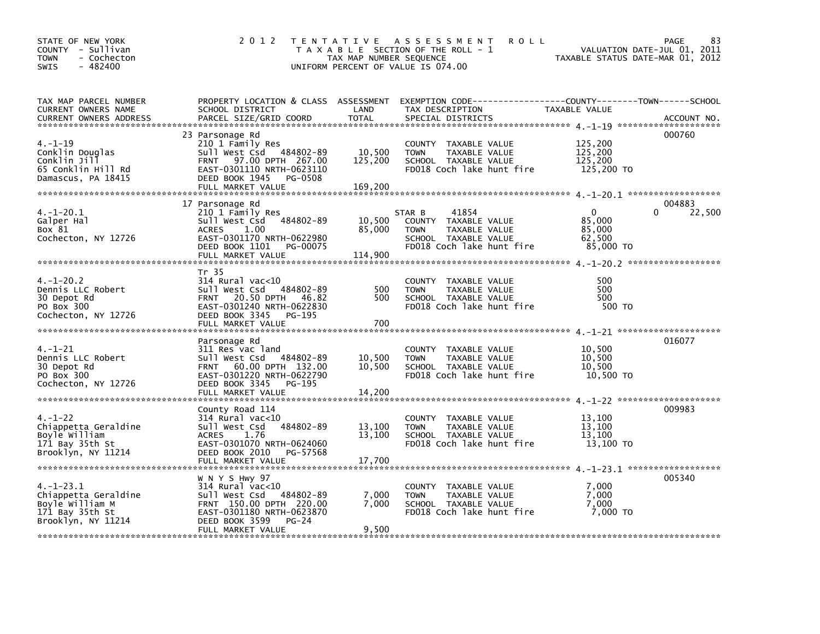| STATE OF NEW YORK<br>COUNTY - Sullivan<br><b>TOWN</b><br>- Cochecton<br>$-482400$<br>SWIS       |                                                                                                                                                                      | TAX MAP NUMBER SEQUENCE      | 2012 TENTATIVE ASSESSMENT ROLL<br>T A X A B L E SECTION OF THE ROLL - 1<br>UNIFORM PERCENT OF VALUE IS 074.00                | 25 1<br>VALUATION DATE-JUL 01, 2011<br>TAXABLE STATIIS DATE-MAP 01 2012 | 83<br>PAGE       |
|-------------------------------------------------------------------------------------------------|----------------------------------------------------------------------------------------------------------------------------------------------------------------------|------------------------------|------------------------------------------------------------------------------------------------------------------------------|-------------------------------------------------------------------------|------------------|
| TAX MAP PARCEL NUMBER<br>CURRENT OWNERS NAME                                                    | SCHOOL DISTRICT                                                                                                                                                      | LAND                         | PROPERTY LOCATION & CLASS ASSESSMENT EXEMPTION CODE----------------COUNTY-------TOWN------SCHOOL<br>TAX DESCRIPTION          | TAXABLE VALUE                                                           |                  |
| $4. - 1 - 19$<br>Conklin Douglas<br>Conklin Jill<br>65 Conklin Hill Rd<br>Damascus, PA 18415    | 23 Parsonage Rd<br>210 1 Family Res<br>Sull West Csd 484802-89<br>FRNT 97.00 DPTH 267.00<br>EAST-0301110 NRTH-0623110<br>DEED BOOK 1945 PG-0508<br>FULL MARKET VALUE | 10,500<br>125,200<br>169,200 | COUNTY TAXABLE VALUE<br>TAXABLE VALUE<br><b>TOWN</b><br>SCHOOL TAXABLE VALUE<br>FD018 Coch lake hunt fire                    | 125,200<br>125,200<br>125,200<br>125,200 TO                             | 000760           |
| 4. –1–20.1<br>Galper Hal<br>Box 81<br>Cochecton, NY 12726                                       | 17 Parsonage Rd<br>210 1 Family Res<br>Sull West Csd 484802-89<br>ACRES 1.00<br>EAST-0301170 NRTH-0622980<br>DEED BOOK 1101 PG-00075                                 | 10,500<br>85,000             | 41854<br>STAR B<br>COUNTY TAXABLE VALUE<br>TAXABLE VALUE<br><b>TOWN</b><br>SCHOOL TAXABLE VALUE<br>FD018 Coch lake hunt fire | $\mathbf{0}$<br>85,000<br>85,000<br>62,500<br>85,000 TO                 | 004883<br>22,500 |
| $4. - 1 - 20.2$<br>Dennis LLC Robert<br>30 Depot Rd                                             | FULL MARKET VALUE<br>Tr 35<br>314 Rural vac<10<br>Sull West Csd 484802-89<br>FRNT 20.50 DPTH 46.82                                                                   | 114,900<br>500<br>500        | COUNTY TAXABLE VALUE<br><b>TOWN</b><br>TAXABLE VALUE<br>SCHOOL TAXABLE VALUE                                                 | 500<br>500<br>500                                                       |                  |
| PO Box 300<br>Cochecton, NY 12726                                                               | EAST-0301240 NRTH-0622830<br>DEED BOOK 3345 PG-195<br>FULL MARKET VALUE<br>Parsonage Rd                                                                              | 700                          | FD018 Coch lake hunt fire                                                                                                    | 500 TO                                                                  | 016077           |
| $4. - 1 - 21$<br>Dennis LLC Robert<br>30 Depot Rd<br>PO Box 300<br>Cochecton, NY 12726          | 311 Res vac land<br>Sull West Csd 484802-89<br>FRNT 60.00 DPTH 132.00<br>EAST-0301220 NRTH-0622790<br>DEED BOOK 3345<br>PG-195                                       | 10,500<br>10,500             | COUNTY TAXABLE VALUE<br>TAXABLE VALUE<br><b>TOWN</b><br>SCHOOL TAXABLE VALUE<br>FD018 Coch lake hunt fire                    | 10,500<br>10,500<br>10,500<br>10,500 TO                                 |                  |
| $4. - 1 - 22$<br>Chiappetta Geraldine<br>Boyle William<br>171 Bay 35th St<br>Brooklyn, NY 11214 | County Road 114<br>$314$ Rural vac<10<br>484802-89<br>Sull West Csd<br>ACRES<br>1.76<br>EAST-0301070 NRTH-0624060<br>DEED BOOK 2010 PG-57568                         | 13,100<br>13,100             | COUNTY TAXABLE VALUE<br>TAXABLE VALUE<br><b>TOWN</b><br>SCHOOL TAXABLE VALUE<br>FD018 Coch lake hunt fire                    | 13,100<br>13,100<br>13,100<br>13,100 TO                                 | 009983           |
| $4. -1 - 23.1$<br>Chiappetta Geraldine<br>Boyle William M<br>171 Bay 35th St                    | W N Y S Hwy 97<br>314 Rural vac<10<br>Sull West Csd 484802-89<br>FRNT 150.00 DPTH 220.00<br>EAST-0301180 NRTH-0623870                                                | 7,000<br>7,000               | COUNTY TAXABLE VALUE<br>TAXABLE VALUE<br><b>TOWN</b><br>SCHOOL TAXABLE VALUE<br>FD018 Coch lake hunt fire                    | 7,000<br>7.000<br>7,000<br>7.000 TO                                     | 005340           |
| Brooklyn, NY 11214                                                                              | DEED BOOK 3599<br>PG-24<br>FULL MARKET VALUE                                                                                                                         | 9,500                        |                                                                                                                              |                                                                         |                  |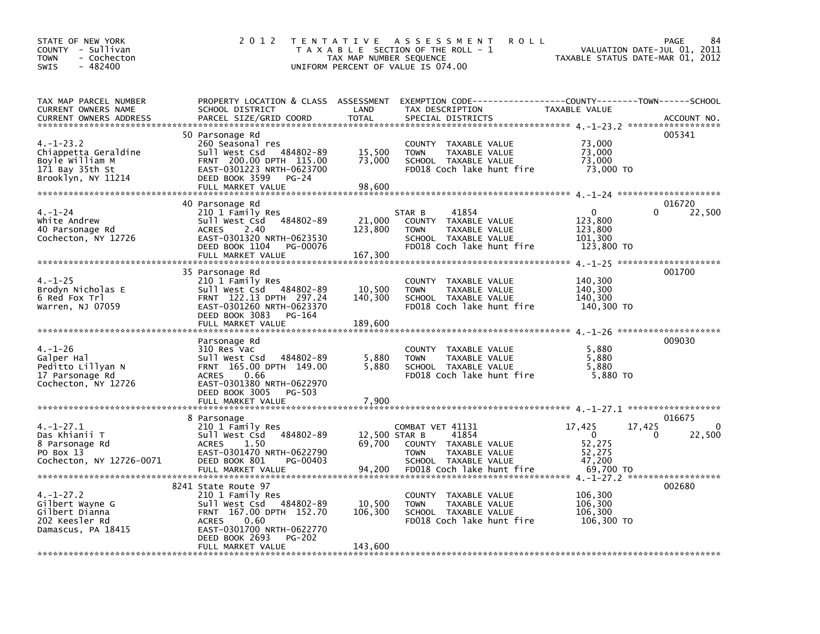| STATE OF NEW YORK<br>COUNTY - Sullivan<br>- Cochecton<br><b>TOWN</b><br>$-482400$<br><b>SWIS</b>   | 2 0 1 2                                                                                                                                                                                                    | T E N T A T I V E<br>TAX MAP NUMBER SEQUENCE | A S S E S S M E N T<br><b>ROLL</b><br>T A X A B L E SECTION OF THE ROLL - 1<br>UNIFORM PERCENT OF VALUE IS 074.00                      | TAXABLE STATUS DATE-MAR 01, 2012                              | <b>PAGE</b><br>84<br>VALUATION DATE-JUL 01, 2011 |
|----------------------------------------------------------------------------------------------------|------------------------------------------------------------------------------------------------------------------------------------------------------------------------------------------------------------|----------------------------------------------|----------------------------------------------------------------------------------------------------------------------------------------|---------------------------------------------------------------|--------------------------------------------------|
| TAX MAP PARCEL NUMBER<br>CURRENT OWNERS NAME<br>CURRENT OWNERS ADDRESS                             | SCHOOL DISTRICT<br>PARCEL SIZE/GRID COORD                                                                                                                                                                  | LAND<br><b>TOTAL</b>                         | PROPERTY LOCATION & CLASS ASSESSMENT EXEMPTION CODE---------------COUNTY-------TOWN-----SCHOOL<br>TAX DESCRIPTION<br>SPECIAL DISTRICTS | <b>TAXABLE VALUE</b>                                          | ACCOUNT NO.                                      |
| $4. -1 - 23.2$<br>Chiappetta Geraldine<br>Boyle William M<br>171 Bay 35th St<br>Brooklyn, NY 11214 | 50 Parsonage Rd<br>260 Seasonal res<br>Sull West Csd 484802-89<br>FRNT 200.00 DPTH 115.00<br>EAST-0301223 NRTH-0623700<br>DEED BOOK 3599<br>PG-24<br>FULL MARKET VALUE                                     | 15,500<br>73,000<br>98,600                   | COUNTY TAXABLE VALUE<br><b>TOWN</b><br>TAXABLE VALUE<br>SCHOOL TAXABLE VALUE<br>FD018 Coch lake hunt fire                              | 73,000<br>73,000<br>73,000<br>73,000 TO                       | 005341                                           |
| $4. - 1 - 24$<br>white Andrew<br>40 Parsonage Rd<br>Cochecton, NY 12726                            | 40 Parsonage Rd<br>210 1 Family Res<br>Sull West Csd<br>484802-89<br>2.40<br><b>ACRES</b><br>EAST-0301320 NRTH-0623530<br>DEED BOOK 1104<br>PG-00076<br>FULL MARKET VALUE                                  | 21,000<br>123,800<br>167,300                 | 41854<br>STAR B<br>COUNTY TAXABLE VALUE<br>TAXABLE VALUE<br><b>TOWN</b><br>SCHOOL TAXABLE VALUE<br>FD018 Coch lake hunt fire           | 0<br>123,800<br>123,800<br>101,300<br>123,800 TO              | 016720<br>22,500<br>0                            |
| $4. - 1 - 25$<br>Brodyn Nicholas E<br>6 Red Fox Trl<br>Warren, NJ 07059                            | 35 Parsonage Rd<br>210 1 Family Res<br>Sull West Csd 484802-89<br>FRNT 122.13 DPTH 297.24<br>EAST-0301260 NRTH-0623370<br>DEED BOOK 3083<br>PG-164                                                         | 10,500<br>140,300                            | COUNTY TAXABLE VALUE<br><b>TOWN</b><br>TAXABLE VALUE<br>SCHOOL TAXABLE VALUE<br>FD018 Coch lake hunt fire                              | 140,300<br>140,300<br>140,300<br>140,300 TO                   | 001700                                           |
| $4. - 1 - 26$<br>Galper Hal<br>Peditto Lillyan N<br>17 Parsonage Rd<br>Cochecton, NY 12726         | Parsonage Rd<br>310 Res Vac<br>Sull West Csd<br>484802-89<br>FRNT 165.00 DPTH 149.00<br><b>ACRES</b><br>0.66<br>EAST-0301380 NRTH-0622970<br>DEED BOOK 3005<br>PG-503<br>FULL MARKET VALUE                 | 5,880<br>5,880<br>7,900                      | COUNTY TAXABLE VALUE<br>TAXABLE VALUE<br><b>TOWN</b><br>SCHOOL TAXABLE VALUE<br>FD018 Coch lake hunt fire                              | 5,880<br>5,880<br>5,880<br>5,880 TO                           | 009030                                           |
|                                                                                                    |                                                                                                                                                                                                            |                                              |                                                                                                                                        |                                                               |                                                  |
| $4. -1 - 27.1$<br>Das Khianii T<br>8 Parsonage Rd<br>PO Box 13<br>Cochecton, NY 12726-0071         | 8 Parsonage<br>210 1 Family Res<br>Sull West Csd 484802-89<br>1.50<br><b>ACRES</b><br>EAST-0301470 NRTH-0622790<br>DEED BOOK 801<br>PG-00403<br>FULL MARKET VALUE                                          | 12,500 STAR B<br>69,700<br>94,200            | COMBAT VET 41131<br>41854<br>COUNTY TAXABLE VALUE<br><b>TOWN</b><br>TAXABLE VALUE<br>SCHOOL TAXABLE VALUE<br>FD018 Coch lake hunt fire | 17,425<br>$\Omega$<br>52,275<br>52,275<br>47,200<br>69,700 TO | 016675<br>$\mathbf{0}$<br>17,425<br>22,500<br>0  |
| $4. -1 - 27.2$<br>Gilbert Wayne G<br>Gilbert Dianna<br>202 Keesler Rd<br>Damascus, PA 18415        | 8241 State Route 97<br>210 1 Family Res<br>Sull West Csd 484802-89<br>FRNT 167.00 DPTH 152.70<br><b>ACRES</b><br>0.60<br>EAST-0301700 NRTH-0622770<br>DEED BOOK 2693<br><b>PG-202</b><br>FULL MARKET VALUE | 10,500<br>106,300<br>143,600                 | COUNTY TAXABLE VALUE<br><b>TOWN</b><br>TAXABLE VALUE<br>SCHOOL TAXABLE VALUE<br>FD018 Coch lake hunt fire                              | 106,300<br>106,300<br>106,300<br>106,300 TO                   | 002680                                           |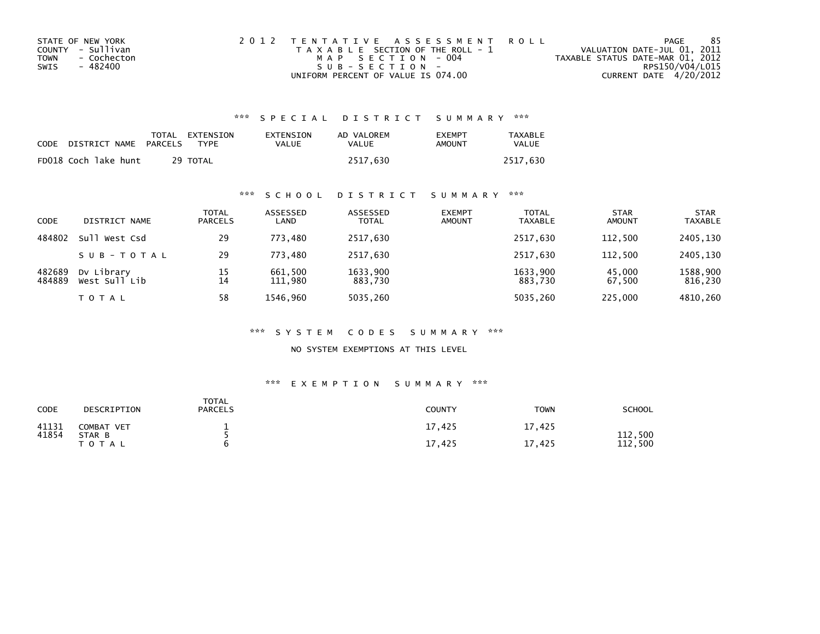| STATE OF NEW YORK   | 2012 TENTATIVE ASSESSMENT ROLL        | PAGE                             |                 | 85 |
|---------------------|---------------------------------------|----------------------------------|-----------------|----|
| COUNTY - Sullivan   | T A X A B L E SECTION OF THE ROLL - 1 | VALUATION DATE-JUL 01, 2011      |                 |    |
| TOWN<br>- Cochecton | MAP SECTION - 004                     | TAXABLE STATUS DATE-MAR 01, 2012 |                 |    |
| - 482400<br>SWIS    | $SUB - SECTION -$                     |                                  | RPS150/V04/L015 |    |
|                     | UNIFORM PERCENT OF VALUE IS 074.00    | CURRENT DATE 4/20/2012           |                 |    |

| CODE | DISTRICT NAME        | PARCELS | TOTAL EXTENSION<br>TYPF | EXTENSION<br><b>VALUE</b> | AD VALOREM<br>VALUE | <b>EXEMPT</b><br>AMOUNT | <b>TAXABLE</b><br><b>VALUE</b> |
|------|----------------------|---------|-------------------------|---------------------------|---------------------|-------------------------|--------------------------------|
|      | FD018 Coch lake hunt |         | 29 TOTAL                |                           | 2517.630            |                         | 2517.630                       |

## \*\*\* S C H O O L D I S T R I C T S U M M A R Y \*\*\*

| <b>CODE</b>      | DISTRICT NAME               | <b>TOTAL</b><br><b>PARCELS</b> | ASSESSED<br>LAND   | ASSESSED<br><b>TOTAL</b> | <b>EXEMPT</b><br><b>AMOUNT</b> | <b>TOTAL</b><br><b>TAXABLE</b> | <b>STAR</b><br><b>AMOUNT</b> | <b>STAR</b><br><b>TAXABLE</b> |
|------------------|-----------------------------|--------------------------------|--------------------|--------------------------|--------------------------------|--------------------------------|------------------------------|-------------------------------|
| 484802           | Sull West Csd               | 29                             | 773,480            | 2517,630                 |                                | 2517,630                       | 112,500                      | 2405,130                      |
|                  | SUB-TOTAL                   | 29                             | 773.480            | 2517,630                 |                                | 2517.630                       | 112,500                      | 2405.130                      |
| 482689<br>484889 | Dy Library<br>West Sull Lib | 15<br>14                       | 661,500<br>111,980 | 1633,900<br>883,730      |                                | 1633,900<br>883,730            | 45,000<br>67,500             | 1588,900<br>816,230           |
|                  | T O T A L                   | 58                             | 1546.960           | 5035,260                 |                                | 5035,260                       | 225,000                      | 4810,260                      |

### \*\*\* S Y S T E M C O D E S S U M M A R Y \*\*\*

NO SYSTEM EXEMPTIONS AT THIS LEVEL

| CODE           | DESCRIPTION          | <b>TOTAL</b><br><b>PARCELS</b> | COUNTY | <b>TOWN</b> | <b>SCHOOL</b>  |
|----------------|----------------------|--------------------------------|--------|-------------|----------------|
| 41131<br>41854 | COMBAT VET<br>STAR B | -                              | 17,425 | 17,425      | 112,500        |
|                | <b>TOTAL</b>         |                                | 17,425 | 17,425      | 112<br>. . 500 |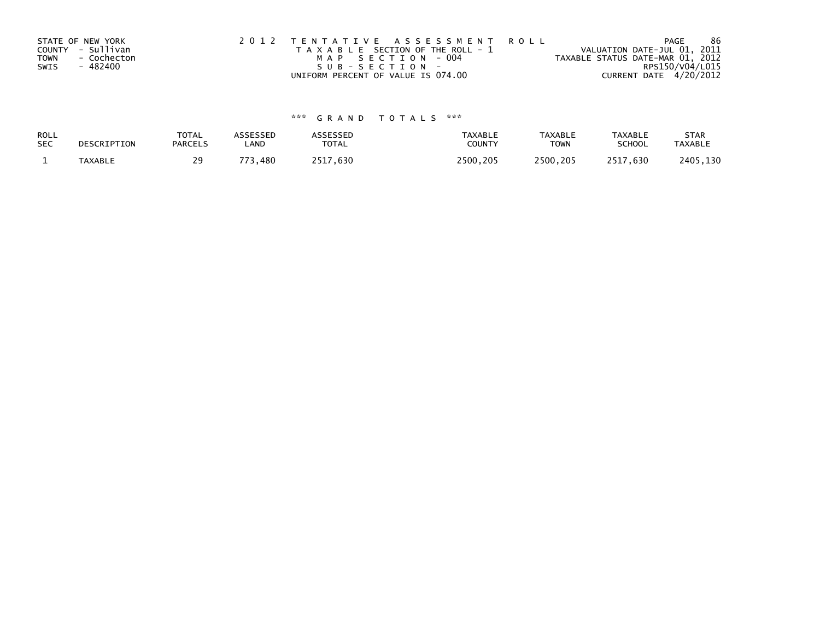|             | STATE OF NEW YORK | 2012 TENTATIVE ASSESSMENT ROLL        | <b>PAGE</b>                      | 86 |
|-------------|-------------------|---------------------------------------|----------------------------------|----|
|             | COUNTY - Sullivan | T A X A B L E SECTION OF THE ROLL - 1 | VALUATION DATE-JUL 01, 2011      |    |
| <b>TOWN</b> | - Cochecton       | MAP SECTION - 004                     | TAXABLE STATUS DATE-MAR 01, 2012 |    |
| SWIS        | - 482400          | SUB-SECTION-                          | RPS150/V04/L015                  |    |
|             |                   | UNIFORM PERCENT OF VALUE IS 074.00    | CURRENT DATE 4/20/2012           |    |

| ROLL       | DESCRIPTION    | <b>TOTAL</b>   | <b>ASSESSED</b> | <b>\SSESSED</b> | <b>TAXABLE</b> | <b>TAXABLE</b> | <b>TAXABLE</b> | <b>STAR</b>    |
|------------|----------------|----------------|-----------------|-----------------|----------------|----------------|----------------|----------------|
| <b>SEC</b> |                | <b>PARCELS</b> | LAND            | <b>TOTAL</b>    | COUNTY         | <b>TOWN</b>    | <b>SCHOOL</b>  | <b>TAXABLE</b> |
|            | <b>TAXABLE</b> | 29             | 73,480<br>フフつ   | 2517.630        | 2500.205       | 2500.205       | 2517.630       | 2405,130       |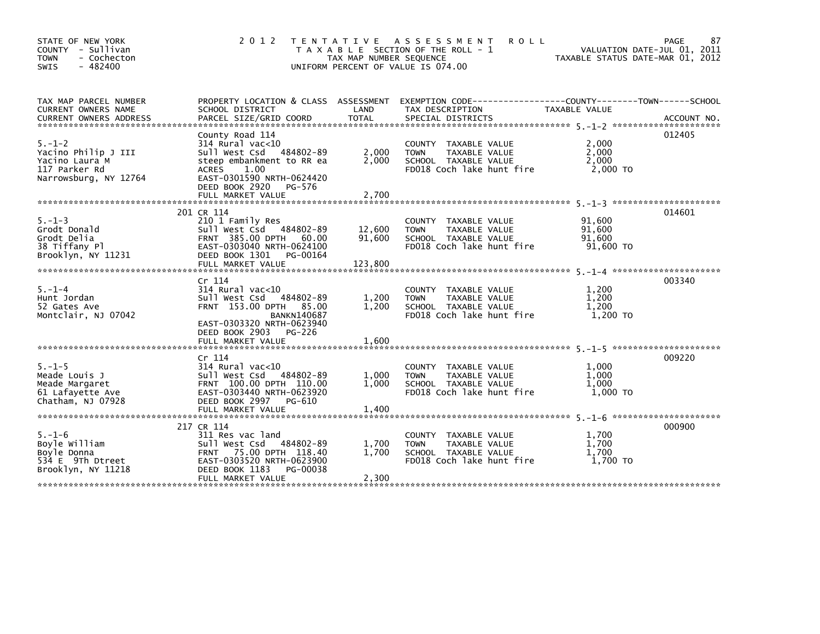| 2 0 1 2                                                                                                                |                                                  |                                                                                                                                                                                                                                                                                                                                                                                                                |                                                                                                                               | 87<br>PAGE<br>VALUATION DATE-JUL 01, 2011                                                                                                         |
|------------------------------------------------------------------------------------------------------------------------|--------------------------------------------------|----------------------------------------------------------------------------------------------------------------------------------------------------------------------------------------------------------------------------------------------------------------------------------------------------------------------------------------------------------------------------------------------------------------|-------------------------------------------------------------------------------------------------------------------------------|---------------------------------------------------------------------------------------------------------------------------------------------------|
| SCHOOL DISTRICT<br>PARCEL SIZE/GRID COORD                                                                              | LAND<br><b>TOTAL</b>                             | TAX DESCRIPTION<br>SPECIAL DISTRICTS                                                                                                                                                                                                                                                                                                                                                                           | <b>TAXABLE VALUE</b>                                                                                                          | ACCOUNT NO.                                                                                                                                       |
| County Road 114<br>314 Rural vac<10<br>sull west Csd<br>ACRES<br>1.00<br>DEED BOOK 2920<br>PG-576<br>FULL MARKET VALUE | 2,000<br>2,000<br>2,700                          | COUNTY TAXABLE VALUE<br>TAXABLE VALUE<br><b>TOWN</b><br>SCHOOL TAXABLE VALUE<br>FD018 Coch lake hunt fire                                                                                                                                                                                                                                                                                                      | 2,000<br>2,000<br>2,000<br>2,000 TO                                                                                           | 012405                                                                                                                                            |
|                                                                                                                        |                                                  |                                                                                                                                                                                                                                                                                                                                                                                                                |                                                                                                                               | 014601                                                                                                                                            |
| 210 1 Family Res<br>FRNT 385.00 DPTH<br>DEED BOOK 1301<br>FULL MARKET VALUE                                            | 12,600<br>91,600<br>123,800                      | COUNTY TAXABLE VALUE<br><b>TOWN</b><br>TAXABLE VALUE<br>SCHOOL TAXABLE VALUE<br>FD018 Coch lake hunt fire                                                                                                                                                                                                                                                                                                      | 91,600<br>91,600<br>91,600<br>91,600 TO                                                                                       |                                                                                                                                                   |
|                                                                                                                        |                                                  |                                                                                                                                                                                                                                                                                                                                                                                                                |                                                                                                                               | 003340                                                                                                                                            |
| $314$ Rural vac<10<br>Sull West Csd<br><b>BANKN140687</b><br>DEED BOOK 2903<br>PG-226                                  | 1,200<br>1,200                                   | COUNTY TAXABLE VALUE<br>TAXABLE VALUE<br><b>TOWN</b><br>SCHOOL TAXABLE VALUE<br>FD018 Coch lake hunt fire                                                                                                                                                                                                                                                                                                      | 1,200<br>1,200<br>1,200<br>1.200 TO                                                                                           |                                                                                                                                                   |
| FULL MARKET VALUE                                                                                                      | 1,600                                            |                                                                                                                                                                                                                                                                                                                                                                                                                |                                                                                                                               |                                                                                                                                                   |
| Cr 114<br>$314$ Rural vac<10                                                                                           | 1,000<br>1,000                                   | COUNTY TAXABLE VALUE<br>TAXABLE VALUE<br><b>TOWN</b><br>SCHOOL TAXABLE VALUE<br>FD018 Coch lake hunt fire                                                                                                                                                                                                                                                                                                      | 1,000<br>1,000<br>1,000<br>1,000 TO                                                                                           | 009220                                                                                                                                            |
| FULL MARKET VALUE                                                                                                      | 1,400                                            |                                                                                                                                                                                                                                                                                                                                                                                                                |                                                                                                                               |                                                                                                                                                   |
| 217 CR 114<br>311 Res vac land<br>DEED BOOK 1183<br>PG-00038<br>FULL MARKET VALUE                                      | 1,700<br>1,700<br>2,300                          | <b>COUNTY</b><br>TAXABLE VALUE<br>TAXABLE VALUE<br><b>TOWN</b><br>SCHOOL TAXABLE VALUE<br>FD018 Coch lake hunt fire                                                                                                                                                                                                                                                                                            | 1,700<br>1,700<br>1,700<br>1,700 TO                                                                                           | 000900                                                                                                                                            |
|                                                                                                                        | 201 CR 114<br>Cr 114<br>DEED BOOK 2997<br>PG-610 | T E N T A T I V E<br>484802-89<br>steep embankment to RR ea<br>EAST-0301590 NRTH-0624420<br>Sull West Csd 484802-89<br>60.00<br>EAST-0303040 NRTH-0624100<br>PG-00164<br>484802-89<br>FRNT 153.00 DPTH 85.00<br>EAST-0303320 NRTH-0623940<br>Sull West Csd 484802-89<br>FRNT 100.00 DPTH 110.00<br>EAST-0303440 NRTH-0623920<br>Sull West Csd 484802-89<br>FRNT 75.00 DPTH 118.40<br>EAST-0303520 NRTH-0623900 | A S S E S S M E N T<br>T A X A B L E SECTION OF THE ROLL - 1<br>TAX MAP NUMBER SEQUENCE<br>UNIFORM PERCENT OF VALUE IS 074.00 | <b>ROLL</b><br>TAXABLE STATUS DATE-MAR 01, 2012<br>PROPERTY LOCATION & CLASS ASSESSMENT EXEMPTION CODE---------------COUNTY-------TOWN-----SCHOOL |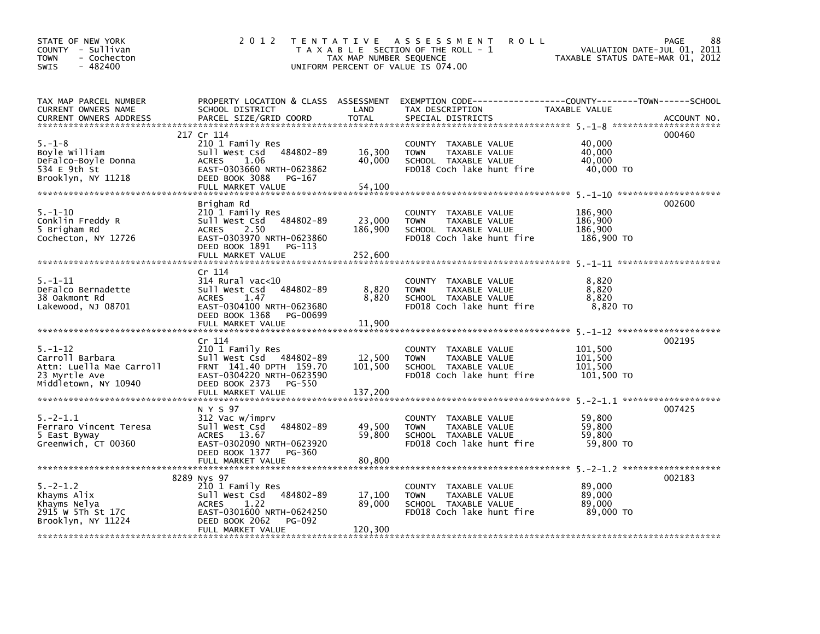| STATE OF NEW YORK<br>COUNTY - Sullivan<br>- Cochecton<br>TOWN<br>$-482400$<br>SWIS                    | 2 0 1 2                                                                                                                                                                              | TAX MAP NUMBER SEQUENCE                | TENTATIVE ASSESSMENT<br><b>ROLL</b><br>T A X A B L E SECTION OF THE ROLL - 1<br>UNIFORM PERCENT OF VALUE IS 074.00                       | VALUATION DATE-JUL 01, 2011<br>TAXABLE STATUS DATE-MAR 01, 2012 | 88<br>PAGE  |
|-------------------------------------------------------------------------------------------------------|--------------------------------------------------------------------------------------------------------------------------------------------------------------------------------------|----------------------------------------|------------------------------------------------------------------------------------------------------------------------------------------|-----------------------------------------------------------------|-------------|
| TAX MAP PARCEL NUMBER<br>CURRENT OWNERS NAME<br>CURRENT OWNERS ADDRESS                                | SCHOOL DISTRICT<br>PARCEL SIZE/GRID COORD                                                                                                                                            | LAND<br><b>TOTAL</b>                   | PROPERTY LOCATION & CLASS ASSESSMENT EXEMPTION CODE----------------COUNTY-------TOWN------SCHOOL<br>TAX DESCRIPTION<br>SPECIAL DISTRICTS | TAXABLE VALUE                                                   | ACCOUNT NO. |
| $5. - 1 - 8$<br>Boyle William<br>DeFalco-Boyle Donna<br>534 E 9th St<br>Brooklyn, NY 11218            | 217 Cr 114<br>210 1 Family Res<br>Sull West Csd 484802-89<br><b>ACRES</b><br>1.06<br>EAST-0303660 NRTH-0623862<br>DEED BOOK 3088<br>PG-167                                           | 16,300<br>40,000                       | COUNTY TAXABLE VALUE<br>TAXABLE VALUE<br><b>TOWN</b><br>SCHOOL TAXABLE VALUE<br>FD018 Coch lake hunt fire                                | 40,000<br>40,000<br>40.000<br>40,000 TO                         | 000460      |
| $5. - 1 - 10$<br>Conklin Freddy R<br>5 Brigham Rd<br>Cochecton, NY 12726                              | FULL MARKET VALUE<br>Brigham Rd<br>210 1 Family Res<br>Sull West Csd 484802-89<br><b>ACRES</b><br>2.50<br>EAST-0303970 NRTH-0623860<br>DEED BOOK 1891<br>PG-113<br>FULL MARKET VALUE | 54,100<br>23,000<br>186,900<br>252,600 | COUNTY TAXABLE VALUE<br><b>TOWN</b><br>TAXABLE VALUE<br>SCHOOL TAXABLE VALUE<br>FD018 Coch lake hunt fire                                | 186,900<br>186,900<br>186,900<br>186,900 TO                     | 002600      |
| $5. - 1 - 11$<br>DeFalco Bernadette<br>38 Oakmont Rd<br>Lakewood, NJ 08701                            | Cr 114<br>$314$ Rural vac<10<br>484802-89<br>Sull West Csd<br><b>ACRES</b><br>1.47<br>EAST-0304100 NRTH-0623680<br>DEED BOOK 1368<br>PG-00699<br>FULL MARKET VALUE                   | 8,820<br>8,820<br>11,900               | COUNTY TAXABLE VALUE<br><b>TOWN</b><br>TAXABLE VALUE<br>SCHOOL TAXABLE VALUE<br>FD018 Coch lake hunt fire                                | 8,820<br>8,820<br>8,820<br>8,820 TO                             |             |
| $5. - 1 - 12$<br>Carroll Barbara<br>Attn: Luella Mae Carroll<br>23 Myrtle Ave<br>Middletown, NY 10940 | Cr 114<br>210 1 Family Res<br>Sull West Csd 484802-89<br>FRNT 141.40 DPTH 159.70<br>EAST-0304220 NRTH-0623590<br>DEED BOOK 2373<br>PG-550                                            | 12,500<br>101,500                      | COUNTY TAXABLE VALUE<br>TAXABLE VALUE<br><b>TOWN</b><br>SCHOOL TAXABLE VALUE<br>FD018 Coch lake hunt fire                                | 101,500<br>101,500<br>101.500<br>101,500 TO                     | 002195      |
| $5. -2 - 1.1$<br>Ferraro Vincent Teresa<br>5 East Byway<br>Greenwich, CT 00360                        | N Y S 97<br>312 Vac w/imprv<br>484802-89<br>Sull West Csd<br>ACRES 13.67<br>EAST-0302090 NRTH-0623920<br>DEED BOOK 1377 PG-360                                                       | 49,500<br>59,800                       | COUNTY TAXABLE VALUE<br>TAXABLE VALUE<br><b>TOWN</b><br>SCHOOL TAXABLE VALUE<br>FD018 Coch lake hunt fire                                | 59,800<br>59,800<br>59.800<br>59,800 TO                         | 007425      |
| $5. -2 - 1.2$<br>Khayms Alix<br>Khayms Nelya<br>2915 W 5Th St 17C<br>Brooklyn, NY 11224               | 8289 Nys 97<br>210 1 Family Res<br>484802-89<br>Sull West Csd<br>1.22<br><b>ACRES</b><br>EAST-0301600 NRTH-0624250<br>DEED BOOK 2062<br>PG-092<br>FULL MARKET VALUE                  | 17,100<br>89,000<br>120,300            | COUNTY TAXABLE VALUE<br><b>TOWN</b><br>TAXABLE VALUE<br>SCHOOL TAXABLE VALUE<br>FD018 Coch lake hunt fire                                | 89,000<br>89,000<br>89,000<br>89.000 TO                         | 002183      |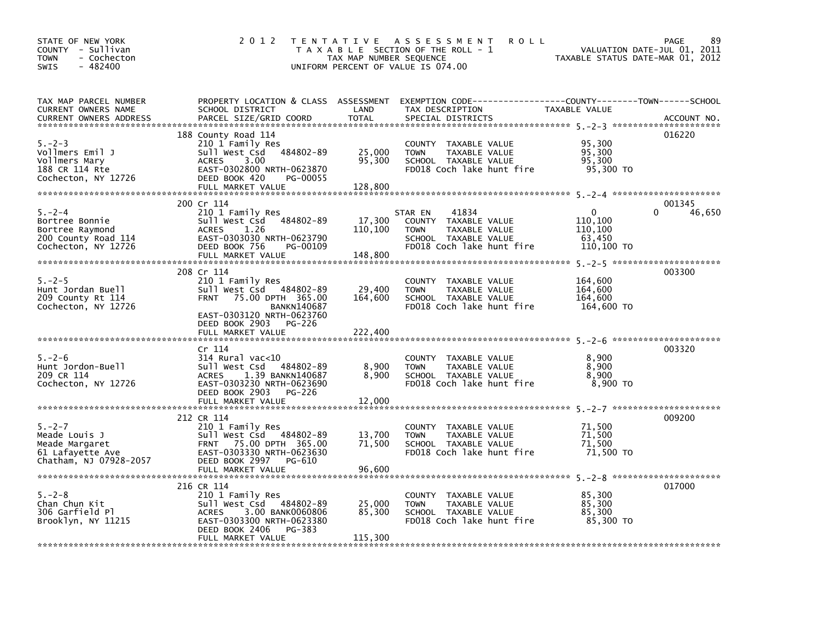| STATE OF NEW YORK<br>COUNTY - Sullivan<br>- Cochecton<br>TOWN<br>$-482400$<br><b>SWIS</b> | 2 0 1 2                                             | TAX MAP NUMBER SEQUENCE | TENTATIVE ASSESSMENT<br><b>ROLL</b><br>T A X A B L E SECTION OF THE ROLL - 1<br>UNIFORM PERCENT OF VALUE IS 074.00 | VALUATION DATE-JUL 01, 2011<br>TAXABLE STATUS DATE-MAR 01, 2012 | 89<br>PAGE  |
|-------------------------------------------------------------------------------------------|-----------------------------------------------------|-------------------------|--------------------------------------------------------------------------------------------------------------------|-----------------------------------------------------------------|-------------|
| TAX MAP PARCEL NUMBER                                                                     |                                                     |                         | PROPERTY LOCATION & CLASS ASSESSMENT EXEMPTION CODE-----------------COUNTY-------TOWN-----SCHOOL                   |                                                                 |             |
| CURRENT OWNERS NAME<br><b>CURRENT OWNERS ADDRESS</b>                                      | SCHOOL DISTRICT<br>PARCEL SIZE/GRID COORD           | LAND<br><b>TOTAL</b>    | TAX DESCRIPTION<br>SPECIAL DISTRICTS                                                                               | TAXABLE VALUE                                                   | ACCOUNT NO. |
|                                                                                           |                                                     |                         |                                                                                                                    |                                                                 |             |
| $5. - 2 - 3$                                                                              | 188 County Road 114<br>210 1 Family Res             |                         | COUNTY TAXABLE VALUE                                                                                               | 95,300                                                          | 016220      |
| Vollmers Emil J                                                                           | 484802-89<br>Sull West Csd                          | 25,000                  | TAXABLE VALUE<br><b>TOWN</b>                                                                                       | 95,300                                                          |             |
| Vollmers Mary                                                                             | 3.00<br>ACRES                                       | 95,300                  | SCHOOL TAXABLE VALUE                                                                                               | 95,300                                                          |             |
| 188 CR 114 Rte                                                                            | EAST-0302800 NRTH-0623870                           |                         | FD018 Coch lake hunt fire                                                                                          | 95,300 TO                                                       |             |
| Cochecton, NY 12726                                                                       | DEED BOOK 420<br>PG-00055<br>FULL MARKET VALUE      | 128,800                 |                                                                                                                    |                                                                 |             |
|                                                                                           |                                                     |                         |                                                                                                                    |                                                                 |             |
|                                                                                           | 200 Cr 114                                          |                         |                                                                                                                    |                                                                 | 001345      |
| $5. - 2 - 4$                                                                              | 210 1 Family Res                                    | 17,300                  | 41834<br>STAR EN                                                                                                   | 0<br>110,100                                                    | 0<br>46,650 |
| Bortree Bonnie<br>Bortree Raymond                                                         | Sull West Csd 484802-89<br>1.26<br>ACRES            | 110,100                 | COUNTY TAXABLE VALUE<br>TAXABLE VALUE<br>TOWN                                                                      | 110,100                                                         |             |
| 200 County Road 114                                                                       | EAST-0303030 NRTH-0623790                           |                         | SCHOOL TAXABLE VALUE                                                                                               | 63,450                                                          |             |
| Cochecton, NY 12726                                                                       | DEED BOOK 756<br>PG-00109                           |                         | FD018 Coch lake hunt fire                                                                                          | 110,100 TO                                                      |             |
|                                                                                           | FULL MARKET VALUE                                   | 148,800                 |                                                                                                                    |                                                                 |             |
|                                                                                           | 208 Cr 114                                          |                         |                                                                                                                    |                                                                 | 003300      |
| $5. - 2 - 5$                                                                              | 210 1 Family Res                                    |                         | COUNTY TAXABLE VALUE                                                                                               | 164,600                                                         |             |
| Hunt Jordan Buell                                                                         | Sull West Csd 484802-89                             | 29,400                  | <b>TOWN</b><br>TAXABLE VALUE                                                                                       | 164,600                                                         |             |
| 209 County Rt 114                                                                         | 75.00 DPTH 365.00<br><b>FRNT</b>                    | 164,600                 | SCHOOL TAXABLE VALUE                                                                                               | 164,600                                                         |             |
| Cochecton, NY 12726                                                                       | <b>BANKN140687</b><br>EAST-0303120 NRTH-0623760     |                         | FD018 Coch lake hunt fire                                                                                          | 164,600 TO                                                      |             |
|                                                                                           | DEED BOOK 2903 PG-226                               |                         |                                                                                                                    |                                                                 |             |
|                                                                                           | FULL MARKET VALUE                                   | 222,400                 |                                                                                                                    |                                                                 |             |
|                                                                                           |                                                     |                         |                                                                                                                    |                                                                 |             |
| $5. - 2 - 6$                                                                              | Cr 114<br>$314$ Rural vac< $10$                     |                         | COUNTY TAXABLE VALUE                                                                                               | 8,900                                                           | 003320      |
| Hunt Jordon-Buell                                                                         | 484802-89<br>Sull West Csd                          | 8,900                   | <b>TOWN</b><br>TAXABLE VALUE                                                                                       | 8.900                                                           |             |
| 209 CR 114                                                                                | 1.39 BANKN140687<br>ACRES                           | 8,900                   | SCHOOL TAXABLE VALUE                                                                                               | 8,900                                                           |             |
| Cochecton, NY 12726                                                                       | EAST-0303230 NRTH-0623690                           |                         | FD018 Coch lake hunt fire                                                                                          | 8,900 TO                                                        |             |
|                                                                                           | DEED BOOK 2903<br>PG-226                            |                         |                                                                                                                    |                                                                 |             |
|                                                                                           |                                                     |                         |                                                                                                                    |                                                                 |             |
|                                                                                           | 212 CR 114                                          |                         |                                                                                                                    |                                                                 | 009200      |
| $5. -2 - 7$                                                                               | 210 1 Family Res                                    |                         | COUNTY TAXABLE VALUE                                                                                               | 71,500                                                          |             |
| Meade Louis J                                                                             | Sull West Csd 484802-89                             | 13,700                  | <b>TOWN</b><br>TAXABLE VALUE                                                                                       | 71,500<br>71,500                                                |             |
| Meade Margaret<br>61 Lafayette Ave                                                        | FRNT 75.00 DPTH 365.00<br>EAST-0303330 NRTH-0623630 | 71,500                  | SCHOOL TAXABLE VALUE<br>FD018 Coch lake hunt fire                                                                  | 71,500 TO                                                       |             |
| Chatham, NJ 07928-2057                                                                    | DEED BOOK 2997 PG-610                               |                         |                                                                                                                    |                                                                 |             |
|                                                                                           | FULL MARKET VALUE                                   | 96,600                  |                                                                                                                    |                                                                 |             |
|                                                                                           |                                                     |                         |                                                                                                                    |                                                                 |             |
| $5. - 2 - 8$                                                                              | 216 CR 114<br>210 1 Family Res                      |                         | COUNTY TAXABLE VALUE                                                                                               | 85,300                                                          | 017000      |
| Chan Chun Kit                                                                             | 484802-89<br>Sull West Csd                          | 25,000                  | TAXABLE VALUE<br><b>TOWN</b>                                                                                       | 85,300                                                          |             |
| 306 Garfield Pl                                                                           | 3.00 BANK0060806<br><b>ACRES</b>                    | 85,300                  | SCHOOL TAXABLE VALUE                                                                                               | 85,300                                                          |             |
| Brooklyn, NY 11215                                                                        | EAST-0303300 NRTH-0623380                           |                         | FD018 Coch lake hunt fire                                                                                          | 85,300 TO                                                       |             |
|                                                                                           | DEED BOOK 2406<br>PG-383<br>FULL MARKET VALUE       | 115,300                 |                                                                                                                    |                                                                 |             |
|                                                                                           |                                                     |                         |                                                                                                                    |                                                                 |             |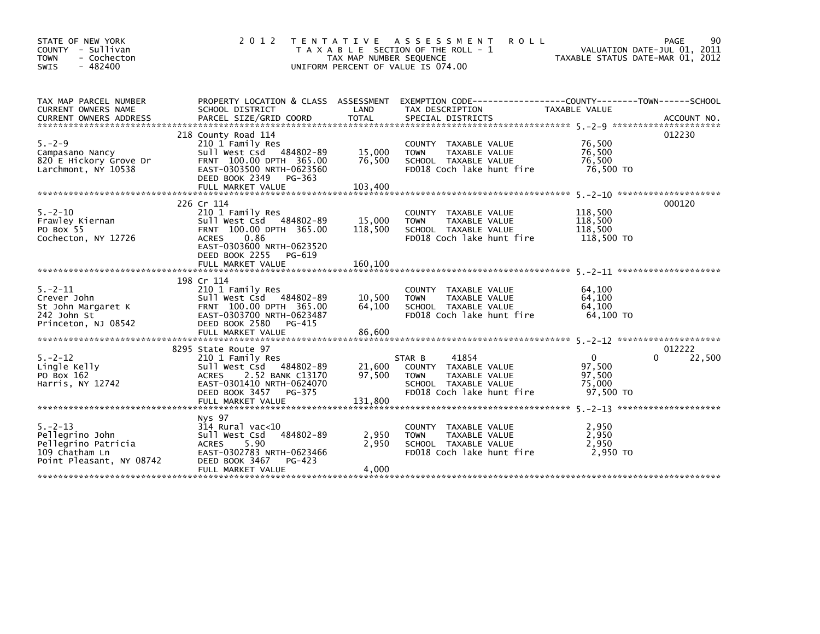| STATE OF NEW YORK<br>COUNTY - Sullivan<br><b>TOWN</b><br>- Cochecton<br>$-482400$<br>SWIS             | 2 0 1 2                                                                                                                                                             | T E N T A T I V E<br>TAX MAP NUMBER SEQUENCE<br>UNIFORM PERCENT OF VALUE IS 074.00 | <b>ROLL</b><br>A S S E S S M E N T<br>T A X A B L E SECTION OF THE ROLL - 1                                                  | TAXABLE STATUS DATE-MAR 01, 2012                        | PAGE<br>90<br>VALUATION DATE-JUL 01, 2011 |
|-------------------------------------------------------------------------------------------------------|---------------------------------------------------------------------------------------------------------------------------------------------------------------------|------------------------------------------------------------------------------------|------------------------------------------------------------------------------------------------------------------------------|---------------------------------------------------------|-------------------------------------------|
| TAX MAP PARCEL NUMBER<br>CURRENT OWNERS NAME                                                          | SCHOOL DISTRICT                                                                                                                                                     | LAND                                                                               | PROPERTY LOCATION & CLASS ASSESSMENT EXEMPTION CODE---------------COUNTY-------TOWN-----SCHOOL<br>TAX DESCRIPTION            | TAXABLE VALUE                                           |                                           |
| $5. - 2 - 9$<br>Campasano Nancy<br>820 E Hickory Grove Dr<br>Larchmont, NY 10538                      | 218 County Road 114<br>210 1 Family Res<br>Sull West Csd 484802-89<br>FRNT 100.00 DPTH 365.00<br>EAST-0303500 NRTH-0623560<br>DEED BOOK 2349<br>PG-363              | 15,000<br>76,500                                                                   | COUNTY TAXABLE VALUE<br>TAXABLE VALUE<br><b>TOWN</b><br>SCHOOL TAXABLE VALUE<br>FD018 Coch lake hunt fire                    | 76,500<br>76,500<br>76.500<br>76,500 TO                 | 012230                                    |
| $5. - 2 - 10$<br>Frawley Kiernan<br>PO Box 55<br>Cochecton, NY 12726                                  | 226 Cr 114<br>210 1 Family Res<br>Sull West Csd 484802-89<br>FRNT 100.00 DPTH 365.00<br>0.86<br><b>ACRES</b><br>EAST-0303600 NRTH-0623520<br>DEED BOOK 2255 PG-619  | 15,000<br>118,500                                                                  | COUNTY TAXABLE VALUE<br>TAXABLE VALUE<br><b>TOWN</b><br>SCHOOL TAXABLE VALUE<br>FD018 Coch lake hunt fire                    | 118,500<br>118,500<br>118,500<br>118,500 TO             | 000120                                    |
|                                                                                                       | FULL MARKET VALUE                                                                                                                                                   | 160,100                                                                            |                                                                                                                              |                                                         |                                           |
| $5. - 2 - 11$<br>Crever John<br>St John Margaret K<br>242 John St<br>Princeton, NJ 08542              | 198 Cr 114<br>210 1 Family Res<br>Sull West Csd 484802-89<br>FRNT 100.00 DPTH 365.00<br>EAST-0303700 NRTH-0623487<br>DEED BOOK 2580<br>PG-415<br>FULL MARKET VALUE  | 10,500<br>64,100<br>86,600                                                         | COUNTY TAXABLE VALUE<br><b>TOWN</b><br>TAXABLE VALUE<br>SCHOOL TAXABLE VALUE<br>FD018 Coch lake hunt fire                    | 64.100<br>64.100<br>64.100<br>64.100 TO                 |                                           |
|                                                                                                       |                                                                                                                                                                     |                                                                                    |                                                                                                                              |                                                         |                                           |
| $5. -2 - 12$<br>Lingle Kelly<br>PO Box 162<br>Harris, NY 12742                                        | 8295 State Route 97<br>210 1 Family Res<br>Sull West Csd 484802-89<br>2.52 BANK C13170<br>ACRES<br>EAST-0301410 NRTH-0624070<br>DEED BOOK 3457<br>PG-375            | 21,600<br>97,500                                                                   | 41854<br>STAR B<br>COUNTY TAXABLE VALUE<br>TAXABLE VALUE<br><b>TOWN</b><br>SCHOOL TAXABLE VALUE<br>FD018 Coch lake hunt fire | $\mathbf{0}$<br>97,500<br>97,500<br>75,000<br>97,500 TO | 012222<br>22,500                          |
| $5. - 2 - 13$<br>Pellegrino John<br>Pellegrino Patricia<br>109 Chatham Ln<br>Point Pleasant, NY 08742 | Nys 97<br>$314$ Rural vac< $10$<br>484802-89<br>Sull West Csd<br>5.90<br><b>ACRES</b><br>EAST-0302783 NRTH-0623466<br>DEED BOOK 3467<br>PG-423<br>FULL MARKET VALUE | 2,950<br>2,950<br>4,000                                                            | COUNTY TAXABLE VALUE<br><b>TOWN</b><br>TAXABLE VALUE<br>SCHOOL TAXABLE VALUE<br>FD018 Coch lake hunt fire                    | 2,950<br>2,950<br>2,950<br>2.950 TO                     |                                           |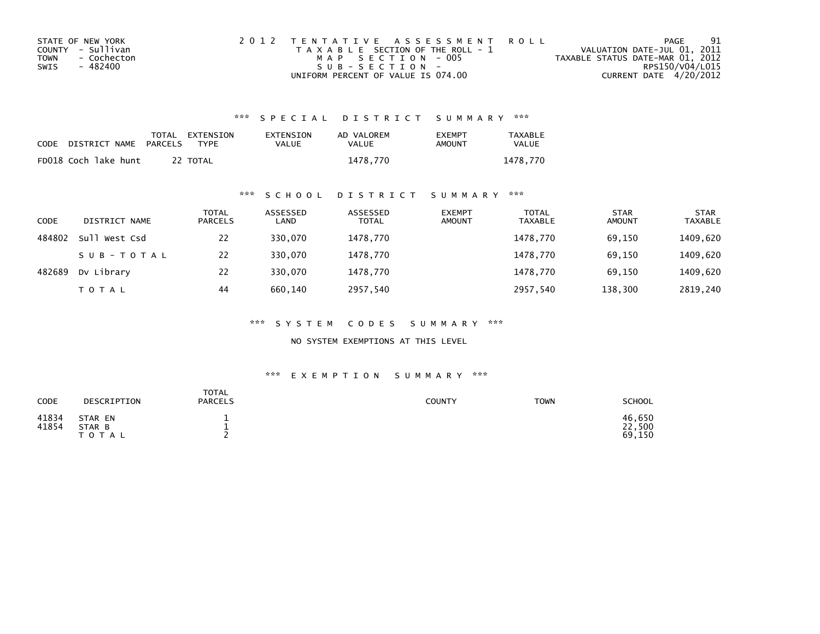| STATE OF NEW YORK   | 2012 TENTATIVE ASSESSMENT ROLL        | PAGE                             | 91              |
|---------------------|---------------------------------------|----------------------------------|-----------------|
| COUNTY - Sullivan   | T A X A B L E SECTION OF THE ROLL - 1 | VALUATION DATE-JUL 01, 2011      |                 |
| - Cochecton<br>TOWN | MAP SECTION - 005                     | TAXABLE STATUS DATE-MAR 01, 2012 |                 |
| SWIS<br>- 482400    | $SUB - SECTION -$                     |                                  | RPS150/V04/L015 |
|                     | UNIFORM PERCENT OF VALUE IS 074.00    | CURRENT DATE 4/20/2012           |                 |

| CODE | DISTRICT NAME        | <b>PARCELS</b> | TOTAL EXTENSION<br>TYPF | EXTENSION<br>VALUE | AD VALOREM<br>VALUE | <b>FXFMPT</b><br>AMOUNT | <b>TAXABLE</b><br>VALUE |
|------|----------------------|----------------|-------------------------|--------------------|---------------------|-------------------------|-------------------------|
|      | FD018 Coch lake hunt |                | 22 TOTAL                |                    | 1478.770            |                         | 1478.770                |

### \*\*\* S C H O O L D I S T R I C T S U M M A R Y \*\*\*

| CODE   | DISTRICT NAME | <b>TOTAL</b><br><b>PARCELS</b> | ASSESSED<br>LAND | ASSESSED<br><b>TOTAL</b> | <b>EXEMPT</b><br><b>AMOUNT</b> | <b>TOTAL</b><br><b>TAXABLE</b> | <b>STAR</b><br><b>AMOUNT</b> | <b>STAR</b><br><b>TAXABLE</b> |
|--------|---------------|--------------------------------|------------------|--------------------------|--------------------------------|--------------------------------|------------------------------|-------------------------------|
| 484802 | Sull West Csd | 22                             | 330.070          | 1478,770                 |                                | 1478.770                       | 69,150                       | 1409,620                      |
|        | SUB-TOTAL     | 22                             | 330.070          | 1478,770                 |                                | 1478,770                       | 69,150                       | 1409,620                      |
| 482689 | Dv Library    | 22                             | 330,070          | 1478,770                 |                                | 1478,770                       | 69,150                       | 1409,620                      |
|        | <b>TOTAL</b>  | 44                             | 660.140          | 2957,540                 |                                | 2957,540                       | 138,300                      | 2819,240                      |

\*\*\* S Y S T E M C O D E S S U M M A R Y \*\*\*

NO SYSTEM EXEMPTIONS AT THIS LEVEL

| CODE           | DESCRIPTION                    | <b>TOTAL</b><br><b>PARCELS</b> | <b>COUNTY</b> | <b>TOWN</b> | <b>SCHOOL</b>              |
|----------------|--------------------------------|--------------------------------|---------------|-------------|----------------------------|
| 41834<br>41854 | STAR EN<br>STAR B<br>T O T A L |                                |               |             | 46,650<br>22,500<br>69,150 |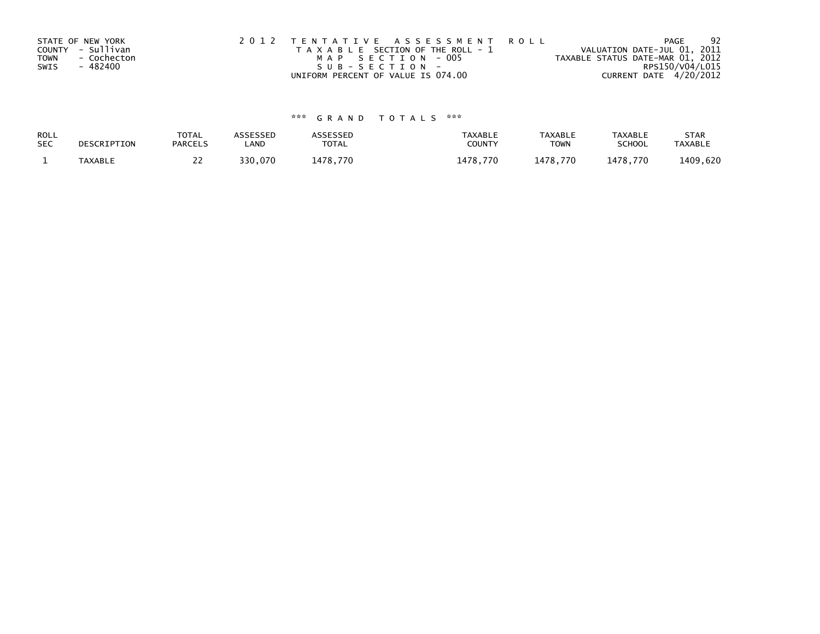| <b>TOWN</b><br>SWIS | STATE OF NEW YORK<br>COUNTY - Sullivan<br>- Cochecton<br>- 482400 | 2012 TENTATIVE ASSESSMENT ROLL<br>T A X A B L E SECTION OF THE ROLL - 1<br>MAP SECTION - 005<br>SUB-SECTION- | PAGE<br>VALUATION DATE-JUL 01, 2011<br>TAXABLE STATUS DATE-MAR 01, 2012<br>RPS150/V04/L015 | -92 |
|---------------------|-------------------------------------------------------------------|--------------------------------------------------------------------------------------------------------------|--------------------------------------------------------------------------------------------|-----|
|                     |                                                                   | UNIFORM PERCENT OF VALUE IS 074.00                                                                           | CURRENT DATE 4/20/2012                                                                     |     |

| ROLL       | DESCRIPTION | <b>TOTAL</b>   | <b>ASSESSED</b> | <b>\SSESSED</b> | <b>TAXABLE</b> | <b>TAXABLE</b> | TAXABLE       | <b>STAR</b>    |
|------------|-------------|----------------|-----------------|-----------------|----------------|----------------|---------------|----------------|
| <b>SEC</b> |             | <b>PARCELS</b> | ∟AND            | <b>TOTAL</b>    | COUNTY         | TOWN           | <b>SCHOOL</b> | <b>TAXABLE</b> |
|            | TAXABLE     | <u>_ _</u>     | 330.070         | 1478.770        | 1478.770       | 1478.770       | 1478.770      | 1409,620       |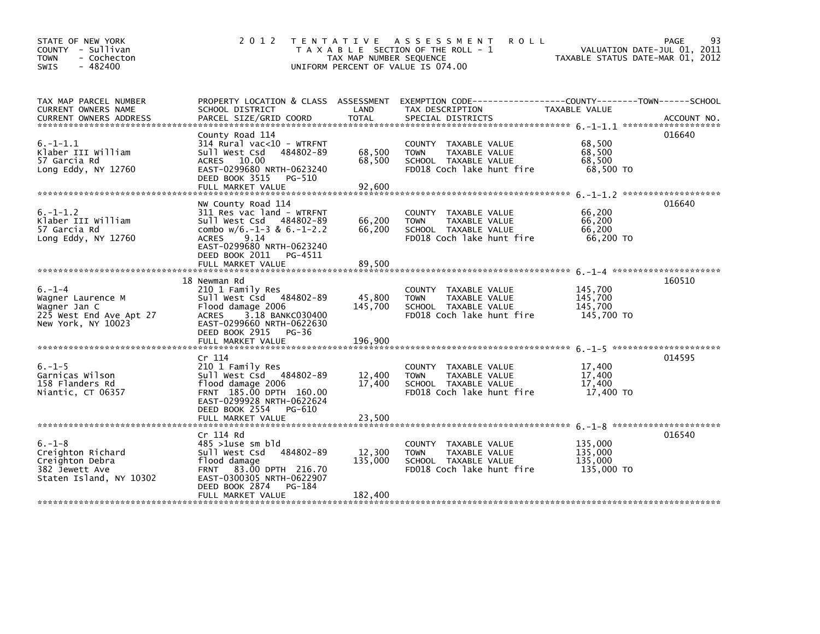| STATE OF NEW YORK<br>COUNTY - Sullivan<br><b>TOWN</b><br>- Cochecton<br>SWIS<br>$-482400$          | 2 0 1 2                                                                                                                                                                                      | TAX MAP NUMBER SEQUENCE    | <b>ROLL</b><br>TENTATIVE ASSESSMENT<br>T A X A B L E SECTION OF THE ROLL - 1<br>UNIFORM PERCENT OF VALUE IS 074.00  | TAXABLE STATUS DATE-MAR 01, 2012            | 93<br>PAGE<br>VALUATION DATE-JUL 01, 2011 |
|----------------------------------------------------------------------------------------------------|----------------------------------------------------------------------------------------------------------------------------------------------------------------------------------------------|----------------------------|---------------------------------------------------------------------------------------------------------------------|---------------------------------------------|-------------------------------------------|
| TAX MAP PARCEL NUMBER<br>CURRENT OWNERS NAME                                                       | SCHOOL DISTRICT                                                                                                                                                                              | LAND                       | PROPERTY LOCATION & CLASS ASSESSMENT EXEMPTION CODE----------------COUNTY-------TOWN------SCHOOL<br>TAX DESCRIPTION | TAXABLE VALUE                               |                                           |
| $6. -1 - 1.1$<br>Klaber III William<br>57 Garcia Rd<br>Long Eddy, NY 12760                         | County Road 114<br>314 Rural vac<10 - WTRFNT<br>Sull West Csd<br>484802-89<br>ACRES 10.00<br>EAST-0299680 NRTH-0623240<br>DEED BOOK 3515 PG-510<br>FULL MARKET VALUE                         | 68,500<br>68,500<br>92,600 | COUNTY TAXABLE VALUE<br><b>TOWN</b><br>TAXABLE VALUE<br>SCHOOL TAXABLE VALUE<br>FD018 Coch lake hunt fire           | 68,500<br>68,500<br>68,500<br>68,500 TO     | 016640                                    |
| $6. - 1 - 1.2$<br>Klaber III William<br>57 Garcia Rd<br>Long Eddy, NY 12760                        | NW County Road 114<br>311 Res vac land - WTRFNT<br>Sull West Csd 484802-89<br>combo $w/6$ .-1-3 & 6.-1-2.2<br>9.14<br><b>ACRES</b><br>EAST-0299680 NRTH-0623240<br>DEED BOOK 2011<br>PG-4511 | 66,200<br>66,200           | COUNTY TAXABLE VALUE<br><b>TOWN</b><br>TAXABLE VALUE<br>SCHOOL TAXABLE VALUE<br>FD018 Coch lake hunt fire           | 66,200<br>66,200<br>66,200<br>66,200 TO     | 016640                                    |
|                                                                                                    | FULL MARKET VALUE                                                                                                                                                                            | 89,500                     |                                                                                                                     |                                             |                                           |
| $6. - 1 - 4$<br>Wagner Laurence M<br>Wagner Jan C<br>225 West End Ave Apt 27<br>New York, NY 10023 | 18 Newman Rd<br>210 1 Family Res<br>Sull West Csd 484802-89<br>Flood damage 2006<br>3.18 BANKC030400<br>ACRES<br>EAST-0299660 NRTH-0622630<br>DEED BOOK 2915 PG-36                           | 45,800<br>145,700          | COUNTY TAXABLE VALUE<br><b>TOWN</b><br>TAXABLE VALUE<br>SCHOOL TAXABLE VALUE<br>FD018 Coch lake hunt fire           | 145,700<br>145,700<br>145.700<br>145.700 TO | 160510                                    |
|                                                                                                    | FULL MARKET VALUE                                                                                                                                                                            | 196,900                    |                                                                                                                     |                                             |                                           |
| $6. - 1 - 5$<br>Garnicas Wilson<br>158 Flanders Rd<br>Niantic, CT 06357                            | Cr 114<br>210 1 Family Res<br>Sull West Csd 484802-89<br>flood damage 2006<br>FRNT 185.00 DPTH 160.00<br>EAST-0299928 NRTH-0622624<br>DEED BOOK 2554 PG-610                                  | 12,400<br>17,400           | COUNTY TAXABLE VALUE<br><b>TOWN</b><br>TAXABLE VALUE<br>SCHOOL TAXABLE VALUE<br>FD018 Coch lake hunt fire           | 17,400<br>17,400<br>17,400<br>17,400 TO     | 014595                                    |
|                                                                                                    | FULL MARKET VALUE                                                                                                                                                                            | 23,500                     |                                                                                                                     |                                             |                                           |
| $6. - 1 - 8$<br>Creighton Richard<br>Creighton Debra<br>382 Jewett Ave<br>Staten Island, NY 10302  | Cr 114 Rd<br>$485 > 1$ use sm bld<br>Sull West Csd<br>484802-89<br>flood damage<br>FRNT 83.00 DPTH 216.70<br>EAST-0300305 NRTH-0622907<br>DEED BOOK 2874<br>PG-184                           | 12,300<br>135,000          | COUNTY<br>TAXABLE VALUE<br><b>TOWN</b><br>TAXABLE VALUE<br>SCHOOL TAXABLE VALUE<br>FD018 Coch lake hunt fire        | 135,000<br>135,000<br>135,000<br>135,000 TO | 016540                                    |
|                                                                                                    | FULL MARKET VALUE                                                                                                                                                                            | 182,400                    |                                                                                                                     |                                             |                                           |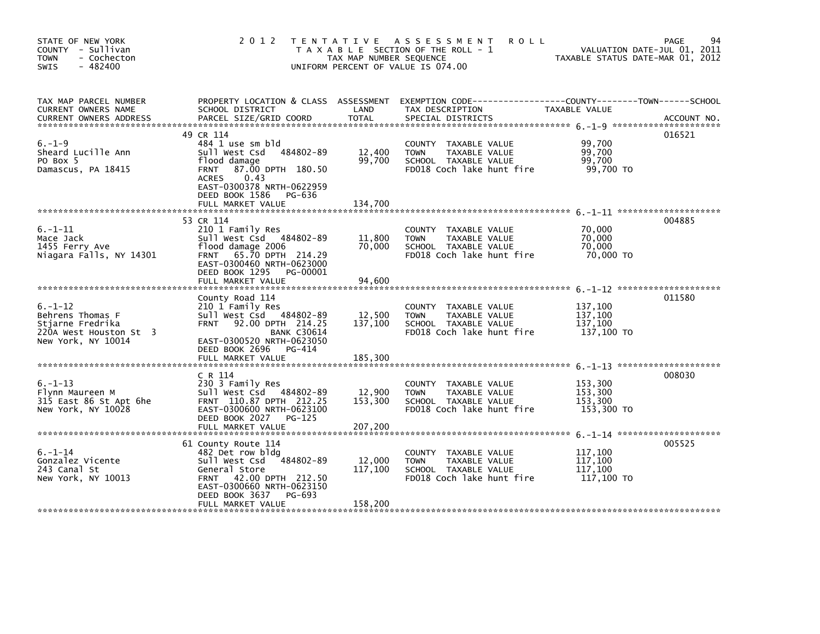| STATE OF NEW YORK<br>COUNTY - Sullivan<br><b>TOWN</b><br>- Cochecton<br>$-482400$<br>SWIS             | 2 0 1 2                                                                                                                                                                                                  | TAX MAP NUMBER SEQUENCE      | TENTATIVE ASSESSMENT<br><b>ROLL</b><br>T A X A B L E SECTION OF THE ROLL - 1<br>UNIFORM PERCENT OF VALUE IS 074.00                       | TAXABLE STATUS DATE-MAR 01, 2012            | 94<br>PAGE<br>VALUATION DATE-JUL 01, 2011 |
|-------------------------------------------------------------------------------------------------------|----------------------------------------------------------------------------------------------------------------------------------------------------------------------------------------------------------|------------------------------|------------------------------------------------------------------------------------------------------------------------------------------|---------------------------------------------|-------------------------------------------|
| TAX MAP PARCEL NUMBER<br>CURRENT OWNERS NAME<br><b>CURRENT OWNERS ADDRESS</b>                         | SCHOOL DISTRICT<br>PARCEL SIZE/GRID COORD                                                                                                                                                                | LAND<br>TOTAL                | PROPERTY LOCATION & CLASS ASSESSMENT EXEMPTION CODE----------------COUNTY-------TOWN------SCHOOL<br>TAX DESCRIPTION<br>SPECIAL DISTRICTS | TAXABLE VALUE                               | ACCOUNT NO.                               |
| $6. - 1 - 9$<br>Sheard Lucille Ann<br>PO Box 5<br>Damascus, PA 18415                                  | 49 CR 114<br>484 1 use sm bld<br>Sull West Csd 484802-89<br>flood damage<br>FRNT 87.00 DPTH 180.50<br>0.43<br><b>ACRES</b><br>EAST-0300378 NRTH-0622959<br>DEED BOOK 1586<br>PG-636<br>FULL MARKET VALUE | 12,400<br>99,700<br>134.700  | COUNTY TAXABLE VALUE<br>TAXABLE VALUE<br><b>TOWN</b><br>SCHOOL TAXABLE VALUE<br>FD018 Coch lake hunt fire                                | 99,700<br>99,700<br>99,700<br>99,700 TO     | 016521                                    |
| $6. - 1 - 11$<br>Mace Jack<br>1455 Ferry Ave<br>Niagara Falls, NY 14301                               | 53 CR 114<br>210 1 Family Res<br>Sull West Csd 484802-89<br>flood damage 2006<br>FRNT 65.70 DPTH 214.29<br>EAST-0300460 NRTH-0623000<br>DEED BOOK 1295<br>PG-00001<br>FULL MARKET VALUE                  | 11,800<br>70,000<br>94,600   | COUNTY TAXABLE VALUE<br><b>TOWN</b><br>TAXABLE VALUE<br>SCHOOL TAXABLE VALUE<br>FD018 Coch lake hunt fire                                | 70,000<br>70,000<br>70,000<br>70,000 TO     | 004885                                    |
| $6. - 1 - 12$<br>Behrens Thomas F<br>Stjarne Fredrika<br>220A West Houston St 3<br>New York, NY 10014 | County Road 114<br>210 1 Family Res<br>Sull West Csd 484802-89<br><b>FRNT</b><br>92.00 DPTH 214.25<br><b>BANK C30614</b><br>EAST-0300520 NRTH-0623050<br>DEED BOOK 2696<br>PG-414<br>FULL MARKET VALUE   | 12,500<br>137,100<br>185,300 | COUNTY TAXABLE VALUE<br><b>TOWN</b><br>TAXABLE VALUE<br>SCHOOL TAXABLE VALUE<br>FD018 Coch lake hunt fire                                | 137,100<br>137,100<br>137,100<br>137,100 TO | 011580                                    |
| $6. - 1 - 13$<br>Flynn Maureen M<br>315 East 86 St Apt 6he<br>New York, NY 10028                      | C R 114<br>230 3 Family Res<br>Sull West Csd 484802-89<br>FRNT 110.87 DPTH 212.25<br>EAST-0300600 NRTH-0623100<br>DEED BOOK 2027 PG-125                                                                  | 12,900<br>153,300            | COUNTY TAXABLE VALUE<br><b>TOWN</b><br>TAXABLE VALUE<br>SCHOOL TAXABLE VALUE<br>FD018 Coch lake hunt fire                                | 153,300<br>153,300<br>153.300<br>153,300 TO | 008030                                    |
| $6. - 1 - 14$<br>Gonzalez Vicente<br>243 Canal St<br>New York, NY 10013                               | 61 County Route 114<br>482 Det row bldg<br>Sull West Csd 484802-89<br>General Store<br>FRNT 42.00 DPTH 212.50<br>EAST-0300660 NRTH-0623150<br>DEED BOOK 3637<br>PG-693<br>FULL MARKET VALUE              | 12,000<br>117,100<br>158,200 | COUNTY TAXABLE VALUE<br><b>TOWN</b><br>TAXABLE VALUE<br>SCHOOL TAXABLE VALUE<br>FD018 Coch lake hunt fire                                | 117,100<br>117,100<br>117,100<br>117,100 TO | 005525                                    |
|                                                                                                       |                                                                                                                                                                                                          |                              |                                                                                                                                          |                                             |                                           |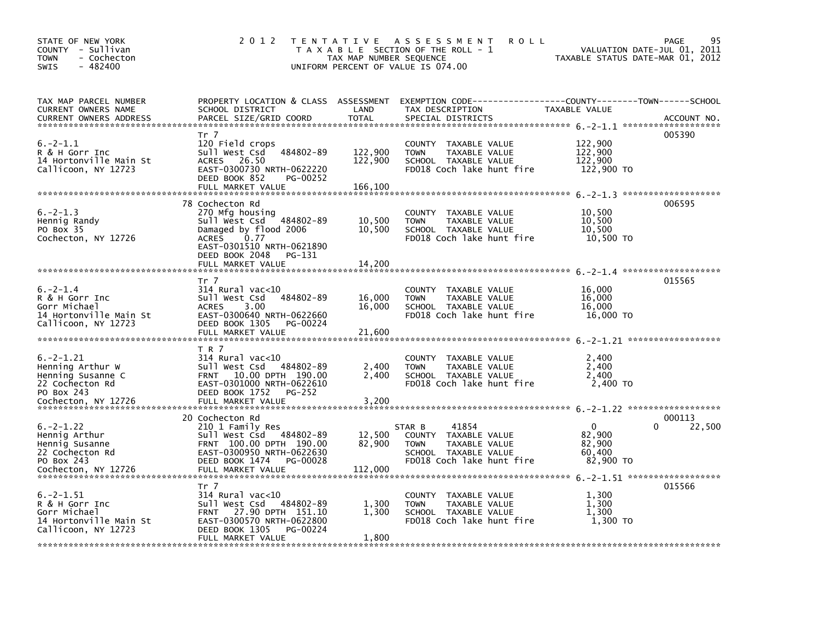| STATE OF NEW YORK<br>COUNTY - Sullivan<br>- Cochecton<br><b>TOWN</b><br>$-482400$<br><b>SWIS</b>                | 2 0 1 2                                                                                                                                                                          | TAX MAP NUMBER SEQUENCE       | TENTATIVE ASSESSMENT<br><b>ROLL</b><br>T A X A B L E SECTION OF THE ROLL - 1<br>UNIFORM PERCENT OF VALUE IS 074.00           | TAXABLE STATUS DATE-MAR 01, 2012             | 95<br>PAGE<br>VALUATION DATE-JUL 01, 2011 |
|-----------------------------------------------------------------------------------------------------------------|----------------------------------------------------------------------------------------------------------------------------------------------------------------------------------|-------------------------------|------------------------------------------------------------------------------------------------------------------------------|----------------------------------------------|-------------------------------------------|
| TAX MAP PARCEL NUMBER<br>CURRENT OWNERS NAME<br><b>CURRENT OWNERS ADDRESS</b>                                   | PROPERTY LOCATION & CLASS ASSESSMENT<br>SCHOOL DISTRICT<br>PARCEL SIZE/GRID COORD                                                                                                | LAND<br><b>TOTAL</b>          | EXEMPTION CODE-----------------COUNTY-------TOWN------SCHOOL<br>TAX DESCRIPTION<br>SPECIAL DISTRICTS                         | TAXABLE VALUE                                | ACCOUNT NO.                               |
| $6. -2 - 1.1$<br>R & H Gorr Inc<br>14 Hortonville Main St<br>Callicoon, NY 12723                                | Tr 7<br>120 Field crops<br>484802-89<br>Sull West Csd<br>26.50<br><b>ACRES</b><br>EAST-0300730 NRTH-0622220<br>DEED BOOK 852<br>PG-00252<br>FULL MARKET VALUE                    | 122,900<br>122,900<br>166,100 | COUNTY TAXABLE VALUE<br><b>TOWN</b><br>TAXABLE VALUE<br>SCHOOL TAXABLE VALUE<br>FD018 Coch lake hunt fire                    | 122,900<br>122,900<br>122,900<br>122,900 TO  | 005390<br>*******************             |
| $6. -2 - 1.3$<br>Hennig Randy<br>PO Box 35<br>Cochecton, NY 12726                                               | 78 Cochecton Rd<br>270 Mfg housing<br>Sull West Csd 484802-89<br>Damaged by flood 2006<br><b>ACRES</b><br>0.77<br>EAST-0301510 NRTH-0621890<br>DEED BOOK 2048<br>PG-131          | 10,500<br>10,500              | COUNTY TAXABLE VALUE<br>TAXABLE VALUE<br><b>TOWN</b><br>SCHOOL TAXABLE VALUE<br>FD018 Coch lake hunt fire                    | 10,500<br>10,500<br>10,500<br>10,500 TO      | 006595                                    |
|                                                                                                                 | FULL MARKET VALUE                                                                                                                                                                | 14,200                        |                                                                                                                              |                                              |                                           |
| $6. -2 - 1.4$<br>R & H Gorr Inc<br>Gorr Michael<br>14 Hortonville Main St<br>Callicoon, NY 12723                | Tr 7<br>314 Rural vac<10<br>484802-89<br>Sull West Csd<br><b>ACRES</b><br>3.00<br>EAST-0300640 NRTH-0622660<br>DEED BOOK 1305<br>PG-00224<br>FULL MARKET VALUE                   | 16,000<br>16,000<br>21,600    | <b>COUNTY</b><br>TAXABLE VALUE<br>TAXABLE VALUE<br><b>TOWN</b><br>SCHOOL TAXABLE VALUE<br>FD018 Coch lake hunt fire          | 16,000<br>16,000<br>16,000<br>16,000 TO      | 015565                                    |
| $6. -2 - 1.21$<br>Henning Arthur W<br>Henning Susanne C<br>22 Cochecton Rd<br>PO Box 243<br>Cochecton, NY 12726 | T R 7<br>314 Rural vac<10<br>Sull West Csd<br>484802-89<br>10.00 DPTH 190.00<br><b>FRNT</b><br>EAST-0301000 NRTH-0622610<br>DEED BOOK 1752<br><b>PG-252</b><br>FULL MARKET VALUE | 2,400<br>2,400<br>3,200       | <b>COUNTY</b><br>TAXABLE VALUE<br><b>TOWN</b><br>TAXABLE VALUE<br>SCHOOL TAXABLE VALUE<br>FD018 Coch lake hunt fire          | 2,400<br>2,400<br>2,400<br>2,400 TO          |                                           |
| $6. -2 - 1.22$<br>Hennig Arthur<br>Hennig Susanne<br>22 Cochecton Rd<br>PO Box 243<br>Cochecton, NY 12726       | 20 Cochecton Rd<br>210 1 Family Res<br>Sull West Csd<br>484802-89<br>FRNT 100.00 DPTH 190.00<br>EAST-0300950 NRTH-0622630<br>DEED BOOK 1474<br>PG-00028<br>FULL MARKET VALUE     | 12,500<br>82,900<br>112,000   | 41854<br>STAR B<br>COUNTY TAXABLE VALUE<br><b>TOWN</b><br>TAXABLE VALUE<br>SCHOOL TAXABLE VALUE<br>FD018 Coch lake hunt fire | 0<br>82,900<br>82,900<br>60,400<br>82,900 TO | 000113<br>22,500<br>0                     |
| $6. -2 - 1.51$<br>R & H Gorr Inc<br>Gorr Michael<br>14 Hortonville Main St<br>Callicoon, NY 12723               | Tr 7<br>$314$ Rural vac<10<br>Sull West Csd<br>484802-89<br>27.90 DPTH 151.10<br><b>FRNT</b><br>EAST-0300570 NRTH-0622800<br>DEED BOOK 1305<br>PG-00224<br>FULL MARKET VALUE     | 1,300<br>1,300<br>1,800       | TAXABLE VALUE<br>COUNTY<br>TAXABLE VALUE<br><b>TOWN</b><br>SCHOOL TAXABLE VALUE<br>FD018 Coch lake hunt fire                 | 1,300<br>1,300<br>1,300<br>1,300 TO          | 015566                                    |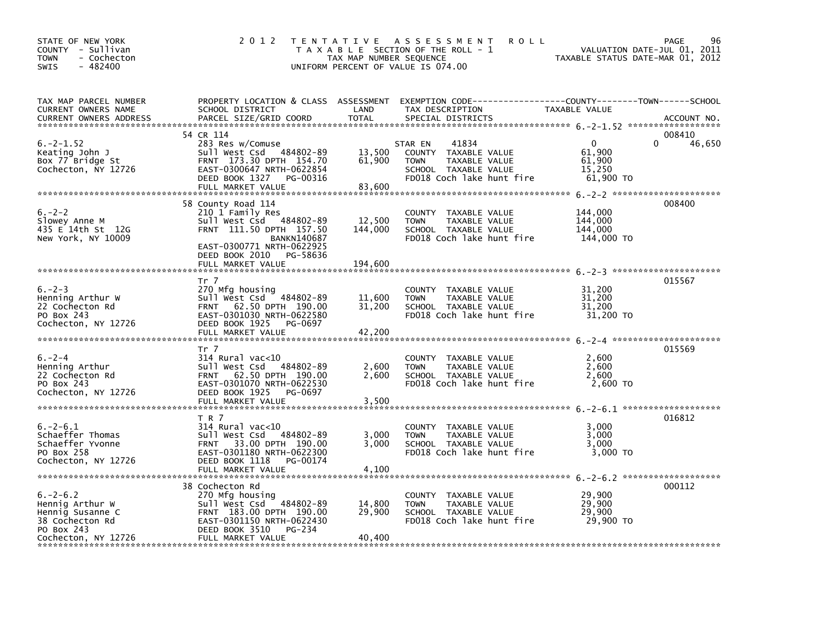| STATE OF NEW YORK<br>COUNTY - Sullivan<br>- Cochecton<br>TOWN<br>$-482400$<br><b>SWIS</b>                    | 2 0 1 2                                                                                                                                                                        | TAX MAP NUMBER SEQUENCE    | <b>ROLL</b><br>TENTATIVE ASSESSMENT<br>T A X A B L E SECTION OF THE ROLL - 1<br>UNIFORM PERCENT OF VALUE IS 074.00                     | TAXABLE STATUS DATE-MAR 01, 2012                        | PAGE<br>96<br>VALUATION DATE-JUL 01, 2011 |
|--------------------------------------------------------------------------------------------------------------|--------------------------------------------------------------------------------------------------------------------------------------------------------------------------------|----------------------------|----------------------------------------------------------------------------------------------------------------------------------------|---------------------------------------------------------|-------------------------------------------|
| TAX MAP PARCEL NUMBER<br>CURRENT OWNERS NAME<br><b>CURRENT OWNERS ADDRESS</b>                                | SCHOOL DISTRICT<br>PARCEL SIZE/GRID COORD                                                                                                                                      | LAND<br><b>TOTAL</b>       | PROPERTY LOCATION & CLASS ASSESSMENT EXEMPTION CODE---------------COUNTY-------TOWN-----SCHOOL<br>TAX DESCRIPTION<br>SPECIAL DISTRICTS | TAXABLE VALUE                                           | ACCOUNT NO.                               |
| $6. -2 - 1.52$<br>Keating John J<br>Box 77 Bridge St<br>Cochecton, NY 12726                                  | 54 CR 114<br>283 Res w/Comuse<br>Sull West Csd 484802-89<br>FRNT 173.30 DPTH 154.70<br>EAST-0300647 NRTH-0622854<br>DEED BOOK 1327<br>PG-00316<br>FULL MARKET VALUE            | 13,500<br>61,900<br>83,600 | 41834<br>STAR EN<br>COUNTY TAXABLE VALUE<br><b>TOWN</b><br>TAXABLE VALUE<br>SCHOOL TAXABLE VALUE<br>FD018 Coch lake hunt fire          | $\mathbf{0}$<br>61,900<br>61,900<br>15,250<br>61,900 TO | 008410<br>46,650<br>0                     |
| $6. -2 - 2$<br>Slowey Anne M<br>435 E 14th St 12G<br>New York, NY 10009                                      | 58 County Road 114<br>210 1 Family Res<br>Sull West Csd 484802-89<br>FRNT 111.50 DPTH 157.50<br><b>BANKN140687</b><br>EAST-0300771 NRTH-0622925<br>DEED BOOK 2010<br>PG-58636  | 12,500<br>144,000          | COUNTY TAXABLE VALUE<br>TAXABLE VALUE<br><b>TOWN</b><br>SCHOOL TAXABLE VALUE<br>FD018 Coch lake hunt fire                              | 144,000<br>144,000<br>144,000<br>144,000 TO             | 008400                                    |
|                                                                                                              | FULL MARKET VALUE                                                                                                                                                              | 194,600                    |                                                                                                                                        |                                                         |                                           |
| $6. -2 - 3$<br>Henning Arthur W<br>22 Cochecton Rd<br>PO Box 243<br>Cochecton, NY 12726                      | Tr 7<br>270 Mfg housing<br>Sull West Csd<br>484802-89<br>FRNT 62.50 DPTH 190.00<br>EAST-0301030 NRTH-0622580<br>DEED BOOK 1925<br>PG-0697<br>FULL MARKET VALUE                 | 11,600<br>31,200<br>42,200 | COUNTY TAXABLE VALUE<br><b>TOWN</b><br>TAXABLE VALUE<br>SCHOOL TAXABLE VALUE<br>FD018 Coch lake hunt fire                              | 31,200<br>31,200<br>31,200<br>31,200 TO                 | 015567                                    |
| $6. -2 - 4$<br>Henning Arthur<br>22 Cochecton Rd<br>PO Box 243<br>Cochecton, NY 12726                        | Tr 7<br>$314$ Rural vac<10<br>Sull West Csd 484802-89<br>FRNT 62.50 DPTH 190.00<br>EAST-0301070 NRTH-0622530<br>DEED BOOK 1925<br>PG-0697<br>FULL MARKET VALUE                 | 2,600<br>2.600<br>3,500    | COUNTY TAXABLE VALUE<br><b>TOWN</b><br>TAXABLE VALUE<br>SCHOOL TAXABLE VALUE<br>FD018 Coch lake hunt fire                              | 2,600<br>2,600<br>2,600<br>2,600 TO                     | 015569                                    |
| $6. -2 - 6.1$<br>Schaeffer Thomas<br>Schaeffer Yvonne<br>PO Box 258<br>Cochecton, NY 12726                   | T R 7<br>$314$ Rural vac<10<br>sull west Csd<br>484802-89<br>FRNT 33.00 DPTH 190.00<br>EAST-0301180 NRTH-0622300<br>DEED BOOK 1118<br>PG-00174<br>FULL MARKET VALUE            | 3,000<br>3,000<br>4,100    | COUNTY TAXABLE VALUE<br>TAXABLE VALUE<br><b>TOWN</b><br>SCHOOL TAXABLE VALUE<br>FD018 Coch lake hunt fire                              | 3,000<br>3,000<br>3,000<br>3,000 TO                     | 016812                                    |
| $6. -2 - 6.2$<br>Hennig Arthur W<br>Hennig Susanne C<br>38 Cochecton Rd<br>PO Box 243<br>Cochecton, NY 12726 | 38 Cochecton Rd<br>270 Mfg housing<br>$-484802 - 89$<br>Sull West Csd<br>FRNT 183.00 DPTH 190.00<br>EAST-0301150 NRTH-0622430<br>DEED BOOK 3510<br>PG-234<br>FULL MARKET VALUE | 14,800<br>29,900<br>40,400 | COUNTY TAXABLE VALUE<br><b>TOWN</b><br>TAXABLE VALUE<br>SCHOOL TAXABLE VALUE<br>FD018 Coch lake hunt fire                              | 29,900<br>29,900<br>29,900<br>29,900 TO                 | 000112                                    |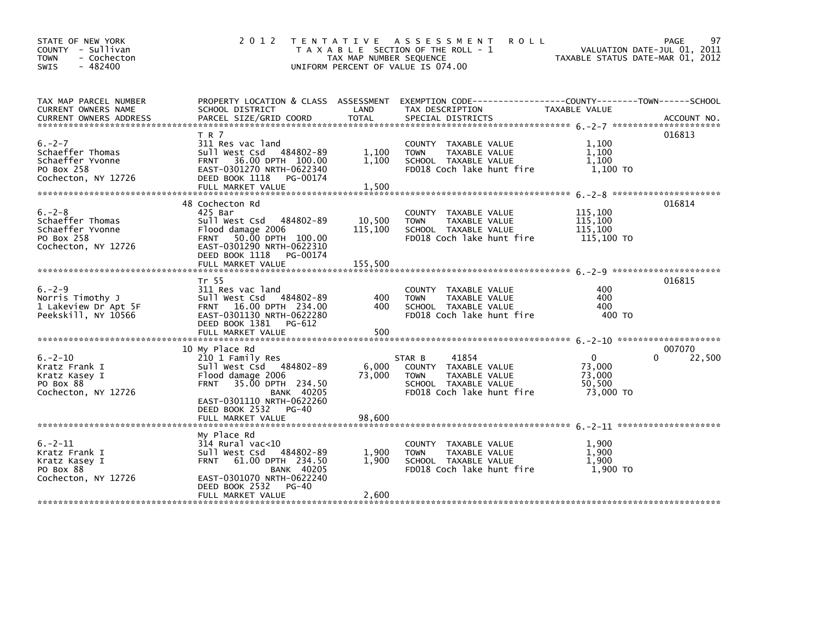| STATE OF NEW YORK<br>COUNTY - Sullivan<br>- Cochecton<br><b>TOWN</b><br>$-482400$<br><b>SWIS</b> | 2 0 1 2                                                                                                                                                                                                                         | T E N T A T I V E<br>TAX MAP NUMBER SEQUENCE | A S S E S S M E N T<br><b>ROLL</b><br>T A X A B L E SECTION OF THE ROLL - 1<br>UNIFORM PERCENT OF VALUE IS 074.00            | TAXABLE STATUS DATE-MAR 01, 2012             | 97<br>PAGE<br>VALUATION DATE-JUL 01, 2011 |
|--------------------------------------------------------------------------------------------------|---------------------------------------------------------------------------------------------------------------------------------------------------------------------------------------------------------------------------------|----------------------------------------------|------------------------------------------------------------------------------------------------------------------------------|----------------------------------------------|-------------------------------------------|
| TAX MAP PARCEL NUMBER<br><b>CURRENT OWNERS NAME</b><br><b>CURRENT OWNERS ADDRESS</b>             | PROPERTY LOCATION & CLASS ASSESSMENT<br>SCHOOL DISTRICT<br>PARCEL SIZE/GRID COORD                                                                                                                                               | LAND<br><b>TOTAL</b>                         | TAX DESCRIPTION<br>SPECIAL DISTRICTS                                                                                         | TAXABLE VALUE                                | ACCOUNT NO.                               |
| $6. -2 - 7$<br>Schaeffer Thomas<br>Schaeffer Yvonne<br>PO Box 258<br>Cochecton, NY 12726         | T R 7<br>311 Res vac land<br>Sull West Csd<br>484802-89<br>36.00 DPTH 100.00<br><b>FRNT</b><br>EAST-0301270 NRTH-0622340<br>DEED BOOK 1118<br>PG-00174<br>FULL MARKET VALUE                                                     | 1,100<br>1,100<br>1,500                      | COUNTY TAXABLE VALUE<br><b>TOWN</b><br>TAXABLE VALUE<br>SCHOOL TAXABLE VALUE<br>FD018 Coch lake hunt fire                    | 1.100<br>1,100<br>1,100<br>1,100 TO          | 016813                                    |
| $6. -2 - 8$<br>Schaeffer Thomas<br>Schaeffer Yvonne<br>PO Box 258<br>Cochecton, NY 12726         | 48 Cochecton Rd<br>425 Bar<br>Sull West Csd<br>484802-89<br>Flood damage 2006<br>FRNT 50.00 DPTH 100.00<br>EAST-0301290 NRTH-0622310<br>DEED BOOK 1118<br>PG-00174                                                              | 10,500<br>115,100                            | COUNTY<br>TAXABLE VALUE<br><b>TOWN</b><br>TAXABLE VALUE<br>SCHOOL TAXABLE VALUE<br>FD018 Coch lake hunt fire                 | 115,100<br>115,100<br>115,100<br>115,100 TO  | 016814                                    |
|                                                                                                  | FULL MARKET VALUE<br>Tr 55                                                                                                                                                                                                      | 155,500                                      |                                                                                                                              |                                              | 016815                                    |
| $6. -2 - 9$<br>Norris Timothy J<br>1 Lakeview Dr Apt 5F<br>Peekskill, NY 10566                   | 311 Res vac land<br>Sull West Csd 484802-89<br>FRNT 16.00 DPTH 234.00<br>EAST-0301130 NRTH-0622280<br>DEED BOOK 1381<br>PG-612<br>FULL MARKET VALUE                                                                             | 400<br>400<br>500                            | COUNTY TAXABLE VALUE<br><b>TOWN</b><br>TAXABLE VALUE<br>SCHOOL TAXABLE VALUE<br>FD018 Coch lake hunt fire                    | 400<br>400<br>400<br>400 TO                  |                                           |
|                                                                                                  |                                                                                                                                                                                                                                 |                                              |                                                                                                                              |                                              |                                           |
| $6. -2 - 10$<br>Kratz Frank I<br>Kratz Kasey I<br>PO Box 88<br>Cochecton, NY 12726               | 10 My Place Rd<br>210 1 Family Res<br>Sull West Csd 484802-89<br>Flood damage 2006<br><b>FRNT</b><br>35.00 DPTH 234.50<br><b>BANK 40205</b><br>EAST-0301110 NRTH-0622260<br>DEED BOOK 2532<br><b>PG-40</b><br>FULL MARKET VALUE | 6,000<br>73,000<br>98.600                    | 41854<br>STAR B<br>COUNTY TAXABLE VALUE<br>TAXABLE VALUE<br><b>TOWN</b><br>SCHOOL TAXABLE VALUE<br>FD018 Coch lake hunt fire | 0<br>73,000<br>73,000<br>50,500<br>73,000 TO | 007070<br>22,500<br>0                     |
| $6. -2 - 11$<br>Kratz Frank I<br>Kratz Kasey I<br>PO Box 88<br>Cochecton, NY 12726               | My Place Rd<br>$314$ Rural vac< $10$<br>Sull West Csd<br>484802-89<br>61.00 DPTH 234.50<br><b>FRNT</b><br><b>BANK 40205</b><br>EAST-0301070 NRTH-0622240<br>DEED BOOK 2532<br>$PG-40$<br>FULL MARKET VALUE                      | 1,900<br>1,900<br>2,600                      | <b>COUNTY</b><br>TAXABLE VALUE<br>TAXABLE VALUE<br><b>TOWN</b><br>SCHOOL TAXABLE VALUE<br>FD018 Coch lake hunt fire          | 1,900<br>1,900<br>1.900<br>1,900 TO          |                                           |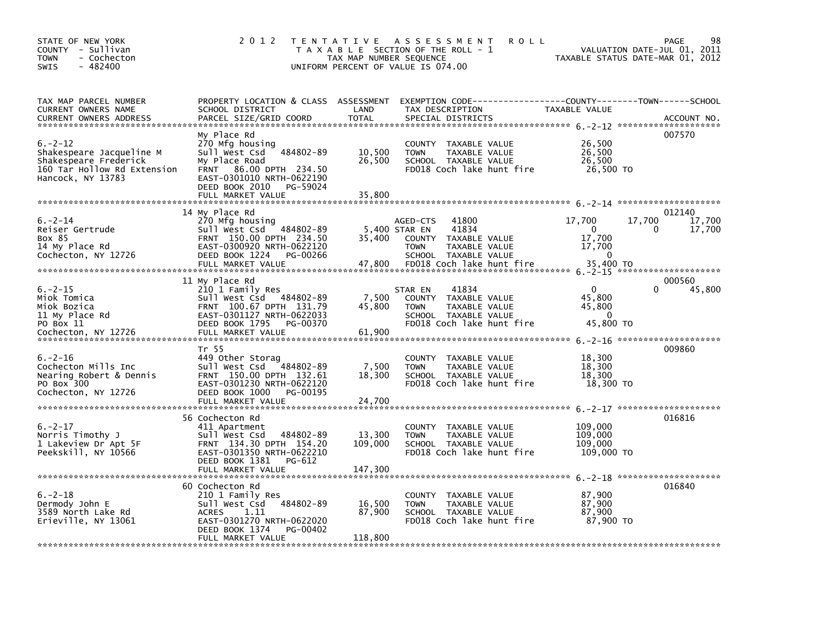| STATE OF NEW YORK<br>COUNTY - Sullivan<br>- Cochecton<br><b>TOWN</b><br>$-482400$<br><b>SWIS</b>                      | 2 0 1 2                                                                                                                                                                      | TAX MAP NUMBER SEQUENCE     | TENTATIVE ASSESSMENT<br><b>ROLL</b><br>T A X A B L E SECTION OF THE ROLL - 1<br>UNIFORM PERCENT OF VALUE IS 074.00                      |                                                           | 98<br>PAGE<br>VALUATION DATE-JUL 01, 2011<br>TAXABLE STATUS DATE-MAR 01, 2012 |
|-----------------------------------------------------------------------------------------------------------------------|------------------------------------------------------------------------------------------------------------------------------------------------------------------------------|-----------------------------|-----------------------------------------------------------------------------------------------------------------------------------------|-----------------------------------------------------------|-------------------------------------------------------------------------------|
| TAX MAP PARCEL NUMBER<br>CURRENT OWNERS NAME<br><b>CURRENT OWNERS ADDRESS</b>                                         | PROPERTY LOCATION & CLASS ASSESSMENT<br>SCHOOL DISTRICT<br>PARCEL SIZE/GRID COORD                                                                                            | LAND<br><b>TOTAL</b>        | TAX DESCRIPTION<br>SPECIAL DISTRICTS                                                                                                    | TAXABLE VALUE                                             | ACCOUNT NO.                                                                   |
| $6. -2 - 12$<br>Shakespeare Jacqueline M<br>Shakespeare Frederick<br>160 Tar Hollow Rd Extension<br>Hancock, NY 13783 | My Place Rd<br>270 Mfg housing<br>484802-89<br>Sull West Csd<br>My Place Road<br>86.00 DPTH 234.50<br><b>FRNT</b><br>EAST-0301010 NRTH-0622190<br>DEED BOOK 2010<br>PG-59024 | 10,500<br>26,500            | <b>COUNTY</b><br>TAXABLE VALUE<br>TAXABLE VALUE<br><b>TOWN</b><br>SCHOOL TAXABLE VALUE<br>FD018 Coch lake hunt fire                     | 26,500<br>26,500<br>26,500<br>26,500 TO                   | 007570                                                                        |
| $6. -2 - 14$<br>Reiser Gertrude<br>Box 85<br>14 My Place Rd                                                           | 14 My Place Rd<br>270 Mfg housing<br>Sull West Csd 484802-89<br>FRNT 150.00 DPTH 234.50<br>EAST-0300920 NRTH-0622120                                                         | 35,400                      | 41800<br>AGED-CTS<br>41834<br>5,400 STAR EN<br><b>COUNTY</b><br>TAXABLE VALUE<br><b>TOWN</b><br>TAXABLE VALUE                           | 17,700<br>0<br>17,700<br>17,700                           | 012140<br>17,700<br>17,700<br>17,700<br>0                                     |
| Cochecton, NY 12726                                                                                                   | DEED BOOK 1224<br>PG-00266<br>FULL MARKET VALUE                                                                                                                              | 47,800                      | SCHOOL TAXABLE VALUE<br>FD018 Coch lake hunt fire                                                                                       | $\mathbf{0}$<br>35,400 TO                                 |                                                                               |
| $6. -2 - 15$<br>Miok Tomica<br>Miok Bozica<br>11 My Place Rd<br>PO Box 11<br>Cochecton, NY 12726                      | 11 My Place Rd<br>210 1 Family Res<br>Sull West Csd 484802-89<br>FRNT 100.67 DPTH 131.79<br>EAST-0301127 NRTH-0622033<br>DEED BOOK 1795<br>PG-00370<br>FULL MARKET VALUE     | 7,500<br>45,800<br>61,900   | 41834<br>STAR EN<br><b>COUNTY</b><br>TAXABLE VALUE<br>TAXABLE VALUE<br><b>TOWN</b><br>SCHOOL TAXABLE VALUE<br>FD018 Coch lake hunt fire | $\mathbf{0}$<br>45.800<br>45,800<br>$\Omega$<br>45,800 TO | 000560<br>45,800                                                              |
| $6. -2 - 16$<br>Cochecton Mills Inc<br>Nearing Robert & Dennis<br>PO Box 300<br>Cochecton, NY 12726                   | Tr 55<br>449 Other Storag<br>Sull West Csd 484802-89<br>FRNT 150.00 DPTH 132.61<br>EAST-0301230 NRTH-0622120<br>DEED BOOK 1000<br>PG-00195                                   | 7,500<br>18,300             | <b>COUNTY</b><br>TAXABLE VALUE<br>TAXABLE VALUE<br><b>TOWN</b><br>SCHOOL TAXABLE VALUE<br>FD018 Coch lake hunt fire                     | 18,300<br>18,300<br>18,300<br>18,300 TO                   | 009860                                                                        |
|                                                                                                                       | 56 Cochecton Rd                                                                                                                                                              |                             |                                                                                                                                         |                                                           | 016816                                                                        |
| $6. -2 - 17$<br>Norris Timothy J<br>1 Lakeview Dr Apt 5F<br>Peekskill, NY 10566                                       | 411 Apartment<br>Sull West Csd<br>484802-89<br>FRNT 134.30 DPTH 154.20<br>EAST-0301350 NRTH-0622210<br>DEED BOOK 1381<br>PG-612                                              | 13,300<br>109,000           | <b>COUNTY</b><br>TAXABLE VALUE<br><b>TOWN</b><br>TAXABLE VALUE<br>SCHOOL TAXABLE VALUE<br>FD018 Coch lake hunt fire                     | 109,000<br>109,000<br>109,000<br>109,000 TO               |                                                                               |
|                                                                                                                       | 60 Cochecton Rd                                                                                                                                                              |                             |                                                                                                                                         |                                                           | 016840                                                                        |
| $6. -2 - 18$<br>Dermody John E<br>3589 North Lake Rd<br>Erieville, NY 13061                                           | 210 1 Family Res<br>Sull West Csd 484802-89<br><b>ACRES</b><br>1.11<br>EAST-0301270 NRTH-0622020<br>DEED BOOK 1374<br>PG-00402<br>FULL MARKET VALUE                          | 16,500<br>87,900<br>118,800 | <b>COUNTY</b><br>TAXABLE VALUE<br>TAXABLE VALUE<br><b>TOWN</b><br>SCHOOL TAXABLE VALUE<br>FD018 Coch lake hunt fire                     | 87,900<br>87.900<br>87,900<br>87,900 TO                   |                                                                               |
|                                                                                                                       |                                                                                                                                                                              |                             |                                                                                                                                         |                                                           |                                                                               |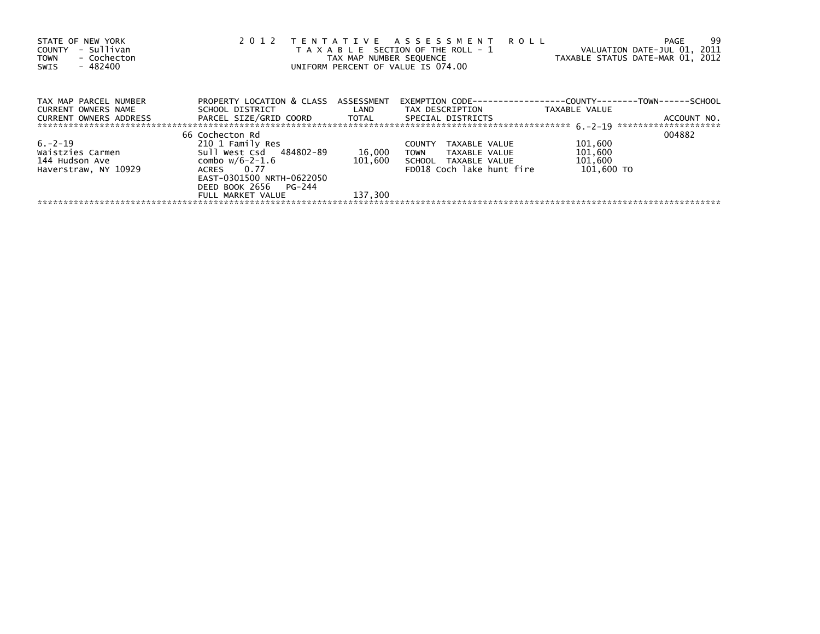| STATE OF NEW YORK<br>- Sullivan<br>COUNTY<br>- Cochecton<br><b>TOWN</b><br>- 482400<br>SWIS | 2 0 1 2                                                       | TAX MAP NUMBER SEQUENCE | TENTATIVE ASSESSMENT ROLL<br>T A X A B L E SECTION OF THE ROLL - 1<br>UNIFORM PERCENT OF VALUE IS 074.00 | -99<br>PAGE<br>VALUATION DATE-JUL 01, 2011<br>TAXABLE STATUS DATE-MAR 01, 2012 |
|---------------------------------------------------------------------------------------------|---------------------------------------------------------------|-------------------------|----------------------------------------------------------------------------------------------------------|--------------------------------------------------------------------------------|
| TAX MAP PARCEL NUMBER                                                                       | PROPERTY LOCATION & CLASS ASSESSMENT                          |                         |                                                                                                          | EXEMPTION        CODE-----------------COUNTY--------TOWN------SCHOOL           |
| CURRENT OWNERS NAME                                                                         | SCHOOL DISTRICT                                               | <b>Example 12</b>       | TAX DESCRIPTION                                                                                          | TAXABLE VALUE                                                                  |
| CURRENT OWNERS ADDRESS                                                                      | PARCEL SIZE/GRID COORD         TOTAL        SPECIAL DISTRICTS |                         |                                                                                                          | ACCOUNT NO.                                                                    |
|                                                                                             | 66 Cochecton Rd                                               |                         |                                                                                                          | 004882                                                                         |
| $6. -2 - 19$                                                                                | 210 1 Family Res                                              |                         | <b>COUNTY</b><br>TAXABLE VALUE                                                                           | 101,600                                                                        |
| Waistzies Carmen                                                                            | Sull West Csd 484802-89                                       | 16,000                  | <b>TOWN</b><br>TAXABLE VALUE                                                                             | 101,600                                                                        |
| 144 Hudson Ave                                                                              | combo w/6-2-1.6                                               | 101.600                 | SCHOOL TAXABLE VALUE                                                                                     | 101,600                                                                        |
| Haverstraw, NY 10929                                                                        | ACRES 0.77                                                    |                         | FD018 Coch lake hunt fire                                                                                | 101,600 TO                                                                     |
|                                                                                             | EAST-0301500 NRTH-0622050                                     |                         |                                                                                                          |                                                                                |
|                                                                                             | DEED BOOK 2656 PG-244                                         |                         |                                                                                                          |                                                                                |
|                                                                                             | FULL MARKET VALUE                                             | 137.300                 |                                                                                                          |                                                                                |
|                                                                                             |                                                               |                         |                                                                                                          |                                                                                |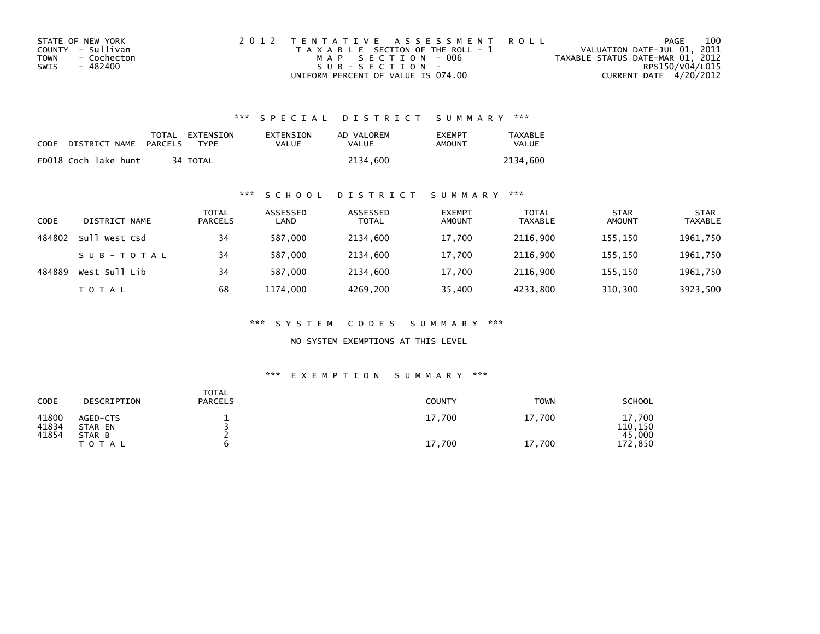| STATE OF NEW YORK   | 2012 TENTATIVE ASSESSMENT ROLL        | PAGE                             | 100 |
|---------------------|---------------------------------------|----------------------------------|-----|
| COUNTY - Sullivan   | T A X A B L E SECTION OF THE ROLL - 1 | VALUATION DATE-JUL 01, 2011      |     |
| TOWN<br>- Cochecton | MAP SECTION - 006                     | TAXABLE STATUS DATE-MAR 01, 2012 |     |
| - 482400<br>SWIS    | $SUB - SECTION -$                     | RPS150/V04/L015                  |     |
|                     | UNIFORM PERCENT OF VALUE IS 074.00    | CURRENT DATE 4/20/2012           |     |

| CODE | DISTRICT NAME        | TOTAL EXTENSION<br><b>PARCELS</b><br>TYPF | EXTENSION<br>VALUE | AD VALOREM<br>VALUE | <b>FXFMPT</b><br>AMOUNT | <b>TAXABLE</b><br><b>VALUE</b> |
|------|----------------------|-------------------------------------------|--------------------|---------------------|-------------------------|--------------------------------|
|      | FD018 Coch lake hunt | 34 TOTAL                                  |                    | 2134.600            |                         | 2134.600                       |

### \*\*\* S C H O O L D I S T R I C T S U M M A R Y \*\*\*

| CODE   | DISTRICT NAME | <b>TOTAL</b><br><b>PARCELS</b> | ASSESSED<br>LAND | ASSESSED<br><b>TOTAL</b> | <b>EXEMPT</b><br><b>AMOUNT</b> | <b>TOTAL</b><br><b>TAXABLE</b> | <b>STAR</b><br><b>AMOUNT</b> | <b>STAR</b><br><b>TAXABLE</b> |
|--------|---------------|--------------------------------|------------------|--------------------------|--------------------------------|--------------------------------|------------------------------|-------------------------------|
| 484802 | Sull West Csd | 34                             | 587.000          | 2134.600                 | 17,700                         | 2116.900                       | 155.150                      | 1961,750                      |
|        | SUB-TOTAL     | 34                             | 587.000          | 2134.600                 | 17.700                         | 2116.900                       | 155.150                      | 1961,750                      |
| 484889 | West Sull Lib | 34                             | 587,000          | 2134,600                 | 17,700                         | 2116,900                       | 155,150                      | 1961,750                      |
|        | <b>TOTAL</b>  | 68                             | 1174,000         | 4269,200                 | 35,400                         | 4233,800                       | 310,300                      | 3923,500                      |

\*\*\* S Y S T E M C O D E S S U M M A R Y \*\*\*

NO SYSTEM EXEMPTIONS AT THIS LEVEL

| CODE           | DESCRIPTION         | TOTAL<br><b>PARCELS</b> | <b>COUNTY</b> | <b>TOWN</b> | <b>SCHOOL</b>     |
|----------------|---------------------|-------------------------|---------------|-------------|-------------------|
| 41800<br>41834 | AGED-CTS<br>STAR EN |                         | 17,700        | 17.700      | 17,700<br>110,150 |
| 41854          | STAR B<br>T O T A L | h                       | 17,700        | 17,700      | 45,000<br>172,850 |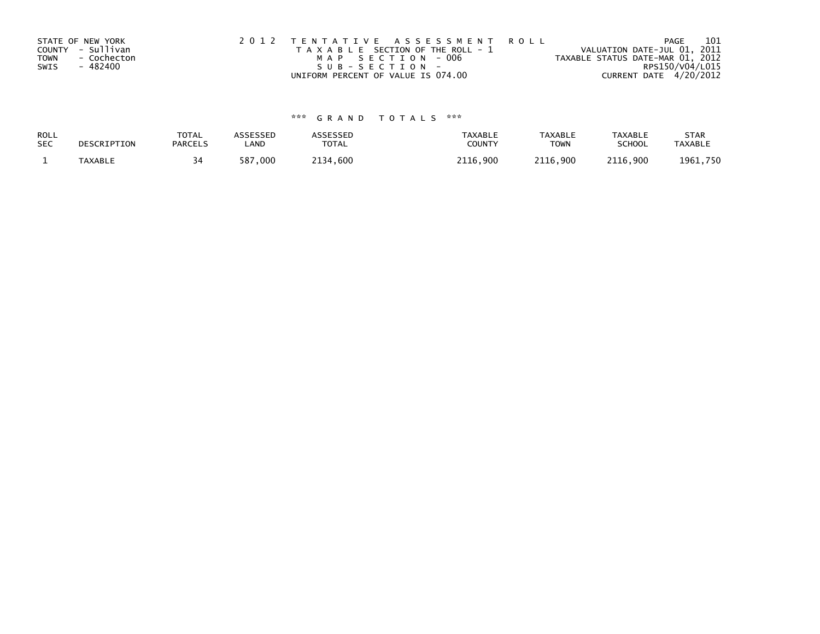| STATE OF NEW YORK |             | 2012 TENTATIVE ASSESSMENT ROLL        |  |                                  |                        | PAGE | 101 |
|-------------------|-------------|---------------------------------------|--|----------------------------------|------------------------|------|-----|
| COUNTY - Sullivan |             | T A X A B L E SECTION OF THE ROLL - 1 |  | VALUATION DATE-JUL 01, 2011      |                        |      |     |
| <b>TOWN</b>       | - Cochecton | MAP SECTION - 006                     |  | TAXABLE STATUS DATE-MAR 01, 2012 |                        |      |     |
| SWIS              | - 482400    | $SUB - SECTION -$                     |  |                                  | RPS150/V04/L015        |      |     |
|                   |             | UNIFORM PERCENT OF VALUE IS 074.00    |  |                                  | CURRENT DATE 4/20/2012 |      |     |

| ROLL       | DESCRIPTION | <b>TOTAL</b>   | ASSESSED    | <b>ASSESSED</b> | <b>TAXABLE</b> | <b>TAXABLE</b> | <b>TAXABLE</b> | <b>STAR</b>    |
|------------|-------------|----------------|-------------|-----------------|----------------|----------------|----------------|----------------|
| <b>SEC</b> |             | <b>PARCELS</b> | ∟AND        | TOTAL           | <b>COUNT</b>   | <b>TOWN</b>    | <b>SCHOOL</b>  | <b>TAXABLE</b> |
|            | TAXABLE     | 34             | ,000<br>587 | 2134,600        | .900<br>2116.  | 2116,900       | 2116,900       | 1961,750       |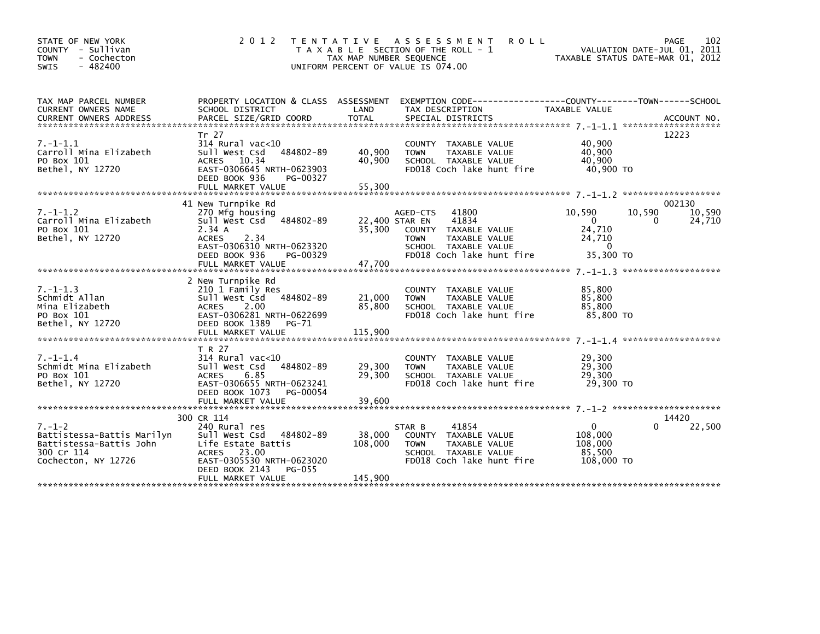| STATE OF NEW YORK<br>- Sullivan<br><b>COUNTY</b><br>- Cochecton<br><b>TOWN</b><br>$-482400$<br>SWIS        | 2 0 1 2                                                                                                                                                                             | T E N T A T I V E<br>TAX MAP NUMBER SEQUENCE | ASSESSMENT<br><b>ROLL</b><br>T A X A B L E SECTION OF THE ROLL - 1<br>UNIFORM PERCENT OF VALUE IS 074.00                                                            | VALUATION DATE-JUL 01, 2011<br>TAXABLE STATUS DATE-MAR 01, 2012              | 102<br><b>PAGE</b>              |
|------------------------------------------------------------------------------------------------------------|-------------------------------------------------------------------------------------------------------------------------------------------------------------------------------------|----------------------------------------------|---------------------------------------------------------------------------------------------------------------------------------------------------------------------|------------------------------------------------------------------------------|---------------------------------|
| TAX MAP PARCEL NUMBER<br>CURRENT OWNERS NAME                                                               | SCHOOL DISTRICT                                                                                                                                                                     | LAND                                         | PROPERTY LOCATION & CLASS ASSESSMENT EXEMPTION CODE----------------COUNTY-------TOWN------SCHOOL<br>TAX DESCRIPTION                                                 | TAXABLE VALUE                                                                |                                 |
| $7. - 1 - 1.1$<br>Carroll Mina Elizabeth<br>PO Box 101<br>Bethel, NY 12720                                 | Tr 27<br>$314$ Rural vac<10<br>484802-89<br>Sull West Csd<br>10.34<br><b>ACRES</b><br>EAST-0306645 NRTH-0623903<br>DEED BOOK 936<br>PG-00327                                        | 40,900<br>40,900                             | COUNTY TAXABLE VALUE<br><b>TOWN</b><br>TAXABLE VALUE<br>SCHOOL TAXABLE VALUE<br>FD018 Coch lake hunt fire                                                           | 40,900<br>40,900<br>40,900<br>40,900 TO                                      | 12223                           |
|                                                                                                            |                                                                                                                                                                                     |                                              |                                                                                                                                                                     |                                                                              |                                 |
| $7. - 1 - 1.2$<br>Carroll Mina Elizabeth<br>PO Box 101<br>Bethel, NY 12720                                 | 41 New Turnpike Rd<br>270 Mfg housing<br>Sull West Csd<br>484802-89<br>2.34A<br><b>ACRES</b><br>2.34<br>EAST-0306310 NRTH-0623320<br>DEED BOOK 936<br>PG-00329<br>FULL MARKET VALUE | 35,300<br>47,700                             | AGED-CTS<br>41800<br>41834<br>22,400 STAR EN<br><b>COUNTY</b><br>TAXABLE VALUE<br><b>TOWN</b><br>TAXABLE VALUE<br>SCHOOL TAXABLE VALUE<br>FD018 Coch lake hunt fire | 10,590<br>10,590<br>$\Omega$<br>24,710<br>24,710<br>$\mathbf 0$<br>35,300 TO | 002130<br>10,590<br>24,710<br>0 |
|                                                                                                            |                                                                                                                                                                                     |                                              |                                                                                                                                                                     |                                                                              |                                 |
| $7. - 1 - 1.3$<br>Schmidt Allan<br>Mina Elizabeth<br>PO Box 101<br>Bethel, NY 12720                        | 2 New Turnpike Rd<br>210 1 Family Res<br>Sull West Csd 484802-89<br>2.00<br><b>ACRES</b><br>EAST-0306281 NRTH-0622699<br>DEED BOOK 1389<br>PG-71<br>FULL MARKET VALUE               | 21,000<br>85,800<br>115,900                  | COUNTY<br>TAXABLE VALUE<br>TAXABLE VALUE<br><b>TOWN</b><br>SCHOOL TAXABLE VALUE<br>FD018 Coch lake hunt fire                                                        | 85,800<br>85,800<br>85,800<br>85,800 TO                                      |                                 |
|                                                                                                            | T R 27                                                                                                                                                                              |                                              |                                                                                                                                                                     |                                                                              |                                 |
| $7. - 1 - 1.4$<br>Schmidt Mina Elizabeth<br>PO Box 101<br>Bethel, NY 12720                                 | 314 Rural vac<10<br>Sull West Csd<br>484802-89<br><b>ACRES</b><br>6.85<br>EAST-0306655 NRTH-0623241<br>DEED BOOK 1073<br>PG-00054                                                   | 29,300<br>29,300                             | <b>COUNTY</b><br>TAXABLE VALUE<br><b>TOWN</b><br>TAXABLE VALUE<br>SCHOOL TAXABLE VALUE<br>FD018 Coch lake hunt fire                                                 | 29,300<br>29,300<br>29,300<br>29,300 TO                                      |                                 |
|                                                                                                            | FULL MARKET VALUE                                                                                                                                                                   | 39,600                                       |                                                                                                                                                                     |                                                                              |                                 |
|                                                                                                            | 300 CR 114                                                                                                                                                                          |                                              |                                                                                                                                                                     |                                                                              | 14420                           |
| $7. - 1 - 2$<br>Battistessa-Battis Marilyn<br>Battistessa-Battis John<br>300 Cr 114<br>Cochecton, NY 12726 | 240 Rural res<br>sull west Csd<br>484802-89<br>Life Estate Battis<br>ACRES 23.00<br>EAST-0305530 NRTH-0623020<br>DEED BOOK 2143<br>PG-055                                           | 38,000<br>108,000                            | 41854<br>STAR B<br><b>COUNTY</b><br>TAXABLE VALUE<br>TAXABLE VALUE<br><b>TOWN</b><br>SCHOOL TAXABLE VALUE<br>FD018 Coch lake hunt fire                              | $\Omega$<br>108,000<br>108,000<br>85,500<br>108,000 TO                       | 22,500<br>0                     |
|                                                                                                            | FULL MARKET VALUE                                                                                                                                                                   | 145,900                                      |                                                                                                                                                                     |                                                                              |                                 |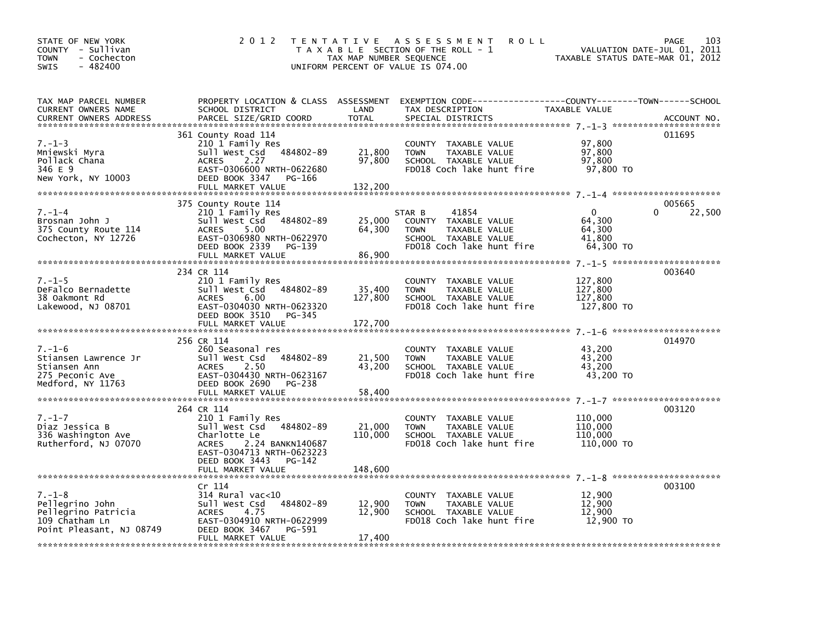| 2 0 1 2                                                                                                                                                                |                                                                                                                                                                 |                                                                                                                    |                                                                                                                                                                                 | 103<br>PAGE                                                                                                                                                     |
|------------------------------------------------------------------------------------------------------------------------------------------------------------------------|-----------------------------------------------------------------------------------------------------------------------------------------------------------------|--------------------------------------------------------------------------------------------------------------------|---------------------------------------------------------------------------------------------------------------------------------------------------------------------------------|-----------------------------------------------------------------------------------------------------------------------------------------------------------------|
| SCHOOL DISTRICT<br>PARCEL SIZE/GRID COORD                                                                                                                              | LAND<br><b>TOTAL</b>                                                                                                                                            | TAX DESCRIPTION<br>SPECIAL DISTRICTS                                                                               |                                                                                                                                                                                 | ACCOUNT NO.                                                                                                                                                     |
| 361 County Road 114<br>210 1 Family Res<br>Sull West Csd 484802-89<br>2.27<br><b>ACRES</b><br>DEED BOOK 3347<br>PG-166<br>FULL MARKET VALUE                            | 21,800<br>97,800<br>132,200                                                                                                                                     | COUNTY TAXABLE VALUE<br>TAXABLE VALUE<br><b>TOWN</b><br>SCHOOL TAXABLE VALUE<br>FD018 Coch lake hunt fire          | 97,800<br>97,800<br>97,800<br>97,800 TO                                                                                                                                         | 011695                                                                                                                                                          |
| 375 County Route 114<br>210 1 Family Res<br>Sull West Csd 484802-89<br>5.00<br><b>ACRES</b><br>DEED BOOK 2339<br>PG-139<br>FULL MARKET VALUE                           | 25,000<br>64,300<br>86,900                                                                                                                                      | 41854<br>COUNTY TAXABLE VALUE<br><b>TOWN</b><br>TAXABLE VALUE<br>SCHOOL TAXABLE VALUE<br>FD018 Coch lake hunt fire | $\mathbf{0}$<br>64,300<br>64,300<br>41,800<br>64,300 TO                                                                                                                         | 005665<br>0<br>22,500                                                                                                                                           |
| 234 CR 114<br>210 1 Family Res<br>Sull West Csd 484802-89<br>6.00<br><b>ACRES</b><br>DEED BOOK 3510<br>PG-345                                                          | 35,400<br>127,800                                                                                                                                               | COUNTY TAXABLE VALUE<br><b>TOWN</b><br>TAXABLE VALUE<br>SCHOOL TAXABLE VALUE<br>FD018 Coch lake hunt fire          | 127,800<br>127,800<br>127,800<br>127,800 TO                                                                                                                                     | 003640                                                                                                                                                          |
| 256 CR 114<br>260 Seasonal res<br>Sull West Csd 484802-89<br>2.50<br><b>ACRES</b><br>EAST-0304430 NRTH-0623167<br>DEED BOOK 2690<br>PG-238                             | 21,500<br>43,200                                                                                                                                                | COUNTY TAXABLE VALUE<br>TAXABLE VALUE<br><b>TOWN</b><br>SCHOOL TAXABLE VALUE<br>FD018 Coch lake hunt fire          | 43,200<br>43,200<br>43.200<br>43,200 TO                                                                                                                                         | 014970                                                                                                                                                          |
|                                                                                                                                                                        |                                                                                                                                                                 |                                                                                                                    |                                                                                                                                                                                 |                                                                                                                                                                 |
| 264 CR 114<br>210 1 Family Res<br>Sull West Csd 484802-89<br>Charlotte Le<br>2.24 BANKN140687<br><b>ACRES</b><br>EAST-0304713 NRTH-0623223<br>DEED BOOK 3443<br>PG-142 | 21,000<br>110,000                                                                                                                                               | COUNTY TAXABLE VALUE<br>TAXABLE VALUE<br><b>TOWN</b><br>SCHOOL TAXABLE VALUE<br>FD018 Coch lake hunt fire          | 110,000<br>110,000<br>110,000<br>110,000 TO                                                                                                                                     | 003120                                                                                                                                                          |
|                                                                                                                                                                        |                                                                                                                                                                 |                                                                                                                    |                                                                                                                                                                                 |                                                                                                                                                                 |
| Cr 114<br>$314$ Rural vac< $10$<br>sull west Csd<br>4.75<br>ACRES<br>EAST-0304910 NRTH-0622999<br>DEED BOOK 3467<br>PG-591<br>FULL MARKET VALUE                        | 12,900<br>12,900<br>17,400                                                                                                                                      | COUNTY TAXABLE VALUE<br><b>TOWN</b><br>TAXABLE VALUE<br>SCHOOL TAXABLE VALUE<br>FD018 Coch lake hunt fire          | 12,900<br>12,900<br>12,900<br>12,900 TO                                                                                                                                         | 003100                                                                                                                                                          |
|                                                                                                                                                                        | EAST-0306600 NRTH-0622680<br>EAST-0306980 NRTH-0622970<br>EAST-0304030 NRTH-0623320<br>FULL MARKET VALUE<br>FULL MARKET VALUE<br>FULL MARKET VALUE<br>484802-89 | T E N T A T I V E<br>172,700<br>58,400<br>148,600                                                                  | A S S E S S M E N T<br>T A X A B L E SECTION OF THE ROLL - 1<br>TAX MAP NUMBER SEQUENCE<br>UNIFORM PERCENT OF VALUE IS 074.00<br>PROPERTY LOCATION & CLASS ASSESSMENT<br>STAR B | <b>ROLL</b><br>VALUATION DATE-JUL 01, 2011<br>TAXABLE STATUS DATE-MAR 01, 2012<br>EXEMPTION CODE-----------------COUNTY-------TOWN------SCHOOL<br>TAXABLE VALUE |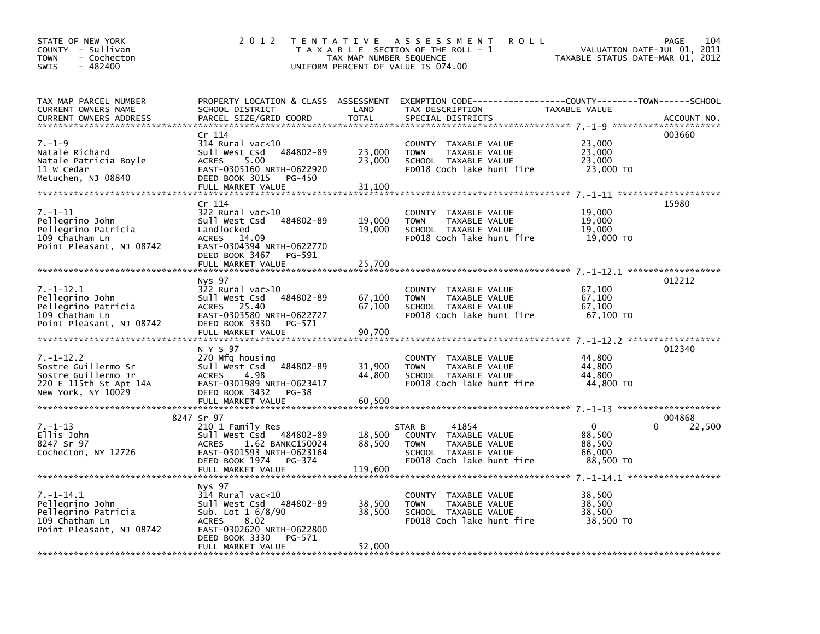| STATE OF NEW YORK<br>COUNTY - Sullivan<br><b>TOWN</b><br>- Cochecton<br>SWIS<br>$-482400$                     | 2 0 1 2                                                                                                                                                                               | TAX MAP NUMBER SEQUENCE     | TENTATIVE ASSESSMENT<br><b>ROLL</b><br>T A X A B L E SECTION OF THE ROLL - 1<br>UNIFORM PERCENT OF VALUE IS 074.00                       | VALUATION DATE-JUL 01,<br>TAXABLE STATUS DATE-MAR 01, 2012 | 104<br><b>PAGE</b><br>2011 |
|---------------------------------------------------------------------------------------------------------------|---------------------------------------------------------------------------------------------------------------------------------------------------------------------------------------|-----------------------------|------------------------------------------------------------------------------------------------------------------------------------------|------------------------------------------------------------|----------------------------|
| TAX MAP PARCEL NUMBER<br>CURRENT OWNERS NAME<br><b>CURRENT OWNERS ADDRESS</b>                                 | SCHOOL DISTRICT<br>PARCEL SIZE/GRID COORD                                                                                                                                             | LAND<br>TOTAL               | PROPERTY LOCATION & CLASS ASSESSMENT EXEMPTION CODE-----------------COUNTY-------TOWN-----SCHOOL<br>TAX DESCRIPTION<br>SPECIAL DISTRICTS | TAXABLE VALUE                                              | ACCOUNT NO.                |
| $7. - 1 - 9$<br>Natale Richard<br>Natale Patricia Boyle<br>11 W Cedar<br>Metuchen, NJ 08840                   | Cr 114<br>$314$ Rural vac<10<br>484802-89<br>Sull West Csd<br>5.00<br><b>ACRES</b><br>EAST-0305160 NRTH-0622920<br>DEED BOOK 3015<br>PG-450<br>FULL MARKET VALUE                      | 23,000<br>23,000<br>31,100  | COUNTY TAXABLE VALUE<br><b>TOWN</b><br>TAXABLE VALUE<br>SCHOOL TAXABLE VALUE<br>FD018 Coch lake hunt fire                                | 23,000<br>23,000<br>23,000<br>23,000 TO                    | 003660                     |
| 7.–1–11<br>Pellegrino John<br>Pellegrino Patricia<br>109 Chatham Ln<br>Point Pleasant, NJ 08742               | Cr 114<br>$322$ Rural vac $>10$<br>484802-89<br>Sull West Csd<br>Landlocked<br>ACRES 14.09<br>EAST-0304394 NRTH-0622770<br>DEED BOOK 3467 PG-591<br>FULL MARKET VALUE                 | 19,000<br>19,000<br>25,700  | COUNTY TAXABLE VALUE<br><b>TOWN</b><br>TAXABLE VALUE<br>SCHOOL TAXABLE VALUE<br>FD018 Coch lake hunt fire                                | 19,000<br>19,000<br>19,000<br>19,000 TO                    | 15980                      |
| $7. - 1 - 12.1$<br>Pellegrino John<br>Pellegrino Patricia<br>109 Chatham Ln<br>Point Pleasant, NJ 08742       | Nys 97<br>$322$ Rural vac $>10$<br>sull west Csd<br>484802-89<br>ACRES 25.40<br>EAST-0303580 NRTH-0622727<br>DEED BOOK 3330<br>PG-571<br>FULL MARKET VALUE                            | 67,100<br>67,100<br>90,700  | COUNTY TAXABLE VALUE<br>TAXABLE VALUE<br><b>TOWN</b><br>SCHOOL TAXABLE VALUE<br>FD018 Coch lake hunt fire                                | 67,100<br>67,100<br>67,100<br>67,100 TO                    | 012212                     |
| $7. - 1 - 12.2$<br>Sostre Guillermo Sr<br>Sostre Guillermo Jr<br>220 E 115th St Apt 14A<br>New York, NY 10029 | N Y S 97<br>270 Mfg housing<br>484802-89<br>Sull West Csd<br>4.98<br><b>ACRES</b><br>EAST-0301989 NRTH-0623417<br>DEED BOOK 3432<br>PG-38<br>FULL MARKET VALUE                        | 31,900<br>44,800<br>60,500  | COUNTY TAXABLE VALUE<br>TAXABLE VALUE<br>TOWN<br>SCHOOL TAXABLE VALUE<br>FD018 Coch lake hunt fire                                       | 44,800<br>44,800<br>44,800<br>44,800 TO                    | 012340                     |
| $7. - 1 - 13$<br>Ellis John<br>8247 Sr 97<br>Cochecton, NY 12726                                              | 8247 Sr 97<br>210 1 Family Res<br>Sull West Csd 484802-89<br>1.62 BANKC150024<br>ACRES<br>EAST-0301593 NRTH-0623164<br>DEED BOOK 1974<br>PG-374<br>FULL MARKET VALUE                  | 18,500<br>88,500<br>119,600 | 41854<br>STAR B<br>COUNTY TAXABLE VALUE<br>TAXABLE VALUE<br><b>TOWN</b><br>SCHOOL TAXABLE VALUE<br>FD018 Coch lake hunt fire             | $\Omega$<br>88,500<br>88,500<br>66,000<br>88,500 TO        | 004868<br>22,500<br>0      |
| $7. - 1 - 14.1$<br>Pellegrino John<br>Pellegrino Patricia<br>109 Chatham Ln<br>Point Pleasant, NJ 08742       | Nys 97<br>$314$ Rural vac< $10$<br>Sull West Csd 484802-89<br>Sub. Lot 1 6/8/90<br>8.02<br><b>ACRES</b><br>EAST-0302620 NRTH-0622800<br>DEED BOOK 3330<br>PG-571<br>FULL MARKET VALUE | 38,500<br>38,500<br>52,000  | COUNTY TAXABLE VALUE<br>TAXABLE VALUE<br><b>TOWN</b><br>SCHOOL TAXABLE VALUE<br>FD018 Coch lake hunt fire                                | 38,500<br>38,500<br>38,500<br>38,500 TO                    |                            |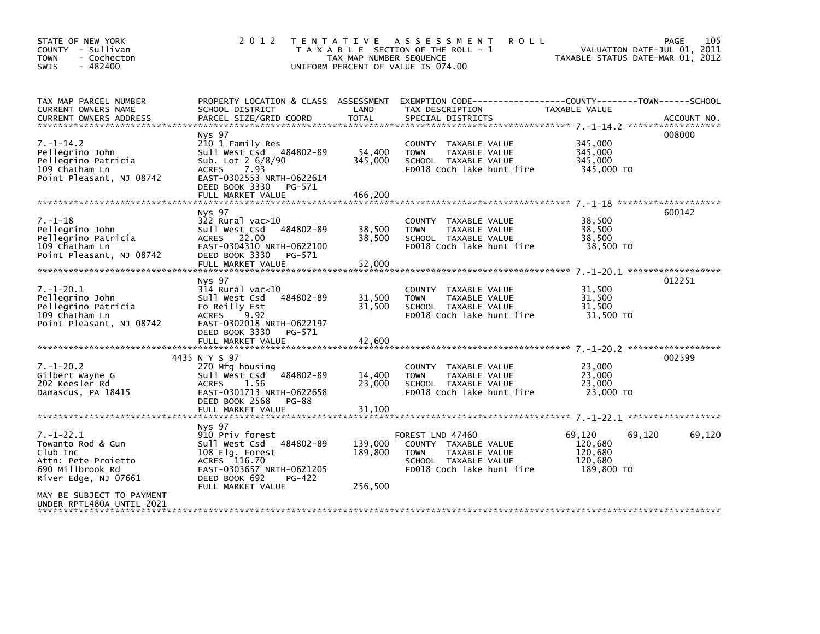| STATE OF NEW YORK<br>COUNTY - Sullivan<br><b>TOWN</b><br>- Cochecton<br>$-482400$<br><b>SWIS</b>                    | 2 0 1 2                                                                                                                                                                          | T E N T A T I V E<br>TAX MAP NUMBER SEQUENCE | A S S E S S M E N T<br><b>ROLL</b><br>T A X A B L E SECTION OF THE ROLL - 1<br>UNIFORM PERCENT OF VALUE IS 074.00             | VALUATION DATE-JUL 01, 2011<br>TAXABLE STATUS DATE-MAR 01, 2012 | 105<br><b>PAGE</b> |
|---------------------------------------------------------------------------------------------------------------------|----------------------------------------------------------------------------------------------------------------------------------------------------------------------------------|----------------------------------------------|-------------------------------------------------------------------------------------------------------------------------------|-----------------------------------------------------------------|--------------------|
| TAX MAP PARCEL NUMBER<br>CURRENT OWNERS NAME<br><b>CURRENT OWNERS ADDRESS</b>                                       | PROPERTY LOCATION & CLASS ASSESSMENT<br>SCHOOL DISTRICT<br>PARCEL SIZE/GRID COORD                                                                                                | LAND<br><b>TOTAL</b>                         | TAX DESCRIPTION<br>SPECIAL DISTRICTS                                                                                          | TAXABLE VALUE                                                   | ACCOUNT NO.        |
| $7. - 1 - 14.2$<br>Pellegrino John<br>Pellegrino Patricia<br>109 Chatham Ln<br>Point Pleasant, NJ 08742             | Nys 97<br>210 1 Family Res<br>Sull West Csd 484802-89<br>Sub. Lot 2 6/8/90<br>7.93<br><b>ACRES</b><br>EAST-0302553 NRTH-0622614<br>DEED BOOK 3330<br>PG-571<br>FULL MARKET VALUE | 54,400<br>345,000<br>466,200                 | <b>COUNTY</b><br>TAXABLE VALUE<br>TAXABLE VALUE<br><b>TOWN</b><br>SCHOOL TAXABLE VALUE<br>FD018 Coch lake hunt fire           | 345,000<br>345,000<br>345,000<br>345,000 TO                     | 008000             |
| $7. - 1 - 18$<br>Pellegrino John<br>Pellegrino Patricia<br>109 Chatham Ln<br>Point Pleasant, NJ 08742               | Nys 97<br>$322$ Rural vac $>10$<br>484802-89<br>Sull West Csd<br>ACRES 22.00<br>EAST-0304310 NRTH-0622100<br>DEED BOOK 3330<br>PG-571<br>FULL MARKET VALUE                       | 38,500<br>38,500<br>52,000                   | COUNTY TAXABLE VALUE<br>TAXABLE VALUE<br><b>TOWN</b><br>SCHOOL TAXABLE VALUE<br>FD018 Coch lake hunt fire                     | 38,500<br>38,500<br>38,500<br>38,500 TO                         | 600142             |
| $7. - 1 - 20.1$<br>Pellegrino John<br>Pellegrino Patricia<br>109 Chatham Ln<br>Point Pleasant, NJ 08742             | Nys 97<br>314 Rural vac<10<br>Sull West Csd<br>484802-89<br>Fo Reilly Est<br>9.92<br><b>ACRES</b><br>EAST-0302018 NRTH-0622197<br>DEED BOOK 3330<br>PG-571<br>FULL MARKET VALUE  | 31,500<br>31,500<br>42,600                   | COUNTY TAXABLE VALUE<br>TAXABLE VALUE<br><b>TOWN</b><br>SCHOOL TAXABLE VALUE<br>FD018 Coch lake hunt fire                     | 31,500<br>31.500<br>31,500<br>31,500 TO                         | 012251             |
| $7. - 1 - 20.2$<br>Gilbert Wayne G<br>202 Keesler Rd<br>Damascus, PA 18415                                          | 4435 N Y S 97<br>270 Mfg housing<br>484802-89<br>Sull West Csd<br><b>ACRES</b><br>1.56<br>EAST-0301713 NRTH-0622658<br>DEED BOOK 2568<br>PG-88<br>FULL MARKET VALUE              | 14,400<br>23,000<br>31,100                   | COUNTY TAXABLE VALUE<br>TAXABLE VALUE<br><b>TOWN</b><br>SCHOOL TAXABLE VALUE<br>FD018 Coch lake hunt fire                     | 23,000<br>23,000<br>23,000<br>23,000 TO                         | 002599             |
| $7. - 1 - 22.1$<br>Towanto Rod & Gun<br>Club Inc<br>Attn: Pete Projetto<br>690 Millbrook Rd<br>River Edge, NJ 07661 | Nys 97<br>910 Priv forest<br>Sull West Csd<br>484802-89<br>108 Elg. Forest<br>ACRES 116.70<br>EAST-0303657 NRTH-0621205<br>DEED BOOK 692<br>PG-422<br>FULL MARKET VALUE          | 139,000<br>189,800<br>256,500                | FOREST LND 47460<br>COUNTY TAXABLE VALUE<br>TAXABLE VALUE<br><b>TOWN</b><br>SCHOOL TAXABLE VALUE<br>FD018 Coch lake hunt fire | 69,120<br>69.120<br>120,680<br>120,680<br>120,680<br>189,800 TO | 69,120             |
| MAY BE SUBJECT TO PAYMENT<br>UNDER RPTL480A UNTIL 2021                                                              |                                                                                                                                                                                  |                                              |                                                                                                                               |                                                                 |                    |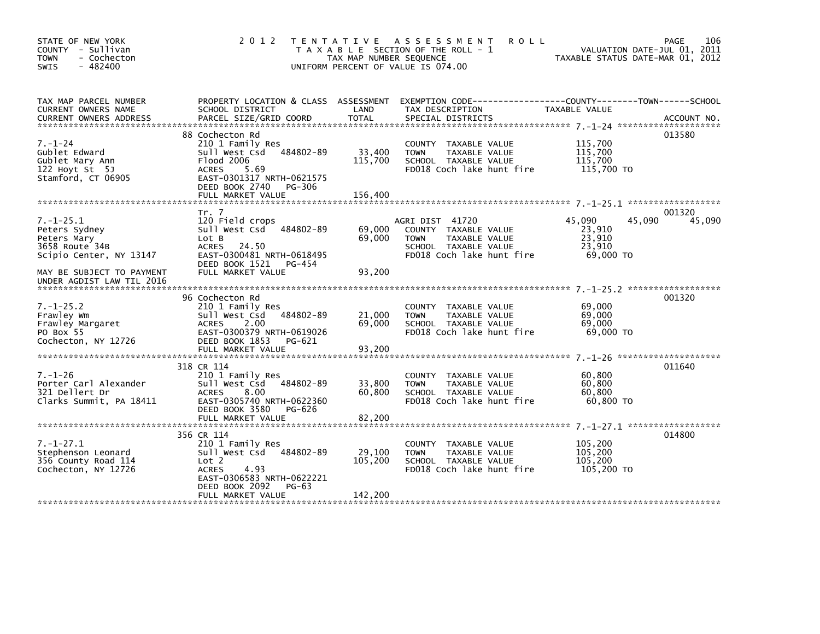| STATE OF NEW YORK<br>COUNTY - Sullivan<br><b>TOWN</b><br>- Cochecton<br>$-482400$<br>SWIS    | 2 0 1 2                                                                                                                                                                               | A S S E S S M E N T<br><b>ROLL</b><br>T E N T A T I V E<br>T A X A B L E SECTION OF THE ROLL - 1<br>TAX MAP NUMBER SEQUENCE<br>UNIFORM PERCENT OF VALUE IS 074.00 | 106<br>PAGE<br>VALUATION DATE-JUL 01, 2011<br>TAXABLE STATUS DATE-MAR 01, 2012  |
|----------------------------------------------------------------------------------------------|---------------------------------------------------------------------------------------------------------------------------------------------------------------------------------------|-------------------------------------------------------------------------------------------------------------------------------------------------------------------|---------------------------------------------------------------------------------|
| TAX MAP PARCEL NUMBER<br>CURRENT OWNERS NAME<br><b>CURRENT OWNERS ADDRESS</b>                | PROPERTY LOCATION & CLASS ASSESSMENT<br>SCHOOL DISTRICT<br>PARCEL SIZE/GRID COORD                                                                                                     | LAND<br>TAX DESCRIPTION<br><b>TOTAL</b><br>SPECIAL DISTRICTS                                                                                                      | TAXABLE VALUE<br>ACCOUNT NO.                                                    |
| $7. - 1 - 24$<br>Gublet Edward<br>Gublet Mary Ann<br>122 Hoyt St $5J$<br>Stamford, CT 06905  | 88 Cochecton Rd<br>210 1 Family Res<br>484802-89<br>Sull West Csd<br>Flood 2006<br><b>ACRES</b><br>5.69<br>EAST-0301317 NRTH-0621575<br>DEED BOOK 2740<br>PG-306<br>FULL MARKET VALUE | COUNTY TAXABLE VALUE<br>33,400<br><b>TOWN</b><br>TAXABLE VALUE<br>115,700<br>SCHOOL TAXABLE VALUE<br>FD018 Coch lake hunt fire<br>156,400                         | 013580<br>115,700<br>115,700<br>115,700<br>115,700 TO                           |
|                                                                                              |                                                                                                                                                                                       |                                                                                                                                                                   |                                                                                 |
| $7. - 1 - 25.1$<br>Peters Sydney<br>Peters Mary<br>3658 Route 34B<br>Scipio Center, NY 13147 | Tr. 7<br>120 Field crops<br>Sull West Csd<br>484802-89<br>Lot B<br>ACRES<br>24.50<br>EAST-0300481 NRTH-0618495<br>DEED BOOK 1521<br>PG-454                                            | AGRI DIST 41720<br>69,000<br>COUNTY TAXABLE VALUE<br>TAXABLE VALUE<br>69,000<br><b>TOWN</b><br>SCHOOL TAXABLE VALUE<br>FD018 Coch lake hunt fire                  | 001320<br>45,090<br>45,090<br>45,090<br>23,910<br>23,910<br>23,910<br>69.000 TO |
| MAY BE SUBJECT TO PAYMENT<br>UNDER AGDIST LAW TIL 2016                                       | FULL MARKET VALUE                                                                                                                                                                     | 93,200                                                                                                                                                            |                                                                                 |
| $7. - 1 - 25.2$<br>Frawley Wm<br>Frawley Margaret<br>PO Box 55<br>Cochecton, NY 12726        | 96 Cochecton Rd<br>210 1 Family Res<br>484802-89<br>Sull West Csd<br>2.00<br><b>ACRES</b><br>EAST-0300379 NRTH-0619026<br>DEED BOOK 1853<br>PG-621<br>FULL MARKET VALUE               | COUNTY<br>TAXABLE VALUE<br>21,000<br><b>TOWN</b><br>TAXABLE VALUE<br>69,000<br>SCHOOL TAXABLE VALUE<br>FD018 Coch lake hunt fire<br>93.200                        | 001320<br>69,000<br>69,000<br>69.000<br>69,000 TO                               |
|                                                                                              | 318 CR 114                                                                                                                                                                            |                                                                                                                                                                   | 011640                                                                          |
| $7. - 1 - 26$<br>Porter Carl Alexander<br>321 Dellert Dr<br>Clarks Summit, PA 18411          | 210 1 Family Res<br>484802-89<br>Sull West Csd<br><b>ACRES</b><br>8.00<br>EAST-0305740 NRTH-0622360<br>DEED BOOK 3580<br>PG-626                                                       | <b>COUNTY</b><br>TAXABLE VALUE<br>33,800<br>TAXABLE VALUE<br><b>TOWN</b><br>60,800<br>SCHOOL TAXABLE VALUE<br>FD018 Coch lake hunt fire                           | 60,800<br>60,800<br>60,800<br>60,800 TO                                         |
|                                                                                              | FULL MARKET VALUE                                                                                                                                                                     | 82,200                                                                                                                                                            |                                                                                 |
| $7. - 1 - 27.1$<br>Stephenson Leonard<br>356 County Road 114<br>Cochecton, NY 12726          | 356 CR 114<br>210 1 Family Res<br>484802-89<br>Sull West Csd<br>Lot 2<br>4.93<br><b>ACRES</b><br>EAST-0306583 NRTH-0622221<br>DEED BOOK 2092<br>$PG-63$                               | TAXABLE VALUE<br><b>COUNTY</b><br>29,100<br>TAXABLE VALUE<br><b>TOWN</b><br>105,200<br>SCHOOL TAXABLE VALUE<br>FD018 Coch lake hunt fire                          | 014800<br>105,200<br>105,200<br>105,200<br>105,200 TO                           |
|                                                                                              | FULL MARKET VALUE                                                                                                                                                                     | 142,200                                                                                                                                                           |                                                                                 |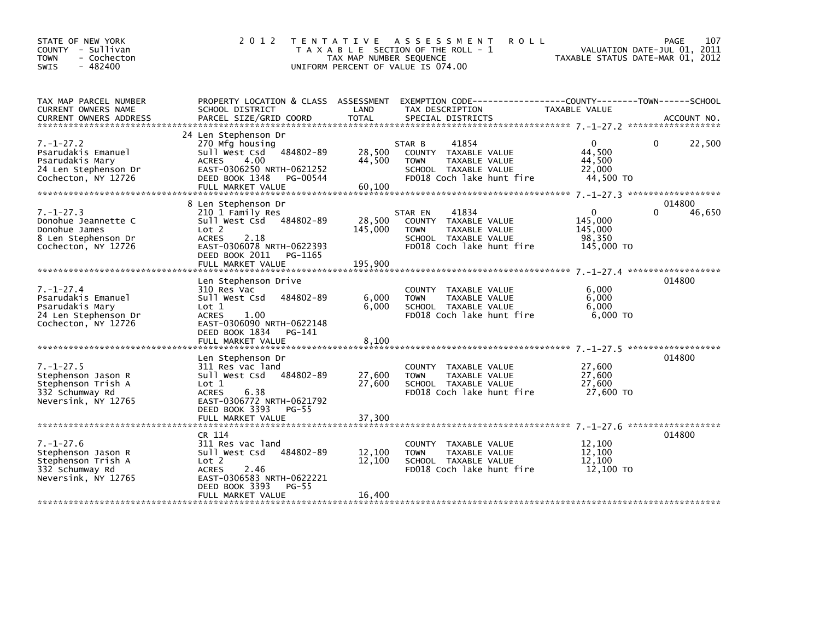| STATE OF NEW YORK<br>COUNTY - Sullivan<br>- Cochecton<br><b>TOWN</b><br>$-482400$<br><b>SWIS</b>        | 2012 TENTATIVE                                                                                                                                                             | TAX MAP NUMBER SEQUENCE    | <b>ROLL</b><br>A S S E S S M E N T<br>T A X A B L E SECTION OF THE ROLL - 1<br>UNIFORM PERCENT OF VALUE IS 074.00             | VALUATION DATE-JUL 01, 2011<br>TAXABLE STATUS DATE-MAR 01, 2012 | 107<br><b>PAGE</b> |
|---------------------------------------------------------------------------------------------------------|----------------------------------------------------------------------------------------------------------------------------------------------------------------------------|----------------------------|-------------------------------------------------------------------------------------------------------------------------------|-----------------------------------------------------------------|--------------------|
| TAX MAP PARCEL NUMBER<br>CURRENT OWNERS NAME                                                            | SCHOOL DISTRICT                                                                                                                                                            | LAND                       | PROPERTY LOCATION & CLASS ASSESSMENT EXEMPTION CODE---------------COUNTY-------TOWN------SCHOOL<br>TAX DESCRIPTION            | <b>TAXABLE VALUE</b>                                            |                    |
|                                                                                                         |                                                                                                                                                                            |                            |                                                                                                                               |                                                                 |                    |
| $7. - 1 - 27.2$<br>Psarudakis Emanuel<br>Psarudakis Mary<br>24 Len Stephenson Dr<br>Cochecton, NY 12726 | 24 Len Stephenson Dr<br>270 Mfg housing<br>Sull West Csd 484802-89<br>4.00<br><b>ACRES</b><br>EAST-0306250 NRTH-0621252<br>DEED BOOK 1348<br>PG-00544<br>FULL MARKET VALUE | 28,500<br>44,500<br>60,100 | STAR B<br>41854<br>COUNTY TAXABLE VALUE<br><b>TOWN</b><br>TAXABLE VALUE<br>SCHOOL TAXABLE VALUE<br>FD018 Coch lake hunt fire  | $\Omega$<br>44.500<br>44,500<br>22,000<br>44,500 TO             | 22,500<br>$\Omega$ |
|                                                                                                         | 8 Len Stephenson Dr                                                                                                                                                        |                            |                                                                                                                               |                                                                 | 014800             |
| $7. - 1 - 27.3$<br>Donohue Jeannette C<br>Donohue James<br>8 Len Stephenson Dr<br>Cochecton, NY 12726   | 210 1 Family Res<br>Sull West Csd 484802-89<br>Lot 2<br><b>ACRES</b><br>2.18<br>EAST-0306078 NRTH-0622393<br>DEED BOOK 2011<br>PG-1165                                     | 28,500<br>145,000          | 41834<br>STAR EN<br>COUNTY TAXABLE VALUE<br>TAXABLE VALUE<br><b>TOWN</b><br>SCHOOL TAXABLE VALUE<br>FD018 Coch lake hunt fire | $\mathbf{0}$<br>145,000<br>145,000<br>98.350<br>145,000 TO      | 46,650             |
|                                                                                                         | FULL MARKET VALUE                                                                                                                                                          | 195.900                    |                                                                                                                               |                                                                 |                    |
| $7. - 1 - 27.4$<br>Psarudakis Emanuel<br>Psarudakis Mary                                                | Len Stephenson Drive<br>310 Res Vac<br>Sull West Csd<br>484802-89<br>Lot 1                                                                                                 | 6,000<br>6,000             | COUNTY TAXABLE VALUE<br><b>TOWN</b><br>TAXABLE VALUE<br>SCHOOL TAXABLE VALUE                                                  | 6,000<br>6,000<br>6,000                                         | 014800             |
| 24 Len Stephenson Dr<br>Cochecton, NY 12726                                                             | <b>ACRES</b><br>1.00<br>EAST-0306090 NRTH-0622148<br>DEED BOOK 1834<br>PG-141<br>FULL MARKET VALUE                                                                         | 8.100                      | FD018 Coch lake hunt fire                                                                                                     | $6,000$ TO                                                      |                    |
|                                                                                                         | Len Stephenson Dr                                                                                                                                                          |                            |                                                                                                                               |                                                                 | 014800             |
| $7. - 1 - 27.5$<br>Stephenson Jason R<br>Stephenson Trish A<br>332 Schumway Rd<br>Neversink, NY 12765   | 311 Res vac land<br>Sull West Csd 484802-89<br>Lot 1<br><b>ACRES</b><br>6.38<br>EAST-0306772 NRTH-0621792<br>DEED BOOK 3393<br>PG-55                                       | 27,600<br>27,600           | COUNTY TAXABLE VALUE<br>TAXABLE VALUE<br><b>TOWN</b><br>SCHOOL TAXABLE VALUE<br>FD018 Coch lake hunt fire                     | 27,600<br>27,600<br>27.600<br>27,600 TO                         |                    |
|                                                                                                         |                                                                                                                                                                            |                            |                                                                                                                               |                                                                 |                    |
| $7. - 1 - 27.6$<br>Stephenson Jason R<br>Stephenson Trish A<br>332 Schumway Rd<br>Neversink, NY 12765   | CR 114<br>311 Res vac land<br>484802-89<br>Sull West Csd<br>Lot 2<br><b>ACRES</b><br>2.46<br>EAST-0306583 NRTH-0622221<br>DEED BOOK 3393<br>$PG-55$                        | 12,100<br>12,100           | COUNTY TAXABLE VALUE<br>TAXABLE VALUE<br><b>TOWN</b><br>SCHOOL TAXABLE VALUE<br>FD018 Coch lake hunt fire                     | 12,100<br>12,100<br>12,100<br>12,100 TO                         | 014800             |
|                                                                                                         | FULL MARKET VALUE                                                                                                                                                          | 16,400                     |                                                                                                                               |                                                                 |                    |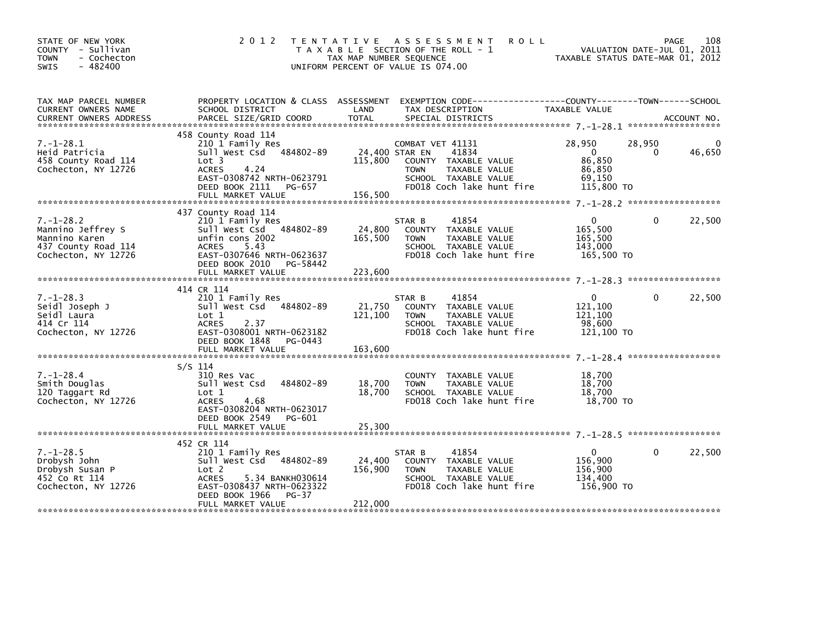| STATE OF NEW YORK<br>COUNTY - Sullivan<br><b>TOWN</b><br>- Cochecton<br>$-482400$<br><b>SWIS</b>    |                                                                                                                                                                                     | 2012 TENTATIVE ASSESSMENT<br><b>ROLL</b><br>T A X A B L E SECTION OF THE ROLL - 1<br>TAX MAP NUMBER SEQUENCE<br>UNIFORM PERCENT OF VALUE IS 074.00                                                                                                       | 108<br>PAGE<br>VALUATION DATE-JUL 01, 2011<br>TAXABLE STATUS DATE-MAR 01, 2012                         |
|-----------------------------------------------------------------------------------------------------|-------------------------------------------------------------------------------------------------------------------------------------------------------------------------------------|----------------------------------------------------------------------------------------------------------------------------------------------------------------------------------------------------------------------------------------------------------|--------------------------------------------------------------------------------------------------------|
| TAX MAP PARCEL NUMBER<br>CURRENT OWNERS NAME                                                        | PROPERTY LOCATION & CLASS ASSESSMENT<br>SCHOOL DISTRICT                                                                                                                             | LAND<br>TAX DESCRIPTION<br>.CURRENT OWNERS ADDRESS PARCEL SIZE/GRID COORD TOTAL SPECIAL DISTRICTS AND MELLE ACCOUNT NO ACCOUNT NO AND A ACCOUNT NO A SERVER AND RESERVE TO A A SERVER AND RESERVE TO A SERVER AND RESERVE TO A SERVER AND THE RESERVE TO | EXEMPTION CODE-----------------COUNTY-------TOWN------SCHOOL<br>TAXABLE VALUE                          |
| $7. - 1 - 28.1$<br>Heid Patricia<br>458 County Road 114<br>Cochecton, NY 12726                      | 458 County Road 114<br>210 1 Family Res<br>Sull West Csd 484802-89<br>Lot 3<br><b>ACRES</b><br>4.24<br>EAST-0308742 NRTH-0623791<br>DEED BOOK 2111 PG-657<br>FULL MARKET VALUE      | COMBAT VET 41131<br>24,400 STAR EN<br>41834<br>115,800<br>COUNTY TAXABLE VALUE<br>TAXABLE VALUE<br><b>TOWN</b><br>SCHOOL TAXABLE VALUE<br>FD018 Coch lake hunt fire<br>156,500                                                                           | 28,950<br>28,950<br>46,650<br>$\overline{\mathbf{0}}$<br>0<br>86,850<br>86,850<br>69,150<br>115,800 TO |
| $7. - 1 - 28.2$<br>Mannino Jeffrey S<br>Mannino Karen<br>437 County Road 114<br>Cochecton, NY 12726 | 437 County Road 114<br>210 1 Family Res<br>Sull West Csd 484802-89<br>unfin cons 2002<br>ACRES<br>5.43<br>EAST-0307646 NRTH-0623637<br>DEED BOOK 2010 PG-58442<br>FULL MARKET VALUE | 41854<br>STAR B<br>24,800<br>COUNTY TAXABLE VALUE<br>165,500<br><b>TOWN</b><br>TAXABLE VALUE<br>SCHOOL TAXABLE VALUE<br>FD018 Coch lake hunt fire<br>223,600                                                                                             | 22,500<br>$\mathbf{0}$<br>$\Omega$<br>165,500<br>165,500<br>143,000<br>165,500 TO                      |
| $7. - 1 - 28.3$<br>Seidl Joseph J<br>Seidl Laura<br>414 Cr 114<br>Cochecton, NY 12726               | 414 CR 114<br>210 1 Family Res<br>Sull West Csd 484802-89<br>Lot 1<br>2.37<br><b>ACRES</b><br>EAST-0308001 NRTH-0623182<br>DEED BOOK 1848 PG-0443<br>FULL MARKET VALUE              | 41854<br>STAR B<br>21,750<br>COUNTY TAXABLE VALUE<br>121,100<br>TAXABLE VALUE<br><b>TOWN</b><br>SCHOOL TAXABLE VALUE<br>FD018 Coch lake hunt fire<br>163,600                                                                                             | 22,500<br>$\Omega$<br>$\Omega$<br>121,100<br>121,100<br>98,600<br>121,100 TO                           |
| $7. - 1 - 28.4$<br>Smith Douglas<br>120 Taggart Rd<br>Cochecton, NY 12726                           | $S/S$ 114<br>310 Res Vac<br>484802-89<br>Sull West Csd<br>Lot 1<br><b>ACRES</b><br>4.68<br>EAST-0308204 NRTH-0623017<br>DEED BOOK 2549<br>PG-601                                    | COUNTY TAXABLE VALUE<br>18,700<br><b>TOWN</b><br>TAXABLE VALUE<br>18,700<br>SCHOOL TAXABLE VALUE<br>FD018 Coch lake hunt fire                                                                                                                            | 18,700<br>18,700<br>18,700<br>18,700 TO                                                                |
| $7. - 1 - 28.5$<br>Drobysh John<br>Drobysh Susan P<br>452 Co Rt 114<br>Cochecton, NY 12726          | 452 CR 114<br>210 1 Family Res<br>Sull West Csd 484802-89<br>Lot 2<br>5.34 BANKH030614<br><b>ACRES</b><br>EAST-0308437 NRTH-0623322<br>DEED BOOK 1966<br>PG-37<br>FULL MARKET VALUE | STAR B<br>41854<br>24,400<br>COUNTY TAXABLE VALUE<br>156,900<br>TAXABLE VALUE<br><b>TOWN</b><br>SCHOOL TAXABLE VALUE<br>FD018 Coch lake hunt fire<br>212,000                                                                                             | $\Omega$<br>22,500<br>$\mathbf{0}$<br>156,900<br>156,900<br>134.400<br>156,900 TO                      |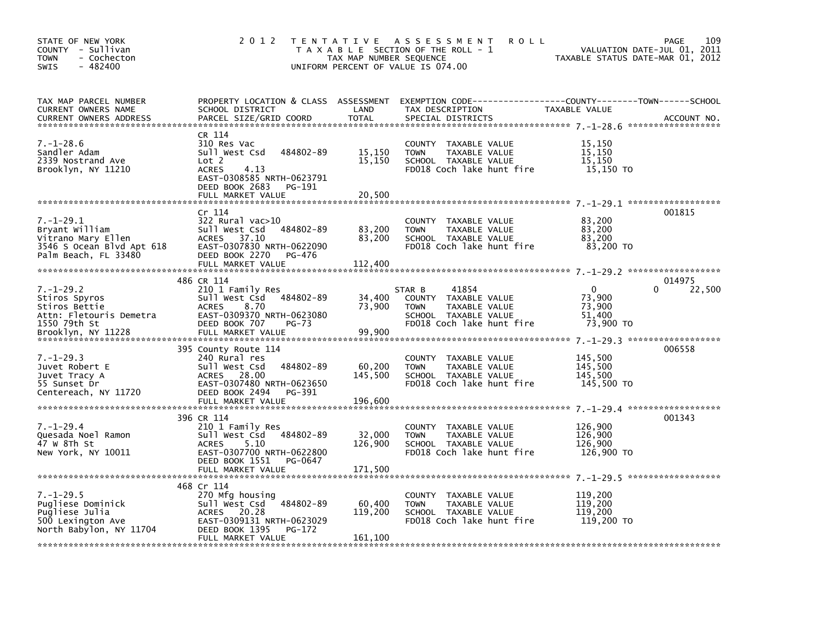| STATE OF NEW YORK<br>COUNTY - Sullivan<br><b>TOWN</b><br>- Cochecton<br>$-482400$<br><b>SWIS</b>             | 2 0 1 2                                                                                                                                                             | TAX MAP NUMBER SEQUENCE      | TENTATIVE ASSESSMENT<br><b>ROLL</b><br>T A X A B L E SECTION OF THE ROLL - 1<br>UNIFORM PERCENT OF VALUE IS 074.00                       | TAXABLE STATUS DATE-MAR 01, 2012                        | 109<br>PAGE<br>VALUATION DATE-JUL 01, 2011 |
|--------------------------------------------------------------------------------------------------------------|---------------------------------------------------------------------------------------------------------------------------------------------------------------------|------------------------------|------------------------------------------------------------------------------------------------------------------------------------------|---------------------------------------------------------|--------------------------------------------|
| TAX MAP PARCEL NUMBER<br>CURRENT OWNERS NAME<br><b>CURRENT OWNERS ADDRESS</b>                                | SCHOOL DISTRICT<br>PARCEL SIZE/GRID COORD                                                                                                                           | LAND<br><b>TOTAL</b>         | PROPERTY LOCATION & CLASS ASSESSMENT EXEMPTION CODE----------------COUNTY-------TOWN------SCHOOL<br>TAX DESCRIPTION<br>SPECIAL DISTRICTS | TAXABLE VALUE                                           | ACCOUNT NO.                                |
| $7. - 1 - 28.6$<br>Sandler Adam<br>2339 Nostrand Ave<br>Brooklyn, NY 11210                                   | CR 114<br>310 Res Vac<br>484802-89<br>Sull West Csd<br>Lot 2<br><b>ACRES</b><br>4.13<br>EAST-0308585 NRTH-0623791<br>DEED BOOK 2683<br>PG-191<br>FULL MARKET VALUE  | 15,150<br>15,150<br>20,500   | COUNTY TAXABLE VALUE<br><b>TOWN</b><br>TAXABLE VALUE<br>SCHOOL TAXABLE VALUE<br>FD018 Coch lake hunt fire                                | 15,150<br>15,150<br>15,150<br>15,150 TO                 |                                            |
| $7. - 1 - 29.1$<br>Bryant William<br>Vitrano Mary Ellen<br>3546 S Ocean Blvd Apt 618<br>Palm Beach, FL 33480 | Cr 114<br>322 Rural vac>10<br>Sull West Csd<br>484802-89<br>37.10<br><b>ACRES</b><br>EAST-0307830 NRTH-0622090<br>DEED BOOK 2270<br>PG-476<br>FULL MARKET VALUE     | 83,200<br>83,200<br>112,400  | COUNTY TAXABLE VALUE<br>TAXABLE VALUE<br><b>TOWN</b><br>SCHOOL TAXABLE VALUE<br>FD018 Coch lake hunt fire                                | 83,200<br>83.200<br>83,200<br>83,200 TO                 | 001815                                     |
| $7. - 1 - 29.2$<br>Stiros Spyros<br>Stiros Bettie<br>Attn: Fletouris Demetra<br>1550 79th St                 | 486 CR 114<br>210 1 Family Res<br>Sull West Csd<br>484802-89<br><b>ACRES</b><br>8.70<br>EAST-0309370 NRTH-0623080<br>DEED BOOK 707<br>$PG-73$                       | 34,400<br>73,900<br>99,900   | 41854<br>STAR B<br>COUNTY TAXABLE VALUE<br>TAXABLE VALUE<br><b>TOWN</b><br>SCHOOL TAXABLE VALUE<br>FD018 Coch lake hunt fire             | $\mathbf{0}$<br>73,900<br>73,900<br>51,400<br>73,900 TO | 014975<br>22,500<br>0                      |
| $7. - 1 - 29.3$<br>Juvet Robert E<br>Juvet Tracy A<br>55 Sunset Dr<br>Centereach, NY 11720                   | 395 County Route 114<br>240 Rural res<br>Sull West Csd<br>484802-89<br>28.00<br>ACRES<br>EAST-0307480 NRTH-0623650<br>DEED BOOK 2494<br>PG-391<br>FULL MARKET VALUE | 60,200<br>145,500<br>196,600 | COUNTY TAXABLE VALUE<br>TAXABLE VALUE<br><b>TOWN</b><br>SCHOOL TAXABLE VALUE<br>FD018 Coch lake hunt fire                                | 145,500<br>145,500<br>145,500<br>145,500 TO             | 006558                                     |
| $7. - 1 - 29.4$<br>Quesada Noel Ramon<br>47 W 8Th St<br>New York, NY 10011                                   | 396 CR 114<br>210 1 Family Res<br>484802-89<br>Sull West Csd<br><b>ACRES</b><br>5.10<br>EAST-0307700 NRTH-0622800<br>DEED BOOK 1551<br>PG-0647<br>FULL MARKET VALUE | 32,000<br>126,900<br>171,500 | TAXABLE VALUE<br><b>COUNTY</b><br>TAXABLE VALUE<br><b>TOWN</b><br>SCHOOL TAXABLE VALUE<br>FD018 Coch lake hunt fire                      | 126,900<br>126,900<br>126,900<br>126,900 TO             | 001343                                     |
| $7. - 1 - 29.5$<br>Pugliese Dominick<br>Pugliese Julia<br>500 Lexington Ave<br>North Babylon, NY 11704       | 468 Cr 114<br>270 Mfg housing<br>484802-89<br>Sull West Csd<br>ACRES 20.28<br>EAST-0309131 NRTH-0623029<br>DEED BOOK 1395<br>PG-172<br>FULL MARKET VALUE            | 60,400<br>119,200<br>161,100 | TAXABLE VALUE<br><b>COUNTY</b><br>TAXABLE VALUE<br><b>TOWN</b><br>SCHOOL TAXABLE VALUE<br>FD018 Coch lake hunt fire                      | 119,200<br>119,200<br>119,200<br>119,200 TO             |                                            |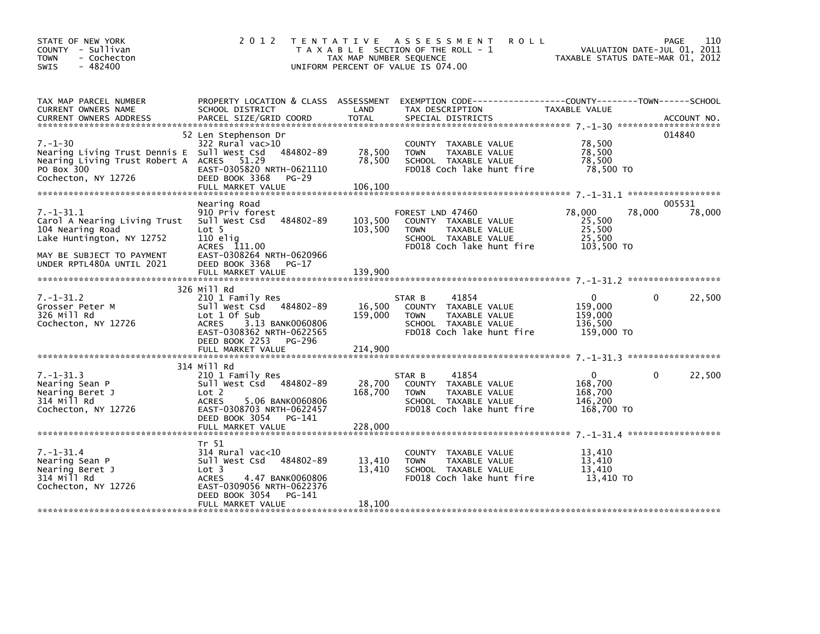| STATE OF NEW YORK<br>COUNTY - Sullivan<br><b>TOWN</b><br>- Cochecton<br>- 482400<br><b>SWIS</b>                                                            | 2 0 1 2                                                                                                                                                                 | T E N T A T I V E<br>TAX MAP NUMBER SEQUENCE | A S S E S S M E N T<br><b>ROLL</b><br>T A X A B L E SECTION OF THE ROLL - 1<br>UNIFORM PERCENT OF VALUE IS 074.00             | VALUATION DATE-JUL 01, 2011<br>TAXABLE STATUS DATE-MAR 01, 2012 | 110<br>PAGE        |
|------------------------------------------------------------------------------------------------------------------------------------------------------------|-------------------------------------------------------------------------------------------------------------------------------------------------------------------------|----------------------------------------------|-------------------------------------------------------------------------------------------------------------------------------|-----------------------------------------------------------------|--------------------|
| TAX MAP PARCEL NUMBER<br>CURRENT OWNERS NAME                                                                                                               | SCHOOL DISTRICT                                                                                                                                                         | LAND                                         | PROPERTY LOCATION & CLASS ASSESSMENT EXEMPTION CODE----------------COUNTY-------TOWN-----SCHOOL<br>TAX DESCRIPTION            | TAXABLE VALUE                                                   |                    |
| $7. - 1 - 30$<br>Nearing Living Trust Dennis E Sull West Csd 484802-89<br>Nearing Living Trust Robert A ACRES 51.29<br>PO Box 300<br>Cochecton, NY 12726   | 52 Len Stephenson Dr<br>322 Rural vac>10<br>EAST-0305820 NRTH-0621110<br>DEED BOOK 3368<br>PG-29<br>FULL MARKET VALUE                                                   | 78,500<br>78,500<br>106,100                  | COUNTY TAXABLE VALUE<br>TAXABLE VALUE<br><b>TOWN</b><br>SCHOOL TAXABLE VALUE<br>FD018 Coch lake hunt fire                     | 78,500<br>78,500<br>78,500<br>78,500 TO                         | 014840             |
| $7. - 1 - 31.1$<br>Carol A Nearing Living Trust<br>104 Nearing Road<br>Lake Huntington, NY 12752<br>MAY BE SUBJECT TO PAYMENT<br>UNDER RPTL480A UNTIL 2021 | Nearing Road<br>910 Priv forest<br>Sull West Csd 484802-89<br>Lot <sub>5</sub><br>$110$ elig<br>ACRES 111.00<br>EAST-0308264 NRTH-0620966<br>DEED BOOK 3368<br>PG-17    | 103,500<br>103,500                           | FOREST LND 47460<br>COUNTY TAXABLE VALUE<br>TAXABLE VALUE<br><b>TOWN</b><br>SCHOOL TAXABLE VALUE<br>FD018 Coch lake hunt fire | 78,000<br>78,000<br>25,500<br>25,500<br>25,500<br>103,500 TO    | 005531<br>78,000   |
|                                                                                                                                                            | FULL MARKET VALUE                                                                                                                                                       | 139,900                                      |                                                                                                                               |                                                                 |                    |
| $7. - 1 - 31.2$<br>Grosser Peter M<br>326 Mill Rd<br>Cochecton, NY 12726                                                                                   | 326 Mill Rd<br>210 1 Family Res<br>Sull West Csd 484802-89<br>Lot 1 Of Sub<br><b>ACRES</b><br>3.13 BANK0060806<br>EAST-0308362 NRTH-0622565<br>DEED BOOK 2253<br>PG-296 | 16,500<br>159,000                            | 41854<br>STAR B<br>COUNTY TAXABLE VALUE<br>TAXABLE VALUE<br><b>TOWN</b><br>SCHOOL TAXABLE VALUE<br>FD018 Coch lake hunt fire  | $\Omega$<br>159,000<br>159,000<br>136,500<br>159,000 TO         | 22,500<br>$\Omega$ |
|                                                                                                                                                            |                                                                                                                                                                         |                                              |                                                                                                                               |                                                                 |                    |
| $7. - 1 - 31.3$<br>Nearing Sean P<br>Nearing Beret J<br>314 Mill Rd<br>Cochecton, NY 12726                                                                 | 314 Mill Rd<br>210 1 Family Res<br>Sull West Csd 484802-89<br>Lot 2<br><b>ACRES</b><br>5.06 BANK0060806<br>EAST-0308703 NRTH-0622457<br>DEED BOOK 3054 PG-141           | 28,700<br>168,700                            | 41854<br>STAR B<br>COUNTY TAXABLE VALUE<br>TAXABLE VALUE<br><b>TOWN</b><br>SCHOOL TAXABLE VALUE<br>FD018 Coch lake hunt fire  | $\overline{0}$<br>168,700<br>168,700<br>146,200<br>168,700 TO   | 22,500<br>$\Omega$ |
|                                                                                                                                                            |                                                                                                                                                                         |                                              |                                                                                                                               |                                                                 |                    |
| $7. - 1 - 31.4$<br>Nearing Sean P<br>Nearing Beret J<br>314 Mill Rd<br>Cochecton, NY 12726                                                                 | Tr 51<br>$314$ Rural vac<10<br>Sull West Csd 484802-89<br>Lot 3<br><b>ACRES</b><br>4.47 BANK0060806<br>EAST-0309056 NRTH-0622376                                        | 13,410<br>13,410                             | COUNTY TAXABLE VALUE<br><b>TOWN</b><br>TAXABLE VALUE<br>SCHOOL TAXABLE VALUE<br>FD018 Coch lake hunt fire                     | 13,410<br>13.410<br>13,410<br>13,410 TO                         |                    |
|                                                                                                                                                            | DEED BOOK 3054<br>PG-141<br>FULL MARKET VALUE                                                                                                                           | 18,100                                       |                                                                                                                               |                                                                 |                    |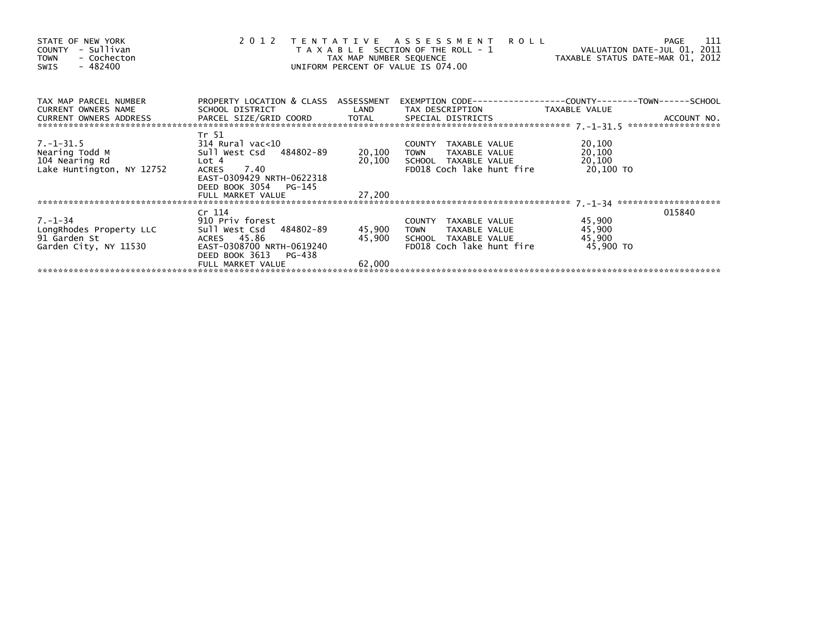| STATE OF NEW YORK<br>- Sullivan<br>COUNTY<br>- Cochecton<br><b>TOWN</b><br>- 482400<br>SWIS | 2012                                                    | TAX MAP NUMBER SEQUENCE | TENTATIVE ASSESSMENT<br><b>ROLL</b><br>T A X A B L E SECTION OF THE ROLL - 1<br>UNIFORM PERCENT OF VALUE IS 074.00 | VALUATION DATE-JUL 01, 2011<br>TAXABLE STATUS DATE-MAR 01, 2012 | -111<br><b>PAGE</b>               |
|---------------------------------------------------------------------------------------------|---------------------------------------------------------|-------------------------|--------------------------------------------------------------------------------------------------------------------|-----------------------------------------------------------------|-----------------------------------|
| TAX MAP PARCEL NUMBER<br><b>CURRENT OWNERS NAME</b>                                         | PROPERTY LOCATION & CLASS ASSESSMENT<br>SCHOOL DISTRICT | LAND                    | TAX DESCRIPTION                                                                                                    | TAXABLE VALUE                                                   |                                   |
| CURRENT OWNERS ADDRESS                                                                      |                                                         |                         |                                                                                                                    |                                                                 | ACCOUNT NO.<br>****************** |
|                                                                                             | Tr 51                                                   |                         |                                                                                                                    |                                                                 |                                   |
| 7.-1-31.5<br>Nearing Todd M                                                                 | 314 Rural vac<10<br>Sull West Csd 484802-89             |                         | COUNTY TAXABLE VALUE                                                                                               | 20,100                                                          |                                   |
| Nearing Todd M<br>104 Nearing Rd                                                            | Lot 4                                                   | 20,100<br>20,100        | TAXABLE VALUE<br><b>TOWN</b><br>SCHOOL TAXABLE VALUE                                                               | 20,100<br>20,100                                                |                                   |
| Lake Huntington, NY 12752                                                                   | 7.40<br><b>ACRES</b>                                    |                         | FD018 Coch lake hunt fire                                                                                          | 20,100 TO                                                       |                                   |
|                                                                                             | EAST-0309429 NRTH-0622318                               |                         |                                                                                                                    |                                                                 |                                   |
|                                                                                             | DEED BOOK 3054<br>PG-145                                |                         |                                                                                                                    |                                                                 |                                   |
|                                                                                             | FULL MARKET VALUE                                       | 27,200                  |                                                                                                                    |                                                                 |                                   |
|                                                                                             |                                                         |                         |                                                                                                                    |                                                                 |                                   |
|                                                                                             | Cr 114                                                  |                         |                                                                                                                    |                                                                 | 015840                            |
| $7. - 1 - 34$                                                                               | 910 Priv forest                                         |                         | COUNTY TAXABLE VALUE                                                                                               | 45,900                                                          |                                   |
| LongRhodes Property LLC                                                                     | Sull West Csd 484802-89                                 | 45,900                  | TOWN<br>TAXABLE VALUE                                                                                              | 45,900                                                          |                                   |
| 91 Garden St                                                                                | ACRES 45.86                                             | 45,900                  | SCHOOL TAXABLE VALUE                                                                                               | 45,900                                                          |                                   |
| Garden City, NY 11530                                                                       | EAST-0308700 NRTH-0619240                               |                         | FD018 Coch lake hunt fire                                                                                          | 45,900 TO                                                       |                                   |
|                                                                                             | DEED BOOK 3613<br>PG-438                                |                         |                                                                                                                    |                                                                 |                                   |
|                                                                                             | FULL MARKET VALUE                                       | 62,000                  |                                                                                                                    |                                                                 |                                   |
|                                                                                             |                                                         |                         |                                                                                                                    |                                                                 |                                   |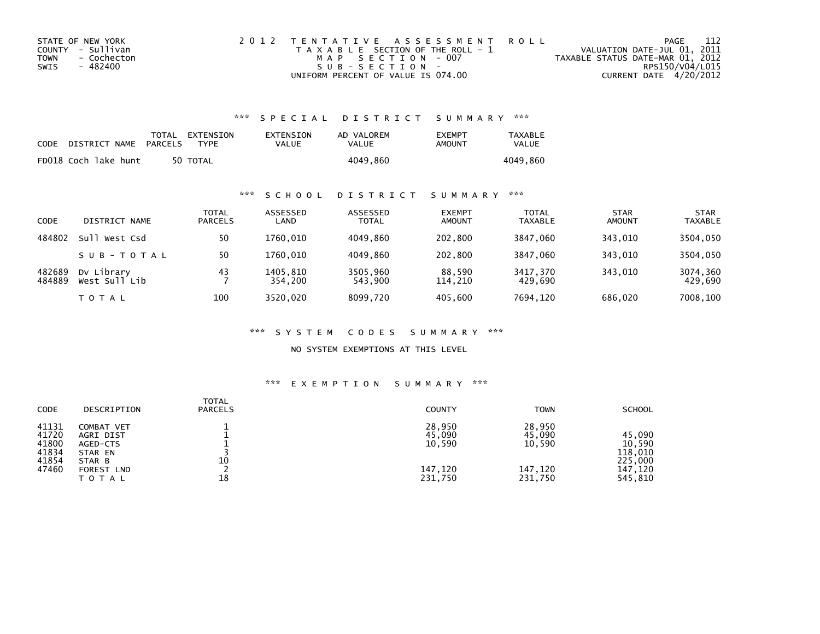| STATE OF NEW YORK   | 2012 TENTATIVE ASSESSMENT ROLL        |                                  | -112<br>PAGE    |  |
|---------------------|---------------------------------------|----------------------------------|-----------------|--|
| COUNTY - Sullivan   | T A X A B L E SECTION OF THE ROLL - 1 | VALUATION DATE-JUL 01, 2011      |                 |  |
| TOWN<br>- Cochecton | MAP SECTION - 007                     | TAXABLE STATUS DATE-MAR 01, 2012 |                 |  |
| - 482400<br>SWIS    | $S \cup R - S F C T T O N -$          |                                  | RPS150/V04/L015 |  |
|                     | UNIFORM PERCENT OF VALUE IS 074.00    | CURRENT DATE 4/20/2012           |                 |  |

## \*\*\* S P E C I A L D I S T R I C T S U M M A R Y \*\*\*

| CODE | DISTRICT NAME        | <b>PARCELS</b> | TOTAL EXTENSION<br><b>TYPF</b> | EXTENSION<br>VALUE | AD VALOREM<br>VALUE | <b>FXFMPT</b><br>AMOUNT | <b>TAXABLE</b><br>VALUE |
|------|----------------------|----------------|--------------------------------|--------------------|---------------------|-------------------------|-------------------------|
|      | FD018 Coch lake hunt |                | 50 TOTAL                       |                    | 4049,860            |                         | 4049.860                |

## \*\*\* S C H O O L D I S T R I C T S U M M A R Y \*\*\*

| CODE             | DISTRICT NAME               | TOTAL<br><b>PARCELS</b> | ASSESSED<br>LAND    | ASSESSED<br><b>TOTAL</b> | <b>EXEMPT</b><br><b>AMOUNT</b> | <b>TOTAL</b><br><b>TAXABLE</b> | <b>STAR</b><br><b>AMOUNT</b> | <b>STAR</b><br><b>TAXABLE</b> |
|------------------|-----------------------------|-------------------------|---------------------|--------------------------|--------------------------------|--------------------------------|------------------------------|-------------------------------|
| 484802           | $S$ ull<br>West Csd         | 50                      | 1760.010            | 4049.860                 | 202,800                        | 3847.060                       | 343.010                      | 3504,050                      |
|                  | SUB-TOTAL                   | 50                      | 1760.010            | 4049.860                 | 202,800                        | 3847.060                       | 343,010                      | 3504,050                      |
| 482689<br>484889 | Dy Library<br>West Sull Lib | 43                      | 1405,810<br>354.200 | 3505.960<br>543,900      | 88,590<br>114,210              | 3417,370<br>429,690            | 343.010                      | 3074,360<br>429,690           |
|                  | T O T A L                   | 100                     | 3520.020            | 8099.720                 | 405,600                        | 7694,120                       | 686,020                      | 7008,100                      |

#### \*\*\* S Y S T E M C O D E S S U M M A R Y \*\*\*

### NO SYSTEM EXEMPTIONS AT THIS LEVEL

#### \*\*\* E X E M P T I O N S U M M A R Y \*\*\*

| CODE                                               | DESCRIPTION                                                                            | <b>TOTAL</b><br><b>PARCELS</b> | <b>COUNTY</b>                                    | <b>TOWN</b>                                      | <b>SCHOOL</b>                                                |
|----------------------------------------------------|----------------------------------------------------------------------------------------|--------------------------------|--------------------------------------------------|--------------------------------------------------|--------------------------------------------------------------|
| 41131<br>41720<br>41800<br>41834<br>41854<br>47460 | COMBAT VET<br>AGRI DIST<br>AGED-CTS<br>STAR EN<br>STAR B<br>FOREST LND<br><b>TOTAL</b> | 10<br>18                       | 28,950<br>45,090<br>10,590<br>147,120<br>231,750 | 28,950<br>45,090<br>10,590<br>147,120<br>231,750 | 45,090<br>10,590<br>118,010<br>225,000<br>147,120<br>545,810 |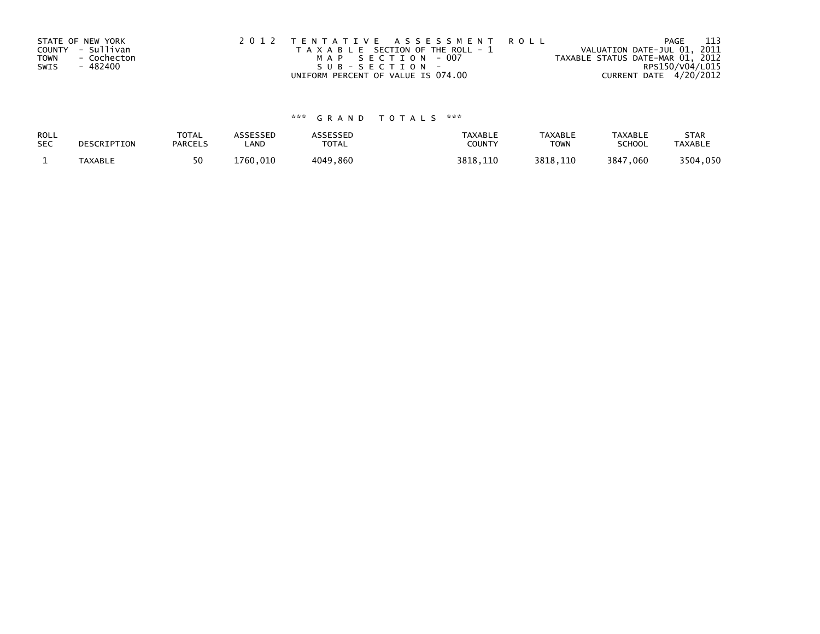| STATE OF NEW YORK          | 2012 TENTATIVE ASSESSMENT ROLL        | PAGE                             | - 113 |
|----------------------------|---------------------------------------|----------------------------------|-------|
| COUNTY - Sullivan          | T A X A B L E SECTION OF THE ROLL - 1 | VALUATION DATE-JUL 01, 2011      |       |
| <b>TOWN</b><br>- Cochecton | MAP SECTION - 007                     | TAXABLE STATUS DATE-MAR 01, 2012 |       |
| SWIS<br>- 482400           | SUB-SECTION-                          | RPS150/V04/L015                  |       |
|                            | UNIFORM PERCENT OF VALUE IS 074.00    | CURRENT DATE 4/20/2012           |       |

# \*\*\* G R A N D T O T A L S \*\*\*

| ROLL       | DESCRIPTION | <b>TOTAL</b>   | ASSESSED      | <b>ASSESSED</b> | <b>TAXABLE</b> | <b>TAXABLE</b> | <b>TAXABLE</b> | <b>STAR</b>    |
|------------|-------------|----------------|---------------|-----------------|----------------|----------------|----------------|----------------|
| <b>SEC</b> |             | <b>PARCELS</b> | ∟AND          | TOTAL           | <b>COUNT</b>   | <b>TOWN</b>    | <b>SCHOOL</b>  | <b>TAXABLE</b> |
|            | TAXABLE     | 50             | 1760.<br>.010 | 4049,860        | 3818.110       | 3818,110       | 3847,060       | 3504,050       |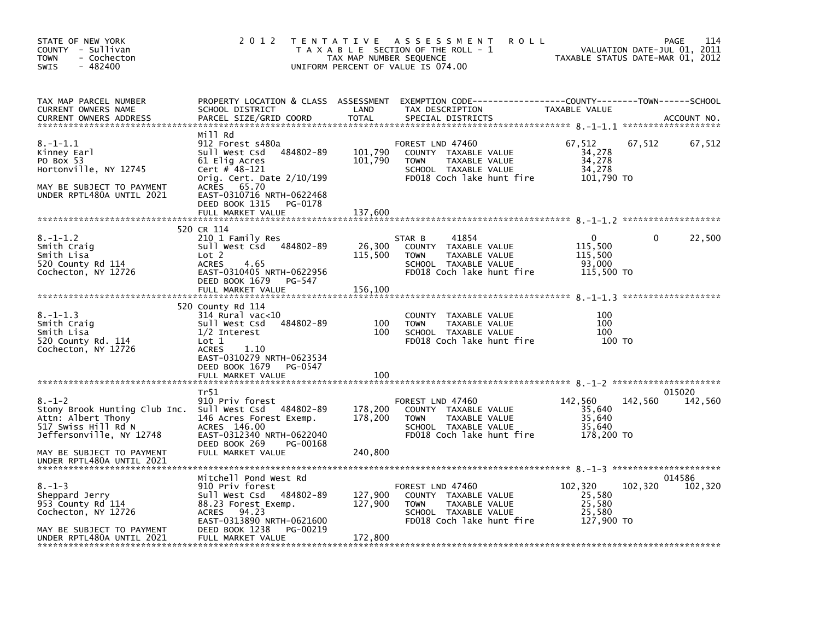| STATE OF NEW YORK<br>COUNTY - Sullivan<br><b>TOWN</b><br>- Cochecton<br>$-482400$<br><b>SWIS</b>                                                                                 | 2 0 1 2                                                                                                                                                                                             | TAX MAP NUMBER SEQUENCE       | TENTATIVE ASSESSMENT<br><b>ROLL</b><br>T A X A B L E SECTION OF THE ROLL - 1<br>UNIFORM PERCENT OF VALUE IS 074.00                      | TAXABLE STATUS DATE-MAR 01, 2012                    |         | 114<br>PAGE<br>VALUATION DATE-JUL 01, 2011 |
|----------------------------------------------------------------------------------------------------------------------------------------------------------------------------------|-----------------------------------------------------------------------------------------------------------------------------------------------------------------------------------------------------|-------------------------------|-----------------------------------------------------------------------------------------------------------------------------------------|-----------------------------------------------------|---------|--------------------------------------------|
| TAX MAP PARCEL NUMBER<br>CURRENT OWNERS NAME<br>CURRENT OWNERS ADDRESS                                                                                                           | SCHOOL DISTRICT<br>PARCEL SIZE/GRID COORD                                                                                                                                                           | LAND<br><b>TOTAL</b>          | PROPERTY LOCATION & CLASS ASSESSMENT EXEMPTION CODE---------------COUNTY-------TOWN------SCHOOL<br>TAX DESCRIPTION<br>SPECIAL DISTRICTS | TAXABLE VALUE                                       |         | ACCOUNT NO.                                |
| $8. - 1 - 1.1$<br>Kinney Earl<br>PO Box 53<br>Hortonville, NY 12745<br>MAY BE SUBJECT TO PAYMENT<br>UNDER RPTL480A UNTIL 2021                                                    | Mill Rd<br>912 Forest s480a<br>Sull West Csd 484802-89<br>61 Elig Acres<br>Cert # 48-121<br>Orig. Cert. Date $2/10/199$<br>ACRES 65.70<br>EAST-0310716 NRTH-0622468<br>DEED BOOK 1315<br>PG-0178    | 101,790<br>101,790            | FOREST LND 47460<br>COUNTY TAXABLE VALUE<br>TAXABLE VALUE<br><b>TOWN</b><br>SCHOOL TAXABLE VALUE<br>FD018 Coch lake hunt fire           | 67,512<br>34,278<br>34,278<br>34,278<br>101,790 TO  | 67,512  | 67,512                                     |
|                                                                                                                                                                                  | FULL MARKET VALUE                                                                                                                                                                                   | 137,600                       |                                                                                                                                         |                                                     |         |                                            |
| $8. - 1 - 1.2$<br>Smith Craig<br>Smith Lisa<br>520 County Rd 114<br>Cochecton, NY 12726                                                                                          | 520 CR 114<br>210 1 Family Res<br>Sull West Csd 484802-89<br>Lot 2<br><b>ACRES</b><br>4.65<br>EAST-0310405 NRTH-0622956                                                                             | 26,300<br>115,500             | 41854<br>STAR B<br>COUNTY TAXABLE VALUE<br>TAXABLE VALUE<br><b>TOWN</b><br>SCHOOL TAXABLE VALUE<br>FD018 Coch lake hunt fire            | 0<br>115,500<br>115,500<br>93,000<br>115,500 TO     | 0       | 22,500                                     |
|                                                                                                                                                                                  | DEED BOOK 1679<br>PG-547<br>FULL MARKET VALUE                                                                                                                                                       | 156,100                       |                                                                                                                                         |                                                     |         |                                            |
| $8. - 1 - 1.3$<br>Smith Craig<br>Smith Lisa<br>520 County Rd. 114<br>Cochecton, NY 12726                                                                                         | 520 County Rd 114<br>314 Rural vac<10<br>484802-89<br>Sull West Csd<br>$1/2$ Interest<br>Lot 1<br><b>ACRES</b><br>1.10<br>EAST-0310279 NRTH-0623534<br>DEED BOOK 1679<br>PG-0547                    | 100<br>100                    | COUNTY TAXABLE VALUE<br><b>TOWN</b><br>TAXABLE VALUE<br>SCHOOL TAXABLE VALUE<br>FD018 Coch lake hunt fire                               | 100<br>100<br>100<br>100 TO                         |         |                                            |
|                                                                                                                                                                                  | FULL MARKET VALUE                                                                                                                                                                                   | 100                           |                                                                                                                                         |                                                     |         |                                            |
| $8. - 1 - 2$<br>Stony Brook Hunting Club Inc.<br>Attn: Albert Thony<br>517 Swiss Hill Rd N<br>Jeffersonville, NY 12748<br>MAY BE SUBJECT TO PAYMENT<br>UNDER RPTL480A UNTIL 2021 | Tr51<br>910 Priv forest<br>Sull West Csd 484802-89<br>146 Acres Forest Exemp.<br>ACRES 146.00<br>EAST-0312340 NRTH-0622040<br>DEED BOOK 269<br>PG-00168<br>FULL MARKET VALUE                        | 178,200<br>178,200<br>240,800 | FOREST LND 47460<br>COUNTY TAXABLE VALUE<br><b>TOWN</b><br>TAXABLE VALUE<br>SCHOOL TAXABLE VALUE<br>FD018 Coch lake hunt fire           | 142,560<br>35,640<br>35,640<br>35,640<br>178,200 TO | 142,560 | 015020<br>142,560                          |
| $8. - 1 - 3$<br>Sheppard Jerry<br>953 County Rd 114<br>Cochecton, NY 12726<br>MAY BE SUBJECT TO PAYMENT<br>UNDER RPTL480A UNTIL 2021                                             | Mitchell Pond West Rd<br>910 Priv forest<br>Sull West Csd 484802-89<br>88.23 Forest Exemp.<br>94.23<br><b>ACRES</b><br>EAST-0313890 NRTH-0621600<br>DEED BOOK 1238<br>PG-00219<br>FULL MARKET VALUE | 127,900<br>127,900<br>172,800 | FOREST LND 47460<br>COUNTY TAXABLE VALUE<br><b>TOWN</b><br>TAXABLE VALUE<br>SCHOOL TAXABLE VALUE<br>FD018 Coch lake hunt fire           | 102,320<br>25,580<br>25,580<br>25,580<br>127,900 TO | 102,320 | 014586<br>102,320                          |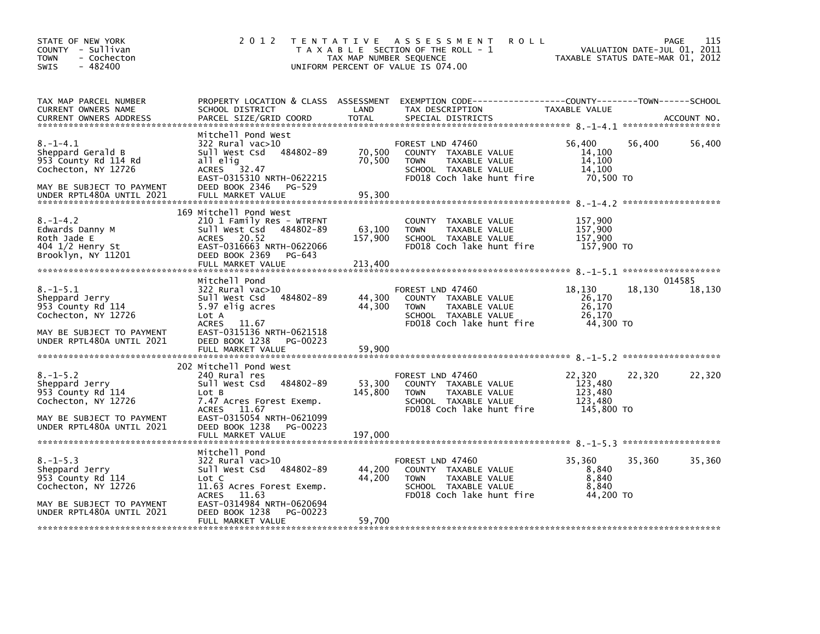| STATE OF NEW YORK<br>COUNTY - Sullivan<br>- Cochecton<br>TOWN<br>$-482400$<br>SWIS                                                           | 2 0 1 2                                                                                                                                                                                                   | T E N T A T I V E<br>TAX MAP NUMBER SEQUENCE<br>UNIFORM PERCENT OF VALUE IS 074.00 | A S S E S S M E N T<br><b>ROLL</b><br>T A X A B L E SECTION OF THE ROLL - 1                                                   |                                                       | 115<br>PAGE<br>VALUATION DATE-JUL 01, 2011<br>TAXABLE STATUS DATE-MAR 01, 2012 |
|----------------------------------------------------------------------------------------------------------------------------------------------|-----------------------------------------------------------------------------------------------------------------------------------------------------------------------------------------------------------|------------------------------------------------------------------------------------|-------------------------------------------------------------------------------------------------------------------------------|-------------------------------------------------------|--------------------------------------------------------------------------------|
| TAX MAP PARCEL NUMBER<br>CURRENT OWNERS NAME<br><b>CURRENT OWNERS ADDRESS</b>                                                                | PROPERTY LOCATION & CLASS ASSESSMENT<br>SCHOOL DISTRICT<br>PARCEL SIZE/GRID COORD                                                                                                                         | LAND<br><b>TOTAL</b>                                                               | EXEMPTION CODE-----------------COUNTY-------TOWN------SCHOOL<br>TAX DESCRIPTION<br>SPECIAL DISTRICTS                          | TAXABLE VALUE                                         | ACCOUNT NO.                                                                    |
| $8. - 1 - 4.1$<br>Sheppard Gerald B<br>953 County Rd 114 Rd<br>Cochecton, NY 12726<br>MAY BE SUBJECT TO PAYMENT<br>UNDER RPTL480A UNTIL 2021 | Mitchell Pond West<br>322 Rural vac>10<br>Sull West Csd 484802-89<br>all elig<br>ACRES 32.47<br>EAST-0315310 NRTH-0622215<br>DEED BOOK 2346 PG-529<br>FULL MARKET VALUE                                   | 70,500<br>70,500<br>95,300                                                         | FOREST LND 47460<br>COUNTY TAXABLE VALUE<br>TAXABLE VALUE<br><b>TOWN</b><br>SCHOOL TAXABLE VALUE<br>FD018 Coch lake hunt fire | 56,400<br>14,100<br>14,100<br>14.100<br>70,500 то     | 56,400<br>56,400                                                               |
| $8. - 1 - 4.2$<br>Edwards Danny M<br>Roth Jade E<br>404 1/2 Henry St<br>Brooklyn, NY 11201                                                   | 169 Mitchell Pond West<br>210 1 Family Res - WTRFNT<br>Sull West Csd 484802-89<br>ACRES 20.52<br>EAST-0316663 NRTH-0622066<br>DEED BOOK 2369<br>PG-643<br>FULL MARKET VALUE                               | 63,100<br>157,900<br>213,400                                                       | COUNTY TAXABLE VALUE<br>TAXABLE VALUE<br><b>TOWN</b><br>SCHOOL TAXABLE VALUE<br>FD018 Coch lake hunt fire                     | 157,900<br>157,900<br>157,900<br>157,900 TO           |                                                                                |
| $8. - 1 - 5.1$<br>Sheppard Jerry<br>953 County Rd 114<br>Cochecton, NY 12726<br>MAY BE SUBJECT TO PAYMENT<br>UNDER RPTL480A UNTIL 2021       | Mitchell Pond<br>322 Rural vac>10<br>Sull West Csd 484802-89<br>5.97 elig acres<br>Lot A<br>ACRES 11.67<br>EAST-0315136 NRTH-0621518<br>DEED BOOK 1238<br>PG-00223                                        | 44,300<br>44,300                                                                   | FOREST LND 47460<br>COUNTY TAXABLE VALUE<br>TAXABLE VALUE<br><b>TOWN</b><br>SCHOOL TAXABLE VALUE<br>FD018 Coch lake hunt fire | 18,130<br>26,170<br>26,170<br>26,170<br>44,300 TO     | 014585<br>18,130<br>18,130                                                     |
| $8. - 1 - 5.2$<br>Sheppard Jerry<br>953 County Rd 114<br>Cochecton, NY 12726<br>MAY BE SUBJECT TO PAYMENT<br>UNDER RPTL480A UNTIL 2021       | 202 Mitchell Pond West<br>240 Rural res<br>484802-89<br>Sull West Csd<br>Lot B<br>7.47 Acres Forest Exemp.<br>ACRES 11.67<br>EAST-0315054 NRTH-0621099<br>DEED BOOK 1238<br>PG-00223<br>FULL MARKET VALUE | 53,300<br>145,800<br>197,000                                                       | FOREST LND 47460<br>COUNTY TAXABLE VALUE<br>TAXABLE VALUE<br><b>TOWN</b><br>SCHOOL TAXABLE VALUE<br>FD018 Coch lake hunt fire | 22,320<br>123,480<br>123,480<br>123.480<br>145,800 TO | 22,320<br>22,320                                                               |
| $8. - 1 - 5.3$<br>Sheppard Jerry<br>953 County Rd 114<br>Cochecton, NY 12726<br>MAY BE SUBJECT TO PAYMENT<br>UNDER RPTL480A UNTIL 2021       | Mitchell Pond<br>322 Rural vac>10<br>Sull West Csd 484802-89<br>Lot C<br>11.63 Acres Forest Exemp.<br>ACRES 11.63<br>EAST-0314984 NRTH-0620694<br>DEED BOOK 1238<br>PG-00223<br>FULL MARKET VALUE         | 44,200<br>44,200<br>59,700                                                         | FOREST LND 47460<br>COUNTY TAXABLE VALUE<br><b>TOWN</b><br>TAXABLE VALUE<br>SCHOOL TAXABLE VALUE<br>FD018 Coch lake hunt fire | 35,360<br>8,840<br>8,840<br>8,840<br>44,200 TO        | 35,360<br>35,360                                                               |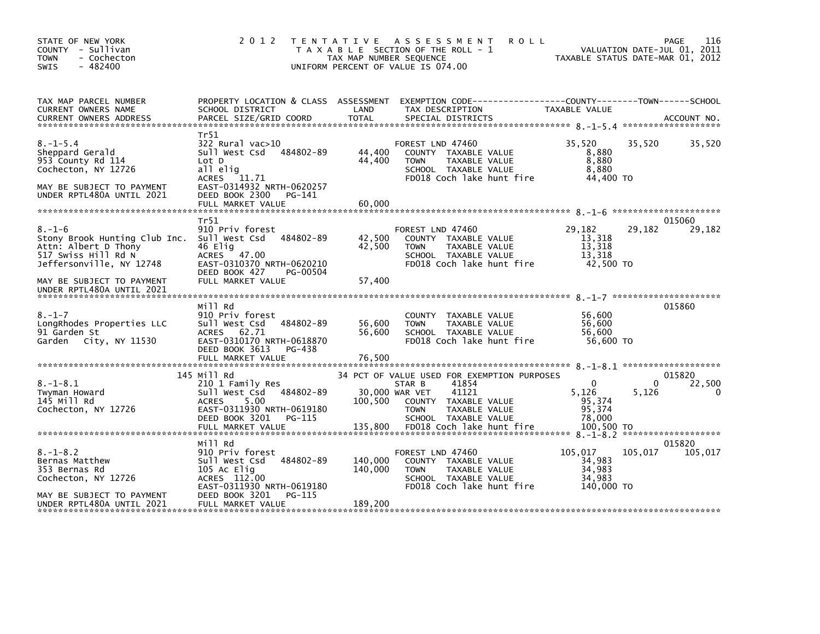| STATE OF NEW YORK<br>COUNTY - Sullivan<br><b>TOWN</b><br>- Cochecton<br>$-482400$<br><b>SWIS</b>                         | 2 0 1 2                                                                                                                                     | TAX MAP NUMBER SEQUENCE   | <b>ROLL</b><br>TENTATIVE ASSESSMENT<br>T A X A B L E SECTION OF THE ROLL - 1<br>UNIFORM PERCENT OF VALUE IS 074.00                                      | TAXABLE STATUS DATE-MAR 01, 2012                    | VALUATION DATE-JUL 01, 2011 | 116<br><b>PAGE</b>    |
|--------------------------------------------------------------------------------------------------------------------------|---------------------------------------------------------------------------------------------------------------------------------------------|---------------------------|---------------------------------------------------------------------------------------------------------------------------------------------------------|-----------------------------------------------------|-----------------------------|-----------------------|
| TAX MAP PARCEL NUMBER<br>CURRENT OWNERS NAME<br><b>CURRENT OWNERS ADDRESS</b>                                            | PROPERTY LOCATION & CLASS ASSESSMENT<br>SCHOOL DISTRICT<br>PARCEL SIZE/GRID COORD                                                           | LAND<br><b>TOTAL</b>      | EXEMPTION CODE-----------------COUNTY-------TOWN------SCHOOL<br>TAX DESCRIPTION<br>SPECIAL DISTRICTS                                                    | TAXABLE VALUE                                       |                             | ACCOUNT NO.           |
|                                                                                                                          |                                                                                                                                             |                           |                                                                                                                                                         |                                                     |                             |                       |
| $8. - 1 - 5.4$<br>Sheppard Gerald<br>953 County Rd 114<br>Cochecton, NY 12726<br>MAY BE SUBJECT TO PAYMENT               | Tr51<br>322 Rural vac>10<br>Sull West Csd<br>484802-89<br>Lot D<br>all elig<br><b>ACRES</b><br>11.71<br>EAST-0314932 NRTH-0620257           | 44,400<br>44,400          | FOREST LND 47460<br>COUNTY TAXABLE VALUE<br>TAXABLE VALUE<br><b>TOWN</b><br>SCHOOL TAXABLE VALUE<br>FD018 Coch lake hunt fire                           | 35.520<br>8,880<br>8,880<br>8.880<br>44,400 TO      | 35,520                      | 35,520                |
| UNDER RPTL480A UNTIL 2021                                                                                                | DEED BOOK 2300<br>PG-141                                                                                                                    |                           |                                                                                                                                                         |                                                     |                             |                       |
|                                                                                                                          | FULL MARKET VALUE                                                                                                                           | 60,000                    |                                                                                                                                                         |                                                     |                             |                       |
|                                                                                                                          |                                                                                                                                             |                           |                                                                                                                                                         |                                                     |                             |                       |
| $8. - 1 - 6$<br>Stony Brook Hunting Club Inc.<br>Attn: Albert D Thony<br>517 Swiss Hill Rd N<br>Jeffersonville, NY 12748 | Tr51<br>910 Priv forest<br>484802-89<br>Sull West Csd<br>46 Elig<br>ACRES 47.00<br>EAST-0310370 NRTH-0620210<br>DEED BOOK 427<br>PG-00504   | 42,500<br>42,500          | FOREST LND 47460<br>COUNTY TAXABLE VALUE<br>TAXABLE VALUE<br><b>TOWN</b><br>SCHOOL TAXABLE VALUE<br>FD018 Coch lake hunt fire                           | 29,182<br>13,318<br>13,318<br>13.318<br>42,500 TO   | 29,182                      | 015060<br>29,182      |
| MAY BE SUBJECT TO PAYMENT<br>UNDER RPTL480A UNTIL 2021                                                                   | FULL MARKET VALUE                                                                                                                           | 57,400                    |                                                                                                                                                         |                                                     |                             |                       |
|                                                                                                                          | Mill Rd                                                                                                                                     |                           |                                                                                                                                                         |                                                     |                             | 015860                |
| $8. - 1 - 7$<br>LongRhodes Properties LLC<br>91 Garden St<br>Garden City, NY 11530                                       | 910 Priv forest<br>Sull West Csd<br>484802-89<br>ACRES<br>62.71<br>EAST-0310170 NRTH-0618870<br>DEED BOOK 3613<br>PG-438                    | 56,600<br>56,600          | COUNTY TAXABLE VALUE<br>TAXABLE VALUE<br><b>TOWN</b><br>SCHOOL TAXABLE VALUE<br>FD018 Coch lake hunt fire                                               | 56,600<br>56,600<br>56.600<br>56,600 TO             |                             |                       |
|                                                                                                                          | FULL MARKET VALUE                                                                                                                           | 76,500                    |                                                                                                                                                         |                                                     |                             |                       |
| $8. - 1 - 8.1$<br>Twyman Howard<br>145 Mill Rd<br>Cochecton, NY 12726                                                    | 145 Mill Rd<br>210 1 Family Res<br>Sull West Csd 484802-89<br>5.00<br><b>ACRES</b><br>EAST-0311930 NRTH-0619180<br>DEED BOOK 3201<br>PG-115 | 30,000 WAR VET<br>100,500 | 34 PCT OF VALUE USED FOR EXEMPTION PURPOSES<br>41854<br>STAR B<br>41121<br>COUNTY TAXABLE VALUE<br>TAXABLE VALUE<br><b>TOWN</b><br>SCHOOL TAXABLE VALUE | $\mathbf{0}$<br>5,126<br>95,374<br>95,374<br>78,000 | 0<br>5,126                  | 015820<br>22,500<br>0 |
|                                                                                                                          | Mill Rd                                                                                                                                     |                           |                                                                                                                                                         |                                                     |                             | 015820                |
| $8. - 1 - 8.2$<br>Bernas Matthew<br>353 Bernas Rd<br>Cochecton, NY 12726                                                 | 910 Priv forest<br>Sull West Csd<br>484802-89<br>105 Ac Elig<br>ACRES 112.00<br>EAST-0311930 NRTH-0619180                                   | 140,000<br>140,000        | FOREST LND 47460<br>COUNTY TAXABLE VALUE<br>TAXABLE VALUE<br><b>TOWN</b><br>SCHOOL TAXABLE VALUE<br>FD018 Coch lake hunt fire                           | 105,017<br>34,983<br>34,983<br>34,983<br>140,000 TO | 105,017                     | 105,017               |
| MAY BE SUBJECT TO PAYMENT<br>UNDER RPTL480A UNTIL 2021                                                                   | DEED BOOK 3201<br>PG-115<br>FULL MARKET VALUE                                                                                               | 189,200                   |                                                                                                                                                         |                                                     |                             |                       |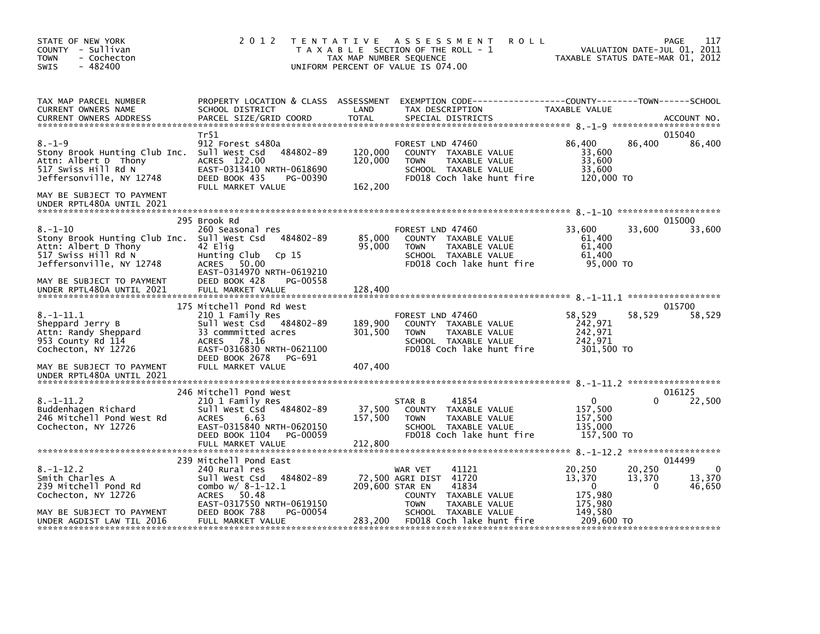| STATE OF NEW YORK<br>COUNTY - Sullivan<br>- Cochecton<br><b>TOWN</b><br>$-482400$<br><b>SWIS</b>                          | 2 0 1 2                                                                                                                                             | TAX MAP NUMBER SEQUENCE       | TENTATIVE ASSESSMENT<br><b>ROLL</b><br>T A X A B L E SECTION OF THE ROLL - 1<br>UNIFORM PERCENT OF VALUE IS 074.00            |                                                       | 117<br>PAGE<br>VALUATION DATE-JUL 01, 2011<br>TAXABLE STATUS DATE-MAR 01, 2012 |
|---------------------------------------------------------------------------------------------------------------------------|-----------------------------------------------------------------------------------------------------------------------------------------------------|-------------------------------|-------------------------------------------------------------------------------------------------------------------------------|-------------------------------------------------------|--------------------------------------------------------------------------------|
| TAX MAP PARCEL NUMBER<br>CURRENT OWNERS NAME<br><b>CURRENT OWNERS ADDRESS</b>                                             | PROPERTY LOCATION & CLASS ASSESSMENT<br>SCHOOL DISTRICT<br>PARCEL SIZE/GRID COORD                                                                   | LAND<br><b>TOTAL</b>          | EXEMPTION CODE-----------------COUNTY-------TOWN------SCHOOL<br>TAX DESCRIPTION<br>SPECIAL DISTRICTS                          | TAXABLE VALUE                                         | ACCOUNT NO.                                                                    |
|                                                                                                                           | Tr51                                                                                                                                                |                               |                                                                                                                               |                                                       | 015040                                                                         |
| $8. - 1 - 9$<br>Stony Brook Hunting Club Inc.<br>Attn: Albert D Thony<br>517 Swiss Hill Rd N<br>Jeffersonville, NY 12748  | 912 Forest s480a<br>484802-89<br>Sull West Csd<br>ACRES 122.00<br>EAST-0313410 NRTH-0618690<br>DEED BOOK 435<br>PG-00390<br>FULL MARKET VALUE       | 120,000<br>120,000<br>162,200 | FOREST LND 47460<br>COUNTY TAXABLE VALUE<br><b>TOWN</b><br>TAXABLE VALUE<br>SCHOOL TAXABLE VALUE<br>FD018 Coch lake hunt fire | 86,400<br>33,600<br>33,600<br>33,600<br>120,000 TO    | 86,400<br>86,400                                                               |
| MAY BE SUBJECT TO PAYMENT<br>UNDER RPTL480A UNTIL 2021                                                                    |                                                                                                                                                     |                               |                                                                                                                               |                                                       |                                                                                |
|                                                                                                                           | 295 Brook Rd                                                                                                                                        |                               |                                                                                                                               |                                                       | 015000                                                                         |
| $8. - 1 - 10$<br>Stony Brook Hunting Club Inc.<br>Attn: Albert D Thony<br>517 Swiss Hill Rd N<br>Jeffersonville, NY 12748 | 260 Seasonal res<br>Sull West Csd<br>484802-89<br>42 Elig<br>Hunting Club<br>Cp <sub>15</sub><br><b>ACRES</b><br>50.00<br>EAST-0314970 NRTH-0619210 | 85,000<br>95,000              | FOREST LND 47460<br>COUNTY TAXABLE VALUE<br>TAXABLE VALUE<br><b>TOWN</b><br>SCHOOL TAXABLE VALUE<br>FD018 Coch lake hunt fire | 33.600<br>61,400<br>61,400<br>61.400<br>95,000 TO     | 33,600<br>33,600                                                               |
| MAY BE SUBJECT TO PAYMENT<br>UNDER RPTL480A UNTIL 2021                                                                    | DEED BOOK 428<br>PG-00558<br>FULL MARKET VALUE                                                                                                      | 128,400                       |                                                                                                                               |                                                       |                                                                                |
|                                                                                                                           | 175 Mitchell Pond Rd West                                                                                                                           |                               |                                                                                                                               |                                                       | 015700                                                                         |
| $8. - 1 - 11.1$<br>Sheppard Jerry B<br>Attn: Randy Sheppard<br>953 County Rd 114<br>Cochecton, NY 12726                   | 210 1 Family Res<br>484802-89<br>Sull West Csd<br>33 commmitted acres<br><b>ACRES</b><br>78.16<br>EAST-0316830 NRTH-0621100                         | 189,900<br>301,500            | FOREST LND 47460<br>COUNTY TAXABLE VALUE<br><b>TOWN</b><br>TAXABLE VALUE<br>SCHOOL TAXABLE VALUE<br>FD018 Coch lake hunt fire | 58,529<br>242,971<br>242,971<br>242.971<br>301,500 TO | 58,529<br>58,529                                                               |
| MAY BE SUBJECT TO PAYMENT<br>UNDER RPTL480A UNTIL 2021                                                                    | DEED BOOK 2678<br>PG-691<br>FULL MARKET VALUE                                                                                                       | 407,400                       |                                                                                                                               |                                                       |                                                                                |
|                                                                                                                           | 246 Mitchell Pond West                                                                                                                              |                               |                                                                                                                               |                                                       | 016125                                                                         |
| $8. - 1 - 11.2$<br>Buddenhagen Richard<br>246 Mitchell Pond West Rd<br>Cochecton, NY 12726                                | 210 1 Family Res<br>Sull West Csd<br>484802-89<br>6.63<br><b>ACRES</b><br>EAST-0315840 NRTH-0620150<br>PG-00059                                     | 37,500<br>157,500             | 41854<br>STAR B<br>COUNTY TAXABLE VALUE<br>TAXABLE VALUE<br><b>TOWN</b><br>SCHOOL TAXABLE VALUE                               | $\Omega$<br>157,500<br>157,500<br>135.000             | 22,500<br>0                                                                    |
|                                                                                                                           | DEED BOOK 1104<br>FULL MARKET VALUE                                                                                                                 | 212,800                       | FD018 Coch lake hunt fire                                                                                                     | 157,500 TO                                            |                                                                                |
|                                                                                                                           | 239 Mitchell Pond East                                                                                                                              |                               |                                                                                                                               |                                                       | 014499                                                                         |
| $8. - 1 - 12.2$<br>Smith Charles A<br>239 Mitchell Pond Rd<br>Cochecton, NY 12726                                         | 240 Rural res<br>484802-89<br>Sull West Csd<br>combo $w/ 8 - 1 - 12.1$<br>50.48<br><b>ACRES</b>                                                     | 209,600 STAR EN               | WAR VET<br>41121<br>72,500 AGRI DIST 41720<br>41834<br><b>COUNTY</b><br>TAXABLE VALUE                                         | 20,250<br>13,370<br>$\Omega$<br>175,980               | 20,250<br>0<br>13,370<br>13,370<br>46,650<br>$\Omega$                          |
| MAY BE SUBJECT TO PAYMENT<br>UNDER AGDIST LAW TIL 2016                                                                    | EAST-0317550 NRTH-0619150<br>DEED BOOK 788<br>PG-00054<br>FULL MARKET VALUE                                                                         | 283,200                       | <b>TOWN</b><br>TAXABLE VALUE<br>SCHOOL TAXABLE VALUE<br>FD018 Coch lake hunt fire                                             | 175,980<br>149,580<br>209,600 TO                      |                                                                                |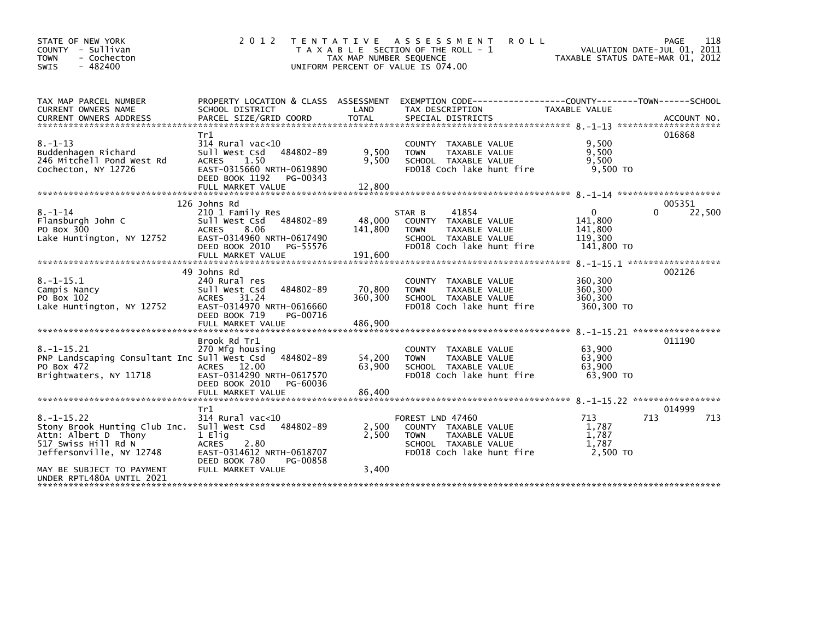| 2 0 1 2<br>STATE OF NEW YORK<br>COUNTY - Sullivan<br>- Cochecton<br><b>TOWN</b><br>$-482400$<br>SWIS                                                                                                                                                                                                                                     | T E N T A T I V E<br>TAX MAP NUMBER SEQUENCE<br>UNIFORM PERCENT OF VALUE IS 074.00 | A S S E S S M E N T<br><b>ROLL</b><br>T A X A B L E SECTION OF THE ROLL - 1                                                   | TAXABLE STATUS DATE-MAR 01, 2012                            | 118<br>PAGE<br>VALUATION DATE-JUL 01, 2011 |
|------------------------------------------------------------------------------------------------------------------------------------------------------------------------------------------------------------------------------------------------------------------------------------------------------------------------------------------|------------------------------------------------------------------------------------|-------------------------------------------------------------------------------------------------------------------------------|-------------------------------------------------------------|--------------------------------------------|
| TAX MAP PARCEL NUMBER<br>CURRENT OWNERS NAME<br>SCHOOL DISTRICT<br>PARCEL SIZE/GRID COORD<br><b>CURRENT OWNERS ADDRESS</b>                                                                                                                                                                                                               | PROPERTY LOCATION & CLASS ASSESSMENT<br>LAND<br><b>TOTAL</b>                       | EXEMPTION CODE-----------------COUNTY-------TOWN------SCHOOL<br>TAX DESCRIPTION<br>SPECIAL DISTRICTS                          | <b>TAXABLE VALUE</b>                                        | ACCOUNT NO.                                |
| Tr1<br>$8. - 1 - 13$<br>$314$ Rural vac<10<br>Buddenhagen Richard<br>Sull West Csd<br>246 Mitchell Pond West Rd<br>1.50<br><b>ACRES</b><br>Cochecton, NY 12726<br>EAST-0315660 NRTH-0619890<br>DEED BOOK 1192                                                                                                                            | 484802-89<br>9,500<br>9,500<br>PG-00343                                            | COUNTY TAXABLE VALUE<br>TAXABLE VALUE<br><b>TOWN</b><br>SCHOOL TAXABLE VALUE<br>FD018 Coch lake hunt fire                     | 9,500<br>9.500<br>9,500<br>9.500 TO                         | 016868                                     |
| 126 Johns Rd                                                                                                                                                                                                                                                                                                                             |                                                                                    |                                                                                                                               |                                                             | 005351                                     |
| $8. - 1 - 14$<br>210 1 Family Res<br>Flansburgh John C<br>Sull West Csd<br>PO Box 300<br>8.06<br><b>ACRES</b><br>Lake Huntington, NY 12752<br>EAST-0314960 NRTH-0617490<br>DEED BOOK 2010                                                                                                                                                | 484802-89<br>48,000<br>141,800<br>PG-55576                                         | 41854<br>STAR B<br>COUNTY TAXABLE VALUE<br>TAXABLE VALUE<br><b>TOWN</b><br>SCHOOL TAXABLE VALUE<br>FD018 Coch lake hunt fire  | $\mathbf{0}$<br>141,800<br>141,800<br>119,300<br>141,800 TO | 22,500<br>0                                |
| FULL MARKET VALUE                                                                                                                                                                                                                                                                                                                        | 191,600                                                                            |                                                                                                                               |                                                             | 8. -1-15.1 *******************             |
| 49 Johns Rd<br>$8. - 1 - 15.1$<br>240 Rural res<br>Campis Nancy<br>Sull West Csd<br>PO Box 102<br>31.24<br><b>ACRES</b><br>Lake Huntington, NY 12752<br>EAST-0314970 NRTH-0616660<br>DEED BOOK 719                                                                                                                                       | 484802-89<br>70,800<br>360,300<br>PG-00716                                         | COUNTY TAXABLE VALUE<br><b>TOWN</b><br>TAXABLE VALUE<br>SCHOOL TAXABLE VALUE<br>FD018 Coch lake hunt fire                     | 360,300<br>360,300<br>360,300<br>360,300 TO                 | 002126                                     |
| Brook Rd Tr1<br>$8. -1 - 15.21$<br>270 Mfg housing<br>PNP Landscaping Consultant Inc Sull West Csd<br>PO Box 472<br>ACRES 12.00<br>Brightwaters, NY 11718<br>EAST-0314290 NRTH-0617570<br>DEED BOOK 2010                                                                                                                                 | 484802-89<br>54,200<br>63,900<br>PG-60036                                          | <b>COUNTY</b><br>TAXABLE VALUE<br>TAXABLE VALUE<br><b>TOWN</b><br>SCHOOL TAXABLE VALUE<br>FD018 Coch lake hunt fire           | 63,900<br>63,900<br>63,900<br>63.900 TO                     | 011190                                     |
| FULL MARKET VALUE                                                                                                                                                                                                                                                                                                                        | 86,400                                                                             |                                                                                                                               |                                                             |                                            |
| Tr1<br>$8. -1 - 15.22$<br>$314$ Rural vac<10<br>Stony Brook Hunting Club Inc.<br>Sull West Csd<br>Attn: Albert D Thony<br>1 Elig<br>517 Swiss Hill Rd N<br>2.80<br><b>ACRES</b><br>Jeffersonville, NY 12748<br>EAST-0314612 NRTH-0618707<br>DEED BOOK 780<br>FULL MARKET VALUE<br>MAY BE SUBJECT TO PAYMENT<br>UNDER RPTL480A UNTIL 2021 | 484802-89<br>2,500<br>2,500<br>PG-00858<br>3,400                                   | FOREST LND 47460<br>COUNTY TAXABLE VALUE<br><b>TOWN</b><br>TAXABLE VALUE<br>SCHOOL TAXABLE VALUE<br>FD018 Coch lake hunt fire | 713<br>1,787<br>1,787<br>1.787<br>2,500 TO                  | 014999<br>713<br>713                       |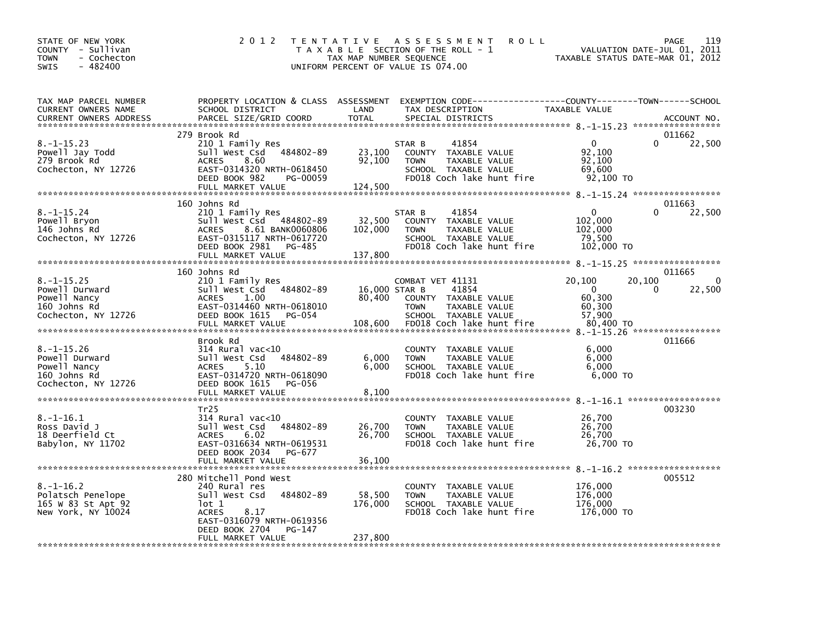| STATE OF NEW YORK<br>COUNTY - Sullivan<br>- Cochecton<br><b>TOWN</b><br>$-482400$<br><b>SWIS</b> | 2 0 1 2                                                                                                                                                                                                   | T E N T A T I V E<br>TAX MAP NUMBER SEQUENCE | <b>ROLL</b><br>A S S E S S M E N T<br>T A X A B L E SECTION OF THE ROLL - 1<br>UNIFORM PERCENT OF VALUE IS 074.00                      | TAXABLE STATUS DATE-MAR 01, 2012                                            | 119<br>PAGE<br>VALUATION DATE-JUL 01, 2011 |
|--------------------------------------------------------------------------------------------------|-----------------------------------------------------------------------------------------------------------------------------------------------------------------------------------------------------------|----------------------------------------------|----------------------------------------------------------------------------------------------------------------------------------------|-----------------------------------------------------------------------------|--------------------------------------------|
| TAX MAP PARCEL NUMBER<br>CURRENT OWNERS NAME<br><b>CURRENT OWNERS ADDRESS</b>                    | PROPERTY LOCATION & CLASS ASSESSMENT<br>SCHOOL DISTRICT<br>PARCEL SIZE/GRID COORD                                                                                                                         | LAND<br><b>TOTAL</b>                         | EXEMPTION CODE-----------------COUNTY-------TOWN------SCHOOL<br>TAX DESCRIPTION<br>SPECIAL DISTRICTS                                   | TAXABLE VALUE                                                               | ACCOUNT NO.                                |
| $8. -1 - 15.23$<br>Powell Jay Todd<br>279 Brook Rd<br>Cochecton, NY 12726                        | 279 Brook Rd<br>210 1 Family Res<br>484802-89<br>Sull West Csd<br>8.60<br><b>ACRES</b><br>EAST-0314320 NRTH-0618450<br>DEED BOOK 982<br>PG-00059<br>FULL MARKET VALUE                                     | 23,100<br>92,100<br>124,500                  | 41854<br>STAR B<br>COUNTY TAXABLE VALUE<br>TAXABLE VALUE<br><b>TOWN</b><br>SCHOOL TAXABLE VALUE<br>FD018 Coch lake hunt fire           | $\mathbf{0}$<br>92,100<br>92,100<br>69,600<br>92,100 TO                     | 011662<br>0<br>22,500                      |
| $8. - 1 - 15.24$<br>Powell Bryon<br>146 Johns Rd<br>Cochecton, NY 12726                          | 160 Johns Rd<br>210 1 Family Res<br>Sull West Csd<br>484802-89<br>8.61 BANK0060806<br><b>ACRES</b><br>EAST-0315117 NRTH-0617720<br>DEED BOOK 2981<br>PG-485<br>FULL MARKET VALUE                          | 32,500<br>102,000<br>137,800                 | 41854<br>STAR B<br>COUNTY<br>TAXABLE VALUE<br><b>TOWN</b><br>TAXABLE VALUE<br>SCHOOL TAXABLE VALUE<br>FD018 Coch lake hunt fire        | $\mathbf{0}$<br>102,000<br>102,000<br>79,500<br>102,000 TO                  | 011663<br>22,500<br>0                      |
| $8. -1 - 15.25$<br>Powell Durward<br>Powell Nancy<br>160 Johns Rd<br>Cochecton, NY 12726         | 160 Johns Rd<br>210 1 Family Res<br>484802-89<br>Sull West Csd<br><b>ACRES</b><br>1.00<br>EAST-0314460 NRTH-0618010<br>DEED BOOK 1615<br>PG-054<br>FULL MARKET VALUE                                      | 16,000 STAR B<br>80,400<br>108,600           | COMBAT VET 41131<br>41854<br>COUNTY TAXABLE VALUE<br><b>TOWN</b><br>TAXABLE VALUE<br>SCHOOL TAXABLE VALUE<br>FD018 Coch lake hunt fire | 20,100<br>20,100<br>$\mathbf{0}$<br>60,300<br>60,300<br>57,900<br>80,400 TO | 011665<br>$\Omega$<br>22,500<br>0          |
| $8. - 1 - 15.26$<br>Powell Durward<br>Powell Nancy<br>160 Johns Rd<br>Cochecton, NY 12726        | Brook Rd<br>$314$ Rural vac<10<br>Sull West Csd<br>484802-89<br>5.10<br><b>ACRES</b><br>EAST-0314720 NRTH-0618090<br>DEED BOOK 1615<br>PG-056<br>FULL MARKET VALUE                                        | 6,000<br>6,000<br>8,100                      | TAXABLE VALUE<br>COUNTY<br><b>TOWN</b><br>TAXABLE VALUE<br>SCHOOL TAXABLE VALUE<br>FD018 Coch lake hunt fire                           | 6,000<br>6.000<br>6,000<br>6,000 TO                                         | 011666                                     |
| $8. - 1 - 16.1$<br>Ross David J<br>18 Deerfield Ct<br>Babylon, NY 11702                          | Tr25<br>$314$ Rural vac<10<br>484802-89<br>Sull West Csd<br><b>ACRES</b><br>6.02<br>EAST-0316634 NRTH-0619531<br>DEED BOOK 2034<br>PG-677                                                                 | 26,700<br>26,700                             | <b>COUNTY</b><br>TAXABLE VALUE<br><b>TOWN</b><br>TAXABLE VALUE<br>SCHOOL TAXABLE VALUE<br>FD018 Coch lake hunt fire                    | 26,700<br>26,700<br>26,700<br>26,700 TO                                     | 003230                                     |
| $8. - 1 - 16.2$<br>Polatsch Penelope<br>165 W 83 St Apt 92<br>New York, NY 10024                 | FULL MARKET VALUE<br>280 Mitchell Pond West<br>240 Rural res<br>484802-89<br>Sull West Csd<br>lot 1<br><b>ACRES</b><br>8.17<br>EAST-0316079 NRTH-0619356<br>DEED BOOK 2704<br>PG-147<br>FULL MARKET VALUE | 36,100<br>58,500<br>176,000<br>237,800       | COUNTY TAXABLE VALUE<br><b>TOWN</b><br>TAXABLE VALUE<br>SCHOOL TAXABLE VALUE<br>FD018 Coch lake hunt fire                              | 176,000<br>176,000<br>176,000<br>176,000 TO                                 | 005512                                     |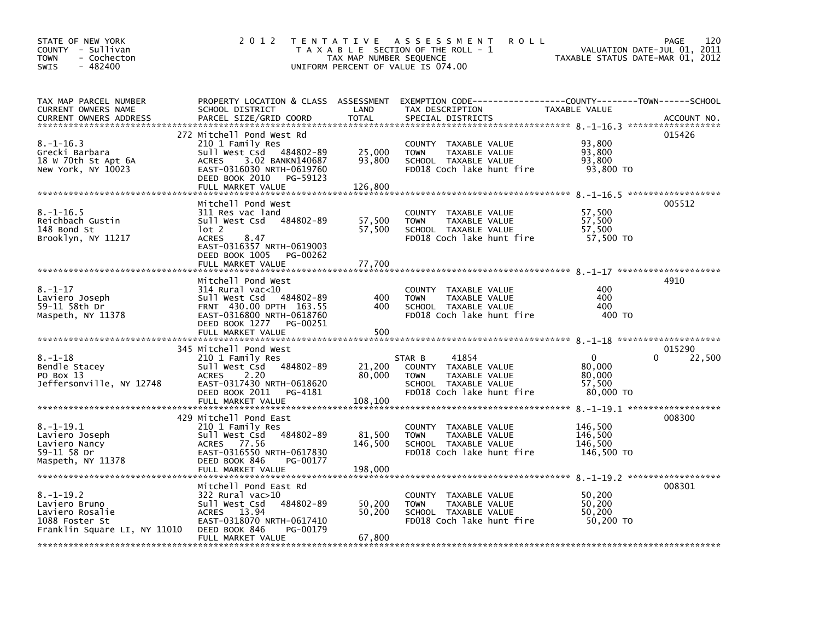| STATE OF NEW YORK<br>COUNTY - Sullivan<br>- Cochecton<br>TOWN<br>$-482400$<br><b>SWIS</b>                                | 2 0 1 2                                                                                                                                                                            | TAX MAP NUMBER SEQUENCE      | TENTATIVE ASSESSMENT<br><b>ROLL</b><br>T A X A B L E SECTION OF THE ROLL - 1<br>UNIFORM PERCENT OF VALUE IS 074.00                     | VALUATION DATE-JUL 01,<br>TAXABLE STATUS DATE-MAR 01, 2012 | 120<br>PAGE<br>2011 |
|--------------------------------------------------------------------------------------------------------------------------|------------------------------------------------------------------------------------------------------------------------------------------------------------------------------------|------------------------------|----------------------------------------------------------------------------------------------------------------------------------------|------------------------------------------------------------|---------------------|
| TAX MAP PARCEL NUMBER<br>CURRENT OWNERS NAME<br>CURRENT OWNERS ADDRESS                                                   | SCHOOL DISTRICT<br>PARCEL SIZE/GRID COORD                                                                                                                                          | LAND<br><b>TOTAL</b>         | PROPERTY LOCATION & CLASS ASSESSMENT EXEMPTION CODE---------------COUNTY-------TOWN-----SCHOOL<br>TAX DESCRIPTION<br>SPECIAL DISTRICTS | TAXABLE VALUE                                              | ACCOUNT NO.         |
|                                                                                                                          |                                                                                                                                                                                    |                              |                                                                                                                                        |                                                            |                     |
| $8. - 1 - 16.3$<br>Grecki Barbara<br>18 W 70th St Apt 6A<br>New York, NY 10023                                           | 272 Mitchell Pond West Rd<br>210 1 Family Res<br>Sull West Csd 484802-89<br>ACRES<br>3.02 BANKN140687<br>EAST-0316030 NRTH-0619760<br>DEED BOOK 2010 PG-59123<br>FULL MARKET VALUE | 25,000<br>93,800<br>126,800  | COUNTY TAXABLE VALUE<br><b>TOWN</b><br>TAXABLE VALUE<br>SCHOOL TAXABLE VALUE<br>FD018 Coch lake hunt fire                              | 93,800<br>93,800<br>93,800<br>93,800 TO                    | 015426              |
|                                                                                                                          |                                                                                                                                                                                    |                              |                                                                                                                                        |                                                            |                     |
| $8. - 1 - 16.5$<br>Reichbach Gustin<br>148 Bond St<br>Brooklyn, NY 11217                                                 | Mitchell Pond West<br>311 Res vac land<br>Sull West Csd 484802-89<br>lot 2<br>8.47<br><b>ACRES</b><br>EAST-0316357 NRTH-0619003<br>DEED BOOK 1005<br>PG-00262                      | 57,500<br>57,500             | COUNTY TAXABLE VALUE<br>TAXABLE VALUE<br><b>TOWN</b><br>SCHOOL TAXABLE VALUE<br>FD018 Coch lake hunt fire                              | 57,500<br>57,500<br>57,500<br>57,500 TO                    | 005512              |
|                                                                                                                          | FULL MARKET VALUE                                                                                                                                                                  | 77,700                       |                                                                                                                                        |                                                            |                     |
| $8. - 1 - 17$<br>Laviero Joseph<br>59-11 58th Dr<br>Maspeth, NY 11378                                                    | Mitchell Pond West<br>$314$ Rural vac< $10$<br>484802-89<br>Sull West Csd<br>FRNT 430.00 DPTH 163.55<br>EAST-0316800 NRTH-0618760<br>DEED BOOK 1277 PG-00251<br>FULL MARKET VALUE  | 400<br>400<br>500            | COUNTY TAXABLE VALUE<br><b>TOWN</b><br>TAXABLE VALUE<br>SCHOOL TAXABLE VALUE<br>FD018 Coch lake hunt fire                              | 400<br>400<br>400<br>400 TO                                | 4910                |
|                                                                                                                          | 345 Mitchell Pond West                                                                                                                                                             |                              |                                                                                                                                        |                                                            | 015290              |
| $8. - 1 - 18$<br>Bendle Stacey<br>PO Box 13<br>Jeffersonville, NY 12748                                                  | 210 1 Family Res<br>484802-89<br>Sull West Csd<br>2.20<br><b>ACRES</b><br>EAST-0317430 NRTH-0618620<br>DEED BOOK 2011 PG-4181<br>FULL MARKET VALUE                                 | 21,200<br>80,000<br>108,100  | STAR B<br>41854<br>COUNTY TAXABLE VALUE<br>TAXABLE VALUE<br><b>TOWN</b><br>SCHOOL TAXABLE VALUE<br>FD018 Coch lake hunt fire           | $\mathbf{0}$<br>80.000<br>80,000<br>57,500<br>80,000 TO    | $\Omega$<br>22,500  |
|                                                                                                                          |                                                                                                                                                                                    |                              |                                                                                                                                        |                                                            |                     |
| $8. - 1 - 19.1$<br>Laviero Joseph<br>Laviero Nancy<br>59-11 58 Dr<br>Maspeth, NY 11378<br>****************************** | 429 Mitchell Pond East<br>210 1 Family Res<br>484802-89<br>Sull West Csd<br>ACRES 77.56<br>EAST-0316550 NRTH-0617830<br>DEED BOOK 846<br>PG-00177<br>FULL MARKET VALUE             | 81,500<br>146,500<br>198,000 | COUNTY TAXABLE VALUE<br>TAXABLE VALUE<br><b>TOWN</b><br>SCHOOL TAXABLE VALUE<br>FD018 Coch lake hunt fire                              | 146,500<br>146,500<br>146,500<br>146,500 TO                | 008300              |
|                                                                                                                          | Mitchell Pond East Rd                                                                                                                                                              |                              |                                                                                                                                        |                                                            | 008301              |
| $8. - 1 - 19.2$<br>Laviero Bruno<br>Laviero Rosalie<br>1088 Foster St<br>Franklin Square LI, NY 11010                    | $322$ Rural vac $>10$<br>484802-89<br>Sull West Csd<br>ACRES 13.94<br>EAST-0318070 NRTH-0617410<br>DEED BOOK 846<br>PG-00179<br>FULL MARKET VALUE                                  | 50,200<br>50,200<br>67,800   | COUNTY TAXABLE VALUE<br><b>TOWN</b><br>TAXABLE VALUE<br>SCHOOL TAXABLE VALUE<br>FD018 Coch lake hunt fire                              | 50,200<br>50,200<br>50,200<br>50,200 TO                    |                     |
|                                                                                                                          |                                                                                                                                                                                    |                              |                                                                                                                                        |                                                            |                     |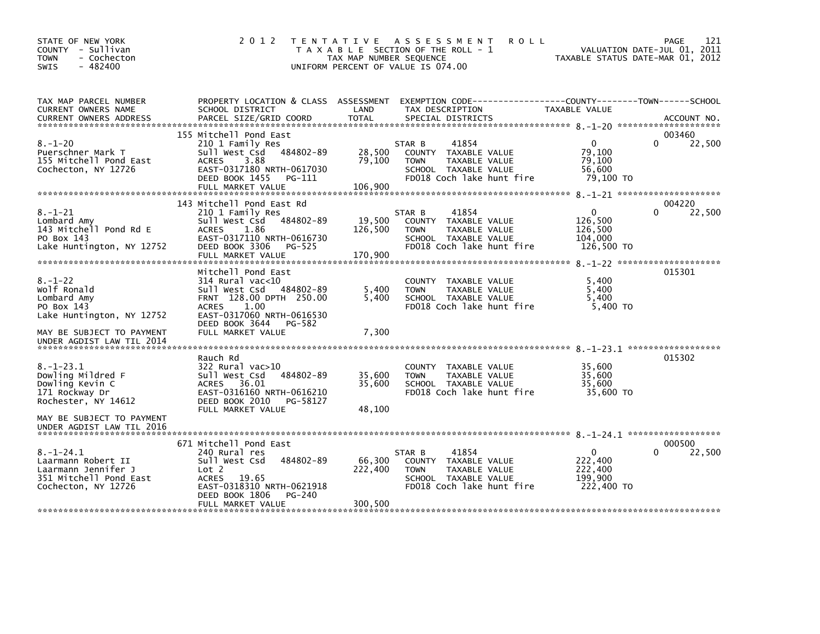| STATE OF NEW YORK<br>COUNTY - Sullivan<br>- Cochecton<br><b>TOWN</b><br>$-482400$<br><b>SWIS</b>                              | 2 0 1 2                                                                                                                                                                                              | TAX MAP NUMBER SEQUENCE      | <b>ROLL</b><br>TENTATIVE ASSESSMENT<br>T A X A B L E SECTION OF THE ROLL - 1<br>UNIFORM PERCENT OF VALUE IS 074.00           | TAXABLE STATUS DATE-MAR 01, 2012                            | 121<br>PAGE<br>VALUATION DATE-JUL 01, 2011 |
|-------------------------------------------------------------------------------------------------------------------------------|------------------------------------------------------------------------------------------------------------------------------------------------------------------------------------------------------|------------------------------|------------------------------------------------------------------------------------------------------------------------------|-------------------------------------------------------------|--------------------------------------------|
| TAX MAP PARCEL NUMBER<br>CURRENT OWNERS NAME                                                                                  | SCHOOL DISTRICT                                                                                                                                                                                      | LAND                         | PROPERTY LOCATION & CLASS ASSESSMENT EXEMPTION CODE---------------COUNTY-------TOWN------SCHOOL<br>TAX DESCRIPTION           | TAXABLE VALUE                                               |                                            |
| $8. - 1 - 20$<br>Puerschner Mark T<br>155 Mitchell Pond East<br>Cochecton, NY 12726                                           | 155 Mitchell Pond East<br>210 1 Family Res<br>Sull West Csd 484802-89<br>3.88<br><b>ACRES</b><br>EAST-0317180 NRTH-0617030<br>DEED BOOK 1455<br>PG-111<br>FULL MARKET VALUE                          | 28,500<br>79,100<br>106,900  | 41854<br>STAR B<br>COUNTY TAXABLE VALUE<br><b>TOWN</b><br>TAXABLE VALUE<br>SCHOOL TAXABLE VALUE<br>FD018 Coch lake hunt fire | $\mathbf{0}$<br>79,100<br>79,100<br>56,600<br>79,100 TO     | 003460<br>$\Omega$<br>22,500               |
| $8. - 1 - 21$<br>Lombard Amy<br>143 Mitchell Pond Rd E<br>PO Box 143<br>Lake Huntington, NY 12752                             | 143 Mitchell Pond East Rd<br>210 1 Family Res<br>Sull West Csd 484802-89<br><b>ACRES</b><br>1.86<br>EAST-0317110 NRTH-0616730<br>DEED BOOK 3306<br>PG-525<br>FULL MARKET VALUE                       | 19,500<br>126,500<br>170,900 | 41854<br>STAR B<br>COUNTY TAXABLE VALUE<br>TAXABLE VALUE<br><b>TOWN</b><br>SCHOOL TAXABLE VALUE<br>FD018 Coch lake hunt fire | $\mathbf 0$<br>126,500<br>126,500<br>104,000<br>126,500 TO  | 004220<br>22,500<br><sup>0</sup>           |
| $8. - 1 - 22$<br>Wolf Ronald<br>Lombard Amy<br>PO Box 143<br>Lake Huntington, NY 12752<br>MAY BE SUBJECT TO PAYMENT           | Mitchell Pond East<br>$314$ Rural vac<10<br>Sull West Csd 484802-89<br>FRNT 128.00 DPTH 250.00<br><b>ACRES</b><br>1.00<br>EAST-0317060 NRTH-0616530<br>DEED BOOK 3644<br>PG-582<br>FULL MARKET VALUE | 5,400<br>5,400<br>7,300      | COUNTY TAXABLE VALUE<br><b>TOWN</b><br>TAXABLE VALUE<br>SCHOOL TAXABLE VALUE<br>FD018 Coch lake hunt fire                    | 5,400<br>5,400<br>5,400<br>5,400 TO                         | 015301                                     |
| UNDER AGDIST LAW TIL 2014<br>$8. - 1 - 23.1$<br>Dowling Mildred F<br>Dowling Kevin C<br>171 Rockway Dr<br>Rochester, NY 14612 | Rauch Rd<br>$322$ Rural vac $>10$<br>Sull West Csd<br>484802-89<br>36.01<br>ACRES<br>EAST-0316160 NRTH-0616210<br>DEED BOOK 2010<br>PG-58127<br>FULL MARKET VALUE                                    | 35,600<br>35,600<br>48,100   | COUNTY TAXABLE VALUE<br><b>TOWN</b><br>TAXABLE VALUE<br>SCHOOL TAXABLE VALUE<br>FD018 Coch lake hunt fire                    | 35,600<br>35,600<br>35,600<br>35.600 TO                     | 015302                                     |
| MAY BE SUBJECT TO PAYMENT<br>UNDER AGDIST LAW TIL 2016                                                                        |                                                                                                                                                                                                      |                              |                                                                                                                              |                                                             |                                            |
| $8. - 1 - 24.1$<br>Laarmann Robert II<br>Laarmann Jennifer J<br>351 Mitchell Pond East<br>Cochecton, NY 12726                 | 671 Mitchell Pond East<br>240 Rural res<br>484802-89<br>Sull West Csd<br>Lot <sub>2</sub><br><b>ACRES</b><br>19.65<br>EAST-0318310 NRTH-0621918<br>PG-240<br>DEED BOOK 1806<br>FULL MARKET VALUE     | 66,300<br>222,400<br>300,500 | 41854<br>STAR B<br>COUNTY TAXABLE VALUE<br><b>TOWN</b><br>TAXABLE VALUE<br>SCHOOL TAXABLE VALUE<br>FD018 Coch lake hunt fire | $\mathbf{0}$<br>222,400<br>222,400<br>199.900<br>222,400 TO | 000500<br>$\Omega$<br>22,500               |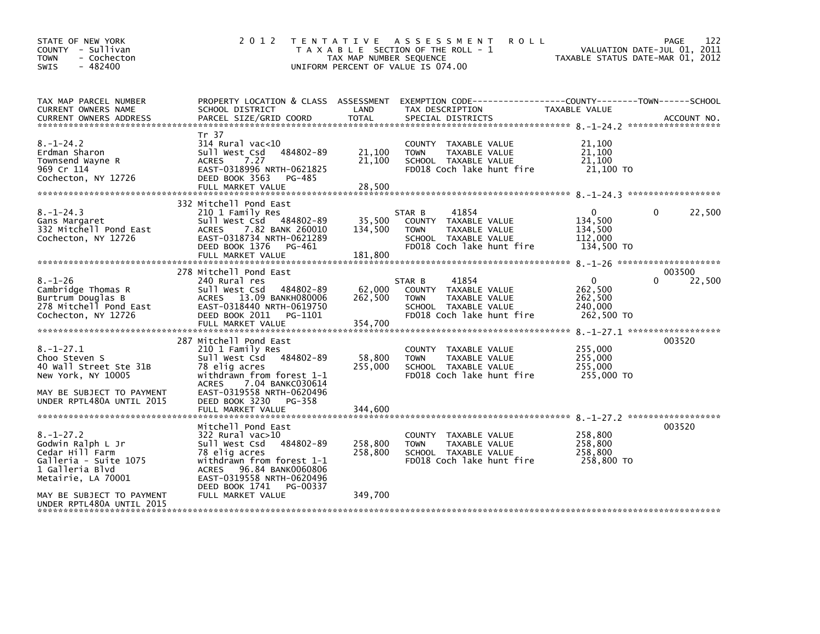| STATE OF NEW YORK<br>COUNTY - Sullivan<br><b>TOWN</b><br>- Cochecton<br>$-482400$<br><b>SWIS</b>                                                       | 2 0 1 2                                                                                                                                                                                                                                  | TAX MAP NUMBER SEQUENCE       | TENTATIVE ASSESSMENT<br><b>ROLL</b><br>T A X A B L E SECTION OF THE ROLL - 1<br>UNIFORM PERCENT OF VALUE IS 074.00           | TAXABLE STATUS DATE-MAR 01, 2012                            | 122<br>PAGE<br>VALUATION DATE-JUL 01, 2011 |
|--------------------------------------------------------------------------------------------------------------------------------------------------------|------------------------------------------------------------------------------------------------------------------------------------------------------------------------------------------------------------------------------------------|-------------------------------|------------------------------------------------------------------------------------------------------------------------------|-------------------------------------------------------------|--------------------------------------------|
| TAX MAP PARCEL NUMBER<br>CURRENT OWNERS NAME<br><b>CURRENT OWNERS ADDRESS</b>                                                                          | PROPERTY LOCATION & CLASS ASSESSMENT<br>SCHOOL DISTRICT<br>PARCEL SIZE/GRID COORD                                                                                                                                                        | LAND<br><b>TOTAL</b>          | EXEMPTION CODE-----------------COUNTY-------TOWN------SCHOOL<br>TAX DESCRIPTION<br>SPECIAL DISTRICTS                         | TAXABLE VALUE                                               | ACCOUNT NO.                                |
| $8. - 1 - 24.2$<br>Erdman Sharon<br>Townsend Wayne R<br>969 Cr 114<br>Cochecton, NY 12726                                                              | Tr 37<br>$314$ Rural vac<10<br>484802-89<br>Sull West Csd<br>7.27<br><b>ACRES</b><br>EAST-0318996 NRTH-0621825<br>DEED BOOK 3563<br>PG-485<br>FULL MARKET VALUE                                                                          | 21,100<br>21,100<br>28,500    | COUNTY TAXABLE VALUE<br><b>TOWN</b><br>TAXABLE VALUE<br>SCHOOL TAXABLE VALUE<br>FD018 Coch lake hunt fire                    | 21,100<br>21,100<br>21,100<br>21,100 TO                     |                                            |
| $8. - 1 - 24.3$<br>Gans Margaret<br>332 Mitchell Pond East<br>Cochecton, NY 12726                                                                      | 332 Mitchell Pond East<br>210 1 Family Res<br>Sull West Csd 484802-89<br>7.82 BANK 260010<br>ACRES<br>EAST-0318734 NRTH-0621289<br>DEED BOOK 1376<br>PG-461<br>FULL MARKET VALUE                                                         | 35,500<br>134,500<br>181,800  | 41854<br>STAR B<br>COUNTY TAXABLE VALUE<br><b>TOWN</b><br>TAXABLE VALUE<br>SCHOOL TAXABLE VALUE<br>FD018 Coch lake hunt fire | $\Omega$<br>134,500<br>134,500<br>112,000<br>134,500 TO     | 22,500<br>0                                |
| $8. - 1 - 26$<br>Cambridge Thomas R<br>Burtrum Douglas B<br>278 Mitchell Pond East<br>Cochecton, NY 12726                                              | 278 Mitchell Pond East<br>240 Rural res<br>Sull West Csd<br>484802-89<br>ACRES 13.09 BANKH080006<br>EAST-0318440 NRTH-0619750<br>DEED BOOK 2011<br>PG-1101<br>FULL MARKET VALUE                                                          | 62,000<br>262,500<br>354,700  | 41854<br>STAR B<br>COUNTY TAXABLE VALUE<br><b>TOWN</b><br>TAXABLE VALUE<br>SCHOOL TAXABLE VALUE<br>FD018 Coch lake hunt fire | $\mathbf{0}$<br>262,500<br>262,500<br>240,000<br>262,500 TO | 003500<br>22,500                           |
| $8. - 1 - 27.1$<br>Choo Steven S<br>40 Wall Street Ste 31B<br>New York, NY 10005<br>MAY BE SUBJECT TO PAYMENT<br>UNDER RPTL480A UNTIL 2015             | 287 Mitchell Pond East<br>210 1 Family Res<br>484802-89<br>Sull West Csd<br>78 elig acres<br>withdrawn from forest 1-1<br><b>ACRES</b><br>7.04 BANKC030614<br>EAST-0319558 NRTH-0620496<br>DEED BOOK 3230<br>PG-358<br>FULL MARKET VALUE | 58,800<br>255,000<br>344,600  | COUNTY TAXABLE VALUE<br>TAXABLE VALUE<br><b>TOWN</b><br>SCHOOL TAXABLE VALUE<br>FD018 Coch lake hunt fire                    | 255,000<br>255,000<br>255,000<br>255,000 TO                 | 003520                                     |
| $8. - 1 - 27.2$<br>Godwin Ralph L Jr<br>Cedar Hill Farm<br>Galleria - Suite 1075<br>1 Galleria Blvd<br>Metairie, LA 70001<br>MAY BE SUBJECT TO PAYMENT | Mitchell Pond East<br>$322$ Rural vac $>10$<br>Sull West Csd 484802-89<br>78 elig acres<br>withdrawn from forest 1-1<br>ACRES 96.84 BANK0060806<br>EAST-0319558 NRTH-0620496<br>DEED BOOK 1741 PG-00337<br>FULL MARKET VALUE             | 258,800<br>258,800<br>349,700 | COUNTY TAXABLE VALUE<br>TAXABLE VALUE<br><b>TOWN</b><br>SCHOOL TAXABLE VALUE<br>FD018 Coch lake hunt fire                    | 258,800<br>258,800<br>258,800<br>258.800 TO                 | 003520                                     |
| UNDER RPTL480A UNTIL 2015                                                                                                                              |                                                                                                                                                                                                                                          |                               |                                                                                                                              |                                                             |                                            |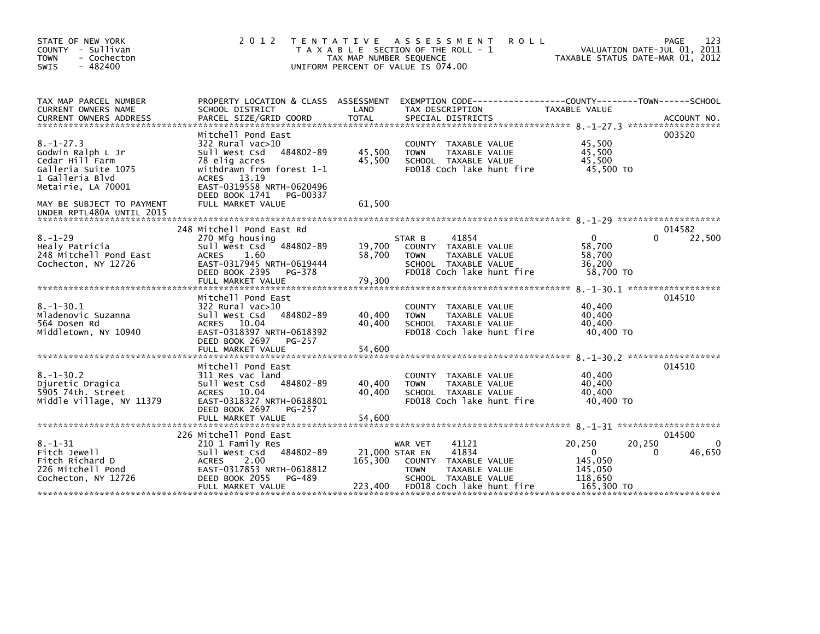| STATE OF NEW YORK<br>COUNTY - Sullivan<br>- Cochecton<br><b>TOWN</b><br>$-482400$<br><b>SWIS</b>                        | 2 0 1 2                                                                                                                                                                                        | T E N T A T I V E<br>TAX MAP NUMBER SEQUENCE | A S S E S S M E N T<br><b>ROLL</b><br>T A X A B L E SECTION OF THE ROLL - 1<br>UNIFORM PERCENT OF VALUE IS 074.00                                | VALUATION DATE-JUL 01, 2011<br>TAXABLE STATUS DATE-MAR 01, 2012             | 123<br>PAGE                           |
|-------------------------------------------------------------------------------------------------------------------------|------------------------------------------------------------------------------------------------------------------------------------------------------------------------------------------------|----------------------------------------------|--------------------------------------------------------------------------------------------------------------------------------------------------|-----------------------------------------------------------------------------|---------------------------------------|
| TAX MAP PARCEL NUMBER<br>CURRENT OWNERS NAME<br><b>CURRENT OWNERS ADDRESS</b>                                           | SCHOOL DISTRICT<br>PARCEL SIZE/GRID COORD                                                                                                                                                      | LAND<br><b>TOTAL</b>                         | PROPERTY LOCATION & CLASS ASSESSMENT EXEMPTION CODE----------------COUNTY-------TOWN------SCHOOL<br>TAX DESCRIPTION<br>SPECIAL DISTRICTS         | TAXABLE VALUE                                                               | ACCOUNT NO.                           |
| $8. - 1 - 27.3$<br>Godwin Ralph L Jr<br>Cedar Hill Farm<br>Galleria Suite 1075<br>1 Galleria Blvd<br>Metairie, LA 70001 | Mitchell Pond East<br>$322$ Rural vac $>10$<br>Sull West Csd 484802-89<br>78 elig acres<br>withdrawn from forest 1-1<br>ACRES 13.19<br>EAST-0319558 NRTH-0620496<br>DEED BOOK 1741<br>PG-00337 | 45,500<br>45,500                             | COUNTY TAXABLE VALUE<br>TAXABLE VALUE<br><b>TOWN</b><br>SCHOOL TAXABLE VALUE<br>FD018 Coch lake hunt fire                                        | 45,500<br>45,500<br>45,500<br>45,500 TO                                     | 003520                                |
| MAY BE SUBJECT TO PAYMENT<br>UNDER RPTL480A UNTIL 2015                                                                  | FULL MARKET VALUE                                                                                                                                                                              | 61,500                                       |                                                                                                                                                  |                                                                             |                                       |
| $8. - 1 - 29$<br>Healy Patricia<br>248 Mitchell Pond East<br>Cochecton, NY 12726                                        | 248 Mitchell Pond East Rd<br>270 Mfg housing<br>484802-89<br>Sull West Csd<br><b>ACRES</b><br>1.60<br>EAST-0317945 NRTH-0619444<br>DEED BOOK 2395<br>PG-378                                    | 19,700<br>58,700                             | 41854<br>STAR B<br>COUNTY TAXABLE VALUE<br>TAXABLE VALUE<br><b>TOWN</b><br>SCHOOL TAXABLE VALUE<br>FD018 Coch lake hunt fire                     | $\Omega$<br>58,700<br>58,700<br>36,200<br>58,700 TO                         | 014582<br>22,500<br>0                 |
|                                                                                                                         | FULL MARKET VALUE                                                                                                                                                                              | 79,300                                       |                                                                                                                                                  |                                                                             |                                       |
| $8. - 1 - 30.1$<br>Mladenovic Suzanna<br>564 Dosen Rd<br>Middletown, NY 10940                                           | Mitchell Pond East<br>$322$ Rural vac $>10$<br>Sull West Csd 484802-89<br>ACRES 10.04<br>EAST-0318397 NRTH-0618392<br>DEED BOOK 2697<br>PG-257<br>FULL MARKET VALUE                            | 40,400<br>40,400                             | COUNTY TAXABLE VALUE<br>TAXABLE VALUE<br><b>TOWN</b><br>SCHOOL TAXABLE VALUE<br>FD018 Coch lake hunt fire                                        | 40,400<br>40,400<br>40,400<br>40,400 TO                                     | 014510                                |
|                                                                                                                         |                                                                                                                                                                                                | 54,600                                       |                                                                                                                                                  |                                                                             |                                       |
| $8. - 1 - 30.2$<br>Djuretic Dragica<br>5905 74th. Street<br>Middle Village, NY 11379                                    | Mitchell Pond East<br>311 Res vac land<br>Sull West Csd<br>484802-89<br>ACRES 10.04<br>EAST-0318327 NRTH-0618801                                                                               | 40,400<br>40,400                             | COUNTY TAXABLE VALUE<br><b>TAXABLE VALUE</b><br><b>TOWN</b><br>SCHOOL TAXABLE VALUE<br>FD018 Coch lake hunt fire                                 | 40,400<br>40,400<br>40,400<br>40,400 TO                                     | 014510                                |
|                                                                                                                         | DEED BOOK 2697<br>PG-257<br>FULL MARKET VALUE                                                                                                                                                  | 54,600                                       |                                                                                                                                                  |                                                                             |                                       |
| $8. - 1 - 31$<br>Fitch Jewell<br>Fitch Richard D<br>226 Mitchell Pond<br>Cochecton, NY 12726                            | 226 Mitchell Pond East<br>210 1 Family Res<br>Sull West Csd 484802-89<br><b>ACRES</b><br>2.00<br>EAST-0317853 NRTH-0618812<br>DEED BOOK 2055<br>PG-489<br>FULL MARKET VALUE                    | 21,000 STAR EN<br>165,300<br>223,400         | 41121<br>WAR VET<br>41834<br><b>COUNTY</b><br>TAXABLE VALUE<br><b>TOWN</b><br>TAXABLE VALUE<br>SCHOOL TAXABLE VALUE<br>FD018 Coch lake hunt fire | 20,250<br>20,250<br>$\Omega$<br>145,050<br>145,050<br>118,650<br>165,300 TO | 014500<br>$\mathbf{0}$<br>46,650<br>0 |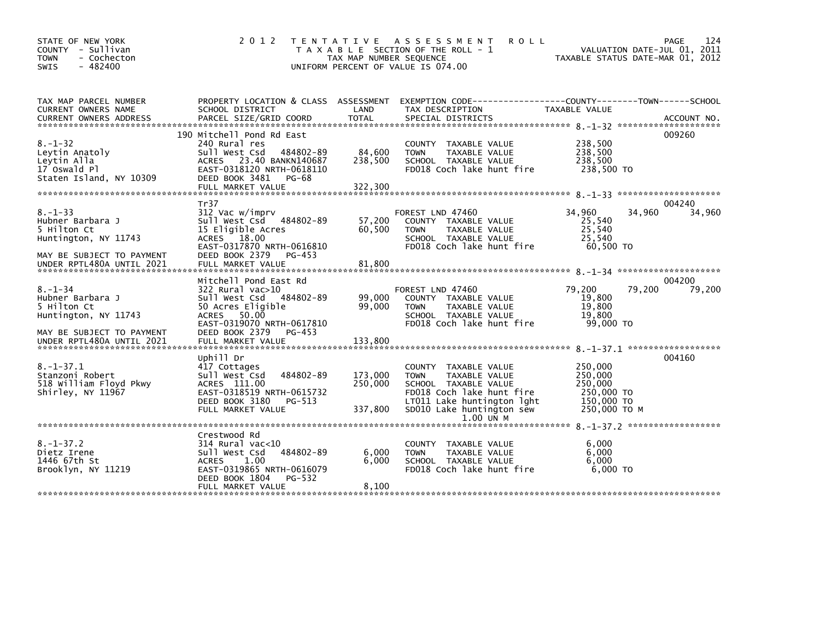| STATE OF NEW YORK<br>COUNTY - Sullivan<br>- Cochecton<br><b>TOWN</b><br><b>SWIS</b><br>$-482400$                                   | 2 0 1 2                                                                                                                                                                       | T E N T A T I V E<br>TAX MAP NUMBER SEQUENCE | A S S E S S M E N T<br><b>ROLL</b><br>T A X A B L E SECTION OF THE ROLL - 1<br>UNIFORM PERCENT OF VALUE IS 074.00                                                                 | VALUATION DATE-JUL 01, 2011<br>TAXABLE STATUS DATE-MAR 01, 2012           | 124<br>PAGE      |
|------------------------------------------------------------------------------------------------------------------------------------|-------------------------------------------------------------------------------------------------------------------------------------------------------------------------------|----------------------------------------------|-----------------------------------------------------------------------------------------------------------------------------------------------------------------------------------|---------------------------------------------------------------------------|------------------|
| TAX MAP PARCEL NUMBER<br>CURRENT OWNERS NAME                                                                                       | PROPERTY LOCATION & CLASS ASSESSMENT<br>SCHOOL DISTRICT                                                                                                                       | LAND                                         | EXEMPTION CODE------------------COUNTY--------TOWN------SCHOOL<br>TAX DESCRIPTION                                                                                                 | TAXABLE VALUE                                                             |                  |
| $8. - 1 - 32$<br>Leytin Anatoly<br>Leytin Alla<br>17 Oswald Pl<br>Staten Island, NY 10309                                          | 190 Mitchell Pond Rd East<br>240 Rural res<br>Sull West Csd 484802-89<br>ACRES 23.40 BANKN140687<br>EAST-0318120 NRTH-0618110<br>DEED BOOK 3481<br>PG-68<br>FULL MARKET VALUE | 84,600<br>238,500<br>322,300                 | COUNTY TAXABLE VALUE<br>TAXABLE VALUE<br><b>TOWN</b><br>SCHOOL TAXABLE VALUE<br>FD018 Coch lake hunt fire                                                                         | 238,500<br>238,500<br>238,500<br>238,500 TO                               | 009260           |
| $8. - 1 - 33$<br>Hubner Barbara J<br>5 Hilton Ct<br>Huntington, NY 11743<br>MAY BE SUBJECT TO PAYMENT<br>UNDER RPTL480A UNTIL 2021 | Tr37<br>312 Vac w/imprv<br>Sull West Csd 484802-89<br>15 Eligible Acres<br>ACRES 18.00<br>EAST-0317870 NRTH-0616810<br>DEED BOOK 2379<br>PG-453<br>FULL MARKET VALUE          | 57,200<br>60,500<br>81,800                   | FOREST LND 47460<br>COUNTY TAXABLE VALUE<br>TAXABLE VALUE<br><b>TOWN</b><br>SCHOOL TAXABLE VALUE<br>FD018 Coch lake hunt fire                                                     | 34,960<br>34,960<br>25,540<br>25,540<br>25,540<br>60.500 TO               | 004240<br>34,960 |
| $8. - 1 - 34$<br>Hubner Barbara J<br>5 Hilton Ct<br>Huntington, NY 11743<br>MAY BE SUBJECT TO PAYMENT                              | Mitchell Pond East Rd<br>322 Rural vac>10<br>Sull West Csd 484802-89<br>50 Acres Eligible<br>ACRES 50.00<br>EAST-0319070 NRTH-0617810<br>DEED BOOK 2379 PG-453                | 99,000<br>99,000                             | FOREST LND 47460<br>COUNTY TAXABLE VALUE<br>TAXABLE VALUE<br><b>TOWN</b><br>SCHOOL TAXABLE VALUE<br>FD018 Coch lake hunt fire                                                     | 79,200<br>79,200<br>19,800<br>19,800<br>19.800<br>99,000 TO               | 004200<br>79,200 |
| $8. - 1 - 37.1$<br>Stanzoni Robert<br>518 William Floyd Pkwy<br>Shirley, NY 11967                                                  | Uphill Dr<br>417 Cottages<br>Sull West Csd<br>484802-89<br>ACRES 111.00<br>EAST-0318519 NRTH-0615732<br>DEED BOOK 3180<br>PG-513<br>FULL MARKET VALUE                         | 173,000<br>250,000<br>337,800                | COUNTY TAXABLE VALUE<br><b>TOWN</b><br>TAXABLE VALUE<br>SCHOOL TAXABLE VALUE<br>FD018 Coch lake hunt fire<br>LT011 Lake huntington lght<br>SD010 Lake huntington sew<br>1.00 UN M | 250,000<br>250,000<br>250,000<br>250,000 TO<br>150,000 TO<br>250,000 TO M | 004160           |
| $8. - 1 - 37.2$<br>Dietz Irene<br>1446 67th St<br>Brooklyn, NY 11219                                                               | Crestwood Rd<br>314 Rural vac<10<br>484802-89<br>Sull West Csd<br><b>ACRES</b><br>1.00<br>EAST-0319865 NRTH-0616079<br>DEED BOOK 1804<br>PG-532<br>FULL MARKET VALUE          | 6,000<br>6.000<br>8,100                      | COUNTY TAXABLE VALUE<br>TAXABLE VALUE<br><b>TOWN</b><br>SCHOOL TAXABLE VALUE<br>FD018 Coch lake hunt fire                                                                         | 6,000<br>6.000<br>6.000<br>6.000 TO                                       |                  |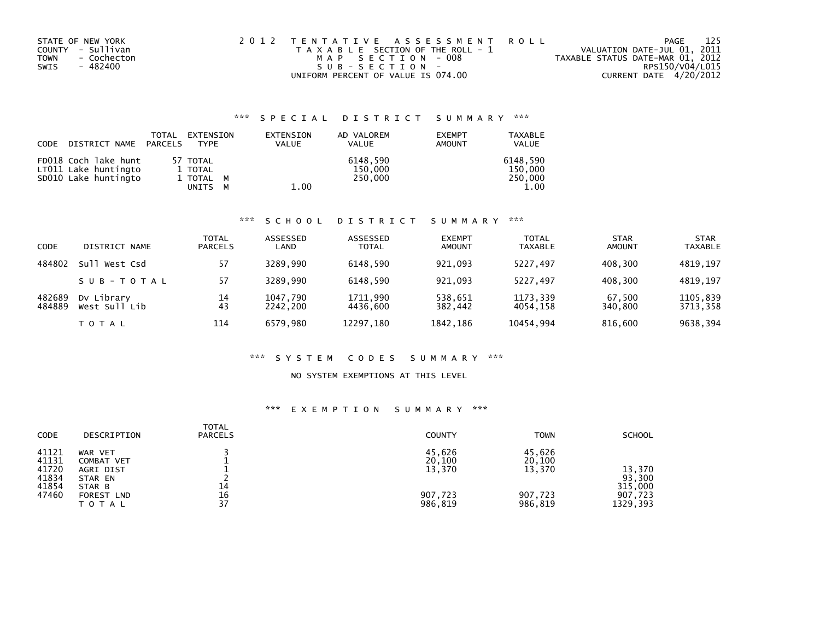| STATE OF NEW YORK   | 2012 TENTATIVE ASSESSMENT ROLL        | PAGE                             | 125 |
|---------------------|---------------------------------------|----------------------------------|-----|
| COUNTY - Sullivan   | T A X A B L E SECTION OF THE ROLL - 1 | VALUATION DATE-JUL 01, 2011      |     |
| - Cochecton<br>TOWN | MAP SECTION - 008                     | TAXABLE STATUS DATE-MAR 01, 2012 |     |
| - 482400<br>SWIS    | SUB-SECTION-                          | RPS150/V04/L015                  |     |
|                     | UNIFORM PERCENT OF VALUE IS 074.00    | CURRENT DATE 4/20/2012           |     |

## \*\*\* S P E C I A L D I S T R I C T S U M M A R Y \*\*\*

| CODE | DISTRICT NAME PARCELS                                                | TOTAL | EXTENSION<br><b>TYPE</b>         | EXTENSION<br><b>VALUE</b> | AD VALOREM<br><b>VALUE</b>     | <b>EXEMPT</b><br>AMOUNT | <b>TAXABLE</b><br><b>VALUE</b> |
|------|----------------------------------------------------------------------|-------|----------------------------------|---------------------------|--------------------------------|-------------------------|--------------------------------|
|      | FD018 Coch lake hunt<br>LT011 Lake huntingto<br>SD010 Lake huntingto |       | 57 TOTAL<br>1 TOTAL<br>1 TOTAL M |                           | 6148.590<br>150,000<br>250,000 |                         | 6148.590<br>150,000<br>250,000 |
|      |                                                                      |       | UNITS<br>м                       | 1.00                      |                                |                         | 1.00                           |

#### \*\*\* S C H O O L D I S T R I C T S U M M A R Y \*\*\*

| <b>CODE</b>      | DISTRICT NAME               | TOTAL<br><b>PARCELS</b> | ASSESSED<br>LAND     | ASSESSED<br><b>TOTAL</b> | <b>EXEMPT</b><br><b>AMOUNT</b> | <b>TOTAL</b><br><b>TAXABLE</b> | <b>STAR</b><br><b>AMOUNT</b> | <b>STAR</b><br><b>TAXABLE</b> |
|------------------|-----------------------------|-------------------------|----------------------|--------------------------|--------------------------------|--------------------------------|------------------------------|-------------------------------|
| 484802           | su1<br>West Csd             | 57                      | 3289.990             | 6148.590                 | 921,093                        | 5227.497                       | 408,300                      | 4819,197                      |
|                  | SUB-TOTAL                   | 57                      | 3289.990             | 6148.590                 | 921.093                        | 5227.497                       | 408.300                      | 4819.197                      |
| 482689<br>484889 | Dy Library<br>West Sull Lib | 14<br>43                | 1047,790<br>2242.200 | 1711,990<br>4436.600     | 538,651<br>382.442             | 1173,339<br>4054.158           | 67,500<br>340.800            | 1105,839<br>3713,358          |
|                  | <b>TOTAL</b>                | 114                     | 6579.980             | 12297,180                | 1842,186                       | 10454,994                      | 816,600                      | 9638,394                      |

### \*\*\* S Y S T E M C O D E S S U M M A R Y \*\*\*

#### NO SYSTEM EXEMPTIONS AT THIS LEVEL

## \*\*\* E X E M P T I O N S U M M A R Y \*\*\*

| <b>CODE</b>                               | DESCRIPTION                                             | <b>TOTAL</b><br><b>PARCELS</b> | <b>COUNTY</b>              | <b>TOWN</b>                | <b>SCHOOL</b>               |
|-------------------------------------------|---------------------------------------------------------|--------------------------------|----------------------------|----------------------------|-----------------------------|
| 41121<br>41131<br>41720<br>41834<br>41854 | WAR VET<br>COMBAT VET<br>AGRI DIST<br>STAR EN<br>STAR B | 14                             | 45,626<br>20,100<br>13,370 | 45,626<br>20,100<br>13,370 | 13,370<br>93,300<br>315,000 |
| 47460                                     | <b>FOREST LND</b><br>ΤΟΤΑΙ                              | 16<br>37                       | 907,723<br>986,819         | 907,723<br>986,819         | 907,723<br>1329, 393        |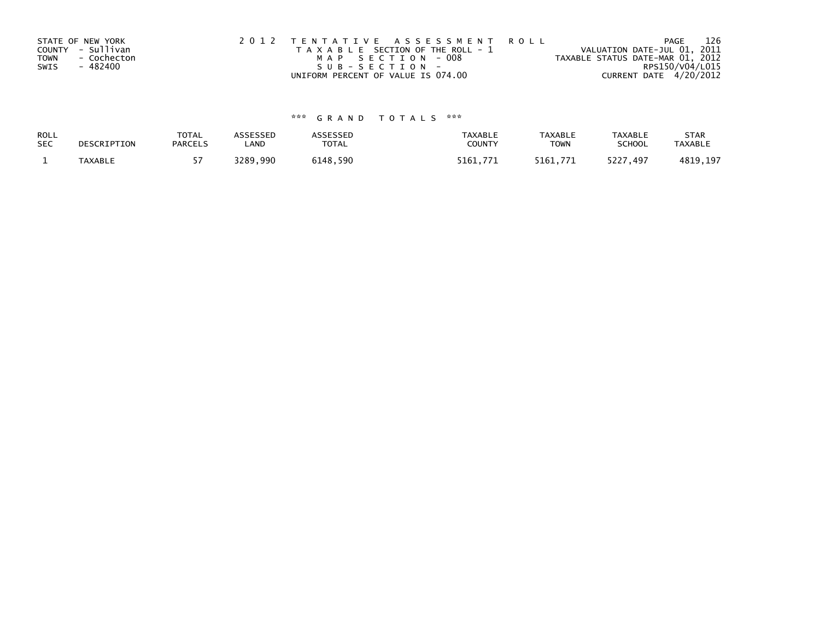| STATE OF NEW YORK   | 2012 TENTATIVE ASSESSMENT ROLL        |                                  | PAGE | 126 |
|---------------------|---------------------------------------|----------------------------------|------|-----|
| COUNTY - Sullivan   | T A X A B L E SECTION OF THE ROLL - 1 | VALUATION DATE-JUL 01, 2011      |      |     |
| - Cochecton<br>TOWN | MAP SECTION - 008                     | TAXABLE STATUS DATE-MAR 01, 2012 |      |     |
| - 482400<br>SWIS    | S U B - S E C T I O N -               | RPS150/V04/L015                  |      |     |
|                     | UNIFORM PERCENT OF VALUE IS 074.00    | CURRENT DATE 4/20/2012           |      |     |

# \*\*\* G R A N D T O T A L S \*\*\*

| ROLL       | DESCRIPTION | <b>TOTAL</b>   | <b>ASSESSED</b> | ASSESSED     | <b>TAXABLE</b> | <b>TAXABLE</b> | TAXABLE       | <b>STAR</b>    |
|------------|-------------|----------------|-----------------|--------------|----------------|----------------|---------------|----------------|
| <b>SEC</b> |             | <b>PARCELS</b> | LAND            | <b>TOTAL</b> | COUNTY         | TOWN           | <b>SCHOOL</b> | <b>TAXABLE</b> |
|            | TAXABLE     |                | 3289.990        | 6148,590     | 5161.771       | 5161.771       | 5227,497      | 4819,197       |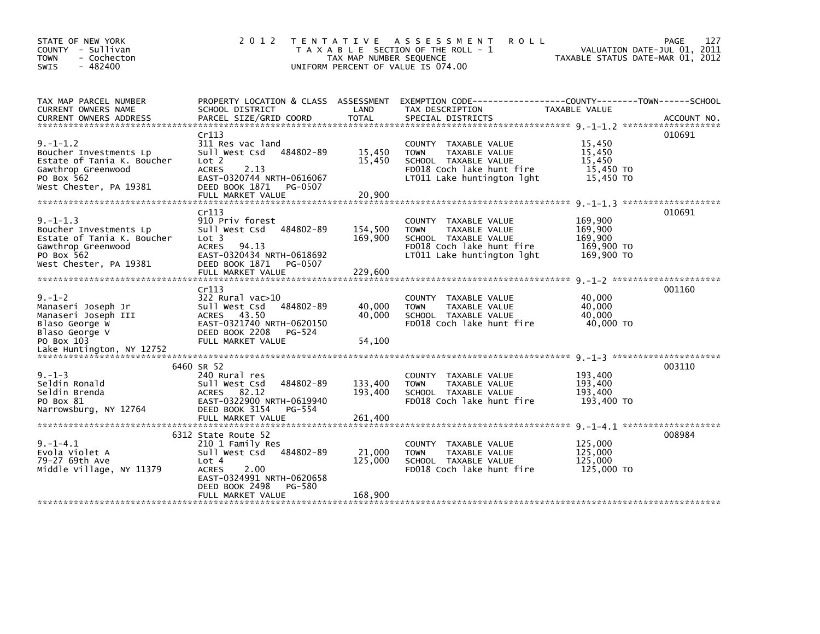| STATE OF NEW YORK<br>COUNTY - Sullivan<br>- Cochecton<br><b>TOWN</b><br>$-482400$<br><b>SWIS</b>                                     | 2 0 1 2                                                                                                                                                                              | TAX MAP NUMBER SEQUENCE      | TENTATIVE ASSESSMENT<br><b>ROLL</b><br>T A X A B L E SECTION OF THE ROLL - 1<br>UNIFORM PERCENT OF VALUE IS 074.00                      | VALUATION DATE-JUL 01, 2011<br>TAXABLE STATUS DATE-MAR 01, 2012 | 127<br>PAGE |
|--------------------------------------------------------------------------------------------------------------------------------------|--------------------------------------------------------------------------------------------------------------------------------------------------------------------------------------|------------------------------|-----------------------------------------------------------------------------------------------------------------------------------------|-----------------------------------------------------------------|-------------|
| TAX MAP PARCEL NUMBER<br>CURRENT OWNERS NAME                                                                                         | SCHOOL DISTRICT<br>Cr113                                                                                                                                                             | LAND                         | PROPERTY LOCATION & CLASS ASSESSMENT EXEMPTION CODE----------------COUNTY-------TOWN------SCHOOL<br>TAX DESCRIPTION                     | <b>TAXABLE VALUE</b>                                            | 010691      |
| $9. - 1 - 1.2$<br>Boucher Investments Lp<br>Estate of Tania K. Boucher<br>Gawthrop Greenwood<br>PO Box 562<br>West Chester, PA 19381 | 311 Res vac land<br>484802-89<br>Sull West Csd<br>Lot <sub>2</sub><br><b>ACRES</b><br>2.13<br>EAST-0320744 NRTH-0616067<br>DEED BOOK 1871<br>PG-0507                                 | 15,450<br>15,450             | COUNTY TAXABLE VALUE<br><b>TOWN</b><br>TAXABLE VALUE<br>SCHOOL TAXABLE VALUE<br>FD018 Coch lake hunt fire<br>LT011 Lake huntington lght | 15,450<br>15,450<br>15,450<br>15,450 TO<br>15,450 TO            |             |
|                                                                                                                                      |                                                                                                                                                                                      |                              |                                                                                                                                         |                                                                 |             |
| $9. -1 - 1.3$<br>Boucher Investments Lp<br>Estate of Tania K. Boucher<br>Gawthrop Greenwood<br>PO Box 562<br>West Chester, PA 19381  | Cr113<br>910 Priv forest<br>Sull West Csd<br>484802-89<br>Lot 3<br><b>ACRES</b><br>94.13<br>EAST-0320434 NRTH-0618692<br>DEED BOOK 1871<br>PG-0507                                   | 154,500<br>169,900           | COUNTY TAXABLE VALUE<br><b>TOWN</b><br>TAXABLE VALUE<br>SCHOOL TAXABLE VALUE<br>FD018 Coch lake hunt fire<br>LT011 Lake huntington lght | 169,900<br>169,900<br>169,900<br>169,900 TO<br>169,900 TO       | 010691      |
|                                                                                                                                      | FULL MARKET VALUE                                                                                                                                                                    | 229,600                      |                                                                                                                                         |                                                                 |             |
| $9. - 1 - 2$<br>Manaseri Joseph Jr<br>Manaseri Joseph III<br>Blaso George W<br>Blaso George V<br>PO Box 103                          | Cr113<br>322 Rural vac>10<br>Sull West Csd<br>484802-89<br>ACRES 43.50<br>EAST-0321740 NRTH-0620150<br>DEED BOOK 2208<br>PG-524<br>FULL MARKET VALUE                                 | 40,000<br>40,000<br>54,100   | <b>COUNTY</b><br>TAXABLE VALUE<br><b>TOWN</b><br>TAXABLE VALUE<br>SCHOOL TAXABLE VALUE<br>FD018 Coch lake hunt fire                     | 40,000<br>40.000<br>40.000<br>40,000 TO                         | 001160      |
|                                                                                                                                      |                                                                                                                                                                                      |                              |                                                                                                                                         |                                                                 |             |
| $9. - 1 - 3$<br>Seldin Ronald<br>Seldin Brenda<br>PO Box 81<br>Narrowsburg, NY 12764                                                 | 6460 SR 52<br>240 Rural res<br>484802-89<br>Sull West Csd<br>82.12<br><b>ACRES</b><br>EAST-0322900 NRTH-0619940<br>DEED BOOK 3154<br>PG-554                                          | 133,400<br>193,400           | COUNTY TAXABLE VALUE<br><b>TOWN</b><br>TAXABLE VALUE<br>SCHOOL TAXABLE VALUE<br>FD018 Coch lake hunt fire                               | 193,400<br>193,400<br>193,400<br>193,400 TO                     | 003110      |
| $9. -1 - 4.1$<br>Evola Violet A<br>79-27 69th Ave<br>Middle Village, NY 11379                                                        | 6312 State Route 52<br>210 1 Family Res<br>Sull West Csd<br>484802-89<br>Lot 4<br>2.00<br><b>ACRES</b><br>EAST-0324991 NRTH-0620658<br>DEED BOOK 2498<br>PG-580<br>FULL MARKET VALUE | 21,000<br>125,000<br>168,900 | COUNTY TAXABLE VALUE<br><b>TOWN</b><br>TAXABLE VALUE<br>SCHOOL TAXABLE VALUE<br>FD018 Coch lake hunt fire                               | 125,000<br>125,000<br>125,000<br>125,000 TO                     | 008984      |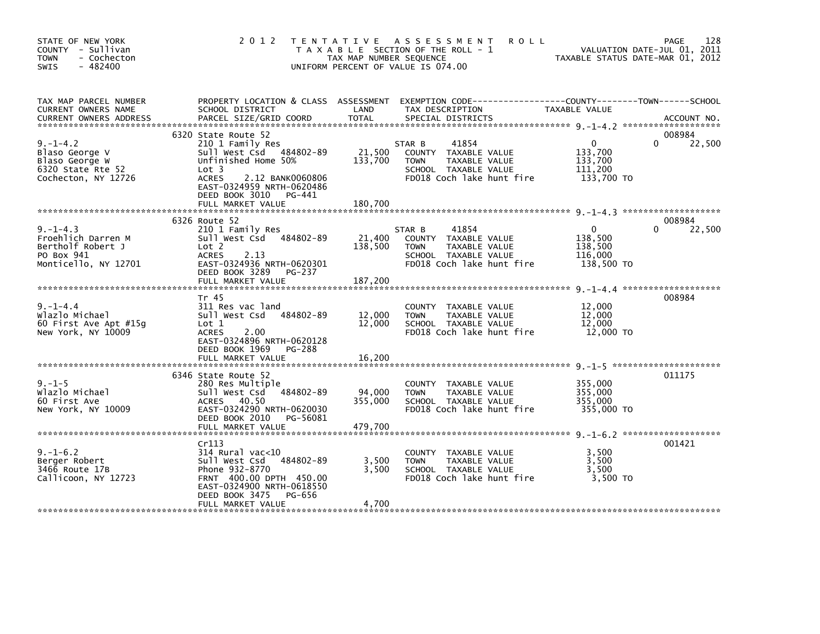| STATE OF NEW YORK<br>COUNTY - Sullivan<br><b>TOWN</b><br>- Cochecton<br>$-482400$<br><b>SWIS</b> | 2 0 1 2                                                                                                                                                                                                              | TAX MAP NUMBER SEQUENCE      | TENTATIVE ASSESSMENT<br><b>ROLL</b><br>T A X A B L E SECTION OF THE ROLL - 1<br>UNIFORM PERCENT OF VALUE IS 074.00           | TAXABLE STATUS DATE-MAR 01, 2012                            | 128<br>PAGE<br>VALUATION DATE-JUL 01, 2011 |
|--------------------------------------------------------------------------------------------------|----------------------------------------------------------------------------------------------------------------------------------------------------------------------------------------------------------------------|------------------------------|------------------------------------------------------------------------------------------------------------------------------|-------------------------------------------------------------|--------------------------------------------|
| TAX MAP PARCEL NUMBER<br>CURRENT OWNERS NAME<br><b>CURRENT OWNERS ADDRESS</b>                    | PROPERTY LOCATION & CLASS ASSESSMENT<br>SCHOOL DISTRICT<br>PARCEL SIZE/GRID COORD                                                                                                                                    | LAND<br><b>TOTAL</b>         | EXEMPTION CODE-----------------COUNTY-------TOWN------SCHOOL<br>TAX DESCRIPTION<br>SPECIAL DISTRICTS                         | TAXABLE VALUE                                               | ACCOUNT NO.                                |
| $9. - 1 - 4.2$<br>Blaso George V<br>Blaso George W<br>6320 State Rte 52<br>Cochecton, NY 12726   | 6320 State Route 52<br>210 1 Family Res<br>Sull West Csd 484802-89<br>Unfinished Home 50%<br>Lot 3<br><b>ACRES</b><br>2.12 BANK0060806<br>EAST-0324959 NRTH-0620486<br>DEED BOOK 3010<br>PG-441<br>FULL MARKET VALUE | 21,500<br>133,700<br>180.700 | 41854<br>STAR B<br>COUNTY TAXABLE VALUE<br>TAXABLE VALUE<br><b>TOWN</b><br>SCHOOL TAXABLE VALUE<br>FD018 Coch lake hunt fire | $\mathbf{0}$<br>133,700<br>133,700<br>111,200<br>133,700 TO | 008984<br>22,500<br>0                      |
|                                                                                                  |                                                                                                                                                                                                                      |                              |                                                                                                                              |                                                             |                                            |
| $9. - 1 - 4.3$<br>Froehlich Darren M<br>Bertholf Robert J<br>PO Box 941<br>Monticello, NY 12701  | 6326 Route 52<br>210 1 Family Res<br>Sull West Csd 484802-89<br>Lot 2<br><b>ACRES</b><br>2.13<br>EAST-0324936 NRTH-0620301<br>DEED BOOK 3289<br>PG-237<br>FULL MARKET VALUE                                          | 21,400<br>138,500<br>187,200 | STAR B<br>41854<br>COUNTY TAXABLE VALUE<br><b>TOWN</b><br>TAXABLE VALUE<br>SCHOOL TAXABLE VALUE<br>FD018 Coch lake hunt fire | $\mathbf{0}$<br>138,500<br>138,500<br>116,000<br>138,500 TO | 008984<br>22,500<br>0                      |
|                                                                                                  |                                                                                                                                                                                                                      |                              |                                                                                                                              |                                                             |                                            |
| $9. - 1 - 4.4$<br>Wlazlo Michael<br>60 First Ave Apt $#15q$<br>New York, NY 10009                | Tr 45<br>311 Res vac land<br>Sull West Csd 484802-89<br>Lot 1<br>2.00<br><b>ACRES</b><br>EAST-0324896 NRTH-0620128<br>DEED BOOK 1969<br>PG-288<br>FULL MARKET VALUE                                                  | 12,000<br>12,000<br>16,200   | COUNTY TAXABLE VALUE<br><b>TOWN</b><br>TAXABLE VALUE<br>SCHOOL TAXABLE VALUE<br>FD018 Coch lake hunt fire                    | 12,000<br>12,000<br>12,000<br>12,000 TO                     | 008984                                     |
|                                                                                                  |                                                                                                                                                                                                                      |                              |                                                                                                                              |                                                             |                                            |
| $9. - 1 - 5$<br>Wlazlo Michael<br>60 First Ave<br>New York, NY 10009                             | 6346 State Route 52<br>280 Res Multiple<br>Sull West Csd 484802-89<br>ACRES 40.50<br>EAST-0324290 NRTH-0620030<br>DEED BOOK 2010<br>PG-56081<br>FULL MARKET VALUE                                                    | 94,000<br>355,000<br>479,700 | COUNTY TAXABLE VALUE<br><b>TOWN</b><br><b>TAXABLE VALUE</b><br>SCHOOL TAXABLE VALUE<br>FD018 Coch lake hunt fire             | 355,000<br>355,000<br>355,000<br>355,000 TO                 | 011175                                     |
|                                                                                                  |                                                                                                                                                                                                                      |                              |                                                                                                                              |                                                             |                                            |
| $9. - 1 - 6.2$<br>Berger Robert<br>3466 Route 17B<br>Callicoon, NY 12723                         | Cr113<br>$314$ Rural vac<10<br>484802-89<br>Sull West Csd<br>Phone 932-8770<br>FRNT 400.00 DPTH 450.00<br>EAST-0324900 NRTH-0618550<br>DEED BOOK 3475<br>PG-656                                                      | 3,500<br>3,500               | COUNTY TAXABLE VALUE<br>TAXABLE VALUE<br><b>TOWN</b><br>SCHOOL TAXABLE VALUE<br>FD018 Coch lake hunt fire                    | 3.500<br>3,500<br>3,500<br>3.500 TO                         | 001421                                     |
|                                                                                                  | FULL MARKET VALUE                                                                                                                                                                                                    | 4,700                        |                                                                                                                              |                                                             |                                            |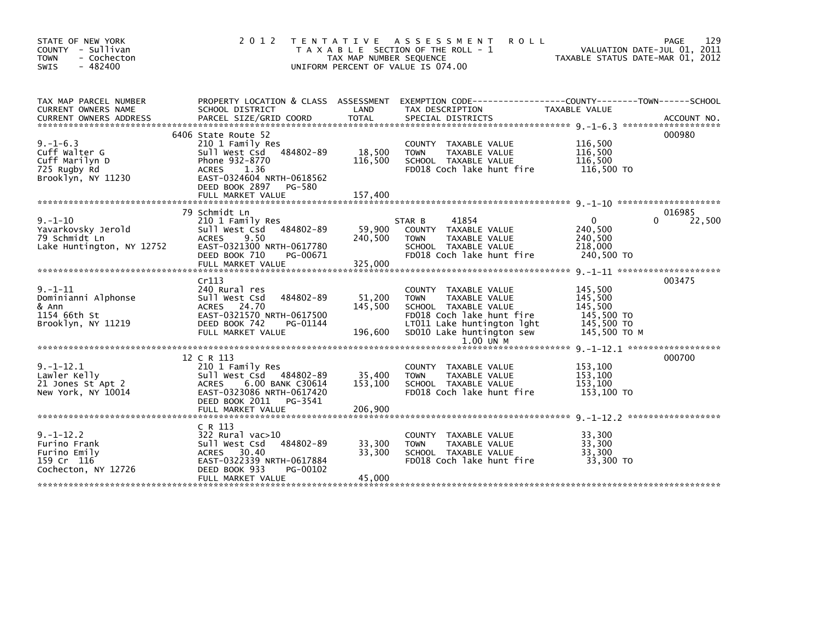| STATE OF NEW YORK<br>COUNTY - Sullivan<br><b>TOWN</b><br>- Cochecton<br>$-482400$<br><b>SWIS</b> | 2 0 1 2                                                                                                                                                                                       | T E N T A T I V E<br>TAX MAP NUMBER SEQUENCE | ASSESSMENT<br><b>ROLL</b><br>T A X A B L E SECTION OF THE ROLL - 1<br>UNIFORM PERCENT OF VALUE IS 074.00                                                                                    | TAXABLE STATUS DATE-MAR 01, 2012                                          | 129<br>PAGE<br>VALUATION DATE-JUL 01, 2011 |
|--------------------------------------------------------------------------------------------------|-----------------------------------------------------------------------------------------------------------------------------------------------------------------------------------------------|----------------------------------------------|---------------------------------------------------------------------------------------------------------------------------------------------------------------------------------------------|---------------------------------------------------------------------------|--------------------------------------------|
| TAX MAP PARCEL NUMBER<br>CURRENT OWNERS NAME<br><b>CURRENT OWNERS ADDRESS</b>                    | SCHOOL DISTRICT<br>PARCEL SIZE/GRID COORD                                                                                                                                                     | LAND<br><b>TOTAL</b>                         | PROPERTY LOCATION & CLASS ASSESSMENT EXEMPTION CODE----------------COUNTY-------TOWN-----SCHOOL<br>TAX DESCRIPTION<br>SPECIAL DISTRICTS                                                     | TAXABLE VALUE                                                             | ACCOUNT NO.                                |
| $9. - 1 - 6.3$<br>Cuff Walter G<br>Cuff Marilyn D<br>725 Rugby Rd<br>Brooklyn, NY 11230          | 6406 State Route 52<br>210 1 Family Res<br>484802-89<br>Sull West Csd<br>Phone 932-8770<br><b>ACRES</b><br>1.36<br>EAST-0324604 NRTH-0618562<br>DEED BOOK 2897<br>PG-580<br>FULL MARKET VALUE | 18,500<br>116,500<br>157,400                 | COUNTY TAXABLE VALUE<br>TAXABLE VALUE<br><b>TOWN</b><br>SCHOOL TAXABLE VALUE<br>FD018 Coch lake hunt fire                                                                                   | 116,500<br>116,500<br>116,500<br>116,500 TO                               | 000980                                     |
|                                                                                                  | 79 Schmidt Ln                                                                                                                                                                                 |                                              |                                                                                                                                                                                             |                                                                           | 016985                                     |
| $9. - 1 - 10$<br>Yavarkovsky Jerold<br>79 Schmidt Ln<br>Lake Huntington, NY 12752                | 210 1 Family Res<br>Sull West Csd<br>484802-89<br>9.50<br><b>ACRES</b><br>EAST-0321300 NRTH-0617780<br>DEED BOOK 710<br>PG-00671<br>FULL MARKET VALUE                                         | 59,900<br>240,500<br>325,000                 | 41854<br>STAR B<br>COUNTY TAXABLE VALUE<br>TAXABLE VALUE<br><b>TOWN</b><br>SCHOOL TAXABLE VALUE<br>FD018 Coch lake hunt fire                                                                | $\mathbf{0}$<br>240,500<br>240,500<br>218,000<br>240,500 TO               | 22,500<br>0                                |
|                                                                                                  | Cr113                                                                                                                                                                                         |                                              |                                                                                                                                                                                             |                                                                           | 003475                                     |
| 9. –1–11<br>Dominianni Alphonse<br>& Ann<br>1154 66th St<br>Brooklyn, NY 11219                   | 240 Rural res<br>Sull West Csd<br>484802-89<br>ACRES 24.70<br>EAST-0321570 NRTH-0617500<br>DEED BOOK 742<br>PG-01144<br>FULL MARKET VALUE                                                     | 51,200<br>145,500<br>196,600                 | <b>COUNTY</b><br>TAXABLE VALUE<br><b>TOWN</b><br>TAXABLE VALUE<br>SCHOOL TAXABLE VALUE<br>FD018 Coch lake hunt fire<br>LT011 Lake huntington lght<br>SD010 Lake huntington sew<br>1.00 UN M | 145,500<br>145,500<br>145,500<br>145,500 TO<br>145,500 TO<br>145.500 TO M |                                            |
|                                                                                                  |                                                                                                                                                                                               |                                              |                                                                                                                                                                                             |                                                                           |                                            |
| $9. -1 - 12.1$<br>Lawler Kelly<br>21 Jones St Apt 2<br>New York, NY 10014                        | 12 C R 113<br>210 1 Family Res<br>Sull West Csd<br>484802-89<br>6.00 BANK C30614<br><b>ACRES</b><br>EAST-0323086 NRTH-0617420<br>DEED BOOK 2011<br>PG-3541                                    | 35,400<br>153,100                            | COUNTY TAXABLE VALUE<br>TAXABLE VALUE<br><b>TOWN</b><br>SCHOOL TAXABLE VALUE<br>FD018 Coch lake hunt fire                                                                                   | 153,100<br>153,100<br>153,100<br>153,100 TO                               | 000700                                     |
|                                                                                                  | FULL MARKET VALUE                                                                                                                                                                             | 206,900                                      |                                                                                                                                                                                             |                                                                           |                                            |
| $9. - 1 - 12.2$<br>Furino Frank<br>Furino Emily<br>159 Cr 116<br>Cochecton, NY 12726             | C R 113<br>$322$ Rural vac $>10$<br>484802-89<br>Sull West Csd<br>ACRES 30.40<br>EAST-0322339 NRTH-0617884<br>DEED BOOK 933<br>PG-00102<br>FULL MARKET VALUE                                  | 33,300<br>33,300<br>45,000                   | <b>COUNTY</b><br>TAXABLE VALUE<br>TAXABLE VALUE<br><b>TOWN</b><br>SCHOOL TAXABLE VALUE<br>FD018 Coch lake hunt fire                                                                         | 33,300<br>33.300<br>33,300<br>33,300 TO                                   |                                            |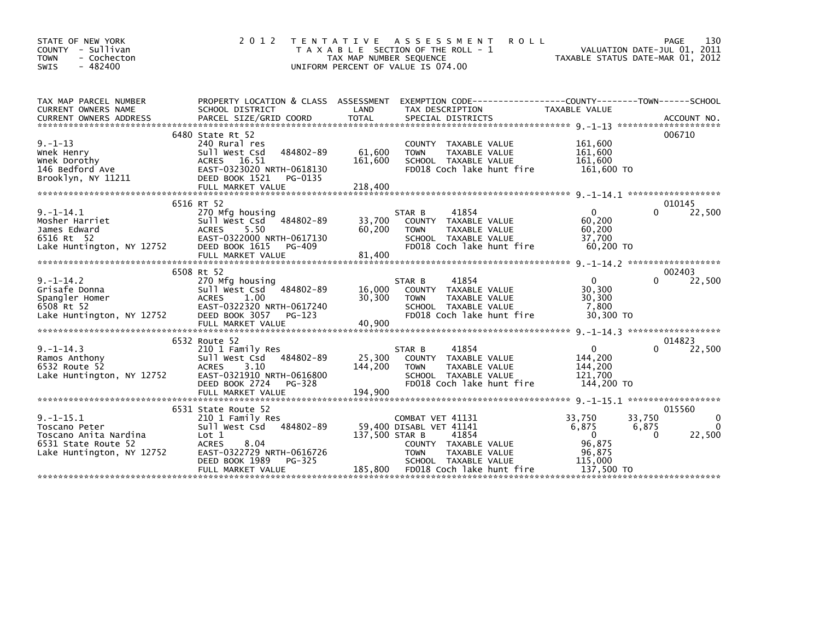| STATE OF NEW YORK<br>COUNTY - Sullivan<br><b>TOWN</b><br>- Cochecton<br>$-482400$<br><b>SWIS</b>             | 2 0 1 2                                                                                                                                                                                                                                                                                                               | T E N T A T I V E<br>TAX MAP NUMBER SEQUENCE | A S S E S S M E N T<br><b>ROLL</b><br>T A X A B L E SECTION OF THE ROLL - 1<br>UNIFORM PERCENT OF VALUE IS 074.00                                                         | VALUATION DATE-JUL 01, 2011<br>TAXABLE STATUS DATE-MAR 01, 2012                                   | PAGE<br>130                                    |
|--------------------------------------------------------------------------------------------------------------|-----------------------------------------------------------------------------------------------------------------------------------------------------------------------------------------------------------------------------------------------------------------------------------------------------------------------|----------------------------------------------|---------------------------------------------------------------------------------------------------------------------------------------------------------------------------|---------------------------------------------------------------------------------------------------|------------------------------------------------|
| TAX MAP PARCEL NUMBER<br>CURRENT OWNERS NAME                                                                 | PROPERTY LOCATION & CLASS ASSESSMENT EXEMPTION CODE-----------------COUNTY-------TOWN-----SCHOOL<br>SCHOOL DISTRICT<br>CURRENT OWNERS ADDRESS FORCEL SIZE/GRID COORD TOTAL SPECIAL DISTRICTS (2001) ACCOUNT NO.<br>A SECIAL DISTRICTS SECIAL SECURENT OF A SECIAL SECURENT OF A SECURENT ON A SECURENT OWNERS ADDRESS | LAND                                         | TAX DESCRIPTION                                                                                                                                                           | TAXABLE VALUE                                                                                     |                                                |
| $9. - 1 - 13$<br>Wnek Henry<br>Whek Dorothy<br>146 Bedford Ave<br>Brooklyn, NY 11211                         | 6480 State Rt 52<br>240 Rural res<br>484802-89<br>Sull West Csd<br>ACRES 16.51<br>EAST-0323020 NRTH-0618130<br>DEED BOOK 1521 PG-0135                                                                                                                                                                                 | 61,600<br>161,600                            | COUNTY TAXABLE VALUE<br>TAXABLE VALUE<br><b>TOWN</b><br>SCHOOL TAXABLE VALUE<br>FD018 Coch lake hunt fire                                                                 | 161,600<br>161,600<br>161,600<br>161,600 TO                                                       | 006710                                         |
| $9. - 1 - 14.1$<br>Mosher Harriet<br>James Edward<br>6516 Rt 52<br>Lake Huntington, NY 12752                 | 6516 RT 52<br>270 Mfg housing<br>Sull West Csd 484802-89<br><b>ACRES</b><br>5.50<br>EAST-0322000 NRTH-0617130<br>DEED BOOK 1615<br>PG-409<br>FULL MARKET VALUE                                                                                                                                                        | 33,700<br>60,200<br>81,400                   | 41854<br>STAR B<br>COUNTY TAXABLE VALUE<br>TAXABLE VALUE<br><b>TOWN</b><br>SCHOOL TAXABLE VALUE<br>FD018 Coch lake hunt fire                                              | $\Omega$<br>60,200<br>60,200<br>37,700<br>60,200 TO                                               | 010145<br>22,500<br>0                          |
| $9. - 1 - 14.2$<br>Grisafe Donna<br>Spangler Homer<br>6508 Rt 52<br>Lake Huntington, NY 12752                | 6508 Rt 52<br>270 Mfg housing<br>Sull West Csd 484802-89<br><b>ACRES</b><br>1.00<br>EAST-0322320 NRTH-0617240<br>DEED BOOK 3057 PG-123                                                                                                                                                                                | 16,000<br>30,300                             | 41854<br>STAR B<br>COUNTY TAXABLE VALUE<br>TAXABLE VALUE<br><b>TOWN</b><br>SCHOOL TAXABLE VALUE<br>FD018 Coch lake hunt fire                                              | $\mathbf{0}$<br>30,300<br>30,300<br>7,800<br>30,300 TO                                            | 002403<br>22,500<br>$\Omega$                   |
| $9. -1 - 14.3$                                                                                               | FULL MARKET VALUE<br>6532 Route 52<br>210 <sub>1</sub> Family Res                                                                                                                                                                                                                                                     | 40,900                                       | 41854<br>STAR B                                                                                                                                                           | $\mathbf{0}$                                                                                      | 014823<br>0<br>22,500                          |
| Ramos Anthony<br>6532 Route 52<br>Lake Huntington, NY 12752                                                  | Sull West Csd 484802-89<br>3.10<br><b>ACRES</b><br>EAST-0321910 NRTH-0616800<br>DEED BOOK 2724<br>PG-328<br>FULL MARKET VALUE                                                                                                                                                                                         | 25,300<br>144,200<br>194,900                 | COUNTY TAXABLE VALUE<br>TAXABLE VALUE<br><b>TOWN</b><br>SCHOOL TAXABLE VALUE<br>FD018 Coch lake hunt fire                                                                 | 144,200<br>144,200<br>121,700<br>144,200 TO                                                       |                                                |
|                                                                                                              | 6531 State Route 52                                                                                                                                                                                                                                                                                                   |                                              |                                                                                                                                                                           |                                                                                                   | 015560                                         |
| $9. -1 - 15.1$<br>Toscano Peter<br>Toscano Anita Nardina<br>6531 State Route 52<br>Lake Huntington, NY 12752 | 210 1 Family Res<br>Sull West Csd 484802-89<br>Lot 1<br><b>ACRES</b><br>8.04<br>EAST-0322729 NRTH-0616726<br>PG-325<br>DEED BOOK 1989<br>FULL MARKET VALUE                                                                                                                                                            | 137,500 STAR B                               | COMBAT VET 41131<br>59,400 DISABL VET 41141<br>41854<br>COUNTY TAXABLE VALUE<br><b>TOWN</b><br>TAXABLE VALUE<br>SCHOOL TAXABLE VALUE<br>185,800 FD018 Coch lake hunt fire | 33.750<br>33.750<br>6,875<br>6,875<br>$\overline{0}$<br>96.875<br>96,875<br>115,000<br>137,500 TO | $\mathbf{0}$<br>$\Omega$<br>$\Omega$<br>22,500 |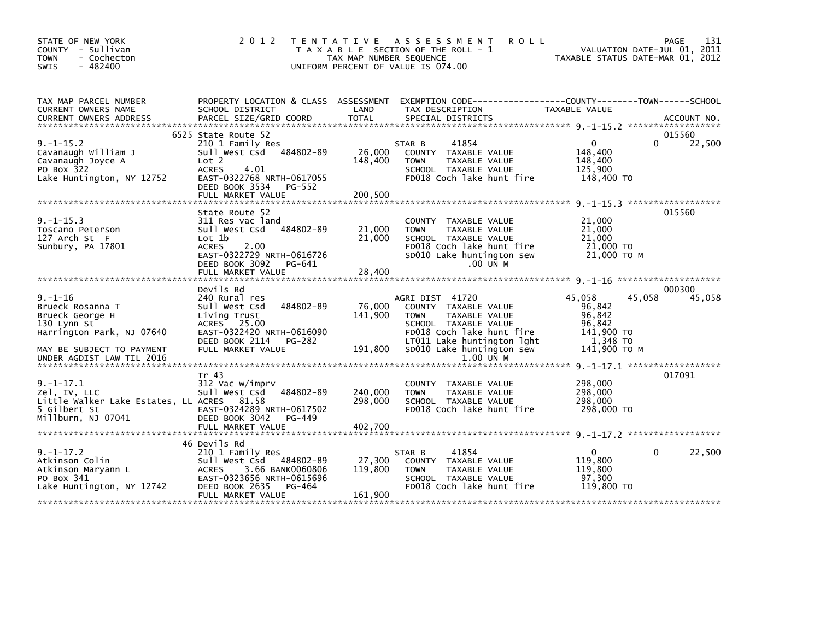| STATE OF NEW YORK<br>COUNTY - Sullivan<br><b>TOWN</b><br>- Cochecton<br><b>SWIS</b><br>$-482400$                                                 | 2 0 1 2                                                                                                                                                                              | T E N T A T I V E<br>TAX MAP NUMBER SEQUENCE | <b>ROLL</b><br>A S S E S S M E N T<br>T A X A B L E SECTION OF THE ROLL - 1<br>UNIFORM PERCENT OF VALUE IS 074.00                                                                       |                                                                                | 131<br>PAGE<br>VALUATION DATE-JUL 01, 2011<br>TAXABLE STATUS DATE-MAR 01, 2012 |
|--------------------------------------------------------------------------------------------------------------------------------------------------|--------------------------------------------------------------------------------------------------------------------------------------------------------------------------------------|----------------------------------------------|-----------------------------------------------------------------------------------------------------------------------------------------------------------------------------------------|--------------------------------------------------------------------------------|--------------------------------------------------------------------------------|
| TAX MAP PARCEL NUMBER<br>CURRENT OWNERS NAME                                                                                                     | PROPERTY LOCATION & CLASS ASSESSMENT<br>SCHOOL DISTRICT                                                                                                                              | LAND                                         | TAX DESCRIPTION                                                                                                                                                                         | TAXABLE VALUE                                                                  |                                                                                |
| $9. -1 - 15.2$<br>Cavanaugh William J<br>Cavanaugh Joyce A<br>PO Box 322<br>Lake Huntington, NY 12752                                            | 6525 State Route 52<br>210 1 Family Res<br>484802-89<br>Sull West Csd<br>Lot 2<br><b>ACRES</b><br>4.01<br>EAST-0322768 NRTH-0617055<br>DEED BOOK 3534<br>PG-552<br>FULL MARKET VALUE | 26,000<br>148,400<br>200,500                 | 41854<br>STAR B<br>COUNTY TAXABLE VALUE<br>TAXABLE VALUE<br><b>TOWN</b><br>SCHOOL TAXABLE VALUE<br>FD018 Coch lake hunt fire                                                            | $\mathbf{0}$<br>148,400<br>148,400<br>125,900<br>148,400 TO                    | 015560<br>22,500<br>0                                                          |
| $9. -1 - 15.3$<br>Toscano Peterson<br>127 Arch St F<br>Sunbury, PA 17801                                                                         | State Route 52<br>311 Res vac land<br>Sull West Csd<br>484802-89<br>Lot 1b<br><b>ACRES</b><br>2.00<br>EAST-0322729 NRTH-0616726<br>DEED BOOK 3092<br>PG-641<br>FULL MARKET VALUE     | 21,000<br>21,000<br>28,400                   | COUNTY<br>TAXABLE VALUE<br><b>TOWN</b><br>TAXABLE VALUE<br>SCHOOL TAXABLE VALUE<br>FD018 Coch lake hunt fire<br>SD010 Lake huntington sew<br>.00 UN M                                   | 21,000<br>21,000<br>21,000<br>21,000 TO<br>21,000 TO M                         | 015560                                                                         |
| $9. - 1 - 16$<br>Brueck Rosanna T<br>Brueck George H<br>130 Lynn St<br>Harrington Park, NJ 07640<br>MAY BE SUBJECT TO PAYMENT                    | Devils Rd<br>240 Rural res<br>Sull West Csd<br>484802-89<br>Living Trust<br>ACRES 25.00<br>EAST-0322420 NRTH-0616090<br>DEED BOOK 2114<br>PG-282<br>FULL MARKET VALUE                | 76,000<br>141,900<br>191,800                 | AGRI DIST 41720<br>COUNTY TAXABLE VALUE<br><b>TOWN</b><br>TAXABLE VALUE<br>SCHOOL TAXABLE VALUE<br>FD018 Coch lake hunt fire<br>LT011 Lake huntington lght<br>SD010 Lake huntington sew | 45,058<br>96,842<br>96,842<br>96.842<br>141,900 TO<br>1,348 TO<br>141,900 TO M | 000300<br>45,058<br>45,058                                                     |
| UNDER AGDIST LAW TIL 2016<br>$9. - 1 - 17.1$<br>Zel, IV, LLC<br>Little Walker Lake Estates, LL ACRES 81.58<br>5 Gilbert St<br>Millburn, NJ 07041 | Tr 43<br>312 Vac w/imprv<br>Sull West Csd<br>484802-89<br>EAST-0324289 NRTH-0617502<br>DEED BOOK 3042<br>PG-449<br>FULL MARKET VALUE                                                 | 240,000<br>298,000<br>402,700                | 1.00 UN M<br>COUNTY TAXABLE VALUE<br><b>TOWN</b><br>TAXABLE VALUE<br>SCHOOL TAXABLE VALUE<br>FD018 Coch lake hunt fire                                                                  | 298,000<br>298,000<br>298,000<br>298,000 TO                                    | 017091                                                                         |
| $9. - 1 - 17.2$<br>Atkinson Colin<br>Atkinson Maryann L<br>PO Box 341<br>Lake Huntington, NY 12742                                               | 46 Devils Rd<br>210 1 Family Res<br>Sull West Csd 484802-89<br><b>ACRES</b><br>3.66 BANK0060806<br>EAST-0323656 NRTH-0615696<br>DEED BOOK 2635<br>PG-464<br>FULL MARKET VALUE        | 27,300<br>119,800<br>161,900                 | 41854<br>STAR B<br>COUNTY TAXABLE VALUE<br><b>TOWN</b><br>TAXABLE VALUE<br>SCHOOL TAXABLE VALUE<br>FD018 Coch lake hunt fire                                                            | $\mathbf{0}$<br>119,800<br>119,800<br>97,300<br>119,800 TO                     | 22,500<br>$\Omega$                                                             |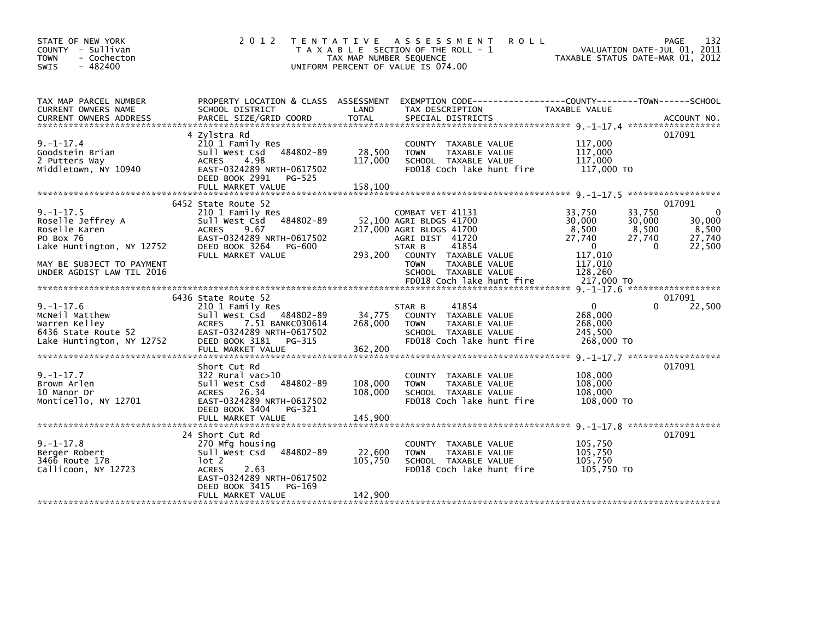| STATE OF NEW YORK<br>COUNTY - Sullivan<br>- Cochecton<br><b>TOWN</b><br>$-482400$<br><b>SWIS</b>                                                                                                                                                                              | 2 0 1 2<br>T E N T A T I V E                                                                                                                                                            | TAX MAP NUMBER SEQUENCE      | <b>ROLL</b><br>A S S E S S M E N T<br>T A X A B L E SECTION OF THE ROLL - 1<br>UNIFORM PERCENT OF VALUE IS 074.00                                                                             | VALUATION DATE-JUL 01, 2011<br>TAXABLE STATUS DATE-MAR 01, 2012                                                             | 132<br>PAGE                                                               |
|-------------------------------------------------------------------------------------------------------------------------------------------------------------------------------------------------------------------------------------------------------------------------------|-----------------------------------------------------------------------------------------------------------------------------------------------------------------------------------------|------------------------------|-----------------------------------------------------------------------------------------------------------------------------------------------------------------------------------------------|-----------------------------------------------------------------------------------------------------------------------------|---------------------------------------------------------------------------|
| TAX MAP PARCEL NUMBER<br>CURRENT OWNERS NAME<br>.CURRENT OWNERS ADDRESS PARCEL SIZE/GRID COORD TOTAL SPECIAL DISTRICTS (ACCOUNT NO ACCOUNT NO ACCOUNT NO AND REALLY SERVER AND REALLY SERVER AND REALLY AND REALLY AND REALLY AND REALLY AND REALLY AND REALLY AND REALLY AND | PROPERTY LOCATION & CLASS ASSESSMENT<br>SCHOOL DISTRICT                                                                                                                                 | LAND                         | EXEMPTION        CODE------------------COUNTY-------TOWN------SCHOOL<br>TAX DESCRIPTION                                                                                                       | <b>TAXABLE VALUE</b>                                                                                                        |                                                                           |
| $9. - 1 - 17.4$<br>Goodstein Brian<br>2 Putters Way<br>Middletown, NY 10940                                                                                                                                                                                                   | 4 Zylstra Rd<br>210 1 Family Res<br>Sull West Csd<br>484802-89<br>4.98<br><b>ACRES</b><br>EAST-0324289 NRTH-0617502<br>DEED BOOK 2991<br>$PG-525$<br>FULL MARKET VALUE                  | 28,500<br>117,000<br>158.100 | COUNTY TAXABLE VALUE<br><b>TAXABLE VALUE</b><br><b>TOWN</b><br>SCHOOL TAXABLE VALUE<br>FD018 Coch lake hunt fire                                                                              | 117,000<br>117,000<br>117,000<br>117,000 TO                                                                                 | 017091                                                                    |
| $9. - 1 - 17.5$<br>Roselle Jeffrey A<br>Roselle Karen<br>PO Box 76<br>Lake Huntington, NY 12752<br>MAY BE SUBJECT TO PAYMENT<br>UNDER AGDIST LAW TIL 2016                                                                                                                     | 6452 State Route 52<br>210 1 Family Res<br>484802-89<br>Sull West Csd<br><b>ACRES</b><br>9.67<br>EAST-0324289 NRTH-0617502<br>DEED BOOK 3264<br>PG-600<br>FULL MARKET VALUE             | 293.200                      | COMBAT VET 41131<br>52,100 AGRI BLDGS 41700<br>217,000 AGRI BLDGS 41700<br>AGRI DIST 41720<br>STAR B<br>41854<br>COUNTY TAXABLE VALUE<br><b>TOWN</b><br>TAXABLE VALUE<br>SCHOOL TAXABLE VALUE | 33,750<br>33,750<br>30,000<br>30,000<br>8,500<br>8,500<br>27,740<br>27,740<br>$\mathbf{0}$<br>117,010<br>117,010<br>128,260 | 017091<br>$\mathbf{0}$<br>30,000<br>8,500<br>27,740<br>$\Omega$<br>22,500 |
|                                                                                                                                                                                                                                                                               |                                                                                                                                                                                         |                              |                                                                                                                                                                                               |                                                                                                                             |                                                                           |
| $9. - 1 - 17.6$<br>McNeil Matthew<br>Warren Kelley<br>6436 State Route 52<br>Lake Huntington, NY 12752                                                                                                                                                                        | 6436 State Route 52<br>210 1 Family Res<br>Sull West Csd<br>484802-89<br><b>ACRES</b><br>7.51 BANKC030614<br>EAST-0324289 NRTH-0617502<br>DEED BOOK 3181<br>PG-315<br>FULL MARKET VALUE | 34,775<br>268,000<br>362,200 | 41854<br>STAR B<br>COUNTY TAXABLE VALUE<br><b>TOWN</b><br>TAXABLE VALUE<br>SCHOOL TAXABLE VALUE<br>FD018 Coch lake hunt fire                                                                  | $\Omega$<br>268,000<br>268,000<br>245,500<br>268,000 TO<br>$9. -1 - 17.7$ *******************                               | 017091<br>$\Omega$<br>22,500                                              |
| $9. - 1 - 17.7$<br>Brown Arlen<br>10 Manor Dr<br>Monticello. NY 12701                                                                                                                                                                                                         | Short Cut Rd<br>$322$ Rural vac $>10$<br>484802-89<br>Sull West Csd<br>26.34<br><b>ACRES</b><br>EAST-0324289 NRTH-0617502<br>DEED BOOK 3404<br>PG-321                                   | 108,000<br>108,000           | COUNTY TAXABLE VALUE<br><b>TOWN</b><br>TAXABLE VALUE<br>SCHOOL TAXABLE VALUE<br>FD018 Coch lake hunt fire                                                                                     | 108,000<br>108,000<br>108,000<br>108,000 TO<br>$9. -1 - 17.8$ *******************                                           | 017091                                                                    |
| $9. - 1 - 17.8$<br>Berger Robert<br>3466 Route 17B<br>Callicoon, NY 12723                                                                                                                                                                                                     | 24 Short Cut Rd<br>270 Mfg housing<br>Sull West Csd<br>484802-89<br>lot 2<br><b>ACRES</b><br>2.63<br>EAST-0324289 NRTH-0617502<br>DEED BOOK 3415<br>PG-169<br>FULL MARKET VALUE         | 22,600<br>105,750<br>142,900 | COUNTY TAXABLE VALUE<br>TAXABLE VALUE<br><b>TOWN</b><br>SCHOOL TAXABLE VALUE<br>FD018 Coch lake hunt fire                                                                                     | 105,750<br>105.750<br>105,750<br>105,750 TO                                                                                 | 017091                                                                    |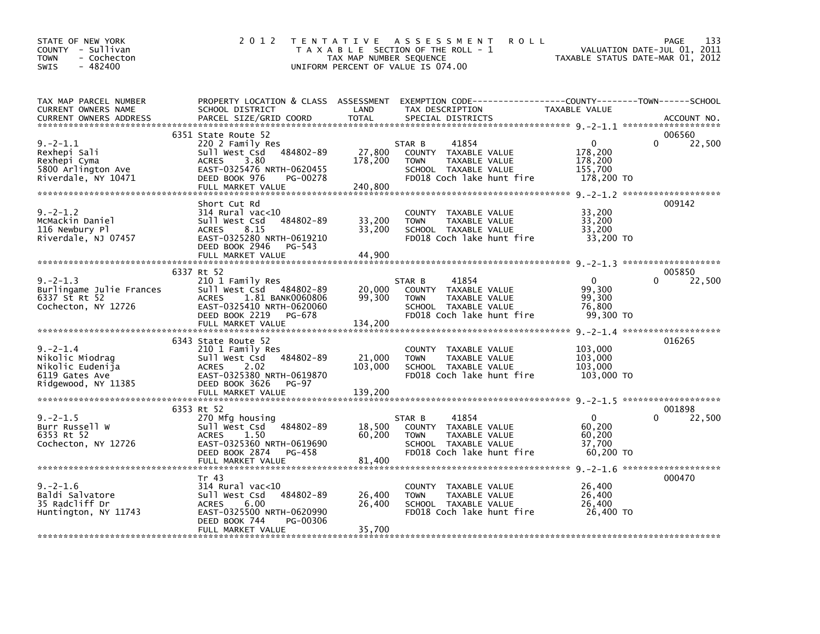| STATE OF NEW YORK<br>COUNTY - Sullivan<br>- Cochecton<br><b>TOWN</b><br>$-482400$<br><b>SWIS</b> | 2 0 1 2                                                                                                                                                                    | TAX MAP NUMBER SEQUENCE      | TENTATIVE ASSESSMENT<br><b>ROLL</b><br>T A X A B L E SECTION OF THE ROLL - 1<br>UNIFORM PERCENT OF VALUE IS 074.00                      | TAXABLE STATUS DATE-MAR 01, 2012                        | 133<br>PAGE<br>VALUATION DATE-JUL 01, 2011 |
|--------------------------------------------------------------------------------------------------|----------------------------------------------------------------------------------------------------------------------------------------------------------------------------|------------------------------|-----------------------------------------------------------------------------------------------------------------------------------------|---------------------------------------------------------|--------------------------------------------|
| TAX MAP PARCEL NUMBER<br>CURRENT OWNERS NAME<br><b>CURRENT OWNERS ADDRESS</b>                    | SCHOOL DISTRICT<br>PARCEL SIZE/GRID COORD                                                                                                                                  | LAND<br><b>TOTAL</b>         | PROPERTY LOCATION & CLASS ASSESSMENT EXEMPTION CODE---------------COUNTY-------TOWN------SCHOOL<br>TAX DESCRIPTION<br>SPECIAL DISTRICTS | TAXABLE VALUE                                           | ACCOUNT NO.                                |
| $9. -2 - 1.1$<br>Rexhepi Sali<br>Rexhepi Cyma<br>5800 Arlington Ave<br>Riverdale, NY 10471       | 6351 State Route 52<br>220 2 Family Res<br>Sull West Csd 484802-89<br><b>ACRES</b><br>3.80<br>EAST-0325476 NRTH-0620455<br>DEED BOOK 976<br>PG-00278<br>FULL MARKET VALUE  | 27,800<br>178,200<br>240,800 | 41854<br>STAR B<br>COUNTY TAXABLE VALUE<br>TAXABLE VALUE<br><b>TOWN</b><br>SCHOOL TAXABLE VALUE<br>FD018 Coch lake hunt fire            | $\Omega$<br>178,200<br>178,200<br>155,700<br>178,200 TO | 006560<br>$\Omega$<br>22,500               |
| $9. -2 - 1.2$<br>McMackin Daniel<br>116 Newbury Pl<br>Riverdale, NJ 07457                        | Short Cut Rd<br>314 Rural vac<10<br>484802-89<br>Sull West Csd<br>8.15<br><b>ACRES</b><br>EAST-0325280 NRTH-0619210<br>DEED BOOK 2946<br>PG-543<br>FULL MARKET VALUE       | 33,200<br>33,200<br>44,900   | COUNTY TAXABLE VALUE<br><b>TOWN</b><br>TAXABLE VALUE<br>SCHOOL TAXABLE VALUE<br>FD018 Coch lake hunt fire                               | 33,200<br>33,200<br>33,200<br>33,200 TO                 | 009142                                     |
|                                                                                                  |                                                                                                                                                                            |                              |                                                                                                                                         |                                                         |                                            |
| $9. -2 - 1.3$<br>Burlingame Julie Frances<br>6337 St Rt 52<br>Cochecton, NY 12726                | 6337 Rt 52<br>210 1 Family Res<br>Sull West Csd 484802-89<br>ACRES<br>1.81 BANK0060806<br>EAST-0325410 NRTH-0620060<br>DEED BOOK 2219<br>PG-678<br>FULL MARKET VALUE       | 20,000<br>99,300<br>134,200  | 41854<br>STAR B<br>COUNTY TAXABLE VALUE<br><b>TOWN</b><br>TAXABLE VALUE<br>SCHOOL TAXABLE VALUE<br>FD018 Coch lake hunt fire            | $\mathbf 0$<br>99,300<br>99,300<br>76,800<br>99,300 TO  | 005850<br>$\Omega$<br>22,500               |
| $9. -2 - 1.4$<br>Nikolic Miodrag<br>Nikolic Eudenija<br>6119 Gates Ave<br>Ridgewood, NY 11385    | 6343 State Route 52<br>210 1 Family Res<br>484802-89<br>Sull West Csd<br>2.02<br><b>ACRES</b><br>EAST-0325380 NRTH-0619870<br>DEED BOOK 3626<br>PG-97<br>FULL MARKET VALUE | 21,000<br>103,000<br>139,200 | COUNTY TAXABLE VALUE<br><b>TAXABLE VALUE</b><br><b>TOWN</b><br>SCHOOL TAXABLE VALUE<br>FD018 Coch lake hunt fire                        | 103,000<br>103,000<br>103,000<br>103,000 TO             | 016265                                     |
|                                                                                                  |                                                                                                                                                                            |                              |                                                                                                                                         |                                                         |                                            |
| $9. -2 - 1.5$<br>Burr Russell W<br>6353 Rt 52<br>Cochecton, NY 12726                             | 6353 Rt 52<br>270 Mfg housing<br>Sull West Csd<br>$-484802 - 89$<br>1.50<br><b>ACRES</b><br>EAST-0325360 NRTH-0619690<br>DEED BOOK 2874<br>PG-458<br>FULL MARKET VALUE     | 18,500<br>60,200<br>81,400   | 41854<br>STAR B<br>COUNTY TAXABLE VALUE<br>TAXABLE VALUE<br><b>TOWN</b><br>SCHOOL TAXABLE VALUE<br>FD018 Coch lake hunt fire            | $\mathbf 0$<br>60,200<br>60,200<br>37,700<br>60,200 TO  | 001898<br>$\Omega$<br>22,500               |
|                                                                                                  | Tr 43                                                                                                                                                                      |                              |                                                                                                                                         |                                                         | 000470                                     |
| $9. - 2 - 1.6$<br>Baldi Salvatore<br>35 Radcliff Dr<br>Huntington, NY 11743                      | $314$ Rural vac<10<br>Sull West Csd<br>484802-89<br><b>ACRES</b><br>6.00<br>EAST-0325500 NRTH-0620990<br>DEED BOOK 744<br>PG-00306                                         | 26,400<br>26,400             | COUNTY TAXABLE VALUE<br>TAXABLE VALUE<br><b>TOWN</b><br>SCHOOL TAXABLE VALUE<br>FD018 Coch lake hunt fire                               | 26,400<br>26,400<br>26,400<br>26,400 TO                 |                                            |
|                                                                                                  | FULL MARKET VALUE                                                                                                                                                          | 35.700                       |                                                                                                                                         |                                                         |                                            |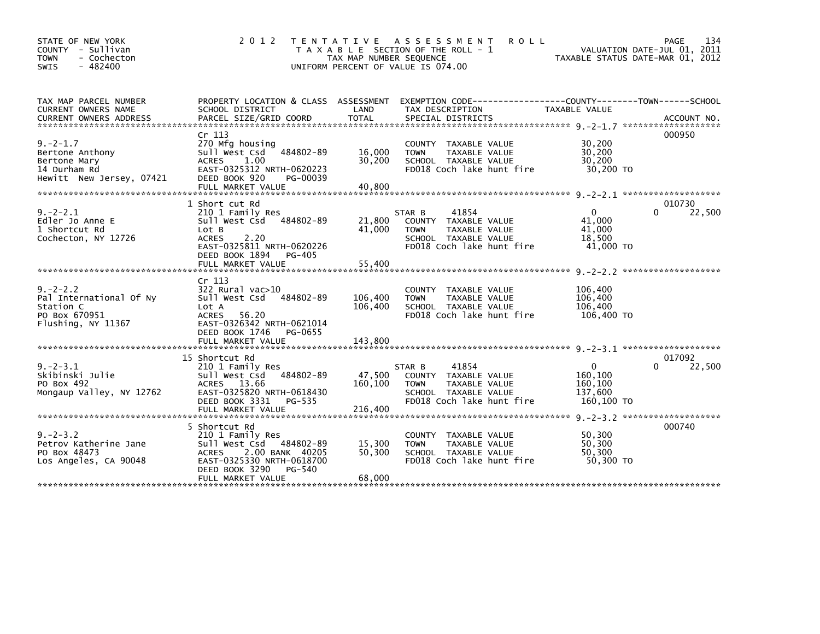| STATE OF NEW YORK<br>COUNTY - Sullivan<br>- Cochecton<br><b>TOWN</b><br>- 482400<br><b>SWIS</b> | 2 0 1 2                                                                                                                                                                       | T E N T A T I V E<br>TAX MAP NUMBER SEQUENCE | <b>ROLL</b><br>A S S E S S M E N T<br>T A X A B L E SECTION OF THE ROLL - 1<br>UNIFORM PERCENT OF VALUE IS 074.00            | TAXABLE STATUS DATE-MAR 01, 2012                            | 134<br>PAGE<br>VALUATION DATE-JUL 01, 2011 |
|-------------------------------------------------------------------------------------------------|-------------------------------------------------------------------------------------------------------------------------------------------------------------------------------|----------------------------------------------|------------------------------------------------------------------------------------------------------------------------------|-------------------------------------------------------------|--------------------------------------------|
| TAX MAP PARCEL NUMBER<br>CURRENT OWNERS NAME                                                    | PROPERTY LOCATION & CLASS ASSESSMENT<br>SCHOOL DISTRICT                                                                                                                       | LAND                                         | EXEMPTION CODE-----------------COUNTY-------TOWN------SCHOOL<br>TAX DESCRIPTION                                              | TAXABLE VALUE                                               |                                            |
| $9. -2 - 1.7$<br>Bertone Anthony<br>Bertone Mary<br>14 Durham Rd<br>Hewitt New Jersey, 07421    | Cr 113<br>270 Mfg housing<br>Sull West Csd 484802-89<br><b>ACRES</b><br>1.00<br>EAST-0325312 NRTH-0620223<br>DEED BOOK 920<br>PG-00039<br>FULL MARKET VALUE                   | 16.000<br>30,200<br>40,800                   | COUNTY TAXABLE VALUE<br>TAXABLE VALUE<br><b>TOWN</b><br>SCHOOL TAXABLE VALUE<br>FD018 Coch lake hunt fire                    | 30,200<br>30,200<br>30,200<br>30,200 TO                     | 000950                                     |
| $9. -2 - 2.1$<br>Edler Jo Anne E<br>1 Shortcut Rd<br>Cochecton, NY 12726                        | 1 Short cut Rd<br>210 1 Family Res<br>Sull West Csd 484802-89<br>Lot B<br>2.20<br><b>ACRES</b><br>EAST-0325811 NRTH-0620226<br>DEED BOOK 1894<br>PG-405                       | 21,800<br>41,000                             | 41854<br>STAR B<br>COUNTY TAXABLE VALUE<br>TAXABLE VALUE<br><b>TOWN</b><br>SCHOOL TAXABLE VALUE<br>FD018 Coch lake hunt fire | $\mathbf{0}$<br>41,000<br>41,000<br>18,500<br>41,000 TO     | 010730<br>22,500<br>$\Omega$               |
| $9. -2 - 2.2$<br>Pal International Of Ny<br>Station C<br>PO Box 670951<br>Flushing, NY 11367    | Cr 113<br>322 Rural vac>10<br>Sull West Csd<br>484802-89<br>Lot A<br><b>ACRES</b><br>56.20<br>EAST-0326342 NRTH-0621014<br>DEED BOOK 1746<br>PG-0655<br>FULL MARKET VALUE     | 106,400<br>106,400<br>143,800                | COUNTY TAXABLE VALUE<br>TAXABLE VALUE<br><b>TOWN</b><br>SCHOOL TAXABLE VALUE<br>FD018 Coch lake hunt fire                    | 106,400<br>106,400<br>106,400<br>106,400 TO                 |                                            |
| $9. -2 - 3.1$<br>Skibinski Julie<br>PO Box 492<br>Mongaup Valley, NY 12762                      | 15 Shortcut Rd<br>210 1 Family Res<br>Sull West Csd 484802-89<br>ACRES 13.66<br>EAST-0325820 NRTH-0618430<br>DEED BOOK 3331<br>PG-535                                         | 47,500<br>160,100                            | 41854<br>STAR B<br>COUNTY TAXABLE VALUE<br><b>TOWN</b><br>TAXABLE VALUE<br>SCHOOL TAXABLE VALUE<br>FD018 Coch lake hunt fire | $\mathbf{0}$<br>160,100<br>160,100<br>137,600<br>160,100 TO | 017092<br>22,500<br>$\Omega$               |
| $9. - 2 - 3.2$<br>Petrov Katherine Jane<br>PO Box 48473<br>Los Angeles, CA 90048                | 5 Shortcut Rd<br>210 1 Family Res<br>Sull West Csd 484802-89<br>2.00 BANK 40205<br><b>ACRES</b><br>EAST-0325330 NRTH-0618700<br>DEED BOOK 3290<br>PG-540<br>FULL MARKET VALUE | 15,300<br>50,300<br>68,000                   | COUNTY TAXABLE VALUE<br><b>TOWN</b><br>TAXABLE VALUE<br>SCHOOL TAXABLE VALUE<br>FD018 Coch lake hunt fire                    | 50,300<br>50,300<br>50,300<br>50.300 TO                     | 000740                                     |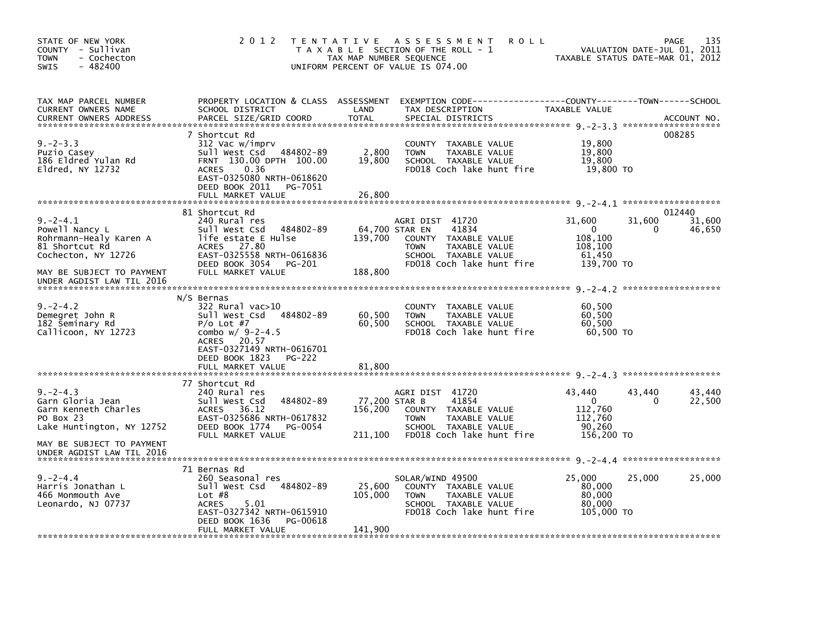| STATE OF NEW YORK<br>COUNTY - Sullivan<br>- Cochecton<br><b>TOWN</b><br>$-482400$<br>SWIS           | 2 0 1 2                                                                                                                                                                                       | TAX MAP NUMBER SEQUENCE<br>UNIFORM PERCENT OF VALUE IS 074.00 | TENTATIVE ASSESSMENT<br><b>ROLL</b><br>T A X A B L E SECTION OF THE ROLL - 1                                                          |                                                                      | 135<br>PAGE<br>VALUATION DATE-JUL 01, 2011<br>TAXABLE STATUS DATE-MAR 01, 2012 |
|-----------------------------------------------------------------------------------------------------|-----------------------------------------------------------------------------------------------------------------------------------------------------------------------------------------------|---------------------------------------------------------------|---------------------------------------------------------------------------------------------------------------------------------------|----------------------------------------------------------------------|--------------------------------------------------------------------------------|
| TAX MAP PARCEL NUMBER<br>CURRENT OWNERS NAME<br><b>CURRENT OWNERS ADDRESS</b>                       | PROPERTY LOCATION & CLASS ASSESSMENT<br>SCHOOL DISTRICT<br>PARCEL SIZE/GRID COORD                                                                                                             | LAND<br><b>TOTAL</b>                                          | EXEMPTION CODE-----------------COUNTY-------TOWN------SCHOOL<br>TAX DESCRIPTION<br>SPECIAL DISTRICTS                                  | TAXABLE VALUE                                                        | ACCOUNT NO.                                                                    |
| $9. -2 - 3.3$<br>Puzio Casey<br>186 Eldred Yulan Rd<br>E1dred, NY 12732                             | 7 Shortcut Rd<br>312 Vac w/imprv<br>Sull West Csd 484802-89<br>FRNT 130.00 DPTH 100.00<br><b>ACRES</b><br>0.36<br>EAST-0325080 NRTH-0618620<br>DEED BOOK 2011<br>PG-7051<br>FULL MARKET VALUE | 2,800<br>19,800<br>26,800                                     | TAXABLE VALUE<br>COUNTY<br>TAXABLE VALUE<br><b>TOWN</b><br>SCHOOL TAXABLE VALUE<br>FD018 Coch lake hunt fire                          | 19,800<br>19,800<br>19,800<br>19,800 TO                              | 008285                                                                         |
|                                                                                                     | 81 Shortcut Rd                                                                                                                                                                                |                                                               |                                                                                                                                       |                                                                      | 012440                                                                         |
| $9. -2 - 4.1$<br>Powell Nancy L<br>Rohrmann-Healy Karen A<br>81 Shortcut Rd<br>Cochecton, NY 12726  | 240 Rural res<br>484802-89<br>Sull West Csd<br>life estate E Hulse<br>27.80<br><b>ACRES</b><br>EAST-0325558 NRTH-0616836<br>DEED BOOK 3054<br>PG-201                                          | 64,700 STAR EN<br>139,700                                     | AGRI DIST 41720<br>41834<br>COUNTY TAXABLE VALUE<br>TAXABLE VALUE<br><b>TOWN</b><br>SCHOOL TAXABLE VALUE<br>FD018 Coch lake hunt fire | 31,600<br>$\Omega$<br>108,100<br>108,100<br>61,450<br>139,700 TO     | 31,600<br>31,600<br>46,650<br>0                                                |
| MAY BE SUBJECT TO PAYMENT<br>UNDER AGDIST LAW TIL 2016                                              | FULL MARKET VALUE                                                                                                                                                                             | 188,800                                                       |                                                                                                                                       |                                                                      |                                                                                |
| $9. -2 - 4.2$<br>Demegret John R<br>182 Seminary Rd<br>Callicoon, NY 12723                          | N/S Bernas<br>322 Rural vac>10<br>Sull West Csd 484802-89<br>$P/O$ Lot #7<br>combo $w/9-2-4.5$<br>20.57<br>ACRES<br>EAST-0327149 NRTH-0616701<br>DEED BOOK 1823<br>PG-222                     | 60,500<br>60,500                                              | COUNTY TAXABLE VALUE<br><b>TOWN</b><br>TAXABLE VALUE<br>SCHOOL TAXABLE VALUE<br>FD018 Coch lake hunt fire                             | 60,500<br>60,500<br>60,500<br>60.500 TO                              |                                                                                |
|                                                                                                     | FULL MARKET VALUE                                                                                                                                                                             | 81,800                                                        |                                                                                                                                       |                                                                      |                                                                                |
|                                                                                                     | 77 Shortcut Rd                                                                                                                                                                                |                                                               |                                                                                                                                       |                                                                      |                                                                                |
| $9. -2 - 4.3$<br>Garn Gloria Jean<br>Garn Kenneth Charles<br>PO Box 23<br>Lake Huntington, NY 12752 | 240 Rural res<br>Sull West Csd<br>484802-89<br>36.12<br><b>ACRES</b><br>EAST-0325686 NRTH-0617832<br>DEED BOOK 1774<br>PG-0054<br>FULL MARKET VALUE                                           | 77,200 STAR B<br>156,200<br>211,100                           | AGRI DIST 41720<br>41854<br>COUNTY TAXABLE VALUE<br><b>TOWN</b><br>TAXABLE VALUE<br>SCHOOL TAXABLE VALUE<br>FD018 Coch lake hunt fire | 43.440<br>$\mathbf{0}$<br>112,760<br>112,760<br>90,260<br>156,200 TO | 43,440<br>43,440<br>22,500<br>0                                                |
| MAY BE SUBJECT TO PAYMENT<br>UNDER AGDIST LAW TIL 2016                                              |                                                                                                                                                                                               |                                                               |                                                                                                                                       |                                                                      |                                                                                |
|                                                                                                     | 71 Bernas Rd                                                                                                                                                                                  |                                                               |                                                                                                                                       |                                                                      |                                                                                |
| $9. -2 - 4.4$<br>Harris Jonathan L<br>466 Monmouth Ave<br>Leonardo, NJ 07737                        | 260 Seasonal res<br>484802-89<br>Sull West Csd<br>Lot $#8$<br>5.01<br><b>ACRES</b><br>EAST-0327342 NRTH-0615910<br>DEED BOOK 1636<br>PG-00618                                                 | 25,600<br>105,000                                             | SOLAR/WIND 49500<br>COUNTY TAXABLE VALUE<br><b>TOWN</b><br>TAXABLE VALUE<br>SCHOOL TAXABLE VALUE<br>FD018 Coch lake hunt fire         | 25,000<br>80,000<br>80,000<br>80,000<br>105,000 TO                   | 25,000<br>25,000                                                               |
|                                                                                                     | FULL MARKET VALUE                                                                                                                                                                             | 141,900                                                       |                                                                                                                                       |                                                                      |                                                                                |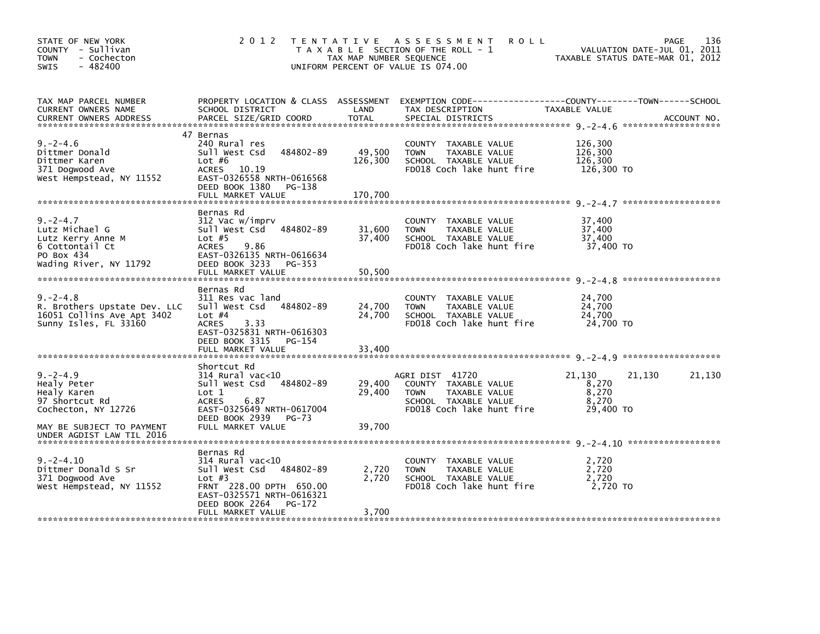| STATE OF NEW YORK<br>COUNTY - Sullivan<br>- Cochecton<br><b>TOWN</b><br>$-482400$<br>SWIS                       | 2 0 1 2                                                                                                                                                                            | T E N T A T I V E<br>TAX MAP NUMBER SEQUENCE | A S S E S S M E N T<br><b>ROLL</b><br>T A X A B L E SECTION OF THE ROLL - 1<br>UNIFORM PERCENT OF VALUE IS 074.00            | VALUATION DATE-JUL 01, 2011<br>TAXABLE STATUS DATE-MAR 01, 2012 | 136<br><b>PAGE</b> |
|-----------------------------------------------------------------------------------------------------------------|------------------------------------------------------------------------------------------------------------------------------------------------------------------------------------|----------------------------------------------|------------------------------------------------------------------------------------------------------------------------------|-----------------------------------------------------------------|--------------------|
| TAX MAP PARCEL NUMBER<br>CURRENT OWNERS NAME<br><b>CURRENT OWNERS ADDRESS</b>                                   | PROPERTY LOCATION & CLASS ASSESSMENT<br>SCHOOL DISTRICT<br>PARCEL SIZE/GRID COORD                                                                                                  | LAND<br>TOTAL                                | EXEMPTION CODE-----------------COUNTY-------TOWN------SCHOOL<br>TAX DESCRIPTION<br>SPECIAL DISTRICTS                         | TAXABLE VALUE                                                   | ACCOUNT NO.        |
| $9. -2 - 4.6$<br>Dittmer Donald<br>Dittmer Karen<br>371 Dogwood Ave<br>West Hempstead, NY 11552                 | 47 Bernas<br>240 Rural res<br>484802-89<br>Sull West Csd<br>Lot $#6$<br>10.19<br>ACRES<br>EAST-0326558 NRTH-0616568<br>DEED BOOK 1380<br>PG-138<br>FULL MARKET VALUE               | 49,500<br>126,300<br>170.700                 | COUNTY TAXABLE VALUE<br><b>TOWN</b><br>TAXABLE VALUE<br>SCHOOL TAXABLE VALUE<br>FD018 Coch lake hunt fire                    | 126,300<br>126,300<br>126,300<br>126,300 TO                     |                    |
| $9. -2 - 4.7$<br>Lutz Michael G<br>Lutz Kerry Anne M<br>6 Cottontail Ct<br>PO Box 434<br>Wading River, NY 11792 | Bernas Rd<br>312 Vac w/imprv<br>Sull West Csd 484802-89<br>Lot $#5$<br>9.86<br><b>ACRES</b><br>EAST-0326135 NRTH-0616634<br>DEED BOOK 3233<br>PG-353<br>FULL MARKET VALUE          | 31,600<br>37,400<br>50,500                   | COUNTY TAXABLE VALUE<br><b>TOWN</b><br>TAXABLE VALUE<br>SCHOOL TAXABLE VALUE<br>FD018 Coch lake hunt fire                    | 37,400<br>37,400<br>37,400<br>37,400 TO                         |                    |
| $9. -2 - 4.8$<br>R. Brothers Upstate Dev. LLC<br>16051 Collins Ave Apt 3402<br>Sunny Isles, FL 33160            | Bernas Rd<br>311 Res vac land<br>Sull West Csd 484802-89<br>Lot $#4$<br>3.33<br><b>ACRES</b><br>EAST-0325831 NRTH-0616303<br>DEED BOOK 3315<br>PG-154<br>FULL MARKET VALUE         | 24,700<br>24,700<br>33,400                   | COUNTY TAXABLE VALUE<br><b>TOWN</b><br>TAXABLE VALUE<br>SCHOOL TAXABLE VALUE<br>FD018 Coch lake hunt fire                    | 24,700<br>24,700<br>24,700<br>24,700 TO                         |                    |
| $9. -2 - 4.9$<br>Healy Peter<br>Healy Karen<br>97 Shortcut Rd<br>Cochecton, NY 12726                            | Shortcut Rd<br>$314$ Rural vac< $10$<br>484802-89<br>Sull West Csd<br>Lot 1<br>6.87<br><b>ACRES</b><br>EAST-0325649 NRTH-0617004<br>DEED BOOK 2939<br>PG-73                        | 29,400<br>29,400                             | AGRI DIST 41720<br>COUNTY TAXABLE VALUE<br><b>TOWN</b><br>TAXABLE VALUE<br>SCHOOL TAXABLE VALUE<br>FD018 Coch lake hunt fire | 21,130<br>21,130<br>8,270<br>8,270<br>8,270<br>29,400 TO        | 21,130             |
| MAY BE SUBJECT TO PAYMENT<br>UNDER AGDIST LAW TIL 2016                                                          | FULL MARKET VALUE                                                                                                                                                                  | 39,700                                       |                                                                                                                              |                                                                 |                    |
| $9. -2 - 4.10$<br>Dittmer Donald S Sr<br>371 Dogwood Ave<br>West Hempstead, NY 11552                            | Bernas Rd<br>$314$ Rural vac< $10$<br>Sull West Csd 484802-89<br>Lot $#3$<br>FRNT 228.00 DPTH 650.00<br>EAST-0325571 NRTH-0616321<br>DEED BOOK 2264<br>PG-172<br>FULL MARKET VALUE | 2,720<br>2,720<br>3,700                      | COUNTY TAXABLE VALUE<br>TAXABLE VALUE<br><b>TOWN</b><br>SCHOOL TAXABLE VALUE<br>FD018 Coch lake hunt fire                    | 2,720<br>2,720<br>2,720<br>2,720 TO                             |                    |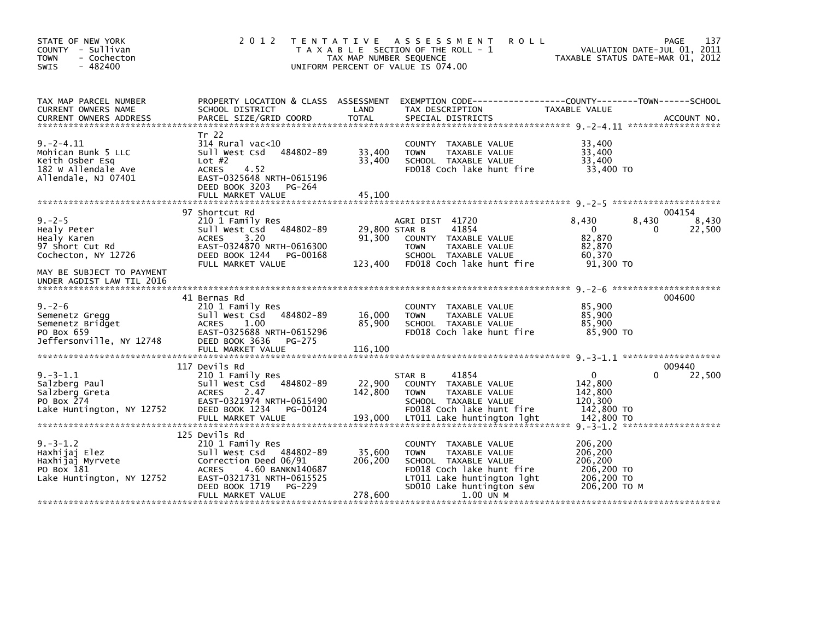| STATE OF NEW YORK<br>COUNTY - Sullivan<br><b>TOWN</b><br>- Cochecton<br><b>SWIS</b><br>$-482400$      | 2 0 1 2                                                                                                                                                                                                 | T E N T A T I V E<br>TAX MAP NUMBER SEQUENCE | A S S E S S M E N T<br><b>ROLL</b><br>T A X A B L E SECTION OF THE ROLL - 1<br>UNIFORM PERCENT OF VALUE IS 074.00                                                                 |                                                                           | 137<br>PAGE<br>VALUATION DATE-JUL 01, 2011<br>TAXABLE STATUS DATE-MAR 01, 2012 |
|-------------------------------------------------------------------------------------------------------|---------------------------------------------------------------------------------------------------------------------------------------------------------------------------------------------------------|----------------------------------------------|-----------------------------------------------------------------------------------------------------------------------------------------------------------------------------------|---------------------------------------------------------------------------|--------------------------------------------------------------------------------|
| TAX MAP PARCEL NUMBER<br>CURRENT OWNERS NAME                                                          | PROPERTY LOCATION & CLASS ASSESSMENT<br>SCHOOL DISTRICT                                                                                                                                                 | LAND                                         | TAX DESCRIPTION                                                                                                                                                                   | TAXABLE VALUE                                                             |                                                                                |
| $9. -2 - 4.11$<br>Mohican Bunk 5 LLC<br>Keith Osber Esq<br>182 W Allendale Ave<br>Allendale, NJ 07401 | Tr 22<br>314 Rural vac<10<br>484802-89<br>Sull West Csd<br>Lot $#2$<br><b>ACRES</b><br>4.52<br>EAST-0325648 NRTH-0615196<br>DEED BOOK 3203<br>PG-264<br>FULL MARKET VALUE                               | 33,400<br>33,400<br>45,100                   | COUNTY TAXABLE VALUE<br>TAXABLE VALUE<br><b>TOWN</b><br>SCHOOL TAXABLE VALUE<br>FD018 Coch lake hunt fire                                                                         | 33,400<br>33,400<br>33.400<br>33,400 TO                                   |                                                                                |
|                                                                                                       | 97 Shortcut Rd                                                                                                                                                                                          |                                              |                                                                                                                                                                                   |                                                                           | 004154                                                                         |
| $9. -2 - 5$<br>Healy Peter<br>Healy Karen<br>97 Short Cut Rd<br>Cochecton, NY 12726                   | 210 1 Family Res<br>Sull West Csd<br>484802-89<br>3.20<br><b>ACRES</b><br>EAST-0324870 NRTH-0616300<br>DEED BOOK 1244<br>PG-00168                                                                       | 29,800 STAR B<br>91,300                      | AGRI DIST 41720<br>41854<br>COUNTY TAXABLE VALUE<br><b>TOWN</b><br>TAXABLE VALUE<br>SCHOOL TAXABLE VALUE                                                                          | 8,430<br>$\mathbf{0}$<br>82,870<br>82,870<br>60,370                       | 8,430<br>8,430<br>22,500<br>0                                                  |
| MAY BE SUBJECT TO PAYMENT<br>UNDER AGDIST LAW TIL 2016                                                | FULL MARKET VALUE                                                                                                                                                                                       | 123,400                                      | FD018 Coch lake hunt fire                                                                                                                                                         | 91,300 TO                                                                 |                                                                                |
| $9. - 2 - 6$<br>Semenetz Gregg<br>Semenetz Bridget<br>PO Box 659<br>Jeffersonville, NY 12748          | 41 Bernas Rd<br>210 1 Family Res<br>484802-89<br>Sull West Csd<br><b>ACRES</b><br>1.00<br>EAST-0325688 NRTH-0615296<br>DEED BOOK 3636<br><b>PG-275</b><br>FULL MARKET VALUE                             | 16,000<br>85,900<br>116,100                  | <b>COUNTY</b><br>TAXABLE VALUE<br><b>TOWN</b><br>TAXABLE VALUE<br>SCHOOL TAXABLE VALUE<br>FD018 Coch lake hunt fire                                                               | 85,900<br>85,900<br>85.900<br>85,900 TO                                   | 004600                                                                         |
|                                                                                                       | 117 Devils Rd                                                                                                                                                                                           |                                              |                                                                                                                                                                                   |                                                                           | 009440                                                                         |
| $9. -3 - 1.1$<br>Salzberg Paul<br>Salzberg Greta<br>PO Box 274<br>Lake Huntington, NY 12752           | 210 1 Family Res<br>Sull West Csd<br>484802-89<br><b>ACRES</b><br>2.47<br>EAST-0321974 NRTH-0615490<br>DEED BOOK 1234 PG-00124                                                                          | 22,900<br>142,800                            | 41854<br>STAR B<br>COUNTY TAXABLE VALUE<br><b>TAXABLE VALUE</b><br><b>TOWN</b><br>SCHOOL TAXABLE VALUE<br>FD018 Coch lake hunt fire                                               | $\Omega$<br>142,800<br>142.800<br>120,300<br>142,800 TO<br>142,800 TO     | 22,500<br>0                                                                    |
| $9. -3 - 1.2$<br>Haxhijaj Elez<br>Haxhijaj Myrvete<br>PO Box 181<br>Lake Huntington, NY 12752         | 125 Devils Rd<br>210 1 Family Res<br>Sull West Csd 484802-89<br>Correction Deed 06/91<br>4.60 BANKN140687<br><b>ACRES</b><br>EAST-0321731 NRTH-0615525<br>DEED BOOK 1719<br>PG-229<br>FULL MARKET VALUE | 35,600<br>206,200<br>278,600                 | COUNTY TAXABLE VALUE<br><b>TOWN</b><br>TAXABLE VALUE<br>SCHOOL TAXABLE VALUE<br>FD018 Coch lake hunt fire<br>LT011 Lake huntington 1ght<br>SD010 Lake huntington sew<br>1.00 UN M | 206,200<br>206,200<br>206,200<br>206,200 TO<br>206,200 TO<br>206.200 ТО М | *******************                                                            |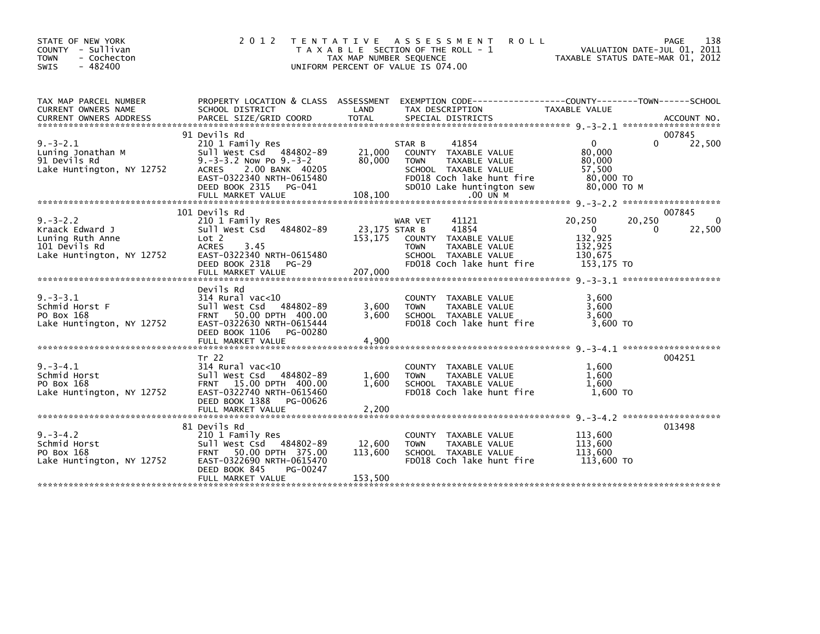| STATE OF NEW YORK<br>COUNTY - Sullivan<br><b>TOWN</b><br>- Cochecton<br>$-482400$<br><b>SWIS</b>    | 2 0 1 2                                                                                                                                                                                                          | ASSESSMENT<br><b>ROLL</b><br>T E N T A T I V E<br>T A X A B L E SECTION OF THE ROLL - 1<br>TAX MAP NUMBER SEQUENCE<br>UNIFORM PERCENT OF VALUE IS 074.00                                             | 138<br>PAGE<br>VALUATION DATE-JUL 01, 2011<br>TAXABLE STATUS DATE-MAR 01, 2012                        |
|-----------------------------------------------------------------------------------------------------|------------------------------------------------------------------------------------------------------------------------------------------------------------------------------------------------------------------|------------------------------------------------------------------------------------------------------------------------------------------------------------------------------------------------------|-------------------------------------------------------------------------------------------------------|
| TAX MAP PARCEL NUMBER<br>CURRENT OWNERS NAME<br><b>CURRENT OWNERS ADDRESS</b>                       | SCHOOL DISTRICT<br>PARCEL SIZE/GRID COORD                                                                                                                                                                        | PROPERTY LOCATION & CLASS ASSESSMENT EXEMPTION CODE---------------COUNTY-------TOWN------SCHOOL<br>LAND<br>TAX DESCRIPTION<br><b>TOTAL</b><br>SPECIAL DISTRICTS                                      | TAXABLE VALUE<br>ACCOUNT NO.                                                                          |
| $9. - 3 - 2.1$<br>Luning Jonathan M<br>91 Devils Rd<br>Lake Huntington, NY 12752                    | 91 Devils Rd<br>210 1 Family Res<br>Sull West Csd 484802-89<br>$9. -3 - 3.2$ Now Po $9. -3 - 2$<br>2.00 BANK 40205<br><b>ACRES</b><br>EAST-0322340 NRTH-0615480<br>DEED BOOK 2315<br>PG-041<br>FULL MARKET VALUE | STAR B<br>41854<br>21,000<br>COUNTY TAXABLE VALUE<br>80,000<br><b>TOWN</b><br>TAXABLE VALUE<br>SCHOOL TAXABLE VALUE<br>FD018 Coch lake hunt fire<br>SD010 Lake huntington sew<br>108,100<br>.00 UN M | 007845<br>22,500<br>$\Omega$<br>0<br>80,000<br>80,000<br>57,500<br>80,000 TO<br>80,000 то м           |
|                                                                                                     | 101 Devils Rd                                                                                                                                                                                                    |                                                                                                                                                                                                      | 007845                                                                                                |
| $9. - 3 - 2.2$<br>Kraack Edward J<br>Luning Ruth Anne<br>101 Devils Rd<br>Lake Huntington, NY 12752 | 210 1 Family Res<br>Sull West Csd 484802-89<br>Lot 2<br><b>ACRES</b><br>3.45<br>EAST-0322340 NRTH-0615480<br>DEED BOOK 2318 PG-29<br>FULL MARKET VALUE                                                           | WAR VET<br>41121<br>41854<br>23,175 STAR B<br>153,175<br>COUNTY TAXABLE VALUE<br><b>TOWN</b><br>TAXABLE VALUE<br>SCHOOL TAXABLE VALUE<br>FD018 Coch lake hunt fire<br>207,000                        | 20,250<br>20,250<br>22,500<br>$\mathbf{0}$<br>$\Omega$<br>132,925<br>132,925<br>130,675<br>153,175 TO |
| $9. -3 - 3.1$<br>Schmid Horst F<br>PO Box 168<br>Lake Huntington, NY 12752                          | Devils Rd<br>$314$ Rural vac<10<br>Sull West Csd 484802-89<br>FRNT 50.00 DPTH 400.00<br>EAST-0322630 NRTH-0615444<br>DEED BOOK 1106<br>PG-00280<br>FULL MARKET VALUE                                             | COUNTY TAXABLE VALUE<br>3,600<br>TAXABLE VALUE<br><b>TOWN</b><br>3,600<br>SCHOOL TAXABLE VALUE<br>FD018 Coch lake hunt fire<br>4,900                                                                 | 3,600<br>3,600<br>3,600<br>$3,600$ TO                                                                 |
|                                                                                                     |                                                                                                                                                                                                                  |                                                                                                                                                                                                      |                                                                                                       |
| $9. -3 - 4.1$<br>Schmid Horst<br>PO Box 168<br>Lake Huntington, NY 12752                            | Tr 22<br>$314$ Rural vac< $10$<br>Sull West Csd 484802-89<br>FRNT 15.00 DPTH 400.00<br>EAST-0322740 NRTH-0615460                                                                                                 | COUNTY TAXABLE VALUE<br>1,600<br>TAXABLE VALUE<br><b>TOWN</b><br>1,600<br>SCHOOL TAXABLE VALUE<br>FD018 Coch lake hunt fire                                                                          | 004251<br>1,600<br>1.600<br>1,600<br>1,600 TO                                                         |
|                                                                                                     | DEED BOOK 1388<br>PG-00626<br>FULL MARKET VALUE                                                                                                                                                                  | 2,200                                                                                                                                                                                                |                                                                                                       |
| $9. -3 - 4.2$<br>Schmid Horst<br>PO Box 168<br>Lake Huntington, NY 12752                            | 81 Devils Rd<br>210 1 Family Res<br>Sull West Csd 484802-89<br>FRNT 50.00 DPTH 375.00<br>EAST-0322690 NRTH-0615470<br>DEED BOOK 845<br>PG-00247<br>FULL MARKET VALUE                                             | <b>COUNTY</b><br>TAXABLE VALUE<br>12,600<br>TAXABLE VALUE<br><b>TOWN</b><br>113,600<br>SCHOOL TAXABLE VALUE<br>FD018 Coch lake hunt fire<br>153,500                                                  | 013498<br>113,600<br>113.600<br>113,600<br>113,600 TO                                                 |
|                                                                                                     |                                                                                                                                                                                                                  |                                                                                                                                                                                                      |                                                                                                       |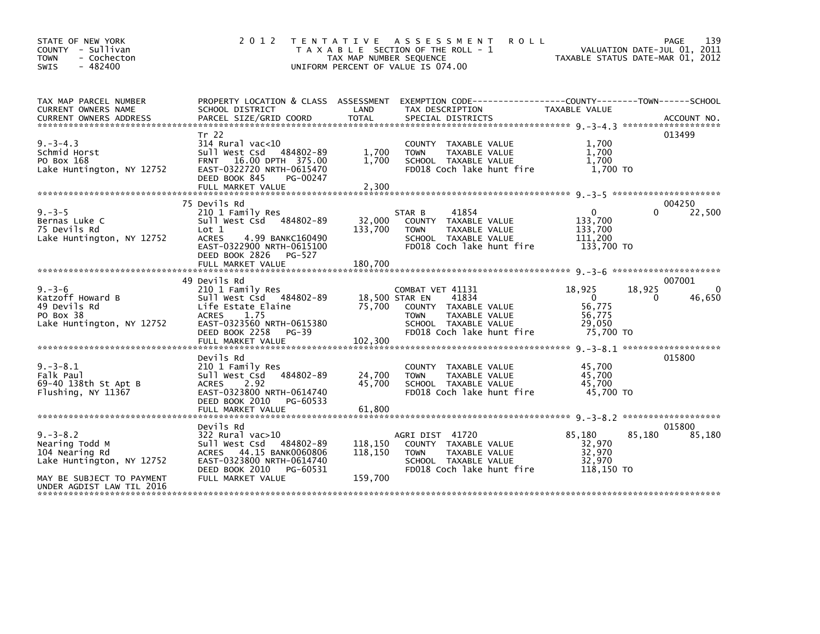| STATE OF NEW YORK<br>COUNTY - Sullivan<br><b>TOWN</b><br>- Cochecton<br>$-482400$<br><b>SWIS</b> | 2 0 1 2                                                                                                                                                                   | TAX MAP NUMBER SEQUENCE  | <b>ROLL</b><br>TENTATIVE ASSESSMENT<br>T A X A B L E SECTION OF THE ROLL - 1<br>UNIFORM PERCENT OF VALUE IS 074.00                     | TAXABLE STATUS DATE-MAR 01, 2012                              | PAGE<br>VALUATION DATE-JUL 01, 2011 | 139                |
|--------------------------------------------------------------------------------------------------|---------------------------------------------------------------------------------------------------------------------------------------------------------------------------|--------------------------|----------------------------------------------------------------------------------------------------------------------------------------|---------------------------------------------------------------|-------------------------------------|--------------------|
| TAX MAP PARCEL NUMBER<br>CURRENT OWNERS NAME                                                     | SCHOOL DISTRICT                                                                                                                                                           | LAND                     | PROPERTY LOCATION & CLASS ASSESSMENT EXEMPTION CODE----------------COUNTY-------TOWN------SCHOOL<br>TAX DESCRIPTION                    | TAXABLE VALUE                                                 |                                     |                    |
|                                                                                                  |                                                                                                                                                                           |                          |                                                                                                                                        |                                                               |                                     |                    |
| $9. -3 - 4.3$<br>Schmid Horst<br>PO Box 168<br>Lake Huntington, NY 12752                         | Tr 22<br>$314$ Rural vac<10<br>Sull West Csd 484802-89<br><b>FRNT</b><br>16.00 DPTH 375.00<br>EAST-0322720 NRTH-0615470<br>DEED BOOK 845<br>PG-00247<br>FULL MARKET VALUE | 1,700<br>1.700<br>2,300  | COUNTY TAXABLE VALUE<br>TAXABLE VALUE<br><b>TOWN</b><br>SCHOOL TAXABLE VALUE<br>FD018 Coch lake hunt fire                              | 1,700<br>1,700<br>1,700<br>1,700 TO                           | 013499                              |                    |
|                                                                                                  | 75 Devils Rd                                                                                                                                                              |                          |                                                                                                                                        |                                                               | 004250                              |                    |
| $9. - 3 - 5$<br>Bernas Luke C<br>75 Devils Rd<br>Lake Huntington, NY 12752                       | 210 1 Family Res<br>Sull West Csd 484802-89<br>Lot 1<br><b>ACRES</b><br>4.99 BANKC160490<br>EAST-0322900 NRTH-0615100<br>DEED BOOK 2826 PG-527                            | 32,000<br>133,700        | 41854<br>STAR B<br>COUNTY TAXABLE VALUE<br><b>TOWN</b><br>TAXABLE VALUE<br>SCHOOL TAXABLE VALUE<br>FD018 Coch lake hunt fire           | $\mathbf{0}$<br>133,700<br>133,700<br>111,200<br>133,700 TO   |                                     | 22,500             |
|                                                                                                  |                                                                                                                                                                           |                          |                                                                                                                                        |                                                               |                                     |                    |
|                                                                                                  |                                                                                                                                                                           |                          |                                                                                                                                        |                                                               |                                     |                    |
|                                                                                                  | 49 Devils Rd                                                                                                                                                              |                          |                                                                                                                                        |                                                               | 007001                              |                    |
| $9. -3 - 6$<br>Katzoff Howard B<br>49 Devils Rd<br>PO Box 38<br>Lake Huntington, NY 12752        | 210 1 Family Res<br>Sull West Csd 484802-89<br>Life Estate Elaine<br><b>ACRES</b><br>1.75<br>EAST-0323560 NRTH-0615380<br>PG-39<br>DEED BOOK 2258                         | 18,500 STAR EN<br>75,700 | COMBAT VET 41131<br>41834<br>COUNTY TAXABLE VALUE<br><b>TOWN</b><br>TAXABLE VALUE<br>SCHOOL TAXABLE VALUE<br>FD018 Coch lake hunt fire | 18,925<br>$\Omega$<br>56,775<br>56.775<br>29,050<br>75,700 TO | 18,925<br>0                         | $\Omega$<br>46,650 |
|                                                                                                  |                                                                                                                                                                           |                          |                                                                                                                                        |                                                               |                                     |                    |
| $9. -3 - 8.1$<br>Falk Paul<br>69-40 138th St Apt B<br>Flushing, NY 11367                         | Devils Rd<br>210 1 Family Res<br>Sull West Csd 484802-89<br><b>ACRES</b><br>2.92<br>EAST-0323800 NRTH-0614740<br>DEED BOOK 2010<br>PG-60533                               | 24,700<br>45.700         | COUNTY TAXABLE VALUE<br><b>TOWN</b><br>TAXABLE VALUE<br>SCHOOL TAXABLE VALUE<br>FD018 Coch lake hunt fire                              | 45,700<br>45,700<br>45.700<br>45,700 TO                       | 015800                              |                    |
|                                                                                                  | FULL MARKET VALUE                                                                                                                                                         | 61,800                   |                                                                                                                                        |                                                               |                                     |                    |
|                                                                                                  | Devils Rd                                                                                                                                                                 |                          |                                                                                                                                        |                                                               | 015800                              |                    |
| $9. -3 - 8.2$<br>Nearing Todd M<br>104 Nearing Rd<br>Lake Huntington, NY 12752                   | 322 Rural vac>10<br>Sull West Csd 484802-89<br>44.15 BANK0060806<br><b>ACRES</b><br>EAST-0323800 NRTH-0614740<br>DEED BOOK 2010<br>PG-60531                               | 118,150<br>118,150       | AGRI DIST 41720<br>COUNTY TAXABLE VALUE<br><b>TAXABLE VALUE</b><br><b>TOWN</b><br>SCHOOL TAXABLE VALUE<br>FD018 Coch lake hunt fire    | 85,180<br>32,970<br>32,970<br>32,970<br>118,150 TO            | 85,180                              | 85,180             |
| MAY BE SUBJECT TO PAYMENT<br>UNDER AGDIST LAW TIL 2016                                           | FULL MARKET VALUE                                                                                                                                                         | 159,700                  |                                                                                                                                        |                                                               |                                     |                    |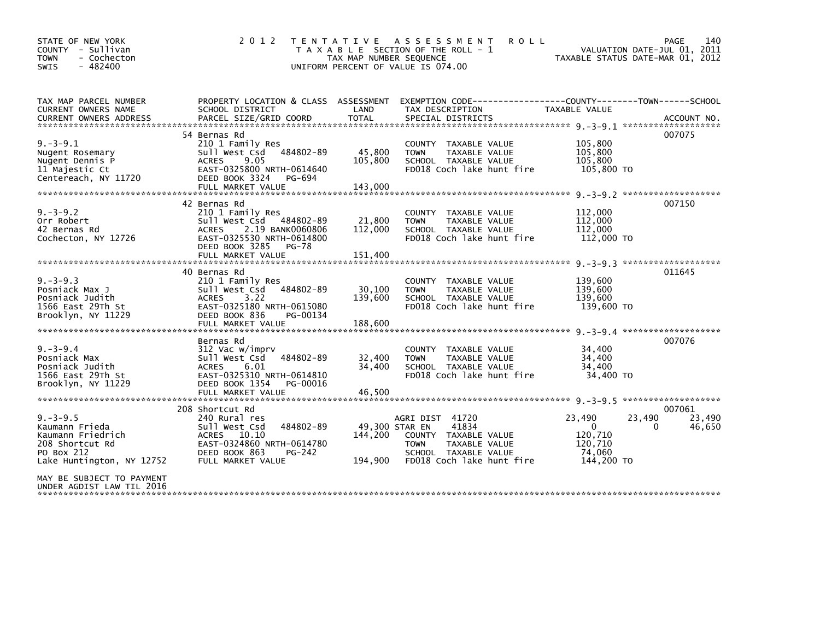| STATE OF NEW YORK<br>COUNTY - Sullivan<br><b>TOWN</b><br>- Cochecton<br>$-482400$<br><b>SWIS</b>                   | 2 0 1 2                                                                                                                                                                      | TAX MAP NUMBER SEQUENCE              | TENTATIVE ASSESSMENT<br><b>ROLL</b><br>T A X A B L E SECTION OF THE ROLL - 1<br>UNIFORM PERCENT OF VALUE IS 074.00                    | TAXABLE STATUS DATE-MAR 01, 2012                                               | 140<br>PAGE<br>VALUATION DATE-JUL 01, 2011 |
|--------------------------------------------------------------------------------------------------------------------|------------------------------------------------------------------------------------------------------------------------------------------------------------------------------|--------------------------------------|---------------------------------------------------------------------------------------------------------------------------------------|--------------------------------------------------------------------------------|--------------------------------------------|
| TAX MAP PARCEL NUMBER<br>CURRENT OWNERS NAME                                                                       | SCHOOL DISTRICT                                                                                                                                                              | LAND                                 | PROPERTY LOCATION & CLASS ASSESSMENT EXEMPTION CODE----------------COUNTY-------TOWN------SCHOOL<br>TAX DESCRIPTION                   | TAXABLE VALUE                                                                  |                                            |
|                                                                                                                    |                                                                                                                                                                              |                                      |                                                                                                                                       |                                                                                |                                            |
| $9. -3 - 9.1$<br>Nugent Rosemary<br>Nugent Dennis P<br>11 Majestic Ct<br>Centereach, NY 11720                      | 54 Bernas Rd<br>210 1 Family Res<br>Sull West Csd 484802-89<br>9.05<br><b>ACRES</b><br>EAST-0325800 NRTH-0614640<br>DEED BOOK 3324<br>PG-694                                 | 45,800<br>105,800                    | COUNTY TAXABLE VALUE<br>TAXABLE VALUE<br><b>TOWN</b><br>SCHOOL TAXABLE VALUE<br>FD018 Coch lake hunt fire                             | 105,800<br>105,800<br>105.800<br>105,800 TO                                    | 007075                                     |
|                                                                                                                    | FULL MARKET VALUE                                                                                                                                                            | 143,000                              |                                                                                                                                       |                                                                                |                                            |
| $9. -3 - 9.2$<br>Orr Robert<br>42 Bernas Rd<br>Cochecton, NY 12726                                                 | 42 Bernas Rd<br>210 1 Family Res<br>Sull West Csd 484802-89<br>2.19 BANK0060806<br><b>ACRES</b><br>EAST-0325530 NRTH-0614800<br>DEED BOOK 3285<br>PG-78<br>FULL MARKET VALUE | 21,800<br>112,000<br>151,400         | COUNTY TAXABLE VALUE<br><b>TOWN</b><br>TAXABLE VALUE<br>SCHOOL TAXABLE VALUE<br>FD018 Coch lake hunt fire                             | 112,000<br>112,000<br>112,000<br>112,000 TO                                    | 007150                                     |
|                                                                                                                    | 40 Bernas Rd                                                                                                                                                                 |                                      |                                                                                                                                       |                                                                                | 011645                                     |
| $9. -3 - 9.3$<br>Posniack Max J<br>Posniack Judith<br>1566 East 29Th St<br>Brooklyn, NY 11229                      | 210 1 Family Res<br>Sull West Csd<br>484802-89<br>3.22<br>ACRES<br>EAST-0325180 NRTH-0615080<br>DEED BOOK 836<br>PG-00134                                                    | 30,100<br>139,600                    | COUNTY TAXABLE VALUE<br>TAXABLE VALUE<br><b>TOWN</b><br>SCHOOL TAXABLE VALUE<br>FD018 Coch lake hunt fire                             | 139,600<br>139,600<br>139,600<br>139,600 TO                                    |                                            |
|                                                                                                                    | FULL MARKET VALUE                                                                                                                                                            | 188,600                              |                                                                                                                                       |                                                                                |                                            |
| $9. - 3 - 9.4$<br>Posniack Max<br>Posniack Judith<br>1566 East 29Th St<br>Brooklyn, NY 11229                       | Bernas Rd<br>312 Vac w/imprv<br>Sull West Csd<br>484802-89<br>ACRES 6.01<br>EAST-0325310 NRTH-0614810<br>DEED BOOK 1354<br>PG-00016<br>FULL MARKET VALUE                     | 32,400<br>34,400                     | COUNTY TAXABLE VALUE<br>TAXABLE VALUE<br><b>TOWN</b><br>SCHOOL TAXABLE VALUE<br>FD018 Coch lake hunt fire                             | 34,400<br>34,400<br>34,400<br>34,400 TO                                        | 007076                                     |
|                                                                                                                    |                                                                                                                                                                              | 46,500                               |                                                                                                                                       |                                                                                |                                            |
| $9. -3 - 9.5$<br>Kaumann Frieda<br>Kaumann Friedrich<br>208 Shortcut Rd<br>PO Box 212<br>Lake Huntington, NY 12752 | 208 Shortcut Rd<br>240 Rural res<br>484802-89<br>Sull West Csd<br>ACRES 10.10<br>EAST-0324860 NRTH-0614780<br>DEED BOOK 863<br>PG-242<br>FULL MARKET VALUE                   | 49,300 STAR EN<br>144,200<br>194,900 | AGRI DIST 41720<br>41834<br>COUNTY TAXABLE VALUE<br>TAXABLE VALUE<br><b>TOWN</b><br>SCHOOL TAXABLE VALUE<br>FD018 Coch lake hunt fire | 23,490<br>23,490<br>$\mathbf{0}$<br>120.710<br>120,710<br>74.060<br>144,200 TO | 007061<br>23,490<br>0<br>46,650            |
| MAY BE SUBJECT TO PAYMENT<br>UNDER AGDIST LAW TIL 2016                                                             |                                                                                                                                                                              |                                      |                                                                                                                                       |                                                                                |                                            |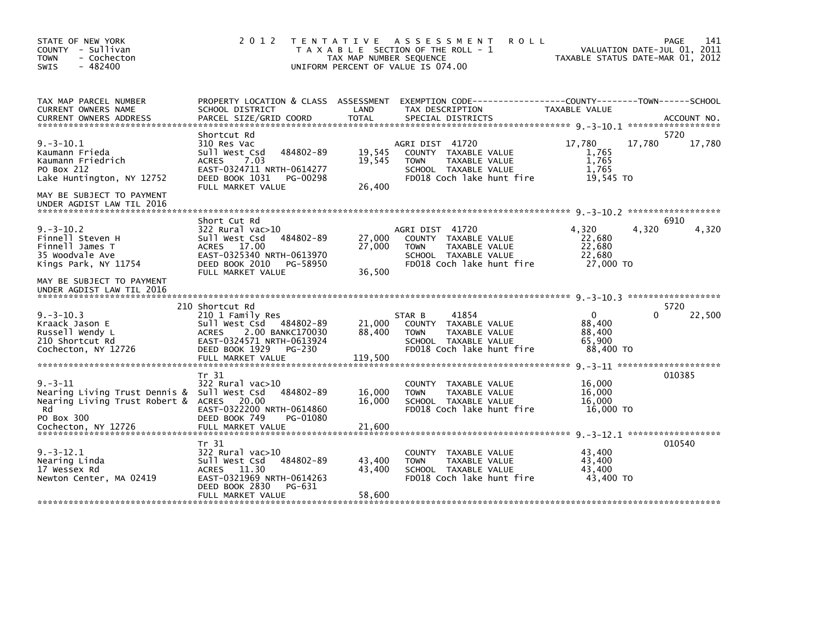| STATE OF NEW YORK<br>COUNTY - Sullivan<br><b>TOWN</b><br>- Cochecton<br>$-482400$<br><b>SWIS</b>                                                           | 2 0 1 2                                                                                                                                                                          | TAX MAP NUMBER SEQUENCE     | TENTATIVE ASSESSMENT<br><b>ROLL</b><br>T A X A B L E SECTION OF THE ROLL - 1<br>UNIFORM PERCENT OF VALUE IS 074.00           | TAXABLE STATUS DATE-MAR 01, 2012                        | 141<br>PAGE<br>VALUATION DATE-JUL 01, 2011 |
|------------------------------------------------------------------------------------------------------------------------------------------------------------|----------------------------------------------------------------------------------------------------------------------------------------------------------------------------------|-----------------------------|------------------------------------------------------------------------------------------------------------------------------|---------------------------------------------------------|--------------------------------------------|
| TAX MAP PARCEL NUMBER<br>CURRENT OWNERS NAME                                                                                                               | SCHOOL DISTRICT                                                                                                                                                                  | LAND                        | PROPERTY LOCATION & CLASS ASSESSMENT EXEMPTION CODE---------------COUNTY-------TOWN-----SCHOOL<br>TAX DESCRIPTION            | TAXABLE VALUE                                           |                                            |
| $9. -3 - 10.1$<br>Kaumann Frieda<br>Kaumann Friedrich<br>PO Box 212<br>Lake Huntington, NY 12752<br>MAY BE SUBJECT TO PAYMENT<br>UNDER AGDIST LAW TIL 2016 | Shortcut Rd<br>310 Res Vac<br>484802-89<br>Sull West Csd<br>7.03<br><b>ACRES</b><br>EAST-0324711 NRTH-0614277<br>DEED BOOK 1031<br>PG-00298<br>FULL MARKET VALUE                 | 19,545<br>19,545<br>26,400  | AGRI DIST 41720<br>COUNTY TAXABLE VALUE<br><b>TOWN</b><br>TAXABLE VALUE<br>SCHOOL TAXABLE VALUE<br>FD018 Coch lake hunt fire | 17,780<br>1,765<br>1,765<br>1.765<br>19,545 TO          | 5720<br>17,780<br>17,780                   |
|                                                                                                                                                            |                                                                                                                                                                                  |                             |                                                                                                                              |                                                         |                                            |
| $9. -3 - 10.2$<br>Finnell Steven H<br>Finnell James T<br>35 Woodvale Ave<br>Kings Park, NY 11754                                                           | Short Cut Rd<br>322 Rural vac>10<br>484802-89<br>Sull West Csd<br>ACRES 17.00<br>EAST-0325340 NRTH-0613970<br>DEED BOOK 2010<br>PG-58950<br>FULL MARKET VALUE                    | 27,000<br>27,000<br>36,500  | AGRI DIST 41720<br>COUNTY TAXABLE VALUE<br><b>TOWN</b><br>TAXABLE VALUE<br>SCHOOL TAXABLE VALUE<br>FD018 Coch lake hunt fire | 4,320<br>22,680<br>22,680<br>22,680<br>27,000 TO        | 6910<br>4,320<br>4,320                     |
| MAY BE SUBJECT TO PAYMENT<br>UNDER AGDIST LAW TIL 2016                                                                                                     |                                                                                                                                                                                  |                             |                                                                                                                              |                                                         |                                            |
|                                                                                                                                                            |                                                                                                                                                                                  |                             |                                                                                                                              |                                                         | 5720                                       |
| $9. -3 - 10.3$<br>Kraack Jason E<br>Russell Wendy L<br>210 Shortcut Rd<br>Cochecton, NY 12726                                                              | 210 Shortcut Rd<br>210 1 Family Res<br>Sull West Csd 484802-89<br><b>ACRES</b><br>2.00 BANKC170030<br>EAST-0324571 NRTH-0613924<br>DEED BOOK 1929<br>PG-230<br>FULL MARKET VALUE | 21,000<br>88,400<br>119,500 | 41854<br>STAR B<br>COUNTY TAXABLE VALUE<br><b>TOWN</b><br>TAXABLE VALUE<br>SCHOOL TAXABLE VALUE<br>FD018 Coch lake hunt fire | $\mathbf{0}$<br>88,400<br>88,400<br>65,900<br>88,400 TO | 22,500<br>0                                |
|                                                                                                                                                            | Tr 31                                                                                                                                                                            |                             |                                                                                                                              |                                                         | 010385                                     |
| $9. - 3 - 11$<br>Nearing Living Trust Dennis &<br>Nearing Living Trust Robert &<br>Rd<br>PO Box 300                                                        | 322 Rural vac>10<br>Sull West Csd<br>484802-89<br>ACRES 20.00<br>EAST-0322200 NRTH-0614860<br>DEED BOOK 749<br>PG-01080                                                          | 16,000<br>16.000            | <b>COUNTY</b><br>TAXABLE VALUE<br>TAXABLE VALUE<br><b>TOWN</b><br>SCHOOL TAXABLE VALUE<br>FD018 Coch lake hunt fire          | 16,000<br>16,000<br>16.000<br>16,000 TO                 |                                            |
| Cochecton, NY 12726                                                                                                                                        | FULL MARKET VALUE                                                                                                                                                                | 21,600                      |                                                                                                                              |                                                         |                                            |
| $9. -3 - 12.1$<br>Nearing Linda<br>17 Wessex Rd<br>Newton Center, MA 02419                                                                                 | Tr 31<br>322 Rural vac>10<br>Sull West Csd<br>484802-89<br><b>ACRES</b><br>11.30<br>EAST-0321969 NRTH-0614263<br>DEED BOOK 2830<br>PG-631                                        | 43,400<br>43,400            | COUNTY TAXABLE VALUE<br><b>TOWN</b><br>TAXABLE VALUE<br>SCHOOL TAXABLE VALUE<br>FD018 Coch lake hunt fire                    | 43,400<br>43,400<br>43,400<br>43,400 TO                 | 010540                                     |
|                                                                                                                                                            | FULL MARKET VALUE                                                                                                                                                                | 58,600                      |                                                                                                                              |                                                         |                                            |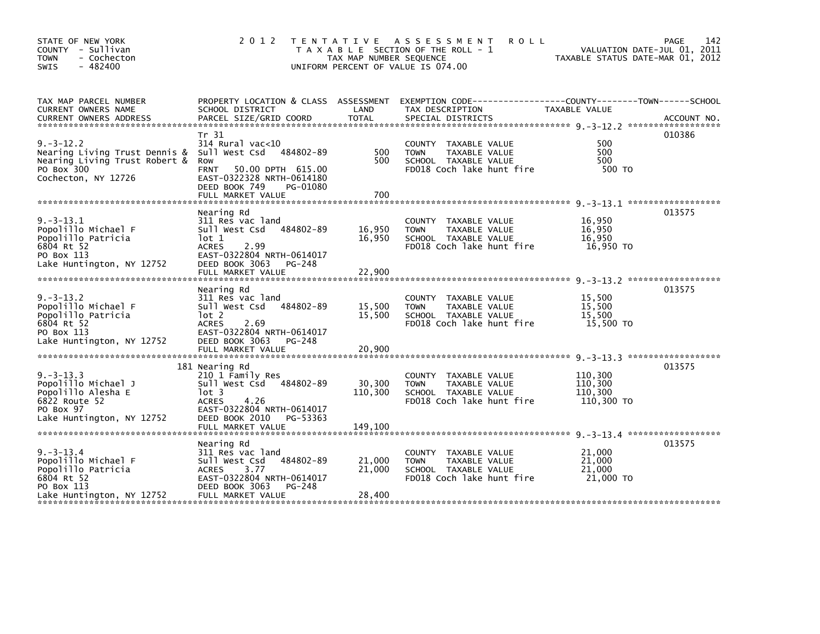| STATE OF NEW YORK<br>COUNTY - Sullivan<br>- Cochecton<br><b>TOWN</b><br>$-482400$<br>SWIS                              | 2 0 1 2                                                                                                                                                   | T E N T A T I V E<br>TAX MAP NUMBER SEQUENCE<br>UNIFORM PERCENT OF VALUE IS 074.00 | A S S E S S M E N T<br><b>ROLL</b><br>T A X A B L E SECTION OF THE ROLL - 1                                      | VALUATION DATE-JUL 01, 2011<br>TAXABLE STATUS DATE-MAR 01, 2012 | 142<br><b>PAGE</b> |
|------------------------------------------------------------------------------------------------------------------------|-----------------------------------------------------------------------------------------------------------------------------------------------------------|------------------------------------------------------------------------------------|------------------------------------------------------------------------------------------------------------------|-----------------------------------------------------------------|--------------------|
| TAX MAP PARCEL NUMBER<br>CURRENT OWNERS NAME                                                                           | PROPERTY LOCATION & CLASS ASSESSMENT<br>SCHOOL DISTRICT                                                                                                   | LAND                                                                               | EXEMPTION CODE-----------------COUNTY-------TOWN------SCHOOL<br>TAX DESCRIPTION                                  | TAXABLE VALUE                                                   |                    |
| $9. -3 - 12.2$<br>Nearing Living Trust Dennis &<br>Nearing Living Trust Robert &<br>PO Box 300<br>Cochecton, NY 12726  | Tr 31<br>314 Rural vac<10<br>Sull West Csd 484802-89<br>Row<br><b>FRNT</b><br>50.00 DPTH 615.00<br>EAST-0322328 NRTH-0614180<br>DEED BOOK 749<br>PG-01080 | 500<br>500                                                                         | COUNTY TAXABLE VALUE<br>TAXABLE VALUE<br><b>TOWN</b><br>SCHOOL TAXABLE VALUE<br>FD018 Coch lake hunt fire        | 500<br>500<br>500<br>500 TO                                     | 010386             |
|                                                                                                                        |                                                                                                                                                           |                                                                                    |                                                                                                                  |                                                                 | 013575             |
| $9. -3 - 13.1$<br>Popolillo Michael F<br>Popolillo Patricia<br>6804 Rt 52<br>PO Box 113                                | Nearing Rd<br>311 Res vac land<br>Sull West Csd 484802-89<br>lot 1<br>2.99<br><b>ACRES</b><br>EAST-0322804 NRTH-0614017                                   | 16,950<br>16,950                                                                   | COUNTY TAXABLE VALUE<br><b>TOWN</b><br>TAXABLE VALUE<br>SCHOOL TAXABLE VALUE<br>FD018 Coch lake hunt fire        | 16,950<br>16,950<br>16,950<br>16,950 TO                         |                    |
| Lake Huntington, NY 12752                                                                                              | DEED BOOK 3063<br>PG-248<br>FULL MARKET VALUE                                                                                                             | 22,900                                                                             |                                                                                                                  |                                                                 |                    |
|                                                                                                                        | Nearing Rd                                                                                                                                                |                                                                                    |                                                                                                                  |                                                                 | 013575             |
| $9. -3 - 13.2$<br>Popolillo Michael F<br>Popolillo Patricia<br>6804 Rt 52<br>PO Box 113<br>Lake Huntington, NY 12752   | 311 Res vac land<br>Sull West Csd<br>484802-89<br>$1$ ot 2<br><b>ACRES</b><br>2.69<br>EAST-0322804 NRTH-0614017<br>DEED BOOK 3063<br>PG-248               | 15,500<br>15,500                                                                   | COUNTY TAXABLE VALUE<br><b>TAXABLE VALUE</b><br><b>TOWN</b><br>SCHOOL TAXABLE VALUE<br>FD018 Coch lake hunt fire | 15,500<br>15.500<br>15,500<br>15,500 TO                         |                    |
|                                                                                                                        | FULL MARKET VALUE                                                                                                                                         | 20,900                                                                             |                                                                                                                  |                                                                 |                    |
| $9. -3 - 13.3$<br>Popolillo Michael J<br>Popolillo Alesha E<br>6822 Route 52<br>PO Box 97<br>Lake Huntington, NY 12752 | 181 Nearing Rd<br>210 1 Family Res<br>Sull West Csd 484802-89<br>lot 3<br><b>ACRES</b><br>4.26<br>EAST-0322804 NRTH-0614017<br>DEED BOOK 2010<br>PG-53363 | 30,300<br>110,300                                                                  | COUNTY TAXABLE VALUE<br><b>TOWN</b><br>TAXABLE VALUE<br>SCHOOL TAXABLE VALUE<br>FD018 Coch lake hunt fire        | 110,300<br>110,300<br>110.300<br>110,300 TO                     | 013575             |
|                                                                                                                        | FULL MARKET VALUE                                                                                                                                         | 149.100                                                                            |                                                                                                                  |                                                                 |                    |
| $9. -3 - 13.4$<br>Popolillo Michael F<br>Popolillo Patricia<br>6804 Rt 52<br>PO Box 113                                | Nearing Rd<br>311 Res vac land<br>484802-89<br>Sull West Csd<br><b>ACRES</b><br>3.77<br>EAST-0322804 NRTH-0614017<br>DEED BOOK 3063<br>PG-248             | 21,000<br>21,000                                                                   | COUNTY TAXABLE VALUE<br>TAXABLE VALUE<br><b>TOWN</b><br>SCHOOL TAXABLE VALUE<br>FD018 Coch lake hunt fire        | 21,000<br>21,000<br>21,000<br>21,000 TO                         | 013575             |
| Lake Huntington, NY 12752                                                                                              | FULL MARKET VALUE                                                                                                                                         | 28,400                                                                             |                                                                                                                  |                                                                 |                    |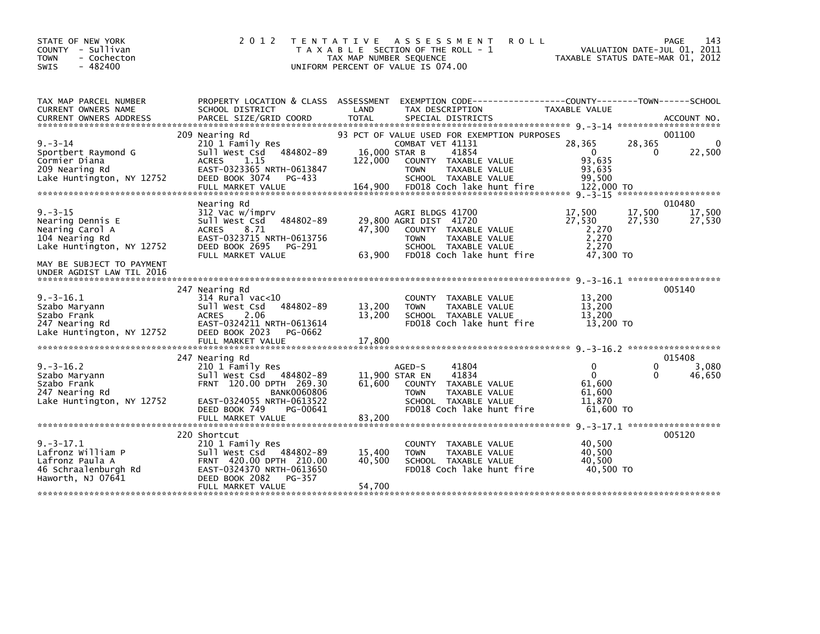| STATE OF NEW YORK<br>COUNTY - Sullivan<br>- Cochecton<br><b>TOWN</b><br>$-482400$<br><b>SWIS</b>                                                              | 2 0 1 2                                                                                                                                                                                       | <b>ROLL</b><br>T E N T A T I V E<br>A S S E S S M E N T<br>T A X A B L E SECTION OF THE ROLL - 1<br>TAX MAP NUMBER SEQUENCE<br>UNIFORM PERCENT OF VALUE IS 074.00                                                            | PAGE<br>VALUATION DATE-JUL 01, 2011<br>TAXABLE STATUS DATE-MAR 01, 2012                  | 143                        |
|---------------------------------------------------------------------------------------------------------------------------------------------------------------|-----------------------------------------------------------------------------------------------------------------------------------------------------------------------------------------------|------------------------------------------------------------------------------------------------------------------------------------------------------------------------------------------------------------------------------|------------------------------------------------------------------------------------------|----------------------------|
| TAX MAP PARCEL NUMBER<br>CURRENT OWNERS NAME                                                                                                                  | SCHOOL DISTRICT                                                                                                                                                                               | PROPERTY LOCATION & CLASS ASSESSMENT EXEMPTION CODE---------------COUNTY-------TOWN------SCHOOL<br>LAND<br>TAX DESCRIPTION                                                                                                   | TAXABLE VALUE                                                                            |                            |
| $9. - 3 - 14$<br>Sportbert Raymond G<br>Cormier Diana<br>209 Nearing Rd<br>Lake Huntington, NY 12752                                                          | 209 Nearing Rd<br>210 1 Family Res<br>Sull West Csd 484802-89<br><b>ACRES</b><br>1.15<br>EAST-0323365 NRTH-0613847<br>DEED BOOK 3074<br>PG-433<br>FULL MARKET VALUE                           | 93 PCT OF VALUE USED FOR EXEMPTION PURPOSES<br>COMBAT VET 41131<br>16,000 STAR B<br>41854<br>122,000<br>COUNTY TAXABLE VALUE<br><b>TOWN</b><br>TAXABLE VALUE<br>SCHOOL TAXABLE VALUE<br>164,900<br>FD018 Coch lake hunt fire | 28,365<br>28,365<br>$\mathbf{0}$<br>$\Omega$<br>93,635<br>93,635<br>99.500<br>122,000 TO | 001100<br>0<br>22,500      |
| $9. - 3 - 15$<br>Nearing Dennis E<br>Nearing Carol A<br>104 Nearing Rd<br>Lake Huntington, NY 12752<br>MAY BE SUBJECT TO PAYMENT<br>UNDER AGDIST LAW TIL 2016 | Nearing Rd<br>312 Vac w/imprv<br>Sull West Csd 484802-89<br><b>ACRES</b><br>8.71<br>EAST-0323715 NRTH-0613756<br>DEED BOOK 2695<br>PG-291<br>FULL MARKET VALUE                                | AGRI BLDGS 41700<br>29,800 AGRI DIST 41720<br>47,300<br>COUNTY TAXABLE VALUE<br><b>TOWN</b><br>TAXABLE VALUE<br>SCHOOL TAXABLE VALUE<br>FD018 Coch lake hunt fire<br>63,900                                                  | 17,500<br>17,500<br>27,530<br>27,530<br>2,270<br>2,270<br>2.270<br>47,300 TO             | 010480<br>17,500<br>27,530 |
| $9. -3 - 16.1$<br>Szabo Maryann<br>Szabo Frank<br>247 Nearing Rd<br>Lake Huntington, NY 12752                                                                 | 247 Nearing Rd<br>314 Rural vac<10<br>Sull West Csd 484802-89<br><b>ACRES</b><br>2.06<br>EAST-0324211 NRTH-0613614<br>DEED BOOK 2023<br>PG-0662                                               | COUNTY TAXABLE VALUE<br>13,200<br>TAXABLE VALUE<br><b>TOWN</b><br>13,200<br>SCHOOL TAXABLE VALUE<br>FD018 Coch lake hunt fire                                                                                                | 13,200<br>13,200<br>13,200<br>13,200 TO                                                  | 005140                     |
| $9. -3 - 16.2$<br>Szabo Maryann<br>Szabo Frank<br>247 Nearing Rd<br>Lake Huntington, NY 12752                                                                 | 247 Nearing Rd<br>210 1 Family Res<br>Sull West Csd 484802-89<br>FRNT 120.00 DPTH 269.30<br><b>BANK0060806</b><br>EAST-0324055 NRTH-0613522<br>DEED BOOK 749<br>PG-00641<br>FULL MARKET VALUE | AGED-S<br>41804<br>41834<br>11,900 STAR EN<br>61.600<br>COUNTY TAXABLE VALUE<br><b>TOWN</b><br>TAXABLE VALUE<br>SCHOOL TAXABLE VALUE<br>FD018 Coch lake hunt fire<br>83,200                                                  | 0<br>0<br>$\mathbf{0}$<br>0<br>61,600<br>61,600<br>11.870<br>61,600 TO                   | 015408<br>3,080<br>46,650  |
| $9. -3 - 17.1$<br>Lafronz William P<br>Lafronz Paula A<br>46 Schraalenburgh Rd<br>Haworth, NJ 07641                                                           | 220 Shortcut<br>210 1 Family Res<br>Sull West Csd 484802-89<br>FRNT 420.00 DPTH 210.00<br>EAST-0324370 NRTH-0613650<br>DEED BOOK 2082<br>PG-357<br>FULL MARKET VALUE                          | COUNTY TAXABLE VALUE<br>15,400<br>TAXABLE VALUE<br><b>TOWN</b><br>40,500<br>SCHOOL TAXABLE VALUE<br>FD018 Coch lake hunt fire<br>54,700                                                                                      | 40,500<br>40,500<br>40,500<br>40.500 TO                                                  | 005120                     |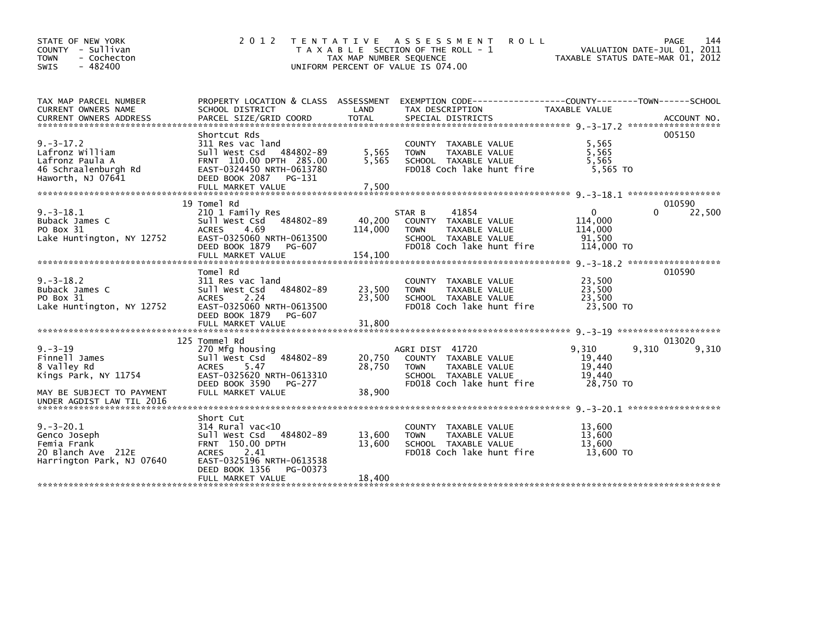| STATE OF NEW YORK<br>- Sullivan<br><b>COUNTY</b><br>- Cochecton<br><b>TOWN</b><br>$-482400$<br><b>SWIS</b> | 2 0 1 2                                                                                                                                                                                     | T E N T A T I V E<br>TAX MAP NUMBER SEQUENCE | A S S E S S M E N T<br><b>ROLL</b><br>T A X A B L E SECTION OF THE ROLL - 1<br>UNIFORM PERCENT OF VALUE IS 074.00            | VALUATION DATE-JUL 01, 2011<br>TAXABLE STATUS DATE-MAR 01, 2012 | 144<br>PAGE     |
|------------------------------------------------------------------------------------------------------------|---------------------------------------------------------------------------------------------------------------------------------------------------------------------------------------------|----------------------------------------------|------------------------------------------------------------------------------------------------------------------------------|-----------------------------------------------------------------|-----------------|
| TAX MAP PARCEL NUMBER<br>CURRENT OWNERS NAME                                                               | PROPERTY LOCATION & CLASS ASSESSMENT<br>SCHOOL DISTRICT                                                                                                                                     | LAND                                         | EXEMPTION CODE--<br>TAX DESCRIPTION                                                                                          | ---------------COUNTY--------TOWN------SCHOOL<br>TAXABLE VALUE  |                 |
| $9. -3 - 17.2$<br>Lafronz William<br>Lafronz Paula A<br>46 Schraalenburgh Rd<br>Haworth, NJ 07641          | Shortcut Rds<br>311 Res vac land<br>Sull West Csd<br>484802-89<br>FRNT 110.00 DPTH 285.00<br>EAST-0324450 NRTH-0613780<br>DEED BOOK 2087 PG-131                                             | 5,565<br>5,565                               | COUNTY TAXABLE VALUE<br><b>TAXABLE VALUE</b><br><b>TOWN</b><br>SCHOOL TAXABLE VALUE<br>FD018 Coch lake hunt fire             | 5,565<br>5.565<br>5,565<br>5.565 TO                             | 005150          |
|                                                                                                            | 19 Tomel Rd                                                                                                                                                                                 |                                              |                                                                                                                              |                                                                 | 010590          |
| $9. -3 - 18.1$<br>Buback James C<br>PO Box 31<br>Lake Huntington, NY 12752                                 | 210 1 Family Res<br>Sull West Csd<br>484802-89<br><b>ACRES</b><br>4.69<br>EAST-0325060 NRTH-0613500<br>DEED BOOK 1879<br>PG-607<br>FULL MARKET VALUE                                        | 40,200<br>114,000<br>154.100                 | 41854<br>STAR B<br>COUNTY TAXABLE VALUE<br><b>TOWN</b><br>TAXABLE VALUE<br>SCHOOL TAXABLE VALUE<br>FD018 Coch lake hunt fire | $\mathbf{0}$<br>0<br>114,000<br>114,000<br>91.500<br>114,000 TO | 22,500          |
|                                                                                                            |                                                                                                                                                                                             |                                              |                                                                                                                              |                                                                 |                 |
| $9. -3 - 18.2$<br>Buback James C<br>PO Box 31<br>Lake Huntington, NY 12752                                 | Tomel Rd<br>311 Res vac land<br>484802-89<br>Sull West Csd<br>ACRES<br>2.24<br>EAST-0325060 NRTH-0613500<br>DEED BOOK 1879<br>PG-607                                                        | 23,500<br>23,500                             | COUNTY TAXABLE VALUE<br>TAXABLE VALUE<br><b>TOWN</b><br>SCHOOL TAXABLE VALUE<br>FD018 Coch lake hunt fire                    | 23,500<br>23,500<br>23.500<br>23,500 TO                         | 010590          |
|                                                                                                            |                                                                                                                                                                                             |                                              |                                                                                                                              |                                                                 |                 |
| $9. - 3 - 19$<br>Finnell James<br>8 Valley Rd<br>Kings Park, NY 11754<br>MAY BE SUBJECT TO PAYMENT         | 125 Tommel Rd<br>270 Mfg housing<br>484802-89<br>Sull West Csd<br>5.47<br><b>ACRES</b><br>EAST-0325620 NRTH-0613310<br>DEED BOOK 3590<br><b>PG-277</b><br>FULL MARKET VALUE                 | 20,750<br>28,750<br>38,900                   | AGRI DIST 41720<br>COUNTY TAXABLE VALUE<br>TAXABLE VALUE<br><b>TOWN</b><br>SCHOOL TAXABLE VALUE<br>FD018 Coch lake hunt fire | 9,310<br>9,310<br>19,440<br>19,440<br>19,440<br>28,750 TO       | 013020<br>9,310 |
| UNDER AGDIST LAW TIL 2016                                                                                  |                                                                                                                                                                                             |                                              |                                                                                                                              |                                                                 |                 |
| $9. - 3 - 20.1$<br>Genco Joseph<br>Femia Frank<br>20 Blanch Ave 212E<br>Harrington Park, NJ 07640          | Short Cut<br>314 Rural vac<10<br>Sull West Csd 484802-89<br><b>FRNT 150.00 DPTH</b><br>2.41<br><b>ACRES</b><br>EAST-0325196 NRTH-0613538<br>DEED BOOK 1356<br>PG-00373<br>FULL MARKET VALUE | 13,600<br>13.600<br>18,400                   | COUNTY TAXABLE VALUE<br><b>TOWN</b><br>TAXABLE VALUE<br>SCHOOL TAXABLE VALUE<br>FD018 Coch lake hunt fire                    | 13.600<br>13,600<br>13.600<br>13,600 TO                         |                 |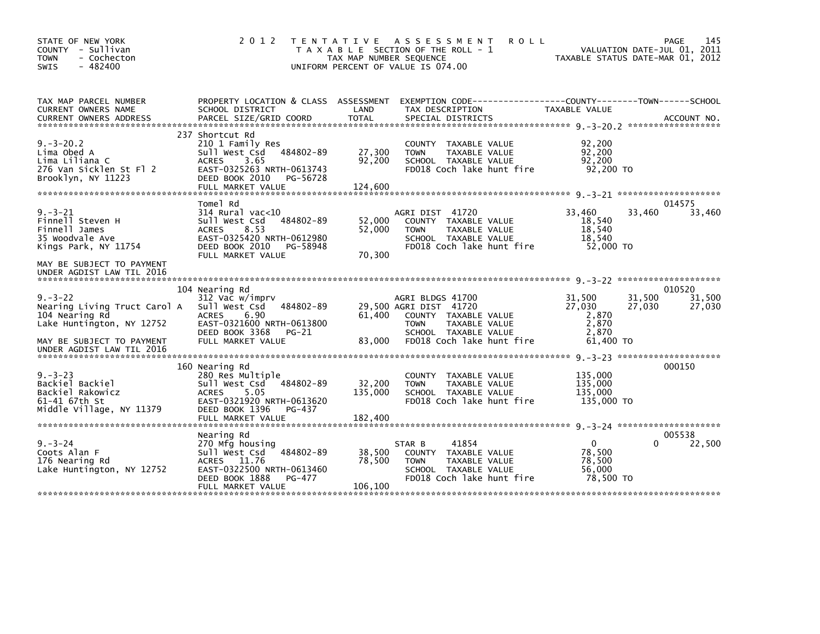| STATE OF NEW YORK<br>COUNTY - Sullivan<br><b>TOWN</b><br>- Cochecton<br>$-482400$<br><b>SWIS</b>                                                        | 2 0 1 2                                                                                                                                                                 | T E N T A T I V E<br>TAX MAP NUMBER SEQUENCE | <b>ROLL</b><br>A S S E S S M E N T<br>T A X A B L E SECTION OF THE ROLL - 1<br>UNIFORM PERCENT OF VALUE IS 074.00                                       |                                                          | 145<br>PAGE<br>VALUATION DATE-JUL 01, 2011<br>TAXABLE STATUS DATE-MAR 01, 2012 |
|---------------------------------------------------------------------------------------------------------------------------------------------------------|-------------------------------------------------------------------------------------------------------------------------------------------------------------------------|----------------------------------------------|---------------------------------------------------------------------------------------------------------------------------------------------------------|----------------------------------------------------------|--------------------------------------------------------------------------------|
| TAX MAP PARCEL NUMBER<br>CURRENT OWNERS NAME<br><b>CURRENT OWNERS ADDRESS</b>                                                                           | PROPERTY LOCATION & CLASS ASSESSMENT<br>SCHOOL DISTRICT<br>PARCEL SIZE/GRID COORD                                                                                       | LAND<br>TOTAL                                | TAX DESCRIPTION<br>SPECIAL DISTRICTS                                                                                                                    | <b>TAXABLE VALUE</b>                                     | ACCOUNT NO.                                                                    |
| $9. - 3 - 20.2$<br>Lima Obed A<br>Lima Liliana C<br>276 Van Sicklen St Fl 2<br>Brooklyn, NY 11223                                                       | 237 Shortcut Rd<br>210 1 Family Res<br>Sull West Csd<br>484802-89<br>3.65<br>ACRES<br>EAST-0325263 NRTH-0613743<br>DEED BOOK 2010<br>PG-56728<br>FULL MARKET VALUE      | 27,300<br>92,200<br>124,600                  | COUNTY TAXABLE VALUE<br><b>TOWN</b><br>TAXABLE VALUE<br>SCHOOL TAXABLE VALUE<br>FD018 Coch lake hunt fire                                               | 92,200<br>92,200<br>92,200<br>92,200 TO                  |                                                                                |
| $9. - 3 - 21$<br>Finnell Steven H<br>Finnell James<br>35 Woodvale Ave<br>Kings Park, NY 11754<br>MAY BE SUBJECT TO PAYMENT<br>UNDER AGDIST LAW TIL 2016 | Tomel Rd<br>$314$ Rural vac< $10$<br>484802-89<br>Sull West Csd<br>8.53<br><b>ACRES</b><br>EAST-0325420 NRTH-0612980<br>DEED BOOK 2010<br>PG-58948<br>FULL MARKET VALUE | 52,000<br>52,000<br>70,300                   | AGRI DIST 41720<br>COUNTY TAXABLE VALUE<br>TAXABLE VALUE<br><b>TOWN</b><br>SCHOOL TAXABLE VALUE<br>FD018 Coch lake hunt fire                            | 33,460<br>18,540<br>18,540<br>18,540<br>52,000 TO        | 014575<br>33,460<br>33,460                                                     |
| $9. - 3 - 22$<br>Nearing Living Truct Carol A<br>104 Nearing Rd<br>Lake Huntington, NY 12752<br>MAY BE SUBJECT TO PAYMENT<br>UNDER AGDIST LAW TIL 2016  | 104 Nearing Rd<br>312 Vac w/imprv<br>Sull West Csd<br>484802-89<br>6.90<br><b>ACRES</b><br>EAST-0321600 NRTH-0613800<br>DEED BOOK 3368<br>$PG-21$<br>FULL MARKET VALUE  | 61,400<br>83,000                             | AGRI BLDGS 41700<br>29,500 AGRI DIST 41720<br>COUNTY TAXABLE VALUE<br>TAXABLE VALUE<br><b>TOWN</b><br>SCHOOL TAXABLE VALUE<br>FD018 Coch lake hunt fire | 31,500<br>27,030<br>2,870<br>2,870<br>2,870<br>61,400 TO | 010520<br>31,500<br>31,500<br>27,030<br>27,030                                 |
| $9. -3 - 23$<br>Backiel Backiel<br>Backiel Rakowicz<br>61-41 67th St<br>Middle Village, NY 11379                                                        | 160 Nearing Rd<br>280 Res Multiple<br>Sull West Csd<br>484802-89<br>5.05<br><b>ACRES</b><br>EAST-0321920 NRTH-0613620<br>DEED BOOK 1396<br>PG-437<br>FULL MARKET VALUE  | 32,200<br>135,000<br>182,400                 | <b>COUNTY</b><br>TAXABLE VALUE<br><b>TOWN</b><br>TAXABLE VALUE<br>SCHOOL TAXABLE VALUE<br>FD018 Coch lake hunt fire                                     | 135,000<br>135,000<br>135,000<br>135,000 TO              | 000150                                                                         |
| $9. - 3 - 24$<br>Coots Alan F<br>176 Nearing Rd<br>Lake Huntington, NY 12752                                                                            | Nearing Rd<br>270 Mfg housing<br>484802-89<br>Sull West Csd<br><b>ACRES</b><br>11.76<br>EAST-0322500 NRTH-0613460<br>DEED BOOK 1888<br>PG-477<br>FULL MARKET VALUE      | 38,500<br>78,500<br>106,100                  | 41854<br>STAR B<br>COUNTY TAXABLE VALUE<br>TAXABLE VALUE<br><b>TOWN</b><br>SCHOOL TAXABLE VALUE<br>FD018 Coch lake hunt fire                            | $\mathbf{0}$<br>78,500<br>78,500<br>56,000<br>78,500 TO  | 005538<br>22,500<br>0                                                          |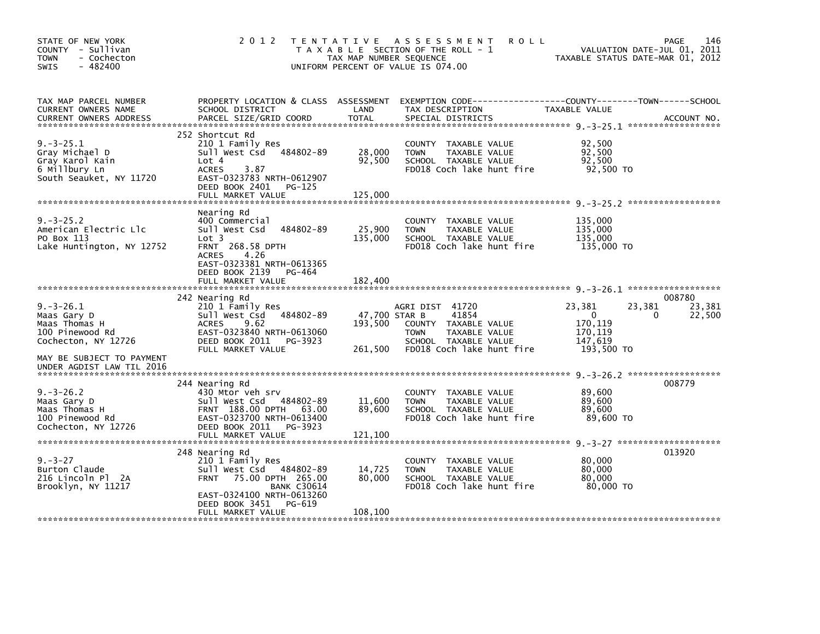| STATE OF NEW YORK<br>COUNTY - Sullivan<br><b>TOWN</b><br>- Cochecton<br>$-482400$<br><b>SWIS</b>                      | 2 0 1 2                                                                                                                                                                                                  | TENTATIVE ASSESSMENT<br><b>ROLL</b><br>T A X A B L E SECTION OF THE ROLL - 1<br>TAX MAP NUMBER SEQUENCE<br>UNIFORM PERCENT OF VALUE IS 074.00                                | 146<br>PAGE<br>VALUATION DATE-JUL 01, 2011<br>TAXABLE STATUS DATE-MAR 01, 2012                                     |
|-----------------------------------------------------------------------------------------------------------------------|----------------------------------------------------------------------------------------------------------------------------------------------------------------------------------------------------------|------------------------------------------------------------------------------------------------------------------------------------------------------------------------------|--------------------------------------------------------------------------------------------------------------------|
| TAX MAP PARCEL NUMBER<br>CURRENT OWNERS NAME<br><b>CURRENT OWNERS ADDRESS</b>                                         | PROPERTY LOCATION & CLASS ASSESSMENT<br>SCHOOL DISTRICT<br>PARCEL SIZE/GRID COORD                                                                                                                        | LAND<br>TAX DESCRIPTION<br><b>TOTAL</b><br>SPECIAL DISTRICTS                                                                                                                 | TAXABLE VALUE<br>ACCOUNT NO.                                                                                       |
| $9. -3 - 25.1$<br>Gray Michael D<br>Gray Karol Kain<br>6 Millbury Ln<br>South Seauket, NY 11720                       | 252 Shortcut Rd<br>210 1 Family Res<br>Sull West Csd<br>484802-89<br>Lot 4<br><b>ACRES</b><br>3.87<br>EAST-0323783 NRTH-0612907<br>DEED BOOK 2401<br>PG-125<br>FULL MARKET VALUE                         | COUNTY TAXABLE VALUE<br>28,000<br>TAXABLE VALUE<br><b>TOWN</b><br>92,500<br>SCHOOL TAXABLE VALUE<br>FD018 Coch lake hunt fire<br>125,000                                     | 92,500<br>92,500<br>92,500<br>92,500 TO                                                                            |
| $9. -3 - 25.2$<br>American Electric Llc<br>PO Box 113<br>Lake Huntington, NY 12752                                    | Nearing Rd<br>400 Commercial<br>Sull West Csd<br>484802-89<br>Lot 3<br><b>FRNT 268.58 DPTH</b><br>4.26<br><b>ACRES</b><br>EAST-0323381 NRTH-0613365<br>DEED BOOK 2139<br>PG-464<br>FULL MARKET VALUE     | COUNTY TAXABLE VALUE<br>25,900<br><b>TOWN</b><br>TAXABLE VALUE<br>135,000<br>SCHOOL TAXABLE VALUE<br>FD018 Coch lake hunt fire<br>182,400                                    | 135,000<br>135,000<br>135.000<br>135,000 TO                                                                        |
| $9. -3 - 26.1$<br>Maas Gary D<br>Maas Thomas H<br>100 Pinewood Rd<br>Cochecton, NY 12726<br>MAY BE SUBJECT TO PAYMENT | 242 Nearing Rd<br>210 1 Family Res<br>Sull West Csd<br>484802-89<br>9.62<br><b>ACRES</b><br>EAST-0323840 NRTH-0613060<br>DEED BOOK 2011<br>PG-3923<br>FULL MARKET VALUE                                  | AGRI DIST 41720<br>47,700 STAR B<br>41854<br>193,500<br>COUNTY TAXABLE VALUE<br><b>TOWN</b><br>TAXABLE VALUE<br>SCHOOL TAXABLE VALUE<br>FD018 Coch lake hunt fire<br>261,500 | 008780<br>23,381<br>23,381<br>23,381<br>$\mathbf{0}$<br>22,500<br>0<br>170,119<br>170,119<br>147,619<br>193,500 TO |
| UNDER AGDIST LAW TIL 2016<br>$9. -3 - 26.2$<br>Maas Gary D<br>Maas Thomas H<br>100 Pinewood Rd<br>Cochecton, NY 12726 | 244 Nearing Rd<br>430 Mtor veh srv<br>Sull West Csd 484802-89<br>FRNT 188.00 DPTH 63.00<br>EAST-0323700 NRTH-0613400<br>DEED BOOK 2011<br>PG-3923<br>FULL MARKET VALUE                                   | COUNTY TAXABLE VALUE<br>11,600<br>TAXABLE VALUE<br><b>TOWN</b><br>89,600<br>SCHOOL TAXABLE VALUE<br>FD018 Coch lake hunt fire<br>121,100                                     | 008779<br>89,600<br>89,600<br>89,600<br>89,600 TO                                                                  |
| $9. - 3 - 27$<br>Burton Claude<br>216 Lincoln Pl 2A<br>Brooklyn, NY 11217                                             | 248 Nearing Rd<br>210 1 Family Res<br>Sull West Csd<br>484802-89<br>75.00 DPTH 265.00<br><b>FRNT</b><br><b>BANK C30614</b><br>EAST-0324100 NRTH-0613260<br>DEED BOOK 3451<br>PG-619<br>FULL MARKET VALUE | COUNTY<br>TAXABLE VALUE<br>14,725<br><b>TOWN</b><br>TAXABLE VALUE<br>80,000<br>SCHOOL TAXABLE VALUE<br>FD018 Coch lake hunt fire<br>108,100                                  | 013920<br>80,000<br>80,000<br>80,000<br>80.000 TO                                                                  |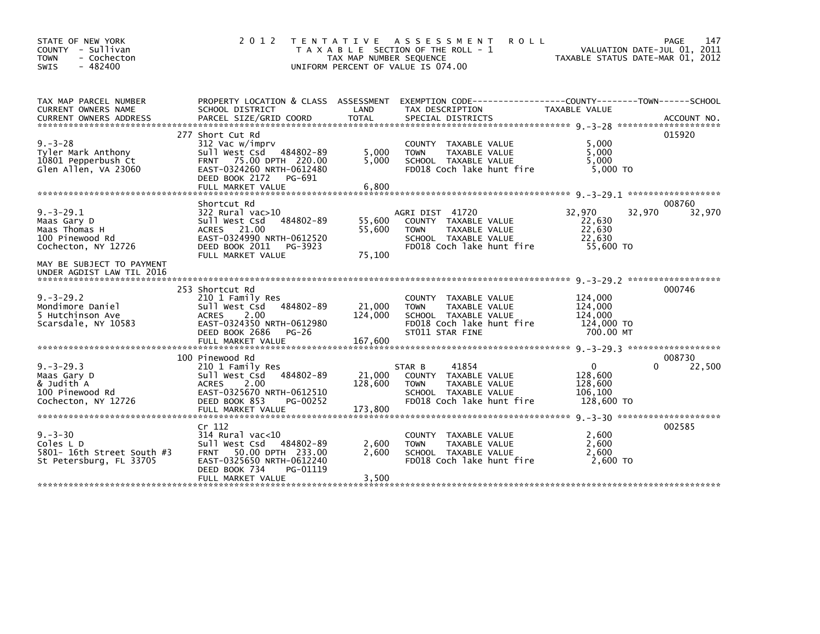| STATE OF NEW YORK<br>COUNTY - Sullivan<br>- Cochecton<br><b>TOWN</b><br>$-482400$<br>SWIS | 2 0 1 2                                                                                                                                                                  | TAX MAP NUMBER SEQUENCE    | TENTATIVE ASSESSMENT<br><b>ROLL</b><br>T A X A B L E SECTION OF THE ROLL - 1<br>UNIFORM PERCENT OF VALUE IS 074.00                  | TAXABLE STATUS DATE-MAR 01, 2012                            | 147<br><b>PAGE</b><br>VALUATION DATE-JUL 01, 2011 |
|-------------------------------------------------------------------------------------------|--------------------------------------------------------------------------------------------------------------------------------------------------------------------------|----------------------------|-------------------------------------------------------------------------------------------------------------------------------------|-------------------------------------------------------------|---------------------------------------------------|
| TAX MAP PARCEL NUMBER<br><b>CURRENT OWNERS NAME</b>                                       | PROPERTY LOCATION & CLASS ASSESSMENT<br>SCHOOL DISTRICT                                                                                                                  | LAND                       | TAX DESCRIPTION                                                                                                                     | TAXABLE VALUE                                               |                                                   |
| $9. - 3 - 28$<br>Tyler Mark Anthony<br>10801 Pepperbush Ct<br>Glen Allen, VA 23060        | 277 Short Cut Rd<br>312 Vac w/imprv<br>Sull West Csd 484802-89<br>FRNT 75.00 DPTH 220.00<br>EAST-0324260 NRTH-0612480<br>DEED BOOK 2172 PG-691<br>FULL MARKET VALUE      | 5,000<br>5,000<br>6,800    | COUNTY TAXABLE VALUE<br>TAXABLE VALUE<br><b>TOWN</b><br>SCHOOL TAXABLE VALUE<br>FD018 Coch lake hunt fire                           | 5,000<br>5,000<br>5,000<br>5,000 TO                         | 015920                                            |
|                                                                                           |                                                                                                                                                                          |                            |                                                                                                                                     |                                                             |                                                   |
| $9. -3 - 29.1$<br>Maas Gary D<br>Maas Thomas H<br>100 Pinewood Rd<br>Cochecton, NY 12726  | Shortcut Rd<br>322 Rural vac>10<br>Sull West Csd<br>484802-89<br>ACRES 21.00<br>EAST-0324990 NRTH-0612520<br>DEED BOOK 2011<br>PG-3923<br>FULL MARKET VALUE              | 55,600<br>55,600<br>75,100 | AGRI DIST 41720<br>COUNTY TAXABLE VALUE<br>TAXABLE VALUE<br><b>TOWN</b><br>SCHOOL TAXABLE VALUE<br>FD018 Coch lake hunt fire        | 32,970<br>32,970<br>22,630<br>22,630<br>22,630<br>55,600 TO | 008760<br>32,970                                  |
| MAY BE SUBJECT TO PAYMENT<br>UNDER AGDIST LAW TIL 2016                                    |                                                                                                                                                                          |                            |                                                                                                                                     |                                                             |                                                   |
| $9. -3 - 29.2$<br>Mondimore Daniel<br>5 Hutchinson Ave<br>Scarsdale, NY 10583             | 253 Shortcut Rd<br>210 1 Family Res<br>Sull West Csd<br>484802-89<br><b>ACRES</b><br>2.00<br>EAST-0324350 NRTH-0612980<br>DEED BOOK 2686<br>$PG-26$                      | 21,000<br>124,000          | COUNTY TAXABLE VALUE<br><b>TOWN</b><br><b>TAXABLE VALUE</b><br>SCHOOL TAXABLE VALUE<br>FD018 Coch lake hunt fire<br>ST011 STAR FINE | 124,000<br>124,000<br>124,000<br>124,000 TO<br>700.00 MT    | 000746                                            |
|                                                                                           | 100 Pinewood Rd                                                                                                                                                          |                            |                                                                                                                                     |                                                             | 008730                                            |
| $9. -3 - 29.3$<br>Maas Gary D<br>& Judith A<br>100 Pinewood Rd<br>Cochecton, NY 12726     | 210 1 Family Res<br>Sull West Csd<br>484802-89<br><b>ACRES</b><br>2.00<br>EAST-0325670 NRTH-0612510<br>DEED BOOK 853<br>PG-00252                                         | 21,000<br>128,600          | 41854<br>STAR B<br>COUNTY TAXABLE VALUE<br>TAXABLE VALUE<br><b>TOWN</b><br>SCHOOL TAXABLE VALUE<br>FD018 Coch lake hunt fire        | $\mathbf 0$<br>128,600<br>128,600<br>106,100<br>128,600 TO  | 22,500<br>$\Omega$                                |
|                                                                                           | FULL MARKET VALUE                                                                                                                                                        | 173,800                    |                                                                                                                                     |                                                             |                                                   |
| $9. - 3 - 30$<br>Coles L D<br>5801- 16th Street South #3<br>St Petersburg, FL 33705       | Cr 112<br>314 Rural vac<10<br>Sull West Csd 484802-89<br><b>FRNT</b><br>50.00 DPTH 233.00<br>EAST-0325650 NRTH-0612240<br>DEED BOOK 734<br>PG-01119<br>FULL MARKET VALUE | 2,600<br>2.600<br>3,500    | TAXABLE VALUE<br><b>COUNTY</b><br>TAXABLE VALUE<br><b>TOWN</b><br>SCHOOL TAXABLE VALUE<br>FD018 Coch lake hunt fire                 | 2,600<br>2,600<br>2.600<br>2,600 TO                         | 002585                                            |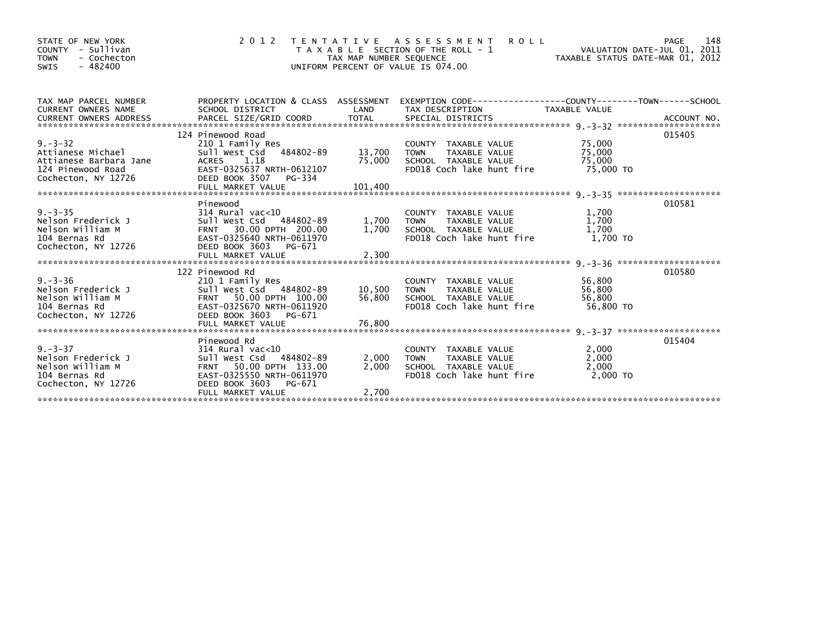| STATE OF NEW YORK<br>COUNTY - Sullivan<br><b>TOWN</b><br>- Cochecton<br>$-482400$<br>SWIS                |                                                                                                                                                                    | TAX MAP NUMBER SEQUENCE | 2012 TENTATIVE ASSESSMENT<br>T A X A B L E SECTION OF THE ROLL - 1<br>UNIFORM PERCENT OF VALUE IS 074.00            | PAGE 148 – PAGE 148<br>VALUATION DATE-JUL 01, 2011<br>TAXABLE STATUS DATE-MAR 01, 2012 |        |
|----------------------------------------------------------------------------------------------------------|--------------------------------------------------------------------------------------------------------------------------------------------------------------------|-------------------------|---------------------------------------------------------------------------------------------------------------------|----------------------------------------------------------------------------------------|--------|
| TAX MAP PARCEL NUMBER<br>CURRENT OWNERS NAME<br>CURRENT OWNERS ADDRESS                                   | PROPERTY LOCATION & CLASS ASSESSMENT EXEMPTION CODE----------------COUNTY-------TOWN------SCHOOL                                                                   |                         |                                                                                                                     |                                                                                        |        |
| $9. - 3 - 32$<br>Attianese Michael<br>Attianese Barbara Jane<br>124 Pinewood Road<br>Cochecton, NY 12726 | 124 Pinewood Road<br>210 1 Family Res<br>Sull West Csd 484802-89<br>ACRES 1.18<br>EAST-0325637 NRTH-0612107<br>DEED BOOK 3507 PG-334                               | $13,700$ TOWN           | COUNTY TAXABLE VALUE<br>TOWN     TAXABLE VALUE<br>75,000 SCHOOL TAXABLE VALUE 75,000<br>FD018 Coch lake hunt fire   | 75,000<br>75,000<br>75,000 TO                                                          | 015405 |
| 9.-3-35<br>Nelson Frederick J<br>Nelson William M<br>104 Bernas Rd<br>Cochecton, NY 12726                | Pinewood<br>314 Rural vac<10<br>Sull West Csd 484802-89<br>FRNT 30.00 DPTH 200.00<br>EAST-0325640 NRTH-0611970<br>DEED BOOK 3603 PG-671                            |                         | COUNTY TAXABLE VALUE<br>1,700 TOWN TAXABLE VALUE<br>1,700 SCHOOL TAXABLE VALUE<br>FD018 Coch lake hunt fire         | 1,700<br>1,700<br>1,700<br>$1,700$ TO                                                  | 010581 |
| 9.-3-36<br>Nelson Frederick J<br>Nelson William M<br>104 Bernas Rd<br>Cochecton, NY 12726                | 122 Pinewood Rd<br>210 1 Family Res<br>Sull West Csd 484802-89<br>FRNT 50.00 DPTH 100.00<br>EAST-0325670 NRTH-0611920<br>DEED BOOK 3603 PG-671                     | 10,500 TOWN<br>56,800   | COUNTY TAXABLE VALUE<br>TOWN     TAXABLE VALUE<br>SCHOOL  TAXABLE VALUE<br>FD018 Coch lake hunt fire                | 56,800<br>56,800<br>56,800<br>56,800 TO                                                | 010580 |
| 9.-3-37<br>Nelson Frederick J<br>Nelson William M<br>104 Bernas Rd<br>Cochecton, NY 12726                | Pinewood Rd<br>314 Rural vac<10<br>Sull West Csd 484802-89<br>FRNT 50.00 DPTH 133.00<br>EAST-0325550 NRTH-0611970<br>DEED BOOK 3603<br>PG-671<br>FULL MARKET VALUE | 2,000<br>2,700          | COUNTY TAXABLE VALUE<br>2,000 TOWN<br>TOWN     TAXABLE VALUE<br>SCHOOL   TAXABLE VALUE<br>FD018 Coch lake hunt fire | 2,000<br>2,000<br>2,000<br><u>2,000 то</u>                                             | 015404 |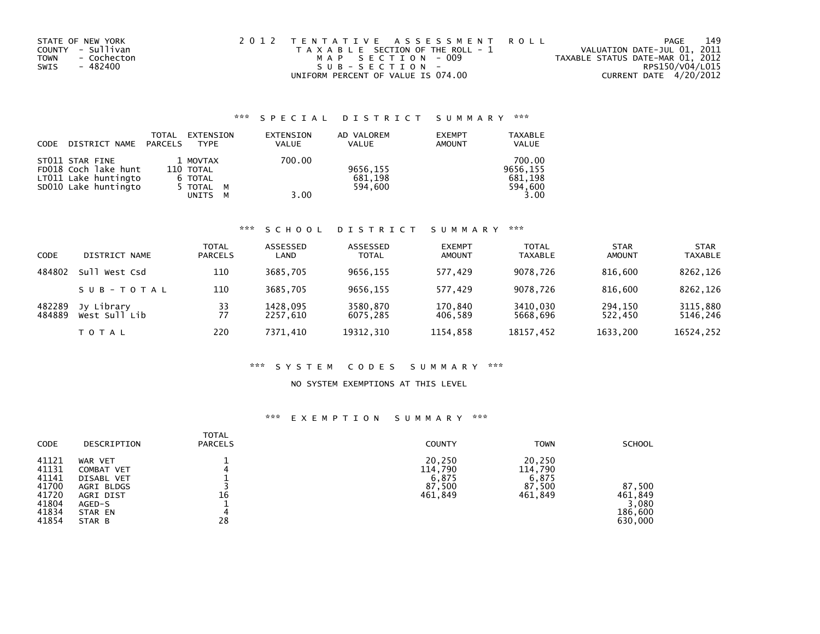| STATE OF NEW YORK   | 2012 TENTATIVE ASSESSMENT ROLL        | PAGE                             | 149 |
|---------------------|---------------------------------------|----------------------------------|-----|
| COUNTY - Sullivan   | T A X A B L E SECTION OF THE ROLL - 1 | VALUATION DATE-JUL 01, 2011      |     |
| - Cochecton<br>TOWN | MAP SECTION - 009                     | TAXABLE STATUS DATE-MAR 01, 2012 |     |
| - 482400<br>SWIS    | SUB-SECTION-                          | RPS150/V04/L015                  |     |
|                     | UNIFORM PERCENT OF VALUE IS 074.00    | CURRENT DATE 4/20/2012           |     |

# \*\*\* S P E C I A L D I S T R I C T S U M M A R Y \*\*\*

| CODE | DISTRICT NAME                                                                           | TOTAL<br>PARCELS | EXTENSION<br><b>TYPE</b>                             |        | EXTENSION<br><b>VALUE</b> | AD VALOREM<br><b>VALUE</b>     | <b>EXEMPT</b><br><b>AMOUNT</b> | <b>TAXABLE</b><br><b>VALUE</b>                   |
|------|-----------------------------------------------------------------------------------------|------------------|------------------------------------------------------|--------|---------------------------|--------------------------------|--------------------------------|--------------------------------------------------|
|      | ST011 STAR FINE<br>FD018 Coch lake hunt<br>LT011 Lake huntingto<br>SD010 Lake huntingto |                  | 1 MOVTAX<br>110 TOTAL<br>6 TOTAL<br>5 TOTAL<br>UNITS | м<br>М | 700.00<br>3.00            | 9656,155<br>681,198<br>594.600 |                                | 700.00<br>9656.155<br>681.198<br>594,600<br>3.00 |

### \*\*\* S C H O O L D I S T R I C T S U M M A R Y \*\*\*

| CODE             | DISTRICT NAME               | <b>TOTAL</b><br><b>PARCELS</b> | ASSESSED<br>LAND     | ASSESSED<br><b>TOTAL</b> | <b>EXEMPT</b><br><b>AMOUNT</b> | <b>TOTAL</b><br><b>TAXABLE</b> | <b>STAR</b><br><b>AMOUNT</b> | <b>STAR</b><br>TAXABLE |
|------------------|-----------------------------|--------------------------------|----------------------|--------------------------|--------------------------------|--------------------------------|------------------------------|------------------------|
| 484802           | Sull<br>West Csd            | 110                            | 3685.705             | 9656.155                 | 577.429                        | 9078,726                       | 816,600                      | 8262,126               |
|                  | SUB-TOTAL                   | 110                            | 3685.705             | 9656.155                 | 577.429                        | 9078.726                       | 816,600                      | 8262.126               |
| 482289<br>484889 | Jy Library<br>West Sull Lib | 33<br>77                       | 1428.095<br>2257.610 | 3580,870<br>6075.285     | 170,840<br>406.589             | 3410,030<br>5668.696           | 294,150<br>522.450           | 3115,880<br>5146.246   |
|                  | <b>TOTAL</b>                | 220                            | 7371.410             | 19312, 310               | 1154.858                       | 18157,452                      | 1633,200                     | 16524,252              |

#### \*\*\* S Y S T E M C O D E S S U M M A R Y \*\*\*

#### NO SYSTEM EXEMPTIONS AT THIS LEVEL

## \*\*\* E X E M P T I O N S U M M A R Y \*\*\*

| <b>CODE</b>                                                          | DESCRIPTION                                                                                   | <b>TOTAL</b><br><b>PARCELS</b> | <b>COUNTY</b>                                   | <b>TOWN</b>                                     | <b>SCHOOL</b>                                    |
|----------------------------------------------------------------------|-----------------------------------------------------------------------------------------------|--------------------------------|-------------------------------------------------|-------------------------------------------------|--------------------------------------------------|
| 41121<br>41131<br>41141<br>41700<br>41720<br>41804<br>41834<br>41854 | WAR VET<br>COMBAT VET<br>DISABL VET<br>AGRI BLDGS<br>AGRI DIST<br>AGED-S<br>STAR EN<br>STAR B | 4<br>16<br>4<br>28             | 20,250<br>114,790<br>6,875<br>87,500<br>461,849 | 20,250<br>114.790<br>6.875<br>87,500<br>461,849 | 87,500<br>461,849<br>3,080<br>186,600<br>630,000 |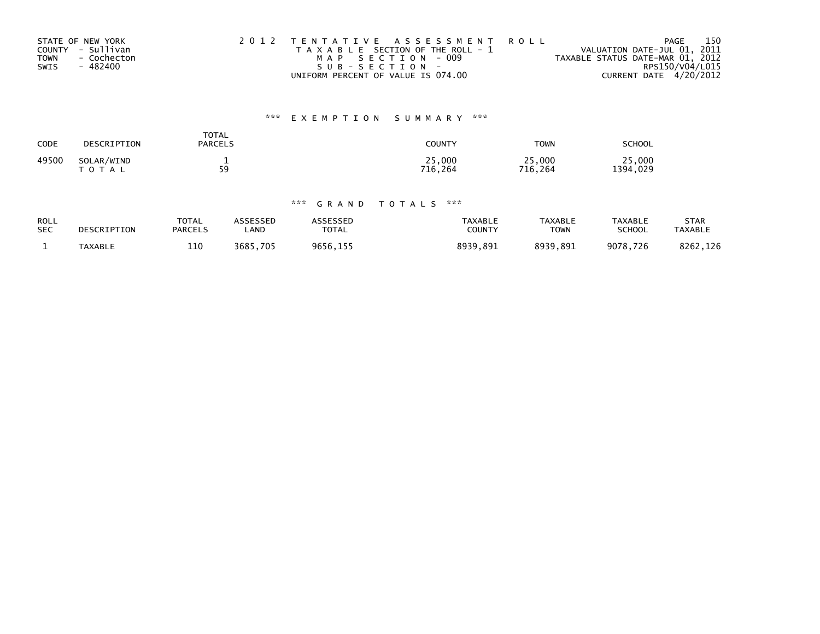| STATE OF NEW YORK          | 2012 TENTATIVE ASSESSMENT ROLL        | PAGE                             | 150 |
|----------------------------|---------------------------------------|----------------------------------|-----|
| COUNTY - Sullivan          | T A X A B L E SECTION OF THE ROLL - 1 | VALUATION DATE-JUL 01, 2011      |     |
| - Cochecton<br><b>TOWN</b> | MAP SECTION - 009                     | TAXABLE STATUS DATE-MAR 01, 2012 |     |
| - 482400<br>SWIS           | SUB-SECTION-                          | RPS150/V04/L015                  |     |
|                            | UNIFORM PERCENT OF VALUE IS 074.00    | CURRENT DATE 4/20/2012           |     |

# \*\*\* E X E M P T I O N S U M M A R Y \*\*\*

| CODE  | DESCRIPTION                | TOTAL<br><b>PARCELS</b> | COUNTY            | <b>TOWN</b>       | SCHOOL             |
|-------|----------------------------|-------------------------|-------------------|-------------------|--------------------|
| 49500 | SOLAR/WIND<br><b>TOTAL</b> | -<br>59<br>- -          | 25,000<br>716.264 | 25,000<br>716.264 | 25,000<br>1394,029 |

## \*\*\* G R A N D T O T A L S \*\*\*

| <b>ROLL</b> | DESCRIPTION    | <b>TOTAL</b>   | ASSESSED | <b>ASSESSED</b> | <b>TAXABLE</b> | <b>TAXABLE</b> | <b>TAXABLE</b> | STAR           |
|-------------|----------------|----------------|----------|-----------------|----------------|----------------|----------------|----------------|
| <b>SEC</b>  |                | <b>PARCELS</b> | LAND     | <b>TOTAL</b>    | COUNTY         | TOWN           | <b>SCHOOL</b>  | <b>TAXABLE</b> |
|             | <b>TAXABLE</b> | 110            | 3685,705 | 9656,155        | 8939,891       | 8939.891       | 9078,726       | 8262.126       |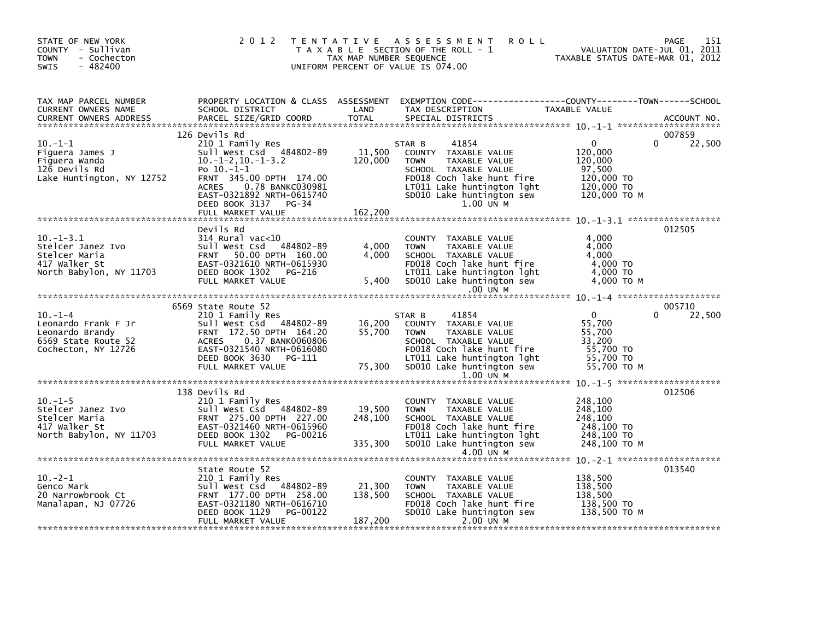| STATE OF NEW YORK<br>COUNTY - Sullivan<br><b>TOWN</b><br>- Cochecton<br>$-482400$<br><b>SWIS</b>                                                                                                                                        |                                                                                                                                                                                                                                                                                                                                                                                                                                                                     | TAX MAP NUMBER SEQUENCE      | 2012 TENTATIVE ASSESSMENT<br><b>ROLL</b><br>T A X A B L E SECTION OF THE ROLL - 1<br>UNIFORM PERCENT OF VALUE IS 074.00                                                                                                                                     | rage 151<br>VALUATION DATE-JUL 01, 2011<br>TAXABLE STATUS DATE-MAR 01, 2012 | 151<br>PAGE                  |
|-----------------------------------------------------------------------------------------------------------------------------------------------------------------------------------------------------------------------------------------|---------------------------------------------------------------------------------------------------------------------------------------------------------------------------------------------------------------------------------------------------------------------------------------------------------------------------------------------------------------------------------------------------------------------------------------------------------------------|------------------------------|-------------------------------------------------------------------------------------------------------------------------------------------------------------------------------------------------------------------------------------------------------------|-----------------------------------------------------------------------------|------------------------------|
| IAX MAP PARCEL NUMBER<br>CURRENT OWNERS NAME<br>CURRENT OWNERS ADDRESS                                                                                                                                                                  |                                                                                                                                                                                                                                                                                                                                                                                                                                                                     |                              |                                                                                                                                                                                                                                                             |                                                                             |                              |
| $10. -1 - 1$<br>Figuera James J<br>Figuera Wanda<br>Figuera Wanda<br>Rd Control Control Control Control Control Control Control Control Control Control Control Control Control Control Control Control Control Control Control Control | 126 Devils Rd<br>210 1 Family Res<br>DEED BOOK 3137 PG-34                                                                                                                                                                                                                                                                                                                                                                                                           |                              | 41854<br>PO 10.-1-1<br>PRNT 345.00 DPTH 174.00<br>PERNT 345.00 DPTH 174.00<br>ACRES 0.78 BANKC030981 LT011 Lake huntington 1ght 120,000 TO<br>EAST-0321892 NRTH-0615740 SD010 Lake huntington sew 120,000 TO<br>DEED BOOK 3137 PG-34 100 1NM M<br>1.00 UN M | $\overline{0}$<br>120,000<br>120,000                                        | 007859<br>22,500<br>$\Omega$ |
|                                                                                                                                                                                                                                         | Devils Rd<br>10.-1-3.1<br>Stelcer Janez Ivo<br>Stelcer Maria (Sull West Csd 484802-89<br>Stelcer Maria (Sull West Csd 484802-89<br>Stelcer Maria (FRNT 50.00 DPTH 160.00<br>417 Walker St<br>North Babylon, NY 11703<br>DEED BOOK 1302 PG-216<br>EIILL MAPK<br>sull west Csd 484802-89<br>DEED BOOK 1302 PG-216<br>FULL MARKET VALUE                                                                                                                                |                              | COUNTY TAXABLE VALUE<br>4,000 TOWN TAXABLE VALUE<br>4,000 SCHOOL TAXABLE VALUE<br>4,000 SCHOOL TAXABLE VALUE<br>FD018 Coch lake hunt fire 4,000 TO<br>1T011 Lake huntington lght 4,000 TO<br>5,400 SD010 Lake huntington sew 4,000 TO M<br>$.00$ UN M       | 4,000                                                                       | 012505                       |
|                                                                                                                                                                                                                                         | 6569 State Route 52                                                                                                                                                                                                                                                                                                                                                                                                                                                 |                              |                                                                                                                                                                                                                                                             |                                                                             | 005710                       |
| $10. -1 -4$<br>Leonardo Frank F Jr<br>Leonardo Brandy<br>6569 State Route 52<br>Cochecton, NY 12726                                                                                                                                     | 210 1 Family Res<br>Sull West Csd 484802-89<br>FRNT 172.50 DPTH 164.20<br>ACRES 0.37 BANK0060806<br>EAST-0321540 NRTH-0616080<br>DEED BOOK 3630 PG-111<br>FULL MARKET VALUE                                                                                                                                                                                                                                                                                         |                              | 41854<br>STAR B<br>84802-89 16,200 COUNTY TAXABLE VALUE 55,700<br>164.20 55,700 TOWN TAXABLE VALUE 55,700<br>KO060806 55,700 SCHOOL TAXABLE VALUE 55,700<br>-0616080 FD018 Coch lake hunt fire 55,700 TO<br>PG-111 Lake huntington lght 55,700 TO<br>PG-111 | $\overline{0}$                                                              | 22,500<br>$\Omega$           |
|                                                                                                                                                                                                                                         |                                                                                                                                                                                                                                                                                                                                                                                                                                                                     |                              | 1.00 UN M                                                                                                                                                                                                                                                   |                                                                             |                              |
|                                                                                                                                                                                                                                         | 138 Devils Rd<br>10.-1-5<br>Stelcer Janez Ivo<br>Stelcer Maria 210 1 Family Res<br>Stelcer Maria FRNT 275.00 DPTH 227.00<br>417 Walker St<br>North Babylon, NY 11703<br>DEED BOOK 1302 PG-00216<br>EILL MARKET VALUE<br>DEED BOOK 1302 PG-00216<br>THE MARKET VAL<br>$\begin{array}{ccc}\n & -2 & -2 & -1 & -1 & -1 \\ \hline\n\text{FULL MARKET VALUE} & \text{PG-00216} & 335, 300 \\ \text{FULL MARKET VALUE} & & & \\ \text{MARKET VALUE} & & & \\ \end{array}$ |                              | COUNTY TAXABLE VALUE<br>TAXABLE VALUE<br>TOWN<br>248,100<br>FD018 Coch lake hunt fire 248,100 TO<br>LT011 Lake huntington lght 248,100 TO<br>335,300 SD010 Lake huntington sew 248,100 TO                                                                   | 248,100<br>248,100<br>248,100 то м                                          | 012506                       |
|                                                                                                                                                                                                                                         |                                                                                                                                                                                                                                                                                                                                                                                                                                                                     |                              |                                                                                                                                                                                                                                                             |                                                                             |                              |
| Genco Mark<br>20 Narrowbrook Ct<br>Manalapan, NJ 07726                                                                                                                                                                                  | State Route 52<br>210 1 Family Res<br>Sull West Csd 484802-89<br>FRNT 177.00 DPTH 258.00<br>EAST-0321180 NRTH-0616710<br>DEED BOOK 1129 PG-00122<br>FULL MARKET VALUE                                                                                                                                                                                                                                                                                               | 21,300<br>138,500<br>187,200 | COUNTY TAXABLE VALUE<br>TOWN TAXABLE VALUE<br>TOWN TAXABLE VALUE 138,500<br>SCHOOL TAXABLE VALUE 138,500<br>FDO18 Coch lake huntington sew 138,500 TO M<br>SDO10 Lake huntington sew 138,500 TO M<br>2.00 UN M                                              | 138,500                                                                     | 013540                       |
|                                                                                                                                                                                                                                         |                                                                                                                                                                                                                                                                                                                                                                                                                                                                     |                              |                                                                                                                                                                                                                                                             |                                                                             |                              |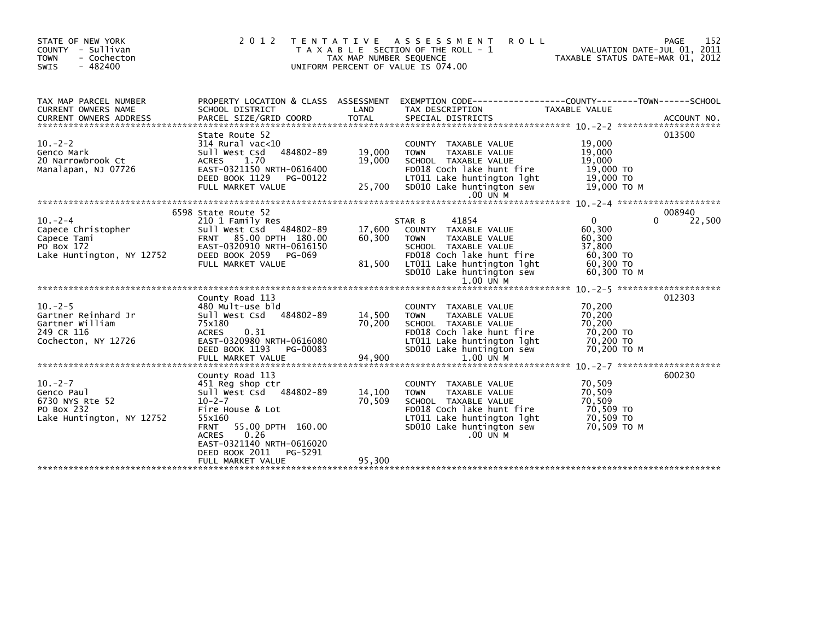| STATE OF NEW YORK<br>COUNTY - Sullivan<br>- Cochecton<br><b>TOWN</b><br><b>SWIS</b><br>$-482400$ | 2 0 1 2<br>T E N T A T I V E                                                                                                                                                                                                       | TAX MAP NUMBER SEQUENCE    | A S S E S S M E N T<br><b>ROLL</b><br>T A X A B L E SECTION OF THE ROLL - 1<br>UNIFORM PERCENT OF VALUE IS 074.00                                                                                    | VALUATION DATE-JUL 01, 2011<br>TAXABLE STATUS DATE-MAR 01, 2012                      | 152<br>PAGE      |
|--------------------------------------------------------------------------------------------------|------------------------------------------------------------------------------------------------------------------------------------------------------------------------------------------------------------------------------------|----------------------------|------------------------------------------------------------------------------------------------------------------------------------------------------------------------------------------------------|--------------------------------------------------------------------------------------|------------------|
| TAX MAP PARCEL NUMBER<br><b>CURRENT OWNERS NAME</b>                                              | PROPERTY LOCATION & CLASS ASSESSMENT<br>SCHOOL DISTRICT                                                                                                                                                                            | LAND                       | EXEMPTION CODE------------------COUNTY--------TOWN------SCHOOL<br>TAX DESCRIPTION                                                                                                                    | TAXABLE VALUE                                                                        |                  |
| $10 - 2 - 2$<br>Genco Mark<br>20 Narrowbrook Ct<br>Manalapan, NJ 07726                           | State Route 52<br>$314$ Rural vac<10<br>Sull West Csd<br>484802-89<br>1.70<br><b>ACRES</b><br>EAST-0321150 NRTH-0616400<br>DEED BOOK 1129<br>PG-00122<br>FULL MARKET VALUE                                                         | 19,000<br>19,000<br>25,700 | COUNTY TAXABLE VALUE<br>TAXABLE VALUE<br><b>TOWN</b><br>SCHOOL TAXABLE VALUE<br>FD018 Coch lake hunt fire<br>LT011 Lake huntington lght<br>SD010 Lake huntington sew<br>.00 UN M                     | 19,000<br>19,000<br>19,000<br>19,000 TO<br>19,000 TO<br>19,000 TO M                  | 013500           |
|                                                                                                  |                                                                                                                                                                                                                                    |                            |                                                                                                                                                                                                      |                                                                                      |                  |
| $10. -2 - 4$<br>Capece Christopher<br>Capece Tami<br>PO Box 172<br>Lake Huntington, NY 12752     | 6598 State Route 52<br>210 1 Family Res<br>Sull West Csd 484802-89<br>FRNT 85.00 DPTH 180.00<br>EAST-0320910 NRTH-0616150<br>DEED BOOK 2059<br>PG-069<br>FULL MARKET VALUE                                                         | 17,600<br>60,300<br>81,500 | 41854<br>STAR B<br>COUNTY TAXABLE VALUE<br><b>TOWN</b><br>TAXABLE VALUE<br>SCHOOL TAXABLE VALUE<br>FD018 Coch lake hunt fire<br>LT011 Lake huntington lght<br>SD010 Lake huntington sew<br>1.00 UN M | $\Omega$<br>0<br>60,300<br>60,300<br>37,800<br>60,300 TO<br>60,300 TO<br>60,300 ТО М | 008940<br>22,500 |
|                                                                                                  |                                                                                                                                                                                                                                    |                            |                                                                                                                                                                                                      |                                                                                      |                  |
| $10. -2 - 5$<br>Gartner Reinhard Jr<br>Gartner William<br>249 CR 116<br>Cochecton, NY 12726      | County Road 113<br>480 Mult-use bld<br>Sull West Csd 484802-89<br>75x180<br>0.31<br><b>ACRES</b><br>EAST-0320980 NRTH-0616080<br>DEED BOOK 1193<br>PG-00083                                                                        | 14,500<br>70,200           | COUNTY TAXABLE VALUE<br><b>TOWN</b><br>TAXABLE VALUE<br>SCHOOL TAXABLE VALUE<br>FD018 Coch lake hunt fire<br>LT011 Lake huntington lght<br>SD010 Lake huntington sew                                 | 70,200<br>70,200<br>70.200<br>70,200 TO<br>70,200 TO<br>70,200 TO M                  | 012303           |
|                                                                                                  |                                                                                                                                                                                                                                    |                            |                                                                                                                                                                                                      |                                                                                      |                  |
| $10 - 2 - 7$<br>Genco Paul<br>6730 NYS Rte 52<br>PO Box 232<br>Lake Huntington, NY 12752         | County Road 113<br>451 Reg shop ctr<br>Sull West Csd 484802-89<br>$10 - 2 - 7$<br>Fire House & Lot<br>55x160<br>55.00 DPTH 160.00<br><b>FRNT</b><br>0.26<br><b>ACRES</b><br>EAST-0321140 NRTH-0616020<br>DEED BOOK 2011<br>PG-5291 | 14,100<br>70,509           | COUNTY TAXABLE VALUE<br>TAXABLE VALUE<br><b>TOWN</b><br>SCHOOL TAXABLE VALUE<br>FD018 Coch lake hunt fire<br>LT011 Lake huntington lght<br>SD010 Lake huntington sew<br>$.00$ UN M                   | 70,509<br>70,509<br>70,509<br>70,509 TO<br>70,509 TO<br>70.509 TO M                  | 600230           |
|                                                                                                  | FULL MARKET VALUE                                                                                                                                                                                                                  | 95,300                     |                                                                                                                                                                                                      |                                                                                      |                  |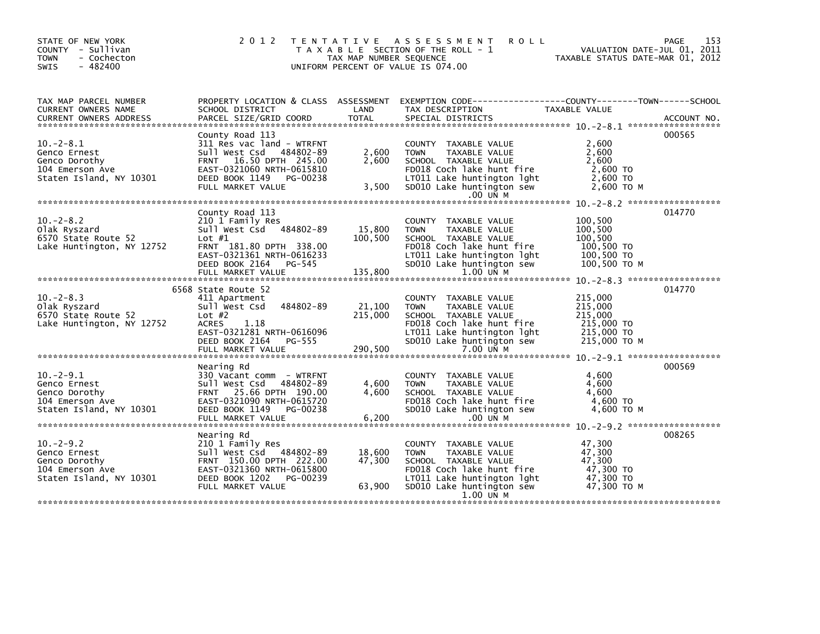| STATE OF NEW YORK<br>COUNTY - Sullivan<br>- Cochecton<br><b>TOWN</b><br>$-482400$<br><b>SWIS</b> | 2 0 1 2                                                                                                                                                                              | T E N T A T I V E<br>TAX MAP NUMBER SEQUENCE | A S S E S S M E N T<br><b>ROLL</b><br>T A X A B L E SECTION OF THE ROLL - 1<br>UNIFORM PERCENT OF VALUE IS 074.00                                                                 | PAGE<br>VALUATION DATE-JUL 01, 2011<br>TAXABLE STATUS DATE-MAR 01, 2012                             | 153 |
|--------------------------------------------------------------------------------------------------|--------------------------------------------------------------------------------------------------------------------------------------------------------------------------------------|----------------------------------------------|-----------------------------------------------------------------------------------------------------------------------------------------------------------------------------------|-----------------------------------------------------------------------------------------------------|-----|
| TAX MAP PARCEL NUMBER<br>CURRENT OWNERS NAME<br><b>CURRENT OWNERS ADDRESS</b>                    | PROPERTY LOCATION & CLASS ASSESSMENT<br>SCHOOL DISTRICT<br>PARCEL SIZE/GRID COORD                                                                                                    | LAND<br><b>TOTAL</b>                         | TAX DESCRIPTION<br>SPECIAL DISTRICTS                                                                                                                                              | EXEMPTION        CODE-----------------COUNTY-------TOWN------SCHOOL<br>TAXABLE VALUE<br>ACCOUNT NO. |     |
| $10. -2 - 8.1$<br>Genco Ernest<br>Genco Dorothy<br>104 Emerson Ave<br>Staten Island, NY 10301    | County Road 113<br>311 Res vac land - WTRFNT<br>Sull West Csd 484802-89<br>FRNT 16.50 DPTH 245.00<br>EAST-0321060 NRTH-0615810<br>DEED BOOK 1149 PG-00238<br>FULL MARKET VALUE       | 2,600<br>2.600<br>3,500                      | COUNTY TAXABLE VALUE<br><b>TOWN</b><br>TAXABLE VALUE<br>SCHOOL TAXABLE VALUE<br>FD018 Coch lake hunt fire<br>LT011 Lake huntington lght<br>SD010 Lake huntington sew              | 000565<br>2.600<br>2,600<br>2.600<br>2,600 TO<br>2,600 TO<br>2,600 ТО М                             |     |
|                                                                                                  |                                                                                                                                                                                      |                                              | .00 UN M                                                                                                                                                                          |                                                                                                     |     |
| $10 - 2 - 8.2$<br>Olak Ryszard<br>6570 State Route 52<br>Lake Huntington, NY 12752               | County Road 113<br>210 1 Family Res<br>Sull West Csd 484802-89<br>Lot $#1$<br>FRNT 181.80 DPTH 338.00<br>EAST-0321361 NRTH-0616233<br>DEED BOOK 2164<br>PG-545<br>FULL MARKET VALUE  | 15,800<br>100,500<br>135,800                 | COUNTY TAXABLE VALUE<br><b>TOWN</b><br>TAXABLE VALUE<br>SCHOOL TAXABLE VALUE<br>FD018 Coch lake hunt fire<br>LT011 Lake huntington lght<br>SD010 Lake huntington sew<br>1.00 UN M | 014770<br>100,500<br>100,500<br>100,500<br>100,500 TO<br>100,500 TO<br>100,500 ТО М                 |     |
|                                                                                                  |                                                                                                                                                                                      |                                              |                                                                                                                                                                                   | 014770                                                                                              |     |
| $10 - 2 - 8.3$<br>Olak Ryszard<br>6570 State Route 52<br>Lake Huntington, NY 12752               | 6568 State Route 52<br>411 Apartment<br>484802-89<br>Sull West Csd<br>Lot $#2$<br><b>ACRES</b><br>1.18<br>EAST-0321281 NRTH-0616096<br>DEED BOOK 2164<br>PG-555<br>FULL MARKET VALUE | 21,100<br>215,000<br>290,500                 | COUNTY TAXABLE VALUE<br>TAXABLE VALUE<br><b>TOWN</b><br>SCHOOL TAXABLE VALUE<br>FD018 Coch lake hunt fire<br>LT011 Lake huntington lght<br>SD010 Lake huntington sew<br>7.00 UN M | 215,000<br>215,000<br>215,000<br>215,000 TO<br>215,000 TO<br>215,000 TO M                           |     |
|                                                                                                  |                                                                                                                                                                                      |                                              |                                                                                                                                                                                   |                                                                                                     |     |
| $10. -2 - 9.1$<br>Genco Ernest<br>Genco Dorothy<br>104 Emerson Ave<br>Staten Island, NY 10301    | Nearing Rd<br>330 Vacant comm - WTRFNT<br>Sull West Csd 484802-89<br>FRNT 25.66 DPTH 190.00<br>EAST-0321090 NRTH-0615720<br>DEED BOOK 1149<br>PG-00238                               | 4,600<br>4.600                               | COUNTY TAXABLE VALUE<br><b>TOWN</b><br>TAXABLE VALUE<br>SCHOOL TAXABLE VALUE<br>FD018 Coch lake hunt fire<br>SD010 Lake huntington sew                                            | 000569<br>4,600<br>4,600<br>4.600<br>4,600 TO<br>4,600 TO M                                         |     |
|                                                                                                  | Nearing Rd                                                                                                                                                                           |                                              |                                                                                                                                                                                   | 008265                                                                                              |     |
| $10. -2 - 9.2$<br>Genco Ernest<br>Genco Dorothy<br>104 Emerson Ave<br>Staten Island, NY 10301    | 210 1 Family Res<br>Sull West Csd 484802-89<br>FRNT 150.00 DPTH 222.00<br>EAST-0321360 NRTH-0615800<br>DEED BOOK 1202<br>PG-00239                                                    | 18,600<br>47,300                             | COUNTY TAXABLE VALUE<br>TAXABLE VALUE<br><b>TOWN</b><br>SCHOOL TAXABLE VALUE<br>FD018 Coch lake hunt fire<br>LT011 Lake huntington lght                                           | 47.300<br>47,300<br>47,300<br>47,300 TO<br>47,300 TO                                                |     |
|                                                                                                  | FULL MARKET VALUE                                                                                                                                                                    | 63,900                                       | SD010 Lake huntington sew<br>1.00 UN M                                                                                                                                            | 47,300 ТО М                                                                                         |     |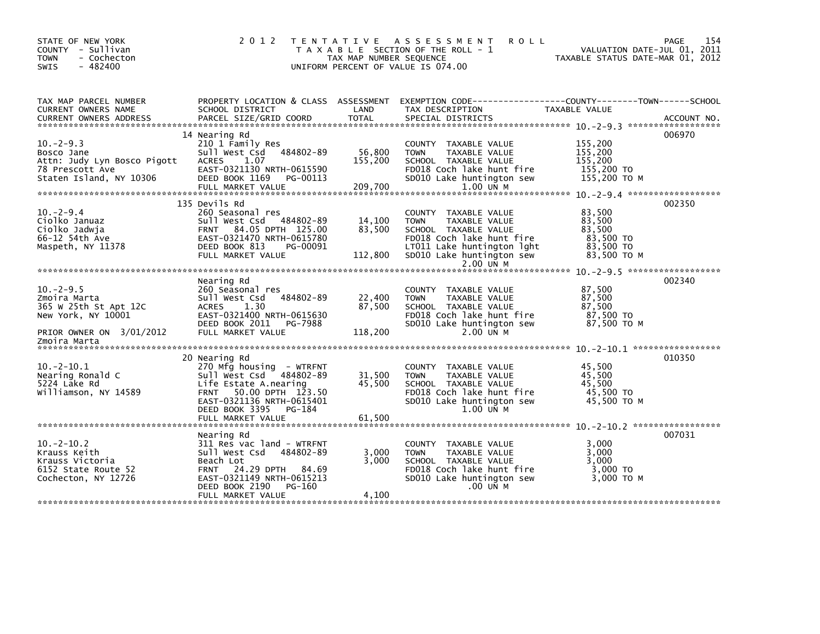| STATE OF NEW YORK<br>COUNTY - Sullivan<br>- Cochecton<br><b>TOWN</b><br>$-482400$<br><b>SWIS</b> | 2 0 1 2                                                                                                                                                                                 | T E N T A T I V E<br>TAX MAP NUMBER SEQUENCE | A S S E S S M E N T<br><b>ROLL</b><br>T A X A B L E SECTION OF THE ROLL - 1<br>UNIFORM PERCENT OF VALUE IS 074.00                                              | TAXABLE STATUS DATE-MAR 01, 2012                       | 154<br>PAGE<br>VALUATION DATE-JUL 01, 2011 |
|--------------------------------------------------------------------------------------------------|-----------------------------------------------------------------------------------------------------------------------------------------------------------------------------------------|----------------------------------------------|----------------------------------------------------------------------------------------------------------------------------------------------------------------|--------------------------------------------------------|--------------------------------------------|
| TAX MAP PARCEL NUMBER<br>CURRENT OWNERS NAME                                                     | PROPERTY LOCATION & CLASS ASSESSMENT<br>SCHOOL DISTRICT                                                                                                                                 | LAND                                         | EXEMPTION CODE-----------------COUNTY-------TOWN------SCHOOL<br>TAX DESCRIPTION                                                                                | TAXABLE VALUE                                          |                                            |
| <b>CURRENT OWNERS ADDRESS</b>                                                                    | PARCEL SIZE/GRID COORD                                                                                                                                                                  | <b>TOTAL</b>                                 | SPECIAL DISTRICTS                                                                                                                                              |                                                        | ACCOUNT NO.                                |
|                                                                                                  | 14 Nearing Rd                                                                                                                                                                           |                                              |                                                                                                                                                                |                                                        | 006970                                     |
| $10 - 2 - 9.3$<br>Bosco Jane<br>Attn: Judy Lyn Bosco Pigott<br>78 Prescott Ave                   | 210 1 Family Res<br>484802-89<br>Sull West Csd<br>1.07<br><b>ACRES</b><br>EAST-0321130 NRTH-0615590                                                                                     | 56,800<br>155,200                            | COUNTY TAXABLE VALUE<br>TAXABLE VALUE<br><b>TOWN</b><br>SCHOOL TAXABLE VALUE<br>FD018 Coch lake hunt fire                                                      | 155,200<br>155,200<br>155.200<br>155,200 TO            |                                            |
| Staten Island, NY 10306                                                                          | DEED BOOK 1169<br>PG-00113<br>FULL MARKET VALUE                                                                                                                                         | 209,700                                      | SD010 Lake huntington sew<br>1.00 UN M                                                                                                                         | 155.200 TO M                                           |                                            |
|                                                                                                  |                                                                                                                                                                                         |                                              |                                                                                                                                                                |                                                        |                                            |
| $10 - 2 - 9.4$<br>Ciolko Januaz<br>Ciolko Jadwia<br>66-12 54th Ave                               | 135 Devils Rd<br>260 Seasonal res<br>Sull West Csd 484802-89<br>FRNT 84.05 DPTH 125.00<br>EAST-0321470 NRTH-0615780                                                                     | 14,100<br>83.500                             | COUNTY TAXABLE VALUE<br><b>TOWN</b><br>TAXABLE VALUE<br>SCHOOL TAXABLE VALUE<br>FD018 Coch lake hunt fire                                                      | 83,500<br>83,500<br>83.500<br>83,500 TO                | 002350                                     |
| Maspeth, NY 11378                                                                                | DEED BOOK 813<br>PG-00091<br>FULL MARKET VALUE                                                                                                                                          | 112,800                                      | LT011 Lake huntington lght<br>SD010 Lake huntington sew<br>2.00 UN M                                                                                           | 83,500 TO<br>83,500 TO M                               |                                            |
|                                                                                                  |                                                                                                                                                                                         |                                              |                                                                                                                                                                |                                                        |                                            |
| $10. -2 - 9.5$<br>Zmoira Marta<br>365 W 25th St Apt 12C<br>New York, NY 10001                    | Nearing Rd<br>260 Seasonal res<br>484802-89<br>Sull West Csd<br>1.30<br>ACRES<br>EAST-0321400 NRTH-0615630<br>DEED BOOK 2011<br>PG-7988                                                 | 22,400<br>87,500                             | COUNTY TAXABLE VALUE<br><b>TOWN</b><br>TAXABLE VALUE<br>SCHOOL TAXABLE VALUE<br>FD018 Coch lake hunt fire<br>SD010 Lake huntington sew                         | 87,500<br>87,500<br>87,500<br>87,500 TO<br>87.500 TO M | 002340                                     |
| PRIOR OWNER ON 3/01/2012                                                                         | FULL MARKET VALUE                                                                                                                                                                       | 118,200                                      | $2.00$ UN M                                                                                                                                                    |                                                        |                                            |
| Zmoira Marta                                                                                     |                                                                                                                                                                                         |                                              |                                                                                                                                                                |                                                        |                                            |
| $10. -2 - 10.1$<br>Nearing Ronald C<br>5224 Lake Rd<br>Williamson, NY 14589                      | 20 Nearing Rd<br>270 Mfg housing - WTRFNT<br>Sull West Csd 484802-89<br>Life Estate A.nearing<br>50.00 DPTH 123.50<br><b>FRNT</b><br>EAST-0321136 NRTH-0615401<br>DEED BOOK 3395 PG-184 | 31,500<br>45,500                             | COUNTY TAXABLE VALUE<br><b>TAXABLE VALUE</b><br><b>TOWN</b><br>SCHOOL TAXABLE VALUE<br>FD018 Coch lake hunt fire<br>SD010 Lake huntington sew<br>1.00 UN M     | 45,500<br>45.500<br>45,500<br>45,500 TO<br>45,500 TO M | 010350                                     |
|                                                                                                  | FULL MARKET VALUE                                                                                                                                                                       | 61,500                                       |                                                                                                                                                                |                                                        |                                            |
| $10. -2 - 10.2$<br>Krauss Keith<br>Krauss Victoria<br>6152 State Route 52<br>Cochecton, NY 12726 | Nearing Rd<br>311 Res vac land - WTRFNT<br>Sull West Csd<br>484802-89<br>Beach Lot<br>24.29 DPTH<br><b>FRNT</b><br>84.69<br>EAST-0321149 NRTH-0615213<br>DEED BOOK 2190<br>PG-160       | 3,000<br>3,000                               | <b>COUNTY</b><br>TAXABLE VALUE<br><b>TOWN</b><br>TAXABLE VALUE<br>SCHOOL TAXABLE VALUE<br>FD018 Coch lake hunt fire<br>SD010 Lake huntington sew<br>$.00$ UN M | 3.000<br>3,000<br>3,000<br>3,000 TO<br>3.000 TO M      | 007031                                     |
|                                                                                                  | FULL MARKET VALUE                                                                                                                                                                       | 4.100                                        |                                                                                                                                                                |                                                        |                                            |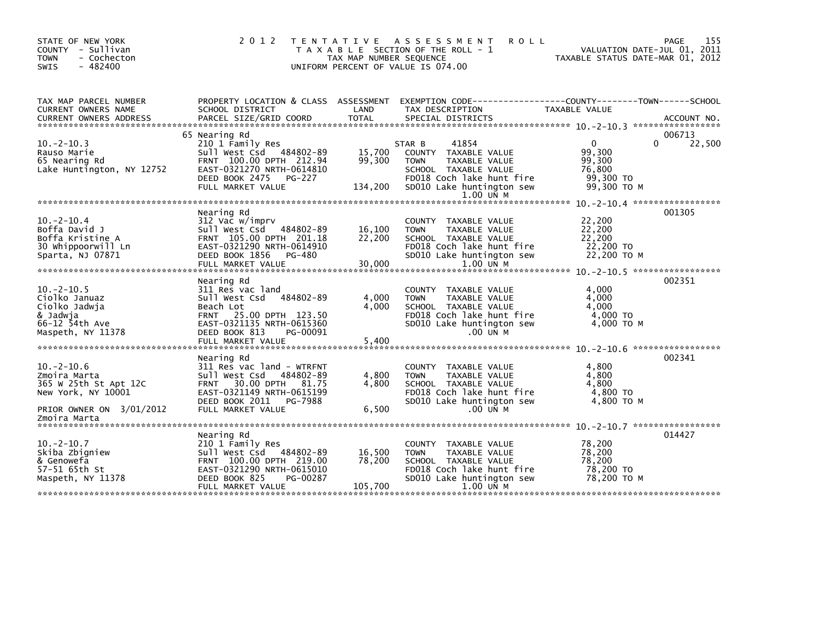| STATE OF NEW YORK<br>COUNTY - Sullivan<br><b>TOWN</b><br>- Cochecton<br>$-482400$<br><b>SWIS</b>                           | 2 0 1 2                                                                                                                                                                                 | T E N T A T I V E<br>TAX MAP NUMBER SEQUENCE | ASSESSMENT<br><b>ROLL</b><br>T A X A B L E SECTION OF THE ROLL - 1<br>UNIFORM PERCENT OF VALUE IS 074.00                                                               | TAXABLE STATUS DATE-MAR 01, 2012                                       | 155<br>PAGE<br>VALUATION DATE-JUL 01, 2011 |
|----------------------------------------------------------------------------------------------------------------------------|-----------------------------------------------------------------------------------------------------------------------------------------------------------------------------------------|----------------------------------------------|------------------------------------------------------------------------------------------------------------------------------------------------------------------------|------------------------------------------------------------------------|--------------------------------------------|
| TAX MAP PARCEL NUMBER<br>CURRENT OWNERS NAME                                                                               | PROPERTY LOCATION & CLASS ASSESSMENT<br>SCHOOL DISTRICT                                                                                                                                 | LAND                                         | EXEMPTION        CODE-----------------COUNTY-------TOWN------SCHOOL<br>TAX DESCRIPTION                                                                                 | <b>TAXABLE VALUE</b>                                                   |                                            |
| $10 - 2 - 10.3$<br>Rauso Marie<br>65 Nearing Rd<br>Lake Huntington, NY 12752                                               | 65 Nearing Rd<br>210 1 Family Res<br>Sull West Csd 484802-89<br>FRNT 100.00 DPTH 212.94<br>EAST-0321270 NRTH-0614810<br>DEED BOOK 2475<br>PG-227<br>FULL MARKET VALUE                   | 15,700<br>99,300<br>134,200                  | 41854<br>STAR B<br>COUNTY TAXABLE VALUE<br>TAXABLE VALUE<br><b>TOWN</b><br>SCHOOL TAXABLE VALUE<br>FD018 Coch lake hunt fire<br>SD010 Lake huntington sew<br>1.00 UN M | $\mathbf{0}$<br>99,300<br>99,300<br>76,800<br>99,300 TO<br>99,300 TO M | 006713<br>22,500<br>0                      |
| $10.-2-10.4$<br>Boffa David J<br>Boffa Kristine A<br>30 Whippoorwill Ln<br>Sparta, NJ 07871                                | Nearing Rd<br>312 Vac w/imprv<br>Sull West Csd 484802-89<br>FRNT 105.00 DPTH 201.18<br>EAST-0321290 NRTH-0614910<br>DEED BOOK 1856 PG-480<br>FULL MARKET VALUE                          | 16,100<br>22,200<br>30,000                   | <b>COUNTY</b><br>TAXABLE VALUE<br><b>TOWN</b><br>TAXABLE VALUE<br>SCHOOL TAXABLE VALUE<br>FD018 Coch lake hunt fire<br>SD010 Lake huntington sew<br>1.00 UN M          | 22,200<br>22,200<br>22,200<br>22,200 TO<br>22,200 TO M                 | 001305                                     |
| $10. -2 - 10.5$<br>Ciolko Januaz<br>Ciolko Jadwja<br>& Jadwja<br>66-12 54th Ave<br>Maspeth, NY 11378                       | Nearing Rd<br>311 Res vac land<br>484802-89<br>Sull West Csd<br>Beach Lot<br>FRNT 25.00 DPTH 123.50<br>EAST-0321135 NRTH-0615360<br>DEED BOOK 813<br>PG-00091<br>FULL MARKET VALUE      | 4.000<br>4.000<br>5,400                      | COUNTY TAXABLE VALUE<br>TAXABLE VALUE<br><b>TOWN</b><br>SCHOOL TAXABLE VALUE<br>FD018 Coch lake hunt fire<br>SD010 Lake huntington sew<br>.00 UN M                     | 4,000<br>4,000<br>4.000<br>$4,000$ TO<br>4,000 TO M                    | 002351                                     |
| $10 - 2 - 10.6$<br>Zmoira Marta<br>365 W 25th St Apt 12C<br>New York, NY 10001<br>PRIOR OWNER ON 3/01/2012<br>Zmoira Marta | Nearing Rd<br>311 Res vac land - WTRFNT<br>Sull West Csd<br>484802-89<br>30.00 DPTH 81.75<br><b>FRNT</b><br>EAST-0321149 NRTH-0615199<br>DEED BOOK 2011<br>PG-7988<br>FULL MARKET VALUE | 4,800<br>4,800<br>6,500                      | COUNTY<br>TAXABLE VALUE<br>TAXABLE VALUE<br><b>TOWN</b><br>SCHOOL TAXABLE VALUE<br>FD018 Coch lake hunt fire<br>SD010 Lake huntington sew<br>.00 UN M                  | 4,800<br>4.800<br>4,800<br>4,800 TO<br>4.800 TO M                      | 002341                                     |
| $10.-2-10.7$<br>Skiba Zbigniew<br>& Genowefa<br>57-51 65th St<br>Maspeth, NY 11378                                         | Nearing Rd<br>210 1 Family Res<br>Sull West Csd 484802-89<br>FRNT 100.00 DPTH 219.00<br>EAST-0321290 NRTH-0615010<br>DEED BOOK 825<br>PG-00287<br>FULL MARKET VALUE                     | 16,500<br>78,200<br>105,700                  | COUNTY TAXABLE VALUE<br>TAXABLE VALUE<br><b>TOWN</b><br>SCHOOL TAXABLE VALUE<br>FD018 Coch lake hunt fire<br>SD010 Lake huntington sew<br>1.00 UN M                    | 78,200<br>78,200<br>78.200<br>78,200 TO<br>78.200 TO M                 | 014427                                     |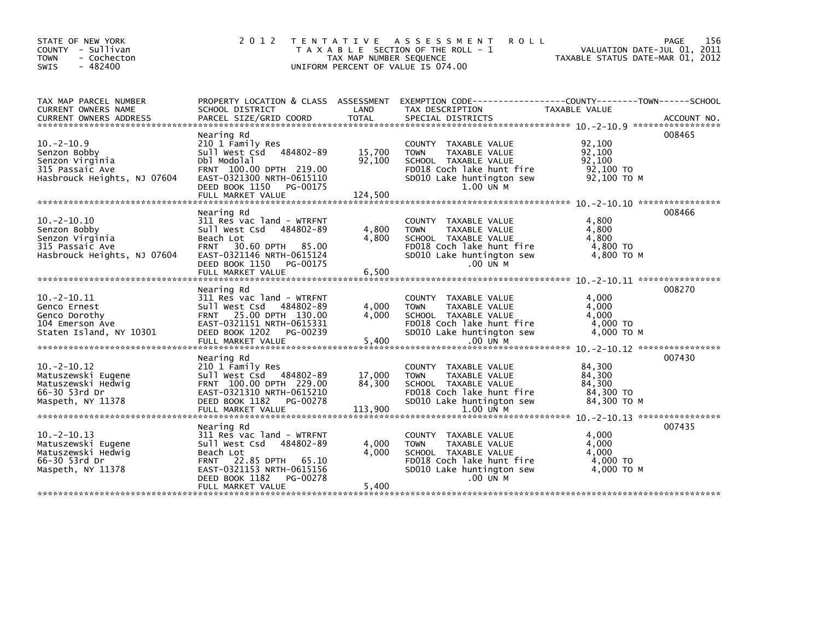| STATE OF NEW YORK<br>COUNTY - Sullivan<br>- Cochecton<br><b>TOWN</b><br>$-482400$<br>SWIS | 2 0 1 2                                                 | T E N T A T I V E<br>TAX MAP NUMBER SEQUENCE | <b>ASSESSMENT</b><br><b>ROLL</b><br>T A X A B L E SECTION OF THE ROLL - 1<br>UNIFORM PERCENT OF VALUE IS 074.00    | PAGE<br>VALUATION DATE-JUL 01, 2011<br>TAXABLE STATUS DATE-MAR 01, 2012 | 156 |
|-------------------------------------------------------------------------------------------|---------------------------------------------------------|----------------------------------------------|--------------------------------------------------------------------------------------------------------------------|-------------------------------------------------------------------------|-----|
| TAX MAP PARCEL NUMBER<br>CURRENT OWNERS NAME                                              | SCHOOL DISTRICT                                         | LAND                                         | PROPERTY LOCATION & CLASS ASSESSMENT EXEMPTION CODE---------------COUNTY-------TOWN------SCHOOL<br>TAX DESCRIPTION | TAXABLE VALUE                                                           |     |
|                                                                                           |                                                         |                                              |                                                                                                                    |                                                                         |     |
|                                                                                           | Nearing Rd                                              |                                              |                                                                                                                    | 008465                                                                  |     |
| $10. -2 - 10.9$                                                                           | 210 1 Family Res<br>Sull West Csd 484802-89             |                                              | COUNTY TAXABLE VALUE                                                                                               | 92,100                                                                  |     |
| Senzon Bobby<br>Senzon Virginia                                                           | Dbl Modolal                                             | 15,700<br>92,100                             | <b>TOWN</b><br><b>TAXABLE VALUE</b><br>SCHOOL TAXABLE VALUE                                                        | 92,100<br>92.100                                                        |     |
| 315 Passaic Ave                                                                           | FRNT 100.00 DPTH 219.00                                 |                                              | FD018 Coch lake hunt fire                                                                                          | 92,100 TO                                                               |     |
| Hasbrouck Heights, NJ 07604                                                               | EAST-0321300 NRTH-0615110<br>DEED BOOK 1150<br>PG-00175 |                                              | SD010 Lake huntington sew<br>1.00 UN M                                                                             | 92,100 TO M                                                             |     |
|                                                                                           | FULL MARKET VALUE                                       | 124,500                                      |                                                                                                                    |                                                                         |     |
|                                                                                           | Nearing Rd                                              |                                              |                                                                                                                    | 008466                                                                  |     |
| $10. -2 - 10.10$                                                                          | 311 Res vac land - WTRFNT                               |                                              | COUNTY TAXABLE VALUE                                                                                               | 4.800                                                                   |     |
| Senzon Bobby                                                                              | Sull West Csd<br>484802-89                              | 4,800                                        | TAXABLE VALUE<br><b>TOWN</b>                                                                                       | 4.800                                                                   |     |
| Senzon Virginia<br>315 Passaic Ave                                                        | Beach Lot<br><b>FRNT</b><br>30.60 DPTH 85.00            | 4,800                                        | SCHOOL TAXABLE VALUE<br>FD018 Coch lake hunt fire                                                                  | 4,800<br>4,800 TO                                                       |     |
| Hasbrouck Heights, NJ 07604                                                               | EAST-0321146 NRTH-0615124                               |                                              | SD010 Lake huntington sew                                                                                          | $4,800$ TO M                                                            |     |
|                                                                                           | DEED BOOK 1150<br>PG-00175                              |                                              | .00 UN M                                                                                                           |                                                                         |     |
|                                                                                           | FULL MARKET VALUE                                       | 6,500                                        |                                                                                                                    |                                                                         |     |
|                                                                                           | Nearing Rd                                              |                                              |                                                                                                                    | 008270                                                                  |     |
| $10.-2-10.11$                                                                             | 311 Res vac land - WTRFNT                               |                                              | COUNTY TAXABLE VALUE                                                                                               | 4,000                                                                   |     |
| Genco Ernest                                                                              | Sull West Csd 484802-89                                 | 4,000                                        | <b>TOWN</b><br>TAXABLE VALUE                                                                                       | 4,000                                                                   |     |
| Genco Dorothy                                                                             | FRNT 25.00 DPTH 130.00                                  | 4,000                                        | SCHOOL TAXABLE VALUE                                                                                               | 4,000                                                                   |     |
| 104 Emerson Ave<br>Staten Island, NY 10301                                                | EAST-0321151 NRTH-0615331<br>DEED BOOK 1202<br>PG-00239 |                                              | FD018 Coch lake hunt fire<br>SD010 Lake huntington sew                                                             | 4,000 TO<br>$4.000$ TO M                                                |     |
|                                                                                           |                                                         |                                              |                                                                                                                    |                                                                         |     |
|                                                                                           |                                                         |                                              |                                                                                                                    |                                                                         |     |
|                                                                                           | Nearing Rd                                              |                                              |                                                                                                                    | 007430                                                                  |     |
| $10. -2 - 10.12$<br>Matuszewski Eugene                                                    | 210 1 Family Res<br>Sull West Csd 484802-89             | 17,000                                       | COUNTY TAXABLE VALUE<br>TAXABLE VALUE<br><b>TOWN</b>                                                               | 84,300<br>84,300                                                        |     |
| Matuszewski Hedwig                                                                        | FRNT 100.00 DPTH 229.00                                 | 84,300                                       | SCHOOL TAXABLE VALUE                                                                                               | 84,300                                                                  |     |
| 66-30 53rd Dr                                                                             | EAST-0321310 NRTH-0615210                               |                                              | FD018 Coch lake hunt fire                                                                                          | 84,300 TO                                                               |     |
| Maspeth, NY 11378                                                                         | DEED BOOK 1182<br>PG-00278                              |                                              | SD010 Lake huntington sew                                                                                          | 84,300 TO M                                                             |     |
|                                                                                           | FULL MARKET VALUE                                       | 113,900                                      | 1.00 UN M                                                                                                          |                                                                         |     |
|                                                                                           | Nearing Rd                                              |                                              |                                                                                                                    | 007435                                                                  |     |
| $10. -2 - 10.13$                                                                          | 311 Res vac land - WTRFNT                               |                                              | COUNTY TAXABLE VALUE                                                                                               | 4.000                                                                   |     |
| Matuszewski Eugene                                                                        | sull west Csd<br>484802-89                              | 4,000                                        | TAXABLE VALUE<br><b>TOWN</b>                                                                                       | 4,000                                                                   |     |
| Matuszewski Hedwig                                                                        | Beach Lot                                               | 4.000                                        | SCHOOL TAXABLE VALUE                                                                                               | 4.000                                                                   |     |
| 66-30 53rd Dr                                                                             | FRNT 22.85 DPTH 65.10                                   |                                              | FD018 Coch lake hunt fire                                                                                          | 4,000 TO                                                                |     |
| Maspeth, NY 11378                                                                         | EAST-0321153 NRTH-0615156<br>DEED BOOK 1182<br>PG-00278 |                                              | SD010 Lake huntington sew<br>.00 UN M                                                                              | 4,000 TO M                                                              |     |
|                                                                                           | FULL MARKET VALUE                                       | 5,400                                        |                                                                                                                    |                                                                         |     |
|                                                                                           |                                                         |                                              |                                                                                                                    |                                                                         |     |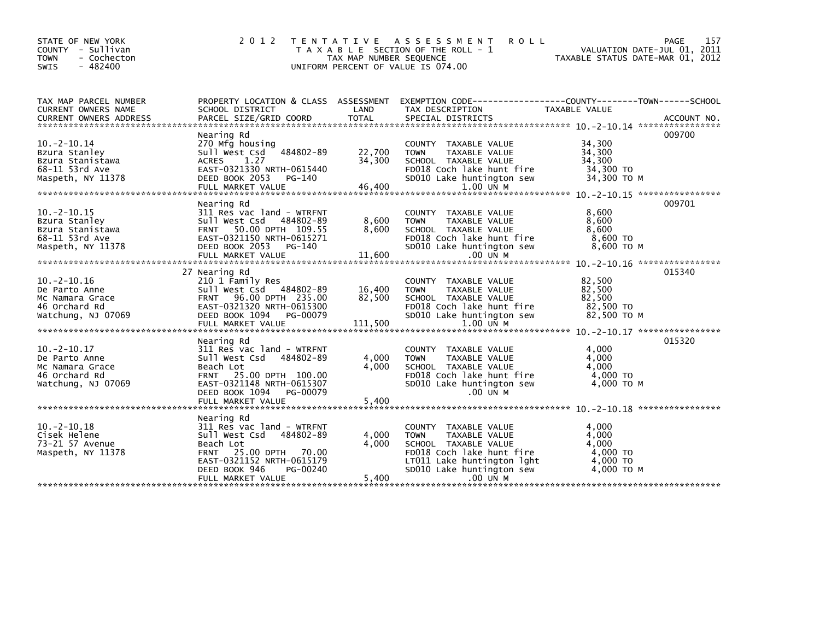| STATE OF NEW YORK<br>COUNTY - Sullivan<br>- Cochecton<br><b>TOWN</b><br><b>SWIS</b><br>$-482400$ | 2 0 1 2                                                                                                                                                                            | T E N T A T I V E<br>TAX MAP NUMBER SEQUENCE | A S S E S S M E N T<br><b>ROLL</b><br>T A X A B L E SECTION OF THE ROLL - 1<br>UNIFORM PERCENT OF VALUE IS 074.00                                                    | VALUATION DATE-JUL 01, 2011<br>TAXABLE STATUS DATE-MAR 01, 2012 | 157<br>PAGE |
|--------------------------------------------------------------------------------------------------|------------------------------------------------------------------------------------------------------------------------------------------------------------------------------------|----------------------------------------------|----------------------------------------------------------------------------------------------------------------------------------------------------------------------|-----------------------------------------------------------------|-------------|
| TAX MAP PARCEL NUMBER<br>CURRENT OWNERS NAME<br><b>CURRENT OWNERS ADDRESS</b>                    | SCHOOL DISTRICT<br>PARCEL SIZE/GRID COORD                                                                                                                                          | LAND<br><b>TOTAL</b>                         | PROPERTY LOCATION & CLASS ASSESSMENT EXEMPTION CODE----------------COUNTY-------TOWN------SCHOOL<br>TAX DESCRIPTION<br>SPECIAL DISTRICTS                             | TAXABLE VALUE                                                   | ACCOUNT NO. |
|                                                                                                  |                                                                                                                                                                                    |                                              |                                                                                                                                                                      |                                                                 |             |
| $10. -2 - 10.14$<br>Bzura Stanley<br>Bzura Stanistawa<br>68-11 53rd Ave<br>Maspeth, NY 11378     | Nearing Rd<br>270 Mfg housing<br>484802-89<br>Sull West Csd<br>1.27<br><b>ACRES</b><br>EAST-0321330 NRTH-0615440<br>DEED BOOK 2053<br>PG-140<br>FULL MARKET VALUE                  | 22,700<br>34,300<br>46,400                   | COUNTY TAXABLE VALUE<br>TAXABLE VALUE<br><b>TOWN</b><br>SCHOOL TAXABLE VALUE<br>FD018 Coch lake hunt fire<br>SD010 Lake huntington sew<br>$1.00$ UN M                | 34,300<br>34,300<br>34,300<br>34,300 TO<br>34,300 TO M          | 009700      |
|                                                                                                  |                                                                                                                                                                                    |                                              |                                                                                                                                                                      |                                                                 |             |
| $10. -2 - 10.15$<br>Bzura Stanley<br>Bzura Stanistawa<br>68-11 53rd Ave<br>Maspeth, NY 11378     | Nearing Rd<br>311 Res vac land - WTRFNT<br>Sull West Csd<br>484802-89<br>FRNT 50.00 DPTH 109.55<br>EAST-0321150 NRTH-0615271<br>DEED BOOK 2053 PG-140<br>FULL MARKET VALUE         | 8,600<br>8,600<br>11,600                     | COUNTY TAXABLE VALUE<br>TAXABLE VALUE<br><b>TOWN</b><br>SCHOOL TAXABLE VALUE<br>FD018 Coch lake hunt fire<br>SD010 Lake huntington sew<br>.00 UN M                   | 8,600<br>8,600<br>8,600<br>8,600 TO<br>8,600 ТО М               | 009701      |
|                                                                                                  | 27 Nearing Rd                                                                                                                                                                      |                                              |                                                                                                                                                                      |                                                                 | 015340      |
| $10. -2 - 10.16$<br>De Parto Anne<br>Mc Namara Grace<br>46 Orchard Rd<br>Watchung, NJ 07069      | 210 1 Family Res<br>Sull West Csd 484802-89<br>FRNT 96.00 DPTH 235.00<br>EAST-0321320 NRTH-0615300<br>DEED BOOK 1094<br>PG-00079<br>FULL MARKET VALUE                              | 16,400<br>82,500<br>111,500                  | COUNTY TAXABLE VALUE<br>TAXABLE VALUE<br><b>TOWN</b><br>SCHOOL TAXABLE VALUE<br>FD018 Coch lake hunt fire<br>SD010 Lake huntington sew<br>$1.00$ UN M                | 82,500<br>82,500<br>82,500<br>82,500 TO<br>82.500 TO M          |             |
|                                                                                                  |                                                                                                                                                                                    |                                              |                                                                                                                                                                      |                                                                 | 015320      |
| $10. -2 - 10.17$<br>De Parto Anne<br>Mc Namara Grace<br>46 Orchard Rd<br>Watchung, NJ 07069      | Nearing Rd<br>311 Res vac land - WTRFNT<br>Sull West Csd<br>484802-89<br>Beach Lot<br>25.00 DPTH 100.00<br><b>FRNT</b><br>EAST-0321148 NRTH-0615307<br>DEED BOOK 1094<br>PG-00079  | 4,000<br>4.000                               | COUNTY TAXABLE VALUE<br><b>TOWN</b><br>TAXABLE VALUE<br>SCHOOL TAXABLE VALUE<br>FD018 Coch lake hunt fire<br>SD010 Lake huntington sew<br>.00 UN M                   | 4,000<br>4,000<br>4,000<br>4,000 TO<br>4,000 TO M               |             |
|                                                                                                  | FULL MARKET VALUE                                                                                                                                                                  | 5,400                                        |                                                                                                                                                                      |                                                                 |             |
| $10. -2 - 10.18$<br>Cisek Helene<br>73-21 57 Avenue<br>Maspeth, NY 11378                         | Nearing Rd<br>311 Res vac land - WTRFNT<br>Sull West Csd<br>484802-89<br>Beach Lot<br>25.00 DPTH<br><b>FRNT</b><br>70.00<br>EAST-0321152 NRTH-0615179<br>DEED BOOK 946<br>PG-00240 | 4,000<br>4,000                               | COUNTY TAXABLE VALUE<br>TAXABLE VALUE<br><b>TOWN</b><br>SCHOOL TAXABLE VALUE<br>FD018 Coch lake hunt fire<br>LT011 Lake huntington lght<br>SD010 Lake huntington sew | 4,000<br>4,000<br>4,000<br>4,000 TO<br>4,000 TO<br>4,000 TO M   |             |
|                                                                                                  | FULL MARKET VALUE                                                                                                                                                                  | 5,400                                        | .00 UN M                                                                                                                                                             |                                                                 |             |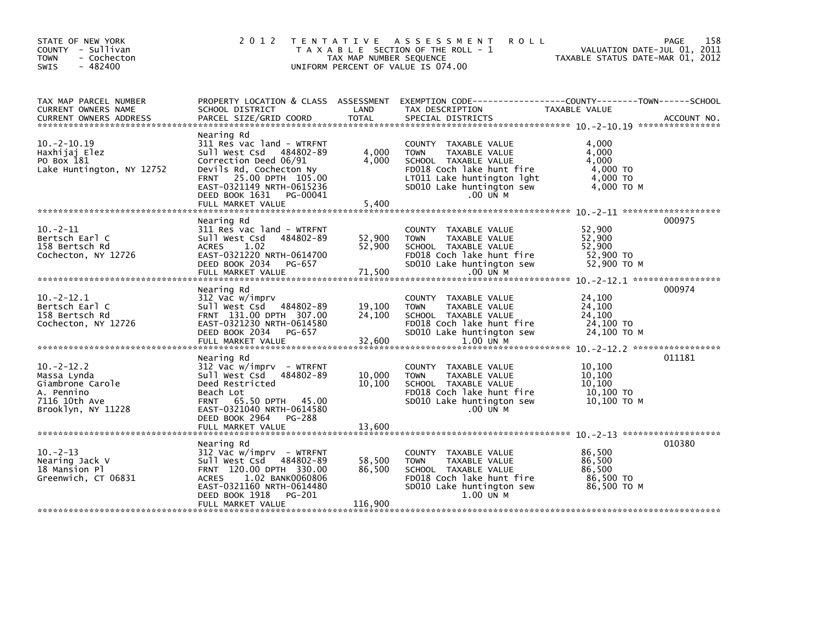| STATE OF NEW YORK<br>COUNTY - Sullivan<br><b>TOWN</b><br>- Cochecton<br>$-482400$<br>SWIS            | 2 0 1 2                                                                                                                                                                                                                       | TAX MAP NUMBER SEQUENCE    | TENTATIVE ASSESSMENT<br><b>ROLL</b><br>T A X A B L E SECTION OF THE ROLL - 1<br>UNIFORM PERCENT OF VALUE IS 074.00                                                                 | TAXABLE STATUS DATE-MAR 01, 2012                              | 158<br>PAGE<br>VALUATION DATE-JUL 01, 2011 |
|------------------------------------------------------------------------------------------------------|-------------------------------------------------------------------------------------------------------------------------------------------------------------------------------------------------------------------------------|----------------------------|------------------------------------------------------------------------------------------------------------------------------------------------------------------------------------|---------------------------------------------------------------|--------------------------------------------|
| TAX MAP PARCEL NUMBER<br>CURRENT OWNERS NAME                                                         | PROPERTY LOCATION & CLASS ASSESSMENT<br>SCHOOL DISTRICT                                                                                                                                                                       | LAND                       | EXEMPTION CODE-----------------COUNTY-------TOWN------SCHOOL<br>TAX DESCRIPTION                                                                                                    | TAXABLE VALUE                                                 |                                            |
| $10. -2 - 10.19$<br>Haxhijaj Elez<br>PO Box 181<br>Lake Huntington, NY 12752                         | Nearing Rd<br>311 Res vac land - WTRFNT<br>Sull West Csd 484802-89<br>Correction Deed 06/91<br>Devils Rd, Cochecton Ny<br>FRNT 25.00 DPTH 105.00<br>EAST-0321149 NRTH-0615236<br>DEED BOOK 1631 PG-00041<br>FULL MARKET VALUE | 4,000<br>4,000<br>5,400    | COUNTY TAXABLE VALUE<br>TAXABLE VALUE<br><b>TOWN</b><br>SCHOOL TAXABLE VALUE<br>FD018 Coch lake hunt fire<br>LT011 Lake huntington lght<br>SD010 Lake huntington sew<br>$.00$ UN M | 4,000<br>4,000<br>4,000<br>4,000 TO<br>4,000 TO<br>4,000 TO M |                                            |
|                                                                                                      | Nearing Rd                                                                                                                                                                                                                    |                            |                                                                                                                                                                                    |                                                               | 000975                                     |
| $10. -2 - 11$<br>Bertsch Earl C<br>158 Bertsch Rd<br>Cochecton, NY 12726                             | 311 Res vac land - WTRFNT<br>Sull West Csd<br>484802-89<br><b>ACRES</b><br>1.02<br>EAST-0321220 NRTH-0614700<br>DEED BOOK 2034 PG-657                                                                                         | 52,900<br>52,900           | COUNTY TAXABLE VALUE<br>TAXABLE VALUE<br><b>TOWN</b><br>SCHOOL TAXABLE VALUE<br>FD018 Coch lake hunt fire<br>SD010 Lake huntington sew                                             | 52,900<br>52,900<br>52,900<br>52,900 TO<br>52,900 TO M        |                                            |
|                                                                                                      |                                                                                                                                                                                                                               |                            |                                                                                                                                                                                    |                                                               |                                            |
| $10 - 2 - 12.1$<br>Bertsch Earl C<br>158 Bertsch Rd<br>Cochecton, NY 12726                           | Nearing Rd<br>312 Vac w/imprv<br>Sull West Csd 484802-89<br>FRNT 131.00 DPTH 307.00<br>EAST-0321230 NRTH-0614580<br>DEED BOOK 2034<br>PG-657<br>FULL MARKET VALUE                                                             | 19,100<br>24,100<br>32,600 | COUNTY TAXABLE VALUE<br><b>TOWN</b><br>TAXABLE VALUE<br>SCHOOL TAXABLE VALUE<br>FD018 Coch lake hunt fire<br>SD010 Lake huntington sew<br>$1.00$ UN M                              | 24,100<br>24,100<br>24,100<br>24,100 TO<br>24,100 ТО М        | 000974                                     |
|                                                                                                      | Nearing Rd                                                                                                                                                                                                                    |                            |                                                                                                                                                                                    |                                                               | 011181                                     |
| $10.-2-12.2$<br>Massa Lynda<br>Giambrone Carole<br>A. Pennino<br>7116 10th Ave<br>Brooklyn, NY 11228 | 312 Vac w/imprv - WTRFNT<br>Sull West Csd 484802-89<br>Deed Restricted<br>Beach Lot<br>FRNT 65.50 DPTH 45.00<br>EAST-0321040 NRTH-0614580<br>DEED BOOK 2964<br>PG-288                                                         | 10,000<br>10,100           | COUNTY TAXABLE VALUE<br><b>TAXABLE VALUE</b><br><b>TOWN</b><br>SCHOOL TAXABLE VALUE<br>FD018 Coch lake hunt fire<br>SD010 Lake huntington sew<br>$.00$ UN M                        | 10,100<br>10.100<br>10,100<br>10,100 TO<br>10,100 TO M        |                                            |
|                                                                                                      |                                                                                                                                                                                                                               |                            |                                                                                                                                                                                    |                                                               |                                            |
| $10. -2 - 13$<br>Nearing Jack V<br>18 Mansion Pl<br>Greenwich, CT 06831                              | Nearing Rd<br>$312$ Vac w/imprv - WTRFNT<br>Sull West Csd 484802-89<br>FRNT 120.00 DPTH 330.00<br>1.02 BANK0060806<br><b>ACRES</b><br>EAST-0321160 NRTH-0614480                                                               | 58,500<br>86,500           | COUNTY TAXABLE VALUE<br><b>TOWN</b><br>TAXABLE VALUE<br>SCHOOL TAXABLE VALUE<br>FD018 Coch lake hunt fire<br>SD010 Lake huntington sew                                             | 86,500<br>86,500<br>86,500<br>86,500 TO<br>86,500 ТО М        | 010380                                     |
|                                                                                                      | DEED BOOK 1918<br>PG-201<br>FULL MARKET VALUE                                                                                                                                                                                 | 116,900                    | 1.00 UN M                                                                                                                                                                          |                                                               |                                            |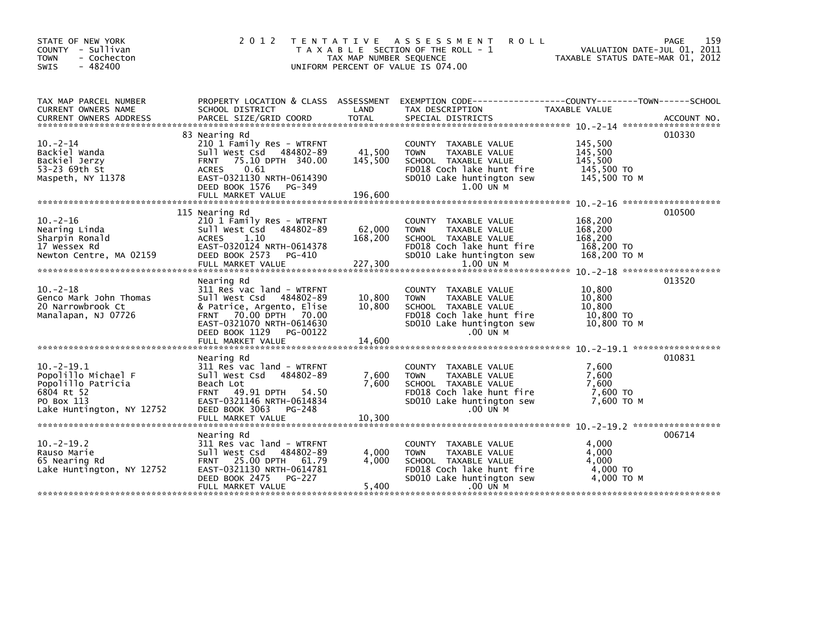| STATE OF NEW YORK<br>COUNTY - Sullivan<br>- Cochecton<br><b>TOWN</b><br>$-482400$<br>SWIS   | 2 0 1 2<br>T E N T A T I V E                                                                                                                                             | TAX MAP NUMBER SEQUENCE | A S S E S S M E N T<br><b>ROLL</b><br>T A X A B L E SECTION OF THE ROLL - 1<br>UNIFORM PERCENT OF VALUE IS 074.00                                  | VALUATION DATE-JUL 01, 2011<br>TAXABLE STATUS DATE-MAR 01, 2012 | 159<br>PAGE |
|---------------------------------------------------------------------------------------------|--------------------------------------------------------------------------------------------------------------------------------------------------------------------------|-------------------------|----------------------------------------------------------------------------------------------------------------------------------------------------|-----------------------------------------------------------------|-------------|
| TAX MAP PARCEL NUMBER<br>CURRENT OWNERS NAME                                                | SCHOOL DISTRICT                                                                                                                                                          | LAND                    | PROPERTY LOCATION & CLASS ASSESSMENT EXEMPTION CODE---------------COUNTY-------TOWN------SCHOOL<br>TAX DESCRIPTION                                 | TAXABLE VALUE                                                   |             |
| $10. -2 - 14$<br>Backiel Wanda<br>Backiel Jerzy<br>53-23 69th St                            | 83 Nearing Rd<br>210 1 Family Res - WTRFNT<br>Sull West Csd<br>484802-89<br>FRNT 75.10 DPTH 340.00<br>0.61<br><b>ACRES</b>                                               | 41,500<br>145,500       | COUNTY TAXABLE VALUE<br>TAXABLE VALUE<br><b>TOWN</b><br>SCHOOL TAXABLE VALUE<br>FD018 Coch lake hunt fire                                          | 145,500<br>145,500<br>145.500<br>145,500 TO                     | 010330      |
| Maspeth, NY 11378                                                                           | EAST-0321130 NRTH-0614390<br>DEED BOOK 1576<br>PG-349<br>FULL MARKET VALUE<br>115 Nearing Rd                                                                             | 196.600                 | SD010 Lake huntington sew<br>1.00 UN M                                                                                                             | 145,500 TO M                                                    | 010500      |
| $10 - 2 - 16$<br>Nearing Linda<br>Sharpin Ronald<br>17 Wessex Rd<br>Newton Centre, MA 02159 | 210 1 Family Res - WTRFNT<br>Sull West Csd<br>484802-89<br>1.10<br>ACRES<br>EAST-0320124 NRTH-0614378<br>DEED BOOK 2573<br>PG-410                                        | 62,000<br>168,200       | COUNTY TAXABLE VALUE<br>TAXABLE VALUE<br><b>TOWN</b><br>SCHOOL TAXABLE VALUE<br>FD018 Coch lake hunt fire<br>SD010 Lake huntington sew             | 168,200<br>168,200<br>168,200<br>168,200 TO<br>168,200 ТО М     |             |
|                                                                                             | FULL MARKET VALUE<br>Nearing Rd                                                                                                                                          | 227,300                 | 1.00 UN M                                                                                                                                          |                                                                 | 013520      |
| $10 - 2 - 18$<br>Genco Mark John Thomas<br>20 Narrowbrook Ct<br>Manalapan, NJ 07726         | 311 Res vac land - WTRFNT<br>Sull West Csd<br>484802-89<br>& Patrice, Argento, Elise<br>FRNT 70.00 DPTH 70.00<br>EAST-0321070 NRTH-0614630<br>DEED BOOK 1129<br>PG-00122 | 10,800<br>10,800        | COUNTY TAXABLE VALUE<br><b>TOWN</b><br>TAXABLE VALUE<br>SCHOOL TAXABLE VALUE<br>FD018 Coch lake hunt fire<br>SD010 Lake huntington sew<br>.00 UN M | 10.800<br>10,800<br>10,800<br>10,800 TO<br>10,800 ТО М          |             |
|                                                                                             | FULL MARKET VALUE                                                                                                                                                        | 14,600                  |                                                                                                                                                    |                                                                 |             |
| $10.-2-19.1$<br>Popolillo Michael F<br>Popolillo Patricia<br>6804 Rt 52<br>PO Box 113       | Nearing Rd<br>311 Res vac land - WTRFNT<br>Sull West Csd<br>484802-89<br>Beach Lot<br>FRNT 49.91 DPTH 54.50<br>EAST-0321146 NRTH-0614834                                 | 7,600<br>7.600          | COUNTY TAXABLE VALUE<br>TAXABLE VALUE<br><b>TOWN</b><br>SCHOOL TAXABLE VALUE<br>FD018 Coch lake hunt fire<br>SD010 Lake huntington sew             | 7,600<br>7,600<br>7.600<br>7,600 TO<br>7.600 TO M               | 010831      |
| Lake Huntington, NY 12752                                                                   | DEED BOOK 3063<br>PG-248<br>FULL MARKET VALUE                                                                                                                            | 10,300                  | .00 UN M                                                                                                                                           |                                                                 |             |
| $10. -2 - 19.2$<br>Rauso Marie<br>65 Nearing Rd<br>Lake Huntington, NY 12752                | Nearing Rd<br>311 Res vac land - WTRFNT<br>Sull West Csd<br>484802-89<br>FRNT 25.00 DPTH 61.79<br>EAST-0321130 NRTH-0614781<br>DEED BOOK 2475<br>PG-227                  | 4,000<br>4,000          | COUNTY TAXABLE VALUE<br><b>TOWN</b><br>TAXABLE VALUE<br>SCHOOL TAXABLE VALUE<br>FD018 Coch lake hunt fire<br>SD010 Lake huntington sew             | 4,000<br>4,000<br>4,000<br>4,000 TO<br>4,000 TO M               | 006714      |
|                                                                                             | FULL MARKET VALUE                                                                                                                                                        | 5,400                   | .00 UN M                                                                                                                                           |                                                                 |             |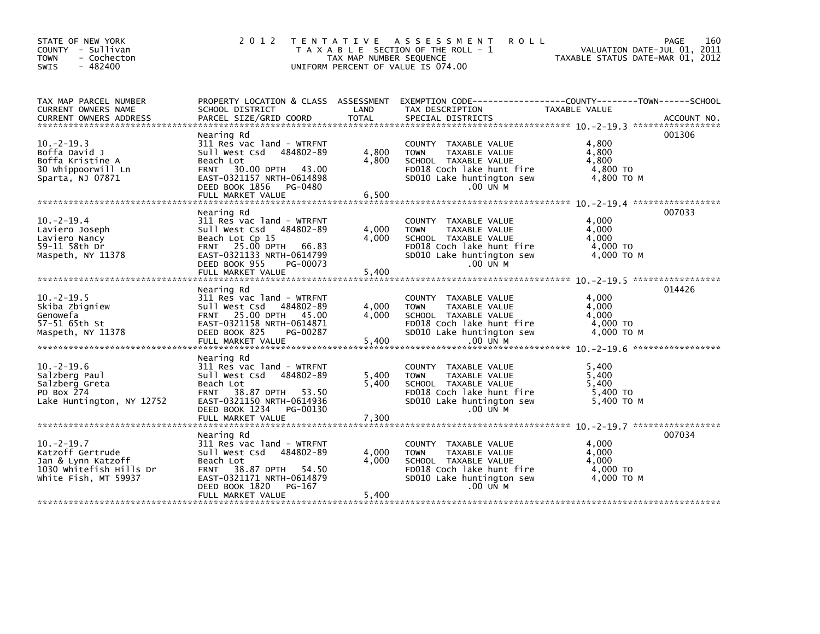| 2 0 1 2                                                                  |                          |                                                                                                                                                                                                                                                                                                                                                                                                                                                                                                                                                                                                                        |                                                                                                                                | 160<br>PAGE                                                                                                                                                                      |
|--------------------------------------------------------------------------|--------------------------|------------------------------------------------------------------------------------------------------------------------------------------------------------------------------------------------------------------------------------------------------------------------------------------------------------------------------------------------------------------------------------------------------------------------------------------------------------------------------------------------------------------------------------------------------------------------------------------------------------------------|--------------------------------------------------------------------------------------------------------------------------------|----------------------------------------------------------------------------------------------------------------------------------------------------------------------------------|
| SCHOOL DISTRICT                                                          | LAND                     | TAX DESCRIPTION                                                                                                                                                                                                                                                                                                                                                                                                                                                                                                                                                                                                        | <b>TAXABLE VALUE</b>                                                                                                           |                                                                                                                                                                                  |
| Beach Lot<br><b>FRNT</b><br>DEED BOOK 1856                               | 4,800<br>4,800           | COUNTY TAXABLE VALUE<br>TAXABLE VALUE<br><b>TOWN</b><br>SCHOOL TAXABLE VALUE<br>FD018 Coch lake hunt fire<br>SD010 Lake huntington sew<br>.00 UN M                                                                                                                                                                                                                                                                                                                                                                                                                                                                     | 4,800<br>4,800<br>4,800<br>4,800 TO<br>4,800 ТО М                                                                              | 001306                                                                                                                                                                           |
| Nearing Rd<br>Beach Lot Cp 15<br>DEED BOOK 955<br>FULL MARKET VALUE      | 4,000<br>4,000<br>5,400  | COUNTY TAXABLE VALUE<br><b>TOWN</b><br>TAXABLE VALUE<br>SCHOOL TAXABLE VALUE<br>FD018 Coch lake hunt fire<br>SD010 Lake huntington sew<br>.00 UN M                                                                                                                                                                                                                                                                                                                                                                                                                                                                     | 4,000<br>4,000<br>4.000<br>4,000 TO<br>4.000 TO M                                                                              | 007033                                                                                                                                                                           |
|                                                                          |                          |                                                                                                                                                                                                                                                                                                                                                                                                                                                                                                                                                                                                                        |                                                                                                                                | 014426                                                                                                                                                                           |
| DEED BOOK 825<br>FULL MARKET VALUE                                       | 4,000<br>4,000<br>5,400  | COUNTY TAXABLE VALUE<br>TAXABLE VALUE<br><b>TOWN</b><br>SCHOOL TAXABLE VALUE<br>FD018 Coch lake hunt fire<br>SD010 Lake huntington sew<br>.00 UN M                                                                                                                                                                                                                                                                                                                                                                                                                                                                     | 4,000<br>4,000<br>4.000<br>4,000 TO<br>4.000 TO M                                                                              |                                                                                                                                                                                  |
| Nearing Rd<br>Beach Lot<br><b>FRNT</b>                                   | 5,400<br>5,400           | COUNTY TAXABLE VALUE<br>TAXABLE VALUE<br><b>TOWN</b><br>SCHOOL TAXABLE VALUE<br>FD018 Coch lake hunt fire<br>SD010 Lake huntington sew<br>.00 UN M                                                                                                                                                                                                                                                                                                                                                                                                                                                                     | 5,400<br>5,400<br>5.400<br>5,400 TO<br>5,400 TO M                                                                              |                                                                                                                                                                                  |
| Nearing Rd<br>Beach Lot<br>DEED BOOK 1820<br>PG-167<br>FULL MARKET VALUE | 4,000<br>4,000<br>5,400  | COUNTY TAXABLE VALUE<br><b>TOWN</b><br>TAXABLE VALUE<br>SCHOOL TAXABLE VALUE<br>FD018 Coch lake hunt fire<br>SD010 Lake huntington sew<br>.00 UN M                                                                                                                                                                                                                                                                                                                                                                                                                                                                     | 4.000<br>4,000<br>4,000<br>4.000 TO<br>4.000 TO M                                                                              | 007034                                                                                                                                                                           |
|                                                                          | Nearing Rd<br>Nearing Rd | 311 Res vac land - WTRFNT<br>Sull West Csd 484802-89<br>30.00 DPTH 43.00<br>EAST-0321157 NRTH-0614898<br>PG-0480<br>311 Res vac land - WTRFNT<br>Sull West Csd 484802-89<br>FRNT 25.00 DPTH 66.83<br>EAST-0321133 NRTH-0614799<br>PG-00073<br>311 Res vac land - WTRFNT<br>Sull West Csd 484802-89<br>FRNT 25.00 DPTH 45.00<br>EAST-0321158 NRTH-0614871<br>PG-00287<br>311 Res vac land - WTRFNT<br>Sull West Csd 484802-89<br>38.87 DPTH 53.50<br>EAST-0321150 NRTH-0614936<br>DEED BOOK 1234 PG-00130<br>311 Res vac land - WTRFNT<br>Sull West Csd 484802-89<br>FRNT 38.87 DPTH 54.50<br>EAST-0321171 NRTH-0614879 | TENTATIVE ASSESSMENT<br>T A X A B L E SECTION OF THE ROLL - 1<br>TAX MAP NUMBER SEQUENCE<br>UNIFORM PERCENT OF VALUE IS 074.00 | <b>ROLL</b><br>VALUATION DATE-JUL 01, 2011<br>TAXABLE STATUS DATE-MAR 01, 2012<br>PROPERTY LOCATION & CLASS ASSESSMENT EXEMPTION CODE---------------COUNTY-------TOWN-----SCHOOL |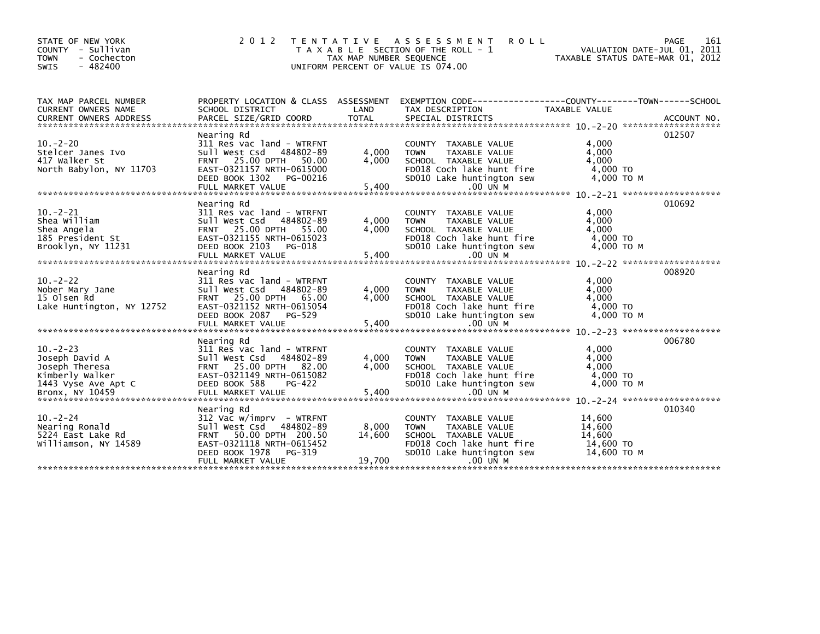| STATE OF NEW YORK<br>COUNTY - Sullivan<br><b>TOWN</b><br>- Cochecton<br>$-482400$<br><b>SWIS</b> | 2 0 1 2                                                                                                                                                                        | TAX MAP NUMBER SEQUENCE   | TENTATIVE ASSESSMENT<br><b>ROLL</b><br>T A X A B L E SECTION OF THE ROLL - 1<br>UNIFORM PERCENT OF VALUE IS 074.00                                   |                                                        | 161<br>PAGE<br>VALUATION DATE-JUL 01, 2011<br>TAXABLE STATUS DATE-MAR 01, 2012 |
|--------------------------------------------------------------------------------------------------|--------------------------------------------------------------------------------------------------------------------------------------------------------------------------------|---------------------------|------------------------------------------------------------------------------------------------------------------------------------------------------|--------------------------------------------------------|--------------------------------------------------------------------------------|
| TAX MAP PARCEL NUMBER<br>CURRENT OWNERS NAME                                                     | PROPERTY LOCATION & CLASS ASSESSMENT<br>SCHOOL DISTRICT                                                                                                                        | LAND                      | EXEMPTION CODE-----------------COUNTY-------TOWN------SCHOOL<br>TAX DESCRIPTION                                                                      | TAXABLE VALUE                                          |                                                                                |
| $10. -2 - 20$<br>Stelcer Janes Ivo<br>417 Walker St<br>North Babylon, NY 11703                   | Nearing Rd<br>311 Res vac land - WTRFNT<br>Sull West Csd 484802-89<br>FRNT 25.00 DPTH<br>50.00<br>EAST-0321157 NRTH-0615000<br>DEED BOOK 1302<br>PG-00216<br>FULL MARKET VALUE | 4,000<br>4.000<br>5,400   | COUNTY TAXABLE VALUE<br>TAXABLE VALUE<br><b>TOWN</b><br>SCHOOL TAXABLE VALUE<br>FD018 Coch lake hunt fire<br>SD010 Lake huntington sew<br>.00 UN M   | 4,000<br>4,000<br>4.000<br>4,000 TO<br>4,000 TO M      | 012507                                                                         |
| $10 - 2 - 21$<br>Shea William<br>Shea Angela<br>185 President St<br>Brooklyn, NY 11231           | Nearing Rd<br>311 Res vac land - WTRFNT<br>Sull West Csd 484802-89<br>FRNT 25.00 DPTH 55.00<br>EAST-0321155 NRTH-0615023<br>DEED BOOK 2103<br>PG-018<br>FULL MARKET VALUE      | 4,000<br>4,000<br>5,400   | COUNTY TAXABLE VALUE<br><b>TOWN</b><br>TAXABLE VALUE<br>SCHOOL TAXABLE VALUE<br>FD018 Coch lake hunt fire<br>SD010 Lake huntington sew<br>$.00$ UN M | 4,000<br>4,000<br>4,000<br>$4,000$ TO<br>4.000 TO M    | 010692                                                                         |
| $10. -2 - 22$<br>Nober Mary Jane<br>15 Olsen Rd<br>Lake Huntington, NY 12752                     | Nearing Rd<br>311 Res vac land - WTRFNT<br>Sull West Csd 484802-89<br>FRNT 25.00 DPTH 65.00<br>EAST-0321152 NRTH-0615054<br>DEED BOOK 2087<br>PG-529                           | 4,000<br>4,000            | COUNTY TAXABLE VALUE<br><b>TOWN</b><br>TAXABLE VALUE<br>SCHOOL TAXABLE VALUE<br>FD018 Coch lake hunt fire<br>SD010 Lake huntington sew               | 4,000<br>4,000<br>4,000<br>4,000 TO<br>4,000 TO M      | 008920                                                                         |
| $10 - 2 - 23$<br>Joseph David A<br>Joseph Theresa<br>Kimberly Walker<br>1443 Vyse Ave Apt C      | Nearing Rd<br>311 Res vac land - WTRFNT<br>sull west Csd<br>484802-89<br>FRNT 25.00 DPTH 82.00<br>EAST-0321149 NRTH-0615082<br>DEED BOOK 588<br>PG-422                         | 4,000<br>4.000            | COUNTY TAXABLE VALUE<br>TAXABLE VALUE<br><b>TOWN</b><br>SCHOOL TAXABLE VALUE<br>FD018 Coch lake hunt fire<br>SD010 Lake huntington sew               | 4,000<br>4,000<br>4.000<br>4,000 TO<br>4.000 TO M      | 006780                                                                         |
| $10. -2 - 24$<br>Nearing Ronald<br>5224 East Lake Rd<br>Williamson, NY 14589                     | Nearing Rd<br>312 Vac w/imprv - WTRFNT<br>484802-89<br>Sull West Csd<br>FRNT 50.00 DPTH 200.50<br>EAST-0321118 NRTH-0615452<br>DEED BOOK 1978<br>PG-319<br>FULL MARKET VALUE   | 8,000<br>14,600<br>19,700 | COUNTY TAXABLE VALUE<br><b>TOWN</b><br>TAXABLE VALUE<br>SCHOOL TAXABLE VALUE<br>FD018 Coch lake hunt fire<br>SD010 Lake huntington sew<br>.00 UN M   | 14,600<br>14,600<br>14,600<br>14,600 TO<br>14.600 ТО М | 010340                                                                         |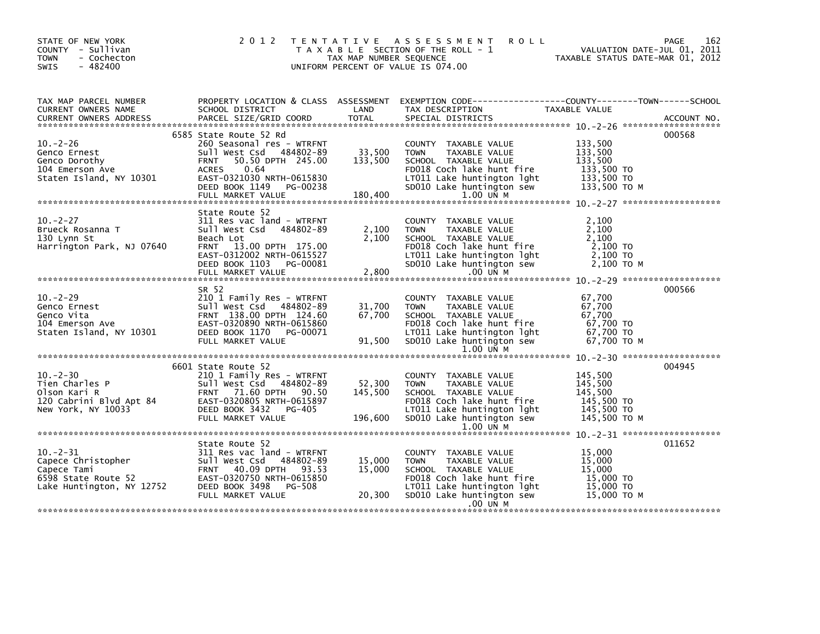| TAX MAP PARCEL NUMBER<br>CURRENT OWNERS NAME<br>000568<br>6585 State Route 52 Rd<br>$10 - 2 - 26$<br>260 Seasonal res - WTRFNT<br>COUNTY TAXABLE VALUE<br>133,500<br>33,500<br>133,500<br>Sull West Csd 484802-89<br>TAXABLE VALUE<br>Genco Ernest<br><b>TOWN</b><br>FRNT 50.50 DPTH 245.00<br>133,500<br>133,500<br>Genco Dorothy<br>SCHOOL TAXABLE VALUE<br>133,500 TO<br>104 Emerson Ave<br><b>ACRES</b><br>0.64<br>FD018 Coch lake hunt fire<br>LT011 Lake huntington $1ght$ 133,500 TO<br>EAST-0321030 NRTH-0615830<br>Staten Island, NY 10301<br>DEED BOOK 1149 PG-00238<br>SD010 Lake huntington sew<br>133,500 то м<br>180,400<br>1.00 UN M<br>FULL MARKET VALUE<br>State Route 52<br>$10 - 2 - 27$<br>311 Res vac land - WTRFNT<br>COUNTY TAXABLE VALUE<br>2.100<br>Brueck Rosanna T<br>Sull West Csd 484802-89<br>2,100<br>TAXABLE VALUE<br>2,100<br><b>TOWN</b><br>2,100<br>Beach Lot<br>SCHOOL TAXABLE VALUE<br>2,100<br>130 Lynn St<br>Harrington Park, NJ 07640<br>FRNT 13.00 DPTH 175.00<br>FD018 Coch lake hunt fire<br>2,100 TO<br>EAST-0312002 NRTH-0615527<br>2,100 TO<br>LT011 Lake huntington lght<br>SD010 Lake huntington sew<br>2,100 TO M<br>DEED BOOK 1103 PG-00081<br>2,800<br>FULL MARKET VALUE<br>.00 UN M<br>000566<br>SR 52<br>$10 - 2 - 29$<br>210 1 Family Res - WTRFNT<br>67.700<br>COUNTY TAXABLE VALUE<br>67,700<br>Sull West Csd 484802-89<br>31,700<br>Genco Ernest<br><b>TOWN</b><br>TAXABLE VALUE<br>67,700<br>FRNT 138.00 DPTH 124.60<br>67,700<br>SCHOOL TAXABLE VALUE<br>67,700 TO<br>67,700 TO<br>EAST-0320890 NRTH-0615860<br>FD018 Coch lake hunt fire<br>DEED BOOK 1170 PG-00071<br>LT011 Lake huntington lght<br>91,500<br>67,700 то м<br>SD010 Lake huntington sew<br>FULL MARKET VALUE<br>1.00 UN M<br>004945<br>6601 State Route 52<br>$10 - 2 - 30$<br>210 1 Family Res - WTRFNT<br>145,500<br>COUNTY TAXABLE VALUE<br>52,300<br>145,500<br><b>TOWN</b><br>TAXABLE VALUE<br>145,500<br>145.500<br>SCHOOL TAXABLE VALUE<br>145,500 TO<br>FD018 Coch lake hunt fire<br>LT011 Lake huntington lght<br>145,500 TO<br>New York, NY 10033<br>196,600<br>145,500 ТО М<br>FULL MARKET VALUE<br>SD010 Lake huntington sew<br>1.00 UN M | STATE OF NEW YORK<br>COUNTY - Sullivan<br>- Cochecton<br><b>TOWN</b><br>$-482400$<br><b>SWIS</b> | TAX MAP NUMBER SEQUENCE | 2012 TENTATIVE ASSESSMENT<br><b>ROLL</b><br>T A X A B L E SECTION OF THE ROLL - 1<br>UNIFORM PERCENT OF VALUE IS 074.00 | PAGE<br>162<br>VALUATION DATE-JUL 01, 2011<br>TAXABLE STATUS DATE-MAR 01, 2012 |
|-----------------------------------------------------------------------------------------------------------------------------------------------------------------------------------------------------------------------------------------------------------------------------------------------------------------------------------------------------------------------------------------------------------------------------------------------------------------------------------------------------------------------------------------------------------------------------------------------------------------------------------------------------------------------------------------------------------------------------------------------------------------------------------------------------------------------------------------------------------------------------------------------------------------------------------------------------------------------------------------------------------------------------------------------------------------------------------------------------------------------------------------------------------------------------------------------------------------------------------------------------------------------------------------------------------------------------------------------------------------------------------------------------------------------------------------------------------------------------------------------------------------------------------------------------------------------------------------------------------------------------------------------------------------------------------------------------------------------------------------------------------------------------------------------------------------------------------------------------------------------------------------------------------------------------------------------------------------------------------------------------------------------------------------------------------------------------------------------------------------------------------------------------------------------------------|--------------------------------------------------------------------------------------------------|-------------------------|-------------------------------------------------------------------------------------------------------------------------|--------------------------------------------------------------------------------|
| Genco Ernest<br>Genco Vita<br>104 Emerson Ave<br>Staten Island, NY 10301<br>10.-2-30<br>Tien Charles P<br>Olson Kari R<br>120 Cabrini Blvd Apt 84<br>120 Cabrini Blvd Apt 84<br>120 Cabrini Blvd Apt 84<br>120 Cabrini Blvd Apt 84<br>120 Cabrini Blvd Apt 84<br>120 Cabrini Blvd Apt 84<br>120 Cabrini Blvd Apt 84<br>120 Cab                                                                                                                                                                                                                                                                                                                                                                                                                                                                                                                                                                                                                                                                                                                                                                                                                                                                                                                                                                                                                                                                                                                                                                                                                                                                                                                                                                                                                                                                                                                                                                                                                                                                                                                                                                                                                                                    |                                                                                                  |                         |                                                                                                                         |                                                                                |
|                                                                                                                                                                                                                                                                                                                                                                                                                                                                                                                                                                                                                                                                                                                                                                                                                                                                                                                                                                                                                                                                                                                                                                                                                                                                                                                                                                                                                                                                                                                                                                                                                                                                                                                                                                                                                                                                                                                                                                                                                                                                                                                                                                                   |                                                                                                  |                         |                                                                                                                         |                                                                                |
|                                                                                                                                                                                                                                                                                                                                                                                                                                                                                                                                                                                                                                                                                                                                                                                                                                                                                                                                                                                                                                                                                                                                                                                                                                                                                                                                                                                                                                                                                                                                                                                                                                                                                                                                                                                                                                                                                                                                                                                                                                                                                                                                                                                   |                                                                                                  |                         |                                                                                                                         |                                                                                |
|                                                                                                                                                                                                                                                                                                                                                                                                                                                                                                                                                                                                                                                                                                                                                                                                                                                                                                                                                                                                                                                                                                                                                                                                                                                                                                                                                                                                                                                                                                                                                                                                                                                                                                                                                                                                                                                                                                                                                                                                                                                                                                                                                                                   |                                                                                                  |                         |                                                                                                                         |                                                                                |
|                                                                                                                                                                                                                                                                                                                                                                                                                                                                                                                                                                                                                                                                                                                                                                                                                                                                                                                                                                                                                                                                                                                                                                                                                                                                                                                                                                                                                                                                                                                                                                                                                                                                                                                                                                                                                                                                                                                                                                                                                                                                                                                                                                                   |                                                                                                  |                         |                                                                                                                         |                                                                                |
|                                                                                                                                                                                                                                                                                                                                                                                                                                                                                                                                                                                                                                                                                                                                                                                                                                                                                                                                                                                                                                                                                                                                                                                                                                                                                                                                                                                                                                                                                                                                                                                                                                                                                                                                                                                                                                                                                                                                                                                                                                                                                                                                                                                   |                                                                                                  |                         |                                                                                                                         |                                                                                |
|                                                                                                                                                                                                                                                                                                                                                                                                                                                                                                                                                                                                                                                                                                                                                                                                                                                                                                                                                                                                                                                                                                                                                                                                                                                                                                                                                                                                                                                                                                                                                                                                                                                                                                                                                                                                                                                                                                                                                                                                                                                                                                                                                                                   |                                                                                                  |                         |                                                                                                                         |                                                                                |
|                                                                                                                                                                                                                                                                                                                                                                                                                                                                                                                                                                                                                                                                                                                                                                                                                                                                                                                                                                                                                                                                                                                                                                                                                                                                                                                                                                                                                                                                                                                                                                                                                                                                                                                                                                                                                                                                                                                                                                                                                                                                                                                                                                                   |                                                                                                  |                         |                                                                                                                         |                                                                                |
| 011652<br>State Route 52<br>$10 - 2 - 31$<br>15,000<br>311 Res vac land - WTRFNT<br>COUNTY TAXABLE VALUE<br>Capece Christopher<br>Capece Tami and Sull West Csd 484802-89<br>Capece Tami FRNT 40.09 DPTH 93.53<br>6598 State Route 52<br>Lake Huntington, NY 12752 DEED BOOK 3498 PG-508<br>15,000<br>15,000<br><b>TOWN</b><br>TAXABLE VALUE<br>15,000<br>15.000<br>SCHOOL TAXABLE VALUE<br>15,000 TO<br>FD018 Coch lake hunt fire<br>15,000 TO<br>LT011 Lake huntington lght<br>15,000 TO M<br>20,300<br>SD010 Lake huntington sew<br>FULL MARKET VALUE<br>.00 UN M                                                                                                                                                                                                                                                                                                                                                                                                                                                                                                                                                                                                                                                                                                                                                                                                                                                                                                                                                                                                                                                                                                                                                                                                                                                                                                                                                                                                                                                                                                                                                                                                              |                                                                                                  |                         |                                                                                                                         |                                                                                |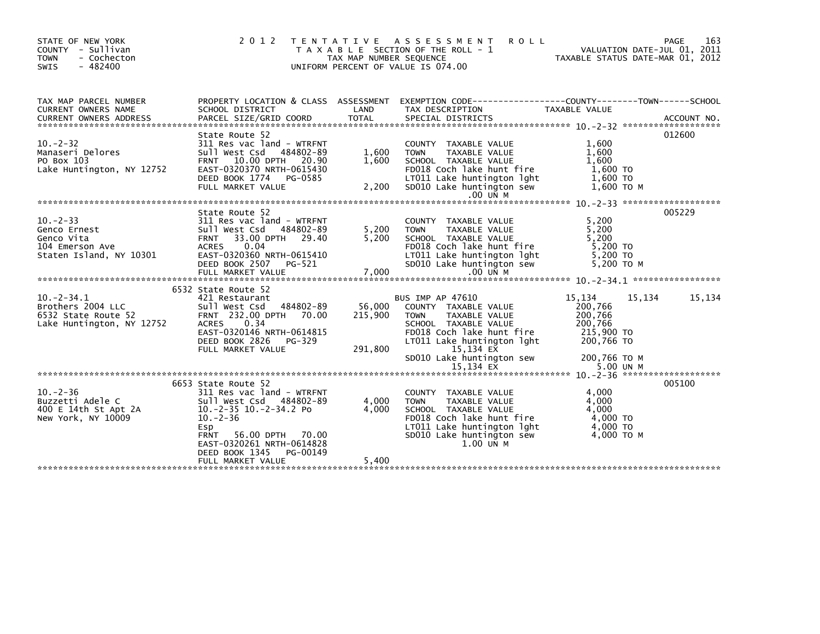| STATE OF NEW YORK<br>COUNTY - Sullivan<br>- Cochecton<br><b>TOWN</b><br>$-482400$<br><b>SWIS</b> | 2 0 1 2                                                                                                                                                                                                                                          | TAX MAP NUMBER SEQUENCE      | TENTATIVE ASSESSMENT<br><b>ROLL</b><br>T A X A B L E SECTION OF THE ROLL - 1<br>UNIFORM PERCENT OF VALUE IS 074.00                                                                                           | VALUATION DATE-JUL 01, 2011<br>TAXABLE STATUS DATE-MAR 01, 2012                               | 163<br>PAGE |
|--------------------------------------------------------------------------------------------------|--------------------------------------------------------------------------------------------------------------------------------------------------------------------------------------------------------------------------------------------------|------------------------------|--------------------------------------------------------------------------------------------------------------------------------------------------------------------------------------------------------------|-----------------------------------------------------------------------------------------------|-------------|
| TAX MAP PARCEL NUMBER<br>CURRENT OWNERS NAME                                                     | SCHOOL DISTRICT                                                                                                                                                                                                                                  | LAND                         | PROPERTY LOCATION & CLASS ASSESSMENT EXEMPTION CODE----------------COUNTY--------TOWN------SCHOOL<br>TAX DESCRIPTION                                                                                         | <b>TAXABLE VALUE</b>                                                                          |             |
| $10 - 2 - 32$<br>Manaseri Delores<br>PO Box 103<br>Lake Huntington, NY 12752                     | State Route 52<br>311 Res vac land - WTRFNT<br>Sull West Csd 484802-89<br>FRNT 10.00 DPTH 20.90<br>EAST-0320370 NRTH-0615430<br>DEED BOOK 1774 PG-0585<br>FULL MARKET VALUE                                                                      | 1,600<br>1,600<br>2,200      | COUNTY TAXABLE VALUE<br><b>TOWN</b><br>TAXABLE VALUE<br>SCHOOL TAXABLE VALUE<br>FD018 Coch lake hunt fire<br>LT011 Lake huntington lght<br>SD010 Lake huntington sew<br>$.00$ UN M                           | 1,600<br>1,600<br>1,600<br>1,600 TO<br>1,600 TO<br>1,600 то м                                 | 012600      |
| $10 - 2 - 33$<br>Genco Ernest<br>Genco Vita<br>104 Emerson Ave<br>Staten Island, NY 10301        | State Route 52<br>311 Res vac land - WTRFNT<br>Sull West Csd 484802-89<br>FRNT 33.00 DPTH 29.40<br>ACRES 0.04<br>EAST-0320360 NRTH-0615410<br>DEED BOOK 2507 PG-521<br>FULL MARKET VALUE                                                         | 5,200<br>5,200<br>7,000      | COUNTY TAXABLE VALUE<br><b>TOWN</b><br>TAXABLE VALUE<br>SCHOOL TAXABLE VALUE<br>FD018 Coch lake hunt fire<br>LT011 Lake huntington lght<br>SD010 Lake huntington sew<br>$.00$ UN M                           | 5,200<br>5,200<br>5,200<br>5,200 TO<br>5,200 TO<br>5.200 TO M                                 | 005229      |
| $10. -2 - 34.1$<br>Brothers 2004 LLC<br>6532 State Route 52<br>Lake Huntington, NY 12752         | 6532 State Route 52<br>421 Restaurant<br>Sull West Csd 484802-89<br>FRNT 232.00 DPTH 70.00<br><b>ACRES</b><br>0.34<br>EAST-0320146 NRTH-0614815<br>DEED BOOK 2826 PG-329<br>FULL MARKET VALUE                                                    | 56,000<br>215,900<br>291,800 | <b>BUS IMP AP 47610</b><br>COUNTY TAXABLE VALUE<br><b>TOWN</b><br>TAXABLE VALUE<br>SCHOOL TAXABLE VALUE<br>FD018 Coch lake hunt fire<br>LT011 Lake huntington lght<br>15,134 EX<br>SD010 Lake huntington sew | 15,134<br>15,134<br>200,766<br>200,766<br>200,766<br>215,900 TO<br>200,766 TO<br>200,766 ТО М | 15,134      |
| $10. -2 - 36$<br>Buzzetti Adele C<br>400 E 14th St Apt 2A<br>New York, NY 10009                  | 6653 State Route 52<br>311 Res vac land - WTRFNT<br>Sull West Csd 484802-89<br>10.-2-35 10.-2-34.2 Po<br>$10. -2 - 36$<br>Esp<br>56.00 DPTH 70.00<br><b>FRNT</b><br>EAST-0320261 NRTH-0614828<br>PG-00149<br>DEED BOOK 1345<br>FULL MARKET VALUE | 4,000<br>4,000<br>5,400      | COUNTY TAXABLE VALUE<br><b>TOWN</b><br>TAXABLE VALUE<br>SCHOOL TAXABLE VALUE<br>FD018 Coch lake hunt fire<br>LT011 Lake huntington lght<br>SD010 Lake huntington sew<br>1.00 UN M                            | 4,000<br>4,000<br>4,000<br>4,000 TO<br>4,000 TO<br>4,000 TO M                                 | 005100      |
|                                                                                                  |                                                                                                                                                                                                                                                  |                              |                                                                                                                                                                                                              |                                                                                               |             |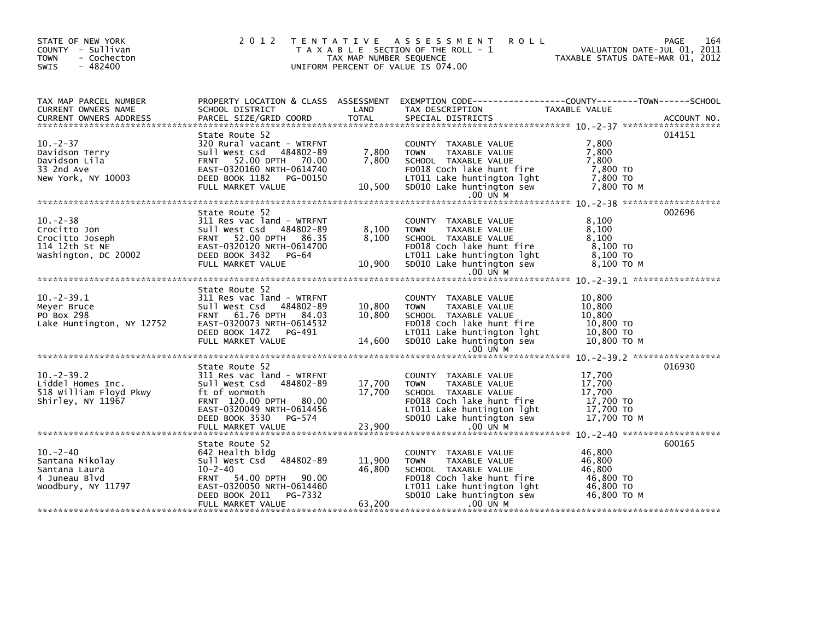| STATE OF NEW YORK<br>COUNTY - Sullivan<br><b>TOWN</b><br>- Cochecton<br><b>SWIS</b><br>- 482400 |                                                                                                                                                                                       | TAX MAP NUMBER SEQUENCE    | 2012 TENTATIVE ASSESSMENT<br>T A X A B L E SECTION OF THE ROLL - 1<br>UNIFORM PERCENT OF VALUE IS 074.00                                                                           | PAGE 164<br>VALUATION DATE-JUL 01, 2011<br>TAXABLE STATUS DATE 111 2012 |        |
|-------------------------------------------------------------------------------------------------|---------------------------------------------------------------------------------------------------------------------------------------------------------------------------------------|----------------------------|------------------------------------------------------------------------------------------------------------------------------------------------------------------------------------|-------------------------------------------------------------------------|--------|
| TAX MAP PARCEL NUMBER<br>CURRENT OWNERS NAME<br>CURRENT OWNERS ADDRESS                          | SCHOOL DISTRICT                                                                                                                                                                       | LAND                       | PROPERTY LOCATION & CLASS ASSESSMENT EXEMPTION CODE---------------COUNTY-------TOWN-----SCHOOL<br>TAX DESCRIPTION                                                                  | TAXABLE VALUE                                                           |        |
| $10 - 2 - 37$<br>Davidson Terry<br>Davidson Lila<br>33 2nd Ave<br>New York, NY 10003            | State Route 52<br>320 Rural vacant - WTRFNT<br>Sull West Csd 484802-89<br>FRNT 52.00 DPTH 70.00<br>EAST-0320160 NRTH-0614740<br>DEED BOOK 1182 PG-00150<br>FULL MARKET VALUE          | 7,800<br>7,800<br>10,500   | COUNTY TAXABLE VALUE<br>TAXABLE VALUE<br><b>TOWN</b><br>SCHOOL TAXABLE VALUE<br>FD018 Coch lake hunt fire<br>LT011 Lake huntington lght<br>SD010 Lake huntington sew<br>$.00$ UN M | 7,800<br>7,800<br>7,800<br>7,800 TO<br>7,800 TO<br>7,800 то м           | 014151 |
|                                                                                                 |                                                                                                                                                                                       |                            |                                                                                                                                                                                    |                                                                         |        |
| $10 - 2 - 38$<br>Crocitto Jon<br>Crocitto Joseph<br>114 12th St NE<br>Washington, DC 20002      | State Route 52<br>311 Res vac land - WTRFNT<br>Sull West Csd 484802-89<br>FRNT 52.00 DPTH 86.35<br>EAST-0320120 NRTH-0614700<br>DEED BOOK 3432 PG-64<br>FULL MARKET VALUE             | 8,100<br>8,100<br>10,900   | COUNTY TAXABLE VALUE<br>TAXABLE VALUE<br><b>TOWN</b><br>SCHOOL TAXABLE VALUE<br>FD018 Coch lake hunt fire<br>LTO11 Lake huntington lght<br>SD010 Lake huntington sew               | 8.100<br>8,100<br>8,100<br>$8,100$ TO<br>8,100 TO<br>8,100 TO M         | 002696 |
|                                                                                                 |                                                                                                                                                                                       |                            | $.00$ UN M                                                                                                                                                                         |                                                                         |        |
| $10. -2 - 39.1$<br>Meyer Bruce<br>PO Box 298<br>Lake Huntington, NY 12752                       | State Route 52<br>311 Res vac land - WTRFNT<br>Sull West Csd 484802-89<br>FRNT 61.76 DPTH 84.03<br>EAST-0320073 NRTH-0614532<br>DEED BOOK 1472 PG-491<br>FULL MARKET VALUE            | 10,800<br>10,800<br>14,600 | COUNTY TAXABLE VALUE<br><b>TOWN</b><br>TAXABLE VALUE<br>SCHOOL TAXABLE VALUE<br>FD018 Coch lake hunt fire<br>LT011 Lake huntington lght<br>SD010 Lake huntington sew<br>.00 UN M   | 10.800<br>10,800<br>10,800<br>10,800 TO<br>10,800 TO<br>10,800 то м     |        |
|                                                                                                 |                                                                                                                                                                                       |                            |                                                                                                                                                                                    |                                                                         |        |
| $10. -2 - 39.2$<br>Liddel Homes Inc.<br>518 William Floyd Pkwy<br>Shirley, NY 11967             | State Route 52<br>311 Res vac land - WTRFNT<br>Sull West Csd 484802-89<br>ft of wormoth<br>FRNT 120.00 DPTH 80.00<br>EAST-0320049 NRTH-0614456<br>DEED BOOK 3530<br>PG-574            | 17,700<br>17,700           | COUNTY TAXABLE VALUE<br><b>TOWN</b><br>TAXABLE VALUE<br>SCHOOL TAXABLE VALUE<br>FD018 Coch lake hunt fire<br>LT011 Lake huntington lght<br>SD010 Lake huntington sew               | 17,700<br>17,700<br>17.700<br>17,700 TO<br>17,700 TO<br>17.700 то м     | 016930 |
|                                                                                                 |                                                                                                                                                                                       |                            |                                                                                                                                                                                    |                                                                         |        |
| $10 - 2 - 40$<br>Santana Nikolay<br>Santana Laura<br>4 Juneau Blvd<br>Woodbury, NY 11797        | State Route 52<br>642 Health bldg<br>Sull West Csd 484802-89<br>$10 - 2 - 40$<br>FRNT 54.00 DPTH 90.00<br>EAST-0320050 NRTH-0614460<br>PG-7332<br>DEED BOOK 2011<br>FULL MARKET VALUE | 11,900<br>46,800<br>63,200 | COUNTY TAXABLE VALUE<br><b>TOWN</b><br>TAXABLE VALUE<br>SCHOOL TAXABLE VALUE<br>FD018 Coch lake hunt fire<br>LT011 Lake huntington lght<br>SD010 Lake huntington sew<br>.00 UN M   | 46,800<br>46,800<br>46.800<br>46,800 TO<br>46,800 TO<br>46.800 то м     | 600165 |
|                                                                                                 |                                                                                                                                                                                       |                            |                                                                                                                                                                                    |                                                                         |        |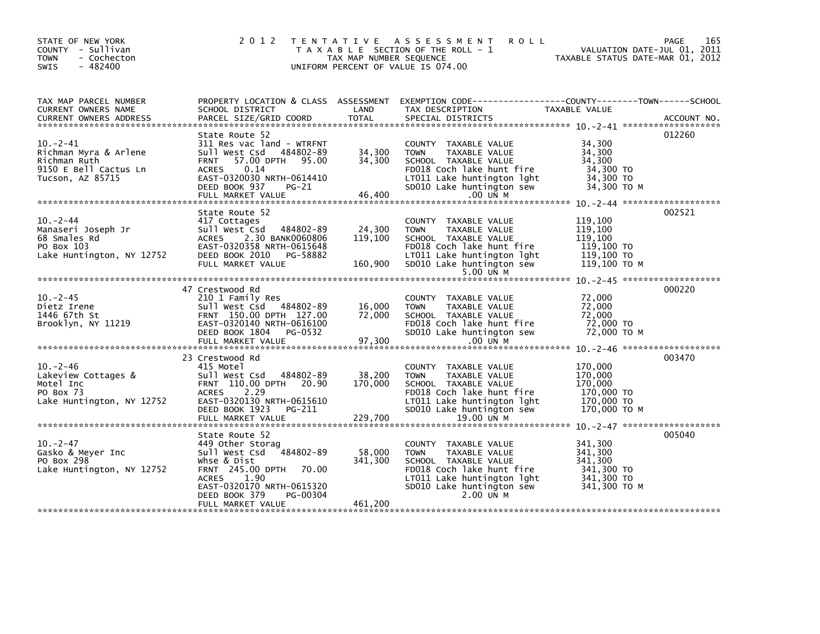| STATE OF NEW YORK<br>COUNTY - Sullivan<br><b>TOWN</b><br>- Cochecton<br>$-482400$<br>SWIS             | 2 0 1 2                                                                                                                                                                                                       | TAX MAP NUMBER SEQUENCE      | TENTATIVE ASSESSMENT<br><b>ROLL</b><br>T A X A B L E SECTION OF THE ROLL - 1<br>UNIFORM PERCENT OF VALUE IS 074.00                                                                 | VALUATION DATE-JUL 01, 2011<br>1 VALUATION DATE-JUL 01, 2011<br>TAXABLE STATUS DATE-MAR 01, 2012 | PAGE<br>165 |
|-------------------------------------------------------------------------------------------------------|---------------------------------------------------------------------------------------------------------------------------------------------------------------------------------------------------------------|------------------------------|------------------------------------------------------------------------------------------------------------------------------------------------------------------------------------|--------------------------------------------------------------------------------------------------|-------------|
| TAX MAP PARCEL NUMBER<br><b>CURRENT OWNERS NAME</b>                                                   | SCHOOL DISTRICT                                                                                                                                                                                               | LAND                         | PROPERTY LOCATION & CLASS ASSESSMENT EXEMPTION CODE----------------COUNTY-------TOWN------SCHOOL<br>TAX DESCRIPTION                                                                | TAXABLE VALUE                                                                                    |             |
| $10. -2 - 41$<br>Richman Myra & Arlene<br>Richman Ruth<br>9150 E Bell Cactus Ln<br>Tucson, AZ 85715   | State Route 52<br>311 Res vac land - WTRFNT<br>Sull West Csd 484802-89<br>FRNT 57.00 DPTH 95.00<br>0.14<br><b>ACRES</b><br>EAST-0320030 NRTH-0614410<br>DEED BOOK 937<br>PG-21                                | 34,300<br>34,300             | COUNTY TAXABLE VALUE<br><b>TOWN</b><br>TAXABLE VALUE<br>SCHOOL TAXABLE VALUE<br>FD018 Coch lake hunt fire<br>LT011 Lake huntington lght<br>SD010 Lake huntington sew               | 34,300<br>34,300<br>34,300<br>34,300 TO<br>34,300 TO<br>34,300 то м                              | 012260      |
| $10 - 2 - 44$<br>ro.<br>Manaseri Joseph Jr<br>68 Smales Rd<br>PO Box 103<br>Lake Huntington, NY 12752 | State Route 52<br>417 Cottages<br>Sull West Csd<br>484802-89<br>ACRES<br>2.30 BANK0060806<br>EAST-0320358 NRTH-0615648<br>DEED BOOK 2010 PG-58882<br>FULL MARKET VALUE                                        | 24,300<br>119,100<br>160,900 | COUNTY TAXABLE VALUE<br><b>TOWN</b><br>TAXABLE VALUE<br>SCHOOL TAXABLE VALUE<br>FD018 Coch lake hunt fire<br>LT011 Lake huntington lght<br>SD010 Lake huntington sew<br>5.00 UN M  | 119,100<br>119,100<br>119,100<br>119,100 TO<br>119,100 TO<br>119,100 то м                        | 002521      |
| $10 - 2 - 45$<br>Dietz Irene<br>1446 67th St<br>Brooklyn, NY 11219                                    | 47 Crestwood Rd<br>210 1 Family Res<br>Sull West Csd 484802-89<br>FRNT 150.00 DPTH 127.00<br>EAST-0320140 NRTH-0616100<br>DEED BOOK 1804<br>PG-0532                                                           | 16,000<br>72,000             | COUNTY TAXABLE VALUE<br>TAXABLE VALUE<br><b>TOWN</b><br>SCHOOL TAXABLE VALUE<br>FD018 Coch lake hunt fire<br>SD010 Lake huntington sew                                             | 72,000<br>72,000<br>72,000<br>72,000 TO<br>72.000 то м                                           | 000220      |
| $10. -2 - 46$<br>Lakeview Cottages &<br>Motel Inc<br>PO Box 73<br>Lake Huntington, NY 12752           | 23 Crestwood Rd<br>415 Motel<br>Sull West Csd 484802-89<br>EAST-0320130 NRTH-0615610<br>DEED BOOK 1923<br>PG-211<br>FULL MARKET VALUE                                                                         | 38,200<br>170,000<br>229,700 | COUNTY TAXABLE VALUE<br><b>TOWN</b><br>TAXABLE VALUE<br>SCHOOL TAXABLE VALUE<br>FD018 Coch lake hunt fire<br>LT011 Lake huntington lght<br>SD010 Lake huntington sew<br>19.00 UN M | 170,000<br>170,000<br>170,000<br>170,000 TO<br>170,000 TO<br>170.000 TO M                        | 003470      |
| $10 - 2 - 47$<br>Gasko & Meyer Inc<br>PO Box 298<br>Lake Huntington, NY 12752                         | State Route 52<br>449 Other Storag<br>Sull West Csd 484802-89<br>whse & Dist<br>FRNT 245.00 DPTH 70.00<br><b>ACRES</b><br>1.90<br>EAST-0320170 NRTH-0615320<br>PG-00304<br>DEED BOOK 379<br>FULL MARKET VALUE | 58,000<br>341,300<br>461,200 | COUNTY TAXABLE VALUE<br><b>TOWN</b><br>TAXABLE VALUE<br>SCHOOL TAXABLE VALUE<br>FD018 Coch lake hunt fire<br>LT011 Lake huntington lght<br>SD010 Lake huntington sew<br>2.00 UN M  | 341,300<br>341,300<br>341,300<br>$341,300$ TO<br>341,300 TO<br>341,300 то м                      | 005040      |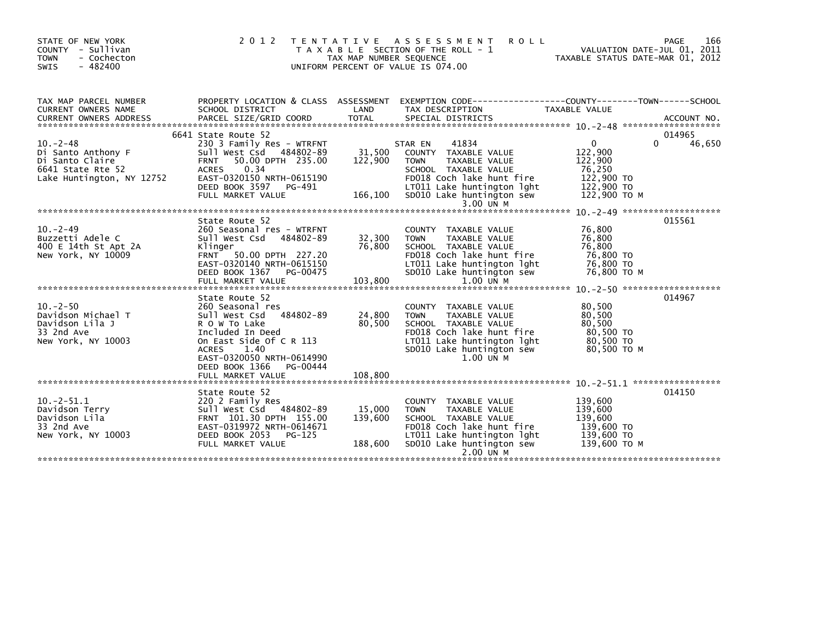| STATE OF NEW YORK<br>COUNTY - Sullivan<br>- Cochecton<br><b>TOWN</b><br>$-482400$<br><b>SWIS</b>         | 2012                                                                                                                                                                                                             | TAX MAP NUMBER SEQUENCE      | <b>ROLL</b><br>TENTATIVE ASSESSMENT<br>T A X A B L E SECTION OF THE ROLL - 1<br>UNIFORM PERCENT OF VALUE IS 074.00                                                                                    | TAXABLE STATUS DATE-MAR 01, 2012                                                         | <b>PAGE</b><br>166<br>VALUATION DATE-JUL 01, 2011 |
|----------------------------------------------------------------------------------------------------------|------------------------------------------------------------------------------------------------------------------------------------------------------------------------------------------------------------------|------------------------------|-------------------------------------------------------------------------------------------------------------------------------------------------------------------------------------------------------|------------------------------------------------------------------------------------------|---------------------------------------------------|
| TAX MAP PARCEL NUMBER<br>CURRENT OWNERS NAME                                                             | SCHOOL DISTRICT                                                                                                                                                                                                  | LAND                         | PROPERTY LOCATION & CLASS ASSESSMENT EXEMPTION CODE----------------COUNTY-------TOWN------SCHOOL<br>TAX DESCRIPTION                                                                                   | TAXABLE VALUE                                                                            |                                                   |
| $10 - 2 - 48$<br>Di Santo Anthony F<br>Di Santo Claire<br>6641 State Rte 52<br>Lake Huntington, NY 12752 | 6641 State Route 52<br>230 3 Family Res - WTRFNT<br>Sull West Csd 484802-89<br>FRNT 50.00 DPTH 235.00<br><b>ACRES</b><br>0.34<br>EAST-0320150 NRTH-0615190<br>DEED BOOK 3597 PG-491<br>FULL MARKET VALUE         | 31,500<br>122,900<br>166,100 | 41834<br>STAR EN<br>COUNTY TAXABLE VALUE<br>TAXABLE VALUE<br><b>TOWN</b><br>SCHOOL TAXABLE VALUE<br>FD018 Coch lake hunt fire<br>LT011 Lake huntington lght<br>SD010 Lake huntington sew<br>3.00 UN M | $\mathbf{0}$<br>122,900<br>122,900<br>76,250<br>122,900 TO<br>122,900 TO<br>122,900 ТО М | 014965<br>$\Omega$<br>46,650                      |
|                                                                                                          | State Route 52                                                                                                                                                                                                   |                              |                                                                                                                                                                                                       |                                                                                          | 015561                                            |
| $10. -2 - 49$<br>Buzzetti Adele C<br>400 E 14th St Apt 2A<br>New York, NY 10009                          | 260 Seasonal res - WTRFNT<br>Sull West Csd 484802-89<br>Klinger<br>FRNT 50.00 DPTH 227.20<br>EAST-0320140 NRTH-0615150<br>DEED BOOK 1367 PG-00475                                                                | 32,300<br>76,800             | COUNTY TAXABLE VALUE<br><b>TOWN</b><br>TAXABLE VALUE<br>SCHOOL TAXABLE VALUE<br>FD018 Coch lake hunt fire<br>LT011 Lake huntington lght<br>SD010 Lake huntington sew                                  | 76,800<br>76,800<br>76,800<br>76,800 TO<br>76,800 TO<br>76,800 ТО М                      |                                                   |
|                                                                                                          | FULL MARKET VALUE                                                                                                                                                                                                | 103,800                      | 1.00 UN M                                                                                                                                                                                             |                                                                                          |                                                   |
| $10 - 2 - 50$<br>Davidson Michael T<br>Davidson Lila J<br>33 2nd Ave<br>New York, NY 10003               | State Route 52<br>260 Seasonal res<br>Sull West Csd 484802-89<br>R O W To Lake<br>Included In Deed<br>On East Side Of C R 113<br>1.40<br><b>ACRES</b><br>EAST-0320050 NRTH-0614990<br>DEED BOOK 1366<br>PG-00444 | 24,800<br>80,500             | COUNTY TAXABLE VALUE<br><b>TOWN</b><br>TAXABLE VALUE<br>SCHOOL TAXABLE VALUE<br>FD018 Coch lake hunt fire<br>LT011 Lake huntington lght<br>SD010 Lake huntington sew<br>1.00 UN M                     | 80,500<br>80,500<br>80,500<br>80,500 TO<br>80,500 TO<br>80,500 ТО М                      | 014967                                            |
|                                                                                                          |                                                                                                                                                                                                                  |                              |                                                                                                                                                                                                       |                                                                                          |                                                   |
| $10.-2-51.1$<br>Davidson Terry<br>Davidson Lila<br>33 2nd Ave<br>New York, NY 10003                      | State Route 52<br>220 2 Family Res<br>Sull West Csd 484802-89<br>FRNT 101.30 DPTH 155.00<br>EAST-0319972 NRTH-0614671<br>DEED BOOK 2053<br>PG-125<br>FULL MARKET VALUE                                           | 15,000<br>139,600<br>188,600 | <b>COUNTY</b><br>TAXABLE VALUE<br><b>TOWN</b><br>TAXABLE VALUE<br>SCHOOL TAXABLE VALUE<br>FD018 Coch lake hunt fire<br>LT011 Lake huntington lght<br>SD010 Lake huntington sew<br>2.00 UN M           | 139,600<br>139,600<br>139,600<br>139,600 TO<br>139,600 TO<br>139,600 то м                | 014150                                            |
|                                                                                                          |                                                                                                                                                                                                                  |                              |                                                                                                                                                                                                       |                                                                                          |                                                   |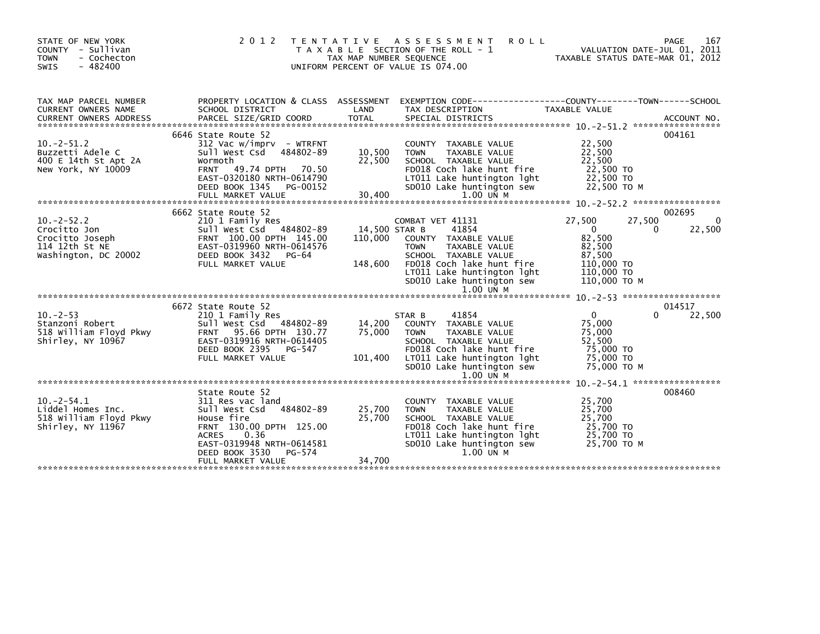| STATE OF NEW YORK<br>COUNTY - Sullivan<br>- Cochecton<br><b>TOWN</b><br>$-482400$<br><b>SWIS</b> | 2 0 1 2                                                                                                                                                                                                          | T E N T A T I V E<br>TAX MAP NUMBER SEQUENCE | <b>ROLL</b><br>A S S E S S M E N T<br>T A X A B L E SECTION OF THE ROLL - 1<br>UNIFORM PERCENT OF VALUE IS 074.00                                                                                                            | VALUATION DATE-JUL 01, 2011<br>TAXABLE STATUS DATE-MAR 01, 2012                                        | 167<br><b>PAGE</b>         |
|--------------------------------------------------------------------------------------------------|------------------------------------------------------------------------------------------------------------------------------------------------------------------------------------------------------------------|----------------------------------------------|------------------------------------------------------------------------------------------------------------------------------------------------------------------------------------------------------------------------------|--------------------------------------------------------------------------------------------------------|----------------------------|
| TAX MAP PARCEL NUMBER<br>CURRENT OWNERS NAME                                                     | PROPERTY LOCATION & CLASS ASSESSMENT<br>SCHOOL DISTRICT                                                                                                                                                          | LAND                                         | EXEMPTION CODE-----------------COUNTY-------TOWN------SCHOOL<br>TAX DESCRIPTION                                                                                                                                              | TAXABLE VALUE                                                                                          |                            |
| $10. -2 - 51.2$<br>Buzzetti Adele C<br>400 E 14th St Apt 2A<br>New York, NY 10009                | 6646 State Route 52<br>$312$ Vac w/imprv - WTRFNT<br>sull west Csd<br>484802-89<br>Wormoth<br><b>FRNT</b><br>49.74 DPTH<br>70.50<br>EAST-0320180 NRTH-0614790<br>DEED BOOK 1345<br>PG-00152<br>FULL MARKET VALUE | 10,500<br>22,500<br>30,400                   | COUNTY TAXABLE VALUE<br>TAXABLE VALUE<br><b>TOWN</b><br>SCHOOL TAXABLE VALUE<br>FD018 Coch lake hunt fire<br>LT011 Lake huntington lght<br>SD010 Lake huntington sew<br>$1.00$ UN M                                          | 22,500<br>22,500<br>22,500<br>22,500 TO<br>22,500 TO<br>22,500 TO M                                    | 004161                     |
| $10 - 2 - 52.2$<br>Crocitto Jon<br>Crocitto Joseph<br>114 12th St NE<br>Washington, DC 20002     | 6662 State Route 52<br>210 1 Family Res<br>Sull West Csd 484802-89<br>FRNT 100.00 DPTH 145.00<br>EAST-0319960 NRTH-0614576<br>DEED BOOK 3432<br>PG-64<br>FULL MARKET VALUE                                       | 14,500 STAR B<br>110,000<br>148,600          | COMBAT VET 41131<br>41854<br>COUNTY TAXABLE VALUE<br><b>TOWN</b><br>TAXABLE VALUE<br>SCHOOL TAXABLE VALUE<br>FD018 Coch lake hunt fire<br>LT011 Lake huntington lght<br>SD010 Lake huntington sew<br>$1.00$ $\overline{u}$ M | 27,500<br>27,500<br>$\Omega$<br>82,500<br>82,500<br>87,500<br>110,000 TO<br>110,000 TO<br>110,000 ТО М | 002695<br>0<br>22,500<br>0 |
| $10 - 2 - 53$<br>Stanzoni Robert<br>518 William Floyd Pkwy<br>Shirley, NY 10967                  | 6672 State Route 52<br>210 1 Family Res<br>Sull West Csd 484802-89<br><b>FRNT</b><br>95.66 DPTH 130.77<br>EAST-0319916 NRTH-0614405<br>DEED BOOK 2395<br>PG-547<br>FULL MARKET VALUE                             | 14,200<br>75,000<br>101,400                  | 41854<br>STAR B<br>COUNTY TAXABLE VALUE<br><b>TOWN</b><br><b>TAXABLE VALUE</b><br>SCHOOL TAXABLE VALUE<br>FD018 Coch lake hunt fire<br>LT011 Lake huntington lght<br>SD010 Lake huntington sew                               | $\mathbf{0}$<br>75,000<br>75,000<br>52,500<br>75,000 TO<br>75,000 TO<br>75,000 TO M                    | 014517<br>0<br>22,500      |
| $10 - 2 - 54.1$<br>Liddel Homes Inc.<br>518 William Floyd Pkwy<br>Shirley, NY 11967              | State Route 52<br>311 Res vac land<br>Sull West Csd<br>484802-89<br>House fire<br>FRNT 130.00 DPTH 125.00<br>0.36<br><b>ACRES</b><br>EAST-0319948 NRTH-0614581<br>DEED BOOK 3530<br>PG-574<br>FULL MARKET VALUE  | 25,700<br>25,700                             | $1.00$ UN M<br>COUNTY TAXABLE VALUE<br><b>TOWN</b><br>TAXABLE VALUE<br>SCHOOL TAXABLE VALUE<br>FD018 Coch lake hunt fire<br>LT011 Lake huntington lght<br>SD010 Lake huntington sew<br>$1.00$ UN M                           | 10. -2-54.1 ******************<br>25,700<br>25,700<br>25,700<br>25,700 TO<br>25,700 TO<br>25,700 TO M  | 008460                     |
|                                                                                                  |                                                                                                                                                                                                                  | 34,700                                       |                                                                                                                                                                                                                              |                                                                                                        |                            |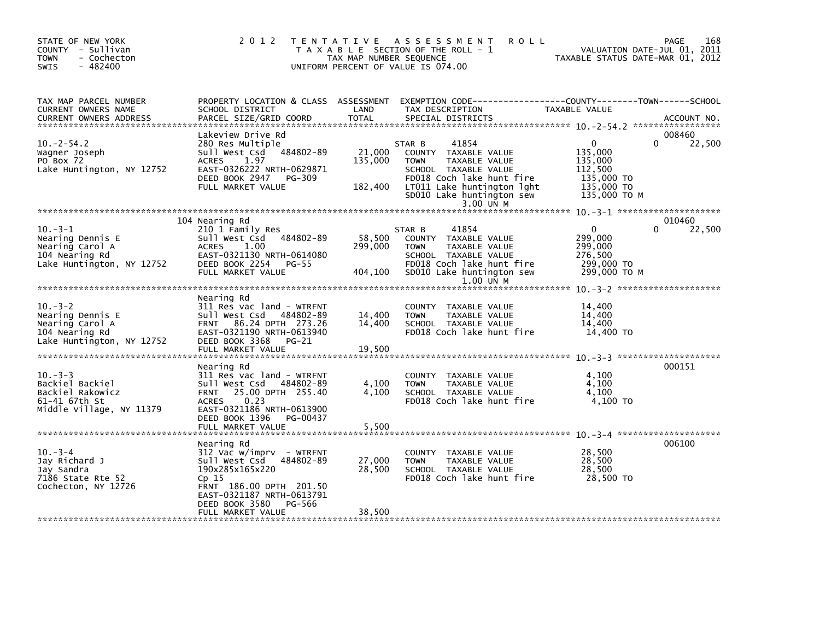| STATE OF NEW YORK<br>COUNTY - Sullivan<br><b>TOWN</b><br>- Cochecton<br>$-482400$<br>SWIS          | 2012 TENTATIVE                                                                                                                                                                                                 | TAX MAP NUMBER SEQUENCE      | A S S E S S M E N T<br><b>ROLL</b><br>T A X A B L E SECTION OF THE ROLL - 1<br>UNIFORM PERCENT OF VALUE IS 074.00                                                                                    | TAXABLE STATUS DATE-MAR 01, 2012                                                          | 168<br>PAGE<br>VALUATION DATE-JUL 01, 2011 |
|----------------------------------------------------------------------------------------------------|----------------------------------------------------------------------------------------------------------------------------------------------------------------------------------------------------------------|------------------------------|------------------------------------------------------------------------------------------------------------------------------------------------------------------------------------------------------|-------------------------------------------------------------------------------------------|--------------------------------------------|
| TAX MAP PARCEL NUMBER<br>CURRENT OWNERS NAME<br><b>CURRENT OWNERS ADDRESS</b>                      | PROPERTY LOCATION & CLASS ASSESSMENT<br>SCHOOL DISTRICT<br>PARCEL SIZE/GRID COORD                                                                                                                              | LAND<br><b>TOTAL</b>         | EXEMPTION CODE-----------------COUNTY-------TOWN------SCHOOL<br>TAX DESCRIPTION<br>SPECIAL DISTRICTS                                                                                                 | TAXABLE VALUE                                                                             | ACCOUNT NO.                                |
| $10 - 2 - 54.2$<br>Wagner Joseph<br>PO Box 72<br>Lake Huntington, NY 12752                         | Lakeview Drive Rd<br>280 Res Multiple<br>484802-89<br>Sull West Csd<br>1.97<br><b>ACRES</b><br>EAST-0326222 NRTH-0629871<br>DEED BOOK 2947<br>PG-309<br>FULL MARKET VALUE                                      | 21,000<br>135,000<br>182,400 | 41854<br>STAR B<br>COUNTY TAXABLE VALUE<br>TAXABLE VALUE<br><b>TOWN</b><br>SCHOOL TAXABLE VALUE<br>FD018 Coch lake hunt fire<br>LT011 Lake huntington lght<br>SD010 Lake huntington sew<br>3.00 UN M | $\mathbf{0}$<br>135,000<br>135,000<br>112,500<br>135,000 TO<br>135,000 TO<br>135,000 TO M | 008460<br>22,500<br>0                      |
| $10. -3 - 1$<br>Nearing Dennis E<br>Nearing Carol A<br>104 Nearing Rd<br>Lake Huntington, NY 12752 | 104 Nearing Rd<br>210 1 Family Res<br>Sull West Csd 484802-89<br><b>ACRES</b><br>1.00<br>EAST-0321130 NRTH-0614080<br>DEED BOOK 2254 PG-55<br>FULL MARKET VALUE                                                | 58,500<br>299,000<br>404,100 | 41854<br>STAR B<br>COUNTY TAXABLE VALUE<br>TAXABLE VALUE<br><b>TOWN</b><br>SCHOOL TAXABLE VALUE<br>FD018 Coch lake hunt fire<br>SD010 Lake huntington sew<br>$1.00$ UN M                             | $\Omega$<br>299,000<br>299,000<br>276,500<br>299,000 TO<br>299,000 ТО М                   | 010460<br>22,500<br>0                      |
| $10. -3 - 2$<br>Nearing Dennis E<br>Nearing Carol A<br>104 Nearing Rd<br>Lake Huntington, NY 12752 | Nearing Rd<br>311 Res vac land - WTRFNT<br>Sull West Csd<br>484802-89<br>FRNT 86.24 DPTH 273.26<br>EAST-0321190 NRTH-0613940<br>DEED BOOK 3368<br><b>PG-21</b><br>FULL MARKET VALUE                            | 14,400<br>14,400<br>19,500   | COUNTY TAXABLE VALUE<br><b>TOWN</b><br>TAXABLE VALUE<br>SCHOOL TAXABLE VALUE<br>FD018 Coch lake hunt fire                                                                                            | 14,400<br>14,400<br>14,400<br>14,400 TO                                                   |                                            |
| $10 - 3 - 3$<br>Backiel Backiel<br>Backiel Rakowicz<br>61-41 67th St<br>Middle Village, NY 11379   | Nearing Rd<br>311 Res vac land - WTRFNT<br>Sull West Csd 484802-89<br>25.00 DPTH 255.40<br><b>FRNT</b><br>0.23<br><b>ACRES</b><br>EAST-0321186 NRTH-0613900<br>DEED BOOK 1396<br>PG-00437<br>FULL MARKET VALUE | 4,100<br>4,100<br>5,500      | COUNTY TAXABLE VALUE<br><b>TOWN</b><br>TAXABLE VALUE<br>SCHOOL TAXABLE VALUE<br>FD018 Coch lake hunt fire                                                                                            | 4,100<br>4,100<br>4,100<br>4,100 TO                                                       | 000151                                     |
| $10. -3 -4$<br>Jay Richard J<br>Jay Sandra<br>7186 State Rte 52<br>Cochecton, NY 12726             | Nearing Rd<br>$312$ Vac w/imprv - WTRFNT<br>Sull West Csd 484802-89<br>190x285x165x220<br>Cp 15<br>FRNT 186.00 DPTH 201.50<br>EAST-0321187 NRTH-0613791<br>DEED BOOK 3580<br>PG-566<br>FULL MARKET VALUE       | 27,000<br>28,500<br>38,500   | COUNTY TAXABLE VALUE<br><b>TOWN</b><br>TAXABLE VALUE<br>SCHOOL TAXABLE VALUE<br>FD018 Coch lake hunt fire                                                                                            | 28,500<br>28,500<br>28,500<br>28,500 TO                                                   | 006100                                     |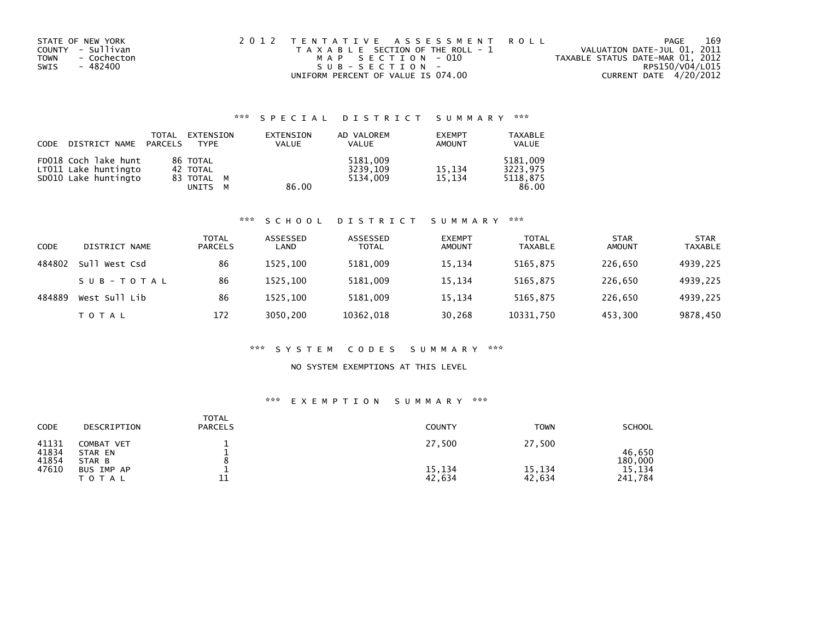| STATE OF NEW YORK          | 2012 TENTATIVE ASSESSMENT ROLL        | PAGE                             | 169 |
|----------------------------|---------------------------------------|----------------------------------|-----|
| COUNTY - Sullivan          | T A X A B L E SECTION OF THE ROLL - 1 | VALUATION DATE-JUL 01, 2011      |     |
| <b>TOWN</b><br>- Cochecton | MAP SECTION - 010                     | TAXABLE STATUS DATE-MAR 01, 2012 |     |
| SWIS<br>- 482400           | $SUB - SECTION -$                     | RPS150/V04/L015                  |     |
|                            | UNIFORM PERCENT OF VALUE IS 074.00    | CURRENT DATE 4/20/2012           |     |

## \*\*\* S P E C I A L D I S T R I C T S U M M A R Y \*\*\*

| CODE | DISTRICT NAME PARCELS                                                | TOTAL | EXTENSION<br><b>TYPF</b>                         | EXTENSION<br>VALUE | AD VALOREM<br><b>VALUE</b>       | <b>EXEMPT</b><br><b>AMOUNT</b> | <b>TAXABLE</b><br><b>VALUE</b>            |
|------|----------------------------------------------------------------------|-------|--------------------------------------------------|--------------------|----------------------------------|--------------------------------|-------------------------------------------|
|      | FD018 Coch lake hunt<br>LT011 Lake huntingto<br>SD010 Lake huntingto |       | 86 TOTAL<br>42 TOTAL<br>83 TOTAL M<br>UNITS<br>M | 86.00              | 5181,009<br>3239,109<br>5134.009 | 15,134<br>15.134               | 5181.009<br>3223.975<br>5118,875<br>86.00 |

#### \*\*\* S C H O O L D I S T R I C T S U M M A R Y \*\*\*

| CODE   | DISTRICT NAME | <b>TOTAL</b><br><b>PARCELS</b> | ASSESSED<br>LAND | ASSESSED<br><b>TOTAL</b> | <b>EXEMPT</b><br><b>AMOUNT</b> | <b>TOTAL</b><br><b>TAXABLE</b> | <b>STAR</b><br><b>AMOUNT</b> | <b>STAR</b><br><b>TAXABLE</b> |
|--------|---------------|--------------------------------|------------------|--------------------------|--------------------------------|--------------------------------|------------------------------|-------------------------------|
| 484802 | Sull West Csd | 86                             | 1525.100         | 5181,009                 | 15,134                         | 5165,875                       | 226,650                      | 4939,225                      |
|        | SUB-TOTAL     | 86                             | 1525.100         | 5181.009                 | 15,134                         | 5165,875                       | 226.650                      | 4939,225                      |
| 484889 | West Sull Lib | 86                             | 1525.100         | 5181,009                 | 15,134                         | 5165,875                       | 226,650                      | 4939,225                      |
|        | T O T A L     | 172                            | 3050.200         | 10362,018                | 30,268                         | 10331,750                      | 453,300                      | 9878,450                      |

#### \*\*\* S Y S T E M C O D E S S U M M A R Y \*\*\*

### NO SYSTEM EXEMPTIONS AT THIS LEVEL

### \*\*\* E X E M P T I O N S U M M A R Y \*\*\*

| CODE                    | DESCRIPTION                     | <b>TOTAL</b><br><b>PARCELS</b> | <b>COUNTY</b>    | <b>TOWN</b>      | <b>SCHOOL</b>     |
|-------------------------|---------------------------------|--------------------------------|------------------|------------------|-------------------|
| 41131<br>41834<br>41854 | COMBAT VET<br>STAR EN<br>STAR B |                                | 27,500           | 27,500           | 46.650<br>180,000 |
| 47610                   | BUS IMP AP<br><b>TOTAL</b>      | ᆂᆂ                             | 15,134<br>42,634 | 15,134<br>42,634 | 15,134<br>241,784 |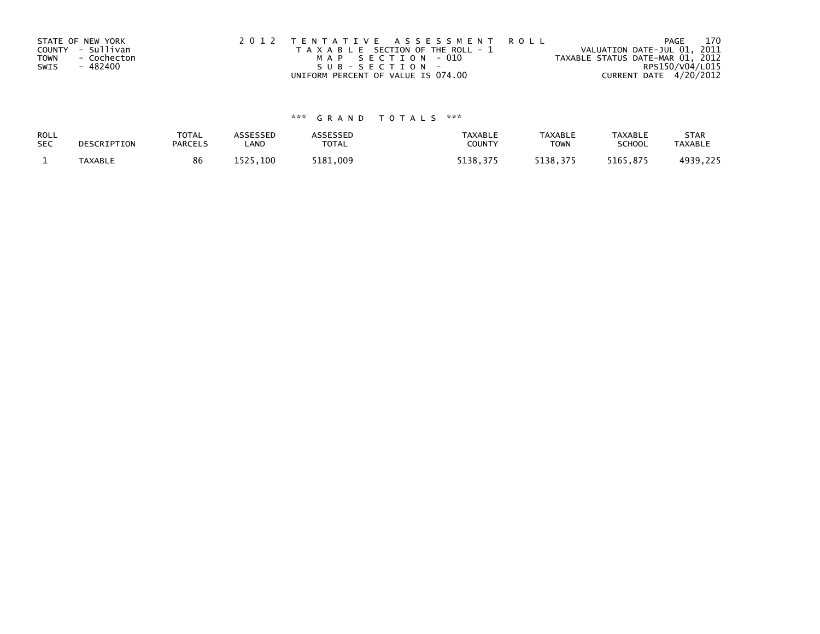| STATE OF NEW YORK   | 2012 TENTATIVE ASSESSMENT ROLL        | PAGE                             | 170             |
|---------------------|---------------------------------------|----------------------------------|-----------------|
| COUNTY - Sullivan   | T A X A B L E SECTION OF THE ROLL - 1 | VALUATION DATE-JUL 01, 2011      |                 |
| - Cochecton<br>TOWN | MAP SECTION - 010                     | TAXABLE STATUS DATE-MAR 01, 2012 |                 |
| - 482400<br>SWIS    | SUB-SECTION-                          |                                  | RPS150/V04/L015 |
|                     | UNIFORM PERCENT OF VALUE IS 074.00    | CURRENT DATE 4/20/2012           |                 |

# \*\*\* G R A N D T O T A L S \*\*\*

| ROLL       | DESCRIPTION | <b>TOTAL</b>   | ASSESSED | ASSESSED | <b>TAXABLE</b> | <b>TAXABLE</b> | <b>TAXABLE</b> | <b>STAR</b>    |
|------------|-------------|----------------|----------|----------|----------------|----------------|----------------|----------------|
| <b>SEC</b> |             | <b>PARCELS</b> | LAND     | TOTAL    | <b>COUNTY</b>  | <b>TOWN</b>    | <b>SCHOOL</b>  | <b>TAXABLE</b> |
|            | TAXABLE     | 86             | 1525.100 | 5181.009 | 5138.375       | 5138.375       | 5165.875       | 4939,225       |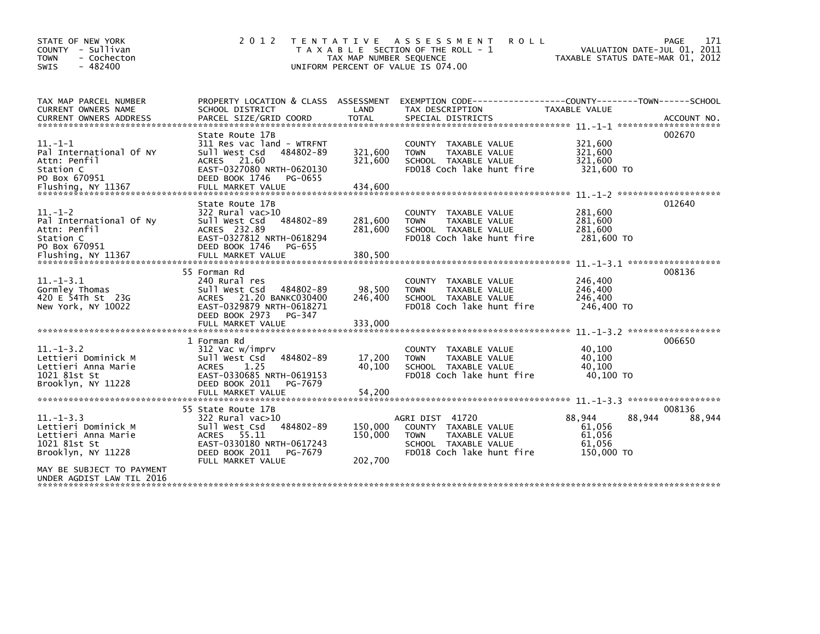| STATE OF NEW YORK<br>COUNTY - Sullivan<br><b>TOWN</b><br>- Cochecton<br>$-482400$<br><b>SWIS</b>                                                             | 2 0 1 2<br>T E N T A T I V E                                                                                                                                                   | TAX MAP NUMBER SEQUENCE       | A S S E S S M E N T<br><b>ROLL</b><br>T A X A B L E SECTION OF THE ROLL - 1<br>UNIFORM PERCENT OF VALUE IS 074.00            | TAXABLE STATUS DATE-MAR 01, 2012                   | 171<br>PAGE<br>VALUATION DATE-JUL 01, 2011     |
|--------------------------------------------------------------------------------------------------------------------------------------------------------------|--------------------------------------------------------------------------------------------------------------------------------------------------------------------------------|-------------------------------|------------------------------------------------------------------------------------------------------------------------------|----------------------------------------------------|------------------------------------------------|
| TAX MAP PARCEL NUMBER<br><b>CURRENT OWNERS NAME</b>                                                                                                          | PROPERTY LOCATION & CLASS ASSESSMENT<br>SCHOOL DISTRICT                                                                                                                        | LAND                          | EXEMPTION CODE-----------------COUNTY-------TOWN------SCHOOL<br>TAX DESCRIPTION                                              | TAXABLE VALUE                                      |                                                |
| $11. - 1 - 1$<br>Pal International Of NY<br>Attn: Penfil<br>Station C<br>PO Box 670951                                                                       | State Route 17B<br>311 Res vac land - WTRFNT<br>484802-89<br>Sull West Csd<br>ACRES 21.60<br>EAST-0327080 NRTH-0620130<br>DEED BOOK 1746<br>PG-0655                            | 321,600<br>321,600            | COUNTY TAXABLE VALUE<br>TAXABLE VALUE<br><b>TOWN</b><br>SCHOOL TAXABLE VALUE<br>FD018 Coch lake hunt fire                    | 321,600<br>321,600<br>321,600<br>321,600 TO        | 002670                                         |
| $11. - 1 - 2$<br>Pal International Of Ny<br>Attn: Penfil<br>Station C<br>PO Box 670951                                                                       | State Route 17B<br>322 Rural vac>10<br>484802-89<br>Sull West Csd<br>ACRES 232.89<br>EAST-0327812 NRTH-0618294<br>DEED BOOK 1746<br>PG-655                                     | 281,600<br>281,600            | COUNTY TAXABLE VALUE<br>TAXABLE VALUE<br><b>TOWN</b><br>SCHOOL TAXABLE VALUE<br>FD018 Coch lake hunt fire                    | 281,600<br>281,600<br>281,600<br>281,600 TO        | 012640<br>$11. - 1 - 3.1$ ******************** |
| $11. - 1 - 3.1$<br>Gormley Thomas<br>420 E 54Th St 23G<br>New York, NY 10022                                                                                 | 55 Forman Rd<br>240 Rural res<br>Sull West Csd<br>484802-89<br>21.20 BANKC030400<br><b>ACRES</b><br>EAST-0329879 NRTH-0618271<br>DEED BOOK 2973<br>PG-347<br>FULL MARKET VALUE | 98,500<br>246,400<br>333,000  | COUNTY TAXABLE VALUE<br><b>TOWN</b><br><b>TAXABLE VALUE</b><br>SCHOOL TAXABLE VALUE<br>FD018 Coch lake hunt fire             | 246,400<br>246,400<br>246,400<br>246,400 TO        | 008136                                         |
| $11. -1 - 3.2$<br>Lettieri Dominick M<br>Lettieri Anna Marie<br>1021 81st St<br>Brooklyn, NY 11228                                                           | 1 Forman Rd<br>312 Vac w/imprv<br>484802-89<br>Sull West Csd<br>1.25<br><b>ACRES</b><br>EAST-0330685 NRTH-0619153<br>DEED BOOK 2011<br>PG-7679<br>FULL MARKET VALUE            | 17,200<br>40,100<br>54,200    | COUNTY TAXABLE VALUE<br><b>TOWN</b><br>TAXABLE VALUE<br>SCHOOL TAXABLE VALUE<br>FD018 Coch lake hunt fire                    | 40,100<br>40,100<br>40.100<br>40.100 TO            | 006650                                         |
| $11. -1 - 3.3$<br>Lettieri Dominick M<br>Lettieri Anna Marie<br>1021 81st St<br>Brooklyn, NY 11228<br>MAY BE SUBJECT TO PAYMENT<br>UNDER AGDIST LAW TIL 2016 | 55 State Route 17B<br>$322$ Rural vac $>10$<br>484802-89<br>Sull West Csd<br>ACRES 55.11<br>EAST-0330180 NRTH-0617243<br>DEED BOOK 2011<br>PG-7679<br>FULL MARKET VALUE        | 150,000<br>150,000<br>202,700 | AGRI DIST 41720<br>COUNTY TAXABLE VALUE<br><b>TOWN</b><br>TAXABLE VALUE<br>SCHOOL TAXABLE VALUE<br>FD018 Coch lake hunt fire | 88,944<br>61,056<br>61,056<br>61.056<br>150,000 TO | 008136<br>88,944<br>88,944                     |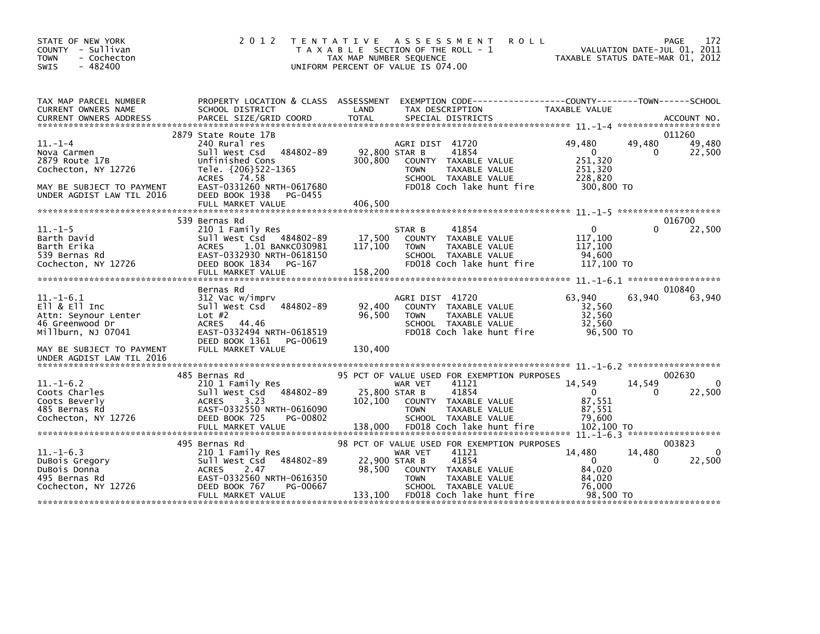| STATE OF NEW YORK<br>COUNTY - Sullivan<br><b>TOWN</b><br>- Cochecton<br>SWIS<br>$-482400$                                       | 2 0 1 2                                                                                                                                                                                | TENTATIVE ASSESSMENT<br><b>ROLL</b><br>T A X A B L E SECTION OF THE ROLL - 1<br>TAX MAP NUMBER SEQUENCE<br>UNIFORM PERCENT OF VALUE IS 074.00                                                                                | 172<br>PAGE<br>VALUATION DATE-JUL 01, 2011<br>TAXABLE STATUS DATE-MAR 01, 2012                                       |
|---------------------------------------------------------------------------------------------------------------------------------|----------------------------------------------------------------------------------------------------------------------------------------------------------------------------------------|------------------------------------------------------------------------------------------------------------------------------------------------------------------------------------------------------------------------------|----------------------------------------------------------------------------------------------------------------------|
| TAX MAP PARCEL NUMBER<br>CURRENT OWNERS NAME                                                                                    | PROPERTY LOCATION & CLASS ASSESSMENT<br>SCHOOL DISTRICT                                                                                                                                | LAND<br>TAX DESCRIPTION                                                                                                                                                                                                      | EXEMPTION CODE-----------------COUNTY-------TOWN------SCHOOL<br>TAXABLE VALUE                                        |
|                                                                                                                                 |                                                                                                                                                                                        |                                                                                                                                                                                                                              |                                                                                                                      |
| $11. - 1 - 4$<br>Nova Carmen<br>2879 Route 17B<br>Cochecton, NY 12726<br>MAY BE SUBJECT TO PAYMENT<br>UNDER AGDIST LAW TIL 2016 | 2879 State Route 17B<br>240 Rural res<br>484802-89<br>Sull West Csd<br>Unfinished Cons<br>Tele. {206}522-1365<br>ACRES 74.58<br>EAST-0331260 NRTH-0617680<br>DEED BOOK 1938<br>PG-0455 | AGRI DIST 41720<br>92,800 STAR B<br>41854<br>300,800<br>COUNTY TAXABLE VALUE<br>TAXABLE VALUE<br><b>TOWN</b><br>SCHOOL TAXABLE VALUE<br>FD018 Coch lake hunt fire                                                            | 011260<br>49,480<br>49,480<br>49,480<br>$\overline{0}$<br>22,500<br>0<br>251,320<br>251,320<br>228,820<br>300,800 TO |
|                                                                                                                                 |                                                                                                                                                                                        |                                                                                                                                                                                                                              |                                                                                                                      |
|                                                                                                                                 | 539 Bernas Rd                                                                                                                                                                          |                                                                                                                                                                                                                              | 016700                                                                                                               |
| $11.-1-5$<br>Barth David<br>Barth Erika<br>539 Bernas Rd<br>Cochecton, NY 12726                                                 | 210 1 Family Res<br>Sull West Csd<br>484802-89<br>ACRES<br>1.01 BANKC030981<br>EAST-0332930 NRTH-0618150<br>DEED BOOK 1834<br>PG-167<br>FULL MARKET VALUE                              | 41854<br>STAR B<br>17,500<br>COUNTY TAXABLE VALUE<br>117,100<br><b>TOWN</b><br>TAXABLE VALUE<br>SCHOOL TAXABLE VALUE<br>FD018 Coch lake hunt fire<br>158,200                                                                 | 22,500<br>$\mathbf{0}$<br>117,100<br>117,100<br>94.600<br>117,100 TO                                                 |
|                                                                                                                                 |                                                                                                                                                                                        |                                                                                                                                                                                                                              |                                                                                                                      |
| $11.-1-6.1$<br>$E11 & 8E11$ Inc<br>Attn: Seynour Lenter<br>46 Greenwood Dr<br>Millburn, NJ 07041                                | Bernas Rd<br>312 Vac w/imprv<br>484802-89<br>Sull West Csd<br>Lot $#2$<br><b>ACRES</b><br>44.46<br>EAST-0332494 NRTH-0618519<br>DEED BOOK 1361<br>PG-00619                             | AGRI DIST 41720<br>92,400<br>COUNTY TAXABLE VALUE<br>96,500<br>TAXABLE VALUE<br><b>TOWN</b><br>SCHOOL TAXABLE VALUE<br>FD018 Coch lake hunt fire                                                                             | 010840<br>63,940<br>63,940<br>63,940<br>32,560<br>32,560<br>32,560<br>96,500 TO                                      |
| MAY BE SUBJECT TO PAYMENT<br>UNDER AGDIST LAW TIL 2016                                                                          | FULL MARKET VALUE                                                                                                                                                                      | 130.400                                                                                                                                                                                                                      |                                                                                                                      |
|                                                                                                                                 |                                                                                                                                                                                        |                                                                                                                                                                                                                              |                                                                                                                      |
| $11.-1-6.2$<br>Coots Charles<br>Coots Beverly<br>485 Bernas Rd<br>Cochecton, NY 12726                                           | 485 Bernas Rd<br>210 1 Family Res<br>484802-89<br>Sull West Csd<br>3.23<br><b>ACRES</b><br>EAST-0332550 NRTH-0616090<br>DEED BOOK 725<br>PG-00802<br>FULL MARKET VALUE                 | 95 PCT OF VALUE USED FOR EXEMPTION PURPOSES<br>41121<br>WAR VET<br>41854<br>25,800 STAR B<br>102,100<br>COUNTY TAXABLE VALUE<br>TAXABLE VALUE<br><b>TOWN</b><br>SCHOOL TAXABLE VALUE<br>FD018 Coch lake hunt fire<br>138,000 | 002630<br>$\Omega$<br>14,549<br>14,549<br>22,500<br>$\Omega$<br>0<br>87,551<br>87,551<br>79.600<br>102,100 TO        |
|                                                                                                                                 |                                                                                                                                                                                        |                                                                                                                                                                                                                              |                                                                                                                      |
| $11.-1-6.3$<br>DuBois Gregory<br>DuBois Donna<br>495 Bernas Rd<br>Cochecton, NY 12726                                           | 495 Bernas Rd<br>210 1 Family Res<br>484802-89<br>Sull West Csd<br><b>ACRES</b><br>2.47<br>EAST-0332560 NRTH-0616350<br>DEED BOOK 767<br>PG-00667                                      | 98 PCT OF VALUE USED FOR EXEMPTION PURPOSES<br>41121<br>WAR VET<br>41854<br>22,900 STAR B<br>98,500<br>COUNTY TAXABLE VALUE<br><b>TOWN</b><br>TAXABLE VALUE<br>SCHOOL TAXABLE VALUE<br>FD018 Coch lake hunt fire             | 003823<br>14,480<br>14,480<br>22,500<br>$\mathbf 0$<br>0<br>84,020<br>84,020<br>76.000<br>98,500 TO                  |
|                                                                                                                                 | FULL MARKET VALUE                                                                                                                                                                      | 133,100                                                                                                                                                                                                                      |                                                                                                                      |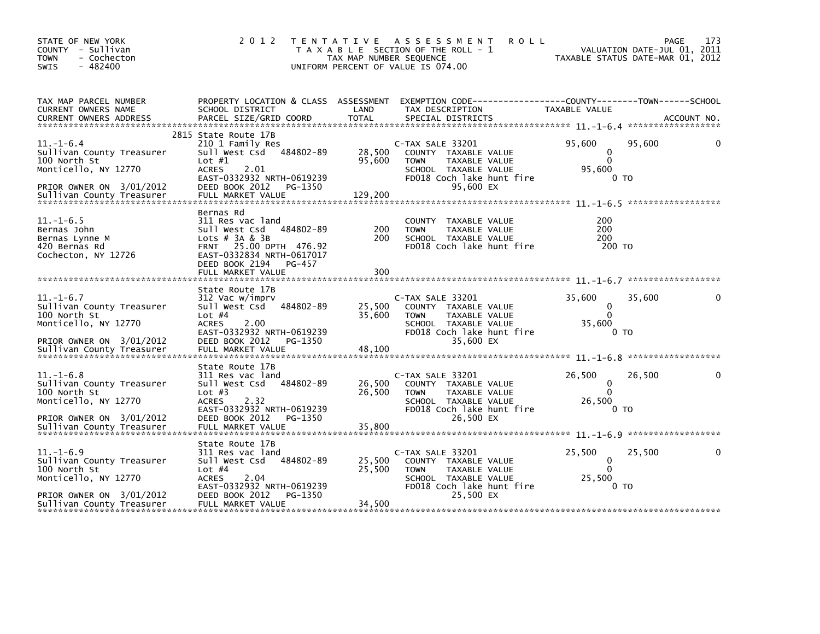| STATE OF NEW YORK<br>COUNTY - Sullivan<br><b>TOWN</b><br>- Cochecton<br>$-482400$<br><b>SWIS</b>                                              | 2 0 1 2                                                                                                                                                                                   | TAX MAP NUMBER SEQUENCE     | TENTATIVE ASSESSMENT<br><b>ROLL</b><br>T A X A B L E SECTION OF THE ROLL - 1<br>UNIFORM PERCENT OF VALUE IS 074.00                                | VALUATION DATE-JUL 01, 2011<br>TAXABLE STATUS DATE-MAR 01, 2012 | 173<br>PAGE |
|-----------------------------------------------------------------------------------------------------------------------------------------------|-------------------------------------------------------------------------------------------------------------------------------------------------------------------------------------------|-----------------------------|---------------------------------------------------------------------------------------------------------------------------------------------------|-----------------------------------------------------------------|-------------|
| TAX MAP PARCEL NUMBER<br><b>CURRENT OWNERS NAME</b>                                                                                           | PROPERTY LOCATION & CLASS ASSESSMENT<br>SCHOOL DISTRICT                                                                                                                                   | LAND                        | EXEMPTION CODE-----------------COUNTY-------TOWN------SCHOOL<br>TAX DESCRIPTION                                                                   | TAXABLE VALUE<br>******************                             | ACCOUNT NO. |
| $11.-1-6.4$<br>Sullivan County Treasurer<br>100 North St<br>Monticello, NY 12770<br>PRIOR OWNER ON 3/01/2012                                  | 2815 State Route 17B<br>210 1 Family Res<br>Sull West Csd<br>484802-89<br>Lot $#1$<br><b>ACRES</b><br>2.01<br>EAST-0332932 NRTH-0619239<br>DEED BOOK 2012<br>PG-1350<br>FULL MARKET VALUE | 28,500<br>95,600<br>129,200 | C-TAX SALE 33201<br>COUNTY TAXABLE VALUE<br><b>TOWN</b><br>TAXABLE VALUE<br>SCHOOL TAXABLE VALUE<br>FD018 Coch lake hunt fire<br>95,600 EX        | 95.600<br>95,600<br>0<br>$\Omega$<br>95,600<br>0 <sub>T</sub>   |             |
| $11. - 1 - 6.5$<br>Bernas John<br>Bernas Lynne M<br>420 Bernas Rd<br>Cochecton, NY 12726                                                      | Bernas Rd<br>311 Res vac land<br>484802-89<br>Sull West Csd<br>Lots $#$ 3A & 3B<br>FRNT 25.00 DPTH 476.92<br>EAST-0332834 NRTH-0617017<br>DEED BOOK 2194<br>PG-457<br>FULL MARKET VALUE   | 200<br>200<br>300           | TAXABLE VALUE<br><b>COUNTY</b><br>TAXABLE VALUE<br><b>TOWN</b><br>SCHOOL TAXABLE VALUE<br>FD018 Coch lake hunt fire                               | 200<br>200<br>200<br>200 TO                                     |             |
| $11. - 1 - 6.7$<br>Sullivan County Treasurer<br>100 North St<br>Monticello, NY 12770<br>PRIOR OWNER ON 3/01/2012                              | State Route 17B<br>312 Vac w/imprv<br>Sull West Csd<br>484802-89<br>Lot $#4$<br><b>ACRES</b><br>2.00<br>EAST-0332932 NRTH-0619239<br>DEED BOOK 2012<br>PG-1350                            | 25,500<br>35,600            | C-TAX SALE 33201<br>COUNTY TAXABLE VALUE<br><b>TOWN</b><br>TAXABLE VALUE<br>SCHOOL TAXABLE VALUE<br>FD018 Coch lake hunt fire<br>35,600 EX        | 35,600<br>35,600<br>0<br>$\Omega$<br>35,600<br>0 TO             |             |
| $11. - 1 - 6.8$<br>Sullivan County Treasurer<br>100 North St<br>Monticello, NY 12770<br>PRIOR OWNER ON 3/01/2012                              | State Route 17B<br>311 Res vac land<br>484802-89<br>Sull West Csd<br>Lot $#3$<br><b>ACRES</b><br>2.32<br>EAST-0332932 NRTH-0619239<br>DEED BOOK 2012<br>PG-1350                           | 26,500<br>26.500            | C-TAX SALE 33201<br>COUNTY TAXABLE VALUE<br><b>TAXABLE VALUE</b><br><b>TOWN</b><br>SCHOOL TAXABLE VALUE<br>FD018 Coch lake hunt fire<br>26,500 EX | 26,500<br>26,500<br>0<br>$\Omega$<br>26,500<br>0 <sub>T</sub>   |             |
| $11. - 1 - 6.9$<br>Sullivan County Treasurer<br>100 North St<br>Monticello, NY 12770<br>PRIOR OWNER ON 3/01/2012<br>Sullivan County Treasurer | State Route 17B<br>311 Res vac land<br>484802-89<br>Sull West Csd<br>Lot $#4$<br><b>ACRES</b><br>2.04<br>EAST-0332932 NRTH-0619239<br>DEED BOOK 2012<br>PG-1350<br>FULL MARKET VALUE      | 25,500<br>25,500<br>34,500  | C-TAX SALE 33201<br>COUNTY TAXABLE VALUE<br><b>TOWN</b><br>TAXABLE VALUE<br>SCHOOL TAXABLE VALUE<br>FD018 Coch lake hunt fire<br>25,500 EX        | 25,500<br>25,500<br>0<br>$\mathbf{0}$<br>25,500<br>0 TO         |             |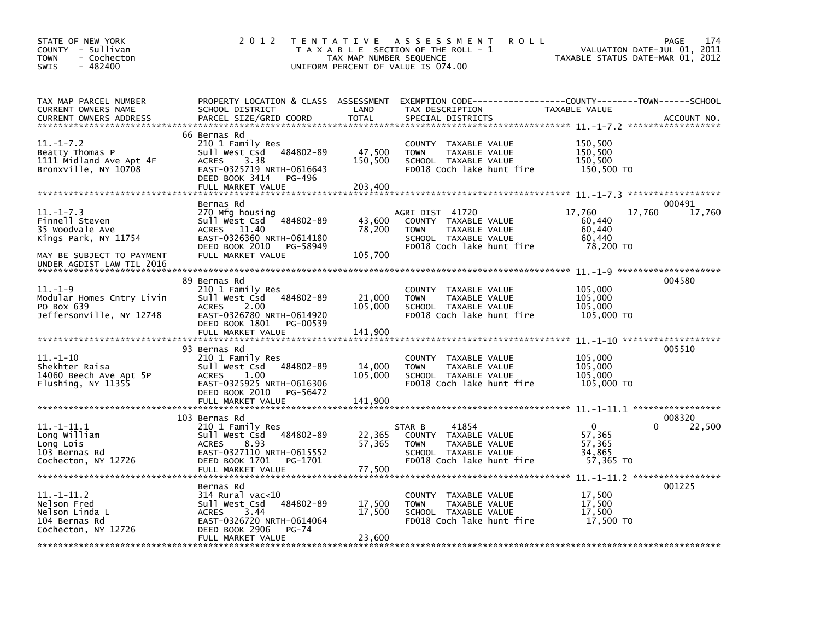| STATE OF NEW YORK<br>COUNTY - Sullivan<br>- Cochecton<br><b>TOWN</b><br>$-482400$<br><b>SWIS</b>                                       | 2 0 1 2                                                                                                                                                                | TAX MAP NUMBER SEQUENCE      | TENTATIVE ASSESSMENT<br><b>ROLL</b><br>T A X A B L E SECTION OF THE ROLL - 1<br>UNIFORM PERCENT OF VALUE IS 074.00           | TAXABLE STATUS DATE-MAR 01, 2012                            | 174<br>PAGE<br>VALUATION DATE-JUL 01, 2011 |
|----------------------------------------------------------------------------------------------------------------------------------------|------------------------------------------------------------------------------------------------------------------------------------------------------------------------|------------------------------|------------------------------------------------------------------------------------------------------------------------------|-------------------------------------------------------------|--------------------------------------------|
| TAX MAP PARCEL NUMBER<br>CURRENT OWNERS NAME<br>CURRENT OWNERS ADDRESS                                                                 | PROPERTY LOCATION & CLASS ASSESSMENT<br>SCHOOL DISTRICT<br>PARCEL SIZE/GRID COORD                                                                                      | LAND<br><b>TOTAL</b>         | TAX DESCRIPTION<br>SPECIAL DISTRICTS                                                                                         | TAXABLE VALUE                                               | ACCOUNT NO.                                |
| $11. - 1 - 7.2$<br>Beatty Thomas P<br>1111 Midland Ave Apt 4F<br>Bronxville, NY 10708                                                  | 66 Bernas Rd<br>210 1 Family Res<br>484802-89<br>Sull West Csd<br>3.38<br><b>ACRES</b><br>EAST-0325719 NRTH-0616643<br>DEED BOOK 3414<br>PG-496<br>FULL MARKET VALUE   | 47,500<br>150,500<br>203.400 | COUNTY<br>TAXABLE VALUE<br><b>TOWN</b><br>TAXABLE VALUE<br>SCHOOL TAXABLE VALUE<br>FD018 Coch lake hunt fire                 | 150,500<br>150,500<br>150,500<br>150,500 TO                 |                                            |
| $11. - 1 - 7.3$<br>Finnell Steven<br>35 Woodvale Ave<br>Kings Park, NY 11754<br>MAY BE SUBJECT TO PAYMENT<br>UNDER AGDIST LAW TIL 2016 | Bernas Rd<br>270 Mfg housing<br>Sull West Csd<br>484802-89<br><b>ACRES</b><br>11.40<br>EAST-0326360 NRTH-0614180<br>DEED BOOK 2010<br>PG-58949<br>FULL MARKET VALUE    | 43,600<br>78,200<br>105,700  | AGRI DIST 41720<br>COUNTY TAXABLE VALUE<br><b>TOWN</b><br>TAXABLE VALUE<br>SCHOOL TAXABLE VALUE<br>FD018 Coch lake hunt fire | 17,760<br>17,760<br>60,440<br>60,440<br>60,440<br>78,200 TO | 000491<br>17,760                           |
| $11. - 1 - 9$<br>Modular Homes Cntry Livin<br>PO Box 639<br>Jeffersonville, NY 12748                                                   | 89 Bernas Rd<br>210 1 Family Res<br>Sull West Csd<br>484802-89<br><b>ACRES</b><br>2.00<br>EAST-0326780 NRTH-0614920<br>DEED BOOK 1801<br>PG-00539<br>FULL MARKET VALUE | 21,000<br>105,000<br>141,900 | <b>COUNTY</b><br>TAXABLE VALUE<br>TAXABLE VALUE<br><b>TOWN</b><br>SCHOOL TAXABLE VALUE<br>FD018 Coch lake hunt fire          | 105,000<br>105,000<br>105,000<br>105,000 TO                 | 004580                                     |
| $11.-1-10$<br>Shekhter Raisa<br>14060 Beech Ave Apt 5P<br>Flushing, NY 11355                                                           | 93 Bernas Rd<br>210 1 Family Res<br>Sull West Csd<br>484802-89<br><b>ACRES</b><br>1.00<br>EAST-0325925 NRTH-0616306<br>DEED BOOK 2010<br>PG-56472<br>FULL MARKET VALUE | 14,000<br>105,000<br>141,900 | TAXABLE VALUE<br><b>COUNTY</b><br>TAXABLE VALUE<br><b>TOWN</b><br>SCHOOL TAXABLE VALUE<br>FD018 Coch lake hunt fire          | 105,000<br>105,000<br>105,000<br>105,000 TO                 | 005510                                     |
| $11. -1 - 11.1$<br>Long William<br>Long Lois<br>103 Bernas Rd<br>Cochecton, NY 12726                                                   | 103 Bernas Rd<br>210 1 Family Res<br>484802-89<br>Sull West Csd<br><b>ACRES</b><br>8.93<br>EAST-0327110 NRTH-0615552<br>DEED BOOK 1701<br>PG-1701<br>FULL MARKET VALUE | 22,365<br>57,365<br>77,500   | 41854<br>STAR B<br>COUNTY TAXABLE VALUE<br><b>TOWN</b><br>TAXABLE VALUE<br>SCHOOL TAXABLE VALUE<br>FD018 Coch lake hunt fire | $\Omega$<br>57,365<br>57,365<br>34,865<br>57,365 TO         | 008320<br>22,500                           |
| $11.-1-11.2$<br>Nelson Fred<br>Nelson Linda L<br>104 Bernas Rd<br>Cochecton, NY 12726                                                  | Bernas Rd<br>$314$ Rural vac<10<br>Sull West Csd<br>484802-89<br><b>ACRES</b><br>3.44<br>EAST-0326720 NRTH-0614064<br>DEED BOOK 2906<br>PG-74<br>FULL MARKET VALUE     | 17,500<br>17,500<br>23,600   | TAXABLE VALUE<br><b>COUNTY</b><br>TAXABLE VALUE<br><b>TOWN</b><br>SCHOOL TAXABLE VALUE<br>FD018 Coch lake hunt fire          | 17,500<br>17,500<br>17,500<br>17,500 TO                     | 001225                                     |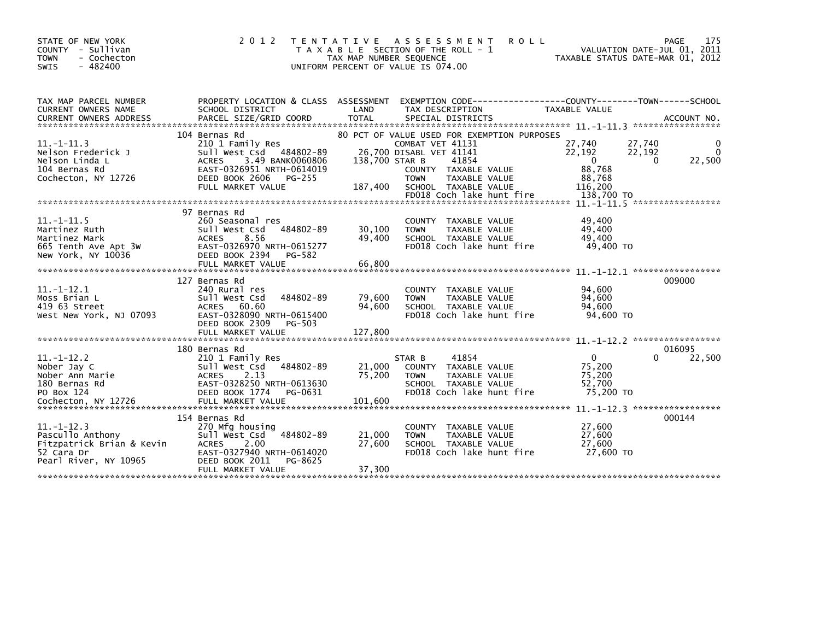| STATE OF NEW YORK<br>COUNTY - Sullivan<br><b>TOWN</b><br>- Cochecton<br>$-482400$<br><b>SWIS</b>        | 2 0 1 2                                                                                                                                                                        | T E N T A T I V E<br>TAX MAP NUMBER SEQUENCE | ASSESSMENT<br><b>ROLL</b><br>T A X A B L E SECTION OF THE ROLL - 1<br>UNIFORM PERCENT OF VALUE IS 074.00                                                                                                                | TAXABLE STATUS DATE-MAR 01, 2012                                                                  | 175<br>PAGE<br>VALUATION DATE-JUL 01, 2011 |
|---------------------------------------------------------------------------------------------------------|--------------------------------------------------------------------------------------------------------------------------------------------------------------------------------|----------------------------------------------|-------------------------------------------------------------------------------------------------------------------------------------------------------------------------------------------------------------------------|---------------------------------------------------------------------------------------------------|--------------------------------------------|
| TAX MAP PARCEL NUMBER<br><b>CURRENT OWNERS NAME</b><br><b>CURRENT OWNERS ADDRESS</b>                    | PROPERTY LOCATION & CLASS ASSESSMENT<br>SCHOOL DISTRICT<br>PARCEL SIZE/GRID COORD                                                                                              | LAND<br><b>TOTAL</b>                         | EXEMPTION CODE-----------------COUNTY-------TOWN------SCHOOL<br>TAX DESCRIPTION<br>SPECIAL DISTRICTS                                                                                                                    | TAXABLE VALUE                                                                                     | ACCOUNT NO.                                |
| $11.-1-11.3$<br>Nelson Frederick J<br>Nelson Linda L<br>104 Bernas Rd<br>Cochecton, NY 12726            | 104 Bernas Rd<br>210 1 Family Res<br>Sull West Csd 484802-89<br><b>ACRES</b><br>3.49 BANK0060806<br>EAST-0326951 NRTH-0614019<br>DEED BOOK 2606<br>PG-255<br>FULL MARKET VALUE | 138,700 STAR B<br>187,400                    | 80 PCT OF VALUE USED FOR EXEMPTION PURPOSES<br>COMBAT VET 41131<br>26,700 DISABL VET 41141<br>41854<br>COUNTY TAXABLE VALUE<br><b>TAXABLE VALUE</b><br><b>TOWN</b><br>SCHOOL TAXABLE VALUE<br>FD018 Coch lake hunt fire | 27,740<br>27,740<br>22,192<br>22,192<br>$\mathbf{0}$<br>88,768<br>88,768<br>116,200<br>138.700 TO | 22,500<br>0                                |
|                                                                                                         |                                                                                                                                                                                |                                              |                                                                                                                                                                                                                         |                                                                                                   |                                            |
| $11. - 1 - 11.5$<br>Martinez Ruth<br>Martinez Mark<br>665 Tenth Ave Apt 3W<br>New York, NY 10036        | 97 Bernas Rd<br>260 Seasonal res<br>Sull West Csd<br>484802-89<br>8.56<br><b>ACRES</b><br>EAST-0326970 NRTH-0615277<br>DEED BOOK 2394<br>PG-582<br>FULL MARKET VALUE           | 30,100<br>49.400<br>66,800                   | <b>COUNTY</b><br>TAXABLE VALUE<br>TAXABLE VALUE<br><b>TOWN</b><br>SCHOOL TAXABLE VALUE<br>FD018 Coch lake hunt fire                                                                                                     | 49,400<br>49,400<br>49,400<br>49,400 TO                                                           |                                            |
|                                                                                                         | 127 Bernas Rd                                                                                                                                                                  |                                              |                                                                                                                                                                                                                         |                                                                                                   | 009000                                     |
| $11. -1 - 12.1$<br>Moss Brian L<br>419 63 Street<br>West New York. NJ 07093                             | 240 Rural res<br>Sull West Csd<br>484802-89<br>60.60<br><b>ACRES</b><br>EAST-0328090 NRTH-0615400<br>DEED BOOK 2309<br>PG-503                                                  | 79,600<br>94,600                             | TAXABLE VALUE<br>COUNTY<br>TAXABLE VALUE<br><b>TOWN</b><br>SCHOOL TAXABLE VALUE<br>FD018 Coch lake hunt fire                                                                                                            | 94,600<br>94,600<br>94.600<br>94,600 TO                                                           |                                            |
|                                                                                                         | FULL MARKET VALUE                                                                                                                                                              | 127,800                                      |                                                                                                                                                                                                                         |                                                                                                   |                                            |
| $11. - 1 - 12.2$                                                                                        | 180 Bernas Rd<br>210 1 Family Res                                                                                                                                              |                                              | 41854<br>STAR B                                                                                                                                                                                                         | $\Omega$                                                                                          | 016095<br>22,500<br>0                      |
| Nober Jay C<br>Nober Ann Marie<br>180 Bernas Rd<br>PO Box 124                                           | Sull West Csd<br>484802-89<br><b>ACRES</b><br>2.13<br>EAST-0328250 NRTH-0613630<br>DEED BOOK 1774<br>PG-0631                                                                   | 21,000<br>75,200                             | COUNTY TAXABLE VALUE<br>TAXABLE VALUE<br><b>TOWN</b><br>SCHOOL TAXABLE VALUE<br>FD018 Coch lake hunt fire                                                                                                               | 75,200<br>75,200<br>52,700<br>75,200 TO                                                           |                                            |
|                                                                                                         | 154 Bernas Rd                                                                                                                                                                  |                                              |                                                                                                                                                                                                                         |                                                                                                   | 000144                                     |
| $11. -1 - 12.3$<br>Pascullo Anthony<br>Fitzpatrick Brian & Kevin<br>52 Cara Dr<br>Pearl River, NY 10965 | 270 Mfg housing<br>484802-89<br>Sull West Csd<br><b>ACRES</b><br>2.00<br>EAST-0327940 NRTH-0614020<br>DEED BOOK 2011<br>PG-8625                                                | 21,000<br>27,600                             | TAXABLE VALUE<br><b>COUNTY</b><br><b>TOWN</b><br><b>TAXABLE VALUE</b><br>SCHOOL TAXABLE VALUE<br>FD018 Coch lake hunt fire                                                                                              | 27.600<br>27,600<br>27,600<br>27,600 TO                                                           |                                            |
|                                                                                                         | FULL MARKET VALUE                                                                                                                                                              | 37,300                                       |                                                                                                                                                                                                                         |                                                                                                   |                                            |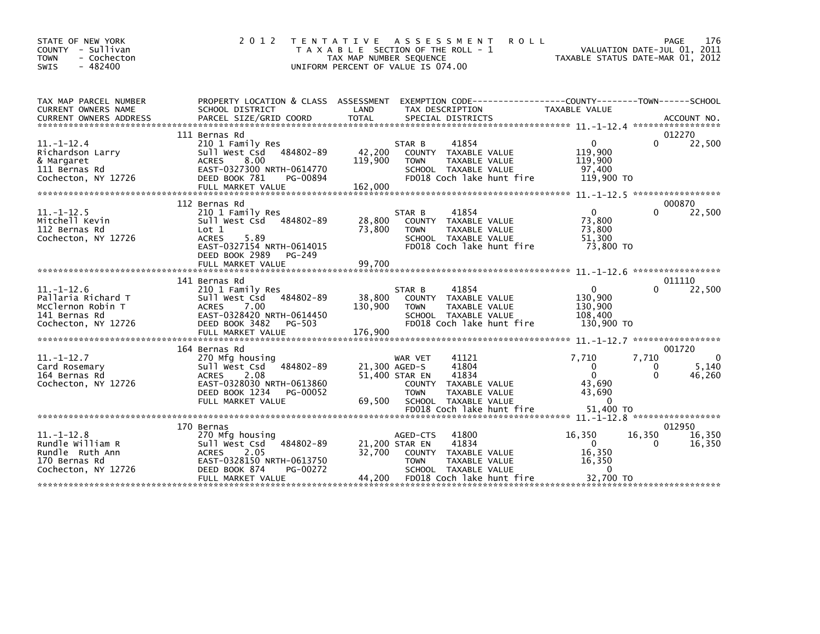| STATE OF NEW YORK<br>COUNTY<br>- Sullivan<br>- Cochecton<br><b>TOWN</b><br>$-482400$<br><b>SWIS</b> | 2 0 1 2                                                                                                                                                            | T E N T A T I V E<br>T A X A B L E SECTION OF THE ROLL - 1<br>TAX MAP NUMBER SEQUENCE<br>UNIFORM PERCENT OF VALUE IS 074.00 |                                                                            | A S S E S S M E N T                                                                                                 | <b>ROLL</b> | TAXABLE STATUS DATE-MAR 01, 2012                                                     | PAGE<br>VALUATION DATE-JUL 01, 2011 | 176                         |
|-----------------------------------------------------------------------------------------------------|--------------------------------------------------------------------------------------------------------------------------------------------------------------------|-----------------------------------------------------------------------------------------------------------------------------|----------------------------------------------------------------------------|---------------------------------------------------------------------------------------------------------------------|-------------|--------------------------------------------------------------------------------------|-------------------------------------|-----------------------------|
| TAX MAP PARCEL NUMBER<br>CURRENT OWNERS NAME                                                        | PROPERTY LOCATION & CLASS ASSESSMENT<br>SCHOOL DISTRICT                                                                                                            | LAND                                                                                                                        |                                                                            | TAX DESCRIPTION                                                                                                     |             | EXEMPTION CODE-----------------COUNTY-------TOWN------SCHOOL<br><b>TAXABLE VALUE</b> |                                     |                             |
|                                                                                                     | 111 Bernas Rd                                                                                                                                                      |                                                                                                                             |                                                                            |                                                                                                                     |             |                                                                                      |                                     | 012270                      |
| $11 - 1 - 12.4$<br>Richardson Larry<br>& Margaret<br>111 Bernas Rd<br>Cochecton, NY 12726           | 210 1 Family Res<br>484802-89<br>Sull West Csd<br>8.00<br><b>ACRES</b><br>EAST-0327300 NRTH-0614770<br>DEED BOOK 781<br>PG-00894                                   | 42,200<br>119,900                                                                                                           | STAR B<br><b>TOWN</b>                                                      | 41854<br>COUNTY TAXABLE VALUE<br>TAXABLE VALUE<br>SCHOOL TAXABLE VALUE<br>FD018 Coch lake hunt fire                 |             | 0<br>119,900<br>119,900<br>97.400<br>119,900 TO                                      | <sup>0</sup>                        | 22,500                      |
|                                                                                                     |                                                                                                                                                                    |                                                                                                                             |                                                                            |                                                                                                                     |             |                                                                                      |                                     |                             |
|                                                                                                     | 112 Bernas Rd                                                                                                                                                      |                                                                                                                             |                                                                            |                                                                                                                     |             |                                                                                      |                                     | 000870                      |
| $11. - 1 - 12.5$<br>Mitchell Kevin<br>112 Bernas Rd<br>Cochecton, NY 12726                          | 210 1 Family Res<br>484802-89<br>Sull West Csd<br>Lot 1<br>5.89<br><b>ACRES</b><br>EAST-0327154 NRTH-0614015<br>DEED BOOK 2989<br>PG-249                           | 28,800<br>73,800                                                                                                            | STAR B<br><b>TOWN</b>                                                      | 41854<br>COUNTY TAXABLE VALUE<br>TAXABLE VALUE<br>SCHOOL TAXABLE VALUE<br>FD018 Coch lake hunt fire                 |             | $\mathbf{0}$<br>73,800<br>73,800<br>51,300<br>73,800 TO                              | 0                                   | 22,500                      |
|                                                                                                     | FULL MARKET VALUE                                                                                                                                                  | 99,700                                                                                                                      |                                                                            |                                                                                                                     |             |                                                                                      |                                     |                             |
|                                                                                                     |                                                                                                                                                                    |                                                                                                                             |                                                                            |                                                                                                                     |             |                                                                                      |                                     |                             |
| $11. - 1 - 12.6$<br>Pallaria Richard T<br>McClernon Robin T<br>141 Bernas Rd<br>Cochecton, NY 12726 | 141 Bernas Rd<br>210 1 Family Res<br>484802-89<br>Sull West Csd<br><b>ACRES</b><br>7.00<br>EAST-0328420 NRTH-0614450<br>DEED BOOK 3482<br>PG-503                   | 38,800<br>130,900                                                                                                           | STAR B<br>COUNTY<br><b>TOWN</b>                                            | 41854<br>TAXABLE VALUE<br>TAXABLE VALUE<br>SCHOOL TAXABLE VALUE<br>FD018 Coch lake hunt fire                        |             | $\mathbf{0}$<br>130,900<br>130,900<br>108,400<br>130,900 TO                          |                                     | 011110<br>22,500            |
|                                                                                                     |                                                                                                                                                                    |                                                                                                                             |                                                                            |                                                                                                                     |             | $11. - 1 - 12.7$                                                                     | *****************                   |                             |
|                                                                                                     | 164 Bernas Rd                                                                                                                                                      |                                                                                                                             |                                                                            |                                                                                                                     |             |                                                                                      |                                     | 001720                      |
| $11. - 1 - 12.7$<br>Card Rosemary<br>164 Bernas Rd<br>Cochecton, NY 12726                           | 270 Mfg housing<br>484802-89<br>Sull West Csd<br><b>ACRES</b><br>2.08<br>EAST-0328030 NRTH-0613860<br>DEED BOOK 1234<br>PG-00052<br>FULL MARKET VALUE              | 69,500                                                                                                                      | WAR VET<br>21.300 AGED-S<br>51,400 STAR EN<br><b>COUNTY</b><br><b>TOWN</b> | 41121<br>41804<br>41834<br>TAXABLE VALUE<br><b>TAXABLE VALUE</b><br>SCHOOL TAXABLE VALUE                            |             | 7,710<br>$\Omega$<br>$\Omega$<br>43,690<br>43,690<br>$\mathbf{0}$                    | 7,710<br>0<br>0                     | $\Omega$<br>5,140<br>46,260 |
|                                                                                                     |                                                                                                                                                                    |                                                                                                                             |                                                                            | FD018 Coch lake hunt fire                                                                                           |             | 51,400 TO                                                                            |                                     |                             |
|                                                                                                     |                                                                                                                                                                    |                                                                                                                             |                                                                            |                                                                                                                     |             |                                                                                      |                                     |                             |
| $11. - 1 - 12.8$<br>Rundle William R<br>Rundle Ruth Ann<br>170 Bernas Rd<br>Cochecton, NY 12726     | 170 Bernas<br>270 Mfg housing<br>484802-89<br>Sull West Csd<br><b>ACRES</b><br>2.05<br>EAST-0328150 NRTH-0613750<br>DEED BOOK 874<br>PG-00272<br>FULL MARKET VALUE | 32,700<br>44,200                                                                                                            | AGED-CTS<br>21,200 STAR EN<br><b>TOWN</b>                                  | 41800<br>41834<br>COUNTY TAXABLE VALUE<br><b>TAXABLE VALUE</b><br>SCHOOL TAXABLE VALUE<br>FD018 Coch lake hunt fire |             | 16,350<br>$\Omega$<br>16,350<br>16,350<br>0<br>32,700 TO                             | 16,350<br>0                         | 012950<br>16,350<br>16,350  |
|                                                                                                     |                                                                                                                                                                    |                                                                                                                             |                                                                            |                                                                                                                     |             |                                                                                      |                                     |                             |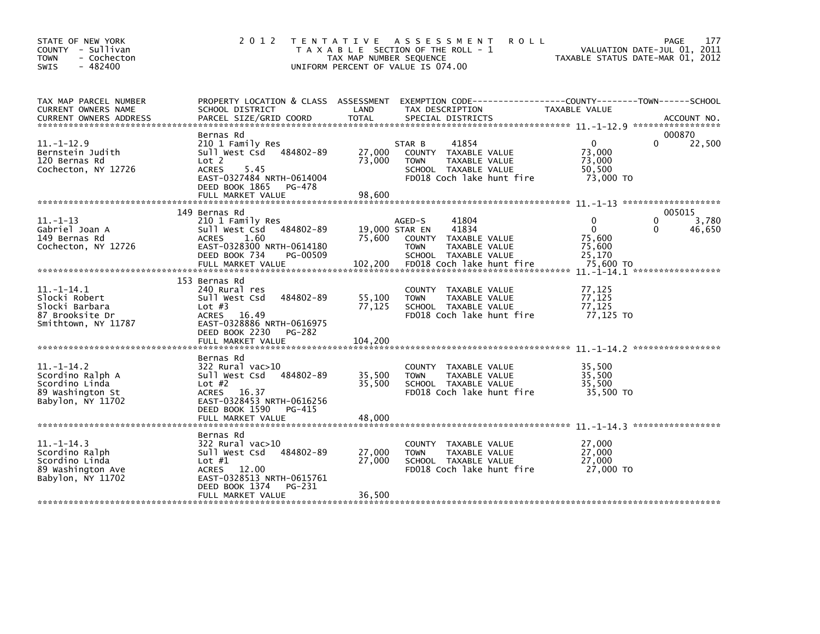| STATE OF NEW YORK<br>COUNTY - Sullivan<br><b>TOWN</b><br>- Cochecton<br>$-482400$<br>SWIS     | 2 0 1 2                                                                                                                                                                    | TAX MAP NUMBER SEQUENCE     | TENTATIVE ASSESSMENT<br><b>ROLL</b><br>T A X A B L E SECTION OF THE ROLL - 1<br>UNIFORM PERCENT OF VALUE IS 074.00           |                                                         | 177<br>PAGE<br>VALUATION DATE-JUL 01, 2011<br>TAXABLE STATUS DATE-MAR 01, 2012 |
|-----------------------------------------------------------------------------------------------|----------------------------------------------------------------------------------------------------------------------------------------------------------------------------|-----------------------------|------------------------------------------------------------------------------------------------------------------------------|---------------------------------------------------------|--------------------------------------------------------------------------------|
| TAX MAP PARCEL NUMBER<br>CURRENT OWNERS NAME                                                  | PROPERTY LOCATION & CLASS ASSESSMENT<br>SCHOOL DISTRICT                                                                                                                    | LAND                        | EXEMPTION CODE-----------------COUNTY--------TOWN------SCHOOL<br>TAX DESCRIPTION                                             | TAXABLE VALUE                                           |                                                                                |
| $11. - 1 - 12.9$<br>Bernstein Judith<br>120 Bernas Rd<br>Cochecton, NY 12726                  | Bernas Rd<br>210 1 Family Res<br>484802-89<br>Sull West Csd<br>Lot 2<br><b>ACRES</b><br>5.45<br>EAST-0327484 NRTH-0614004<br>DEED BOOK 1865<br>PG-478<br>FULL MARKET VALUE | 27,000<br>73,000<br>98,600  | 41854<br>STAR B<br>COUNTY TAXABLE VALUE<br>TAXABLE VALUE<br><b>TOWN</b><br>SCHOOL TAXABLE VALUE<br>FD018 Coch lake hunt fire | $\mathbf{0}$<br>73,000<br>73,000<br>50.500<br>73,000 TO | 000870<br>$\Omega$<br>22,500                                                   |
|                                                                                               |                                                                                                                                                                            |                             |                                                                                                                              |                                                         |                                                                                |
| $11.-1-13$<br>Gabriel Joan A<br>149 Bernas Rd<br>Cochecton, NY 12726                          | 149 Bernas Rd<br>210 1 Family Res<br>Sull West Csd<br>484802-89<br><b>ACRES</b><br>1.60<br>EAST-0328300 NRTH-0614180<br>DEED BOOK 734<br>PG-00509                          | 75.600                      | 41804<br>AGED-S<br>19,000 STAR EN<br>41834<br>COUNTY TAXABLE VALUE<br>TAXABLE VALUE<br><b>TOWN</b><br>SCHOOL TAXABLE VALUE   | 0<br>$\mathbf{0}$<br>75,600<br>75,600<br>25,170         | 005015<br>3,780<br>0<br>46,650<br>0                                            |
|                                                                                               | FULL MARKET VALUE                                                                                                                                                          | 102,200                     | FD018 Coch lake hunt fire                                                                                                    | 75,600 TO                                               |                                                                                |
| $11.-1-14.1$<br>Slocki Robert<br>Slocki Barbara<br>87 Brooksite Dr<br>Smithtown, NY 11787     | 153 Bernas Rd<br>240 Rural res<br>484802-89<br>Sull West Csd<br>Lot $#3$<br>ACRES 16.49<br>EAST-0328886 NRTH-0616975<br>DEED BOOK 2230<br>PG-282<br>FULL MARKET VALUE      | 55,100<br>77,125<br>104.200 | COUNTY TAXABLE VALUE<br><b>TOWN</b><br>TAXABLE VALUE<br>SCHOOL TAXABLE VALUE<br>FD018 Coch lake hunt fire                    | 77,125<br>77,125<br>77.125<br>77,125 TO                 |                                                                                |
|                                                                                               | Bernas Rd                                                                                                                                                                  |                             |                                                                                                                              |                                                         |                                                                                |
| $11.-1-14.2$<br>Scordino Ralph A<br>Scordino Linda<br>89 Washington St<br>Babylon, NY 11702   | 322 Rural vac>10<br>Sull West Csd<br>484802-89<br>Lot $#2$<br>ACRES 16.37<br>EAST-0328453 NRTH-0616256<br>DEED BOOK 1590<br>PG-415<br>FULL MARKET VALUE                    | 35,500<br>35,500<br>48,000  | COUNTY TAXABLE VALUE<br><b>TOWN</b><br>TAXABLE VALUE<br>SCHOOL TAXABLE VALUE<br>FD018 Coch lake hunt fire                    | 35,500<br>35,500<br>35,500<br>35,500 TO                 |                                                                                |
|                                                                                               |                                                                                                                                                                            |                             |                                                                                                                              |                                                         |                                                                                |
| $11. -1 - 14.3$<br>Scordino Ralph<br>Scordino Linda<br>89 Washington Ave<br>Babylon, NY 11702 | Bernas Rd<br>322 Rural vac>10<br>Sull West Csd<br>484802-89<br>Lot $#1$<br>ACRES 12.00<br>EAST-0328513 NRTH-0615761<br>DEED BOOK 1374<br>PG-231                            | 27,000<br>27,000            | COUNTY TAXABLE VALUE<br>TAXABLE VALUE<br><b>TOWN</b><br>SCHOOL TAXABLE VALUE<br>FD018 Coch lake hunt fire                    | 27,000<br>27,000<br>27,000<br>27,000 TO                 |                                                                                |
|                                                                                               | FULL MARKET VALUE                                                                                                                                                          | 36,500                      |                                                                                                                              |                                                         |                                                                                |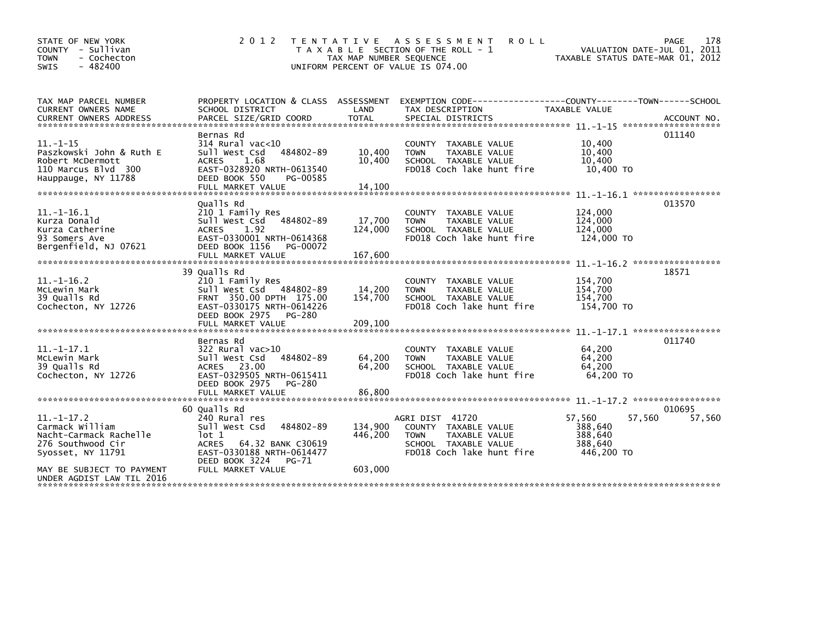| STATE OF NEW YORK<br>COUNTY - Sullivan<br>- Cochecton<br><b>TOWN</b><br>$-482400$<br><b>SWIS</b>                                                              | 2 0 1 2                                                                                                                                                                                | <b>TENTATIVE</b><br>TAX MAP NUMBER SEQUENCE | ASSESSMENT<br><b>ROLL</b><br>T A X A B L E SECTION OF THE ROLL - 1<br>UNIFORM PERCENT OF VALUE IS 074.00                     | TAXABLE STATUS DATE-MAR 01, 2012                                | PAGE<br>178<br>VALUATION DATE-JUL 01, 2011 |
|---------------------------------------------------------------------------------------------------------------------------------------------------------------|----------------------------------------------------------------------------------------------------------------------------------------------------------------------------------------|---------------------------------------------|------------------------------------------------------------------------------------------------------------------------------|-----------------------------------------------------------------|--------------------------------------------|
| TAX MAP PARCEL NUMBER<br><b>CURRENT OWNERS NAME</b><br><b>CURRENT OWNERS ADDRESS</b>                                                                          | PROPERTY LOCATION & CLASS ASSESSMENT<br>SCHOOL DISTRICT<br>PARCEL SIZE/GRID COORD                                                                                                      | LAND<br><b>TOTAL</b>                        | EXEMPTION CODE-----------------COUNTY-------TOWN------SCHOOL<br>TAX DESCRIPTION<br>SPECIAL DISTRICTS                         | TAXABLE VALUE                                                   | ACCOUNT NO.                                |
| $11. - 1 - 15$<br>Paszkowski John & Ruth E<br>Robert McDermott<br>110 Marcus Blyd 300<br>Hauppauge, NY 11788                                                  | Bernas Rd<br>314 Rural vac<10<br>Sull West Csd<br>484802-89<br>1.68<br><b>ACRES</b><br>EAST-0328920 NRTH-0613540<br>DEED BOOK 550<br>PG-00585                                          | 10,400<br>10,400                            | COUNTY TAXABLE VALUE<br>TAXABLE VALUE<br><b>TOWN</b><br>SCHOOL TAXABLE VALUE<br>FD018 Coch lake hunt fire                    | 10.400<br>10,400<br>10.400<br>10,400 TO                         | 011140                                     |
| $11. - 1 - 16.1$<br>Kurza Donald<br>Kurza Catherine<br>93 Somers Ave<br>Bergenfield, NJ 07621                                                                 | Qualls Rd<br>210 1 Family Res<br>Sull West Csd<br>484802-89<br>1.92<br><b>ACRES</b><br>EAST-0330001 NRTH-0614368<br>DEED BOOK 1156<br>PG-00072<br>FULL MARKET VALUE                    | 17,700<br>124,000<br>167,600                | COUNTY TAXABLE VALUE<br><b>TAXABLE VALUE</b><br><b>TOWN</b><br>SCHOOL TAXABLE VALUE<br>FD018 Coch lake hunt fire             | 124,000<br>124,000<br>124,000<br>124,000 TO                     | 013570                                     |
| $11. - 1 - 16.2$<br>McLewin Mark<br>39 Qualls Rd<br>Cochecton, NY 12726                                                                                       | 39 Qualls Rd<br>210 1 Family Res<br>Sull West Csd 484802-89<br>FRNT 350.00 DPTH 175.00<br>EAST-0330175 NRTH-0614226<br>DEED BOOK 2975<br>PG-280<br>FULL MARKET VALUE                   | 14,200<br>154.700<br>209,100                | COUNTY TAXABLE VALUE<br>TAXABLE VALUE<br><b>TOWN</b><br>SCHOOL TAXABLE VALUE<br>FD018 Coch lake hunt fire                    | 154,700<br>154,700<br>154.700<br>154,700 TO                     | 18571                                      |
| $11. - 1 - 17.1$<br>McLewin Mark<br>39 Qualls Rd<br>Cochecton, NY 12726                                                                                       | Bernas Rd<br>$322$ Rural vac $>10$<br>484802-89<br>Sull West Csd<br>ACRES 23.00<br>EAST-0329505 NRTH-0615411<br>DEED BOOK 2975<br>PG-280<br>FULL MARKET VALUE                          | 64,200<br>64,200<br>86,800                  | COUNTY TAXABLE VALUE<br><b>TOWN</b><br>TAXABLE VALUE<br>SCHOOL TAXABLE VALUE<br>FD018 Coch lake hunt fire                    | 64,200<br>64,200<br>64.200<br>64,200 TO                         | 011740                                     |
| $11.-1-17.2$<br>Carmack William<br>Nacht-Carmack Rachelle<br>276 Southwood Cir<br>Syosset, NY 11791<br>MAY BE SUBJECT TO PAYMENT<br>UNDER AGDIST LAW TIL 2016 | 60 Qualls Rd<br>240 Rural res<br>Sull West Csd<br>484802-89<br>lot 1<br>64.32 BANK C30619<br><b>ACRES</b><br>EAST-0330188 NRTH-0614477<br>DEED BOOK 3224<br>PG-71<br>FULL MARKET VALUE | 134.900<br>446,200<br>603,000               | AGRI DIST 41720<br>COUNTY TAXABLE VALUE<br>TAXABLE VALUE<br><b>TOWN</b><br>SCHOOL TAXABLE VALUE<br>FD018 Coch lake hunt fire | 57.560<br>57,560<br>388.640<br>388,640<br>388.640<br>446,200 TO | *****************<br>010695<br>57,560      |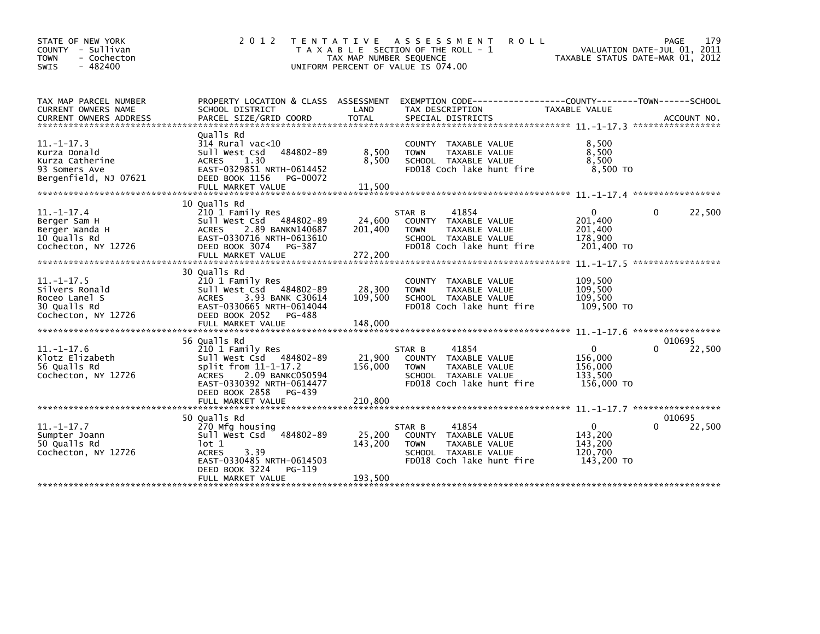| STATE OF NEW YORK<br>- Sullivan<br>COUNTY<br>- Cochecton<br><b>TOWN</b><br>$-482400$<br><b>SWIS</b> | 2 0 1 2                                                                                                                                                                      | T E N T A T I V E<br>TAX MAP NUMBER SEQUENCE | A S S E S S M E N T<br><b>ROLL</b><br>T A X A B L E SECTION OF THE ROLL - 1<br>UNIFORM PERCENT OF VALUE IS 074.00                      | VALUATION DATE-JUL 01, 2011<br>TAXABLE STATUS DATE-MAR 01, 2012     | PAGE         | 179    |
|-----------------------------------------------------------------------------------------------------|------------------------------------------------------------------------------------------------------------------------------------------------------------------------------|----------------------------------------------|----------------------------------------------------------------------------------------------------------------------------------------|---------------------------------------------------------------------|--------------|--------|
| TAX MAP PARCEL NUMBER<br>CURRENT OWNERS NAME                                                        | PROPERTY LOCATION & CLASS ASSESSMENT<br>SCHOOL DISTRICT                                                                                                                      | LAND                                         | TAX DESCRIPTION                                                                                                                        | TAXABLE VALUE                                                       |              |        |
| $11. -1 - 17.3$<br>Kurza Donald<br>Kurza Catherine<br>93 Somers Ave<br>Bergenfield, NJ 07621        | Qualls Rd<br>314 Rural vac<10<br>Sull West Csd<br>484802-89<br>1.30<br><b>ACRES</b><br>EAST-0329851 NRTH-0614452<br>DEED BOOK 1156<br>PG-00072<br>FULL MARKET VALUE          | 8,500<br>8,500<br>11,500                     | COUNTY TAXABLE VALUE<br><b>TOWN</b><br>TAXABLE VALUE<br>SCHOOL TAXABLE VALUE<br>FD018 Coch lake hunt fire                              | 8,500<br>8,500<br>8,500<br>8.500 TO                                 |              |        |
| $11.-1-17.4$<br>Berger Sam H<br>Berger Wanda H<br>10 Qualls Rd<br>Cochecton, NY 12726               | 10 Qualls Rd<br>210 1 Family Res<br>Sull West Csd 484802-89<br><b>ACRES</b><br>2.89 BANKN140687<br>EAST-0330716 NRTH-0613610<br>DEED BOOK 3074<br>PG-387                     | 24,600<br>201,400                            | 41854<br>STAR B<br>COUNTY TAXABLE VALUE<br><b>TOWN</b><br>TAXABLE VALUE<br>SCHOOL TAXABLE VALUE<br>FD018 Coch lake hunt fire           | $\Omega$<br>201,400<br>201,400<br>178,900<br>201,400 TO             | $\mathbf{0}$ | 22,500 |
| $11.-1-17.5$<br>Silvers Ronald                                                                      | FULL MARKET VALUE<br>30 Qualls Rd<br>210 1 Family Res<br>Sull West Csd 484802-89                                                                                             | 272,200<br>28,300                            | COUNTY TAXABLE VALUE<br><b>TOWN</b><br>TAXABLE VALUE                                                                                   | $11. -1 - 17.5$ ******************<br>109,500<br>109,500<br>109.500 |              |        |
| Roceo Lanel S<br>30 Qualls Rd<br>Cochecton, NY 12726                                                | 3.93 BANK C30614<br><b>ACRES</b><br>EAST-0330665 NRTH-0614044<br>DEED BOOK 2052<br>PG-488<br>FULL MARKET VALUE<br>56 Qualls Rd                                               | 109,500<br>148,000                           | SCHOOL TAXABLE VALUE<br>FD018 Coch lake hunt fire                                                                                      | 109.500 TO                                                          | 010695       |        |
| $11.-1-17.6$<br>Klotz Elizabeth<br>56 Qualls Rd<br>Cochecton, NY 12726                              | 210 1 Family Res<br>Sull West Csd 484802-89<br>split from 11-1-17.2<br>2.09 BANKC050594<br><b>ACRES</b><br>EAST-0330392 NRTH-0614477<br>DEED BOOK 2858<br>PG-439             | 21,900<br>156,000                            | 41854<br>STAR B<br>TAXABLE VALUE<br>COUNTY<br><b>TOWN</b><br><b>TAXABLE VALUE</b><br>SCHOOL TAXABLE VALUE<br>FD018 Coch lake hunt fire | 0<br>156,000<br>156,000<br>133,500<br>156,000 TO                    | <sup>0</sup> | 22,500 |
|                                                                                                     | FULL MARKET VALUE                                                                                                                                                            | 210,800                                      |                                                                                                                                        | $11 - 1 - 17$ 7 *******************                                 |              |        |
| $11. - 1 - 17.7$<br>Sumpter Joann<br>50 Qualls Rd<br>Cochecton, NY 12726                            | 50 Qualls Rd<br>270 Mfg housing<br>sull west Csd<br>484802-89<br>lot 1<br>3.39<br><b>ACRES</b><br>EAST-0330485 NRTH-0614503<br>DEED BOOK 3224<br>PG-119<br>FULL MARKET VALUE | 25,200<br>143,200<br>193,500                 | 41854<br>STAR B<br>COUNTY TAXABLE VALUE<br><b>TAXABLE VALUE</b><br><b>TOWN</b><br>SCHOOL TAXABLE VALUE<br>FD018 Coch lake hunt fire    | 0<br>143,200<br>143,200<br>120,700<br>143,200 TO                    | 010695       | 22,500 |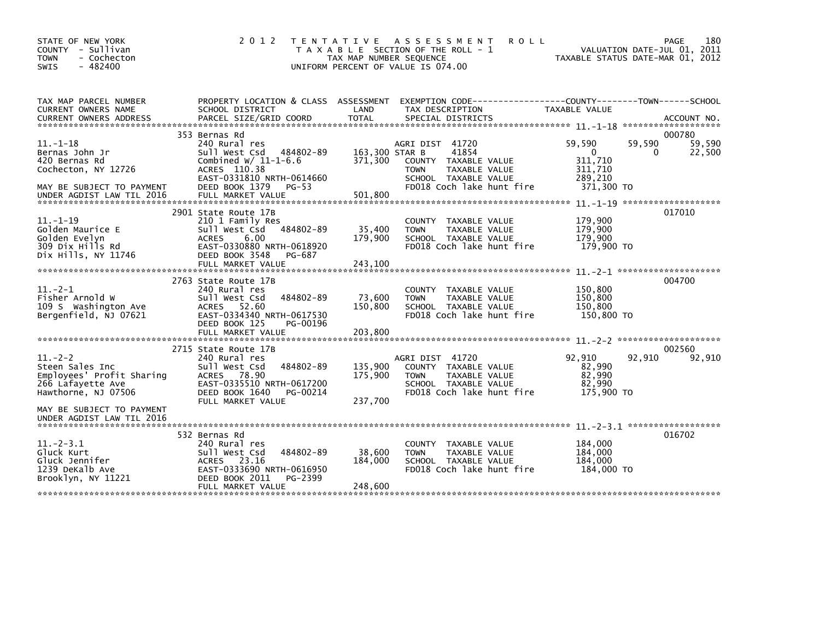| STATE OF NEW YORK<br>- Sullivan<br><b>COUNTY</b><br><b>TOWN</b><br>- Cochecton<br>$-482400$<br><b>SWIS</b> | 2 0 1 2                                                                                                                                                                   | T E N T A T I V E<br>TAX MAP NUMBER SEQUENCE | A S S E S S M E N T<br><b>ROLL</b><br>T A X A B L E SECTION OF THE ROLL - 1<br>UNIFORM PERCENT OF VALUE IS 074.00                     |                                                            | 180<br>PAGE<br>2011<br>VALUATION DATE-JUL 01,<br>TAXABLE STATUS DATE-MAR 01, 2012 |
|------------------------------------------------------------------------------------------------------------|---------------------------------------------------------------------------------------------------------------------------------------------------------------------------|----------------------------------------------|---------------------------------------------------------------------------------------------------------------------------------------|------------------------------------------------------------|-----------------------------------------------------------------------------------|
| TAX MAP PARCEL NUMBER<br>CURRENT OWNERS NAME                                                               | PROPERTY LOCATION & CLASS ASSESSMENT<br>SCHOOL DISTRICT                                                                                                                   | LAND                                         | EXEMPTION CODE-----------------COUNTY-------TOWN------SCHOOL<br>TAX DESCRIPTION                                                       | TAXABLE VALUE                                              |                                                                                   |
|                                                                                                            | 353 Bernas Rd                                                                                                                                                             |                                              |                                                                                                                                       |                                                            | 000780                                                                            |
| $11. - 1 - 18$<br>Bernas John Jr<br>420 Bernas Rd<br>Cochecton, NY 12726<br>MAY BE SUBJECT TO PAYMENT      | 240 Rural res<br>Sull West Csd<br>484802-89<br>Combined $W/$ 11-1-6.6<br>ACRES 110.38<br>EAST-0331810 NRTH-0614660<br>DEED BOOK 1379<br>PG-53                             | 163,300 STAR B<br>371,300                    | AGRI DIST 41720<br>41854<br>COUNTY TAXABLE VALUE<br><b>TOWN</b><br>TAXABLE VALUE<br>SCHOOL TAXABLE VALUE<br>FD018 Coch lake hunt fire | 59,590<br>0<br>311,710<br>311,710<br>289,210<br>371,300 TO | 59,590<br>59,590<br>22,500<br>$\Omega$                                            |
| UNDER AGDIST LAW TIL 2016                                                                                  | FULL MARKET VALUE                                                                                                                                                         | 501.800                                      |                                                                                                                                       |                                                            |                                                                                   |
| $11. - 1 - 19$<br>Golden Maurice E<br>Golden Evelyn<br>309 Dix Hills Rd<br>Dix Hills, NY 11746             | 2901 State Route 17B<br>210 1 Family Res<br>Sull West Csd 484802-89<br><b>ACRES</b><br>6.00<br>EAST-0330880 NRTH-0618920<br>DEED BOOK 3548<br>PG-687<br>FULL MARKET VALUE | 35,400<br>179,900<br>243,100                 | TAXABLE VALUE<br><b>COUNTY</b><br><b>TOWN</b><br>TAXABLE VALUE<br>SCHOOL TAXABLE VALUE<br>FD018 Coch lake hunt fire                   | 179,900<br>179,900<br>179,900<br>179,900 TO                | 017010                                                                            |
|                                                                                                            | 2763 State Route 17B                                                                                                                                                      |                                              |                                                                                                                                       |                                                            | 004700                                                                            |
| $11. -2 - 1$<br>Fisher Arnold W<br>109 S Washington Ave<br>Bergenfield, NJ 07621                           | 240 Rural res<br>Sull West Csd<br>484802-89<br>ACRES 52.60<br>EAST-0334340 NRTH-0617530<br>DEED BOOK 125<br>PG-00196<br>FULL MARKET VALUE                                 | 73,600<br>150,800<br>203,800                 | COUNTY TAXABLE VALUE<br>TAXABLE VALUE<br><b>TOWN</b><br>SCHOOL TAXABLE VALUE<br>FD018 Coch lake hunt fire                             | 150,800<br>150,800<br>150,800<br>150,800 TO                |                                                                                   |
|                                                                                                            |                                                                                                                                                                           |                                              |                                                                                                                                       |                                                            |                                                                                   |
| $11.-2-2$<br>Steen Sales Inc<br>Employees' Profit Sharing<br>266 Lafayette Ave<br>Hawthorne, NJ 07506      | 2715 State Route 17B<br>240 Rural res<br>484802-89<br>Sull West Csd<br>ACRES 78.90<br>EAST-0335510 NRTH-0617200<br>DEED BOOK 1640<br>PG-00214<br>FULL MARKET VALUE        | 135,900<br>175,900<br>237,700                | AGRI DIST 41720<br>COUNTY TAXABLE VALUE<br><b>TAXABLE VALUE</b><br><b>TOWN</b><br>SCHOOL TAXABLE VALUE<br>FD018 Coch lake hunt fire   | 92,910<br>82,990<br>82,990<br>82,990<br>175,900 TO         | 002560<br>92,910<br>92,910                                                        |
| MAY BE SUBJECT TO PAYMENT<br>UNDER AGDIST LAW TIL 2016                                                     |                                                                                                                                                                           |                                              |                                                                                                                                       |                                                            |                                                                                   |
| $11 - 2 - 3.1$<br>Gluck Kurt<br>Gluck Jennifer<br>1239 DeKalb Ave<br>Brooklyn, NY 11221                    | 532 Bernas Rd<br>240 Rural res<br>Sull West Csd<br>484802-89<br>23.16<br><b>ACRES</b><br>EAST-0333690 NRTH-0616950<br>DEED BOOK 2011<br>PG-2399<br>FULL MARKET VALUE      | 38,600<br>184,000<br>248,600                 | TAXABLE VALUE<br><b>COUNTY</b><br><b>TAXABLE VALUE</b><br><b>TOWN</b><br>SCHOOL TAXABLE VALUE<br>FD018 Coch lake hunt fire            | 184,000<br>184,000<br>184,000<br>184,000 TO                | 016702                                                                            |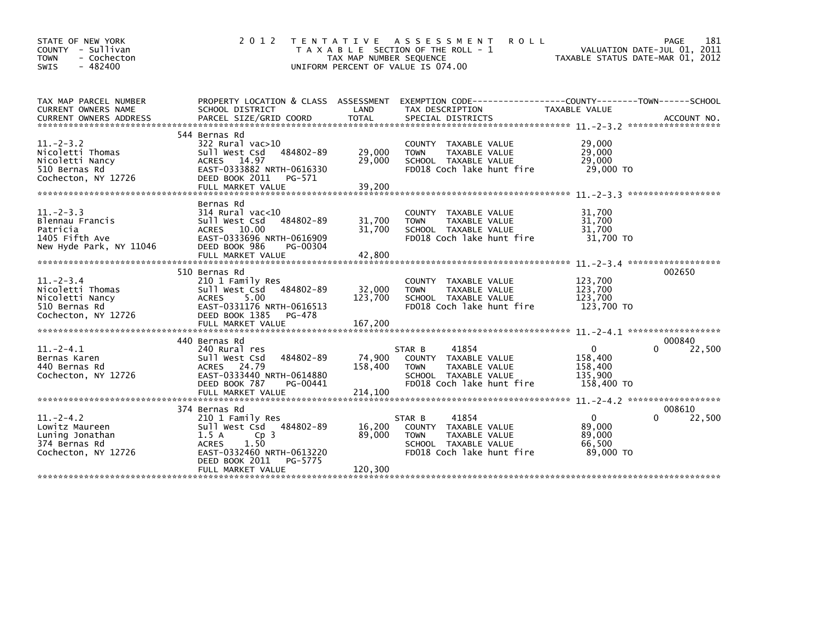| STATE OF NEW YORK<br>COUNTY - Sullivan<br>- Cochecton<br><b>TOWN</b><br>$-482400$<br><b>SWIS</b> | 2 0 1 2                                                                                                                                                                                        | T E N T A T I V E<br>TAX MAP NUMBER SEQUENCE | ASSESSMENT<br><b>ROLL</b><br>T A X A B L E SECTION OF THE ROLL - 1<br>UNIFORM PERCENT OF VALUE IS 074.00                     | TAXABLE STATUS DATE-MAR 01, 2012                            | 181<br>PAGE<br>VALUATION DATE-JUL 01, 2011 |
|--------------------------------------------------------------------------------------------------|------------------------------------------------------------------------------------------------------------------------------------------------------------------------------------------------|----------------------------------------------|------------------------------------------------------------------------------------------------------------------------------|-------------------------------------------------------------|--------------------------------------------|
| TAX MAP PARCEL NUMBER<br>CURRENT OWNERS NAME<br><b>CURRENT OWNERS ADDRESS</b>                    | PROPERTY LOCATION & CLASS ASSESSMENT<br>SCHOOL DISTRICT<br>PARCEL SIZE/GRID COORD                                                                                                              | LAND<br><b>TOTAL</b>                         | EXEMPTION CODE-----------------COUNTY-------TOWN------SCHOOL<br>TAX DESCRIPTION<br>SPECIAL DISTRICTS                         | <b>TAXABLE VALUE</b>                                        | ACCOUNT NO.                                |
| $11 - 2 - 3.2$<br>Nicoletti Thomas<br>Nicoletti Nancy<br>510 Bernas Rd<br>Cochecton, NY 12726    | 544 Bernas Rd<br>$322$ Rural vac $>10$<br>Sull West Csd<br>484802-89<br>ACRES 14.97<br>EAST-0333882 NRTH-0616330<br>DEED BOOK 2011<br>PG-571<br>FULL MARKET VALUE                              | 29,000<br>29,000<br>39,200                   | COUNTY TAXABLE VALUE<br>TAXABLE VALUE<br><b>TOWN</b><br>SCHOOL TAXABLE VALUE<br>FD018 Coch lake hunt fire                    | 29,000<br>29,000<br>29,000<br>29,000 TO                     |                                            |
| $11 - 2 - 3.3$<br>Blennau Francis<br>Patricia<br>1405 Fifth Ave<br>New Hyde Park, NY 11046       | Bernas Rd<br>$314$ Rural vac< $10$<br>484802-89<br>Sull West Csd<br>ACRES 10.00<br>EAST-0333696 NRTH-0616909<br>DEED BOOK 986<br>PG-00304<br>FULL MARKET VALUE                                 | 31,700<br>31,700<br>42,800                   | COUNTY TAXABLE VALUE<br>TAXABLE VALUE<br><b>TOWN</b><br>SCHOOL TAXABLE VALUE<br>FD018 Coch lake hunt fire                    | 31,700<br>31,700<br>31,700<br>31,700 TO                     |                                            |
| $11 - 2 - 3.4$<br>Nicoletti Thomas<br>Nicoletti Nancy<br>510 Bernas Rd<br>Cochecton, NY 12726    | 510 Bernas Rd<br>210 1 Family Res<br>Sull West Csd<br>484802-89<br>5.00<br><b>ACRES</b><br>EAST-0331176 NRTH-0616513<br>DEED BOOK 1385<br>PG-478<br>FULL MARKET VALUE                          | 32,000<br>123,700<br>167,200                 | COUNTY<br>TAXABLE VALUE<br>TAXABLE VALUE<br><b>TOWN</b><br>SCHOOL TAXABLE VALUE<br>FD018 Coch lake hunt fire                 | 123,700<br>123,700<br>123,700<br>123,700 TO                 | 002650                                     |
| $11.-2-4.1$<br>Bernas Karen<br>440 Bernas Rd<br>Cochecton, NY 12726                              | 440 Bernas Rd<br>240 Rural res<br>Sull West Csd<br>484802-89<br><b>ACRES</b><br>24.79<br>EAST-0333440 NRTH-0614880<br>DEED BOOK 787<br>PG-00441<br>FULL MARKET VALUE                           | 74,900<br>158,400<br>214,100                 | 41854<br>STAR B<br>COUNTY TAXABLE VALUE<br>TAXABLE VALUE<br><b>TOWN</b><br>SCHOOL TAXABLE VALUE<br>FD018 Coch lake hunt fire | $\mathbf{0}$<br>158,400<br>158,400<br>135.900<br>158,400 TO | 000840<br>22,500<br><sup>n</sup>           |
| $11 - 2 - 4.2$<br>Lowitz Maureen<br>Luning Jonathan<br>374 Bernas Rd<br>Cochecton, NY 12726      | 374 Bernas Rd<br>210 1 Family Res<br>Sull West Csd 484802-89<br>Cp <sub>3</sub><br>1.5A<br>1.50<br><b>ACRES</b><br>EAST-0332460 NRTH-0613220<br>DEED BOOK 2011<br>PG-5775<br>FULL MARKET VALUE | 16,200<br>89,000<br>120,300                  | 41854<br>STAR B<br>COUNTY TAXABLE VALUE<br>TAXABLE VALUE<br><b>TOWN</b><br>SCHOOL TAXABLE VALUE<br>FD018 Coch lake hunt fire | $\mathbf{0}$<br>89,000<br>89,000<br>66.500<br>89,000 TO     | 008610<br>22,500                           |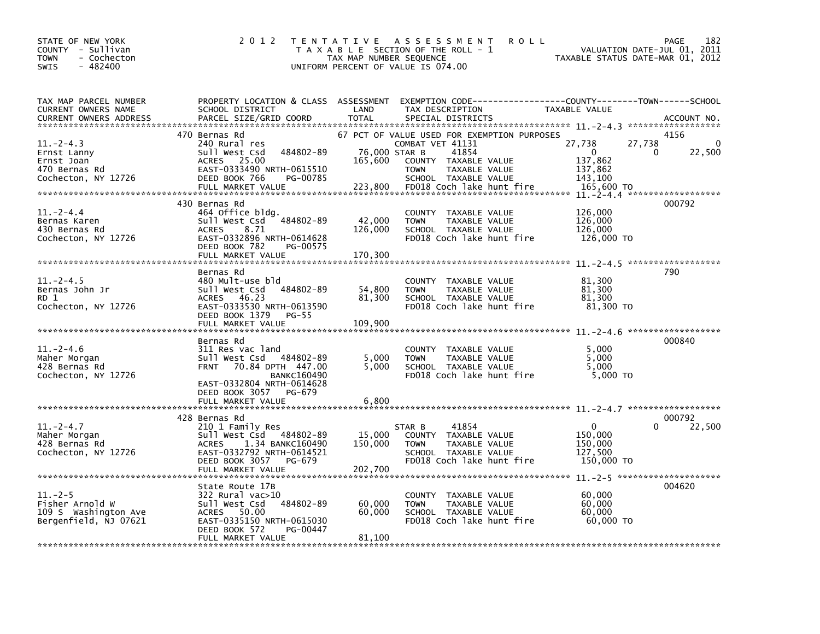| STATE OF NEW YORK<br>COUNTY - Sullivan<br>- Cochecton<br><b>TOWN</b><br>$-482400$<br>SWIS | 2 0 1 2                                                                                                                                                                                       | T E N T A T I V E<br>TAX MAP NUMBER SEQUENCE | A S S E S S M E N T<br><b>ROLL</b><br>T A X A B L E SECTION OF THE ROLL - 1<br>UNIFORM PERCENT OF VALUE IS 074.00                                                                     | TAXABLE STATUS DATE-MAR 01, 2012                                            | 182<br>PAGE<br>VALUATION DATE-JUL 01, 2011 |
|-------------------------------------------------------------------------------------------|-----------------------------------------------------------------------------------------------------------------------------------------------------------------------------------------------|----------------------------------------------|---------------------------------------------------------------------------------------------------------------------------------------------------------------------------------------|-----------------------------------------------------------------------------|--------------------------------------------|
| TAX MAP PARCEL NUMBER<br>CURRENT OWNERS NAME<br><b>CURRENT OWNERS ADDRESS</b>             | PROPERTY LOCATION & CLASS ASSESSMENT<br>SCHOOL DISTRICT<br>PARCEL SIZE/GRID COORD                                                                                                             | LAND<br><b>TOTAL</b>                         | EXEMPTION CODE-----------------COUNTY-------TOWN------SCHOOL<br>TAX DESCRIPTION<br>SPECIAL DISTRICTS                                                                                  | TAXABLE VALUE                                                               | ACCOUNT NO.<br>******************          |
| $11. -2 - 4.3$<br>Ernst Lanny<br>Ernst Joan<br>470 Bernas Rd<br>Cochecton, NY 12726       | 470 Bernas Rd<br>240 Rural res<br>484802-89<br>Sull West Csd<br>ACRES 25.00<br>EAST-0333490 NRTH-0615510<br>DEED BOOK 766<br>PG-00785<br>FULL MARKET VALUE                                    | 76,000 STAR B<br>165,600<br>223,800          | 67 PCT OF VALUE USED FOR EXEMPTION PURPOSES<br>COMBAT VET 41131<br>41854<br>COUNTY TAXABLE VALUE<br><b>TOWN</b><br>TAXABLE VALUE<br>SCHOOL TAXABLE VALUE<br>FD018 Coch lake hunt fire | 27,738<br>27,738<br>$\Omega$<br>137,862<br>137,862<br>143,100<br>165,600 TO | 4156<br>0<br>22,500<br>0                   |
| $11. - 2 - 4.4$<br>Bernas Karen<br>430 Bernas Rd<br>Cochecton, NY 12726                   | 430 Bernas Rd<br>464 Office bldg.<br>Sull West Csd 484802-89<br>8.71<br><b>ACRES</b><br>EAST-0332896 NRTH-0614628<br>DEED BOOK 782<br>PG-00575<br>FULL MARKET VALUE                           | 42,000<br>126,000<br>170,300                 | COUNTY TAXABLE VALUE<br><b>TOWN</b><br>TAXABLE VALUE<br>SCHOOL TAXABLE VALUE<br>FD018 Coch lake hunt fire                                                                             | 126,000<br>126,000<br>126,000<br>126,000 TO                                 | 000792                                     |
| $11. - 2 - 4.5$<br>Bernas John Jr<br>RD 1<br>Cochecton, NY 12726                          | Bernas Rd<br>480 Mult-use bld<br>Sull West Csd 484802-89<br>ACRES 46.23<br>EAST-0333530 NRTH-0613590<br>DEED BOOK 1379<br>PG-55<br>FULL MARKET VALUE                                          | 54,800<br>81,300<br>109,900                  | COUNTY TAXABLE VALUE<br>TAXABLE VALUE<br><b>TOWN</b><br>SCHOOL TAXABLE VALUE<br>FD018 Coch lake hunt fire                                                                             | 81,300<br>81,300<br>81,300<br>81,300 TO                                     | 790                                        |
| $11.-2-4.6$<br>Maher Morgan<br>428 Bernas Rd<br>Cochecton, NY 12726                       | Bernas Rd<br>311 Res vac land<br>Sull West Csd 484802-89<br>70.84 DPTH 447.00<br><b>FRNT</b><br><b>BANKC160490</b><br>EAST-0332804 NRTH-0614628<br>DEED BOOK 3057 PG-679<br>FULL MARKET VALUE | 5,000<br>5.000<br>6,800                      | COUNTY TAXABLE VALUE<br>TAXABLE VALUE<br><b>TOWN</b><br>SCHOOL TAXABLE VALUE<br>FD018 Coch lake hunt fire                                                                             | 5,000<br>5,000<br>5.000<br>5,000 TO                                         | 000840                                     |
| $11.-2-4.7$<br>Maher Morgan<br>428 Bernas Rd<br>Cochecton, NY 12726                       | 428 Bernas Rd<br>210 1 Family Res<br>Sull West Csd 484802-89<br>1.34 BANKC160490<br><b>ACRES</b><br>EAST-0332792 NRTH-0614521<br>DEED BOOK 3057<br>PG-679<br>FULL MARKET VALUE                | 15,000<br>150,000<br>202,700                 | 41854<br>STAR B<br>COUNTY TAXABLE VALUE<br>TAXABLE VALUE<br><b>TOWN</b><br>SCHOOL TAXABLE VALUE<br>FD018 Coch lake hunt fire                                                          | $\mathbf{0}$<br>150,000<br>150,000<br>127,500<br>150,000 TO                 | 000792<br>0<br>22,500                      |
| $11. - 2 - 5$<br>Fisher Arnold W<br>109 S Washington Ave<br>Bergenfield, NJ 07621         | State Route 17B<br>322 Rural vac>10<br>484802-89<br>Sull West Csd<br>ACRES 50.00<br>EAST-0335150 NRTH-0615030<br>DEED BOOK 572<br>PG-00447<br>FULL MARKET VALUE                               | 60,000<br>60,000<br>81,100                   | COUNTY TAXABLE VALUE<br>TAXABLE VALUE<br><b>TOWN</b><br>SCHOOL TAXABLE VALUE<br>FD018 Coch lake hunt fire                                                                             | 60,000<br>60,000<br>60,000<br>60,000 TO                                     | 004620                                     |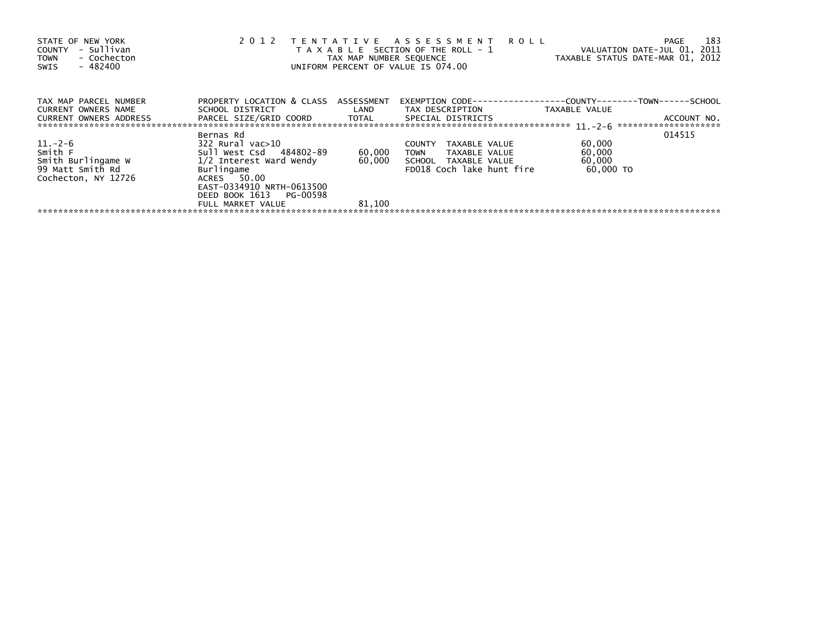| STATE OF NEW YORK<br>- Sullivan<br>COUNTY<br>- Cochecton<br><b>TOWN</b><br>$-482400$<br>SWIS | 2 0 1 2                                                                                                                                                                                                    | TAX MAP NUMBER SEQUENCE | TENTATIVE ASSESSMENT ROLL<br>T A X A B L E SECTION OF THE ROLL - 1<br>UNIFORM PERCENT OF VALUE IS 074.00 | VALUATION DATE-JUL 01, 2011<br>TAXABLE STATUS DATE-MAR 01, 2012 | 183<br>PAGE |
|----------------------------------------------------------------------------------------------|------------------------------------------------------------------------------------------------------------------------------------------------------------------------------------------------------------|-------------------------|----------------------------------------------------------------------------------------------------------|-----------------------------------------------------------------|-------------|
| TAX MAP PARCEL NUMBER<br>CURRENT OWNERS NAME<br>CURRENT OWNERS ADDRESS                       | PROPERTY LOCATION & CLASS ASSESSMENT<br>SCHOOL DISTRICT                          LAND         TAX DESCRIPTION                    TAXABLE VALUE<br>PARCEL SIZE/GRID COORD      TOTAL      SPECIAL DISTRICTS |                         |                                                                                                          |                                                                 | ACCOUNT NO. |
|                                                                                              | Bernas Rd                                                                                                                                                                                                  |                         |                                                                                                          |                                                                 | 014515      |
| $11.-2-6$<br>Smith F<br>Smith Burlingame W<br>99 Matt Smith Rd<br>Cochecton, NY 12726        | 322 Rural vac>10<br>Sull West Csd 484802-89<br>$1/2$ Interest Ward Wendy $60,000$ SCHOOL TAXABLE VALUE<br>Burlingame<br>ACRES 50.00<br>EAST-0334910 NRTH-0613500<br>DEED BOOK 1613 PG-00598                | 60,000                  | <b>COUNTY</b><br>TAXABLE VALUE<br>TOWN TAXABLE VALUE<br>FD018 Coch lake hunt fire                        | 60,000<br>60,000<br>60,000<br>60.000 TO                         |             |
|                                                                                              | FULL MARKET VALUE                                                                                                                                                                                          | 81,100                  |                                                                                                          |                                                                 |             |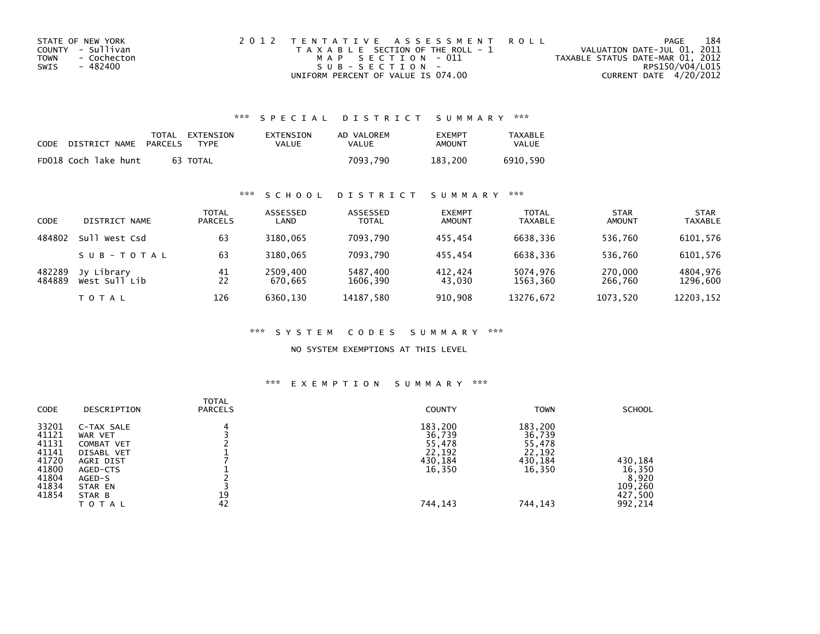| STATE OF NEW YORK   | 2012 TENTATIVE ASSESSMENT ROLL        | PAGE                             | 184 |
|---------------------|---------------------------------------|----------------------------------|-----|
| COUNTY - Sullivan   | T A X A B L E SECTION OF THE ROLL - 1 | VALUATION DATE-JUL 01, 2011      |     |
| TOWN<br>- Cochecton | MAP SECTION - 011                     | TAXABLE STATUS DATE-MAR 01, 2012 |     |
| - 482400<br>SWIS    | $SUB - SECTION -$                     | RPS150/V04/L015                  |     |
|                     | UNIFORM PERCENT OF VALUE IS 074.00    | CURRENT DATE 4/20/2012           |     |

## \*\*\* S P E C I A L D I S T R I C T S U M M A R Y \*\*\*

| CODE | DISTRICT NAME        | PARCELS | TOTAL EXTENSION<br><b>TYPF</b> | EXTENSION<br><b>VALUE</b> | AD VALOREM<br>VALUE | <b>FXFMPT</b><br>AMOUNT | <b>TAXABLE</b><br>VALUE |
|------|----------------------|---------|--------------------------------|---------------------------|---------------------|-------------------------|-------------------------|
|      | FD018 Coch lake hunt |         | 63 TOTAL                       |                           | 7093.790            | 183.200                 | 6910.590                |

## \*\*\* S C H O O L D I S T R I C T S U M M A R Y \*\*\*

| CODE             | DISTRICT NAME               | TOTAL<br><b>PARCELS</b> | ASSESSED<br>LAND    | ASSESSED<br><b>TOTAL</b> | <b>EXEMPT</b><br><b>AMOUNT</b> | <b>TOTAL</b><br>TAXABLE | <b>STAR</b><br>AMOUNT | <b>STAR</b><br><b>TAXABLE</b> |
|------------------|-----------------------------|-------------------------|---------------------|--------------------------|--------------------------------|-------------------------|-----------------------|-------------------------------|
| 484802           | Sull<br>West Csd            | 63                      | 3180.065            | 7093.790                 | 455.454                        | 6638.336                | 536.760               | 6101,576                      |
|                  | SUB-TOTAL                   | 63                      | 3180.065            | 7093.790                 | 455.454                        | 6638.336                | 536.760               | 6101,576                      |
| 482289<br>484889 | Jy Library<br>West Sull Lib | 41<br>22                | 2509,400<br>670.665 | 5487,400<br>1606.390     | 412.424<br>43,030              | 5074.976<br>1563,360    | 270,000<br>266,760    | 4804,976<br>1296,600          |
|                  | T O T A L                   | 126                     | 6360,130            | 14187,580                | 910,908                        | 13276,672               | 1073,520              | 12203,152                     |

#### \*\*\* S Y S T E M C O D E S S U M M A R Y \*\*\*

### NO SYSTEM EXEMPTIONS AT THIS LEVEL

#### \*\*\* E X E M P T I O N S U M M A R Y \*\*\*

| CODE                                                                          | DESCRIPTION                                                                                                            | <b>TOTAL</b><br><b>PARCELS</b> | <b>COUNTY</b>                                                         | <b>TOWN</b>                                                           | <b>SCHOOL</b>                                               |
|-------------------------------------------------------------------------------|------------------------------------------------------------------------------------------------------------------------|--------------------------------|-----------------------------------------------------------------------|-----------------------------------------------------------------------|-------------------------------------------------------------|
| 33201<br>41121<br>41131<br>41141<br>41720<br>41800<br>41804<br>41834<br>41854 | C-TAX SALE<br>WAR VET<br>COMBAT VET<br>DISABL VET<br>AGRI DIST<br>AGED-CTS<br>AGED-S<br>STAR EN<br>STAR B<br>T O T A L | 19<br>42                       | 183,200<br>36,739<br>55,478<br>22,192<br>430,184<br>16,350<br>744,143 | 183,200<br>36,739<br>55,478<br>22,192<br>430,184<br>16,350<br>744,143 | 430,184<br>16,350<br>8,920<br>109,260<br>427,500<br>992,214 |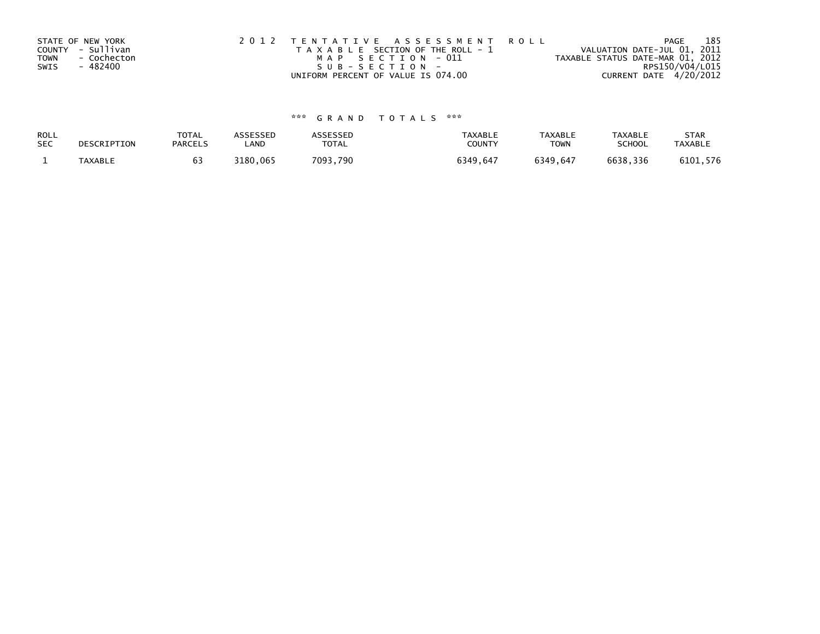| STATE OF NEW YORK   | 2012 TENTATIVE ASSESSMENT ROLL        | 185<br>PAGE                      |
|---------------------|---------------------------------------|----------------------------------|
| COUNTY - Sullivan   | T A X A B L E SECTION OF THE ROLL - 1 | VALUATION DATE-JUL 01, 2011      |
| TOWN<br>- Cochecton | MAP SECTION - 011                     | TAXABLE STATUS DATE-MAR 01, 2012 |
| - 482400<br>SWIS    | SUB-SECTION-                          | RPS150/V04/L015                  |
|                     | UNIFORM PERCENT OF VALUE IS 074.00    | CURRENT DATE 4/20/2012           |

# \*\*\* G R A N D T O T A L S \*\*\*

| ROLL       | DESCRIPTION | <b>TOTAL</b>   | <b>ASSESSED</b> | <b>ASSESSED</b> | <b>TAXABLE</b> | <b>TAXABLE</b> | <b>TAXABLE</b> | <b>STAR</b>    |
|------------|-------------|----------------|-----------------|-----------------|----------------|----------------|----------------|----------------|
| <b>SEC</b> |             | <b>PARCELS</b> | LAND            | <b>TOTAL</b>    | COUNTY         | <b>TOWN</b>    | <b>SCHOOL</b>  | <b>TAXABLE</b> |
|            | TAXABLE     |                | 3180,065        | 7093,790        | 6349.647       | 6349.647       | 6638,336       | 6101,576       |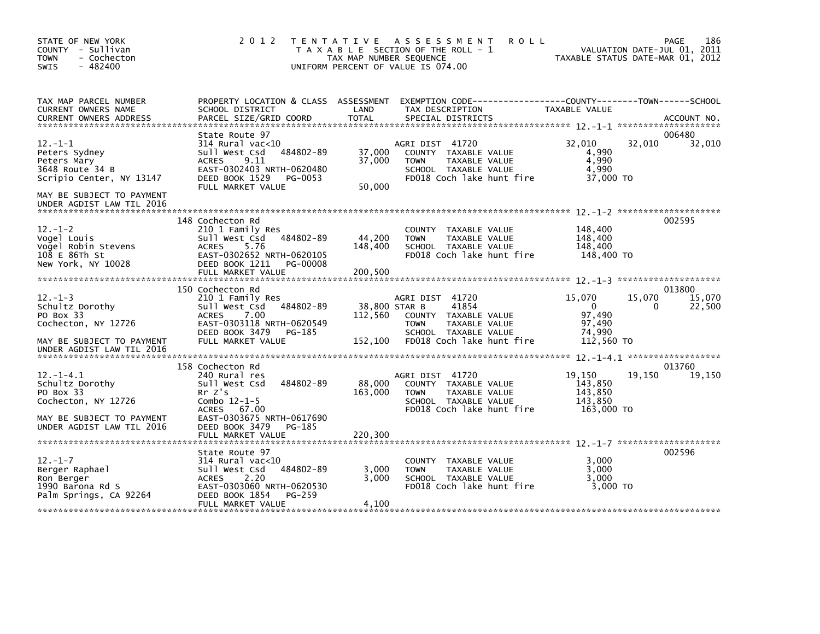| STATE OF NEW YORK<br>COUNTY - Sullivan<br><b>TOWN</b><br>- Cochecton<br>$-482400$<br>SWIS                                                                    | 2 0 1 2                                                                                                                                                                                                | TENTATIVE ASSESSMENT<br><b>ROLL</b><br>T A X A B L E SECTION OF THE ROLL - 1<br>TAX MAP NUMBER SEQUENCE<br>UNIFORM PERCENT OF VALUE IS 074.00                                | 186<br>PAGE<br>VALUATION DATE-JUL 01, 2011<br>TAXABLE STATUS DATE-MAR 01, 2012                                    |
|--------------------------------------------------------------------------------------------------------------------------------------------------------------|--------------------------------------------------------------------------------------------------------------------------------------------------------------------------------------------------------|------------------------------------------------------------------------------------------------------------------------------------------------------------------------------|-------------------------------------------------------------------------------------------------------------------|
| TAX MAP PARCEL NUMBER<br>CURRENT OWNERS NAME                                                                                                                 | PROPERTY LOCATION & CLASS ASSESSMENT<br>SCHOOL DISTRICT                                                                                                                                                | LAND<br>TAX DESCRIPTION                                                                                                                                                      | EXEMPTION CODE-----------------COUNTY-------TOWN------SCHOOL<br>TAXABLE VALUE                                     |
| $12 - 1 - 1$<br>Peters Sydney<br>Peters Mary<br>3648 Route 34 B<br>Scripio Center, NY 13147<br>MAY BE SUBJECT TO PAYMENT<br>UNDER AGDIST LAW TIL 2016        | State Route 97<br>$314$ Rural vac< $10$<br>484802-89<br>Sull West Csd<br>9.11<br><b>ACRES</b><br>EAST-0302403 NRTH-0620480<br>DEED BOOK 1529<br>PG-0053<br>FULL MARKET VALUE                           | AGRI DIST 41720<br>37,000<br>COUNTY TAXABLE VALUE<br>37,000<br><b>TOWN</b><br>TAXABLE VALUE<br>SCHOOL TAXABLE VALUE<br>FD018 Coch lake hunt fire<br>50,000                   | 006480<br>32,010<br>32,010<br>32,010<br>4,990<br>4,990<br>4,990<br>37,000 TO                                      |
| $12. - 1 - 2$<br>Vogel Louis<br>Vogel Robin Stevens<br>108 E 86Th St<br>New York, NY 10028                                                                   | 148 Cochecton Rd<br>210 1 Family Res<br>Sull West Csd<br>484802-89<br><b>ACRES</b><br>5.76<br>EAST-0302652 NRTH-0620105<br>DEED BOOK 1211 PG-00008<br>FULL MARKET VALUE                                | COUNTY TAXABLE VALUE<br>44,200<br><b>TOWN</b><br>TAXABLE VALUE<br>148,400<br>SCHOOL TAXABLE VALUE<br>FD018 Coch lake hunt fire<br>200,500                                    | 002595<br>148,400<br>148,400<br>148,400<br>148,400 TO                                                             |
| $12 - 1 - 3$<br>Schultz Dorothy<br>PO Box 33<br>Cochecton, NY 12726<br>MAY BE SUBJECT TO PAYMENT                                                             | 150 Cochecton Rd<br>210 1 Family Res<br>484802-89<br>Sull West Csd<br><b>ACRES</b><br>7.00<br>EAST-0303118 NRTH-0620549<br>DEED BOOK 3479<br>PG-185<br>FULL MARKET VALUE                               | AGRI DIST 41720<br>38,800 STAR B<br>41854<br>112,560<br>COUNTY TAXABLE VALUE<br><b>TOWN</b><br>TAXABLE VALUE<br>SCHOOL TAXABLE VALUE<br>152,100<br>FD018 Coch lake hunt fire | 013800<br>15,070<br>15,070<br>15.070<br>$\overline{0}$<br>22,500<br>0<br>97,490<br>97,490<br>74,990<br>112,560 TO |
| UNDER AGDIST LAW TIL 2016<br>$12. -1 - 4.1$<br>Schultz Dorothy<br>PO Box 33<br>Cochecton, NY 12726<br>MAY BE SUBJECT TO PAYMENT<br>UNDER AGDIST LAW TIL 2016 | 158 Cochecton Rd<br>240 Rural res<br>Sull West Csd<br>484802-89<br>Rr Z's<br>Combo $12 - 1 - 5$<br><b>ACRES</b><br>67.00<br>EAST-0303675 NRTH-0617690<br>DEED BOOK 3479<br>PG-185<br>FULL MARKET VALUE | AGRI DIST 41720<br>88,000<br>COUNTY TAXABLE VALUE<br>163,000<br>TAXABLE VALUE<br><b>TOWN</b><br>SCHOOL TAXABLE VALUE<br>FD018 Coch lake hunt fire<br>220,300                 | 013760<br>19,150<br>19.150<br>19,150<br>143,850<br>143,850<br>143.850<br>163,000 TO                               |
| $12. - 1 - 7$<br>Berger Raphael<br>Ron Berger<br>1990 Barona Rd S<br>Palm Springs, CA 92264                                                                  | State Route 97<br>$314$ Rural vac< $10$<br>Sull West Csd<br>484802-89<br>2.20<br><b>ACRES</b><br>EAST-0303060 NRTH-0620530<br>DEED BOOK 1854<br>PG-259<br>FULL MARKET VALUE                            | COUNTY TAXABLE VALUE<br>3,000<br><b>TOWN</b><br>TAXABLE VALUE<br>3,000<br>SCHOOL TAXABLE VALUE<br>FD018 Coch lake hunt fire<br>4,100                                         | 002596<br>3,000<br>3.000<br>3.000<br>3,000 TO                                                                     |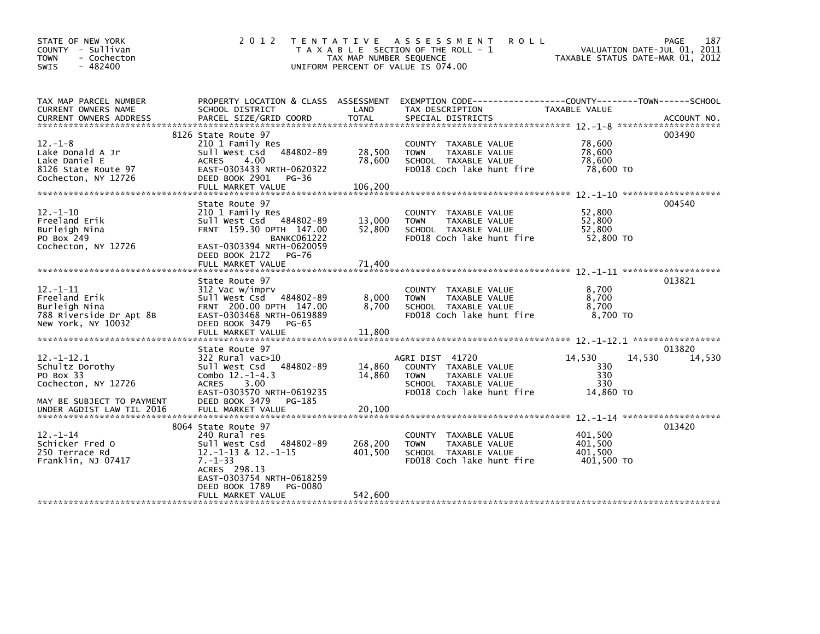| STATE OF NEW YORK<br>COUNTY - Sullivan<br><b>TOWN</b><br>- Cochecton<br>$-482400$<br>SWIS                                         | 2 0 1 2                                                                                                                                                                                                       | TAX MAP NUMBER SEQUENCE            | TENTATIVE ASSESSMENT<br><b>ROLL</b><br>T A X A B L E SECTION OF THE ROLL - 1<br>UNIFORM PERCENT OF VALUE IS 074.00           | TAXABLE STATUS DATE-MAR 01, 2012            | 187<br>PAGE<br>VALUATION DATE-JUL 01, 2011 |
|-----------------------------------------------------------------------------------------------------------------------------------|---------------------------------------------------------------------------------------------------------------------------------------------------------------------------------------------------------------|------------------------------------|------------------------------------------------------------------------------------------------------------------------------|---------------------------------------------|--------------------------------------------|
| TAX MAP PARCEL NUMBER<br>CURRENT OWNERS NAME                                                                                      | PROPERTY LOCATION & CLASS ASSESSMENT<br>SCHOOL DISTRICT                                                                                                                                                       | LAND                               | EXEMPTION CODE------------------COUNTY--------TOWN------SCHOOL<br>TAX DESCRIPTION                                            | TAXABLE VALUE                               |                                            |
| $12. -1 - 8$<br>Lake Donald A Jr<br>Lake Daniel E<br>8126 State Route 97<br>Cochecton, NY 12726                                   | 8126 State Route 97<br>210 1 Family Res<br>484802-89<br>Sull West Csd<br>- 4.00<br><b>ACRES</b><br>EAST-0303433 NRTH-0620322<br>DEED BOOK 2901<br>$PG-36$<br>FULL MARKET VALUE                                | 28,500<br>78,600<br>106,200        | COUNTY<br>TAXABLE VALUE<br>TAXABLE VALUE<br><b>TOWN</b><br>SCHOOL TAXABLE VALUE<br>FD018 Coch lake hunt fire                 | 78,600<br>78,600<br>78,600<br>78,600 TO     | 003490                                     |
| $12. - 1 - 10$<br>Freeland Erik<br>Burleigh Nina<br>PO Box 249<br>Cochecton, NY 12726                                             | State Route 97<br>210 1 Family Res<br>Sull West Csd 484802-89<br>FRNT 159.30 DPTH 147.00<br><b>BANKC061222</b><br>EAST-0303394 NRTH-0620059<br>DEED BOOK 2172<br><b>PG-76</b>                                 | 13,000<br>52,800                   | <b>COUNTY</b><br>TAXABLE VALUE<br>TAXABLE VALUE<br><b>TOWN</b><br>SCHOOL TAXABLE VALUE<br>FD018 Coch lake hunt fire          | 52,800<br>52,800<br>52,800<br>52,800 TO     | 004540                                     |
| $12. - 1 - 11$<br>Freeland Erik<br>Burleigh Nina<br>788 Riverside Dr Apt 8B<br>New York, NY 10032                                 | FULL MARKET VALUE<br>State Route 97<br>312 Vac w/imprv<br>Sull West Csd 484802-89<br>FRNT 200.00 DPTH 147.00<br>EAST-0303468 NRTH-0619889<br>DEED BOOK 3479<br><b>PG-65</b><br>FULL MARKET VALUE              | 71.400<br>8,000<br>8.700<br>11,800 | COUNTY TAXABLE VALUE<br><b>TOWN</b><br>TAXABLE VALUE<br>SCHOOL TAXABLE VALUE<br>FD018 Coch lake hunt fire                    | 8,700<br>8,700<br>8,700<br>8,700 TO         | 013821                                     |
| $12. - 1 - 12.1$<br>Schultz Dorothy<br>PO Box 33<br>Cochecton, NY 12726<br>MAY BE SUBJECT TO PAYMENT<br>UNDER AGDIST LAW TIL 2016 | State Route 97<br>$322$ Rural vac $>10$<br>484802-89<br>Sull West Csd<br>Combo $12.-1-4.3$<br><b>ACRES</b><br>3.00<br>EAST-0303570 NRTH-0619235<br>DEED BOOK 3479<br>PG-185<br>FULL MARKET VALUE              | 14,860<br>14,860<br>20,100         | AGRI DIST 41720<br>COUNTY TAXABLE VALUE<br>TAXABLE VALUE<br><b>TOWN</b><br>SCHOOL TAXABLE VALUE<br>FD018 Coch lake hunt fire | 14.530<br>330<br>330<br>330<br>14,860 TO    | 013820<br>14,530<br>14.530                 |
| $12. - 1 - 14$<br>Schicker Fred O<br>250 Terrace Rd<br>Franklin, NJ 07417                                                         | 8064 State Route 97<br>240 Rural res<br>Sull West Csd<br>484802-89<br>$12.-1-13$ & $12.-1-15$<br>$7. - 1 - 33$<br>ACRES 298.13<br>EAST-0303754 NRTH-0618259<br>DEED BOOK 1789<br>PG-0080<br>FULL MARKET VALUE | 268,200<br>401,500<br>542,600      | <b>COUNTY</b><br>TAXABLE VALUE<br>TAXABLE VALUE<br><b>TOWN</b><br>SCHOOL TAXABLE VALUE<br>FD018 Coch lake hunt fire          | 401,500<br>401,500<br>401.500<br>401,500 TO | 013420                                     |
|                                                                                                                                   |                                                                                                                                                                                                               |                                    |                                                                                                                              |                                             |                                            |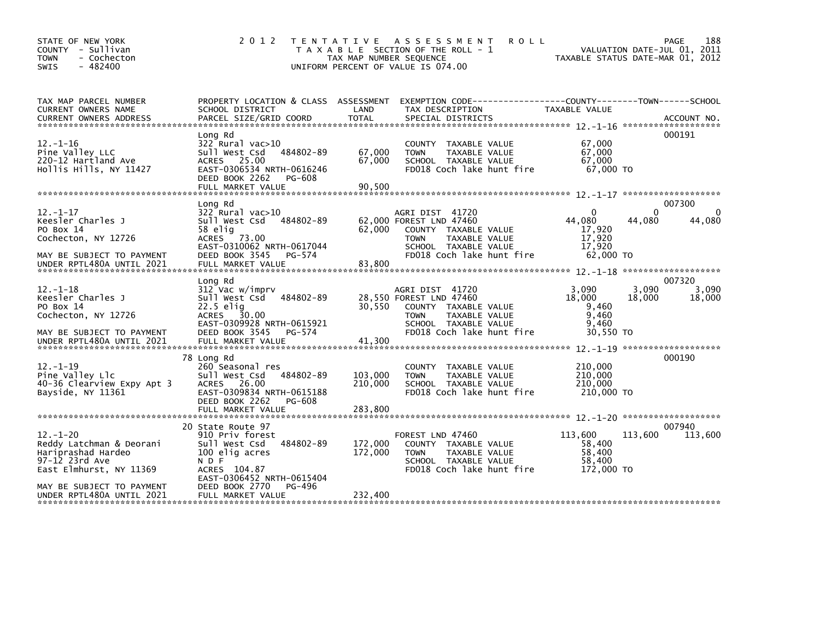| STATE OF NEW YORK<br>COUNTY - Sullivan<br><b>TOWN</b><br>- Cochecton<br>$-482400$<br>SWIS                                                                               | 2 0 1 2                                                                                                                                                                                     | TAX MAP NUMBER SEQUENCE       | TENTATIVE ASSESSMENT<br><b>ROLL</b><br>T A X A B L E SECTION OF THE ROLL - 1<br>UNIFORM PERCENT OF VALUE IS 074.00                                      |                                                               | 188<br>PAGE<br>VALUATION DATE-JUL 01, 2011<br>TAXABLE STATUS DATE-MAR 01, 2012 |
|-------------------------------------------------------------------------------------------------------------------------------------------------------------------------|---------------------------------------------------------------------------------------------------------------------------------------------------------------------------------------------|-------------------------------|---------------------------------------------------------------------------------------------------------------------------------------------------------|---------------------------------------------------------------|--------------------------------------------------------------------------------|
| TAX MAP PARCEL NUMBER<br>CURRENT OWNERS NAME                                                                                                                            | PROPERTY LOCATION & CLASS ASSESSMENT<br>SCHOOL DISTRICT                                                                                                                                     | LAND                          | EXEMPTION CODE-----------------COUNTY-------TOWN------SCHOOL<br>TAX DESCRIPTION                                                                         | TAXABLE VALUE                                                 |                                                                                |
| $12. - 1 - 16$<br>Pine Valley LLC<br>220-12 Hartland Ave<br>Hollis Hills, NY 11427                                                                                      | Long Rd<br>$322$ Rural vac $>10$<br>Sull West Csd<br>484802-89<br>ACRES 25.00<br>EAST-0306534 NRTH-0616246<br>DEED BOOK 2262<br>PG-608                                                      | 67,000<br>67.000              | COUNTY TAXABLE VALUE<br><b>TOWN</b><br>TAXABLE VALUE<br>SCHOOL TAXABLE VALUE<br>FD018 Coch lake hunt fire                                               | 67,000<br>67,000<br>67,000<br>67,000 TO                       | 000191                                                                         |
| $12. - 1 - 17$<br>Keesler Charles J<br>PO Box 14<br>Cochecton, NY 12726<br>MAY BE SUBJECT TO PAYMENT<br>UNDER RPTL480A UNTIL 2021                                       | Long Rd<br>$322$ Rural vac $>10$<br>484802-89<br>Sull West Csd<br>58 elig<br>ACRES 73.00<br>EAST-0310062 NRTH-0617044<br>DEED BOOK 3545<br>PG-574<br>FULL MARKET VALUE                      | 62.000<br>83.800              | AGRI DIST 41720<br>62,000 FOREST LND 47460<br>COUNTY TAXABLE VALUE<br><b>TOWN</b><br>TAXABLE VALUE<br>SCHOOL TAXABLE VALUE<br>FD018 Coch lake hunt fire | $\Omega$<br>44.080<br>17,920<br>17,920<br>17,920<br>62,000 TO | 007300<br>$\Omega$<br>$\mathbf{0}$<br>44,080<br>44,080                         |
| $12. - 1 - 18$<br>Keesler Charles J<br>PO Box 14<br>Cochecton, NY 12726<br>MAY BE SUBJECT TO PAYMENT<br>UNDER RPTL480A UNTIL 2021                                       | Long Rd<br>312 Vac w/imprv<br>484802-89<br>Sull West Csd<br>22.5 elig<br>30.00<br><b>ACRES</b><br>EAST-0309928 NRTH-0615921<br>DEED BOOK 3545<br>PG-574<br>FULL MARKET VALUE                | 30,550<br>41,300              | AGRI DIST 41720<br>28,550 FOREST LND 47460<br>COUNTY TAXABLE VALUE<br>TAXABLE VALUE<br><b>TOWN</b><br>SCHOOL TAXABLE VALUE<br>FD018 Coch lake hunt fire | 3.090<br>18,000<br>9,460<br>9,460<br>9,460<br>30.550 TO       | 007320<br>3,090<br>3.090<br>18,000<br>18,000                                   |
| $12 - 1 - 19$<br>Pine Valley Llc<br>40-36 Clearview Expy Apt 3<br>Bayside, NY 11361                                                                                     | 78 Long Rd<br>260 Seasonal res<br>Sull West Csd<br>484802-89<br>ACRES 26.00<br>EAST-0309834 NRTH-0615188<br>DEED BOOK 2262<br>PG-608                                                        | 103,000<br>210,000            | COUNTY TAXABLE VALUE<br><b>TOWN</b><br>TAXABLE VALUE<br>SCHOOL TAXABLE VALUE<br>FD018 Coch lake hunt fire                                               | 210,000<br>210,000<br>210,000<br>210,000 TO                   | 000190                                                                         |
| $12. - 1 - 20$<br>Reddy Latchman & Deorani<br>Hariprashad Hardeo<br>97-12 23rd Ave<br>East Elmhurst, NY 11369<br>MAY BE SUBJECT TO PAYMENT<br>UNDER RPTL480A UNTIL 2021 | 20 State Route 97<br>910 Priv forest<br>Sull West Csd<br>484802-89<br>100 elig acres<br>N D F<br>ACRES 104.87<br>EAST-0306452 NRTH-0615404<br>PG-496<br>DEED BOOK 2770<br>FULL MARKET VALUE | 172,000<br>172,000<br>232.400 | FOREST LND 47460<br>COUNTY TAXABLE VALUE<br><b>TOWN</b><br>TAXABLE VALUE<br>SCHOOL TAXABLE VALUE<br>FD018 Coch lake hunt fire                           | 113,600<br>58,400<br>58,400<br>58,400<br>172,000 TO           | 007940<br>113,600<br>113,600                                                   |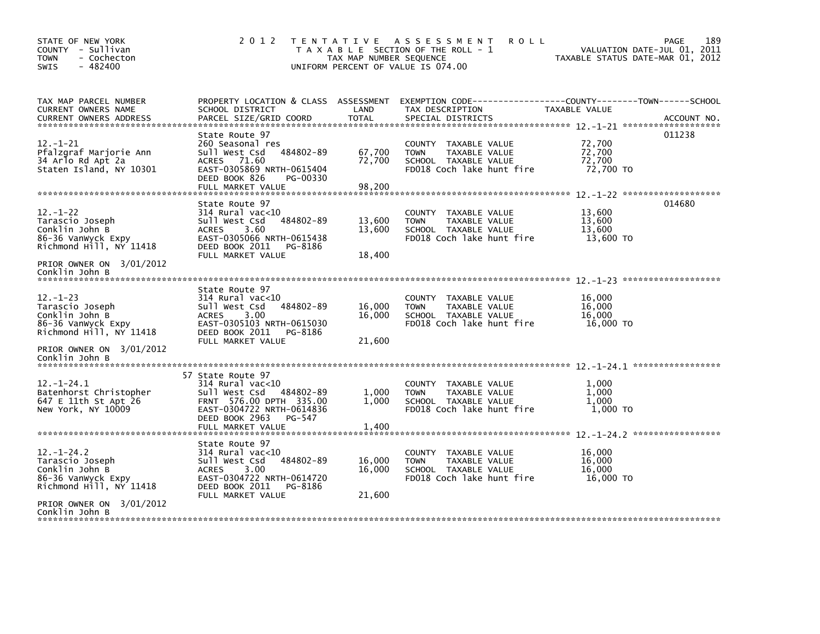| STATE OF NEW YORK<br>COUNTY - Sullivan<br>- Cochecton<br>TOWN<br>$-482400$<br><b>SWIS</b>              | 2 0 1 2                                                                                                                                                                     | TAX MAP NUMBER SEQUENCE    | TENTATIVE ASSESSMENT<br><b>ROLL</b><br>T A X A B L E SECTION OF THE ROLL - 1<br>UNIFORM PERCENT OF VALUE IS 074.00 | <b>PAGE</b><br>VALUATION DATE-JUL 01, 2011<br>TAXABLE STATUS DATE-MAR 01, 2012                                                    | 189 |
|--------------------------------------------------------------------------------------------------------|-----------------------------------------------------------------------------------------------------------------------------------------------------------------------------|----------------------------|--------------------------------------------------------------------------------------------------------------------|-----------------------------------------------------------------------------------------------------------------------------------|-----|
| TAX MAP PARCEL NUMBER<br>CURRENT OWNERS NAME<br><b>CURRENT OWNERS ADDRESS</b>                          | SCHOOL DISTRICT<br>PARCEL SIZE/GRID COORD                                                                                                                                   | LAND<br><b>TOTAL</b>       | TAX DESCRIPTION<br>SPECIAL DISTRICTS                                                                               | PROPERTY LOCATION & CLASS ASSESSMENT EXEMPTION CODE-----------------COUNTY-------TOWN------SCHOOL<br>TAXABLE VALUE<br>ACCOUNT NO. |     |
| $12. - 1 - 21$<br>Pfalzgraf Marjorie Ann<br>34 Arlo Rd Apt 2a<br>Staten Island, NY 10301               | State Route 97<br>260 Seasonal res<br>sull west Csd<br>484802-89<br>ACRES 71.60<br>EAST-0305869 NRTH-0615404<br>DEED BOOK 826<br>PG-00330                                   | 67,700<br>72,700           | COUNTY TAXABLE VALUE<br>TAXABLE VALUE<br><b>TOWN</b><br>SCHOOL TAXABLE VALUE<br>FD018 Coch lake hunt fire          | 011238<br>72,700<br>72,700<br>72,700<br>72,700 TO                                                                                 |     |
| $12 - 1 - 22$<br>Tarascio Joseph<br>Conklin John B<br>86-36 VanWyck Expy<br>Richmond Hill, NY 11418    | State Route 97<br>$314$ Rural vac<10<br>484802-89<br>Sull West Csd<br><b>ACRES</b><br>3.60<br>EAST-0305066 NRTH-0615438<br>DEED BOOK 2011<br>PG-8186<br>FULL MARKET VALUE   | 13,600<br>13,600<br>18,400 | COUNTY TAXABLE VALUE<br><b>TOWN</b><br>TAXABLE VALUE<br>SCHOOL TAXABLE VALUE<br>FD018 Coch lake hunt fire          | 014680<br>13,600<br>13,600<br>13.600<br>13,600 TO                                                                                 |     |
| PRIOR OWNER ON 3/01/2012<br>Conklin John B                                                             |                                                                                                                                                                             |                            |                                                                                                                    |                                                                                                                                   |     |
| $12. - 1 - 23$<br>Tarascio Joseph<br>Conklin John B<br>86-36 Vanwyck Expy<br>Richmond Hill, NY 11418   | State Route 97<br>$314$ Rural vac<10<br>484802-89<br>sull west Csd<br>3.00<br><b>ACRES</b><br>EAST-0305103 NRTH-0615030<br>DEED BOOK 2011<br>PG-8186<br>FULL MARKET VALUE   | 16,000<br>16,000<br>21,600 | COUNTY TAXABLE VALUE<br>TAXABLE VALUE<br><b>TOWN</b><br>SCHOOL TAXABLE VALUE<br>FD018 Coch lake hunt fire          | 16,000<br>16,000<br>16,000<br>16,000 TO                                                                                           |     |
| PRIOR OWNER ON 3/01/2012<br>Conklin John B                                                             |                                                                                                                                                                             |                            |                                                                                                                    |                                                                                                                                   |     |
| $12. - 1 - 24.1$<br>Batenhorst Christopher<br>647 E 11th St Apt 26<br>New York, NY 10009               | 57 State Route 97<br>$314$ Rural vac<10<br>Sull West Csd 484802-89<br>FRNT 576.00 DPTH 335.00<br>EAST-0304722 NRTH-0614836<br>DEED BOOK 2963<br>PG-547<br>FULL MARKET VALUE | 1,000<br>1,000<br>1,400    | COUNTY TAXABLE VALUE<br>TAXABLE VALUE<br><b>TOWN</b><br>SCHOOL TAXABLE VALUE<br>FD018 Coch lake hunt fire          | 1,000<br>1,000<br>1.000<br>1,000 TO                                                                                               |     |
|                                                                                                        |                                                                                                                                                                             |                            |                                                                                                                    |                                                                                                                                   |     |
| $12. - 1 - 24.2$<br>Tarascio Joseph<br>Conklin John B<br>86-36 Vanwyck Expy<br>Richmond Hill, NY 11418 | State Route 97<br>$314$ Rural vac<10<br>484802-89<br>Sull West Csd<br>3.00<br><b>ACRES</b><br>EAST-0304722 NRTH-0614720<br>DEED BOOK 2011<br>PG-8186                        | 16,000<br>16,000           | COUNTY TAXABLE VALUE<br>TAXABLE VALUE<br><b>TOWN</b><br>SCHOOL TAXABLE VALUE<br>FD018 Coch lake hunt fire          | 16,000<br>16.000<br>16,000<br>16,000 TO                                                                                           |     |
| PRIOR OWNER ON 3/01/2012<br>Conklin John B                                                             | FULL MARKET VALUE                                                                                                                                                           | 21,600                     |                                                                                                                    |                                                                                                                                   |     |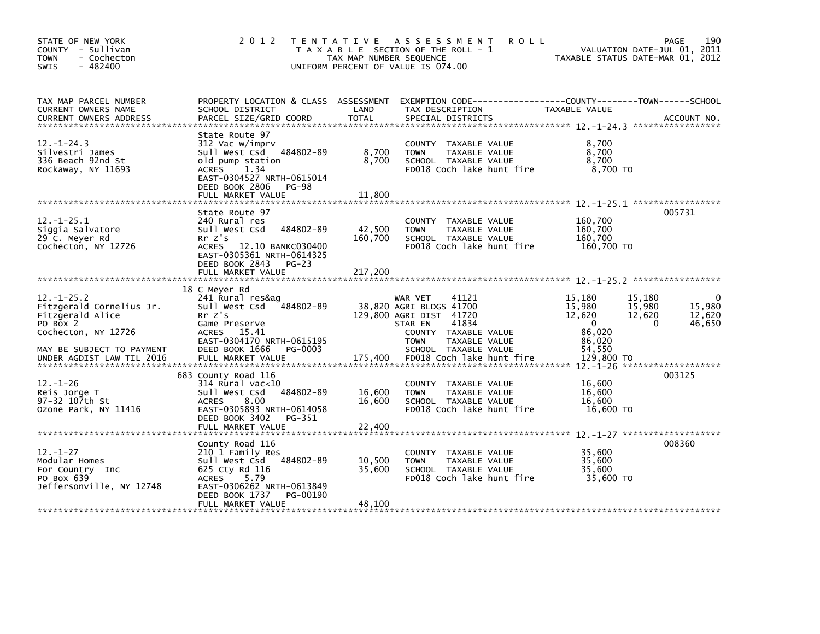| STATE OF NEW YORK<br>COUNTY - Sullivan<br><b>TOWN</b><br>- Cochecton<br>$-482400$<br><b>SWIS</b>                                                              | 2 0 1 2                                                                                                                                                                                  | TAX MAP NUMBER SEQUENCE    | TENTATIVE ASSESSMENT<br><b>ROLL</b><br>T A X A B L E SECTION OF THE ROLL - 1<br>UNIFORM PERCENT OF VALUE IS 074.00                                                                                      | TAXABLE STATUS DATE-MAR 01, 2012                                                                                       | 190<br><b>PAGE</b><br>VALUATION DATE-JUL 01, 2011 |
|---------------------------------------------------------------------------------------------------------------------------------------------------------------|------------------------------------------------------------------------------------------------------------------------------------------------------------------------------------------|----------------------------|---------------------------------------------------------------------------------------------------------------------------------------------------------------------------------------------------------|------------------------------------------------------------------------------------------------------------------------|---------------------------------------------------|
| TAX MAP PARCEL NUMBER<br>CURRENT OWNERS NAME<br><b>CURRENT OWNERS ADDRESS</b>                                                                                 | PROPERTY LOCATION & CLASS ASSESSMENT<br>SCHOOL DISTRICT<br>PARCEL SIZE/GRID COORD                                                                                                        | LAND<br><b>TOTAL</b>       | TAX DESCRIPTION<br>SPECIAL DISTRICTS                                                                                                                                                                    | TAXABLE VALUE                                                                                                          | ACCOUNT NO.                                       |
| $12 - 1 - 24.3$<br>Silvestri James<br>336 Beach 92nd St<br>Rockaway, NY 11693                                                                                 | State Route 97<br>312 Vac w/imprv<br>Sull West Csd 484802-89<br>old pump station<br>ACRES<br>1.34<br>EAST-0304527 NRTH-0615014<br>DEED BOOK 2806 PG-98<br>FULL MARKET VALUE              | 8,700<br>8,700<br>11,800   | COUNTY TAXABLE VALUE<br>TAXABLE VALUE<br><b>TOWN</b><br>SCHOOL TAXABLE VALUE<br>FD018 Coch lake hunt fire                                                                                               | 8,700<br>8,700<br>8,700<br>8,700 TO                                                                                    |                                                   |
| $12. - 1 - 25.1$<br>Siggia Salvatore<br>29 C. Meyer Rd<br>Cochecton, NY 12726                                                                                 | State Route 97<br>240 Rural res<br>Sull West Csd<br>484802-89<br>Rr Z's<br>ACRES 12.10 BANKC030400<br>EAST-0305361 NRTH-0614325<br>DEED BOOK 2843 PG-23                                  | 42,500<br>160,700          | COUNTY TAXABLE VALUE<br>TAXABLE VALUE<br><b>TOWN</b><br>SCHOOL TAXABLE VALUE<br>FD018 Coch lake hunt fire                                                                                               | 160,700<br>160,700<br>160,700<br>160.700 TO                                                                            | 005731                                            |
|                                                                                                                                                               | FULL MARKET VALUE                                                                                                                                                                        | 217,200                    |                                                                                                                                                                                                         |                                                                                                                        |                                                   |
| $12. - 1 - 25.2$<br>Fitzgerald Cornelius Jr.<br>Fitzgerald Alice<br>PO Box 2<br>Cochecton, NY 12726<br>MAY BE SUBJECT TO PAYMENT<br>UNDER AGDIST LAW TIL 2016 | 18 C Meyer Rd<br>241 Rural res&ag<br>Sull West Csd<br>484802-89<br>Rr Z's<br>Game Preserve<br>ACRES 15.41<br>EAST-0304170 NRTH-0615195<br>DEED BOOK 1666<br>PG-0003<br>FULL MARKET VALUE | 175,400                    | 41121<br>WAR VET<br>38,820 AGRI BLDGS 41700<br>129,800 AGRI DIST 41720<br>41834<br>STAR EN<br>COUNTY TAXABLE VALUE<br><b>TOWN</b><br>TAXABLE VALUE<br>SCHOOL TAXABLE VALUE<br>FD018 Coch lake hunt fire | 15,180<br>15,180<br>15,980<br>15,980<br>12,620<br>12,620<br>$\overline{0}$<br>86.020<br>86,020<br>54.550<br>129,800 TO | 15.980<br>12,620<br>46,650<br>$\Omega$            |
| $12. - 1 - 26$<br>Reis Jorge T<br>97-32 107th St<br>Ozone Park, NY 11416                                                                                      | 683 County Road 116<br>$314$ Rural vac<10<br>Sull West Csd<br>484802-89<br>ACRES<br>8.00<br>EAST-0305893 NRTH-0614058<br>DEED BOOK 3402<br>PG-351<br>FULL MARKET VALUE                   | 16,600<br>16,600<br>22,400 | COUNTY TAXABLE VALUE<br>TAXABLE VALUE<br><b>TOWN</b><br>SCHOOL TAXABLE VALUE<br>FD018 Coch lake hunt fire                                                                                               | 16,600<br>16,600<br>16.600<br>16,600 TO                                                                                | 003125                                            |
| $12 - 1 - 27$<br>Modular Homes<br>For Country Inc<br>PO Box 639<br>Jeffersonville, NY 12748                                                                   | County Road 116<br>210 1 Family Res<br>Sull West Csd 484802-89<br>625 Cty Rd 116<br>5.79<br>ACRES<br>EAST-0306262 NRTH-0613849<br>DEED BOOK 1737<br>PG-00190<br>FULL MARKET VALUE        | 10,500<br>35,600<br>48,100 | COUNTY TAXABLE VALUE<br>TAXABLE VALUE<br><b>TOWN</b><br>SCHOOL TAXABLE VALUE<br>FD018 Coch lake hunt fire                                                                                               | 35,600<br>35,600<br>35,600<br>35,600 TO                                                                                | 008360                                            |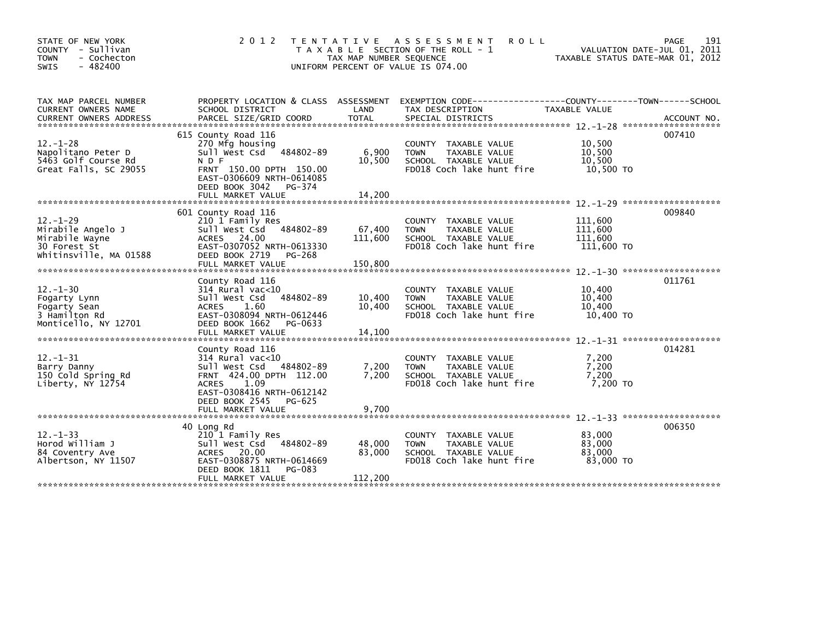| STATE OF NEW YORK<br>COUNTY - Sullivan<br>- Cochecton<br><b>TOWN</b><br>$-482400$<br><b>SWIS</b> | 2 0 1 2                                                                                                                                                                                    | TAX MAP NUMBER SEQUENCE      | TENTATIVE ASSESSMENT<br><b>ROLL</b><br>T A X A B L E SECTION OF THE ROLL - 1<br>UNIFORM PERCENT OF VALUE IS 074.00 |                                             | 191<br>PAGE<br>VALUATION DATE-JUL 01, 2011<br>TAXABLE STATUS DATE-MAR 01, 2012 |
|--------------------------------------------------------------------------------------------------|--------------------------------------------------------------------------------------------------------------------------------------------------------------------------------------------|------------------------------|--------------------------------------------------------------------------------------------------------------------|---------------------------------------------|--------------------------------------------------------------------------------|
| TAX MAP PARCEL NUMBER<br>CURRENT OWNERS NAME<br><b>CURRENT OWNERS ADDRESS</b>                    | PROPERTY LOCATION & CLASS ASSESSMENT<br>SCHOOL DISTRICT<br>PARCEL SIZE/GRID COORD                                                                                                          | LAND<br>TOTAL                | EXEMPTION CODE-----------------COUNTY-------TOWN------SCHOOL<br>TAX DESCRIPTION<br>SPECIAL DISTRICTS               | TAXABLE VALUE                               | ACCOUNT NO.                                                                    |
| $12. - 1 - 28$<br>Napolitano Peter D<br>5463 Golf Course Rd<br>Great Falls, SC 29055             | 615 County Road 116<br>270 Mfg housing<br>Sull West Csd 484802-89<br>N D F<br>FRNT 150.00 DPTH 150.00<br>EAST-0306609 NRTH-0614085<br>DEED BOOK 3042<br>PG-374<br>FULL MARKET VALUE        | 6,900<br>10,500<br>14.200    | COUNTY TAXABLE VALUE<br>TAXABLE VALUE<br><b>TOWN</b><br>SCHOOL TAXABLE VALUE<br>FD018 Coch lake hunt fire          | 10,500<br>10,500<br>10.500<br>10,500 TO     | 007410                                                                         |
| $12. - 1 - 29$<br>Mirabile Angelo J<br>Mirabile Wayne<br>30 Forest St<br>Whitinsville, MA 01588  | 601 County Road 116<br>210 1 Family Res<br>484802-89<br>Sull West Csd<br>ACRES 24.00<br>EAST-0307052 NRTH-0613330<br>DEED BOOK 2719<br>PG-268<br>FULL MARKET VALUE                         | 67,400<br>111,600<br>150,800 | COUNTY TAXABLE VALUE<br><b>TOWN</b><br>TAXABLE VALUE<br>SCHOOL TAXABLE VALUE<br>FD018 Coch lake hunt fire          | 111,600<br>111,600<br>111,600<br>111,600 TO | 009840                                                                         |
| $12 - 1 - 30$<br>Fogarty Lynn<br>Fogarty Sean<br>3 Hamilton Rd<br>Monticello, NY 12701           | County Road 116<br>$314$ Rural vac<10<br>Sull West Csd<br>484802-89<br>1.60<br><b>ACRES</b><br>EAST-0308094 NRTH-0612446<br>DEED BOOK 1662<br>PG-0633<br>FULL MARKET VALUE                 | 10,400<br>10,400<br>14,100   | COUNTY TAXABLE VALUE<br><b>TOWN</b><br>TAXABLE VALUE<br>SCHOOL TAXABLE VALUE<br>FD018 Coch lake hunt fire          | 10,400<br>10,400<br>10,400<br>10,400 TO     | 011761                                                                         |
| $12. - 1 - 31$<br>Barry Danny<br>150 Cold Spring Rd<br>Liberty, NY 12754                         | County Road 116<br>$314$ Rural vac<10<br>Sull West Csd<br>484802-89<br>FRNT 424.00 DPTH 112.00<br>ACRES 1.09<br>EAST-0308416 NRTH-0612142<br>DEED BOOK 2545<br>PG-625<br>FULL MARKET VALUE | 7,200<br>7,200<br>9,700      | COUNTY TAXABLE VALUE<br>TAXABLE VALUE<br><b>TOWN</b><br>SCHOOL TAXABLE VALUE<br>FD018 Coch lake hunt fire          | 7,200<br>7,200<br>7,200<br>7,200 TO         | 014281                                                                         |
| $12. - 1 - 33$<br>Horod William J<br>84 Coventry Ave<br>Albertson, NY 11507                      | 40 Long Rd<br>210 1 Family Res<br>484802-89<br>Sull West Csd<br>ACRES 20.00<br>EAST-0308875 NRTH-0614669<br>DEED BOOK 1811<br>PG-083<br>FULL MARKET VALUE                                  | 48,000<br>83,000<br>112,200  | COUNTY TAXABLE VALUE<br>TAXABLE VALUE<br><b>TOWN</b><br>SCHOOL TAXABLE VALUE<br>FD018 Coch lake hunt fire          | 83,000<br>83,000<br>83,000<br>83.000 TO     | 006350                                                                         |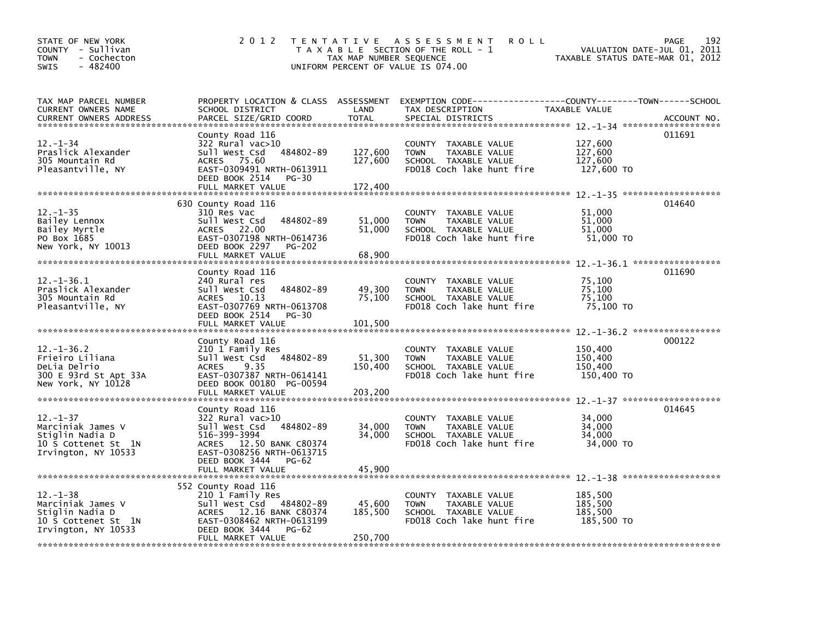| STATE OF NEW YORK<br>COUNTY - Sullivan<br>- Cochecton<br><b>TOWN</b><br>$-482400$<br>SWIS       | 2 0 1 2                                                                                                                                                                                | T E N T A T I V E<br>TAX MAP NUMBER SEQUENCE | A S S E S S M E N T<br><b>ROLL</b><br>T A X A B L E SECTION OF THE ROLL - 1<br>UNIFORM PERCENT OF VALUE IS 074.00   | VALUATION DATE-JUL 01, 2011<br>TAXABLE STATUS DATE-MAR 01, 2012 | 192<br>PAGE |
|-------------------------------------------------------------------------------------------------|----------------------------------------------------------------------------------------------------------------------------------------------------------------------------------------|----------------------------------------------|---------------------------------------------------------------------------------------------------------------------|-----------------------------------------------------------------|-------------|
| TAX MAP PARCEL NUMBER<br>CURRENT OWNERS NAME<br><b>CURRENT OWNERS ADDRESS</b>                   | PROPERTY LOCATION & CLASS ASSESSMENT<br>SCHOOL DISTRICT<br>PARCEL SIZE/GRID COORD                                                                                                      | LAND<br><b>TOTAL</b>                         | EXEMPTION CODE-----------------COUNTY-------TOWN------SCHOOL<br>TAX DESCRIPTION<br>SPECIAL DISTRICTS                | TAXABLE VALUE                                                   | ACCOUNT NO. |
| 12. –1–34<br>Praslick Alexander<br>305 Mountain Rd<br>Pleasantville, NY                         | County Road 116<br>322 Rural vac>10<br>sull west Csd<br>484802-89<br>ACRES 75.60<br>EAST-0309491 NRTH-0613911<br>DEED BOOK 2514<br>PG-30<br>FULL MARKET VALUE                          | 127,600<br>127,600<br>172,400                | COUNTY TAXABLE VALUE<br><b>TOWN</b><br>TAXABLE VALUE<br>SCHOOL TAXABLE VALUE<br>FD018 Coch lake hunt fire           | 127,600<br>127,600<br>127,600<br>127,600 TO                     | 011691      |
| $12. - 1 - 35$<br>Bailey Lennox<br>Bailey Myrtle<br>PO Box 1685<br>New York, NY 10013           | 630 County Road 116<br>310 Res Vac<br>Sull West Csd<br>484802-89<br>ACRES 22.00<br>EAST-0307198 NRTH-0614736<br>DEED BOOK 2297<br><b>PG-202</b><br>FULL MARKET VALUE                   | 51,000<br>51,000<br>68,900                   | COUNTY TAXABLE VALUE<br><b>TOWN</b><br>TAXABLE VALUE<br>SCHOOL TAXABLE VALUE<br>FD018 Coch lake hunt fire           | 51,000<br>51,000<br>51,000<br>51,000 TO                         | 014640      |
| $12. - 1 - 36.1$<br>Praslick Alexander<br>305 Mountain Rd<br>Pleasantville, NY                  | County Road 116<br>240 Rural res<br>Sull West Csd<br>484802-89<br>ACRES 10.13<br>EAST-0307769 NRTH-0613708<br>DEED BOOK 2514<br>PG-30<br>FULL MARKET VALUE                             | 49,300<br>75,100<br>101,500                  | <b>COUNTY</b><br>TAXABLE VALUE<br>TAXABLE VALUE<br><b>TOWN</b><br>SCHOOL TAXABLE VALUE<br>FD018 Coch lake hunt fire | 75,100<br>75,100<br>75,100<br>75,100 TO                         | 011690      |
| 12. –1–36.2<br>Frieiro Liliana<br>DeLia Delrio<br>300 E 93rd St Apt 33A<br>New York, NY 10128   | County Road 116<br>210 1 Family Res<br>Sull West Csd 484802-89<br><b>ACRES</b><br>9.35<br>EAST-0307387 NRTH-0614141<br>DEED BOOK 00180 PG-00594<br>FULL MARKET VALUE                   | 51,300<br>150,400<br>203,200                 | COUNTY TAXABLE VALUE<br>TAXABLE VALUE<br><b>TOWN</b><br>SCHOOL TAXABLE VALUE<br>FD018 Coch lake hunt fire           | 150,400<br>150,400<br>150,400<br>150,400 TO                     | 000122      |
| 12. –1–37<br>Marciniak James V<br>Stiglin Nadia D<br>10 S Cottenet St 1N<br>Irvington, NY 10533 | County Road 116<br>322 Rural vac>10<br>Sull West Csd 484802-89<br>516-399-3994<br>ACRES 12.50 BANK C80374<br>EAST-0308256 NRTH-0613715<br>DEED BOOK 3444<br>PG-62<br>FULL MARKET VALUE | 34,000<br>34,000<br>45,900                   | COUNTY TAXABLE VALUE<br>TAXABLE VALUE<br><b>TOWN</b><br>SCHOOL TAXABLE VALUE<br>FD018 Coch lake hunt fire           | 34,000<br>34,000<br>34,000<br>34,000 TO                         | 014645      |
| 12. –1–38<br>Marciniak James V<br>Stiglin Nadia D<br>10 S Cottenet St 1N<br>Irvington, NY 10533 | 552 County Road 116<br>210 1 Family Res<br>Sull West Csd 484802-89<br>ACRES 12.16 BANK C80374<br>EAST-0308462 NRTH-0613199<br>DEED BOOK 3444<br>PG-62<br>FULL MARKET VALUE             | 45,600<br>185,500<br>250,700                 | COUNTY TAXABLE VALUE<br><b>TOWN</b><br>TAXABLE VALUE<br>SCHOOL TAXABLE VALUE<br>FD018 Coch lake hunt fire           | 185,500<br>185,500<br>185,500<br>185,500 TO                     |             |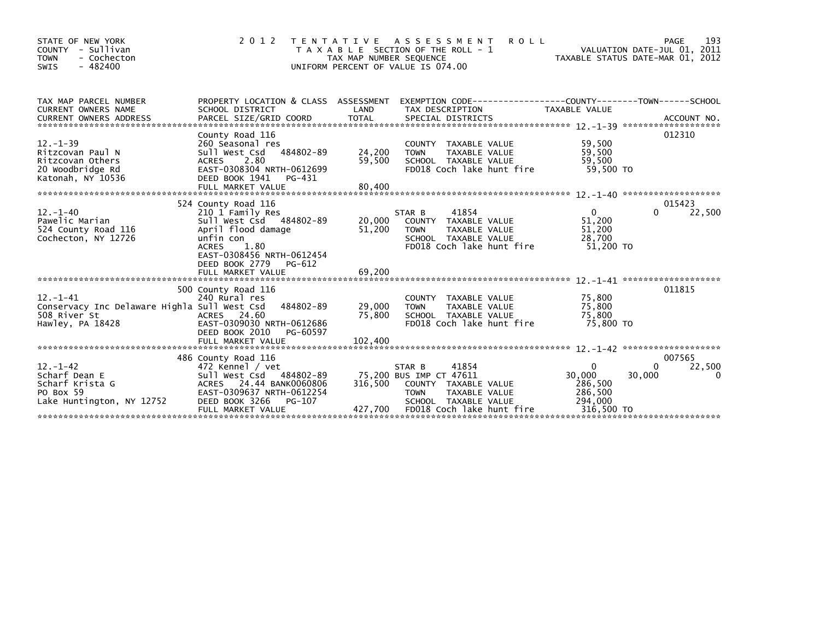| STATE OF NEW YORK<br>COUNTY - Sullivan<br>- Cochecton<br><b>TOWN</b><br>$-482400$<br>SWIS         | 2 0 1 2                                                                                                                                                                                                     | TENTATIVE ASSESSMENT<br>T A X A B L E SECTION OF THE ROLL - 1<br>TAX MAP NUMBER SEQUENCE<br>UNIFORM PERCENT OF VALUE IS 074.00 |                                                  |                                                                        | <b>ROLL</b>               | TAXABLE STATUS DATE-MAR 01, 2012                                      | VALUATION DATE-JUL 01, 2011 | 193<br>PAGE        |
|---------------------------------------------------------------------------------------------------|-------------------------------------------------------------------------------------------------------------------------------------------------------------------------------------------------------------|--------------------------------------------------------------------------------------------------------------------------------|--------------------------------------------------|------------------------------------------------------------------------|---------------------------|-----------------------------------------------------------------------|-----------------------------|--------------------|
| TAX MAP PARCEL NUMBER<br>CURRENT OWNERS NAME                                                      | PROPERTY LOCATION & CLASS ASSESSMENT EXEMPTION CODE----------------COUNTY-------TOWN-----SCHOOL<br>SCHOOL DISTRICT                                                                                          | LAND                                                                                                                           |                                                  | TAX DESCRIPTION                                                        |                           | TAXABLE VALUE                                                         |                             |                    |
| $12 - 1 - 39$<br>Ritzcovan Paul N<br>Ritzcovan Others<br>20 Woodbridge Rd<br>Katonah, NY 10536    | County Road 116<br>260 Seasonal res<br>Sull West Csd 484802-89<br>2.80<br>ACRES<br>EAST-0308304 NRTH-0612699<br>DEED BOOK 1941<br>PG-431<br>FULL MARKET VALUE                                               | 24,200<br>59,500<br>80,400                                                                                                     | <b>TOWN</b>                                      | COUNTY TAXABLE VALUE<br>TAXABLE VALUE<br>SCHOOL TAXABLE VALUE          | FD018 Coch lake hunt fire | 59,500<br>59,500<br>59,500<br>59.500 TO                               |                             | 012310             |
| $12 - 1 - 40$<br>Pawelic Marian<br>524 County Road 116<br>Cochecton, NY 12726                     | 524 County Road 116<br>210 1 Family Res<br>Sull West Csd 484802-89<br>April flood damage<br>unfin con<br>1.80<br><b>ACRES</b><br>EAST-0308456 NRTH-0612454<br>DEED BOOK 2779<br>PG-612<br>FULL MARKET VALUE | 20,000<br>51,200<br>69,200                                                                                                     | STAR B<br><b>TOWN</b>                            | 41854<br>COUNTY TAXABLE VALUE<br>TAXABLE VALUE<br>SCHOOL TAXABLE VALUE | FD018 Coch lake hunt fire | $\overline{0}$<br>51,200<br>51,200<br>28,700<br>51.200 TO             | 0                           | 015423<br>22,500   |
| $12 - 1 - 41$<br>Conservacy Inc Delaware Highla Sull West Csd<br>508 River St<br>Hawley, PA 18428 | 500 County Road 116<br>240 Rural res<br>484802-89<br>ACRES 24.60<br>EAST-0309030 NRTH-0612686<br>DEED BOOK 2010<br>PG-60597<br>FULL MARKET VALUE                                                            | 29,000<br>75,800<br>102,400                                                                                                    | <b>TOWN</b>                                      | COUNTY TAXABLE VALUE<br>TAXABLE VALUE<br>SCHOOL TAXABLE VALUE          | FD018 Coch lake hunt fire | 75,800<br>75,800<br>75,800<br>75.800 TO                               |                             | 011815             |
|                                                                                                   | 486 County Road 116                                                                                                                                                                                         |                                                                                                                                |                                                  |                                                                        |                           |                                                                       |                             | 007565             |
| $12. - 1 - 42$<br>Scharf Dean E<br>Scharf Krista G<br>PO Box 59<br>Lake Huntington, NY 12752      | 472 Kennel / vet<br>Sull West Csd 484802-89<br>ACRES 24.44 BANK0060806<br>EAST-0309637 NRTH-0612254<br>PG-107<br>DEED BOOK 3266<br>FULL MARKET VALUE                                                        | 316.500<br>427,700                                                                                                             | STAR B<br>75,200 BUS IMP CT 47611<br><b>TOWN</b> | 41854<br>COUNTY TAXABLE VALUE<br>TAXABLE VALUE<br>SCHOOL TAXABLE VALUE | FD018 Coch lake hunt fire | $\mathbf{0}$<br>30,000<br>286,500<br>286,500<br>294,000<br>316,500 TO | 0<br>30,000                 | 22,500<br>$\Omega$ |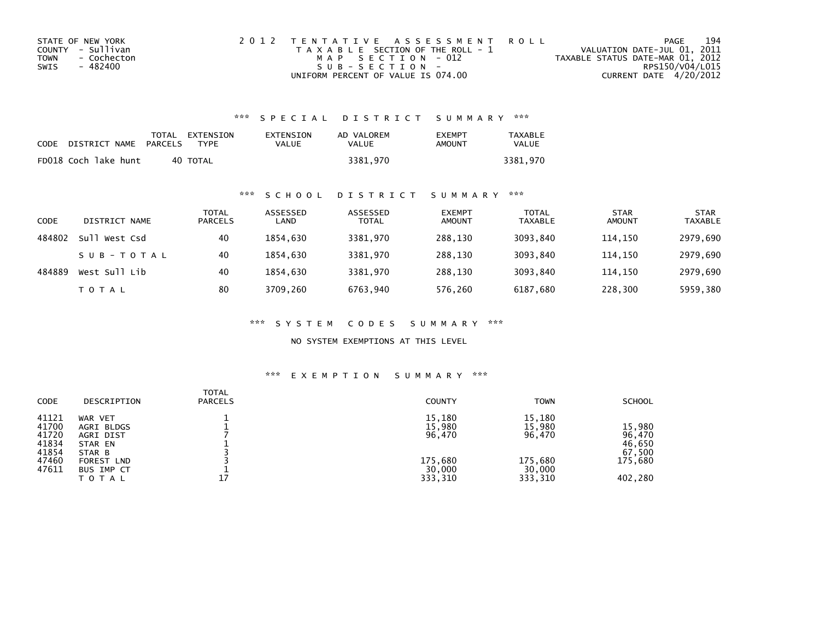| STATE OF NEW YORK   | 2012 TENTATIVE ASSESSMENT ROLL        | PAGE                             | 194             |
|---------------------|---------------------------------------|----------------------------------|-----------------|
| COUNTY - Sullivan   | T A X A B L E SECTION OF THE ROLL - 1 | VALUATION DATE-JUL 01, 2011      |                 |
| TOWN<br>- Cochecton | MAP SECTION - 012                     | TAXABLE STATUS DATE-MAR 01, 2012 |                 |
| - 482400<br>SWIS    | $S \cup B - S F C T T O N -$          |                                  | RPS150/V04/L015 |
|                     | UNIFORM PERCENT OF VALUE IS 074.00    | CURRENT DATE 4/20/2012           |                 |

## \*\*\* S P E C I A L D I S T R I C T S U M M A R Y \*\*\*

| CODE | DISTRICT NAME        | PARCELS | TOTAL EXTENSION<br><b>TYPF</b> | EXTENSION<br>VALUE | AD VALOREM<br>VALUE | EXEMPT<br>AMOUNT | <b>TAXABLE</b><br>VALUE |
|------|----------------------|---------|--------------------------------|--------------------|---------------------|------------------|-------------------------|
|      | FD018 Coch lake hunt |         | 40 TOTAL                       |                    | 3381.970            |                  | 3381.970                |

### \*\*\* S C H O O L D I S T R I C T S U M M A R Y \*\*\*

| CODE   | DISTRICT NAME    | TOTAL<br><b>PARCELS</b> | ASSESSED<br>LAND | ASSESSED<br><b>TOTAL</b> | <b>EXEMPT</b><br><b>AMOUNT</b> | <b>TOTAL</b><br><b>TAXABLE</b> | <b>STAR</b><br><b>AMOUNT</b> | <b>STAR</b><br><b>TAXABLE</b> |
|--------|------------------|-------------------------|------------------|--------------------------|--------------------------------|--------------------------------|------------------------------|-------------------------------|
| 484802 | sull<br>West Csd | 40                      | 1854.630         | 3381.970                 | 288.130                        | 3093.840                       | 114.150                      | 2979,690                      |
|        | SUB-TOTAL        | 40                      | 1854.630         | 3381.970                 | 288.130                        | 3093.840                       | 114.150                      | 2979,690                      |
| 484889 | West Sull Lib    | 40                      | 1854.630         | 3381,970                 | 288,130                        | 3093,840                       | 114,150                      | 2979,690                      |
|        | T O T A L        | 80                      | 3709,260         | 6763,940                 | 576,260                        | 6187,680                       | 228,300                      | 5959,380                      |

\*\*\* S Y S T E M C O D E S S U M M A R Y \*\*\*

NO SYSTEM EXEMPTIONS AT THIS LEVEL

## \*\*\* E X E M P T I O N S U M M A R Y \*\*\*

| <b>CODE</b>                                                 | DESCRIPTION                                                                                                | <b>TOTAL</b><br><b>PARCELS</b> | <b>COUNTY</b>                                              | <b>TOWN</b>                                                | <b>SCHOOL</b>                                              |
|-------------------------------------------------------------|------------------------------------------------------------------------------------------------------------|--------------------------------|------------------------------------------------------------|------------------------------------------------------------|------------------------------------------------------------|
| 41121<br>41700<br>41720<br>41834<br>41854<br>47460<br>47611 | WAR VET<br>AGRI BLDGS<br>AGRI DIST<br>STAR EN<br>STAR B<br><b>FOREST LND</b><br>BUS IMP CT<br><b>TOTAL</b> | 17                             | 15,180<br>15,980<br>96,470<br>175,680<br>30,000<br>333,310 | 15,180<br>15,980<br>96,470<br>175,680<br>30,000<br>333,310 | 15,980<br>96,470<br>46,650<br>67,500<br>175,680<br>402,280 |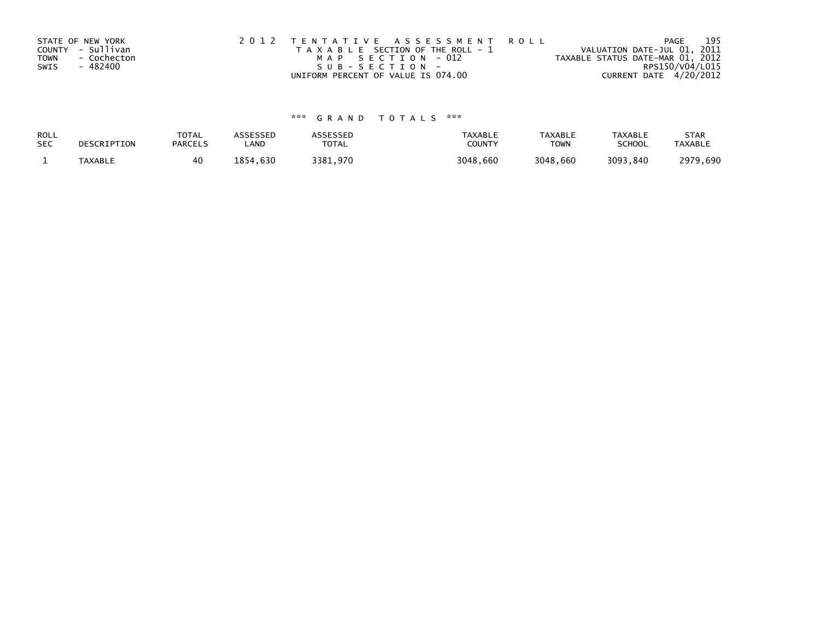| STATE OF NEW YORK          | 2012 TENTATIVE ASSESSMENT ROLL        | PAGE                             | 195 |
|----------------------------|---------------------------------------|----------------------------------|-----|
| COUNTY - Sullivan          | T A X A B L E SECTION OF THE ROLL - 1 | VALUATION DATE-JUL 01, 2011      |     |
| <b>TOWN</b><br>- Cochecton | MAP SECTION - 012                     | TAXABLE STATUS DATE-MAR 01, 2012 |     |
| - 482400<br>SWIS           | SUB-SECTION-                          | RPS150/V04/L015                  |     |
|                            | UNIFORM PERCENT OF VALUE IS 074.00    | CURRENT DATE 4/20/2012           |     |

# \*\*\* G R A N D T O T A L S \*\*\*

| ROLL       | DESCRIPTION | <b>TOTAL</b>   | <b>ASSESSED</b> | ASSESSED | <b>TAXABLE</b> | <b>TAXABLE</b> | TAXABLE       | <b>STAR</b>    |
|------------|-------------|----------------|-----------------|----------|----------------|----------------|---------------|----------------|
| <b>SEC</b> |             | <b>PARCELS</b> | LAND            | TOTAL    | COUNTY         | <b>TOWN</b>    | <b>SCHOOL</b> | <b>TAXABLE</b> |
|            | TAXABLE     | 40             | 1854.630        | 3381.970 | 3048,660       | 3048.660       | 3093,840      | 2979,690       |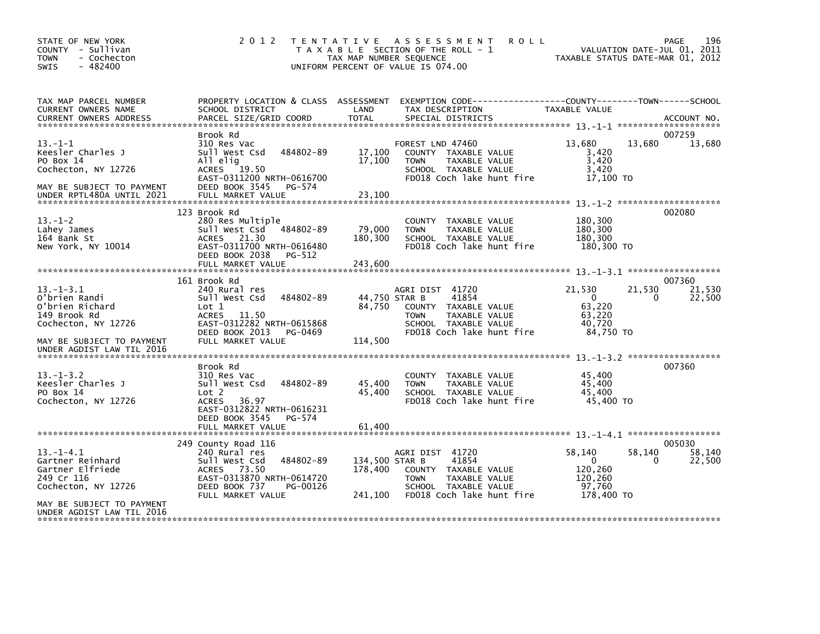| STATE OF NEW YORK<br>COUNTY - Sullivan<br><b>TOWN</b><br>- Cochecton<br>$-482400$<br>SWIS                                                             | 2 0 1 2                                                                                                                                                                    | TAX MAP NUMBER SEQUENCE              | TENTATIVE ASSESSMENT<br><b>ROLL</b><br>T A X A B L E SECTION OF THE ROLL - 1<br>UNIFORM PERCENT OF VALUE IS 074.00                    | VALUATION DATE-JUL 01, 2011<br>TAXABLE STATUS DATE-MAR 01, 2012               | 196<br>PAGE                     |
|-------------------------------------------------------------------------------------------------------------------------------------------------------|----------------------------------------------------------------------------------------------------------------------------------------------------------------------------|--------------------------------------|---------------------------------------------------------------------------------------------------------------------------------------|-------------------------------------------------------------------------------|---------------------------------|
| TAX MAP PARCEL NUMBER<br>CURRENT OWNERS NAME<br><b>CURRENT OWNERS ADDRESS</b>                                                                         | PROPERTY LOCATION & CLASS ASSESSMENT<br>SCHOOL DISTRICT<br>PARCEL SIZE/GRID COORD                                                                                          | LAND<br><b>TOTAL</b>                 | EXEMPTION CODE-----------------COUNTY-------TOWN------SCHOOL<br>TAX DESCRIPTION<br>SPECIAL DISTRICTS                                  | TAXABLE VALUE                                                                 | ACCOUNT NO.                     |
| $13 - 1 - 1$<br>Keesler Charles J<br>PO Box 14<br>Cochecton, NY 12726<br>MAY BE SUBJECT TO PAYMENT                                                    | Brook Rd<br>310 Res Vac<br>484802-89<br>Sull West Csd<br>All elig<br>19.50<br><b>ACRES</b><br>EAST-0311200 NRTH-0616700<br>DEED BOOK 3545<br>PG-574                        | 17,100<br>17,100                     | FOREST LND 47460<br>COUNTY TAXABLE VALUE<br>TAXABLE VALUE<br><b>TOWN</b><br>SCHOOL TAXABLE VALUE<br>FD018 Coch lake hunt fire         | 13,680<br>13,680<br>3,420<br>3,420<br>3,420<br>17,100 TO                      | 007259<br>13,680                |
| $13.-1-2$<br>Lahey James<br>164 Bank St<br>New York, NY 10014                                                                                         | 123 Brook Rd<br>280 Res Multiple<br>Sull West Csd 484802-89<br>21.30<br><b>ACRES</b><br>EAST-0311700 NRTH-0616480<br>DEED BOOK 2038<br>PG-512                              | 79,000<br>180,300                    | COUNTY TAXABLE VALUE<br><b>TOWN</b><br>TAXABLE VALUE<br>SCHOOL TAXABLE VALUE<br>FD018 Coch lake hunt fire                             | 180,300<br>180,300<br>180.300<br>180,300 TO                                   | 002080                          |
| $13.-1-3.1$<br>O'brien Randi<br>O'brien Richard<br>149 Brook Rd<br>Cochecton, NY 12726<br>MAY BE SUBJECT TO PAYMENT                                   | 161 Brook Rd<br>240 Rural res<br>484802-89<br>Sull West Csd<br>Lot 1<br>ACRES 11.50<br>EAST-0312282 NRTH-0615868<br>DEED BOOK 2013<br>PG-0469<br>FULL MARKET VALUE         | 44,750 STAR B<br>84,750<br>114,500   | AGRI DIST 41720<br>41854<br>COUNTY TAXABLE VALUE<br>TAXABLE VALUE<br><b>TOWN</b><br>SCHOOL TAXABLE VALUE<br>FD018 Coch lake hunt fire | 21,530<br>21,530<br>$\overline{0}$<br>63,220<br>63,220<br>40.720<br>84,750 TO | 007360<br>21,530<br>0<br>22,500 |
| UNDER AGDIST LAW TIL 2016<br>$13. - 1 - 3.2$<br>Keesler Charles J<br>PO Box 14<br>Cochecton, NY 12726                                                 | Brook Rd<br>310 Res Vac<br>484802-89<br>Sull West Csd<br>Lot 2<br>36.97<br><b>ACRES</b><br>EAST-0312822 NRTH-0616231<br>DEED BOOK 3545<br>PG-574<br>FULL MARKET VALUE      | 45,400<br>45,400<br>61,400           | COUNTY TAXABLE VALUE<br>TAXABLE VALUE<br><b>TOWN</b><br>SCHOOL TAXABLE VALUE<br>FD018 Coch lake hunt fire                             | 45,400<br>45,400<br>45.400<br>45,400 TO                                       | 007360                          |
| $13 - 1 - 4.1$<br>Gartner Reinhard<br>Gartner Elfriede<br>249 Cr 116<br>Cochecton, NY 12726<br>MAY BE SUBJECT TO PAYMENT<br>UNDER AGDIST LAW TIL 2016 | 249 County Road 116<br>240 Rural res<br>484802-89<br>Sull West Csd<br>73.50<br><b>ACRES</b><br>EAST-0313870 NRTH-0614720<br>DEED BOOK 737<br>PG-00126<br>FULL MARKET VALUE | 134,500 STAR B<br>178,400<br>241,100 | AGRI DIST 41720<br>41854<br>COUNTY TAXABLE VALUE<br><b>TOWN</b><br>TAXABLE VALUE<br>SCHOOL TAXABLE VALUE<br>FD018 Coch lake hunt fire | 58,140<br>58,140<br>$\Omega$<br>120,260<br>120,260<br>97.760<br>178,400 TO    | 005030<br>58,140<br>0<br>22,500 |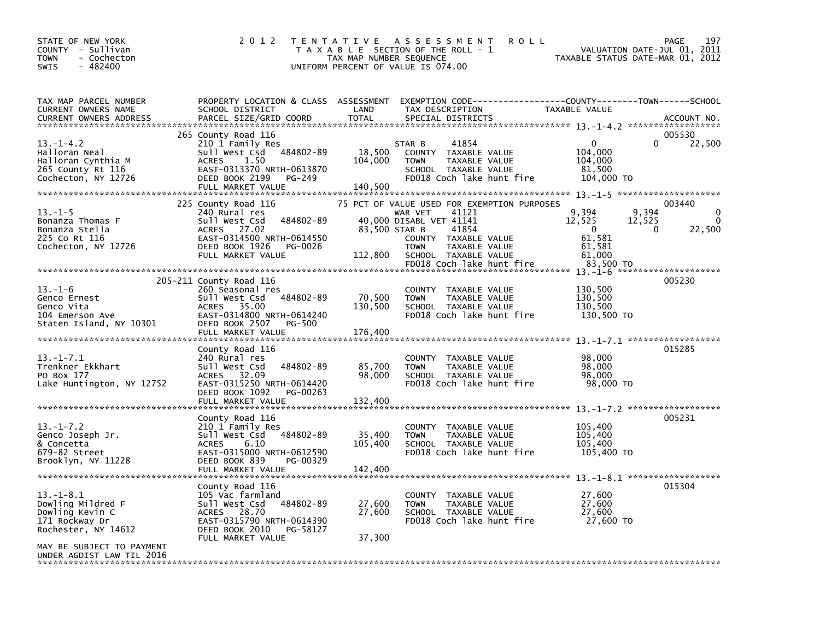| STATE OF NEW YORK<br>COUNTY - Sullivan<br>- Cochecton<br>TOWN<br>$-482400$<br>SWIS                                             | 2 0 1 2                                                                                                                                                                              | TAX MAP NUMBER SEQUENCE      | TENTATIVE ASSESSMENT<br>R O L L<br>T A X A B L E SECTION OF THE ROLL - 1<br>UNIFORM PERCENT OF VALUE IS 074.00                                                                                                   | VALUATION DATE-JUL 01, 2011<br>TAXABLE STATUS DATE-MAR 01, 2012                                | 197<br><b>PAGE</b>                       |
|--------------------------------------------------------------------------------------------------------------------------------|--------------------------------------------------------------------------------------------------------------------------------------------------------------------------------------|------------------------------|------------------------------------------------------------------------------------------------------------------------------------------------------------------------------------------------------------------|------------------------------------------------------------------------------------------------|------------------------------------------|
| TAX MAP PARCEL NUMBER<br>CURRENT OWNERS NAME<br><b>CURRENT OWNERS ADDRESS</b>                                                  | PROPERTY LOCATION & CLASS ASSESSMENT<br>SCHOOL DISTRICT<br>PARCEL SIZE/GRID COORD                                                                                                    | LAND<br><b>TOTAL</b>         | EXEMPTION CODE------------------COUNTY--------TOWN------SCHOOL<br>TAX DESCRIPTION<br>SPECIAL DISTRICTS                                                                                                           | TAXABLE VALUE                                                                                  | ACCOUNT NO.                              |
| $13. - 1 - 4.2$<br>Halloran Neal<br>Halloran Cynthia M<br>265 County Rt 116<br>Cochecton, NY 12726                             | 265 County Road 116<br>210 1 Family Res<br>Sull West Csd 484802-89<br>1.50<br><b>ACRES</b><br>EAST-0313370 NRTH-0613870<br>DEED BOOK 2199<br>PG-249<br>FULL MARKET VALUE             | 18,500<br>104,000<br>140,500 | 41854<br>STAR B<br>COUNTY TAXABLE VALUE<br>TAXABLE VALUE<br><b>TOWN</b><br>SCHOOL TAXABLE VALUE<br>FD018 Coch lake hunt fire                                                                                     | $\Omega$<br>$\Omega$<br>104,000<br>104,000<br>81,500<br>104,000 TO                             | 005530<br>22,500                         |
| $13. - 1 - 5$<br>Bonanza Thomas F<br>Bonanza Stella<br>225 Co Rt 116<br>Cochecton, NY 12726                                    | 225 County Road 116<br>240 Rural res<br>Sull West Csd<br>484802-89<br>27.02<br><b>ACRES</b><br>EAST-0314500 NRTH-0614550<br>DEED BOOK 1926<br>PG-0026<br>FULL MARKET VALUE           | 83,500 STAR B<br>112,800     | 75 PCT OF VALUE USED FOR EXEMPTION PURPOSES<br>41121<br>WAR VET<br>40,000 DISABL VET 41141<br>41854<br>COUNTY TAXABLE VALUE<br>TAXABLE VALUE<br><b>TOWN</b><br>SCHOOL TAXABLE VALUE<br>FD018 Coch lake hunt fire | 9,394<br>9,394<br>12,525<br>12,525<br>$\Omega$<br>0<br>61,581<br>61,581<br>61,000<br>83,500 TO | 003440<br>$\Omega$<br>$\Omega$<br>22,500 |
| $13.-1-6$<br>Genco Ernest<br>Genco Vita<br>104 Emerson Ave<br>Staten Island, NY 10301                                          | 205-211 County Road 116<br>260 Seasonal res<br>Sull West Csd 484802-89<br><b>ACRES</b><br>35.00<br>EAST-0314800 NRTH-0614240<br>DEED BOOK 2507<br><b>PG-500</b><br>FULL MARKET VALUE | 70,500<br>130,500<br>176,400 | COUNTY TAXABLE VALUE<br><b>TOWN</b><br>TAXABLE VALUE<br>SCHOOL TAXABLE VALUE<br>FD018 Coch lake hunt fire                                                                                                        | 130,500<br>130,500<br>130,500<br>130,500 TO                                                    | 005230                                   |
| $13.-1-7.1$<br>Trenkner Ekkhart<br>PO Box 177<br>Lake Huntington, NY 12752                                                     | County Road 116<br>240 Rural res<br>Sull West Csd<br>484802-89<br>ACRES 32.09<br>EAST-0315250 NRTH-0614420<br>DEED BOOK 1092<br>PG-00263<br>FULL MARKET VALUE                        | 85,700<br>98,000<br>132,400  | <b>COUNTY</b><br>TAXABLE VALUE<br><b>TOWN</b><br>TAXABLE VALUE<br>SCHOOL TAXABLE VALUE<br>FD018 Coch lake hunt fire                                                                                              | 98,000<br>98,000<br>98,000<br>98,000 TO                                                        | 015285                                   |
| $13.-1-7.2$<br>Genco Joseph Jr.<br>& Concetta<br>679-82 Street<br>Brooklyn, NY 11228                                           | County Road 116<br>210 1 Family Res<br>Sull West Csd 484802-89<br><b>ACRES</b><br>6.10<br>EAST-0315000 NRTH-0612590<br>DEED BOOK 839<br>PG-00329<br>FULL MARKET VALUE                | 35,400<br>105,400<br>142,400 | COUNTY TAXABLE VALUE<br>TAXABLE VALUE<br><b>TOWN</b><br>SCHOOL TAXABLE VALUE<br>FD018 Coch lake hunt fire                                                                                                        | 105,400<br>105,400<br>105,400<br>105,400 TO                                                    | 005231                                   |
| ******************************<br>$13.-1-8.1$<br>Dowling Mildred F<br>Dowling Kevin C<br>171 Rockway Dr<br>Rochester, NY 14612 | County Road 116<br>105 Vac farmland<br>484802-89<br>Sull West Csd<br>ACRES 28.70<br>EAST-0315790 NRTH-0614390<br>DEED BOOK 2010<br>PG-58127<br>FULL MARKET VALUE                     | 27,600<br>27,600<br>37,300   | COUNTY TAXABLE VALUE<br>TAXABLE VALUE<br><b>TOWN</b><br>SCHOOL TAXABLE VALUE<br>FD018 Coch lake hunt fire                                                                                                        | 27,600<br>27,600<br>27,600<br>27,600 TO                                                        | 015304                                   |
| MAY BE SUBJECT TO PAYMENT<br>UNDER AGDIST LAW TIL 2016                                                                         |                                                                                                                                                                                      |                              |                                                                                                                                                                                                                  |                                                                                                |                                          |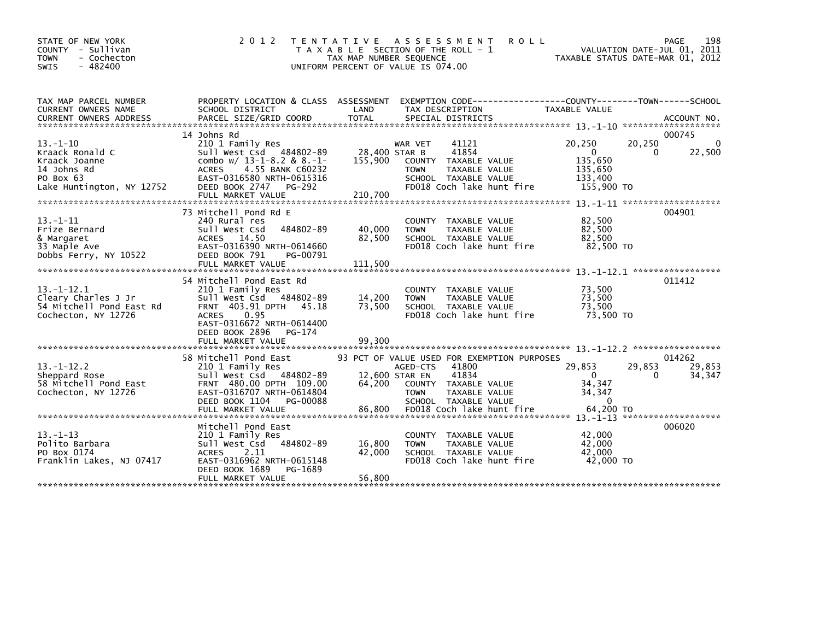| 2 0 1 2                                                                                                                                                                     |                                                                                                                                                                                                                   | A S S E S S M E N T                                                           | <b>ROLL</b>                                                                                                                                                               | 198<br>PAGE<br>VALUATION DATE-JUL 01, 2011<br>TAXABLE STATUS DATE-MAR 01, 2012                                                                                                                                                                                                                                                                                                                                                                                                                                                                                                                                                     |
|-----------------------------------------------------------------------------------------------------------------------------------------------------------------------------|-------------------------------------------------------------------------------------------------------------------------------------------------------------------------------------------------------------------|-------------------------------------------------------------------------------|---------------------------------------------------------------------------------------------------------------------------------------------------------------------------|------------------------------------------------------------------------------------------------------------------------------------------------------------------------------------------------------------------------------------------------------------------------------------------------------------------------------------------------------------------------------------------------------------------------------------------------------------------------------------------------------------------------------------------------------------------------------------------------------------------------------------|
| SCHOOL DISTRICT                                                                                                                                                             | LAND                                                                                                                                                                                                              | TAX DESCRIPTION                                                               | TAXABLE VALUE                                                                                                                                                             |                                                                                                                                                                                                                                                                                                                                                                                                                                                                                                                                                                                                                                    |
|                                                                                                                                                                             |                                                                                                                                                                                                                   |                                                                               |                                                                                                                                                                           | 000745<br>20,250<br>0                                                                                                                                                                                                                                                                                                                                                                                                                                                                                                                                                                                                              |
| Sull West Csd 484802-89<br>combo $w/$ 13-1-8.2 & 8.-1-<br>4.55 BANK C60232<br><b>ACRES</b><br>EAST-0316580 NRTH-0615316                                                     | 155,900                                                                                                                                                                                                           | 41854<br><b>TOWN</b>                                                          | $\mathbf{0}$<br>135,650<br>135,650<br>133,400                                                                                                                             | 22,500<br>0                                                                                                                                                                                                                                                                                                                                                                                                                                                                                                                                                                                                                        |
| FULL MARKET VALUE                                                                                                                                                           | 210,700                                                                                                                                                                                                           |                                                                               |                                                                                                                                                                           |                                                                                                                                                                                                                                                                                                                                                                                                                                                                                                                                                                                                                                    |
|                                                                                                                                                                             |                                                                                                                                                                                                                   |                                                                               |                                                                                                                                                                           | 004901                                                                                                                                                                                                                                                                                                                                                                                                                                                                                                                                                                                                                             |
| 240 Rural res<br>Sull West Csd<br>484802-89<br>ACRES 14.50<br>EAST-0316390 NRTH-0614660<br>DEED BOOK 791<br>PG-00791                                                        | 40,000<br>82,500                                                                                                                                                                                                  | <b>TOWN</b>                                                                   | 82,500<br>82,500<br>82,500<br>82,500 TO                                                                                                                                   |                                                                                                                                                                                                                                                                                                                                                                                                                                                                                                                                                                                                                                    |
|                                                                                                                                                                             |                                                                                                                                                                                                                   |                                                                               |                                                                                                                                                                           |                                                                                                                                                                                                                                                                                                                                                                                                                                                                                                                                                                                                                                    |
| 210 1 Family Res<br>484802-89<br>Sull West Csd<br>FRNT 403.91 DPTH<br>45.18<br>0.95<br><b>ACRES</b><br>EAST-0316672 NRTH-0614400<br>DEED BOOK 2896<br>PG-174                | 14,200<br>73,500                                                                                                                                                                                                  | <b>TOWN</b>                                                                   | 73,500<br>73,500<br>73,500<br>73,500 TO                                                                                                                                   | 011412                                                                                                                                                                                                                                                                                                                                                                                                                                                                                                                                                                                                                             |
|                                                                                                                                                                             |                                                                                                                                                                                                                   |                                                                               |                                                                                                                                                                           |                                                                                                                                                                                                                                                                                                                                                                                                                                                                                                                                                                                                                                    |
| 210 1 Family Res<br>Sull West Csd 484802-89<br>FRNT 480.00 DPTH 109.00<br>EAST-0316707 NRTH-0614804                                                                         | 64,200                                                                                                                                                                                                            | 41800<br>41834<br><b>TOWN</b>                                                 | 29,853<br>$\Omega$<br>34,347<br>34,347                                                                                                                                    | 014262<br>29,853<br>29,853<br>34,347<br>$\mathbf{0}$                                                                                                                                                                                                                                                                                                                                                                                                                                                                                                                                                                               |
| FULL MARKET VALUE                                                                                                                                                           | 86,800                                                                                                                                                                                                            |                                                                               | 64,200 TO                                                                                                                                                                 |                                                                                                                                                                                                                                                                                                                                                                                                                                                                                                                                                                                                                                    |
| Mitchell Pond East<br>210 1 Family Res<br>484802-89<br>Sull West Csd<br><b>ACRES</b><br>2.11<br>EAST-0316962 NRTH-0615148<br>DEED BOOK 1689<br>PG-1689<br>FULL MARKET VALUE | 16,800<br>42,000<br>56,800                                                                                                                                                                                        | <b>COUNTY</b><br><b>TOWN</b>                                                  | 42,000<br>42.000<br>42,000<br>42,000 TO                                                                                                                                   | 006020                                                                                                                                                                                                                                                                                                                                                                                                                                                                                                                                                                                                                             |
|                                                                                                                                                                             | 14 Johns Rd<br>210 1 Family Res<br>DEED BOOK 2747<br>PG-292<br>73 Mitchell Pond Rd E<br>FULL MARKET VALUE<br>54 Mitchell Pond East Rd<br>FULL MARKET VALUE<br>58 Mitchell Pond East<br>DEED BOOK 1104<br>PG-00088 | <b>TENTATIVE</b><br>PROPERTY LOCATION & CLASS ASSESSMENT<br>111.500<br>99.300 | T A X A B L E SECTION OF THE ROLL - 1<br>TAX MAP NUMBER SEQUENCE<br>UNIFORM PERCENT OF VALUE IS 074.00<br>WAR VET<br>41121<br>28,400 STAR B<br>AGED-CTS<br>12,600 STAR EN | EXEMPTION CODE-----------------COUNTY-------TOWN------SCHOOL<br>20,250<br>COUNTY TAXABLE VALUE<br>TAXABLE VALUE<br>SCHOOL TAXABLE VALUE<br>FD018 Coch lake hunt fire<br>155,900 TO<br>COUNTY TAXABLE VALUE<br>TAXABLE VALUE<br>SCHOOL TAXABLE VALUE<br>FD018 Coch lake hunt fire<br>COUNTY TAXABLE VALUE<br>TAXABLE VALUE<br>SCHOOL TAXABLE VALUE<br>FD018 Coch lake hunt fire<br>93 PCT OF VALUE USED FOR EXEMPTION PURPOSES<br>COUNTY TAXABLE VALUE<br>TAXABLE VALUE<br>$\mathbf{0}$<br>SCHOOL TAXABLE VALUE<br>FD018 Coch lake hunt fire<br>TAXABLE VALUE<br>TAXABLE VALUE<br>SCHOOL TAXABLE VALUE<br>FD018 Coch lake hunt fire |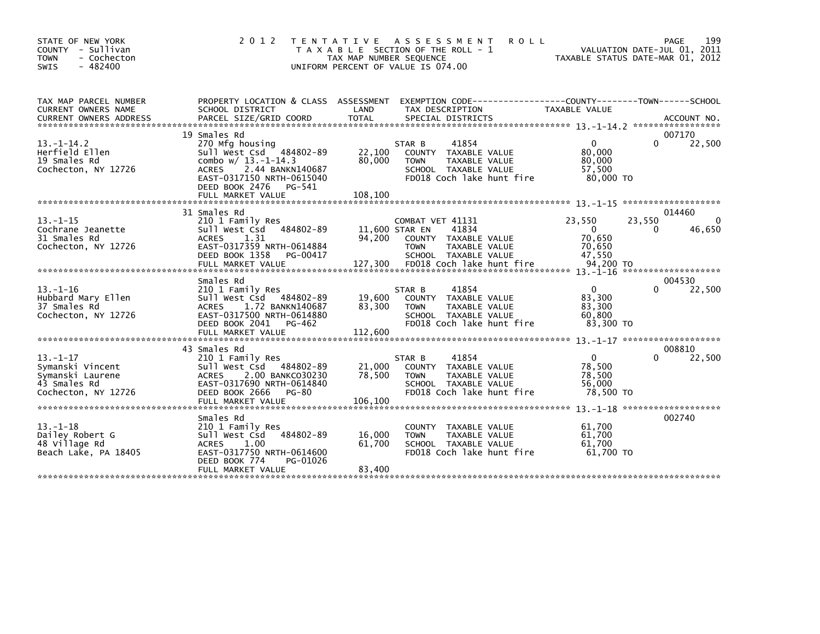| STATE OF NEW YORK<br>COUNTY - Sullivan<br>- Cochecton<br><b>TOWN</b><br><b>SWIS</b><br>$-482400$ | 2 0 1 2                                                                                                                                                                         | T E N T A T I V E<br>TAX MAP NUMBER SEQUENCE | A S S E S S M E N T<br>T A X A B L E SECTION OF THE ROLL - 1<br>UNIFORM PERCENT OF VALUE IS 074.00                                                              | <b>ROLL</b>                                                         | 199<br>PAGE<br>VALUATION DATE-JUL 01, 2011<br>TAXABLE STATUS DATE-MAR 01, 2012 |
|--------------------------------------------------------------------------------------------------|---------------------------------------------------------------------------------------------------------------------------------------------------------------------------------|----------------------------------------------|-----------------------------------------------------------------------------------------------------------------------------------------------------------------|---------------------------------------------------------------------|--------------------------------------------------------------------------------|
| TAX MAP PARCEL NUMBER<br>CURRENT OWNERS NAME                                                     | PROPERTY LOCATION & CLASS ASSESSMENT<br>SCHOOL DISTRICT                                                                                                                         | LAND                                         | EXEMPTION CODE-----------------COUNTY-------TOWN------SCHOOL<br>TAX DESCRIPTION                                                                                 | <b>TAXABLE VALUE</b>                                                |                                                                                |
| $13.-1-14.2$<br>Herfield Ellen<br>19 Smales Rd<br>Cochecton, NY 12726                            | 19 Smales Rd<br>270 Mfg housing<br>Sull West Csd 484802-89<br>combo $w/13.-1-14.3$<br>2.44 BANKN140687<br><b>ACRES</b><br>EAST-0317150 NRTH-0615040<br>DEED BOOK 2476<br>PG-541 | 22,100<br>80,000                             | 41854<br>STAR B<br>COUNTY TAXABLE VALUE<br>TAXABLE VALUE<br><b>TOWN</b><br>SCHOOL TAXABLE VALUE<br>FD018 Coch lake hunt fire                                    | $\mathbf{0}$<br>80,000<br>80,000<br>57,500<br>80,000 TO             | 007170<br>22,500<br><sup>n</sup>                                               |
|                                                                                                  | FULL MARKET VALUE                                                                                                                                                               | 108,100                                      |                                                                                                                                                                 |                                                                     |                                                                                |
| $13. - 1 - 15$<br>Cochrane Jeanette<br>31 Smales Rd<br>Cochecton, NY 12726                       | 31 Smales Rd<br>210 1 Family Res<br>Sull West Csd<br>484802-89<br>1.31<br><b>ACRES</b><br>EAST-0317359 NRTH-0614884<br>DEED BOOK 1358<br>PG-00417<br>FULL MARKET VALUE          | 94.200<br>127,300                            | COMBAT VET 41131<br>41834<br>11,600 STAR EN<br>COUNTY TAXABLE VALUE<br><b>TAXABLE VALUE</b><br><b>TOWN</b><br>SCHOOL TAXABLE VALUE<br>FD018 Coch lake hunt fire | 23,550<br>$\overline{0}$<br>70.650<br>70.650<br>47.550<br>94,200 TO | 014460<br>23,550<br>$\Omega$<br>46,650<br>0                                    |
|                                                                                                  | Smales Rd                                                                                                                                                                       |                                              |                                                                                                                                                                 |                                                                     | *******************<br>004530                                                  |
| $13 - 1 - 16$<br>Hubbard Mary Ellen<br>37 Smales Rd<br>Cochecton, NY 12726                       | 210 1 Family Res<br>Sull West Csd 484802-89<br><b>ACRES</b><br>1.72 BANKN140687<br>EAST-0317500 NRTH-0614880<br>DEED BOOK 2041<br>PG-462<br>FULL MARKET VALUE                   | 19,600<br>83,300<br>112,600                  | 41854<br>STAR B<br>COUNTY TAXABLE VALUE<br><b>TOWN</b><br>TAXABLE VALUE<br>SCHOOL TAXABLE VALUE<br>FD018 Coch lake hunt fire                                    | $\mathbf{0}$<br>83,300<br>83,300<br>60.800<br>83,300 TO             | 22,500<br>$\Omega$                                                             |
|                                                                                                  | 43 Smales Rd                                                                                                                                                                    |                                              |                                                                                                                                                                 |                                                                     | 008810                                                                         |
| $13 - 1 - 17$<br>Symanski Vincent<br>Symanski Laurene<br>43 Smales Rd<br>Cochecton, NY 12726     | 210 1 Family Res<br>Sull West Csd 484802-89<br>2.00 BANKC030230<br><b>ACRES</b><br>EAST-0317690 NRTH-0614840<br>DEED BOOK 2666<br>PG-80<br>FULL MARKET VALUE                    | 21,000<br>78,500<br>106,100                  | 41854<br>STAR B<br>COUNTY TAXABLE VALUE<br>TAXABLE VALUE<br><b>TOWN</b><br>SCHOOL TAXABLE VALUE<br>FD018 Coch lake hunt fire                                    | $\overline{0}$<br>78,500<br>78,500<br>56,000<br>78,500 TO           | 22,500<br><sup>0</sup>                                                         |
| $13 - 1 - 18$<br>Dailey Robert G<br>48 Village Rd<br>Beach Lake, PA 18405                        | Smales Rd<br>210 1 Family Res<br>484802-89<br>Sull West Csd<br><b>ACRES</b><br>1.00<br>EAST-0317750 NRTH-0614600<br>DEED BOOK 774<br>PG-01026<br>FULL MARKET VALUE              | 16,000<br>61,700<br>83,400                   | <b>COUNTY</b><br>TAXABLE VALUE<br><b>TOWN</b><br>TAXABLE VALUE<br>SCHOOL TAXABLE VALUE<br>FD018 Coch lake hunt fire                                             | 61,700<br>61.700<br>61,700<br>61.700 TO                             | 002740                                                                         |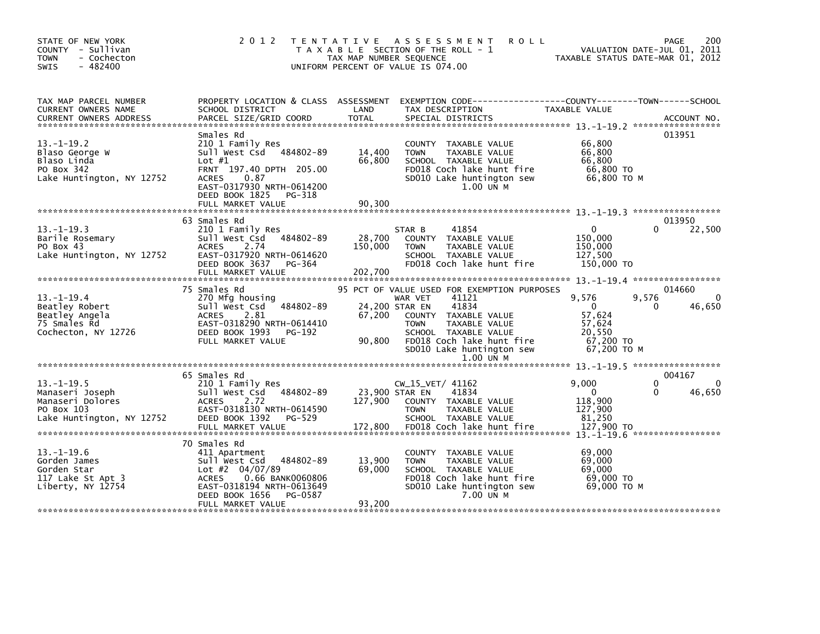| STATE OF NEW YORK<br>COUNTY - Sullivan<br>- Cochecton<br><b>TOWN</b><br>- 482400<br><b>SWIS</b>   | 2 0 1 2                                                                                                                                                                                               | T E N T A T I V E<br>TAX MAP NUMBER SEQUENCE | A S S E S S M E N T<br>T A X A B L E SECTION OF THE ROLL - 1<br>UNIFORM PERCENT OF VALUE IS 074.00                                                                                                                      | <b>ROLL</b>                                                                       | 200<br><b>PAGE</b><br>VALUATION DATE-JUL 01, 2011<br>TAXABLE STATUS DATE-MAR 01, 2012 |
|---------------------------------------------------------------------------------------------------|-------------------------------------------------------------------------------------------------------------------------------------------------------------------------------------------------------|----------------------------------------------|-------------------------------------------------------------------------------------------------------------------------------------------------------------------------------------------------------------------------|-----------------------------------------------------------------------------------|---------------------------------------------------------------------------------------|
| TAX MAP PARCEL NUMBER<br>CURRENT OWNERS NAME<br><b>CURRENT OWNERS ADDRESS</b>                     | PROPERTY LOCATION & CLASS ASSESSMENT EXEMPTION CODE----------------COUNTY-------TOWN------SCHOOL<br>SCHOOL DISTRICT                                                                                   | LAND                                         | TAX DESCRIPTION                                                                                                                                                                                                         | TAXABLE VALUE                                                                     |                                                                                       |
| $13 - 1 - 19.2$<br>Blaso George W<br>Blaso Linda<br>PO Box 342<br>Lake Huntington, NY 12752       | Smales Rd<br>210 1 Family Res<br>Sull West Csd 484802-89<br>Lot $#1$<br>FRNT 197.40 DPTH 205.00<br><b>ACRES</b><br>0.87<br>EAST-0317930 NRTH-0614200<br>DEED BOOK 1825<br>PG-318<br>FULL MARKET VALUE | 14,400<br>66,800<br>90,300                   | COUNTY TAXABLE VALUE<br>TAXABLE VALUE<br><b>TOWN</b><br>SCHOOL TAXABLE VALUE<br>FD018 Coch lake hunt fire<br>SD010 Lake huntington sew<br>1.00 UN M                                                                     | 66,800<br>66,800<br>66,800<br>66,800 TO<br>66,800 ТО М                            | 013951                                                                                |
|                                                                                                   |                                                                                                                                                                                                       |                                              |                                                                                                                                                                                                                         |                                                                                   |                                                                                       |
| $13.-1-19.3$<br>Barile Rosemary<br>PO Box 43<br>Lake Huntington, NY 12752                         | 63 Smales Rd<br>210 1 Family Res<br>Sull West Csd 484802-89<br><b>ACRES</b><br>2.74<br>EAST-0317920 NRTH-0614620<br>DEED BOOK 3637<br>PG-364<br>FULL MARKET VALUE                                     | 28,700<br>150,000<br>202,700                 | 41854<br>STAR B<br>COUNTY TAXABLE VALUE<br><b>TOWN</b><br>TAXABLE VALUE<br>SCHOOL TAXABLE VALUE<br>FD018 Coch lake hunt fire                                                                                            | 0<br>150,000<br>150,000<br>127.500<br>150,000 TO                                  | 013950<br>22,500<br>0                                                                 |
|                                                                                                   | 75 Smales Rd                                                                                                                                                                                          |                                              | 95 PCT OF VALUE USED FOR EXEMPTION PURPOSES                                                                                                                                                                             |                                                                                   | 014660                                                                                |
| $13 - 1 - 19.4$<br>Beatley Robert<br>Beatley Angela<br>75 Smales Rd<br>Cochecton, NY 12726        | 270 Mfg housing<br>484802-89<br>Sull West Csd<br>2.81<br>ACRES<br>EAST-0318290 NRTH-0614410<br>DEED BOOK 1993<br>PG-192<br>FULL MARKET VALUE                                                          | 67,200<br>90,800                             | 41121<br>WAR VET<br>41834<br>24,200 STAR EN<br>TAXABLE VALUE<br><b>COUNTY</b><br><b>TAXABLE VALUE</b><br><b>TOWN</b><br>SCHOOL TAXABLE VALUE<br>FD018 Coch lake hunt fire<br>SD010 Lake huntington sew<br>$1.00$ UN $M$ | 9.576<br>$\overline{0}$<br>57,624<br>57.624<br>20,550<br>67,200 TO<br>67.200 ТО М | 9,576<br>$\Omega$<br>46,650<br>0                                                      |
|                                                                                                   |                                                                                                                                                                                                       |                                              |                                                                                                                                                                                                                         |                                                                                   |                                                                                       |
| $13. -1 - 19.5$<br>Manaseri Joseph<br>Manaseri Dolores<br>PO Box 103<br>Lake Huntington, NY 12752 | 65 Smales Rd<br>210 1 Family Res<br>Sull West Csd<br>484802-89<br>2.72<br><b>ACRES</b><br>EAST-0318130 NRTH-0614590<br>DEED BOOK 1392<br>PG-529                                                       | 127,900                                      | $CW_15_VET/ 41162$<br>41834<br>23,900 STAR EN<br>COUNTY TAXABLE VALUE<br><b>TOWN</b><br><b>TAXABLE VALUE</b><br>SCHOOL TAXABLE VALUE                                                                                    | 9,000<br>$\Omega$<br>118,900<br>127,900<br>81.250                                 | 004167<br>$\Omega$<br>$\Omega$<br>0<br>46,650                                         |
| $13 - 1 - 19.6$<br>Gorden James<br>Gorden Star<br>117 Lake St Apt 3<br>Liberty, NY 12754          | 70 Smales Rd<br>411 Apartment<br>484802-89<br>Sull West Csd<br>Lot #2 $04/07/89$<br>0.66 BANK0060806<br><b>ACRES</b><br>EAST-0318194 NRTH-0613649<br>PG-0587<br>DEED BOOK 1656<br>FULL MARKET VALUE   | 13,900<br>69,000<br>93,200                   | COUNTY TAXABLE VALUE<br><b>TOWN</b><br>TAXABLE VALUE<br>SCHOOL TAXABLE VALUE<br>FD018 Coch lake hunt fire<br>SD010 Lake huntington sew<br>7.00 UN M                                                                     | 69,000<br>69,000<br>69,000<br>69,000 TO<br>69,000 ТО М                            |                                                                                       |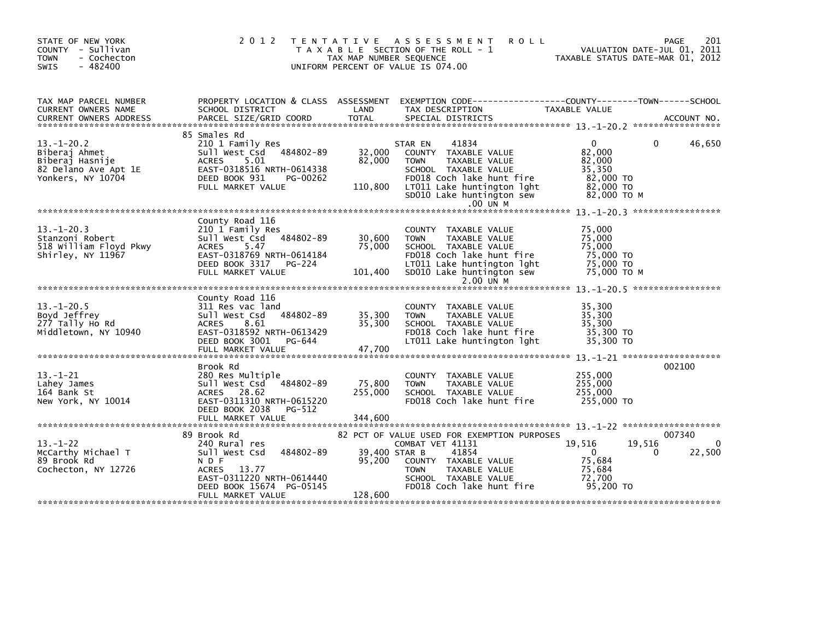| STATE OF NEW YORK<br>COUNTY - Sullivan<br>- Cochecton<br><b>TOWN</b><br>$-482400$<br>SWIS        | 2 0 1 2                                                                                                                                                                 | T E N T A T I V E<br>TAX MAP NUMBER SEQUENCE | A S S E S S M E N T<br><b>ROLL</b><br>T A X A B L E SECTION OF THE ROLL - 1<br>UNIFORM PERCENT OF VALUE IS 074.00                                                                                             |                                                                                 | 201<br>PAGE<br>VALUATION DATE-JUL 01, 2011<br>TAXABLE STATUS DATE-MAR 01, 2012 |
|--------------------------------------------------------------------------------------------------|-------------------------------------------------------------------------------------------------------------------------------------------------------------------------|----------------------------------------------|---------------------------------------------------------------------------------------------------------------------------------------------------------------------------------------------------------------|---------------------------------------------------------------------------------|--------------------------------------------------------------------------------|
| TAX MAP PARCEL NUMBER<br>CURRENT OWNERS NAME<br><b>CURRENT OWNERS ADDRESS</b>                    | PROPERTY LOCATION & CLASS ASSESSMENT<br>SCHOOL DISTRICT<br>PARCEL SIZE/GRID COORD                                                                                       | LAND<br><b>TOTAL</b>                         | EXEMPTION CODE-----------------COUNTY-------TOWN------SCHOOL<br>TAX DESCRIPTION<br>SPECIAL DISTRICTS                                                                                                          | TAXABLE VALUE                                                                   | ACCOUNT NO.                                                                    |
| $13 - 1 - 20.2$<br>Biberaj Ahmet<br>Biberaj Hasnije<br>82 Delano Ave Apt 1E<br>Yonkers, NY 10704 | 85 Smales Rd<br>210 1 Family Res<br>Sull West Csd<br>484802-89<br><b>ACRES</b><br>5.01<br>EAST-0318516 NRTH-0614338<br>DEED BOOK 931<br>PG-00262<br>FULL MARKET VALUE   | 32,000<br>82,000<br>110,800                  | 41834<br>STAR EN<br>COUNTY TAXABLE VALUE<br>TAXABLE VALUE<br><b>TOWN</b><br>SCHOOL TAXABLE VALUE<br>FD018 Coch lake hunt fire<br>LT011 Lake huntington lght<br>SD010 Lake huntington sew<br>.00 UN M          | $\Omega$<br>82,000<br>82,000<br>35,350<br>82,000 TO<br>82,000 TO<br>82,000 TO M | 46,650<br>0                                                                    |
| $13.-1-20.3$<br>Stanzoni Robert<br>518 William Floyd Pkwy<br>Shirley, NY 11967                   | County Road 116<br>210 1 Family Res<br>Sull West Csd<br>484802-89<br><b>ACRES</b><br>5.47<br>EAST-0318769 NRTH-0614184<br>DEED BOOK 3317<br>PG-224<br>FULL MARKET VALUE | 30,600<br>75,000<br>101,400                  | COUNTY TAXABLE VALUE<br><b>TOWN</b><br>TAXABLE VALUE<br>SCHOOL TAXABLE VALUE<br>FD018 Coch lake hunt fire<br>LT011 Lake huntington lght<br>SD010 Lake huntington sew<br>2.00 UN M                             | 75,000<br>75,000<br>75.000<br>75,000 TO<br>75,000 TO<br>75,000 TO M             |                                                                                |
|                                                                                                  |                                                                                                                                                                         |                                              |                                                                                                                                                                                                               |                                                                                 |                                                                                |
| $13 - 1 - 20.5$<br>Boyd Jeffrey<br>277 Tally Ho Rd<br>Middletown, NY 10940                       | County Road 116<br>311 Res vac land<br>484802-89<br>Sull West Csd<br>8.61<br>ACRES<br>EAST-0318592 NRTH-0613429<br>DEED BOOK 3001<br>PG-644<br>FULL MARKET VALUE        | 35,300<br>35,300<br>47,700                   | COUNTY TAXABLE VALUE<br>TAXABLE VALUE<br><b>TOWN</b><br>SCHOOL TAXABLE VALUE<br>FD018 Coch lake hunt fire<br>LT011 Lake huntington lght                                                                       | 35,300<br>35,300<br>35,300<br>35,300 TO<br>35,300 TO                            |                                                                                |
|                                                                                                  |                                                                                                                                                                         |                                              |                                                                                                                                                                                                               |                                                                                 |                                                                                |
| $13 - 1 - 21$<br>Lahey James<br>164 Bank St<br>New York, NY 10014                                | Brook Rd<br>280 Res Multiple<br>Sull West Csd<br>484802-89<br>ACRES 28.62<br>EAST-0311310 NRTH-0615220<br>DEED BOOK 2038<br>PG-512<br>FULL MARKET VALUE                 | 75,800<br>255,000<br>344,600                 | COUNTY TAXABLE VALUE<br>TAXABLE VALUE<br><b>TOWN</b><br>SCHOOL TAXABLE VALUE<br>FD018 Coch lake hunt fire                                                                                                     | 255,000<br>255,000<br>255,000<br>255,000 TO                                     | 002100                                                                         |
|                                                                                                  |                                                                                                                                                                         |                                              |                                                                                                                                                                                                               |                                                                                 |                                                                                |
| $13 - 1 - 22$<br>McCarthy Michael T<br>89 Brook Rd<br>Cochecton, NY 12726                        | 89 Brook Rd<br>240 Rural res<br>Sull West Csd<br>484802-89<br>N D F<br><b>ACRES</b><br>13.77<br>EAST-0311220 NRTH-0614440<br>DEED BOOK 15674 PG-05145                   | 95,200                                       | 82 PCT OF VALUE USED FOR EXEMPTION PURPOSES<br>COMBAT VET 41131<br>39,400 STAR B<br>41854<br>COUNTY TAXABLE VALUE<br><b>TAXABLE VALUE</b><br><b>TOWN</b><br>SCHOOL TAXABLE VALUE<br>FD018 Coch lake hunt fire | 19,516<br>$\mathbf{0}$<br>75,684<br>75,684<br>72,700<br>95,200 TO               | 007340<br>$\Omega$<br>19,516<br>22,500<br>0                                    |
|                                                                                                  | FULL MARKET VALUE                                                                                                                                                       | 128,600                                      |                                                                                                                                                                                                               |                                                                                 |                                                                                |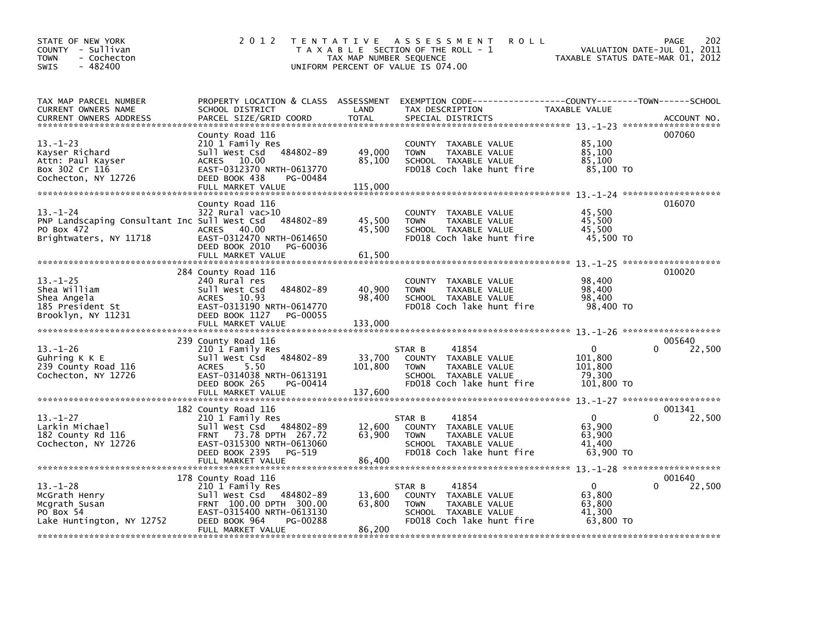| $-482400$<br><b>SWIS</b>                                                                              |                                                                                                                                                                                      | TAX MAP NUMBER SEQUENCE<br>UNIFORM PERCENT OF VALUE IS 074.00 |                       | T A X A B L E SECTION OF THE ROLL - 1                                                               | TAXABLE STATUS DATE-MAR 01, 2012                        |              | VALUATION DATE-JUL 01, 2011 |
|-------------------------------------------------------------------------------------------------------|--------------------------------------------------------------------------------------------------------------------------------------------------------------------------------------|---------------------------------------------------------------|-----------------------|-----------------------------------------------------------------------------------------------------|---------------------------------------------------------|--------------|-----------------------------|
| TAX MAP PARCEL NUMBER<br>CURRENT OWNERS NAME<br><b>CURRENT OWNERS ADDRESS</b>                         | PROPERTY LOCATION & CLASS ASSESSMENT EXEMPTION CODE----------------COUNTY-------TOWN------SCHOOL<br>SCHOOL DISTRICT<br>PARCEL SIZE/GRID COORD                                        | LAND<br><b>TOTAL</b>                                          | TAX DESCRIPTION       | SPECIAL DISTRICTS                                                                                   | TAXABLE VALUE                                           |              | ACCOUNT NO.                 |
|                                                                                                       | County Road 116                                                                                                                                                                      |                                                               |                       |                                                                                                     |                                                         |              | 007060                      |
| $13 - 1 - 23$<br>Kayser Richard<br>Attn: Paul Kayser<br>Box 302 Cr 116<br>Cochecton, NY 12726         | 210 1 Family Res<br>Sull West Csd 484802-89<br>ACRES 10.00<br>EAST-0312370 NRTH-0613770<br>DEED BOOK 438<br>PG-00484                                                                 | 49,000<br>85,100                                              | <b>TOWN</b>           | COUNTY TAXABLE VALUE<br>TAXABLE VALUE<br>SCHOOL TAXABLE VALUE<br>FD018 Coch lake hunt fire          | 85,100<br>85,100<br>85,100<br>85,100 TO                 |              |                             |
|                                                                                                       | FULL MARKET VALUE                                                                                                                                                                    | 115,000                                                       |                       |                                                                                                     |                                                         |              |                             |
|                                                                                                       |                                                                                                                                                                                      |                                                               |                       |                                                                                                     |                                                         |              | 016070                      |
| $13 - 1 - 24$<br>PNP Landscaping Consultant Inc Sull West Csd<br>PO Box 472<br>Brightwaters, NY 11718 | County Road 116<br>322 Rural vac>10<br>484802-89<br>ACRES 40.00<br>EAST-0312470 NRTH-0614650<br>DEED BOOK 2010<br>PG-60036<br>FULL MARKET VALUE                                      | 45,500<br>45,500<br>61,500                                    | <b>TOWN</b>           | COUNTY TAXABLE VALUE<br>TAXABLE VALUE<br>SCHOOL TAXABLE VALUE<br>FD018 Coch lake hunt fire          | 45,500<br>45,500<br>45,500<br>45,500 TO                 |              |                             |
|                                                                                                       |                                                                                                                                                                                      |                                                               |                       |                                                                                                     |                                                         |              |                             |
| $13 - 1 - 25$<br>Shea William<br>Shea Angela<br>185 President St<br>Brooklyn, NY 11231                | 284 County Road 116<br>240 Rural res<br>484802-89<br>Sull West Csd<br>ACRES 10.93<br>EAST-0313190 NRTH-0614770<br>DEED BOOK 1127<br>PG-00055                                         | 40,900<br>98,400                                              | <b>TOWN</b>           | COUNTY TAXABLE VALUE<br>TAXABLE VALUE<br>SCHOOL TAXABLE VALUE<br>FD018 Coch lake hunt fire          | 98,400<br>98,400<br>98,400<br>98,400 TO                 |              | 010020                      |
|                                                                                                       | FULL MARKET VALUE                                                                                                                                                                    | 133,000                                                       |                       |                                                                                                     |                                                         |              |                             |
| $13.-1-26$<br>Guhring $K$ $K$ $E$<br>239 County Road 116<br>Cochecton, NY 12726                       | 239 County Road 116<br>210 1 Family Res<br>Sull West Csd 484802-89<br><b>ACRES</b><br>5.50<br>EAST-0314038 NRTH-0613191<br>DEED BOOK 265<br>PG-00414                                 | 33,700<br>101.800                                             | STAR B<br><b>TOWN</b> | 41854<br>COUNTY TAXABLE VALUE<br>TAXABLE VALUE<br>SCHOOL TAXABLE VALUE<br>FD018 Coch lake hunt fire | $\Omega$<br>101,800<br>101.800<br>79,300<br>101,800 TO  | 0            | 005640<br>22,500            |
|                                                                                                       | FULL MARKET VALUE                                                                                                                                                                    | 137,600                                                       |                       |                                                                                                     |                                                         |              |                             |
| $13 - 1 - 27$<br>Larkin Michael<br>182 County Rd 116<br>Cochecton, NY 12726                           | 182 County Road 116<br>210 1 Family Res<br>Sull West Csd 484802-89<br>73.78 DPTH 267.72<br><b>FRNT</b><br>EAST-0315300 NRTH-0613060<br>DEED BOOK 2395<br>PG-519<br>FULL MARKET VALUE | 12,600<br>63,900<br>86,400                                    | STAR B<br><b>TOWN</b> | 41854<br>COUNTY TAXABLE VALUE<br>TAXABLE VALUE<br>SCHOOL TAXABLE VALUE<br>FD018 Coch lake hunt fire | $\mathbf{0}$<br>63.900<br>63,900<br>41,400<br>63,900 TO | <sup>0</sup> | 001341<br>22,500            |
|                                                                                                       | 178 County Road 116                                                                                                                                                                  |                                                               |                       |                                                                                                     |                                                         |              | 001640                      |
| $13 - 1 - 28$<br>McGrath Henry<br>Mcgrath Susan<br>PO Box 54<br>Lake Huntington, NY 12752             | 210 1 Family Res<br>Sull West Csd 484802-89<br>FRNT 100.00 DPTH 300.00<br>EAST-0315400 NRTH-0613130<br>DEED BOOK 964<br>PG-00288<br>FULL MARKET VALUE                                | 13,600<br>63,800<br>86,200                                    | STAR B<br><b>TOWN</b> | 41854<br>COUNTY TAXABLE VALUE<br>TAXABLE VALUE<br>SCHOOL TAXABLE VALUE<br>FD018 Coch lake hunt fire | $\mathbf{0}$<br>63,800<br>63,800<br>41,300<br>63,800 TO |              | 22,500                      |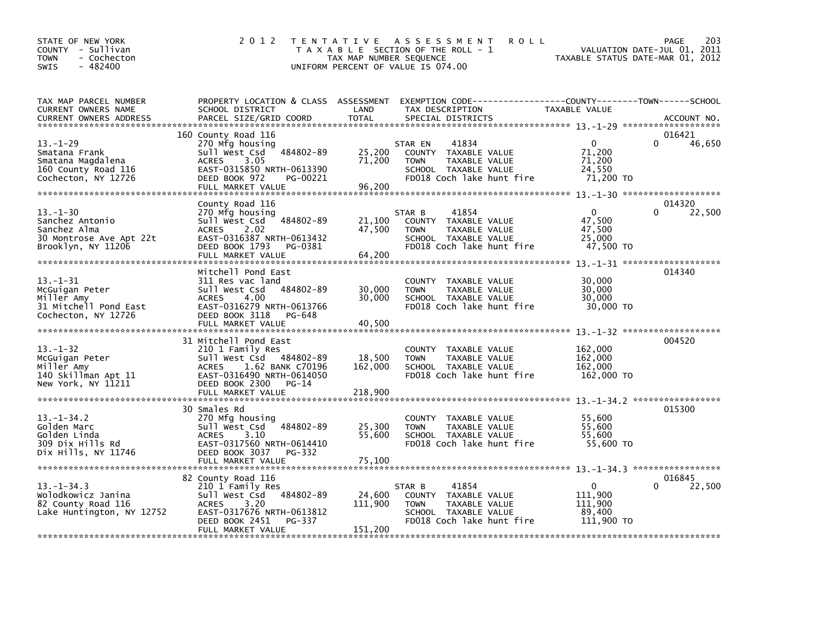| STATE OF NEW YORK<br>COUNTY - Sullivan<br>- Cochecton<br><b>TOWN</b><br>$-482400$<br><b>SWIS</b>  | 2 0 1 2                                                                                                                                                                    | TAX MAP NUMBER SEQUENCE      | TENTATIVE ASSESSMENT<br><b>ROLL</b><br>T A X A B L E SECTION OF THE ROLL - 1<br>UNIFORM PERCENT OF VALUE IS 074.00            | TAXABLE STATUS DATE-MAR 01, 2012                           | 203<br>PAGE<br>VALUATION DATE-JUL 01, 2011 |
|---------------------------------------------------------------------------------------------------|----------------------------------------------------------------------------------------------------------------------------------------------------------------------------|------------------------------|-------------------------------------------------------------------------------------------------------------------------------|------------------------------------------------------------|--------------------------------------------|
| TAX MAP PARCEL NUMBER<br>CURRENT OWNERS NAME<br><b>CURRENT OWNERS ADDRESS</b>                     | PROPERTY LOCATION & CLASS ASSESSMENT<br>SCHOOL DISTRICT<br>PARCEL SIZE/GRID COORD                                                                                          | LAND<br><b>TOTAL</b>         | EXEMPTION CODE-----------------COUNTY-------TOWN------SCHOOL<br>TAX DESCRIPTION<br>SPECIAL DISTRICTS                          | TAXABLE VALUE                                              | ACCOUNT NO.                                |
| $13 - 1 - 29$<br>Smatana Frank<br>Smatana Magdalena<br>160 County Road 116<br>Cochecton, NY 12726 | 160 County Road 116<br>270 Mfg housing<br>Sull West Csd 484802-89<br>3.05<br><b>ACRES</b><br>EAST-0315850 NRTH-0613390<br>DEED BOOK 972<br>PG-00221<br>FULL MARKET VALUE   | 25,200<br>71,200<br>96,200   | 41834<br>STAR EN<br>COUNTY TAXABLE VALUE<br><b>TOWN</b><br>TAXABLE VALUE<br>SCHOOL TAXABLE VALUE<br>FD018 Coch lake hunt fire | $\mathbf{0}$<br>71,200<br>71,200<br>24,550<br>71,200 TO    | 016421<br>46,650                           |
| $13 - 1 - 30$<br>Sanchez Antonio<br>Sanchez Alma<br>30 Montrose Ave Apt 22t<br>Brooklyn, NY 11206 | County Road 116<br>270 Mfg housing<br>Sull West Csd 484802-89<br><b>ACRES</b><br>2.02<br>EAST-0316387 NRTH-0613432<br>DEED BOOK 1793<br>PG-0381<br>FULL MARKET VALUE       | 21,100<br>47,500<br>64,200   | 41854<br>STAR B<br>COUNTY TAXABLE VALUE<br>TAXABLE VALUE<br><b>TOWN</b><br>SCHOOL TAXABLE VALUE<br>FD018 Coch lake hunt fire  | $\Omega$<br>47,500<br>47,500<br>25,000<br>47,500 TO        | 014320<br>22,500                           |
| $13 - 1 - 31$<br>McGuigan Peter<br>Miller Amy<br>31 Mitchell Pond East<br>Cochecton, NY 12726     | Mitchell Pond East<br>311 Res vac land<br>484802-89<br>Sull West Csd<br>4.00<br><b>ACRES</b><br>EAST-0316279 NRTH-0613766<br>DEED BOOK 3118<br>PG-648<br>FULL MARKET VALUE | 30,000<br>30,000<br>40,500   | COUNTY TAXABLE VALUE<br><b>TOWN</b><br>TAXABLE VALUE<br>SCHOOL TAXABLE VALUE<br>FD018 Coch lake hunt fire                     | 30,000<br>30,000<br>30,000<br>30,000 TO                    | 014340                                     |
| $13 - 1 - 32$<br>McGuigan Peter<br>Miller Amy<br>140 Skillman Apt 11<br>New York, NY 11211        | 31 Mitchell Pond East<br>210 1 Family Res<br>Sull West Csd 484802-89<br><b>ACRES</b><br>1.62 BANK C70196<br>EAST-0316490 NRTH-0614050<br>DEED BOOK 2300<br>PG-14           | 18,500<br>162,000            | COUNTY TAXABLE VALUE<br><b>TOWN</b><br>TAXABLE VALUE<br>SCHOOL TAXABLE VALUE<br>FD018 Coch lake hunt fire                     | 162,000<br>162,000<br>162,000<br>162,000 TO                | 004520                                     |
| $13.-1-34.2$<br>Golden Marc<br>Golden Linda<br>309 Dix Hills Rd<br>Dix Hills, NY 11746            | 30 Smales Rd<br>270 Mfg housing<br>484802-89<br>Sull West Csd<br>3.10<br><b>ACRES</b><br>EAST-0317560 NRTH-0614410<br>DEED BOOK 3037 PG-332                                | 25,300<br>55,600             | COUNTY TAXABLE VALUE<br><b>TOWN</b><br>TAXABLE VALUE<br>SCHOOL TAXABLE VALUE<br>FD018 Coch lake hunt fire                     | 55,600<br>55,600<br>55,600<br>55,600 TO                    | 015300                                     |
| $13. - 1 - 34.3$<br>Wolodkowicz Janina<br>82 County Road 116<br>Lake Huntington, NY 12752         | 82 County Road 116<br>210 1 Family Res<br>484802-89<br>sull west Csd<br><b>ACRES</b><br>3.20<br>EAST-0317676 NRTH-0613812<br>DEED BOOK 2451<br>PG-337<br>FULL MARKET VALUE | 24,600<br>111,900<br>151,200 | 41854<br>STAR B<br>COUNTY TAXABLE VALUE<br>TAXABLE VALUE<br><b>TOWN</b><br>SCHOOL TAXABLE VALUE<br>FD018 Coch lake hunt fire  | $\mathbf{0}$<br>111,900<br>111,900<br>89.400<br>111,900 TO | 016845<br>22,500                           |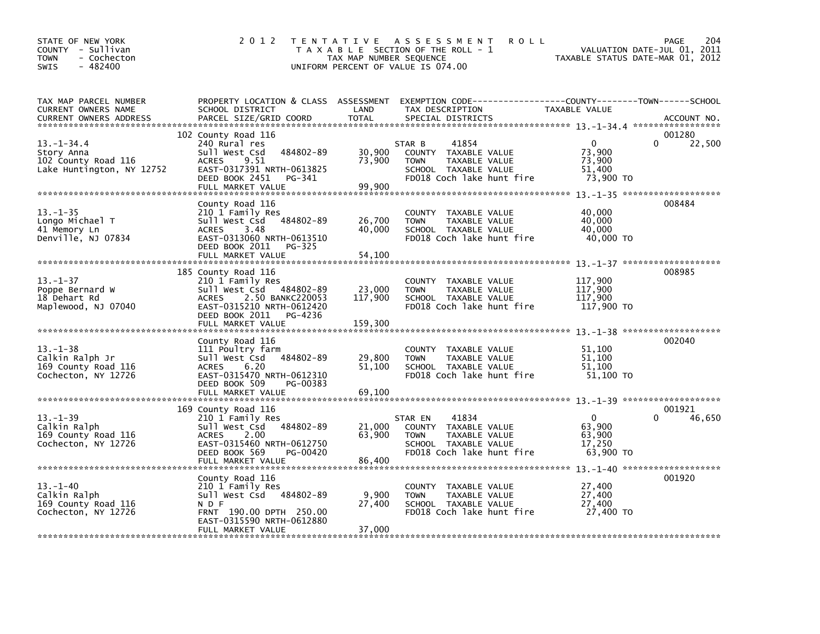| STATE OF NEW YORK<br>COUNTY - Sullivan<br>- Cochecton<br><b>TOWN</b><br>$-482400$<br>SWIS | 2 0 1 2                                                                                                                                                                               | TAX MAP NUMBER SEQUENCE      | TENTATIVE ASSESSMENT<br><b>ROLL</b><br>T A X A B L E SECTION OF THE ROLL - 1<br>UNIFORM PERCENT OF VALUE IS 074.00            |                                                         | PAGE<br>204<br>VALUATION DATE-JUL 01, 2011<br>TAXABLE STATUS DATE-MAR 01, 2012 |
|-------------------------------------------------------------------------------------------|---------------------------------------------------------------------------------------------------------------------------------------------------------------------------------------|------------------------------|-------------------------------------------------------------------------------------------------------------------------------|---------------------------------------------------------|--------------------------------------------------------------------------------|
| TAX MAP PARCEL NUMBER<br>CURRENT OWNERS NAME<br><b>CURRENT OWNERS ADDRESS</b>             | PROPERTY LOCATION & CLASS ASSESSMENT<br>SCHOOL DISTRICT<br>PARCEL SIZE/GRID COORD                                                                                                     | LAND<br><b>TOTAL</b>         | EXEMPTION CODE-----------------COUNTY-------TOWN------SCHOOL<br>TAX DESCRIPTION<br>SPECIAL DISTRICTS                          | TAXABLE VALUE                                           | ACCOUNT NO.                                                                    |
| $13. - 1 - 34.4$<br>Story Anna<br>102 County Road 116<br>Lake Huntington, NY 12752        | 102 County Road 116<br>240 Rural res<br>Sull West Csd<br>484802-89<br>9.51<br><b>ACRES</b><br>EAST-0317391 NRTH-0613825<br>DEED BOOK 2451<br>PG-341<br>FULL MARKET VALUE              | 30,900<br>73,900<br>99,900   | 41854<br>STAR B<br>COUNTY TAXABLE VALUE<br>TAXABLE VALUE<br><b>TOWN</b><br>SCHOOL TAXABLE VALUE<br>FD018 Coch lake hunt fire  | $\mathbf{0}$<br>73,900<br>73,900<br>51,400<br>73,900 TO | 001280<br>$\Omega$<br>22,500                                                   |
| $13 - 1 - 35$<br>Longo Michael T<br>41 Memory Ln<br>Denville, NJ 07834                    | County Road 116<br>210 1 Family Res<br>sull west Csd<br>484802-89<br>ACRES<br>3.48<br>EAST-0313060 NRTH-0613510<br>DEED BOOK 2011<br>PG-325<br>FULL MARKET VALUE                      | 26,700<br>40,000<br>54,100   | COUNTY TAXABLE VALUE<br>TAXABLE VALUE<br><b>TOWN</b><br>SCHOOL TAXABLE VALUE<br>FD018 Coch lake hunt fire                     | 40,000<br>40,000<br>40,000<br>40,000 TO                 | 008484                                                                         |
| $13. - 1 - 37$<br>Poppe Bernard W<br>18 Dehart Rd<br>Maplewood, NJ 07040                  | 185 County Road 116<br>210 1 Family Res<br>Sull West Csd 484802-89<br><b>ACRES</b><br>2.50 BANKC220053<br>EAST-0315210 NRTH-0612420<br>DEED BOOK 2011<br>PG-4236<br>FULL MARKET VALUE | 23,000<br>117,900<br>159,300 | COUNTY TAXABLE VALUE<br>TAXABLE VALUE<br><b>TOWN</b><br>SCHOOL TAXABLE VALUE<br>FD018 Coch lake hunt fire                     | 117,900<br>117,900<br>117,900<br>117,900 TO             | 008985                                                                         |
| $13 - 1 - 38$<br>Calkin Ralph Jr<br>169 County Road 116<br>Cochecton, NY 12726            | County Road 116<br>111 Poultry farm<br>Sull West Csd<br>484802-89<br><b>ACRES</b><br>6.20<br>EAST-0315470 NRTH-0612310<br>DEED BOOK 509<br>PG-00383                                   | 29,800<br>51,100             | COUNTY TAXABLE VALUE<br><b>TOWN</b><br>TAXABLE VALUE<br>SCHOOL TAXABLE VALUE<br>FD018 Coch lake hunt fire                     | 51,100<br>51,100<br>51.100<br>51,100 TO                 | 002040                                                                         |
| $13 - 1 - 39$<br>Calkin Ralph<br>169 County Road 116<br>Cochecton, NY 12726               | 169 County Road 116<br>210 1 Family Res<br>Sull West Csd<br>484802-89<br>2.00<br><b>ACRES</b><br>EAST-0315460 NRTH-0612750<br>DEED BOOK 569<br>PG-00420<br>FULL MARKET VALUE          | 21,000<br>63.900<br>86,400   | 41834<br>STAR EN<br>COUNTY TAXABLE VALUE<br>TAXABLE VALUE<br><b>TOWN</b><br>SCHOOL TAXABLE VALUE<br>FD018 Coch lake hunt fire | $\mathbf{0}$<br>63,900<br>63.900<br>17,250<br>63,900 TO | 001921<br>46,650<br>0                                                          |
| $13 - 1 - 40$<br>Calkin Ralph<br>169 County Road 116<br>Cochecton, NY 12726               | County Road 116<br>210 1 Family Res<br>Sull West Csd 484802-89<br>N D F<br>FRNT 190.00 DPTH 250.00<br>EAST-0315590 NRTH-0612880<br>FULL MARKET VALUE                                  | 9,900<br>27,400<br>37,000    | COUNTY TAXABLE VALUE<br><b>TOWN</b><br>TAXABLE VALUE<br>SCHOOL TAXABLE VALUE<br>FD018 Coch lake hunt fire                     | 27,400<br>27,400<br>27,400<br>27,400 TO                 | 001920                                                                         |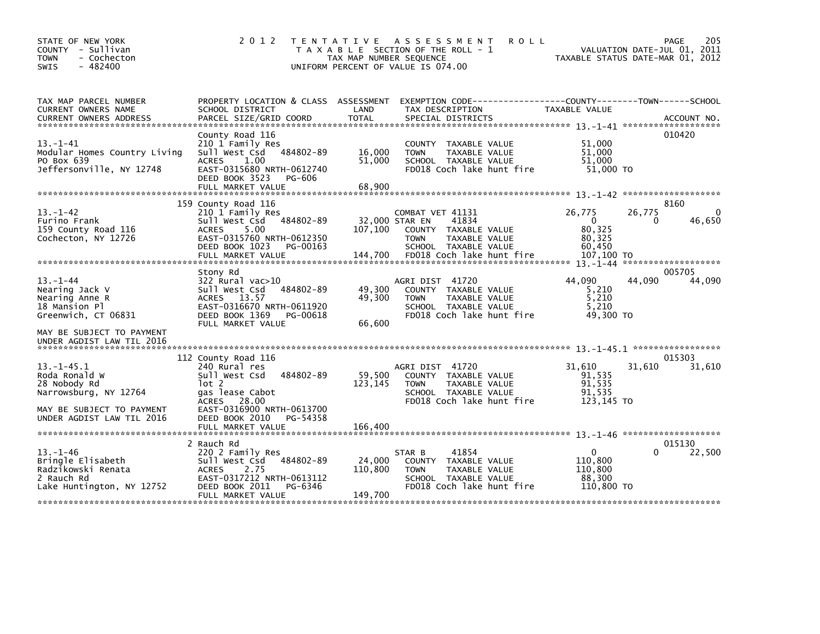| STATE OF NEW YORK<br>COUNTY - Sullivan<br>- Cochecton<br><b>TOWN</b><br>$-482400$<br><b>SWIS</b>       | 2 0 1 2                                                                                                                                                  | T E N T A T I V E<br>TAX MAP NUMBER SEQUENCE | <b>ROLL</b><br>A S S E S S M E N T<br>T A X A B L E SECTION OF THE ROLL - 1<br>UNIFORM PERCENT OF VALUE IS 074.00            | VALUATION DATE-JUL 01, 2011<br>TAXABLE STATUS DATE-MAR 01, 2012 | PAGE<br>205         |
|--------------------------------------------------------------------------------------------------------|----------------------------------------------------------------------------------------------------------------------------------------------------------|----------------------------------------------|------------------------------------------------------------------------------------------------------------------------------|-----------------------------------------------------------------|---------------------|
| TAX MAP PARCEL NUMBER<br>CURRENT OWNERS NAME<br><b>CURRENT OWNERS ADDRESS</b>                          | PROPERTY LOCATION & CLASS ASSESSMENT<br>SCHOOL DISTRICT<br>PARCEL SIZE/GRID COORD                                                                        | LAND<br><b>TOTAL</b>                         | EXEMPTION CODE-----------------COUNTY-------TOWN------SCHOOL<br>TAX DESCRIPTION<br>SPECIAL DISTRICTS                         | TAXABLE VALUE                                                   | ACCOUNT NO.         |
| $13 - 1 - 41$<br>Modular Homes Country Living<br>PO Box 639<br>Jeffersonville, NY 12748                | County Road 116<br>210 1 Family Res<br>484802-89<br>Sull West Csd<br>1.00<br><b>ACRES</b><br>EAST-0315680 NRTH-0612740<br>DEED BOOK 3523<br>PG-606       | 16,000<br>51,000                             | COUNTY TAXABLE VALUE<br><b>TOWN</b><br>TAXABLE VALUE<br>SCHOOL TAXABLE VALUE<br>FD018 Coch lake hunt fire                    | 51,000<br>51.000<br>51.000<br>51,000 TO                         | 010420              |
|                                                                                                        | FULL MARKET VALUE                                                                                                                                        | 68,900                                       |                                                                                                                              |                                                                 |                     |
| $13. - 1 - 42$<br>Furino Frank<br>159 County Road 116<br>Cochecton, NY 12726                           | 159 County Road 116<br>210 1 Family Res<br>484802-89<br>Sull West Csd<br>5.00<br><b>ACRES</b><br>EAST-0315760 NRTH-0612350<br>DEED BOOK 1023<br>PG-00163 | 107,100                                      | COMBAT VET 41131<br>32,000 STAR EN<br>41834<br>COUNTY TAXABLE VALUE<br>TAXABLE VALUE<br><b>TOWN</b><br>SCHOOL TAXABLE VALUE  | 26,775<br>26,775<br>$\Omega$<br>80.325<br>80,325<br>60,450      | 8160<br>46,650<br>0 |
|                                                                                                        | Stony Rd                                                                                                                                                 |                                              |                                                                                                                              |                                                                 | 005705              |
| $13 - 1 - 44$<br>Nearing Jack V<br>Nearing Anne R<br>18 Mansion Pl<br>Greenwich, CT 06831              | $322$ Rural vac $>10$<br>Sull West Csd<br>484802-89<br>ACRES 13.57<br>EAST-0316670 NRTH-0611920<br>DEED BOOK 1369<br>PG-00618<br>FULL MARKET VALUE       | 49,300<br>49,300<br>66,600                   | AGRI DIST 41720<br>COUNTY TAXABLE VALUE<br><b>TOWN</b><br>TAXABLE VALUE<br>SCHOOL TAXABLE VALUE<br>FD018 Coch lake hunt fire | 44.090<br>44.090<br>5,210<br>5,210<br>5.210<br>49,300 TO        | 44,090              |
| MAY BE SUBJECT TO PAYMENT<br>UNDER AGDIST LAW TIL 2016                                                 |                                                                                                                                                          |                                              |                                                                                                                              |                                                                 |                     |
| $13. -1 - 45.1$<br>Roda Ronald W<br>28 Nobody Rd<br>Narrowsburg, NY 12764<br>MAY BE SUBJECT TO PAYMENT | 112 County Road 116<br>240 Rural res<br>484802-89<br>Sull West Csd<br>lot 2<br>gas lease Cabot<br>28.00<br><b>ACRES</b><br>EAST-0316900 NRTH-0613700     | 59,500<br>123,145                            | AGRI DIST 41720<br>COUNTY TAXABLE VALUE<br>TAXABLE VALUE<br><b>TOWN</b><br>SCHOOL TAXABLE VALUE<br>FD018 Coch lake hunt fire | 31.610<br>31,610<br>91,535<br>91,535<br>91.535<br>123,145 TO    | 015303<br>31,610    |
| UNDER AGDIST LAW TIL 2016                                                                              | DEED BOOK 2010<br>PG-54358<br>FULL MARKET VALUE                                                                                                          | 166,400                                      |                                                                                                                              |                                                                 |                     |
|                                                                                                        | 2 Rauch Rd                                                                                                                                               |                                              |                                                                                                                              |                                                                 | 015130              |
| $13 - 1 - 46$<br>Bringle Elisabeth<br>Radzikowski Renata<br>2 Rauch Rd<br>Lake Huntington, NY 12752    | 220 2 Family Res<br>Sull West Csd<br>484802-89<br><b>ACRES</b><br>2.75<br>EAST-0317212 NRTH-0613112<br>DEED BOOK 2011<br>PG-6346                         | 24,000<br>110,800                            | 41854<br>STAR B<br>COUNTY TAXABLE VALUE<br>TAXABLE VALUE<br><b>TOWN</b><br>SCHOOL TAXABLE VALUE<br>FD018 Coch lake hunt fire | $\Omega$<br>110,800<br>110,800<br>88,300<br>110,800 TO          | 22,500<br>0         |
|                                                                                                        | FULL MARKET VALUE                                                                                                                                        | 149,700                                      |                                                                                                                              |                                                                 |                     |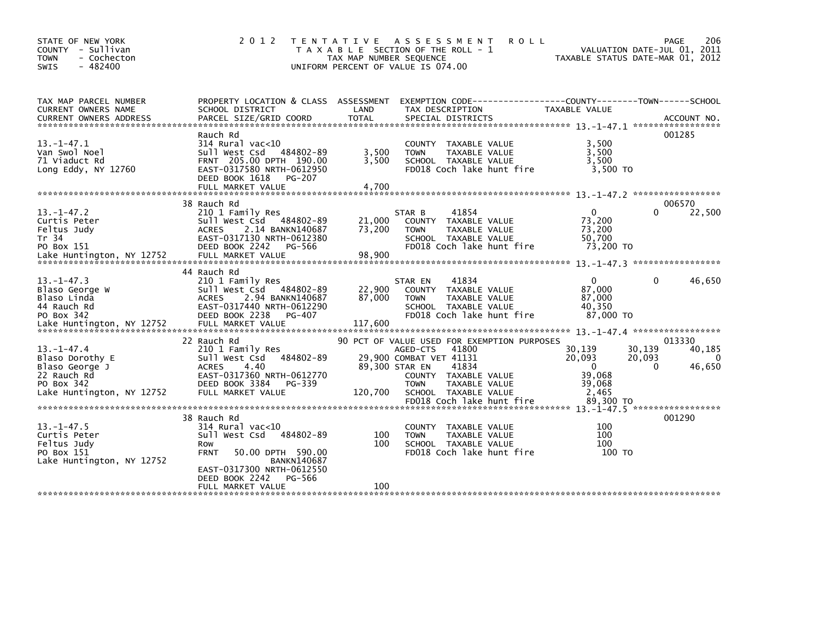| STATE OF NEW YORK<br>- Sullivan<br><b>COUNTY</b><br>- Cochecton<br><b>TOWN</b><br>$-482400$<br><b>SWIS</b>      | 2 0 1 2                                                                                                                                                                  | T E N T A T I V E<br>TAX MAP NUMBER SEQUENCE | A S S E S S M E N T<br>T A X A B L E SECTION OF THE ROLL - 1<br>UNIFORM PERCENT OF VALUE IS 074.00                                             | <b>ROLL</b>                                                   | 206<br>PAGE<br>VALUATION DATE-JUL 01, 2011<br>TAXABLE STATUS DATE-MAR 01, 2012 |
|-----------------------------------------------------------------------------------------------------------------|--------------------------------------------------------------------------------------------------------------------------------------------------------------------------|----------------------------------------------|------------------------------------------------------------------------------------------------------------------------------------------------|---------------------------------------------------------------|--------------------------------------------------------------------------------|
| TAX MAP PARCEL NUMBER<br>CURRENT OWNERS NAME<br><b>CURRENT OWNERS ADDRESS</b>                                   | PROPERTY LOCATION & CLASS ASSESSMENT<br>SCHOOL DISTRICT<br>PARCEL SIZE/GRID COORD                                                                                        | LAND<br><b>TOTAL</b>                         | EXEMPTION CODE-----------------COUNTY-------TOWN------SCHOOL<br>TAX DESCRIPTION<br>SPECIAL DISTRICTS                                           | TAXABLE VALUE                                                 | ACCOUNT NO.                                                                    |
| $13. - 1 - 47.1$<br>Van Swol Noel<br>71 Viaduct Rd<br>Long Eddy, NY 12760                                       | Rauch Rd<br>$314$ Rural vac< $10$<br>484802-89<br>Sull West Csd<br>FRNT 205.00 DPTH 190.00<br>EAST-0317580 NRTH-0612950<br>DEED BOOK 1618<br>PG-207<br>FULL MARKET VALUE | 3,500<br>3.500<br>4,700                      | <b>COUNTY</b><br>TAXABLE VALUE<br>TAXABLE VALUE<br><b>TOWN</b><br>SCHOOL TAXABLE VALUE<br>FD018 Coch lake hunt fire                            | 3,500<br>3,500<br>3.500<br>3.500 TO                           | 001285                                                                         |
|                                                                                                                 |                                                                                                                                                                          |                                              |                                                                                                                                                |                                                               |                                                                                |
| $13. - 1 - 47.2$<br>Curtis Peter<br>Feltus Judy<br>Tr 34<br>PO Box 151                                          | 38 Rauch Rd<br>210 1 Family Res<br>Sull West Csd<br>484802-89<br>2.14 BANKN140687<br><b>ACRES</b><br>EAST-0317130 NRTH-0612380<br>DEED BOOK 2242<br>PG-566               | 21,000<br>73,200                             | 41854<br>STAR B<br><b>COUNTY</b><br>TAXABLE VALUE<br>TAXABLE VALUE<br><b>TOWN</b><br>SCHOOL TAXABLE VALUE<br>FD018 Coch lake hunt fire         | $\mathbf{0}$<br>73,200<br>73,200<br>50,700<br>73,200 TO       | 006570<br>22,500<br>0                                                          |
|                                                                                                                 | 44 Rauch Rd                                                                                                                                                              |                                              |                                                                                                                                                |                                                               |                                                                                |
| $13. -1 - 47.3$<br>Blaso George W<br>Blaso Linda<br>44 Rauch Rd<br>PO Box 342                                   | 210 1 Family Res<br>Sull West Csd<br>484802-89<br>2.94 BANKN140687<br><b>ACRES</b><br>EAST-0317440 NRTH-0612290<br>DEED BOOK 2238<br>PG-407                              | 22,900<br>87,000                             | 41834<br>STAR EN<br>TAXABLE VALUE<br><b>COUNTY</b><br><b>TAXABLE VALUE</b><br><b>TOWN</b><br>SCHOOL TAXABLE VALUE<br>FD018 Coch lake hunt fire | $\Omega$<br>87.000<br>87,000<br>40,350<br>87,000 TO           | 46,650<br>0                                                                    |
| Lake Huntington, NY 12752                                                                                       | FULL MARKET VALUE                                                                                                                                                        | 117,600                                      |                                                                                                                                                |                                                               |                                                                                |
|                                                                                                                 | 22 Rauch Rd                                                                                                                                                              |                                              | 90 PCT OF VALUE USED FOR EXEMPTION PURPOSES                                                                                                    |                                                               | 013330                                                                         |
| $13. - 1 - 47.4$<br>Blaso Dorothy E<br>Blaso George J<br>22 Rauch Rd<br>PO Box 342<br>Lake Huntington, NY 12752 | 210 1 Family Res<br>484802-89<br>Sull West Csd<br><b>ACRES</b><br>4.40<br>EAST-0317360 NRTH-0612770<br>DEED BOOK 3384<br>PG-339<br>FULL MARKET VALUE                     | 89,300 STAR EN<br>120,700                    | 41800<br>AGED-CTS<br>29,900 COMBAT VET 41131<br>41834<br>COUNTY<br>TAXABLE VALUE<br>TAXABLE VALUE<br><b>TOWN</b><br>SCHOOL TAXABLE VALUE       | 30,139<br>20,093<br>$\mathbf{0}$<br>39,068<br>39.068<br>2,465 | 30,139<br>40,185<br>20,093<br>$\Omega$<br>46,650<br>0                          |
|                                                                                                                 |                                                                                                                                                                          |                                              |                                                                                                                                                |                                                               |                                                                                |
| $13. - 1 - 47.5$<br>Curtis Peter<br>Feltus Judy<br>PO Box 151<br>Lake Huntington, NY 12752                      | 38 Rauch Rd<br>314 Rural vac<10<br>Sull West Csd<br>484802-89<br>Row<br>50.00 DPTH 590.00<br><b>FRNT</b><br><b>BANKN140687</b><br>EAST-0317300 NRTH-0612550              | 100<br>100                                   | COUNTY TAXABLE VALUE<br><b>TAXABLE VALUE</b><br><b>TOWN</b><br>SCHOOL TAXABLE VALUE<br>FD018 Coch lake hunt fire                               | 100<br>100<br>100<br>100 TO                                   | 001290                                                                         |
|                                                                                                                 | DEED BOOK 2242<br>PG-566<br>FULL MARKET VALUE                                                                                                                            | 100                                          |                                                                                                                                                |                                                               |                                                                                |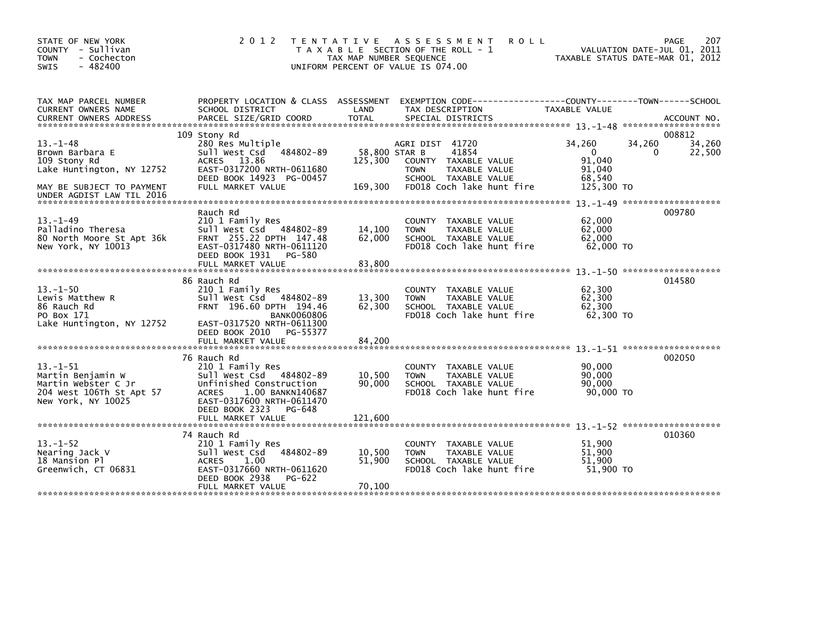| STATE OF NEW YORK<br>COUNTY - Sullivan<br><b>TOWN</b><br>- Cochecton<br>$-482400$<br><b>SWIS</b>                                        | 2 0 1 2                                                                                                                                                                                        | T E N T A T I V E<br>TAX MAP NUMBER SEQUENCE | ASSESSMENT<br><b>ROLL</b><br>T A X A B L E SECTION OF THE ROLL - 1<br>UNIFORM PERCENT OF VALUE IS 074.00                              |                                                                | 207<br>PAGE<br>VALUATION DATE-JUL 01, 2011<br>TAXABLE STATUS DATE-MAR 01, 2012 |
|-----------------------------------------------------------------------------------------------------------------------------------------|------------------------------------------------------------------------------------------------------------------------------------------------------------------------------------------------|----------------------------------------------|---------------------------------------------------------------------------------------------------------------------------------------|----------------------------------------------------------------|--------------------------------------------------------------------------------|
| TAX MAP PARCEL NUMBER<br>CURRENT OWNERS NAME<br><b>CURRENT OWNERS ADDRESS</b>                                                           | PROPERTY LOCATION & CLASS ASSESSMENT<br>SCHOOL DISTRICT<br>PARCEL SIZE/GRID COORD                                                                                                              | LAND<br><b>TOTAL</b>                         | EXEMPTION CODE-----------------COUNTY-------TOWN------SCHOOL<br>TAX DESCRIPTION<br>SPECIAL DISTRICTS                                  | TAXABLE VALUE                                                  | ACCOUNT NO.                                                                    |
| $13 - 1 - 48$<br>Brown Barbara E<br>109 Stony Rd<br>Lake Huntington, NY 12752<br>MAY BE SUBJECT TO PAYMENT<br>UNDER AGDIST LAW TIL 2016 | 109 Stony Rd<br>280 Res Multiple<br>Sull West Csd 484802-89<br>ACRES 13.86<br>EAST-0317200 NRTH-0611680<br>DEED BOOK 14923 PG-00457<br>FULL MARKET VALUE                                       | 58,800 STAR B<br>125,300<br>169,300          | AGRI DIST 41720<br>41854<br>COUNTY TAXABLE VALUE<br>TAXABLE VALUE<br><b>TOWN</b><br>SCHOOL TAXABLE VALUE<br>FD018 Coch lake hunt fire | 34,260<br>$\Omega$<br>91,040<br>91,040<br>68.540<br>125,300 TO | 008812<br>34,260<br>34,260<br>22,500<br>0                                      |
| $13. - 1 - 49$<br>Palladino Theresa<br>80 North Moore St Apt 36k<br>New York, NY 10013                                                  | Rauch Rd<br>210 1 Family Res<br>Sull West Csd 484802-89<br>FRNT 255.22 DPTH 147.48<br>EAST-0317480 NRTH-0611120<br>DEED BOOK 1931<br>PG-580<br>FULL MARKET VALUE                               | 14,100<br>62,000<br>83,800                   | <b>COUNTY</b><br>TAXABLE VALUE<br>TAXABLE VALUE<br><b>TOWN</b><br>SCHOOL TAXABLE VALUE<br>FD018 Coch lake hunt fire                   | 62,000<br>62,000<br>62,000<br>62,000 TO                        | 009780                                                                         |
| $13 - 1 - 50$<br>Lewis Matthew R<br>86 Rauch Rd<br>PO Box 171<br>Lake Huntington, NY 12752                                              | 86 Rauch Rd<br>210 1 Family Res<br>Sull West Csd<br>484802-89<br>FRNT 196.60 DPTH 194.46<br><b>BANK0060806</b><br>EAST-0317520 NRTH-0611300<br>DEED BOOK 2010<br>PG-55377<br>FULL MARKET VALUE | 13,300<br>62,300<br>84,200                   | COUNTY<br>TAXABLE VALUE<br>TAXABLE VALUE<br><b>TOWN</b><br>SCHOOL TAXABLE VALUE<br>FD018 Coch lake hunt fire                          | 62,300<br>62,300<br>62,300<br>62,300 TO                        | 014580                                                                         |
| $13 - 1 - 51$<br>Martin Benjamin W<br>Martin Webster C Jr<br>204 West 106Th St Apt 57<br>New York, NY 10025                             | 76 Rauch Rd<br>210 1 Family Res<br>Sull West Csd 484802-89<br>Unfinished Construction<br>1.00 BANKN140687<br><b>ACRES</b><br>EAST-0317600 NRTH-0611470<br>DEED BOOK 2323<br>PG-648             | 10,500<br>90,000                             | TAXABLE VALUE<br>COUNTY<br>TAXABLE VALUE<br><b>TOWN</b><br>SCHOOL TAXABLE VALUE<br>FD018 Coch lake hunt fire                          | 90,000<br>90,000<br>90,000<br>90,000 TO                        | 002050                                                                         |
| $13. - 1 - 52$<br>Nearing Jack V<br>18 Mansion Pl<br>Greenwich, CT 06831                                                                | FULL MARKET VALUE<br>74 Rauch Rd<br>210 1 Family Res<br>484802-89<br>Sull West Csd<br><b>ACRES</b><br>1.00<br>EAST-0317660 NRTH-0611620<br>DEED BOOK 2938<br>PG-622<br>FULL MARKET VALUE       | 121.600<br>10,500<br>51,900<br>70,100        | COUNTY<br>TAXABLE VALUE<br><b>TOWN</b><br>TAXABLE VALUE<br>SCHOOL TAXABLE VALUE<br>FD018 Coch lake hunt fire                          | 51,900<br>51,900<br>51,900<br>51,900 TO                        | 010360                                                                         |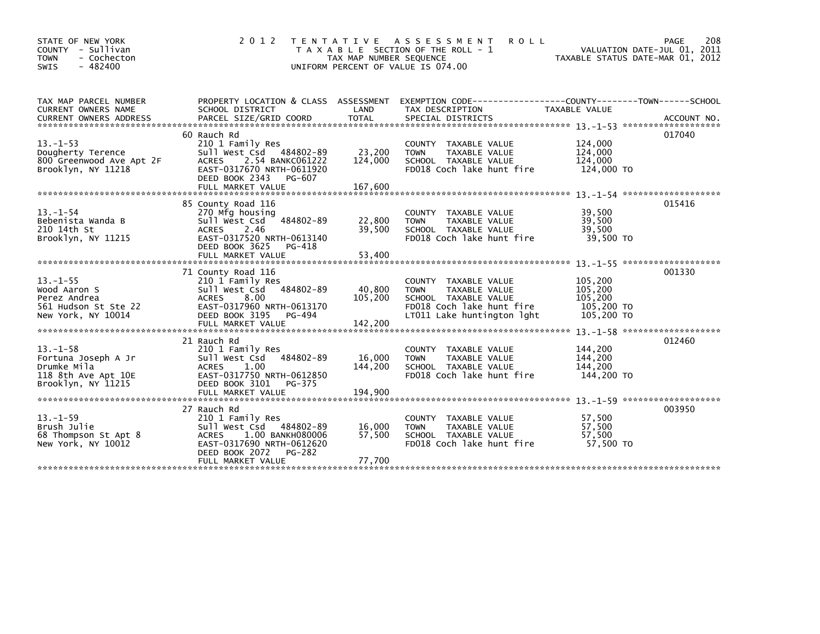| STATE OF NEW YORK<br>COUNTY - Sullivan<br>- Cochecton<br><b>TOWN</b><br>$-482400$<br><b>SWIS</b> | 2 0 1 2                                                                                                                                                                         | T E N T A T I V E<br>TAX MAP NUMBER SEQUENCE<br>UNIFORM PERCENT OF VALUE IS 074.00 | ASSESSMENT<br><b>ROLL</b><br>T A X A B L E SECTION OF THE ROLL - 1                                                                                                                                                                                                                              | VALUATION DATE-JUL 01, 2011<br>TAXABLE STATUS DATE-MAR 01, 2012 | 208<br>PAGE |
|--------------------------------------------------------------------------------------------------|---------------------------------------------------------------------------------------------------------------------------------------------------------------------------------|------------------------------------------------------------------------------------|-------------------------------------------------------------------------------------------------------------------------------------------------------------------------------------------------------------------------------------------------------------------------------------------------|-----------------------------------------------------------------|-------------|
| TAX MAP PARCEL NUMBER<br>CURRENT OWNERS NAME                                                     | PROPERTY LOCATION & CLASS ASSESSMENT<br>SCHOOL DISTRICT                                                                                                                         | LAND                                                                               | EXEMPTION CODE------------------COUNTY--------TOWN------SCHOOL<br>TAX DESCRIPTION<br>CURRENT OWNERS ADDRESS FORCEL SIZE/GRID COORD TOTAL SPECIAL DISTRICTS (2001) ACCOUNT NO.<br>EURRENT OWNERS ADDRESS PARCEL SIZE/GRID COORD TOTAL SPECIAL DISTRICTS (2001) 21-53 *************************** | TAXABLE VALUE                                                   |             |
| $13. - 1 - 53$<br>Dougherty Terence<br>800 Greenwood Ave Apt 2F<br>Brooklyn, NY 11218            | 60 Rauch Rd<br>210 1 Family Res<br>Sull West Csd 484802-89<br>2.54 BANKC061222<br><b>ACRES</b><br>EAST-0317670 NRTH-0611920<br>DEED BOOK 2343<br>PG-607                         | 23,200<br>124,000                                                                  | COUNTY TAXABLE VALUE<br>TAXABLE VALUE<br><b>TOWN</b><br>SCHOOL TAXABLE VALUE<br>FD018 Coch lake hunt fire                                                                                                                                                                                       | 124,000<br>124,000<br>124,000<br>124,000 TO                     | 017040      |
| $13 - 1 - 54$<br>Bebenista Wanda B<br>210 14th St<br>Brooklyn, NY 11215                          | 85 County Road 116<br>270 Mfg housing<br>484802-89<br>Sull West Csd<br><b>ACRES</b><br>2.46<br>EAST-0317520 NRTH-0613140<br>DEED BOOK 3625<br>PG-418<br>FULL MARKET VALUE       | 22,800<br>39,500<br>53,400                                                         | COUNTY TAXABLE VALUE<br><b>TOWN</b><br>TAXABLE VALUE<br>SCHOOL TAXABLE VALUE<br>FD018 Coch lake hunt fire                                                                                                                                                                                       | 39,500<br>39,500<br>39,500<br>39,500 TO                         | 015416      |
| $13. -1 - 55$<br>Wood Aaron S<br>Perez Andrea<br>561 Hudson St Ste 22<br>New York, NY 10014      | 71 County Road 116<br>210 1 Family Res<br>484802-89<br>Sull West Csd<br>8.00<br><b>ACRES</b><br>EAST-0317960 NRTH-0613170<br>DEED BOOK 3195<br>PG-494                           | 40,800<br>105,200                                                                  | COUNTY TAXABLE VALUE<br>TAXABLE VALUE<br><b>TOWN</b><br>SCHOOL TAXABLE VALUE<br>FD018 Coch lake hunt fire<br>LT011 Lake huntington lght                                                                                                                                                         | 105,200<br>105,200<br>105,200<br>105,200 TO<br>105,200 TO       | 001330      |
| $13 - 1 - 58$<br>Fortuna Joseph A Jr<br>Drumke Mila<br>118 8th Ave Apt 10E<br>Brooklyn, NY 11215 | 21 Rauch Rd<br>210 1 Family Res<br>484802-89<br>Sull West Csd<br><b>ACRES</b><br>1.00<br>EAST-0317750 NRTH-0612850<br>DEED BOOK 3101<br>PG-375                                  | 16,000<br>144,200                                                                  | COUNTY TAXABLE VALUE<br>TAXABLE VALUE<br><b>TOWN</b><br>SCHOOL TAXABLE VALUE<br>FD018 Coch lake hunt fire                                                                                                                                                                                       | 144,200<br>144,200<br>144,200<br>144,200 TO                     | 012460      |
| $13 - 1 - 59$<br>Brush Julie<br>68 Thompson St Apt 8<br>New York, NY 10012                       | 27 Rauch Rd<br>210 1 Family Res<br>Sull West Csd<br>484802-89<br>1.00 BANKH080006<br><b>ACRES</b><br>EAST-0317690 NRTH-0612620<br>DEED BOOK 2072<br>PG-282<br>FULL MARKET VALUE | 16,000<br>57,500<br>77,700                                                         | COUNTY TAXABLE VALUE<br>TAXABLE VALUE<br><b>TOWN</b><br>SCHOOL TAXABLE VALUE<br>FD018 Coch lake hunt fire                                                                                                                                                                                       | 57,500<br>57,500<br>57.500<br>57,500 TO                         | 003950      |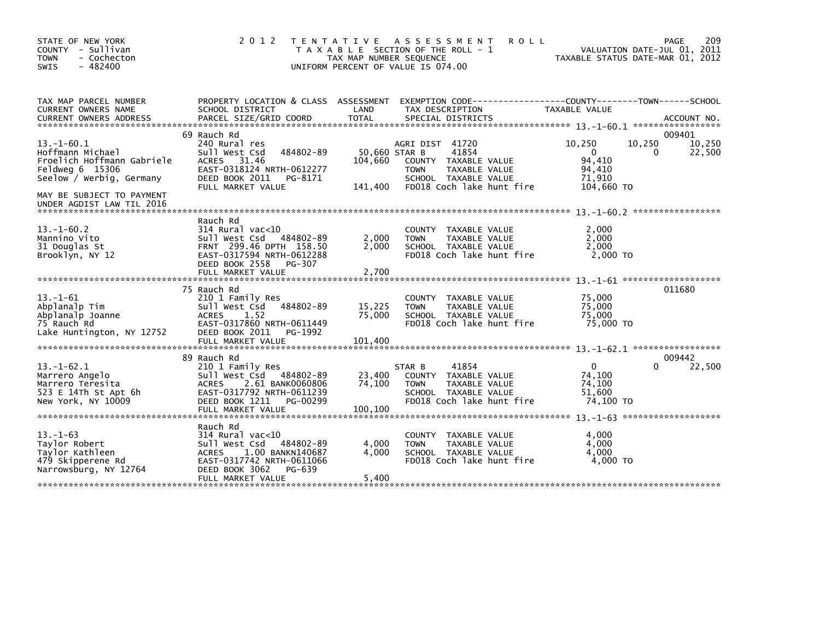| STATE OF NEW YORK<br>COUNTY - Sullivan<br><b>TOWN</b><br>- Cochecton<br>$-482400$<br><b>SWIS</b>              | 2 0 1 2                                                                                                                                                                           | TAX MAP NUMBER SEQUENCE             | TENTATIVE ASSESSMENT<br><b>ROLL</b><br>T A X A B L E SECTION OF THE ROLL - 1<br>UNIFORM PERCENT OF VALUE IS 074.00                    |                                                                | 209<br>PAGE<br>VALUATION DATE-JUL 01, 2011<br>TAXABLE STATUS DATE-MAR 01, 2012 |
|---------------------------------------------------------------------------------------------------------------|-----------------------------------------------------------------------------------------------------------------------------------------------------------------------------------|-------------------------------------|---------------------------------------------------------------------------------------------------------------------------------------|----------------------------------------------------------------|--------------------------------------------------------------------------------|
| TAX MAP PARCEL NUMBER<br>CURRENT OWNERS NAME                                                                  | PROPERTY LOCATION & CLASS ASSESSMENT<br>SCHOOL DISTRICT                                                                                                                           | LAND                                | EXEMPTION CODE-----------------COUNTY-------TOWN------SCHOOL<br>TAX DESCRIPTION                                                       | TAXABLE VALUE                                                  |                                                                                |
| $13.-1-60.1$<br>Hoffmann Michael<br>Froelich Hoffmann Gabriele<br>Feldweg 6 15306<br>Seelow / Werbig, Germany | 69 Rauch Rd<br>240 Rural res<br>484802-89<br>Sull West Csd<br>31.46<br><b>ACRES</b><br>EAST-0318124 NRTH-0612277<br>DEED BOOK 2011<br>PG-8171<br>FULL MARKET VALUE                | 50,660 STAR B<br>104,660<br>141,400 | AGRI DIST 41720<br>41854<br>COUNTY TAXABLE VALUE<br><b>TOWN</b><br>TAXABLE VALUE<br>SCHOOL TAXABLE VALUE<br>FD018 Coch lake hunt fire | 10,250<br>$\Omega$<br>94.410<br>94,410<br>71,910<br>104,660 TO | 009401<br>10,250<br>10.250<br>22,500<br>$\Omega$                               |
| MAY BE SUBJECT TO PAYMENT<br>UNDER AGDIST LAW TIL 2016                                                        |                                                                                                                                                                                   |                                     |                                                                                                                                       |                                                                |                                                                                |
| $13 - 1 - 60.2$<br>Mannino Vito<br>31 Douglas St<br>Brooklyn, NY 12                                           | Rauch Rd<br>$314$ Rural vac< $10$<br>Sull West Csd<br>484802-89<br>FRNT 299.46 DPTH 158.50<br>EAST-0317594 NRTH-0612288<br>DEED BOOK 2558<br>PG-307<br>FULL MARKET VALUE          | 2,000<br>2,000<br>2,700             | COUNTY<br>TAXABLE VALUE<br>TAXABLE VALUE<br><b>TOWN</b><br>SCHOOL TAXABLE VALUE<br>FD018 Coch lake hunt fire                          | 2,000<br>2.000<br>2,000<br>$2.000$ TO                          |                                                                                |
| $13. - 1 - 61$<br>Abplanalp Tim<br>Abplanalp Joanne<br>75 Rauch Rd<br>Lake Huntington, NY 12752               | 75 Rauch Rd<br>210 1 Family Res<br>484802-89<br>Sull West Csd<br><b>ACRES</b><br>1.52<br>EAST-0317860 NRTH-0611449<br>DEED BOOK 2011<br>PG-1992<br>FULL MARKET VALUE              | 15,225<br>75,000<br>101.400         | <b>COUNTY</b><br>TAXABLE VALUE<br>TAXABLE VALUE<br><b>TOWN</b><br>SCHOOL TAXABLE VALUE<br>FD018 Coch lake hunt fire                   | 75,000<br>75,000<br>75.000<br>75,000 TO                        | 011680                                                                         |
| $13. - 1 - 62.1$<br>Marrero Angelo<br>Marrero Teresita<br>523 E 14Th St Apt 6h<br>New York, NY 10009          | 89 Rauch Rd<br>210 1 Family Res<br>Sull West Csd 484802-89<br>2.61 BANK0060806<br><b>ACRES</b><br>EAST-0317792 NRTH-0611239<br>DEED BOOK 1211<br>PG-00299<br>FULL MARKET VALUE    | 23,400<br>74,100<br>100,100         | 41854<br>STAR B<br>COUNTY<br>TAXABLE VALUE<br>TAXABLE VALUE<br><b>TOWN</b><br>SCHOOL TAXABLE VALUE<br>FD018 Coch lake hunt fire       | $\mathbf{0}$<br>74,100<br>74,100<br>51,600<br>74,100 TO        | 009442<br>22,500<br>$\Omega$                                                   |
| $13. - 1 - 63$<br>Taylor Robert<br>Taylor Kathleen<br>479 Skipperene Rd<br>Narrowsburg, NY 12764              | Rauch Rd<br>$314$ Rural vac< $10$<br>Sull West Csd<br>484802-89<br><b>ACRES</b><br>1.00 BANKN140687<br>EAST-0317742 NRTH-0611066<br>DEED BOOK 3062<br>PG-639<br>FULL MARKET VALUE | 4,000<br>4.000<br>5,400             | <b>COUNTY</b><br>TAXABLE VALUE<br>TAXABLE VALUE<br><b>TOWN</b><br>SCHOOL TAXABLE VALUE<br>FD018 Coch lake hunt fire                   | 4,000<br>4,000<br>4.000<br>4,000 TO                            |                                                                                |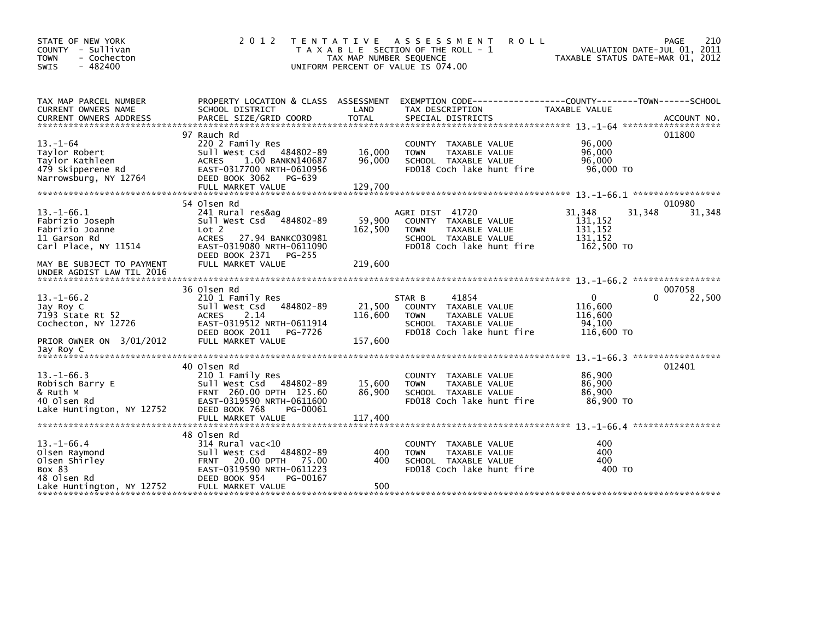| STATE OF NEW YORK<br>COUNTY - Sullivan<br>- Cochecton<br><b>TOWN</b><br>$-482400$<br>SWIS                | 2 0 1 2                                                                                                                                                                              | T E N T A T I V E<br>TAX MAP NUMBER SEQUENCE | <b>ASSESSMENT</b><br><b>ROLL</b><br>T A X A B L E SECTION OF THE ROLL - 1<br>UNIFORM PERCENT OF VALUE IS 074.00              | TAXABLE STATUS DATE-MAR 01, 2012                       | 210<br>PAGE<br>VALUATION DATE-JUL 01, 2011 |
|----------------------------------------------------------------------------------------------------------|--------------------------------------------------------------------------------------------------------------------------------------------------------------------------------------|----------------------------------------------|------------------------------------------------------------------------------------------------------------------------------|--------------------------------------------------------|--------------------------------------------|
| TAX MAP PARCEL NUMBER<br>CURRENT OWNERS NAME                                                             | SCHOOL DISTRICT                                                                                                                                                                      | LAND                                         | PROPERTY LOCATION & CLASS ASSESSMENT EXEMPTION CODE---------------COUNTY-------TOWN------SCHOOL<br>TAX DESCRIPTION           | TAXABLE VALUE                                          |                                            |
| $13 - 1 - 64$<br>Taylor Robert<br>Taylor Kathleen<br>479 Skipperene Rd<br>Narrowsburg, NY 12764          | 97 Rauch Rd<br>220 2 Family Res<br>Sull West Csd 484802-89<br><b>ACRES</b><br>1.00 BANKN140687<br>EAST-0317700 NRTH-0610956<br>DEED BOOK 3062 PG-639<br>FULL MARKET VALUE            | 16,000<br>96,000<br>129,700                  | COUNTY TAXABLE VALUE<br><b>TOWN</b><br>TAXABLE VALUE<br>SCHOOL TAXABLE VALUE<br>FD018 Coch lake hunt fire                    | 96,000<br>96,000<br>96.000<br>96,000 TO                | 011800                                     |
| $13.-1-66.1$<br>Fabrizio Joseph<br>Fabrizio Joanne<br>11 Garson Rd<br>Carl Place, NY 11514               | 54 Olsen Rd<br>241 Rural res&ag<br>Sull West Csd 484802-89<br>Lot 2<br><b>ACRES</b><br>27.94 BANKC030981<br>EAST-0319080 NRTH-0611090<br>DEED BOOK 2371 PG-255                       | 59,900<br>162,500                            | AGRI DIST 41720<br>COUNTY TAXABLE VALUE<br><b>TOWN</b><br>TAXABLE VALUE<br>SCHOOL TAXABLE VALUE<br>FD018 Coch lake hunt fire | 31,348<br>131,152<br>131,152<br>131,152<br>162,500 TO  | 010980<br>31,348<br>31,348                 |
| MAY BE SUBJECT TO PAYMENT<br>UNDER AGDIST LAW TIL 2016                                                   | FULL MARKET VALUE                                                                                                                                                                    | 219,600                                      |                                                                                                                              |                                                        |                                            |
| $13. - 1 - 66.2$<br>Jay Roy C<br>7193 State Rt 52<br>Cochecton, NY 12726<br>PRIOR OWNER ON 3/01/2012     | 36 Olsen Rd<br>210 1 Family Res<br>484802-89<br>Sull West Csd<br>2.14<br><b>ACRES</b><br>EAST-0319512 NRTH-0611914<br>DEED BOOK 2011<br>PG-7726<br>FULL MARKET VALUE                 | 21,500<br>116,600<br>157.600                 | STAR B<br>41854<br>COUNTY TAXABLE VALUE<br><b>TOWN</b><br>TAXABLE VALUE<br>SCHOOL TAXABLE VALUE<br>FD018 Coch lake hunt fire | $\Omega$<br>116,600<br>116,600<br>94,100<br>116,600 TO | 007058<br>22,500<br>0                      |
| Jay Roy C<br>$13. - 1 - 66.3$<br>Robisch Barry E<br>& Ruth M<br>40 Olsen Rd<br>Lake Huntington, NY 12752 | 40 Olsen Rd<br>210 1 Family Res<br>Sull West Csd<br>484802-89<br>FRNT 260.00 DPTH 125.60<br>EAST-0319590 NRTH-0611600<br>DEED BOOK 768<br>PG-00061<br>FULL MARKET VALUE              | 15,600<br>86,900<br>117,400                  | COUNTY TAXABLE VALUE<br><b>TOWN</b><br>TAXABLE VALUE<br>SCHOOL TAXABLE VALUE<br>FD018 Coch lake hunt fire                    | 86,900<br>86,900<br>86,900<br>86,900 TO                | 012401                                     |
| $13.-1-66.4$<br>Olsen Raymond<br>Olsen Shirley<br>Box 83<br>48 Olsen Rd<br>Lake Huntington, NY 12752     | 48 Olsen Rd<br>$314$ Rural vac< $10$<br>Sull West Csd 484802-89<br>20.00 DPTH<br>75.00<br><b>FRNT</b><br>EAST-0319590 NRTH-0611223<br>DEED BOOK 954<br>PG-00167<br>FULL MARKET VALUE | 400<br>400<br>500                            | COUNTY TAXABLE VALUE<br><b>TOWN</b><br>TAXABLE VALUE<br>SCHOOL TAXABLE VALUE<br>FD018 Coch lake hunt fire                    | 400<br>400<br>400<br>400 TO                            |                                            |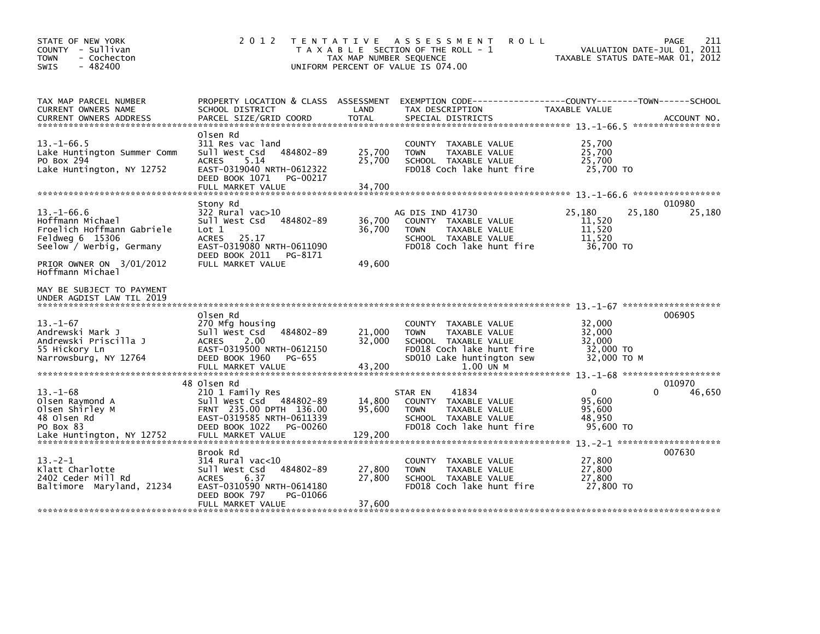| STATE OF NEW YORK<br>COUNTY - Sullivan<br><b>TOWN</b><br>- Cochecton<br>$-482400$<br><b>SWIS</b>                                                                  | 2 0 1 2                                                                                                                                                                          | T E N T A T I V E<br>TAX MAP NUMBER SEQUENCE | ASSESSMENT<br><b>ROLL</b><br>T A X A B L E SECTION OF THE ROLL - 1<br>UNIFORM PERCENT OF VALUE IS 074.00                                                      | TAXABLE STATUS DATE-MAR 01, 2012                            | 211<br>PAGE<br>VALUATION DATE-JUL 01, 2011 |
|-------------------------------------------------------------------------------------------------------------------------------------------------------------------|----------------------------------------------------------------------------------------------------------------------------------------------------------------------------------|----------------------------------------------|---------------------------------------------------------------------------------------------------------------------------------------------------------------|-------------------------------------------------------------|--------------------------------------------|
| TAX MAP PARCEL NUMBER<br><b>CURRENT OWNERS NAME</b>                                                                                                               | PROPERTY LOCATION & CLASS ASSESSMENT<br>SCHOOL DISTRICT                                                                                                                          | LAND                                         | EXEMPTION CODE------------------COUNTY--------TOWN------SCHOOL<br>TAX DESCRIPTION                                                                             | <b>TAXABLE VALUE</b>                                        |                                            |
| $13 - 1 - 66.5$<br>Lake Huntington Summer Comm<br>PO Box 294<br>Lake Huntington, NY 12752                                                                         | Olsen Rd<br>311 Res vac land<br>484802-89<br>Sull West Csd<br><b>ACRES</b><br>5.14<br>EAST-0319040 NRTH-0612322<br>DEED BOOK 1071<br>PG-00217<br>FULL MARKET VALUE               | 25,700<br>25,700<br>34,700                   | TAXABLE VALUE<br><b>COUNTY</b><br>TAXABLE VALUE<br><b>TOWN</b><br>SCHOOL TAXABLE VALUE<br>FD018 Coch lake hunt fire                                           | 25,700<br>25,700<br>25,700<br>25,700 TO                     |                                            |
| $13. - 1 - 66.6$<br>Hoffmann Michael<br>Froelich Hoffmann Gabriele<br>Feldweg 6 15306<br>Seelow / Werbig, Germany<br>PRIOR OWNER ON 3/01/2012<br>Hoffmann Michael | Stony Rd<br>$322$ Rural vac $>10$<br>484802-89<br>Sull West Csd<br>Lot 1<br><b>ACRES</b><br>25.17<br>EAST-0319080 NRTH-0611090<br>DEED BOOK 2011<br>PG-8171<br>FULL MARKET VALUE | 36,700<br>36,700<br>49,600                   | AG DIS IND 41730<br>COUNTY TAXABLE VALUE<br>TAXABLE VALUE<br><b>TOWN</b><br>SCHOOL TAXABLE VALUE<br>FD018 Coch lake hunt fire                                 | 25,180<br>25,180<br>11,520<br>11,520<br>11,520<br>36,700 TO | 010980<br>25,180                           |
| MAY BE SUBJECT TO PAYMENT<br>UNDER AGDIST LAW TIL 2019                                                                                                            |                                                                                                                                                                                  |                                              |                                                                                                                                                               |                                                             |                                            |
| $13 - 1 - 67$<br>Andrewski Mark J<br>Andrewski Priscilla J<br>55 Hickory Ln<br>Narrowsburg, NY 12764                                                              | Olsen Rd<br>270 Mfg housing<br>484802-89<br>Sull West Csd<br>2.00<br><b>ACRES</b><br>EAST-0319500 NRTH-0612150<br>DEED BOOK 1960<br>PG-655<br>FULL MARKET VALUE                  | 21,000<br>32,000<br>43,200                   | <b>COUNTY</b><br>TAXABLE VALUE<br><b>TOWN</b><br>TAXABLE VALUE<br>SCHOOL TAXABLE VALUE<br>FD018 Coch lake hunt fire<br>SD010 Lake huntington sew<br>1.00 UN M | 32,000<br>32,000<br>32,000<br>32,000 TO<br>32,000 TO M      | 006905                                     |
| $13 - 1 - 68$<br>Olsen Raymond A<br>Olsen Shirley M<br>48 Olsen Rd<br>PO Box 83<br>Lake Huntington, NY 12752                                                      | 48 Olsen Rd<br>210 1 Family Res<br>Sull West Csd 484802-89<br>FRNT 235.00 DPTH 136.00<br>EAST-0319585 NRTH-0611339<br>DEED BOOK 1022<br>PG-00260<br>FULL MARKET VALUE            | 14,800<br>95,600<br>129,200                  | 41834<br>STAR EN<br>COUNTY TAXABLE VALUE<br><b>TOWN</b><br>TAXABLE VALUE<br>SCHOOL TAXABLE VALUE<br>FD018 Coch lake hunt fire                                 | $\mathbf{0}$<br>95,600<br>95,600<br>48.950<br>95,600 TO     | 010970<br>0<br>46,650                      |
| $13 - 2 - 1$<br>Klatt Charlotte<br>2402 Ceder Mill Rd<br>Baltimore Maryland, 21234                                                                                | Brook Rd<br>314 Rural vac<10<br>Sull West Csd<br>484802-89<br>6.37<br><b>ACRES</b><br>EAST-0310590 NRTH-0614180<br>DEED BOOK 797<br>PG-01066<br>FULL MARKET VALUE                | 27,800<br>27,800<br>37,600                   | <b>COUNTY</b><br>TAXABLE VALUE<br>TAXABLE VALUE<br><b>TOWN</b><br>SCHOOL TAXABLE VALUE<br>FD018 Coch lake hunt fire                                           | 27,800<br>27,800<br>27,800<br>27,800 TO                     | 007630                                     |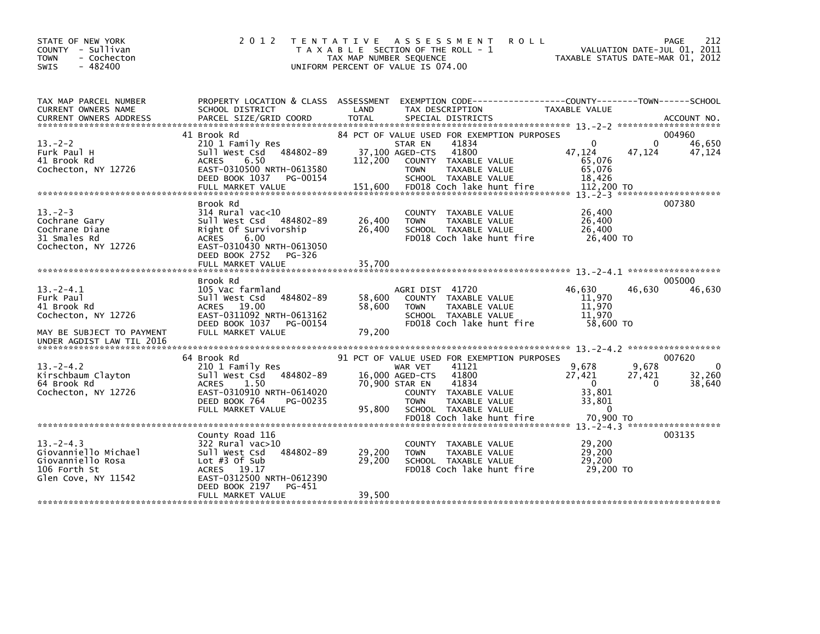| STATE OF NEW YORK<br>COUNTY - Sullivan<br>- Cochecton<br><b>TOWN</b><br>$-482400$<br>SWIS          | 2 0 1 2                                                                                                                                                                                  | T E N T A T I V E<br>TAX MAP NUMBER SEOUENCE | A S S E S S M E N T<br><b>ROLL</b><br>T A X A B L E SECTION OF THE ROLL - 1<br>UNIFORM PERCENT OF VALUE IS 074.00                                                                              |                                                                                | 212<br><b>PAGE</b><br>VALUATION DATE-JUL 01, 2011<br>TAXABLE STATUS DATE-MAR 01, 2012 |
|----------------------------------------------------------------------------------------------------|------------------------------------------------------------------------------------------------------------------------------------------------------------------------------------------|----------------------------------------------|------------------------------------------------------------------------------------------------------------------------------------------------------------------------------------------------|--------------------------------------------------------------------------------|---------------------------------------------------------------------------------------|
| TAX MAP PARCEL NUMBER<br>CURRENT OWNERS NAME                                                       | PROPERTY LOCATION & CLASS ASSESSMENT<br>SCHOOL DISTRICT                                                                                                                                  | LAND                                         | EXEMPTION CODE-----------------COUNTY-------TOWN------SCHOOL<br>TAX DESCRIPTION                                                                                                                | TAXABLE VALUE                                                                  |                                                                                       |
| $13 - 2 - 2$<br>Furk Paul H<br>41 Brook Rd<br>Cochecton, NY 12726                                  | 41 Brook Rd<br>210 1 Family Res<br>484802-89<br>Sull West Csd<br>6.50<br><b>ACRES</b><br>EAST-0310500 NRTH-0613580<br>DEED BOOK 1037<br>PG-00154                                         | 37,100 AGED-CTS<br>112,200                   | 84 PCT OF VALUE USED FOR EXEMPTION PURPOSES<br>41834<br>STAR EN<br>41800<br>COUNTY TAXABLE VALUE<br>TAXABLE VALUE<br><b>TOWN</b><br>SCHOOL TAXABLE VALUE                                       | $\Omega$<br>47,124<br>65,076<br>65,076<br>18,426                               | 004960<br>$\Omega$<br>46,650<br>47,124<br>47,124                                      |
| $13 - 2 - 3$<br>Cochrane Gary<br>Cochrane Diane<br>31 Smales Rd<br>Cochecton, NY 12726             | Brook Rd<br>$314$ Rural vac<10<br>Sull West Csd 484802-89<br>Right Of Survivorship<br><b>ACRES</b><br>6.00<br>EAST-0310430 NRTH-0613050<br>DEED BOOK 2752<br>PG-326<br>FULL MARKET VALUE | 26,400<br>26,400<br>35,700                   | COUNTY TAXABLE VALUE<br>TAXABLE VALUE<br><b>TOWN</b><br>SCHOOL TAXABLE VALUE<br>FD018 Coch lake hunt fire                                                                                      | 26,400<br>26,400<br>26,400<br>26.400 TO                                        | 007380                                                                                |
| $13 - 2 - 4.1$<br>Furk Paul<br>41 Brook Rd<br>Cochecton, NY 12726<br>MAY BE SUBJECT TO PAYMENT     | Brook Rd<br>105 Vac farmland<br>Sull West Csd 484802-89<br>ACRES 19.00<br>EAST-0311092 NRTH-0613162<br>PG-00154<br>DEED BOOK 1037<br>FULL MARKET VALUE                                   | 58,600<br>58.600<br>79,200                   | AGRI DIST 41720<br>COUNTY TAXABLE VALUE<br>TAXABLE VALUE<br><b>TOWN</b><br>SCHOOL TAXABLE VALUE<br>FD018 Coch lake hunt fire                                                                   | 46,630<br>11.970<br>11,970<br>11.970<br>58.600 TO                              | 005000<br>46,630<br>46,630                                                            |
| UNDER AGDIST LAW TIL 2016                                                                          |                                                                                                                                                                                          |                                              |                                                                                                                                                                                                |                                                                                |                                                                                       |
| $13 - 2 - 4.2$<br>Kirschbaum Clayton<br>64 Brook Rd<br>Cochecton, NY 12726                         | 64 Brook Rd<br>210 1 Family Res<br>484802-89<br>sull west Csd<br><b>ACRES</b><br>1.50<br>EAST-0310910 NRTH-0614020<br>DEED BOOK 764<br>PG-00235<br>FULL MARKET VALUE                     | 16,000 AGED-CTS<br>70,900 STAR EN<br>95.800  | 91 PCT OF VALUE USED FOR EXEMPTION PURPOSES<br>41121<br>WAR VET<br>41800<br>41834<br>COUNTY TAXABLE VALUE<br><b>TOWN</b><br>TAXABLE VALUE<br>SCHOOL TAXABLE VALUE<br>FD018 Coch lake hunt fire | 9,678<br>27,421<br>$\overline{0}$<br>33,801<br>33,801<br>$\Omega$<br>70.900 TO | 007620<br>9,678<br>$\Omega$<br>27,421<br>32,260<br>$\Omega$<br>38,640                 |
|                                                                                                    |                                                                                                                                                                                          |                                              |                                                                                                                                                                                                |                                                                                |                                                                                       |
| $13. -2 - 4.3$<br>Giovanniello Michael<br>Giovanniello Rosa<br>106 Forth St<br>Glen Cove, NY 11542 | County Road 116<br>$322$ Rural vac $>10$<br>484802-89<br>Sull West Csd<br>Lot $#3$ Of Sub<br>ACRES 19.17<br>EAST-0312500 NRTH-0612390<br>DEED BOOK 2197<br>PG-451                        | 29,200<br>29,200                             | COUNTY TAXABLE VALUE<br><b>TOWN</b><br>TAXABLE VALUE<br>SCHOOL TAXABLE VALUE<br>FD018 Coch lake hunt fire                                                                                      | 29,200<br>29,200<br>29,200<br>29,200 TO                                        | 003135                                                                                |
|                                                                                                    | FULL MARKET VALUE                                                                                                                                                                        | 39,500                                       |                                                                                                                                                                                                |                                                                                |                                                                                       |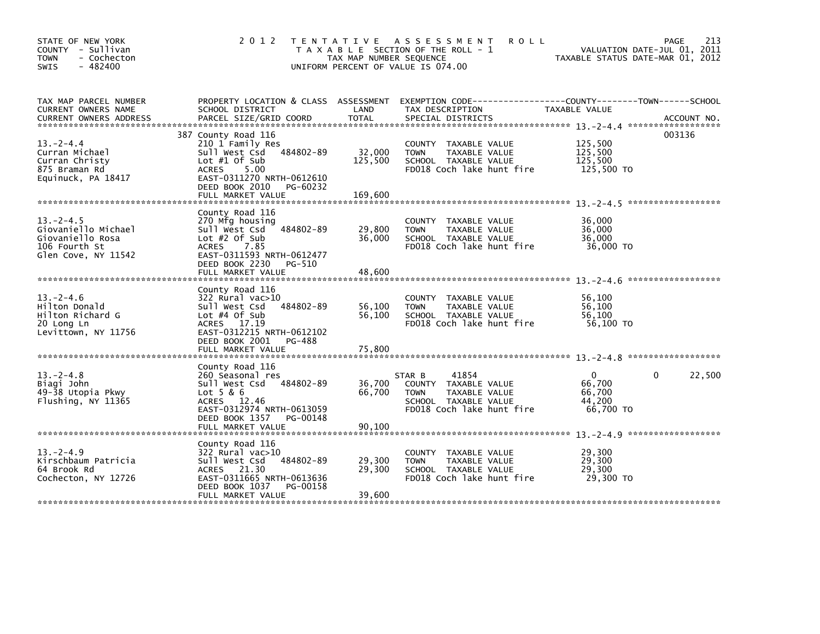| STATE OF NEW YORK<br>COUNTY - Sullivan<br>- Cochecton<br><b>TOWN</b><br>$-482400$<br><b>SWIS</b>  | 2 0 1 2                                                                                                                                                                                          | TAX MAP NUMBER SEQUENCE      | TENTATIVE ASSESSMENT<br><b>ROLL</b><br>T A X A B L E SECTION OF THE ROLL - 1<br>UNIFORM PERCENT OF VALUE IS 074.00           | TAXABLE STATUS DATE-MAR 01, 2012             | 213<br>PAGE<br>VALUATION DATE-JUL 01, 2011 |
|---------------------------------------------------------------------------------------------------|--------------------------------------------------------------------------------------------------------------------------------------------------------------------------------------------------|------------------------------|------------------------------------------------------------------------------------------------------------------------------|----------------------------------------------|--------------------------------------------|
| TAX MAP PARCEL NUMBER<br>CURRENT OWNERS NAME<br><b>CURRENT OWNERS ADDRESS</b>                     | PROPERTY LOCATION & CLASS ASSESSMENT<br>SCHOOL DISTRICT<br>PARCEL SIZE/GRID COORD                                                                                                                | LAND<br><b>TOTAL</b>         | EXEMPTION CODE-----------------COUNTY-------TOWN------SCHOOL<br>TAX DESCRIPTION<br>SPECIAL DISTRICTS                         | TAXABLE VALUE                                | ACCOUNT NO.                                |
| $13 - 2 - 4.4$<br>Curran Michael<br>Curran Christy<br>875 Braman Rd<br>Equinuck, PA 18417         | 387 County Road 116<br>210 1 Family Res<br>484802-89<br>Sull West Csd<br>Lot $#1$ Of Sub<br>5.00<br><b>ACRES</b><br>EAST-0311270 NRTH-0612610<br>DEED BOOK 2010<br>PG-60232<br>FULL MARKET VALUE | 32,000<br>125,500<br>169,600 | COUNTY TAXABLE VALUE<br>TAXABLE VALUE<br><b>TOWN</b><br>SCHOOL TAXABLE VALUE<br>FD018 Coch lake hunt fire                    | 125,500<br>125,500<br>125,500<br>125,500 TO  | 003136                                     |
| $13 - 2 - 4.5$<br>Giovaniello Michael<br>Giovaniello Rosa<br>106 Fourth St<br>Glen Cove, NY 11542 | County Road 116<br>270 Mfg housing<br>484802-89<br>Sull West Csd<br>Lot $#2$ Of Sub<br><b>ACRES</b><br>7.85<br>EAST-0311593 NRTH-0612477<br>DEED BOOK 2230<br>PG-510<br>FULL MARKET VALUE        | 29,800<br>36,000<br>48,600   | COUNTY TAXABLE VALUE<br>TAXABLE VALUE<br><b>TOWN</b><br>SCHOOL TAXABLE VALUE<br>FD018 Coch lake hunt fire                    | 36,000<br>36,000<br>36,000<br>36,000 TO      |                                            |
| $13 - 2 - 4.6$<br>Hilton Donald<br>Hilton Richard G<br>20 Long Ln<br>Levittown, NY 11756          | County Road 116<br>322 Rural vac>10<br>Sull West Csd<br>484802-89<br>Lot $#4$ Of Sub<br>ACRES 17.19<br>EAST-0312215 NRTH-0612102<br>DEED BOOK 2001<br>PG-488<br>FULL MARKET VALUE                | 56,100<br>56,100<br>75,800   | COUNTY TAXABLE VALUE<br>TAXABLE VALUE<br><b>TOWN</b><br>SCHOOL TAXABLE VALUE<br>FD018 Coch lake hunt fire                    | 56,100<br>56.100<br>56,100<br>56,100 TO      |                                            |
| $13 - 2 - 4.8$<br>Biagi John<br>49-38 Utopia Pkwy<br>Flushing, NY 11365                           | County Road 116<br>260 Seasonal res<br>Sull West Csd<br>484802-89<br>$Lot$ 5 & 6<br>ACRES 12.46<br>EAST-0312974 NRTH-0613059<br>DEED BOOK 1357<br>PG-00148<br>FULL MARKET VALUE                  | 36,700<br>66,700<br>90,100   | 41854<br>STAR B<br>COUNTY TAXABLE VALUE<br>TAXABLE VALUE<br><b>TOWN</b><br>SCHOOL TAXABLE VALUE<br>FD018 Coch lake hunt fire | 0<br>66,700<br>66,700<br>44,200<br>66,700 TO | 22,500<br>0                                |
| $13 - 2 - 4.9$<br>Kirschbaum Patricia<br>64 Brook Rd<br>Cochecton, NY 12726                       | County Road 116<br>322 Rural vac>10<br>Sull West Csd<br>484802-89<br>ACRES 21.30<br>EAST-0311665 NRTH-0613636<br>DEED BOOK 1037<br>PG-00158<br>FULL MARKET VALUE                                 | 29,300<br>29,300<br>39,600   | COUNTY TAXABLE VALUE<br>TAXABLE VALUE<br><b>TOWN</b><br>SCHOOL TAXABLE VALUE<br>FD018 Coch lake hunt fire                    | 29,300<br>29,300<br>29,300<br>29,300 TO      |                                            |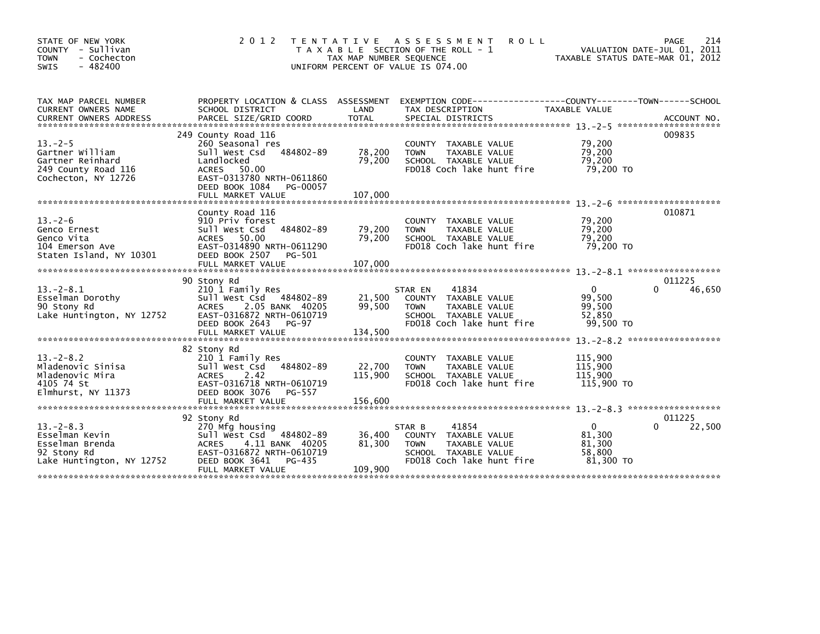| STATE OF NEW YORK<br>COUNTY - Sullivan<br>- Cochecton<br><b>TOWN</b><br><b>SWIS</b><br>$-482400$  | 2 0 1 2                                                                                                                                                                            | T E N T A T I V E<br>TAX MAP NUMBER SEQUENCE | ASSESSMENT<br><b>ROLL</b><br>T A X A B L E SECTION OF THE ROLL - 1<br>UNIFORM PERCENT OF VALUE IS 074.00                      | VALUATION DATE-JUL 01, 2011<br>TAXABLE STATUS DATE-MAR 01, 2012 | 214<br>PAGE           |
|---------------------------------------------------------------------------------------------------|------------------------------------------------------------------------------------------------------------------------------------------------------------------------------------|----------------------------------------------|-------------------------------------------------------------------------------------------------------------------------------|-----------------------------------------------------------------|-----------------------|
| TAX MAP PARCEL NUMBER<br><b>CURRENT OWNERS NAME</b><br><b>CURRENT OWNERS ADDRESS</b>              | PROPERTY LOCATION & CLASS ASSESSMENT<br>SCHOOL DISTRICT<br>PARCEL SIZE/GRID COORD                                                                                                  | LAND<br><b>TOTAL</b>                         | EXEMPTION CODE-----------------COUNTY-------TOWN------SCHOOL<br>TAX DESCRIPTION<br>SPECIAL DISTRICTS                          | <b>TAXABLE VALUE</b>                                            | ACCOUNT NO.           |
| $13. -2 - 5$<br>Gartner William<br>Gartner Reinhard<br>249 County Road 116<br>Cochecton, NY 12726 | 249 County Road 116<br>260 Seasonal res<br>484802-89<br>Sull West Csd<br>Landlocked<br>ACRES 50.00<br>EAST-0313780 NRTH-0611860<br>DEED BOOK 1084<br>PG-00057<br>FULL MARKET VALUE | 78,200<br>79,200<br>107,000                  | COUNTY TAXABLE VALUE<br>TAXABLE VALUE<br><b>TOWN</b><br>SCHOOL TAXABLE VALUE<br>FD018 Coch lake hunt fire                     | 79,200<br>79,200<br>79,200<br>79,200 TO                         | 009835                |
| $13. - 2 - 6$<br>Genco Ernest<br>Genco Vita<br>104 Emerson Ave<br>Staten Island, NY 10301         | County Road 116<br>910 Priv forest<br>484802-89<br>Sull West Csd<br>ACRES 50.00<br>EAST-0314890 NRTH-0611290<br>DEED BOOK 2507<br>PG-501<br>FULL MARKET VALUE                      | 79,200<br>79,200<br>107,000                  | COUNTY TAXABLE VALUE<br>TAXABLE VALUE<br><b>TOWN</b><br>SCHOOL TAXABLE VALUE<br>FD018 Coch lake hunt fire                     | 79,200<br>79,200<br>79,200<br>79,200 TO                         | 010871                |
| $13 - 2 - 8.1$<br>Esselman Dorothy<br>90 Stony Rd<br>Lake Huntington, NY 12752                    | 90 Stony Rd<br>210 1 Family Res<br>Sull West Csd 484802-89<br>2.05 BANK 40205<br><b>ACRES</b><br>EAST-0316872 NRTH-0610719<br>DEED BOOK 2643<br>PG-97<br>FULL MARKET VALUE         | 21,500<br>99,500<br>134,500                  | 41834<br>STAR EN<br>COUNTY TAXABLE VALUE<br><b>TOWN</b><br>TAXABLE VALUE<br>SCHOOL TAXABLE VALUE<br>FD018 Coch lake hunt fire | $\mathbf{0}$<br>99,500<br>99,500<br>52.850<br>99,500 TO         | 011225<br>46,650<br>0 |
| $13. - 2 - 8.2$<br>Mladenovic Sinisa<br>Mladenovic Mira<br>4105 74 St<br>Elmhurst, NY 11373       | 82 Stony Rd<br>210 1 Family Res<br>484802-89<br>Sull West Csd<br>2.42<br><b>ACRES</b><br>EAST-0316718 NRTH-0610719<br>DEED BOOK 3076<br>PG-557<br>FULL MARKET VALUE                | 22,700<br>115,900<br>156,600                 | <b>COUNTY</b><br>TAXABLE VALUE<br><b>TOWN</b><br>TAXABLE VALUE<br>SCHOOL TAXABLE VALUE<br>FD018 Coch lake hunt fire           | 115,900<br>115,900<br>115,900<br>115,900 TO                     |                       |
| $13 - 2 - 8.3$<br>Esselman Kevin<br>Esselman Brenda<br>92 Stony Rd<br>Lake Huntington, NY 12752   | 92 Stony Rd<br>270 Mfg housing<br>$-484802-89$<br>sull west Csd<br>4.11 BANK 40205<br><b>ACRES</b><br>EAST-0316872 NRTH-0610719<br>DEED BOOK 3641<br>PG-435<br>FULL MARKET VALUE   | 36,400<br>81,300<br>109,900                  | 41854<br>STAR B<br>COUNTY TAXABLE VALUE<br><b>TOWN</b><br>TAXABLE VALUE<br>SCHOOL TAXABLE VALUE<br>FD018 Coch lake hunt fire  | $\mathbf{0}$<br>81,300<br>81,300<br>58,800<br>81,300 TO         | 011225<br>22,500      |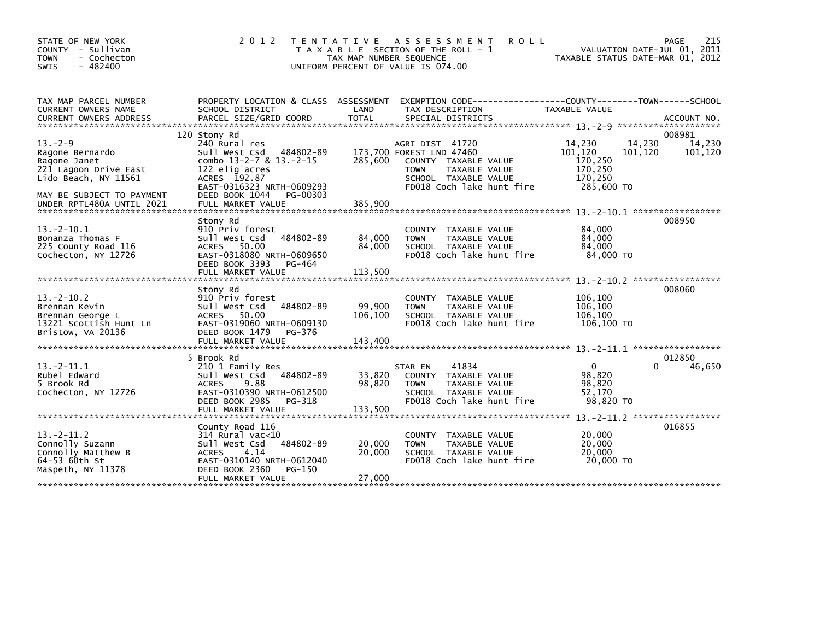| TAX MAP PARCEL NUMBER<br>PROPERTY LOCATION & CLASS ASSESSMENT<br>EXEMPTION CODE-----------------COUNTY-------TOWN------SCHOOL<br>SCHOOL DISTRICT<br>LAND<br>CURRENT OWNERS NAME<br>TAX DESCRIPTION<br><b>TAXABLE VALUE</b><br>PARCEL SIZE/GRID COORD<br><b>TOTAL</b><br>SPECIAL DISTRICTS<br><b>CURRENT OWNERS ADDRESS</b><br>ACCOUNT NO.<br>008981<br>120 Stony Rd<br>$13. -2 - 9$<br>14,230<br>14,230<br>240 Rural res<br>14,230<br>AGRI DIST 41720<br>484802-89<br>173,700 FOREST LND 47460<br>101,120<br>101,120<br>101,120<br>Ragone Bernardo<br>Sull West Csd<br>285,600<br>170,250<br>combo $13-2-7$ & $13.-2-15$<br>Ragone Janet<br>COUNTY TAXABLE VALUE<br>170,250<br>221 Lagoon Drive East<br>122 elig acres<br><b>TOWN</b><br>TAXABLE VALUE<br>ACRES 192.87<br>170,250<br>Lido Beach, NY 11561<br>SCHOOL TAXABLE VALUE<br>285,600 TO<br>EAST-0316323 NRTH-0609293<br>FD018 Coch lake hunt fire<br>MAY BE SUBJECT TO PAYMENT<br>DEED BOOK 1044<br>PG-00303<br>008950<br>Stony Rd<br>84,000<br>$13 - 2 - 10.1$<br>910 Priv forest<br>COUNTY TAXABLE VALUE<br>84,000<br>84,000<br>Bonanza Thomas F<br>Sull West Csd<br>484802-89<br>TAXABLE VALUE<br><b>TOWN</b><br>ACRES 50.00<br>84,000<br>84,000<br>225 County Road 116<br>SCHOOL TAXABLE VALUE |
|------------------------------------------------------------------------------------------------------------------------------------------------------------------------------------------------------------------------------------------------------------------------------------------------------------------------------------------------------------------------------------------------------------------------------------------------------------------------------------------------------------------------------------------------------------------------------------------------------------------------------------------------------------------------------------------------------------------------------------------------------------------------------------------------------------------------------------------------------------------------------------------------------------------------------------------------------------------------------------------------------------------------------------------------------------------------------------------------------------------------------------------------------------------------------------------------------------------------------------------------------------|
|                                                                                                                                                                                                                                                                                                                                                                                                                                                                                                                                                                                                                                                                                                                                                                                                                                                                                                                                                                                                                                                                                                                                                                                                                                                            |
|                                                                                                                                                                                                                                                                                                                                                                                                                                                                                                                                                                                                                                                                                                                                                                                                                                                                                                                                                                                                                                                                                                                                                                                                                                                            |
|                                                                                                                                                                                                                                                                                                                                                                                                                                                                                                                                                                                                                                                                                                                                                                                                                                                                                                                                                                                                                                                                                                                                                                                                                                                            |
|                                                                                                                                                                                                                                                                                                                                                                                                                                                                                                                                                                                                                                                                                                                                                                                                                                                                                                                                                                                                                                                                                                                                                                                                                                                            |
| EAST-0318080 NRTH-0609650<br>FD018 Coch lake hunt fire<br>84.000 TO<br>Cochecton, NY 12726<br>DEED BOOK 3393<br>PG-464<br>FULL MARKET VALUE<br>113,500                                                                                                                                                                                                                                                                                                                                                                                                                                                                                                                                                                                                                                                                                                                                                                                                                                                                                                                                                                                                                                                                                                     |
| 008060<br>Stony Rd                                                                                                                                                                                                                                                                                                                                                                                                                                                                                                                                                                                                                                                                                                                                                                                                                                                                                                                                                                                                                                                                                                                                                                                                                                         |
| $13 - 2 - 10.2$<br>910 Priv forest<br>106,100<br>COUNTY TAXABLE VALUE<br>106,100<br>Brennan Kevin<br>Sull West Csd<br>484802-89<br>99,900<br>TAXABLE VALUE<br><b>TOWN</b><br>106,100<br>106,100<br>ACRES 50.00<br>SCHOOL TAXABLE VALUE<br>Brennan George L<br>EAST-0319060 NRTH-0609130<br>FD018 Coch lake hunt fire<br>106,100 TO<br>13221 Scottish Hunt Ln<br>Bristow, VA 20136<br>DEED BOOK 1479<br>PG-376<br>143,400<br>FULL MARKET VALUE                                                                                                                                                                                                                                                                                                                                                                                                                                                                                                                                                                                                                                                                                                                                                                                                              |
| 012850<br>5 Brook Rd                                                                                                                                                                                                                                                                                                                                                                                                                                                                                                                                                                                                                                                                                                                                                                                                                                                                                                                                                                                                                                                                                                                                                                                                                                       |
| $\mathbf 0$<br>$13 - 2 - 11.1$<br>41834<br>46,650<br>210 1 Family Res<br>STAR EN<br>0<br>33,820<br>COUNTY TAXABLE VALUE<br>98,820<br>Rubel Edward<br>Sull West Csd<br>484802-89<br>98,820<br>5 Brook Rd<br>9.88<br>98,820<br>TAXABLE VALUE<br><b>ACRES</b><br><b>TOWN</b><br>SCHOOL TAXABLE VALUE<br>52,170<br>Cochecton, NY 12726<br>EAST-0310390 NRTH-0612500<br>FD018 Coch lake hunt fire<br>98,820 TO<br>DEED BOOK 2985<br>PG-318                                                                                                                                                                                                                                                                                                                                                                                                                                                                                                                                                                                                                                                                                                                                                                                                                      |
| 133,500<br>FULL MARKET VALUE                                                                                                                                                                                                                                                                                                                                                                                                                                                                                                                                                                                                                                                                                                                                                                                                                                                                                                                                                                                                                                                                                                                                                                                                                               |
| 016855<br>County Road 116                                                                                                                                                                                                                                                                                                                                                                                                                                                                                                                                                                                                                                                                                                                                                                                                                                                                                                                                                                                                                                                                                                                                                                                                                                  |
| $13 - 2 - 11.2$<br>20,000<br>314 Rural vac<10<br>COUNTY TAXABLE VALUE<br>Connolly Suzann<br>20,000<br>Sull West Csd<br>484802-89<br>20,000<br>TAXABLE VALUE<br><b>TOWN</b><br>Connolly Matthew B<br>20,000<br>20,000<br><b>ACRES</b><br>4.14<br>SCHOOL TAXABLE VALUE<br>64-53 60th St<br>FD018 Coch lake hunt fire<br>20,000 TO<br>EAST-0310140 NRTH-0612040<br>Maspeth, NY 11378<br>DEED BOOK 2360<br>PG-150                                                                                                                                                                                                                                                                                                                                                                                                                                                                                                                                                                                                                                                                                                                                                                                                                                              |
| 27,000<br>FULL MARKET VALUE                                                                                                                                                                                                                                                                                                                                                                                                                                                                                                                                                                                                                                                                                                                                                                                                                                                                                                                                                                                                                                                                                                                                                                                                                                |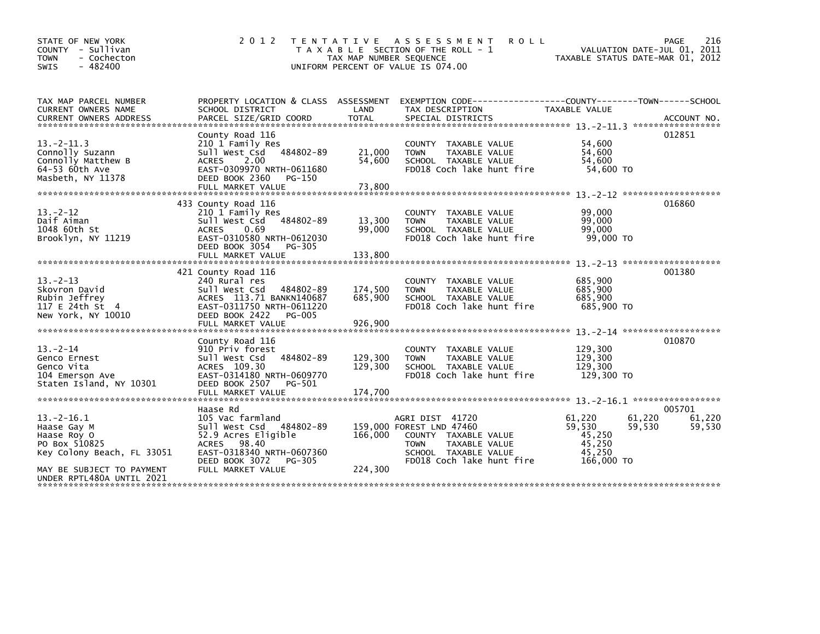| STATE OF NEW YORK<br>COUNTY - Sullivan<br><b>TOWN</b><br>- Cochecton<br>$-482400$<br><b>SWIS</b>                                                       | 2 0 1 2                                                                                                                                                                               | TAX MAP NUMBER SEQUENCE       | TENTATIVE ASSESSMENT<br><b>ROLL</b><br>T A X A B L E SECTION OF THE ROLL - 1<br>UNIFORM PERCENT OF VALUE IS 074.00                                              |                                                              | 216<br>PAGE<br>VALUATION DATE-JUL 01, 2011<br>TAXABLE STATUS DATE-MAR 01, 2012 |
|--------------------------------------------------------------------------------------------------------------------------------------------------------|---------------------------------------------------------------------------------------------------------------------------------------------------------------------------------------|-------------------------------|-----------------------------------------------------------------------------------------------------------------------------------------------------------------|--------------------------------------------------------------|--------------------------------------------------------------------------------|
| TAX MAP PARCEL NUMBER<br><b>CURRENT OWNERS NAME</b><br><b>CURRENT OWNERS ADDRESS</b>                                                                   | SCHOOL DISTRICT<br>PARCEL SIZE/GRID COORD                                                                                                                                             | LAND<br><b>TOTAL</b>          | PROPERTY LOCATION & CLASS ASSESSMENT EXEMPTION CODE---------------COUNTY-------TOWN------SCHOOL<br>TAX DESCRIPTION<br>SPECIAL DISTRICTS                         | <b>TAXABLE VALUE</b>                                         | ACCOUNT NO.                                                                    |
| $13 - 2 - 11.3$<br>Connolly Suzann<br>Connolly Matthew B<br>64-53 60th Ave<br>Masbeth, NY 11378                                                        | County Road 116<br>210 1 Family Res<br>484802-89<br>sull west Csd<br>2.00<br><b>ACRES</b><br>EAST-0309970 NRTH-0611680<br>DEED BOOK 2360<br>PG-150<br>FULL MARKET VALUE               | 21,000<br>54,600<br>73,800    | <b>COUNTY</b><br>TAXABLE VALUE<br>TAXABLE VALUE<br><b>TOWN</b><br>SCHOOL TAXABLE VALUE<br>FD018 Coch lake hunt fire                                             | 54,600<br>54,600<br>54,600<br>54,600 TO                      | 012851                                                                         |
| $13 - 2 - 12$<br>Daif Aiman<br>1048 60th St<br>Brooklyn, NY 11219                                                                                      | 433 County Road 116<br>210 1 Family Res<br>Sull West Csd<br>484802-89<br>0.69<br><b>ACRES</b><br>EAST-0310580 NRTH-0612030<br>DEED BOOK 3054<br>PG-305<br>FULL MARKET VALUE           | 13,300<br>99,000<br>133,800   | TAXABLE VALUE<br><b>COUNTY</b><br><b>TOWN</b><br>TAXABLE VALUE<br>SCHOOL TAXABLE VALUE<br>FD018 Coch lake hunt fire                                             | 99,000<br>99,000<br>99,000<br>99,000 TO                      | 016860                                                                         |
| $13 - 2 - 13$<br>Skovron David<br>Rubin Jeffrey<br>117 E 24th St 4<br>New York, NY 10010                                                               | 421 County Road 116<br>240 Rural res<br>Sull West Csd<br>484802-89<br>ACRES 113.71 BANKN140687<br>EAST-0311750 NRTH-0611220<br>DEED BOOK 2422<br><b>PG-005</b><br>FULL MARKET VALUE   | 174,500<br>685,900<br>926,900 | COUNTY TAXABLE VALUE<br><b>TOWN</b><br>TAXABLE VALUE<br>SCHOOL TAXABLE VALUE<br>FD018 Coch lake hunt fire                                                       | 685,900<br>685,900<br>685,900<br>685,900 TO                  | 001380                                                                         |
| $13 - 2 - 14$<br>Genco Ernest<br>Genco Vita<br>104 Emerson Ave<br>Staten Island, NY 10301                                                              | County Road 116<br>910 Priv forest<br>Sull West Csd<br>484802-89<br>ACRES 109.30<br>EAST-0314180 NRTH-0609770<br>DEED BOOK 2507<br>PG-501                                             | 129,300<br>129,300            | COUNTY TAXABLE VALUE<br>TAXABLE VALUE<br><b>TOWN</b><br>SCHOOL TAXABLE VALUE<br>FD018 Coch lake hunt fire                                                       | 129,300<br>129,300<br>129,300<br>129,300 TO                  | 010870                                                                         |
| $13 - 2 - 16.1$<br>Haase Gay M<br>Haase Roy O<br>PO Box 510825<br>Key Colony Beach, FL 33051<br>MAY BE SUBJECT TO PAYMENT<br>UNDER RPTL480A UNTIL 2021 | Haase Rd<br>105 Vac farmland<br>Sull West Csd 484802-89<br>52.9 Acres Eligible<br>98.40<br><b>ACRES</b><br>EAST-0318340 NRTH-0607360<br>DEED BOOK 3072<br>PG-305<br>FULL MARKET VALUE | 166,000<br>224,300            | AGRI DIST 41720<br>159,000 FOREST LND 47460<br>COUNTY TAXABLE VALUE<br><b>TOWN</b><br><b>TAXABLE VALUE</b><br>SCHOOL TAXABLE VALUE<br>FD018 Coch lake hunt fire | 61,220<br>59,530<br>45.250<br>45,250<br>45,250<br>166,000 TO | 005701<br>61,220<br>61.220<br>59,530<br>59,530                                 |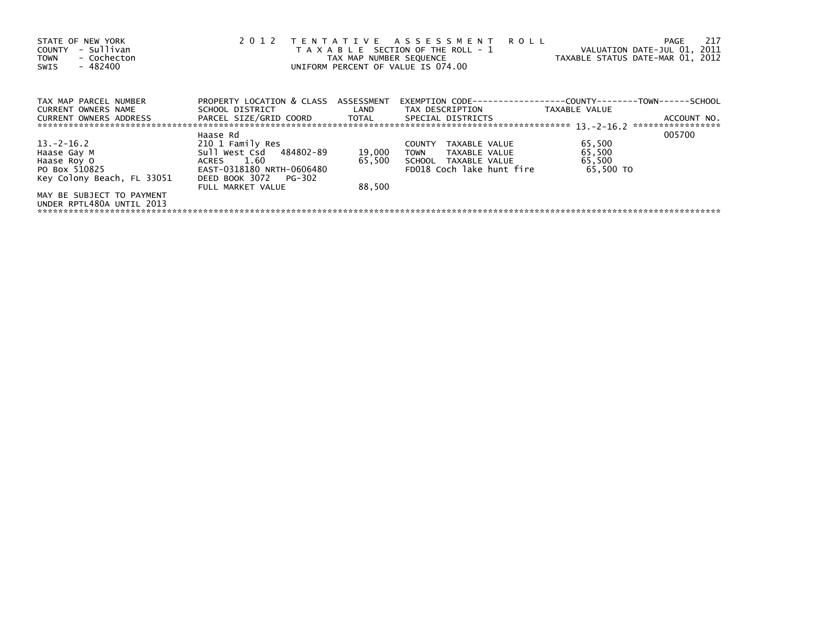| STATE OF NEW YORK<br>- Sullivan<br><b>COUNTY</b><br>- Cochecton<br><b>TOWN</b><br>$-482400$<br><b>SWIS</b> | 2012                                                    | TAX MAP NUMBER SEQUENCE | TENTATIVE ASSESSMENT<br><b>ROLL</b><br>T A X A B L E SECTION OF THE ROLL - 1<br>UNIFORM PERCENT OF VALUE IS 074.00 | VALUATION DATE-JUL 01, 2011<br>TAXABLE STATUS DATE-MAR 01, 2012 | 217<br><b>PAGE</b>               |
|------------------------------------------------------------------------------------------------------------|---------------------------------------------------------|-------------------------|--------------------------------------------------------------------------------------------------------------------|-----------------------------------------------------------------|----------------------------------|
| TAX MAP PARCEL NUMBER<br><b>CURRENT OWNERS NAME</b>                                                        | PROPERTY LOCATION & CLASS ASSESSMENT<br>SCHOOL DISTRICT | LAND                    | EXEMPTION CODE-<br>TAX DESCRIPTION                                                                                 | ----------COUNTY--------TOWN------SCHOOL<br>TAXABLE VALUE       |                                  |
| <b>CURRENT OWNERS ADDRESS</b>                                                                              | PARCEL SIZE/GRID COORD                                  | <b>TOTAL</b>            | SPECIAL DISTRICTS                                                                                                  |                                                                 | ACCOUNT NO.<br>***************** |
| $13 - 2 - 16.2$                                                                                            | Haase Rd<br>210 1 Family Res                            |                         | TAXABLE VALUE<br><b>COUNTY</b>                                                                                     | 65,500                                                          | 005700                           |
| Haase Gay M                                                                                                | Sull West Csd 484802-89                                 | 19,000                  | TAXABLE VALUE<br><b>TOWN</b>                                                                                       | 65,500                                                          |                                  |
| Haase Roy O                                                                                                | ACRES 1.60                                              | 65,500                  | SCHOOL<br>TAXABLE VALUE                                                                                            | 65,500                                                          |                                  |
| PO Box 510825                                                                                              | EAST-0318180 NRTH-0606480                               |                         | FD018 Coch lake hunt fire                                                                                          | 65.500 TO                                                       |                                  |
| Key Colony Beach, FL 33051                                                                                 | DEED BOOK 3072<br>PG-302<br>FULL MARKET VALUE           | 88.500                  |                                                                                                                    |                                                                 |                                  |
| MAY BE SUBJECT TO PAYMENT<br>UNDER RPTL480A UNTIL 2013                                                     |                                                         |                         |                                                                                                                    |                                                                 |                                  |
|                                                                                                            |                                                         |                         |                                                                                                                    |                                                                 |                                  |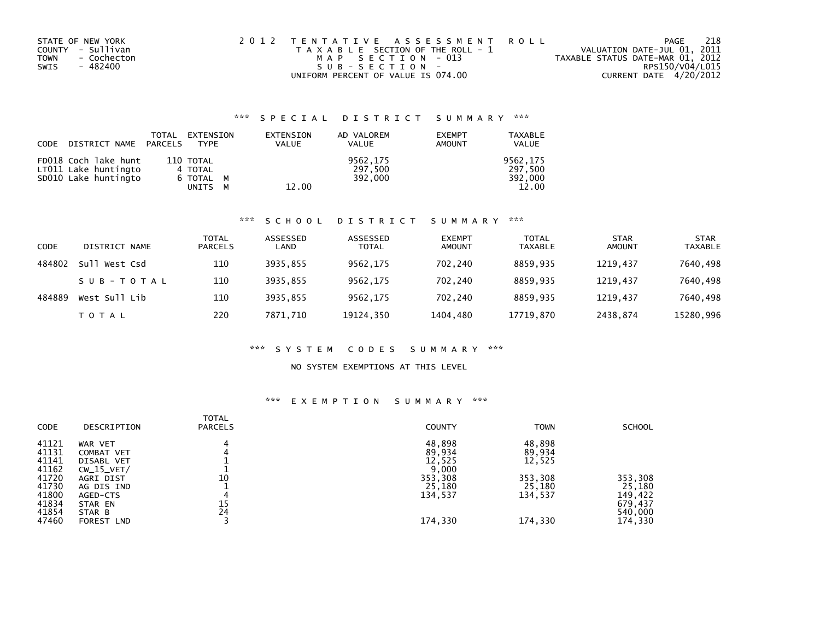| STATE OF NEW YORK   | 2012 TENTATIVE ASSESSMENT ROLL        | PAGE                             | 218 |
|---------------------|---------------------------------------|----------------------------------|-----|
| COUNTY - Sullivan   | T A X A B L E SECTION OF THE ROLL - 1 | VALUATION DATE-JUL 01, 2011      |     |
| - Cochecton<br>TOWN | MAP SECTION - 013                     | TAXABLE STATUS DATE-MAR 01, 2012 |     |
| SWIS<br>- 482400    | $SUB - SECTION -$                     | RPS150/V04/L015                  |     |
|                     | UNIFORM PERCENT OF VALUE IS 074.00    | CURRENT DATE 4/20/2012           |     |

## \*\*\* S P E C I A L D I S T R I C T S U M M A R Y \*\*\*

| CODE DISTRICT NAME PARCELS                                           | TOTAL EXTENSION<br><b>TYPE</b>               | EXTENSION<br><b>VALUE</b> | AD VALOREM<br><b>VALUE</b>     | <b>EXEMPT</b><br>AMOUNT | <b>TAXABLE</b><br><b>VALUE</b>          |
|----------------------------------------------------------------------|----------------------------------------------|---------------------------|--------------------------------|-------------------------|-----------------------------------------|
| FD018 Coch lake hunt<br>LT011 Lake huntingto<br>SD010 Lake huntingto | 110 TOTAL<br>4 TOTAL<br>6 TOTAL M<br>UNITS M | 12.00                     | 9562,175<br>297,500<br>392.000 |                         | 9562,175<br>297,500<br>392,000<br>12.00 |

#### \*\*\* S C H O O L D I S T R I C T S U M M A R Y \*\*\*

| CODE   | DISTRICT NAME    | <b>TOTAL</b><br><b>PARCELS</b> | ASSESSED<br>LAND | ASSESSED<br><b>TOTAL</b> | <b>EXEMPT</b><br>AMOUNT | <b>TOTAL</b><br><b>TAXABLE</b> | <b>STAR</b><br><b>AMOUNT</b> | <b>STAR</b><br><b>TAXABLE</b> |
|--------|------------------|--------------------------------|------------------|--------------------------|-------------------------|--------------------------------|------------------------------|-------------------------------|
| 484802 | Su11<br>West Csd | 110                            | 3935.855         | 9562,175                 | 702.240                 | 8859.935                       | 1219.437                     | 7640,498                      |
|        | SUB-TOTAL        | 110                            | 3935.855         | 9562,175                 | 702,240                 | 8859.935                       | 1219,437                     | 7640,498                      |
| 484889 | West Sull Lib    | 110                            | 3935.855         | 9562.175                 | 702,240                 | 8859.935                       | 1219.437                     | 7640,498                      |
|        | T O T A L        | 220                            | 7871.710         | 19124,350                | 1404,480                | 17719,870                      | 2438,874                     | 15280,996                     |

#### \*\*\* S Y S T E M C O D E S S U M M A R Y \*\*\*

### NO SYSTEM EXEMPTIONS AT THIS LEVEL

#### \*\*\* E X E M P T I O N S U M M A R Y \*\*\*

| <b>CODE</b> | DESCRIPTION       | <b>TOTAL</b><br><b>PARCELS</b> | <b>COUNTY</b> | <b>TOWN</b> | <b>SCHOOL</b> |
|-------------|-------------------|--------------------------------|---------------|-------------|---------------|
| 41121       | WAR VET           |                                | 48,898        | 48,898      |               |
| 41131       | COMBAT VET        |                                | 89,934        | 89,934      |               |
| 41141       | DISABL VET        |                                | 12,525        | 12,525      |               |
| 41162       | $CW_15_VET/$      |                                | 9,000         |             |               |
| 41720       | AGRI DIST         | 10                             | 353,308       | 353,308     | 353,308       |
| 41730       | AG DIS IND        |                                | 25,180        | 25,180      | 25,180        |
| 41800       | AGED-CTS          |                                | 134,537       | 134,537     | 149,422       |
| 41834       | STAR EN           | 15                             |               |             | 679,437       |
| 41854       | STAR B            | 24                             |               |             | 540,000       |
| 47460       | <b>FOREST LND</b> |                                | 174,330       | 174,330     | 174,330       |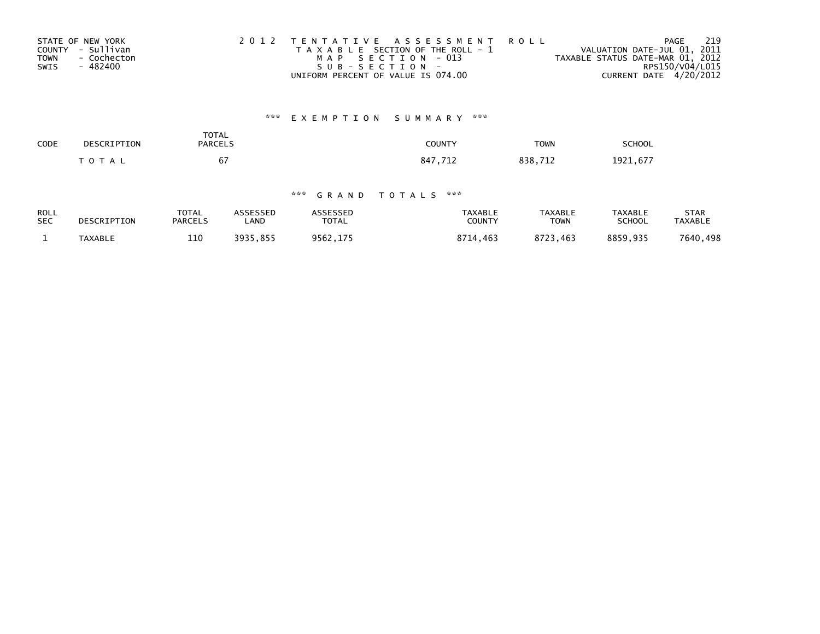| STATE OF NEW YORK          | 2012 TENTATIVE ASSESSMENT ROLL        | 219<br>PAGE                      |
|----------------------------|---------------------------------------|----------------------------------|
| COUNTY - Sullivan          | T A X A B L E SECTION OF THE ROLL - 1 | VALUATION DATE-JUL 01, 2011      |
| <b>TOWN</b><br>- Cochecton | MAP SECTION - 013                     | TAXABLE STATUS DATE-MAR 01, 2012 |
| SWIS<br>- 482400           | SUB-SECTION-                          | RPS150/V04/L015                  |
|                            | UNIFORM PERCENT OF VALUE IS 074.00    | CURRENT DATE 4/20/2012           |

# \*\*\* E X E M P T I O N S U M M A R Y \*\*\*

| <b>SCHOOL</b> | <b>TOWN</b> | COUNTY                   | <b>TOTAL</b><br><b>PARCELS</b> | DESCRIPTION | CODE |
|---------------|-------------|--------------------------|--------------------------------|-------------|------|
| 1921,677      | 838         | 71-<br>847<br>. <i>.</i> | 67                             | T O T A L   |      |

## \*\*\* G R A N D T O T A L S \*\*\*

| <b>ROLL</b> | DESCRIPTION | <b>TOTAL</b>   | ASSESSED | <b>ASSESSED</b> | <b>TAXABLE</b> | <b>TAXABLE</b> | TAXABLE  | <b>STAR</b> |
|-------------|-------------|----------------|----------|-----------------|----------------|----------------|----------|-------------|
| <b>SEC</b>  |             | <b>PARCELS</b> | ∟AND     | <b>TOTAL</b>    | COUNTY         | TOWN           | SCHOOL   | TAXABLE     |
|             | TAXABLE     | 110            | 3935.855 | 9562,175        | 8714.463       | 8723.463       | 8859,935 | 7640,498    |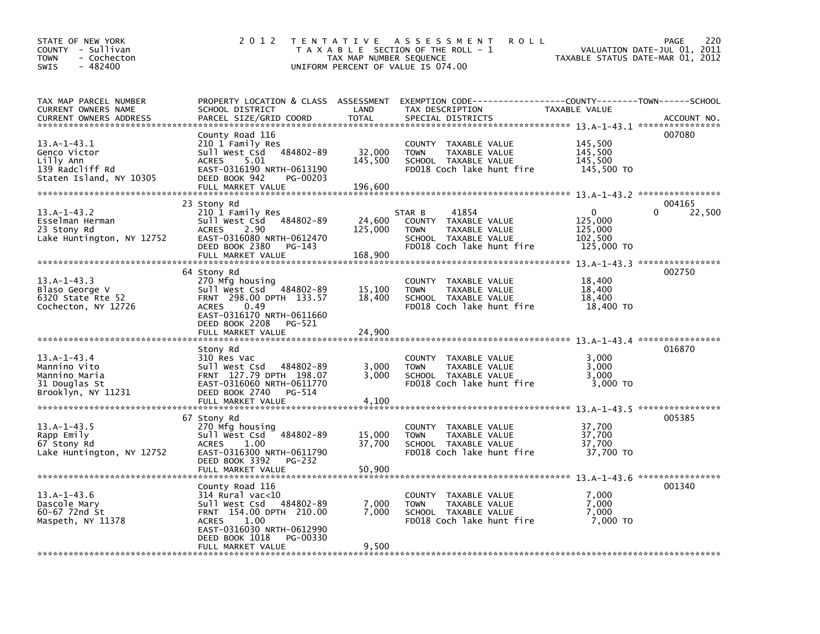| STATE OF NEW YORK<br>COUNTY - Sullivan<br>- Cochecton<br><b>TOWN</b><br>$-482400$<br><b>SWIS</b> | 2 0 1 2                                                                                                                                                                                                | TAX MAP NUMBER SEQUENCE      | TENTATIVE ASSESSMENT<br><b>ROLL</b><br>T A X A B L E SECTION OF THE ROLL - 1<br>UNIFORM PERCENT OF VALUE IS 074.00           | VALUATION DATE-JUL 01,<br>TAXABLE STATUS DATE-MAR 01, 2012 | 220<br>PAGE<br>2011          |
|--------------------------------------------------------------------------------------------------|--------------------------------------------------------------------------------------------------------------------------------------------------------------------------------------------------------|------------------------------|------------------------------------------------------------------------------------------------------------------------------|------------------------------------------------------------|------------------------------|
| TAX MAP PARCEL NUMBER<br>CURRENT OWNERS NAME<br>CURRENT OWNERS ADDRESS                           | PROPERTY LOCATION & CLASS ASSESSMENT<br>SCHOOL DISTRICT<br>PARCEL SIZE/GRID COORD                                                                                                                      | LAND<br><b>TOTAL</b>         | EXEMPTION CODE-----------------COUNTY-------TOWN------SCHOOL<br>TAX DESCRIPTION<br>SPECIAL DISTRICTS                         | TAXABLE VALUE                                              | ACCOUNT NO.                  |
| $13.A-1-43.1$<br>Genco Victor<br>Lilly Ann<br>139 Radcliff Rd<br>Staten Island, NY 10305         | County Road 116<br>210 1 Family Res<br>sull west Csd<br>484802-89<br><b>ACRES</b><br>5.01<br>EAST-0316190 NRTH-0613190<br>DEED BOOK 942<br>PG-00203<br>FULL MARKET VALUE                               | 32,000<br>145,500<br>196,600 | COUNTY TAXABLE VALUE<br>TAXABLE VALUE<br><b>TOWN</b><br>SCHOOL TAXABLE VALUE<br>FD018 Coch lake hunt fire                    | 145,500<br>145,500<br>145,500<br>145,500 TO                | 007080                       |
| $13.A-1-43.2$<br>Esselman Herman<br>23 Stony Rd<br>Lake Huntington, NY 12752                     | 23 Stony Rd<br>210 1 Family Res<br>Sull West Csd<br>484802-89<br>2.90<br><b>ACRES</b><br>EAST-0316080 NRTH-0612470<br>DEED BOOK 2380<br>PG-143                                                         | 24,600<br>125,000            | STAR B<br>41854<br>COUNTY TAXABLE VALUE<br>TAXABLE VALUE<br><b>TOWN</b><br>SCHOOL TAXABLE VALUE<br>FD018 Coch lake hunt fire | 0<br>125,000<br>125,000<br>102,500<br>125,000 TO           | 004165<br>$\Omega$<br>22,500 |
|                                                                                                  | FULL MARKET VALUE                                                                                                                                                                                      | 168,900                      |                                                                                                                              |                                                            |                              |
| $13.A-1-43.3$<br>Blaso George V<br>6320 State Rte 52<br>Cochecton, NY 12726                      | 64 Stony Rd<br>270 Mfg housing<br>Sull West Csd 484802-89<br>FRNT 298.00 DPTH 133.57<br><b>ACRES</b><br>0.49<br>EAST-0316170 NRTH-0611660<br>DEED BOOK 2208<br>PG-521<br>FULL MARKET VALUE             | 15,100<br>18,400<br>24,900   | <b>COUNTY</b><br>TAXABLE VALUE<br><b>TOWN</b><br>TAXABLE VALUE<br>SCHOOL TAXABLE VALUE<br>FD018 Coch lake hunt fire          | 18,400<br>18,400<br>18,400<br>18,400 TO                    | 002750                       |
|                                                                                                  |                                                                                                                                                                                                        |                              |                                                                                                                              |                                                            |                              |
| $13.A-1-43.4$<br>Mannino Vito<br>Mannino Maria<br>31 Douglas St<br>Brooklyn, NY 11231            | Stony Rd<br>310 Res Vac<br>Sull West Csd 484802-89<br>FRNT 127.79 DPTH 198.07<br>EAST-0316060 NRTH-0611770<br>DEED BOOK 2740<br>PG-514<br>FULL MARKET VALUE                                            | 3,000<br>3,000<br>4,100      | <b>COUNTY</b><br>TAXABLE VALUE<br>TAXABLE VALUE<br><b>TOWN</b><br>SCHOOL TAXABLE VALUE<br>FD018 Coch lake hunt fire          | 3,000<br>3,000<br>3.000<br>3,000 TO                        | 016870                       |
|                                                                                                  |                                                                                                                                                                                                        |                              |                                                                                                                              |                                                            |                              |
| $13.A-1-43.5$<br>Rapp Emily<br>67 Stony Rd<br>Lake Huntington, NY 12752                          | 67 Stony Rd<br>270 Mfg housing<br>Sull West Csd 484802-89<br>1.00<br><b>ACRES</b><br>EAST-0316300 NRTH-0611790<br>DEED BOOK 3392<br>PG-232                                                             | 15,000<br>37,700             | COUNTY TAXABLE VALUE<br>TAXABLE VALUE<br><b>TOWN</b><br>SCHOOL TAXABLE VALUE<br>FD018 Coch lake hunt fire                    | 37,700<br>37,700<br>37,700<br>37,700 TO                    | 005385                       |
|                                                                                                  | FULL MARKET VALUE                                                                                                                                                                                      | 50,900                       |                                                                                                                              |                                                            |                              |
| $13.A-1-43.6$<br>Dascole Mary<br>60-67 72nd St<br>Maspeth, NY 11378                              | County Road 116<br>$314$ Rural vac<10<br>484802-89<br>Sull West Csd<br>FRNT 154.00 DPTH 210.00<br>1.00<br><b>ACRES</b><br>EAST-0316030 NRTH-0612990<br>DEED BOOK 1018<br>PG-00330<br>FULL MARKET VALUE | 7,000<br>7.000<br>9,500      | COUNTY<br>TAXABLE VALUE<br><b>TOWN</b><br>TAXABLE VALUE<br>SCHOOL TAXABLE VALUE<br>FD018 Coch lake hunt fire                 | 7,000<br>7,000<br>7,000<br>7.000 TO                        | 001340                       |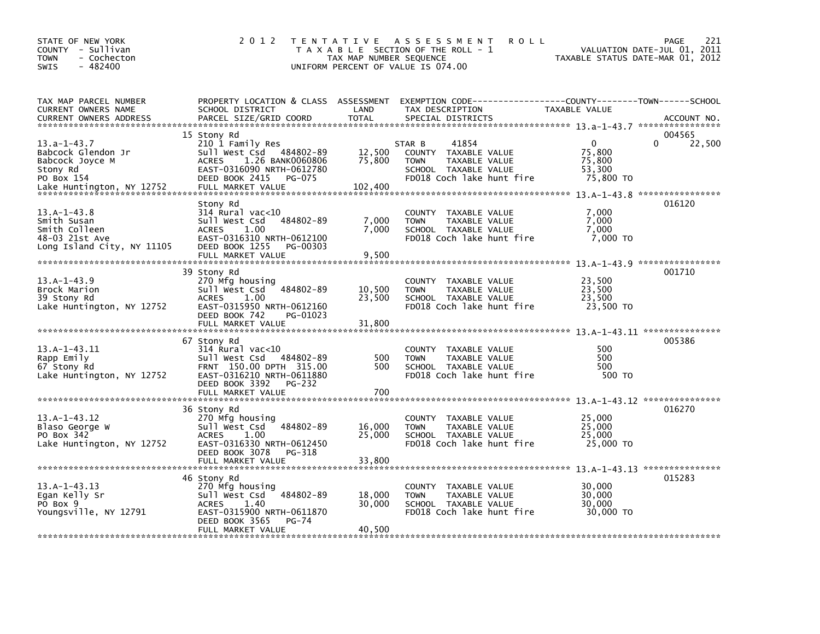| STATE OF NEW YORK<br>COUNTY - Sullivan<br>- Cochecton<br><b>TOWN</b><br>$-482400$<br>SWIS     | 2 0 1 2                                                                                                                                                                  | TAX MAP NUMBER SEQUENCE    | TENTATIVE ASSESSMENT<br><b>ROLL</b><br>T A X A B L E SECTION OF THE ROLL - 1<br>UNIFORM PERCENT OF VALUE IS 074.00           | TAXABLE STATUS DATE-MAR 01, 2012                        | PAGE<br>221<br>VALUATION DATE-JUL 01, 2011 |
|-----------------------------------------------------------------------------------------------|--------------------------------------------------------------------------------------------------------------------------------------------------------------------------|----------------------------|------------------------------------------------------------------------------------------------------------------------------|---------------------------------------------------------|--------------------------------------------|
| TAX MAP PARCEL NUMBER<br>CURRENT OWNERS NAME<br><b>CURRENT OWNERS ADDRESS</b>                 | PROPERTY LOCATION & CLASS ASSESSMENT<br>SCHOOL DISTRICT<br>PARCEL SIZE/GRID COORD                                                                                        | LAND<br><b>TOTAL</b>       | EXEMPTION CODE-----------------COUNTY-------TOWN------SCHOOL<br>TAX DESCRIPTION<br>SPECIAL DISTRICTS                         | TAXABLE VALUE                                           | ACCOUNT NO.                                |
| $13.a-1-43.7$<br>Babcock Glendon Jr<br>Babcock Joyce M<br>Stony Rd<br>PO Box 154              | 15 Stony Rd<br>210 1 Family Res<br>Sull West Csd 484802-89<br>1.26 BANK0060806<br><b>ACRES</b><br>EAST-0316090 NRTH-0612780<br>DEED BOOK 2415<br>PG-075                  | 12,500<br>75,800           | 41854<br>STAR B<br>COUNTY TAXABLE VALUE<br><b>TOWN</b><br>TAXABLE VALUE<br>SCHOOL TAXABLE VALUE<br>FD018 Coch lake hunt fire | $\mathbf{0}$<br>75.800<br>75,800<br>53,300<br>75,800 TO | 004565<br>22,500                           |
| Lake Huntington, NY 12752                                                                     | FULL MARKET VALUE<br>Stony Rd                                                                                                                                            | 102,400                    |                                                                                                                              |                                                         | 016120                                     |
| $13.A-1-43.8$<br>Smith Susan<br>Smith Colleen<br>48-03 21st Ave<br>Long Island City, NY 11105 | $314$ Rural vac<10<br>Sull West Csd<br>484802-89<br><b>ACRES</b><br>1.00<br>EAST-0316310 NRTH-0612100<br>DEED BOOK 1255<br>PG-00303<br>FULL MARKET VALUE                 | 7,000<br>7,000<br>9,500    | COUNTY<br>TAXABLE VALUE<br>TAXABLE VALUE<br><b>TOWN</b><br>SCHOOL TAXABLE VALUE<br>FD018 Coch lake hunt fire                 | 7,000<br>7,000<br>7,000<br>7,000 TO                     |                                            |
|                                                                                               | 39 Stony Rd                                                                                                                                                              |                            |                                                                                                                              |                                                         | 001710                                     |
| $13.A-1-43.9$<br>Brock Marion<br>39 Stony Rd<br>Lake Huntington, NY 12752                     | 270 Mfg housing<br>484802-89<br>Sull West Csd<br>1.00<br><b>ACRES</b><br>EAST-0315950 NRTH-0612160<br>DEED BOOK 742<br>PG-01023                                          | 10,500<br>23,500           | COUNTY TAXABLE VALUE<br>TAXABLE VALUE<br><b>TOWN</b><br>SCHOOL TAXABLE VALUE<br>FD018 Coch lake hunt fire                    | 23,500<br>23,500<br>23,500<br>23,500 TO                 |                                            |
|                                                                                               | FULL MARKET VALUE                                                                                                                                                        | 31,800                     |                                                                                                                              |                                                         |                                            |
| $13.A-1-43.I1$<br>Rapp Emily<br>67 Stony Rd<br>Lake Huntington, NY 12752                      | 67 Stony Rd<br>314 Rural vac<10<br>Sull West Csd 484802-89<br>FRNT 150.00 DPTH 315.00<br>EAST-0316210 NRTH-0611880<br>DEED BOOK 3392<br>PG-232                           | 500<br>500                 | COUNTY TAXABLE VALUE<br>TAXABLE VALUE<br><b>TOWN</b><br>SCHOOL TAXABLE VALUE<br>FD018 Coch lake hunt fire                    | 500<br>500<br>500<br>500 TO                             | 005386                                     |
|                                                                                               | FULL MARKET VALUE                                                                                                                                                        | 700                        |                                                                                                                              |                                                         |                                            |
| $13.A-1-43.12$<br>Blaso George W<br>PO Box 342<br>Lake Huntington, NY 12752                   | 36 Stony Rd<br>270 Mfg housing<br>Sull West Csd<br>484802-89<br>1.00<br><b>ACRES</b><br>EAST-0316330 NRTH-0612450<br>DEED BOOK 3078<br>PG-318                            | 16,000<br>25,000           | COUNTY TAXABLE VALUE<br><b>TOWN</b><br>TAXABLE VALUE<br>SCHOOL TAXABLE VALUE<br>FD018 Coch lake hunt fire                    | 25,000<br>25,000<br>25,000<br>25,000 TO                 | 016270                                     |
|                                                                                               |                                                                                                                                                                          |                            |                                                                                                                              |                                                         | 015283                                     |
| $13.A-1-43.13$<br>Egan Kelly Sr<br>PO Box 9<br>Youngsville, NY 12791                          | 46 Stony Rd<br>270 Mfg housing<br>484802-89<br>Sull West Csd<br><b>ACRES</b><br>1.40<br>EAST-0315900 NRTH-0611870<br>DEED BOOK 3565<br><b>PG-74</b><br>FULL MARKET VALUE | 18,000<br>30,000<br>40,500 | COUNTY TAXABLE VALUE<br>TAXABLE VALUE<br><b>TOWN</b><br>SCHOOL TAXABLE VALUE<br>FD018 Coch lake hunt fire                    | 30,000<br>30,000<br>30,000<br>30,000 TO                 |                                            |
|                                                                                               |                                                                                                                                                                          |                            |                                                                                                                              |                                                         |                                            |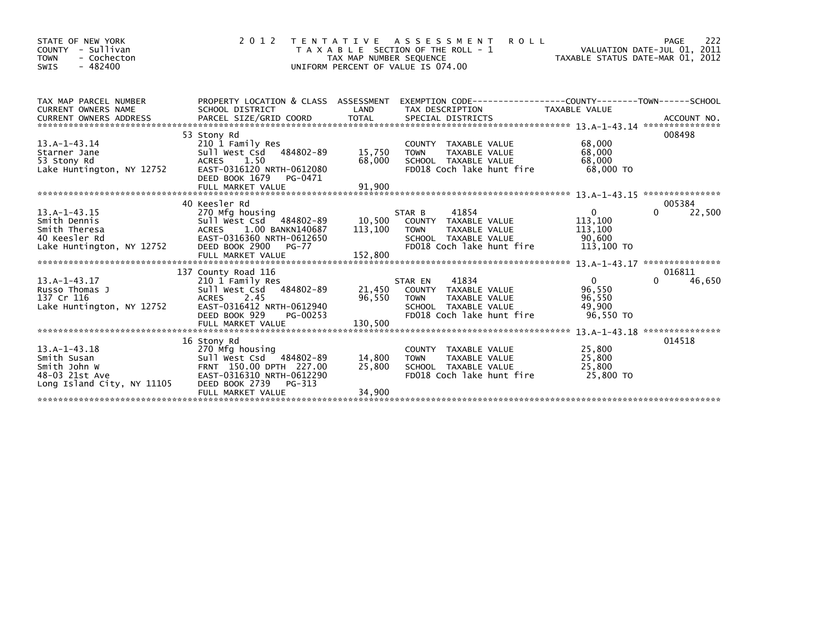| STATE OF NEW YORK<br>COUNTY - Sullivan<br>- Cochecton<br><b>TOWN</b><br>$-482400$<br>SWIS     | 2 0 1 2                                                                                                                                                                                                                     | TAX MAP NUMBER SEQUENCE    | <b>ROLL</b><br>TENTATIVE ASSESSMENT<br>T A X A B L E SECTION OF THE ROLL - 1<br>UNIFORM PERCENT OF VALUE IS 074.00                  | ROLL - 1 $\overline{1}$ $\overline{1}$ $\overline{2011}$<br>TAXABLE STATUS DATE-MAR 01, 2012 | 222<br>PAGE           |
|-----------------------------------------------------------------------------------------------|-----------------------------------------------------------------------------------------------------------------------------------------------------------------------------------------------------------------------------|----------------------------|-------------------------------------------------------------------------------------------------------------------------------------|----------------------------------------------------------------------------------------------|-----------------------|
| TAX MAP PARCEL NUMBER<br><b>CURRENT OWNERS NAME</b>                                           | PROPERTY LOCATION & CLASS ASSESSMENT<br>SCHOOL DISTRICT<br>CURRENT UNILLY INTEREST AND THE COORD TOTAL THE SPECIAL DISTRICTS THE CONFIDENT OWNERS ADDRESS PARCEL SIZE/GRID COORD TOTAL SPECIAL DISTRICTS (2000) ACCOUNT NO. | LAND                       | EXEMPTION CODE------------------COUNTY--------TOWN------SCHOOL<br>TAX DESCRIPTION                                                   | TAXABLE VALUE                                                                                |                       |
| 13.A-1-43.14<br>Starner Jane<br>53 Stony Rd<br>Lake Huntington, NY 12752                      | 53 Stony Rd<br>210 1 Family Res<br>Sull West Csd 484802-89<br>ACRES 1.50<br>EAST-0316120 NRTH-0612080<br>DEED BOOK 1679<br>PG-0471                                                                                          | 15,750<br>68,000           | COUNTY TAXABLE VALUE<br>TAXABLE VALUE<br><b>TOWN</b><br>SCHOOL TAXABLE VALUE<br>FD018 Coch lake hunt fire                           | 68,000<br>68,000<br>68,000<br>68.000 TO                                                      | 008498                |
|                                                                                               | 40 Keesler Rd                                                                                                                                                                                                               |                            |                                                                                                                                     |                                                                                              | 005384                |
| 13.A-1-43.15<br>Smith Dennis<br>Smith Theresa<br>40 Keesler Rd<br>Lake Huntington, NY 12752   | 270 Mfg housing<br>270 Mfg housing<br>Sull West Csd   484802-89<br>ACRES   1.00 BANKN140687<br>EAST-0316360 NRTH-0612650<br>DEED BOOK 2900<br>PG-77                                                                         | 113,100                    | 41854<br>STAR B<br>10,500 COUNTY TAXABLE VALUE<br>TAXABLE VALUE<br><b>TOWN</b><br>SCHOOL TAXABLE VALUE<br>FD018 Coch lake hunt fire | $\overline{0}$<br>113,100<br>113,100<br>90.600<br>113.100 TO                                 | 0<br>22,500           |
|                                                                                               |                                                                                                                                                                                                                             |                            |                                                                                                                                     |                                                                                              |                       |
| $13.A-1-43.17$<br>Russo Thomas J<br>137 Cr 116<br>Lake Huntington, NY 12752                   | 137 County Road 116<br>210 1 Family Res<br>ACRES 2.45<br>EAST-0316412 NRTH-0612940<br>DEED BOOK 929<br>PG-00253                                                                                                             |                            | 41834<br>STAR EN<br>21,450 COUNTY TAXABLE VALUE<br>96,550 TOWN TAXABLE VALUE<br>SCHOOL TAXABLE VALUE<br>FD018 Coch lake hunt fire   | $\Omega$<br>96,550<br>96,550<br>49,900<br>96.550 TO                                          | 016811<br>46,650<br>0 |
|                                                                                               |                                                                                                                                                                                                                             |                            |                                                                                                                                     |                                                                                              | 014518                |
| $13.A-1-43.18$<br>Smith Susan<br>Smith John W<br>48-03 21st Ave<br>Long Island City, NY 11105 | 16 Stony Rd<br>270 Mfg housing<br>Sull West Csd <sup>7</sup> 484802-89<br>FRNT 150.00 DPTH 227.00<br>EAST-0316310 NRTH-0612290<br>DEED BOOK 2739<br>PG-313                                                                  | 14,800<br>25,800<br>34,900 | COUNTY TAXABLE VALUE<br><b>TOWN</b><br>TAXABLE VALUE<br>SCHOOL TAXABLE VALUE<br>FD018 Coch lake hunt fire                           | 25,800<br>25,800<br>25,800<br>25,800 TO                                                      |                       |
|                                                                                               | FULL MARKET VALUE                                                                                                                                                                                                           |                            |                                                                                                                                     |                                                                                              |                       |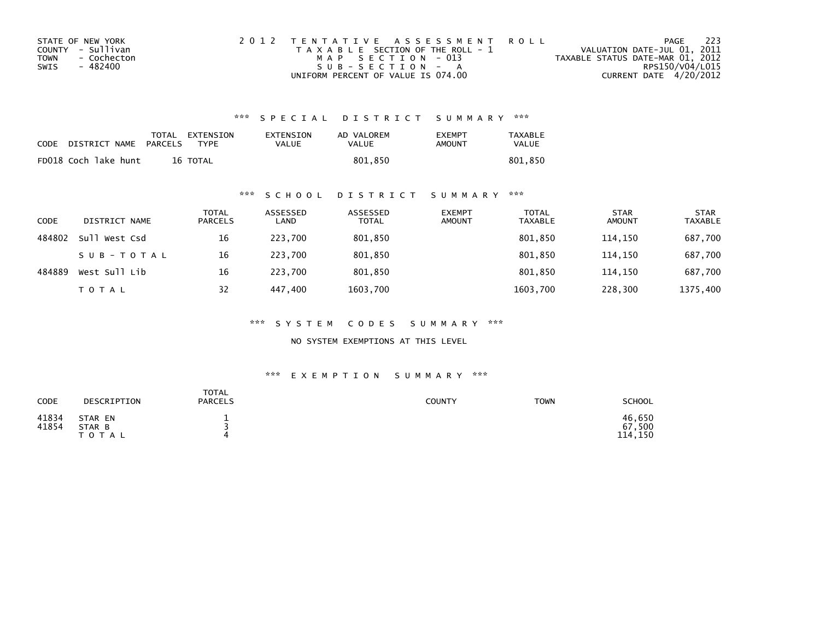| STATE OF NEW YORK   | 2012 TENTATIVE ASSESSMENT ROLL        | PAGE                             | - 223 |
|---------------------|---------------------------------------|----------------------------------|-------|
| COUNTY - Sullivan   | T A X A B L E SECTION OF THE ROLL - 1 | VALUATION DATE-JUL 01, 2011      |       |
| - Cochecton<br>TOWN | MAP SECTION - 013                     | TAXABLE STATUS DATE-MAR 01, 2012 |       |
| SWIS<br>- 482400    | $SUB - SECTION - A$                   | RPS150/V04/L015                  |       |
|                     | UNIFORM PERCENT OF VALUE IS 074.00    | CURRENT DATE 4/20/2012           |       |

## \*\*\* S P E C I A L D I S T R I C T S U M M A R Y \*\*\*

| CODE | DISTRICT NAME        | PARCELS | TOTAL EXTENSION<br><b>TYPF</b> | <b>EXTENSION</b><br>VALUE | AD VALOREM<br>VALUE | <b>FXFMPT</b><br>AMOUNT | <b>TAXABLE</b><br>VALUE |
|------|----------------------|---------|--------------------------------|---------------------------|---------------------|-------------------------|-------------------------|
|      | FD018 Coch lake hunt |         | 16 TOTAL                       |                           | 801.850             |                         | 801.850                 |

### \*\*\* S C H O O L D I S T R I C T S U M M A R Y \*\*\*

| CODE   | DISTRICT NAME    | TOTAL<br><b>PARCELS</b> | ASSESSED<br>LAND | ASSESSED<br><b>TOTAL</b> | <b>EXEMPT</b><br><b>AMOUNT</b> | <b>TOTAL</b><br><b>TAXABLE</b> | <b>STAR</b><br><b>AMOUNT</b> | <b>STAR</b><br>TAXABLE |
|--------|------------------|-------------------------|------------------|--------------------------|--------------------------------|--------------------------------|------------------------------|------------------------|
| 484802 | Sull<br>West Csd | 16                      | 223.700          | 801,850                  |                                | 801,850                        | 114.150                      | 687,700                |
|        | SUB-TOTAL        | 16                      | 223.700          | 801,850                  |                                | 801.850                        | 114.150                      | 687,700                |
| 484889 | West Sull Lib    | 16                      | 223,700          | 801,850                  |                                | 801,850                        | 114,150                      | 687,700                |
|        | TOTAL            | 32                      | 447.400          | 1603,700                 |                                | 1603,700                       | 228,300                      | 1375,400               |

\*\*\* S Y S T E M C O D E S S U M M A R Y \*\*\*

NO SYSTEM EXEMPTIONS AT THIS LEVEL

#### \*\*\* E X E M P T I O N S U M M A R Y \*\*\*

| CODE           | DESCRIPTION                       | <b>TOTAL</b><br><b>PARCELS</b> | <b>COUNTY</b> | <b>TOWN</b> | <b>SCHOOL</b>               |
|----------------|-----------------------------------|--------------------------------|---------------|-------------|-----------------------------|
| 41834<br>41854 | STAR EN<br>STAR B<br><b>TOTAL</b> | 4                              |               |             | 46,650<br>67,500<br>114,150 |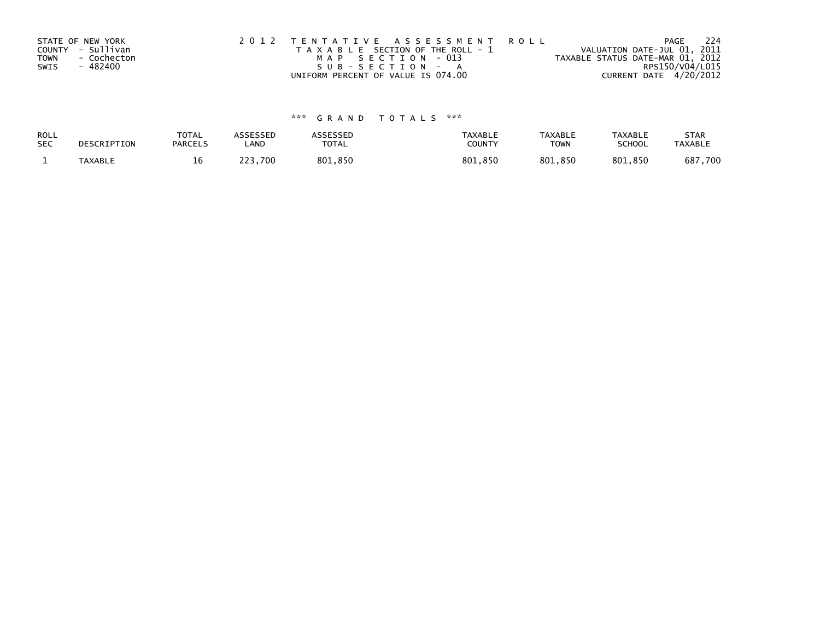| STATE OF NEW YORK<br>COUNTY - Sullivan<br>- Cochecton<br><b>TOWN</b><br>- 482400<br>SWIS | 2012 TENTATIVE ASSESSMENT ROLL<br>T A X A B L E SECTION OF THE ROLL - 1<br>MAP SECTION - 013<br>$SUB - SECTION - A$ | PAGE<br>VALUATION DATE-JUL 01, 2011<br>TAXABLE STATUS DATE-MAR 01, 2012<br>RPS150/V04/L015 | - 224 |
|------------------------------------------------------------------------------------------|---------------------------------------------------------------------------------------------------------------------|--------------------------------------------------------------------------------------------|-------|
|                                                                                          | UNIFORM PERCENT OF VALUE IS 074.00                                                                                  | CURRENT DATE 4/20/2012                                                                     |       |

# \*\*\* G R A N D T O T A L S \*\*\*

| ROLL       | DESCRIPTION | <b>TOTAL</b>   | <b>ASSESSED</b> | <b>ASSESSED</b> | <b>TAXABLE</b> | <b>TAXABLE</b> | <b>TAXABLE</b> | <b>STAR</b>    |
|------------|-------------|----------------|-----------------|-----------------|----------------|----------------|----------------|----------------|
| <b>SEC</b> |             | <b>PARCELS</b> | LAND            | TOTAL           | COUNT          | <b>TOWN</b>    | <b>SCHOOL</b>  | <b>TAXABLE</b> |
|            | TAXABLE     | 16<br>ᅩ        | 223.700         | 801,850         | 801,850        | 801,850        | 801,850        | 687,700        |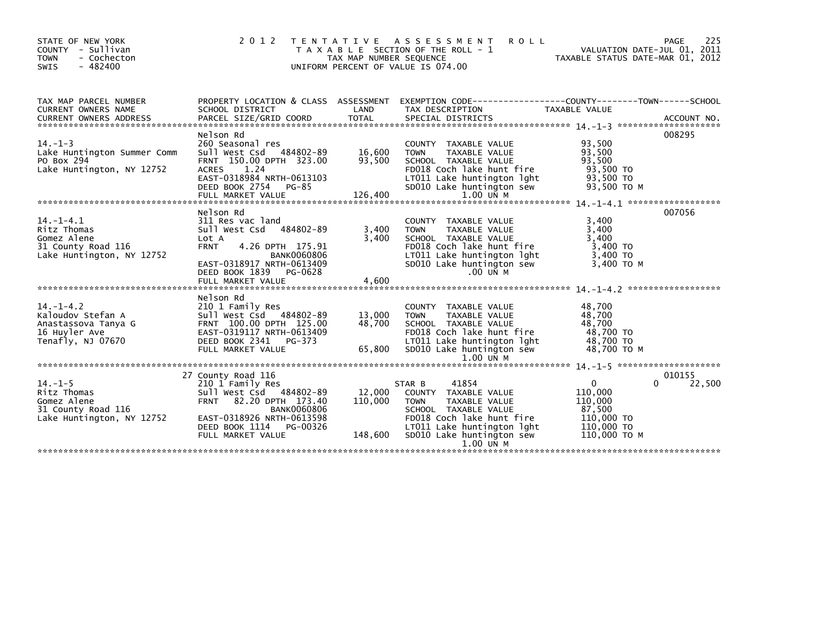| PROPERTY LOCATION & CLASS ASSESSMENT EXEMPTION CODE----------------COUNTY-------TOWN-----SCHOOL<br>TAX MAP PARCEL NUMBER                                                                                                                                                                                                                                                                                                                                                                                                                                                                        | STATE OF NEW YORK<br>COUNTY - Sullivan<br><b>TOWN</b><br>- Cochecton<br>$-482400$<br>SWIS | 2012 | TAX MAP NUMBER SEQUENCE | <b>ROLL</b><br>TENTATIVE ASSESSMENT<br>T A X A B L E SECTION OF THE ROLL - 1<br>UNIFORM PERCENT OF VALUE IS 074.00 | VALUATION DATE-JUL 01, 2011<br>TAXABLE STATUS DATE-MAR 01, 2012 | 225<br><b>PAGE</b> |
|-------------------------------------------------------------------------------------------------------------------------------------------------------------------------------------------------------------------------------------------------------------------------------------------------------------------------------------------------------------------------------------------------------------------------------------------------------------------------------------------------------------------------------------------------------------------------------------------------|-------------------------------------------------------------------------------------------|------|-------------------------|--------------------------------------------------------------------------------------------------------------------|-----------------------------------------------------------------|--------------------|
|                                                                                                                                                                                                                                                                                                                                                                                                                                                                                                                                                                                                 |                                                                                           |      |                         |                                                                                                                    |                                                                 |                    |
| 008295<br>Nelson Rd<br>.260 Seasonal res<br>Sull West Csd   484802-89       16,600<br>FRNT  150.00 DPTH  323.00       93,500<br>$14. - 1 - 3$<br>93,500<br>COUNTY TAXABLE VALUE<br>93,500<br>Lake Huntington Summer Comm<br><b>TOWN</b><br>TAXABLE VALUE<br>93,500<br>PO Box 294<br>SCHOOL TAXABLE VALUE<br>93,500 TO<br>Lake Huntington, NY 12752<br>ACRES 1.24<br>FD018 Coch lake hunt fire<br>LT011 Lake huntington 1ght 93,500 TO<br>EAST-0318984 NRTH-0613103<br>93,500 ТО М<br>SD010 Lake huntington sew<br>DEED BOOK 2754 PG-85                                                          |                                                                                           |      |                         |                                                                                                                    |                                                                 |                    |
| 007056<br>Nelson Rd<br>311 Res vac land<br>3,400<br>$14. - 1 - 4.1$<br>COUNTY TAXABLE VALUE<br>Sull West Csd 484802-89<br>3,400<br>3,400<br>Ritz Thomas<br>TAXABLE VALUE<br>TOWN<br>3,400<br>SCHOOL TAXABLE VALUE<br>FDO18 Coch lake hunt fire<br>3,400<br>Gomez Alene<br>Lot A<br>31 County Road 116<br>4.26 DPTH 175.91<br>3,400 TO<br><b>FRNT</b><br>Lake Huntington, NY 12752<br>LTO11 Lake huntington lght<br>SDO10 Lake huntington sew<br>3,400 то<br>3,400 то м<br><b>BANK0060806</b><br>EAST-0318917 NRTH-0613409<br>$.00$ UN M<br>DEED BOOK 1839 PG-0628<br>4,600<br>FULL MARKET VALUE |                                                                                           |      |                         |                                                                                                                    |                                                                 |                    |
| Nelson Rd<br>48,700<br>COUNTY TAXABLE VALUE<br>13,000<br>48,700<br><b>TOWN</b><br>TAXABLE VALUE<br>48,700<br>48,700<br>SCHOOL TAXABLE VALUE<br>FD018 Coch lake hunt fire 48,700 TO<br>LT011 Lake huntington lght 48,700 TO<br>65,800<br>SD010 Lake huntington sew<br>48,700 TO M<br>FULL MARKET VALUE<br>1.00 UN M                                                                                                                                                                                                                                                                              |                                                                                           |      |                         |                                                                                                                    |                                                                 |                    |
| 010155<br>27 County Road 116<br>$\mathbf{0}$<br>$\Omega$<br>22,500<br>$14. - 1 - 5$<br>41854<br>210 1 Family Res<br>STAR B<br>12,000<br>Ritz Thomas<br>Sull West Csd 484802-89<br>110,000<br>COUNTY TAXABLE VALUE<br>Gomez Alene<br>31 County Road 116<br>110,000<br>FRNT 82.20 DPTH 173.40<br><b>TOWN</b><br>TAXABLE VALUE<br>110,000                                                                                                                                                                                                                                                          |                                                                                           |      |                         |                                                                                                                    |                                                                 |                    |
| 87,500<br><b>BANK0060806</b><br>SCHOOL TAXABLE VALUE<br>Lake Huntington, NY 12752    EAST-0318926    NRTH-0613598<br>FD018 Coch lake hunt fire<br>110,000 TO<br>LT011 Lake huntington lght<br>110,000 TO<br>DEED BOOK 1114 PG-00326<br>SD010 Lake huntington sew<br>110,000 TO M<br>FULL MARKET VALUE<br>1.00 UN M                                                                                                                                                                                                                                                                              |                                                                                           |      |                         |                                                                                                                    |                                                                 |                    |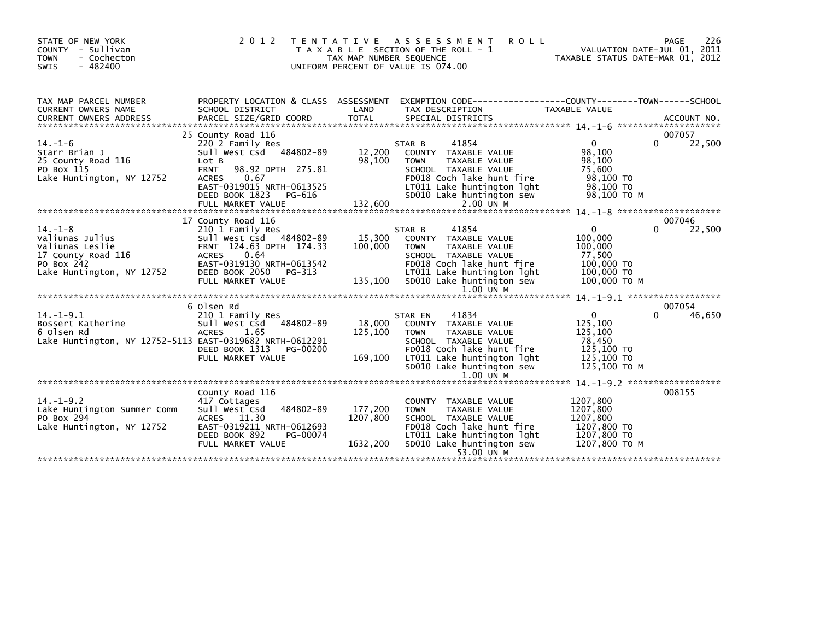| STATE OF NEW YORK<br>COUNTY - Sullivan<br>- Cochecton<br>TOWN<br>$-482400$<br><b>SWIS</b>                            | 2 0 1 2                                                                                                                                                                                                              | T E N T A T I V E<br>TAX MAP NUMBER SEQUENCE | ASSESSMENT<br><b>ROLL</b><br>T A X A B L E SECTION OF THE ROLL - 1<br>UNIFORM PERCENT OF VALUE IS 074.00                                                                                                       | TAXABLE STATUS DATE-MAR 01, 2012                                                     | 226<br>PAGE<br>VALUATION DATE-JUL 01, 2011 |
|----------------------------------------------------------------------------------------------------------------------|----------------------------------------------------------------------------------------------------------------------------------------------------------------------------------------------------------------------|----------------------------------------------|----------------------------------------------------------------------------------------------------------------------------------------------------------------------------------------------------------------|--------------------------------------------------------------------------------------|--------------------------------------------|
| TAX MAP PARCEL NUMBER<br><b>CURRENT OWNERS NAME</b>                                                                  | SCHOOL DISTRICT                                                                                                                                                                                                      | LAND                                         | PROPERTY LOCATION & CLASS ASSESSMENT EXEMPTION CODE----------------COUNTY-------TOWN-----SCHOOL<br>TAX DESCRIPTION                                                                                             | TAXABLE VALUE                                                                        |                                            |
| $14. - 1 - 6$<br>Starr Brian J<br>25 County Road 116<br>PO Box 115<br>Lake Huntington, NY 12752                      | 25 County Road 116<br>220 2 Family Res<br>Sull West Csd 484802-89<br>Lot B<br>98.92 DPTH 275.81<br><b>FRNT</b><br>0.67<br><b>ACRES</b><br>EAST-0319015 NRTH-0613525<br>DEED BOOK 1823<br>PG-616<br>FULL MARKET VALUE | 12,200<br>98,100<br>132,600                  | 41854<br>STAR B<br>COUNTY TAXABLE VALUE<br><b>TOWN</b><br>TAXABLE VALUE<br>SCHOOL TAXABLE VALUE<br>FD018 Coch lake hunt fire<br>LT011 Lake huntington lght<br>SD010 Lake huntington sew<br>$2.00$ $U\bar{N}$ M | $\Omega$<br>98,100<br>98,100<br>75,600<br>98,100 TO<br>98,100 TO<br>98,100 ТО М      | 007057<br>$\Omega$<br>22,500               |
| $14. - 1 - 8$<br>Valiunas Julius<br>Valiunas Leslie<br>17 County Road 116<br>PO Box 242<br>Lake Huntington, NY 12752 | 17 County Road 116<br>210 1 Family Res<br>Sull West Csd 484802-89<br>FRNT 124.63 DPTH 174.33<br><b>ACRES</b><br>0.64<br>EAST-0319130 NRTH-0613542<br>DEED BOOK 2050 PG-313<br>FULL MARKET VALUE                      | 15,300<br>100,000<br>135,100                 | 41854<br>STAR B<br>COUNTY TAXABLE VALUE<br><b>TOWN</b><br>TAXABLE VALUE<br>SCHOOL TAXABLE VALUE<br>FD018 Coch lake hunt fire<br>LT011 Lake huntington lght<br>SD010 Lake huntington sew<br>$1.00$ UN $M$       | 0<br>100,000<br>100,000<br>77,500<br>100,000 TO<br>100,000 TO<br>100,000 ТО М        | 007046<br>0<br>22,500                      |
|                                                                                                                      | 6 Olsen Rd                                                                                                                                                                                                           |                                              |                                                                                                                                                                                                                |                                                                                      | 007054                                     |
| $14. - 1 - 9.1$<br>Bossert Katherine<br>6 Olsen Rd<br>Lake Huntington, NY 12752-5113 EAST-0319682 NRTH-0612291       | 210 1 Family Res<br>Sull West Csd 484802-89<br><b>ACRES</b><br>1.65<br>DEED BOOK 1313<br>PG-00200<br>FULL MARKET VALUE                                                                                               | 18,000<br>125,100<br>169,100                 | 41834<br>STAR EN<br>COUNTY TAXABLE VALUE<br><b>TOWN</b><br>TAXABLE VALUE<br>SCHOOL TAXABLE VALUE<br>FD018 Coch lake hunt fire<br>LT011 Lake huntington lght<br>SD010 Lake huntington sew                       | $\Omega$<br>125,100<br>125,100<br>78,450<br>125,100 TO<br>125,100 TO<br>125,100 TO M | 46,650<br>$\Omega$                         |
|                                                                                                                      |                                                                                                                                                                                                                      |                                              | $1.00$ UN M                                                                                                                                                                                                    |                                                                                      |                                            |
| $14. -1 - 9.2$<br>Lake Huntington Summer Comm<br>PO Box 294<br>Lake Huntington, NY 12752                             | County Road 116<br>417 Cottages<br>Sull West Csd<br>484802-89<br>ACRES 11.30<br>EAST-0319211 NRTH-0612693<br>DEED BOOK 892<br>PG-00074<br>FULL MARKET VALUE                                                          | 177,200<br>1207,800<br>1632,200              | COUNTY TAXABLE VALUE<br><b>TOWN</b><br>TAXABLE VALUE<br>SCHOOL TAXABLE VALUE<br>FD018 Coch lake hunt fire<br>LT011 Lake huntington lght<br>SD010 Lake huntington sew<br>53.00 UN M                             | 1207,800<br>1207,800<br>1207,800<br>1207,800 TO<br>1207,800 TO<br>1207,800 TO M      | 008155                                     |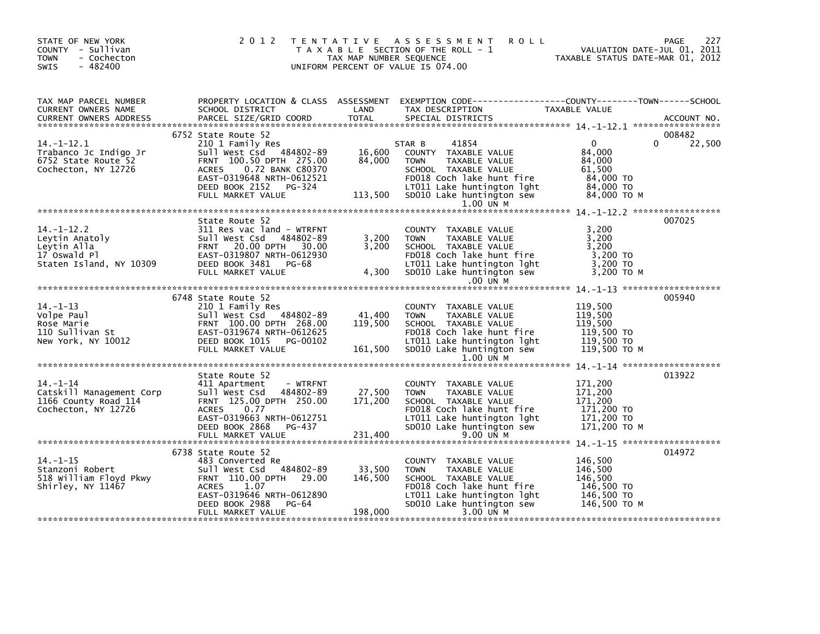| STATE OF NEW YORK<br>COUNTY - Sullivan<br>- Cochecton<br><b>TOWN</b><br>$-482400$<br>SWIS                   |                                                                                                                                                                                                         | TAX MAP NUMBER SEQUENCE      | 2012 TENTATIVE ASSESSMENT<br><b>ROLL</b><br>T A X A B L E SECTION OF THE ROLL - 1<br>UNIFORM PERCENT OF VALUE IS 074.00                                                                         |                                                                                       | 227<br>PAGE<br>VALUATION DATE-JUL U1, 2011<br>TAXABLE STATUS DATE-MAR 01, 2012 |
|-------------------------------------------------------------------------------------------------------------|---------------------------------------------------------------------------------------------------------------------------------------------------------------------------------------------------------|------------------------------|-------------------------------------------------------------------------------------------------------------------------------------------------------------------------------------------------|---------------------------------------------------------------------------------------|--------------------------------------------------------------------------------|
| TAX MAP PARCEL NUMBER<br>CURRENT OWNERS NAME<br><b>CURRENT OWNERS ADDRESS</b>                               | PROPERTY LOCATION & CLASS ASSESSMENT<br>SCHOOL DISTRICT<br>PARCEL SIZE/GRID COORD                                                                                                                       | LAND<br>TOTAL                | EXEMPTION CODE-----------------COUNTY-------TOWN------SCHOOL<br>TAX DESCRIPTION<br>SPECIAL DISTRICTS                                                                                            | TAXABLE VALUE                                                                         | ACCOUNT NO.                                                                    |
| $14. - 1 - 12.1$<br>Trabanco Jc Indigo Jr<br>6752 State Route 52<br>Cochecton, NY 12726                     | 6752 State Route 52<br>210 1 Family Res<br>Sull West Csd 484802-89<br>FRNT 100.50 DPTH 275.00<br>ACRES 0.72 BANK C80370<br>EAST-0319648 NRTH-0612521<br>DEED BOOK 2152 PG-324<br>FULL MARKET VALUE      | 16,600<br>84,000             | 41854<br>STAR B<br>COUNTY TAXABLE VALUE<br>TAXABLE VALUE<br><b>TOWN</b><br>SCHOOL TAXABLE VALUE<br>FD018 Coch lake hunt fire<br>LT011 Lake huntington lght<br>113,500 SD010 Lake huntington sew | $\overline{0}$<br>84,000<br>84,000<br>61,500<br>84,000 TO<br>84,000 TO<br>84,000 то м | 008482<br>22,500<br>0                                                          |
| $14. - 1 - 12.2$<br>Leytin Anatoly<br>Leytin Alla<br>Leytin Alla<br>17 Oswald Pl<br>Staten Island, NY 10309 | State Route 52<br>311 Res vac land - WTRFNT<br>Sull West Csd 484802-89<br>FRNT 20.00 DPTH 30.00<br>EAST-0319807 NRTH-0612930<br>DEED BOOK 3481 PG-68<br>FULL MARKET VALUE                               | 3,200<br>3,200<br>4,300      | 1.00 UN M<br>COUNTY TAXABLE VALUE<br><b>TOWN</b><br>TAXABLE VALUE<br>SCHOOL TAXABLE VALUE<br>FD018 Coch lake hunt fire<br>LTO11 Lake huntington lght<br>SD010 Lake huntington sew<br>.00 UN M   | 3,200<br>3,200<br>3,200<br>3,200 TO<br>$3,200$ TO<br>3,200 то м                       | 007025                                                                         |
| $14. - 1 - 13$<br>Volpe Paul<br>Rose Marie<br>Rose Marie<br>110 Sullivan St<br>New York, NY 10012           | 6748 State Route 52<br>210 1 Family Res<br>Sull West Csd 484802-89<br>FRNT 100.00 DPTH 268.00<br>EAST-0319674 NRTH-0612625<br>DEED BOOK 1015 PG-00102<br>FULL MARKET VALUE                              | 41,400<br>119,500<br>161,500 | COUNTY TAXABLE VALUE<br><b>TOWN</b><br>TAXABLE VALUE<br>SCHOOL TAXABLE VALUE<br>FD018 Coch lake hunt fire<br>LT011 Lake huntington lght<br>SD010 Lake huntington sew<br>$1.00$ UN M             | 119,500<br>119,500<br>119,500<br>119,500 TO<br>119,500 TO<br>119,500 TO M             | 005940                                                                         |
| $14. - 1 - 14$<br>Catskill Management Corp<br>1166 County Road 114<br>Cochecton, NY 12726                   | State Route 52<br>411 Apartment<br>- WTRFNT<br>Sull West Csd 484802-89<br>FRNT 125.00 DPTH 250.00<br>0.77<br><b>ACRES</b><br>EAST-0319663 NRTH-0612751<br>DEED BOOK 2868<br>PG-437<br>FULL MARKET VALUE | 27,500<br>171,200<br>231,400 | COUNTY TAXABLE VALUE<br>TAXABLE VALUE<br><b>TOWN</b><br>SCHOOL TAXABLE VALUE<br>FD018 Coch lake hunt fire<br>LT011 Lake huntington lght<br>SD010 Lake huntington sew<br>9.00 UN M               | 171,200<br>171,200<br>171,200<br>171,200 TO<br>171,200 TO<br>171,200 то м             | 013922                                                                         |
| $14. - 1 - 15$<br>Stanzoni Robert<br>518 William Floyd Pkwy<br>Shirley, NY 11467                            | 6738 State Route 52<br>483 Converted Re<br>484802-89<br>Sull West Csd<br>FRNT 110.00 DPTH 29.00<br><b>ACRES</b><br>1.07<br>EAST-0319646 NRTH-0612890<br>DEED BOOK 2988<br>PG-64<br>FULL MARKET VALUE    | 33,500<br>146,500<br>198,000 | COUNTY TAXABLE VALUE<br><b>TOWN</b><br>TAXABLE VALUE<br>SCHOOL TAXABLE VALUE<br>FD018 Coch lake hunt fire<br>LT011 Lake huntington lght<br>SD010 Lake huntington sew<br>3.00 UN M               | 146,500<br>146,500<br>146.500<br>146,500 TO<br>146,500 TO<br>146,500 то м             | 014972                                                                         |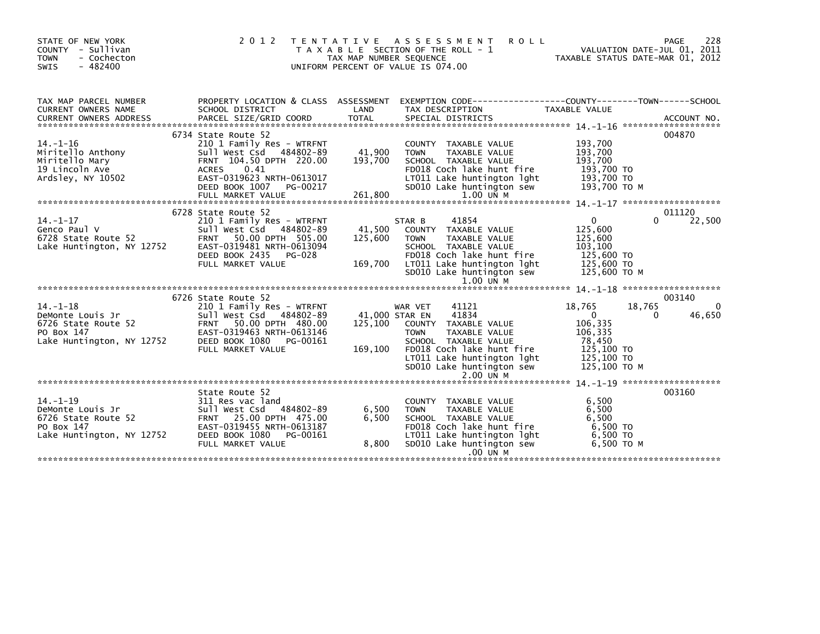| STATE OF NEW YORK<br>COUNTY - Sullivan<br>- Cochecton<br><b>TOWN</b><br>$-482400$<br><b>SWIS</b>     | 2 0 1 2                                                                                                                                                                       | TAX MAP NUMBER SEQUENCE | TENTATIVE ASSESSMENT<br><b>ROLL</b><br>T A X A B L E SECTION OF THE ROLL - 1<br>UNIFORM PERCENT OF VALUE IS 074.00                                                   |                                                                           | 228<br>PAGE<br>VALUATION DATE-JUL 01, 2011<br>TAXABLE STATUS DATE-MAR 01. 2012 |
|------------------------------------------------------------------------------------------------------|-------------------------------------------------------------------------------------------------------------------------------------------------------------------------------|-------------------------|----------------------------------------------------------------------------------------------------------------------------------------------------------------------|---------------------------------------------------------------------------|--------------------------------------------------------------------------------|
| TAX MAP PARCEL NUMBER<br>CURRENT OWNERS NAME                                                         | PROPERTY LOCATION & CLASS ASSESSMENT<br>SCHOOL DISTRICT                                                                                                                       | LAND                    | EXEMPTION        CODE-----------------COUNTY--------TOWN------SCHOOL<br>TAX DESCRIPTION                                                                              | TAXABLE VALUE                                                             |                                                                                |
|                                                                                                      |                                                                                                                                                                               |                         |                                                                                                                                                                      |                                                                           |                                                                                |
|                                                                                                      | 6734 State Route 52                                                                                                                                                           |                         |                                                                                                                                                                      |                                                                           | 004870                                                                         |
| $14. - 1 - 16$<br>Miritello Anthony<br>Miritello Mary<br>19 Lincoln Ave<br>Ardsley, NY 10502         | 210 1 Family Res - WTRFNT<br>Sull West Csd 484802-89<br>FRNT 104.50 DPTH 220.00<br><b>ACRES</b><br>0.41<br>EAST-0319623 NRTH-0613017<br>DEED BOOK 1007<br>PG-00217            | 41,900<br>193,700       | COUNTY TAXABLE VALUE<br>TAXABLE VALUE<br><b>TOWN</b><br>SCHOOL TAXABLE VALUE<br>FD018 Coch lake hunt fire<br>LT011 Lake huntington lght                              | 193,700<br>193,700<br>193,700<br>193,700 TO<br>193,700 TO<br>193,700 то м |                                                                                |
|                                                                                                      | FULL MARKET VALUE                                                                                                                                                             | 261,800                 | SD010 Lake huntington sew<br>$1.00$ UN M                                                                                                                             |                                                                           |                                                                                |
|                                                                                                      |                                                                                                                                                                               |                         |                                                                                                                                                                      |                                                                           |                                                                                |
| 14.-1-17                                                                                             | 6728 State Route 52<br>210 1 Family Res - WTRFNT                                                                                                                              |                         | 41854<br>STAR B                                                                                                                                                      | $\Omega$                                                                  | 011120<br>22,500<br>$\Omega$                                                   |
|                                                                                                      | Sull West Csd 484802-89<br>50.00 DPTH 505.00<br>EAST-0319481 NRTH-0613094<br>DEED BOOK 2435<br>PG-028                                                                         | 41,500<br>125,600       | COUNTY TAXABLE VALUE<br><b>TOWN</b><br>TAXABLE VALUE<br>SCHOOL TAXABLE VALUE<br>FD018 Coch lake hunt fire                                                            | 125,600<br>125,600<br>103.100<br>125,600 TO                               |                                                                                |
|                                                                                                      | FULL MARKET VALUE                                                                                                                                                             | 169,700                 | LT011 Lake huntington lght<br>SD010 Lake huntington sew                                                                                                              | 125,600 TO<br>125,600 TO M                                                |                                                                                |
|                                                                                                      | 6726 State Route 52                                                                                                                                                           |                         |                                                                                                                                                                      |                                                                           | 003140                                                                         |
| 14. –1–18<br>DeMonte Louis Jr<br>6726 State Route 52<br>PO Box 147                                   | 210 1 Family Res - WTRFNT<br>Sull West Csd 484802-89<br>Sull West Csd 484802-89<br>52 FRNT 50.00 DPTH 480.00<br>EAST-0319463 NRTH-0613146<br>NY 12752 DEED BOOK 1080 PG-00161 | 125,100                 | 41121<br>WAR VET<br>41834<br>41,000 STAR EN<br>COUNTY TAXABLE VALUE<br><b>TAXABLE VALUE</b><br><b>TOWN</b>                                                           | 18,765<br>$\Omega$<br>106.335<br>106,335<br>78,450                        | 18,765<br>46,650<br>$\Omega$                                                   |
| Lake Huntington, NY 12752                                                                            | FULL MARKET VALUE                                                                                                                                                             | 169,100                 | SCHOOL TAXABLE VALUE<br>FD018 Coch lake hunt fire<br>LT011 Lake huntington lght<br>SD010 Lake huntington sew<br>$2.00$ UN M                                          | 125,100 TO<br>125,100 TO<br>125,100 TO M                                  |                                                                                |
|                                                                                                      |                                                                                                                                                                               |                         |                                                                                                                                                                      |                                                                           |                                                                                |
| $14. - 1 - 19$<br>DeMonte Louis Jr<br>6726 State Route 52<br>PO Box 147<br>Lake Huntington, NY 12752 | State Route 52<br>311 Res vac land<br>Sull West Csd 484802-89<br>FRNT 25.00 DPTH 475.00<br>EAST-0319455 NRTH-0613187<br>DEED BOOK 1080<br>PG-00161<br>FULL MARKET VALUE       | 6,500<br>6,500<br>8,800 | COUNTY TAXABLE VALUE<br><b>TOWN</b><br>TAXABLE VALUE<br>SCHOOL TAXABLE VALUE<br>FD018 Coch lake hunt fire<br>LT011 Lake huntington lght<br>SD010 Lake huntington sew | 6,500<br>6,500<br>6.500<br>6,500 TO<br>6,500 TO<br>6,500 ТО М             | 003160                                                                         |
|                                                                                                      |                                                                                                                                                                               |                         | .00 UN M                                                                                                                                                             |                                                                           |                                                                                |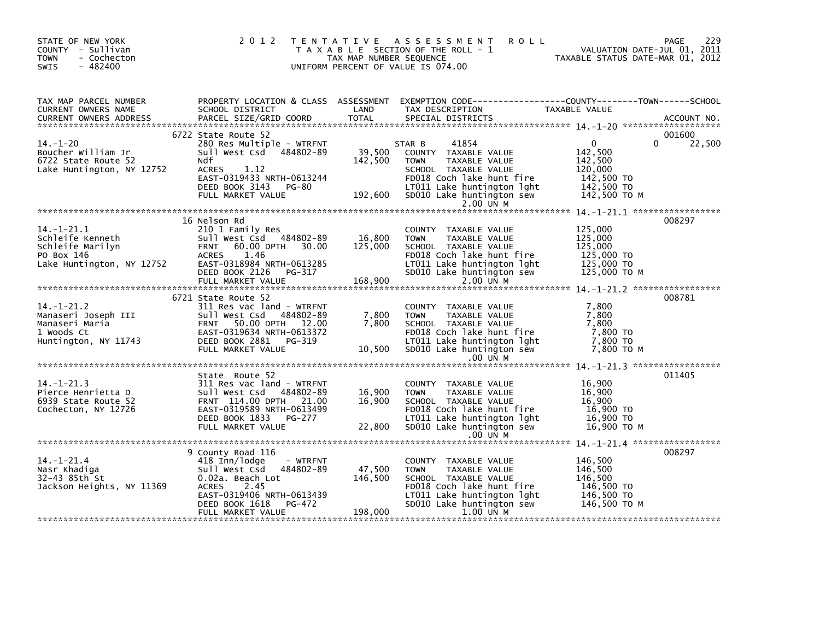| STATE OF NEW YORK<br>COUNTY - Sullivan<br><b>TOWN</b><br>- Cochecton<br>$-482400$<br><b>SWIS</b>    | 2 0 1 2                                                                                                                                                                         | TAX MAP NUMBER SEQUENCE      | <b>ROLL</b><br>TENTATIVE ASSESSMENT<br>T A X A B L E SECTION OF THE ROLL - 1<br>UNIFORM PERCENT OF VALUE IS 074.00                                                                      | VALUATION DATE-JUL 01, 2011<br>TAXABLE STATUS DATE-MAR 01, 2012                           | 229<br>PAGE<br>VALUATION DATE-JUL 01, 2011 |
|-----------------------------------------------------------------------------------------------------|---------------------------------------------------------------------------------------------------------------------------------------------------------------------------------|------------------------------|-----------------------------------------------------------------------------------------------------------------------------------------------------------------------------------------|-------------------------------------------------------------------------------------------|--------------------------------------------|
| TAX MAP PARCEL NUMBER<br>CURRENT OWNERS NAME<br><b>CURRENT OWNERS ADDRESS</b>                       | SCHOOL DISTRICT<br>PARCEL SIZE/GRID COORD                                                                                                                                       | LAND<br><b>TOTAL</b>         | PROPERTY LOCATION & CLASS ASSESSMENT EXEMPTION CODE----------------COUNTY-------TOWN------SCHOOL<br>TAX DESCRIPTION<br>SPECIAL DISTRICTS                                                | TAXABLE VALUE                                                                             | ACCOUNT NO.                                |
| $14. - 1 - 20$<br>Boucher William Jr<br>6722 State Route 52<br>Lake Huntington, NY 12752            | 6722 State Route 52<br>280 Res Multiple - WTRFNT<br>Sull West Csd 484802-89<br>Ndf<br>1.12<br>ACRES<br>EAST-0319433 NRTH-0613244<br>DEED BOOK 3143 PG-80<br>FULL MARKET VALUE   | 39,500<br>142,500<br>192,600 | 41854<br>STAR B<br>COUNTY TAXABLE VALUE<br><b>TOWN</b><br>TAXABLE VALUE<br>SCHOOL TAXABLE VALUE<br>FD018 Coch lake hunt fire<br>LTO11 Lake huntington lght<br>SDO10 Lake huntington sew | $\mathbf{0}$<br>142,500<br>142,500<br>120,000<br>142,500 TO<br>142,500 TO<br>142,500 TO M | 001600<br>22,500<br>$\Omega$               |
|                                                                                                     | 16 Nelson Rd                                                                                                                                                                    |                              | 2.00 UN M                                                                                                                                                                               |                                                                                           | 008297                                     |
| $14. - 1 - 21.1$<br>Schleife Kenneth<br>Schleife Marilyn<br>PO Box 146<br>Lake Huntington, NY 12752 | 210 1 Family Res<br>Sull West Csd 484802-89<br>60.00 DPTH 30.00<br><b>FRNT</b><br>ACRES<br>1.46<br>EAST-0318984 NRTH-0613285<br>DEED BOOK 2126<br>PG-317<br>FULL MARKET VALUE   | 16,800<br>125,000<br>168,900 | COUNTY TAXABLE VALUE<br>TAXABLE VALUE<br><b>TOWN</b><br>SCHOOL TAXABLE VALUE<br>FD018 Coch lake hunt fire<br>LT011 Lake huntington lght<br>SD010 Lake huntington sew<br>2.00 UN M       | 125,000<br>125,000<br>125,000<br>125,000 TO<br>125,000 TO<br>125,000 TO M                 |                                            |
|                                                                                                     |                                                                                                                                                                                 |                              |                                                                                                                                                                                         |                                                                                           | 008781                                     |
| $14. - 1 - 21.2$<br>Manaseri Joseph III<br>Manaseri Maria<br>1 Woods Ct<br>Huntington, NY 11743     | 6721 State Route 52<br>311 Res vac land - WTRFNT<br>Sull West Csd 484802-89<br>FRNT 50.00 DPTH 12.00<br>EAST-0319634 NRTH-0613372<br>DEED BOOK 2881 PG-319<br>FULL MARKET VALUE | 7,800<br>7.800<br>10,500     | COUNTY TAXABLE VALUE<br>TAXABLE VALUE<br><b>TOWN</b><br>SCHOOL TAXABLE VALUE<br>FD018 Coch lake hunt fire<br>LT011 Lake huntington lght<br>SD010 Lake huntington sew<br>$.00$ UN M      | 7,800<br>7,800<br>7.800<br>7,800 TO<br>7,800 TO<br>7.800 ТО М                             |                                            |
|                                                                                                     |                                                                                                                                                                                 |                              |                                                                                                                                                                                         |                                                                                           |                                            |
| $14. - 1 - 21.3$<br>Pierce Henrietta D<br>6939 State Route 52<br>Cochecton, NY 12726                | State Route 52<br>311 Res vac land - WTRFNT<br>Sull West Csd 484802-89<br>FRNT 114.00 DPTH 21.00<br>EAST-0319589 NRTH-0613499<br>DEED BOOK 1833 PG-277<br>FULL MARKET VALUE     | 16,900<br>16,900<br>22,800   | COUNTY TAXABLE VALUE<br><b>TOWN</b><br>TAXABLE VALUE<br>SCHOOL TAXABLE VALUE<br>FD018 Coch lake hunt fire<br>LT011 Lake huntington lght<br>SD010 Lake huntington sew                    | 16,900<br>16,900<br>16.900<br>16,900 TO<br>16,900 TO<br>16,900 то м                       | 011405                                     |
|                                                                                                     |                                                                                                                                                                                 |                              | .00 UN M                                                                                                                                                                                |                                                                                           |                                            |
| $14. - 1 - 21.4$<br>Nasr Khadiga<br>32-43 85th St<br>Jackson Heights, NY 11369                      | 9 County Road 116<br>418 Inn/lodge<br>- WTRFNT<br>sull west Csd<br>484802-89<br>0.02a. Beach Lot<br><b>ACRES</b><br>2.45<br>EAST-0319406 NRTH-0613439                           | 47,500<br>146,500            | COUNTY TAXABLE VALUE<br><b>TOWN</b><br>TAXABLE VALUE<br>SCHOOL TAXABLE VALUE<br>FD018 Coch lake hunt fire<br>LT011 Lake huntington lght                                                 | 146,500<br>146,500<br>146,500<br>146,500 TO<br>146,500 TO                                 | 008297                                     |
|                                                                                                     | PG-472<br>DEED BOOK 1618<br>FULL MARKET VALUE                                                                                                                                   | 198,000                      | SD010 Lake huntington sew<br>1.00 UN M                                                                                                                                                  | 146,500 ТО М                                                                              |                                            |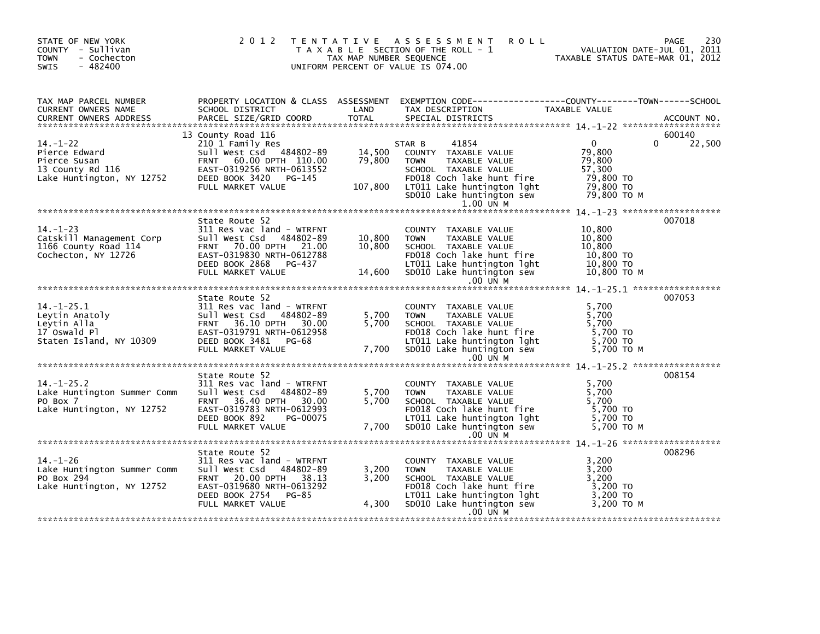| STATE OF NEW YORK<br>COUNTY - Sullivan<br>- Cochecton<br><b>TOWN</b><br>$-482400$<br><b>SWIS</b> |                                                                                                                                                                                          | TAX MAP NUMBER SEQUENCE     | 2012 TENTATIVE ASSESSMENT<br><b>ROLL</b><br>T A X A B L E SECTION OF THE ROLL - 1<br>UNIFORM PERCENT OF VALUE IS 074.00                                                                                  | VALUATION DATE-JUL 01, 2011<br>TAXABLE STATUS DATE-MAR 01, 2012                       | 230<br>PAGE                  |
|--------------------------------------------------------------------------------------------------|------------------------------------------------------------------------------------------------------------------------------------------------------------------------------------------|-----------------------------|----------------------------------------------------------------------------------------------------------------------------------------------------------------------------------------------------------|---------------------------------------------------------------------------------------|------------------------------|
| TAX MAP PARCEL NUMBER<br>CURRENT OWNERS NAME<br><b>CURRENT OWNERS ADDRESS</b>                    | PARCEL SIZE/GRID COORD                                                                                                                                                                   | TOTAL                       | SPECIAL DISTRICTS                                                                                                                                                                                        |                                                                                       | ACCOUNT NO.                  |
| $14. - 1 - 22$<br>Pierce Edward<br>Pierce Susan<br>13 County Rd 116<br>Lake Huntington, NY 12752 | 13 County Road 116<br>210 1 Family Res<br>Sull West Csd 484802-89<br>60.00 DPTH 110.00<br><b>FRNT</b><br>EAST-0319256 NRTH-0613552<br>DEED BOOK 3420 PG-145<br>FULL MARKET VALUE         | 14,500<br>79,800<br>107,800 | 41854<br>STAR B<br>COUNTY TAXABLE VALUE<br>TAXABLE VALUE<br><b>TOWN</b><br>SCHOOL TAXABLE VALUE<br>FD018 Coch lake hunt fire<br>LTO11 Lake huntington lght<br>SD010 Lake huntington sew<br>$1.00$ UN M   | $\overline{0}$<br>79,800<br>79,800<br>57,300<br>79,800 TO<br>79,800 TO<br>79.800 то м | 600140<br>22,500<br>$\Omega$ |
| $14. - 1 - 23$<br>Catskill Management Corp<br>1166 County Road 114<br>Cochecton, NY 12726        | State Route 52<br>311 Res vac land - WTRFNT<br>Sull West Csd 484802-89<br>FRNT 70.00 DPTH 21.00<br>EAST-0319830 NRTH-0612788<br>DEED BOOK 2868 PG-437<br>FULL MARKET VALUE               | 10,800<br>10,800            | COUNTY TAXABLE VALUE<br><b>TOWN</b><br>TAXABLE VALUE<br>SCHOOL TAXABLE VALUE<br>FD018 Coch lake hunt fire<br>LT011 Lake huntington lght<br>14,600 SD010 Lake huntington sew<br>.00 UN M                  | 10,800<br>10,800<br>10,800<br>10,800 TO<br>10,800 TO<br>10,800 ТО М                   | 007018                       |
|                                                                                                  |                                                                                                                                                                                          |                             |                                                                                                                                                                                                          |                                                                                       |                              |
| $14. -1 - 25.1$<br>Leytin Anatoly<br>Leytin Alla<br>17 Oswald Pl<br>Staten Island, NY 10309      | State Route 52<br>311 Res vac land - WTRFNT<br>Sull West Csd 484802-89<br>36.10 DPTH 30.00<br><b>FRNT</b><br>EAST-0319791 NRTH-0612958<br>DEED BOOK 3481 PG-68<br>FULL MARKET VALUE      | 5,700<br>5,700<br>7,700     | COUNTY TAXABLE VALUE<br>TAXABLE VALUE<br><b>TOWN</b><br>SCHOOL TAXABLE VALUE<br>SCHOOL TAXABLE VOLVE<br>LTO11 Lake huntington lght<br>LTO11 Lake huntington sew<br>SD010 Lake huntington sew<br>.00 UN M | 5,700<br>5,700<br>5,700<br>5,700 TO<br>5,700 TO<br>5,700 TO M                         | 007053                       |
|                                                                                                  |                                                                                                                                                                                          |                             |                                                                                                                                                                                                          |                                                                                       |                              |
| $14. - 1 - 25.2$<br>Lake Huntington Summer Comm<br>PO Box 7<br>Lake Huntington, NY 12752         | State Route 52<br>311 Res vac land - WTRFNT<br>Sull West Csd 484802-89<br>36.40 DPTH 30.00<br><b>FRNT</b><br>EAST-0319783 NRTH-0612993<br>DEED BOOK 892<br>PG-00075<br>FULL MARKET VALUE | 5,700<br>5,700<br>7,700     | COUNTY TAXABLE VALUE<br><b>TOWN</b><br>TAXABLE VALUE<br>SCHOOL TAXABLE VALUE<br>FD018 Coch lake hunt fire<br>LT011 Lake huntington lght<br>SD010 Lake huntington sew<br>$.00$ UN M                       | 5,700<br>5,700<br>5,700<br>5,700 TO<br>5,700 TO<br>5.700 то м                         | 008154                       |
|                                                                                                  |                                                                                                                                                                                          |                             |                                                                                                                                                                                                          |                                                                                       |                              |
| 14. –1–26<br>Lake Huntington Summer Comm<br>PO Box 294<br>Lake Huntington, NY 12752              | State Route 52<br>311 Res vac land - WTRFNT<br>Sull West Csd 484802-89<br>FRNT 20.00 DPTH 38.13<br>EAST-0319680 NRTH-0613292<br>DEED BOOK 2754 PG-85<br>FULL MARKET VALUE                | 3,200<br>3,200<br>4,300     | COUNTY TAXABLE VALUE<br>TAXABLE VALUE<br><b>TOWN</b><br>SCHOOL TAXABLE VALUE<br>FD018 Coch lake hunt fire<br>LT011 Lake huntington lght<br>SD010 Lake huntington sew                                     | 3,200<br>3,200<br>3,200<br>3,200 TO<br>3,200 TO<br>3,200 TO M<br>3,200 TO M           | 008296                       |
|                                                                                                  |                                                                                                                                                                                          |                             | .00 UN M                                                                                                                                                                                                 |                                                                                       |                              |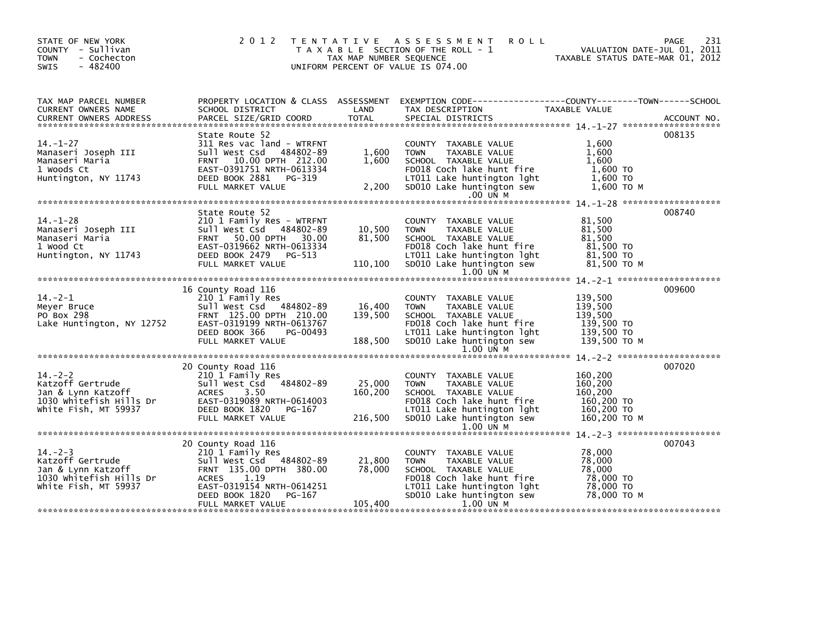| STATE OF NEW YORK<br>COUNTY - Sullivan<br>- Cochecton<br>- 482400                                                                                                                                                                  | TAX MAP NUMBER SEQUENCE<br>UNIFORM PERCENT OF VALUE IS 074.00                                                                                                                                              | 2012 TENTATIVE ASSESSMENT ROLL<br>T A X A B L E SECTION OF THE ROLL - 1                                                                                                                                                       | PAGE<br>VALUATION DATE-JUL 01, 2011<br>TAXABLE STATUS DATE-MAR 01, 2012       | 231 |
|------------------------------------------------------------------------------------------------------------------------------------------------------------------------------------------------------------------------------------|------------------------------------------------------------------------------------------------------------------------------------------------------------------------------------------------------------|-------------------------------------------------------------------------------------------------------------------------------------------------------------------------------------------------------------------------------|-------------------------------------------------------------------------------|-----|
| TAX MAP PARCEL NUMBER                                                                                                                                                                                                              | PROPERTY LOCATION & CLASS ASSESSMENT EXEMPTION CODE---------------COUNTY-------TOWN-----SCHOOL                                                                                                             |                                                                                                                                                                                                                               |                                                                               |     |
| Manaseri Joseph III<br>Manaseri Maria<br>1 Woods Ct<br>Huntington, NY 11743                                                                                                                                                        | State Route 52<br>311 Res vac land - WTRFNT<br>$1,600$<br>$1.600$<br>sull West Csd 484802-89<br>FRNT 10.00 DPTH 212.00<br>EAST-0391751 NRTH-0613334<br>DEED BOOK 2881 PG-319<br>2,200<br>FULL MARKET VALUE | COUNTY TAXABLE VALUE<br>TAXABLE VALUE<br><b>TOWN</b><br>SCHOOL TAXABLE VALUE<br>FD018 Coch lake hunt fire<br>LTO11 Lake huntington lght<br>SD010 Lake huntington sew<br>$.00$ UN M                                            | 008135<br>1,600<br>1.600<br>1,600<br>1,600 TO<br>$1,600$ TO<br>$1,600$ TO M   |     |
|                                                                                                                                                                                                                                    |                                                                                                                                                                                                            |                                                                                                                                                                                                                               |                                                                               |     |
| 14.-1-20<br>Manaseri Joseph III<br>Manaseri Maria<br>1 Wood Ct<br>Huntington, NY 11743                                                                                                                                             | State Route 52<br>04802-89 10,500<br>EAST-0319662 NRTH-0613334<br>DEED BOOK 2479 PG-513<br>FULL MARKET VALUE 110,100<br>WARKET VALUE 110,100                                                               | COUNTY TAXABLE VALUE<br>TAXABLE VALUE<br><b>TOWN</b><br>SCHOOL TAXABLE VALUE<br>FD018 Coch lake hunt fire 81,500 TO<br>LT011 Lake huntington lght 81,500 TO<br>110,100 SD010 Lake huntington sew<br>1.00 UN M                 | 008740<br>81,500<br>81,500<br>81,500<br>81,500 то м                           |     |
|                                                                                                                                                                                                                                    |                                                                                                                                                                                                            |                                                                                                                                                                                                                               |                                                                               |     |
| 16 County Road 116<br>Meyer Bruce<br>PO Box 298<br>Lake Huntington, NY 12752                                                                                                                                                       | 210 1 Family Res<br>Sull West Csd 484802-89 16,400<br>FRNT 125.00 DPTH 210.00 139,500<br>EAST-0319199 NRTH-0613767<br>DEED BOOK 366<br>PG-00493<br>FULL MARKET VALUE                                       | COUNTY TAXABLE VALUE<br><b>TOWN</b><br>TAXABLE VALUE<br>SCHOOL TAXABLE VALUE<br>FD018 Coch lake hunt fire                139,500 TO<br>LTO11 Lake huntington lght             139,500 TO<br>188,500 SD010 Lake huntington sew | 009600<br>139,500<br>139,500<br>139,500<br>139,500 то м                       |     |
|                                                                                                                                                                                                                                    |                                                                                                                                                                                                            |                                                                                                                                                                                                                               |                                                                               |     |
|                                                                                                                                                                                                                                    | 25,000<br>160,200<br>DEED BOOK 1820 PG-167<br>FULL MARKET VALUE                                                                                                                                            | COUNTY TAXABLE VALUE<br><b>TOWN</b><br>TAXABLE VALUE<br>SCHOOL TAXABLE VALUE<br>FD018 Coch lake hunt fire<br>LT011 Lake huntington lght<br>216,500 SD010 Lake huntington sew                                                  | 160,200<br>160,200<br>160.200<br>160,200 TO<br>160,200 TO<br>160,200 ТО М     |     |
|                                                                                                                                                                                                                                    |                                                                                                                                                                                                            |                                                                                                                                                                                                                               |                                                                               |     |
| 20 County Road 116                                                                                                                                                                                                                 | 210 1 Family Res<br>21,800<br>78,000<br>PG-167<br>DEED BOOK 1820<br>105,400<br>FULL MARKET VALUE                                                                                                           | COUNTY TAXABLE VALUE<br><b>TOWN</b><br>TAXABLE VALUE<br>SCHOOL TAXABLE VALUE<br>FD018 Coch lake hunt fire<br>LT011 Lake huntington lght<br>SD010 Lake huntington sew<br>1.00 UN M                                             | 007043<br>78,000<br>78,000<br>78,000<br>78,000 TO<br>78,000 TO<br>78.000 то м |     |
| Accountly Road 116<br>Xatzoff Gertrude<br>1030 Whitefish Hills Dramin Market Market Market Market Market Market Market Market Market Market Market Market Market Market Market Market Market Market Market Market Market Market Ma |                                                                                                                                                                                                            | $1.00$ UN M<br>1.00 UN M                                                                                                                                                                                                      | 007020                                                                        |     |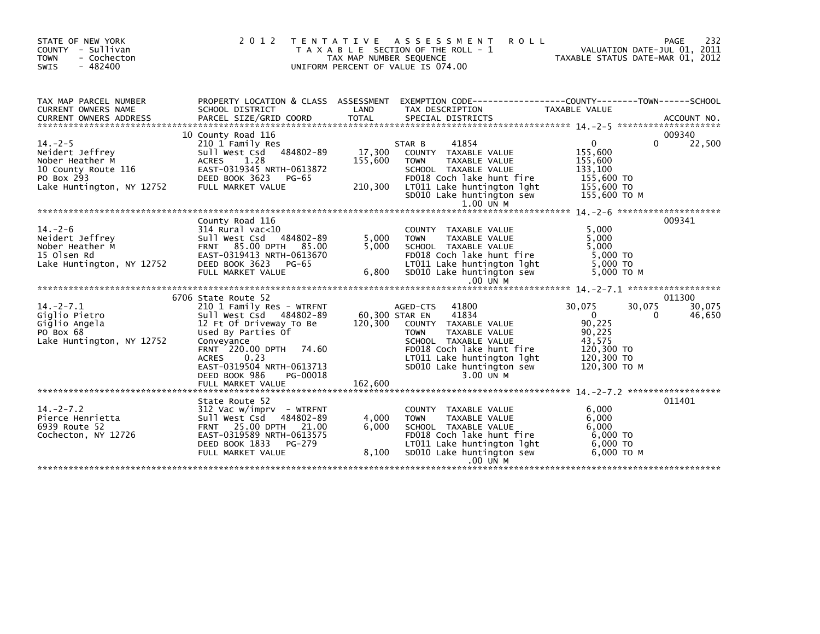| STATE OF NEW YORK<br>COUNTY - Sullivan<br><b>TOWN</b><br>- Cochecton<br>$-482400$<br><b>SWIS</b>                             | 2 0 1 2                                                                                                                                                                                                                                                                     | TAX MAP NUMBER SEQUENCE              | TENTATIVE ASSESSMENT<br><b>ROLL</b><br>T A X A B L E SECTION OF THE ROLL - 1<br>UNIFORM PERCENT OF VALUE IS 074.00                                                                                                       | VALUATION DATE-JUL 01, 2011<br>TAXABLE STATUS DATE-MAR 01, 2012                                                          | 232<br><b>PAGE</b>         |
|------------------------------------------------------------------------------------------------------------------------------|-----------------------------------------------------------------------------------------------------------------------------------------------------------------------------------------------------------------------------------------------------------------------------|--------------------------------------|--------------------------------------------------------------------------------------------------------------------------------------------------------------------------------------------------------------------------|--------------------------------------------------------------------------------------------------------------------------|----------------------------|
| TAX MAP PARCEL NUMBER<br>CURRENT OWNERS NAME<br>CURRENT OWNERS ADDRESS                                                       | SCHOOL DISTRICT<br>PARCEL SIZE/GRID COORD                                                                                                                                                                                                                                   | LAND<br><b>TOTAL</b>                 | PROPERTY LOCATION & CLASS ASSESSMENT EXEMPTION CODE---------------COUNTY-------TOWN------SCHOOL<br>TAX DESCRIPTION<br>SPECIAL DISTRICTS                                                                                  | TAXABLE VALUE                                                                                                            | ACCOUNT NO.                |
| $14. -2 - 5$<br>Neidert Jeffrey<br>Nober Heather M<br>10 County Route 116<br>2752<br>PO Box 293<br>Lake Huntington, NY 12752 | 10 County Road 116<br>210 1 Family Res<br>484802-89<br>Sull West Csd<br>1.28<br><b>ACRES</b><br>EAST-0319345 NRTH-0613872<br>DEED BOOK 3623<br>PG-65<br>FULL MARKET VALUE                                                                                                   | 17,300<br>155,600<br>210,300         | 41854<br>STAR B<br>COUNTY TAXABLE VALUE<br><b>TOWN</b><br><b>TAXABLE VALUE</b><br>SCHOOL TAXABLE VALUE<br>FD018 Coch lake hunt fire<br>LIVII Lake huntington 1ght<br>SD010 Lake huntington sew 155.600 TO<br>$1.00$ UN M | $\overline{0}$<br>0<br>155,600<br>155,600<br>133,100<br>155,600 TO<br>155,600 TO M                                       | 009340<br>22,500           |
| $14. -2 - 6$<br>Neidert Jeffrey<br>Nober Heather M<br>15 Olsen Rd<br>Lake Huntington, NY 12752                               | County Road 116<br>314 Rural vac<10<br>Sull West Csd 484802-89<br>FRNT 85.00 DPTH 85.00<br>EAST-0319413 NRTH-0613670<br>DEED BOOK 3623<br>PG-65<br>FULL MARKET VALUE                                                                                                        | 5,000<br>5.000<br>6,800              | COUNTY TAXABLE VALUE<br>TAXABLE VALUE<br><b>TOWN</b><br>SCHOOL TAXABLE VALUE<br>FD018 Coch lake hunt fire<br>LT011 Lake huntington lght<br>SD010 Lake huntington sew<br>$.00$ UN M                                       | 5.000<br>5,000<br>5.000<br>5.000 TO<br>5.000 TO<br>5.000 TO M                                                            | 009341                     |
| $14. -2 - 7.1$<br>Gialio Pietro<br>Giglio Angela<br>PO Box 68<br>Lake Huntington, NY 12752                                   | 6706 State Route 52<br>210 1 Family Res - WTRFNT<br>Sull West Csd 484802-89<br>12 Ft Of Driveway To Be<br>Used By Parties Of<br>Conveyance<br>FRNT 220.00 DPTH 74.60<br>0.23<br><b>ACRES</b><br>EAST-0319504 NRTH-0613713<br>DEED BOOK 986<br>PG-00018<br>FULL MARKET VALUE | 60,300 STAR EN<br>120,300<br>162,600 | 41800<br>AGED-CTS<br>41834<br>COUNTY TAXABLE VALUE<br><b>TOWN</b><br>TAXABLE VALUE<br>SCHOOL TAXABLE VALUE<br>FD018 Coch lake hunt fire<br>LT011 Lake huntington lght<br>SD010 Lake huntington sew<br>3.00 UN M          | 30,075<br>30,075<br>$\overline{0}$<br>$\Omega$<br>90,225<br>90,225<br>43,575<br>120,300 TO<br>120,300 TO<br>120,300 ТО М | 011300<br>30,075<br>46,650 |
| $14. -2 - 7.2$<br>Pierce Henrietta<br>6939 Route 52<br>Cochecton, NY 12726                                                   | State Route 52<br>$312$ Vac w/imprv - WTRFNT<br>Sull West Csd 484802-89<br>FRNT 25.00 DPTH 21.00<br>EAST-0319589 NRTH-0613575<br>DEED BOOK 1833<br>PG-279<br>FULL MARKET VALUE                                                                                              | 4,000<br>6.000<br>8,100              | COUNTY TAXABLE VALUE<br><b>TOWN</b><br>TAXABLE VALUE<br>SCHOOL TAXABLE VALUE<br>FD018 Coch lake hunt fire<br>LT011 Lake huntington lght<br>SD010 Lake huntington sew<br>.00 UN M                                         | 6,000<br>6,000<br>6.000<br>6,000 TO<br>6,000 TO<br>6.000 ТО М                                                            | 011401                     |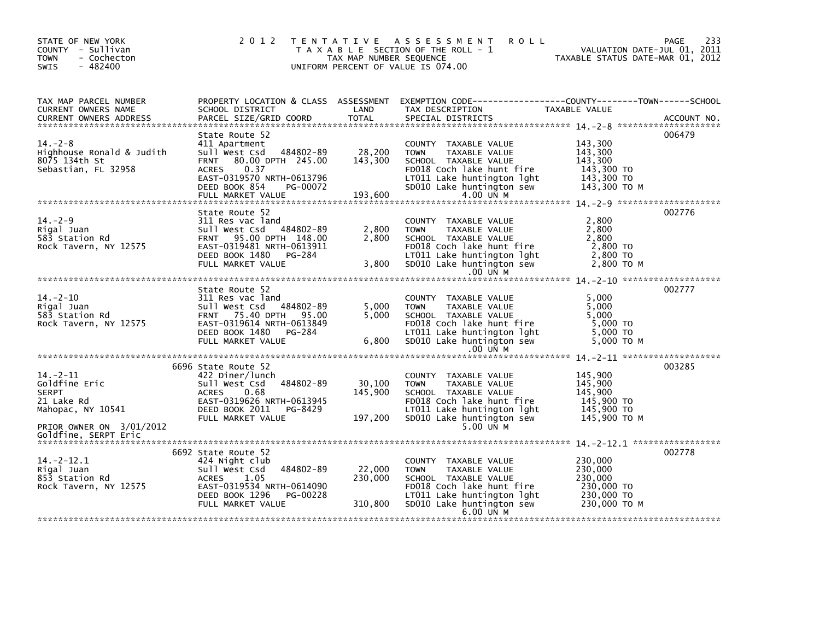| STATE OF NEW YORK<br>COUNTY - Sullivan<br><b>TOWN</b><br>- Cochecton<br>$-482400$<br><b>SWIS</b>               | 2 0 1 2                                                                                                                                                                             | TAX MAP NUMBER SEQUENCE      | TENTATIVE ASSESSMENT<br><b>ROLL</b><br>T A X A B L E SECTION OF THE ROLL - 1<br>UNIFORM PERCENT OF VALUE IS 074.00                                                                         | VALUATION DATE-JUL 01, 2011<br>TAXABLE STATUS DATE-MAR 01, 2012           | 233<br>PAGE |
|----------------------------------------------------------------------------------------------------------------|-------------------------------------------------------------------------------------------------------------------------------------------------------------------------------------|------------------------------|--------------------------------------------------------------------------------------------------------------------------------------------------------------------------------------------|---------------------------------------------------------------------------|-------------|
| TAX MAP PARCEL NUMBER<br>CURRENT OWNERS NAME                                                                   |                                                                                                                                                                                     |                              |                                                                                                                                                                                            |                                                                           |             |
|                                                                                                                |                                                                                                                                                                                     |                              |                                                                                                                                                                                            |                                                                           |             |
| $14. -2 - 8$<br>Highhouse Ronald & Judith<br>8075 134th St<br>Sebastian, FL 32958                              | State Route 52<br>411 Apartment<br>484802-89<br>Sull West Csd<br>80.00 DPTH 245.00<br><b>FRNT</b><br><b>ACRES</b><br>0.37<br>EAST-0319570 NRTH-0613796<br>DEED BOOK 854<br>PG-00072 | 28,200<br>143,300            | COUNTY TAXABLE VALUE<br><b>TOWN</b><br>TAXABLE VALUE<br>SCHOOL TAXABLE VALUE<br>FD018 Coch lake hunt fire<br>LT011 Lake huntington 1ght 143,300 TO<br>SD010 Lake huntington sew 143,300 TO | 143,300<br>143,300<br>143,300<br>143,300 TO<br>143,300 ТО М               | 006479      |
|                                                                                                                |                                                                                                                                                                                     |                              |                                                                                                                                                                                            |                                                                           |             |
| $14. - 2 - 9$<br>Rigal Juan<br>583 Station Rd<br>Rock Tavern, NY 12575                                         | State Route 52<br>311 Res vac land<br>Sull West Csd 484802-89<br>FRNT 95.00 DPTH 148.00<br>EAST-0319481 NRTH-0613911<br>DEED BOOK 1480 PG-284<br>FULL MARKET VALUE                  | 2,800<br>2,800<br>3,800      | COUNTY TAXABLE VALUE<br>TAXABLE VALUE<br><b>TOWN</b><br>SCHOOL TAXABLE VALUE<br>FD018 Coch lake hunt fire<br>LT011 Lake huntington lght<br>SD010 Lake huntington sew<br>.00 UN M           | 2,800<br>2,800<br>2,800<br>2,800 TO<br>2,800 TO<br>2,800 TO M             | 002776      |
|                                                                                                                |                                                                                                                                                                                     |                              |                                                                                                                                                                                            |                                                                           |             |
| $14. - 2 - 10$<br>Rigal Juan<br>583 Station Rd<br>Rock Tavern, NY 12575                                        | State Route 52<br>311 Res vac land<br>Sull West Csd 484802-89<br>FRNT 75.40 DPTH 95.00<br>EAST-0319614 NRTH-0613849<br>DEED BOOK 1480 PG-284<br>FULL MARKET VALUE                   | 5,000<br>5,000<br>6,800      | COUNTY TAXABLE VALUE<br><b>TOWN</b><br>TAXABLE VALUE<br>SCHOOL TAXABLE VALUE<br>FD018 Coch lake hunt fire<br>LT011 Lake huntington lght<br>SD010 Lake huntington sew<br>.00 UN M           | 5,000<br>5,000<br>5.000<br>5,000 TO<br>5,000 TO<br>5,000 TO M             | 002777      |
|                                                                                                                |                                                                                                                                                                                     |                              |                                                                                                                                                                                            |                                                                           |             |
| $14. - 2 - 11$<br>Goldfine Eric<br><b>SERPT</b><br>21 Lake Rd<br>Mahopac, NY 10541<br>PRIOR OWNER ON 3/01/2012 | 6696 State Route 52<br>422 Diner/lunch<br>484802-89<br>Sull West Csd<br><b>ACRES</b><br>0.68<br>EAST-0319626 NRTH-0613945<br>DEED BOOK 2011 PG-8429<br>FULL MARKET VALUE            | 30,100<br>145,900<br>197,200 | COUNTY TAXABLE VALUE<br><b>TOWN</b><br>TAXABLE VALUE<br>SCHOOL TAXABLE VALUE<br>FD018 Coch lake hunt fire<br>LT011 Lake huntington lght<br>SD010 Lake huntington sew<br>5.00 UN M          | 145,900<br>145,900<br>145.900<br>145,900 TO<br>145,900 TO<br>145,900 TO M | 003285      |
| Goldfine, SERPT Eric                                                                                           |                                                                                                                                                                                     |                              |                                                                                                                                                                                            |                                                                           |             |
| $14. -2 - 12.1$<br>Rigal Juan<br>853 Station Rd<br>Rock Tavern, NY 12575                                       | 6692 State Route 52<br>424 Night club<br>484802-89<br>Sull West Csd<br>1.05<br>ACRES<br>EAST-0319534 NRTH-0614090<br>DEED BOOK 1296 PG-00228<br>FULL MARKET VALUE                   | 22,000<br>230,000<br>310,800 | COUNTY TAXABLE VALUE<br><b>TOWN</b><br>TAXABLE VALUE<br>SCHOOL TAXABLE VALUE<br>FD018 Coch lake hunt fire<br>LT011 Lake huntington lght<br>SD010 Lake huntington sew<br>6.00 UN M          | 230,000<br>230,000<br>230,000<br>230,000 TO<br>230,000 TO<br>230,000 ТО М | 002778      |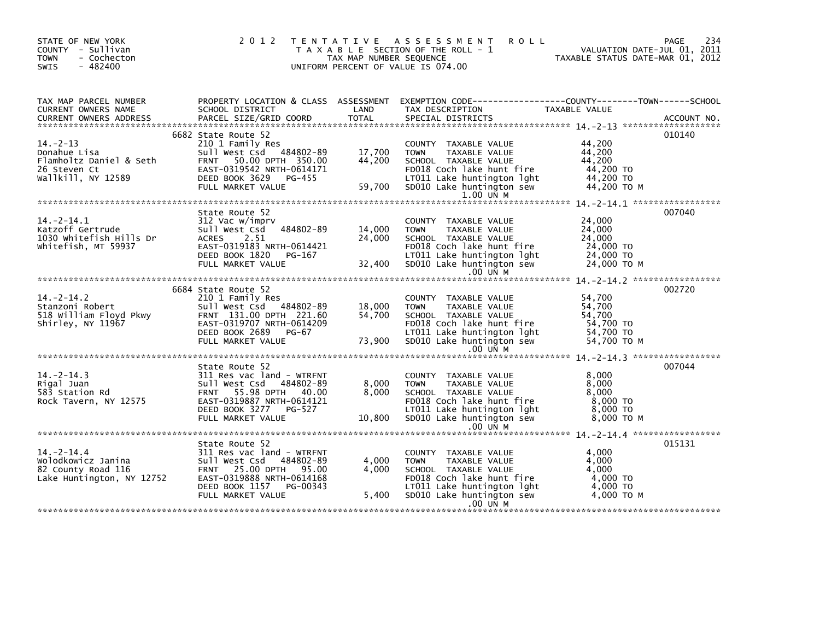|                                                                                             |                                                              |                                                                                            |                                                                                                                                                                                                                                                                                                                 | 234<br>PAGE                                                                                                                                                                                                                                                                                                                                                                                                                                                                                                                                                                                                                  |
|---------------------------------------------------------------------------------------------|--------------------------------------------------------------|--------------------------------------------------------------------------------------------|-----------------------------------------------------------------------------------------------------------------------------------------------------------------------------------------------------------------------------------------------------------------------------------------------------------------|------------------------------------------------------------------------------------------------------------------------------------------------------------------------------------------------------------------------------------------------------------------------------------------------------------------------------------------------------------------------------------------------------------------------------------------------------------------------------------------------------------------------------------------------------------------------------------------------------------------------------|
|                                                                                             |                                                              |                                                                                            |                                                                                                                                                                                                                                                                                                                 |                                                                                                                                                                                                                                                                                                                                                                                                                                                                                                                                                                                                                              |
| 210 1 Family Res                                                                            |                                                              | COUNTY TAXABLE VALUE<br><b>TOWN</b><br>TAXABLE VALUE<br>SCHOOL TAXABLE VALUE               | 44,200<br>44,200<br>44,200<br>44,200 TO<br>44,200 TO M                                                                                                                                                                                                                                                          | 010140                                                                                                                                                                                                                                                                                                                                                                                                                                                                                                                                                                                                                       |
|                                                                                             |                                                              |                                                                                            |                                                                                                                                                                                                                                                                                                                 |                                                                                                                                                                                                                                                                                                                                                                                                                                                                                                                                                                                                                              |
| State Route 52                                                                              | 14,000<br>24,000                                             | COUNTY TAXABLE VALUE<br><b>TOWN</b><br>TAXABLE VALUE<br>SCHOOL TAXABLE VALUE               | 24,000<br>24,000<br>24,000<br>24,000 TO<br>24,000 TO M                                                                                                                                                                                                                                                          | 007040                                                                                                                                                                                                                                                                                                                                                                                                                                                                                                                                                                                                                       |
|                                                                                             |                                                              |                                                                                            |                                                                                                                                                                                                                                                                                                                 |                                                                                                                                                                                                                                                                                                                                                                                                                                                                                                                                                                                                                              |
| 210 1 Family Res                                                                            |                                                              | COUNTY TAXABLE VALUE<br>TAXABLE VALUE<br><b>TOWN</b><br>SCHOOL TAXABLE VALUE               | 54,700<br>54,700<br>54,700<br>54,700 TO<br>54,700 TO M                                                                                                                                                                                                                                                          | 002720                                                                                                                                                                                                                                                                                                                                                                                                                                                                                                                                                                                                                       |
|                                                                                             |                                                              |                                                                                            |                                                                                                                                                                                                                                                                                                                 |                                                                                                                                                                                                                                                                                                                                                                                                                                                                                                                                                                                                                              |
| Sull West Csd 484802-89<br>FRNT 55.98 DPTH 40.00<br>EAST-0319887 NRTH-0614121               |                                                              | COUNTY TAXABLE VALUE<br>TOWN<br>TAXABLE VALUE<br>SCHOOL TAXABLE VALUE                      | 8.000<br>8,000<br>8,000<br>$8,000$ TO<br>8,000 то м                                                                                                                                                                                                                                                             | 007044                                                                                                                                                                                                                                                                                                                                                                                                                                                                                                                                                                                                                       |
|                                                                                             |                                                              |                                                                                            |                                                                                                                                                                                                                                                                                                                 |                                                                                                                                                                                                                                                                                                                                                                                                                                                                                                                                                                                                                              |
| State Route 52<br>311 Res vac land - WTRFNT<br>DEED BOOK 1157 PG-00343<br>FULL MARKET VALUE |                                                              | COUNTY TAXABLE VALUE<br><b>TOWN</b><br>TAXABLE VALUE<br>SCHOOL TAXABLE VALUE<br>$.00$ UN M | 4.000<br>4,000<br>4,000<br>4.000 TO<br>4,000 TO<br>4,000 TO M                                                                                                                                                                                                                                                   | 015131                                                                                                                                                                                                                                                                                                                                                                                                                                                                                                                                                                                                                       |
|                                                                                             | 6682 State Route 52<br>6684 State Route 52<br>State Route 52 | <b>LAND</b><br>EAST-0319183 NRTH-0614421<br>311 Res vac land - WTRFNT                      | 2012 TENTATIVE ASSESSMENT<br>T A X A B L E SECTION OF THE ROLL - 1<br>TAX MAP NUMBER SEQUENCE<br>UNIFORM PERCENT OF VALUE IS 074.00<br>$1.00$ UN M<br><b>DEED BOOK 1820</b> PG-167<br>FULL MARKET VALUE 32,400<br>$.00$ UN M<br>.00 UN M<br>8,000<br>8,000<br>4,000<br>4,000<br>5,400 SD010 Lake huntington sew | <b>ROLL</b><br>VALUATION DATE-JUL 01, 2011<br>TAXABLE STATUS DATE-MAR 01, 2012<br>CURRENT OWNERS ADDRESS FORCEL SIZE/GRID COORD TOTAL SPECIAL DISTRICTS (2008) ACCOUNT NO.<br>TERRENT OWNERS ADDRESS FARCEL SIZE/GRID COORD TOTAL SPECIAL DISTRICTS (2008) 2-13 ****************************<br>FD018 Coch lake hunt fire<br>FD018 Coch lake hunt fire<br>$24,000$ TO<br>LT011 Lake huntington $10h$ $24,000$ TO<br>$32,400$ SD010 Lake huntington sew<br>FD018 Coch lake hunt fire<br>LT011 Lake huntington 1ght 54,700 TO<br>FD018 Coch lake hunt fire<br>FD018 Coch lake hunt fire<br>5.400<br>LTO11 Lake huntington lght |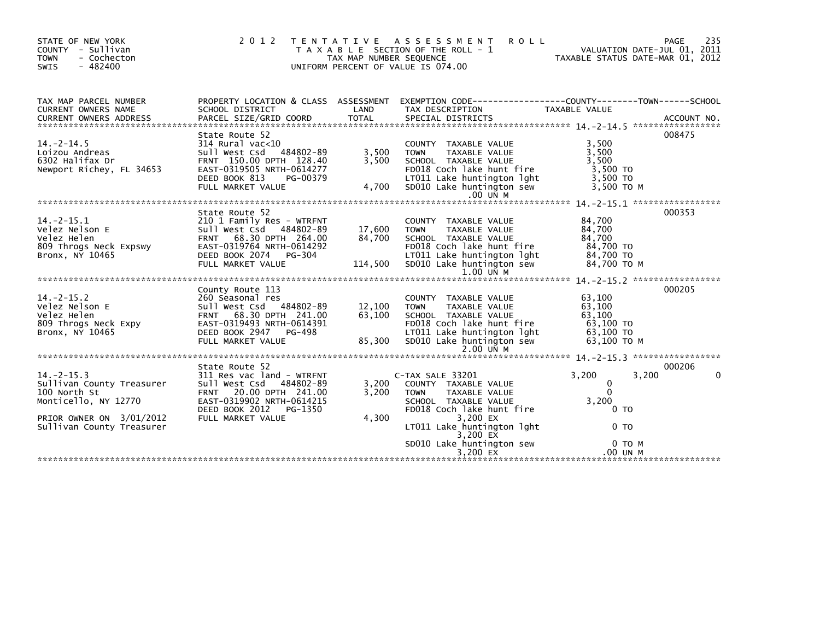| STATE OF NEW YORK<br>COUNTY - Sullivan<br>- Cochecton<br><b>TOWN</b><br>$-482400$<br><b>SWIS</b>                                              | 2 0 1 2                                                                                                                                                                         | TAX MAP NUMBER SEQUENCE     | TENTATIVE ASSESSMENT<br><b>ROLL</b><br>T A X A B L E SECTION OF THE ROLL - 1<br>UNIFORM PERCENT OF VALUE IS 074.00                                                                  | VALUATION DATE-JUL 01, 2011<br>TAXABLE STATUS DATE-MAR 01, 2012                        | 235<br>PAGE |
|-----------------------------------------------------------------------------------------------------------------------------------------------|---------------------------------------------------------------------------------------------------------------------------------------------------------------------------------|-----------------------------|-------------------------------------------------------------------------------------------------------------------------------------------------------------------------------------|----------------------------------------------------------------------------------------|-------------|
| TAX MAP PARCEL NUMBER<br><b>CURRENT OWNERS NAME</b><br><b>CURRENT OWNERS ADDRESS</b>                                                          | SCHOOL DISTRICT<br>PARCEL SIZE/GRID COORD                                                                                                                                       | LAND<br><b>TOTAL</b>        | PROPERTY LOCATION & CLASS ASSESSMENT EXEMPTION CODE---------------COUNTY-------TOWN------SCHOOL<br>TAX DESCRIPTION<br>SPECIAL DISTRICTS                                             | TAXABLE VALUE                                                                          | ACCOUNT NO. |
| $14. - 2 - 14.5$<br>Loizou Andreas<br>6302 Halifax Dr<br>Newport Richey, FL 34653                                                             | State Route 52<br>$314$ Rural vac<10<br>Sull West Csd 484802-89<br>FRNT 150.00 DPTH 128.40<br>EAST-0319505 NRTH-0614277<br>DEED BOOK 813<br>PG-00379<br>FULL MARKET VALUE       | 3,500<br>3,500<br>4,700     | COUNTY TAXABLE VALUE<br>TAXABLE VALUE<br><b>TOWN</b><br>SCHOOL TAXABLE VALUE<br>FD018 Coch lake hunt fire<br>LT011 Lake huntington lght<br>SD010 Lake huntington sew<br>$.00$ UN M  | 3,500<br>3,500<br>3,500<br>3,500 TO<br>3.500 TO<br>3,500 ТО М                          | 008475      |
| $14. -2 - 15.1$<br>Velez Nelson E<br>Velez Helen<br>809 Throgs Neck Expswy<br>Bronx, NY 10465                                                 | State Route 52<br>210 1 Family Res - WTRFNT<br>Sull West Csd 484802-89<br>FRNT 68.30 DPTH 264.00<br>EAST-0319764 NRTH-0614292<br>DEED BOOK 2074<br>PG-304<br>FULL MARKET VALUE  | 17,600<br>84,700<br>114,500 | COUNTY TAXABLE VALUE<br>TAXABLE VALUE<br><b>TOWN</b><br>SCHOOL TAXABLE VALUE<br>FD018 Coch lake hunt fire<br>LT011 Lake huntington lght<br>SD010 Lake huntington sew<br>1.00 UN M   | 84,700<br>84,700<br>84,700<br>84,700 TO<br>84,700 TO<br>84.700 TO M                    | 000353      |
| $14. -2 - 15.2$<br>Velez Nelson E<br>Velez Helen<br>809 Throgs Neck Expy<br>Bronx, NY 10465                                                   | County Route 113<br>260 Seasonal res<br>Sull West Csd 484802-89<br>FRNT 68.30 DPTH 241.00<br>EAST-0319493 NRTH-0614391<br>DEED BOOK 2947 PG-498<br>FULL MARKET VALUE            | 12,100<br>63,100<br>85,300  | COUNTY TAXABLE VALUE<br><b>TOWN</b><br>TAXABLE VALUE<br>SCHOOL TAXABLE VALUE<br>FD018 Coch lake hunt fire<br>LT011 Lake huntington lght<br>SD010 Lake huntington sew<br>$2.00$ UN M | 63,100<br>63.100<br>63.100<br>63,100 TO<br>63,100 TO<br>63,100 ТО М                    | 000205      |
| $14. -2 - 15.3$<br>Sullivan County Treasurer<br>100 North St<br>Monticello, NY 12770<br>PRIOR OWNER ON 3/01/2012<br>Sullivan County Treasurer | State Route 52<br>311 Res vac land - WTRFNT<br>Sull West Csd 484802-89<br>FRNT 20.00 DPTH 241.00<br>EAST-0319902 NRTH-0614215<br>DEED BOOK 2012<br>PG-1350<br>FULL MARKET VALUE | 3,200<br>3.200<br>4,300     | C-TAX SALE 33201<br>COUNTY TAXABLE VALUE<br><b>TOWN</b><br><b>TAXABLE VALUE</b><br>SCHOOL TAXABLE VALUE<br>FD018 Coch lake hunt fire<br>3,200 EX<br>LT011 Lake huntington lght      | 3,200<br>3,200<br>$\mathbf 0$<br>$\Omega$<br>3,200<br>0 <sub>T</sub><br>0 <sub>T</sub> | 000206<br>0 |
|                                                                                                                                               |                                                                                                                                                                                 |                             | 3,200 EX<br>SD010 Lake huntington sew<br>3.200 $\overline{EX}$                                                                                                                      | 0 TO M<br>.00 UN M                                                                     |             |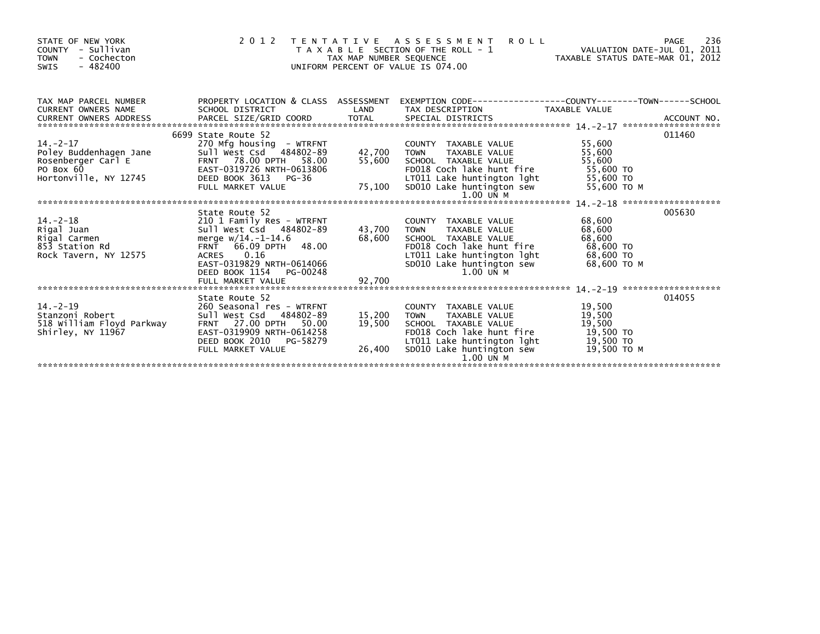| STATE OF NEW YORK<br>COUNTY - Sullivan<br><b>TOWN</b><br>- Cochecton<br>$-482400$<br><b>SWIS</b>    |                                                                                                                                                                                                                     | TAX MAP NUMBER SEQUENCE    | <b>ROLL</b><br>2012 TENTATIVE ASSESSMENT<br>T A X A B L E SECTION OF THE ROLL - 1<br>UNIFORM PERCENT OF VALUE IS 074.00                                                                           | VALUATION DATE-JUL 01, 2011<br>TAXABLE STATUS DATE-MAR 01, 2012     | 236<br>PAGE |
|-----------------------------------------------------------------------------------------------------|---------------------------------------------------------------------------------------------------------------------------------------------------------------------------------------------------------------------|----------------------------|---------------------------------------------------------------------------------------------------------------------------------------------------------------------------------------------------|---------------------------------------------------------------------|-------------|
| TAX MAP PARCEL NUMBER<br>CURRENT OWNERS NAME<br>CURRENT OWNERS ADDRESS                              | SCHOOL DISTRICT                                                                                                                                                                                                     | <b>Example 18 DE LAND</b>  | PROPERTY LOCATION & CLASS ASSESSMENT EXEMPTION CODE----------------COUNTY-------TOWN-----SCHOOL<br>TAX DESCRIPTION                                                                                | TAXABLE VALUE                                                       |             |
| $14. -2 - 17$<br>Poley Buddenhagen Jane<br>Rosenberger Carl E<br>PO Box 60<br>Hortonville, NY 12745 | 6699 State Route 52<br>270 Mfg housing - WTRFNT<br>Sull West Csd 484802-89<br>FRNT 78.00 DPTH 58.00<br>EAST-0319726 NRTH-0613806<br>DEED BOOK 3613 PG-36<br>FULL MARKET VALUE                                       | 42,700<br>75,100           | COUNTY TAXABLE VALUE<br>TAXABLE VALUE<br><b>TOWN</b><br>55,600 SCHOOL TAXABLE VALUE<br>FD018 Coch lake hunt fire<br>LT011 Lake huntington lght 55,600 TO<br>SD010 Lake huntington sew 55,600 TO M | 55,600<br>55,600<br>55,600<br>55,600 TO                             | 011460      |
|                                                                                                     |                                                                                                                                                                                                                     |                            | $1.00$ UN M                                                                                                                                                                                       |                                                                     |             |
| $14. -2 - 18$<br>Rigal Juan<br>Rigal Carmen<br>853 Station Rd<br>Rock Tavern, NY 12575              | State Route 52<br>210 1 Family Res - WTRFNT<br>Sull West Csd 484802-89<br>merge $w/14. -1-14.6$<br>FRNT 66.09 DPTH 48.00<br>ACRES 0.16<br>EAST-0319829 NRTH-0614066<br>DEED BOOK 1154 PG-00248<br>FULL MARKET VALUE | 43,700<br>68,600<br>92,700 | COUNTY TAXABLE VALUE<br>TAXABLE VALUE<br><b>TOWN</b><br>SCHOOL TAXABLE VALUE<br>FD018 Coch lake hunt fire<br>LT011 Lake huntington lght<br>SD010 Lake huntington sew<br>1.00 UN M                 | 68,600<br>68,600<br>68,600<br>68,600 TO<br>68,600 TO<br>68,600 ТО М | 005630      |
|                                                                                                     | State Route 52                                                                                                                                                                                                      |                            |                                                                                                                                                                                                   |                                                                     | 014055      |
| $14. - 2 - 19$<br>Stanzoni Robert<br>518 William Floyd Parkway<br>Shirley, NY 11967                 | 260 Seasonal res - WTRFNT<br>Sull West Csd 484802-89<br><b>FRNT 27.00 DPTH</b><br>50.00<br>EAST-0319909 NRTH-0614258<br>DEED BOOK 2010 PG-58279<br>FULL MARKET VALUE                                                | 15,200<br>19,500<br>26,400 | COUNTY TAXABLE VALUE<br>TAXABLE VALUE<br><b>TOWN</b><br>SCHOOL TAXABLE VALUE<br>FD018 Coch lake hunt fire<br>FD018 Coch lake hunt fire<br>LT011 Lake huntington lght<br>SD010 Lake huntington sew | 19,500<br>19,500<br>19,500<br>19,500 TO<br>19,500 TO<br>19.500 то м |             |
|                                                                                                     |                                                                                                                                                                                                                     |                            | $1.00$ $U\overline{N}$ M                                                                                                                                                                          |                                                                     |             |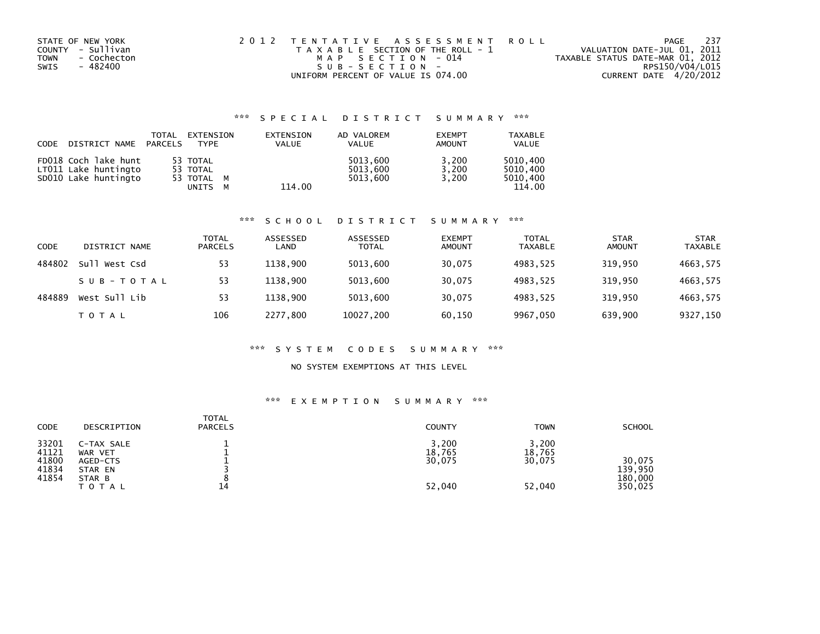| STATE OF NEW YORK   | 2012 TENTATIVE ASSESSMENT ROLL        | PAGE                             | 237 |
|---------------------|---------------------------------------|----------------------------------|-----|
| COUNTY - Sullivan   | T A X A B L E SECTION OF THE ROLL - 1 | VALUATION DATE-JUL 01, 2011      |     |
| - Cochecton<br>TOWN | MAP SECTION - 014                     | TAXABLE STATUS DATE-MAR 01, 2012 |     |
| SWIS<br>- 482400    | $SUB - SECTION -$                     | RPS150/V04/L015                  |     |
|                     | UNIFORM PERCENT OF VALUE IS 074.00    | CURRENT DATE 4/20/2012           |     |

## \*\*\* S P E C I A L D I S T R I C T S U M M A R Y \*\*\*

| <b>CODE</b> | DISTRICT NAME                                                        | TOTAL<br>PARCELS | EXTENSION<br><b>TYPF</b>                    |   | EXTENSION<br><b>VALUE</b> | AD VALOREM<br><b>VALUE</b>       | <b>EXEMPT</b><br>AMOUNT | <b>TAXABLE</b><br><b>VALUE</b>             |
|-------------|----------------------------------------------------------------------|------------------|---------------------------------------------|---|---------------------------|----------------------------------|-------------------------|--------------------------------------------|
|             | FD018 Coch lake hunt<br>LT011 Lake huntingto<br>SD010 Lake huntingto |                  | 53 TOTAL<br>53 TOTAL<br>53 TOTAL M<br>UNITS | м | 114.00                    | 5013.600<br>5013.600<br>5013.600 | 3,200<br>3.200<br>3.200 | 5010.400<br>5010.400<br>5010.400<br>114.00 |

#### \*\*\* S C H O O L D I S T R I C T S U M M A R Y \*\*\*

| <b>CODE</b> | DISTRICT NAME | TOTAL<br><b>PARCELS</b> | ASSESSED<br>LAND | ASSESSED<br><b>TOTAL</b> | <b>EXEMPT</b><br><b>AMOUNT</b> | <b>TOTAL</b><br><b>TAXABLE</b> | <b>STAR</b><br><b>AMOUNT</b> | <b>STAR</b><br><b>TAXABLE</b> |
|-------------|---------------|-------------------------|------------------|--------------------------|--------------------------------|--------------------------------|------------------------------|-------------------------------|
| 484802      | Sull West Csd | 53                      | 1138.900         | 5013,600                 | 30,075                         | 4983.525                       | 319,950                      | 4663,575                      |
|             | SUB-TOTAL     | 53                      | 1138.900         | 5013,600                 | 30,075                         | 4983.525                       | 319.950                      | 4663,575                      |
| 484889      | West Sull Lib | 53                      | 1138.900         | 5013,600                 | 30,075                         | 4983.525                       | 319.950                      | 4663,575                      |
|             | TOTAL         | 106                     | 2277.800         | 10027,200                | 60,150                         | 9967,050                       | 639,900                      | 9327,150                      |

#### \*\*\* S Y S T E M C O D E S S U M M A R Y \*\*\*

### NO SYSTEM EXEMPTIONS AT THIS LEVEL

#### \*\*\* E X E M P T I O N S U M M A R Y \*\*\*

| <b>CODE</b>                               | DESCRIPTION                                                     | <b>TOTAL</b><br><b>PARCELS</b> | <b>COUNTY</b>                       | <b>TOWN</b>                         | <b>SCHOOL</b>                           |
|-------------------------------------------|-----------------------------------------------------------------|--------------------------------|-------------------------------------|-------------------------------------|-----------------------------------------|
| 33201<br>41121<br>41800<br>41834<br>41854 | C-TAX SALE<br>WAR VET<br>AGED-CTS<br>STAR EN<br>STAR B<br>TOTAL | 14                             | 3,200<br>18,765<br>30,075<br>52,040 | 3,200<br>18,765<br>30,075<br>52,040 | 30.075<br>139.950<br>180,000<br>350,025 |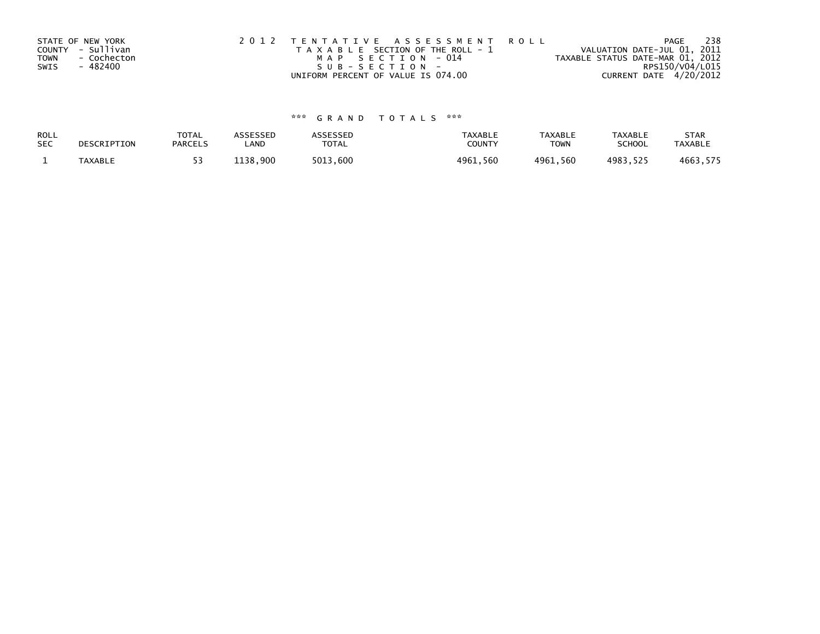| STATE OF NEW YORK   | 2012 TENTATIVE ASSESSMENT ROLL        | PAGE                             | 238 |
|---------------------|---------------------------------------|----------------------------------|-----|
| COUNTY - Sullivan   | T A X A B L E SECTION OF THE ROLL - 1 | VALUATION DATE-JUL 01, 2011      |     |
| - Cochecton<br>TOWN | MAP SECTION - 014                     | TAXABLE STATUS DATE-MAR 01, 2012 |     |
| - 482400<br>SWIS    | SUB-SECTION-                          | RPS150/V04/L015                  |     |
|                     | UNIFORM PERCENT OF VALUE IS 074.00    | CURRENT DATE 4/20/2012           |     |

# \*\*\* G R A N D T O T A L S \*\*\*

| ROLL       | DESCRIPTION    | <b>TOTAL</b>   | ASSESSED | ASSESSED | <b>TAXABLE</b> | <b>TAXABLE</b> | <b>TAXABLE</b> | <b>STAR</b>    |
|------------|----------------|----------------|----------|----------|----------------|----------------|----------------|----------------|
| <b>SEC</b> |                | <b>PARCELS</b> | LAND     | TOTAL    | <b>COUNTY</b>  | <b>TOWN</b>    | <b>SCHOOL</b>  | <b>TAXABLE</b> |
|            | <b>TAXABLE</b> |                | 1138.900 | 5013.600 | 4961,560       | 4961.560       | 4983.525       | 4663,575       |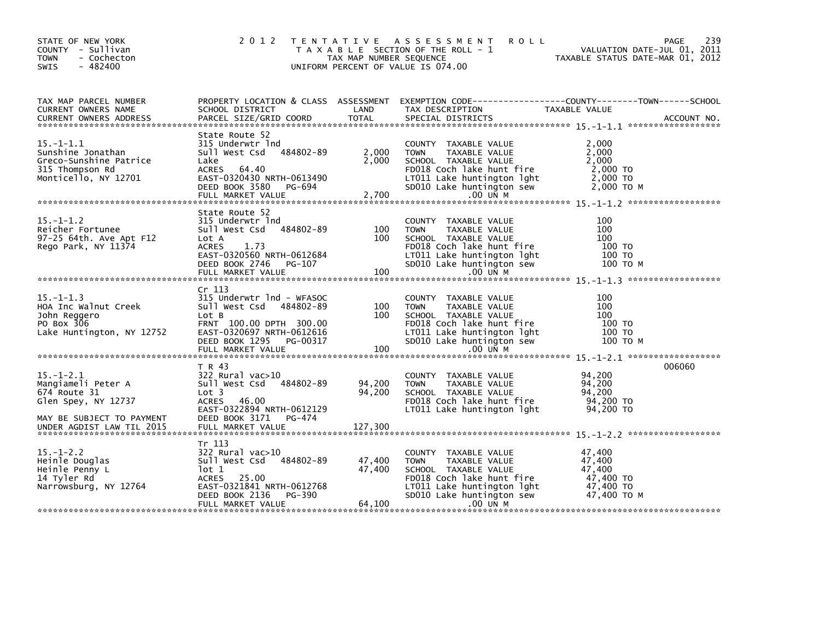| STATE OF NEW YORK<br>COUNTY - Sullivan<br><b>TOWN</b><br>- Cochecton<br>$-482400$<br>SWIS                 | 2 0 1 2                                                                                                                                                                      | TAX MAP NUMBER SEQUENCE    | TENTATIVE ASSESSMENT<br><b>ROLL</b><br>T A X A B L E SECTION OF THE ROLL - 1<br>UNIFORM PERCENT OF VALUE IS 074.00                                                                  | 239<br>PAGE<br>VALUATION DATE-JUL 01, 2011<br>TAXABLE STATUS DATE-MAR 01, 2012                                    |
|-----------------------------------------------------------------------------------------------------------|------------------------------------------------------------------------------------------------------------------------------------------------------------------------------|----------------------------|-------------------------------------------------------------------------------------------------------------------------------------------------------------------------------------|-------------------------------------------------------------------------------------------------------------------|
| TAX MAP PARCEL NUMBER<br>CURRENT OWNERS NAME                                                              | SCHOOL DISTRICT                                                                                                                                                              | LAND                       | TAX DESCRIPTION                                                                                                                                                                     | PROPERTY LOCATION & CLASS ASSESSMENT EXEMPTION CODE----------------COUNTY-------TOWN------SCHOOL<br>TAXABLE VALUE |
| $15. - 1 - 1.1$<br>Sunshine Jonathan<br>Greco-Sunshine Patrice<br>315 Thompson Rd<br>Monticello, NY 12701 | State Route 52<br>315 Underwtr Ind<br>484802-89<br>sull west Csd<br>Lake<br><b>ACRES</b><br>64.40<br>EAST-0320430 NRTH-0613490<br>DEED BOOK 3580 PG-694<br>FULL MARKET VALUE | 2,000<br>2,000<br>2,700    | COUNTY TAXABLE VALUE<br>TAXABLE VALUE<br><b>TOWN</b><br>SCHOOL TAXABLE VALUE<br>FD018 Coch lake hunt fire<br>LT011 Lake huntington lght<br>SD010 Lake huntington sew<br>$.00$ UN M  | 2.000<br>2,000<br>2,000<br>2,000 TO<br>2,000 TO<br>2,000 то м                                                     |
| $15. - 1 - 1.2$<br>Reicher Fortunee<br>97-25 64th. Ave Apt F12<br>Rego Park, NY 11374                     | State Route 52<br>315 Underwtr Ind<br>484802-89<br>Sull West Csd<br>Lot A<br><b>ACRES</b><br>1.73<br>EAST-0320560 NRTH-0612684<br>DEED BOOK 2746 PG-107<br>FULL MARKET VALUE | 100<br>100<br>100          | COUNTY TAXABLE VALUE<br>TAXABLE VALUE<br><b>TOWN</b><br>SCHOOL TAXABLE VALUE<br>FD018 Coch lake hunt fire<br>LT011 Lake huntington lght<br>SD010 Lake huntington sew<br>$.00$ UN M  | 100<br>100<br>100<br>100 TO<br>100 TO<br>100 TO M                                                                 |
| $15. - 1 - 1.3$<br>HOA Inc Walnut Creek<br>John Reggero<br>PO Box 306<br>Lake Huntington, NY 12752        | Cr 113<br>315 Underwtr 1nd - WFASOC<br>Sull West Csd 484802-89<br>Lot B<br>FRNT 100.00 DPTH 300.00<br>EAST-0320697 NRTH-0612616<br>DEED BOOK 1295 PG-00317                   | 100<br>100                 | COUNTY TAXABLE VALUE<br><b>TOWN</b><br>TAXABLE VALUE<br>SCHOOL TAXABLE VALUE<br>FD018 Coch lake hunt fire<br>LT011 Lake huntington lght<br>SD010 Lake huntington sew                | 100<br>100<br>100<br>100 TO<br>100 TO<br>100 TO M                                                                 |
| $15. - 1 - 2.1$<br>Mangiameli Peter A<br>674 Route 31<br>Glen Spey, NY 12737<br>MAY BE SUBJECT TO PAYMENT | T R 43<br>$322$ Rural vac $>10$<br>Sull West Csd 484802-89<br>Lot <sub>3</sub><br><b>ACRES</b><br>46.00<br>EAST-0322894 NRTH-0612129<br>DEED BOOK 3171 PG-474                | 94,200<br>94,200           | COUNTY TAXABLE VALUE<br><b>TOWN</b><br>TAXABLE VALUE<br>SCHOOL TAXABLE VALUE<br>FD018 Coch lake hunt fire<br>LT011 Lake huntington lght                                             | 006060<br>94.200<br>94,200<br>94,200<br>94,200 TO<br>94,200 TO                                                    |
| $15. - 1 - 2.2$<br>Heinle Douglas<br>Heinle Penny L<br>14 Tyler Rd<br>Narrowsburg, NY 12764               | Tr 113<br>$322$ Rural vac $>10$<br>Sull West Csd 484802-89<br>lot 1<br>ACRES<br>25.00<br>EAST-0321841 NRTH-0612768<br>PG-390<br>DEED BOOK 2136<br>FULL MARKET VALUE          | 47,400<br>47,400<br>64,100 | COUNTY<br>TAXABLE VALUE<br><b>TOWN</b><br>TAXABLE VALUE<br>SCHOOL TAXABLE VALUE<br>FD018 Coch lake hunt fire<br>LT011 Lake huntington lght<br>SD010 Lake huntington sew<br>.00 UN M | 47,400<br>47,400<br>47.400<br>47,400 TO<br>47,400 TO<br>47,400 TO M                                               |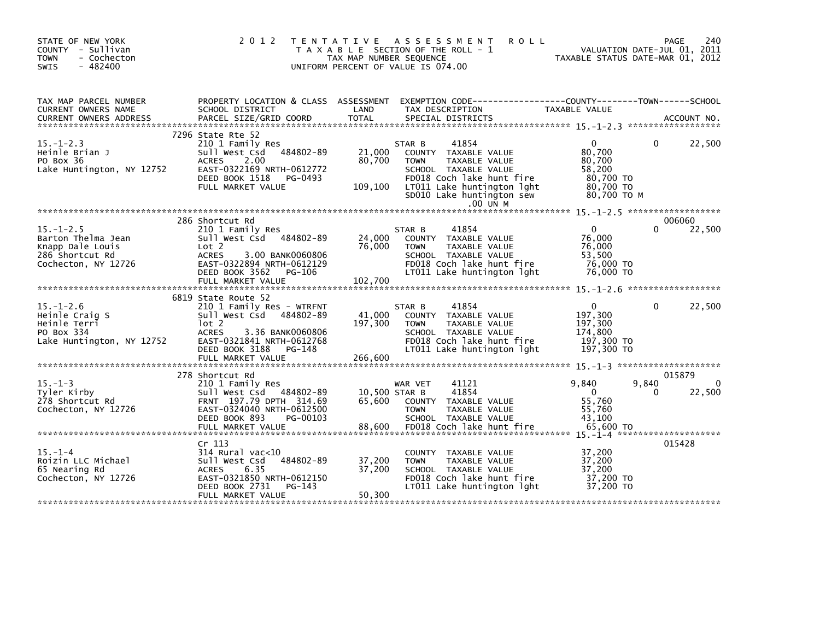| STATE OF NEW YORK<br>COUNTY - Sullivan<br><b>TOWN</b><br>- Cochecton<br>$-482400$<br>SWIS           | 2 0 1 2                                                                                                                                                                              | TENTATIVE ASSESSMENT<br><b>ROLL</b><br>T A X A B L E SECTION OF THE ROLL - 1<br>TAX MAP NUMBER SEQUENCE<br>UNIFORM PERCENT OF VALUE IS 074.00                                                                                                             | 240<br>PAGE<br>VALUATION DATE-JUL 01, 2011<br>TAXABLE STATUS DATE-MAR 01, 2012                                 |
|-----------------------------------------------------------------------------------------------------|--------------------------------------------------------------------------------------------------------------------------------------------------------------------------------------|-----------------------------------------------------------------------------------------------------------------------------------------------------------------------------------------------------------------------------------------------------------|----------------------------------------------------------------------------------------------------------------|
| TAX MAP PARCEL NUMBER<br>CURRENT OWNERS NAME                                                        | PROPERTY LOCATION & CLASS ASSESSMENT<br>SCHOOL DISTRICT                                                                                                                              | LAND<br>TAX DESCRIPTION<br>.CURRENT OWNERS ADDRESS PARCEL SIZE/GRID COORD TOTAL SPECIAL DISTRICTS AND MESS ADDRESS PARCEL SIZE/GRID COORD TOTAL SPECIAL DISTRICTS AND MESS AND MESS ASSESSMENT ON A SERVER AND TOTAL SPECIAL DISTRICTS AND A SERVER AND T | EXEMPTION CODE-----------------COUNTY-------TOWN------SCHOOL<br>TAXABLE VALUE                                  |
| $15 - 1 - 2.3$<br>Heinle Brian J<br>PO Box 36<br>Lake Huntington, NY 12752                          | 7296 State Rte 52<br>210 1 Family Res<br>484802-89<br>Sull West Csd<br><b>ACRES</b><br>2.00<br>EAST-0322169 NRTH-0612772<br>DEED BOOK 1518<br>PG-0493<br>FULL MARKET VALUE           | 41854<br>STAR B<br>21,000<br>COUNTY TAXABLE VALUE<br>80,700<br><b>TOWN</b><br>TAXABLE VALUE<br>SCHOOL TAXABLE VALUE<br>FD018 Coch lake hunt fire<br>109,100<br>LT011 Lake huntington lght<br>SD010 Lake huntington sew<br>.00 UN M                        | 22,500<br>$\mathbf{0}$<br>0<br>80,700<br>80,700<br>58,200<br>80,700 TO<br>80,700 TO<br>80,700 ТО М             |
|                                                                                                     |                                                                                                                                                                                      |                                                                                                                                                                                                                                                           |                                                                                                                |
| $15. - 1 - 2.5$<br>Barton Thelma Jean<br>Knapp Dale Louis<br>286 Shortcut Rd<br>Cochecton, NY 12726 | 286 Shortcut Rd<br>210 1 Family Res<br>Sull West Csd 484802-89<br>Lot 2<br><b>ACRES</b><br>3.00 BANK0060806<br>EAST-0322894 NRTH-0612129<br>DEED BOOK 3562<br>PG-106                 | 41854<br>STAR B<br>24,000<br>COUNTY TAXABLE VALUE<br>76,000<br>TAXABLE VALUE<br><b>TOWN</b><br>SCHOOL TAXABLE VALUE<br>FD018 Coch lake hunt fire<br>LT011 Lake huntington lght                                                                            | 006060<br>22,500<br>$\mathbf{0}$<br>0<br>76,000<br>76,000<br>53,500<br>76,000 TO<br>76,000 TO                  |
|                                                                                                     |                                                                                                                                                                                      |                                                                                                                                                                                                                                                           |                                                                                                                |
| $15. - 1 - 2.6$<br>Heinle Craig S<br>Heinle Terri<br>PO Box 334<br>Lake Huntington, NY 12752        | 6819 State Route 52<br>210 1 Family Res - WTRFNT<br>Sull West Csd 484802-89<br>$1$ ot 2<br><b>ACRES</b><br>3.36 BANK0060806<br>EAST-0321841 NRTH-0612768<br>DEED BOOK 3188<br>PG-148 | 41854<br>STAR B<br>41,000<br>COUNTY TAXABLE VALUE<br>197,300<br><b>TOWN</b><br>TAXABLE VALUE<br>SCHOOL TAXABLE VALUE<br>FD018 Coch lake hunt fire<br>LT011 Lake huntington lght                                                                           | 22,500<br>$\Omega$<br>$\mathbf{0}$<br>197,300<br>197,300<br>174,800<br>197,300 то<br>197,300 TO                |
|                                                                                                     |                                                                                                                                                                                      |                                                                                                                                                                                                                                                           |                                                                                                                |
| $15. -1 - 3$<br>Tyler Kirby<br>278 Shortcut Rd<br>Cochecton, NY 12726                               | 278 Shortcut Rd<br>210 1 Family Res<br>Sull West Csd 484802-89<br>FRNT 197.79 DPTH 314.69<br>EAST-0324040 NRTH-0612500<br>DEED BOOK 893<br>PG-00103<br>FULL MARKET VALUE             | WAR VET<br>41121<br>41854<br>10,500 STAR B<br>65.600<br>COUNTY TAXABLE VALUE<br><b>TOWN</b><br>TAXABLE VALUE<br>SCHOOL TAXABLE VALUE<br>88,600<br>FD018 Coch lake hunt fire                                                                               | 015879<br>9,840<br>9,840<br>$\Omega$<br>$\mathbf{0}$<br>22,500<br>0<br>55.760<br>55,760<br>43,100<br>65,600 TO |
|                                                                                                     |                                                                                                                                                                                      |                                                                                                                                                                                                                                                           |                                                                                                                |
| $15. -1 -4$<br>Roizin LLC Michael<br>65 Nearing Rd<br>Cochecton, NY 12726                           | Cr 113<br>$314$ Rural vac<10<br>484802-89<br>Sull West Csd<br>6.35<br><b>ACRES</b><br>EAST-0321850 NRTH-0612150<br>DEED BOOK 2731<br>PG-143<br>FULL MARKET VALUE                     | COUNTY TAXABLE VALUE<br>37,200<br><b>TOWN</b><br>TAXABLE VALUE<br>37,200<br>SCHOOL TAXABLE VALUE<br>FD018 Coch lake hunt fire<br>LT011 Lake huntington lght<br>50,300                                                                                     | 015428<br>37,200<br>37,200<br>37.200<br>37,200 TO<br>37,200 TO                                                 |
|                                                                                                     |                                                                                                                                                                                      | ****************************                                                                                                                                                                                                                              |                                                                                                                |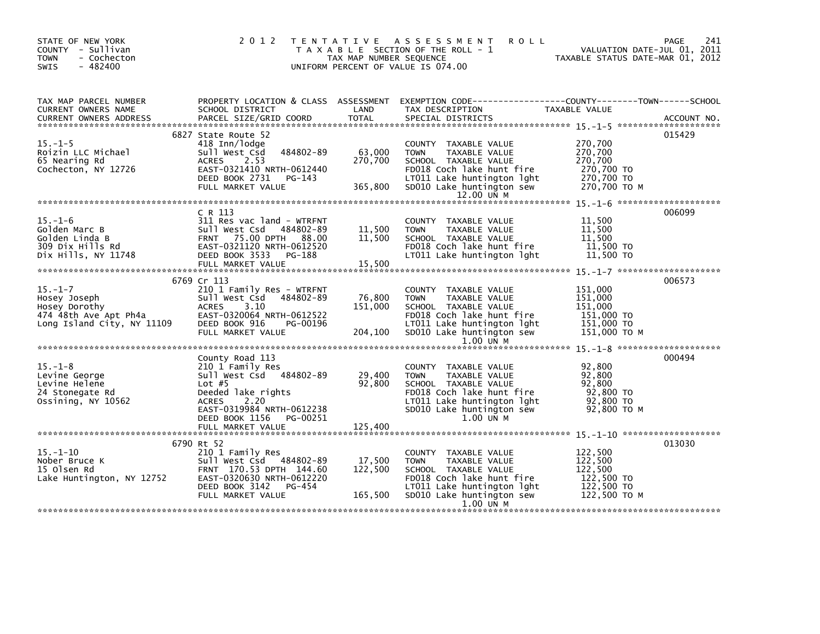| STATE OF NEW YORK<br>COUNTY - Sullivan<br><b>TOWN</b><br>- Cochecton<br>$-482400$<br><b>SWIS</b>      | 2 0 1 2                                                                                                                                                                             | TAX MAP NUMBER SEQUENCE      | TENTATIVE ASSESSMENT<br><b>ROLL</b><br>T A X A B L E SECTION OF THE ROLL - 1<br>UNIFORM PERCENT OF VALUE IS 074.00                                                                         | VALUATION DATE-JUL 01, 2011<br>TAXABLE STATUS DATE-MAR 01, 2012           | 241<br>PAGE |
|-------------------------------------------------------------------------------------------------------|-------------------------------------------------------------------------------------------------------------------------------------------------------------------------------------|------------------------------|--------------------------------------------------------------------------------------------------------------------------------------------------------------------------------------------|---------------------------------------------------------------------------|-------------|
| TAX MAP PARCEL NUMBER<br>CURRENT OWNERS NAME                                                          | SCHOOL DISTRICT                                                                                                                                                                     | LAND                         | PROPERTY LOCATION & CLASS ASSESSMENT EXEMPTION CODE---------------COUNTY-------TOWN------SCHOOL<br>TAX DESCRIPTION                                                                         | TAXABLE VALUE                                                             |             |
| $15. - 1 - 5$<br>Roizin LLC Michael<br>65 Nearing Rd<br>Cochecton, NY 12726                           | 6827 State Route 52<br>418 Inn/lodge<br>484802-89<br>Sull West Csd<br>2.53<br><b>ACRES</b><br>EAST-0321410 NRTH-0612440<br>DEED BOOK 2731<br>PG-143<br>FULL MARKET VALUE            | 63,000<br>270,700<br>365,800 | COUNTY TAXABLE VALUE<br>TAXABLE VALUE<br><b>TOWN</b><br>SCHOOL TAXABLE VALUE<br>FD018 Coch lake hunt fire<br>LT011 Lake huntington lght<br>SD010 Lake huntington sew<br>12.00 UN M         | 270,700<br>270,700<br>270,700<br>270,700 TO<br>270,700 TO<br>270,700 TO M | 015429      |
|                                                                                                       |                                                                                                                                                                                     |                              |                                                                                                                                                                                            |                                                                           |             |
| $15. - 1 - 6$<br>Golden Marc B<br>Golden Linda B<br>309 Dix Hills Rd<br>Dix Hills, NY 11748           | C R 113<br>311 Res vac land - WTRFNT<br>Sull West Csd 484802-89<br>FRNT 75.00 DPTH 88.00<br>EAST-0321120 NRTH-0612520<br>DEED BOOK 3533 PG-188<br>FULL MARKET VALUE                 | 11,500<br>11,500<br>15,500   | COUNTY TAXABLE VALUE<br>TAXABLE VALUE<br><b>TOWN</b><br>SCHOOL TAXABLE VALUE<br>FD018 Coch lake hunt fire<br>LT011 Lake huntington lght                                                    | 11,500<br>11,500<br>11,500<br>11,500 TO<br>11,500 TO                      | 006099      |
|                                                                                                       | 6769 Cr 113                                                                                                                                                                         |                              |                                                                                                                                                                                            |                                                                           | 006573      |
| $15. - 1 - 7$<br>Hosey Joseph<br>Hosey Dorothy<br>474 48th Ave Apt Ph4a<br>Long Island City, NY 11109 | 210 1 Family Res - WTRFNT<br>Sull West Csd<br>484802-89<br><b>ACRES</b><br>3.10<br>EAST-0320064 NRTH-0612522<br>DEED BOOK 916<br>PG-00196<br>FULL MARKET VALUE                      | 76,800<br>151,000<br>204,100 | COUNTY TAXABLE VALUE<br><b>TOWN</b><br>TAXABLE VALUE<br>SCHOOL TAXABLE VALUE<br>FD018 Coch lake hunt fire<br>LT011 Lake huntington lght<br>SD010 Lake huntington sew<br>$1.00$ UN M        | 151,000<br>151,000<br>151,000<br>151,000 TO<br>151,000 TO<br>151,000 ТО М |             |
| $15. - 1 - 8$<br>Levine George<br>Levine Helene<br>24 Stonegate Rd<br>Ossining, NY 10562              | County Road 113<br>210 1 Family Res<br>Sull West Csd 484802-89<br>Lot $#5$<br>Deeded lake rights<br><b>ACRES</b><br>2.20<br>EAST-0319984 NRTH-0612238<br>DEED BOOK 1156<br>PG-00251 | 29,400<br>92,800<br>125,400  | COUNTY TAXABLE VALUE<br><b>TAXABLE VALUE</b><br><b>TOWN</b><br>SCHOOL TAXABLE VALUE<br>FD018 Coch lake hunt fire<br>LT011 Lake huntington lght<br>SD010 Lake huntington sew<br>$1.00$ UN M | 92,800<br>92.800<br>92,800<br>92,800 TO<br>92,800 TO<br>92,800 ТО М       | 000494      |
|                                                                                                       | FULL MARKET VALUE                                                                                                                                                                   |                              |                                                                                                                                                                                            |                                                                           |             |
| $15. - 1 - 10$<br>Nober Bruce K<br>15 Olsen Rd<br>Lake Huntington, NY 12752                           | 6790 Rt 52<br>210 1 Family Res<br>Sull West Csd 484802-89<br>FRNT 170.53 DPTH 144.60<br>EAST-0320630 NRTH-0612220<br>DEED BOOK 3142<br>PG-454<br>FULL MARKET VALUE                  | 17,500<br>122,500<br>165,500 | COUNTY TAXABLE VALUE<br><b>TOWN</b><br>TAXABLE VALUE<br>SCHOOL TAXABLE VALUE<br>FD018 Coch lake hunt fire<br>LT011 Lake huntington lght<br>SD010 Lake huntington sew<br>1.00 UN M          | 122,500<br>122,500<br>122,500<br>122,500 TO<br>122,500 TO<br>122,500 TO M | 013030      |
|                                                                                                       |                                                                                                                                                                                     |                              |                                                                                                                                                                                            |                                                                           |             |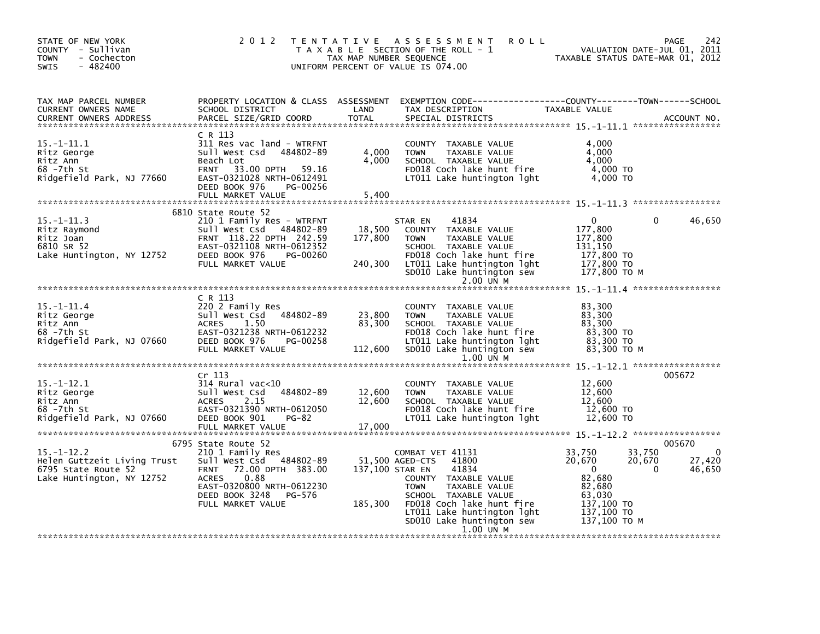| STATE OF NEW YORK<br>COUNTY - Sullivan<br>- Cochecton<br>TOWN<br>$-482400$<br>SWIS                  | 2 0 1 2                                                                                                                                                                                                      | TAX MAP NUMBER SEQUENCE     | <b>ROLL</b><br>TENTATIVE ASSESSMENT<br>T A X A B L E SECTION OF THE ROLL - 1<br>UNIFORM PERCENT OF VALUE IS 074.00                                                                                                                         | VALUATION DATE-JUL 01, 2011<br>TAXABLE STATUS DATE-MAR 01, 2012                                                                           | 242<br>PAGE                                           |
|-----------------------------------------------------------------------------------------------------|--------------------------------------------------------------------------------------------------------------------------------------------------------------------------------------------------------------|-----------------------------|--------------------------------------------------------------------------------------------------------------------------------------------------------------------------------------------------------------------------------------------|-------------------------------------------------------------------------------------------------------------------------------------------|-------------------------------------------------------|
| TAX MAP PARCEL NUMBER<br>CURRENT OWNERS NAME<br><b>CURRENT OWNERS ADDRESS</b>                       | SCHOOL DISTRICT<br>PARCEL SIZE/GRID COORD                                                                                                                                                                    | LAND<br><b>TOTAL</b>        | PROPERTY LOCATION & CLASS ASSESSMENT EXEMPTION CODE---------------COUNTY-------TOWN------SCHOOL<br>TAX DESCRIPTION<br>SPECIAL DISTRICTS                                                                                                    | TAXABLE VALUE                                                                                                                             | ACCOUNT NO.                                           |
| $15. - 1 - 11.1$<br>Ritz George<br>Ritz Ann<br>68 -7th St<br>Ridgefield Park, NJ 77660              | C R 113<br>311 Res vac land - WTRFNT<br>Sull West Csd 484802-89<br>Beach Lot<br>FRNT 33.00 DPTH 59.16<br>EAST-0321028 NRTH-0612491<br>DEED BOOK 976<br>PG-00256<br>FULL MARKET VALUE                         | 4,000<br>4,000<br>5,400     | COUNTY TAXABLE VALUE<br>TAXABLE VALUE<br><b>TOWN</b><br>SCHOOL TAXABLE VALUE<br>FD018 Coch lake hunt fire<br>LT011 Lake huntington lght                                                                                                    | 4,000<br>4.000<br>4,000<br>4,000 TO<br>4,000 TO                                                                                           |                                                       |
|                                                                                                     | 6810 State Route 52                                                                                                                                                                                          |                             |                                                                                                                                                                                                                                            |                                                                                                                                           |                                                       |
| $15. -1 - 11.3$<br>Ritz Raymond<br>Ritz Joan<br>6810 SR 52                                          | 210 1 Family Res - WTRFNT<br>Sull West Csd 484802-89<br>FRNT 118.22 DPTH 242.59<br>EAST-0321108 NRTH-0612352                                                                                                 | 18,500<br>177,800           | STAR EN<br>41834<br>COUNTY TAXABLE VALUE<br>TAXABLE VALUE<br>TOWN<br>SCHOOL TAXABLE VALUE                                                                                                                                                  | $\mathbf{0}$<br>177,800<br>177,800<br>131,150                                                                                             | 46,650<br>$\Omega$                                    |
| Lake Huntington, NY 12752                                                                           | DEED BOOK 976<br>PG-00260<br>FULL MARKET VALUE                                                                                                                                                               | 240,300                     | FD018 Coch lake hunt fire<br>LT011 Lake huntington lght<br>SD010 Lake huntington sew<br>2.00 UN M                                                                                                                                          | 177,800 TO<br>177,800 TO<br>177,800 TO M                                                                                                  |                                                       |
|                                                                                                     |                                                                                                                                                                                                              |                             |                                                                                                                                                                                                                                            |                                                                                                                                           |                                                       |
| $15. - 1 - 11.4$<br>Ritz George<br>Ritz Ann<br>68 -7th St<br>Ridgefield Park, NJ 07660              | C R 113<br>220 2 Family Res<br>Sull West Csd 484802-89<br><b>ACRES</b><br>1.50<br>EAST-0321238 NRTH-0612232<br>DEED BOOK 976<br>PG-00258<br>FULL MARKET VALUE                                                | 23,800<br>83,300<br>112,600 | COUNTY TAXABLE VALUE<br><b>TOWN</b><br>TAXABLE VALUE<br>SCHOOL TAXABLE VALUE<br>FD018 Coch lake hunt fire<br>LT011 Lake huntington lght<br>SD010 Lake huntington sew                                                                       | 83,300<br>83,300<br>83,300<br>83,300 TO<br>83,300 TO<br>83,300 ТО М                                                                       |                                                       |
|                                                                                                     |                                                                                                                                                                                                              |                             | $1.00$ UN M                                                                                                                                                                                                                                |                                                                                                                                           |                                                       |
| $15. - 1 - 12.1$<br>Ritz George<br>Ritz Ann<br>68 -7th St<br>Ridgefield Park, NJ 07660              | Cr 113<br>$314$ Rural vac<10<br>Sull West Csd<br>484802-89<br>2.15<br><b>ACRES</b><br>EAST-0321390 NRTH-0612050<br>DEED BOOK 901<br><b>PG-82</b><br>FULL MARKET VALUE                                        | 12,600<br>12,600<br>17,000  | COUNTY TAXABLE VALUE<br><b>TOWN</b><br>TAXABLE VALUE<br>SCHOOL TAXABLE VALUE<br>FD018 Coch lake hunt fire<br>LT011 Lake huntington lght                                                                                                    | 12,600<br>12,600<br>12,600<br>12,600 TO<br>12,600 TO                                                                                      | 005672                                                |
|                                                                                                     |                                                                                                                                                                                                              |                             |                                                                                                                                                                                                                                            |                                                                                                                                           |                                                       |
| $15. - 1 - 12.2$<br>Helen Guttzeit Living Trust<br>6795 State Route 52<br>Lake Huntington, NY 12752 | 6795 State Route 52<br>210 1 Family Res<br>Sull West Csd 484802-89<br>72.00 DPTH 383.00<br><b>FRNT</b><br><b>ACRES</b><br>0.88<br>EAST-0320800 NRTH-0612230<br>DEED BOOK 3248<br>PG-576<br>FULL MARKET VALUE | 137,100 STAR EN<br>185,300  | COMBAT VET 41131<br>51,500 AGED-CTS<br>41800<br>41834<br>COUNTY TAXABLE VALUE<br><b>TOWN</b><br>TAXABLE VALUE<br>SCHOOL TAXABLE VALUE<br>FD018 Coch lake hunt fire<br>LT011 Lake huntington lght<br>SD010 Lake huntington sew<br>1.00 UN M | 33,750<br>33,750<br>20,670<br>20,670<br>$\overline{\mathbf{0}}$<br>82,680<br>82,680<br>63,030<br>137,100 TO<br>137,100 TO<br>137,100 TO M | 005670<br>$\mathbf 0$<br>27,420<br>$\Omega$<br>46,650 |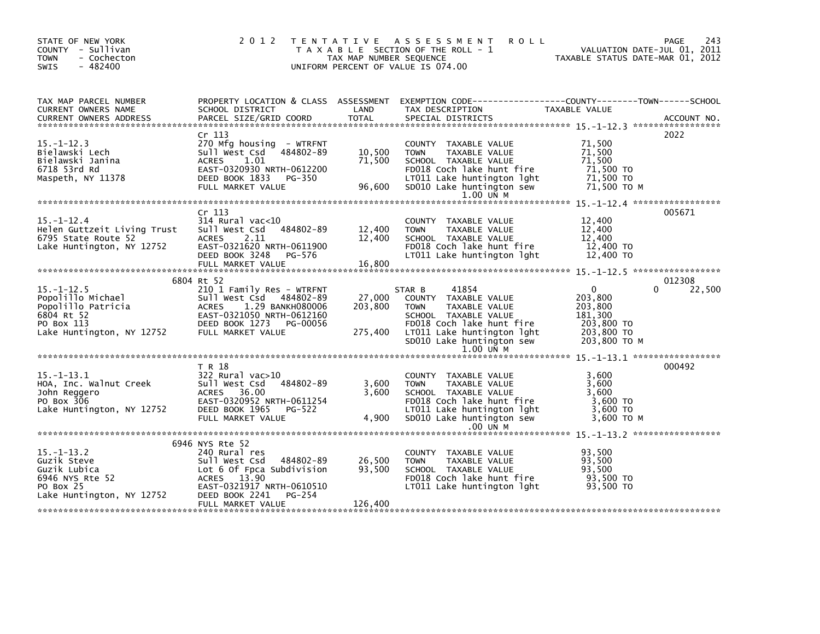| STATE OF NEW YORK<br>COUNTY - Sullivan<br><b>TOWN</b><br>- Cochecton<br>$-482400$<br><b>SWIS</b>                                                                                                                                                                                                                | 2 0 1 2                                                                                                                                                             | TAX MAP NUMBER SEQUENCE    | TENTATIVE ASSESSMENT<br><b>ROLL</b><br>T A X A B L E SECTION OF THE ROLL - 1<br>UNIFORM PERCENT OF VALUE IS 074.00                                                                              | VALUATION DATE-JUL 01, 2011<br>TAXABLE STATUS DATE-MAR 01, 2012                          | 243<br>PAGE |
|-----------------------------------------------------------------------------------------------------------------------------------------------------------------------------------------------------------------------------------------------------------------------------------------------------------------|---------------------------------------------------------------------------------------------------------------------------------------------------------------------|----------------------------|-------------------------------------------------------------------------------------------------------------------------------------------------------------------------------------------------|------------------------------------------------------------------------------------------|-------------|
| TAX MAP PARCEL NUMBER<br>CURRENT OWNERS NAME<br><b>CURRENT OWNERS ADDRESS</b><br>.CURRENT OWNERS ADDRESS PARCEL SIZE/GRID COORD TOTAL SPECIAL DISTRICTS (ACCOUNT NO ACCOUNT NO ACCOUNT NO AND FREE ALL SERVERS AND RESEARCH TO A SERVERS AND RESEARCH TO A SERVERS AND RESEARCH TO A SERVERS AND THE SERVER SER | SCHOOL DISTRICT                                                                                                                                                     | LAND                       | PROPERTY LOCATION & CLASS ASSESSMENT EXEMPTION CODE---------------COUNTY-------TOWN-----SCHOOL<br>TAX DESCRIPTION                                                                               | TAXABLE VALUE                                                                            |             |
|                                                                                                                                                                                                                                                                                                                 | Cr <sub>113</sub>                                                                                                                                                   |                            |                                                                                                                                                                                                 |                                                                                          | 2022        |
| $15. -1 - 12.3$<br>Bielawski Lech<br>Bielawski Janina<br>6718 53rd Rd<br>Maspeth, NY 11378                                                                                                                                                                                                                      | 270 Mfg housing - WTRFNT<br>Sull West Csd 484802-89<br>ACRES<br>1.01<br>EAST-0320930 NRTH-0612200<br>DEED BOOK 1833<br>PG-350<br>FULL MARKET VALUE                  | 10,500<br>71,500<br>96,600 | COUNTY TAXABLE VALUE<br>TAXABLE VALUE<br><b>TOWN</b><br>SCHOOL TAXABLE VALUE<br>FD018 Coch lake hunt fire<br>LT011 Lake huntington lght<br>SD010 Lake huntington sew<br>1.00 UN M               | 71,500<br>71,500<br>71,500<br>71,500 TO<br>71,500 TO<br>71,500 то м                      |             |
|                                                                                                                                                                                                                                                                                                                 |                                                                                                                                                                     |                            |                                                                                                                                                                                                 |                                                                                          |             |
| $15. - 1 - 12.4$<br>Helen Guttzeit Living Trust<br>6795 State Route 52<br>Lake Huntington, NY 12752                                                                                                                                                                                                             | Cr <sub>113</sub><br>$314$ Rural vac< $10$<br>Sull West Csd 484802-89<br>ACRES 2.11<br>EAST-0321620 NRTH-0611900<br>DEED BOOK 3248<br>PG-576<br>FULL MARKET VALUE   | 12,400<br>12,400<br>16,800 | COUNTY TAXABLE VALUE<br>TAXABLE VALUE<br><b>TOWN</b><br>SCHOOL TAXABLE VALUE<br>FD018 Coch lake hunt fire<br>LT011 Lake huntington lght                                                         | 12,400<br>12,400<br>12,400<br>12,400 TO<br>12,400 TO                                     | 005671      |
|                                                                                                                                                                                                                                                                                                                 |                                                                                                                                                                     |                            |                                                                                                                                                                                                 |                                                                                          |             |
|                                                                                                                                                                                                                                                                                                                 | 6804 Rt 52                                                                                                                                                          |                            |                                                                                                                                                                                                 |                                                                                          | 012308      |
| $15. - 1 - 12.5$<br>Popolillo Michael<br>Popolitilo michaci<br>6804 Rt 52<br>6804 Rt 52<br>50 Pov 113<br>PO Box 113<br>Lake Huntington, NY 12752 FULL MARKET VALUE                                                                                                                                              | 210 1 Family Res - WTRFNT<br>Sull West Csd 484802-89<br>1.29 BANKH080006<br>ACRES<br>EAST-0321050 NRTH-0612160<br>PG-00056                                          | 27,000<br>203,800          | 41854<br>STAR B<br>COUNTY TAXABLE VALUE<br><b>TOWN</b><br>TAXABLE VALUE<br>SCHOOL TAXABLE VALUE<br>FD018 Coch lake hunt fire<br>275,400 LT011 Lake huntington lght<br>SD010 Lake huntington sew | $\mathbf 0$<br>203,800<br>203,800<br>181,300<br>203,800 TO<br>203,800 TO<br>203,800 ТО М | 22,500<br>0 |
|                                                                                                                                                                                                                                                                                                                 |                                                                                                                                                                     |                            | 1.00 UN M                                                                                                                                                                                       |                                                                                          |             |
|                                                                                                                                                                                                                                                                                                                 | T R 18                                                                                                                                                              |                            |                                                                                                                                                                                                 |                                                                                          | 000492      |
| $15. -1 - 13.1$<br>HOA, Inc. Walnut Creek<br>John Reggero<br>PO Box 306<br>Lake Huntington, NY 12752                                                                                                                                                                                                            | $322$ Rural vac $>10$<br>Sull West Csd 484802-89<br>ACRES 36.00<br>EAST-0320952 NRTH-0611254<br>DEED BOOK 1965 PG-522<br>FULL MARKET VALUE                          | 3,600<br>3.600<br>4,900    | COUNTY TAXABLE VALUE<br><b>TOWN</b><br>TAXABLE VALUE<br>SCHOOL TAXABLE VALUE<br>FD018 Coch lake hunt fire<br>LT011 Lake huntington lght<br>SD010 Lake huntington sew                            | 3.600<br>3,600<br>3.600<br>$3,600$ TO<br>3,600 TO<br>3,600 TO M                          |             |
|                                                                                                                                                                                                                                                                                                                 |                                                                                                                                                                     |                            | .00 UN M                                                                                                                                                                                        |                                                                                          |             |
| $15. - 1 - 13.2$<br>Guzik Steve<br>Guzik Lubica<br>6946 NYS Rte 52<br>PO Box 25<br>Lake Huntington, NY 12752                                                                                                                                                                                                    | 6946 NYS Rte 52<br>240 Rural res<br>Sull West Csd<br>484802-89<br>Lot 6 Of Fpca Subdivision<br>ACRES 13.90<br>EAST-0321917 NRTH-0610510<br>PG-254<br>DEED BOOK 2241 | 26,500<br>93,500           | COUNTY TAXABLE VALUE<br><b>TOWN</b><br>TAXABLE VALUE<br>SCHOOL TAXABLE VALUE<br>FD018 Coch lake hunt fire<br>LT011 Lake huntington lght                                                         | 93,500<br>93,500<br>93.500<br>93,500 TO<br>93,500 TO                                     |             |
|                                                                                                                                                                                                                                                                                                                 | FULL MARKET VALUE                                                                                                                                                   | 126,400                    |                                                                                                                                                                                                 |                                                                                          |             |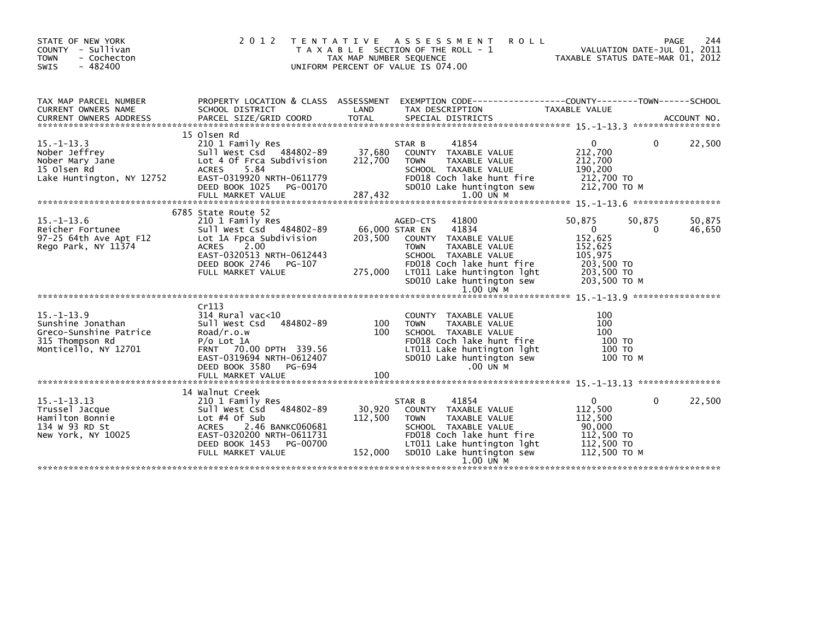| STATE OF NEW YORK<br>COUNTY - Sullivan<br><b>TOWN</b><br>- Cochecton<br><b>SWIS</b><br>$-482400$           |                                                                                                                                                                                                   | TAX MAP NUMBER SEQUENCE      | 2012 TENTATIVE ASSESSMENT<br><b>ROLL</b><br>T A X A B L E SECTION OF THE ROLL - 1<br>UNIFORM PERCENT OF VALUE IS 074.00                                                                                                                    | TAXABLE STATUS DATE-MAR 01, 2012                                                                    | 244<br>PAGE<br>VALUATION DATE-JUL 01, 2011 |
|------------------------------------------------------------------------------------------------------------|---------------------------------------------------------------------------------------------------------------------------------------------------------------------------------------------------|------------------------------|--------------------------------------------------------------------------------------------------------------------------------------------------------------------------------------------------------------------------------------------|-----------------------------------------------------------------------------------------------------|--------------------------------------------|
| TAX MAP PARCEL NUMBER<br>CURRENT OWNERS NAME<br><b>CURRENT OWNERS ADDRESS</b>                              | SCHOOL DISTRICT                                                                                                                                                                                   | LAND                         | PROPERTY LOCATION & CLASS ASSESSMENT EXEMPTION CODE----------------COUNTY-------TOWN-----SCHOOL<br>TAX DESCRIPTION                                                                                                                         | TAXABLE VALUE                                                                                       |                                            |
| $15. - 1 - 13.3$<br>Nober Jeffrey<br>Nober Mary Jane<br>15 Olsen Rd<br>Lake Huntington, NY 12752           | 15 Olsen Rd<br>210 1 Family Res<br>Sull West Csd 484802-89<br>Lot 4 Of Frca Subdivision<br><b>ACRES</b><br>5.84<br>EAST-0319920 NRTH-0611779<br>DEED BOOK 1025<br>PG-00170<br>FULL MARKET VALUE   | 37,680<br>212,700<br>287,432 | 41854<br>STAR B<br>COUNTY TAXABLE VALUE<br>TAXABLE VALUE<br><b>TOWN</b><br>SCHOOL TAXABLE VALUE<br>FD018 Coch lake hunt fire<br>SD010 Lake huntington sew<br>$1.00$ UN M                                                                   | $\mathbf{0}$<br>212,700<br>212,700<br>190,200<br>212,700 TO<br>212,700 TO M                         | 22,500<br>$\Omega$                         |
| $15. - 1 - 13.6$<br>Reicher Fortunee<br>97-25 64th Ave Apt F12<br>Rego Park, NY 11374                      | 6785 State Route 52<br>210 1 Family Res<br>Sull West Csd 484802-89<br>Lot 1A Fpca Subdivision<br>2.00<br>ACRES<br>EAST-0320513 NRTH-0612443<br>DEED BOOK 2746<br>PG-107<br>FULL MARKET VALUE      | 203,500<br>275,000           | 41800<br>AGED-CTS<br>41834<br>66,000 STAR EN<br>COUNTY TAXABLE VALUE<br><b>TOWN</b><br><b>TAXABLE VALUE</b><br>SCHOOL TAXABLE VALUE<br>FD018 Coch lake hunt fire<br>LT011 Lake huntington lght<br>SD010 Lake huntington sew<br>$1.00$ UN M | 50,875<br>$\mathbf{0}$<br>152,625<br>152,625<br>105,975<br>203,500 TO<br>203,500 TO<br>203,500 TO M | 50,875<br>50,875<br>46,650<br>0            |
| $15. - 1 - 13.9$<br>Sunshine Jonathan<br>Greco-Sunshine Patrice<br>315 Thompson Rd<br>Monticello, NY 12701 | Cr113<br>$314$ Rural vac<10<br>484802-89<br>Sull West Csd<br>Road/r.o.w<br>$P/O$ Lot $1A$<br>FRNT 70.00 DPTH 339.56<br>EAST-0319694 NRTH-0612407<br>DEED BOOK 3580<br>PG-694<br>FULL MARKET VALUE | 100<br>100<br>100            | COUNTY TAXABLE VALUE<br>TAXABLE VALUE<br><b>TOWN</b><br>SCHOOL TAXABLE VALUE<br>FD018 Coch lake hunt fire<br>LT011 Lake huntington lght<br>SD010 Lake huntington sew<br>$.00$ UN M                                                         | 100<br>100<br>100<br>100 TO<br>100 TO<br>100 TO M                                                   |                                            |
| $15. - 1 - 13.13$<br>Trussel Jacque<br>Hamilton Bonnie<br>134 W 93 RD St<br>New York, NY 10025             | 14 Walnut Creek<br>210 1 Family Res<br>484802-89<br>Sull West Csd<br>Lot $#4$ Of Sub<br>2.46 BANKC060681<br>ACRES<br>EAST-0320200 NRTH-0611731<br>DEED BOOK 1453<br>PG-00700<br>FULL MARKET VALUE | 30,920<br>112,500<br>152,000 | 41854<br>STAR B<br>COUNTY TAXABLE VALUE<br>TAXABLE VALUE<br><b>TOWN</b><br>SCHOOL TAXABLE VALUE<br>FD018 Coch lake hunt fire<br>LT011 Lake huntington lght<br>SD010 Lake huntington sew<br>1.00 UN M                                       | $\mathbf{0}$<br>112,500<br>112,500<br>90,000<br>112,500 TO<br>112,500 TO<br>112.500 TO M            | $\Omega$<br>22,500                         |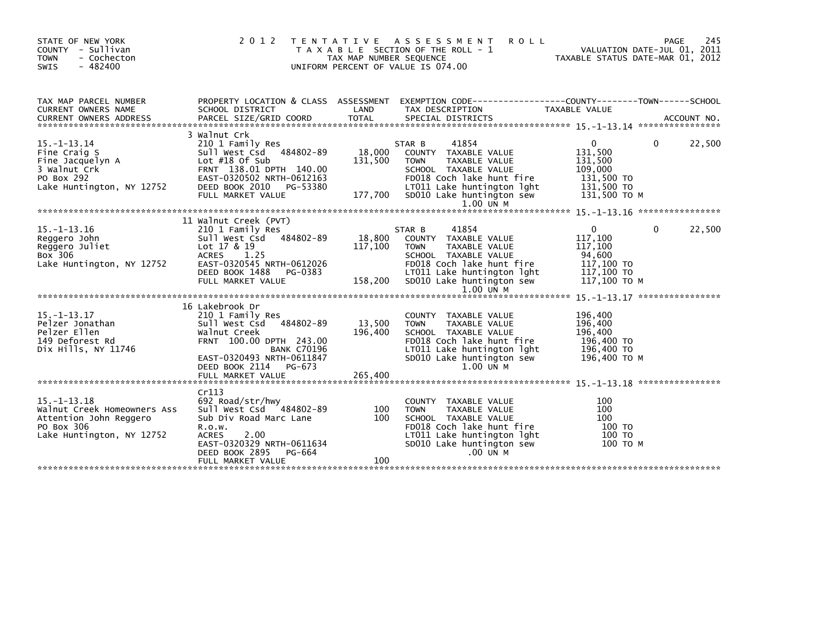| STATE OF NEW YORK<br>COUNTY - Sullivan<br>- Cochecton<br><b>TOWN</b><br>$-482400$<br>SWIS                             | 2 0 1 2                                                                                                                                                                                                       | TAX MAP NUMBER SEQUENCE      | TENTATIVE ASSESSMENT<br><b>ROLL</b><br>T A X A B L E SECTION OF THE ROLL - 1<br>UNIFORM PERCENT OF VALUE IS 074.00                                                                                   |                                                                                           | 245<br><b>PAGE</b><br>VALUATION DATE-JUL 01, 2011<br>TAXABLE STATUS DATE-MAR 01, 2012 |
|-----------------------------------------------------------------------------------------------------------------------|---------------------------------------------------------------------------------------------------------------------------------------------------------------------------------------------------------------|------------------------------|------------------------------------------------------------------------------------------------------------------------------------------------------------------------------------------------------|-------------------------------------------------------------------------------------------|---------------------------------------------------------------------------------------|
| TAX MAP PARCEL NUMBER<br><b>CURRENT OWNERS NAME</b>                                                                   | PROPERTY LOCATION & CLASS ASSESSMENT<br>SCHOOL DISTRICT                                                                                                                                                       | LAND                         | EXEMPTION CODE------------------COUNTY--------TOWN------SCHOOL<br>TAX DESCRIPTION                                                                                                                    | TAXABLE VALUE                                                                             |                                                                                       |
| $15. - 1 - 13.14$<br>Fine Craig S<br>Fine Jacquelyn A<br>3 Walnut Crk<br>PO Box 292<br>Lake Huntington, NY 12752      | 3 Walnut Crk<br>210 1 Family Res<br>Sull West Csd 484802-89<br>Lot $#18$ Of Sub<br>FRNT 138.01 DPTH 140.00<br>EAST-0320502 NRTH-0612163<br>DEED BOOK 2010<br>PG-53380<br>FULL MARKET VALUE                    | 18,000<br>131,500<br>177,700 | 41854<br>STAR B<br>COUNTY TAXABLE VALUE<br>TAXABLE VALUE<br><b>TOWN</b><br>SCHOOL TAXABLE VALUE<br>FD018 Coch lake hunt fire<br>LT011 Lake huntington lght<br>SD010 Lake huntington sew              | $\mathbf{0}$<br>131,500<br>131,500<br>109,000<br>131,500 TO<br>131,500 TO<br>131,500 ТО М | 22,500<br>0                                                                           |
| $15. -1 - 13.16$<br>Reggero John<br>Reggero Juliet<br>Box 306<br>Lake Huntington, NY 12752                            | 11 Walnut Creek (PVT)<br>210 1 Family Res<br>Sull West Csd 484802-89<br>Lot 17 & 19<br><b>ACRES</b><br>1.25<br>EAST-0320545 NRTH-0612026<br>DEED BOOK 1488<br>PG-0383<br>FULL MARKET VALUE                    | 18,800<br>117,100<br>158,200 | 41854<br>STAR B<br>COUNTY TAXABLE VALUE<br><b>TOWN</b><br>TAXABLE VALUE<br>SCHOOL TAXABLE VALUE<br>FD018 Coch lake hunt fire<br>LT011 Lake huntington lght<br>SD010 Lake huntington sew<br>1.00 UN M | $\mathbf{0}$<br>117,100<br>117,100<br>94,600<br>117,100 TO<br>117,100 TO<br>117,100 TO M  | 22,500<br>0                                                                           |
| $15. - 1 - 13.17$<br>Pelzer Jonathan<br>Pelzer Ellen<br>149 Deforest Rd<br>Dix Hills, NY 11746                        | 16 Lakebrook Dr<br>210 1 Family Res<br>Sull West Csd 484802-89<br>Walnut Creek<br>FRNT 100.00 DPTH 243.00<br><b>BANK C70196</b><br>EAST-0320493 NRTH-0611847<br>DEED BOOK 2114<br>PG-673<br>FULL MARKET VALUE | 13,500<br>196,400<br>265,400 | COUNTY TAXABLE VALUE<br>TAXABLE VALUE<br><b>TOWN</b><br>SCHOOL TAXABLE VALUE<br>FD018 Coch lake hunt fire<br>LT011 Lake huntington lght<br>SD010 Lake huntington sew<br>$1.00$ $\overline{M}$ M      | 196,400<br>196,400<br>196,400<br>196,400 TO<br>196,400 TO<br>196,400 ТО М                 |                                                                                       |
| $15. - 1 - 13.18$<br>Walnut Creek Homeowners Ass<br>Attention John Reggero<br>PO Box 306<br>Lake Huntington, NY 12752 | Cr113<br>692 Road/str/hwy<br>sull west Csd 484802-89<br>Sub Div Road Marc Lane<br>R.0.W.<br>2.00<br><b>ACRES</b><br>EAST-0320329 NRTH-0611634<br>DEED BOOK 2895<br>PG-664<br>FULL MARKET VALUE                | 100<br>100<br>100            | COUNTY TAXABLE VALUE<br>TAXABLE VALUE<br><b>TOWN</b><br>SCHOOL TAXABLE VALUE<br>FD018 Coch lake hunt fire<br>LT011 Lake huntington lght<br>SD010 Lake huntington sew<br>.00 UN M                     | 100<br>100<br>100<br>100 TO<br>100 TO<br>100 TO M                                         |                                                                                       |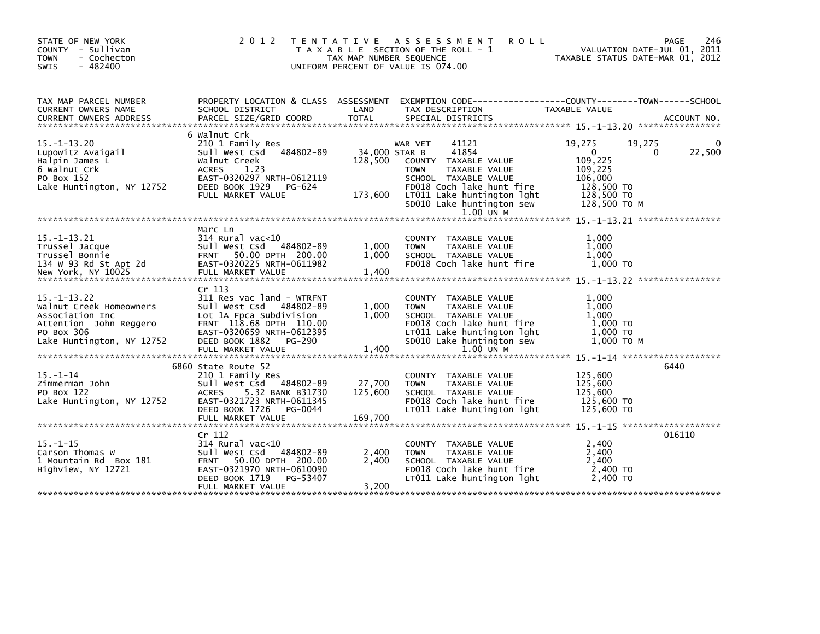| STATE OF NEW YORK<br>COUNTY - Sullivan<br><b>TOWN</b><br>- Cochecton<br>$-482400$<br><b>SWIS</b>                                     | 2 0 1 2<br>T E N T A T I V E                                                                                                                                                                       | TAX MAP NUMBER SEQUENCE             | A S S E S S M E N T<br><b>ROLL</b><br>T A X A B L E SECTION OF THE ROLL - 1<br>UNIFORM PERCENT OF VALUE IS 074.00                                                                                              |                                                                                                     | 246<br>PAGE<br>VALUATION DATE-JUL 01, 2011<br>TAXABLE STATUS DATE-MAR 01, 2012 |
|--------------------------------------------------------------------------------------------------------------------------------------|----------------------------------------------------------------------------------------------------------------------------------------------------------------------------------------------------|-------------------------------------|----------------------------------------------------------------------------------------------------------------------------------------------------------------------------------------------------------------|-----------------------------------------------------------------------------------------------------|--------------------------------------------------------------------------------|
| TAX MAP PARCEL NUMBER<br>CURRENT OWNERS NAME                                                                                         | SCHOOL DISTRICT                                                                                                                                                                                    | LAND                                | PROPERTY LOCATION & CLASS ASSESSMENT EXEMPTION CODE----------------COUNTY-------TOWN-----SCHOOL<br>TAX DESCRIPTION                                                                                             | TAXABLE VALUE                                                                                       |                                                                                |
| $15. - 1 - 13.20$<br>Lupowitz Avaigail<br>Halpin James L<br>6 Walnut Crk<br>PO Box 152<br>Lake Huntington, NY 12752                  | 6 Walnut Crk<br>210 1 Family Res<br>484802-89<br>Sull West Csd<br>Walnut Creek<br>ACRES<br>1.23<br>EAST-0320297 NRTH-0612119<br>DEED BOOK 1929<br>PG-624<br>FULL MARKET VALUE                      | 34,000 STAR B<br>128,500<br>173,600 | 41121<br>WAR VET<br>41854<br>COUNTY TAXABLE VALUE<br><b>TOWN</b><br>TAXABLE VALUE<br>SCHOOL TAXABLE VALUE<br>FD018 Coch lake hunt fire<br>LT011 Lake huntington lght<br>SD010 Lake huntington sew<br>1.00 UN M | 19,275<br>$\mathbf{0}$<br>109,225<br>109,225<br>106,000<br>128,500 TO<br>128,500 TO<br>128,500 ТО М | 19,275<br>22,500<br>$\Omega$                                                   |
| $15. -1 - 13.21$<br>Trussel Jacque<br>Trussel Bonnie<br>134 W 93 Rd St Apt 2d<br>New York, NY 10025                                  | Marc Ln<br>314 Rural vac<10<br>Sull West Csd 484802-89<br>FRNT 50.00 DPTH 200.00<br>EAST-0320225 NRTH-0611982<br>FULL MARKET VALUE                                                                 | 1,000<br>1,000<br>1,400             | COUNTY TAXABLE VALUE<br><b>TOWN</b><br>TAXABLE VALUE<br>SCHOOL TAXABLE VALUE<br>FD018 Coch lake hunt fire                                                                                                      | 1,000<br>1,000<br>1,000<br>1.000 TO                                                                 |                                                                                |
| $15. - 1 - 13.22$<br>Walnut Creek Homeowners<br>Association Inc<br>Attention John Reggero<br>PO Box 306<br>Lake Huntington, NY 12752 | Cr 113<br>311 Res vac land - WTRFNT<br>Sull West Csd 484802-89<br>Lot 1A Fpca Subdivision<br>FRNT 118.68 DPTH 110.00<br>EAST-0320659 NRTH-0612395<br>DEED BOOK 1882<br>PG-290<br>FULL MARKET VALUE | 1,000<br>1,000<br>1,400             | COUNTY TAXABLE VALUE<br><b>TOWN</b><br>TAXABLE VALUE<br>SCHOOL TAXABLE VALUE<br>FD018 Coch lake hunt fire<br>LT011 Lake huntington lght<br>SD010 Lake huntington sew<br>1.00 UN M                              | 1,000<br>1,000<br>1.000<br>1,000 TO<br>1,000 TO<br>$1,000$ TO M                                     |                                                                                |
| $15 - 1 - 14$<br>Zimmerman John<br>PO Box 122<br>Lake Huntington, NY 12752                                                           | 6860 State Route 52<br>210 1 Family Res<br>Sull West Csd<br>484802-89<br>ACRES 5.32 BANK B31730<br>EAST-0321723 NRTH-0611345<br>DEED BOOK 1726<br>PG-0044<br>FULL MARKET VALUE                     | 27,700<br>125,600<br>169,700        | COUNTY TAXABLE VALUE<br><b>TOWN</b><br>TAXABLE VALUE<br>SCHOOL TAXABLE VALUE<br>FD018 Coch lake hunt fire<br>LT011 Lake huntington lght                                                                        | 125,600<br>125,600<br>125,600<br>125,600 TO<br>125,600 TO                                           | 6440                                                                           |
| $15. - 1 - 15$<br>Carson Thomas W<br>1 Mountain Rd Box 181<br>Highview, NY 12721                                                     | Cr 112<br>314 Rural vac<10<br>Sull West Csd 484802-89<br>50.00 DPTH 200.00<br><b>FRNT</b><br>EAST-0321970 NRTH-0610090<br>DEED BOOK 1719<br>PG-53407<br>FULL MARKET VALUE                          | 2,400<br>2,400<br>3,200             | COUNTY TAXABLE VALUE<br><b>TOWN</b><br>TAXABLE VALUE<br>SCHOOL TAXABLE VALUE<br>FD018 Coch lake hunt fire<br>LT011 Lake huntington lght                                                                        | 2,400<br>2,400<br>2.400<br>2,400 TO<br>2,400 TO                                                     | 016110                                                                         |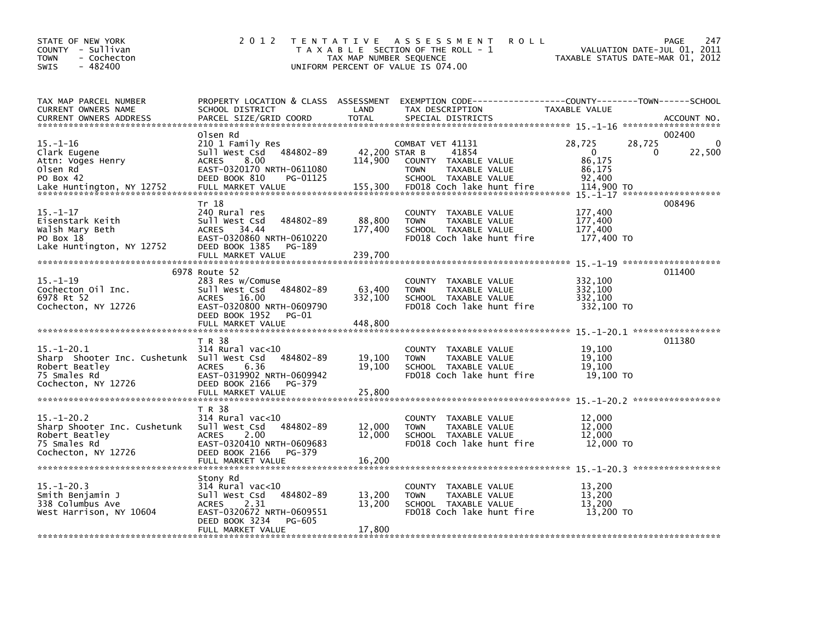| STATE OF NEW YORK<br>COUNTY - Sullivan<br>- Cochecton<br><b>TOWN</b><br>$-482400$<br><b>SWIS</b>                        | 2 0 1 2                                                                                                                                                        | TAX MAP NUMBER SEQUENCE      | TENTATIVE ASSESSMENT<br><b>ROLL</b><br>T A X A B L E SECTION OF THE ROLL - 1<br>UNIFORM PERCENT OF VALUE IS 074.00                       | VALUATION DATE-JUL 01, 2011<br>TAXABLE STATUS DATE-MAR 01, 2012 | 247<br><b>PAGE</b>                 |
|-------------------------------------------------------------------------------------------------------------------------|----------------------------------------------------------------------------------------------------------------------------------------------------------------|------------------------------|------------------------------------------------------------------------------------------------------------------------------------------|-----------------------------------------------------------------|------------------------------------|
| TAX MAP PARCEL NUMBER<br>CURRENT OWNERS NAME<br><b>CURRENT OWNERS ADDRESS</b>                                           | SCHOOL DISTRICT<br>PARCEL SIZE/GRID COORD                                                                                                                      | LAND<br><b>TOTAL</b>         | PROPERTY LOCATION & CLASS ASSESSMENT EXEMPTION CODE----------------COUNTY-------TOWN------SCHOOL<br>TAX DESCRIPTION<br>SPECIAL DISTRICTS | TAXABLE VALUE                                                   | ACCOUNT NO.<br>******************* |
| $15. - 1 - 16$<br>Clark Eugene<br>Attn: Voges Henry<br>Olsen Rd<br>PO Box 42                                            | Olsen Rd<br>210 1 Family Res<br>Sull West Csd 484802-89<br>8.00<br><b>ACRES</b><br>EAST-0320170 NRTH-0611080<br>DEED BOOK 810<br>PG-01125                      | 42.200 STAR B<br>114,900     | COMBAT VET 41131<br>41854<br>COUNTY TAXABLE VALUE<br><b>TOWN</b><br>TAXABLE VALUE<br>SCHOOL TAXABLE VALUE                                | 28,725<br>28,725<br>$\Omega$<br>0<br>86,175<br>86,175<br>92.400 | 002400<br>0<br>22,500              |
| Lake Huntington, NY 12752<br>$15. - 1 - 17$                                                                             | FULL MARKET VALUE<br>Tr 18<br>240 Rural res                                                                                                                    | 155,300                      | FD018 Coch lake hunt fire<br>COUNTY TAXABLE VALUE                                                                                        | 114,900 TO<br>15. -1-17 ********************<br>177,400         | 008496                             |
| Eisenstark Keith<br>Walsh Mary Beth<br>PO Box 18<br>Lake Huntington, NY 12752                                           | Sull West Csd<br>484802-89<br>ACRES 34.44<br>EAST-0320860 NRTH-0610220<br>DEED BOOK 1385<br>PG-189                                                             | 88,800<br>177,400            | TAXABLE VALUE<br><b>TOWN</b><br>SCHOOL TAXABLE VALUE<br>FD018 Coch lake hunt fire                                                        | 177,400<br>177,400<br>177,400 TO                                |                                    |
|                                                                                                                         | FULL MARKET VALUE                                                                                                                                              | 239,700                      |                                                                                                                                          |                                                                 |                                    |
| $15. - 1 - 19$<br>Cochecton Oil Inc.<br>6978 Rt 52<br>Cochecton, NY 12726                                               | 6978 Route 52<br>283 Res w/Comuse<br>sull west Csd<br>484802-89<br>ACRES 16.00<br>EAST-0320800 NRTH-0609790<br>DEED BOOK 1952<br>PG-01<br>FULL MARKET VALUE    | 63,400<br>332,100<br>448,800 | COUNTY TAXABLE VALUE<br>TAXABLE VALUE<br><b>TOWN</b><br>SCHOOL TAXABLE VALUE<br>FD018 Coch lake hunt fire                                | 332,100<br>332,100<br>332,100<br>332,100 TO                     | 011400                             |
|                                                                                                                         |                                                                                                                                                                |                              |                                                                                                                                          |                                                                 |                                    |
| $15. - 1 - 20.1$<br>Sharp Shooter Inc. Cushetunk Sull West Csd<br>Robert Beatley<br>75 Smales Rd<br>Cochecton, NY 12726 | T R 38<br>$314$ Rural vac< $10$<br>484802-89<br><b>ACRES</b><br>6.36<br>EAST-0319902 NRTH-0609942<br>DEED BOOK 2166<br>PG-379                                  | 19,100<br>19,100             | COUNTY TAXABLE VALUE<br>TAXABLE VALUE<br><b>TOWN</b><br>SCHOOL TAXABLE VALUE<br>FD018 Coch lake hunt fire                                | 19,100<br>19,100<br>19.100<br>19,100 TO                         | 011380                             |
|                                                                                                                         | FULL MARKET VALUE                                                                                                                                              | 25,800                       |                                                                                                                                          |                                                                 |                                    |
| $15 - 1 - 20.2$<br>Sharp Shooter Inc. Cushetunk<br>Robert Beatley<br>75 Smales Rd<br>Cochecton, NY 12726                | T R 38<br>314 Rural vac<10<br>484802-89<br>Sull West Csd<br>2.00<br><b>ACRES</b><br>EAST-0320410 NRTH-0609683<br>DEED BOOK 2166<br>PG-379<br>FULL MARKET VALUE | 12,000<br>12,000<br>16,200   | COUNTY TAXABLE VALUE<br>TAXABLE VALUE<br><b>TOWN</b><br>SCHOOL TAXABLE VALUE<br>FD018 Coch lake hunt fire                                | 12,000<br>12,000<br>12,000<br>12,000 TO                         |                                    |
|                                                                                                                         | Stony Rd                                                                                                                                                       |                              |                                                                                                                                          |                                                                 |                                    |
| $15. - 1 - 20.3$<br>Smith Benjamin J<br>338 Columbus Ave<br>West Harrison, NY 10604                                     | 314 Rural vac<10<br>Sull West Csd<br>484802-89<br>2.31<br><b>ACRES</b><br>EAST-0320672 NRTH-0609551<br>DEED BOOK 3234<br>PG-605                                | 13,200<br>13,200             | COUNTY TAXABLE VALUE<br>TAXABLE VALUE<br><b>TOWN</b><br>SCHOOL TAXABLE VALUE<br>FD018 Coch lake hunt fire                                | 13,200<br>13,200<br>13,200<br>13,200 TO                         |                                    |
|                                                                                                                         | FULL MARKET VALUE                                                                                                                                              | 17,800                       |                                                                                                                                          |                                                                 |                                    |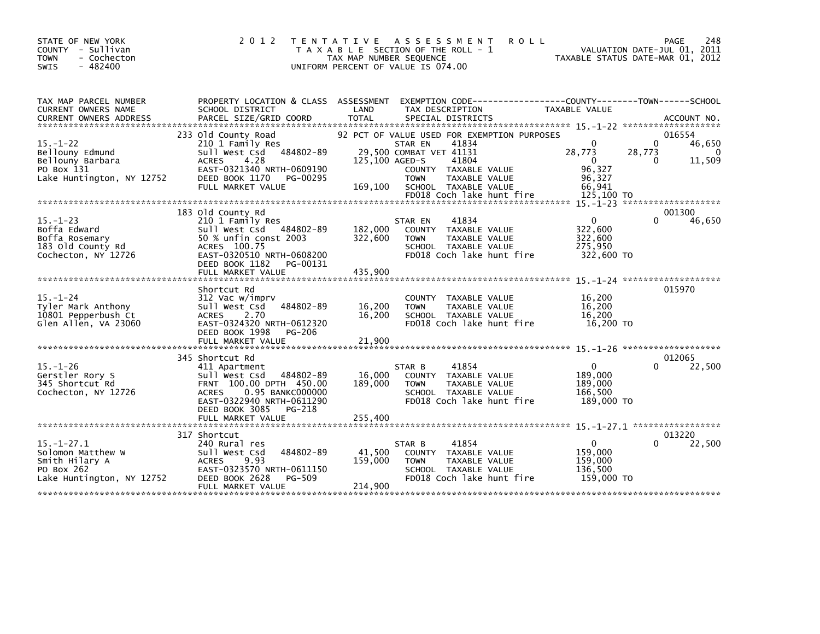| STATE OF NEW YORK<br>COUNTY - Sullivan<br>- Cochecton<br><b>TOWN</b><br>$-482400$<br><b>SWIS</b>   | 2 0 1 2                                                                                                                                                                                | T E N T A T I V E<br>A S S E S S M E N T<br><b>ROLL</b><br>T A X A B L E SECTION OF THE ROLL - 1<br>TAX MAP NUMBER SEQUENCE<br>UNIFORM PERCENT OF VALUE IS 074.00                                                                             | 248<br>PAGE<br>VALUATION DATE-JUL 01, 2011<br>TAXABLE STATUS DATE-MAR 01, 2012                                                          |
|----------------------------------------------------------------------------------------------------|----------------------------------------------------------------------------------------------------------------------------------------------------------------------------------------|-----------------------------------------------------------------------------------------------------------------------------------------------------------------------------------------------------------------------------------------------|-----------------------------------------------------------------------------------------------------------------------------------------|
| TAX MAP PARCEL NUMBER<br>CURRENT OWNERS NAME                                                       | PROPERTY LOCATION & CLASS ASSESSMENT<br>SCHOOL DISTRICT                                                                                                                                | LAND<br>TAX DESCRIPTION                                                                                                                                                                                                                       | TAXABLE VALUE                                                                                                                           |
| $15. - 1 - 22$<br>Bellouny Edmund<br>Bellouny Barbara<br>PO Box 131<br>Lake Huntington, NY 12752   | 233 Old County Road<br>210 1 Family Res<br>Sull West Csd 484802-89<br><b>ACRES</b><br>4.28<br>EAST-0321340 NRTH-0609190<br>DEED BOOK 1170<br>PG-00295<br>FULL MARKET VALUE             | 92 PCT OF VALUE USED FOR EXEMPTION PURPOSES<br>41834<br>STAR EN<br>29,500 COMBAT VET 41131<br>125,100 AGED-S<br>41804<br>COUNTY TAXABLE VALUE<br><b>TOWN</b><br>TAXABLE VALUE<br>169,100<br>SCHOOL TAXABLE VALUE<br>FD018 Coch lake hunt fire | 016554<br>$\Omega$<br>46,650<br>28,773<br>28,773<br>$\Omega$<br>11,509<br>$\mathbf{0}$<br>0<br>96,327<br>96,327<br>66,941<br>125,100 TO |
|                                                                                                    |                                                                                                                                                                                        |                                                                                                                                                                                                                                               |                                                                                                                                         |
| $15. - 1 - 23$<br>Boffa Edward<br>Boffa Rosemary<br>183 Old County Rd<br>Cochecton, NY 12726       | 183 old County Rd<br>210 1 Family Res<br>Sull West Csd 484802-89<br>50 % unfin const 2003<br>ACRES 100.75<br>EAST-0320510 NRTH-0608200<br>DEED BOOK 1182<br>PG-00131                   | 41834<br>STAR EN<br>182,000<br>COUNTY TAXABLE VALUE<br>322,600<br>TAXABLE VALUE<br><b>TOWN</b><br>SCHOOL TAXABLE VALUE<br>FD018 Coch lake hunt fire                                                                                           | 001300<br>$\mathbf{0}$<br>46,650<br>322,600<br>322,600<br>275,950<br>322,600 TO                                                         |
|                                                                                                    | FULL MARKET VALUE                                                                                                                                                                      | 435.900                                                                                                                                                                                                                                       |                                                                                                                                         |
| $15. - 1 - 24$<br>Tyler Mark Anthony<br>10801 Pepperbush Ct<br>Glen Allen, VA 23060                | Shortcut Rd<br>312 Vac w/imprv<br>484802-89<br>Sull West Csd<br><b>ACRES</b><br>2.70<br>EAST-0324320 NRTH-0612320<br>DEED BOOK 1998<br>PG-206                                          | COUNTY TAXABLE VALUE<br>16,200<br><b>TOWN</b><br>TAXABLE VALUE<br>16.200<br>SCHOOL TAXABLE VALUE<br>FD018 Coch lake hunt fire                                                                                                                 | $15 - 1 - 24$ *********************<br>015970<br>16,200<br>16,200<br>16.200<br>16,200 TO                                                |
|                                                                                                    |                                                                                                                                                                                        |                                                                                                                                                                                                                                               |                                                                                                                                         |
| $15. - 1 - 26$<br>Gerstler Rory S<br>345 Shortcut Rd<br>Cochecton, NY 12726                        | 345 Shortcut Rd<br>411 Apartment<br>Sull West Csd<br>484802-89<br>FRNT 100.00 DPTH 450.00<br>0.95 BANKC000000<br><b>ACRES</b><br>EAST-0322940 NRTH-0611290<br>DEED BOOK 3085<br>PG-218 | 41854<br>STAR B<br>16,000<br>COUNTY TAXABLE VALUE<br>189,000<br><b>TOWN</b><br>TAXABLE VALUE<br>SCHOOL TAXABLE VALUE<br>FD018 Coch lake hunt fire                                                                                             | 012065<br>$\mathbf{0}$<br>22,500<br>189,000<br>189,000<br>166,500<br>189,000 TO                                                         |
|                                                                                                    | FULL MARKET VALUE                                                                                                                                                                      | 255,400                                                                                                                                                                                                                                       |                                                                                                                                         |
|                                                                                                    |                                                                                                                                                                                        |                                                                                                                                                                                                                                               | $15. -1 - 27.1$ ******************                                                                                                      |
| $15. - 1 - 27.1$<br>Solomon Matthew W<br>Smith Hilary A<br>PO Box 262<br>Lake Huntington, NY 12752 | 317 Shortcut<br>240 Rural res<br>Sull West Csd<br>484802-89<br>9.93<br><b>ACRES</b><br>EAST-0323570 NRTH-0611150<br>PG-509<br>DEED BOOK 2628<br>FULL MARKET VALUE                      | 41854<br>STAR B<br>41,500<br>COUNTY TAXABLE VALUE<br>159,000<br>TAXABLE VALUE<br><b>TOWN</b><br>SCHOOL TAXABLE VALUE<br>FD018 Coch lake hunt fire<br>214,900                                                                                  | 013220<br>0<br>22,500<br>159,000<br>159,000<br>136,500<br>159,000 TO                                                                    |
|                                                                                                    |                                                                                                                                                                                        |                                                                                                                                                                                                                                               |                                                                                                                                         |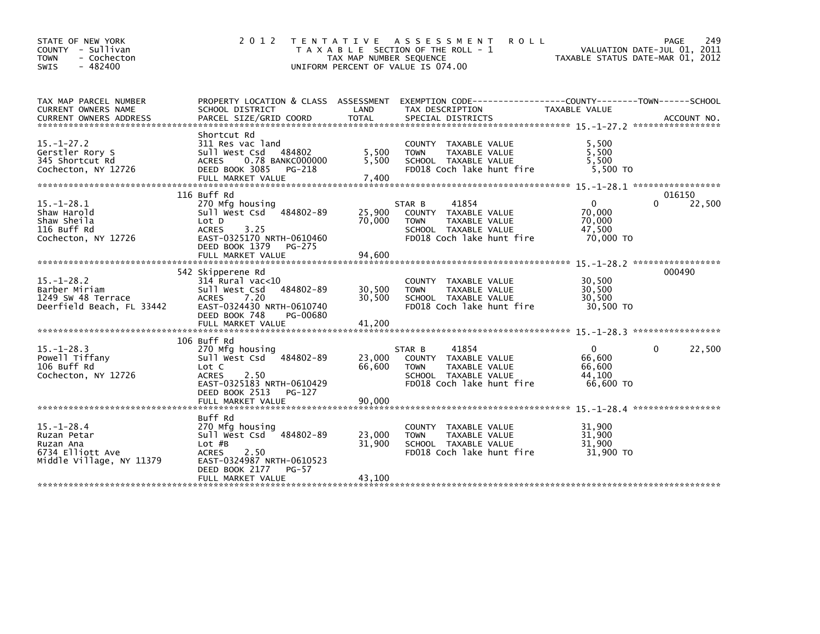| STATE OF NEW YORK<br>COUNTY - Sullivan<br><b>TOWN</b><br>- Cochecton<br>- 482400<br>SWIS     | 2 0 1 2                                                                                                                                                  | T E N T A T I V E<br>TAX MAP NUMBER SEQUENCE | A S S E S S M E N T<br><b>ROLL</b><br>T A X A B L E SECTION OF THE ROLL - 1<br>UNIFORM PERCENT OF VALUE IS 074.00            | TAXABLE STATUS DATE-MAR 01, 2012                        | 249<br>PAGE<br>VALUATION DATE-JUL 01, 2011 |
|----------------------------------------------------------------------------------------------|----------------------------------------------------------------------------------------------------------------------------------------------------------|----------------------------------------------|------------------------------------------------------------------------------------------------------------------------------|---------------------------------------------------------|--------------------------------------------|
| TAX MAP PARCEL NUMBER<br>CURRENT OWNERS NAME                                                 | PROPERTY LOCATION & CLASS ASSESSMENT<br>SCHOOL DISTRICT                                                                                                  | LAND                                         | TAX DESCRIPTION                                                                                                              | <b>TAXABLE VALUE</b>                                    |                                            |
| $15. - 1 - 27.2$<br>Gerstler Rory S<br>345 Shortcut Rd<br>Cochecton, NY 12726                | Shortcut Rd<br>311 Res vac land<br>484802<br>Sull West Csd<br><b>ACRES</b><br>0.78 BANKC000000<br>DEED BOOK 3085<br>PG-218<br>FULL MARKET VALUE          | 5,500<br>5,500<br>7,400                      | COUNTY TAXABLE VALUE<br>TAXABLE VALUE<br><b>TOWN</b><br>SCHOOL TAXABLE VALUE<br>FD018 Coch lake hunt fire                    | 5,500<br>5.500<br>5,500<br>5.500 TO                     |                                            |
| $15. - 1 - 28.1$<br>Shaw Harold<br>Shaw Sheila<br>116 Buff Rd<br>Cochecton, NY 12726         | 116 Buff Rd<br>270 Mfg housing<br>Sull West Csd<br>484802-89<br>Lot D<br><b>ACRES</b><br>3.25<br>EAST-0325170 NRTH-0610460<br>DEED BOOK 1379<br>PG-275   | 25,900<br>70,000<br>94,600                   | 41854<br>STAR B<br>COUNTY TAXABLE VALUE<br>TAXABLE VALUE<br><b>TOWN</b><br>SCHOOL TAXABLE VALUE<br>FD018 Coch lake hunt fire | $\mathbf{0}$<br>70,000<br>70.000<br>47,500<br>70,000 TO | 016150<br>22,500<br>0                      |
| $15. - 1 - 28.2$<br>Barber Miriam<br>1249 SW 48 Terrace<br>Deerfield Beach, FL 33442         | FULL MARKET VALUE<br>542 Skipperene Rd<br>314 Rural vac<10<br>Sull West Csd<br>484802-89<br><b>ACRES</b><br>7.20<br>EAST-0324430 NRTH-0610740            | 30,500<br>30,500                             | COUNTY TAXABLE VALUE<br><b>TOWN</b><br>TAXABLE VALUE<br>SCHOOL TAXABLE VALUE<br>FD018 Coch lake hunt fire                    | 30,500<br>30,500<br>30,500<br>30,500 TO                 | 15. -1-28. 2 ******************<br>000490  |
|                                                                                              | DEED BOOK 748<br>PG-00680                                                                                                                                |                                              |                                                                                                                              |                                                         |                                            |
| $15.-1-28.3$<br>Powell Tiffany<br>106 Buff Rd<br>Cochecton, NY 12726                         | 106 Buff Rd<br>270 Mfg housing<br>484802-89<br>Sull West Csd<br>Lot C<br><b>ACRES</b><br>2.50<br>EAST-0325183 NRTH-0610429<br>DEED BOOK 2513<br>PG-127   | 23,000<br>66,600                             | 41854<br>STAR B<br>COUNTY TAXABLE VALUE<br><b>TOWN</b><br>TAXABLE VALUE<br>SCHOOL TAXABLE VALUE<br>FD018 Coch lake hunt fire | $\mathbf{0}$<br>66,600<br>66,600<br>44,100<br>66,600 TO | 22,500<br>0                                |
|                                                                                              | FULL MARKET VALUE                                                                                                                                        | 90,000                                       |                                                                                                                              |                                                         | $15. - 1 - 28.4$ ******************        |
| $15. - 1 - 28.4$<br>Ruzan Petar<br>Ruzan Ana<br>6734 Elliott Ave<br>Middle Village, NY 11379 | Buff Rd<br>270 Mfg housing<br>Sull West Csd<br>484802-89<br>$Lot$ $#B$<br>2.50<br><b>ACRES</b><br>EAST-0324987 NRTH-0610523<br>DEED BOOK 2177<br>$PG-57$ | 23,000<br>31,900                             | COUNTY TAXABLE VALUE<br><b>TOWN</b><br>TAXABLE VALUE<br>SCHOOL TAXABLE VALUE<br>FD018 Coch lake hunt fire                    | 31,900<br>31,900<br>31.900<br>31,900 TO                 |                                            |
|                                                                                              | FULL MARKET VALUE                                                                                                                                        | 43,100                                       |                                                                                                                              |                                                         |                                            |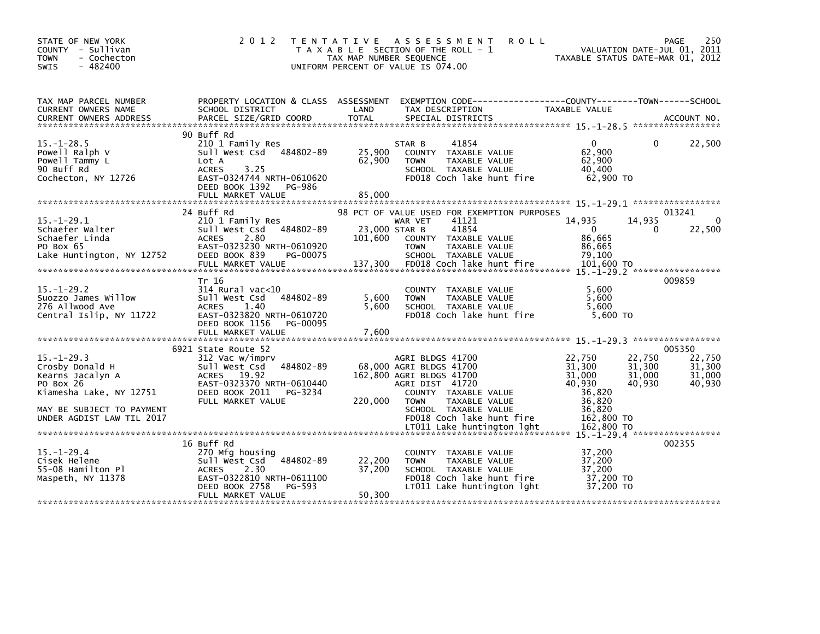| STATE OF NEW YORK<br>COUNTY - Sullivan<br><b>TOWN</b><br>- Cochecton<br>$-482400$<br><b>SWIS</b>                                                          | 2 0 1 2                                                                                                                                                                     | TAX MAP NUMBER SEQUENCE             | TENTATIVE ASSESSMENT<br><b>ROLL</b><br>T A X A B L E SECTION OF THE ROLL - 1<br>UNIFORM PERCENT OF VALUE IS 074.00                                                                                                                    |                                                                                                | 250<br>PAGE<br>VALUATION DATE-JUL 01, 2011<br>TAXABLE STATUS DATE-MAR 01, 2012         |
|-----------------------------------------------------------------------------------------------------------------------------------------------------------|-----------------------------------------------------------------------------------------------------------------------------------------------------------------------------|-------------------------------------|---------------------------------------------------------------------------------------------------------------------------------------------------------------------------------------------------------------------------------------|------------------------------------------------------------------------------------------------|----------------------------------------------------------------------------------------|
| TAX MAP PARCEL NUMBER<br>CURRENT OWNERS NAME<br>CURRENT OWNERS ADDRESS                                                                                    | PROPERTY LOCATION & CLASS ASSESSMENT<br>SCHOOL DISTRICT<br>PARCEL SIZE/GRID COORD                                                                                           | LAND<br><b>TOTAL</b>                | EXEMPTION CODE-----------------COUNTY-------TOWN------SCHOOL<br>TAX DESCRIPTION<br>SPECIAL DISTRICTS                                                                                                                                  | TAXABLE VALUE                                                                                  | ACCOUNT NO.                                                                            |
| $15. - 1 - 28.5$<br>Powell Ralph V<br>Powell Tammy L<br>90 Buff Rd<br>Cochecton, NY 12726                                                                 | 90 Buff Rd<br>210 1 Family Res<br>484802-89<br>Sull West Csd<br>Lot A<br>3.25<br><b>ACRES</b><br>EAST-0324744 NRTH-0610620<br>DEED BOOK 1392<br>PG-986<br>FULL MARKET VALUE | 25,900<br>62,900<br>85,000          | 41854<br>STAR B<br>COUNTY TAXABLE VALUE<br><b>TOWN</b><br>TAXABLE VALUE<br>SCHOOL TAXABLE VALUE<br>FD018 Coch lake hunt fire                                                                                                          | 0<br>62,900<br>62,900<br>40,400<br>62,900 TO                                                   | 22,500<br>0                                                                            |
| $15. - 1 - 29.1$<br>Schaefer Walter<br>Schaefer Linda<br>PO Box 65<br>Lake Huntington, NY 12752                                                           | 24 Buff Rd<br>210 1 Family Res<br>484802-89<br>Sull West Csd<br>2.80<br><b>ACRES</b><br>EAST-0323230 NRTH-0610920<br>DEED BOOK 839<br>PG-00075<br>FULL MARKET VALUE         | 23,000 STAR B<br>101,600<br>137,300 | 98 PCT OF VALUE USED FOR EXEMPTION PURPOSES<br>41121<br>WAR VET<br>41854<br>COUNTY TAXABLE VALUE<br>TAXABLE VALUE<br><b>TOWN</b><br>SCHOOL TAXABLE VALUE<br>FD018 Coch lake hunt fire                                                 | 14,935<br>$\overline{0}$<br>86,665<br>86,665<br>79,100<br>101,600 TO                           | 013241<br>$\Omega$<br>14,935<br>22,500<br>0                                            |
| $15 - 1 - 29.2$<br>Suozzo James Willow<br>276 Allwood Ave<br>Central Islip, NY 11722                                                                      | Tr 16<br>$314$ Rural vac<10<br>Sull West Csd<br>484802-89<br><b>ACRES</b><br>1.40<br>EAST-0323820 NRTH-0610720<br>DEED BOOK 1156<br>PG-00095<br>FULL MARKET VALUE           | 5,600<br>5,600<br>7,600             | COUNTY TAXABLE VALUE<br>TAXABLE VALUE<br><b>TOWN</b><br>SCHOOL TAXABLE VALUE<br>FD018 Coch lake hunt fire                                                                                                                             | 5,600<br>5,600<br>5.600<br>$5,600$ TO                                                          | 009859                                                                                 |
| $15. - 1 - 29.3$<br>Crosby Donald H<br>Kearns Jacalyn A<br>PO Box 26<br>Kiamesha Lake, NY 12751<br>MAY BE SUBJECT TO PAYMENT<br>UNDER AGDIST LAW TIL 2017 | 6921 State Route 52<br>312 Vac w/imprv<br>Sull West Csd 484802-89<br>ACRES 19.92<br>EAST-0323370 NRTH-0610440<br>DEED BOOK 2011<br>PG-3234<br>FULL MARKET VALUE             | 220,000                             | AGRI BLDGS 41700<br>68,000 AGRI BLDGS 41700<br>162,800 AGRI BLDGS 41700<br>AGRI DIST 41720<br>COUNTY TAXABLE VALUE<br>TAXABLE VALUE<br><b>TOWN</b><br>SCHOOL TAXABLE VALUE<br>FD018 Coch lake hunt fire<br>LT011 Lake huntington lght | 22,750<br>31,300<br>31,000<br>40,930<br>36.820<br>36,820<br>36,820<br>162,800 TO<br>162,800 TO | 005350<br>22,750<br>22,750<br>31,300<br>31,300<br>31,000<br>31,000<br>40,930<br>40,930 |
| 15. –1–29. 4<br>Cisek Helene<br>55-08 Hamilton Pl<br>Maspeth, NY 11378                                                                                    | 16 Buff Rd<br>270 Mfg housing<br>484802-89<br>Sull West Csd<br><b>ACRES</b><br>2.30<br>EAST-0322810 NRTH-0611100<br>DEED BOOK 2758<br>PG-593<br>FULL MARKET VALUE           | 22,200<br>37,200<br>50,300          | COUNTY TAXABLE VALUE<br>TAXABLE VALUE<br><b>TOWN</b><br>SCHOOL TAXABLE VALUE<br>FD018 Coch lake hunt fire<br>LT011 Lake huntington lght                                                                                               | 37,200<br>37,200<br>37,200<br>37,200 TO<br>37,200 TO                                           | 002355                                                                                 |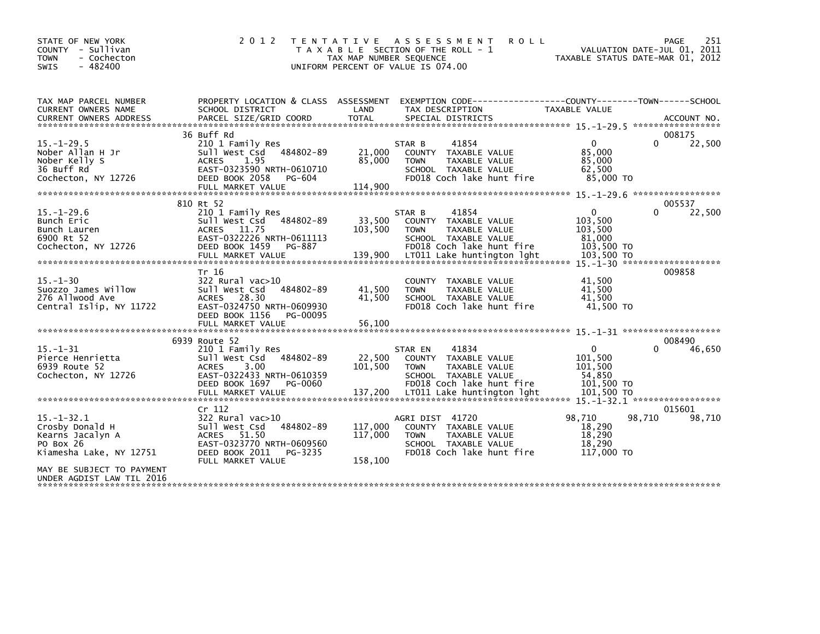| STATE OF NEW YORK<br>COUNTY - Sullivan<br>- Cochecton<br><b>TOWN</b><br>$-482400$<br>SWIS                                                                 | 2 0 1 2                                                                                                                                                     | T E N T A T I V E<br>TAX MAP NUMBER SEQUENCE<br>UNIFORM PERCENT OF VALUE IS 074.00 | A S S E S S M E N T<br>T A X A B L E SECTION OF THE ROLL - 1                                                                                                                 | <b>ROLL</b>                                                             | 251<br><b>PAGE</b><br>VALUATION DATE-JUL 01, 2011<br>TAXABLE STATUS DATE-MAR 01, 2012 |
|-----------------------------------------------------------------------------------------------------------------------------------------------------------|-------------------------------------------------------------------------------------------------------------------------------------------------------------|------------------------------------------------------------------------------------|------------------------------------------------------------------------------------------------------------------------------------------------------------------------------|-------------------------------------------------------------------------|---------------------------------------------------------------------------------------|
| TAX MAP PARCEL NUMBER<br>CURRENT OWNERS NAME                                                                                                              | PROPERTY LOCATION & CLASS ASSESSMENT<br>SCHOOL DISTRICT                                                                                                     | LAND                                                                               | TAX DESCRIPTION                                                                                                                                                              | <b>TAXABLE VALUE</b>                                                    |                                                                                       |
| $15. - 1 - 29.5$<br>Nober Allan H Jr<br>Nober Kelly S<br>36 Buff Rd<br>Cochecton, NY 12726                                                                | 36 Buff Rd<br>210 1 Family Res<br>Sull West Csd 484802-89<br>1.95<br><b>ACRES</b><br>EAST-0323590 NRTH-0610710<br>DEED BOOK 2058<br>PG-604                  | 21,000<br>85,000                                                                   | 41854<br>STAR B<br>COUNTY TAXABLE VALUE<br><b>TOWN</b><br>TAXABLE VALUE<br>SCHOOL TAXABLE VALUE<br>FD018 Coch lake hunt fire                                                 | $\Omega$<br>85,000<br>85,000<br>62,500<br>85,000 TO                     | 008175<br>$\Omega$<br>22,500                                                          |
|                                                                                                                                                           |                                                                                                                                                             |                                                                                    |                                                                                                                                                                              |                                                                         |                                                                                       |
| $15. - 1 - 29.6$<br>Bunch Eric<br>Bunch Lauren<br>6900 Rt 52<br>Cochecton, NY 12726                                                                       | 810 Rt 52<br>210 1 Family Res<br>484802-89<br>Sull West Csd<br>ACRES 11.75<br>EAST-0322226 NRTH-0611113<br>DEED BOOK 1459<br>PG-887                         | 33,500<br>103,500                                                                  | 41854<br>STAR B<br>COUNTY TAXABLE VALUE<br>TAXABLE VALUE<br><b>TOWN</b><br>SCHOOL TAXABLE VALUE<br>FD018 Coch lake hunt fire                                                 | $\mathbf{0}$<br>103,500<br>103,500<br>81,000<br>103,500 TO              | 005537<br>22,500<br>0                                                                 |
| $15. - 1 - 30$<br>Suozzo James Willow<br>276 Allwood Ave<br>Central Islip, NY 11722                                                                       | Tr 16<br>$322$ Rural vac $>10$<br>Sull West Csd<br>484802-89<br><b>ACRES</b><br>28.30<br>EAST-0324750 NRTH-0609930<br>DEED BOOK 1156<br>PG-00095            | 41,500<br>41,500                                                                   | COUNTY TAXABLE VALUE<br><b>TOWN</b><br>TAXABLE VALUE<br>SCHOOL TAXABLE VALUE<br>FD018 Coch lake hunt fire                                                                    | 41,500<br>41,500<br>41.500<br>41,500 TO                                 | 009858                                                                                |
|                                                                                                                                                           | 6939 Route 52                                                                                                                                               |                                                                                    |                                                                                                                                                                              |                                                                         | 008490                                                                                |
| $15. - 1 - 31$<br>Pierce Henrietta<br>6939 Route 52<br>Cochecton, NY 12726                                                                                | 210 1 Family Res<br>484802-89<br>sull west Csd<br>3.00<br><b>ACRES</b><br>EAST-0322433 NRTH-0610359<br>DEED BOOK 1697<br>PG-0060<br>FULL MARKET VALUE       | 22,500<br>101,500<br>137,200                                                       | 41834<br>STAR EN<br>TAXABLE VALUE<br><b>COUNTY</b><br><b>TAXABLE VALUE</b><br><b>TOWN</b><br>SCHOOL TAXABLE VALUE<br>FD018 Coch lake hunt fire<br>LT011 Lake huntington lght | $\mathbf 0$<br>101,500<br>101,500<br>54,850<br>101,500 TO<br>101,500 TO | 46,650<br>$\Omega$                                                                    |
| $15. - 1 - 32.1$<br>Crosby Donald H<br>Kearns Jacalyn A<br>PO Box 26<br>Kiamesha Lake, NY 12751<br>MAY BE SUBJECT TO PAYMENT<br>UNDER AGDIST LAW TIL 2016 | Cr 112<br>$322$ Rural vac $>10$<br>484802-89<br>Sull West Csd<br>ACRES 51.50<br>EAST-0323770 NRTH-0609560<br>DEED BOOK 2011<br>PG-3235<br>FULL MARKET VALUE | 117,000<br>117,000<br>158,100                                                      | AGRI DIST 41720<br>COUNTY TAXABLE VALUE<br><b>TOWN</b><br>TAXABLE VALUE<br>SCHOOL TAXABLE VALUE<br>FD018 Coch lake hunt fire                                                 | 98.710<br>18,290<br>18,290<br>18.290<br>117,000 TO                      | 015601<br>98.710<br>98,710                                                            |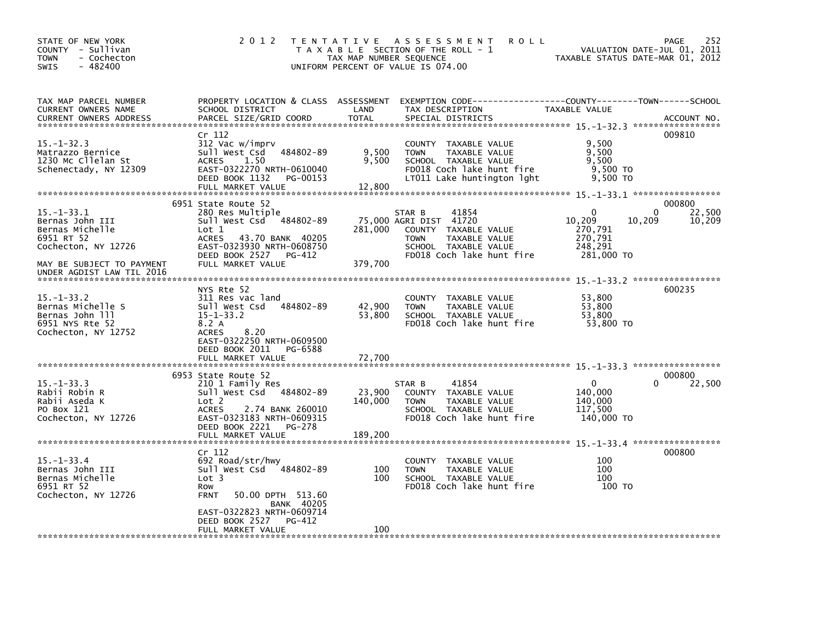| STATE OF NEW YORK<br>COUNTY - Sullivan<br>- Cochecton<br><b>TOWN</b><br>$-482400$<br>SWIS         | 2 0 1 2                                                                                                                                                         | TAX MAP NUMBER SEQUENCE  | TENTATIVE ASSESSMENT<br><b>ROLL</b><br>T A X A B L E SECTION OF THE ROLL - 1<br>UNIFORM PERCENT OF VALUE IS 074.00                                     | VALUATION DATE-JUL 01, 2011<br>TAXABLE STATUS DATE-MAR 01, 2012           | 252<br>PAGE      |
|---------------------------------------------------------------------------------------------------|-----------------------------------------------------------------------------------------------------------------------------------------------------------------|--------------------------|--------------------------------------------------------------------------------------------------------------------------------------------------------|---------------------------------------------------------------------------|------------------|
| TAX MAP PARCEL NUMBER<br>CURRENT OWNERS NAME<br><b>CURRENT OWNERS ADDRESS</b>                     | PROPERTY LOCATION & CLASS ASSESSMENT<br>SCHOOL DISTRICT<br>PARCEL SIZE/GRID COORD                                                                               | LAND<br><b>TOTAL</b>     | EXEMPTION CODE-----------------COUNTY-------TOWN------SCHOOL<br>TAX DESCRIPTION<br>SPECIAL DISTRICTS                                                   | TAXABLE VALUE                                                             | ACCOUNT NO.      |
| $15. - 1 - 32.3$<br>Matrazzo Bernice<br>1230 Mc Cllelan St<br>Schenectady, NY 12309               | Cr 112<br>312 Vac w/imprv<br>484802-89<br>Sull West Csd<br><b>ACRES</b><br>1.50<br>EAST-0322270 NRTH-0610040<br>DEED BOOK 1132<br>PG-00153<br>FULL MARKET VALUE | 9,500<br>9,500<br>12,800 | COUNTY TAXABLE VALUE<br><b>TAXABLE VALUE</b><br><b>TOWN</b><br>SCHOOL TAXABLE VALUE<br>FD018 Coch lake hunt fire<br>LT011 Lake huntington lght         | 9,500<br>9,500<br>9,500<br>$9,500$ TO<br>9,500 TO                         | 009810           |
| 000800<br>6951 State Route 52                                                                     |                                                                                                                                                                 |                          |                                                                                                                                                        |                                                                           |                  |
| $15. - 1 - 33.1$<br>Bernas John III<br>Bernas Michelle<br>6951 RT 52<br>Cochecton, NY 12726       | 280 Res Multiple<br>Sull West Csd 484802-89<br>Lot <sub>1</sub><br><b>ACRES</b><br>43.70 BANK 40205<br>EAST-0323930 NRTH-0608750<br>DEED BOOK 2527<br>PG-412    | 281,000                  | 41854<br>STAR B<br>75,000 AGRI DIST 41720<br>COUNTY TAXABLE VALUE<br><b>TOWN</b><br>TAXABLE VALUE<br>SCHOOL TAXABLE VALUE<br>FD018 Coch lake hunt fire | 0<br>0<br>10,209<br>10,209<br>270,791<br>270,791<br>248,291<br>281,000 TO | 22,500<br>10,209 |
| MAY BE SUBJECT TO PAYMENT<br>UNDER AGDIST LAW TIL 2016                                            | FULL MARKET VALUE                                                                                                                                               | 379.700                  |                                                                                                                                                        |                                                                           |                  |
| $15. -1 - 33.2$<br>Bernas Michelle S<br>Bernas John 111<br>6951 NYS Rte 52<br>Cochecton, NY 12752 | NYS Rte 52<br>311 Res vac land<br>484802-89<br>Sull West Csd<br>$15 - 1 - 33.2$<br>8.2 A<br>8.20<br><b>ACRES</b><br>EAST-0322250 NRTH-0609500                   | 42,900<br>53,800         | COUNTY TAXABLE VALUE<br>TAXABLE VALUE<br><b>TOWN</b><br>SCHOOL TAXABLE VALUE<br>FD018 Coch lake hunt fire                                              | 53,800<br>53,800<br>53,800<br>53,800 TO                                   | 600235           |
|                                                                                                   | DEED BOOK 2011<br>PG-6588<br>FULL MARKET VALUE                                                                                                                  | 72,700                   |                                                                                                                                                        |                                                                           |                  |
| 6953 State Route 52<br>000800                                                                     |                                                                                                                                                                 |                          |                                                                                                                                                        |                                                                           |                  |
| $15. - 1 - 33.3$<br>Rabii Robin R<br>Rabii Aseda K<br>PO Box 121<br>Cochecton, NY 12726           | 210 1 Family Res<br>Sull West Csd 484802-89<br>Lot 2<br><b>ACRES</b><br>2.74 BANK 260010<br>EAST-0323183 NRTH-0609315<br>DEED BOOK 2221<br>PG-278               | 23,900<br>140.000        | 41854<br>STAR B<br>COUNTY TAXABLE VALUE<br><b>TOWN</b><br><b>TAXABLE VALUE</b><br>SCHOOL TAXABLE VALUE<br>FD018 Coch lake hunt fire                    | 0<br>140,000<br>140,000<br>117,500<br>140,000 TO                          | 22,500           |
|                                                                                                   | FULL MARKET VALUE                                                                                                                                               | 189,200                  |                                                                                                                                                        |                                                                           |                  |
| $15 - 1 - 33.4$<br>Bernas John III<br>Bernas Michelle<br>6951 RT 52<br>Cochecton, NY 12726        | Cr 112<br>692 Road/str/hwy<br>Sull West Csd 484802-89<br>Lot <sub>3</sub><br>Row<br><b>FRNT</b><br>50.00 DPTH 513.60<br><b>BANK 40205</b>                       | 100<br>100               | COUNTY TAXABLE VALUE<br>TAXABLE VALUE<br><b>TOWN</b><br>SCHOOL TAXABLE VALUE<br>FD018 Coch lake hunt fire                                              | 100<br>100<br>100<br>100 TO                                               | 000800           |
|                                                                                                   | EAST-0322823 NRTH-0609714<br>DEED BOOK 2527<br>PG-412<br>FULL MARKET VALUE                                                                                      | 100                      |                                                                                                                                                        |                                                                           |                  |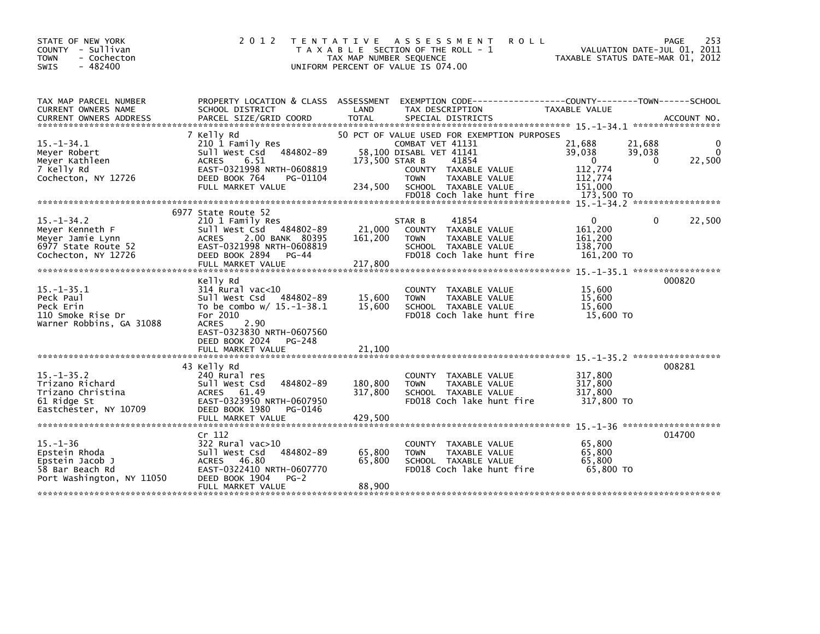| STATE OF NEW YORK<br>COUNTY - Sullivan<br><b>TOWN</b><br>- Cochecton<br>$-482400$<br>SWIS          | 2 0 1 2                                                                                                                                                          | T E N T A T I V E<br>TAX MAP NUMBER SEQUENCE | A S S E S S M E N T<br><b>ROLL</b><br>T A X A B L E SECTION OF THE ROLL - 1<br>UNIFORM PERCENT OF VALUE IS 074.00          | TAXABLE STATUS DATE-MAR 01, 2012                       | <b>PAGE</b><br>VALUATION DATE-JUL 01, 2011 | 253              |
|----------------------------------------------------------------------------------------------------|------------------------------------------------------------------------------------------------------------------------------------------------------------------|----------------------------------------------|----------------------------------------------------------------------------------------------------------------------------|--------------------------------------------------------|--------------------------------------------|------------------|
| TAX MAP PARCEL NUMBER<br><b>CURRENT OWNERS NAME</b>                                                | PROPERTY LOCATION & CLASS ASSESSMENT<br>SCHOOL DISTRICT                                                                                                          | LAND                                         | TAX DESCRIPTION                                                                                                            | <b>TAXABLE VALUE</b>                                   |                                            |                  |
|                                                                                                    |                                                                                                                                                                  |                                              |                                                                                                                            |                                                        |                                            |                  |
| $15. -1 - 34.1$<br>Meyer Robert<br>Meyer Kathleen<br>7 Kelly Rd<br>Cochecton, NY 12726             | 210 1 Family Res<br>Sull West Csd 484802-89<br>6.51<br><b>ACRES</b><br>EAST-0321998 NRTH-0608819<br>DEED BOOK 764<br>PG-01104<br>FULL MARKET VALUE               | 173,500 STAR B                               | COMBAT VET 41131<br>58,100 DISABL VET 41141<br>41854<br>COUNTY TAXABLE VALUE<br><b>TAXABLE VALUE</b><br><b>TOWN</b>        | 21,688<br>39,038<br>0<br>112,774<br>112,774<br>151.000 | 21,688<br>39,038<br>0                      | 0<br>0<br>22,500 |
|                                                                                                    |                                                                                                                                                                  |                                              | FD018 Coch lake hunt fire                                                                                                  | 173,500 TO                                             |                                            |                  |
|                                                                                                    |                                                                                                                                                                  |                                              |                                                                                                                            |                                                        |                                            |                  |
| $15. -1 - 34.2$<br>Meyer Kenneth F<br>Meyer Jamie Lynn<br>6977 State Route 52                      | 210 1 Family Res<br>Sull West Csd 484802-89<br>2.00 BANK 80395<br><b>ACRES</b><br>EAST-0321998 NRTH-0608819                                                      | 21,000<br>161,200                            | 41854<br>STAR B<br>COUNTY TAXABLE VALUE<br><b>TOWN</b><br>TAXABLE VALUE<br>SCHOOL TAXABLE VALUE                            | 0<br>161,200<br>161,200<br>138,700                     | $\Omega$                                   | 22,500           |
|                                                                                                    |                                                                                                                                                                  |                                              |                                                                                                                            |                                                        |                                            |                  |
| $15. - 1 - 35.1$<br>Peck Paul<br>Peck Erin<br>110 Smoke Rise Dr                                    | Kelly Rd<br>314 Rural vac<10<br>Sull West Csd 484802-89<br>To be combo $w/15.-1-38.1$<br>For 2010                                                                | 15,600<br>15,600                             | COUNTY TAXABLE VALUE<br>TAXABLE VALUE<br><b>TOWN</b><br>SCHOOL TAXABLE VALUE<br>FD018 Coch lake hunt fire                  | 15,600<br>15,600<br>15,600<br>15,600 TO                | 000820                                     |                  |
|                                                                                                    | EAST-0323830 NRTH-0607560<br>DEED BOOK 2024<br>PG-248<br>FULL MARKET VALUE                                                                                       | 21,100                                       |                                                                                                                            |                                                        |                                            |                  |
| $15. - 1 - 35.2$<br>Trizano Richard<br>Trizano Christina<br>61 Ridge St                            | 240 Rural res<br>Sull West Csd<br>484802-89<br>61.49<br><b>ACRES</b><br>EAST-0323950 NRTH-0607950                                                                | 180,800<br>317,800                           | COUNTY TAXABLE VALUE<br>TAXABLE VALUE<br><b>TOWN</b><br>SCHOOL TAXABLE VALUE<br>FD018 Coch lake hunt fire                  | 317,800<br>317,800<br>317,800<br>317,800 TO            |                                            |                  |
|                                                                                                    | FULL MARKET VALUE                                                                                                                                                | 429,500                                      |                                                                                                                            |                                                        |                                            |                  |
|                                                                                                    |                                                                                                                                                                  |                                              |                                                                                                                            |                                                        |                                            |                  |
| $15. - 1 - 36$<br>Epstein Rhoda<br>Epstein Jacob J<br>58 Bar Beach Rd<br>Port Washington, NY 11050 | Cr <sub>112</sub><br>322 Rural vac>10<br>Sull West Csd<br>484802-89<br>ACRES 46.80<br>EAST-0322410 NRTH-0607770<br>DEED BOOK 1904<br>$PG-2$<br>FULL MARKET VALUE | 65,800<br>65,800<br>88,900                   | TAXABLE VALUE<br><b>COUNTY</b><br><b>TAXABLE VALUE</b><br><b>TOWN</b><br>SCHOOL TAXABLE VALUE<br>FD018 Coch lake hunt fire | 65,800<br>65,800<br>65,800<br>65,800 TO                | 014700                                     |                  |
| Cochecton, NY 12726<br>Warner Robbins, GA 31088<br>Eastchester, NY 10709                           | 7 Kelly Rd<br>6977 State Route 52<br>DEED BOOK 2894 PG-44<br>FULL MARKET VALUE<br><b>ACRES</b><br>2.90<br>43 Kelly Rd<br>DEED BOOK 1980<br>PG-0146               | 234,500<br>217,800                           | 50 PCT OF VALUE USED FOR EXEMPTION PURPOSES<br>SCHOOL TAXABLE VALUE<br>FD018 Coch lake hunt fire                           | 161,200 TO                                             | 008281                                     |                  |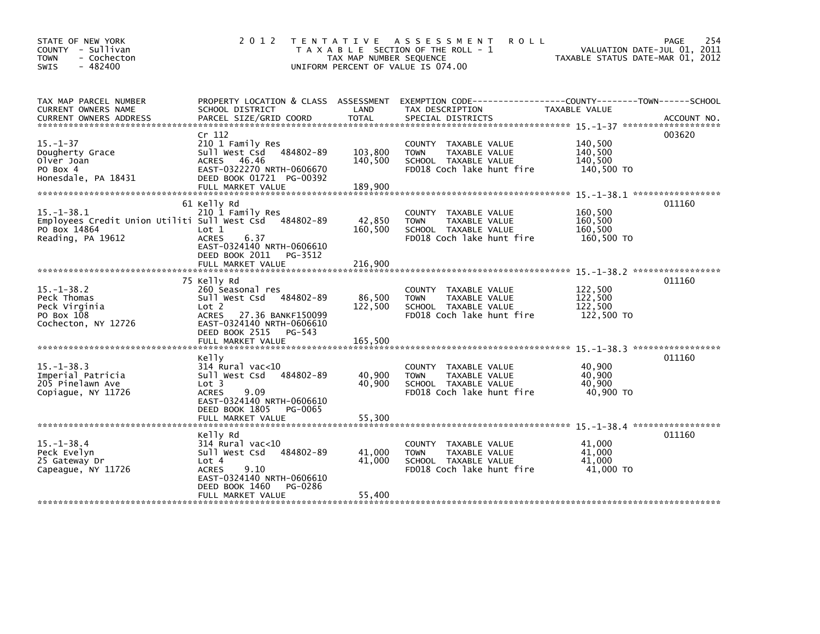| STATE OF NEW YORK<br>COUNTY - Sullivan<br>- Cochecton<br><b>TOWN</b><br>$-482400$<br>SWIS             | 2 0 1 2                                                                                                                                                                | TAX MAP NUMBER SEQUENCE       | <b>ROLL</b><br>TENTATIVE ASSESSMENT<br>T A X A B L E SECTION OF THE ROLL - 1<br>UNIFORM PERCENT OF VALUE IS 074.00 | VALUATION DATE-JUL 01, 2011<br>TAXABLE STATUS DATE-MAR 01, 2012 | 254<br>PAGE |
|-------------------------------------------------------------------------------------------------------|------------------------------------------------------------------------------------------------------------------------------------------------------------------------|-------------------------------|--------------------------------------------------------------------------------------------------------------------|-----------------------------------------------------------------|-------------|
| TAX MAP PARCEL NUMBER<br>CURRENT OWNERS NAME<br>CURRENT OWNERS ADDRESS                                | PROPERTY LOCATION & CLASS ASSESSMENT<br>SCHOOL DISTRICT<br>PARCEL SIZE/GRID COORD                                                                                      | LAND<br><b>TOTAL</b>          | EXEMPTION CODE------------------COUNTY--------TOWN------SCHOOL<br>TAX DESCRIPTION<br>SPECIAL DISTRICTS             | TAXABLE VALUE                                                   | ACCOUNT NO. |
| $15. - 1 - 37$<br>Dougherty Grace<br>Olver Joan<br>PO Box 4<br>Honesdale, PA 18431                    | Cr 112<br>210 1 Family Res<br>Sull West Csd<br>484802-89<br>ACRES 46.46<br>EAST-0322270 NRTH-0606670<br>DEED BOOK 01721 PG-00392<br>FULL MARKET VALUE                  | 103,800<br>140,500<br>189,900 | COUNTY TAXABLE VALUE<br>TAXABLE VALUE<br><b>TOWN</b><br>SCHOOL TAXABLE VALUE<br>FD018 Coch lake hunt fire          | 140,500<br>140,500<br>140.500<br>140,500 TO                     | 003620      |
| $15. - 1 - 38.1$<br>Employees Credit Union Utiliti Sull West Csd<br>PO Box 14864<br>Reading, PA 19612 | 61 Kelly Rd<br>210 1 Family Res<br>484802-89<br>Lot <sub>1</sub><br><b>ACRES</b><br>6.37<br>EAST-0324140 NRTH-0606610<br>DEED BOOK 2011<br>PG-3512                     | 42,850<br>160,500             | COUNTY TAXABLE VALUE<br><b>TOWN</b><br>TAXABLE VALUE<br>SCHOOL TAXABLE VALUE<br>FD018 Coch lake hunt fire          | 160,500<br>160.500<br>160,500<br>160,500 TO                     | 011160      |
|                                                                                                       |                                                                                                                                                                        |                               |                                                                                                                    |                                                                 |             |
| $15. - 1 - 38.2$<br>Peck Thomas<br>Peck Virginia<br>PO Box 108<br>Cochecton, NY 12726                 | 75 Kelly Rd<br>260 Seasonal res<br>Sull West Csd<br>484802-89<br>Lot 2<br>27.36 BANKF150099<br><b>ACRES</b><br>EAST-0324140 NRTH-0606610<br>DEED BOOK 2515<br>$PG-543$ | 86,500<br>122,500<br>165,500  | COUNTY TAXABLE VALUE<br>TAXABLE VALUE<br><b>TOWN</b><br>SCHOOL TAXABLE VALUE<br>FD018 Coch lake hunt fire          | 122.500<br>122.500<br>122,500<br>122,500 TO                     | 011160      |
|                                                                                                       | FULL MARKET VALUE                                                                                                                                                      |                               |                                                                                                                    |                                                                 |             |
| $15. - 1 - 38.3$<br>Imperial Patricia<br>205 Pinelawn Ave<br>Copiaque, NY 11726                       | Kelly<br>$314$ Rural vac<10<br>Sull West Csd<br>484802-89<br>Lot 3<br><b>ACRES</b><br>9.09<br>EAST-0324140 NRTH-0606610<br>DEED BOOK 1805<br>PG-0065                   | 40,900<br>40,900              | COUNTY TAXABLE VALUE<br>TAXABLE VALUE<br><b>TOWN</b><br>SCHOOL TAXABLE VALUE<br>FD018 Coch lake hunt fire          | 40,900<br>40,900<br>40.900<br>40.900 TO                         | 011160      |
|                                                                                                       | FULL MARKET VALUE                                                                                                                                                      | 55,300                        |                                                                                                                    |                                                                 |             |
| $15. - 1 - 38.4$<br>Peck Evelyn<br>25 Gateway Dr<br>Capeague, NY 11726                                | Kelly Rd<br>$314$ Rural vac< $10$<br>Sull West Csd<br>484802-89<br>Lot 4<br><b>ACRES</b><br>9.10<br>EAST-0324140 NRTH-0606610<br>DEED BOOK 1460<br>PG-0286             | 41,000<br>41,000              | COUNTY TAXABLE VALUE<br><b>TOWN</b><br>TAXABLE VALUE<br>SCHOOL TAXABLE VALUE<br>FD018 Coch lake hunt fire          | 41,000<br>41.000<br>41.000<br>41,000 TO                         | 011160      |
|                                                                                                       | FULL MARKET VALUE                                                                                                                                                      | 55,400                        |                                                                                                                    |                                                                 |             |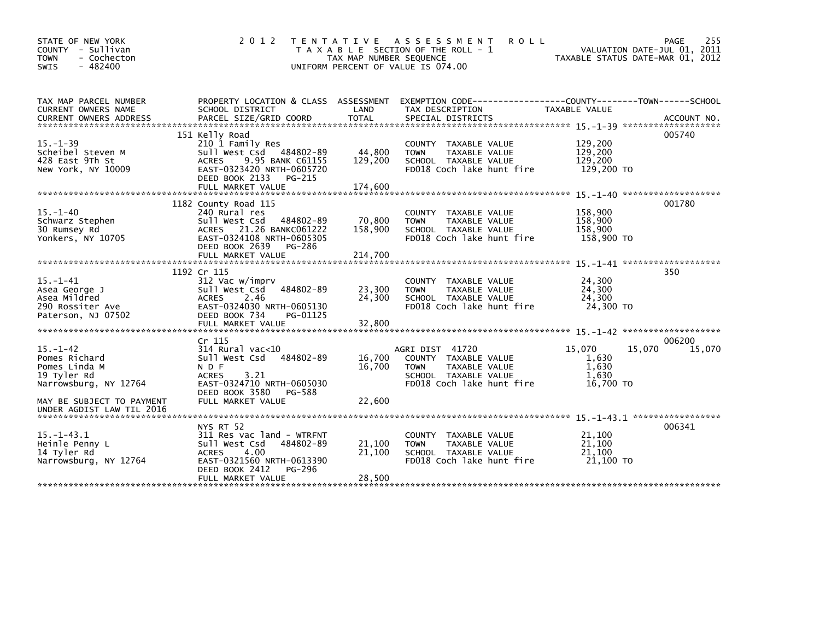| STATE OF NEW YORK<br>COUNTY - Sullivan<br>- Cochecton<br><b>TOWN</b><br>$-482400$<br><b>SWIS</b>                      | 2 0 1 2                                                                                                                                                                      | T E N T A T I V E<br>TAX MAP NUMBER SEQUENCE | A S S E S S M E N T<br><b>ROLL</b><br>T A X A B L E SECTION OF THE ROLL - 1<br>UNIFORM PERCENT OF VALUE IS 074.00            | TAXABLE STATUS DATE-MAR 01, 2012                         | 255<br>PAGE<br>VALUATION DATE-JUL 01, 2011 |
|-----------------------------------------------------------------------------------------------------------------------|------------------------------------------------------------------------------------------------------------------------------------------------------------------------------|----------------------------------------------|------------------------------------------------------------------------------------------------------------------------------|----------------------------------------------------------|--------------------------------------------|
| TAX MAP PARCEL NUMBER<br>CURRENT OWNERS NAME<br><b>CURRENT OWNERS ADDRESS</b>                                         | PROPERTY LOCATION & CLASS ASSESSMENT<br>SCHOOL DISTRICT<br>PARCEL SIZE/GRID COORD                                                                                            | LAND<br><b>TOTAL</b>                         | EXEMPTION CODE-----------------COUNTY-------TOWN------SCHOOL<br>TAX DESCRIPTION<br>SPECIAL DISTRICTS                         | TAXABLE VALUE                                            | ACCOUNT NO.                                |
| $15. - 1 - 39$<br>Scheibel Steven M<br>428 East 9Th St<br>New York, NY 10009                                          | 151 Kelly Road<br>210 1 Family Res<br>Sull West Csd 484802-89<br><b>ACRES</b><br>9.95 BANK C61155<br>EAST-0323420 NRTH-0605720<br>DEED BOOK 2133<br>PG-215                   | 44,800<br>129,200                            | COUNTY TAXABLE VALUE<br><b>TOWN</b><br>TAXABLE VALUE<br>SCHOOL TAXABLE VALUE<br>FD018 Coch lake hunt fire                    | 129,200<br>129,200<br>129,200<br>129,200 TO              | 005740                                     |
| $15. - 1 - 40$<br>Schwarz Stephen<br>30 Rumsey Rd<br>Yonkers, NY 10705                                                | 1182 County Road 115<br>240 Rural res<br>Sull West Csd<br>484802-89<br>ACRES 21.26 BANKC061222<br>EAST-0324108 NRTH-0605305<br>DEED BOOK 2639<br>PG-286<br>FULL MARKET VALUE | 70,800<br>158,900<br>214,700                 | COUNTY TAXABLE VALUE<br>TAXABLE VALUE<br><b>TOWN</b><br>SCHOOL TAXABLE VALUE<br>FD018 Coch lake hunt fire                    | 158,900<br>158,900<br>158.900<br>158,900 TO              | 001780                                     |
| $15. - 1 - 41$<br>Asea George J<br>Asea Mildred<br>290 Rossiter Ave<br>Paterson, NJ 07502                             | 1192 Cr 115<br>312 Vac w/imprv<br>484802-89<br>Sull West Csd<br><b>ACRES</b><br>2.46<br>EAST-0324030 NRTH-0605130<br>DEED BOOK 734<br>PG-01125<br>FULL MARKET VALUE          | 23,300<br>24,300<br>32,800                   | COUNTY TAXABLE VALUE<br>TAXABLE VALUE<br><b>TOWN</b><br>SCHOOL TAXABLE VALUE<br>FD018 Coch lake hunt fire                    | 24,300<br>24,300<br>24,300<br>24,300 TO                  | 350                                        |
| $15. - 1 - 42$<br>Pomes Richard<br>Pomes Linda M<br>19 Tyler Rd<br>Narrowsburg, NY 12764<br>MAY BE SUBJECT TO PAYMENT | $Cr$ 115<br>$314$ Rural vac<10<br>484802-89<br>Sull West Csd<br>N D F<br><b>ACRES</b><br>3.21<br>EAST-0324710 NRTH-0605030<br>DEED BOOK 3580<br>PG-588<br>FULL MARKET VALUE  | 16,700<br>16,700<br>22,600                   | AGRI DIST 41720<br>COUNTY TAXABLE VALUE<br>TAXABLE VALUE<br><b>TOWN</b><br>SCHOOL TAXABLE VALUE<br>FD018 Coch lake hunt fire | 15,070<br>15,070<br>1,630<br>1,630<br>1.630<br>16,700 TO | 006200<br>15,070                           |
| UNDER AGDIST LAW TIL 2016<br>$15. - 1 - 43.1$<br>Heinle Penny L<br>14 Tyler Rd<br>Narrowsburg, NY 12764               | NYS RT 52<br>311 Res vac land - WTRFNT<br>Sull West Csd<br>484802-89<br>4.00<br><b>ACRES</b><br>EAST-0321560 NRTH-0613390<br>DEED BOOK 2412<br>PG-296<br>FULL MARKET VALUE   | 21,100<br>21,100<br>28,500                   | COUNTY TAXABLE VALUE<br>TAXABLE VALUE<br><b>TOWN</b><br>SCHOOL TAXABLE VALUE<br>FD018 Coch lake hunt fire                    | 21,100<br>21,100<br>21,100<br>21.100 TO                  | 006341                                     |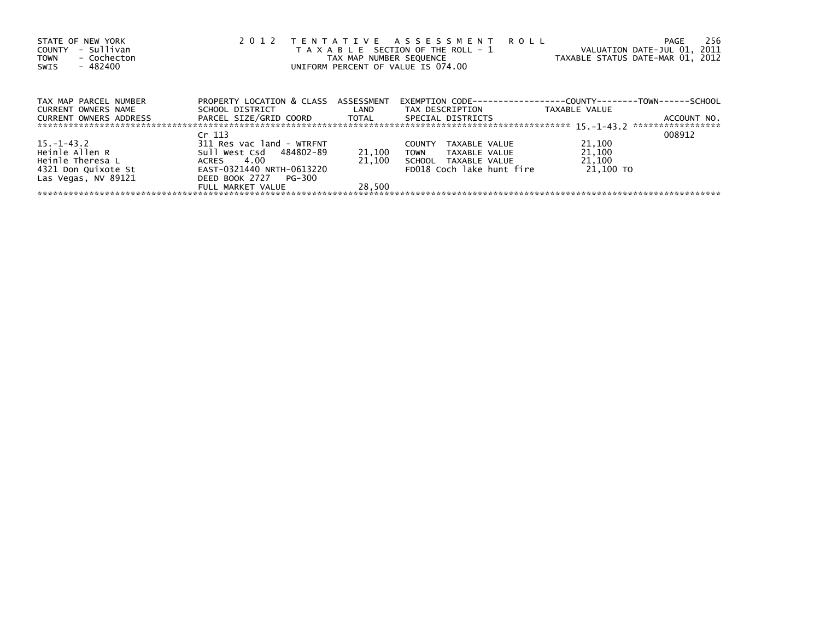| STATE OF NEW YORK<br>- Sullivan<br>COUNTY<br>- Cochecton<br><b>TOWN</b><br>- 482400<br>SWIS | 2 0 1 2                              |        | TENTATIVE ASSESSMENT<br><b>ROLL</b><br>T A X A B L E SECTION OF THE ROLL - 1<br>TAX MAP NUMBER SEQUENCE<br>UNIFORM PERCENT OF VALUE IS 074.00 | VALUATION DATE-JUL 01, 2011<br>TAXABLE STATUS DATE-MAR 01, 2012 | 256<br>PAGE                      |
|---------------------------------------------------------------------------------------------|--------------------------------------|--------|-----------------------------------------------------------------------------------------------------------------------------------------------|-----------------------------------------------------------------|----------------------------------|
| TAX MAP PARCEL NUMBER                                                                       | PROPERTY LOCATION & CLASS ASSESSMENT |        | EXEMPTION        CODE-----------------COUNTY--------TOWN------SCHOOL                                                                          |                                                                 |                                  |
| CURRENT OWNERS NAME                                                                         | SCHOOL DISTRICT                      | LAND   | TAX DESCRIPTION                                                                                                                               | TAXABLE VALUE                                                   |                                  |
| CURRENT OWNERS ADDRESS                                                                      | PARCEL SIZE/GRID COORD TOTAL         |        | SPECIAL DISTRICTS                                                                                                                             |                                                                 | ACCOUNT NO.<br>***************** |
|                                                                                             | Cr 113                               |        |                                                                                                                                               |                                                                 | 008912                           |
| $15. - 1 - 43.2$                                                                            | 311 Res vac land - WTRFNT            |        | TAXABLE VALUE<br><b>COUNTY</b>                                                                                                                | 21,100                                                          |                                  |
| Heinle Allen R                                                                              | Sull West Csd 484802-89              | 21,100 | TOWN<br>TAXABLE VALUE                                                                                                                         | 21,100                                                          |                                  |
| Heinle Theresa L                                                                            | ACRES 4.00                           | 21.100 | SCHOOL TAXABLE VALUE                                                                                                                          | 21,100                                                          |                                  |
| 4321 Don Quixote St                                                                         | EAST-0321440 NRTH-0613220            |        | FD018 Coch lake hunt fire                                                                                                                     | 21.100 TO                                                       |                                  |
| Las Vegas, NV 89121                                                                         | DEED BOOK 2727 PG-300                |        |                                                                                                                                               |                                                                 |                                  |
|                                                                                             | FULL MARKET VALUE                    | 28.500 |                                                                                                                                               |                                                                 |                                  |
|                                                                                             |                                      |        |                                                                                                                                               |                                                                 |                                  |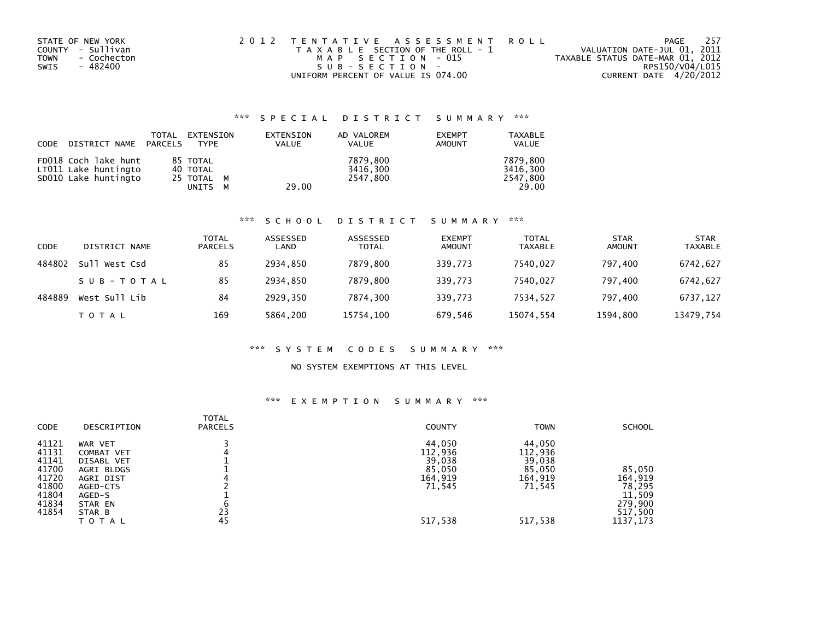| STATE OF NEW YORK   | 2012 TENTATIVE ASSESSMENT ROLL        | PAGE                             | 257 |
|---------------------|---------------------------------------|----------------------------------|-----|
| COUNTY - Sullivan   | T A X A B L E SECTION OF THE ROLL - 1 | VALUATION DATE-JUL 01, 2011      |     |
| - Cochecton<br>TOWN | MAP SECTION - 015                     | TAXABLE STATUS DATE-MAR 01, 2012 |     |
| SWIS<br>- 482400    | $SUB - SECTION -$                     | RPS150/V04/L015                  |     |
|                     | UNIFORM PERCENT OF VALUE IS 074.00    | CURRENT DATE 4/20/2012           |     |

## \*\*\* S P E C I A L D I S T R I C T S U M M A R Y \*\*\*

| CODE DISTRICT NAME PARCELS                                           | TOTAL | EXTENSION<br>TYPE                                | EXTENSION<br><b>VALUE</b> | AD VALOREM<br><b>VALUE</b>       | <b>EXEMPT</b><br><b>AMOUNT</b> | <b>TAXABLE</b><br>VALUE                   |
|----------------------------------------------------------------------|-------|--------------------------------------------------|---------------------------|----------------------------------|--------------------------------|-------------------------------------------|
| FD018 Coch lake hunt<br>LT011 Lake huntingto<br>SD010 Lake huntingto |       | 85 TOTAL<br>40 TOTAL<br>25 TOTAL M<br>UNITS<br>м | 29.00                     | 7879,800<br>3416.300<br>2547.800 |                                | 7879,800<br>3416.300<br>2547,800<br>29.00 |

#### \*\*\* S C H O O L D I S T R I C T S U M M A R Y \*\*\*

| CODE   | DISTRICT NAME    | TOTAL<br><b>PARCELS</b> | ASSESSED<br>LAND | ASSESSED<br><b>TOTAL</b> | <b>EXEMPT</b><br><b>AMOUNT</b> | <b>TOTAL</b><br><b>TAXABLE</b> | <b>STAR</b><br><b>AMOUNT</b> | <b>STAR</b><br><b>TAXABLE</b> |
|--------|------------------|-------------------------|------------------|--------------------------|--------------------------------|--------------------------------|------------------------------|-------------------------------|
| 484802 | Su11<br>West Csd | 85                      | 2934.850         | 7879.800                 | 339,773                        | 7540.027                       | 797.400                      | 6742,627                      |
|        | SUB-TOTAL        | 85                      | 2934.850         | 7879.800                 | 339.773                        | 7540.027                       | 797.400                      | 6742,627                      |
| 484889 | West Sull Lib    | 84                      | 2929.350         | 7874.300                 | 339.773                        | 7534.527                       | 797.400                      | 6737,127                      |
|        | T O T A L        | 169                     | 5864,200         | 15754,100                | 679,546                        | 15074,554                      | 1594,800                     | 13479,754                     |

#### \*\*\* S Y S T E M C O D E S S U M M A R Y \*\*\*

## NO SYSTEM EXEMPTIONS AT THIS LEVEL

## \*\*\* E X E M P T I O N S U M M A R Y \*\*\*

| CODE                                                                          | DESCRIPTION                                                                                                                   | <b>TOTAL</b><br><b>PARCELS</b> | <b>COUNTY</b>                                                         | <b>TOWN</b>                                                           | <b>SCHOOL</b>                                                            |
|-------------------------------------------------------------------------------|-------------------------------------------------------------------------------------------------------------------------------|--------------------------------|-----------------------------------------------------------------------|-----------------------------------------------------------------------|--------------------------------------------------------------------------|
| 41121<br>41131<br>41141<br>41700<br>41720<br>41800<br>41804<br>41834<br>41854 | WAR VET<br>COMBAT VET<br><b>DISABL VET</b><br>AGRI BLDGS<br>AGRI DIST<br>AGED-CTS<br>AGED-S<br>STAR EN<br>STAR B<br>T O T A L | 23<br>45                       | 44,050<br>112,936<br>39,038<br>85,050<br>164,919<br>71,545<br>517,538 | 44,050<br>112,936<br>39,038<br>85,050<br>164,919<br>71,545<br>517,538 | 85,050<br>164,919<br>78,295<br>11,509<br>279,900<br>517,500<br>1137, 173 |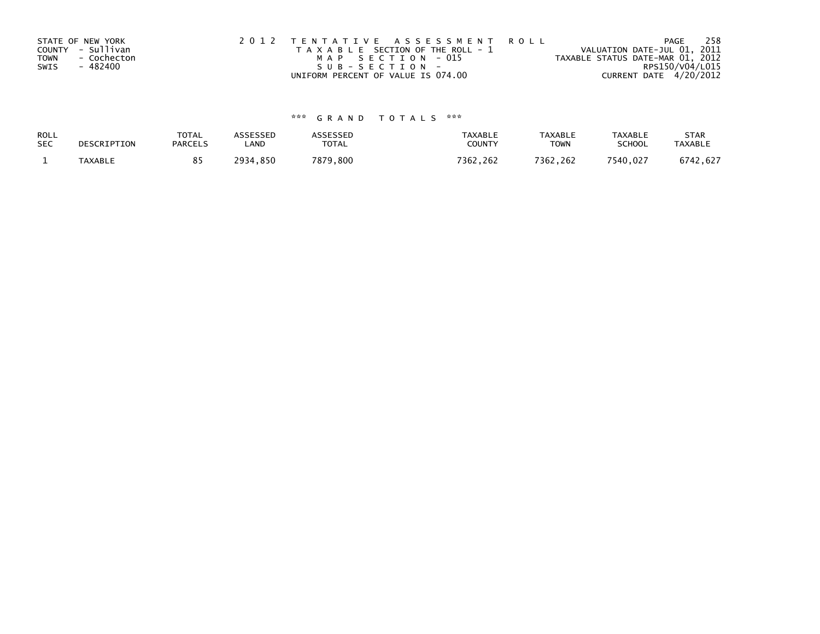|      | STATE OF NEW YORK | 2012 TENTATIVE ASSESSMENT ROLL        | PAGE                             | 258 |
|------|-------------------|---------------------------------------|----------------------------------|-----|
|      | COUNTY - Sullivan | T A X A B L E SECTION OF THE ROLL - 1 | VALUATION DATE-JUL 01, 2011      |     |
| TOWN | - Cochecton       | MAP SECTION - 015                     | TAXABLE STATUS DATE-MAR 01, 2012 |     |
| SWIS | - 482400          | SUB-SECTION-                          | RPS150/V04/L015                  |     |
|      |                   | UNIFORM PERCENT OF VALUE IS 074.00    | CURRENT DATE 4/20/2012           |     |

# \*\*\* G R A N D T O T A L S \*\*\*

| ROLL       | DESCRIPTION | <b>TOTAL</b>   | <b>ASSESSED</b> | <b>ASSESSED</b> | <b>TAXABLE</b> | <b>TAXABLE</b> | <b>TAXABLE</b> | <b>STAR</b>    |
|------------|-------------|----------------|-----------------|-----------------|----------------|----------------|----------------|----------------|
| <b>SEC</b> |             | <b>PARCELS</b> | LAND            | <b>TOTAL</b>    | COUNTY         | <b>TOWN</b>    | <b>SCHOOL</b>  | <b>TAXABLE</b> |
|            | TAXABLE     |                | 2934,850        | 7879,800        | 7362,262       | 7362.262       | 7540,027       | 6742,627       |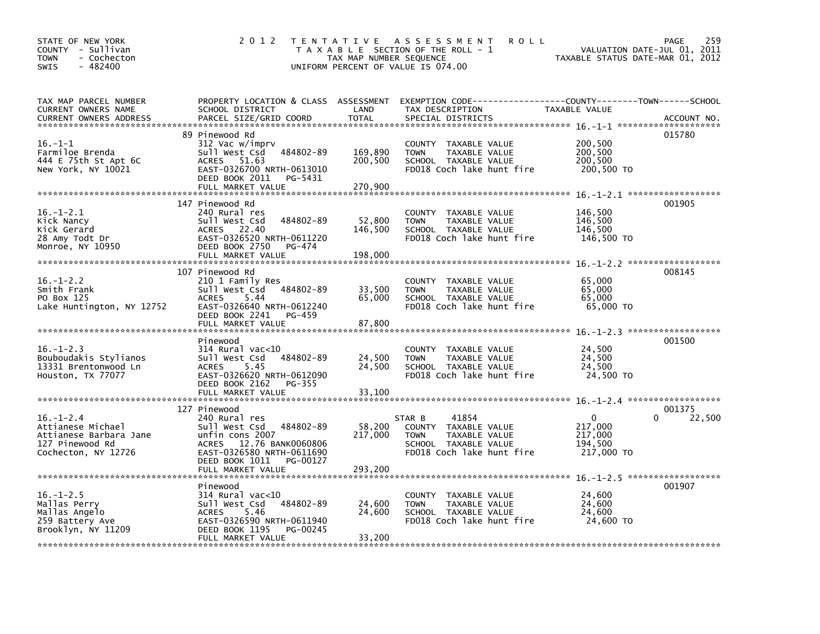| STATE OF NEW YORK<br>COUNTY - Sullivan<br>- Cochecton<br>TOWN<br>$-482400$<br><b>SWIS</b>                | 2 0 1 2                                                                                                                                                                                             | TAX MAP NUMBER SEQUENCE       | TENTATIVE ASSESSMENT<br><b>ROLL</b><br>T A X A B L E SECTION OF THE ROLL - 1<br>UNIFORM PERCENT OF VALUE IS 074.00           | VALUATION DATE-JUL 01, 2011<br>TAXABLE STATUS DATE-MAR 01, 2012  | 259<br>PAGE      |
|----------------------------------------------------------------------------------------------------------|-----------------------------------------------------------------------------------------------------------------------------------------------------------------------------------------------------|-------------------------------|------------------------------------------------------------------------------------------------------------------------------|------------------------------------------------------------------|------------------|
| TAX MAP PARCEL NUMBER<br>CURRENT OWNERS NAME<br><b>CURRENT OWNERS ADDRESS</b>                            | PROPERTY LOCATION & CLASS ASSESSMENT<br>SCHOOL DISTRICT<br>PARCEL SIZE/GRID COORD                                                                                                                   | LAND<br><b>TOTAL</b>          | TAX DESCRIPTION<br>SPECIAL DISTRICTS                                                                                         | TAXABLE VALUE                                                    | ACCOUNT NO.      |
| $16. - 1 - 1$<br>Farmiloe Brenda<br>444 E 75th St Apt 6C<br>New York, NY 10021                           | 89 Pinewood Rd<br>312 Vac w/imprv<br>484802-89<br>Sull West Csd<br>51.63<br>ACRES<br>EAST-0326700 NRTH-0613010<br>DEED BOOK 2011<br>PG-5431<br>FULL MARKET VALUE                                    | 169,890<br>200,500<br>270.900 | COUNTY TAXABLE VALUE<br><b>TOWN</b><br>TAXABLE VALUE<br>SCHOOL TAXABLE VALUE<br>FD018 Coch lake hunt fire                    | 200,500<br>200,500<br>200,500<br>200,500 TO                      | 015780           |
| $16. - 1 - 2.1$<br>Kick Nancy<br>Kick Gerard<br>28 Amy Todt Dr<br>Monroe, NY 10950                       | 147 Pinewood Rd<br>240 Rural res<br>484802-89<br>Sull West Csd<br>22.40<br><b>ACRES</b><br>EAST-0326520 NRTH-0611220<br>DEED BOOK 2750<br>PG-474<br>FULL MARKET VALUE                               | 52,800<br>146,500<br>198,000  | COUNTY TAXABLE VALUE<br><b>TOWN</b><br>TAXABLE VALUE<br>SCHOOL TAXABLE VALUE<br>FD018 Coch lake hunt fire                    | 146,500<br>146,500<br>146,500<br>146,500 TO                      | 001905           |
| $16. - 1 - 2.2$<br>Smith Frank<br>PO Box 125<br>Lake Huntington, NY 12752                                | 107 Pinewood Rd<br>210 1 Family Res<br>Sull West Csd<br>484802-89<br>5.44<br><b>ACRES</b><br>EAST-0326640 NRTH-0612240<br>DEED BOOK 2241<br>PG-459<br>FULL MARKET VALUE                             | 33,500<br>65,000<br>87,800    | COUNTY TAXABLE VALUE<br><b>TOWN</b><br>TAXABLE VALUE<br>SCHOOL TAXABLE VALUE<br>FD018 Coch lake hunt fire                    | 65,000<br>65,000<br>65,000<br>65,000 TO                          | 008145           |
| $16. - 1 - 2.3$<br>Bouboudakis Stylianos<br>13331 Brentonwood Ln<br>Houston, TX 77077                    | Pinewood<br>314 Rural vac<10<br>Sull West Csd<br>484802-89<br>5.45<br><b>ACRES</b><br>EAST-0326620 NRTH-0612090<br>DEED BOOK 2162<br>$PG-355$<br>FULL MARKET VALUE                                  | 24,500<br>24,500<br>33,100    | COUNTY TAXABLE VALUE<br><b>TOWN</b><br>TAXABLE VALUE<br>SCHOOL TAXABLE VALUE<br>FD018 Coch lake hunt fire                    | 24,500<br>24,500<br>24,500<br>24,500 TO                          | 001500           |
| $16. - 1 - 2.4$<br>Attianese Michael<br>Attianese Barbara Jane<br>127 Pinewood Rd<br>Cochecton, NY 12726 | 127 Pinewood<br>240 Rural res<br>Sull West Csd<br>484802-89<br>unfin cons 2007<br>12.76 BANK0060806<br><b>ACRES</b><br>EAST-0326580 NRTH-0611690<br>DEED BOOK 1011<br>PG-00127<br>FULL MARKET VALUE | 58,200<br>217,000<br>293,200  | 41854<br>STAR B<br>COUNTY TAXABLE VALUE<br>TAXABLE VALUE<br><b>TOWN</b><br>SCHOOL TAXABLE VALUE<br>FD018 Coch lake hunt fire | $\mathbf{0}$<br>∩<br>217,000<br>217,000<br>194,500<br>217,000 TO | 001375<br>22,500 |
| $16. - 1 - 2.5$<br>Mallas Perry<br>Mallas Angelo<br>259 Battery Ave<br>Brooklyn, NY 11209                | Pinewood<br>$314$ Rural vac<10<br>484802-89<br>Sull West Csd<br>5.46<br><b>ACRES</b><br>EAST-0326590 NRTH-0611940<br>DEED BOOK 1195<br>PG-00245<br>FULL MARKET VALUE                                | 24,600<br>24,600<br>33,200    | COUNTY TAXABLE VALUE<br>TAXABLE VALUE<br>TOWN<br>SCHOOL TAXABLE VALUE<br>FD018 Coch lake hunt fire                           | 24,600<br>24,600<br>24,600<br>24,600 TO                          | 001907           |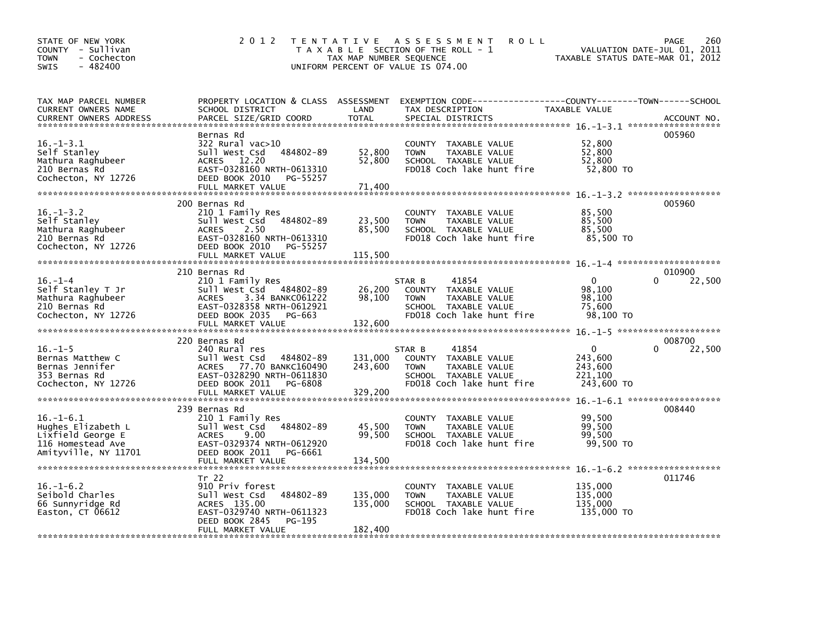| STATE OF NEW YORK<br>COUNTY - Sullivan<br><b>TOWN</b><br>- Cochecton<br>$-482400$<br>SWIS               | 2 0 1 2                                                                                                                                                              | TAX MAP NUMBER SEQUENCE       | TENTATIVE ASSESSMENT<br><b>ROLL</b><br>T A X A B L E SECTION OF THE ROLL - 1<br>UNIFORM PERCENT OF VALUE IS 074.00           | VALUATION DATE-JUL 01, 2011<br>TAXABLE STATUS DATE-MAR 01, 2012 | 260<br>PAGE      |
|---------------------------------------------------------------------------------------------------------|----------------------------------------------------------------------------------------------------------------------------------------------------------------------|-------------------------------|------------------------------------------------------------------------------------------------------------------------------|-----------------------------------------------------------------|------------------|
| TAX MAP PARCEL NUMBER<br>CURRENT OWNERS NAME<br>CURRENT OWNERS ADDRESS                                  | PROPERTY LOCATION & CLASS ASSESSMENT<br>SCHOOL DISTRICT<br>PARCEL SIZE/GRID COORD                                                                                    | LAND<br><b>TOTAL</b>          | TAX DESCRIPTION<br>SPECIAL DISTRICTS                                                                                         | TAXABLE VALUE                                                   | ACCOUNT NO.      |
| $16. - 1 - 3.1$<br>Self Stanley<br>Mathura Raghubeer<br>210 Bernas Rd<br>Cochecton, NY 12726            | Bernas Rd<br>322 Rural vac>10<br>Sull West Csd 484802-89<br>ACRES 12.20<br>EAST-0328160 NRTH-0613310<br>DEED BOOK 2010<br>PG-55257<br>FULL MARKET VALUE              | 52,800<br>52,800<br>71,400    | COUNTY TAXABLE VALUE<br>TAXABLE VALUE<br><b>TOWN</b><br>SCHOOL TAXABLE VALUE<br>FD018 Coch lake hunt fire                    | 52,800<br>52,800<br>52,800<br>52,800 TO                         | 005960           |
| $16. - 1 - 3.2$<br>Self Stanley<br>Mathura Raghubeer<br>210 Bernas Rd<br>Cochecton, NY 12726            | 200 Bernas Rd<br>210 1 Family Res<br>Sull West Csd 484802-89<br><b>ACRES</b><br>2.50<br>EAST-0328160 NRTH-0613310<br>DEED BOOK 2010<br>PG-55257<br>FULL MARKET VALUE | 23,500<br>85,500<br>115,500   | COUNTY TAXABLE VALUE<br>TAXABLE VALUE<br><b>TOWN</b><br>SCHOOL TAXABLE VALUE<br>FD018 Coch lake hunt fire                    | 85,500<br>85,500<br>85,500<br>85,500 TO                         | 005960           |
| $16. - 1 - 4$<br>Self Stanley T Jr<br>Mathura Raghubeer<br>210 Bernas Rd<br>Cochecton, NY 12726         | 210 Bernas Rd<br>210 1 Family Res<br>Sull West Csd 484802-89<br><b>ACRES</b><br>3.34 BANKC061222<br>EAST-0328358 NRTH-0612921<br>DEED BOOK 2035 PG-663               | 26,200<br>98,100              | STAR B<br>41854<br>COUNTY TAXABLE VALUE<br><b>TOWN</b><br>TAXABLE VALUE<br>SCHOOL TAXABLE VALUE<br>FD018 Coch lake hunt fire | $\mathbf{0}$<br>98,100<br>98,100<br>75.600<br>98,100 TO         | 010900<br>22,500 |
| $16. - 1 - 5$<br>Bernas Matthew C<br>Bernas Jennifer<br>353 Bernas Rd<br>Cochecton, NY 12726            | 220 Bernas Rd<br>240 Rural res<br>Sull West Csd<br>484802-89<br>ACRES 77.70 BANKC160490<br>EAST-0328290 NRTH-0611830<br>DEED BOOK 2011<br>PG-6808                    | 131,000<br>243,600            | 41854<br>STAR B<br>COUNTY TAXABLE VALUE<br>TAXABLE VALUE<br><b>TOWN</b><br>SCHOOL TAXABLE VALUE<br>FD018 Coch lake hunt fire | $\mathbf{0}$<br>243,600<br>243,600<br>221,100<br>243,600 TO     | 008700<br>22,500 |
| $16. - 1 - 6.1$<br>Hughes Elizabeth L<br>Lixfield George E<br>116 Homestead Ave<br>Amityville, NY 11701 | 239 Bernas Rd<br>210 1 Family Res<br>484802-89<br>Sull West Csd<br>9.00<br>ACRES<br>EAST-0329374 NRTH-0612920<br>DEED BOOK 2011 PG-6661                              | 45,500<br>99,500              | COUNTY TAXABLE VALUE<br>TAXABLE VALUE<br><b>TOWN</b><br>SCHOOL TAXABLE VALUE<br>FD018 Coch lake hunt fire                    | 99,500<br>99,500<br>99,500<br>99,500 TO                         | 008440           |
| $16. - 1 - 6.2$<br>Seibold Charles<br>66 Sunnyridge Rd<br>Easton, CT 06612                              | Tr 22<br>910 Priv forest<br>484802-89<br>Sull West Csd<br>ACRES 135.00<br>EAST-0329740 NRTH-0611323<br>DEED BOOK 2845<br>PG-195<br>FULL MARKET VALUE                 | 135,000<br>135,000<br>182,400 | COUNTY TAXABLE VALUE<br>TAXABLE VALUE<br><b>TOWN</b><br>SCHOOL TAXABLE VALUE<br>FD018 Coch lake hunt fire                    | 135,000<br>135,000<br>135,000<br>135,000 TO                     | 011746           |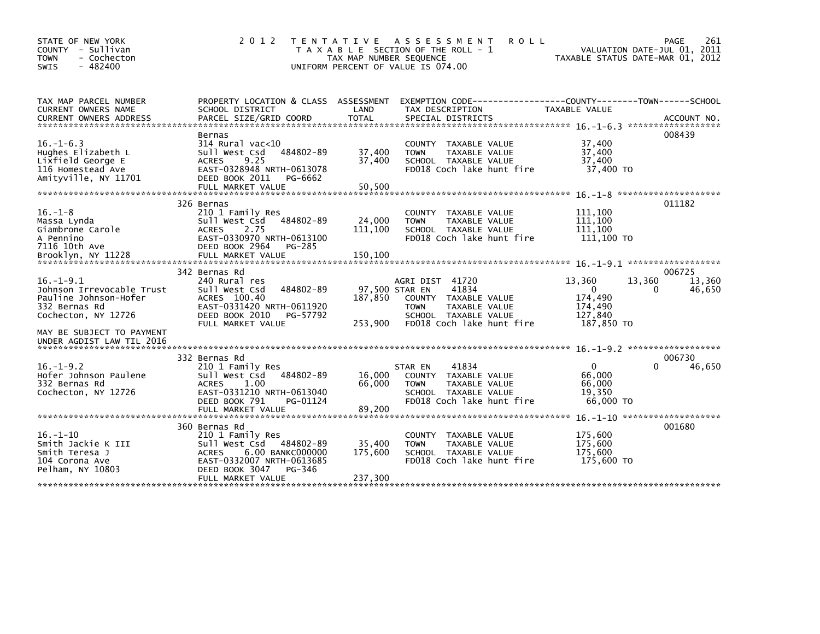| STATE OF NEW YORK<br>COUNTY - Sullivan<br><b>TOWN</b><br>- Cochecton<br>$-482400$<br><b>SWIS</b>              | 2 0 1 2                                                                                                                                                                           | <b>TENTATIVE</b><br>TAX MAP NUMBER SEQUENCE | ASSESSMENT<br><b>ROLL</b><br>T A X A B L E SECTION OF THE ROLL - 1<br>UNIFORM PERCENT OF VALUE IS 074.00                                                |                                                                       | 261<br>PAGE<br>VALUATION DATE-JUL 01, 2011<br>TAXABLE STATUS DATE-MAR 01, 2012 |
|---------------------------------------------------------------------------------------------------------------|-----------------------------------------------------------------------------------------------------------------------------------------------------------------------------------|---------------------------------------------|---------------------------------------------------------------------------------------------------------------------------------------------------------|-----------------------------------------------------------------------|--------------------------------------------------------------------------------|
| TAX MAP PARCEL NUMBER<br>CURRENT OWNERS NAME<br><b>CURRENT OWNERS ADDRESS</b>                                 | PROPERTY LOCATION & CLASS ASSESSMENT<br>SCHOOL DISTRICT<br>PARCEL SIZE/GRID COORD                                                                                                 | LAND<br><b>TOTAL</b>                        | EXEMPTION CODE-----------------COUNTY-------TOWN------SCHOOL<br>TAX DESCRIPTION<br>SPECIAL DISTRICTS                                                    | <b>TAXABLE VALUE</b>                                                  | ACCOUNT NO.                                                                    |
| $16. - 1 - 6.3$<br>Hughes Elizabeth L<br>Lixfield George E<br>116 Homestead Ave<br>Amityville, NY 11701       | Bernas<br>$314$ Rural vac<10<br>484802-89<br>Sull West Csd<br>9.25<br><b>ACRES</b><br>EAST-0328948 NRTH-0613078<br>DEED BOOK 2011<br>PG-6662<br>FULL MARKET VALUE                 | 37,400<br>37,400<br>50,500                  | COUNTY<br>TAXABLE VALUE<br><b>TOWN</b><br>TAXABLE VALUE<br>SCHOOL TAXABLE VALUE<br>FD018 Coch lake hunt fire                                            | 37,400<br>37,400<br>37,400<br>37,400 TO                               | 008439                                                                         |
|                                                                                                               | 326 Bernas                                                                                                                                                                        |                                             |                                                                                                                                                         |                                                                       | 011182                                                                         |
| $16. - 1 - 8$<br>Massa Lynda<br>Giambrone Carole<br>A Pennino<br>7116 10th Ave                                | 210 1 Family Res<br>Sull West Csd<br>484802-89<br><b>ACRES</b><br>2.75<br>EAST-0330970 NRTH-0613100<br>DEED BOOK 2964<br>PG-285                                                   | 24,000<br>111,100                           | <b>COUNTY</b><br>TAXABLE VALUE<br>TAXABLE VALUE<br><b>TOWN</b><br>SCHOOL TAXABLE VALUE<br>FD018 Coch lake hunt fire                                     | 111,100<br>111,100<br>111,100<br>111,100 TO                           |                                                                                |
| Brooklyn, NY 11228                                                                                            | FULL MARKET VALUE                                                                                                                                                                 | 150,100                                     |                                                                                                                                                         |                                                                       |                                                                                |
| $16. - 1 - 9.1$<br>Johnson Irrevocable Trust<br>Pauline Johnson-Hofer<br>332 Bernas Rd<br>Cochecton, NY 12726 | 342 Bernas Rd<br>240 Rural res<br>Sull West Csd<br>484802-89<br>ACRES 100.40<br>EAST-0331420 NRTH-0611920<br>DEED BOOK 2010<br>PG-57792<br>FULL MARKET VALUE                      | 187,850<br>253,900                          | AGRI DIST 41720<br>41834<br>97,500 STAR EN<br>COUNTY TAXABLE VALUE<br>TAXABLE VALUE<br><b>TOWN</b><br>SCHOOL TAXABLE VALUE<br>FD018 Coch lake hunt fire | 13,360<br>$\mathbf{0}$<br>174,490<br>174,490<br>127,840<br>187,850 TO | 006725<br>13,360<br>13,360<br>46,650<br>0                                      |
| MAY BE SUBJECT TO PAYMENT<br>UNDER AGDIST LAW TIL 2016                                                        |                                                                                                                                                                                   |                                             |                                                                                                                                                         |                                                                       |                                                                                |
| $16. - 1 - 9.2$<br>Hofer Johnson Paulene<br>332 Bernas Rd<br>Cochecton, NY 12726                              | 332 Bernas Rd<br>210 1 Family Res<br>Sull West Csd<br>484802-89<br>1.00<br><b>ACRES</b><br>EAST-0331210 NRTH-0613040<br>DEED BOOK 791<br>PG-01124                                 | 16,000<br>66,000<br>89,200                  | 41834<br>STAR EN<br>COUNTY TAXABLE VALUE<br>TAXABLE VALUE<br><b>TOWN</b><br>SCHOOL TAXABLE VALUE<br>FD018 Coch lake hunt fire                           | $\Omega$<br>66,000<br>66,000<br>19,350<br>66,000 TO                   | 006730<br>46,650<br>0                                                          |
|                                                                                                               | FULL MARKET VALUE                                                                                                                                                                 |                                             |                                                                                                                                                         |                                                                       |                                                                                |
| $16. - 1 - 10$<br>Smith Jackie K III<br>Smith Teresa J<br>104 Corona Ave<br>Pelham, NY 10803                  | 360 Bernas Rd<br>210 1 Family Res<br>484802-89<br>Sull West Csd<br><b>ACRES</b><br>6.00 BANKC000000<br>EAST-0332007 NRTH-0613685<br>DEED BOOK 3047<br>PG-346<br>FULL MARKET VALUE | 35,400<br>175,600<br>237,300                | TAXABLE VALUE<br><b>COUNTY</b><br><b>TOWN</b><br>TAXABLE VALUE<br>SCHOOL TAXABLE VALUE<br>FD018 Coch lake hunt fire                                     | 175,600<br>175,600<br>175,600<br>175,600 TO                           | 001680                                                                         |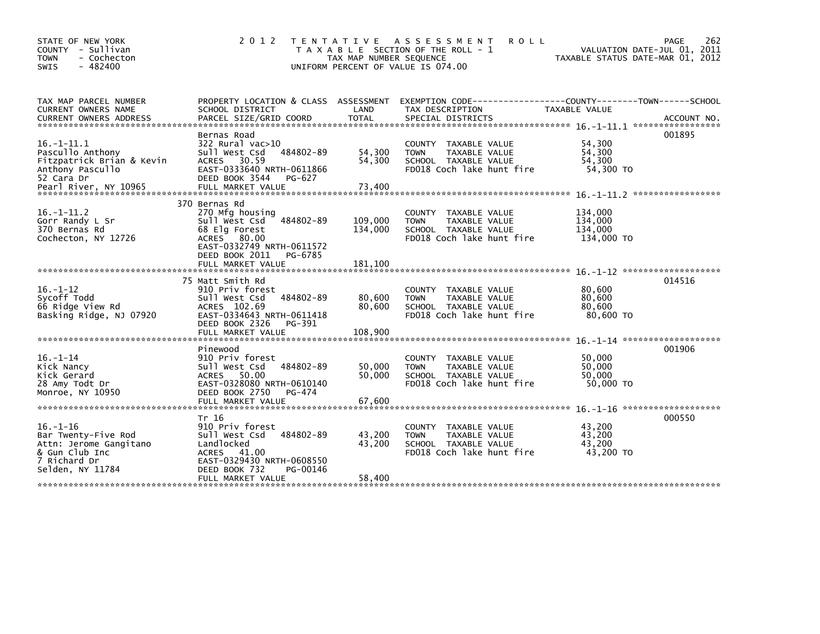| STATE OF NEW YORK<br>COUNTY - Sullivan<br><b>TOWN</b><br>- Cochecton<br>$-482400$<br><b>SWIS</b>                      | 2 0 1 2                                                                                                                                                  | TAX MAP NUMBER SEQUENCE    | TENTATIVE ASSESSMENT<br><b>ROLL</b><br>T A X A B L E SECTION OF THE ROLL - 1<br>UNIFORM PERCENT OF VALUE IS 074.00  | VALUATION DATE-JUL 01, 2011<br>TAXABLE STATUS DATE-MAR 01, 2012 | 262<br>PAGE |
|-----------------------------------------------------------------------------------------------------------------------|----------------------------------------------------------------------------------------------------------------------------------------------------------|----------------------------|---------------------------------------------------------------------------------------------------------------------|-----------------------------------------------------------------|-------------|
| TAX MAP PARCEL NUMBER<br>CURRENT OWNERS NAME                                                                          | SCHOOL DISTRICT                                                                                                                                          | LAND                       | PROPERTY LOCATION & CLASS ASSESSMENT EXEMPTION CODE----------------COUNTY-------TOWN------SCHOOL<br>TAX DESCRIPTION | TAXABLE VALUE                                                   |             |
| $16. -1 - 11.1$<br>Pascullo Anthony<br>Fitzpatrick Brian & Kevin<br>Anthony Pascullo<br>52 Cara Dr                    | Bernas Road<br>$322$ Rural vac $>10$<br>Sull West Csd<br>484802-89<br>ACRES 30.59<br>EAST-0333640 NRTH-0611866<br>DEED BOOK 3544<br>PG-627               | 54,300<br>54,300           | COUNTY TAXABLE VALUE<br>TAXABLE VALUE<br><b>TOWN</b><br>SCHOOL TAXABLE VALUE<br>FD018 Coch lake hunt fire           | 54,300<br>54,300<br>54,300<br>54,300 TO                         | 001895      |
| $16. - 1 - 11.2$<br>Gorr Randy L Sr<br>370 Bernas Rd<br>Cochecton, NY 12726                                           | 370 Bernas Rd<br>270 Mfg housing<br>Sull West Csd<br>484802-89<br>68 Elg Forest<br>ACRES 80.00<br>EAST-0332749 NRTH-0611572<br>DEED BOOK 2011<br>PG-6785 | 109,000<br>134,000         | COUNTY TAXABLE VALUE<br>TAXABLE VALUE<br><b>TOWN</b><br>SCHOOL TAXABLE VALUE<br>FD018 Coch lake hunt fire           | 134,000<br>134,000<br>134,000<br>134,000 TO                     |             |
|                                                                                                                       |                                                                                                                                                          |                            |                                                                                                                     |                                                                 |             |
| $16. - 1 - 12$<br>Sycoff Todd<br>66 Ridge View Rd<br>Basking Ridge, NJ 07920                                          | 75 Matt Smith Rd<br>910 Priv forest<br>484802-89<br>Sull West Csd<br>ACRES 102.69<br>EAST-0334643 NRTH-0611418<br>DEED BOOK 2326<br>PG-391               | 80,600<br>80,600           | COUNTY TAXABLE VALUE<br><b>TOWN</b><br>TAXABLE VALUE<br>SCHOOL TAXABLE VALUE<br>FD018 Coch lake hunt fire           | 80,600<br>80,600<br>80,600<br>80,600 TO                         | 014516      |
|                                                                                                                       | FULL MARKET VALUE                                                                                                                                        | 108,900                    |                                                                                                                     | $16. - 1 - 14$ *********************                            |             |
| $16. - 1 - 14$<br>Kick Nancy<br>Kick Gerard<br>28 Amy Todt Dr<br>Monroe, NY 10950                                     | Pinewood<br>910 Priv forest<br>484802-89<br>Sull West Csd<br>ACRES 50.00<br>EAST-0328080 NRTH-0610140<br>DEED BOOK 2750<br>PG-474<br>FULL MARKET VALUE   | 50,000<br>50.000<br>67,600 | COUNTY TAXABLE VALUE<br>TAXABLE VALUE<br><b>TOWN</b><br>SCHOOL TAXABLE VALUE<br>FD018 Coch lake hunt fire           | 50,000<br>50,000<br>50,000<br>50,000 TO                         | 001906      |
|                                                                                                                       |                                                                                                                                                          |                            |                                                                                                                     |                                                                 |             |
| $16. - 1 - 16$<br>Bar Twenty-Five Rod<br>Attn: Jerome Gangitano<br>& Gun Club Inc<br>7 Richard Dr<br>Selden, NY 11784 | Tr 16<br>910 Priv forest<br>484802-89<br>Sull West Csd<br>Landlocked<br>ACRES 41.00<br>EAST-0329430 NRTH-0608550<br>DEED BOOK 732<br>PG-00146            | 43,200<br>43,200           | COUNTY TAXABLE VALUE<br>TAXABLE VALUE<br><b>TOWN</b><br>SCHOOL TAXABLE VALUE<br>FD018 Coch lake hunt fire           | 43,200<br>43,200<br>43.200<br>43,200 TO                         | 000550      |
|                                                                                                                       | FULL MARKET VALUE                                                                                                                                        | 58,400                     |                                                                                                                     |                                                                 |             |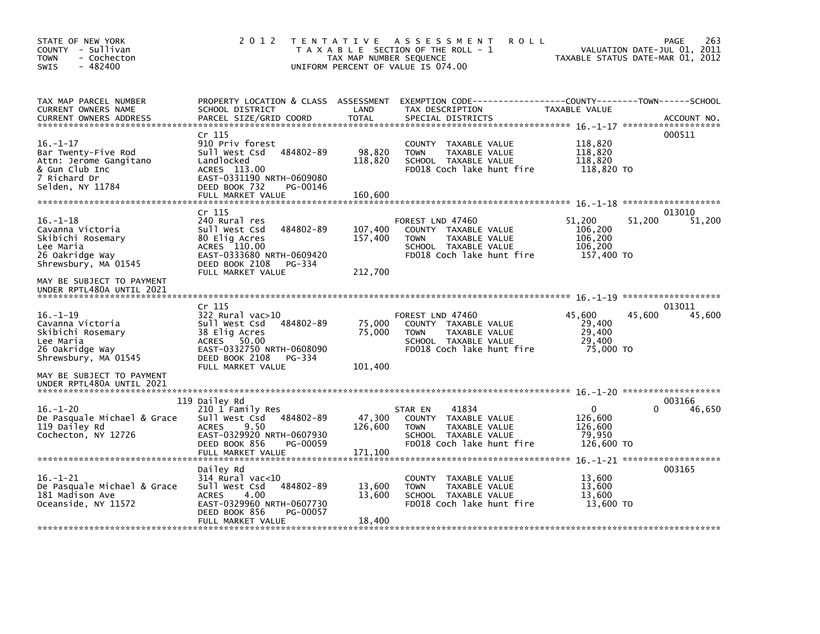| STATE OF NEW YORK<br>COUNTY - Sullivan<br><b>TOWN</b><br>- Cochecton<br>SWIS<br>$-482400$                             | 2 0 1 2                                                                                                                                                                | TAX MAP NUMBER SEQUENCE       | TENTATIVE ASSESSMENT<br><b>ROLL</b><br>T A X A B L E SECTION OF THE ROLL - 1<br>UNIFORM PERCENT OF VALUE IS 074.00                     |                                                            | 263<br>PAGE<br>VALUATION DATE-JUL 01, 2011<br>TAXABLE STATUS DATE-MAR 01, 2012 |
|-----------------------------------------------------------------------------------------------------------------------|------------------------------------------------------------------------------------------------------------------------------------------------------------------------|-------------------------------|----------------------------------------------------------------------------------------------------------------------------------------|------------------------------------------------------------|--------------------------------------------------------------------------------|
| TAX MAP PARCEL NUMBER<br>CURRENT OWNERS NAME<br><b>CURRENT OWNERS ADDRESS</b>                                         | SCHOOL DISTRICT<br>PARCEL SIZE/GRID COORD                                                                                                                              | LAND<br>TOTAL                 | PROPERTY LOCATION & CLASS ASSESSMENT EXEMPTION CODE---------------COUNTY-------TOWN-----SCHOOL<br>TAX DESCRIPTION<br>SPECIAL DISTRICTS | TAXABLE VALUE                                              | ACCOUNT NO.                                                                    |
| $16. - 1 - 17$<br>Bar Twenty-Five Rod<br>Attn: Jerome Gangitano<br>& Gun Club Inc<br>7 Richard Dr<br>Selden, NY 11784 | Cr 115<br>910 Priv forest<br>Sull West Csd<br>484802-89<br>Landlocked<br>ACRES 113.00<br>EAST-0331190 NRTH-0609080<br>DEED BOOK 732<br>PG-00146                        | 98,820<br>118,820             | COUNTY TAXABLE VALUE<br><b>TOWN</b><br>TAXABLE VALUE<br>SCHOOL TAXABLE VALUE<br>FD018 Coch lake hunt fire                              | 118,820<br>118,820<br>118,820<br>118,820 TO                | 000511                                                                         |
|                                                                                                                       | FULL MARKET VALUE                                                                                                                                                      | 160,600                       |                                                                                                                                        |                                                            |                                                                                |
| $16. - 1 - 18$<br>Cavanna Victoria<br>Skibichi Rosemary<br>Lee Maria<br>26 Oakridge Way<br>Shrewsbury, MA 01545       | Cr 115<br>240 Rural res<br>484802-89<br>Sull West Csd<br>80 Elig Acres<br>ACRES 110.00<br>EAST-0333680 NRTH-0609420<br>DEED BOOK 2108 PG-334<br>FULL MARKET VALUE      | 107,400<br>157,400<br>212,700 | FOREST LND 47460<br>COUNTY TAXABLE VALUE<br><b>TOWN</b><br>TAXABLE VALUE<br>SCHOOL TAXABLE VALUE<br>FD018 Coch lake hunt fire          | 51,200<br>106,200<br>106,200<br>106,200<br>157,400 TO      | 013010<br>51,200<br>51,200                                                     |
| MAY BE SUBJECT TO PAYMENT<br>UNDER RPTL480A UNTIL 2021                                                                |                                                                                                                                                                        |                               |                                                                                                                                        |                                                            |                                                                                |
| $16. - 1 - 19$<br>Cavanna Victoria<br>Skibichi Rosemary<br>Lee Maria<br>26 Oakridge Way<br>Shrewsbury, MA 01545       | Cr 115<br>322 Rural vac>10<br>Sull West Csd 484802-89<br>38 Elig Acres<br>50.00<br>ACRES<br>EAST-0332750 NRTH-0608090<br>DEED BOOK 2108<br>PG-334<br>FULL MARKET VALUE | 75,000<br>75,000<br>101,400   | FOREST LND 47460<br>COUNTY TAXABLE VALUE<br>TAXABLE VALUE<br><b>TOWN</b><br>SCHOOL TAXABLE VALUE<br>FD018 Coch lake hunt fire          | 45,600<br>29,400<br>29,400<br>29,400<br>75,000 TO          | 013011<br>45,600<br>45.600                                                     |
| MAY BE SUBJECT TO PAYMENT<br>UNDER RPTL480A UNTIL 2021                                                                |                                                                                                                                                                        |                               |                                                                                                                                        |                                                            |                                                                                |
| $16. - 1 - 20$<br>De Pasquale Michael & Grace<br>119 Dailey Rd<br>Cochecton, NY 12726                                 | 119 Dailey Rd<br>210 1 Family Res<br>484802-89<br>Sull West Csd<br>9.50<br><b>ACRES</b><br>EAST-0329920 NRTH-0607930<br>DEED BOOK 856<br>PG-00059<br>FULL MARKET VALUE | 47,300<br>126,600<br>171,100  | 41834<br>STAR EN<br>COUNTY TAXABLE VALUE<br><b>TOWN</b><br>TAXABLE VALUE<br>SCHOOL TAXABLE VALUE<br>FD018 Coch lake hunt fire          | $\mathbf{0}$<br>126,600<br>126.600<br>79,950<br>126,600 TO | 003166<br>46,650<br>0                                                          |
|                                                                                                                       | Dailey Rd                                                                                                                                                              |                               |                                                                                                                                        |                                                            | 003165                                                                         |
| $16. - 1 - 21$<br>De Pasquale Michael & Grace<br>181 Madison Ave<br>Oceanside, NY 11572                               | $314$ Rural vac< $10$<br>Sull West Csd<br>484802-89<br><b>ACRES</b><br>4.00<br>EAST-0329960 NRTH-0607730<br>DEED BOOK 856<br>PG-00057                                  | 13,600<br>13,600              | COUNTY TAXABLE VALUE<br><b>TOWN</b><br>TAXABLE VALUE<br>SCHOOL TAXABLE VALUE<br>FD018 Coch lake hunt fire                              | 13,600<br>13,600<br>13,600<br>13,600 TO                    |                                                                                |
|                                                                                                                       | FULL MARKET VALUE                                                                                                                                                      | 18,400                        |                                                                                                                                        |                                                            |                                                                                |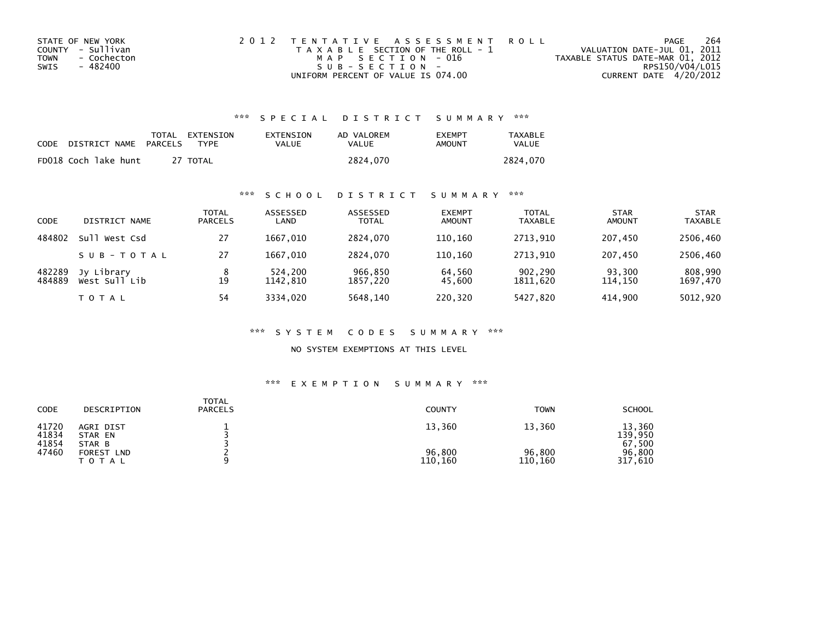| STATE OF NEW YORK   | 2012 TENTATIVE ASSESSMENT ROLL        | PAGE                             | 264             |
|---------------------|---------------------------------------|----------------------------------|-----------------|
| COUNTY - Sullivan   | T A X A B L E SECTION OF THE ROLL - 1 | VALUATION DATE-JUL 01, 2011      |                 |
| TOWN<br>- Cochecton | MAP SECTION - 016                     | TAXABLE STATUS DATE-MAR 01, 2012 |                 |
| - 482400<br>SWIS    | $SUB - SECTION -$                     |                                  | RPS150/V04/L015 |
|                     | UNIFORM PERCENT OF VALUE IS 074.00    | CURRENT DATE 4/20/2012           |                 |

## \*\*\* S P E C I A L D I S T R I C T S U M M A R Y \*\*\*

| CODE | DISTRICT NAME        | PARCELS | TOTAL EXTENSION<br>TYPF | EXTENSION<br>VALUE | AD VALOREM<br>VALUE | <b>FXFMPT</b><br>AMOUNT | <b>TAXABLE</b><br>VALUE |
|------|----------------------|---------|-------------------------|--------------------|---------------------|-------------------------|-------------------------|
|      | FD018 Coch lake hunt |         | 27 TOTAL                |                    | 2824.070            |                         | 2824.070                |

## \*\*\* S C H O O L D I S T R I C T S U M M A R Y \*\*\*

| <b>CODE</b>      | DISTRICT NAME               | <b>TOTAL</b><br><b>PARCELS</b> | ASSESSED<br>LAND    | ASSESSED<br><b>TOTAL</b> | <b>EXEMPT</b><br><b>AMOUNT</b> | <b>TOTAL</b><br><b>TAXABLE</b> | <b>STAR</b><br>AMOUNT | <b>STAR</b><br>TAXABLE |
|------------------|-----------------------------|--------------------------------|---------------------|--------------------------|--------------------------------|--------------------------------|-----------------------|------------------------|
| 484802           | sull.<br>West Csd           | 27                             | 1667.010            | 2824.070                 | 110.160                        | 2713.910                       | 207.450               | 2506.460               |
|                  | SUB-TOTAL                   | 27                             | 1667.010            | 2824.070                 | 110.160                        | 2713.910                       | 207.450               | 2506,460               |
| 482289<br>484889 | Jy Library<br>West Sull Lib | 8<br>19                        | 524,200<br>1142.810 | 966,850<br>1857,220      | 64,560<br>45,600               | 902,290<br>1811,620            | 93,300<br>114,150     | 808.990<br>1697,470    |
|                  | TOTAL                       | 54                             | 3334.020            | 5648.140                 | 220,320                        | 5427,820                       | 414.900               | 5012,920               |

#### \*\*\* S Y S T E M C O D E S S U M M A R Y \*\*\*

NO SYSTEM EXEMPTIONS AT THIS LEVEL

#### \*\*\* E X E M P T I O N S U M M A R Y \*\*\*

| CODE                    | DESCRIPTION                    | <b>TOTAL</b><br><b>PARCELS</b> | <b>COUNTY</b>     | <b>TOWN</b>       | <b>SCHOOL</b>               |
|-------------------------|--------------------------------|--------------------------------|-------------------|-------------------|-----------------------------|
| 41720<br>41834<br>41854 | AGRI DIST<br>STAR EN<br>STAR B |                                | 13,360            | 13,360            | 13,360<br>139.950<br>67,500 |
| 47460                   | FOREST<br><b>LND</b><br>TOTAL  |                                | 96,800<br>110,160 | 96.800<br>110,160 | 96.800<br>317,610           |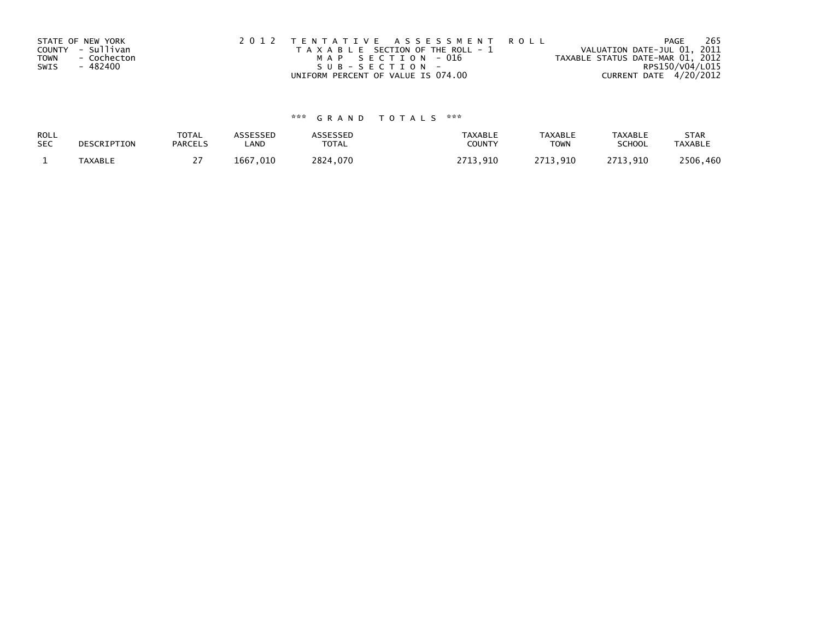|             | STATE OF NEW YORK | 2012 TENTATIVE ASSESSMENT ROLL        | PAGE                             | 265 |
|-------------|-------------------|---------------------------------------|----------------------------------|-----|
|             | COUNTY - Sullivan | T A X A B L E SECTION OF THE ROLL - 1 | VALUATION DATE-JUL 01, 2011      |     |
| <b>TOWN</b> | - Cochecton       | MAP SECTION - 016                     | TAXABLE STATUS DATE-MAR 01, 2012 |     |
| SWIS        | - 482400          | SUB-SECTION-                          | RPS150/V04/L015                  |     |
|             |                   | UNIFORM PERCENT OF VALUE IS 074.00    | CURRENT DATE 4/20/2012           |     |

# \*\*\* G R A N D T O T A L S \*\*\*

| ROLL       | DESCRIPTION    | <b>TOTAL</b>   | ASSESSED | ASSESSED | <b>TAXABLE</b> | <b>TAXABLE</b> | <b>TAXABLE</b> | <b>STAR</b>    |
|------------|----------------|----------------|----------|----------|----------------|----------------|----------------|----------------|
| <b>SEC</b> |                | <b>PARCELS</b> | LAND     | TOTAL    | <b>COUNTY</b>  | <b>TOWN</b>    | <b>SCHOOL</b>  | <b>TAXABLE</b> |
|            | <b>TAXABLE</b> |                | 1667.010 | 2824.070 | 2713.910       | 2713.910       | 2713.910       | 2506,460       |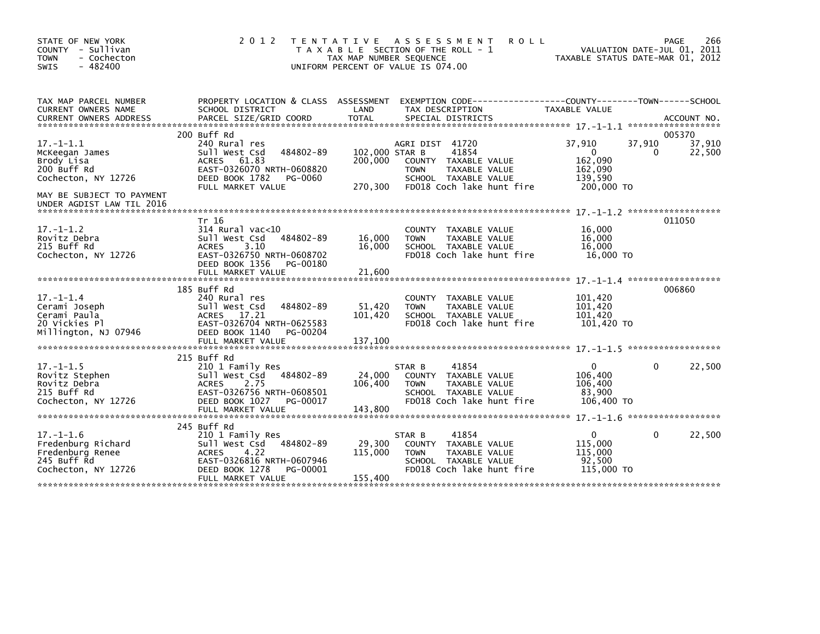| STATE OF NEW YORK<br>COUNTY - Sullivan<br>- Cochecton<br><b>TOWN</b><br>$-482400$<br><b>SWIS</b>                   | 2 0 1 2                                                                                                                                                               | ASSESSMENT<br><b>ROLL</b><br>T E N T A T I V E<br>T A X A B L E SECTION OF THE ROLL - 1<br>TAX MAP NUMBER SEQUENCE<br>UNIFORM PERCENT OF VALUE IS 074.00                      | 266<br>PAGE<br>VALUATION DATE-JUL 01, 2011<br>TAXABLE STATUS DATE-MAR 01, 2012                                 |
|--------------------------------------------------------------------------------------------------------------------|-----------------------------------------------------------------------------------------------------------------------------------------------------------------------|-------------------------------------------------------------------------------------------------------------------------------------------------------------------------------|----------------------------------------------------------------------------------------------------------------|
| TAX MAP PARCEL NUMBER<br>CURRENT OWNERS NAME                                                                       | PROPERTY LOCATION & CLASS ASSESSMENT<br>SCHOOL DISTRICT                                                                                                               | LAND<br>TAX DESCRIPTION                                                                                                                                                       | TAXABLE VALUE                                                                                                  |
| $17. - 1 - 1.1$<br>McKeegan James<br>Brody Lisa<br>200 Buff Rd<br>Cochecton, NY 12726<br>MAY BE SUBJECT TO PAYMENT | 200 Buff Rd<br>240 Rural res<br>484802-89<br>Sull West Csd<br><b>ACRES</b><br>61.83<br>EAST-0326070 NRTH-0608820<br>DEED BOOK 1782<br>PG-0060<br>FULL MARKET VALUE    | AGRI DIST 41720<br>102,000 STAR B<br>41854<br>200,000<br>COUNTY TAXABLE VALUE<br><b>TOWN</b><br>TAXABLE VALUE<br>SCHOOL TAXABLE VALUE<br>270,300<br>FD018 Coch lake hunt fire | 005370<br>37,910<br>37,910<br>37,910<br>22,500<br>$\Omega$<br>0<br>162,090<br>162,090<br>139,590<br>200,000 TO |
| UNDER AGDIST LAW TIL 2016                                                                                          |                                                                                                                                                                       |                                                                                                                                                                               |                                                                                                                |
| $17. - 1 - 1.2$<br>Rovitz Debra<br>215 Buff Rd<br>Cochecton, NY 12726                                              | Tr 16<br>$314$ Rural vac<10<br>Sull West Csd<br>484802-89<br><b>ACRES</b><br>3.10<br>EAST-0326750 NRTH-0608702<br>DEED BOOK 1356<br>PG-00180<br>FULL MARKET VALUE     | <b>COUNTY</b><br>TAXABLE VALUE<br>16,000<br>TAXABLE VALUE<br><b>TOWN</b><br>16,000<br>SCHOOL TAXABLE VALUE<br>FD018 Coch lake hunt fire<br>21,600                             | 011050<br>16,000<br>16,000<br>16,000<br>16,000 TO                                                              |
| $17. - 1 - 1.4$<br>Cerami Joseph<br>Cerami Paula<br>20 Vickies Pl<br>Millington, NJ 07946                          | 185 Buff Rd<br>240 Rural res<br>484802-89<br>Sull West Csd<br><b>ACRES</b><br>- 17.21<br>EAST-0326704 NRTH-0625583<br>DEED BOOK 1140<br>PG-00204<br>FULL MARKET VALUE | <b>COUNTY</b><br>TAXABLE VALUE<br>51,420<br><b>TOWN</b><br>TAXABLE VALUE<br>101,420<br>SCHOOL TAXABLE VALUE<br>FD018 Coch lake hunt fire<br>137,100                           | 006860<br>101,420<br>101,420<br>101.420<br>101,420 TO                                                          |
| $17. - 1 - 1.5$<br>Rovitz Stephen<br>Rovitz Debra<br>215 Buff Rd<br>Cochecton, NY 12726                            | 215 Buff Rd<br>210 1 Family Res<br>484802-89<br>Sull West Csd<br>2.75<br><b>ACRES</b><br>EAST-0326756 NRTH-0608501<br>DEED BOOK 1027<br>PG-00017<br>FULL MARKET VALUE | 41854<br>STAR B<br>24,000<br>COUNTY TAXABLE VALUE<br>TAXABLE VALUE<br>106,400<br><b>TOWN</b><br>SCHOOL TAXABLE VALUE<br>FD018 Coch lake hunt fire<br>143,800                  | 22,500<br>$\Omega$<br>0<br>106,400<br>106,400<br>83,900<br>106,400 TO                                          |
| $17. - 1 - 1.6$<br>Fredenburg Richard<br>Fredenburg Renee<br>245 Buff Rd<br>Cochecton, NY 12726                    | 245 Buff Rd<br>210 1 Family Res<br>Sull West Csd<br>484802-89<br><b>ACRES</b><br>4.22<br>EAST-0326816 NRTH-0607946<br>DEED BOOK 1278<br>PG-00001<br>FULL MARKET VALUE | 41854<br>STAR B<br>29,300<br>COUNTY TAXABLE VALUE<br>115,000<br><b>TOWN</b><br>TAXABLE VALUE<br>SCHOOL TAXABLE VALUE<br>FD018 Coch lake hunt fire<br>155,400                  | $\mathbf{0}$<br>22,500<br>0<br>115,000<br>115,000<br>92,500<br>115,000 TO                                      |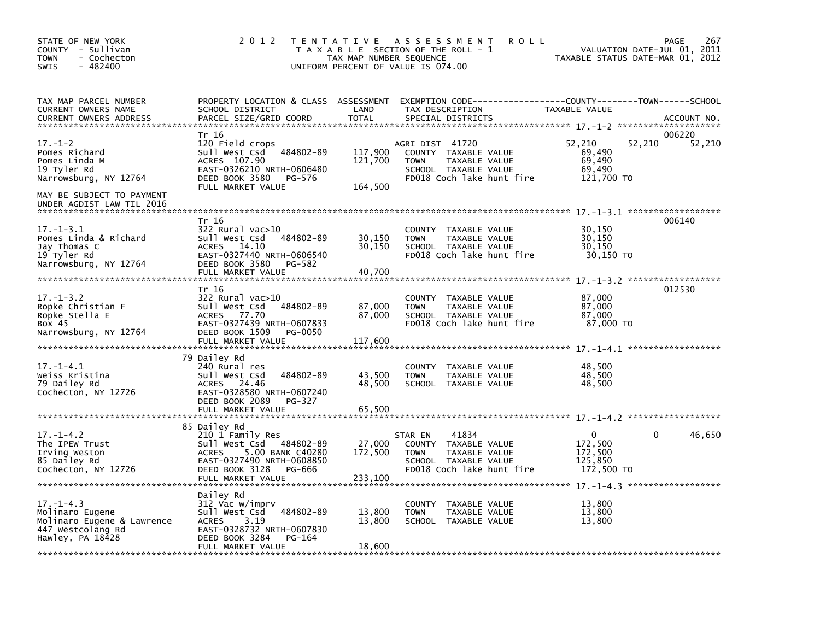| STATE OF NEW YORK<br>COUNTY - Sullivan<br><b>TOWN</b><br>- Cochecton<br><b>SWIS</b><br>$-482400$          | 2 0 1 2                                                                                                                                                                   | TAX MAP NUMBER SEQUENCE       | TENTATIVE ASSESSMENT<br><b>ROLL</b><br>T A X A B L E SECTION OF THE ROLL - 1<br>UNIFORM PERCENT OF VALUE IS 074.00               | TAXABLE STATUS DATE-MAR 01, 2012                             | 267<br>PAGE<br>VALUATION DATE-JUL 01, 2011 |
|-----------------------------------------------------------------------------------------------------------|---------------------------------------------------------------------------------------------------------------------------------------------------------------------------|-------------------------------|----------------------------------------------------------------------------------------------------------------------------------|--------------------------------------------------------------|--------------------------------------------|
| TAX MAP PARCEL NUMBER<br>CURRENT OWNERS NAME<br><b>CURRENT OWNERS ADDRESS</b>                             | PROPERTY LOCATION & CLASS ASSESSMENT<br>SCHOOL DISTRICT<br>PARCEL SIZE/GRID COORD                                                                                         | LAND<br><b>TOTAL</b>          | EXEMPTION CODE-----------------COUNTY-------TOWN------SCHOOL<br>TAX DESCRIPTION<br>SPECIAL DISTRICTS                             | TAXABLE VALUE                                                | ACCOUNT NO.                                |
| $17. - 1 - 2$<br>Pomes Richard<br>Pomes Linda M<br>19 Tyler Rd<br>Narrowsburg, NY 12764                   | Tr 16<br>120 Field crops<br>484802-89<br>Sull West Csd<br>ACRES 107.90<br>EAST-0326210 NRTH-0606480<br>DEED BOOK 3580<br>PG-576<br>FULL MARKET VALUE                      | 117,900<br>121,700<br>164,500 | AGRI DIST 41720<br>COUNTY TAXABLE VALUE<br><b>TOWN</b><br>TAXABLE VALUE<br>SCHOOL TAXABLE VALUE<br>FD018 Coch lake hunt fire     | 52,210<br>52,210<br>69,490<br>69,490<br>69,490<br>121,700 TO | 006220<br>52,210                           |
| MAY BE SUBJECT TO PAYMENT<br>UNDER AGDIST LAW TIL 2016                                                    |                                                                                                                                                                           |                               |                                                                                                                                  |                                                              |                                            |
| $17. - 1 - 3.1$<br>Pomes Linda & Richard<br>Jay Thomas C<br>19 Tyler Rd<br>Narrowsburg, NY 12764          | Tr 16<br>$322$ Rural vac $>10$<br>Sull West Csd<br>484802-89<br>14.10<br>ACRES<br>EAST-0327440 NRTH-0606540<br>DEED BOOK 3580<br>PG-582                                   | 30,150<br>30,150              | COUNTY<br>TAXABLE VALUE<br><b>TOWN</b><br>TAXABLE VALUE<br>SCHOOL TAXABLE VALUE<br>FD018 Coch lake hunt fire                     | 30,150<br>30,150<br>30,150<br>30,150 TO                      | 006140                                     |
|                                                                                                           | FULL MARKET VALUE<br>Tr 16                                                                                                                                                | 40,700                        |                                                                                                                                  |                                                              | 012530                                     |
| $17. - 1 - 3.2$<br>Ropke Christian F<br>Ropke Stella E<br>Box 45<br>Narrowsburg, NY 12764                 | 322 Rural vac>10<br>484802-89<br>Sull West Csd<br><b>ACRES</b><br>77.70<br>EAST-0327439 NRTH-0607833<br>DEED BOOK 1509<br>PG-0050<br>FULL MARKET VALUE                    | 87,000<br>87,000<br>117,600   | TAXABLE VALUE<br><b>COUNTY</b><br><b>TOWN</b><br>TAXABLE VALUE<br>SCHOOL TAXABLE VALUE<br>FD018 Coch lake hunt fire              | 87,000<br>87,000<br>87,000<br>87,000 TO                      |                                            |
|                                                                                                           | 79 Dailey Rd                                                                                                                                                              |                               |                                                                                                                                  |                                                              |                                            |
| $17. - 1 - 4.1$<br>Weiss Kristina<br>79 Dailey Rd<br>Cochecton, NY 12726                                  | 240 Rural res<br>484802-89<br>Sull West Csd<br>ACRES 24.46<br>EAST-0328580 NRTH-0607240<br>DEED BOOK 2089<br>PG-327<br>FULL MARKET VALUE                                  | 43,500<br>48,500<br>65,500    | <b>COUNTY</b><br>TAXABLE VALUE<br>TAXABLE VALUE<br><b>TOWN</b><br>SCHOOL TAXABLE VALUE                                           | 48,500<br>48,500<br>48,500                                   |                                            |
|                                                                                                           |                                                                                                                                                                           |                               |                                                                                                                                  |                                                              |                                            |
| $17. - 1 - 4.2$<br>The IPEW Trust<br>Irving Weston<br>85 Dailey Rd<br>Cochecton, NY 12726                 | 85 Dailey Rd<br>210 1 Family Res<br>Sull West Csd<br>484802-89<br>5.00 BANK C40280<br>ACRES<br>EAST-0327490 NRTH-0608850<br>DEED BOOK 3128<br>PG-666<br>FULL MARKET VALUE | 27,000<br>172,500<br>233,100  | 41834<br>STAR EN<br>COUNTY<br>TAXABLE VALUE<br>TAXABLE VALUE<br><b>TOWN</b><br>SCHOOL TAXABLE VALUE<br>FD018 Coch lake hunt fire | 0<br>172,500<br>172,500<br>125,850<br>172,500 TO             | 46,650<br>0                                |
|                                                                                                           |                                                                                                                                                                           |                               |                                                                                                                                  |                                                              |                                            |
| $17. - 1 - 4.3$<br>Molinaro Eugene<br>Molinaro Eugene & Lawrence<br>447 Westcolang Rd<br>Hawley, PA 18428 | Dailey Rd<br>312 Vac w/imprv<br>Sull West Csd<br>484802-89<br><b>ACRES</b><br>3.19<br>EAST-0328732 NRTH-0607830<br>DEED BOOK 3284<br>PG-164<br>FULL MARKET VALUE          | 13,800<br>13,800<br>18,600    | <b>COUNTY</b><br>TAXABLE VALUE<br><b>TOWN</b><br>TAXABLE VALUE<br>SCHOOL TAXABLE VALUE                                           | 13,800<br>13,800<br>13,800                                   |                                            |
|                                                                                                           |                                                                                                                                                                           |                               |                                                                                                                                  |                                                              |                                            |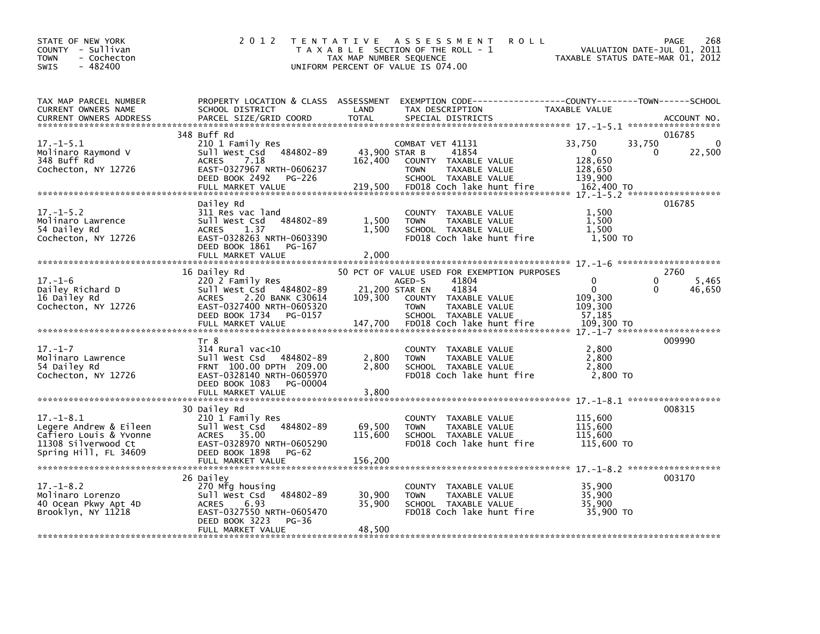| STATE OF NEW YORK<br>COUNTY - Sullivan<br>- Cochecton<br><b>TOWN</b><br>$-482400$<br><b>SWIS</b>                    | 2 0 1 2                                                                                                                                                                 | TAX MAP NUMBER SEQUENCE             | TENTATIVE ASSESSMENT<br>T A X A B L E SECTION OF THE ROLL - 1<br>UNIFORM PERCENT OF VALUE IS 074.00                                    | <b>ROLL</b>                                                | 268<br>PAGE<br>VALUATION DATE-JUL 01, 2011<br>TAXABLE STATUS DATE-MAR 01, 2012 |
|---------------------------------------------------------------------------------------------------------------------|-------------------------------------------------------------------------------------------------------------------------------------------------------------------------|-------------------------------------|----------------------------------------------------------------------------------------------------------------------------------------|------------------------------------------------------------|--------------------------------------------------------------------------------|
| TAX MAP PARCEL NUMBER<br>CURRENT OWNERS NAME<br><b>CURRENT OWNERS ADDRESS</b>                                       | PROPERTY LOCATION & CLASS ASSESSMENT<br>SCHOOL DISTRICT<br>PARCEL SIZE/GRID COORD                                                                                       | LAND<br><b>TOTAL</b>                | TAX DESCRIPTION<br>SPECIAL DISTRICTS                                                                                                   | TAXABLE VALUE                                              | ACCOUNT NO.                                                                    |
| $17. - 1 - 5.1$<br>Molinaro Raymond V<br>348 Buff Rd<br>Cochecton, NY 12726                                         | 348 Buff Rd<br>210 1 Family Res<br>Sull West Csd 484802-89<br><b>ACRES</b><br>7.18<br>EAST-0327967 NRTH-0606237<br>DEED BOOK 2492<br><b>PG-226</b><br>FULL MARKET VALUE | 43,900 STAR B<br>162,400<br>219,500 | COMBAT VET 41131<br>41854<br>COUNTY TAXABLE VALUE<br><b>TOWN</b><br>TAXABLE VALUE<br>SCHOOL TAXABLE VALUE<br>FD018 Coch lake hunt fire | 33,750<br>0<br>128,650<br>128,650<br>139,900<br>162,400 TO | 016785<br>33,750<br>$\Omega$<br>22,500<br>0                                    |
| $17. - 1 - 5.2$<br>Molinaro Lawrence<br>54 Dailey Rd<br>Cochecton, NY 12726                                         | Dailey Rd<br>311 Res vac land<br>484802-89<br>Sull West Csd<br>1.37<br><b>ACRES</b><br>EAST-0328263 NRTH-0603390<br>DEED BOOK 1861<br>PG-167<br>FULL MARKET VALUE       | 1,500<br>1,500<br>2,000             | COUNTY TAXABLE VALUE<br><b>TOWN</b><br>TAXABLE VALUE<br>SCHOOL TAXABLE VALUE<br>FD018 Coch lake hunt fire                              | 1,500<br>1,500<br>1,500<br>1,500 TO                        | 016785                                                                         |
| $17. - 1 - 6$                                                                                                       | 16 Dailey Rd<br>220 2 Family Res                                                                                                                                        |                                     | 50 PCT OF VALUE USED FOR EXEMPTION PURPOSES<br>41804<br>AGED-S                                                                         | $\Omega$                                                   | 2760<br>$\Omega$                                                               |
| Dailey Richard D<br>16 Dailey Rd<br>Cochecton, NY 12726                                                             | Sull West Csd 484802-89<br><b>ACRES</b><br>2.20 BANK C30614<br>EAST-0327400 NRTH-0605320<br>DEED BOOK 1734 PG-0157                                                      | 109,300                             | 41834<br>21,200 STAR EN<br>COUNTY TAXABLE VALUE<br>TAXABLE VALUE<br><b>TOWN</b><br>SCHOOL TAXABLE VALUE                                | $\mathbf{0}$<br>109,300<br>109,300<br>57,185               | 5,465<br>46,650<br>$\Omega$                                                    |
|                                                                                                                     |                                                                                                                                                                         |                                     |                                                                                                                                        |                                                            |                                                                                |
| $17. - 1 - 7$<br>Molinaro Lawrence<br>54 Dailey Rd<br>Cochecton, NY 12726                                           | Tr 8<br>$314$ Rural vac< $10$<br>Sull West Csd<br>484802-89<br>FRNT 100.00 DPTH 209.00<br>EAST-0328140 NRTH-0605970<br>PG-00004<br>DEED BOOK 1083                       | 2,800<br>2.800                      | COUNTY TAXABLE VALUE<br>TAXABLE VALUE<br><b>TOWN</b><br>SCHOOL TAXABLE VALUE<br>FD018 Coch lake hunt fire                              | 2,800<br>2.800<br>2,800<br>2,800 TO                        | 009990                                                                         |
|                                                                                                                     | FULL MARKET VALUE                                                                                                                                                       | 3,800                               |                                                                                                                                        |                                                            |                                                                                |
| $17. - 1 - 8.1$<br>Legere Andrew & Eileen<br>Cafiero Louis & Yvonne<br>11308 Silverwood Ct<br>Spring Hill, FL 34609 | 30 Dailey Rd<br>210 1 Family Res<br>Sull West Csd<br>484802-89<br>35.00<br><b>ACRES</b><br>EAST-0328970 NRTH-0605290<br>DEED BOOK 1898<br>$PG-62$                       | 69,500<br>115,600                   | COUNTY TAXABLE VALUE<br>TAXABLE VALUE<br>TOWN<br>SCHOOL TAXABLE VALUE<br>FD018 Coch lake hunt fire                                     | 115,600<br>115,600<br>115,600<br>115,600 TO                | 008315                                                                         |
|                                                                                                                     | 26 Dailey                                                                                                                                                               |                                     |                                                                                                                                        |                                                            | 003170                                                                         |
| $17. - 1 - 8.2$<br>Molinaro Lorenzo<br>40 Ocean Pkwy Apt 4D<br>Brooklyn, NY 11218                                   | 270 Mfg housing<br>484802-89<br>Sull West Csd<br><b>ACRES</b><br>6.93<br>EAST-0327550 NRTH-0605470<br>DEED BOOK 3223<br>PG-36                                           | 30,900<br>35,900                    | COUNTY TAXABLE VALUE<br>TAXABLE VALUE<br><b>TOWN</b><br>SCHOOL TAXABLE VALUE<br>FD018 Coch lake hunt fire                              | 35,900<br>35,900<br>35,900<br>35,900 TO                    |                                                                                |
|                                                                                                                     | FULL MARKET VALUE                                                                                                                                                       | 48,500                              |                                                                                                                                        |                                                            |                                                                                |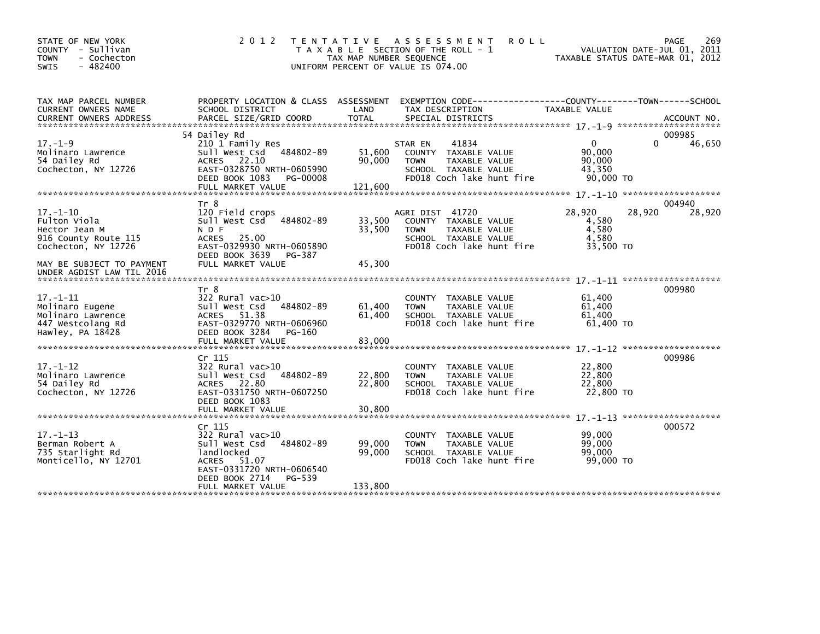| STATE OF NEW YORK<br>COUNTY - Sullivan<br>- Cochecton<br><b>TOWN</b><br>$-482400$<br>SWIS       | 2 0 1 2                                                                                                                                                                  | T E N T A T I V E<br>TAX MAP NUMBER SEQUENCE<br>UNIFORM PERCENT OF VALUE IS 074.00 | <b>ROLL</b><br>A S S E S S M E N T<br>T A X A B L E SECTION OF THE ROLL - 1                                                   |                                                         | 269<br>PAGE<br>VALUATION DATE-JUL 01, 2011<br>TAXABLE STATUS DATE-MAR 01, 2012 |
|-------------------------------------------------------------------------------------------------|--------------------------------------------------------------------------------------------------------------------------------------------------------------------------|------------------------------------------------------------------------------------|-------------------------------------------------------------------------------------------------------------------------------|---------------------------------------------------------|--------------------------------------------------------------------------------|
| TAX MAP PARCEL NUMBER<br>CURRENT OWNERS NAME                                                    | PROPERTY LOCATION & CLASS ASSESSMENT<br>SCHOOL DISTRICT                                                                                                                  | LAND                                                                               | EXEMPTION CODE-----------------COUNTY-------TOWN------SCHOOL<br>TAX DESCRIPTION                                               | <b>TAXABLE VALUE</b>                                    |                                                                                |
|                                                                                                 | 54 Dailey Rd                                                                                                                                                             |                                                                                    |                                                                                                                               |                                                         | 009985                                                                         |
| $17. - 1 - 9$<br>Molinaro Lawrence<br>54 Dailey Rd<br>Cochecton, NY 12726                       | 210 1 Family Res<br>Sull West Csd 484802-89<br>ACRES 22.10<br>EAST-0328750 NRTH-0605990<br>DEED BOOK 1083<br>PG-00008<br>FULL MARKET VALUE                               | 51,600<br>90,000<br>121.600                                                        | 41834<br>STAR EN<br>COUNTY TAXABLE VALUE<br>TAXABLE VALUE<br><b>TOWN</b><br>SCHOOL TAXABLE VALUE<br>FD018 Coch lake hunt fire | $\mathbf{0}$<br>90,000<br>90,000<br>43,350<br>90,000 TO | 46,650                                                                         |
|                                                                                                 |                                                                                                                                                                          |                                                                                    |                                                                                                                               |                                                         |                                                                                |
| $17. - 1 - 10$<br>Fulton Viola<br>Hector Jean M<br>916 County Route 115<br>Cochecton, NY 12726  | Tr 8<br>120 Field crops<br>Sull West Csd 484802-89<br>N D F<br><b>ACRES</b><br>25.00<br>EAST-0329930 NRTH-0605890<br>DEED BOOK 3639<br>PG-387                            | 33,500<br>33,500                                                                   | AGRI DIST 41720<br>COUNTY TAXABLE VALUE<br>TAXABLE VALUE<br><b>TOWN</b><br>SCHOOL TAXABLE VALUE<br>FD018 Coch lake hunt fire  | 28,920<br>4,580<br>4,580<br>4,580<br>33,500 TO          | 004940<br>28,920<br>28,920                                                     |
| MAY BE SUBJECT TO PAYMENT<br>UNDER AGDIST LAW TIL 2016                                          | FULL MARKET VALUE                                                                                                                                                        | 45,300                                                                             |                                                                                                                               |                                                         |                                                                                |
| $17. - 1 - 11$<br>Molinaro Eugene<br>Molinaro Lawrence<br>447 Westcolang Rd<br>Hawley, PA 18428 | Tr 8<br>$322$ Rural vac $>10$<br>sull west Csd<br>484802-89<br>ACRES 51.38<br>EAST-0329770 NRTH-0606960<br>DEED BOOK 3284<br>PG-160                                      | 61,400<br>61,400                                                                   | COUNTY TAXABLE VALUE<br><b>TOWN</b><br>TAXABLE VALUE<br>SCHOOL TAXABLE VALUE<br>FD018 Coch lake hunt fire                     | 61,400<br>61,400<br>61,400<br>61,400 TO                 | 009980                                                                         |
|                                                                                                 |                                                                                                                                                                          |                                                                                    |                                                                                                                               |                                                         |                                                                                |
| $17. - 1 - 12$<br>Molinaro Lawrence<br>54 Dailey Rd<br>Cochecton, NY 12726                      | Cr <sub>115</sub><br>$322$ Rural vac $>10$<br>484802-89<br>Sull West Csd<br>ACRES 22.80<br>EAST-0331750 NRTH-0607250<br>DEED BOOK 1083<br>FULL MARKET VALUE              | 22,800<br>22.800<br>30,800                                                         | COUNTY TAXABLE VALUE<br><b>TOWN</b><br><b>TAXABLE VALUE</b><br>SCHOOL TAXABLE VALUE<br>FD018 Coch lake hunt fire              | 22,800<br>22,800<br>22,800<br>22,800 TO                 | 009986                                                                         |
|                                                                                                 |                                                                                                                                                                          |                                                                                    |                                                                                                                               |                                                         | $17. - 1 - 13$ ********************                                            |
| $17. - 1 - 13$<br>Berman Robert A<br>735 Starlight Rd<br>Monticello, NY 12701                   | Cr 115<br>$322$ Rural vac $>10$<br>sull west Csd<br>484802-89<br>landlocked<br>ACRES 51.07<br>EAST-0331720 NRTH-0606540<br>DEED BOOK 2714<br>PG-539<br>FULL MARKET VALUE | 99,000<br>99,000<br>133,800                                                        | COUNTY TAXABLE VALUE<br><b>TOWN</b><br>TAXABLE VALUE<br>SCHOOL TAXABLE VALUE<br>FD018 Coch lake hunt fire                     | 99,000<br>99,000<br>99,000<br>99,000 TO                 | 000572                                                                         |
|                                                                                                 |                                                                                                                                                                          |                                                                                    |                                                                                                                               |                                                         |                                                                                |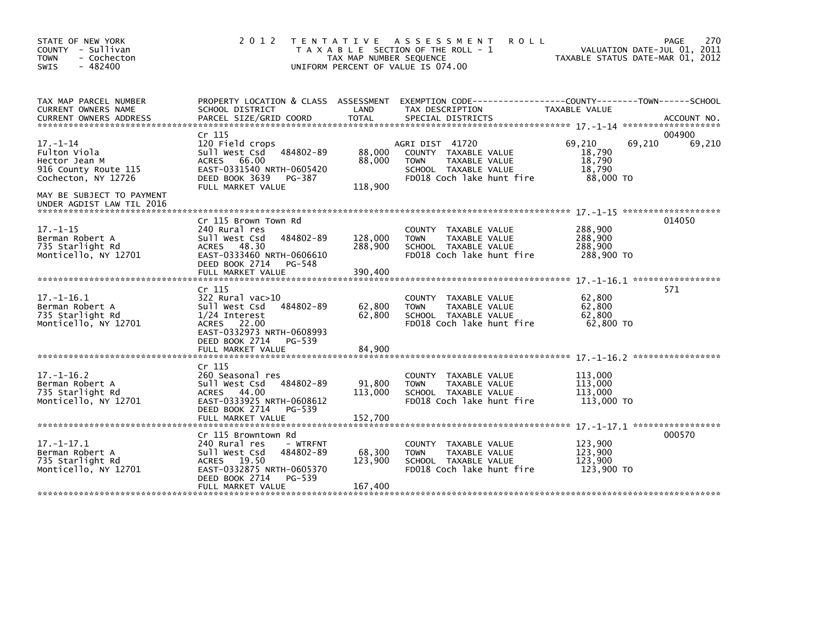| STATE OF NEW YORK<br>COUNTY - Sullivan<br><b>TOWN</b><br>- Cochecton<br>$-482400$<br><b>SWIS</b>                            | 2 0 1 2                                                                                                                                                                     | TAX MAP NUMBER SEQUENCE       | TENTATIVE ASSESSMENT<br><b>ROLL</b><br>T A X A B L E SECTION OF THE ROLL - 1<br>UNIFORM PERCENT OF VALUE IS 074.00           |                                                   | 270<br>PAGE<br>VALUATION DATE-JUL 01, 2011<br>TAXABLE STATUS DATE-MAR 01, 2012 |
|-----------------------------------------------------------------------------------------------------------------------------|-----------------------------------------------------------------------------------------------------------------------------------------------------------------------------|-------------------------------|------------------------------------------------------------------------------------------------------------------------------|---------------------------------------------------|--------------------------------------------------------------------------------|
| TAX MAP PARCEL NUMBER<br>CURRENT OWNERS NAME<br><b>CURRENT OWNERS ADDRESS</b>                                               | PROPERTY LOCATION & CLASS ASSESSMENT<br>SCHOOL DISTRICT<br>PARCEL SIZE/GRID COORD                                                                                           | LAND<br><b>TOTAL</b>          | TAX DESCRIPTION<br>SPECIAL DISTRICTS                                                                                         | TAXABLE VALUE                                     | ACCOUNT NO.                                                                    |
| $17. - 1 - 14$<br>Fulton Viola<br>Hector Jean M<br>916 County Route 115<br>Cochecton, NY 12726<br>MAY BE SUBJECT TO PAYMENT | Cr 115<br>120 Field crops<br>Sull West Csd<br>484802-89<br><b>ACRES</b><br>66.00<br>EAST-0331540 NRTH-0605420<br>DEED BOOK 3639<br>PG-387<br>FULL MARKET VALUE              | 88,000<br>88,000<br>118,900   | AGRI DIST 41720<br>COUNTY TAXABLE VALUE<br><b>TOWN</b><br>TAXABLE VALUE<br>SCHOOL TAXABLE VALUE<br>FD018 Coch lake hunt fire | 69,210<br>18,790<br>18.790<br>18,790<br>88,000 TO | 004900<br>69,210<br>69,210                                                     |
| UNDER AGDIST LAW TIL 2016<br>$17. - 1 - 15$<br>Berman Robert A<br>735 Starlight Rd<br>Monticello, NY 12701                  | Cr 115 Brown Town Rd<br>240 Rural res<br>Sull West Csd<br>484802-89<br>48.30<br>ACRES<br>EAST-0333460 NRTH-0606610<br>DEED BOOK 2714<br>PG-548<br>FULL MARKET VALUE         | 128,000<br>288,900<br>390.400 | COUNTY TAXABLE VALUE<br><b>TOWN</b><br>TAXABLE VALUE<br>SCHOOL TAXABLE VALUE<br>FD018 Coch lake hunt fire                    | 288,900<br>288,900<br>288,900<br>288,900 TO       | 014050                                                                         |
| $17. - 1 - 16.1$<br>Berman Robert A<br>735 Starlight Rd<br>Monticello, NY 12701                                             | Cr 115<br>322 Rural vac>10<br>Sull West Csd<br>484802-89<br>$1/24$ Interest<br>ACRES 22.00<br>EAST-0332973 NRTH-0608993<br>DEED BOOK 2714<br>PG-539<br>FULL MARKET VALUE    | 62,800<br>62,800<br>84,900    | COUNTY TAXABLE VALUE<br>TAXABLE VALUE<br><b>TOWN</b><br>SCHOOL TAXABLE VALUE<br>FD018 Coch lake hunt fire                    | 62,800<br>62,800<br>62,800<br>62,800 TO           | 571<br>************                                                            |
| $17. - 1 - 16.2$<br>Berman Robert A<br>735 Starlight Rd<br>Monticello, NY 12701                                             | Cr 115<br>260 Seasonal res<br>Sull West Csd<br>484802-89<br>ACRES 44.00<br>EAST-0333925 NRTH-0608612<br>DEED BOOK 2714<br>PG-539<br>FULL MARKET VALUE                       | 91,800<br>113,000<br>152.700  | <b>COUNTY</b><br>TAXABLE VALUE<br><b>TOWN</b><br>TAXABLE VALUE<br>SCHOOL TAXABLE VALUE<br>FD018 Coch lake hunt fire          | 113,000<br>113,000<br>113,000<br>113,000 TO       |                                                                                |
| $17. - 1 - 17.1$<br>Berman Robert A<br>735 Starlight Rd<br>Monticello, NY 12701                                             | Cr 115 Browntown Rd<br>240 Rural res<br>- WTRFNT<br>Sull West Csd<br>484802-89<br>ACRES 19.50<br>EAST-0332875 NRTH-0605370<br>DEED BOOK 2714<br>PG-539<br>FULL MARKET VALUE | 68,300<br>123,900<br>167,400  | <b>COUNTY</b><br>TAXABLE VALUE<br><b>TOWN</b><br>TAXABLE VALUE<br>SCHOOL TAXABLE VALUE<br>FD018 Coch lake hunt fire          | 123,900<br>123,900<br>123,900<br>123,900 TO       | 000570                                                                         |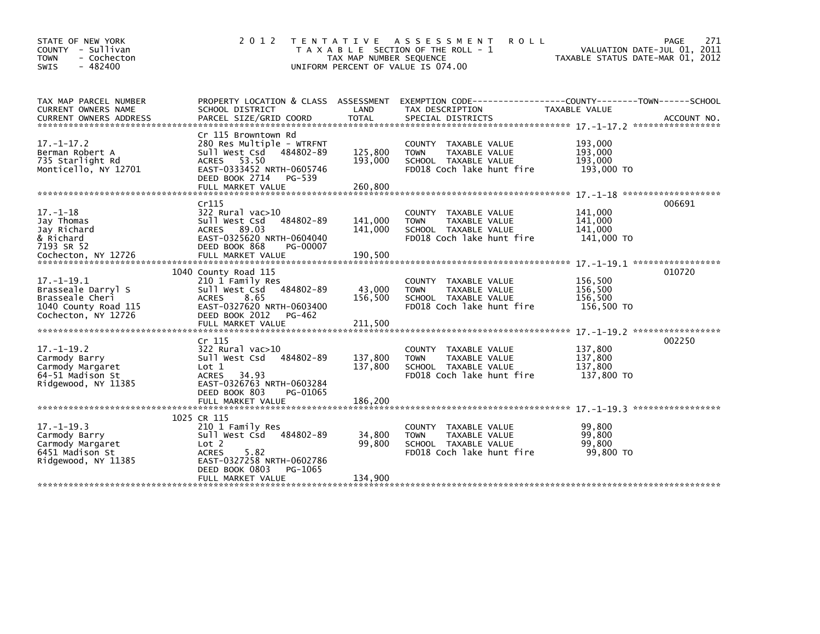| STATE OF NEW YORK<br>COUNTY - Sullivan<br>- Cochecton<br><b>TOWN</b><br>$-482400$<br><b>SWIS</b>                                | 2 0 1 2                                                                                                                                                                            | T E N T A T I V E<br>TAX MAP NUMBER SEQUENCE<br>UNIFORM PERCENT OF VALUE IS 074.00 | A S S E S S M E N T<br><b>ROLL</b><br>T A X A B L E SECTION OF THE ROLL - 1                                         | VALUATION DATE-JUL 01, 2011<br>TAXABLE STATUS DATE-MAR 01, 2012 | PAGE<br>271 |
|---------------------------------------------------------------------------------------------------------------------------------|------------------------------------------------------------------------------------------------------------------------------------------------------------------------------------|------------------------------------------------------------------------------------|---------------------------------------------------------------------------------------------------------------------|-----------------------------------------------------------------|-------------|
| TAX MAP PARCEL NUMBER<br>CURRENT OWNERS NAME                                                                                    | SCHOOL DISTRICT                                                                                                                                                                    | LAND                                                                               | PROPERTY LOCATION & CLASS ASSESSMENT EXEMPTION CODE----------------COUNTY-------TOWN------SCHOOL<br>TAX DESCRIPTION | TAXABLE VALUE                                                   |             |
| $17. - 1 - 17.2$<br>Berman Robert A<br>735 Starlight Rd<br>Monticello, NY 12701                                                 | Cr 115 Browntown Rd<br>280 Res Multiple - WTRFNT<br>Sull West Csd 484802-89<br><b>ACRES</b><br>53.50<br>EAST-0333452 NRTH-0605746<br>DEED BOOK 2714<br>PG-539<br>FULL MARKET VALUE | 125,800<br>193,000<br>260,800                                                      | COUNTY TAXABLE VALUE<br>TAXABLE VALUE<br><b>TOWN</b><br>SCHOOL TAXABLE VALUE<br>FD018 Coch lake hunt fire           | 193,000<br>193,000<br>193,000<br>193,000 TO                     |             |
| $17. - 1 - 18$<br>Jay Thomas<br>Jay Richard<br>& Richard<br>7193 SR 52                                                          | Cr115<br>322 Rural vac>10<br>484802-89<br>Sull West Csd<br>ACRES 89.03<br>EAST-0325620 NRTH-0604040<br>DEED BOOK 868<br>PG-00007                                                   | 141,000<br>141,000                                                                 | TAXABLE VALUE<br><b>COUNTY</b><br>TAXABLE VALUE<br><b>TOWN</b><br>SCHOOL TAXABLE VALUE<br>FD018 Coch lake hunt fire | 141,000<br>141,000<br>141,000<br>141,000 TO                     | 006691      |
| Cochecton, NY 12726<br>$17. - 1 - 19.1$<br>Brasseale Darryl S<br>Brasseale Cheri<br>1040 County Road 115<br>Cochecton, NY 12726 | FULL MARKET VALUE<br>1040 County Road 115<br>210 1 Family Res<br>Sull West Csd 484802-89<br><b>ACRES</b><br>8.65<br>EAST-0327620 NRTH-0603400<br>DEED BOOK 2012<br>PG-462          | 190,500<br>43,000<br>156,500                                                       | COUNTY TAXABLE VALUE<br><b>TOWN</b><br>TAXABLE VALUE<br>SCHOOL TAXABLE VALUE<br>FD018 Coch lake hunt fire           | 156,500<br>156,500<br>156.500<br>156,500 TO                     | 010720      |
| $17. - 1 - 19.2$<br>Carmody Barry<br>Carmody Margaret<br>64-51 Madison St<br>Ridgewood, NY 11385                                | Cr 115<br>322 Rural vac>10<br>Sull West Csd<br>484802-89<br>Lot 1<br>34.93<br><b>ACRES</b><br>EAST-0326763 NRTH-0603284<br>DEED BOOK 803<br>PG-01065<br>FULL MARKET VALUE          | 137,800<br>137,800<br>186,200                                                      | TAXABLE VALUE<br><b>COUNTY</b><br>TAXABLE VALUE<br><b>TOWN</b><br>SCHOOL TAXABLE VALUE<br>FD018 Coch lake hunt fire | 137,800<br>137,800<br>137,800<br>137.800 TO                     | 002250      |
| $17. - 1 - 19.3$<br>Carmody Barry<br>Carmody Margaret<br>6451 Madison St<br>Ridgewood, NY 11385                                 | 1025 CR 115<br>210 1 Family Res<br>Sull West Csd 484802-89<br>Lot 2<br><b>ACRES</b><br>5.82<br>EAST-0327258 NRTH-0602786<br>DEED BOOK 0803<br>PG-1065<br>FULL MARKET VALUE         | 34,800<br>99.800<br>134,900                                                        | COUNTY TAXABLE VALUE<br>TAXABLE VALUE<br><b>TOWN</b><br>SCHOOL TAXABLE VALUE<br>FD018 Coch lake hunt fire           | 99,800<br>99,800<br>99.800<br>99,800 TO                         |             |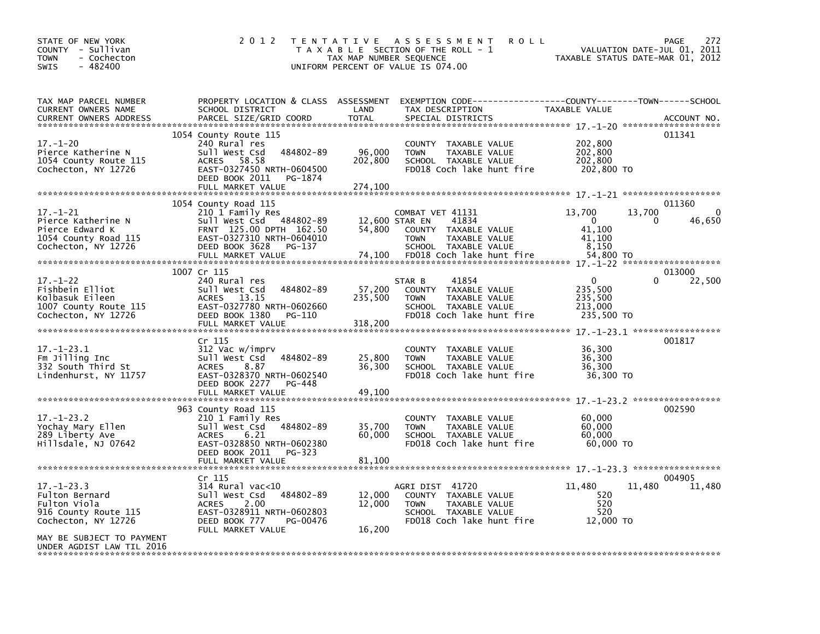| STATE OF NEW YORK<br>COUNTY - Sullivan<br>- Cochecton<br>TOWN<br>$-482400$<br>SWIS                    | 2 0 1 2                                                                                                                                                                      | T E N T A T I V E<br>TAX MAP NUMBER SEQUENCE | A S S E S S M E N T<br><b>ROLL</b><br>T A X A B L E SECTION OF THE ROLL - 1<br>UNIFORM PERCENT OF VALUE IS 074.00            | VALUATION DATE-JUL 01,<br>TAXABLE STATUS DATE-MAR 01, 2012    | 272<br><b>PAGE</b><br>2011 |
|-------------------------------------------------------------------------------------------------------|------------------------------------------------------------------------------------------------------------------------------------------------------------------------------|----------------------------------------------|------------------------------------------------------------------------------------------------------------------------------|---------------------------------------------------------------|----------------------------|
| TAX MAP PARCEL NUMBER<br><b>CURRENT OWNERS NAME</b><br><b>CURRENT OWNERS ADDRESS</b>                  | PROPERTY LOCATION & CLASS ASSESSMENT<br>SCHOOL DISTRICT<br>PARCEL SIZE/GRID COORD                                                                                            | LAND<br><b>TOTAL</b>                         | EXEMPTION CODE-----------------COUNTY-------TOWN------SCHOOL<br>TAX DESCRIPTION<br>SPECIAL DISTRICTS                         | TAXABLE VALUE                                                 | ACCOUNT NO.                |
| $17. - 1 - 20$<br>Pierce Katherine N<br>1054 County Route 115<br>Cochecton, NY 12726                  | 1054 County Route 115<br>240 Rural res<br>Sull West Csd<br>484802-89<br>58.58<br><b>ACRES</b><br>EAST-0327450 NRTH-0604500<br>DEED BOOK 2011<br>PG-1874<br>FULL MARKET VALUE | 96,000<br>202,800<br>274,100                 | COUNTY TAXABLE VALUE<br><b>TOWN</b><br>TAXABLE VALUE<br>SCHOOL TAXABLE VALUE<br>FD018 Coch lake hunt fire                    | 202,800<br>202,800<br>202,800<br>202,800 TO                   | 011341                     |
|                                                                                                       |                                                                                                                                                                              |                                              |                                                                                                                              |                                                               | 011360                     |
| $17 - 1 - 21$<br>Pierce Katherine N<br>Pierce Edward K<br>1054 County Road 115<br>Cochecton, NY 12726 | 1054 County Road 115<br>210 1 Family Res<br>Sull West Csd 484802-89<br>FRNT 125.00 DPTH 162.50<br>EAST-0327310 NRTH-0604010<br>DEED BOOK 3628<br>PG-137                      | 12,600 STAR EN<br>54,800                     | COMBAT VET 41131<br>41834<br><b>COUNTY</b><br>TAXABLE VALUE<br>TAXABLE VALUE<br><b>TOWN</b><br>SCHOOL TAXABLE VALUE          | 13,700<br>13.700<br>$\mathbf{0}$<br>41,100<br>41,100<br>8.150 | 0<br>46,650<br>0           |
|                                                                                                       | FULL MARKET VALUE                                                                                                                                                            | 74,100                                       | FD018 Coch lake hunt fire                                                                                                    | 54,800 TO                                                     |                            |
|                                                                                                       | 1007 Cr 115                                                                                                                                                                  |                                              |                                                                                                                              |                                                               | 013000                     |
| $17 - 1 - 22$<br>Fishbein Elliot<br>Kolbasuk Eileen<br>1007 County Route 115<br>Cochecton, NY 12726   | 240 Rural res<br>Sull West Csd<br>484802-89<br>ACRES 13.15<br>EAST-0327780 NRTH-0602660<br>DEED BOOK 1380<br>PG-110<br>FULL MARKET VALUE                                     | 57,200<br>235,500<br>318,200                 | 41854<br>STAR B<br>COUNTY TAXABLE VALUE<br>TAXABLE VALUE<br><b>TOWN</b><br>SCHOOL TAXABLE VALUE<br>FD018 Coch lake hunt fire | $\mathbf{0}$<br>235,500<br>235,500<br>213,000<br>235,500 TO   | <sup>0</sup><br>22,500     |
|                                                                                                       |                                                                                                                                                                              |                                              |                                                                                                                              |                                                               |                            |
| $17. - 1 - 23.1$<br>Fm Jilling Inc<br>332 South Third St<br>Lindenhurst, NY 11757                     | Cr 115<br>312 Vac w/imprv<br>Sull West Csd<br>484802-89<br>8.87<br><b>ACRES</b><br>EAST-0328370 NRTH-0602540<br>DEED BOOK 2277<br>PG-448                                     | 25,800<br>36,300                             | COUNTY TAXABLE VALUE<br><b>TOWN</b><br>TAXABLE VALUE<br>SCHOOL TAXABLE VALUE<br>FD018 Coch lake hunt fire                    | 36,300<br>36,300<br>36,300<br>36,300 TO                       | 001817                     |
|                                                                                                       | FULL MARKET VALUE                                                                                                                                                            | 49,100                                       |                                                                                                                              |                                                               |                            |
| $17. - 1 - 23.2$<br>Yochay Mary Ellen<br>289 Liberty Ave<br>Hillsdale, NJ 07642                       | 963 County Road 115<br>210 1 Family Res<br>Sull West Csd<br>484802-89<br>6.21<br><b>ACRES</b><br>EAST-0328850 NRTH-0602380<br>DEED BOOK 2011<br>PG-323<br>FULL MARKET VALUE  | 35,700<br>60,000<br>81,100                   | COUNTY<br>TAXABLE VALUE<br><b>TOWN</b><br>TAXABLE VALUE<br>SCHOOL TAXABLE VALUE<br>FD018 Coch lake hunt fire                 | 60,000<br>60,000<br>60.000<br>60,000 TO                       | 002590                     |
|                                                                                                       |                                                                                                                                                                              |                                              |                                                                                                                              |                                                               |                            |
| $17. - 1 - 23.3$<br>Fulton Bernard<br>Fulton Viola<br>916 County Route 115<br>Cochecton, NY 12726     | Cr 115<br>$314$ Rural vac<10<br>Sull West Csd<br>484802-89<br>2.00<br><b>ACRES</b><br>EAST-0328911 NRTH-0602803<br>DEED BOOK 777<br>PG-00476<br>FULL MARKET VALUE            | 12,000<br>12,000<br>16,200                   | AGRI DIST 41720<br>COUNTY TAXABLE VALUE<br>TAXABLE VALUE<br><b>TOWN</b><br>SCHOOL TAXABLE VALUE<br>FD018 Coch lake hunt fire | 11,480<br>11,480<br>520<br>520<br>520<br>12,000 TO            | 004905<br>11,480           |
| MAY BE SUBJECT TO PAYMENT<br>UNDER AGDIST LAW TIL 2016                                                |                                                                                                                                                                              |                                              |                                                                                                                              |                                                               |                            |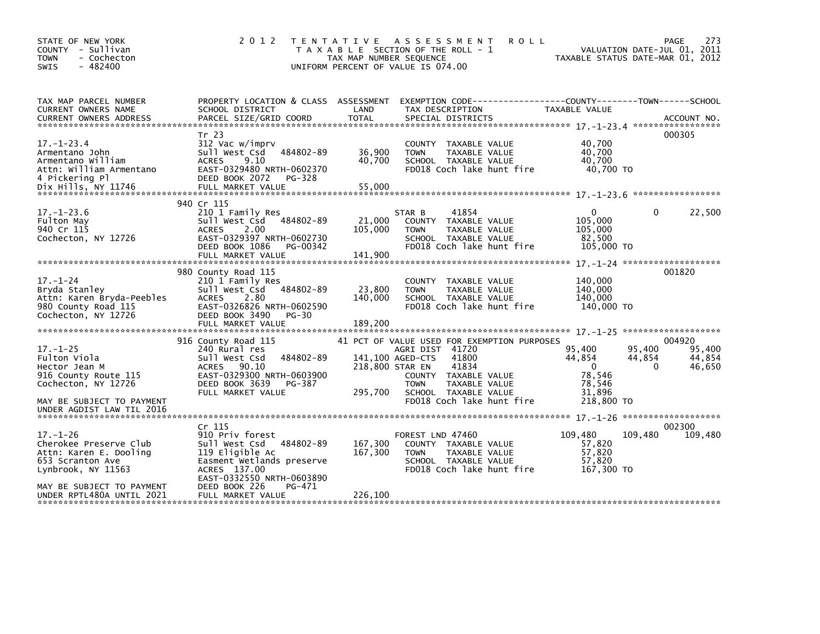| STATE OF NEW YORK<br>COUNTY - Sullivan<br>- Cochecton<br><b>TOWN</b><br>$-482400$<br><b>SWIS</b>                                                                       | 2 0 1 2                                                                                                                                                                                                         | <b>TENTATIVE</b><br>TAX MAP NUMBER SEQUENCE    | A S S E S S M E N T<br><b>ROLL</b><br>T A X A B L E SECTION OF THE ROLL - 1<br>UNIFORM PERCENT OF VALUE IS 074.00                                                                             |                                                                              | <b>PAGE</b><br>273<br>VALUATION DATE-JUL 01, 2011<br>TAXABLE STATUS DATE-MAR 01, 2012 |
|------------------------------------------------------------------------------------------------------------------------------------------------------------------------|-----------------------------------------------------------------------------------------------------------------------------------------------------------------------------------------------------------------|------------------------------------------------|-----------------------------------------------------------------------------------------------------------------------------------------------------------------------------------------------|------------------------------------------------------------------------------|---------------------------------------------------------------------------------------|
| TAX MAP PARCEL NUMBER<br>CURRENT OWNERS NAME<br><b>CURRENT OWNERS ADDRESS</b>                                                                                          | PROPERTY LOCATION & CLASS ASSESSMENT<br>SCHOOL DISTRICT<br>PARCEL SIZE/GRID COORD                                                                                                                               | LAND<br><b>TOTAL</b>                           | TAX DESCRIPTION<br>SPECIAL DISTRICTS                                                                                                                                                          | TAXABLE VALUE                                                                | ACCOUNT NO.                                                                           |
| $17. - 1 - 23.4$<br>Armentano John<br>Armentano William<br>Attn: William Armentano<br>4 Pickering Pl                                                                   | Tr 23<br>312 Vac w/imprv<br>484802-89<br>Sull West Csd<br><b>ACRES</b><br>9.10<br>EAST-0329480 NRTH-0602370<br>DEED BOOK 2072<br>PG-328                                                                         | 36,900<br>40,700                               | COUNTY TAXABLE VALUE<br>TAXABLE VALUE<br><b>TOWN</b><br>SCHOOL TAXABLE VALUE<br>FD018 Coch lake hunt fire                                                                                     | 40.700<br>40,700<br>40,700<br>40.700 TO                                      | 000305                                                                                |
| $17. - 1 - 23.6$<br>Fulton May<br>940 Cr 115<br>Cochecton, NY 12726                                                                                                    | 940 Cr 115<br>210 1 Family Res<br>Sull West Csd 484802-89<br><b>ACRES</b><br>2.00<br>EAST-0329397 NRTH-0602730<br>DEED BOOK 1086<br>PG-00342<br>FULL MARKET VALUE                                               | 21,000<br>105,000<br>141,900                   | 41854<br>STAR B<br>COUNTY TAXABLE VALUE<br>TAXABLE VALUE<br><b>TOWN</b><br>SCHOOL TAXABLE VALUE<br>FD018 Coch lake hunt fire                                                                  | $\mathbf{0}$<br>105,000<br>105,000<br>82,500<br>105,000 TO                   | 0<br>22,500                                                                           |
| $17 - 1 - 24$<br>Bryda Stanley<br>Attn: Karen Bryda-Peebles<br>980 County Road 115<br>Cochecton, NY 12726                                                              | 980 County Road 115<br>210 1 Family Res<br>Sull West Csd<br>484802-89<br><b>ACRES</b><br>2.80<br>EAST-0326826 NRTH-0602590<br>DEED BOOK 3490<br>PG-30                                                           | 23,800<br>140,000                              | COUNTY TAXABLE VALUE<br>TAXABLE VALUE<br><b>TOWN</b><br>SCHOOL TAXABLE VALUE<br>FD018 Coch lake hunt fire                                                                                     | 140,000<br>140,000<br>140,000<br>140,000 TO                                  | 001820                                                                                |
| $17. - 1 - 25$<br>Fulton Viola<br>Hector Jean M<br>916 County Route 115<br>Cochecton, NY 12726<br>MAY BE SUBJECT TO PAYMENT<br>UNDER AGDIST LAW TIL 2016               | 916 County Road 115<br>240 Rural res<br>484802-89<br>Sull West Csd<br>90.10<br><b>ACRES</b><br>EAST-0329300 NRTH-0603900<br>DEED BOOK 3639<br>PG-387<br>FULL MARKET VALUE                                       | 141,100 AGED-CTS<br>218,800 STAR EN<br>295,700 | 41 PCT OF VALUE USED FOR EXEMPTION PURPOSES<br>AGRI DIST 41720<br>41800<br>41834<br>COUNTY TAXABLE VALUE<br><b>TOWN</b><br>TAXABLE VALUE<br>SCHOOL TAXABLE VALUE<br>FD018 Coch lake hunt fire | 95,400<br>44,854<br>$\mathbf{0}$<br>78,546<br>78,546<br>31.896<br>218,800 TO | 004920<br>95,400<br>95,400<br>44,854<br>44,854<br>$\Omega$<br>46,650                  |
| $17. - 1 - 26$<br>Cherokee Preserve Club<br>Attn: Karen E. Dooling<br>653 Scranton Ave<br>Lynbrook, NY 11563<br>MAY BE SUBJECT TO PAYMENT<br>UNDER RPTL480A UNTIL 2021 | Cr <sub>115</sub><br>910 Priv forest<br>484802-89<br>Sull West Csd<br>119 Eligible Ac<br>Easment Wetlands preserve<br>ACRES 137.00<br>EAST-0332550 NRTH-0603890<br>DEED BOOK 226<br>PG-471<br>FULL MARKET VALUE | 167,300<br>167,300<br>226,100                  | FOREST LND 47460<br>COUNTY TAXABLE VALUE<br>TAXABLE VALUE<br><b>TOWN</b><br>SCHOOL TAXABLE VALUE<br>FD018 Coch lake hunt fire                                                                 | 109,480<br>57,820<br>57,820<br>57,820<br>167,300 TO                          | 002300<br>109,480<br>109,480                                                          |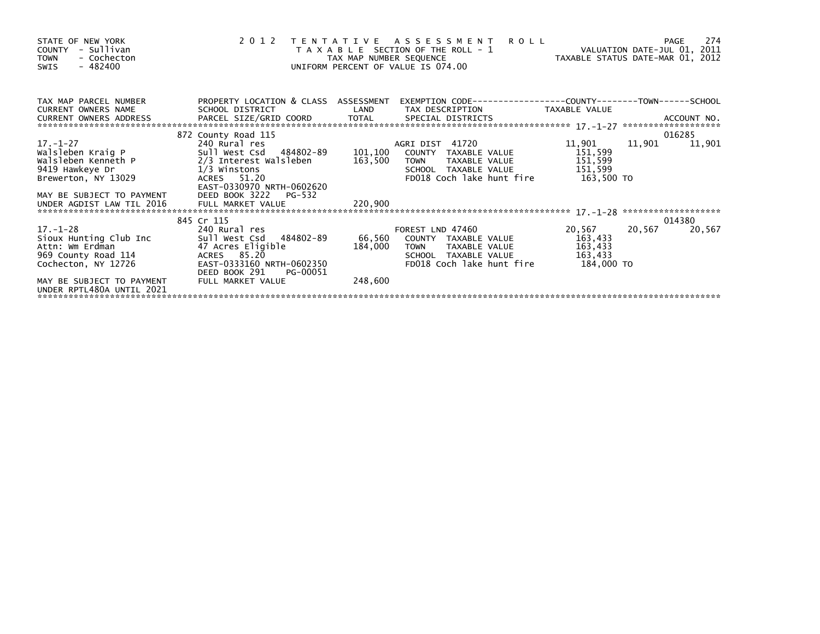| STATE OF NEW YORK<br>COUNTY - Sullivan<br><b>TOWN</b><br>- Cochecton<br>- 482400<br>SWIS                  | 2 0 1 2                                                                                                                                          | TENTATIVE ASSESSMENT<br><b>ROLL</b><br>T A X A B L E SECTION OF THE ROLL - 1 VALUATION DATE-JUL 01, 2011<br>TAX MAP NUMBER SEQUENCE TAX TAXABLE STATUS DATE-MAR 01, 2012<br>UNIFORM PERCENT OF VALUE IS 074.00 | 274<br>PAGE                                                  |
|-----------------------------------------------------------------------------------------------------------|--------------------------------------------------------------------------------------------------------------------------------------------------|----------------------------------------------------------------------------------------------------------------------------------------------------------------------------------------------------------------|--------------------------------------------------------------|
| TAX MAP PARCEL NUMBER<br>CURRENT OWNERS NAME<br>CURRENT OWNERS ADDRESS                                    | PROPERTY LOCATION & CLASS ASSESSMENT                                                                                                             | SCHOOL DISTRICT <b>AND</b> TAX DESCRIPTION TAXABLE VALUE                                                                                                                                                       | EXEMPTION CODE-----------------COUNTY-------TOWN------SCHOOL |
| Brewerton, NY 13029                                                                                       | 872 County Road 115<br>1/3 Winstons<br>ACRES 51.20<br>EAST-0330970 NRTH-0602620                                                                  | FD018 Coch lake hunt fire 163,500 TO                                                                                                                                                                           | 016285<br>11,901<br>11,901<br>11,901                         |
|                                                                                                           |                                                                                                                                                  |                                                                                                                                                                                                                |                                                              |
| $17. - 1 - 28$<br>Sioux Hunting Club Inc<br>Attn: Wm Erdman<br>969 County Road 114<br>Cochecton, NY 12726 | 845 Cr 115<br>240 Rural res<br>Sull West_Csd484802-89<br>47 Acres Eligible<br>ACRES 85.20<br>EAST-0333160 NRTH-0602350<br>DEED BOOK 291 PG-00051 | FOREST LND 47460<br>66,560 COUNTY TAXABLE VALUE 163,433<br>184,000 TOWN TAXABLE VALUE 163,433<br>184,000<br>SCHOOL TAXABLE VALUE<br>FD018 Coch lake hunt fire                                                  | 014380<br>20,567 20,567<br>20,567<br>163,433<br>184,000 TO   |
| MAY BE SUBJECT TO PAYMENT<br>UNDER RPTL480A UNTIL 2021                                                    | FULL MARKET VALUE                                                                                                                                | 248,600                                                                                                                                                                                                        |                                                              |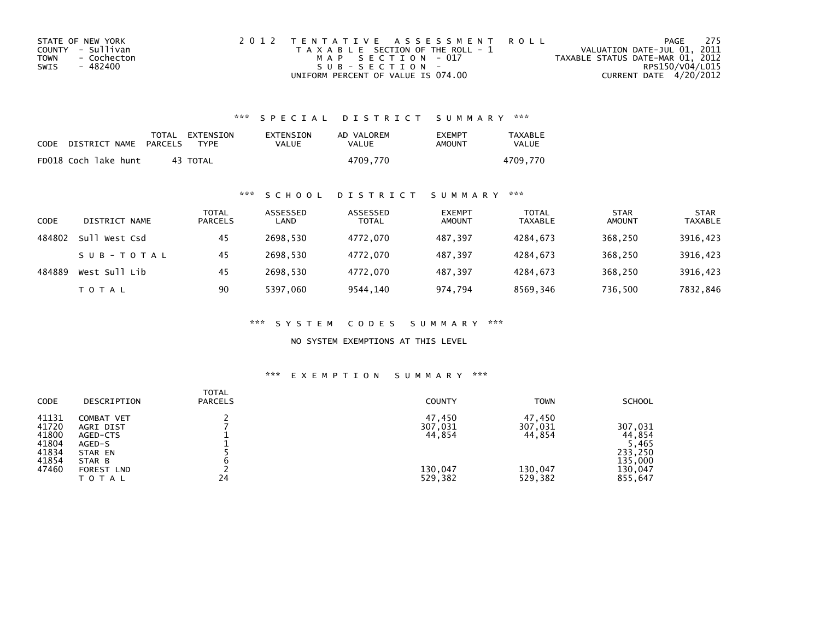| STATE OF NEW YORK   | 2012 TENTATIVE ASSESSMENT ROLL        | - 275<br>PAGE                    |
|---------------------|---------------------------------------|----------------------------------|
| COUNTY - Sullivan   | T A X A B L E SECTION OF THE ROLL - 1 | VALUATION DATE-JUL 01, 2011      |
| TOWN<br>- Cochecton | MAP SECTION - 017                     | TAXABLE STATUS DATE-MAR 01, 2012 |
| - 482400<br>SWIS    | $S \cup B - S F C T T O N -$          | RPS150/V04/L015                  |
|                     | UNIFORM PERCENT OF VALUE IS 074.00    | CURRENT DATE 4/20/2012           |

## \*\*\* S P E C I A L D I S T R I C T S U M M A R Y \*\*\*

| CODE | DISTRICT NAME        | TOTAL EXTENSION<br>PARCELS<br><b>TYPF</b> | EXTENSION<br>VALUE | AD VALOREM<br>VALUE | <b>FXFMPT</b><br>AMOUNT | TAXABLE<br>VALUE |
|------|----------------------|-------------------------------------------|--------------------|---------------------|-------------------------|------------------|
|      | FD018 Coch lake hunt | 43 TOTAL                                  |                    | 4709,770            |                         | 4709.770         |

## \*\*\* S C H O O L D I S T R I C T S U M M A R Y \*\*\*

| CODE   | DISTRICT NAME    | TOTAL<br><b>PARCELS</b> | ASSESSED<br>LAND | ASSESSED<br><b>TOTAL</b> | <b>EXEMPT</b><br><b>AMOUNT</b> | <b>TOTAL</b><br><b>TAXABLE</b> | <b>STAR</b><br><b>AMOUNT</b> | <b>STAR</b><br>TAXABLE |
|--------|------------------|-------------------------|------------------|--------------------------|--------------------------------|--------------------------------|------------------------------|------------------------|
| 484802 | sul'<br>West Csd | 45                      | 2698.530         | 4772.070                 | 487.397                        | 4284.673                       | 368.250                      | 3916,423               |
|        | SUB-TOTAL        | 45                      | 2698.530         | 4772.070                 | 487.397                        | 4284.673                       | 368.250                      | 3916,423               |
| 484889 | West Sull Lib    | 45                      | 2698.530         | 4772.070                 | 487.397                        | 4284.673                       | 368,250                      | 3916,423               |
|        | T O T A L        | 90                      | 5397,060         | 9544,140                 | 974.794                        | 8569,346                       | 736.500                      | 7832,846               |

\*\*\* S Y S T E M C O D E S S U M M A R Y \*\*\*

NO SYSTEM EXEMPTIONS AT THIS LEVEL

## \*\*\* E X E M P T I O N S U M M A R Y \*\*\*

| <b>CODE</b>                                                 | DESCRIPTION                                                                                      | <b>TOTAL</b><br><b>PARCELS</b> | <b>COUNTY</b>                                     | <b>TOWN</b>                                       | <b>SCHOOL</b>                                                          |
|-------------------------------------------------------------|--------------------------------------------------------------------------------------------------|--------------------------------|---------------------------------------------------|---------------------------------------------------|------------------------------------------------------------------------|
| 41131<br>41720<br>41800<br>41804<br>41834<br>41854<br>47460 | COMBAT VET<br>AGRI DIST<br>AGED-CTS<br>AGED-S<br>STAR EN<br>STAR B<br>FOREST LND<br><b>TOTAL</b> | 24                             | 47,450<br>307,031<br>44,854<br>130,047<br>529,382 | 47,450<br>307,031<br>44,854<br>130,047<br>529,382 | 307,031<br>44,854<br>5,465<br>233.250<br>135,000<br>130,047<br>855,647 |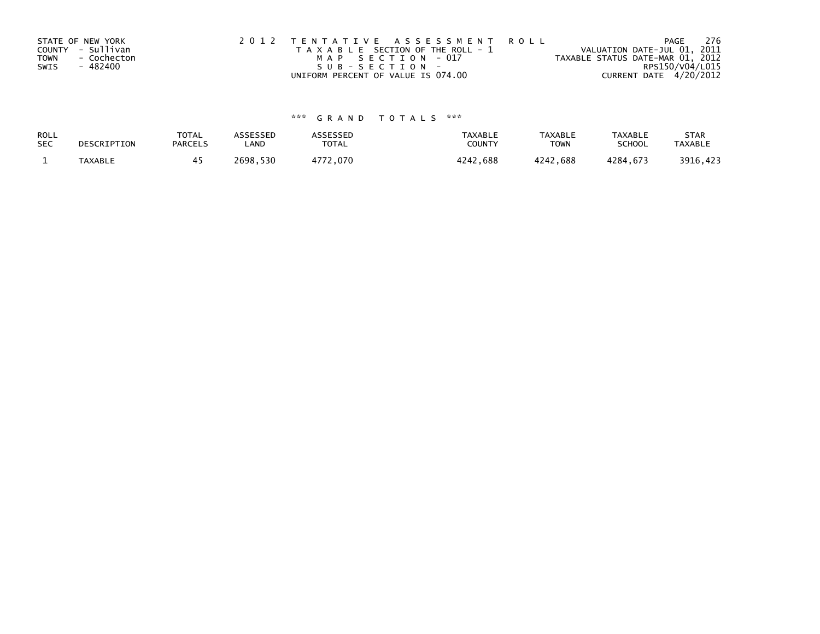|      | STATE OF NEW YORK | 2012 TENTATIVE ASSESSMENT ROLL        | PAGE                             | 276 |
|------|-------------------|---------------------------------------|----------------------------------|-----|
|      | COUNTY - Sullivan | T A X A B L E SECTION OF THE ROLL - 1 | VALUATION DATE-JUL 01, 2011      |     |
| TOWN | - Cochecton       | MAP SECTION - 017                     | TAXABLE STATUS DATE-MAR 01, 2012 |     |
| SWIS | - 482400          | $SUB - SECTION -$                     | RPS150/V04/L015                  |     |
|      |                   | UNIFORM PERCENT OF VALUE IS 074.00    | CURRENT DATE 4/20/2012           |     |

# \*\*\* G R A N D T O T A L S \*\*\*

| ROLL       | DESCRIPTION | <b>TOTAL</b>   | <b>ASSESSED</b> | <b>ASSESSED</b> | <b>TAXABLE</b> | <b>TAXABLE</b> | <b>TAXABLE</b> | <b>STAR</b>    |
|------------|-------------|----------------|-----------------|-----------------|----------------|----------------|----------------|----------------|
| <b>SEC</b> |             | <b>PARCELS</b> | LAND            | <b>TOTAL</b>    | COUNTY         | <b>TOWN</b>    | <b>SCHOOL</b>  | <b>TAXABLE</b> |
|            | TAXABLE     |                | 2698.530        | 4772,070        | 4242,688       | 4242,688       | 4284.673       | 3916,423       |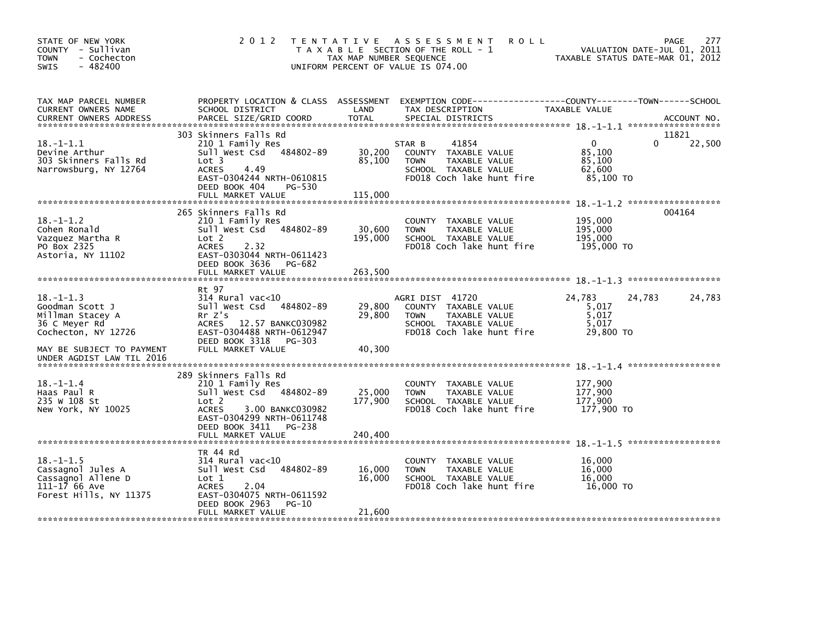| STATE OF NEW YORK<br>COUNTY - Sullivan<br><b>TOWN</b><br>- Cochecton<br>$-482400$<br>SWIS                                                                | 2 0 1 2                                                                                                                                                                                          | T E N T A T I V E<br>TAX MAP NUMBER SEQUENCE | A S S E S S M E N T<br><b>ROLL</b><br>T A X A B L E SECTION OF THE ROLL - 1<br>UNIFORM PERCENT OF VALUE IS 074.00            | TAXABLE STATUS DATE-MAR 01, 2012                        | 277<br>PAGE<br>VALUATION DATE-JUL 01, 2011 |
|----------------------------------------------------------------------------------------------------------------------------------------------------------|--------------------------------------------------------------------------------------------------------------------------------------------------------------------------------------------------|----------------------------------------------|------------------------------------------------------------------------------------------------------------------------------|---------------------------------------------------------|--------------------------------------------|
| TAX MAP PARCEL NUMBER<br>CURRENT OWNERS NAME<br><b>CURRENT OWNERS ADDRESS</b>                                                                            | PROPERTY LOCATION & CLASS ASSESSMENT<br>SCHOOL DISTRICT<br>PARCEL SIZE/GRID COORD                                                                                                                | LAND<br><b>TOTAL</b>                         | EXEMPTION CODE-----------------COUNTY-------TOWN------SCHOOL<br>TAX DESCRIPTION<br>SPECIAL DISTRICTS                         | TAXABLE VALUE                                           | ACCOUNT NO.                                |
| $18. - 1 - 1.1$<br>Devine Arthur<br>303 Skinners Falls Rd<br>Narrowsburg, NY 12764                                                                       | 303 Skinners Falls Rd<br>210 1 Family Res<br>Sull West Csd<br>484802-89<br>Lot <sub>3</sub><br><b>ACRES</b><br>4.49<br>EAST-0304244 NRTH-0610815<br>DEED BOOK 404<br>PG-530<br>FULL MARKET VALUE | 30,200<br>85,100<br>115,000                  | 41854<br>STAR B<br>COUNTY TAXABLE VALUE<br>TAXABLE VALUE<br><b>TOWN</b><br>SCHOOL TAXABLE VALUE<br>FD018 Coch lake hunt fire | $\mathbf{0}$<br>85.100<br>85,100<br>62,600<br>85,100 TO | 11821<br>22,500<br>$\Omega$                |
| $18. - 1 - 1.2$<br>Cohen Ronald<br>Vazquez Martha R<br>PO Box 2325<br>Astoria, NY 11102                                                                  | 265 Skinners Falls Rd<br>210 1 Family Res<br>Sull West Csd 484802-89<br>Lot 2<br>2.32<br><b>ACRES</b><br>EAST-0303044 NRTH-0611423<br>DEED BOOK 3636<br>PG-682<br>FULL MARKET VALUE              | 30,600<br>195,000<br>263,500                 | COUNTY TAXABLE VALUE<br><b>TOWN</b><br>TAXABLE VALUE<br>SCHOOL TAXABLE VALUE<br>FD018 Coch lake hunt fire                    | 195,000<br>195,000<br>195,000<br>195,000 TO             | 004164                                     |
| $18. - 1 - 1.3$<br>Goodman Scott J<br>Millman Stacey A<br>36 C Meyer Rd<br>Cochecton, NY 12726<br>MAY BE SUBJECT TO PAYMENT<br>UNDER AGDIST LAW TIL 2016 | Rt 97<br>$314$ Rural vac<10<br>Sull West Csd 484802-89<br>$Rr$ $Z's$<br><b>ACRES</b><br>12.57 BANKC030982<br>EAST-0304488 NRTH-0612947<br>DEED BOOK 3318<br>PG-303<br>FULL MARKET VALUE          | 29,800<br>29,800<br>40,300                   | AGRI DIST 41720<br>COUNTY TAXABLE VALUE<br>TAXABLE VALUE<br><b>TOWN</b><br>SCHOOL TAXABLE VALUE<br>FD018 Coch lake hunt fire | 24,783<br>5,017<br>5,017<br>5,017<br>29,800 TO          | 24,783<br>24,783                           |
| $18. - 1 - 1.4$<br>Haas Paul R<br>235 W 108 St<br>New York, NY 10025                                                                                     | 289 Skinners Falls Rd<br>210 1 Family Res<br>Sull West Csd 484802-89<br>Lot 2<br><b>ACRES</b><br>3.00 BANKC030982<br>EAST-0304299 NRTH-0611748<br>DEED BOOK 3411<br>PG-238<br>FULL MARKET VALUE  | 25,000<br>177,900<br>240,400                 | COUNTY TAXABLE VALUE<br>TAXABLE VALUE<br><b>TOWN</b><br>SCHOOL TAXABLE VALUE<br>FD018 Coch lake hunt fire                    | 177,900<br>177,900<br>177.900<br>177,900 TO             |                                            |
| $18. - 1 - 1.5$<br>Cassagnol Jules A<br>Cassagnol Allene D<br>111-17 66 Ave<br>Forest Hills, NY 11375                                                    | TR 44 Rd<br>$314$ Rural vac< $10$<br>484802-89<br>Sull West Csd<br>Lot 1<br><b>ACRES</b><br>2.04<br>EAST-0304075 NRTH-0611592<br>DEED BOOK 2963<br>PG-10<br>FULL MARKET VALUE                    | 16,000<br>16.000<br>21,600                   | COUNTY TAXABLE VALUE<br>TAXABLE VALUE<br><b>TOWN</b><br>SCHOOL TAXABLE VALUE<br>FD018 Coch lake hunt fire                    | 16,000<br>16,000<br>16.000<br>16,000 TO                 |                                            |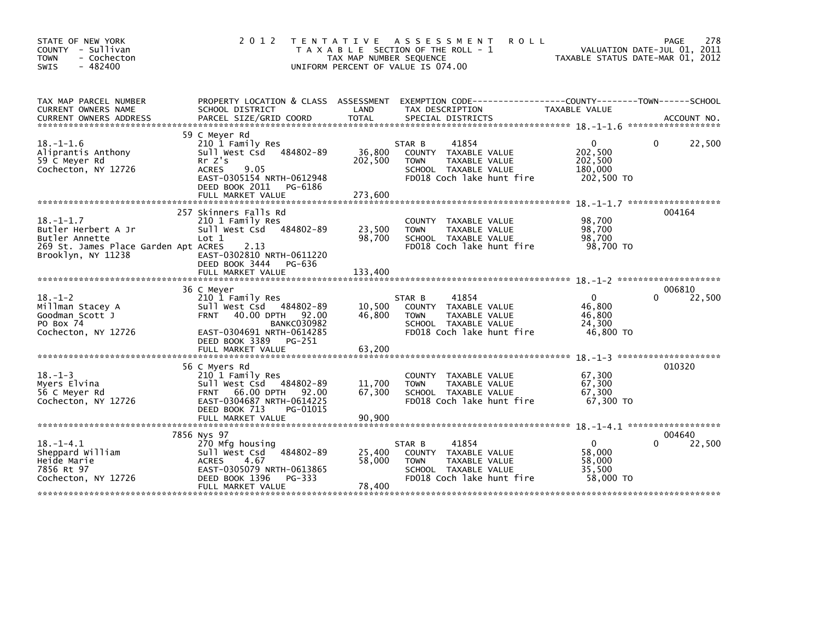| STATE OF NEW YORK<br>COUNTY - Sullivan<br><b>TOWN</b><br>- Cochecton<br>$-482400$<br>SWIS                              | 2 0 1 2                                                                                                                                                                           | TAX MAP NUMBER SEQUENCE<br>UNIFORM PERCENT OF VALUE IS 074.00 | TENTATIVE ASSESSMENT<br><b>ROLL</b><br>T A X A B L E SECTION OF THE ROLL - 1                                                 | TAXABLE STATUS DATE-MAR 01, 2012                        | 278<br>PAGE<br>VALUATION DATE-JUL 01, 2011 |
|------------------------------------------------------------------------------------------------------------------------|-----------------------------------------------------------------------------------------------------------------------------------------------------------------------------------|---------------------------------------------------------------|------------------------------------------------------------------------------------------------------------------------------|---------------------------------------------------------|--------------------------------------------|
| TAX MAP PARCEL NUMBER<br><b>CURRENT OWNERS NAME</b>                                                                    | PROPERTY LOCATION & CLASS ASSESSMENT<br>SCHOOL DISTRICT                                                                                                                           | LAND                                                          | TAX DESCRIPTION                                                                                                              | TAXABLE VALUE                                           |                                            |
|                                                                                                                        |                                                                                                                                                                                   |                                                               |                                                                                                                              |                                                         |                                            |
| $18. - 1 - 1.6$<br>Aliprantis Anthony<br>59 C Meyer Rd<br>Cochecton, NY 12726                                          | 59 C Meyer Rd<br>210 1 Family Res<br>Sull West Csd 484802-89<br>$Rr$ $Z's$<br><b>ACRES</b><br>9.05<br>EAST-0305154 NRTH-0612948<br>DEED BOOK 2011<br>PG-6186<br>FULL MARKET VALUE | 36,800<br>202,500<br>273,600                                  | 41854<br>STAR B<br>COUNTY TAXABLE VALUE<br>TAXABLE VALUE<br><b>TOWN</b><br>SCHOOL TAXABLE VALUE<br>FD018 Coch lake hunt fire | 0<br>202,500<br>202,500<br>180,000<br>202,500 TO        | 22,500<br>0                                |
|                                                                                                                        | 257 Skinners Falls Rd                                                                                                                                                             |                                                               |                                                                                                                              |                                                         | 004164                                     |
| $18. - 1 - 1.7$<br>Butler Herbert A Jr<br>Butler Annette<br>269 St. James Place Garden Apt ACRES<br>Brooklyn, NY 11238 | 210 1 Family Res<br>Sull West Csd<br>484802-89<br>Lot 1<br>2.13<br>EAST-0302810 NRTH-0611220                                                                                      | 23,500<br>98,700                                              | COUNTY TAXABLE VALUE<br>TAXABLE VALUE<br><b>TOWN</b><br>SCHOOL TAXABLE VALUE<br>FD018 Coch lake hunt fire                    | 98,700<br>98,700<br>98,700<br>98,700 TO                 |                                            |
|                                                                                                                        | DEED BOOK 3444<br>PG-636<br>FULL MARKET VALUE                                                                                                                                     | 133,400                                                       |                                                                                                                              |                                                         |                                            |
|                                                                                                                        |                                                                                                                                                                                   |                                                               |                                                                                                                              |                                                         |                                            |
| $18. - 1 - 2$<br>Millman Stacey A<br>Goodman Scott J<br>PO Box 74<br>Cochecton, NY 12726                               | 36 C Meyer<br>210 1 Family Res<br>Sull West Csd 484802-89<br><b>FRNT</b><br>40.00 DPTH 92.00<br><b>BANKC030982</b><br>EAST-0304691 NRTH-0614285<br>DEED BOOK 3389<br>PG-251       | 10,500<br>46,800                                              | 41854<br>STAR B<br>COUNTY TAXABLE VALUE<br>TAXABLE VALUE<br><b>TOWN</b><br>SCHOOL TAXABLE VALUE<br>FD018 Coch lake hunt fire | $\mathbf{0}$<br>46.800<br>46,800<br>24,300<br>46,800 TO | 006810<br>22,500<br>0                      |
|                                                                                                                        |                                                                                                                                                                                   |                                                               |                                                                                                                              |                                                         |                                            |
| $18. - 1 - 3$<br>Myers Elvina<br>56 C Meyer Rd<br>Cochecton, NY 12726                                                  | 56 C Myers Rd<br>210 1 Family Res<br>Sull West Csd 484802-89<br><b>FRNT 66.00 DPTH</b><br>92.00<br>EAST-0304687 NRTH-0614225<br>DEED BOOK 713<br>PG-01015                         | 11.700<br>67,300                                              | COUNTY TAXABLE VALUE<br>TAXABLE VALUE<br><b>TOWN</b><br>SCHOOL TAXABLE VALUE<br>FD018 Coch lake hunt fire                    | 67,300<br>67,300<br>67,300<br>67,300 TO                 | 010320                                     |
|                                                                                                                        | FULL MARKET VALUE                                                                                                                                                                 | 90.900                                                        |                                                                                                                              |                                                         |                                            |
|                                                                                                                        | 7856 Nys 97                                                                                                                                                                       |                                                               |                                                                                                                              |                                                         | 004640                                     |
| $18. - 1 - 4.1$<br>Sheppard William<br>Heide Marie<br>7856 Rt 97<br>Cochecton, NY 12726                                | 270 Mfg housing<br>484802-89<br>Sull West Csd<br><b>ACRES</b><br>4.67<br>EAST-0305079 NRTH-0613865<br>DEED BOOK 1396<br>PG-333<br>FULL MARKET VALUE                               | 25,400<br>58.000<br>78,400                                    | 41854<br>STAR B<br>COUNTY TAXABLE VALUE<br>TAXABLE VALUE<br><b>TOWN</b><br>SCHOOL TAXABLE VALUE<br>FD018 Coch lake hunt fire | $\mathbf{0}$<br>58,000<br>58,000<br>35,500<br>58,000 TO | 22,500                                     |
|                                                                                                                        |                                                                                                                                                                                   |                                                               |                                                                                                                              | ***********************************                     |                                            |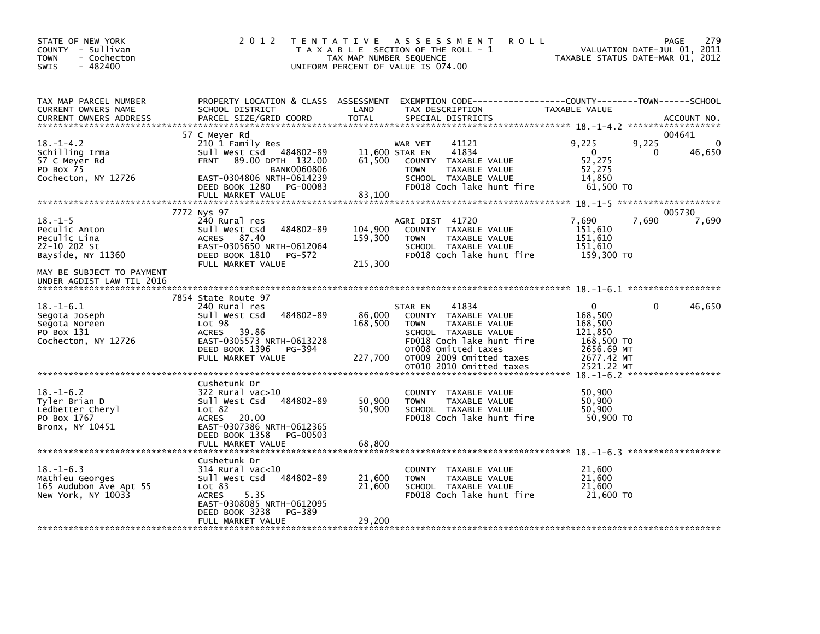| STATE OF NEW YORK<br>COUNTY - Sullivan<br><b>TOWN</b><br>- Cochecton<br>$-482400$<br><b>SWIS</b>                 | 2 0 1 2                                                                                                                                                                                                | T E N T A T I V E<br>TAX MAP NUMBER SEQUENCE | A S S E S S M E N T<br><b>ROLL</b><br>T A X A B L E SECTION OF THE ROLL - 1<br>UNIFORM PERCENT OF VALUE IS 074.00                                                                |                                                                                     | 279<br>PAGE<br>VALUATION DATE-JUL 01, 2011<br>TAXABLE STATUS DATE-MAR 01, 2012 |
|------------------------------------------------------------------------------------------------------------------|--------------------------------------------------------------------------------------------------------------------------------------------------------------------------------------------------------|----------------------------------------------|----------------------------------------------------------------------------------------------------------------------------------------------------------------------------------|-------------------------------------------------------------------------------------|--------------------------------------------------------------------------------|
| TAX MAP PARCEL NUMBER<br>CURRENT OWNERS NAME<br><b>CURRENT OWNERS ADDRESS</b>                                    | SCHOOL DISTRICT<br>PARCEL SIZE/GRID COORD                                                                                                                                                              | LAND<br><b>TOTAL</b>                         | PROPERTY LOCATION & CLASS ASSESSMENT EXEMPTION CODE----------------COUNTY-------TOWN------SCHOOL<br>TAX DESCRIPTION<br>SPECIAL DISTRICTS                                         | TAXABLE VALUE                                                                       | ACCOUNT NO.                                                                    |
| $18. - 1 - 4.2$<br>Schilling Irma<br>57 C Meyer Rd<br>PO Box 75<br>Cochecton, NY 12726                           | 57 C Meyer Rd<br>210 1 Family Res<br>Sull West Csd 484802-89<br><b>FRNT</b><br>89.00 DPTH 132.00<br><b>BANK0060806</b><br>EAST-0304806 NRTH-0614239<br>DEED BOOK 1280<br>PG-00083<br>FULL MARKET VALUE | 61,500<br>83,100                             | WAR VET<br>41121<br>41834<br>11,600 STAR EN<br>COUNTY TAXABLE VALUE<br><b>TOWN</b><br>TAXABLE VALUE<br>SCHOOL TAXABLE VALUE<br>FD018 Coch lake hunt fire                         | 9,225<br>$\mathbf{0}$<br>52,275<br>52,275<br>14.850<br>61,500 TO                    | 004641<br>9,225<br>46,650<br>0                                                 |
| $18. - 1 - 5$<br>Peculic Anton<br>Peculic Lina<br>22-10 202 St<br>Bayside, NY 11360<br>MAY BE SUBJECT TO PAYMENT | 7772 Nys 97<br>240 Rural res<br>484802-89<br>Sull West Csd<br>ACRES 87.40<br>EAST-0305650 NRTH-0612064<br>DEED BOOK 1810<br>PG-572<br>FULL MARKET VALUE                                                | 104,900<br>159,300<br>215,300                | AGRI DIST 41720<br>COUNTY TAXABLE VALUE<br><b>TOWN</b><br>TAXABLE VALUE<br>SCHOOL TAXABLE VALUE<br>FD018 Coch lake hunt fire                                                     | 7,690<br>151,610<br>151,610<br>151,610<br>159,300 TO                                | 005730<br>7,690<br>7,690                                                       |
| UNDER AGDIST LAW TIL 2016                                                                                        |                                                                                                                                                                                                        |                                              |                                                                                                                                                                                  |                                                                                     |                                                                                |
| $18. - 1 - 6.1$<br>Segota Joseph<br>Segota Noreen<br>PO Box 131<br>Cochecton, NY 12726                           | 7854 State Route 97<br>240 Rural res<br>484802-89<br>Sull West Csd<br>Lot 98<br><b>ACRES</b><br>39.86<br>EAST-0305573 NRTH-0613228<br>DEED BOOK 1396<br>PG-394<br>FULL MARKET VALUE                    | 86,000<br>168,500<br>227,700                 | 41834<br>STAR EN<br>COUNTY TAXABLE VALUE<br><b>TOWN</b><br>TAXABLE VALUE<br>SCHOOL TAXABLE VALUE<br>FD018 Coch lake hunt fire<br>OT008 Omitted taxes<br>OT009 2009 Omitted taxes | $\Omega$<br>168,500<br>168,500<br>121.850<br>168,500 TO<br>2656.69 MT<br>2677.42 MT | 46,650<br>$\Omega$                                                             |
|                                                                                                                  |                                                                                                                                                                                                        |                                              | OT010 2010 Omitted taxes                                                                                                                                                         | 2521.22 MT                                                                          |                                                                                |
| $18. - 1 - 6.2$<br>Tyler Brian D<br>Ledbetter Cheryl<br>PO Box 1767<br>Bronx, NY 10451                           | Cushetunk Dr<br>322 Rural vac>10<br>Sull West Csd<br>484802-89<br>Lot 82<br><b>ACRES</b><br>20.00<br>EAST-0307386 NRTH-0612365<br>DEED BOOK 1358<br>PG-00503                                           | 50,900<br>50,900                             | TAXABLE VALUE<br>COUNTY<br>TAXABLE VALUE<br><b>TOWN</b><br>SCHOOL TAXABLE VALUE<br>FD018 Coch lake hunt fire                                                                     | 50,900<br>50,900<br>50,900<br>50,900 TO                                             |                                                                                |
|                                                                                                                  | FULL MARKET VALUE                                                                                                                                                                                      | 68,800                                       |                                                                                                                                                                                  |                                                                                     |                                                                                |
| $18. - 1 - 6.3$<br>Mathieu Georges<br>165 Audubon Ave Apt 55<br>New York, NY 10033                               | Cushetunk Dr<br>$314$ Rural vac<10<br>484802-89<br>Sull West Csd<br>Lot 83<br><b>ACRES</b><br>5.35<br>EAST-0308085 NRTH-0612095<br>DEED BOOK 3238<br>PG-389<br>FULL MARKET VALUE                       | 21,600<br>21,600<br>29,200                   | COUNTY TAXABLE VALUE<br><b>TOWN</b><br>TAXABLE VALUE<br>SCHOOL TAXABLE VALUE<br>FD018 Coch lake hunt fire                                                                        | 21,600<br>21,600<br>21,600<br>21.600 TO                                             |                                                                                |
|                                                                                                                  |                                                                                                                                                                                                        |                                              |                                                                                                                                                                                  |                                                                                     |                                                                                |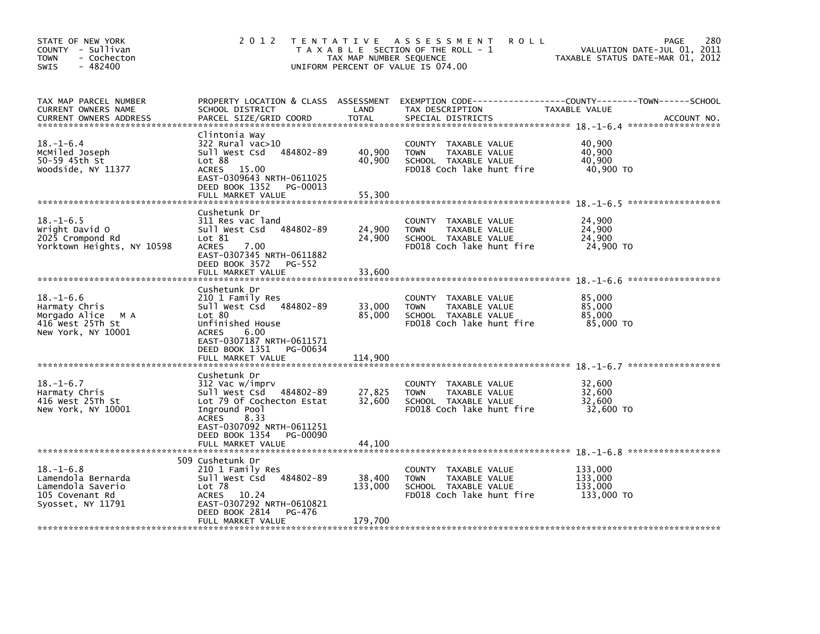| STATE OF NEW YORK<br>COUNTY - Sullivan<br>- Cochecton<br><b>TOWN</b><br>$-482400$<br><b>SWIS</b>   | 2012 TENTATIVE                                                                                                                                                                                 | TAX MAP NUMBER SEQUENCE      | ASSESSMENT<br><b>ROLL</b><br>T A X A B L E SECTION OF THE ROLL - 1<br>UNIFORM PERCENT OF VALUE IS 074.00  | 280<br><b>PAGE</b><br>VALUATION DATE-JUL 01, 2011<br>TAXABLE STATUS DATE-MAR 01, 2012        |
|----------------------------------------------------------------------------------------------------|------------------------------------------------------------------------------------------------------------------------------------------------------------------------------------------------|------------------------------|-----------------------------------------------------------------------------------------------------------|----------------------------------------------------------------------------------------------|
| TAX MAP PARCEL NUMBER<br>CURRENT OWNERS NAME<br><b>CURRENT OWNERS ADDRESS</b>                      | PROPERTY LOCATION & CLASS ASSESSMENT<br>SCHOOL DISTRICT<br>PARCEL SIZE/GRID COORD                                                                                                              | LAND<br><b>TOTAL</b>         | TAX DESCRIPTION<br>SPECIAL DISTRICTS                                                                      | EXEMPTION CODE-----------------COUNTY-------TOWN------SCHOOL<br>TAXABLE VALUE<br>ACCOUNT NO. |
| $18. - 1 - 6.4$<br>MCMiled Joseph<br>50-59 45th St<br>Woodside, NY 11377                           | Clintonia Way<br>322 Rural vac>10<br>484802-89<br>Sull West Csd<br>Lot 88<br>ACRES 15.00<br>EAST-0309643 NRTH-0611025<br>DEED BOOK 1352<br>PG-00013                                            | 40,900<br>40,900             | COUNTY TAXABLE VALUE<br><b>TOWN</b><br>TAXABLE VALUE<br>SCHOOL TAXABLE VALUE<br>FD018 Coch lake hunt fire | 40,900<br>40,900<br>40,900<br>40,900 TO                                                      |
|                                                                                                    | FULL MARKET VALUE                                                                                                                                                                              | 55,300                       |                                                                                                           |                                                                                              |
| $18. - 1 - 6.5$<br>Wright David O<br>2025 Crompond Rd<br>Yorktown Heights, NY 10598                | Cushetunk Dr<br>311 Res vac land<br>484802-89<br>Sull West Csd<br>Lot 81<br><b>ACRES</b><br>7.00<br>EAST-0307345 NRTH-0611882<br>DEED BOOK 3572<br>PG-552<br>FULL MARKET VALUE                 | 24,900<br>24,900<br>33,600   | COUNTY TAXABLE VALUE<br>TAXABLE VALUE<br><b>TOWN</b><br>SCHOOL TAXABLE VALUE<br>FD018 Coch lake hunt fire | 24,900<br>24,900<br>24,900<br>24,900 TO                                                      |
|                                                                                                    | Cushetunk Dr                                                                                                                                                                                   |                              |                                                                                                           |                                                                                              |
| $18. - 1 - 6.6$<br>Harmaty Chris<br>Morgado Alice<br>M A<br>416 West 25Th St<br>New York, NY 10001 | 210 1 Family Res<br>Sull West Csd 484802-89<br>Lot 80<br>Unfinished House<br>6.00<br><b>ACRES</b><br>EAST-0307187 NRTH-0611571<br>DEED BOOK 1351<br>PG-00634                                   | 33,000<br>85,000             | COUNTY TAXABLE VALUE<br>TAXABLE VALUE<br><b>TOWN</b><br>SCHOOL TAXABLE VALUE<br>FD018 Coch lake hunt fire | 85,000<br>85,000<br>85,000<br>85,000 TO                                                      |
|                                                                                                    | FULL MARKET VALUE                                                                                                                                                                              | 114,900                      |                                                                                                           |                                                                                              |
| $18. - 1 - 6.7$<br>Harmaty Chris<br>416 West 25Th St<br>New York, NY 10001                         | Cushetunk Dr<br>312 Vac w/imprv<br>Sull West Csd<br>484802-89<br>Lot 79 Of Cochecton Estat<br>Inground Pool<br>8.33<br><b>ACRES</b><br>EAST-0307092 NRTH-0611251<br>DEED BOOK 1354<br>PG-00090 | 27,825<br>32,600             | COUNTY TAXABLE VALUE<br><b>TOWN</b><br>TAXABLE VALUE<br>SCHOOL TAXABLE VALUE<br>FD018 Coch lake hunt fire | 32,600<br>32,600<br>32,600<br>32,600 TO                                                      |
|                                                                                                    | FULL MARKET VALUE                                                                                                                                                                              | 44,100                       |                                                                                                           |                                                                                              |
|                                                                                                    | 509 Cushetunk Dr                                                                                                                                                                               |                              |                                                                                                           |                                                                                              |
| $18. - 1 - 6.8$<br>Lamendola Bernarda<br>Lamendola Saverio<br>105 Covenant Rd<br>Syosset, NY 11791 | 210 1 Family Res<br>Sull West Csd 484802-89<br>Lot 78<br><b>ACRES</b><br>10.24<br>EAST-0307292 NRTH-0610821<br>DEED BOOK 2814<br>PG-476<br>FULL MARKET VALUE                                   | 38,400<br>133,000<br>179,700 | COUNTY TAXABLE VALUE<br><b>TOWN</b><br>TAXABLE VALUE<br>SCHOOL TAXABLE VALUE<br>FD018 Coch lake hunt fire | 133,000<br>133,000<br>133,000<br>133,000 TO                                                  |
|                                                                                                    |                                                                                                                                                                                                |                              |                                                                                                           |                                                                                              |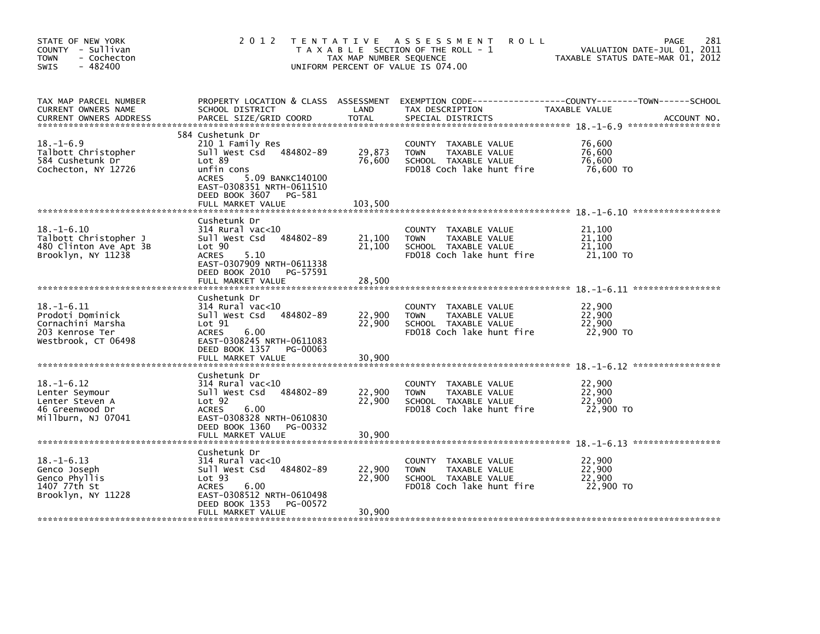| STATE OF NEW YORK<br>COUNTY - Sullivan<br><b>TOWN</b><br>- Cochecton<br>$-482400$<br><b>SWIS</b>    | 2 0 1 2                                                                                                                                                                                                   | TAX MAP NUMBER SEQUENCE     | <b>ROLL</b><br>TENTATIVE ASSESSMENT<br>T A X A B L E SECTION OF THE ROLL - 1<br>UNIFORM PERCENT OF VALUE IS 074.00  | 281<br>PAGE<br>VALUATION DATE-JUL 01, 2011<br>TAXABLE STATUS DATE-MAR 01, 2012 |
|-----------------------------------------------------------------------------------------------------|-----------------------------------------------------------------------------------------------------------------------------------------------------------------------------------------------------------|-----------------------------|---------------------------------------------------------------------------------------------------------------------|--------------------------------------------------------------------------------|
| TAX MAP PARCEL NUMBER<br>CURRENT OWNERS NAME<br><b>CURRENT OWNERS ADDRESS</b>                       | PROPERTY LOCATION & CLASS ASSESSMENT<br>SCHOOL DISTRICT<br>PARCEL SIZE/GRID COORD                                                                                                                         | LAND<br><b>TOTAL</b>        | TAX DESCRIPTION<br>SPECIAL DISTRICTS                                                                                | TAXABLE VALUE<br>ACCOUNT NO.                                                   |
| $18. - 1 - 6.9$<br>Talbott Christopher<br>584 Cushetunk Dr<br>Cochecton, NY 12726                   | 584 Cushetunk Dr<br>210 1 Family Res<br>Sull West Csd 484802-89<br>Lot 89<br>unfin cons<br><b>ACRES</b><br>5.09 BANKC140100<br>EAST-0308351 NRTH-0611510<br>DEED BOOK 3607<br>PG-581<br>FULL MARKET VALUE | 29,873<br>76,600<br>103,500 | COUNTY<br>TAXABLE VALUE<br>TAXABLE VALUE<br><b>TOWN</b><br>SCHOOL TAXABLE VALUE<br>FD018 Coch lake hunt fire        | 76,600<br>76,600<br>76,600<br>76,600 TO                                        |
|                                                                                                     | Cushetunk Dr                                                                                                                                                                                              |                             |                                                                                                                     |                                                                                |
| $18. - 1 - 6.10$<br>Talbott Christopher J<br>480 Clinton Ave Apt 3B<br>Brooklyn, NY 11238           | 314 Rural vac<10<br>484802-89<br>Sull West Csd<br>Lot 90<br><b>ACRES</b><br>5.10<br>EAST-0307909 NRTH-0611338<br>DEED BOOK 2010<br>PG-57591                                                               | 21,100<br>21,100            | TAXABLE VALUE<br><b>COUNTY</b><br><b>TOWN</b><br>TAXABLE VALUE<br>SCHOOL TAXABLE VALUE<br>FD018 Coch lake hunt fire | 21.100<br>21,100<br>21,100<br>21,100 TO                                        |
|                                                                                                     | FULL MARKET VALUE                                                                                                                                                                                         | 28,500                      |                                                                                                                     |                                                                                |
| $18. - 1 - 6.11$<br>Prodoti Dominick<br>Cornachini Marsha<br>203 Kenrose Ter<br>Westbrook, CT 06498 | Cushetunk Dr<br>314 Rural vac<10<br>484802-89<br>Sull West Csd<br>Lot 91<br><b>ACRES</b><br>6.00<br>EAST-0308245 NRTH-0611083<br>DEED BOOK 1357<br>PG-00063                                               | 22,900<br>22,900            | <b>COUNTY</b><br>TAXABLE VALUE<br><b>TOWN</b><br>TAXABLE VALUE<br>SCHOOL TAXABLE VALUE<br>FD018 Coch lake hunt fire | 22,900<br>22,900<br>22,900<br>22,900 TO                                        |
|                                                                                                     | FULL MARKET VALUE                                                                                                                                                                                         | 30,900                      |                                                                                                                     |                                                                                |
| $18. - 1 - 6.12$<br>Lenter Seymour<br>Lenter Steven A<br>46 Greenwood Dr<br>Millburn, NJ 07041      | Cushetunk Dr<br>314 Rural vac<10<br>484802-89<br>Sull West Csd<br>Lot <sub>92</sub><br><b>ACRES</b><br>6.00<br>EAST-0308328 NRTH-0610830<br>DEED BOOK 1360<br>PG-00332                                    | 22,900<br>22,900            | <b>COUNTY</b><br>TAXABLE VALUE<br>TAXABLE VALUE<br><b>TOWN</b><br>SCHOOL TAXABLE VALUE<br>FD018 Coch lake hunt fire | 22,900<br>22,900<br>22,900<br>22,900 TO                                        |
|                                                                                                     | FULL MARKET VALUE                                                                                                                                                                                         | 30,900                      |                                                                                                                     |                                                                                |
| $18. -1 - 6.13$<br>Genco Joseph<br>Genco Phyllis<br>1407 77th St<br>Brooklyn, NY 11228              | Cushetunk Dr<br>$314$ Rural vac< $10$<br>484802-89<br>Sull West Csd<br>Lot <sub>93</sub><br>6.00<br><b>ACRES</b><br>EAST-0308512 NRTH-0610498<br>DEED BOOK 1353<br>PG-00572                               | 22,900<br>22,900            | <b>COUNTY</b><br>TAXABLE VALUE<br><b>TOWN</b><br>TAXABLE VALUE<br>SCHOOL TAXABLE VALUE<br>FD018 Coch lake hunt fire | 22,900<br>22,900<br>22,900<br>22,900 TO                                        |
|                                                                                                     | FULL MARKET VALUE                                                                                                                                                                                         | 30,900                      |                                                                                                                     |                                                                                |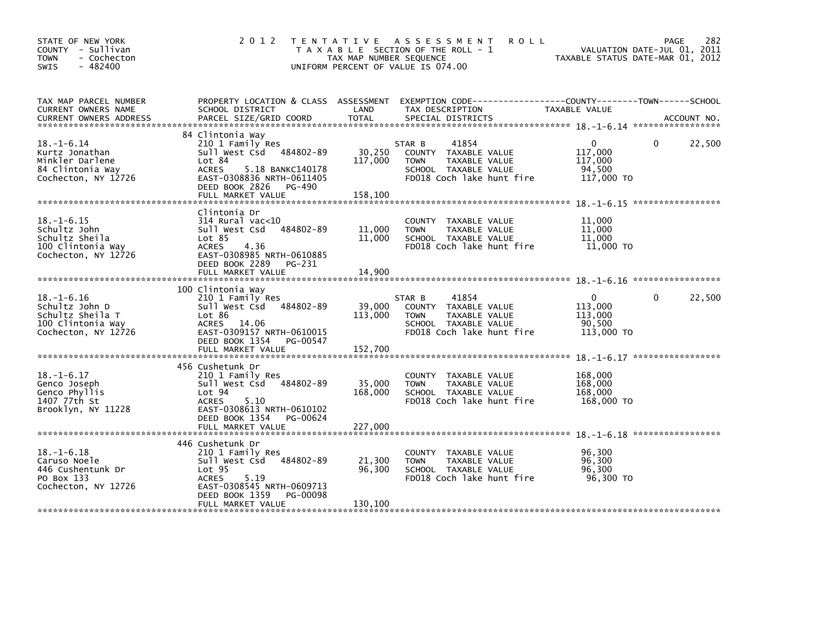| STATE OF NEW YORK<br>COUNTY - Sullivan<br>- Cochecton<br><b>TOWN</b><br>$-482400$<br><b>SWIS</b>   | 2 0 1 2                                                                                                                                                                                         | T E N T A T I V E<br>TAX MAP NUMBER SEQUENCE | A S S E S S M E N T<br><b>ROLL</b><br>T A X A B L E SECTION OF THE ROLL - 1<br>UNIFORM PERCENT OF VALUE IS 074.00            | TAXABLE STATUS DATE-MAR 01, 2012                | 282<br><b>PAGE</b><br>VALUATION DATE-JUL 01, 2011 |
|----------------------------------------------------------------------------------------------------|-------------------------------------------------------------------------------------------------------------------------------------------------------------------------------------------------|----------------------------------------------|------------------------------------------------------------------------------------------------------------------------------|-------------------------------------------------|---------------------------------------------------|
| TAX MAP PARCEL NUMBER<br>CURRENT OWNERS NAME                                                       | PROPERTY LOCATION & CLASS ASSESSMENT<br>SCHOOL DISTRICT                                                                                                                                         | LAND                                         | EXEMPTION        CODE------------------COUNTY-------TOWN------SCHOOL<br>TAX DESCRIPTION                                      | TAXABLE VALUE                                   |                                                   |
| $18. - 1 - 6.14$<br>Kurtz Jonathan<br>Minkler Darlene<br>84 Clintonia Way<br>Cochecton, NY 12726   | 84 Clintonia Way<br>210 1 Family Res<br>Sull West Csd<br>484802-89<br>Lot 84<br><b>ACRES</b><br>5.18 BANKC140178<br>EAST-0308836 NRTH-0611405<br>DEED BOOK 2826<br>PG-490<br>FULL MARKET VALUE  | 30,250<br>117,000<br>158,100                 | STAR B<br>41854<br>COUNTY TAXABLE VALUE<br><b>TOWN</b><br>TAXABLE VALUE<br>SCHOOL TAXABLE VALUE<br>FD018 Coch lake hunt fire | 0<br>117,000<br>117,000<br>94,500<br>117,000 TO | 22,500<br>0                                       |
| $18. - 1 - 6.15$<br>Schultz John<br>Schultz Sheila<br>100 Clintonia Way<br>Cochecton, NY 12726     | Clintonia Dr<br>$314$ Rural vac<10<br>Sull West Csd<br>484802-89<br>Lot 85<br>4.36<br><b>ACRES</b><br>EAST-0308985 NRTH-0610885<br>DEED BOOK 2289 PG-231<br>FULL MARKET VALUE                   | 11,000<br>11,000<br>14,900                   | TAXABLE VALUE<br>COUNTY<br><b>TOWN</b><br>TAXABLE VALUE<br>SCHOOL TAXABLE VALUE<br>FD018 Coch lake hunt fire                 | 11,000<br>11,000<br>11,000<br>11,000 TO         |                                                   |
| $18. - 1 - 6.16$<br>Schultz John D<br>Schultz Sheila T<br>100 Clintonia Way<br>Cochecton, NY 12726 | 100 Clintonia Way<br>210 1 Family Res<br>484802-89<br>Sull West Csd<br>Lot 86<br>ACRES 14.06<br>EAST-0309157 NRTH-0610015<br>DEED BOOK 1354 PG-00547<br>FULL MARKET VALUE                       | 39,000<br>113,000<br>152,700                 | STAR B<br>41854<br>COUNTY TAXABLE VALUE<br>TAXABLE VALUE<br><b>TOWN</b><br>SCHOOL TAXABLE VALUE<br>FD018 Coch lake hunt fire | 0<br>113,000<br>113,000<br>90.500<br>113,000 TO | 22,500<br>$\mathbf{0}$                            |
| $18. - 1 - 6.17$<br>Genco Joseph<br>Genco Phyllis<br>1407 77th St<br>Brooklyn, NY 11228            | 456 Cushetunk Dr<br>210 1 Family Res<br>484802-89<br>Sull West Csd<br>Lot 94<br><b>ACRES</b><br>5.10<br>EAST-0308613 NRTH-0610102<br>DEED BOOK 1354<br>PG-00624                                 | 35,000<br>168,000                            | TAXABLE VALUE<br>COUNTY<br>TAXABLE VALUE<br><b>TOWN</b><br>SCHOOL TAXABLE VALUE<br>FD018 Coch lake hunt fire                 | 168,000<br>168,000<br>168,000<br>168,000 TO     |                                                   |
| $18. - 1 - 6.18$<br>Caruso Noele<br>446 Cushentunk Dr<br>PO Box 133<br>Cochecton, NY 12726         | 446 Cushetunk Dr<br>210 1 Family Res<br>484802-89<br>Sull West Csd<br>Lot <sub>95</sub><br><b>ACRES</b><br>5.19<br>EAST-0308545 NRTH-0609713<br>DEED BOOK 1359<br>PG-00098<br>FULL MARKET VALUE | 21,300<br>96,300<br>130,100                  | <b>COUNTY</b><br>TAXABLE VALUE<br><b>TOWN</b><br>TAXABLE VALUE<br>SCHOOL TAXABLE VALUE<br>FD018 Coch lake hunt fire          | 96,300<br>96,300<br>96,300<br>96,300 TO         |                                                   |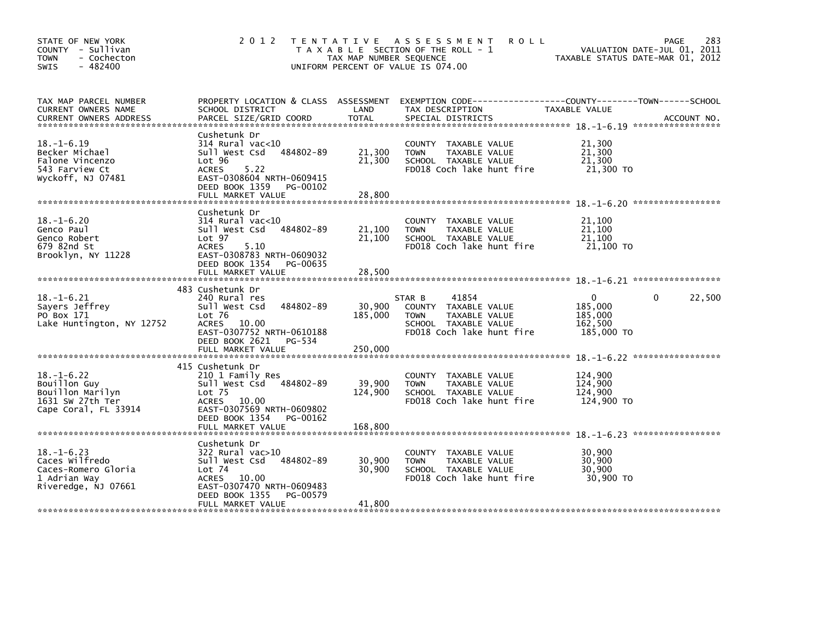| STATE OF NEW YORK<br>COUNTY - Sullivan<br><b>TOWN</b><br>- Cochecton<br>$-482400$<br><b>SWIS</b> | 2 0 1 2                                                                                                                                                                       | TAX MAP NUMBER SEQUENCE    | TENTATIVE ASSESSMENT<br><b>ROLL</b><br>T A X A B L E SECTION OF THE ROLL - 1<br>UNIFORM PERCENT OF VALUE IS 074.00           | VALUATION DATE-JUL 01, 2011<br>TAXABLE STATUS DATE-MAR 01, 2012     | 283<br>PAGE |
|--------------------------------------------------------------------------------------------------|-------------------------------------------------------------------------------------------------------------------------------------------------------------------------------|----------------------------|------------------------------------------------------------------------------------------------------------------------------|---------------------------------------------------------------------|-------------|
| TAX MAP PARCEL NUMBER<br>CURRENT OWNERS NAME                                                     | PROPERTY LOCATION & CLASS ASSESSMENT<br>SCHOOL DISTRICT                                                                                                                       | LAND                       | TAX DESCRIPTION                                                                                                              | TAXABLE VALUE                                                       |             |
| $18. - 1 - 6.19$<br>Becker Michael<br>Falone Vincenzo<br>543 Farview Ct<br>Wyckoff, NJ 07481     | Cushetunk Dr<br>314 Rural vac<10<br>Sull West Csd<br>484802-89<br>Lot 96<br><b>ACRES</b><br>5.22<br>EAST-0308604 NRTH-0609415<br>DEED BOOK 1359 PG-00102<br>FULL MARKET VALUE | 21,300<br>21,300<br>28,800 | COUNTY TAXABLE VALUE<br><b>TOWN</b><br>TAXABLE VALUE<br>SCHOOL TAXABLE VALUE<br>FD018 Coch lake hunt fire                    | 21,300<br>21,300<br>21,300<br>21,300 TO                             |             |
| $18. - 1 - 6.20$<br>Genco Paul<br>Genco Robert<br>679 82nd St<br>Brooklyn, NY 11228              | Cushetunk Dr<br>314 Rural vac<10<br>484802-89<br>Sull West Csd<br>Lot <sub>97</sub><br><b>ACRES</b><br>5.10<br>EAST-0308783 NRTH-0609032                                      | 21,100<br>21,100           | COUNTY TAXABLE VALUE<br><b>TOWN</b><br>TAXABLE VALUE<br>SCHOOL TAXABLE VALUE<br>FD018 Coch lake hunt fire                    | 21,100<br>21,100<br>21,100<br>21,100 TO                             |             |
|                                                                                                  | DEED BOOK 1354 PG-00635<br>FULL MARKET VALUE                                                                                                                                  | 28,500                     |                                                                                                                              |                                                                     |             |
| $18. - 1 - 6.21$<br>Sayers Jeffrey<br>PO Box 171<br>Lake Huntington, NY 12752                    | 483 Cushetunk Dr<br>240 Rural res<br>484802-89<br>Sull West Csd<br>Lot 76<br>10.00<br>ACRES<br>EAST-0307752 NRTH-0610188<br>DEED BOOK 2621<br>PG-534                          | 30,900<br>185,000          | 41854<br>STAR B<br>COUNTY TAXABLE VALUE<br>TAXABLE VALUE<br><b>TOWN</b><br>SCHOOL TAXABLE VALUE<br>FD018 Coch lake hunt fire | $\Omega$<br>$\Omega$<br>185,000<br>185,000<br>162,500<br>185,000 TO | 22,500      |
|                                                                                                  | FULL MARKET VALUE                                                                                                                                                             | 250,000                    |                                                                                                                              |                                                                     |             |
| $18. - 1 - 6.22$<br>Bouillon Guy<br>Bouillon Marilyn<br>1631 SW 27th Ter<br>Cape Coral, FL 33914 | 415 Cushetunk Dr<br>210 1 Family Res<br>Sull West Csd<br>484802-89<br>Lot <sub>75</sub><br>ACRES 10.00<br>EAST-0307569 NRTH-0609802<br>DEED BOOK 1354<br>PG-00162             | 39,900<br>124,900          | <b>COUNTY</b><br>TAXABLE VALUE<br><b>TOWN</b><br>TAXABLE VALUE<br>SCHOOL TAXABLE VALUE<br>FD018 Coch lake hunt fire          | 124,900<br>124,900<br>124,900<br>124,900 TO                         |             |
|                                                                                                  |                                                                                                                                                                               |                            |                                                                                                                              |                                                                     |             |
| $18. - 1 - 6.23$<br>Caces Wilfredo<br>Caces-Romero Gloria<br>1 Adrian Way<br>Riveredge, NJ 07661 | Cushetunk Dr<br>322 Rural vac>10<br>484802-89<br>Sull West Csd<br>Lot 74<br>ACRES 10.00<br>EAST-0307470 NRTH-0609483<br>DEED BOOK 1355<br>PG-00579                            | 30,900<br>30,900           | COUNTY TAXABLE VALUE<br>TAXABLE VALUE<br><b>TOWN</b><br>SCHOOL TAXABLE VALUE<br>FD018 Coch lake hunt fire                    | 30,900<br>30,900<br>30,900<br>30,900 TO                             |             |
|                                                                                                  | FULL MARKET VALUE                                                                                                                                                             | 41,800                     |                                                                                                                              |                                                                     |             |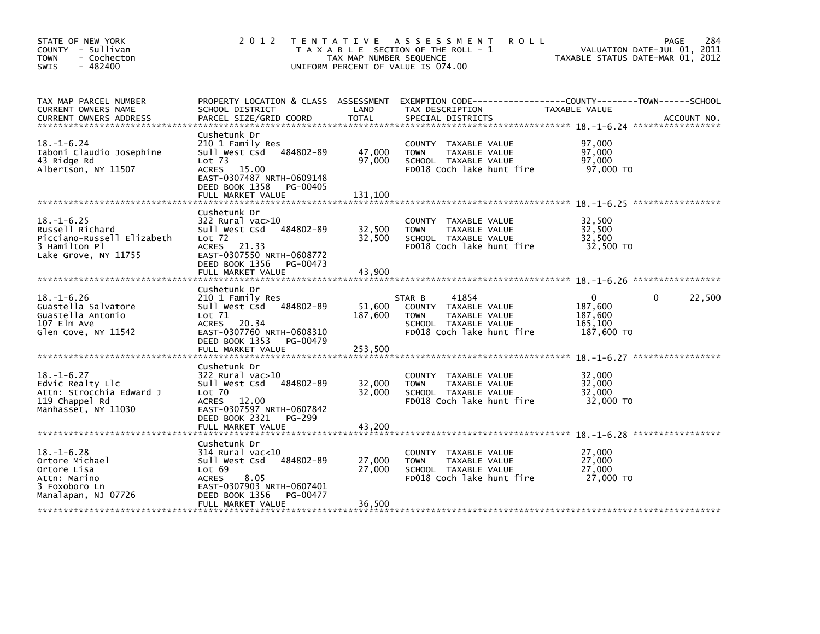| STATE OF NEW YORK<br>COUNTY - Sullivan<br><b>TOWN</b><br>- Cochecton<br>$-482400$<br><b>SWIS</b>           | 2 0 1 2                                                                                                                                                                            | TAX MAP NUMBER SEQUENCE      | TENTATIVE ASSESSMENT<br><b>ROLL</b><br>T A X A B L E SECTION OF THE ROLL - 1<br>UNIFORM PERCENT OF VALUE IS 074.00           | VALUATION DATE-JUL 01, 2011<br>TAXABLE STATUS DATE-MAR 01, 2012 | 284<br><b>PAGE</b> |
|------------------------------------------------------------------------------------------------------------|------------------------------------------------------------------------------------------------------------------------------------------------------------------------------------|------------------------------|------------------------------------------------------------------------------------------------------------------------------|-----------------------------------------------------------------|--------------------|
| TAX MAP PARCEL NUMBER<br>CURRENT OWNERS NAME                                                               | PROPERTY LOCATION & CLASS ASSESSMENT<br>SCHOOL DISTRICT                                                                                                                            | LAND                         | EXEMPTION CODE-----------------COUNTY-------TOWN------SCHOOL<br>TAX DESCRIPTION                                              | TAXABLE VALUE                                                   |                    |
| $18. - 1 - 6.24$<br>Iaboni Claudio Josephine<br>43 Ridge Rd<br>Albertson, NY 11507                         | Cushetunk Dr<br>210 1 Family Res<br>Sull West Csd<br>484802-89<br>Lot <sub>73</sub><br>ACRES 15.00<br>EAST-0307487 NRTH-0609148<br>DEED BOOK 1358<br>PG-00405<br>FULL MARKET VALUE | 47,000<br>97,000<br>131,100  | COUNTY TAXABLE VALUE<br><b>TOWN</b><br>TAXABLE VALUE<br>SCHOOL TAXABLE VALUE<br>FD018 Coch lake hunt fire                    | 97,000<br>97.000<br>97,000<br>97,000 TO                         |                    |
| $18. - 1 - 6.25$<br>Russell Richard<br>Picciano-Russell Elizabeth<br>3 Hamilton Pl<br>Lake Grove, NY 11755 | Cushetunk Dr<br>322 Rural vac>10<br>484802-89<br>Sull West Csd<br>Lot 72<br>ACRES 21.33<br>EAST-0307550 NRTH-0608772<br>DEED BOOK 1356<br>PG-00473<br>FULL MARKET VALUE            | 32,500<br>32,500<br>43,900   | COUNTY TAXABLE VALUE<br>TAXABLE VALUE<br><b>TOWN</b><br>SCHOOL TAXABLE VALUE<br>FD018 Coch lake hunt fire                    | 32,500<br>32,500<br>32,500<br>32,500 TO                         |                    |
| $18. - 1 - 6.26$<br>Guastella Salvatore<br>Guastella Antonio<br>107 Elm Ave<br>Glen Cove, NY 11542         | Cushetunk Dr<br>210 1 Family Res<br>Sull West Csd<br>484802-89<br>Lot 71<br>ACRES 20.34<br>EAST-0307760 NRTH-0608310<br>DEED BOOK 1353<br>PG-00479<br>FULL MARKET VALUE            | 51,600<br>187,600<br>253,500 | 41854<br>STAR B<br>COUNTY TAXABLE VALUE<br>TAXABLE VALUE<br><b>TOWN</b><br>SCHOOL TAXABLE VALUE<br>FD018 Coch lake hunt fire | $\Omega$<br>187,600<br>187,600<br>165,100<br>187,600 TO         | 22,500<br>$\Omega$ |
| $18. - 1 - 6.27$<br>Edvic Realty Llc<br>Attn: Strocchia Edward J<br>119 Chappel Rd<br>Manhasset, NY 11030  | Cushetunk Dr<br>$322$ Rural vac $>10$<br>Sull West Csd<br>484802-89<br>$Lot$ $70$<br>ACRES 12.00<br>EAST-0307597 NRTH-0607842<br>DEED BOOK 2321<br>PG-299                          | 32,000<br>32,000             | COUNTY<br>TAXABLE VALUE<br><b>TOWN</b><br>TAXABLE VALUE<br>SCHOOL TAXABLE VALUE<br>FD018 Coch lake hunt fire                 | 32,000<br>32,000<br>32,000<br>32,000 TO                         |                    |
| $18. - 1 - 6.28$<br>Ortore Michael<br>Ortore Lisa<br>Attn: Marino<br>3 Foxoboro Ln<br>Manalapan, NJ 07726  | Cushetunk Dr<br>$314$ Rural vac<10<br>484802-89<br>Sull West Csd<br>Lot 69<br>8.05<br><b>ACRES</b><br>EAST-0307903 NRTH-0607401<br>DEED BOOK 1356<br>PG-00477<br>FULL MARKET VALUE | 27,000<br>27,000<br>36,500   | <b>COUNTY</b><br>TAXABLE VALUE<br>TAXABLE VALUE<br><b>TOWN</b><br>SCHOOL TAXABLE VALUE<br>FD018 Coch lake hunt fire          | 27,000<br>27,000<br>27,000<br>27,000 TO                         |                    |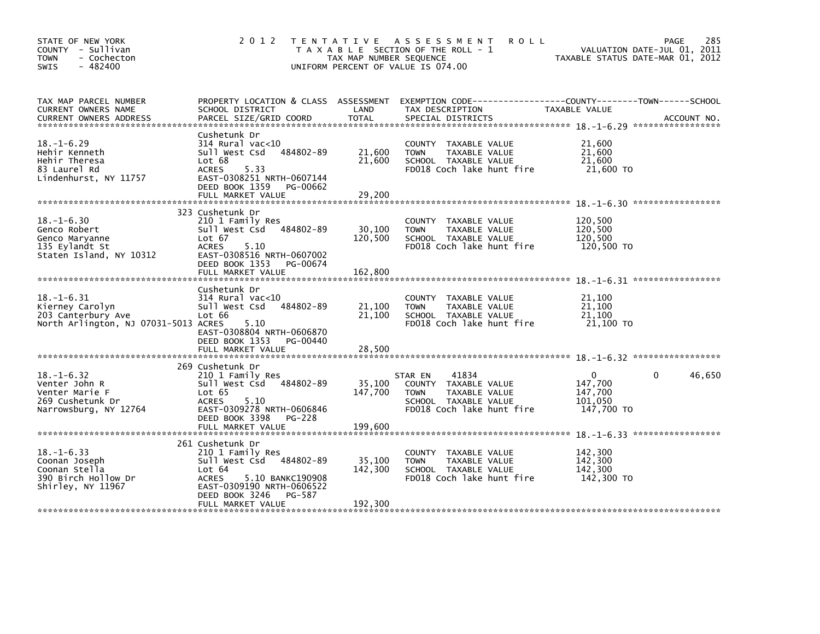| STATE OF NEW YORK<br>COUNTY - Sullivan<br><b>TOWN</b><br>- Cochecton<br>$-482400$<br><b>SWIS</b>  | 2 0 1 2                                                                                                                                                                | TAX MAP NUMBER SEQUENCE | TENTATIVE ASSESSMENT<br><b>ROLL</b><br>T A X A B L E SECTION OF THE ROLL - 1<br>UNIFORM PERCENT OF VALUE IS 074.00            | 285<br>PAGE<br>VALUATION DATE-JUL 01, 2011<br>TAXABLE STATUS DATE-MAR 01, 2012               |
|---------------------------------------------------------------------------------------------------|------------------------------------------------------------------------------------------------------------------------------------------------------------------------|-------------------------|-------------------------------------------------------------------------------------------------------------------------------|----------------------------------------------------------------------------------------------|
| TAX MAP PARCEL NUMBER<br>CURRENT OWNERS NAME<br>CURRENT OWNERS ADDRESS                            | PROPERTY LOCATION & CLASS ASSESSMENT<br>SCHOOL DISTRICT<br>PARCEL SIZE/GRID COORD                                                                                      | LAND<br>TOTAL           | TAX DESCRIPTION<br>SPECIAL DISTRICTS                                                                                          | EXEMPTION CODE-----------------COUNTY-------TOWN------SCHOOL<br>TAXABLE VALUE<br>ACCOUNT NO. |
| $18. - 1 - 6.29$<br>Hehir Kenneth<br>Hehir Theresa<br>83 Laurel Rd<br>Lindenhurst, NY 11757       | Cushetunk Dr<br>$314$ Rural vac< $10$<br>484802-89<br>Sull West Csd<br>Lot 68<br><b>ACRES</b><br>5.33<br>EAST-0308251 NRTH-0607144<br>DEED BOOK 1359 PG-00662          | 21,600<br>21,600        | COUNTY TAXABLE VALUE<br><b>TOWN</b><br>TAXABLE VALUE<br>SCHOOL TAXABLE VALUE<br>FD018 Coch lake hunt fire                     | 21,600<br>21,600<br>21,600<br>21,600 TO                                                      |
|                                                                                                   | FULL MARKET VALUE                                                                                                                                                      | 29,200                  |                                                                                                                               |                                                                                              |
| $18. - 1 - 6.30$<br>Genco Robert<br>Genco Maryanne<br>135 Eylandt St<br>Staten Island, NY 10312   | 323 Cushetunk Dr<br>210 1 Family Res<br>484802-89<br>Sull West Csd<br>Lot 67<br><b>ACRES</b><br>5.10<br>EAST-0308516 NRTH-0607002                                      | 30,100<br>120,500       | COUNTY TAXABLE VALUE<br><b>TOWN</b><br>TAXABLE VALUE<br>SCHOOL TAXABLE VALUE<br>FD018 Coch lake hunt fire                     | 120,500<br>120,500<br>120,500<br>120,500 TO                                                  |
|                                                                                                   | DEED BOOK 1353 PG-00674<br>FULL MARKET VALUE                                                                                                                           | 162,800                 |                                                                                                                               |                                                                                              |
| $18. - 1 - 6.31$<br>Kierney Carolyn<br>203 Canterbury Ave<br>North Arlington, NJ 07031-5013 ACRES | Cushetunk Dr<br>$314$ Rural vac<10<br>484802-89<br>Sull West Csd<br>Lot 66<br>5.10<br>EAST-0308804 NRTH-0606870<br>DEED BOOK 1353 PG-00440                             | 21,100<br>21,100        | COUNTY TAXABLE VALUE<br>TAXABLE VALUE<br><b>TOWN</b><br>SCHOOL TAXABLE VALUE<br>FD018 Coch lake hunt fire                     | 21,100<br>21,100<br>21,100<br>21.100 TO                                                      |
|                                                                                                   | FULL MARKET VALUE                                                                                                                                                      | 28,500                  |                                                                                                                               |                                                                                              |
| $18. - 1 - 6.32$<br>Venter John R<br>Venter Marie F<br>269 Cushetunk Dr<br>Narrowsburg, NY 12764  | 269 Cushetunk Dr<br>210 1 Family Res<br>Sull West Csd 484802-89<br>Lot 65<br><b>ACRES</b><br>5.10<br>EAST-0309278 NRTH-0606846<br>DEED BOOK 3398<br>PG-228             | 35,100<br>147,700       | 41834<br>STAR EN<br>COUNTY TAXABLE VALUE<br>TAXABLE VALUE<br><b>TOWN</b><br>SCHOOL TAXABLE VALUE<br>FD018 Coch lake hunt fire | 46,650<br>$\Omega$<br>$\Omega$<br>147,700<br>147,700<br>101,050<br>147,700 TO                |
|                                                                                                   | FULL MARKET VALUE                                                                                                                                                      | 199,600                 |                                                                                                                               |                                                                                              |
| $18. - 1 - 6.33$<br>Coonan Joseph<br>Coonan Stella<br>390 Birch Hollow Dr<br>Shirley, NY 11967    | 261 Cushetunk Dr<br>210 1 Family Res<br>Sull West Csd 484802-89<br>Lot 64<br>5.10 BANKC190908<br><b>ACRES</b><br>EAST-0309190 NRTH-0606522<br>DEED BOOK 3246<br>PG-587 | 35,100<br>142,300       | COUNTY<br>TAXABLE VALUE<br>TAXABLE VALUE<br><b>TOWN</b><br>SCHOOL TAXABLE VALUE<br>FD018 Coch lake hunt fire                  | 142,300<br>142,300<br>142,300<br>142,300 TO                                                  |
|                                                                                                   | FULL MARKET VALUE                                                                                                                                                      | 192,300                 |                                                                                                                               |                                                                                              |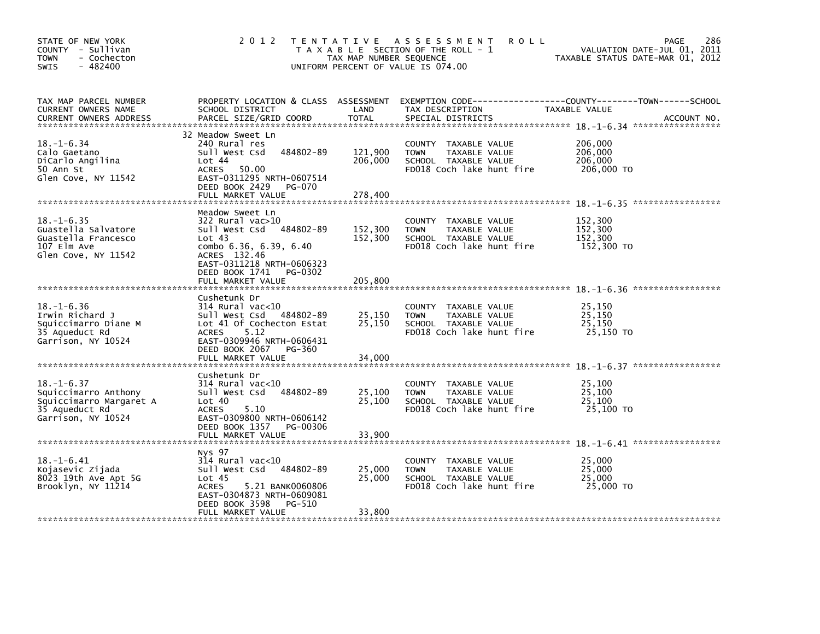| STATE OF NEW YORK<br>COUNTY - Sullivan<br>- Cochecton<br><b>TOWN</b><br>$-482400$<br>SWIS                   | 2 0 1 2                                                                                                                                                                                           | T E N T A T I V E<br>TAX MAP NUMBER SEQUENCE | A S S E S S M E N T<br><b>ROLL</b><br>T A X A B L E SECTION OF THE ROLL - 1<br>UNIFORM PERCENT OF VALUE IS 074.00   | 286<br><b>PAGE</b><br>VALUATION DATE-JUL 01, 2011<br>TAXABLE STATUS DATE-MAR 01, 2012          |
|-------------------------------------------------------------------------------------------------------------|---------------------------------------------------------------------------------------------------------------------------------------------------------------------------------------------------|----------------------------------------------|---------------------------------------------------------------------------------------------------------------------|------------------------------------------------------------------------------------------------|
| TAX MAP PARCEL NUMBER<br>CURRENT OWNERS NAME<br><b>CURRENT OWNERS ADDRESS</b>                               | PROPERTY LOCATION & CLASS ASSESSMENT<br>SCHOOL DISTRICT<br>PARCEL SIZE/GRID COORD                                                                                                                 | LAND<br><b>TOTAL</b>                         | TAX DESCRIPTION<br>SPECIAL DISTRICTS                                                                                | EXEMPTION CODE------------------COUNTY--------TOWN------SCHOOL<br>TAXABLE VALUE<br>ACCOUNT NO. |
| $18. - 1 - 6.34$<br>Calo Gaetano<br>DiCarlo Angilina<br>50 Ann St<br>Glen Cove, NY 11542                    | 32 Meadow Sweet Ln<br>240 Rural res<br>484802-89<br>Sull West Csd<br>Lot 44<br>ACRES<br>50.00<br>EAST-0311295 NRTH-0607514<br>DEED BOOK 2429<br>PG-070<br>FULL MARKET VALUE                       | 121,900<br>206,000<br>278,400                | COUNTY TAXABLE VALUE<br>TAXABLE VALUE<br><b>TOWN</b><br>SCHOOL TAXABLE VALUE<br>FD018 Coch lake hunt fire           | 206,000<br>206,000<br>206,000<br>206,000 TO                                                    |
| $18. - 1 - 6.35$<br>Guastella Salvatore<br>Guastella Francesco<br>107 Elm Ave<br>Glen Cove, NY 11542        | Meadow Sweet Ln<br>322 Rural vac>10<br>Sull West Csd 484802-89<br>Lot 43<br>combo 6.36, 6.39, 6.40<br>ACRES 132.46<br>EAST-0311218 NRTH-0606323<br>DEED BOOK 1741<br>PG-0302<br>FULL MARKET VALUE | 152,300<br>152,300<br>205,800                | COUNTY TAXABLE VALUE<br><b>TOWN</b><br>TAXABLE VALUE<br>SCHOOL TAXABLE VALUE<br>FD018 Coch lake hunt fire           | 152,300<br>152,300<br>152,300<br>152,300 TO                                                    |
| $18. - 1 - 6.36$<br>Irwin Richard J<br>Squiccimarro Diane M<br>35 Aqueduct Rd<br>Garrison, NY 10524         | Cushetunk Dr<br>314 Rural vac<10<br>Sull West Csd 484802-89<br>Lot 41 Of Cochecton Estat<br>5.12<br><b>ACRES</b><br>EAST-0309946 NRTH-0606431<br>DEED BOOK 2067<br>PG-360<br>FULL MARKET VALUE    | 25,150<br>25,150<br>34,000                   | TAXABLE VALUE<br><b>COUNTY</b><br>TAXABLE VALUE<br><b>TOWN</b><br>SCHOOL TAXABLE VALUE<br>FD018 Coch lake hunt fire | 25,150<br>25,150<br>25.150<br>25,150 TO                                                        |
| $18. - 1 - 6.37$<br>Squiccimarro Anthony<br>Squiccimarro Margaret A<br>35 Aqueduct Rd<br>Garrison, NY 10524 | Cushetunk Dr<br>314 Rural vac<10<br>484802-89<br>Sull West Csd<br>Lot 40<br>5.10<br><b>ACRES</b><br>EAST-0309800 NRTH-0606142<br>DEED BOOK 1357<br>PG-00306<br>FULL MARKET VALUE                  | 25,100<br>25,100<br>33,900                   | <b>COUNTY</b><br>TAXABLE VALUE<br><b>TOWN</b><br>TAXABLE VALUE<br>SCHOOL TAXABLE VALUE<br>FD018 Coch lake hunt fire | 25,100<br>25,100<br>25,100<br>25,100 TO                                                        |
| $18. - 1 - 6.41$<br>Kojasevic Zijada<br>8023 19th Ave Apt 5G<br>Brooklyn, NY 11214                          | Nys 97<br>$314$ Rural vac<10<br>484802-89<br>Sull West Csd<br>Lot <sub>45</sub><br><b>ACRES</b><br>5.21 BANK0060806<br>EAST-0304873 NRTH-0609081<br>DEED BOOK 3598<br>PG-510<br>FULL MARKET VALUE | 25,000<br>25,000<br>33,800                   | COUNTY<br>TAXABLE VALUE<br><b>TOWN</b><br>TAXABLE VALUE<br>SCHOOL TAXABLE VALUE<br>FD018 Coch lake hunt fire        | 25,000<br>25,000<br>25,000<br>25,000 TO                                                        |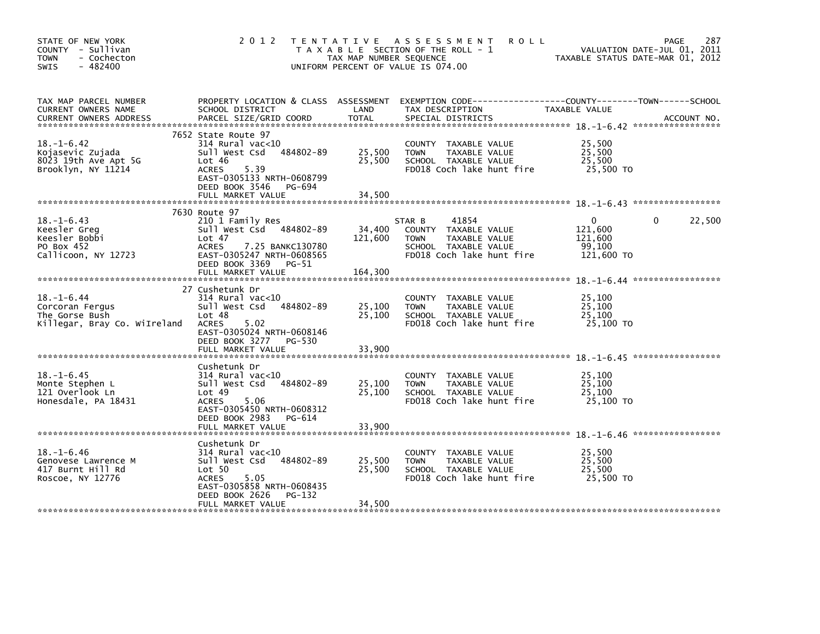| STATE OF NEW YORK<br>COUNTY - Sullivan<br><b>TOWN</b><br>- Cochecton<br>$-482400$<br>SWIS | 2 0 1 2                                                                                                                                                                                 | TAX MAP NUMBER SEQUENCE    | TENTATIVE ASSESSMENT<br><b>ROLL</b><br>T A X A B L E SECTION OF THE ROLL - 1<br>UNIFORM PERCENT OF VALUE IS 074.00           | VALUATION DATE-JUL 01, 2011<br>TAXABLE STATUS DATE-MAR 01, 2012 | 287<br><b>PAGE</b>     |
|-------------------------------------------------------------------------------------------|-----------------------------------------------------------------------------------------------------------------------------------------------------------------------------------------|----------------------------|------------------------------------------------------------------------------------------------------------------------------|-----------------------------------------------------------------|------------------------|
| TAX MAP PARCEL NUMBER<br>CURRENT OWNERS NAME<br><b>CURRENT OWNERS ADDRESS</b>             | PROPERTY LOCATION & CLASS ASSESSMENT<br>SCHOOL DISTRICT<br>PARCEL SIZE/GRID COORD                                                                                                       | LAND<br><b>TOTAL</b>       | EXEMPTION CODE-----------------COUNTY-------TOWN------SCHOOL<br>TAX DESCRIPTION<br>SPECIAL DISTRICTS                         | TAXABLE VALUE                                                   | ACCOUNT NO.            |
| $18. - 1 - 6.42$<br>Kojasevic Zujada<br>8023 19th Ave Apt 5G<br>Brooklyn, NY 11214        | 7652 State Route 97<br>$314$ Rural vac<10<br>484802-89<br>Sull West Csd<br>Lot 46<br><b>ACRES</b><br>5.39<br>EAST-0305133 NRTH-0608799<br>DEED BOOK 3546<br>PG-694<br>FULL MARKET VALUE | 25,500<br>25,500<br>34,500 | COUNTY TAXABLE VALUE<br><b>TOWN</b><br>TAXABLE VALUE<br>SCHOOL TAXABLE VALUE<br>FD018 Coch lake hunt fire                    | 25,500<br>25.500<br>25,500<br>25,500 TO                         |                        |
|                                                                                           |                                                                                                                                                                                         |                            |                                                                                                                              |                                                                 |                        |
| $18. - 1 - 6.43$<br>Keesler Grea<br>Keesler Bobbi<br>PO Box 452<br>Callicoon, NY 12723    | 7630 Route 97<br>210 1 Family Res<br>Sull West Csd 484802-89<br>Lot 47<br><b>ACRES</b><br>7.25 BANKC130780<br>EAST-0305247 NRTH-0608565                                                 | 34,400<br>121,600          | 41854<br>STAR B<br>COUNTY TAXABLE VALUE<br>TAXABLE VALUE<br><b>TOWN</b><br>SCHOOL TAXABLE VALUE<br>FD018 Coch lake hunt fire | $\mathbf{0}$<br>121,600<br>121,600<br>99,100<br>121,600 TO      | 22,500<br>$\mathbf{0}$ |
|                                                                                           | DEED BOOK 3369 PG-51<br>FULL MARKET VALUE                                                                                                                                               | 164,300                    |                                                                                                                              |                                                                 |                        |
| $18. - 1 - 6.44$<br>Corcoran Fergus<br>The Gorse Bush<br>Killegar, Bray Co. WiIreland     | 27 Cushetunk Dr<br>$314$ Rural vac< $10$<br>484802-89<br>Sull West Csd<br>Lot 48<br><b>ACRES</b><br>5.02<br>EAST-0305024 NRTH-0608146<br>DEED BOOK 3277 PG-530                          | 25,100<br>25,100           | COUNTY TAXABLE VALUE<br>TAXABLE VALUE<br><b>TOWN</b><br>SCHOOL TAXABLE VALUE<br>FD018 Coch lake hunt fire                    | 25,100<br>25,100<br>25,100<br>25,100 TO                         |                        |
|                                                                                           | FULL MARKET VALUE                                                                                                                                                                       | 33,900                     |                                                                                                                              |                                                                 |                        |
| $18. - 1 - 6.45$<br>Monte Stephen L<br>121 Overlook Ln<br>Honesdale, PA 18431             | Cushetunk Dr<br>$314$ Rural vac<10<br>484802-89<br>Sull West Csd<br>Lot 49<br><b>ACRES</b><br>5.06<br>EAST-0305450 NRTH-0608312<br>DEED BOOK 2983<br>PG-614                             | 25,100<br>25,100           | COUNTY TAXABLE VALUE<br>TAXABLE VALUE<br><b>TOWN</b><br>SCHOOL TAXABLE VALUE<br>FD018 Coch lake hunt fire                    | 25,100<br>25,100<br>25,100<br>25,100 TO                         |                        |
|                                                                                           | FULL MARKET VALUE                                                                                                                                                                       | 33,900                     |                                                                                                                              |                                                                 |                        |
| $18. - 1 - 6.46$<br>Genovese Lawrence M<br>417 Burnt Hill Rd<br>Roscoe, NY 12776          | Cushetunk Dr<br>$314$ Rural vac<10<br>484802-89<br>Sull West Csd<br>Lot 50<br><b>ACRES</b><br>5.05<br>EAST-0305858 NRTH-0608435<br>DEED BOOK 2626<br>PG-132                             | 25,500<br>25,500           | COUNTY<br>TAXABLE VALUE<br>TAXABLE VALUE<br><b>TOWN</b><br>SCHOOL TAXABLE VALUE<br>FD018 Coch lake hunt fire                 | 25,500<br>25.500<br>25,500<br>25,500 TO                         |                        |
|                                                                                           | FULL MARKET VALUE                                                                                                                                                                       | 34,500                     |                                                                                                                              |                                                                 |                        |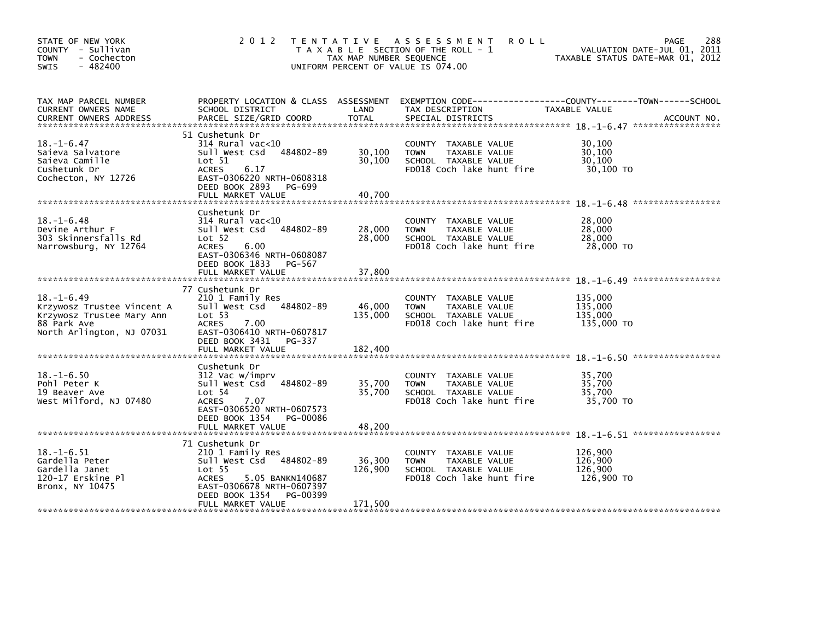| STATE OF NEW YORK<br>COUNTY - Sullivan<br>- Cochecton<br><b>TOWN</b><br>$-482400$<br><b>SWIS</b>                        | 2 0 1 2                                                                                                                                                                             | TAX MAP NUMBER SEQUENCE    | TENTATIVE ASSESSMENT<br><b>ROLL</b><br>T A X A B L E SECTION OF THE ROLL - 1<br>UNIFORM PERCENT OF VALUE IS 074.00 | 288<br>PAGE<br>VALUATION DATE-JUL 01, 2011<br>TAXABLE STATUS DATE-MAR 01, 2012  |
|-------------------------------------------------------------------------------------------------------------------------|-------------------------------------------------------------------------------------------------------------------------------------------------------------------------------------|----------------------------|--------------------------------------------------------------------------------------------------------------------|---------------------------------------------------------------------------------|
| TAX MAP PARCEL NUMBER<br>CURRENT OWNERS NAME                                                                            | PROPERTY LOCATION & CLASS ASSESSMENT<br>SCHOOL DISTRICT                                                                                                                             | LAND                       | TAX DESCRIPTION                                                                                                    | EXEMPTION CODE------------------COUNTY--------TOWN------SCHOOL<br>TAXABLE VALUE |
| $18. - 1 - 6.47$<br>Saieva Salvatore<br>Saieva Camille<br>Cushetunk Dr<br>Cochecton, NY 12726                           | 51 Cushetunk Dr<br>$314$ Rural vac< $10$<br>484802-89<br>Sull West Csd<br>Lot 51<br><b>ACRES</b><br>6.17<br>EAST-0306220 NRTH-0608318<br>DEED BOOK 2893 PG-699<br>FULL MARKET VALUE | 30,100<br>30,100<br>40.700 | COUNTY TAXABLE VALUE<br>TAXABLE VALUE<br><b>TOWN</b><br>SCHOOL TAXABLE VALUE<br>FD018 Coch lake hunt fire          | 30,100<br>30.100<br>30,100<br>30,100 TO                                         |
|                                                                                                                         |                                                                                                                                                                                     |                            |                                                                                                                    | *****************                                                               |
| $18. - 1 - 6.48$<br>Devine Arthur F<br>303 Skinnersfalls Rd<br>Narrowsburg, NY 12764                                    | Cushetunk Dr<br>$314$ Rural vac<10<br>484802-89<br>Sull West Csd<br>Lot 52<br><b>ACRES</b><br>6.00<br>EAST-0306346 NRTH-0608087                                                     | 28,000<br>28,000           | COUNTY TAXABLE VALUE<br>TAXABLE VALUE<br><b>TOWN</b><br>SCHOOL TAXABLE VALUE<br>FD018 Coch lake hunt fire          | 28,000<br>28,000<br>28,000<br>28,000 TO                                         |
|                                                                                                                         | DEED BOOK 1833 PG-567<br>FULL MARKET VALUE                                                                                                                                          | 37,800                     |                                                                                                                    |                                                                                 |
| $18. - 1 - 6.49$<br>Krzywosz Trustee Vincent A<br>Krzywosz Trustee Mary Ann<br>88 Park Ave<br>North Arlington, NJ 07031 | 77 Cushetunk Dr<br>210 1 Family Res<br>484802-89<br>Sull West Csd<br>Lot <sub>53</sub><br><b>ACRES</b><br>7.00<br>EAST-0306410 NRTH-0607817<br>DEED BOOK 3431 PG-337                | 46,000<br>135,000          | COUNTY<br>TAXABLE VALUE<br>TAXABLE VALUE<br><b>TOWN</b><br>SCHOOL TAXABLE VALUE<br>FD018 Coch lake hunt fire       | 135,000<br>135,000<br>135,000<br>135,000 TO                                     |
|                                                                                                                         | FULL MARKET VALUE                                                                                                                                                                   | 182,400                    |                                                                                                                    |                                                                                 |
| $18. - 1 - 6.50$<br>Pohl Peter K<br>19 Beaver Ave<br>West Milford, NJ 07480                                             | Cushetunk Dr<br>312 Vac w/imprv<br>484802-89<br>Sull West Csd<br>Lot <sub>54</sub><br><b>ACRES</b><br>7.07<br>EAST-0306520 NRTH-0607573<br>DEED BOOK 1354 PG-00086                  | 35,700<br>35,700           | COUNTY TAXABLE VALUE<br><b>TOWN</b><br>TAXABLE VALUE<br>SCHOOL TAXABLE VALUE<br>FD018 Coch lake hunt fire          | 35.700<br>35,700<br>35.700<br>35,700 TO                                         |
|                                                                                                                         | FULL MARKET VALUE                                                                                                                                                                   | 48,200                     |                                                                                                                    |                                                                                 |
| $18. - 1 - 6.51$<br>Gardella Peter<br>Gardella Janet<br>120-17 Erskine Pl<br>Bronx, NY 10475                            | 71 Cushetunk Dr<br>210 1 Family Res<br>Sull West Csd 484802-89<br>Lot <sub>55</sub><br><b>ACRES</b><br>5.05 BANKN140687<br>EAST-0306678 NRTH-0607397<br>DEED BOOK 1354<br>PG-00399  | 36,300<br>126,900          | COUNTY<br>TAXABLE VALUE<br><b>TOWN</b><br>TAXABLE VALUE<br>SCHOOL TAXABLE VALUE<br>FD018 Coch lake hunt fire       | 126,900<br>126,900<br>126,900<br>126,900 TO                                     |
|                                                                                                                         | FULL MARKET VALUE                                                                                                                                                                   | 171,500                    |                                                                                                                    |                                                                                 |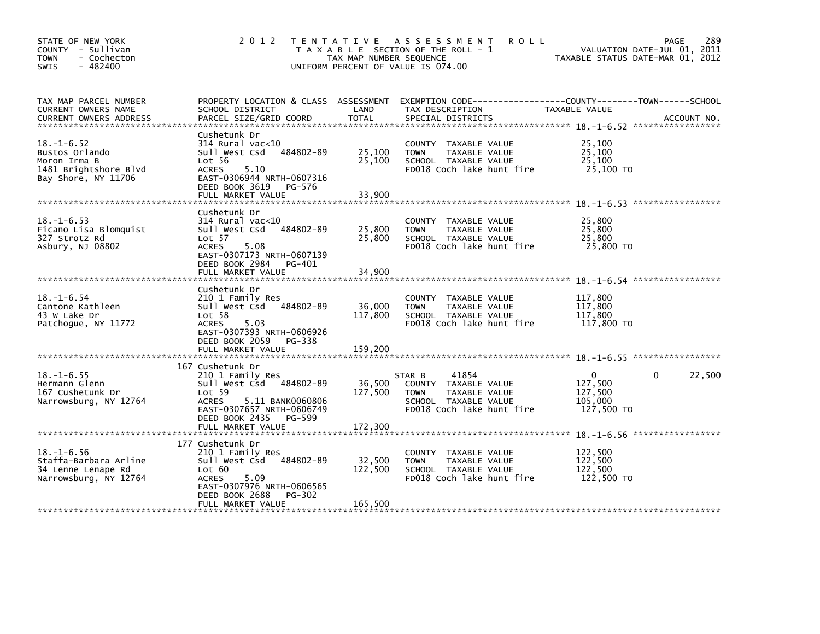| STATE OF NEW YORK<br>COUNTY - Sullivan<br><b>TOWN</b><br>- Cochecton<br>$-482400$<br><b>SWIS</b>   | 2 0 1 2                                                                                                                                                                             | TAX MAP NUMBER SEQUENCE    | TENTATIVE ASSESSMENT<br><b>ROLL</b><br>T A X A B L E SECTION OF THE ROLL - 1<br>UNIFORM PERCENT OF VALUE IS 074.00           | <b>PAGE</b><br>VALUATION DATE-JUL 01, 2011<br>TAXABLE STATUS DATE-MAR 01, 2012 | 289    |
|----------------------------------------------------------------------------------------------------|-------------------------------------------------------------------------------------------------------------------------------------------------------------------------------------|----------------------------|------------------------------------------------------------------------------------------------------------------------------|--------------------------------------------------------------------------------|--------|
| TAX MAP PARCEL NUMBER<br>CURRENT OWNERS NAME                                                       | PROPERTY LOCATION & CLASS ASSESSMENT<br>SCHOOL DISTRICT                                                                                                                             | LAND                       | TAX DESCRIPTION                                                                                                              | TAXABLE VALUE                                                                  |        |
| $18. - 1 - 6.52$<br>Bustos Orlando<br>Moron Irma B<br>1481 Brightshore Blvd<br>Bay Shore, NY 11706 | Cushetunk Dr<br>$314$ Rural vac< $10$<br>Sull West Csd<br>484802-89<br>Lot 56<br><b>ACRES</b><br>5.10<br>EAST-0306944 NRTH-0607316<br>DEED BOOK 3619<br>PG-576<br>FULL MARKET VALUE | 25,100<br>25,100<br>33,900 | COUNTY TAXABLE VALUE<br><b>TOWN</b><br>TAXABLE VALUE<br>SCHOOL TAXABLE VALUE<br>FD018 Coch lake hunt fire                    | 25,100<br>25,100<br>25,100<br>25,100 TO                                        |        |
| $18. - 1 - 6.53$<br>Ficano Lisa Blomquist<br>327 Strotz Rd<br>Asbury, NJ 08802                     | Cushetunk Dr<br>$314$ Rural vac< $10$<br>484802-89<br>Sull West Csd<br>Lot 57<br><b>ACRES</b><br>5.08<br>EAST-0307173 NRTH-0607139                                                  | 25,800<br>25,800           | COUNTY TAXABLE VALUE<br><b>TOWN</b><br>TAXABLE VALUE<br>SCHOOL TAXABLE VALUE<br>FD018 Coch lake hunt fire                    | 25,800<br>25,800<br>25,800<br>25,800 TO                                        |        |
|                                                                                                    | DEED BOOK 2984 PG-401<br>FULL MARKET VALUE                                                                                                                                          | 34,900                     |                                                                                                                              |                                                                                |        |
| $18. - 1 - 6.54$<br>Cantone Kathleen<br>43 W Lake Dr<br>Patchoque, NY 11772                        | Cushetunk Dr<br>210 1 Family Res<br>Sull West Csd 484802-89<br>Lot 58<br>5.03<br>ACRES<br>EAST-0307393 NRTH-0606926<br>DEED BOOK 2059<br>PG-338                                     | 36,000<br>117,800          | COUNTY<br>TAXABLE VALUE<br>TAXABLE VALUE<br><b>TOWN</b><br>SCHOOL TAXABLE VALUE<br>FD018 Coch lake hunt fire                 | 117,800<br>117,800<br>117,800<br>117,800 TO                                    |        |
|                                                                                                    | FULL MARKET VALUE                                                                                                                                                                   | 159,200                    |                                                                                                                              |                                                                                |        |
| $18. - 1 - 6.55$<br>Hermann Glenn<br>167 Cushetunk Dr<br>Narrowsburg, NY 12764                     | 167 Cushetunk Dr<br>210 1 Family Res<br>Sull West Csd 484802-89<br>Lot 59<br>ACRES<br>5.11 BANK0060806<br>EAST-0307657 NRTH-0606749<br>DEED BOOK 2435<br>PG-599                     | 36,500<br>127,500          | 41854<br>STAR B<br>COUNTY TAXABLE VALUE<br><b>TOWN</b><br>TAXABLE VALUE<br>SCHOOL TAXABLE VALUE<br>FD018 Coch lake hunt fire | $\mathbf{0}$<br>$\mathbf{0}$<br>127,500<br>127,500<br>105,000<br>127,500 TO    | 22,500 |
|                                                                                                    |                                                                                                                                                                                     |                            |                                                                                                                              |                                                                                |        |
| $18. - 1 - 6.56$<br>Staffa-Barbara Arline<br>34 Lenne Lenape Rd<br>Narrowsburg, NY 12764           | 177 Cushetunk Dr<br>210 1 Family Res<br>Sull West Csd 484802-89<br>Lot 60<br>5.09<br>ACRES<br>EAST-0307976 NRTH-0606565<br>DEED BOOK 2688<br>PG-302                                 | 32,500<br>122,500          | COUNTY TAXABLE VALUE<br>TAXABLE VALUE<br><b>TOWN</b><br>SCHOOL TAXABLE VALUE<br>FD018 Coch lake hunt fire                    | 122,500<br>122,500<br>122,500<br>122,500 TO                                    |        |
|                                                                                                    | FULL MARKET VALUE                                                                                                                                                                   | 165,500                    |                                                                                                                              |                                                                                |        |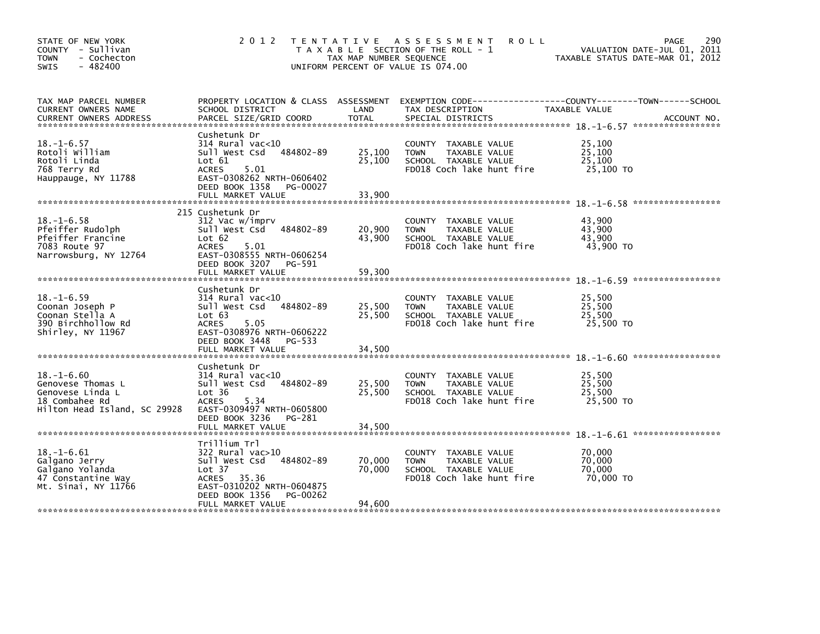| STATE OF NEW YORK<br>COUNTY - Sullivan<br><b>TOWN</b><br>- Cochecton<br>$-482400$<br><b>SWIS</b>            | 2 0 1 2                                                                                                                                                                                           | TAX MAP NUMBER SEQUENCE    | TENTATIVE ASSESSMENT<br><b>ROLL</b><br>T A X A B L E SECTION OF THE ROLL - 1<br>UNIFORM PERCENT OF VALUE IS 074.00 | 290<br><b>PAGE</b><br>VALUATION DATE-JUL 01, 2011<br>TAXABLE STATUS DATE-MAR 01, 2012 |
|-------------------------------------------------------------------------------------------------------------|---------------------------------------------------------------------------------------------------------------------------------------------------------------------------------------------------|----------------------------|--------------------------------------------------------------------------------------------------------------------|---------------------------------------------------------------------------------------|
| TAX MAP PARCEL NUMBER<br>CURRENT OWNERS NAME                                                                | PROPERTY LOCATION & CLASS ASSESSMENT<br>SCHOOL DISTRICT                                                                                                                                           | LAND                       | TAX DESCRIPTION                                                                                                    | EXEMPTION CODE------------------COUNTY--------TOWN------SCHOOL<br>TAXABLE VALUE       |
| $18. - 1 - 6.57$<br>Rotoli William<br>Rotoli Linda<br>768 Terry Rd<br>Hauppauge, NY 11788                   | Cushetunk Dr<br>$314$ Rural vac<10<br>484802-89<br>Sull West Csd<br>$\textsf{Lot} \ \ 61$<br><b>ACRES</b><br>5.01<br>EAST-0308262 NRTH-0606402<br>DEED BOOK 1358<br>PG-00027<br>FULL MARKET VALUE | 25,100<br>25,100<br>33,900 | COUNTY TAXABLE VALUE<br>TAXABLE VALUE<br><b>TOWN</b><br>SCHOOL TAXABLE VALUE<br>FD018 Coch lake hunt fire          | 25,100<br>25,100<br>25,100<br>25,100 TO                                               |
| $18. - 1 - 6.58$<br>Pfeiffer Rudolph<br>Pfeiffer Francine<br>7083 Route 97<br>Narrowsburg, NY 12764         | 215 Cushetunk Dr<br>312 Vac w/imprv<br>484802-89<br>Sull West Csd<br>Lot 62<br><b>ACRES</b><br>5.01<br>EAST-0308555 NRTH-0606254<br>DEED BOOK 3207 PG-591                                         | 20,900<br>43,900           | COUNTY TAXABLE VALUE<br>TAXABLE VALUE<br><b>TOWN</b><br>SCHOOL TAXABLE VALUE<br>FD018 Coch lake hunt fire          | 43.900<br>43,900<br>43,900<br>43,900 TO                                               |
|                                                                                                             | FULL MARKET VALUE                                                                                                                                                                                 | 59,300                     |                                                                                                                    |                                                                                       |
| $18. - 1 - 6.59$<br>Coonan Joseph P<br>Coonan Stella A<br>390 Birchhollow Rd<br>Shirley, NY 11967           | Cushetunk Dr<br>$314$ Rural vac< $10$<br>484802-89<br>Sull West Csd<br>Lot 63<br>5.05<br><b>ACRES</b><br>EAST-0308976 NRTH-0606222<br>DEED BOOK 3448<br>PG-533                                    | 25,500<br>25,500           | COUNTY TAXABLE VALUE<br>TAXABLE VALUE<br><b>TOWN</b><br>SCHOOL TAXABLE VALUE<br>FD018 Coch lake hunt fire          | 25,500<br>25,500<br>25,500<br>25,500 TO                                               |
|                                                                                                             | FULL MARKET VALUE                                                                                                                                                                                 | 34,500                     |                                                                                                                    |                                                                                       |
| $18. - 1 - 6.60$<br>Genovese Thomas L<br>Genovese Linda L<br>18 Combahee Rd<br>Hilton Head Island, SC 29928 | Cushetunk Dr<br>$314$ Rural vac< $10$<br>484802-89<br>Sull West Csd<br>Lot 36<br><b>ACRES</b><br>5.34<br>EAST-0309497 NRTH-0605800<br>DEED BOOK 3236<br>PG-281                                    | 25,500<br>25,500           | COUNTY<br>TAXABLE VALUE<br>TAXABLE VALUE<br><b>TOWN</b><br>SCHOOL TAXABLE VALUE<br>FD018 Coch lake hunt fire       | 25.500<br>25,500<br>25,500<br>25,500 TO                                               |
|                                                                                                             |                                                                                                                                                                                                   |                            |                                                                                                                    |                                                                                       |
| 18. –1–6.61<br>Galgano Jerry<br>Galgano Yolanda<br>47 Constantine Way<br>Mt. Sinai, NY 11766                | Trillium Trl<br>322 Rural vac>10<br>Sull West Csd<br>484802-89<br>Lot 37<br>ACRES 35.36<br>EAST-0310202 NRTH-0604875<br>DEED BOOK 1356<br>PG-00262                                                | 70,000<br>70,000           | COUNTY<br>TAXABLE VALUE<br>TAXABLE VALUE<br><b>TOWN</b><br>SCHOOL TAXABLE VALUE<br>FD018 Coch lake hunt fire       | 70,000<br>70,000<br>70,000<br>70,000 TO                                               |
|                                                                                                             | FULL MARKET VALUE                                                                                                                                                                                 | 94,600                     |                                                                                                                    |                                                                                       |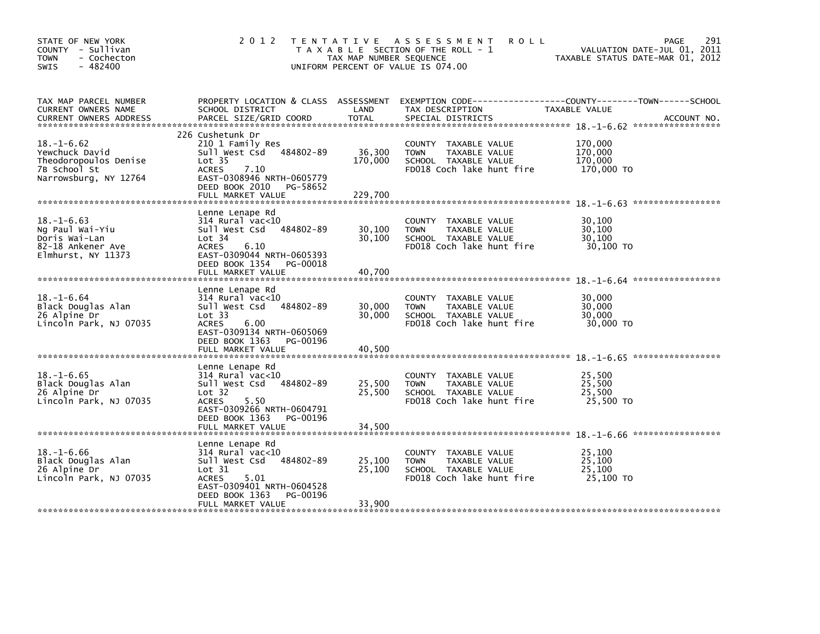| STATE OF NEW YORK<br>COUNTY - Sullivan<br><b>TOWN</b><br>- Cochecton<br>$-482400$<br><b>SWIS</b>                   | 2 0 1 2                                                                                                                                                                                             | T E N T A T I V E<br>TAX MAP NUMBER SEQUENCE | ASSESSMENT<br><b>ROLL</b><br>T A X A B L E SECTION OF THE ROLL - 1<br>UNIFORM PERCENT OF VALUE IS 074.00            | 291<br><b>PAGE</b><br>VALUATION DATE-JUL 01, 2011<br>TAXABLE STATUS DATE-MAR 01, 2012                |
|--------------------------------------------------------------------------------------------------------------------|-----------------------------------------------------------------------------------------------------------------------------------------------------------------------------------------------------|----------------------------------------------|---------------------------------------------------------------------------------------------------------------------|------------------------------------------------------------------------------------------------------|
| TAX MAP PARCEL NUMBER<br>CURRENT OWNERS NAME<br><b>CURRENT OWNERS ADDRESS</b>                                      | PROPERTY LOCATION & CLASS ASSESSMENT<br>SCHOOL DISTRICT<br>PARCEL SIZE/GRID COORD                                                                                                                   | LAND<br><b>TOTAL</b>                         | TAX DESCRIPTION<br>SPECIAL DISTRICTS                                                                                | EXEMPTION        CODE------------------COUNTY-------TOWN------SCHOOL<br>TAXABLE VALUE<br>ACCOUNT NO. |
| $18. - 1 - 6.62$<br>Yewchuck David<br>Theodoropoulos Denise<br>7B School St<br>Narrowsburg, NY 12764               | 226 Cushetunk Dr<br>210 1 Family Res<br>484802-89<br>Sull West Csd<br>Lot <sub>35</sub><br><b>ACRES</b><br>7.10<br>EAST-0308946 NRTH-0605779<br>DEED BOOK 2010<br>PG-58652<br>FULL MARKET VALUE     | 36,300<br>170,000<br>229.700                 | COUNTY TAXABLE VALUE<br>TAXABLE VALUE<br><b>TOWN</b><br>SCHOOL TAXABLE VALUE<br>FD018 Coch lake hunt fire           | 170,000<br>170,000<br>170,000<br>170,000 TO                                                          |
| $18. - 1 - 6.63$<br>Ng Paul Wai-Yiu<br>Doris Wai-Lan<br>82-18 Ankener Ave<br>Elmhurst, NY 11373                    | Lenne Lenape Rd<br>314 Rural vac<10<br>484802-89<br>Sull West Csd<br>Lot 34<br><b>ACRES</b><br>6.10<br>EAST-0309044 NRTH-0605393<br>DEED BOOK 1354<br>PG-00018<br>FULL MARKET VALUE                 | 30,100<br>30.100<br>40.700                   | COUNTY TAXABLE VALUE<br><b>TOWN</b><br>TAXABLE VALUE<br>SCHOOL TAXABLE VALUE<br>FD018 Coch lake hunt fire           | 30,100<br>30,100<br>30,100<br>30,100 TO                                                              |
| $18. - 1 - 6.64$<br>Black Douglas Alan<br>26 Alpine Dr<br>Lincoln Park, NJ 07035<br>****************************** | Lenne Lenape Rd<br>$314$ Rural vac< $10$<br>484802-89<br>Sull West Csd<br>Lot 33<br><b>ACRES</b><br>6.00<br>EAST-0309134 NRTH-0605069<br>DEED BOOK 1363<br>PG-00196<br>FULL MARKET VALUE            | 30,000<br>30.000<br>40,500                   | <b>COUNTY</b><br>TAXABLE VALUE<br><b>TOWN</b><br>TAXABLE VALUE<br>SCHOOL TAXABLE VALUE<br>FD018 Coch lake hunt fire | 30.000<br>30,000<br>30,000<br>30,000 TO                                                              |
| $18. - 1 - 6.65$<br>Black Douglas Alan<br>26 Alpine Dr<br>Lincoln Park, NJ 07035                                   | Lenne Lenape Rd<br>$314$ Rural vac< $10$<br>484802-89<br>Sull West Csd<br>Lot <sub>32</sub><br><b>ACRES</b><br>5.50<br>EAST-0309266 NRTH-0604791<br>DEED BOOK 1363<br>PG-00196<br>FULL MARKET VALUE | 25,500<br>25,500<br>34,500                   | <b>COUNTY</b><br>TAXABLE VALUE<br>TAXABLE VALUE<br><b>TOWN</b><br>SCHOOL TAXABLE VALUE<br>FD018 Coch lake hunt fire | 25,500<br>25,500<br>25,500<br>25,500 TO                                                              |
| $18. - 1 - 6.66$<br>Black Douglas Alan<br>26 Alpine Dr<br>Lincoln Park, NJ 07035                                   | Lenne Lenape Rd<br>314 Rural vac<10<br>Sull West Csd<br>484802-89<br>Lot 31<br><b>ACRES</b><br>5.01<br>EAST-0309401 NRTH-0604528<br>DEED BOOK 1363<br>PG-00196<br>FULL MARKET VALUE                 | 25,100<br>25,100<br>33,900                   | <b>COUNTY</b><br>TAXABLE VALUE<br>TAXABLE VALUE<br><b>TOWN</b><br>SCHOOL TAXABLE VALUE<br>FD018 Coch lake hunt fire | 25.100<br>25,100<br>25,100<br>25,100 TO                                                              |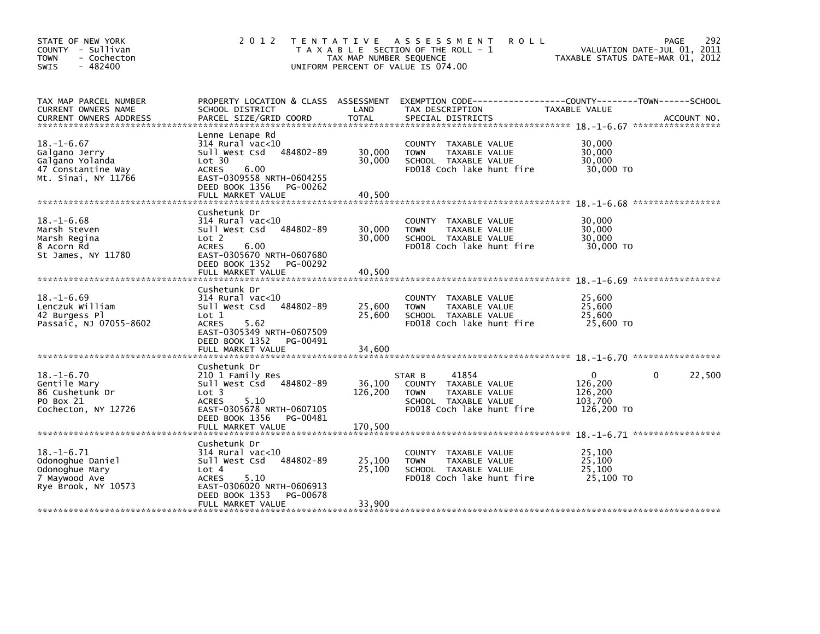| STATE OF NEW YORK<br>COUNTY - Sullivan<br><b>TOWN</b><br>- Cochecton<br>$-482400$<br><b>SWIS</b>  | 2 0 1 2                                                                                                                                                                             | T E N T A T I V E<br>TAX MAP NUMBER SEQUENCE | A S S E S S M E N T<br><b>ROLL</b><br>T A X A B L E SECTION OF THE ROLL - 1<br>UNIFORM PERCENT OF VALUE IS 074.00            | <b>PAGE</b><br>VALUATION DATE-JUL 01, 2011<br>TAXABLE STATUS DATE-MAR 01, 2012 | 292    |
|---------------------------------------------------------------------------------------------------|-------------------------------------------------------------------------------------------------------------------------------------------------------------------------------------|----------------------------------------------|------------------------------------------------------------------------------------------------------------------------------|--------------------------------------------------------------------------------|--------|
| TAX MAP PARCEL NUMBER<br>CURRENT OWNERS NAME                                                      | PROPERTY LOCATION & CLASS ASSESSMENT<br>SCHOOL DISTRICT                                                                                                                             | LAND                                         | TAX DESCRIPTION                                                                                                              | TAXABLE VALUE                                                                  |        |
| $18. - 1 - 6.67$<br>Galgano Jerry<br>Galgano Yolanda<br>47 Constantine Way<br>Mt. Sinai, NY 11766 | Lenne Lenape Rd<br>314 Rural vac<10<br>Sull West Csd<br>484802-89<br>Lot 30<br><b>ACRES</b><br>6.00<br>EAST-0309558 NRTH-0604255<br>DEED BOOK 1356<br>PG-00262<br>FULL MARKET VALUE | 30,000<br>30,000<br>40,500                   | COUNTY TAXABLE VALUE<br><b>TOWN</b><br>TAXABLE VALUE<br>SCHOOL TAXABLE VALUE<br>FD018 Coch lake hunt fire                    | 30,000<br>30,000<br>30,000<br>30,000 TO                                        |        |
|                                                                                                   | Cushetunk Dr                                                                                                                                                                        |                                              |                                                                                                                              |                                                                                |        |
| $18. - 1 - 6.68$<br>Marsh Steven<br>Marsh Regina<br>8 Acorn Rd<br>St James, NY 11780              | 314 Rural vac<10<br>484802-89<br>Sull West Csd<br>Lot 2<br><b>ACRES</b><br>6.00<br>EAST-0305670 NRTH-0607680                                                                        | 30,000<br>30,000                             | COUNTY TAXABLE VALUE<br><b>TOWN</b><br>TAXABLE VALUE<br>SCHOOL TAXABLE VALUE<br>FD018 Coch lake hunt fire                    | 30,000<br>30,000<br>30,000<br>30,000 TO                                        |        |
|                                                                                                   | DEED BOOK 1352<br>PG-00292<br>FULL MARKET VALUE                                                                                                                                     | 40,500                                       |                                                                                                                              |                                                                                |        |
| $18. - 1 - 6.69$<br>Lenczuk William<br>42 Burgess Pl<br>Passaic, NJ 07055-8602                    | Cushetunk Dr<br>314 Rural vac<10<br>484802-89<br>Sull West Csd<br>Lot 1<br><b>ACRES</b><br>5.62<br>EAST-0305349 NRTH-0607509<br>DEED BOOK 1352<br>PG-00491                          | 25,600<br>25,600                             | <b>COUNTY</b><br>TAXABLE VALUE<br>TAXABLE VALUE<br><b>TOWN</b><br>SCHOOL TAXABLE VALUE<br>FD018 Coch lake hunt fire          | 25.600<br>25,600<br>25,600<br>25,600 TO                                        |        |
|                                                                                                   | FULL MARKET VALUE                                                                                                                                                                   | 34,600                                       |                                                                                                                              |                                                                                |        |
| $18. - 1 - 6.70$<br>Gentile Mary<br>86 Cushetunk Dr<br>PO Box 21<br>Cochecton, NY 12726           | Cushetunk Dr<br>210 1 Family Res<br>Sull West Csd<br>484802-89<br>Lot <sub>3</sub><br><b>ACRES</b><br>5.10<br>EAST-0305678 NRTH-0607105<br>DEED BOOK 1356<br>PG-00481               | 36,100<br>126,200                            | 41854<br>STAR B<br>COUNTY TAXABLE VALUE<br>TAXABLE VALUE<br><b>TOWN</b><br>SCHOOL TAXABLE VALUE<br>FD018 Coch lake hunt fire | $\mathbf{0}$<br>0<br>126,200<br>126,200<br>103,700<br>126,200 TO               | 22,500 |
|                                                                                                   |                                                                                                                                                                                     |                                              |                                                                                                                              |                                                                                |        |
| $18. - 1 - 6.71$<br>Odonoghue Daniel<br>Odonoghue Mary<br>7 Maywood Ave<br>Rye Brook, NY 10573    | Cushetunk Dr<br>314 Rural vac<10<br>484802-89<br>Sull West Csd<br>Lot 4<br><b>ACRES</b><br>5.10<br>EAST-0306020 NRTH-0606913<br>DEED BOOK 1353<br>PG-00678                          | 25,100<br>25,100                             | <b>COUNTY</b><br>TAXABLE VALUE<br>TAXABLE VALUE<br><b>TOWN</b><br>SCHOOL TAXABLE VALUE<br>FD018 Coch lake hunt fire          | 25.100<br>25,100<br>25,100<br>25,100 TO                                        |        |
|                                                                                                   | FULL MARKET VALUE                                                                                                                                                                   | 33,900                                       |                                                                                                                              |                                                                                |        |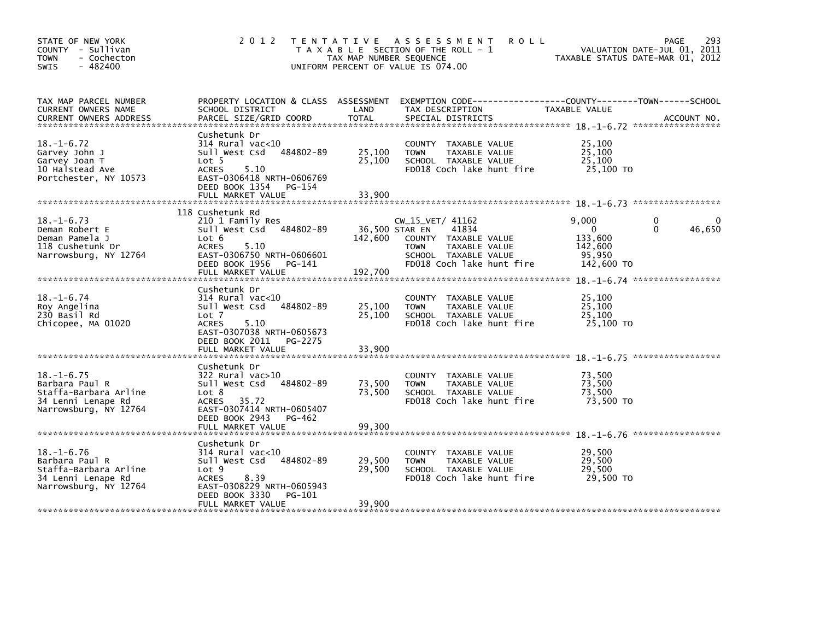| STATE OF NEW YORK<br>COUNTY - Sullivan<br><b>TOWN</b><br>- Cochecton<br>$-482400$<br><b>SWIS</b>           | 2 0 1 2                                                                                                                                                                             | TAX MAP NUMBER SEQUENCE    | TENTATIVE ASSESSMENT<br><b>ROLL</b><br>T A X A B L E SECTION OF THE ROLL - 1<br>UNIFORM PERCENT OF VALUE IS 074.00                                       | TAXABLE STATUS DATE-MAR 01, 2012                                    | 293<br>PAGE<br>VALUATION DATE-JUL 01, 2011 |
|------------------------------------------------------------------------------------------------------------|-------------------------------------------------------------------------------------------------------------------------------------------------------------------------------------|----------------------------|----------------------------------------------------------------------------------------------------------------------------------------------------------|---------------------------------------------------------------------|--------------------------------------------|
| TAX MAP PARCEL NUMBER<br>CURRENT OWNERS NAME                                                               | PROPERTY LOCATION & CLASS ASSESSMENT<br>SCHOOL DISTRICT                                                                                                                             | LAND                       | EXEMPTION CODE------------------COUNTY--------TOWN------SCHOOL<br>TAX DESCRIPTION                                                                        | TAXABLE VALUE                                                       |                                            |
| $18. - 1 - 6.72$<br>Garvey John J<br>Garvey Joan T<br>10 Halstead Ave<br>Portchester, NY 10573             | Cushetunk Dr<br>$314$ Rural vac<10<br>Sull West Csd<br>484802-89<br>Lot 5<br><b>ACRES</b><br>5.10<br>EAST-0306418 NRTH-0606769<br>DEED BOOK 1354 PG-154<br>FULL MARKET VALUE        | 25,100<br>25,100<br>33,900 | COUNTY TAXABLE VALUE<br><b>TOWN</b><br>TAXABLE VALUE<br>SCHOOL TAXABLE VALUE<br>FD018 Coch lake hunt fire                                                | 25,100<br>25,100<br>25,100<br>25,100 TO                             |                                            |
| $18. - 1 - 6.73$<br>Deman Robert E<br>Deman Pamela J<br>118 Cushetunk Dr<br>Narrowsburg, NY 12764          | 118 Cushetunk Rd<br>210 1 Family Res<br>484802-89<br>Sull West Csd<br>Lot 6<br><b>ACRES</b><br>5.10<br>EAST-0306750 NRTH-0606601<br>DEED BOOK 1956 PG-141<br>FULL MARKET VALUE      | 142,600<br>192,700         | CW_15_VET/ 41162<br>36,500 STAR EN<br>41834<br>COUNTY TAXABLE VALUE<br>TAXABLE VALUE<br><b>TOWN</b><br>SCHOOL TAXABLE VALUE<br>FD018 Coch lake hunt fire | 9,000<br>$\mathbf{0}$<br>133,600<br>142,600<br>95,950<br>142,600 TO | 0<br>$\Omega$<br>46,650                    |
| $18. - 1 - 6.74$<br>Roy Angelina<br>230 Basil Rd<br>Chicopee, MA 01020                                     | Cushetunk Dr<br>$314$ Rural vac<10<br>Sull West Csd<br>484802-89<br>Lot 7<br><b>ACRES</b><br>5.10<br>EAST-0307038 NRTH-0605673<br>DEED BOOK 2011<br>PG-2275<br>FULL MARKET VALUE    | 25,100<br>25,100<br>33,900 | COUNTY TAXABLE VALUE<br><b>TOWN</b><br>TAXABLE VALUE<br>SCHOOL TAXABLE VALUE<br>FD018 Coch lake hunt fire                                                | 25.100<br>25,100<br>25,100<br>25,100 TO                             |                                            |
| $18. - 1 - 6.75$<br>Barbara Paul R<br>Staffa-Barbara Arline<br>34 Lenni Lenape Rd<br>Narrowsburg, NY 12764 | Cushetunk Dr<br>$322$ Rural vac $>10$<br>Sull West Csd<br>484802-89<br>Lot 8<br><b>ACRES</b><br>35.72<br>EAST-0307414 NRTH-0605407<br>DEED BOOK 2943<br>PG-462<br>FULL MARKET VALUE | 73,500<br>73,500<br>99,300 | COUNTY TAXABLE VALUE<br><b>TOWN</b><br>TAXABLE VALUE<br>SCHOOL TAXABLE VALUE<br>FD018 Coch lake hunt fire                                                | 73,500<br>73,500<br>73,500<br>73,500 TO                             |                                            |
| $18. - 1 - 6.76$<br>Barbara Paul R<br>Staffa-Barbara Arline<br>34 Lenni Lenape Rd<br>Narrowsburg, NY 12764 | Cushetunk Dr<br>$314$ Rural vac<10<br>484802-89<br>Sull West Csd<br>Lot 9<br>8.39<br><b>ACRES</b><br>EAST-0308229 NRTH-0605943<br>DEED BOOK 3330<br>PG-101<br>FULL MARKET VALUE     | 29,500<br>29,500<br>39,900 | COUNTY TAXABLE VALUE<br>TAXABLE VALUE<br><b>TOWN</b><br>SCHOOL TAXABLE VALUE<br>FD018 Coch lake hunt fire                                                | 29,500<br>29,500<br>29,500<br>29,500 TO                             |                                            |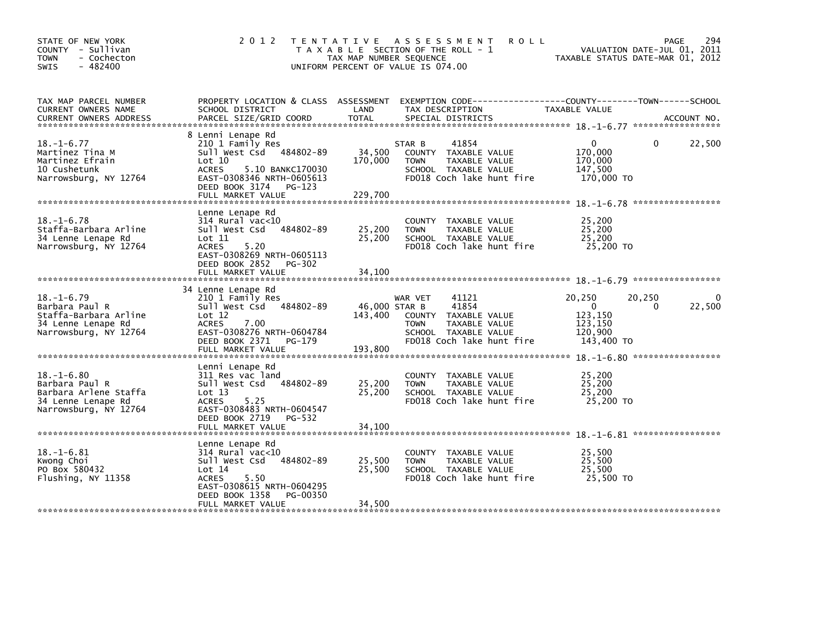| STATE OF NEW YORK<br>COUNTY - Sullivan<br><b>TOWN</b><br>- Cochecton<br>$-482400$<br><b>SWIS</b>           | 2 0 1 2                                                                                                                                                                                         | T E N T A T I V E<br>TAX MAP NUMBER SEQUENCE | A S S E S S M E N T<br><b>ROLL</b><br>T A X A B L E SECTION OF THE ROLL - 1<br>UNIFORM PERCENT OF VALUE IS 074.00                      | TAXABLE STATUS DATE-MAR 01, 2012                                                | 294<br><b>PAGE</b><br>VALUATION DATE-JUL 01, 2011 |
|------------------------------------------------------------------------------------------------------------|-------------------------------------------------------------------------------------------------------------------------------------------------------------------------------------------------|----------------------------------------------|----------------------------------------------------------------------------------------------------------------------------------------|---------------------------------------------------------------------------------|---------------------------------------------------|
| TAX MAP PARCEL NUMBER<br>CURRENT OWNERS NAME<br><b>CURRENT OWNERS ADDRESS</b>                              | PROPERTY LOCATION & CLASS ASSESSMENT<br>SCHOOL DISTRICT<br>PARCEL SIZE/GRID COORD                                                                                                               | LAND<br><b>TOTAL</b>                         | EXEMPTION CODE------------------COUNTY--------TOWN------SCHOOL<br>TAX DESCRIPTION<br>SPECIAL DISTRICTS                                 | TAXABLE VALUE                                                                   | ACCOUNT NO.                                       |
| $18. - 1 - 6.77$<br>Martinez Tina M<br>Martinez Efrain<br>10 Cushetunk<br>Narrowsburg, NY 12764            | 8 Lenni Lenape Rd<br>210 1 Family Res<br>Sull West Csd<br>484802-89<br>Lot 10<br><b>ACRES</b><br>5.10 BANKC170030<br>EAST-0308346 NRTH-0605613<br>DEED BOOK 3174<br>PG-123<br>FULL MARKET VALUE | 34,500<br>170,000<br>229,700                 | 41854<br>STAR B<br>COUNTY TAXABLE VALUE<br>TAXABLE VALUE<br><b>TOWN</b><br>SCHOOL TAXABLE VALUE<br>FD018 Coch lake hunt fire           | $\mathbf{0}$<br>170,000<br>170,000<br>147,500<br>170,000 TO                     | 22,500<br>0                                       |
| $18. - 1 - 6.78$<br>Staffa-Barbara Arline<br>34 Lenne Lenape Rd<br>Narrowsburg, NY 12764                   | Lenne Lenape Rd<br>$314$ Rural vac< $10$<br>484802-89<br>Sull West Csd<br>Lot 11<br>5.20<br><b>ACRES</b><br>EAST-0308269 NRTH-0605113<br>DEED BOOK 2852<br>PG-302<br>FULL MARKET VALUE          | 25,200<br>25,200<br>34,100                   | <b>COUNTY</b><br>TAXABLE VALUE<br>TAXABLE VALUE<br><b>TOWN</b><br>SCHOOL TAXABLE VALUE<br>FD018 Coch lake hunt fire                    | 25,200<br>25,200<br>25,200<br>25,200 TO                                         |                                                   |
| $18. - 1 - 6.79$<br>Barbara Paul R<br>Staffa-Barbara Arline<br>34 Lenne Lenape Rd<br>Narrowsburg, NY 12764 | 34 Lenne Lenape Rd<br>210 1 Family Res<br>sull west Csd<br>484802-89<br>Lot 12<br>ACRES<br>7.00<br>EAST-0308276 NRTH-0604784<br>DEED BOOK 2371<br>PG-179<br>FULL MARKET VALUE                   | 46,000 STAR B<br>143,400<br>193,800          | 41121<br>WAR VET<br>41854<br>COUNTY TAXABLE VALUE<br>TAXABLE VALUE<br><b>TOWN</b><br>SCHOOL TAXABLE VALUE<br>FD018 Coch lake hunt fire | 20,250<br>20,250<br>$\mathbf{0}$<br>123,150<br>123,150<br>120.900<br>143,400 TO | 22,500<br>0                                       |
| $18. - 1 - 6.80$<br>Barbara Paul R<br>Barbara Arlene Staffa<br>34 Lenne Lenape Rd<br>Narrowsburg, NY 12764 | Lenni Lenape Rd<br>311 Res vac land<br>Sull West Csd<br>484802-89<br>Lot 13<br>5.25<br><b>ACRES</b><br>EAST-0308483 NRTH-0604547<br>DEED BOOK 2719<br>PG-532<br>FULL MARKET VALUE               | 25,200<br>25,200<br>34,100                   | TAXABLE VALUE<br><b>COUNTY</b><br>TAXABLE VALUE<br><b>TOWN</b><br>SCHOOL TAXABLE VALUE<br>FD018 Coch lake hunt fire                    | 25,200<br>25,200<br>25,200<br>25,200 TO                                         |                                                   |
| $18. -1 - 6.81$<br>Kwong Choi<br>PO Box 580432<br>Flushing, NY 11358                                       | Lenne Lenape Rd<br>$314$ Rural vac<10<br>484802-89<br>Sull West Csd<br>Lot 14<br><b>ACRES</b><br>5.50<br>EAST-0308615 NRTH-0604295<br>DEED BOOK 1358<br>PG-00350<br>FULL MARKET VALUE           | 25,500<br>25,500<br>34,500                   | <b>COUNTY</b><br>TAXABLE VALUE<br><b>TOWN</b><br>TAXABLE VALUE<br>SCHOOL TAXABLE VALUE<br>FD018 Coch lake hunt fire                    | 25,500<br>25,500<br>25,500<br>25,500 TO                                         |                                                   |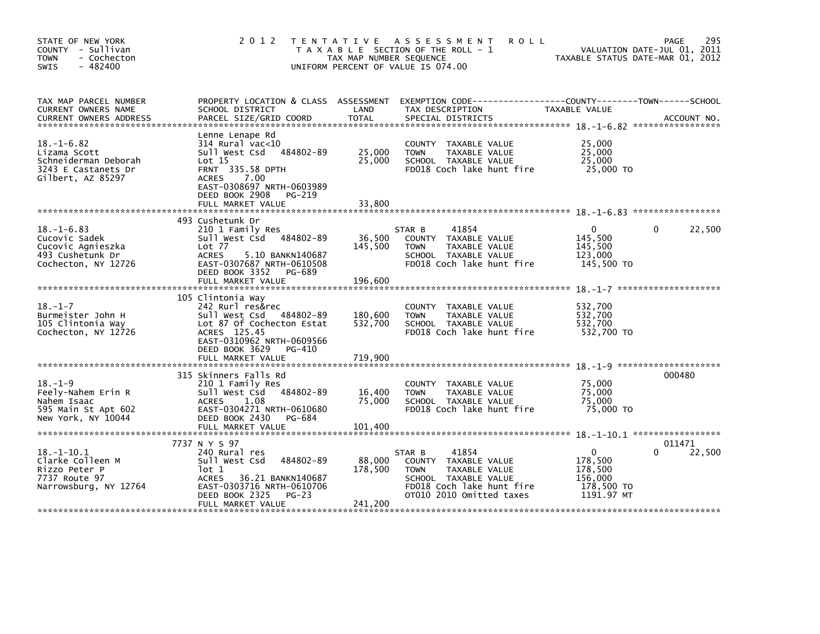| STATE OF NEW YORK<br>COUNTY - Sullivan<br><b>TOWN</b><br>- Cochecton<br>$-482400$<br><b>SWIS</b>     | 2 0 1 2                                                                                                                                                                                               | TAX MAP NUMBER SEQUENCE       | TENTATIVE ASSESSMENT<br><b>ROLL</b><br>T A X A B L E SECTION OF THE ROLL - 1<br>UNIFORM PERCENT OF VALUE IS 074.00                                       | TAXABLE STATUS DATE-MAR 01, 2012                                      | 295<br>PAGE<br>VALUATION DATE-JUL 01, 2011 |
|------------------------------------------------------------------------------------------------------|-------------------------------------------------------------------------------------------------------------------------------------------------------------------------------------------------------|-------------------------------|----------------------------------------------------------------------------------------------------------------------------------------------------------|-----------------------------------------------------------------------|--------------------------------------------|
| TAX MAP PARCEL NUMBER<br><b>CURRENT OWNERS NAME</b>                                                  | PROPERTY LOCATION & CLASS ASSESSMENT<br>SCHOOL DISTRICT                                                                                                                                               | LAND                          | TAX DESCRIPTION                                                                                                                                          | TAXABLE VALUE                                                         |                                            |
| $18. - 1 - 6.82$<br>Lizama Scott<br>Schneiderman Deborah<br>3243 E Castanets Dr<br>Gilbert, AZ 85297 | Lenne Lenape Rd<br>314 Rural vac<10<br>Sull West Csd<br>484802-89<br>Lot 15<br><b>FRNT 335.58 DPTH</b><br>ACRES<br>7.00<br>EAST-0308697 NRTH-0603989<br>DEED BOOK 2908<br>PG-219<br>FULL MARKET VALUE | 25,000<br>25,000<br>33,800    | COUNTY TAXABLE VALUE<br>TAXABLE VALUE<br><b>TOWN</b><br>SCHOOL TAXABLE VALUE<br>FD018 Coch lake hunt fire                                                | 25,000<br>25,000<br>25,000<br>25,000 TO                               |                                            |
|                                                                                                      | 493 Cushetunk Dr                                                                                                                                                                                      |                               |                                                                                                                                                          |                                                                       |                                            |
| $18. - 1 - 6.83$<br>Cucovic Sadek<br>Cucovic Agnieszka<br>493 Cushetunk Dr<br>Cochecton, NY 12726    | 210 1 Family Res<br>Sull West Csd 484802-89<br>Lot 77<br><b>ACRES</b><br>5.10 BANKN140687<br>EAST-0307687 NRTH-0610508<br>DEED BOOK 3352<br>PG-689<br>FULL MARKET VALUE                               | 36,500<br>145,500<br>196.600  | 41854<br>STAR B<br>COUNTY TAXABLE VALUE<br>TAXABLE VALUE<br><b>TOWN</b><br>SCHOOL TAXABLE VALUE<br>FD018 Coch lake hunt fire                             | $\mathbf{0}$<br>145,500<br>145,500<br>123,000<br>145,500 TO           | 22,500<br>0                                |
|                                                                                                      |                                                                                                                                                                                                       |                               |                                                                                                                                                          |                                                                       |                                            |
| $18. - 1 - 7$<br>Burmeister John H<br>105 Clintonia Way<br>Cochecton, NY 12726                       | 105 Clintonia Way<br>242 Rurl res&rec<br>Sull West Csd 484802-89<br>Lot 87 Of Cochecton Estat<br>ACRES 125.45<br>EAST-0310962 NRTH-0609566<br>DEED BOOK 3629<br>PG-410<br>FULL MARKET VALUE           | 180,600<br>532,700<br>719.900 | COUNTY TAXABLE VALUE<br>TAXABLE VALUE<br><b>TOWN</b><br>SCHOOL TAXABLE VALUE<br>FD018 Coch lake hunt fire                                                | 532,700<br>532,700<br>532.700<br>532,700 TO                           |                                            |
|                                                                                                      |                                                                                                                                                                                                       |                               |                                                                                                                                                          |                                                                       |                                            |
| $18. - 1 - 9$<br>Feely-Nahem Erin R<br>Nahem Isaac<br>595 Main St Apt 602<br>New York, NY 10044      | 315 Skinners Falls Rd<br>210 1 Family Res<br>Sull West Csd<br>484802-89<br><b>ACRES</b><br>1.08<br>EAST-0304271 NRTH-0610680<br>DEED BOOK 2430<br>PG-684                                              | 16,400<br>75,000              | COUNTY TAXABLE VALUE<br>TAXABLE VALUE<br><b>TOWN</b><br>SCHOOL TAXABLE VALUE<br>FD018 Coch lake hunt fire                                                | 75,000<br>75,000<br>75,000<br>75,000 TO                               | 000480                                     |
|                                                                                                      | FULL MARKET VALUE                                                                                                                                                                                     | 101,400                       |                                                                                                                                                          |                                                                       |                                            |
|                                                                                                      | 7737 N Y S 97                                                                                                                                                                                         |                               |                                                                                                                                                          |                                                                       | 011471                                     |
| $18. - 1 - 10.1$<br>Clarke Colleen M<br>Rizzo Peter P<br>7737 Route 97<br>Narrowsburg, NY 12764      | 240 Rural res<br>484802-89<br>Sull West Csd<br>lot 1<br>36.21 BANKN140687<br><b>ACRES</b><br>EAST-0303716 NRTH-0610706<br>DEED BOOK 2325<br>$PG-23$<br>FULL MARKET VALUE                              | 88,000<br>178,500<br>241,200  | 41854<br>STAR B<br>COUNTY TAXABLE VALUE<br>TAXABLE VALUE<br><b>TOWN</b><br>SCHOOL TAXABLE VALUE<br>FD018 Coch lake hunt fire<br>OT010 2010 Omitted taxes | $\Omega$<br>178,500<br>178,500<br>156,000<br>178,500 TO<br>1191.97 MT | 22,500<br>0                                |
|                                                                                                      |                                                                                                                                                                                                       |                               |                                                                                                                                                          |                                                                       |                                            |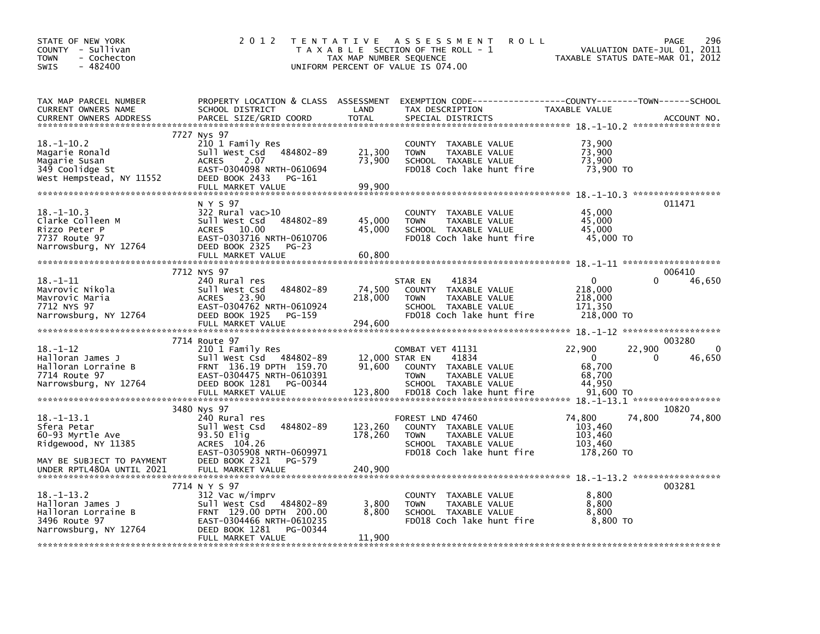| STATE OF NEW YORK<br>COUNTY - Sullivan<br>- Cochecton<br><b>TOWN</b><br>$-482400$<br>SWIS             | 2 0 1 2                                                                                                                                                                   | TAX MAP NUMBER SEQUENCE    | TENTATIVE ASSESSMENT<br><b>ROLL</b><br>T A X A B L E SECTION OF THE ROLL - 1<br>UNIFORM PERCENT OF VALUE IS 074.00                                       | TAXABLE STATUS DATE-MAR 01, 2012                       | 296<br><b>PAGE</b><br>VALUATION DATE-JUL 01, 2011 |
|-------------------------------------------------------------------------------------------------------|---------------------------------------------------------------------------------------------------------------------------------------------------------------------------|----------------------------|----------------------------------------------------------------------------------------------------------------------------------------------------------|--------------------------------------------------------|---------------------------------------------------|
| TAX MAP PARCEL NUMBER<br>CURRENT OWNERS NAME<br><b>CURRENT OWNERS ADDRESS</b>                         | PROPERTY LOCATION & CLASS ASSESSMENT<br>SCHOOL DISTRICT<br>PARCEL SIZE/GRID COORD                                                                                         | LAND<br><b>TOTAL</b>       | EXEMPTION CODE-----------------COUNTY-------TOWN------SCHOOL<br>TAX DESCRIPTION<br>SPECIAL DISTRICTS                                                     | TAXABLE VALUE                                          | ACCOUNT NO.                                       |
| $18. - 1 - 10.2$<br>Magarie Ronald<br>Magarie Susan<br>349 Coolidge St<br>West Hempstead, NY 11552    | 7727 Nys 97<br>210 1 Family Res<br>484802-89<br>Sull West Csd<br>2.07<br><b>ACRES</b><br>EAST-0304098 NRTH-0610694<br>DEED BOOK 2433<br>PG-161<br>FULL MARKET VALUE       | 21,300<br>73,900<br>99.900 | COUNTY TAXABLE VALUE<br><b>TOWN</b><br>TAXABLE VALUE<br>SCHOOL TAXABLE VALUE<br>FD018 Coch lake hunt fire                                                | 73,900<br>73,900<br>73,900<br>73,900 TO                |                                                   |
| $18. - 1 - 10.3$<br>Clarke Colleen M<br>Rizzo Peter P<br>7737 Route 97<br>Narrowsburg, NY 12764       | N Y S 97<br>322 Rural vac>10<br>484802-89<br>Sull West Csd<br>10.00<br>ACRES<br>EAST-0303716 NRTH-0610706<br>DEED BOOK 2325<br>$PG-23$<br>FULL MARKET VALUE               | 45,000<br>45,000<br>60,800 | COUNTY TAXABLE VALUE<br><b>TOWN</b><br>TAXABLE VALUE<br>SCHOOL TAXABLE VALUE<br>FD018 Coch lake hunt fire                                                | 45,000<br>45,000<br>45,000<br>45,000 TO                | 011471                                            |
| $18. - 1 - 11$<br>Mavrovic Nikola<br>Mavrovic Maria<br>7712 NYS 97<br>Narrowsburg, NY 12764           | 7712 NYS 97<br>240 Rural res<br>484802-89<br>Sull West Csd<br>23.90<br><b>ACRES</b><br>EAST-0304762 NRTH-0610924<br>DEED BOOK 1925<br>PG-159<br>FULL MARKET VALUE         | 74,500<br>218,000          | 41834<br>STAR EN<br>COUNTY TAXABLE VALUE<br>TAXABLE VALUE<br><b>TOWN</b><br>SCHOOL TAXABLE VALUE<br>FD018 Coch lake hunt fire                            | 0<br>218,000<br>218,000<br>171,350<br>218,000 TO       | 006410<br>46,650<br>0                             |
|                                                                                                       | 7714 Route 97                                                                                                                                                             | 294,600                    |                                                                                                                                                          |                                                        | 003280                                            |
| $18. - 1 - 12$<br>Halloran James J<br>Halloran Lorraine B<br>7714 Route 97<br>Narrowsburg, NY 12764   | 210 1 Family Res<br>Sull West Csd 484802-89<br>FRNT 136.19 DPTH 159.70<br>EAST-0304475 NRTH-0610391<br>DEED BOOK 1281<br>PG-00344<br>FULL MARKET VALUE                    | 91,600<br>123,800          | COMBAT VET 41131<br>12,000 STAR EN<br>41834<br>COUNTY TAXABLE VALUE<br><b>TOWN</b><br>TAXABLE VALUE<br>SCHOOL TAXABLE VALUE<br>FD018 Coch lake hunt fire | 22,900<br>0<br>68,700<br>68,700<br>44,950<br>91,600 TO | $\Omega$<br>22,900<br>46,650<br>0                 |
| $18. - 1 - 13.1$                                                                                      | 3480 Nys 97<br>240 Rural res                                                                                                                                              |                            | FOREST LND 47460                                                                                                                                         | 74,800                                                 | 10820<br>74,800<br>74,800                         |
| Sfera Petar<br>60-93 Myrtle Ave<br>Ridgewood, NY 11385<br>MAY BE SUBJECT TO PAYMENT                   | Sull West Csd<br>484802-89<br>93.50 Elig<br>ACRES 104.26<br>EAST-0305908 NRTH-0609971<br>DEED BOOK 2321<br>PG-579                                                         | 123,260<br>178,260         | COUNTY TAXABLE VALUE<br><b>TOWN</b><br>TAXABLE VALUE<br>SCHOOL TAXABLE VALUE<br>FD018 Coch lake hunt fire                                                | 103,460<br>103,460<br>103,460<br>178,260 TO            |                                                   |
| UNDER RPTL480A UNTIL 2021                                                                             | FULL MARKET VALUE                                                                                                                                                         | 240,900                    |                                                                                                                                                          |                                                        |                                                   |
| $18. - 1 - 13.2$<br>Halloran James J<br>Halloran Lorraine B<br>3496 Route 97<br>Narrowsburg, NY 12764 | 7714 N Y S 97<br>312 Vac w/imprv<br>484802-89<br>Sull West Csd<br>FRNT 129.00 DPTH 200.00<br>EAST-0304466 NRTH-0610235<br>DEED BOOK 1281<br>PG-00344<br>FULL MARKET VALUE | 3,800<br>8,800<br>11,900   | COUNTY TAXABLE VALUE<br>TAXABLE VALUE<br><b>TOWN</b><br>SCHOOL TAXABLE VALUE<br>FD018 Coch lake hunt fire                                                | 8,800<br>8,800<br>8,800<br>8,800 TO                    | 003281                                            |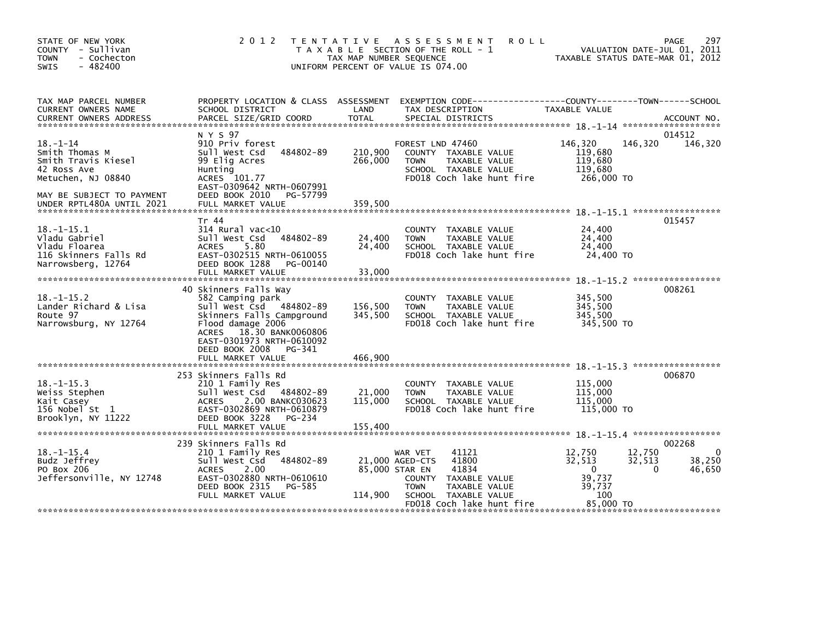| STATE OF NEW YORK<br>COUNTY - Sullivan<br>- Cochecton<br><b>TOWN</b><br>$-482400$<br><b>SWIS</b>                                                       | 2 0 1 2                                                                                                                                                                                                                                   | TAX MAP NUMBER SEQUENCE                      | TENTATIVE ASSESSMENT<br>T A X A B L E SECTION OF THE ROLL - 1<br>UNIFORM PERCENT OF VALUE IS 074.00                                             | <b>ROLL</b>                                                                   | 297<br>PAGE<br>VALUATION DATE-JUL 01, 2011<br>TAXABLE STATUS DATE-MAR 01, 2012 |
|--------------------------------------------------------------------------------------------------------------------------------------------------------|-------------------------------------------------------------------------------------------------------------------------------------------------------------------------------------------------------------------------------------------|----------------------------------------------|-------------------------------------------------------------------------------------------------------------------------------------------------|-------------------------------------------------------------------------------|--------------------------------------------------------------------------------|
| TAX MAP PARCEL NUMBER<br>CURRENT OWNERS NAME                                                                                                           | PROPERTY LOCATION & CLASS ASSESSMENT<br>SCHOOL DISTRICT                                                                                                                                                                                   | LAND                                         | TAX DESCRIPTION                                                                                                                                 | EXEMPTION CODE-----------------COUNTY-------TOWN------SCHOOL<br>TAXABLE VALUE |                                                                                |
| $18. - 1 - 14$<br>Smith Thomas M<br>Smith Travis Kiesel<br>42 Ross Ave<br>Metuchen, NJ 08840<br>MAY BE SUBJECT TO PAYMENT<br>UNDER RPTL480A UNTIL 2021 | N Y S 97<br>910 Priv forest<br>484802-89<br>Sull West Csd<br>99 Elig Acres<br>Hunting<br>ACRES 101.77<br>EAST-0309642 NRTH-0607991<br>DEED BOOK 2010<br>PG-57799<br>FULL MARKET VALUE                                                     | 210,900<br>266,000<br>359,500                | FOREST LND 47460<br>COUNTY TAXABLE VALUE<br>TAXABLE VALUE<br><b>TOWN</b><br>SCHOOL TAXABLE VALUE<br>FD018 Coch lake hunt fire                   | 146,320<br>119,680<br>119,680<br>119,680<br>266.000 TO                        | 014512<br>146,320<br>146,320                                                   |
| $18. - 1 - 15.1$<br>Vladu Gabriel<br>Vladu Floarea<br>116 Skinners Falls Rd<br>Narrowsberg, 12764                                                      | Tr 44<br>$314$ Rural vac<10<br>Sull West Csd 484802-89<br>5.80<br><b>ACRES</b><br>EAST-0302515 NRTH-0610055<br>DEED BOOK 1288<br>PG-00140<br>FULL MARKET VALUE                                                                            | 24,400<br>24,400<br>33,000                   | COUNTY TAXABLE VALUE<br>TAXABLE VALUE<br><b>TOWN</b><br>SCHOOL TAXABLE VALUE<br>FD018 Coch lake hunt fire                                       | 24,400<br>24,400<br>24,400<br>24,400 TO                                       | 015457                                                                         |
| $18. - 1 - 15.2$<br>Lander Richard & Lisa<br>Route 97<br>Narrowsburg, NY 12764                                                                         | 40 Skinners Falls Way<br>582 Camping park<br>Sull West Csd 484802-89<br>Skinners Falls Campground<br>Flood damage 2006<br>18.30 BANK0060806<br><b>ACRES</b><br>EAST-0301973 NRTH-0610092<br>DEED BOOK 2008<br>PG-341<br>FULL MARKET VALUE | 156,500<br>345,500<br>466,900                | COUNTY TAXABLE VALUE<br>TAXABLE VALUE<br><b>TOWN</b><br>SCHOOL TAXABLE VALUE<br>FD018 Coch lake hunt fire                                       | 345,500<br>345,500<br>345,500<br>345.500 TO                                   | 008261                                                                         |
| $18. - 1 - 15.3$<br>Weiss Stephen<br>Kait Casey<br>156 Nobel St 1<br>Brooklyn, NY 11222                                                                | 253 Skinners Falls Rd<br>210 1 Family Res<br>Sull West Csd 484802-89<br>2.00 BANKC030623<br><b>ACRES</b><br>EAST-0302869 NRTH-0610879<br>DEED BOOK 3228<br>PG-234                                                                         | 21,000<br>115,000                            | COUNTY TAXABLE VALUE<br><b>TOWN</b><br>TAXABLE VALUE<br>SCHOOL TAXABLE VALUE<br>FD018 Coch lake hunt fire                                       | 115,000<br>115,000<br>115,000<br>115,000 TO                                   | 006870                                                                         |
| $18. -1 - 15.4$<br>Budz Jeffrey<br>PO Box 206<br>Jeffersonville, NY 12748                                                                              | 239 Skinners Falls Rd<br>210 1 Family Res<br>Sull West Csd 484802-89<br><b>ACRES</b><br>2.00<br>EAST-0302880 NRTH-0610610<br>DEED BOOK 2315<br>PG-585<br>FULL MARKET VALUE                                                                | 21,000 AGED-CTS<br>85,000 STAR EN<br>114,900 | 41121<br>WAR VET<br>41800<br>41834<br>COUNTY TAXABLE VALUE<br><b>TOWN</b><br>TAXABLE VALUE<br>SCHOOL TAXABLE VALUE<br>FD018 Coch lake hunt fire | 12,750<br>32,513<br>$\Omega$<br>39,737<br>39,737<br>100<br>85,000 TO          | 002268<br>12,750<br>$\Omega$<br>32,513<br>38,250<br>$\mathbf{0}$<br>46,650     |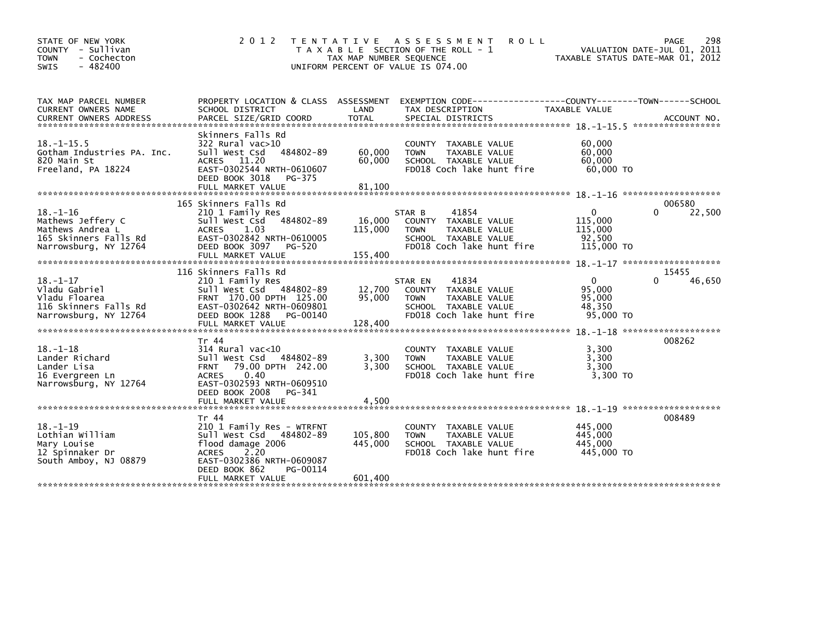| STATE OF NEW YORK<br>COUNTY - Sullivan<br>- Cochecton<br><b>TOWN</b><br>$-482400$<br><b>SWIS</b>          | 2 0 1 2                                                                                                                                                                                   | T E N T A T I V E<br>TAX MAP NUMBER SEQUENCE | A S S E S S M E N T<br><b>ROLL</b><br>T A X A B L E SECTION OF THE ROLL - 1<br>UNIFORM PERCENT OF VALUE IS 074.00                       | TAXABLE STATUS DATE-MAR 01, 2012                       | PAGE<br>298<br>VALUATION DATE-JUL 01, 2011 |
|-----------------------------------------------------------------------------------------------------------|-------------------------------------------------------------------------------------------------------------------------------------------------------------------------------------------|----------------------------------------------|-----------------------------------------------------------------------------------------------------------------------------------------|--------------------------------------------------------|--------------------------------------------|
| TAX MAP PARCEL NUMBER<br>CURRENT OWNERS NAME                                                              | PROPERTY LOCATION & CLASS ASSESSMENT<br>SCHOOL DISTRICT                                                                                                                                   | LAND                                         | EXEMPTION        CODE-----------------COUNTY-------TOWN------SCHOOL<br>TAX DESCRIPTION                                                  | <b>TAXABLE VALUE</b>                                   |                                            |
| $18. -1 - 15.5$<br>Gotham Industries PA. Inc.<br>820 Main St<br>Freeland, PA 18224                        | Skinners Falls Rd<br>322 Rural vac>10<br>Sull West Csd<br>484802-89<br>11.20<br><b>ACRES</b><br>EAST-0302544 NRTH-0610607<br>DEED BOOK 3018<br>PG-375<br>FULL MARKET VALUE                | 60,000<br>60,000<br>81,100                   | <b>COUNTY</b><br>TAXABLE VALUE<br>TAXABLE VALUE<br><b>TOWN</b><br>SCHOOL TAXABLE VALUE<br>FD018 Coch lake hunt fire                     | 60,000<br>60,000<br>60,000<br>60,000 TO                |                                            |
|                                                                                                           | 165 Skinners Falls Rd                                                                                                                                                                     |                                              |                                                                                                                                         |                                                        | 006580                                     |
| $18. - 1 - 16$<br>Mathews Jeffery C<br>Mathews Andrea L<br>165 Skinners Falls Rd<br>Narrowsburg, NY 12764 | 210 1 Family Res<br>484802-89<br>Sull West Csd<br>1.03<br><b>ACRES</b><br>EAST-0302842 NRTH-0610005<br>DEED BOOK 3097<br>PG-520<br>FULL MARKET VALUE                                      | 16,000<br>115,000<br>155,400                 | 41854<br>STAR B<br>TAXABLE VALUE<br><b>COUNTY</b><br><b>TOWN</b><br>TAXABLE VALUE<br>SCHOOL TAXABLE VALUE<br>FD018 Coch lake hunt fire  | $\Omega$<br>115,000<br>115,000<br>92,500<br>115,000 TO | $\Omega$<br>22,500                         |
|                                                                                                           | 116 Skinners Falls Rd                                                                                                                                                                     |                                              |                                                                                                                                         |                                                        | 15455                                      |
| $18. - 1 - 17$<br>Vladu Gabriel<br>Vladu Floarea<br>116 Skinners Falls Rd<br>Narrowsburg, NY 12764        | 210 1 Family Res<br>Sull West Csd 484802-89<br>FRNT 170.00 DPTH 125.00<br>EAST-0302642 NRTH-0609801<br>DEED BOOK 1288<br>PG-00140                                                         | 12,700<br>95,000                             | 41834<br>STAR EN<br>TAXABLE VALUE<br><b>COUNTY</b><br><b>TOWN</b><br>TAXABLE VALUE<br>SCHOOL TAXABLE VALUE<br>FD018 Coch lake hunt fire | $\Omega$<br>95,000<br>95,000<br>48,350<br>95,000 TO    | 46,650<br>O                                |
|                                                                                                           |                                                                                                                                                                                           |                                              |                                                                                                                                         |                                                        |                                            |
| $18. - 1 - 18$<br>Lander Richard<br>Lander Lisa<br>16 Evergreen Ln<br>Narrowsburg, NY 12764               | Tr 44<br>$314$ Rural vac<10<br>Sull West Csd<br>484802-89<br>79.00 DPTH 242.00<br><b>FRNT</b><br>0.40<br><b>ACRES</b><br>EAST-0302593 NRTH-0609510                                        | 3,300<br>3,300                               | <b>COUNTY</b><br>TAXABLE VALUE<br>TAXABLE VALUE<br><b>TOWN</b><br>SCHOOL TAXABLE VALUE<br>FD018 Coch lake hunt fire                     | 3,300<br>3,300<br>3,300<br>3.300 TO                    | 008262                                     |
|                                                                                                           | DEED BOOK 2008<br>PG-341<br>FULL MARKET VALUE                                                                                                                                             | 4,500                                        |                                                                                                                                         |                                                        |                                            |
| $18. - 1 - 19$<br>Lothian William<br>Mary Louise<br>12 Spinnaker Dr<br>South Amboy, NJ 08879              | Tr 44<br>210 1 Family Res - WTRFNT<br>Sull West Csd 484802-89<br>flood damage 2006<br>2.20<br><b>ACRES</b><br>EAST-0302386 NRTH-0609087<br>DEED BOOK 862<br>PG-00114<br>FULL MARKET VALUE | 105,800<br>445,000<br>601.400                | COUNTY TAXABLE VALUE<br>TAXABLE VALUE<br><b>TOWN</b><br>SCHOOL TAXABLE VALUE<br>FD018 Coch lake hunt fire                               | 445,000<br>445,000<br>445.000<br>445,000 TO            | 008489                                     |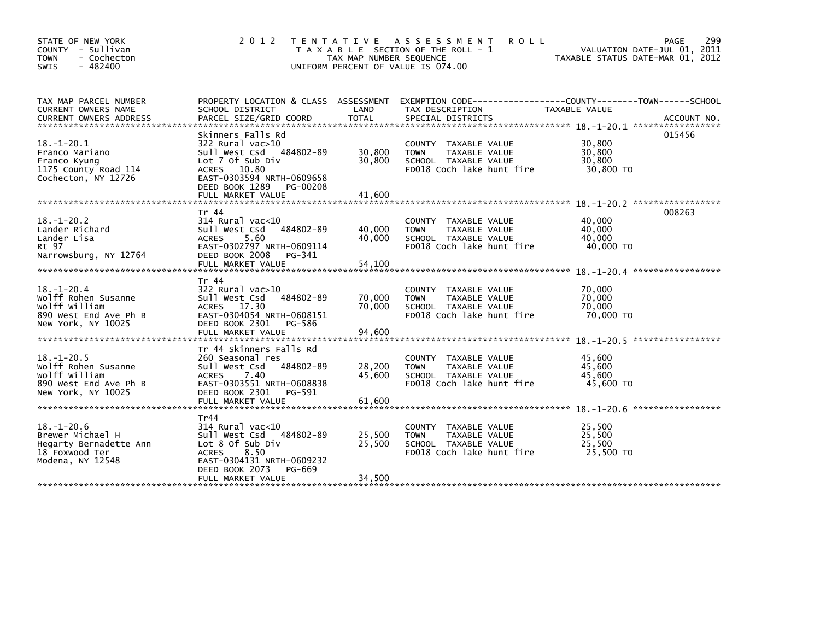| STATE OF NEW YORK<br>COUNTY - Sullivan<br>- Cochecton<br><b>TOWN</b><br>$-482400$<br><b>SWIS</b>                                        | 2 0 1 2                                                                                                                                                                                | TAX MAP NUMBER SEQUENCE    | TENTATIVE ASSESSMENT<br><b>ROLL</b><br>T A X A B L E SECTION OF THE ROLL - 1<br>UNIFORM PERCENT OF VALUE IS 074.00  | PAGE<br>VALUATION DATE-JUL 01, 2011<br>TAXABLE STATUS DATE-MAR 01, 2012                                                          | 299 |
|-----------------------------------------------------------------------------------------------------------------------------------------|----------------------------------------------------------------------------------------------------------------------------------------------------------------------------------------|----------------------------|---------------------------------------------------------------------------------------------------------------------|----------------------------------------------------------------------------------------------------------------------------------|-----|
| TAX MAP PARCEL NUMBER<br>CURRENT OWNERS NAME<br><b>CURRENT OWNERS ADDRESS</b>                                                           | SCHOOL DISTRICT<br>PARCEL SIZE/GRID COORD                                                                                                                                              | LAND<br><b>TOTAL</b>       | TAX DESCRIPTION<br>SPECIAL DISTRICTS                                                                                | PROPERTY LOCATION & CLASS ASSESSMENT EXEMPTION CODE----------------COUNTY-------TOWN------SCHOOL<br>TAXABLE VALUE<br>ACCOUNT NO. |     |
| $18.-1-20.1$<br>Franco Mariano<br>Franco Kyung<br>1175 County Road 114<br>Cochecton, NY 12726                                           | Skinners Falls Rd<br>322 Rural vac>10<br>Sull West Csd 484802-89<br>Lot 7 Of Sub Div<br>10.80<br>ACRES<br>EAST-0303594 NRTH-0609658<br>DEED BOOK 1289<br>PG-00208<br>FULL MARKET VALUE | 30,800<br>30,800<br>41.600 | <b>COUNTY</b><br>TAXABLE VALUE<br><b>TOWN</b><br>TAXABLE VALUE<br>SCHOOL TAXABLE VALUE<br>FD018 Coch lake hunt fire | 015456<br>30,800<br>30,800<br>30,800<br>30,800 TO                                                                                |     |
| $18. - 1 - 20.2$<br>Lander Richard<br>Lander Lisa<br>Rt 97<br>Narrowsburg, NY 12764                                                     | Tr 44<br>$314$ Rural vac<10<br>484802-89<br>Sull West Csd<br>5.60<br><b>ACRES</b><br>EAST-0302797 NRTH-0609114<br>DEED BOOK 2008<br>PG-341                                             | 40,000<br>40.000           | COUNTY TAXABLE VALUE<br><b>TOWN</b><br>TAXABLE VALUE<br>SCHOOL TAXABLE VALUE<br>FD018 Coch lake hunt fire           | 008263<br>40,000<br>40,000<br>40.000<br>40,000 TO                                                                                |     |
| $18. - 1 - 20.4$<br>Wolff Rohen Susanne<br>wolff william<br>890 West End Ave Ph B<br>New York, NY 10025<br>**************************** | Tr 44<br>322 Rural vac>10<br>Sull West Csd<br>484802-89<br><b>ACRES</b><br>17.30<br>EAST-0304054 NRTH-0608151<br>DEED BOOK 2301<br>PG-586<br>FULL MARKET VALUE                         | 70,000<br>70.000<br>94,600 | <b>COUNTY</b><br>TAXABLE VALUE<br><b>TOWN</b><br>TAXABLE VALUE<br>SCHOOL TAXABLE VALUE<br>FD018 Coch lake hunt fire | 70,000<br>70,000<br>70.000<br>70,000 TO                                                                                          |     |
| $18. - 1 - 20.5$<br>Wolff Rohen Susanne<br>wolff william<br>890 West End Ave Ph B<br>New York, NY 10025                                 | Tr 44 Skinners Falls Rd<br>260 Seasonal res<br>Sull West Csd<br>484802-89<br><b>ACRES</b><br>7.40<br>EAST-0303551 NRTH-0608838<br>DEED BOOK 2301<br>PG-591<br>FULL MARKET VALUE        | 28,200<br>45,600<br>61.600 | COUNTY TAXABLE VALUE<br>TAXABLE VALUE<br><b>TOWN</b><br>SCHOOL TAXABLE VALUE<br>FD018 Coch lake hunt fire           | 45,600<br>45,600<br>45.600<br>45,600 TO<br>*****************                                                                     |     |
| $18. - 1 - 20.6$<br>Brewer Michael H<br>Hegarty Bernadette Ann<br>18 Foxwood Ter<br>Modena, NY 12548                                    | Tr44<br>314 Rural vac<10<br>484802-89<br>Sull West Csd<br>Lot 8 Of Sub Div<br>8.50<br><b>ACRES</b><br>EAST-0304131 NRTH-0609232<br>DEED BOOK 2073<br>PG-669<br>FULL MARKET VALUE       | 25,500<br>25,500<br>34,500 | COUNTY TAXABLE VALUE<br>TAXABLE VALUE<br><b>TOWN</b><br>SCHOOL TAXABLE VALUE<br>FD018 Coch lake hunt fire           | 25,500<br>25,500<br>25.500<br>25,500 TO                                                                                          |     |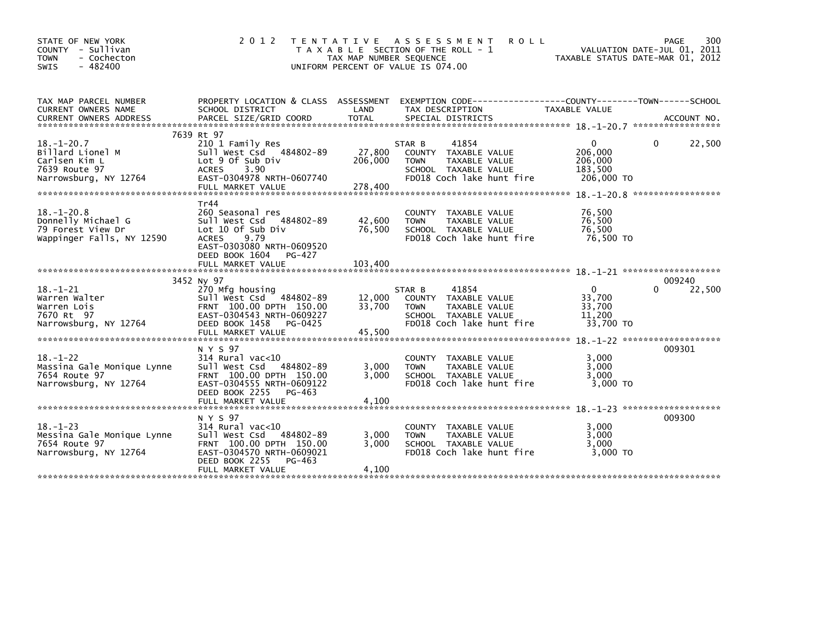| STATE OF NEW YORK<br>COUNTY<br>- Sullivan<br>- Cochecton<br><b>TOWN</b><br>$-482400$<br><b>SWIS</b> | 2 0 1 2                                                                                                                                                                           | T E N T A T I V E<br>TAX MAP NUMBER SEQUENCE | A S S E S S M E N T<br><b>ROLL</b><br>T A X A B L E SECTION OF THE ROLL - 1<br>UNIFORM PERCENT OF VALUE IS 074.00                      | TAXABLE STATUS DATE-MAR 01, 2012                        | PAGE<br>300<br>VALUATION DATE-JUL 01, 2011 |
|-----------------------------------------------------------------------------------------------------|-----------------------------------------------------------------------------------------------------------------------------------------------------------------------------------|----------------------------------------------|----------------------------------------------------------------------------------------------------------------------------------------|---------------------------------------------------------|--------------------------------------------|
| TAX MAP PARCEL NUMBER<br><b>CURRENT OWNERS NAME</b><br><b>CURRENT OWNERS ADDRESS</b>                | PROPERTY LOCATION & CLASS ASSESSMENT<br>SCHOOL DISTRICT<br>PARCEL SIZE/GRID COORD                                                                                                 | LAND<br><b>TOTAL</b>                         | EXEMPTION        CODE------------------COUNTY-------TOWN------SCHOOL<br>TAX DESCRIPTION<br>SPECIAL DISTRICTS                           | TAXABLE VALUE                                           | ACCOUNT NO.                                |
| $18. - 1 - 20.7$<br>Billard Lionel M<br>Carlsen Kim L<br>7639 Route 97<br>Narrowsburg, NY 12764     | 7639 Rt 97<br>210 1 Family Res<br>Sull West Csd 484802-89<br>Lot 9 Of Sub Div<br>3.90<br><b>ACRES</b><br>EAST-0304978 NRTH-0607740<br>FULL MARKET VALUE                           | 27,800<br>206,000<br>278,400                 | 41854<br>STAR B<br>TAXABLE VALUE<br><b>COUNTY</b><br>TAXABLE VALUE<br><b>TOWN</b><br>SCHOOL TAXABLE VALUE<br>FD018 Coch lake hunt fire | $\Omega$<br>206,000<br>206,000<br>183,500<br>206,000 TO | 22,500<br>0                                |
| $18. - 1 - 20.8$<br>Donnelly Michael G<br>79 Forest View Dr<br>Wappinger Falls, NY 12590            | Tr44<br>260 Seasonal res<br>Sull West Csd<br>484802-89<br>Lot 10 of Sub Div<br>9.79<br><b>ACRES</b><br>EAST-0303080 NRTH-0609520<br>DEED BOOK 1604<br>PG-427<br>FULL MARKET VALUE | 42,600<br>76,500<br>103,400                  | <b>COUNTY</b><br>TAXABLE VALUE<br>TAXABLE VALUE<br><b>TOWN</b><br>SCHOOL TAXABLE VALUE<br>FD018 Coch lake hunt fire                    | 76,500<br>76,500<br>76,500<br>76,500 TO                 |                                            |
|                                                                                                     |                                                                                                                                                                                   |                                              |                                                                                                                                        |                                                         |                                            |
| $18. - 1 - 21$<br>Warren Walter<br>Warren Lois<br>7670 Rt 97<br>Narrowsburg, NY 12764               | 3452 Ny 97<br>270 Mfg housing<br>Sull West Csd 484802-89<br>FRNT 100.00 DPTH 150.00<br>EAST-0304543 NRTH-0609227<br>DEED BOOK 1458<br>PG-0425<br>FULL MARKET VALUE                | 12,000<br>33,700<br>45,500                   | STAR B<br>41854<br>TAXABLE VALUE<br><b>COUNTY</b><br>TAXABLE VALUE<br><b>TOWN</b><br>SCHOOL TAXABLE VALUE<br>FD018 Coch lake hunt fire | $\mathbf{0}$<br>33,700<br>33,700<br>11,200<br>33,700 TO | 009240<br>22,500<br>0                      |
| $18. - 1 - 22$<br>Massina Gale Monique Lynne<br>7654 Route 97<br>Narrowsburg, NY 12764              | N Y S 97<br>$314$ Rural vac<10<br>Sull West Csd<br>484802-89<br>FRNT 100.00 DPTH 150.00<br>EAST-0304555 NRTH-0609122<br>DEED BOOK 2255<br>PG-463                                  | 3,000<br>3.000                               | <b>COUNTY</b><br>TAXABLE VALUE<br>TAXABLE VALUE<br><b>TOWN</b><br>SCHOOL TAXABLE VALUE<br>FD018 Coch lake hunt fire                    | 3,000<br>3,000<br>3,000<br>3,000 TO                     | 009301                                     |
| $18. - 1 - 23$<br>Messina Gale Monique Lynne<br>7654 Route 97<br>Narrowsburg, NY 12764              | N Y S 97<br>$314$ Rural vac<10<br>Sull West Csd<br>484802-89<br>FRNT 100.00 DPTH 150.00<br>EAST-0304570 NRTH-0609021<br>DEED BOOK 2255<br>PG-463<br>FULL MARKET VALUE             | 3,000<br>3,000<br>4.100                      | <b>COUNTY</b><br>TAXABLE VALUE<br>TAXABLE VALUE<br><b>TOWN</b><br>SCHOOL TAXABLE VALUE<br>FD018 Coch lake hunt fire                    | 3.000<br>3,000<br>3.000<br>3,000 TO                     | 009300                                     |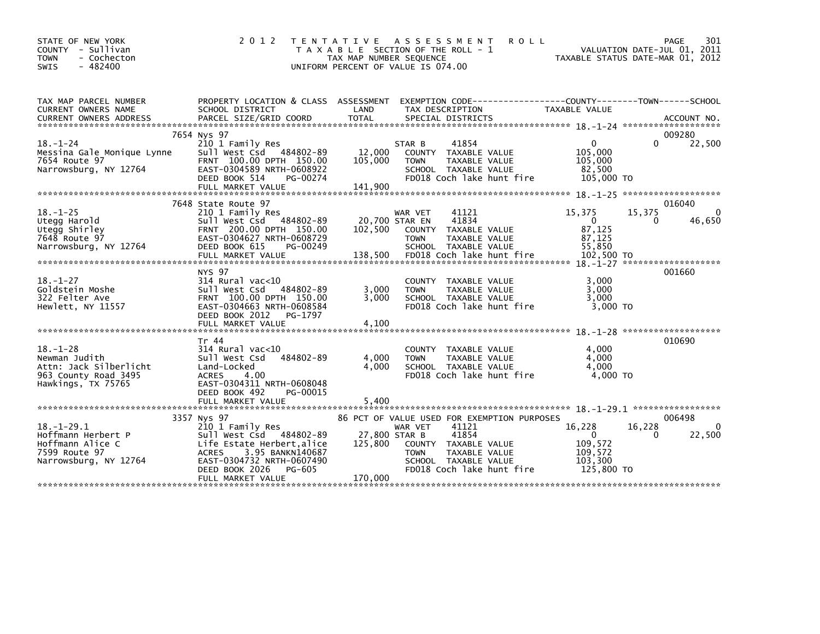| STATE OF NEW YORK<br>COUNTY - Sullivan<br><b>TOWN</b><br>- Cochecton<br>$-482400$<br><b>SWIS</b>        | 2 0 1 2                                                                                                                                                                                                    | ASSESSMENT<br><b>ROLL</b><br>T E N T A T I V E<br>T A X A B L E SECTION OF THE ROLL - 1<br>TAX MAP NUMBER SEQUENCE<br>UNIFORM PERCENT OF VALUE IS 074.00                                                                     | 301<br>PAGE<br>VALUATION DATE-JUL 01, 2011<br>TAXABLE STATUS DATE-MAR 01, 2012                                          |
|---------------------------------------------------------------------------------------------------------|------------------------------------------------------------------------------------------------------------------------------------------------------------------------------------------------------------|------------------------------------------------------------------------------------------------------------------------------------------------------------------------------------------------------------------------------|-------------------------------------------------------------------------------------------------------------------------|
| TAX MAP PARCEL NUMBER<br>CURRENT OWNERS NAME<br><b>CURRENT OWNERS ADDRESS</b>                           | PROPERTY LOCATION & CLASS ASSESSMENT<br>SCHOOL DISTRICT<br>PARCEL SIZE/GRID COORD                                                                                                                          | LAND<br>TAX DESCRIPTION<br><b>TOTAL</b><br>SPECIAL DISTRICTS                                                                                                                                                                 | EXEMPTION        CODE-----------------COUNTY--------TOWN------SCHOOL<br>TAXABLE VALUE<br>ACCOUNT NO.                    |
| $18. - 1 - 24$<br>Messina Gale Monique Lynne<br>7654 Route 97<br>Narrowsburg, NY 12764                  | 7654 Nys 97<br>210 1 Family Res<br>Sull West Csd 484802-89<br>FRNT 100.00 DPTH 150.00<br>EAST-0304589 NRTH-0608922<br>DEED BOOK 514<br>PG-00274<br>FULL MARKET VALUE                                       | 41854<br>STAR B<br>12,000<br>COUNTY TAXABLE VALUE<br>105,000<br><b>TOWN</b><br>TAXABLE VALUE<br>SCHOOL TAXABLE VALUE<br>FD018 Coch lake hunt fire<br>141,900                                                                 | 009280<br>22,500<br><sup>n</sup><br>$\Omega$<br>105,000<br>105,000<br>82,500<br>105,000 TO<br>*******************       |
| $18. - 1 - 25$<br>Utegg Harold<br>Utegg Shirley<br>7648 Route 97<br>Narrowsburg, NY 12764               | 7648 State Route 97<br>210 1 Family Res<br>484802-89<br>Sull West Csd<br>FRNT 200.00 DPTH 150.00<br>EAST-0304627 NRTH-0608729<br>DEED BOOK 615<br>PG-00249<br>FULL MARKET VALUE                            | WAR VET<br>41121<br>41834<br>20.700 STAR EN<br>102,500<br>COUNTY<br>TAXABLE VALUE<br><b>TAXABLE VALUE</b><br><b>TOWN</b><br>SCHOOL TAXABLE VALUE<br>138,500<br>FD018 Coch lake hunt fire                                     | 016040<br>15,375<br>$\Omega$<br>15,375<br>$\mathbf{0}$<br>46,650<br>0<br>87,125<br>87,125<br>55,850<br>102,500 TO       |
| $18. - 1 - 27$<br>Goldstein Moshe<br>322 Felter Ave<br>Hewlett, NY 11557                                | <b>NYS 97</b><br>$314$ Rural vac<10<br>Sull West Csd<br>484802-89<br>FRNT 100.00 DPTH 150.00<br>EAST-0304663 NRTH-0608584<br>DEED BOOK 2012<br>PG-1797<br>FULL MARKET VALUE                                | COUNTY TAXABLE VALUE<br>3,000<br><b>TOWN</b><br>TAXABLE VALUE<br>3.000<br>SCHOOL TAXABLE VALUE<br>FD018 Coch lake hunt fire<br>4,100                                                                                         | 001660<br>3,000<br>3.000<br>3.000<br>3,000 TO                                                                           |
| $18. - 1 - 28$<br>Newman Judith<br>Attn: Jack Silberlicht<br>963 County Road 3495<br>Hawkings, TX 75765 | Tr 44<br>$314$ Rural vac<10<br>484802-89<br>Sull West Csd<br>Land-Locked<br><b>ACRES</b><br>4.00<br>EAST-0304311 NRTH-0608048<br>DEED BOOK 492<br>PG-00015<br>FULL MARKET VALUE                            | COUNTY TAXABLE VALUE<br>4,000<br>TAXABLE VALUE<br><b>TOWN</b><br>4.000<br>SCHOOL TAXABLE VALUE<br>FD018 Coch lake hunt fire<br>5.400                                                                                         | 010690<br>4,000<br>4.000<br>4.000<br>4,000 TO                                                                           |
| $18. - 1 - 29.1$<br>Hoffmann Herbert P<br>Hoffmann Alice C<br>7599 Route 97<br>Narrowsburg, NY 12764    | 3357 Nys 97<br>210 1 Family Res<br>Sull West Csd 484802-89<br>Life Estate Herbert, alice<br><b>ACRES</b><br>3.95 BANKN140687<br>EAST-0304732 NRTH-0607490<br>DEED BOOK 2026<br>PG-605<br>FULL MARKET VALUE | 86 PCT OF VALUE USED FOR EXEMPTION PURPOSES<br>41121<br>WAR VET<br>27,800 STAR B<br>41854<br>125,800<br>COUNTY TAXABLE VALUE<br>TAXABLE VALUE<br><b>TOWN</b><br>SCHOOL TAXABLE VALUE<br>FD018 Coch lake hunt fire<br>170,000 | 006498<br>16,228<br>$\Omega$<br>16,228<br>22,500<br>$\Omega$<br>$\Omega$<br>109,572<br>109,572<br>103,300<br>125,800 TO |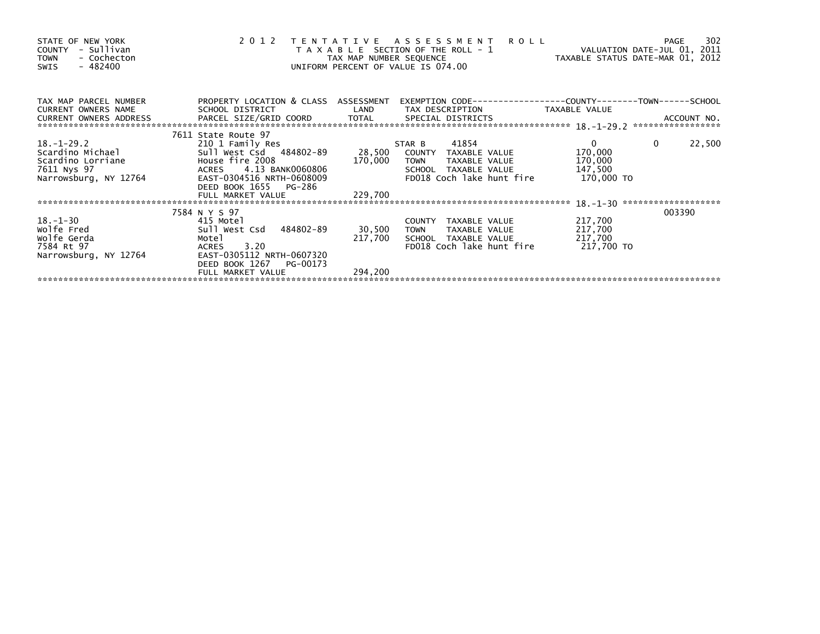| STATE OF NEW YORK<br>COUNTY - Sullivan<br>- Cochecton<br><b>TOWN</b><br>$-482400$<br>SWIS                     | 2012 TENTATIVE ASSESSMENT                                                                                                                                               | T A X A B L E SECTION OF THE ROLL - 1<br>TAX MAP NUMBER SEQUENCE<br>UNIFORM PERCENT OF VALUE IS 074.00 | <b>ROLL</b>                                                                                                | VALUATION DATE-JUL 01, 2011<br>VALUATION DATE SUL 11        | 302<br>PAGE              |
|---------------------------------------------------------------------------------------------------------------|-------------------------------------------------------------------------------------------------------------------------------------------------------------------------|--------------------------------------------------------------------------------------------------------|------------------------------------------------------------------------------------------------------------|-------------------------------------------------------------|--------------------------|
| TAX MAP PARCEL NUMBER<br>CURRENT OWNERS NAME<br>CURRENT OWNERS ADDRESS                                        | PROPERTY LOCATION & CLASS ASSESSMENT<br>SCHOOL DISTRICT                                                                                                                 | LAND                                                                                                   | TAX DESCRIPTION                                                                                            | TAXABLE VALUE                                               |                          |
| 18. –1–29. 2<br>Scardino Michael<br>Scardino Lorriane Mouse fire 2008<br>7611 Nys 97<br>Narrowsburg, NY 12764 | 7611 State Route 97<br>210 1 Family Res<br>Sull West Csd 484802-89<br>ACRES 4.13 BANK0060806<br>EAST-0304516 NRTH-0608009<br>DEED BOOK 1655 PG-286<br>FULL MARKET VALUE | STAR B<br>170,000<br><b>TOWN</b><br>229,700                                                            | 41854<br>28,500 COUNTY TAXABLE VALUE<br>TAXABLE VALUE<br>SCHOOL TAXABLE VALUE<br>FD018 Coch lake hunt fire | $\mathbf{0}$<br>170,000<br>170,000<br>147,500<br>170,000 TO | $\overline{0}$<br>22,500 |
| $18. - 1 - 30$<br>Wolfe Fred<br>wolfe Gerda<br>7584 Rt 97<br>Narrowsburg, NY 12764                            | 7584 N Y S 97<br>415 Motel<br>Sull West Csd 484802-89<br>Motel<br>ACRES 3.20<br>EAST-0305112 NRTH-0607320<br>DEED BOOK 1267<br>PG-00173<br>FULL MARKET VALUE            | 30,500<br>TOWN<br>217,700<br>294,200                                                                   | COUNTY TAXABLE VALUE<br>TAXABLE VALUE<br>SCHOOL TAXABLE VALUE<br>FD018 Coch lake hunt fire                 | 217,700<br>217,700<br>217,700<br>217,700 TO                 | 003390                   |
|                                                                                                               |                                                                                                                                                                         |                                                                                                        |                                                                                                            |                                                             |                          |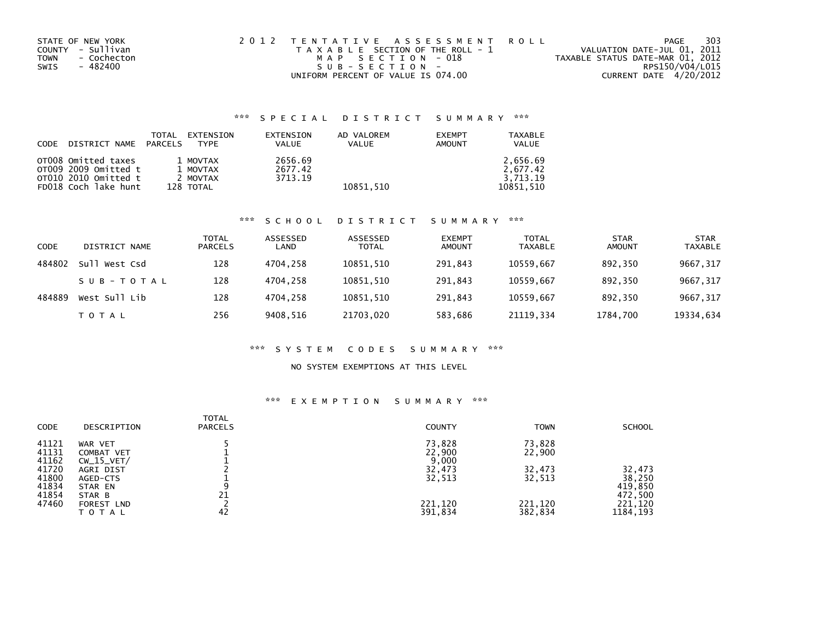| STATE OF NEW YORK   | 2012 TENTATIVE ASSESSMENT ROLL        | PAGE                             | 303             |
|---------------------|---------------------------------------|----------------------------------|-----------------|
| COUNTY - Sullivan   | T A X A B L E SECTION OF THE ROLL - 1 | VALUATION DATE-JUL 01, 2011      |                 |
| - Cochecton<br>TOWN | MAP SECTION - 018                     | TAXABLE STATUS DATE-MAR 01, 2012 |                 |
| - 482400<br>SWIS    | SUB-SECTION-                          |                                  | RPS150/V04/L015 |
|                     | UNIFORM PERCENT OF VALUE IS 074.00    | CURRENT DATE 4/20/2012           |                 |

# \*\*\* S P E C I A L D I S T R I C T S U M M A R Y \*\*\*

| CODE | DISTRICT NAME PARCELS                       | EXTENSION<br>TOTAL<br><b>TYPF</b> | EXTENSION<br><b>VALUE</b> | AD VALOREM<br><b>VALUE</b> | <b>EXEMPT</b><br><b>AMOUNT</b> | TAXABLE<br><b>VALUE</b> |
|------|---------------------------------------------|-----------------------------------|---------------------------|----------------------------|--------------------------------|-------------------------|
|      | OTO08 Omitted taxes<br>OT009 2009 Omitted t | 1 MOVTAX<br>1 MOVTAX              | 2656.69<br>2677.42        |                            |                                | 2.656.69<br>2.677.42    |
|      | OT010 2010 Omitted t                        | 2 MOVTAX                          | 3713.19                   |                            |                                | 3.713.19                |
|      | FD018 Coch lake hunt                        | 128 TOTAL                         |                           | 10851.510                  |                                | 10851.510               |

### \*\*\* S C H O O L D I S T R I C T S U M M A R Y \*\*\*

| CODE   | DISTRICT NAME | TOTAL<br><b>PARCELS</b> | ASSESSED<br>LAND | ASSESSED<br><b>TOTAL</b> | <b>EXEMPT</b><br><b>AMOUNT</b> | <b>TOTAL</b><br><b>TAXABLE</b> | <b>STAR</b><br><b>AMOUNT</b> | <b>STAR</b><br><b>TAXABLE</b> |
|--------|---------------|-------------------------|------------------|--------------------------|--------------------------------|--------------------------------|------------------------------|-------------------------------|
| 484802 | Sull West Csd | 128                     | 4704.258         | 10851.510                | 291.843                        | 10559.667                      | 892.350                      | 9667, 317                     |
|        | SUB-TOTAL     | 128                     | 4704.258         | 10851,510                | 291.843                        | 10559.667                      | 892.350                      | 9667,317                      |
| 484889 | West Sull Lib | 128                     | 4704.258         | 10851,510                | 291.843                        | 10559.667                      | 892.350                      | 9667,317                      |
|        | T O T A L     | 256                     | 9408.516         | 21703,020                | 583,686                        | 21119.334                      | 1784,700                     | 19334,634                     |

### \*\*\* S Y S T E M C O D E S S U M M A R Y \*\*\*

## NO SYSTEM EXEMPTIONS AT THIS LEVEL

## \*\*\* E X E M P T I O N S U M M A R Y \*\*\*

| <b>CODE</b> | DESCRIPTION  | <b>TOTAL</b><br><b>PARCELS</b> | <b>COUNTY</b> | <b>TOWN</b> | <b>SCHOOL</b> |
|-------------|--------------|--------------------------------|---------------|-------------|---------------|
| 41121       | WAR VET      |                                | 73,828        | 73,828      |               |
| 41131       | COMBAT VET   |                                | 22,900        | 22,900      |               |
| 41162       | $CW_15_VET/$ |                                | 9,000         |             |               |
| 41720       | AGRI DIST    |                                | 32,473        | 32,473      | 32,473        |
| 41800       | AGED-CTS     |                                | 32,513        | 32,513      | 38,250        |
| 41834       | STAR EN      | 9                              |               |             | 419,850       |
| 41854       | STAR B       | 21                             |               |             | 472,500       |
| 47460       | FOREST LND   |                                | 221,120       | 221,120     | 221,120       |
|             | TOTAL        | 42                             | 391,834       | 382,834     | 1184, 193     |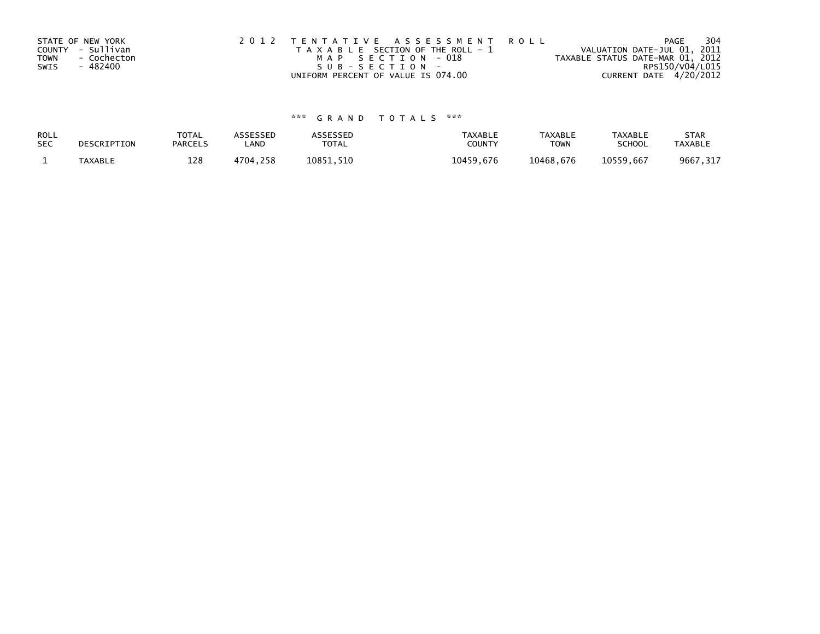| STATE OF NEW YORK   | 2012 TENTATIVE ASSESSMENT ROLL        | 304<br>PAGE                      |
|---------------------|---------------------------------------|----------------------------------|
| COUNTY - Sullivan   | T A X A B L E SECTION OF THE ROLL - 1 | VALUATION DATE-JUL 01, 2011      |
| TOWN<br>- Cochecton | MAP SECTION - 018                     | TAXABLE STATUS DATE-MAR 01, 2012 |
| - 482400<br>SWIS    | SUB-SECTION-                          | RPS150/V04/L015                  |
|                     | UNIFORM PERCENT OF VALUE IS 074.00    | CURRENT DATE 4/20/2012           |

# \*\*\* G R A N D T O T A L S \*\*\*

| ROLL       | DESCRIPTION | <b>TOTAL</b>   | <b>ASSESSED</b> | <b>ASSESSED</b> | <b>TAXABLE</b> | <b>TAXABLE</b> | TAXABLE       | <b>STAR</b>    |
|------------|-------------|----------------|-----------------|-----------------|----------------|----------------|---------------|----------------|
| <b>SEC</b> |             | <b>PARCELS</b> | LAND            | <b>TOTAL</b>    | COUNTY         | <b>TOWN</b>    | <b>SCHOOL</b> | <b>TAXABLE</b> |
|            | TAXABLE     | 128            | 4704,258        | 10851.510       | 10459.676      | 10468.676      | 10559.667     | 9667, 317      |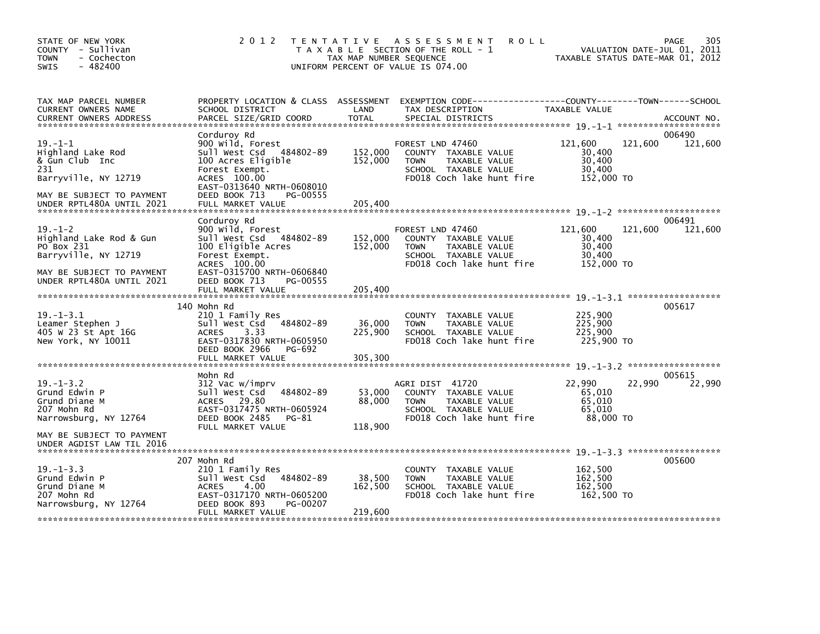| STATE OF NEW YORK<br>COUNTY - Sullivan<br><b>TOWN</b><br>- Cochecton<br>$-482400$<br>SWIS                                                | 2 0 1 2                                                                                                                                                                      | TAX MAP NUMBER SEQUENCE     | TENTATIVE ASSESSMENT<br><b>ROLL</b><br>T A X A B L E SECTION OF THE ROLL - 1<br>UNIFORM PERCENT OF VALUE IS 074.00            | VALUATION DATE-JUL 01, 2011<br>TAXABLE STATUS DATE-MAR 01, 2012 | 305<br>PAGE       |
|------------------------------------------------------------------------------------------------------------------------------------------|------------------------------------------------------------------------------------------------------------------------------------------------------------------------------|-----------------------------|-------------------------------------------------------------------------------------------------------------------------------|-----------------------------------------------------------------|-------------------|
| TAX MAP PARCEL NUMBER<br>CURRENT OWNERS NAME<br><b>CURRENT OWNERS ADDRESS</b>                                                            | PROPERTY LOCATION & CLASS ASSESSMENT<br>SCHOOL DISTRICT<br>PARCEL SIZE/GRID COORD                                                                                            | LAND<br><b>TOTAL</b>        | TAX DESCRIPTION<br>SPECIAL DISTRICTS                                                                                          | TAXABLE VALUE                                                   | ACCOUNT NO.       |
| $19. - 1 - 1$<br>Highland Lake Rod<br>& Gun Club Inc<br>231<br>Barryville, NY 12719<br>MAY BE SUBJECT TO PAYMENT                         | Corduroy Rd<br>900 wild, Forest<br>Sull West Csd 484802-89<br>100 Acres Eligible<br>Forest Exempt.<br>ACRES 100.00<br>EAST-0313640 NRTH-0608010<br>DEED BOOK 713<br>PG-00555 | 152,000<br>152,000          | FOREST LND 47460<br>COUNTY TAXABLE VALUE<br>TAXABLE VALUE<br><b>TOWN</b><br>SCHOOL TAXABLE VALUE<br>FD018 Coch lake hunt fire | 121,600<br>121,600<br>30,400<br>30,400<br>30,400<br>152,000 TO  | 006490<br>121,600 |
| UNDER RPTL480A UNTIL 2021                                                                                                                | FULL MARKET VALUE                                                                                                                                                            | 205,400                     |                                                                                                                               |                                                                 |                   |
| $19. - 1 - 2$<br>Highland Lake Rod & Gun<br>PO Box 231<br>Barryville, NY 12719<br>MAY BE SUBJECT TO PAYMENT<br>UNDER RPTL480A UNTIL 2021 | Corduroy Rd<br>900 Wild, Forest<br>Sull West Csd 484802-89<br>100 Eligible Acres<br>Forest Exempt.<br>ACRES 100.00<br>EAST-0315700 NRTH-0606840<br>DEED BOOK 713<br>PG-00555 | 152,000<br>152,000          | FOREST LND 47460<br>COUNTY TAXABLE VALUE<br><b>TOWN</b><br>TAXABLE VALUE<br>SCHOOL TAXABLE VALUE<br>FD018 Coch lake hunt fire | 121,600<br>121,600<br>30.400<br>30,400<br>30,400<br>152,000 TO  | 006491<br>121,600 |
|                                                                                                                                          |                                                                                                                                                                              |                             |                                                                                                                               |                                                                 | 005617            |
| $19. - 1 - 3.1$<br>Leamer Stephen J<br>405 W 23 St Apt 16G<br>New York, NY 10011                                                         | 140 Mohn Rd<br>210 1 Family Res<br>484802-89<br>Sull West Csd<br>3.33<br><b>ACRES</b><br>EAST-0317830 NRTH-0605950<br>DEED BOOK 2966<br>PG-692                               | 36,000<br>225,900           | COUNTY TAXABLE VALUE<br><b>TOWN</b><br>TAXABLE VALUE<br>SCHOOL TAXABLE VALUE<br>FD018 Coch lake hunt fire                     | 225,900<br>225,900<br>225,900<br>225,900 TO                     |                   |
|                                                                                                                                          |                                                                                                                                                                              |                             |                                                                                                                               |                                                                 |                   |
| $19. - 1 - 3.2$<br>Grund Edwin P<br>Grund Diane M<br>207 Mohn Rd<br>Narrowsburg, NY 12764                                                | Mohn Rd<br>312 Vac w/imprv<br>Sull West Csd<br>484802-89<br>ACRES 29.80<br>EAST-0317475 NRTH-0605924<br>DEED BOOK 2485<br>PG-81<br>FULL MARKET VALUE                         | 53,000<br>88,000<br>118,900 | AGRI DIST 41720<br>COUNTY TAXABLE VALUE<br>TAXABLE VALUE<br><b>TOWN</b><br>SCHOOL TAXABLE VALUE<br>FD018 Coch lake hunt fire  | 22,990<br>22,990<br>65,010<br>65.010<br>65.010<br>88,000 TO     | 005615<br>22,990  |
| MAY BE SUBJECT TO PAYMENT<br>UNDER AGDIST LAW TIL 2016                                                                                   |                                                                                                                                                                              |                             |                                                                                                                               |                                                                 |                   |
|                                                                                                                                          | 207 Mohn Rd                                                                                                                                                                  |                             |                                                                                                                               |                                                                 | 005600            |
| $19. - 1 - 3.3$<br>Grund Edwin P<br>Grund Diane M<br>207 Mohn Rd<br>Narrowsburg, NY 12764                                                | 210 1 Family Res<br>484802-89<br>Sull West Csd<br>4.00<br><b>ACRES</b><br>EAST-0317170 NRTH-0605200<br>DEED BOOK 893<br>PG-00207                                             | 38,500<br>162,500           | COUNTY TAXABLE VALUE<br><b>TOWN</b><br>TAXABLE VALUE<br>SCHOOL TAXABLE VALUE<br>FD018 Coch lake hunt fire                     | 162,500<br>162,500<br>162.500<br>162,500 TO                     |                   |
|                                                                                                                                          | FULL MARKET VALUE                                                                                                                                                            | 219,600                     |                                                                                                                               |                                                                 |                   |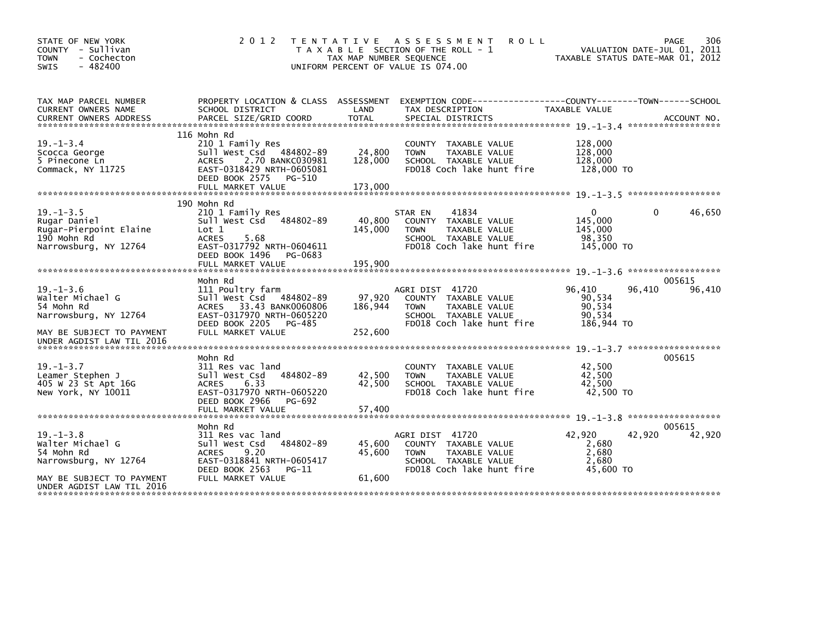| STATE OF NEW YORK<br>COUNTY - Sullivan<br><b>TOWN</b><br>- Cochecton<br>$-482400$<br><b>SWIS</b>                                     | 2 0 1 2                                                                                                                                                                      | TAX MAP NUMBER SEQUENCE      | TENTATIVE ASSESSMENT<br><b>ROLL</b><br>T A X A B L E SECTION OF THE ROLL - 1<br>UNIFORM PERCENT OF VALUE IS 074.00            |                                                            | 306<br>PAGE<br>VALUATION DATE-JUL 01, 2011<br>TAXABLE STATUS DATE-MAR 01, 2012 |
|--------------------------------------------------------------------------------------------------------------------------------------|------------------------------------------------------------------------------------------------------------------------------------------------------------------------------|------------------------------|-------------------------------------------------------------------------------------------------------------------------------|------------------------------------------------------------|--------------------------------------------------------------------------------|
| TAX MAP PARCEL NUMBER<br>CURRENT OWNERS NAME                                                                                         | PROPERTY LOCATION & CLASS ASSESSMENT<br>SCHOOL DISTRICT                                                                                                                      | LAND                         | EXEMPTION CODE-----------------COUNTY-------TOWN------SCHOOL<br>TAX DESCRIPTION                                               | TAXABLE VALUE                                              |                                                                                |
| $19. - 1 - 3.4$<br>Scocca George<br>5 Pinecone Ln<br>Commack, NY 11725                                                               | 116 Mohn Rd<br>210 1 Family Res<br>Sull West Csd 484802-89<br>2.70 BANKC030981<br><b>ACRES</b><br>EAST-0318429 NRTH-0605081<br>DEED BOOK 2575<br>PG-510<br>FULL MARKET VALUE | 24,800<br>128,000<br>173,000 | COUNTY TAXABLE VALUE<br><b>TOWN</b><br>TAXABLE VALUE<br>SCHOOL TAXABLE VALUE<br>FD018 Coch lake hunt fire                     | 128,000<br>128,000<br>128,000<br>128,000 TO                |                                                                                |
|                                                                                                                                      |                                                                                                                                                                              |                              |                                                                                                                               |                                                            |                                                                                |
| $19. - 1 - 3.5$<br>Rugar Daniel<br>Rugar-Pierpoint Elaine<br>190 Mohn Rd<br>Narrowsburg, NY 12764                                    | 190 Mohn Rd<br>210 1 Family Res<br>Sull West Csd<br>484802-89<br>Lot 1<br><b>ACRES</b><br>5.68<br>EAST-0317792 NRTH-0604611<br>DEED BOOK 1496<br>PG-0683                     | 40,800<br>145,000            | 41834<br>STAR EN<br>COUNTY TAXABLE VALUE<br>TAXABLE VALUE<br><b>TOWN</b><br>SCHOOL TAXABLE VALUE<br>FD018 Coch lake hunt fire | $\mathbf{0}$<br>145,000<br>145,000<br>98,350<br>145,000 TO | 46,650<br>$\Omega$                                                             |
|                                                                                                                                      | FULL MARKET VALUE                                                                                                                                                            | 195,900                      |                                                                                                                               |                                                            | *******************                                                            |
|                                                                                                                                      | Mohn Rd                                                                                                                                                                      |                              |                                                                                                                               |                                                            | 005615                                                                         |
| $19. - 1 - 3.6$<br>Walter Michael G<br>54 Mohn Rd<br>Narrowsburg, NY 12764<br>MAY BE SUBJECT TO PAYMENT<br>UNDER AGDIST LAW TIL 2016 | 111 Poultry farm<br>Sull West Csd<br>484802-89<br>ACRES 33.43 BANK0060806<br>EAST-0317970 NRTH-0605220<br>DEED BOOK 2205<br>PG-485<br>FULL MARKET VALUE                      | 97.920<br>186,944<br>252,600 | AGRI DIST 41720<br>COUNTY TAXABLE VALUE<br>TAXABLE VALUE<br><b>TOWN</b><br>SCHOOL TAXABLE VALUE<br>FD018 Coch lake hunt fire  | 96,410<br>90,534<br>90,534<br>90,534<br>186,944 TO         | 96,410<br>96,410                                                               |
|                                                                                                                                      |                                                                                                                                                                              |                              |                                                                                                                               |                                                            |                                                                                |
| $19. - 1 - 3.7$<br>Leamer Stephen J<br>405 W 23 St Apt 16G<br>New York, NY 10011                                                     | Mohn Rd<br>311 Res vac land<br>Sull West Csd<br>484802-89<br>6.33<br><b>ACRES</b><br>EAST-0317970 NRTH-0605220<br>DEED BOOK 2966<br>PG-692<br>FULL MARKET VALUE              | 42,500<br>42,500<br>57,400   | <b>COUNTY</b><br>TAXABLE VALUE<br><b>TAXABLE VALUE</b><br><b>TOWN</b><br>SCHOOL TAXABLE VALUE<br>FD018 Coch lake hunt fire    | 42,500<br>42.500<br>42,500<br>42,500 TO                    | 005615                                                                         |
|                                                                                                                                      |                                                                                                                                                                              |                              |                                                                                                                               |                                                            | ******************                                                             |
| $19. - 1 - 3.8$<br>Walter Michael G<br>54 Mohn Rd<br>Narrowsburg, NY 12764                                                           | Mohn Rd<br>311 Res vac land<br>484802-89<br>Sull West Csd<br>9.20<br><b>ACRES</b><br>EAST-0318841 NRTH-0605417<br>DEED BOOK 2563<br>$PG-11$                                  | 45.600<br>45,600             | AGRI DIST 41720<br>COUNTY TAXABLE VALUE<br><b>TOWN</b><br>TAXABLE VALUE<br>SCHOOL TAXABLE VALUE<br>FD018 Coch lake hunt fire  | 42.920<br>2,680<br>2,680<br>2.680<br>45,600 TO             | 005615<br>42,920<br>42,920                                                     |
| MAY BE SUBJECT TO PAYMENT<br>UNDER AGDIST LAW TIL 2016                                                                               | FULL MARKET VALUE                                                                                                                                                            | 61,600                       |                                                                                                                               |                                                            |                                                                                |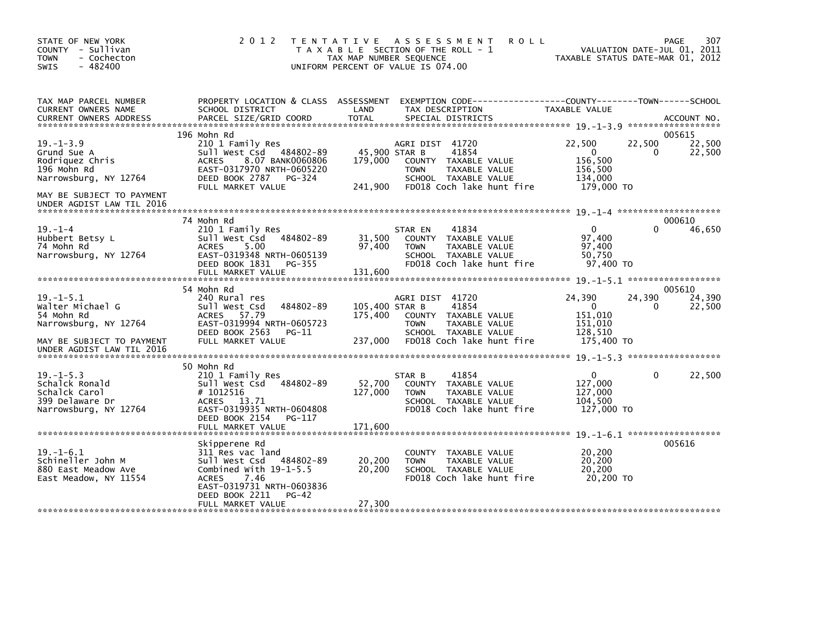| STATE OF NEW YORK<br>COUNTY - Sullivan<br><b>TOWN</b><br>- Cochecton<br>$-482400$<br><b>SWIS</b>                       | 2 0 1 2                                                                                                                                                                       | TENTATIVE ASSESSMENT<br><b>ROLL</b><br>T A X A B L E SECTION OF THE ROLL - 1<br>TAX MAP NUMBER SEQUENCE<br>UNIFORM PERCENT OF VALUE IS 074.00                                 | 307<br>PAGE<br>VALUATION DATE-JUL 01, 2011<br>TAXABLE STATUS DATE-MAR 01, 2012                                     |
|------------------------------------------------------------------------------------------------------------------------|-------------------------------------------------------------------------------------------------------------------------------------------------------------------------------|-------------------------------------------------------------------------------------------------------------------------------------------------------------------------------|--------------------------------------------------------------------------------------------------------------------|
| TAX MAP PARCEL NUMBER<br>CURRENT OWNERS NAME                                                                           | PROPERTY LOCATION & CLASS ASSESSMENT<br>SCHOOL DISTRICT                                                                                                                       | LAND<br>TAX DESCRIPTION                                                                                                                                                       | TAXABLE VALUE<br>ACCOUNT NO.<br>*******************                                                                |
| $19. - 1 - 3.9$<br>Grund Sue A<br>Rodriquez Chris<br>196 Mohn Rd<br>Narrowsburg, NY 12764<br>MAY BE SUBJECT TO PAYMENT | 196 Mohn Rd<br>210 1 Family Res<br>484802-89<br>Sull West Csd<br><b>ACRES</b><br>8.07 BANK0060806<br>EAST-0317970 NRTH-0605220<br>DEED BOOK 2787 PG-324<br>FULL MARKET VALUE  | AGRI DIST 41720<br>45,900 STAR B<br>41854<br>179,000<br>COUNTY TAXABLE VALUE<br><b>TOWN</b><br>TAXABLE VALUE<br>SCHOOL TAXABLE VALUE<br>241,900<br>FD018 Coch lake hunt fire  | 005615<br>22,500<br>22,500<br>22,500<br>$\mathbf{0}$<br>22,500<br>0<br>156,500<br>156,500<br>134,000<br>179,000 TO |
| UNDER AGDIST LAW TIL 2016                                                                                              |                                                                                                                                                                               |                                                                                                                                                                               |                                                                                                                    |
| $19. - 1 - 4$<br>Hubbert Betsy L<br>74 Mohn Rd<br>Narrowsburg, NY 12764                                                | 74 Mohn Rd<br>210 1 Family Res<br>484802-89<br>Sull West Csd<br><b>ACRES</b><br>5.00<br>EAST-0319348 NRTH-0605139<br>DEED BOOK 1831 PG-355<br>FULL MARKET VALUE               | 41834<br>STAR EN<br>31,500<br>COUNTY TAXABLE VALUE<br>97,400<br>TAXABLE VALUE<br><b>TOWN</b><br>SCHOOL TAXABLE VALUE<br>FD018 Coch lake hunt fire<br>131,600                  | 000610<br>46,650<br>$\Omega$<br>0<br>97,400<br>97,400<br>50,750<br>97,400 TO                                       |
|                                                                                                                        | 54 Mohn Rd                                                                                                                                                                    |                                                                                                                                                                               | 005610                                                                                                             |
| $19. - 1 - 5.1$<br>Walter Michael G<br>54 Mohn Rd<br>Narrowsburg, NY 12764<br>MAY BE SUBJECT TO PAYMENT                | 240 Rural res<br>484802-89<br>Sull West Csd<br>ACRES 57.79<br>EAST-0319994 NRTH-0605723<br>DEED BOOK 2563<br>$PG-11$<br>FULL MARKET VALUE                                     | AGRI DIST 41720<br>41854<br>105,400 STAR B<br>175,400<br>COUNTY TAXABLE VALUE<br>TAXABLE VALUE<br><b>TOWN</b><br>SCHOOL TAXABLE VALUE<br>237,000<br>FD018 Coch lake hunt fire | 24,390<br>24.390<br>24,390<br>$\mathbf{0}$<br>22,500<br>0<br>151,010<br>151.010<br>128,510<br>175,400 TO           |
| UNDER AGDIST LAW TIL 2016                                                                                              |                                                                                                                                                                               |                                                                                                                                                                               |                                                                                                                    |
|                                                                                                                        | 50 Mohn Rd                                                                                                                                                                    |                                                                                                                                                                               |                                                                                                                    |
| $19. - 1 - 5.3$<br>Schalck Ronald<br>Schalck Carol<br>399 Delaware Dr<br>Narrowsburg, NY 12764                         | 210 1 Family Res<br>Sull West Csd<br>484802-89<br># 1012516<br>ACRES 13.71<br>EAST-0319935 NRTH-0604808<br>DEED BOOK 2154<br>PG-117                                           | 41854<br>STAR B<br>52,700<br>COUNTY TAXABLE VALUE<br>127,000<br>TAXABLE VALUE<br><b>TOWN</b><br>SCHOOL TAXABLE VALUE<br>FD018 Coch lake hunt fire                             | 22,500<br>$\Omega$<br>$\Omega$<br>127,000<br>127,000<br>104,500<br>127,000 TO                                      |
|                                                                                                                        |                                                                                                                                                                               |                                                                                                                                                                               |                                                                                                                    |
| $19. - 1 - 6.1$<br>Schineller John M<br>880 East Meadow Ave<br>East Meadow, NY 11554                                   | Skipperene Rd<br>311 Res vac land<br>Sull West Csd<br>484802-89<br>Combined With $19-1-5.5$<br><b>ACRES</b><br>7.46<br>EAST-0319731 NRTH-0603836<br>DEED BOOK 2211<br>$PG-42$ | COUNTY<br>TAXABLE VALUE<br>20,200<br>TAXABLE VALUE<br><b>TOWN</b><br>20,200<br>SCHOOL TAXABLE VALUE<br>FD018 Coch lake hunt fire                                              | 005616<br>20,200<br>20, 200<br>20,200<br>20,200 TO                                                                 |
|                                                                                                                        | FULL MARKET VALUE                                                                                                                                                             | 27,300                                                                                                                                                                        |                                                                                                                    |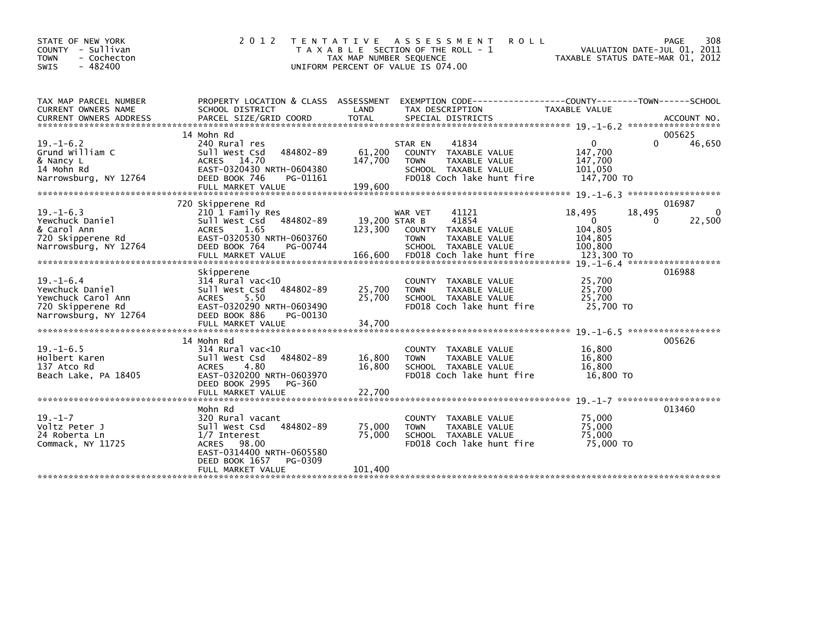| STATE OF NEW YORK<br>COUNTY - Sullivan<br>- Cochecton<br><b>TOWN</b><br><b>SWIS</b><br>$-482400$ | 2 0 1 2                                                                         | T E N T A T I V E<br>TAX MAP NUMBER SEQUENCE | ASSESSMENT<br><b>ROLL</b><br>T A X A B L E SECTION OF THE ROLL - 1<br>UNIFORM PERCENT OF VALUE IS 074.00 | TAXABLE STATUS DATE-MAR 01, 2012 | 308<br>PAGE<br>VALUATION DATE-JUL 01, 2011 |
|--------------------------------------------------------------------------------------------------|---------------------------------------------------------------------------------|----------------------------------------------|----------------------------------------------------------------------------------------------------------|----------------------------------|--------------------------------------------|
| TAX MAP PARCEL NUMBER<br>CURRENT OWNERS NAME                                                     | PROPERTY LOCATION & CLASS ASSESSMENT<br>SCHOOL DISTRICT                         | LAND                                         | EXEMPTION        CODE-----------------COUNTY-------TOWN------SCHOOL<br>TAX DESCRIPTION                   | <b>TAXABLE VALUE</b>             |                                            |
|                                                                                                  | 14 Mohn Rd                                                                      |                                              |                                                                                                          |                                  | 005625                                     |
| $19. - 1 - 6.2$<br>Grund William C                                                               | 240 Rural res<br>484802-89<br>Sull West Csd                                     | 61,200                                       | 41834<br>STAR EN<br>COUNTY<br>TAXABLE VALUE                                                              | $\mathbf{0}$<br>147,700          | 46,650<br>$\Omega$                         |
| & Nancy L<br>14 Mohn Rd                                                                          | 14.70<br><b>ACRES</b><br>EAST-0320430 NRTH-0604380                              | 147,700                                      | <b>TOWN</b><br>TAXABLE VALUE<br>SCHOOL TAXABLE VALUE                                                     | 147,700<br>101,050               |                                            |
| Narrowsburg, NY 12764                                                                            | DEED BOOK 746<br>PG-01161                                                       |                                              | FD018 Coch lake hunt fire                                                                                | 147,700 TO                       |                                            |
|                                                                                                  | 720 Skipperene Rd                                                               |                                              |                                                                                                          |                                  | 016987                                     |
| $19. - 1 - 6.3$<br>Yewchuck Daniel                                                               | 210 1 Family Res<br>484802-89<br>Sull West Csd                                  | 19,200 STAR B                                | 41121<br>WAR VET<br>41854                                                                                | 18,495<br>18,495<br>$\Omega$     | $\Omega$<br>22,500<br>$\Omega$             |
| & Carol Ann<br>720 Skipperene Rd                                                                 | <b>ACRES</b><br>1.65<br>EAST-0320530 NRTH-0603760                               | 123,300                                      | COUNTY<br>TAXABLE VALUE<br><b>TOWN</b><br>TAXABLE VALUE                                                  | 104,805<br>104,805               |                                            |
| Narrowsburg, NY 12764                                                                            | DEED BOOK 764<br>PG-00744                                                       |                                              | SCHOOL TAXABLE VALUE                                                                                     | 100,800                          |                                            |
|                                                                                                  |                                                                                 |                                              |                                                                                                          |                                  |                                            |
|                                                                                                  | Skipperene                                                                      |                                              |                                                                                                          |                                  | 016988                                     |
| $19. - 1 - 6.4$                                                                                  | $314$ Rural vac<10                                                              |                                              | COUNTY TAXABLE VALUE                                                                                     | 25,700                           |                                            |
| Yewchuck Daniel                                                                                  | 484802-89<br>Sull West Csd                                                      | 25,700                                       | TAXABLE VALUE<br><b>TOWN</b>                                                                             | 25,700                           |                                            |
| Yewchuck Carol Ann<br>720 Skipperene Rd                                                          | 5.50<br>ACRES<br>EAST-0320290 NRTH-0603490                                      | 25,700                                       | SCHOOL TAXABLE VALUE<br>FD018 Coch lake hunt fire                                                        | 25,700<br>25,700 TO              |                                            |
| Narrowsburg, NY 12764                                                                            | DEED BOOK 886<br>PG-00130                                                       |                                              |                                                                                                          |                                  |                                            |
|                                                                                                  | FULL MARKET VALUE                                                               | 34,700                                       |                                                                                                          |                                  |                                            |
|                                                                                                  | 14 Mohn Rd                                                                      |                                              |                                                                                                          |                                  | 19. -1-6.5 ********************<br>005626  |
| $19. - 1 - 6.5$                                                                                  | $314$ Rural vac<10                                                              |                                              | COUNTY TAXABLE VALUE                                                                                     | 16,800                           |                                            |
| Holbert Karen                                                                                    | Sull West Csd<br>484802-89                                                      | 16,800                                       | <b>TOWN</b><br>TAXABLE VALUE                                                                             | 16,800                           |                                            |
| 137 Atco Rd                                                                                      | 4.80<br><b>ACRES</b>                                                            | 16,800                                       | SCHOOL TAXABLE VALUE                                                                                     | 16,800                           |                                            |
| Beach Lake, PA 18405                                                                             | EAST-0320200 NRTH-0603970<br>DEED BOOK 2995<br>PG-360                           |                                              | FD018 Coch lake hunt fire                                                                                | 16,800 TO                        |                                            |
|                                                                                                  |                                                                                 |                                              |                                                                                                          |                                  |                                            |
|                                                                                                  | Mohn Rd                                                                         |                                              |                                                                                                          |                                  | 013460                                     |
| $19. - 1 - 7$                                                                                    | 320 Rural vacant                                                                |                                              | COUNTY<br>TAXABLE VALUE                                                                                  | 75,000                           |                                            |
| Voltz Peter J                                                                                    | Sull West Csd<br>484802-89                                                      | 75,000                                       | TAXABLE VALUE<br><b>TOWN</b>                                                                             | 75,000                           |                                            |
| 24 Roberta Ln                                                                                    | $1/7$ Interest                                                                  | 75,000                                       | SCHOOL TAXABLE VALUE                                                                                     | 75.000                           |                                            |
| Commack, NY 11725                                                                                | 98.00<br><b>ACRES</b><br>EAST-0314400 NRTH-0605580<br>DEED BOOK 1657<br>PG-0309 |                                              | FD018 Coch lake hunt fire                                                                                | 75,000 TO                        |                                            |
|                                                                                                  | FULL MARKET VALUE                                                               | 101,400                                      |                                                                                                          |                                  |                                            |
|                                                                                                  |                                                                                 |                                              |                                                                                                          |                                  |                                            |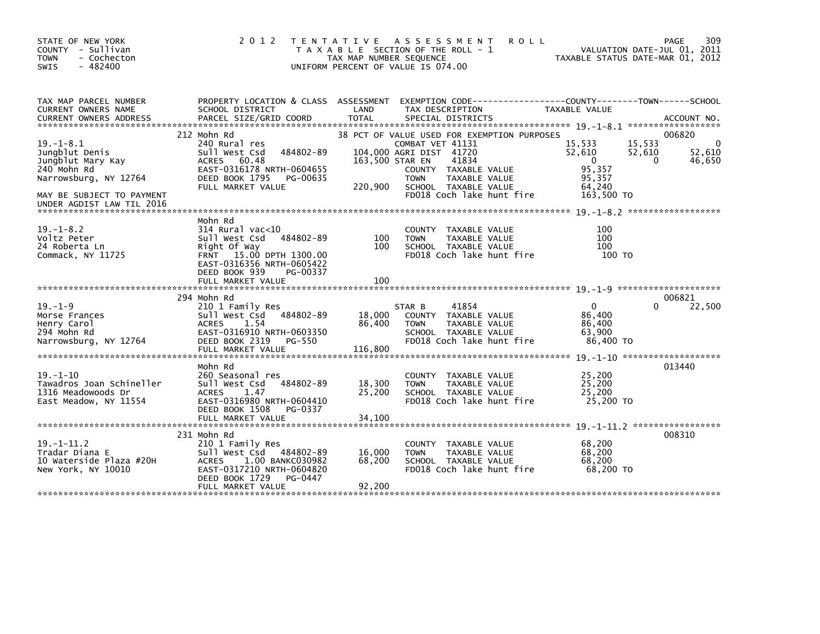| 2 0 1 2                                                                                                                                                                               |                             |                                                                                                                              | VALUATION DATE-JUL 01, 2011<br>TAXABLE STATUS DATE-MAR 01, 2012                                                                                                                                      | 309<br>PAGE                                                                                                                          |
|---------------------------------------------------------------------------------------------------------------------------------------------------------------------------------------|-----------------------------|------------------------------------------------------------------------------------------------------------------------------|------------------------------------------------------------------------------------------------------------------------------------------------------------------------------------------------------|--------------------------------------------------------------------------------------------------------------------------------------|
| SCHOOL DISTRICT                                                                                                                                                                       | LAND                        | TAX DESCRIPTION                                                                                                              | TAXABLE VALUE                                                                                                                                                                                        |                                                                                                                                      |
| 212 Mohn Rd<br>240 Rural res<br>484802-89<br>Sull West Csd<br>60.48<br>ACRES<br>EAST-0316178 NRTH-0604655<br>DEED BOOK 1795<br>PG-00635                                               |                             | COMBAT VET 41131<br>41834<br>COUNTY TAXABLE VALUE<br>TAXABLE VALUE<br><b>TOWN</b>                                            | 15,533<br>15,533<br>52,610<br>52,610<br>$\Omega$<br>95,357<br>95,357                                                                                                                                 | 006820<br>$\Omega$<br>52,610<br>46,650<br>$\Omega$                                                                                   |
|                                                                                                                                                                                       |                             | FD018 Coch lake hunt fire                                                                                                    | 163,500 TO                                                                                                                                                                                           |                                                                                                                                      |
| Mohn Rd<br>$314$ Rural vac<10<br>Sull West Csd<br>484802-89<br>Right Of Way<br>FRNT 15.00 DPTH 1300.00<br>EAST-0316356 NRTH-0605422<br>DEED BOOK 939<br>PG-00337<br>FULL MARKET VALUE | 100<br>100<br>100           | <b>COUNTY</b><br>TAXABLE VALUE<br>TAXABLE VALUE<br><b>TOWN</b><br>SCHOOL TAXABLE VALUE<br>FD018 Coch lake hunt fire          | 100<br>100<br>100<br>100 TO                                                                                                                                                                          |                                                                                                                                      |
| 294 Mohn Rd<br>210 1 Family Res<br>484802-89<br>Sull West Csd<br>1.54<br><b>ACRES</b><br>EAST-0316910 NRTH-0603350<br>DEED BOOK 2319<br>PG-550<br>FULL MARKET VALUE                   | 18,000<br>86,400<br>116,800 | 41854<br>STAR B<br>COUNTY TAXABLE VALUE<br><b>TOWN</b><br>TAXABLE VALUE<br>SCHOOL TAXABLE VALUE<br>FD018 Coch lake hunt fire | $\mathbf{0}$<br>86,400<br>86,400<br>63,900<br>86.400 TO                                                                                                                                              | 006821<br>22,500                                                                                                                     |
| Mohn Rd<br>260 Seasonal res<br>484802-89<br>Sull West Csd<br><b>ACRES</b><br>1.47<br>EAST-0316980 NRTH-0604410<br>DEED BOOK 1508<br>PG-0337<br>FULL MARKET VALUE                      | 18,300<br>25,200<br>34.100  | COUNTY TAXABLE VALUE<br><b>TOWN</b><br>TAXABLE VALUE<br>SCHOOL TAXABLE VALUE<br>FD018 Coch lake hunt fire                    | 25,200<br>25,200<br>25,200<br>25,200 TO                                                                                                                                                              | 013440                                                                                                                               |
| 231 Mohn Rd<br>210 1 Family Res<br>Sull West Csd<br>484802-89<br>1.00 BANKC030982<br><b>ACRES</b><br>EAST-0317210 NRTH-0604820<br>DEED BOOK 1729<br>PG-0447<br>FULL MARKET VALUE      | 16,000<br>68,200<br>92,200  | COUNTY<br>TAXABLE VALUE<br><b>TOWN</b><br>TAXABLE VALUE<br>SCHOOL TAXABLE VALUE<br>FD018 Coch lake hunt fire                 | 68,200<br>68,200<br>68,200<br>68,200 TO                                                                                                                                                              | 008310                                                                                                                               |
|                                                                                                                                                                                       | FULL MARKET VALUE           | PROPERTY LOCATION & CLASS ASSESSMENT<br>220,900                                                                              | TENTATIVE ASSESSMENT<br>T A X A B L E SECTION OF THE ROLL - 1<br>TAX MAP NUMBER SEQUENCE<br>UNIFORM PERCENT OF VALUE IS 074.00<br>104,000 AGRI DIST 41720<br>163,500 STAR EN<br>SCHOOL TAXABLE VALUE | <b>ROLL</b><br>EXEMPTION CODE-----------------COUNTY-------TOWN------SCHOOL<br>38 PCT OF VALUE USED FOR EXEMPTION PURPOSES<br>64,240 |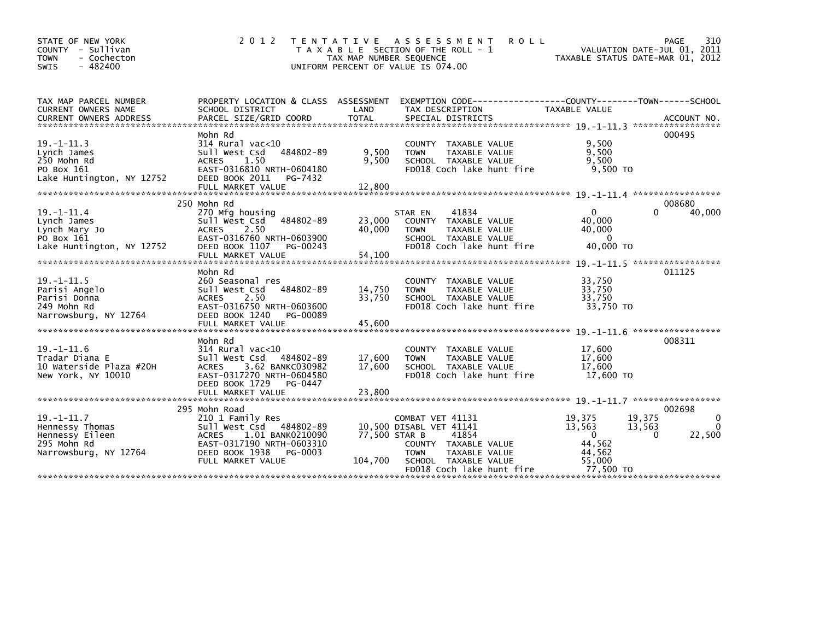| STATE OF NEW YORK<br>COUNTY<br>- Sullivan<br>- Cochecton<br><b>TOWN</b><br>$-482400$<br><b>SWIS</b> | 2 0 1 2<br>T E N T A T I V E                                                                                                                                                    | TAX MAP NUMBER SEQUENCE  | A S S E S S M E N T<br><b>ROLL</b><br>T A X A B L E SECTION OF THE ROLL - 1<br>UNIFORM PERCENT OF VALUE IS 074.00                                                 | VALUATION DATE-JUL 01, 2011<br>TAXABLE STATUS DATE-MAR 01, 2012                                 | 310<br>PAGE                                |
|-----------------------------------------------------------------------------------------------------|---------------------------------------------------------------------------------------------------------------------------------------------------------------------------------|--------------------------|-------------------------------------------------------------------------------------------------------------------------------------------------------------------|-------------------------------------------------------------------------------------------------|--------------------------------------------|
| TAX MAP PARCEL NUMBER<br><b>CURRENT OWNERS NAME</b>                                                 | PROPERTY LOCATION & CLASS ASSESSMENT<br>SCHOOL DISTRICT                                                                                                                         | LAND                     | EXEMPTION        CODE-----------------COUNTY--------TOWN------SCHOOL<br>TAX DESCRIPTION                                                                           | TAXABLE VALUE                                                                                   |                                            |
| $19. - 1 - 11.3$<br>Lynch James<br>250 Mohn Rd<br>PO Box 161<br>Lake Huntington, NY 12752           | Mohn Rd<br>$314$ Rural vac<10<br>Sull West Csd<br>484802-89<br>1.50<br><b>ACRES</b><br>EAST-0316810 NRTH-0604180<br>DEED BOOK 2011<br>PG-7432                                   | 9,500<br>9,500           | COUNTY TAXABLE VALUE<br>TAXABLE VALUE<br><b>TOWN</b><br>SCHOOL TAXABLE VALUE<br>FD018 Coch lake hunt fire                                                         | 9,500<br>9,500<br>9,500<br>$9,500$ TO                                                           | 000495                                     |
|                                                                                                     |                                                                                                                                                                                 |                          |                                                                                                                                                                   |                                                                                                 |                                            |
| $19. - 1 - 11.4$<br>Lynch James<br>Lynch Mary Jo<br>PO Box 161<br>Lake Huntington, NY 12752         | 250 Mohn Rd<br>270 Mfg housing<br>484802-89<br>sull west Csd<br><b>ACRES</b><br>2.50<br>EAST-0316760 NRTH-0603900<br>DEED BOOK 1107<br>PG-00243                                 | 23,000<br>40.000         | 41834<br>STAR EN<br>COUNTY TAXABLE VALUE<br><b>TAXABLE VALUE</b><br><b>TOWN</b><br>SCHOOL TAXABLE VALUE<br>FD018 Coch lake hunt fire                              | $\Omega$<br>40.000<br>40,000<br>$\mathbf{0}$<br>40,000 TO                                       | 008680<br>40.000<br>$\Omega$               |
|                                                                                                     |                                                                                                                                                                                 |                          |                                                                                                                                                                   |                                                                                                 |                                            |
|                                                                                                     |                                                                                                                                                                                 |                          |                                                                                                                                                                   |                                                                                                 |                                            |
| $19. -1 - 11.5$<br>Parisi Angelo<br>Parisi Donna<br>249 Mohn Rd<br>Narrowsburg, NY 12764            | Mohn Rd<br>260 Seasonal res<br>484802-89<br>Sull West Csd<br><b>ACRES</b><br>2.50<br>EAST-0316750 NRTH-0603600<br>DEED BOOK 1240<br>PG-00089                                    | 14,750<br>33.750         | COUNTY TAXABLE VALUE<br><b>TOWN</b><br>TAXABLE VALUE<br>SCHOOL TAXABLE VALUE<br>FD018 Coch lake hunt fire                                                         | 33.750<br>33.750<br>33.750<br>33.750 TO                                                         | 011125                                     |
|                                                                                                     |                                                                                                                                                                                 |                          |                                                                                                                                                                   |                                                                                                 |                                            |
| $19. - 1 - 11.6$<br>Tradar Diana E<br>10 Waterside Plaza #20H<br>New York, NY 10010                 | Mohn Rd<br>$314$ Rural vac<10<br>484802-89<br>Sull West Csd<br><b>ACRES</b><br>3.62 BANKC030982<br>EAST-0317270 NRTH-0604580<br>DEED BOOK 1729<br>PG-0447                       | 17,600<br>17,600         | COUNTY TAXABLE VALUE<br>TAXABLE VALUE<br><b>TOWN</b><br>SCHOOL TAXABLE VALUE<br>FD018 Coch lake hunt fire                                                         | 17.600<br>17,600<br>17.600<br>17,600 TO                                                         | 008311                                     |
|                                                                                                     | FULL MARKET VALUE                                                                                                                                                               | 23,800                   |                                                                                                                                                                   |                                                                                                 |                                            |
| $19. - 1 - 11.7$<br>Hennessy Thomas<br>Hennessy Eileen<br>295 Mohn Rd<br>Narrowsburg, NY 12764      | 295 Mohn Road<br>210 1 Family Res<br>Sull West Csd 484802-89<br>1.01 BANK0210090<br><b>ACRES</b><br>EAST-0317190 NRTH-0603310<br>DEED BOOK 1938<br>PG-0003<br>FULL MARKET VALUE | 77,500 STAR B<br>104,700 | COMBAT VET 41131<br>10.500 DISABL VET 41141<br>41854<br>COUNTY TAXABLE VALUE<br>TAXABLE VALUE<br><b>TOWN</b><br>SCHOOL TAXABLE VALUE<br>FD018 Coch lake hunt fire | 19,375<br>19,375<br>13,563<br>13,563<br>$\mathbf{0}$<br>44.562<br>44.562<br>55,000<br>77,500 TO | 002698<br>$\mathbf{0}$<br>0<br>22,500<br>0 |
|                                                                                                     |                                                                                                                                                                                 |                          |                                                                                                                                                                   |                                                                                                 |                                            |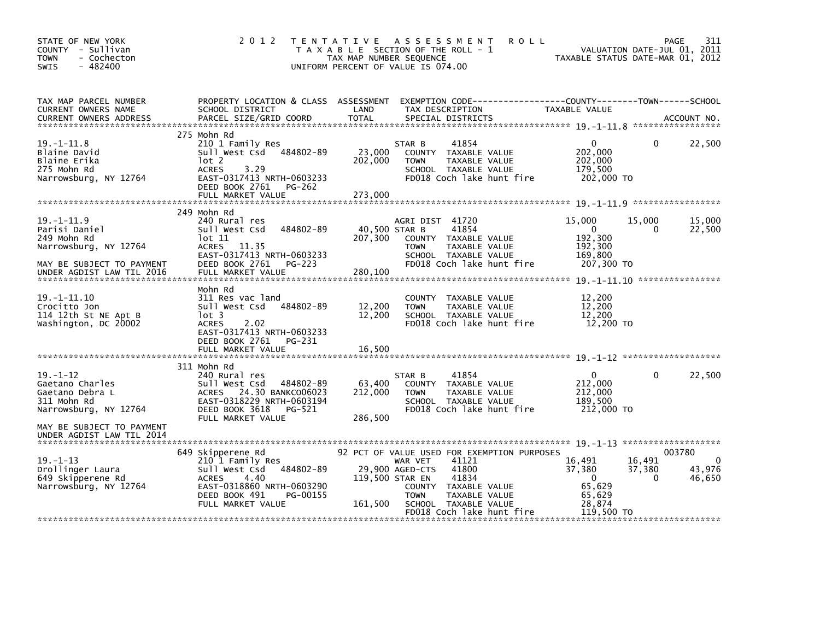| STATE OF NEW YORK<br>COUNTY - Sullivan<br><b>TOWN</b><br>- Cochecton<br>$-482400$<br>SWIS    | 2012                                                                                                                                                                       | TAX MAP NUMBER SEQUENCE      | TENTATIVE ASSESSMENT<br><b>ROLL</b><br>T A X A B L E SECTION OF THE ROLL - 1<br>UNIFORM PERCENT OF VALUE IS 074.00                                                                                                                   | VALUATION DATE-JUL 01, 2011<br>TAXABLE STATUS DATE-MAR 01, 2012          |                              | 311<br>PAGE                               |
|----------------------------------------------------------------------------------------------|----------------------------------------------------------------------------------------------------------------------------------------------------------------------------|------------------------------|--------------------------------------------------------------------------------------------------------------------------------------------------------------------------------------------------------------------------------------|--------------------------------------------------------------------------|------------------------------|-------------------------------------------|
| TAX MAP PARCEL NUMBER<br>CURRENT OWNERS NAME<br><b>CURRENT OWNERS ADDRESS</b>                | PROPERTY LOCATION & CLASS ASSESSMENT<br>SCHOOL DISTRICT<br>PARCEL SIZE/GRID COORD                                                                                          | LAND<br><b>TOTAL</b>         | TAX DESCRIPTION<br>SPECIAL DISTRICTS                                                                                                                                                                                                 | TAXABLE VALUE                                                            |                              | ACCOUNT NO.                               |
|                                                                                              | 275 Mohn Rd                                                                                                                                                                |                              |                                                                                                                                                                                                                                      |                                                                          |                              |                                           |
| $19. - 1 - 11.8$<br>Blaine David<br>Blaine Erika<br>275 Mohn Rd<br>Narrowsburg, NY 12764     | 210 1 Family Res<br>Sull West Csd 484802-89<br>lot 2<br><b>ACRES</b><br>3.29<br>EAST-0317413 NRTH-0603233<br>DEED BOOK 2761<br>PG-262                                      | 23,000<br>202,000<br>273,000 | 41854<br>STAR B<br>COUNTY TAXABLE VALUE<br>TAXABLE VALUE<br><b>TOWN</b><br>SCHOOL TAXABLE VALUE<br>FD018 Coch lake hunt fire                                                                                                         | $\mathbf{0}$<br>202,000<br>202,000<br>179,500<br>202,000 TO              | 0                            | 22,500                                    |
|                                                                                              | FULL MARKET VALUE                                                                                                                                                          |                              |                                                                                                                                                                                                                                      |                                                                          |                              |                                           |
| $19. -1 - 11.9$<br>Parisi Daniel<br>249 Mohn Rd<br>Narrowsburg, NY 12764                     | 249 Mohn Rd<br>240 Rural res<br>Sull West Csd<br>484802-89<br>lot 11<br>ACRES 11.35<br>EAST-0317413 NRTH-0603233                                                           | 40,500 STAR B<br>207,300     | AGRI DIST 41720<br>41854<br>COUNTY TAXABLE VALUE<br><b>TOWN</b><br>TAXABLE VALUE<br>SCHOOL TAXABLE VALUE                                                                                                                             | 15,000<br>$\mathbf{0}$<br>192,300<br>192,300<br>169,800                  | 15,000<br>0                  | 15,000<br>22,500                          |
| MAY BE SUBJECT TO PAYMENT<br>UNDER AGDIST LAW TIL 2016                                       | DEED BOOK 2761<br><b>PG-223</b><br>FULL MARKET VALUE                                                                                                                       | 280,100                      | FD018 Coch lake hunt fire                                                                                                                                                                                                            | 207,300 TO                                                               |                              |                                           |
| $19. -1 - 11.10$<br>Crocitto Jon<br>114 12th St NE Apt B<br>Washington, DC 20002             | Mohn Rd<br>311 Res vac land<br>Sull West Csd 484802-89<br>lot 3<br>2.02<br><b>ACRES</b><br>EAST-0317413 NRTH-0603233<br>DEED BOOK 2761<br>PG-231<br>FULL MARKET VALUE      | 12,200<br>12,200<br>16,500   | COUNTY TAXABLE VALUE<br><b>TOWN</b><br>TAXABLE VALUE<br>SCHOOL TAXABLE VALUE<br>FD018 Coch lake hunt fire                                                                                                                            | 12,200<br>12,200<br>12,200<br>12,200 TO                                  |                              |                                           |
|                                                                                              |                                                                                                                                                                            |                              |                                                                                                                                                                                                                                      |                                                                          |                              |                                           |
| $19. - 1 - 12$<br>Gaetano Charles<br>Gaetano Debra L<br>311 Mohn Rd<br>Narrowsburg, NY 12764 | 311 Mohn Rd<br>240 Rural res<br>Sull West Csd<br>484802-89<br>ACRES 24.30 BANKC006023<br>EAST-0318229 NRTH-0603194<br>DEED BOOK 3618<br>PG-521                             | 63,400<br>212,000            | 41854<br>STAR B<br>COUNTY TAXABLE VALUE<br>TAXABLE VALUE<br><b>TOWN</b><br>SCHOOL TAXABLE VALUE<br>FD018 Coch lake hunt fire                                                                                                         | $\mathbf{0}$<br>212,000<br>212,000<br>189,500<br>212,000 TO              | 0                            | 22,500                                    |
| MAY BE SUBJECT TO PAYMENT<br>UNDER AGDIST LAW TIL 2014                                       | FULL MARKET VALUE                                                                                                                                                          | 286,500                      |                                                                                                                                                                                                                                      |                                                                          |                              |                                           |
| $19. - 1 - 13$<br>Drollinger Laura<br>649 Skipperene Rd<br>Narrowsburg, NY 12764             | 649 Skipperene Rd<br>210 1 Family Res<br>484802-89<br>Sull West Csd<br><b>ACRES</b><br>4.40<br>EAST-0318860 NRTH-0603290<br>DEED BOOK 491<br>PG-00155<br>FULL MARKET VALUE | 161,500                      | 92 PCT OF VALUE USED FOR EXEMPTION PURPOSES<br>41121<br>WAR VET<br>29,900 AGED-CTS<br>41800<br>119,500 STAR EN<br>41834<br>COUNTY TAXABLE VALUE<br>TAXABLE VALUE<br><b>TOWN</b><br>SCHOOL TAXABLE VALUE<br>FD018 Coch lake hunt fire | 16,491<br>37,380<br>$\Omega$<br>65,629<br>65,629<br>28,874<br>119,500 TO | 16,491<br>37,380<br>$\Omega$ | 003780<br>$\mathbf 0$<br>43,976<br>46,650 |
|                                                                                              |                                                                                                                                                                            |                              |                                                                                                                                                                                                                                      |                                                                          |                              |                                           |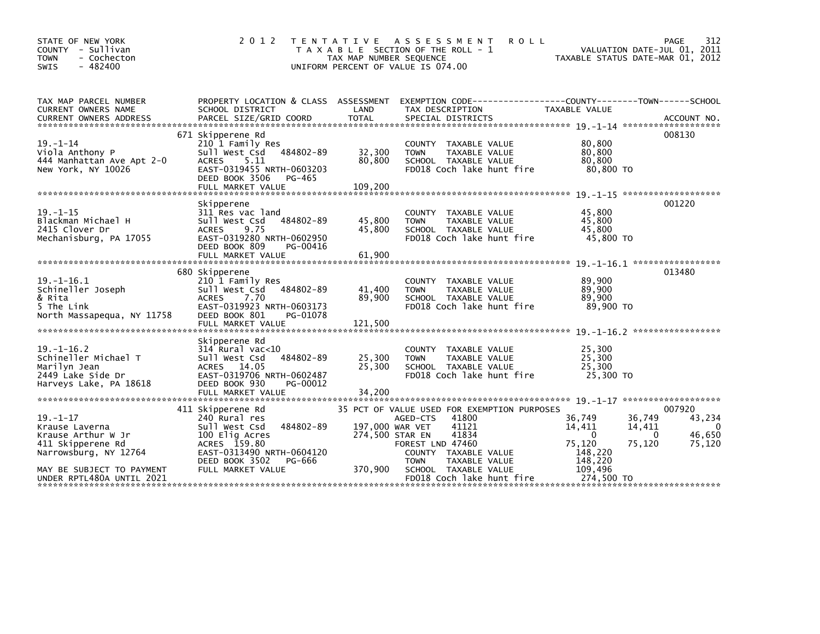| STATE OF NEW YORK<br>COUNTY<br>- Sullivan<br>- Cochecton<br><b>TOWN</b><br>$-482400$<br><b>SWIS</b>                                                            | 2 0 1 2                                                                                                                                                                          | <b>TENTATIVE</b><br>TAX MAP NUMBER SEQUENCE   | A S S E S S M E N T<br>T A X A B L E SECTION OF THE ROLL - 1<br>UNIFORM PERCENT OF VALUE IS 074.00                                                                                                                  | <b>ROLL</b>                                                                               | 312<br>PAGE<br>VALUATION DATE-JUL 01, 2011<br>TAXABLE STATUS DATE-MAR 01, 2012        |
|----------------------------------------------------------------------------------------------------------------------------------------------------------------|----------------------------------------------------------------------------------------------------------------------------------------------------------------------------------|-----------------------------------------------|---------------------------------------------------------------------------------------------------------------------------------------------------------------------------------------------------------------------|-------------------------------------------------------------------------------------------|---------------------------------------------------------------------------------------|
| TAX MAP PARCEL NUMBER<br>CURRENT OWNERS NAME                                                                                                                   | SCHOOL DISTRICT                                                                                                                                                                  | LAND                                          | PROPERTY LOCATION & CLASS ASSESSMENT EXEMPTION CODE----------------COUNTY-------TOWN------SCHOOL<br>TAX DESCRIPTION                                                                                                 | TAXABLE VALUE                                                                             |                                                                                       |
| $19. - 1 - 14$<br>Viola Anthony P<br>444 Manhattan Ave Apt 2-0<br>New York, NY 10026                                                                           | 671 Skipperene Rd<br>210 1 Family Res<br>484802-89<br>Sull West Csd<br>5.11<br><b>ACRES</b><br>EAST-0319455 NRTH-0603203<br>DEED BOOK 3506<br>PG-465                             | 32,300<br>80,800                              | COUNTY TAXABLE VALUE<br>TAXABLE VALUE<br><b>TOWN</b><br>SCHOOL TAXABLE VALUE<br>FD018 Coch lake hunt fire                                                                                                           | 80.800<br>80,800<br>80,800<br>80,800 TO                                                   | 008130                                                                                |
| $19. - 1 - 15$<br>Blackman Michael H<br>2415 Clover Dr<br>Mechanisburg, PA 17055                                                                               | Skipperene<br>311 Res vac land<br>Sull West Csd<br>484802-89<br>9.75<br><b>ACRES</b><br>EAST-0319280 NRTH-0602950<br>DEED BOOK 809<br>PG-00416<br>FULL MARKET VALUE              | 45,800<br>45,800<br>61.900                    | COUNTY TAXABLE VALUE<br><b>TOWN</b><br>TAXABLE VALUE<br>SCHOOL TAXABLE VALUE<br>FD018 Coch lake hunt fire                                                                                                           | 45.800<br>45,800<br>45,800<br>45,800 TO                                                   | 001220                                                                                |
| $19. - 1 - 16.1$<br>Schineller Joseph<br>& Rita<br>5 The Link<br>North Massapequa, NY 11758                                                                    | 680 Skipperene<br>210 1 Family Res<br>Sull West Csd<br>484802-89<br><b>ACRES</b><br>7.70<br>EAST-0319923 NRTH-0603173<br>DEED BOOK 801<br>PG-01078<br>FULL MARKET VALUE          | 41,400<br>89,900<br>121,500                   | COUNTY TAXABLE VALUE<br><b>TOWN</b><br>TAXABLE VALUE<br>SCHOOL TAXABLE VALUE<br>FD018 Coch lake hunt fire                                                                                                           | 89,900<br>89,900<br>89.900<br>89.900 TO                                                   | 013480                                                                                |
| $19. - 1 - 16.2$<br>Schineller Michael T<br>Marilyn Jean<br>2449 Lake Side Dr<br>Harveys Lake, PA 18618                                                        | Skipperene Rd<br>$314$ Rural vac< $10$<br>484802-89<br>Sull West Csd<br>ACRES 14.05<br>EAST-0319706 NRTH-0602487<br>DEED BOOK 930<br>PG-00012<br>FULL MARKET VALUE               | 25,300<br>25,300<br>34,200                    | <b>COUNTY</b><br>TAXABLE VALUE<br>TAXABLE VALUE<br><b>TOWN</b><br>SCHOOL TAXABLE VALUE<br>FD018 Coch lake hunt fire                                                                                                 | 25,300<br>25,300<br>25,300<br>25,300 TO                                                   |                                                                                       |
| $19. - 1 - 17$<br>Krause Laverna<br>Krause Arthur W Jr<br>411 Skipperene Rd<br>Narrowsburg, NY 12764<br>MAY BE SUBJECT TO PAYMENT<br>UNDER RPTL480A UNTIL 2021 | 411 Skipperene Rd<br>240 Rural res<br>Sull West Csd<br>484802-89<br>100 Elig Acres<br>ACRES 159.80<br>EAST-0313490 NRTH-0604120<br>DEED BOOK 3502<br>PG-666<br>FULL MARKET VALUE | 197,000 WAR VET<br>274,500 STAR EN<br>370,900 | 35 PCT OF VALUE USED FOR EXEMPTION PURPOSES<br>41800<br>AGED-CTS<br>41121<br>41834<br>FOREST LND 47460<br>COUNTY TAXABLE VALUE<br><b>TOWN</b><br>TAXABLE VALUE<br>SCHOOL TAXABLE VALUE<br>FD018 Coch lake hunt fire | 36,749<br>14,411<br>$\mathbf{0}$<br>75,120<br>148,220<br>148,220<br>109,496<br>274.500 TO | 007920<br>36,749<br>43,234<br>14,411<br>- 0<br>46,650<br>$\Omega$<br>75,120<br>75,120 |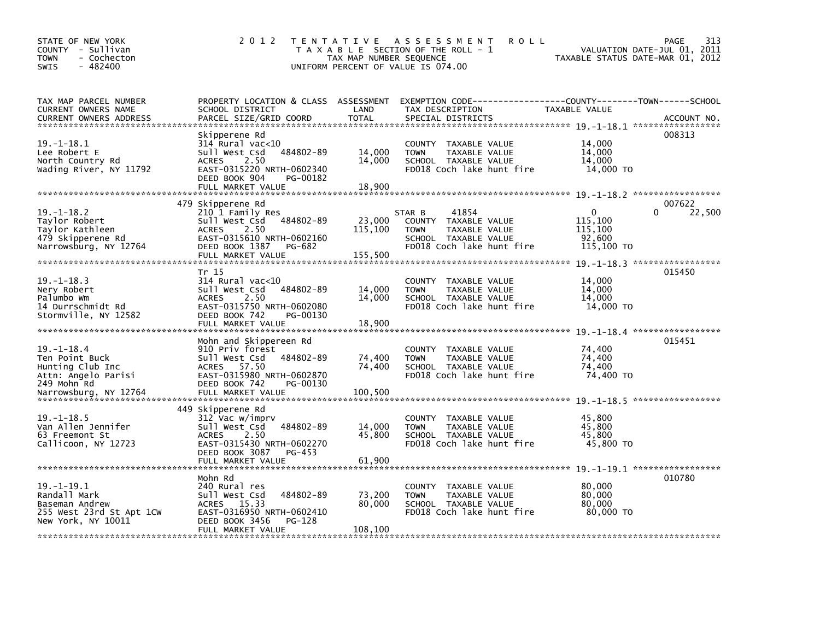| STATE OF NEW YORK<br>COUNTY - Sullivan<br><b>TOWN</b><br>- Cochecton<br>$-482400$<br>SWIS           | 2 0 1 2                                                                                                                                                                  | TAX MAP NUMBER SEQUENCE      | TENTATIVE ASSESSMENT<br><b>ROLL</b><br>T A X A B L E SECTION OF THE ROLL - 1<br>UNIFORM PERCENT OF VALUE IS 074.00           | VALUATION DATE-JUL 01, 2011<br>TAXABLE STATUS DATE-MAR 01, 2012 | 313<br><b>PAGE</b> |
|-----------------------------------------------------------------------------------------------------|--------------------------------------------------------------------------------------------------------------------------------------------------------------------------|------------------------------|------------------------------------------------------------------------------------------------------------------------------|-----------------------------------------------------------------|--------------------|
| TAX MAP PARCEL NUMBER<br>CURRENT OWNERS NAME<br>CURRENT OWNERS ADDRESS                              | PROPERTY LOCATION & CLASS ASSESSMENT<br>SCHOOL DISTRICT<br>PARCEL SIZE/GRID COORD                                                                                        | LAND<br><b>TOTAL</b>         | EXEMPTION        CODE-----------------COUNTY-------TOWN------SCHOOL<br>TAX DESCRIPTION<br>SPECIAL DISTRICTS                  | TAXABLE VALUE                                                   | ACCOUNT NO.        |
| $19. - 1 - 18.1$<br>Lee Robert E<br>North Country Rd<br>Wading River, NY 11792                      | Skipperene Rd<br>$314$ Rural vac<10<br>484802-89<br>Sull West Csd<br><b>ACRES</b><br>2.50<br>EAST-0315220 NRTH-0602340<br>DEED BOOK 904<br>PG-00182<br>FULL MARKET VALUE | 14,000<br>14,000<br>18,900   | COUNTY TAXABLE VALUE<br>TAXABLE VALUE<br><b>TOWN</b><br>SCHOOL TAXABLE VALUE<br>FD018 Coch lake hunt fire                    | 14,000<br>14,000<br>14,000<br>14,000 TO                         | 008313             |
|                                                                                                     | 479 Skipperene Rd                                                                                                                                                        |                              |                                                                                                                              |                                                                 | 007622             |
| $19. - 1 - 18.2$<br>Taylor Robert<br>Taylor Kathleen<br>479 Skipperene Rd<br>Narrowsburg, NY 12764  | 210 1 Family Res<br>Sull West Csd<br>484802-89<br><b>ACRES</b><br>2.50<br>EAST-0315610 NRTH-0602160<br>DEED BOOK 1387<br>PG-682<br>FULL MARKET VALUE                     | 23,000<br>115,100<br>155,500 | 41854<br>STAR B<br>COUNTY TAXABLE VALUE<br><b>TOWN</b><br>TAXABLE VALUE<br>SCHOOL TAXABLE VALUE<br>FD018 Coch lake hunt fire | $\mathbf{0}$<br>115,100<br>115,100<br>92,600<br>115,100 TO      | 22,500             |
|                                                                                                     | Tr 15                                                                                                                                                                    |                              |                                                                                                                              |                                                                 | 015450             |
| $19. - 1 - 18.3$<br>Nery Robert<br>Palumbo Wm<br>14 Durrschmidt Rd<br>Stormville, NY 12582          | 314 Rural vac<10<br>484802-89<br>Sull West Csd<br><b>ACRES</b><br>2.50<br>EAST-0315750 NRTH-0602080<br>DEED BOOK 742<br>PG-00130                                         | 14,000<br>14,000             | COUNTY TAXABLE VALUE<br><b>TOWN</b><br>TAXABLE VALUE<br>SCHOOL TAXABLE VALUE<br>FD018 Coch lake hunt fire                    | 14,000<br>14,000<br>14,000<br>14,000 TO                         |                    |
|                                                                                                     | FULL MARKET VALUE                                                                                                                                                        | 18,900                       |                                                                                                                              |                                                                 |                    |
| $19. - 1 - 18.4$<br>Ten Point Buck<br>Hunting Club Inc<br>Attn: Angelo Parisi<br>249 Mohn Rd        | Mohn and Skippereen Rd<br>910 Priv forest<br>Sull West Csd<br>484802-89<br>ACRES 57.50<br>EAST-0315980 NRTH-0602870<br>DEED BOOK 742<br>PG-00130                         | 74,400<br>74,400             | COUNTY TAXABLE VALUE<br><b>TOWN</b><br>TAXABLE VALUE<br>SCHOOL TAXABLE VALUE<br>FD018 Coch lake hunt fire                    | 74,400<br>74,400<br>74.400<br>74,400 TO                         | 015451             |
|                                                                                                     |                                                                                                                                                                          |                              |                                                                                                                              |                                                                 |                    |
| $19. - 1 - 18.5$<br>Van Allen Jennifer<br>63 Freemont St<br>Callicoon, NY 12723                     | 449 Skipperene Rd<br>312 Vac w/imprv<br>Sull West Csd<br>484802-89<br><b>ACRES</b><br>2.50<br>EAST-0315430 NRTH-0602270<br>DEED BOOK 3087<br>PG-453                      | 14,000<br>45,800             | COUNTY TAXABLE VALUE<br>TAXABLE VALUE<br><b>TOWN</b><br>SCHOOL TAXABLE VALUE<br>FD018 Coch lake hunt fire                    | 45,800<br>45,800<br>45.800<br>45,800 TO                         |                    |
|                                                                                                     | Mohn Rd                                                                                                                                                                  |                              |                                                                                                                              |                                                                 | 010780             |
| $19. -1 - 19.1$<br>Randall Mark<br>Baseman Andrew<br>255 West 23rd St Apt 1CW<br>New York, NY 10011 | 240 Rural res<br>484802-89<br>Sull West Csd<br>15.33<br><b>ACRES</b><br>EAST-0316950 NRTH-0602410<br>DEED BOOK 3456<br>PG-128<br>FULL MARKET VALUE                       | 73,200<br>80,000<br>108,100  | COUNTY TAXABLE VALUE<br>TAXABLE VALUE<br><b>TOWN</b><br>SCHOOL TAXABLE VALUE<br>FD018 Coch lake hunt fire                    | 80,000<br>80,000<br>80,000<br>80,000 TO                         |                    |
|                                                                                                     |                                                                                                                                                                          |                              |                                                                                                                              |                                                                 |                    |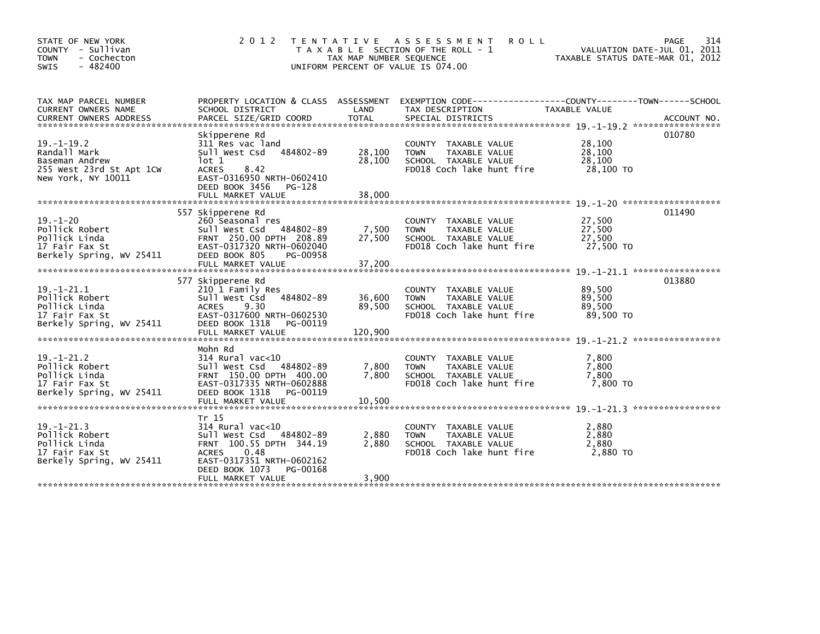| STATE OF NEW YORK<br>COUNTY - Sullivan<br>- Cochecton<br><b>TOWN</b><br>$-482400$<br><b>SWIS</b>     | 2 0 1 2                                                                                                                                                                                      | T E N T A T I V E<br>TAX MAP NUMBER SEQUENCE | ASSESSMENT<br><b>ROLL</b><br>T A X A B L E SECTION OF THE ROLL - 1<br>UNIFORM PERCENT OF VALUE IS 074.00     | TAXABLE STATUS DATE-MAR 01, 2012        | 314<br>PAGE<br>VALUATION DATE-JUL 01, 2011 |
|------------------------------------------------------------------------------------------------------|----------------------------------------------------------------------------------------------------------------------------------------------------------------------------------------------|----------------------------------------------|--------------------------------------------------------------------------------------------------------------|-----------------------------------------|--------------------------------------------|
| TAX MAP PARCEL NUMBER<br>CURRENT OWNERS NAME<br><b>CURRENT OWNERS ADDRESS</b>                        | PROPERTY LOCATION & CLASS ASSESSMENT<br>SCHOOL DISTRICT<br>PARCEL SIZE/GRID COORD                                                                                                            | LAND<br><b>TOTAL</b>                         | TAX DESCRIPTION<br>SPECIAL DISTRICTS                                                                         | TAXABLE VALUE                           | ACCOUNT NO.                                |
| $19. - 1 - 19.2$<br>Randall Mark<br>Baseman Andrew<br>255 West 23rd St Apt 1CW<br>New York, NY 10011 | Skipperene Rd<br>311 Res vac land<br>484802-89<br>Sull West Csd<br>$1$ ot 1<br><b>ACRES</b><br>8.42<br>EAST-0316950 NRTH-0602410<br>DEED BOOK 3456 PG-128<br>FULL MARKET VALUE               | 28,100<br>28,100<br>38.000                   | COUNTY TAXABLE VALUE<br>TAXABLE VALUE<br><b>TOWN</b><br>SCHOOL TAXABLE VALUE<br>FD018 Coch lake hunt fire    | 28,100<br>28,100<br>28,100<br>28,100 TO | 010780                                     |
| $19. - 1 - 20$<br>Pollick Robert<br>Pollick Linda<br>17 Fair Fax St<br>Berkely Spring, WV 25411      | 557 Skipperene Rd<br>260 Seasonal res<br>Sull West Csd 484802-89<br>FRNT 250.00 DPTH 208.89<br>EAST-0317320 NRTH-0602040<br>DEED BOOK 805<br>PG-00958<br>FULL MARKET VALUE                   | 7,500<br>27,500<br>37,200                    | COUNTY TAXABLE VALUE<br>TAXABLE VALUE<br><b>TOWN</b><br>SCHOOL TAXABLE VALUE<br>FD018 Coch lake hunt fire    | 27,500<br>27,500<br>27,500<br>27,500 TO | 011490                                     |
| $19 - 1 - 21.1$<br>Pollick Robert<br>Pollick Linda<br>17 Fair Fax St<br>Berkely Spring, WV 25411     | 577 Skipperene Rd<br>210 1 Family Res<br>484802-89<br>Sull West Csd<br>9.30<br><b>ACRES</b><br>EAST-0317600 NRTH-0602530<br>DEED BOOK 1318<br>PG-00119<br>FULL MARKET VALUE                  | 36,600<br>89,500<br>120,900                  | TAXABLE VALUE<br>COUNTY<br>TAXABLE VALUE<br><b>TOWN</b><br>SCHOOL TAXABLE VALUE<br>FD018 Coch lake hunt fire | 89,500<br>89,500<br>89,500<br>89.500 TO | 013880                                     |
| $19. - 1 - 21.2$<br>Pollick Robert<br>Pollick Linda<br>17 Fair Fax St<br>Berkely Spring, WV 25411    | Mohn Rd<br>$314$ Rural vac<10<br>484802-89<br>Sull West Csd<br>FRNT 150.00 DPTH 400.00<br>EAST-0317335 NRTH-0602888<br>DEED BOOK 1318<br>PG-00119<br>FULL MARKET VALUE                       | 7,800<br>7,800<br>10.500                     | COUNTY TAXABLE VALUE<br>TAXABLE VALUE<br><b>TOWN</b><br>SCHOOL TAXABLE VALUE<br>FD018 Coch lake hunt fire    | 7,800<br>7,800<br>7,800<br>7,800 TO     |                                            |
| $19. - 1 - 21.3$<br>Pollick Robert<br>Pollick Linda<br>17 Fair Fax St<br>Berkely Spring, WV 25411    | Tr 15<br>$314$ Rural vac<10<br>sull west Csd<br>484802-89<br>FRNT 100.55 DPTH 344.19<br>0.48<br><b>ACRES</b><br>EAST-0317351 NRTH-0602162<br>DEED BOOK 1073<br>PG-00168<br>FULL MARKET VALUE | 2,880<br>2.880<br>3,900                      | COUNTY TAXABLE VALUE<br>TAXABLE VALUE<br><b>TOWN</b><br>SCHOOL TAXABLE VALUE<br>FD018 Coch lake hunt fire    | 2,880<br>2,880<br>2.880<br>2,880 TO     |                                            |
|                                                                                                      |                                                                                                                                                                                              |                                              |                                                                                                              |                                         |                                            |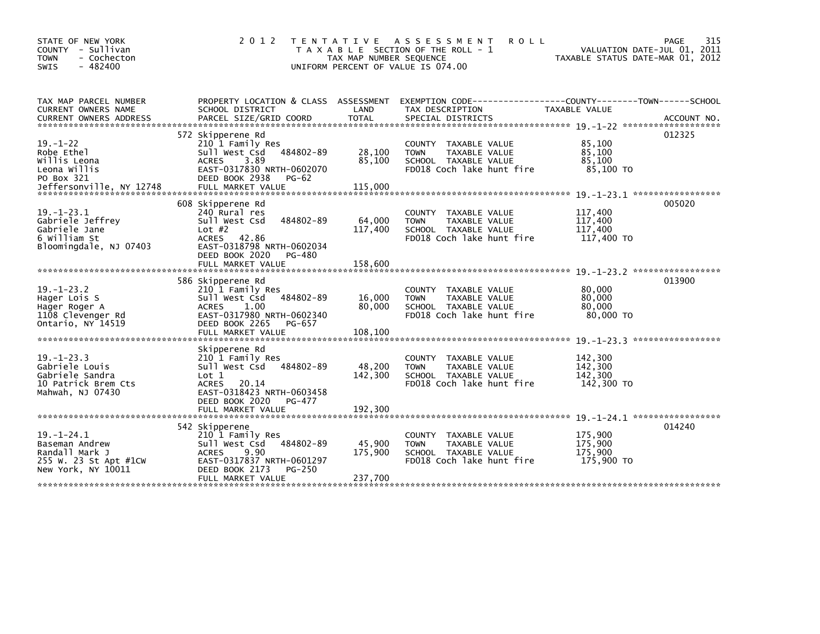| STATE OF NEW YORK<br>COUNTY - Sullivan<br>- Cochecton<br><b>TOWN</b><br>$-482400$<br><b>SWIS</b>       | 2 0 1 2                                                                                                                                                                             | TENTATIVE<br>TAX MAP NUMBER SEQUENCE | <b>ASSESSMENT</b><br><b>ROLL</b><br>T A X A B L E SECTION OF THE ROLL - 1<br>UNIFORM PERCENT OF VALUE IS 074.00                          | TAXABLE STATUS DATE-MAR 01, 2012            | 315<br>PAGE<br>VALUATION DATE-JUL 01, 2011 |
|--------------------------------------------------------------------------------------------------------|-------------------------------------------------------------------------------------------------------------------------------------------------------------------------------------|--------------------------------------|------------------------------------------------------------------------------------------------------------------------------------------|---------------------------------------------|--------------------------------------------|
| TAX MAP PARCEL NUMBER<br>CURRENT OWNERS NAME<br><b>CURRENT OWNERS ADDRESS</b>                          | SCHOOL DISTRICT<br>PARCEL SIZE/GRID COORD                                                                                                                                           | LAND<br><b>TOTAL</b>                 | PROPERTY LOCATION & CLASS ASSESSMENT EXEMPTION CODE----------------COUNTY-------TOWN------SCHOOL<br>TAX DESCRIPTION<br>SPECIAL DISTRICTS | TAXABLE VALUE                               | ACCOUNT NO.                                |
| $19. - 1 - 22$<br>Robe Ethel<br>Willis Leona<br>Leona Willis<br>PO Box 321<br>Jeffersonville, NY 12748 | 572 Skipperene Rd<br>210 1 Family Res<br>484802-89<br>Sull West Csd<br>3.89<br><b>ACRES</b><br>EAST-0317830 NRTH-0602070<br>DEED BOOK 2938<br><b>PG-62</b><br>FULL MARKET VALUE     | 28,100<br>85,100<br>115,000          | COUNTY TAXABLE VALUE<br>TAXABLE VALUE<br><b>TOWN</b><br>SCHOOL TAXABLE VALUE<br>FD018 Coch lake hunt fire                                | 85,100<br>85.100<br>85,100<br>85,100 TO     | 012325                                     |
| $19. - 1 - 23.1$<br>Gabriele Jeffrey<br>Gabriele Jane<br>6 William St<br>Bloomingdale, NJ 07403        | 608 Skipperene Rd<br>240 Rural res<br>Sull West Csd<br>484802-89<br>Lot $#2$<br><b>ACRES</b><br>42.86<br>EAST-0318798 NRTH-0602034<br>DEED BOOK 2020<br>PG-480<br>FULL MARKET VALUE | 64,000<br>117,400<br>158,600         | TAXABLE VALUE<br><b>COUNTY</b><br>TAXABLE VALUE<br><b>TOWN</b><br>SCHOOL TAXABLE VALUE<br>FD018 Coch lake hunt fire                      | 117,400<br>117,400<br>117,400<br>117,400 TO | 005020                                     |
| $19. - 1 - 23.2$<br>Hager Lois S<br>Hager Roger A<br>1108 Clevenger Rd<br>Ontario, NY 14519            | 586 Skipperene Rd<br>210 1 Family Res<br>Sull West Csd<br>484802-89<br><b>ACRES</b><br>1.00<br>EAST-0317980 NRTH-0602340<br>DEED BOOK 2265<br>PG-657<br>FULL MARKET VALUE           | 16,000<br>80,000<br>108,100          | COUNTY TAXABLE VALUE<br>TAXABLE VALUE<br><b>TOWN</b><br>SCHOOL TAXABLE VALUE<br>FD018 Coch lake hunt fire                                | 80,000<br>80,000<br>80,000<br>80,000 TO     | 013900<br>*****************                |
| $19. - 1 - 23.3$<br>Gabriele Louis<br>Gabriele Sandra<br>10 Patrick Brem Cts<br>Mahwah. NJ 07430       | Skipperene Rd<br>210 1 Family Res<br>484802-89<br>Sull West Csd<br>Lot 1<br>20.14<br><b>ACRES</b><br>EAST-0318423 NRTH-0603458<br>DEED BOOK 2020<br>PG-477<br>FULL MARKET VALUE     | 48,200<br>142,300<br>192,300         | <b>COUNTY</b><br>TAXABLE VALUE<br>TAXABLE VALUE<br><b>TOWN</b><br>SCHOOL TAXABLE VALUE<br>FD018 Coch lake hunt fire                      | 142,300<br>142,300<br>142,300<br>142,300 TO |                                            |
| $19. - 1 - 24.1$<br>Baseman Andrew<br>Randall Mark J<br>255 W. 23 St Apt #1CW<br>New York, NY 10011    | 542 Skipperene<br>210 1 Family Res<br>484802-89<br>Sull West Csd<br><b>ACRES</b><br>9.90<br>EAST-0317837 NRTH-0601297<br>DEED BOOK 2173<br>PG-250<br>FULL MARKET VALUE              | 45,900<br>175,900<br>237,700         | TAXABLE VALUE<br><b>COUNTY</b><br><b>TOWN</b><br>TAXABLE VALUE<br>SCHOOL TAXABLE VALUE<br>FD018 Coch lake hunt fire                      | 175,900<br>175,900<br>175,900<br>175,900 TO | 014240                                     |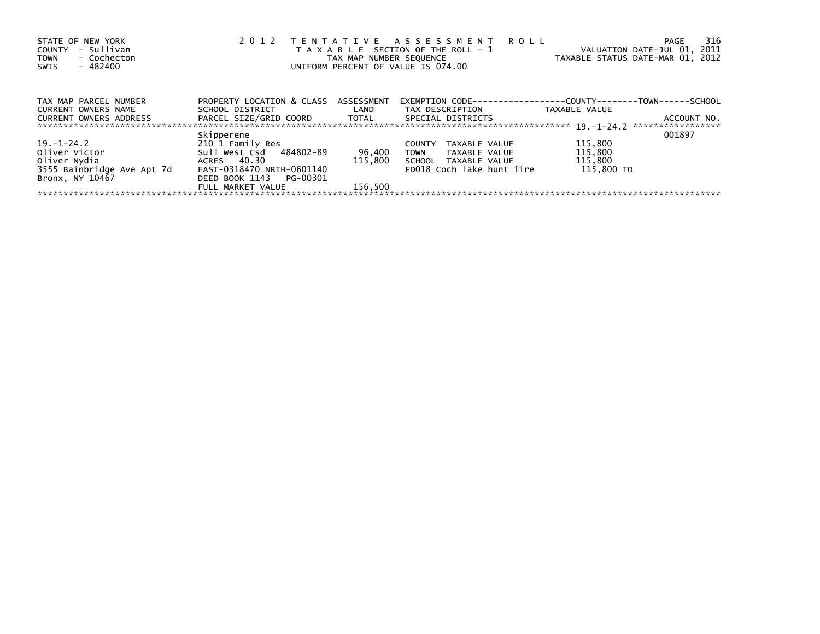| STATE OF NEW YORK<br>- Sullivan<br><b>COUNTY</b><br>- Cochecton<br><b>TOWN</b><br>- 482400<br>SWIS | 2 0 1 2                      | TAX MAP NUMBER SEQUENCE | TENTATIVE ASSESSMENT<br><b>ROLL</b><br>T A X A B L E SECTION OF THE ROLL - 1<br>UNIFORM PERCENT OF VALUE IS 074.00 | VALUATION DATE-JUL 01, 2011<br>TAXABLE STATUS DATE-MAR 01, 2012 | 316<br>PAGE                      |
|----------------------------------------------------------------------------------------------------|------------------------------|-------------------------|--------------------------------------------------------------------------------------------------------------------|-----------------------------------------------------------------|----------------------------------|
| TAX MAP PARCEL NUMBER                                                                              | PROPERTY LOCATION & CLASS    | ASSESSMENT              | EXEMPTION        CODE-----------------COUNTY--------TOWN------SCHOOL                                               |                                                                 |                                  |
| <b>CURRENT OWNERS NAME</b>                                                                         | SCHOOL DISTRICT              | LAND                    | TAX DESCRIPTION                                                                                                    | TAXABLE VALUE                                                   |                                  |
| <b>CURRENT OWNERS ADDRESS</b>                                                                      | PARCEL SIZE/GRID COORD TOTAL |                         | SPECIAL DISTRICTS                                                                                                  |                                                                 | ACCOUNT NO.<br>***************** |
|                                                                                                    | Skipperene                   |                         |                                                                                                                    |                                                                 | 001897                           |
| $19. - 1 - 24.2$                                                                                   | 210 1 Family Res             |                         | TAXABLE VALUE<br><b>COUNTY</b>                                                                                     | 115,800                                                         |                                  |
| Oliver Victor                                                                                      | Sull West Csd 484802-89      | 96,400                  | <b>TOWN</b><br>TAXABLE VALUE                                                                                       | 115,800                                                         |                                  |
| Oliver Nydia                                                                                       | ACRES 40.30                  | 115,800                 | SCHOOL TAXABLE VALUE                                                                                               | 115,800                                                         |                                  |
| 3555 Bainbridge Ave Apt 7d                                                                         | EAST-0318470 NRTH-0601140    |                         | FD018 Coch lake hunt fire                                                                                          | 115,800 TO                                                      |                                  |
| Bronx, NY 10467                                                                                    | DEED BOOK 1143<br>PG-00301   |                         |                                                                                                                    |                                                                 |                                  |
|                                                                                                    | FULL MARKET VALUE            | 156.500                 |                                                                                                                    |                                                                 |                                  |
|                                                                                                    |                              |                         |                                                                                                                    |                                                                 |                                  |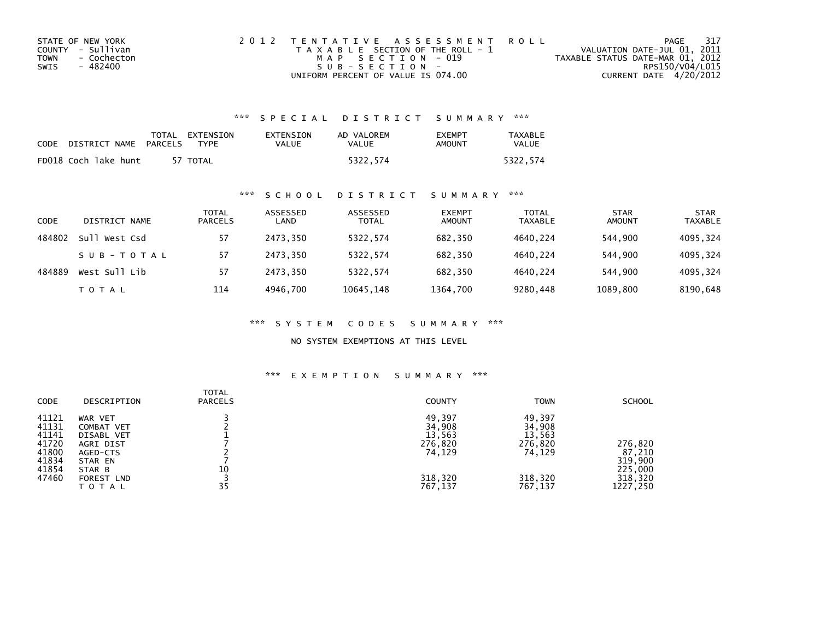| STATE OF NEW YORK   | 2012 TENTATIVE ASSESSMENT ROLL        | PAGE                             | 317 |
|---------------------|---------------------------------------|----------------------------------|-----|
| COUNTY - Sullivan   | T A X A B L E SECTION OF THE ROLL - 1 | VALUATION DATE-JUL 01, 2011      |     |
| - Cochecton<br>TOWN | MAP SECTION - 019                     | TAXABLE STATUS DATE-MAR 01, 2012 |     |
| SWIS<br>- 482400    | $SUB - SECTION -$                     | RPS150/V04/L015                  |     |
|                     | UNIFORM PERCENT OF VALUE IS 074.00    | CURRENT DATE 4/20/2012           |     |

# \*\*\* S P E C I A L D I S T R I C T S U M M A R Y \*\*\*

| CODE | DISTRICT NAME        | PARCELS | TOTAL EXTENSION<br><b>TYPF</b> | EXTENSION<br>VALUE | AD VALOREM<br>VALUE | <b>EXEMPT</b><br>AMOUNT | <b>TAXABLE</b><br>VALUE |
|------|----------------------|---------|--------------------------------|--------------------|---------------------|-------------------------|-------------------------|
|      | FD018 Coch lake hunt |         | 57 TOTAL                       |                    | 5322.574            |                         | 5322.574                |

# \*\*\* S C H O O L D I S T R I C T S U M M A R Y \*\*\*

| CODE   | DISTRICT NAME    | <b>TOTAL</b><br><b>PARCELS</b> | ASSESSED<br>LAND | ASSESSED<br><b>TOTAL</b> | <b>EXEMPT</b><br><b>AMOUNT</b> | <b>TOTAL</b><br><b>TAXABLE</b> | <b>STAR</b><br><b>AMOUNT</b> | <b>STAR</b><br><b>TAXABLE</b> |
|--------|------------------|--------------------------------|------------------|--------------------------|--------------------------------|--------------------------------|------------------------------|-------------------------------|
| 484802 | sull<br>West Csd | 57                             | 2473.350         | 5322.574                 | 682,350                        | 4640.224                       | 544.900                      | 4095,324                      |
|        | SUB-TOTAL        | 57                             | 2473.350         | 5322,574                 | 682,350                        | 4640.224                       | 544.900                      | 4095,324                      |
| 484889 | West Sull Lib    | 57                             | 2473.350         | 5322.574                 | 682.350                        | 4640.224                       | 544,900                      | 4095,324                      |
|        | T O T A L        | 114                            | 4946.700         | 10645, 148               | 1364,700                       | 9280,448                       | 1089,800                     | 8190,648                      |

\*\*\* S Y S T E M C O D E S S U M M A R Y \*\*\*

NO SYSTEM EXEMPTIONS AT THIS LEVEL

### \*\*\* E X E M P T I O N S U M M A R Y \*\*\*

| CODE           | DESCRIPTION           | <b>TOTAL</b><br><b>PARCELS</b> | <b>COUNTY</b>    | <b>TOWN</b>      | <b>SCHOOL</b> |
|----------------|-----------------------|--------------------------------|------------------|------------------|---------------|
| 41121<br>41131 | WAR VET<br>COMBAT VET |                                | 49,397<br>34,908 | 49,397<br>34,908 |               |
| 41141          | DISABL VET            |                                | 13,563           | 13,563           |               |
| 41720          | AGRI DIST             |                                | 276,820          | 276,820          | 276,820       |
| 41800          | AGED-CTS              |                                | 74,129           | 74,129           | 87,210        |
| 41834          | STAR EN               |                                |                  |                  | 319,900       |
| 41854          | STAR B                | 10                             |                  |                  | 225,000       |
| 47460          | FOREST LND            |                                | 318,320          | 318,320          | 318,320       |
|                | TOTAL                 | 35                             | 767,137          | 767,137          | 1227,250      |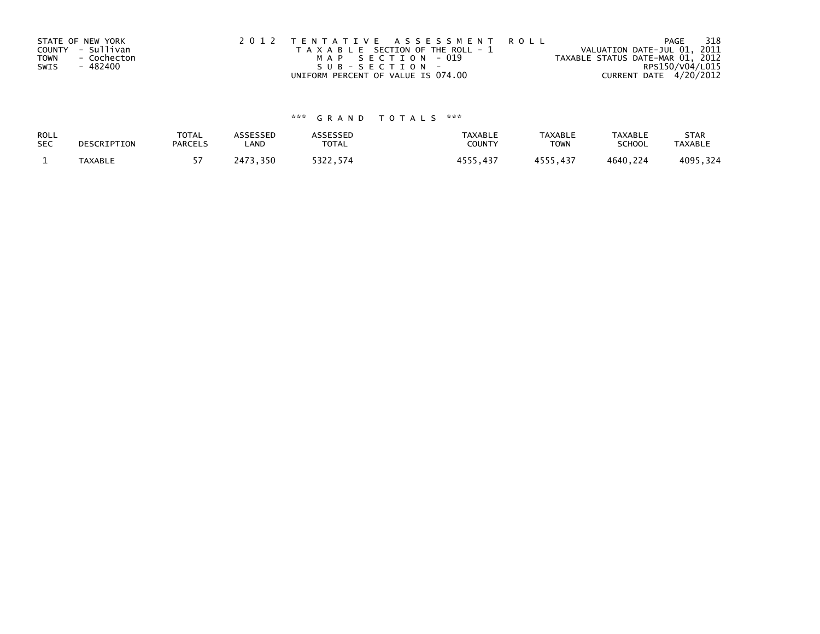|             | STATE OF NEW YORK | 2012 TENTATIVE ASSESSMENT ROLL        | PAGE                             | 318 |
|-------------|-------------------|---------------------------------------|----------------------------------|-----|
|             | COUNTY - Sullivan | T A X A B L E SECTION OF THE ROLL - 1 | VALUATION DATE-JUL 01, 2011      |     |
| <b>TOWN</b> | - Cochecton       | MAP SECTION - 019                     | TAXABLE STATUS DATE-MAR 01, 2012 |     |
| SWIS        | - 482400          | $SUB - SECTION -$                     | RPS150/V04/L015                  |     |
|             |                   | UNIFORM PERCENT OF VALUE IS 074.00    | CURRENT DATE 4/20/2012           |     |

# \*\*\* G R A N D T O T A L S \*\*\*

| ROLL       | DESCRIPTION | <b>TOTAL</b>   | <b>ASSESSED</b> | <b>\SSESSED</b> | TAXABLE        | <b>TAXABLE</b> | TAXABLE       | <b>STAR</b>    |
|------------|-------------|----------------|-----------------|-----------------|----------------|----------------|---------------|----------------|
| <b>SEC</b> |             | <b>PARCELS</b> | LAND            | <b>TOTAL</b>    | COUNTY         | TOWN           | <b>SCHOOL</b> | <b>TAXABLE</b> |
|            | TAXABLE     |                | ,350<br>?473.   | 5322,574        | 4555<br>437. د | 4555.437       | 4640,224      | 4095,324       |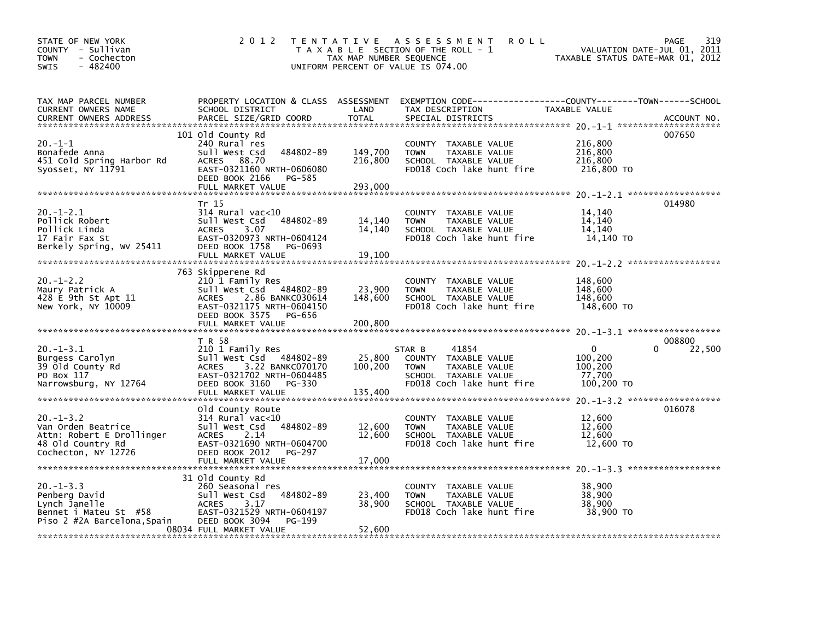| STATE OF NEW YORK<br>COUNTY - Sullivan<br>- Cochecton<br><b>TOWN</b><br>$-482400$<br>SWIS                     | 2 0 1 2                                                                                                                                                                         | TAX MAP NUMBER SEQUENCE       | TENTATIVE ASSESSMENT<br><b>ROLL</b><br>T A X A B L E SECTION OF THE ROLL - 1<br>UNIFORM PERCENT OF VALUE IS 074.00                       | TAXABLE STATUS DATE-MAR 01, 2012                           | 319<br>PAGE<br>VALUATION DATE-JUL 01, 2011 |
|---------------------------------------------------------------------------------------------------------------|---------------------------------------------------------------------------------------------------------------------------------------------------------------------------------|-------------------------------|------------------------------------------------------------------------------------------------------------------------------------------|------------------------------------------------------------|--------------------------------------------|
| TAX MAP PARCEL NUMBER<br>CURRENT OWNERS NAME<br><b>CURRENT OWNERS ADDRESS</b>                                 | SCHOOL DISTRICT<br>PARCEL SIZE/GRID COORD                                                                                                                                       | LAND<br><b>TOTAL</b>          | PROPERTY LOCATION & CLASS ASSESSMENT EXEMPTION CODE----------------COUNTY-------TOWN------SCHOOL<br>TAX DESCRIPTION<br>SPECIAL DISTRICTS | TAXABLE VALUE                                              | ACCOUNT NO.                                |
| $20. -1 - 1$<br>Bonafede Anna<br>451 Cold Spring Harbor Rd<br>Syosset, NY 11791                               | 101 old County Rd<br>240 Rural res<br>Sull West Csd<br>484802-89<br>ACRES 88.70<br>EAST-0321160 NRTH-0606080<br>DEED BOOK 2166<br>PG-585<br>FULL MARKET VALUE                   | 149,700<br>216,800<br>293,000 | COUNTY TAXABLE VALUE<br>TAXABLE VALUE<br><b>TOWN</b><br>SCHOOL TAXABLE VALUE<br>FD018 Coch lake hunt fire                                | 216,800<br>216,800<br>216,800<br>216,800 TO                | 007650                                     |
|                                                                                                               |                                                                                                                                                                                 |                               |                                                                                                                                          |                                                            |                                            |
| $20. - 1 - 2.1$<br>Pollick Robert<br>Pollick Linda<br>17 Fair Fax St<br>Berkely Spring, WV 25411              | Tr 15<br>$314$ Rural vac<10<br>Sull West Csd<br>484802-89<br><b>ACRES</b><br>3.07<br>EAST-0320973 NRTH-0604124<br>DEED BOOK 1758<br>PG-0693<br>FULL MARKET VALUE                | 14,140<br>14,140<br>19,100    | COUNTY TAXABLE VALUE<br><b>TOWN</b><br>TAXABLE VALUE<br>SCHOOL TAXABLE VALUE<br>FD018 Coch lake hunt fire                                | 14,140<br>14,140<br>14,140<br>14,140 TO                    | 014980                                     |
| $20. -1 - 2.2$<br>Maury Patrick A<br>428 E 9th St Apt 11<br>New York, NY 10009                                | 763 Skipperene Rd<br>210 1 Family Res<br>Sull West Csd 484802-89<br><b>ACRES</b><br>2.86 BANKC030614<br>EAST-0321175 NRTH-0604150<br>DEED BOOK 3575 PG-656<br>FULL MARKET VALUE | 23,900<br>148,600<br>200,800  | COUNTY TAXABLE VALUE<br><b>TOWN</b><br>TAXABLE VALUE<br>SCHOOL TAXABLE VALUE<br>FD018 Coch lake hunt fire                                | 148,600<br>148,600<br>148,600<br>148,600 TO                |                                            |
| $20. -1 - 3.1$<br>Burgess Carolyn<br>39 Old County Rd<br>PO Box 117<br>Narrowsburg, NY 12764                  | T R 58<br>210 1 Family Res<br>Sull West Csd 484802-89<br>3.22 BANKC070170<br><b>ACRES</b><br>EAST-0321702 NRTH-0604485<br>DEED BOOK 3160<br>PG-330<br>FULL MARKET VALUE         | 25,800<br>100,200<br>135,400  | 41854<br>STAR B<br>COUNTY TAXABLE VALUE<br><b>TAXABLE VALUE</b><br><b>TOWN</b><br>SCHOOL TAXABLE VALUE<br>FD018 Coch lake hunt fire      | $\mathbf{0}$<br>100,200<br>100,200<br>77,700<br>100,200 TO | 008800<br>22,500                           |
| $20. -1 - 3.2$<br>Van Orden Beatrice<br>Attn: Robert E Drollinger<br>48 Old Country Rd<br>Cochecton, NY 12726 | Old County Route<br>$314$ Rural vac<10<br>Sull West Csd<br>484802-89<br>2.14<br><b>ACRES</b><br>EAST-0321690 NRTH-0604700<br>DEED BOOK 2012<br>PG-297<br>FULL MARKET VALUE      | 12,600<br>12,600<br>17,000    | COUNTY TAXABLE VALUE<br><b>TOWN</b><br>TAXABLE VALUE<br>SCHOOL TAXABLE VALUE<br>FD018 Coch lake hunt fire                                | 12,600<br>12,600<br>12,600<br>12,600 TO                    | 016078                                     |
| $20. -1 - 3.3$<br>Penberg David<br>Lynch Janelle<br>Bennet i Mateu St #58<br>Piso 2 #2A Barcelona, Spain      | 31 Old County Rd<br>260 Seasonal res<br>484802-89<br>Sull West Csd<br><b>ACRES</b><br>3.17<br>EAST-0321529 NRTH-0604197<br>DEED BOOK 3094<br>PG-199<br>08034 FULL MARKET VALUE  | 23,400<br>38,900<br>52,600    | COUNTY TAXABLE VALUE<br>TAXABLE VALUE<br><b>TOWN</b><br>SCHOOL TAXABLE VALUE<br>FD018 Coch lake hunt fire                                | 38,900<br>38,900<br>38,900<br>38,900 TO                    |                                            |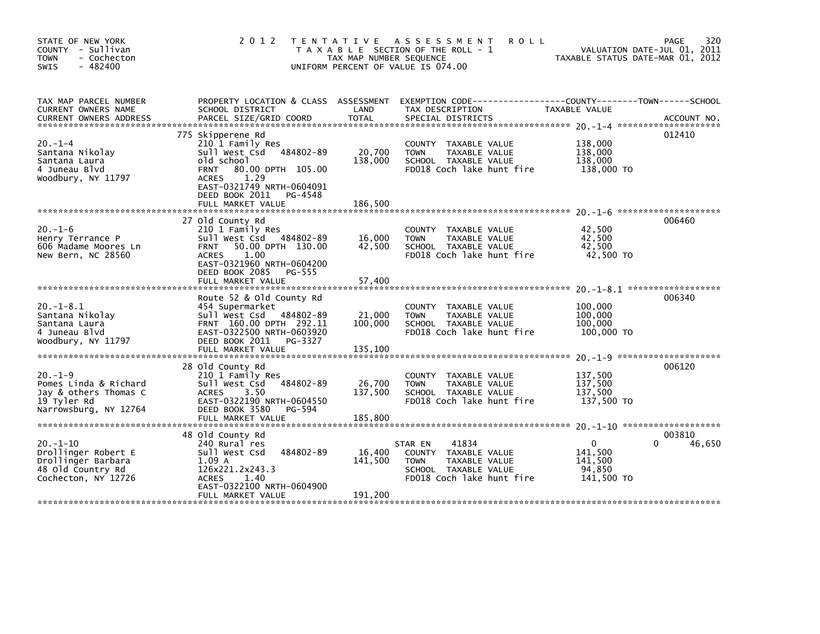| STATE OF NEW YORK<br>COUNTY - Sullivan<br><b>TOWN</b><br>- Cochecton<br>$-482400$<br>SWIS              | 2 0 1 2                                                                                                                                                                                                                      | T E N T A T I V E<br>TAX MAP NUMBER SEQUENCE | A S S E S S M E N T<br><b>ROLL</b><br>T A X A B L E SECTION OF THE ROLL - 1<br>UNIFORM PERCENT OF VALUE IS 074.00             | TAXABLE STATUS DATE-MAR 01, 2012                           | 320<br>PAGE<br>VALUATION DATE-JUL 01, 2011 |
|--------------------------------------------------------------------------------------------------------|------------------------------------------------------------------------------------------------------------------------------------------------------------------------------------------------------------------------------|----------------------------------------------|-------------------------------------------------------------------------------------------------------------------------------|------------------------------------------------------------|--------------------------------------------|
| TAX MAP PARCEL NUMBER<br>CURRENT OWNERS NAME<br><b>CURRENT OWNERS ADDRESS</b>                          | PROPERTY LOCATION & CLASS ASSESSMENT<br>SCHOOL DISTRICT<br>PARCEL SIZE/GRID COORD                                                                                                                                            | LAND<br><b>TOTAL</b>                         | EXEMPTION CODE------------------COUNTY--------TOWN------SCHOOL<br>TAX DESCRIPTION<br>SPECIAL DISTRICTS                        | TAXABLE VALUE                                              | ACCOUNT NO.                                |
| $20. -1 -4$<br>Santana Nikolay<br>Santana Laura<br>4 Juneau Blyd<br>Woodbury, NY 11797                 | 775 Skipperene Rd<br>210 1 Family Res<br>Sull West Csd<br>484802-89<br>old school<br>80.00 DPTH 105.00<br><b>FRNT</b><br>1.29<br><b>ACRES</b><br>EAST-0321749 NRTH-0604091<br>DEED BOOK 2011<br>PG-4548<br>FULL MARKET VALUE | 20,700<br>138,000<br>186.500                 | COUNTY TAXABLE VALUE<br><b>TOWN</b><br>TAXABLE VALUE<br>SCHOOL TAXABLE VALUE<br>FD018 Coch lake hunt fire                     | 138,000<br>138,000<br>138,000<br>138,000 TO                | 012410                                     |
| $20. - 1 - 6$<br>Henry Terrance P<br>606 Madame Moores Ln<br>New Bern, NC 28560                        | 27 Old County Rd<br>210 1 Family Res<br>484802-89<br>Sull West Csd<br>50.00 DPTH 130.00<br><b>FRNT</b><br><b>ACRES</b><br>1.00<br>EAST-0321960 NRTH-0604200<br>DEED BOOK 2085<br>PG-555<br>FULL MARKET VALUE                 | 16,000<br>42,500<br>57,400                   | COUNTY TAXABLE VALUE<br><b>TOWN</b><br>TAXABLE VALUE<br>SCHOOL TAXABLE VALUE<br>FD018 Coch lake hunt fire                     | 42,500<br>42.500<br>42.500<br>42,500 TO                    | 006460                                     |
| $20. -1 - 8.1$<br>Santana Nikolay<br>Santana Laura<br>4 Juneau Blvd<br>Woodbury, NY 11797              | Route 52 & old County Rd<br>454 Supermarket<br>Sull West Csd<br>484802-89<br>FRNT 160.00 DPTH 292.11<br>EAST-0322500 NRTH-0603920<br>DEED BOOK 2011<br>PG-3327<br>FULL MARKET VALUE                                          | 21,000<br>100,000<br>135,100                 | COUNTY<br>TAXABLE VALUE<br><b>TOWN</b><br>TAXABLE VALUE<br>SCHOOL TAXABLE VALUE<br>FD018 Coch lake hunt fire                  | 100,000<br>100,000<br>100,000<br>100,000 TO                | 006340                                     |
| $20 - 1 - 9$<br>Pomes Linda & Richard<br>Jay & others Thomas C<br>19 Tyler Rd<br>Narrowsburg, NY 12764 | 28 Old County Rd<br>210 1 Family Res<br>484802-89<br>Sull West Csd<br>3.50<br><b>ACRES</b><br>EAST-0322190 NRTH-0604550<br>DEED BOOK 3580<br>PG-594<br>FULL MARKET VALUE                                                     | 26,700<br>137,500<br>185,800                 | COUNTY TAXABLE VALUE<br><b>TOWN</b><br>TAXABLE VALUE<br>SCHOOL TAXABLE VALUE<br>FD018 Coch lake hunt fire                     | 137,500<br>137,500<br>137,500<br>137,500 TO                | 006120                                     |
| $20. -1 - 10$<br>Drollinger Robert E<br>Drollinger Barbara<br>48 Old Country Rd<br>Cochecton, NY 12726 | 48 Old County Rd<br>240 Rural res<br>Sull West Csd<br>484802-89<br>1.09A<br>126x221.2x243.3<br><b>ACRES</b><br>1.40<br>EAST-0322100 NRTH-0604900<br>FULL MARKET VALUE                                                        | 16,400<br>141,500<br>191,200                 | 41834<br>STAR EN<br>COUNTY TAXABLE VALUE<br><b>TOWN</b><br>TAXABLE VALUE<br>SCHOOL TAXABLE VALUE<br>FD018 Coch lake hunt fire | $\mathbf{0}$<br>141,500<br>141.500<br>94,850<br>141,500 TO | 003810<br>46,650                           |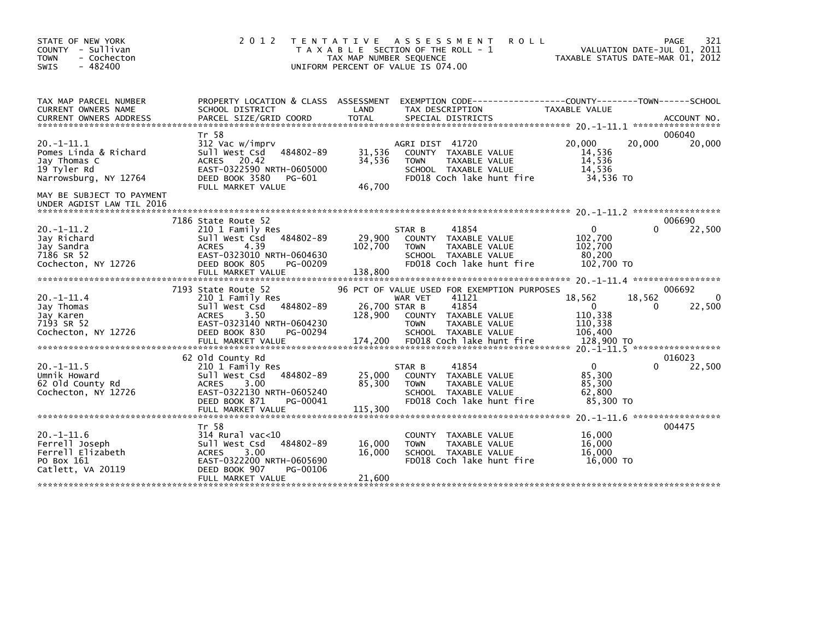| STATE OF NEW YORK<br>COUNTY - Sullivan<br>- Cochecton<br><b>TOWN</b><br>$-482400$<br><b>SWIS</b> | 2 0 1 2                                                                                                                                                                      | T E N T A T I V E<br>A S S E S S M E N T<br><b>ROLL</b><br>T A X A B L E SECTION OF THE ROLL - 1<br>TAX MAP NUMBER SEQUENCE<br>UNIFORM PERCENT OF VALUE IS 074.00                                                            | 321<br>PAGE<br>VALUATION DATE-JUL 01, 2011<br>TAXABLE STATUS DATE-MAR 01, 2012                                                                         |
|--------------------------------------------------------------------------------------------------|------------------------------------------------------------------------------------------------------------------------------------------------------------------------------|------------------------------------------------------------------------------------------------------------------------------------------------------------------------------------------------------------------------------|--------------------------------------------------------------------------------------------------------------------------------------------------------|
| TAX MAP PARCEL NUMBER<br><b>CURRENT OWNERS NAME</b><br><b>CURRENT OWNERS ADDRESS</b>             | PROPERTY LOCATION & CLASS ASSESSMENT<br>SCHOOL DISTRICT<br>PARCEL SIZE/GRID COORD                                                                                            | TAX DESCRIPTION<br>LAND<br><b>TOTAL</b><br>SPECIAL DISTRICTS                                                                                                                                                                 | TAXABLE VALUE<br>ACCOUNT NO.                                                                                                                           |
| $20. -1 - 11.1$<br>Pomes Linda & Richard<br>Jay Thomas C<br>19 Tyler Rd<br>Narrowsburg, NY 12764 | Tr 58<br>312 Vac w/imprv<br>484802-89<br>Sull West Csd<br><b>ACRES</b><br>20.42<br>EAST-0322590 NRTH-0605000<br>DEED BOOK 3580<br>PG-601<br>FULL MARKET VALUE                | AGRI DIST 41720<br>31,536<br>COUNTY TAXABLE VALUE<br>34,536<br>TAXABLE VALUE<br><b>TOWN</b><br>SCHOOL TAXABLE VALUE<br>FD018 Coch lake hunt fire<br>46,700                                                                   | 006040<br>20,000<br>20,000<br>20,000<br>14,536<br>14,536<br>14,536<br>34,536 TO                                                                        |
| MAY BE SUBJECT TO PAYMENT<br>UNDER AGDIST LAW TIL 2016                                           |                                                                                                                                                                              |                                                                                                                                                                                                                              |                                                                                                                                                        |
| $20. -1 - 11.2$<br>Jay Richard<br>Jay Sandra<br>7186 SR 52<br>Cochecton, NY 12726                | 7186 State Route 52<br>210 1 Family Res<br>484802-89<br>Sull West Csd<br><b>ACRES</b><br>4.39<br>EAST-0323010 NRTH-0604630<br>DEED BOOK 805<br>PG-00209<br>FULL MARKET VALUE | 41854<br>STAR B<br>29,900<br>COUNTY TAXABLE VALUE<br>102,700<br><b>TOWN</b><br>TAXABLE VALUE<br>SCHOOL TAXABLE VALUE<br>FD018 Coch lake hunt fire<br>138,800                                                                 | 006690<br>$\Omega$<br>22,500<br>0<br>102,700<br>102,700<br>80,200<br>102,700 TO                                                                        |
| $20. -1 - 11.4$<br>Jay Thomas<br>Jay Karen<br>7193 SR 52<br>Cochecton, NY 12726                  | 7193 State Route 52<br>210 1 Family Res<br>484802-89<br>Sull West Csd<br><b>ACRES</b><br>3.50<br>EAST-0323140 NRTH-0604230<br>DEED BOOK 830<br>PG-00294<br>FULL MARKET VALUE | 96 PCT OF VALUE USED FOR EXEMPTION PURPOSES<br>41121<br>WAR VET<br>41854<br>26,700 STAR B<br>128,900<br>COUNTY TAXABLE VALUE<br><b>TOWN</b><br>TAXABLE VALUE<br>SCHOOL TAXABLE VALUE<br>FD018 Coch lake hunt fire<br>174,200 | 006692<br>18,562<br>18,562<br>$\Omega$<br>22,500<br>$\mathbf{0}$<br>0<br>110,338<br>110,338<br>106,400<br>128,900 TO<br>20. -1-11.5 ****************** |
| $20. -1 - 11.5$<br>Umnik Howard<br>62 Old County Rd<br>Cochecton, NY 12726                       | 62 Old County Rd<br>210 1 Family Res<br>Sull West Csd<br>484802-89<br>3.00<br><b>ACRES</b><br>EAST-0322130 NRTH-0605240<br>DEED BOOK 871<br>PG-00041<br>FULL MARKET VALUE    | 41854<br>STAR B<br>25,000<br>COUNTY TAXABLE VALUE<br>85,300<br>TAXABLE VALUE<br><b>TOWN</b><br>SCHOOL TAXABLE VALUE<br>FD018 Coch lake hunt fire<br>115,300                                                                  | 016023<br>$\mathbf{0}$<br>22,500<br>0<br>85,300<br>85,300<br>62,800<br>85.300 TO                                                                       |
| $20. -1 - 11.6$<br>Ferrell Joseph<br>Ferrell Elizabeth<br>PO Box 161<br>Catlett, VA 20119        | Tr 58<br>$314$ Rural vac<10<br>484802-89<br>Sull West Csd<br><b>ACRES</b><br>3.00<br>EAST-0322200 NRTH-0605690<br>DEED BOOK 907<br>PG-00106<br>FULL MARKET VALUE             | TAXABLE VALUE<br><b>COUNTY</b><br>16,000<br><b>TOWN</b><br>TAXABLE VALUE<br>16,000<br>SCHOOL TAXABLE VALUE<br>FD018 Coch lake hunt fire<br>21,600                                                                            | 004475<br>16,000<br>16,000<br>16,000<br>16,000 TO                                                                                                      |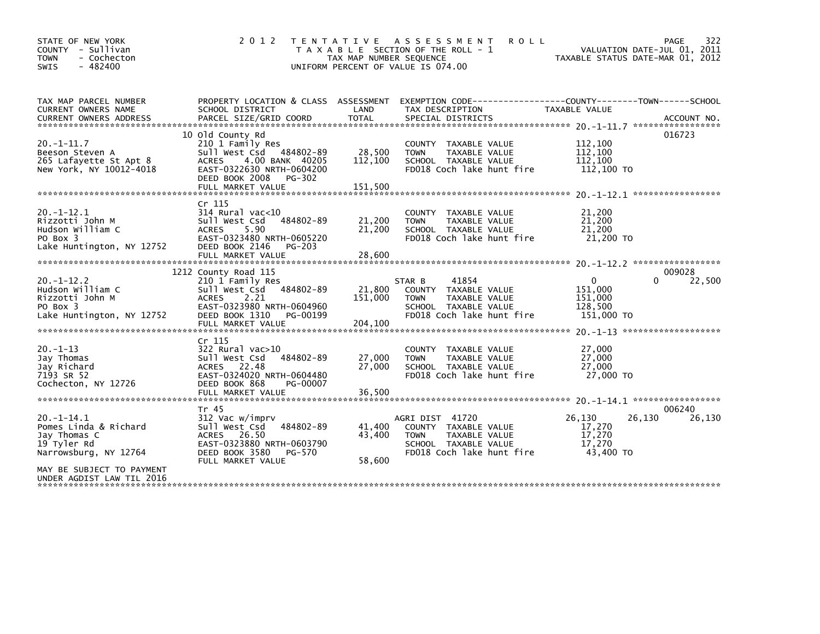| STATE OF NEW YORK<br>COUNTY - Sullivan<br><b>TOWN</b><br>- Cochecton<br>$-482400$<br>SWIS                                                                  | 2 0 1 2                                                                                                                                                                        | T E N T A T I V E<br>TAX MAP NUMBER SEQUENCE | A S S E S S M E N T<br><b>ROLL</b><br>T A X A B L E SECTION OF THE ROLL - 1<br>UNIFORM PERCENT OF VALUE IS 074.00            |                                                         | 322<br>PAGE<br>VALUATION DATE-JUL 01, 2011<br>TAXABLE STATUS DATE-MAR 01, 2012 |
|------------------------------------------------------------------------------------------------------------------------------------------------------------|--------------------------------------------------------------------------------------------------------------------------------------------------------------------------------|----------------------------------------------|------------------------------------------------------------------------------------------------------------------------------|---------------------------------------------------------|--------------------------------------------------------------------------------|
| TAX MAP PARCEL NUMBER<br>CURRENT OWNERS NAME<br><b>CURRENT OWNERS ADDRESS</b>                                                                              | PROPERTY LOCATION & CLASS ASSESSMENT<br>SCHOOL DISTRICT<br>PARCEL SIZE/GRID COORD                                                                                              | LAND<br><b>TOTAL</b>                         | EXEMPTION        CODE-----------------COUNTY-------TOWN------SCHOOL<br>TAX DESCRIPTION<br>SPECIAL DISTRICTS                  | TAXABLE VALUE                                           | ACCOUNT NO.                                                                    |
| $20. -1 - 11.7$<br>Beeson Steven A<br>265 Lafayette St Apt 8<br>New York, NY 10012-4018                                                                    | 10 Old County Rd<br>210 1 Family Res<br>484802-89<br>sull west Csd<br><b>ACRES</b><br>4.00 BANK 40205<br>EAST-0322630 NRTH-0604200<br>DEED BOOK 2008<br>PG-302                 | 28,500<br>112,100                            | COUNTY TAXABLE VALUE<br>TAXABLE VALUE<br><b>TOWN</b><br>SCHOOL TAXABLE VALUE<br>FD018 Coch lake hunt fire                    | 112,100<br>112,100<br>112,100<br>112,100 TO             | 016723                                                                         |
| $20. -1 - 12.1$<br>Rizzotti John M<br>Hudson William C<br>PO Box 3<br>Lake Huntington, NY 12752                                                            | Cr 115<br>314 Rural vac<10<br>Sull West Csd<br>484802-89<br><b>ACRES</b><br>5.90<br>EAST-0323480 NRTH-0605220<br>DEED BOOK 2146<br>PG-203<br>FULL MARKET VALUE                 | 21,200<br>21,200<br>28,600                   | COUNTY TAXABLE VALUE<br>TAXABLE VALUE<br><b>TOWN</b><br>SCHOOL TAXABLE VALUE<br>FD018 Coch lake hunt fire                    | 21,200<br>21,200<br>21,200<br>21,200 TO                 |                                                                                |
| $20 - 1 - 12.2$<br>Hudson William C<br>Rizzotti John M<br>PO Box 3<br>Lake Huntington, NY 12752                                                            | 1212 County Road 115<br>210 1 Family Res<br>484802-89<br>Sull West Csd<br><b>ACRES</b><br>2.21<br>EAST-0323980 NRTH-0604960<br>DEED BOOK 1310<br>PG-00199<br>FULL MARKET VALUE | 21,800<br>151,000<br>204,100                 | 41854<br>STAR B<br>COUNTY TAXABLE VALUE<br><b>TOWN</b><br>TAXABLE VALUE<br>SCHOOL TAXABLE VALUE<br>FD018 Coch lake hunt fire | $\Omega$<br>151,000<br>151.000<br>128,500<br>151,000 TO | 009028<br>22,500<br>0                                                          |
| $20. -1 - 13$<br>Jay Thomas<br>Jay Richard<br>7193 SR 52<br>Cochecton, NY 12726                                                                            | Cr <sub>115</sub><br>322 Rural vac>10<br>Sull West Csd<br>484802-89<br>22.48<br><b>ACRES</b><br>EAST-0324020 NRTH-0604480<br>DEED BOOK 868<br>PG-00007<br>FULL MARKET VALUE    | 27,000<br>27,000<br>36,500                   | TAXABLE VALUE<br><b>COUNTY</b><br>TAXABLE VALUE<br><b>TOWN</b><br>SCHOOL TAXABLE VALUE<br>FD018 Coch lake hunt fire          | 27,000<br>27,000<br>27,000<br>27,000 TO                 |                                                                                |
| $20. -1 - 14.1$<br>Pomes Linda & Richard<br>Jay Thomas C<br>19 Tyler Rd<br>Narrowsburg, NY 12764<br>MAY BE SUBJECT TO PAYMENT<br>UNDER AGDIST LAW TIL 2016 | Tr 45<br>312 Vac w/imprv<br>Sull West Csd<br>484802-89<br>ACRES 26.50<br>EAST-0323880 NRTH-0603790<br>DEED BOOK 3580<br>PG-570<br>FULL MARKET VALUE                            | 41,400<br>43,400<br>58,600                   | AGRI DIST 41720<br>COUNTY TAXABLE VALUE<br><b>TOWN</b><br>TAXABLE VALUE<br>SCHOOL TAXABLE VALUE<br>FD018 Coch lake hunt fire | 26.130<br>17,270<br>17,270<br>17,270<br>43,400 TO       | 006240<br>26,130<br>26,130                                                     |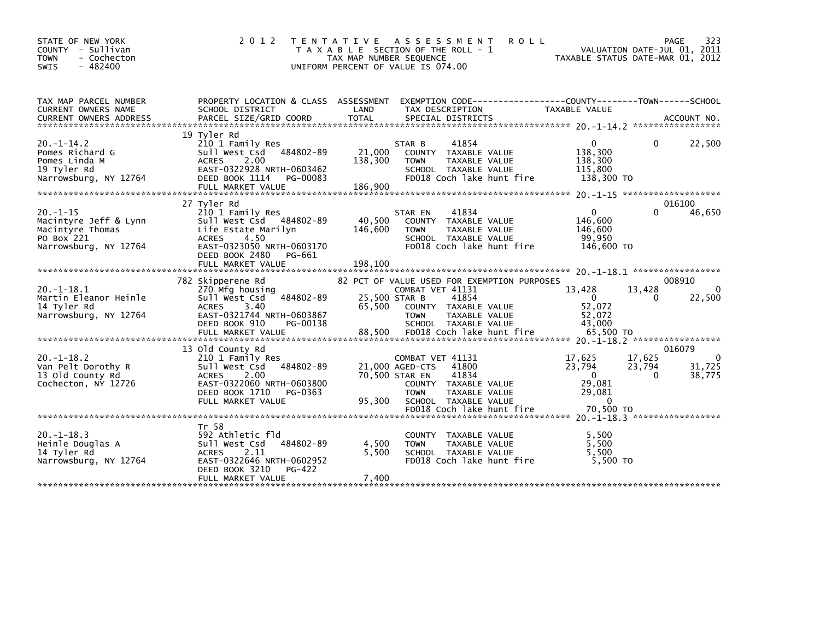| STATE OF NEW YORK<br>COUNTY - Sullivan<br><b>TOWN</b><br>- Cochecton<br>$-482400$<br><b>SWIS</b>  | 2 0 1 2                                                                                                                                                                   | T E N T A T I V E<br>TAX MAP NUMBER SEQUENCE | A S S E S S M E N T<br>T A X A B L E SECTION OF THE ROLL - 1<br>UNIFORM PERCENT OF VALUE IS 074.00                                                                                   | <b>ROLL</b>                                                                          | 323<br>PAGE<br>VALUATION DATE-JUL 01, 2011<br>TAXABLE STATUS DATE-MAR 01, 2012 |
|---------------------------------------------------------------------------------------------------|---------------------------------------------------------------------------------------------------------------------------------------------------------------------------|----------------------------------------------|--------------------------------------------------------------------------------------------------------------------------------------------------------------------------------------|--------------------------------------------------------------------------------------|--------------------------------------------------------------------------------|
| TAX MAP PARCEL NUMBER<br>CURRENT OWNERS NAME                                                      | PROPERTY LOCATION & CLASS ASSESSMENT<br>SCHOOL DISTRICT                                                                                                                   | LAND                                         | TAX DESCRIPTION                                                                                                                                                                      | EXEMPTION CODE-----------------COUNTY-------TOWN------SCHOOL<br><b>TAXABLE VALUE</b> |                                                                                |
| $20. -1 - 14.2$<br>Pomes Richard G<br>Pomes Linda M<br>19 Tyler Rd<br>Narrowsburg, NY 12764       | 19 Tyler Rd<br>210 1 Family Res<br>Sull West Csd 484802-89<br>2.00<br><b>ACRES</b><br>EAST-0322928 NRTH-0603462<br>DEED BOOK 1114<br>PG-00083                             | 21,000<br>138,300                            | 41854<br>STAR B<br>COUNTY TAXABLE VALUE<br><b>TOWN</b><br>TAXABLE VALUE<br>SCHOOL TAXABLE VALUE<br>FD018 Coch lake hunt fire                                                         | $\mathbf{0}$<br>138,300<br>138,300<br>115,800<br>138,300 TO                          | $\Omega$<br>22,500                                                             |
|                                                                                                   |                                                                                                                                                                           |                                              |                                                                                                                                                                                      |                                                                                      |                                                                                |
| $20. -1 - 15$<br>Macintyre Jeff & Lynn<br>Macintyre Thomas<br>PO Box 221<br>Narrowsburg, NY 12764 | 27 Tyler Rd<br>210 1 Family Res<br>Sull West Csd 484802-89<br>Life Estate Marilyn<br><b>ACRES</b><br>4.50<br>EAST-0323050 NRTH-0603170<br>DEED BOOK 2480<br>PG-661        | 40,500<br>146,600                            | 41834<br>STAR EN<br>COUNTY TAXABLE VALUE<br>TAXABLE VALUE<br><b>TOWN</b><br>SCHOOL TAXABLE VALUE<br>FD018 Coch lake hunt fire                                                        | $\Omega$<br>146,600<br>146,600<br>99,950<br>146,600 TO                               | 016100<br>46,650<br>0                                                          |
|                                                                                                   |                                                                                                                                                                           |                                              |                                                                                                                                                                                      |                                                                                      |                                                                                |
| $20. -1 - 18.1$<br>Martin Eleanor Heinle<br>14 Tyler Rd<br>Narrowsburg, NY 12764                  | 782 Skipperene Rd<br>270 Mfg housing<br>Sull West Csd 484802-89<br>3.40<br><b>ACRES</b><br>EAST-0321744 NRTH-0603867<br>DEED BOOK 910<br>PG-00138                         | 25,500 STAR B<br>65,500                      | 82 PCT OF VALUE USED FOR EXEMPTION PURPOSES<br>COMBAT VET 41131<br>41854<br>COUNTY TAXABLE VALUE<br><b>TOWN</b><br>TAXABLE VALUE<br>SCHOOL TAXABLE VALUE                             | 13,428<br>$\Omega$<br>52,072<br>52,072<br>43,000                                     | 008910<br>13,428<br>$\mathbf{0}$<br>22,500<br>0                                |
| $20. -1 - 18.2$<br>Van Pelt Dorothy R<br>13 Old County Rd<br>Cochecton, NY 12726                  | 13 Old County Rd<br>210 1 Family Res<br>484802-89<br>Sull West Csd<br>2.00<br><b>ACRES</b><br>EAST-0322060 NRTH-0603800<br>DEED BOOK 1710<br>PG-0363<br>FULL MARKET VALUE | 95,300                                       | COMBAT VET 41131<br>21,000 AGED-CTS<br>41800<br>41834<br>70,500 STAR EN<br>COUNTY TAXABLE VALUE<br><b>TOWN</b><br>TAXABLE VALUE<br>SCHOOL TAXABLE VALUE<br>FD018 Coch lake hunt fire | 17,625<br>23,794<br>$\Omega$<br>29.081<br>29,081<br>$\Omega$<br>70,500 TO            | 016079<br>17,625<br>$\mathbf{0}$<br>23,794<br>31,725<br>$\Omega$<br>38,775     |
|                                                                                                   |                                                                                                                                                                           |                                              |                                                                                                                                                                                      |                                                                                      |                                                                                |
| $20. -1 - 18.3$<br>Heinle Douglas A<br>14 Tyler Rd<br>Narrowsburg, NY 12764                       | Tr 58<br>592 Athletic fld<br>484802-89<br>Sull West Csd<br>2.11<br><b>ACRES</b><br>EAST-0322646 NRTH-0602952<br>DEED BOOK 3210<br>PG-422                                  | 4,500<br>5.500                               | COUNTY TAXABLE VALUE<br>TAXABLE VALUE<br><b>TOWN</b><br>SCHOOL TAXABLE VALUE<br>FD018 Coch lake hunt fire                                                                            | 5,500<br>5,500<br>5.500<br>5.500 TO                                                  |                                                                                |
|                                                                                                   | FULL MARKET VALUE                                                                                                                                                         | 7,400                                        |                                                                                                                                                                                      |                                                                                      |                                                                                |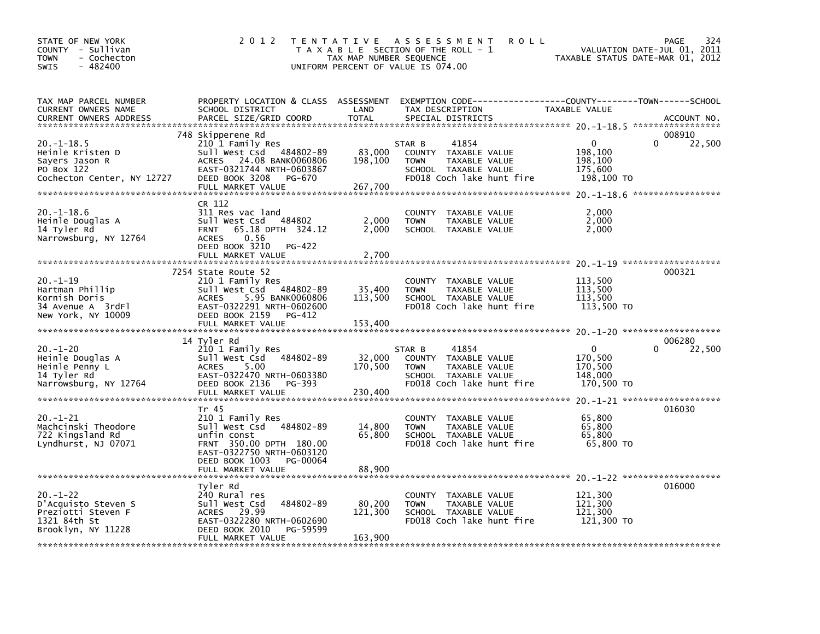| STATE OF NEW YORK<br>COUNTY - Sullivan<br>- Cochecton<br><b>TOWN</b><br>$-482400$<br><b>SWIS</b>  | 2 0 1 2                                                                                                                                                                                 | TAX MAP NUMBER SEQUENCE      | TENTATIVE ASSESSMENT<br><b>ROLL</b><br>T A X A B L E SECTION OF THE ROLL - 1<br>UNIFORM PERCENT OF VALUE IS 074.00           | TAXABLE STATUS DATE-MAR 01, 2012                            | 324<br>PAGE<br>VALUATION DATE-JUL 01, 2011 |
|---------------------------------------------------------------------------------------------------|-----------------------------------------------------------------------------------------------------------------------------------------------------------------------------------------|------------------------------|------------------------------------------------------------------------------------------------------------------------------|-------------------------------------------------------------|--------------------------------------------|
| TAX MAP PARCEL NUMBER<br>CURRENT OWNERS NAME<br><b>CURRENT OWNERS ADDRESS</b>                     | PROPERTY LOCATION & CLASS ASSESSMENT<br>SCHOOL DISTRICT<br>PARCEL SIZE/GRID COORD                                                                                                       | LAND<br><b>TOTAL</b>         | EXEMPTION CODE-----------------COUNTY-------TOWN------SCHOOL<br>TAX DESCRIPTION<br>SPECIAL DISTRICTS                         | TAXABLE VALUE                                               | ACCOUNT NO.                                |
| $20. -1 - 18.5$<br>Heinle Kristen D<br>Sayers Jason R<br>PO Box 122<br>Cochecton Center, NY 12727 | 748 Skipperene Rd<br>210 1 Family Res<br>Sull West Csd 484802-89<br><b>ACRES</b><br>24.08 BANK0060806<br>EAST-0321744 NRTH-0603867<br>DEED BOOK 3208<br>PG-670<br>FULL MARKET VALUE     | 83,000<br>198,100<br>267,700 | 41854<br>STAR B<br>COUNTY TAXABLE VALUE<br>TAXABLE VALUE<br><b>TOWN</b><br>SCHOOL TAXABLE VALUE<br>FD018 Coch lake hunt fire | $\mathbf{0}$<br>198,100<br>198,100<br>175,600<br>198,100 TO | 008910<br>22,500<br>0                      |
| $20. - 1 - 18.6$<br>Heinle Douglas A<br>14 Tyler Rd<br>Narrowsburg, NY 12764                      | CR 112<br>311 Res vac land<br>484802<br>Sull West Csd<br>65.18 DPTH 324.12<br><b>FRNT</b><br><b>ACRES</b><br>0.56<br>DEED BOOK 3210<br>PG-422<br>FULL MARKET VALUE                      | 2,000<br>2,000<br>2.700      | COUNTY TAXABLE VALUE<br><b>TOWN</b><br>TAXABLE VALUE<br>SCHOOL TAXABLE VALUE                                                 | 2,000<br>2,000<br>2,000                                     |                                            |
| $20. - 1 - 19$<br>Hartman Phillip<br>Kornish Doris<br>34 Avenue A 3rdFl<br>New York, NY 10009     | 7254 State Route 52<br>210 1 Family Res<br>Sull West Csd<br>484802-89<br><b>ACRES</b><br>5.95 BANK0060806<br>EAST-0322291 NRTH-0602600<br>DEED BOOK 2159<br>PG-412<br>FULL MARKET VALUE | 35,400<br>113,500<br>153,400 | COUNTY TAXABLE VALUE<br><b>TOWN</b><br>TAXABLE VALUE<br>SCHOOL TAXABLE VALUE<br>FD018 Coch lake hunt fire                    | 113,500<br>113,500<br>113,500<br>113,500 TO                 | 000321                                     |
| $20. - 1 - 20$<br>Heinle Douglas A<br>Heinle Penny L<br>14 Tyler Rd<br>Narrowsburg, NY 12764      | 14 Tyler Rd<br>210 1 Family Res<br>Sull West Csd<br>484802-89<br>5.00<br><b>ACRES</b><br>EAST-0322470 NRTH-0603380<br>DEED BOOK 2136<br>PG-393<br>FULL MARKET VALUE                     | 32,000<br>170,500<br>230,400 | STAR B<br>41854<br>COUNTY TAXABLE VALUE<br><b>TOWN</b><br>TAXABLE VALUE<br>SCHOOL TAXABLE VALUE<br>FD018 Coch lake hunt fire | 0<br>170,500<br>170,500<br>148,000<br>170,500 TO            | 006280<br>22,500<br>0                      |
| $20. - 1 - 21$<br>Machcinski Theodore<br>722 Kingsland Rd<br>Lyndhurst, NJ 07071                  | Tr 45<br>210 1 Family Res<br>Sull West Csd 484802-89<br>unfin const<br>FRNT 350.00 DPTH 180.00<br>EAST-0322750 NRTH-0603120<br>DEED BOOK 1003<br>PG-00064<br>FULL MARKET VALUE          | 14,800<br>65,800<br>88,900   | COUNTY TAXABLE VALUE<br>TAXABLE VALUE<br><b>TOWN</b><br>SCHOOL TAXABLE VALUE<br>FD018 Coch lake hunt fire                    | 65,800<br>65,800<br>65,800<br>65,800 TO                     | 016030                                     |
| $20. - 1 - 22$<br>D'Acquisto Steven S<br>Preziotti Steven F<br>1321 84th St<br>Brooklyn, NY 11228 | Tyler Rd<br>240 Rural res<br>Sull West Csd<br>484802-89<br>ACRES 29.99<br>EAST-0322280 NRTH-0602690<br>DEED BOOK 2010<br>PG-59599<br>FULL MARKET VALUE                                  | 80,200<br>121,300<br>163,900 | COUNTY TAXABLE VALUE<br><b>TOWN</b><br>TAXABLE VALUE<br>SCHOOL TAXABLE VALUE<br>FD018 Coch lake hunt fire                    | 121,300<br>121,300<br>121,300<br>121,300 TO                 | 016000                                     |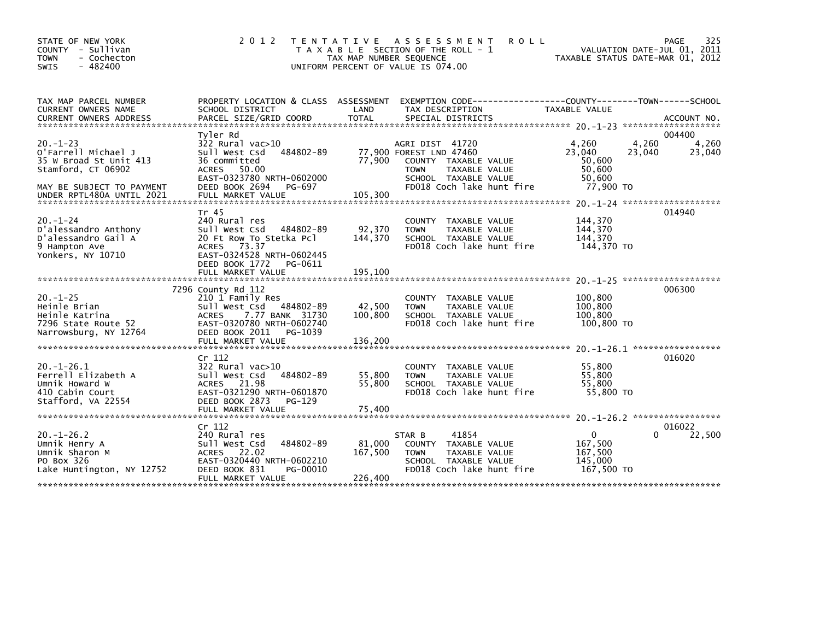| STATE OF NEW YORK<br>COUNTY - Sullivan<br><b>TOWN</b><br>- Cochecton<br><b>SWIS</b><br>- 482400                                                 | 2 0 1 2                                                                                                                                               | T E N T A T I V E<br>T A X A B L E SECTION OF THE ROLL - 1<br>UNIFORM PERCENT OF VALUE IS 074.00 | TAX MAP NUMBER SEQUENCE                      |                                | A S S E S S M E N T                                                    | <b>ROLL</b>               | TAXABLE STATUS DATE-MAR 01, 2012                           |                 | 325<br>PAGE<br>VALUATION DATE-JUL 01, 2011 |
|-------------------------------------------------------------------------------------------------------------------------------------------------|-------------------------------------------------------------------------------------------------------------------------------------------------------|--------------------------------------------------------------------------------------------------|----------------------------------------------|--------------------------------|------------------------------------------------------------------------|---------------------------|------------------------------------------------------------|-----------------|--------------------------------------------|
| TAX MAP PARCEL NUMBER<br>CURRENT OWNERS NAME<br><b>CURRENT OWNERS ADDRESS</b>                                                                   | PROPERTY LOCATION & CLASS ASSESSMENT EXEMPTION CODE----------------COUNTY-------TOWN------SCHOOL<br>SCHOOL DISTRICT<br>PARCEL SIZE/GRID COORD         |                                                                                                  | LAND<br><b>TOTAL</b>                         | TAX DESCRIPTION                | SPECIAL DISTRICTS                                                      |                           | TAXABLE VALUE                                              |                 | ACCOUNT NO.                                |
|                                                                                                                                                 | Tyler Rd                                                                                                                                              |                                                                                                  |                                              |                                |                                                                        |                           |                                                            |                 | 004400                                     |
| $20. - 1 - 23$<br>O'Farrell Michael J<br>35 W Broad St Unit 413<br>Stamford, CT 06902<br>MAY BE SUBJECT TO PAYMENT<br>UNDER RPTL480A UNTIL 2021 | $322$ Rural vac $>10$<br>Sull West Csd<br>36 committed<br>ACRES 50.00<br>EAST-0323780 NRTH-0602000<br>DEED BOOK 2694<br>FULL MARKET VALUE             | 484802-89<br>PG-697                                                                              | 77,900 FOREST LND 47460<br>77,900<br>105,300 | AGRI DIST 41720<br><b>TOWN</b> | COUNTY TAXABLE VALUE<br>TAXABLE VALUE<br>SCHOOL TAXABLE VALUE          | FD018 Coch lake hunt fire | 4,260<br>23.040<br>50,600<br>50,600<br>50,600<br>77,900 TO | 4,260<br>23,040 | 4,260<br>23,040                            |
|                                                                                                                                                 |                                                                                                                                                       |                                                                                                  |                                              |                                |                                                                        |                           |                                                            |                 |                                            |
| $20. -1 - 24$<br>D'alessandro Anthony<br>D'alessandro Gail A<br>9 Hampton Ave<br>Yonkers, NY 10710                                              | Tr 45<br>240 Rural res<br>Sull West Csd<br>20 Ft Row To Stetka Pcl<br>ACRES 73.37<br>EAST-0324528 NRTH-0602445<br>DEED BOOK 1772<br>FULL MARKET VALUE | 484802-89<br>PG-0611                                                                             | 92,370<br>144,370<br>195,100                 | <b>TOWN</b>                    | COUNTY TAXABLE VALUE<br>TAXABLE VALUE<br>SCHOOL TAXABLE VALUE          | FD018 Coch lake hunt fire | 144,370<br>144,370<br>144,370<br>144,370 TO                |                 | 014940                                     |
|                                                                                                                                                 | 7296 County Rd 112                                                                                                                                    |                                                                                                  |                                              |                                |                                                                        |                           |                                                            |                 | 006300                                     |
| $20. -1 - 25$<br>Heinle Brian<br>Heinle Katrina<br>7296 State Route 52<br>Narrowsburg, NY 12764                                                 | 210 1 Family Res<br>Sull West Csd 484802-89<br><b>ACRES</b><br>7.77 BANK 31730<br>EAST-0320780 NRTH-0602740<br>DEED BOOK 2011<br>FULL MARKET VALUE    | PG-1039                                                                                          | 42,500<br>100,800<br>136,200                 | <b>TOWN</b>                    | COUNTY TAXABLE VALUE<br>TAXABLE VALUE<br>SCHOOL TAXABLE VALUE          | FD018 Coch lake hunt fire | 100,800<br>100,800<br>100,800<br>100,800 TO                |                 |                                            |
|                                                                                                                                                 |                                                                                                                                                       |                                                                                                  |                                              |                                |                                                                        |                           |                                                            |                 |                                            |
| $20. -1 - 26.1$<br>Ferrell Elizabeth A<br>Umnik Howard W<br>410 Cabin Court<br>Stafford, VA 22554                                               | Cr 112<br>322 Rural vac>10<br>Sull West Csd<br>ACRES 21.98<br>EAST-0321290 NRTH-0601870<br>DEED BOOK 2873                                             | 484802-89<br>PG-129                                                                              | 55,800<br>55,800                             | <b>TOWN</b>                    | COUNTY TAXABLE VALUE<br>TAXABLE VALUE<br>SCHOOL TAXABLE VALUE          | FD018 Coch lake hunt fire | 55,800<br>55,800<br>55,800<br>55,800 TO                    |                 | 016020                                     |
|                                                                                                                                                 | FULL MARKET VALUE                                                                                                                                     |                                                                                                  | 75,400                                       |                                |                                                                        |                           |                                                            |                 |                                            |
|                                                                                                                                                 |                                                                                                                                                       |                                                                                                  |                                              |                                |                                                                        |                           |                                                            |                 |                                            |
| $20. -1 - 26.2$<br>Umnik Henry A<br>Umnik Sharon M<br>PO Box 326<br>Lake Huntington, NY 12752                                                   | Cr 112<br>240 Rural res<br>Sull West Csd<br>ACRES 22.02<br>EAST-0320440 NRTH-0602210<br>DEED BOOK 831<br>FULL MARKET VALUE                            | 484802-89<br>PG-00010                                                                            | 81,000<br>167,500<br>226,400                 | STAR B<br><b>TOWN</b>          | 41854<br>COUNTY TAXABLE VALUE<br>TAXABLE VALUE<br>SCHOOL TAXABLE VALUE | FD018 Coch lake hunt fire | $\mathbf 0$<br>167,500<br>167,500<br>145,000<br>167,500 TO | $\Omega$        | 016022<br>22,500                           |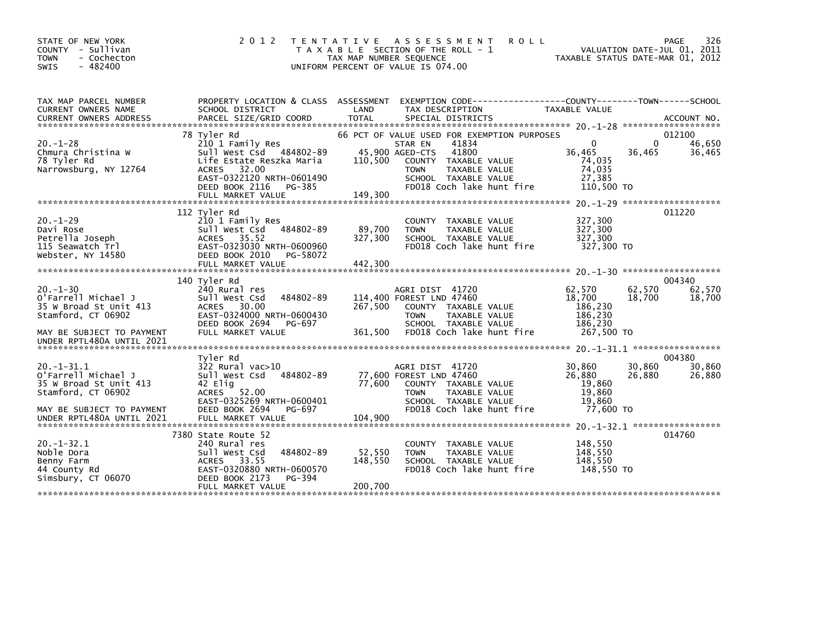| STATE OF NEW YORK<br>COUNTY - Sullivan<br><b>TOWN</b><br>- Cochecton<br>$-482400$<br>SWIS | 2 0 1 2                                                                                                                                                   | T E N T A T I V E<br>A S S E S S M E N T<br>T A X A B L E SECTION OF THE ROLL - 1<br>TAX MAP NUMBER SEQUENCE<br>UNIFORM PERCENT OF VALUE IS 074.00                   | <b>ROLL</b><br>VALUATION DATE-JUL 01, 2011<br>TAXABLE STATUS DATE-MAR 01, 2012 | 326<br>PAGE      |
|-------------------------------------------------------------------------------------------|-----------------------------------------------------------------------------------------------------------------------------------------------------------|----------------------------------------------------------------------------------------------------------------------------------------------------------------------|--------------------------------------------------------------------------------|------------------|
| TAX MAP PARCEL NUMBER<br>CURRENT OWNERS NAME                                              | PROPERTY LOCATION & CLASS ASSESSMENT<br>SCHOOL DISTRICT                                                                                                   | LAND<br>TAX DESCRIPTION                                                                                                                                              | EXEMPTION CODE-----------------COUNTY-------TOWN------SCHOOL<br>TAXABLE VALUE  |                  |
|                                                                                           |                                                                                                                                                           |                                                                                                                                                                      |                                                                                |                  |
|                                                                                           | 78 Tyler Rd                                                                                                                                               | 66 PCT OF VALUE USED FOR EXEMPTION PURPOSES                                                                                                                          | $\Omega$<br>0                                                                  | 012100           |
| $20. - 1 - 28$<br>Chmura Christina W<br>78 Tyler Rd<br>Narrowsburg, NY 12764              | 210 1 Family Res<br>Sull West Csd 484802-89<br>Life Estate Reszka Maria<br>32.00<br><b>ACRES</b><br>EAST-0322120 NRTH-0601490<br>DEED BOOK 2116<br>PG-385 | 41834<br>STAR EN<br>41800<br>45,900 AGED-CTS<br>110,500<br>COUNTY TAXABLE VALUE<br>TAXABLE VALUE<br><b>TOWN</b><br>SCHOOL TAXABLE VALUE<br>FD018 Coch lake hunt fire | 36,465<br>36,465<br>74,035<br>74,035<br>27,385<br>110,500 TO                   | 46,650<br>36,465 |
|                                                                                           | FULL MARKET VALUE                                                                                                                                         | 149,300                                                                                                                                                              |                                                                                |                  |
|                                                                                           |                                                                                                                                                           |                                                                                                                                                                      |                                                                                |                  |
| $20. - 1 - 29$<br>Davi Rose<br>Petrella Joseph<br>115 Seawatch Trl<br>Webster, NY 14580   | 112 Tyler Rd<br>210 1 Family Res<br>sull west Csd<br>484802-89<br>ACRES 35.52<br>EAST-0323030 NRTH-0600960<br>DEED BOOK 2010<br>PG-58072                  | COUNTY TAXABLE VALUE<br>89,700<br>TAXABLE VALUE<br><b>TOWN</b><br>327,300<br>SCHOOL TAXABLE VALUE<br>FD018 Coch lake hunt fire                                       | 327,300<br>327,300<br>327,300<br>327,300 TO                                    | 011220           |
|                                                                                           | FULL MARKET VALUE                                                                                                                                         | 442,300                                                                                                                                                              |                                                                                |                  |
|                                                                                           |                                                                                                                                                           |                                                                                                                                                                      |                                                                                |                  |
|                                                                                           | 140 Tyler Rd                                                                                                                                              |                                                                                                                                                                      |                                                                                | 004340           |
| $20 - 1 - 30$<br>O'Farrell Michael J<br>35 W Broad St Unit 413<br>Stamford, CT 06902      | 240 Rural res<br>Sull West Csd<br>484802-89<br>ACRES 30.00<br>EAST-0324000 NRTH-0600430<br>DEED BOOK 2694<br>PG-697                                       | AGRI DIST 41720<br>114,400 FOREST LND 47460<br>267,500<br>COUNTY TAXABLE VALUE<br><b>TOWN</b><br>TAXABLE VALUE<br>SCHOOL TAXABLE VALUE                               | 62.570<br>62,570<br>18,700<br>18,700<br>186,230<br>186,230<br>186,230          | 62,570<br>18,700 |
| MAY BE SUBJECT TO PAYMENT<br>UNDER RPTL480A UNTIL 2021                                    | FULL MARKET VALUE                                                                                                                                         | FD018 Coch lake hunt fire<br>361,500                                                                                                                                 | 267,500 TO                                                                     |                  |
|                                                                                           | Tyler Rd                                                                                                                                                  |                                                                                                                                                                      |                                                                                | 004380           |
| $20 - 1 - 31.1$<br>O'Farrell Michael J<br>35 W Broad St Unit 413<br>Stamford, CT 06902    | 322 Rural vac>10<br>484802-89<br>Sull West Csd<br>42 Elia<br><b>ACRES</b><br>52.00<br>EAST-0325269 NRTH-0600401                                           | AGRI DIST 41720<br>77,600 FOREST LND 47460<br>77,600<br>COUNTY TAXABLE VALUE<br><b>TOWN</b><br>TAXABLE VALUE<br>SCHOOL TAXABLE VALUE                                 | 30,860<br>30,860<br>26,880<br>26,880<br>19,860<br>19,860<br>19.860             | 30,860<br>26,880 |
| MAY BE SUBJECT TO PAYMENT<br>UNDER RPTL480A UNTIL 2021                                    | DEED BOOK 2694<br>PG-697<br>FULL MARKET VALUE                                                                                                             | FD018 Coch lake hunt fire<br>104,900                                                                                                                                 | 77,600 TO                                                                      |                  |
|                                                                                           |                                                                                                                                                           |                                                                                                                                                                      |                                                                                |                  |
| $20. -1 - 32.1$<br>Noble Dora<br>Benny Farm<br>44 County Rd<br>Simsbury, CT 06070         | 7380 State Route 52<br>240 Rural res<br>484802-89<br>Sull West Csd<br>33.55<br><b>ACRES</b><br>EAST-0320880 NRTH-0600570<br>DEED BOOK 2173<br>PG-394      | COUNTY TAXABLE VALUE<br>52,550<br>TAXABLE VALUE<br><b>TOWN</b><br>148,550<br>SCHOOL TAXABLE VALUE<br>FD018 Coch lake hunt fire                                       | 148,550<br>148,550<br>148,550<br>148,550 TO                                    | 014760           |
|                                                                                           | FULL MARKET VALUE                                                                                                                                         | 200,700                                                                                                                                                              |                                                                                |                  |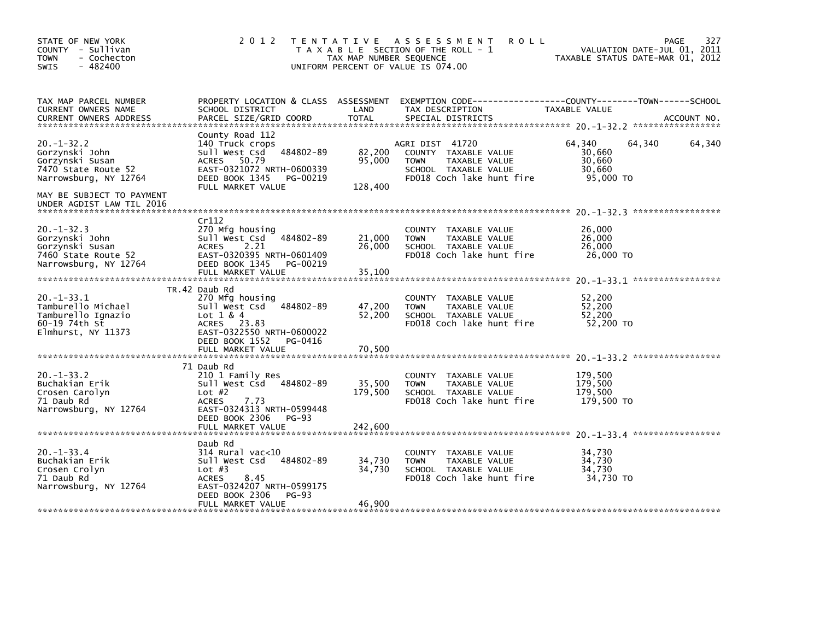| STATE OF NEW YORK<br>COUNTY - Sullivan<br><b>TOWN</b><br>- Cochecton<br>$-482400$<br>SWIS                                                                      | 2 0 1 2                                                                                                                                                                        | TAX MAP NUMBER SEQUENCE     | TENTATIVE ASSESSMENT<br><b>ROLL</b><br>T A X A B L E SECTION OF THE ROLL - 1<br>UNIFORM PERCENT OF VALUE IS 074.00           | VALUATION DATE-JUL 01, 2011<br>TAXABLE STATUS DATE-MAR 01, 2012 | 327<br><b>PAGE</b> |
|----------------------------------------------------------------------------------------------------------------------------------------------------------------|--------------------------------------------------------------------------------------------------------------------------------------------------------------------------------|-----------------------------|------------------------------------------------------------------------------------------------------------------------------|-----------------------------------------------------------------|--------------------|
| TAX MAP PARCEL NUMBER<br>CURRENT OWNERS NAME<br><b>CURRENT OWNERS ADDRESS</b>                                                                                  | PROPERTY LOCATION & CLASS ASSESSMENT<br>SCHOOL DISTRICT<br>PARCEL SIZE/GRID COORD                                                                                              | LAND<br><b>TOTAL</b>        | TAX DESCRIPTION<br>SPECIAL DISTRICTS                                                                                         | TAXABLE VALUE                                                   | ACCOUNT NO.        |
| $20. -1 - 32.2$<br>Gorzynski John<br>Gorzynski Susan<br>7470 State Route 52<br>Narrowsburg, NY 12764<br>MAY BE SUBJECT TO PAYMENT<br>UNDER AGDIST LAW TIL 2016 | County Road 112<br>140 Truck crops<br>484802-89<br>sull west Csd<br>50.79<br>ACRES<br>EAST-0321072 NRTH-0600339<br>DEED BOOK 1345<br>PG-00219<br>FULL MARKET VALUE             | 82,200<br>95,000<br>128,400 | AGRI DIST 41720<br>COUNTY TAXABLE VALUE<br><b>TOWN</b><br>TAXABLE VALUE<br>SCHOOL TAXABLE VALUE<br>FD018 Coch lake hunt fire | 64,340<br>64,340<br>30,660<br>30,660<br>30,660<br>95,000 TO     | 64,340             |
| $20. -1 - 32.3$<br>Gorzynski John<br>Gorzynski Susan<br>7460 State Route 52<br>Narrowsburg, NY 12764                                                           | Cr112<br>270 Mfg housing<br>484802-89<br>sull west Csd<br>2.21<br><b>ACRES</b><br>EAST-0320395 NRTH-0601409<br>DEED BOOK 1345 PG-00219<br>FULL MARKET VALUE                    | 21,000<br>26,000<br>35,100  | COUNTY TAXABLE VALUE<br><b>TOWN</b><br>TAXABLE VALUE<br>SCHOOL TAXABLE VALUE<br>FD018 Coch lake hunt fire                    | 26,000<br>26,000<br>26,000<br>26,000 TO                         |                    |
| $20. -1 - 33.1$<br>Tamburello Michael<br>Tamburello Ignazio<br>$60 - 19$ 74th St<br>Elmhurst, NY 11373                                                         | TR.42 Daub Rd<br>270 Mfg housing<br>484802-89<br>Sull West Csd<br>Lot $1 & 4$<br>ACRES 23.83<br>EAST-0322550 NRTH-0600022<br>DEED BOOK 1552 PG-0416<br>FULL MARKET VALUE       | 47,200<br>52,200<br>70,500  | TAXABLE VALUE<br>COUNTY<br><b>TOWN</b><br>TAXABLE VALUE<br>SCHOOL TAXABLE VALUE<br>FD018 Coch lake hunt fire                 | 52,200<br>52,200<br>52,200<br>52,200 TO                         |                    |
| $20. -1 - 33.2$<br>Buchakian Erik<br>Crosen Carolyn<br>71 Daub Rd<br>Narrowsburg, NY 12764                                                                     | 71 Daub Rd<br>210 1 Family Res<br>Sull West Csd 484802-89<br>Lot $#2$<br><b>ACRES</b><br>7.73<br>EAST-0324313 NRTH-0599448<br>DEED BOOK 2306<br>PG-93                          | 35,500<br>179,500           | COUNTY<br>TAXABLE VALUE<br>TAXABLE VALUE<br><b>TOWN</b><br>SCHOOL TAXABLE VALUE<br>FD018 Coch lake hunt fire                 | 179,500<br>179,500<br>179,500<br>179,500 TO                     |                    |
| $20. -1 - 33.4$<br>Buchakian Erik<br>Crosen Crolyn<br>71 Daub Rd<br>Narrowsburg, NY 12764                                                                      | Daub Rd<br>$314$ Rural vac<10<br>484802-89<br>Sull West Csd<br>Lot $#3$<br><b>ACRES</b><br>8.45<br>EAST-0324207 NRTH-0599175<br>DEED BOOK 2306<br>$PG-93$<br>FULL MARKET VALUE | 34,730<br>34,730<br>46,900  | COUNTY<br>TAXABLE VALUE<br>TAXABLE VALUE<br><b>TOWN</b><br>SCHOOL TAXABLE VALUE<br>FD018 Coch lake hunt fire                 | 34.730<br>34,730<br>34,730<br>34.730 TO                         |                    |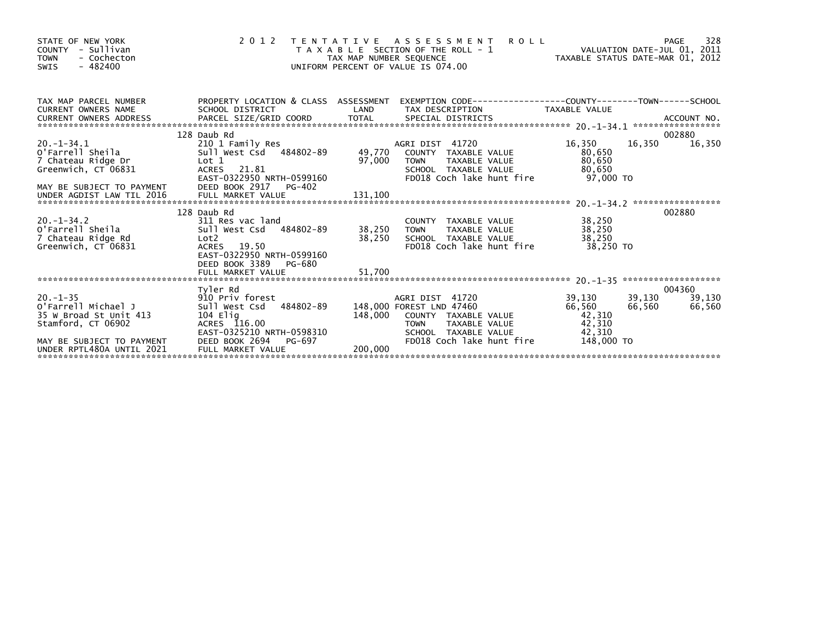| STATE OF NEW YORK<br>- Sullivan<br><b>COUNTY</b><br><b>TOWN</b><br>- Cochecton<br>$-482400$<br>SWIS                                            |                                                                                                                                                                  |                       | 2012 TENTATIVE ASSESSMENT<br>T A X A B L E SECTION OF THE ROLL - 1<br>TAX MAP NUMBER SEQUENCE<br>UNIFORM PERCENT OF VALUE IS 074.00<br>UNIFORM PERCENT OF VALUE IS 074.00               |                                                              |                                                |  |
|------------------------------------------------------------------------------------------------------------------------------------------------|------------------------------------------------------------------------------------------------------------------------------------------------------------------|-----------------------|-----------------------------------------------------------------------------------------------------------------------------------------------------------------------------------------|--------------------------------------------------------------|------------------------------------------------|--|
| TAX MAP PARCEL NUMBER<br><b>CURRENT OWNERS NAME</b><br>CURRENT OWNERS ADDRESS                                                                  | SCHOOL DISTRICT                                                                                                                                                  | LAND                  | PROPERTY LOCATION & CLASS ASSESSMENT EXEMPTION CODE---------------COUNTY-------TOWN------SCHOOL<br>TAX DESCRIPTION                                                                      | TAXABLE VALUE                                                |                                                |  |
| $20. -1 - 34.1$<br>o'Farrell Sheila<br>7 Chateau Ridge Dr<br>Greenwich, CT 06831                                                               | 128 Daub Rd<br>210 1 Family Res<br>Sull west Csd 484802-89 49,770 COUNTY TAXABLE VALUE<br>Lot 1<br>ACRES 21.81<br>EAST-0322950 NRTH-0599160                      | 97,000                | TAXABLE VALUE<br>TOWN<br>SCHOOL TAXABLE VALUE<br>FD018 Coch lake hunt fire                                                                                                              | 16,350<br>80,650<br>80,650<br>80,650<br><b>97.000 TO</b>     | 002880<br>16,350<br>16,350                     |  |
| $20. -1 - 34.2$<br>O'Farrell Sheila<br>7 Chateau Ridge Rd<br>Greenwich, CT 06831                                                               | 128 Daub Rd<br>311 Res vac land<br>Sull West Csd 484802-89<br>Lot2<br>ACRES 19.50<br>EAST-0322950 NRTH-0599160<br>DEED BOOK 3389 PG-680                          | 38,250 TOWN<br>38,250 | COUNTY TAXABLE VALUE<br>TAXABLE VALUE<br>SCHOOL TAXABLE VALUE<br>FD018 Coch lake hunt fire                                                                                              | 38,250<br>38,250<br>38,250<br>38.250 TO                      | 002880                                         |  |
| $20. -1 - 35$<br>O'Farrell Michael J<br>35 W Broad St Unit 413<br>Stamford, CT 06902<br>MAY BE SUBJECT TO PAYMENT<br>UNDER RPTL480A UNTIL 2021 | Tyler Rd<br>910 Priv forest<br>Sull West Csd 484802-89<br>104 Elig<br>ACRES 116.00<br>EAST-0325210 NRTH-0598310<br>DEED BOOK 2694<br>PG-697<br>FULL MARKET VALUE | 148,000<br>200,000    | AGRI DIST 41720<br>148,000 FOREST LND 47460<br>COUNTY TAXABLE VALUE<br>TAXABLE v.L.<br>TAXABLE VALUE<br>ANALE VALUE<br><b>TOWN</b><br>SCHOOL TAXABLE VALUE<br>FD018 Coch lake hunt fire | 39,130<br>66,560<br>42,310<br>42,310<br>42,310<br>148,000 TO | 004360<br>39,130<br>39,130<br>66,560<br>66,560 |  |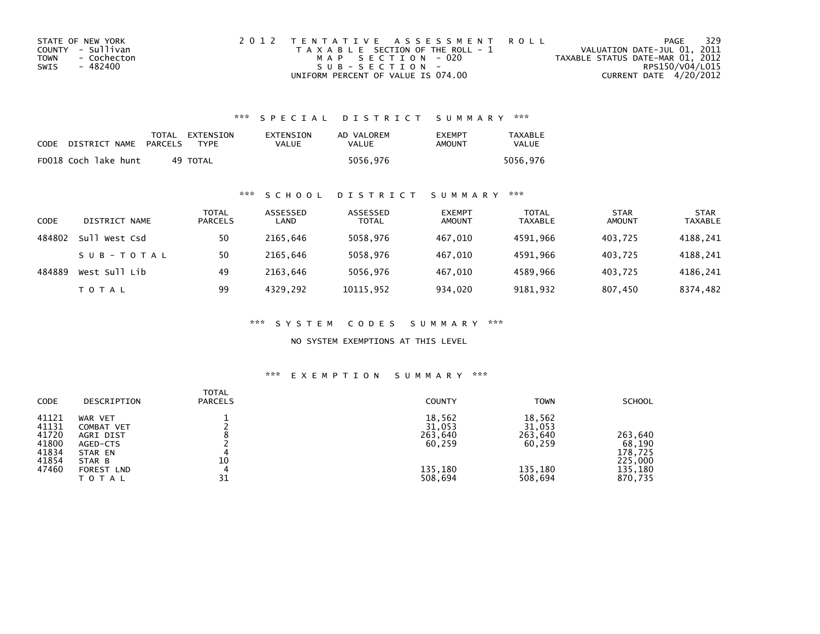| STATE OF NEW YORK   | 2012 TENTATIVE ASSESSMENT ROLL        | PAGE                             | 329             |
|---------------------|---------------------------------------|----------------------------------|-----------------|
| COUNTY - Sullivan   | T A X A B L E SECTION OF THE ROLL - 1 | VALUATION DATE-JUL 01, 2011      |                 |
| - Cochecton<br>TOWN | MAP SECTION - 020                     | TAXABLE STATUS DATE-MAR 01, 2012 |                 |
| SWIS<br>- 482400    | $SUB - SECTION -$                     |                                  | RPS150/V04/L015 |
|                     | UNIFORM PERCENT OF VALUE IS 074.00    | CURRENT DATE 4/20/2012           |                 |

## \*\*\* S P E C I A L D I S T R I C T S U M M A R Y \*\*\*

| <b>CODE</b> | DISTRICT NAME        | PARCELS | TOTAL EXTENSION<br><b>TYPF</b> | EXTENSION<br>VALUE | AD VALOREM<br>VALUE | <b>EXEMPT</b><br>AMOUNT | <b>TAXABLE</b><br><b>VALUE</b> |
|-------------|----------------------|---------|--------------------------------|--------------------|---------------------|-------------------------|--------------------------------|
|             | FD018 Coch lake hunt |         | 49 TOTAL                       |                    | 5056,976            |                         | 5056.976                       |

## \*\*\* S C H O O L D I S T R I C T S U M M A R Y \*\*\*

| CODE   | DISTRICT NAME    | TOTAL<br><b>PARCELS</b> | ASSESSED<br>LAND | ASSESSED<br><b>TOTAL</b> | <b>EXEMPT</b><br><b>AMOUNT</b> | <b>TOTAL</b><br><b>TAXABLE</b> | <b>STAR</b><br><b>AMOUNT</b> | <b>STAR</b><br><b>TAXABLE</b> |
|--------|------------------|-------------------------|------------------|--------------------------|--------------------------------|--------------------------------|------------------------------|-------------------------------|
| 484802 | sull<br>West Csd | 50                      | 2165.646         | 5058,976                 | 467.010                        | 4591.966                       | 403.725                      | 4188,241                      |
|        | SUB-TOTAL        | 50                      | 2165.646         | 5058,976                 | 467.010                        | 4591.966                       | 403.725                      | 4188,241                      |
| 484889 | West Sull Lib    | 49                      | 2163.646         | 5056,976                 | 467,010                        | 4589,966                       | 403.725                      | 4186,241                      |
|        | T O T A L        | 99                      | 4329,292         | 10115,952                | 934,020                        | 9181,932                       | 807,450                      | 8374,482                      |

\*\*\* S Y S T E M C O D E S S U M M A R Y \*\*\*

NO SYSTEM EXEMPTIONS AT THIS LEVEL

### \*\*\* E X E M P T I O N S U M M A R Y \*\*\*

| <b>CODE</b>                                                 | DESCRIPTION                                                                                       | <b>TOTAL</b><br><b>PARCELS</b> | <b>COUNTY</b>                                               | <b>TOWN</b>                                                 | <b>SCHOOL</b>                                                 |
|-------------------------------------------------------------|---------------------------------------------------------------------------------------------------|--------------------------------|-------------------------------------------------------------|-------------------------------------------------------------|---------------------------------------------------------------|
| 41121<br>41131<br>41720<br>41800<br>41834<br>41854<br>47460 | WAR VET<br>COMBAT VET<br>AGRI DIST<br>AGED-CTS<br>STAR EN<br>STAR B<br>FOREST LND<br><b>TOTAL</b> | 10<br>4<br>31                  | 18,562<br>31,053<br>263,640<br>60,259<br>135,180<br>508,694 | 18,562<br>31,053<br>263.640<br>60,259<br>135,180<br>508,694 | 263,640<br>68,190<br>178,725<br>225,000<br>135,180<br>870,735 |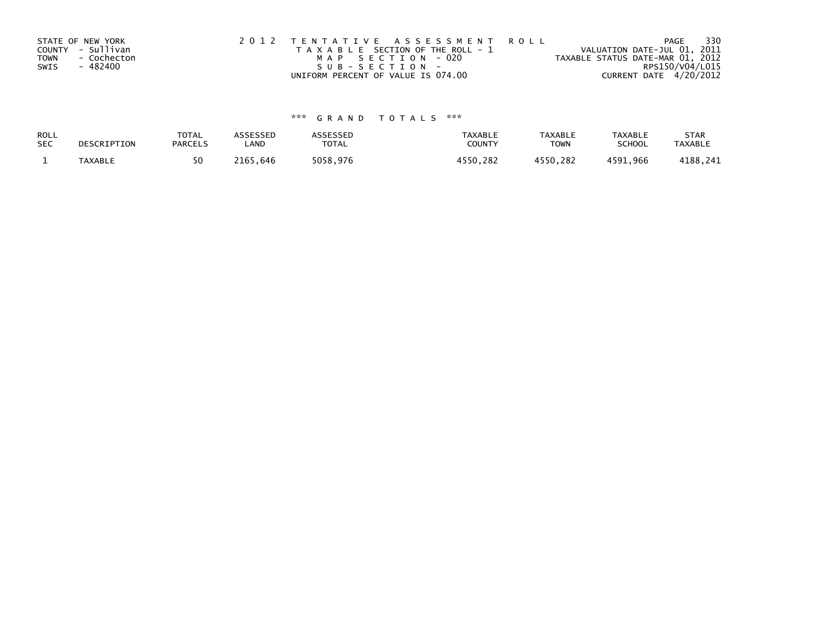| STATE OF NEW YORK          | 2012 TENTATIVE ASSESSMENT ROLL        | 330<br>PAGE                      |  |
|----------------------------|---------------------------------------|----------------------------------|--|
| COUNTY - Sullivan          | T A X A B L E SECTION OF THE ROLL - 1 | VALUATION DATE-JUL 01, 2011      |  |
| <b>TOWN</b><br>- Cochecton | MAP SECTION - 020                     | TAXABLE STATUS DATE-MAR 01, 2012 |  |
| SWIS<br>- 482400           | SUB-SECTION-                          | RPS150/V04/L015                  |  |
|                            | UNIFORM PERCENT OF VALUE IS 074.00    | CURRENT DATE 4/20/2012           |  |

# \*\*\* G R A N D T O T A L S \*\*\*

| ROLL       | DESCRIPTION    | <b>TOTAL</b>   | ASSESSED | <b>ASSESSED</b> | <b>TAXABLE</b> | <b>TAXABLE</b> | <b>TAXABLE</b> | <b>STAR</b>    |
|------------|----------------|----------------|----------|-----------------|----------------|----------------|----------------|----------------|
| <b>SEC</b> |                | <b>PARCELS</b> | LAND     | TOTAL           | <b>COUNTY</b>  | TOWN           | <b>SCHOOL</b>  | <b>TAXABLE</b> |
|            | <b>TAXABLE</b> | 50             | 2165.646 | 5058,976        | 4550.282       | 4550,282       | 4591.966       | 4188,241       |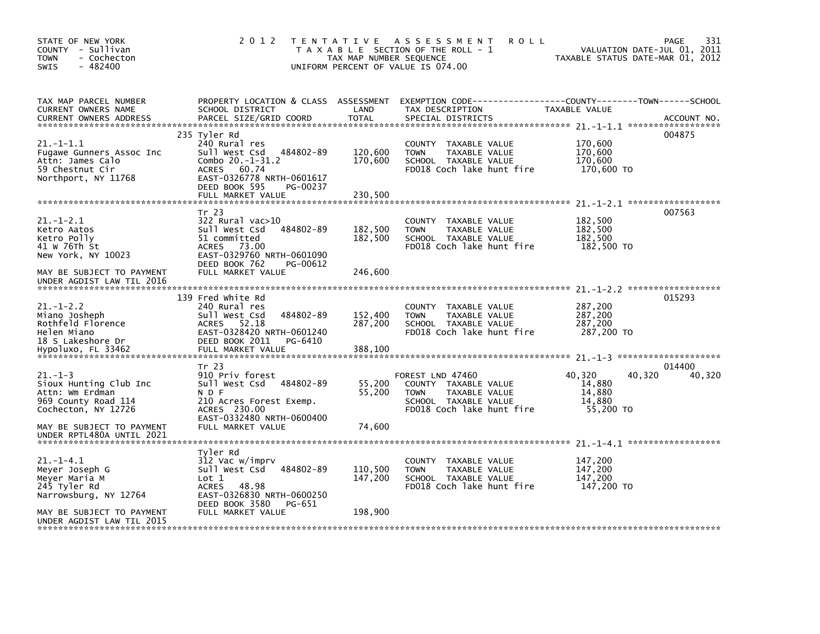| STATE OF NEW YORK<br>COUNTY - Sullivan<br>- Cochecton<br><b>TOWN</b><br>$-482400$<br><b>SWIS</b>         | 2 0 1 2                                                                                                                                                              | T E N T A T I V E<br>TAX MAP NUMBER SEQUENCE | A S S E S S M E N T<br><b>ROLL</b><br>T A X A B L E SECTION OF THE ROLL - 1<br>UNIFORM PERCENT OF VALUE IS 074.00                    | TAXABLE STATUS DATE-MAR 01, 2012                            | 331<br>PAGE<br>VALUATION DATE-JUL 01, 2011 |
|----------------------------------------------------------------------------------------------------------|----------------------------------------------------------------------------------------------------------------------------------------------------------------------|----------------------------------------------|--------------------------------------------------------------------------------------------------------------------------------------|-------------------------------------------------------------|--------------------------------------------|
| TAX MAP PARCEL NUMBER<br>CURRENT OWNERS NAME<br><b>CURRENT OWNERS ADDRESS</b>                            | PROPERTY LOCATION & CLASS ASSESSMENT<br>SCHOOL DISTRICT<br>PARCEL SIZE/GRID COORD                                                                                    | LAND<br><b>TOTAL</b>                         | TAX DESCRIPTION<br>SPECIAL DISTRICTS                                                                                                 | TAXABLE VALUE                                               | ACCOUNT NO.                                |
| $21. -1 - 1.1$<br>Fugawe Gunners Assoc Inc<br>Attn: James Calo<br>59 Chestnut Cir<br>Northport, NY 11768 | 235 Tyler Rd<br>240 Rural res<br>Sull West Csd<br>484802-89<br>Combo $20.-1-31.2$<br><b>ACRES</b><br>60.74<br>EAST-0326778 NRTH-0601617<br>DEED BOOK 595<br>PG-00237 | 120,600<br>170,600                           | COUNTY TAXABLE VALUE<br><b>TOWN</b><br>TAXABLE VALUE<br>SCHOOL TAXABLE VALUE<br>FD018 Coch lake hunt fire                            | 170,600<br>170,600<br>170,600<br>170,600 TO                 | 004875                                     |
|                                                                                                          | FULL MARKET VALUE                                                                                                                                                    | 230,500                                      |                                                                                                                                      |                                                             |                                            |
| $21. - 1 - 2.1$<br>Ketro Aatos<br>Ketro Polly<br>41 W 76Th St<br>New York, NY 10023                      | Tr 23<br>322 Rural vac>10<br>Sull West Csd<br>484802-89<br>51 committed<br><b>ACRES</b><br>73.00<br>EAST-0329760 NRTH-0601090<br>DEED BOOK 762<br>PG-00612           | 182,500<br>182,500                           | TAXABLE VALUE<br><b>COUNTY</b><br>TAXABLE VALUE<br><b>TOWN</b><br>SCHOOL TAXABLE VALUE<br>FD018 Coch lake hunt fire                  | 182,500<br>182,500<br>182,500<br>182,500 TO                 | 007563                                     |
| MAY BE SUBJECT TO PAYMENT<br>UNDER AGDIST LAW TIL 2016                                                   | FULL MARKET VALUE                                                                                                                                                    | 246,600                                      |                                                                                                                                      |                                                             |                                            |
| $21. - 1 - 2.2$<br>Miano Josheph<br>Rothfeld Florence<br>Helen Miano<br>18 S Lakeshore Dr                | 139 Fred White Rd<br>240 Rural res<br>Sull West Csd<br>484802-89<br>ACRES<br>52.18<br>EAST-0328420 NRTH-0601240<br>DEED BOOK 2011<br>PG-6410<br>FULL MARKET VALUE    | 152,400<br>287,200<br>388,100                | <b>COUNTY</b><br>TAXABLE VALUE<br><b>TOWN</b><br>TAXABLE VALUE<br>SCHOOL TAXABLE VALUE<br>FD018 Coch lake hunt fire                  | 287,200<br>287,200<br>287,200<br>287,200 TO                 | 015293                                     |
| Hypoluxo, FL 33462                                                                                       |                                                                                                                                                                      |                                              |                                                                                                                                      |                                                             |                                            |
| $21. - 1 - 3$<br>Sioux Hunting Club Inc<br>Attn: Wm Erdman<br>969 County Road 114<br>Cochecton, NY 12726 | Tr 23<br>910 Priv forest<br>Sull West Csd<br>484802-89<br>N D F<br>210 Acres Forest Exemp.<br>ACRES 230.00                                                           | 55,200<br>55,200                             | FOREST LND 47460<br>COUNTY TAXABLE VALUE<br><b>TOWN</b><br><b>TAXABLE VALUE</b><br>SCHOOL TAXABLE VALUE<br>FD018 Coch lake hunt fire | 40,320<br>40,320<br>14,880<br>14,880<br>14,880<br>55,200 TO | 014400<br>40,320                           |
| MAY BE SUBJECT TO PAYMENT<br>UNDER RPTL480A UNTIL 2021                                                   | EAST-0332480 NRTH-0600400<br>FULL MARKET VALUE                                                                                                                       | 74,600                                       |                                                                                                                                      |                                                             |                                            |
| $21. -1 - 4.1$<br>Meyer Joseph G<br>Meyer Maria M<br>245 Tyler Rd<br>Narrowsburg, NY 12764               | Tyler Rd<br>312 Vac w/imprv<br>Sull West Csd<br>484802-89<br>$\text{Lot} 1$<br>48.98<br><b>ACRES</b><br>EAST-0326830 NRTH-0600250<br>DEED BOOK 3580<br>PG-651        | 110,500<br>147,200                           | TAXABLE VALUE<br><b>COUNTY</b><br><b>TOWN</b><br>TAXABLE VALUE<br>SCHOOL TAXABLE VALUE<br>FD018 Coch lake hunt fire                  | 147,200<br>147,200<br>147,200<br>147,200 TO                 |                                            |
| MAY BE SUBJECT TO PAYMENT<br>UNDER AGDIST LAW TIL 2015                                                   | FULL MARKET VALUE                                                                                                                                                    | 198,900                                      |                                                                                                                                      |                                                             |                                            |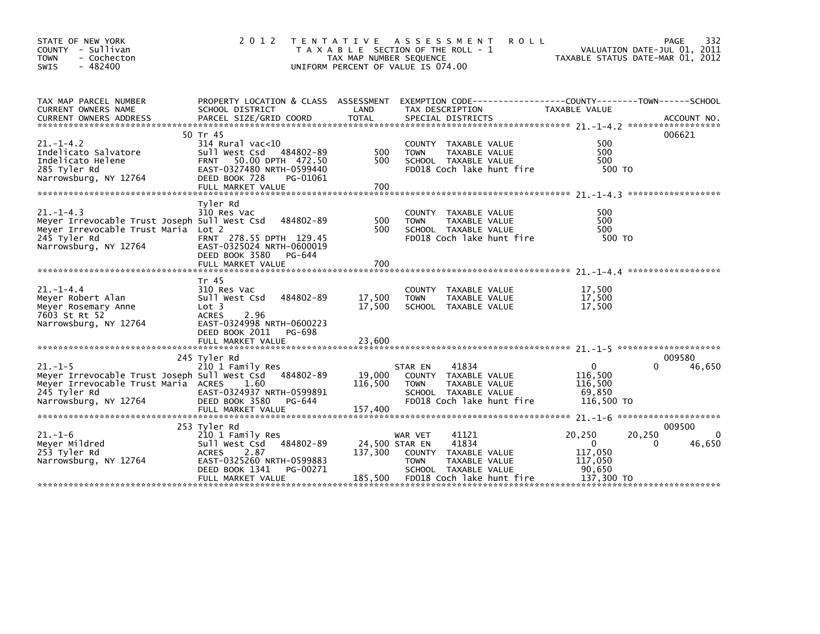| STATE OF NEW YORK<br>COUNTY - Sullivan<br><b>TOWN</b><br>- Cochecton<br>$-482400$<br><b>SWIS</b>                                                | 2 0 1 2                                                                                                                                                                | T E N T A T I V E<br>TAX MAP NUMBER SEQUENCE<br>UNIFORM PERCENT OF VALUE IS 074.00 | A S S E S S M E N T<br><b>ROLL</b><br>T A X A B L E SECTION OF THE ROLL - 1                                                                              | VALUATION DATE-JUL 01, 2011<br>TAXABLE STATUS DATE-MAR 01, 2012                 | 332<br>PAGE                      |
|-------------------------------------------------------------------------------------------------------------------------------------------------|------------------------------------------------------------------------------------------------------------------------------------------------------------------------|------------------------------------------------------------------------------------|----------------------------------------------------------------------------------------------------------------------------------------------------------|---------------------------------------------------------------------------------|----------------------------------|
| TAX MAP PARCEL NUMBER<br><b>CURRENT OWNERS NAME</b>                                                                                             | PROPERTY LOCATION & CLASS ASSESSMENT<br>SCHOOL DISTRICT                                                                                                                | LAND                                                                               | EXEMPTION CODE-----------------COUNTY-------TOWN------SCHOOL<br>TAX DESCRIPTION                                                                          | TAXABLE VALUE                                                                   |                                  |
| $21. - 1 - 4.2$<br>Indelicato Salvatore<br>Indelicato Helene<br>285 Tyler Rd<br>Narrowsburg, NY 12764                                           | 50 Tr 45<br>$314$ Rural vac< $10$<br>484802-89<br>Sull West Csd<br>50.00 DPTH 472.50<br><b>FRNT</b><br>EAST-0327480 NRTH-0599440<br>DEED BOOK 728<br>PG-01061          | 500<br>500                                                                         | COUNTY TAXABLE VALUE<br><b>TOWN</b><br>TAXABLE VALUE<br>SCHOOL TAXABLE VALUE<br>FD018 Coch lake hunt fire                                                | 500<br>500<br>500<br>500 TO                                                     | 006621                           |
| $21. - 1 - 4.3$<br>Meyer Irrevocable Trust Joseph Sull West Csd<br>Meyer Irrevocable Trust Maria Lot 2<br>245 Tyler Rd<br>Narrowsburg, NY 12764 | Tyler Rd<br>310 Res Vac<br>484802-89<br>FRNT 278.55 DPTH 129.45<br>EAST-0325024 NRTH-0600019<br>DEED BOOK 3580<br>PG-644                                               | 500<br>500                                                                         | COUNTY TAXABLE VALUE<br>TAXABLE VALUE<br><b>TOWN</b><br>SCHOOL TAXABLE VALUE<br>FD018 Coch lake hunt fire                                                | 500<br>500<br>500<br>500 TO                                                     |                                  |
| $21. -1 - 4.4$<br>Meyer Robert Alan<br>Meyer Rosemary Anne<br>7603 St Rt 52<br>Narrowsburg, NY 12764                                            | Tr 45<br>310 Res Vac<br>484802-89<br>Sull West Csd<br>Lot 3<br>2.96<br><b>ACRES</b><br>EAST-0324998 NRTH-0600223<br>DEED BOOK 2011<br>PG-698<br>FULL MARKET VALUE      | 17,500<br>17.500<br>23,600                                                         | COUNTY TAXABLE VALUE<br>TAXABLE VALUE<br><b>TOWN</b><br>SCHOOL TAXABLE VALUE                                                                             | 17,500<br>17,500<br>17,500                                                      |                                  |
| $21. -1 - 5$<br>Meyer Irrevocable Trust Joseph Sull West Csd<br>Meyer Irrevocable Trust Maria ACRES<br>245 Tyler Rd<br>Narrowsburg, NY 12764    | 245 Tyler Rd<br>210 1 Family Res<br>484802-89<br>1.60<br>EAST-0324937 NRTH-0599891<br>DEED BOOK 3580<br>PG-644<br>FULL MARKET VALUE                                    | 19,000<br>116,500<br>157,400                                                       | 41834<br>STAR EN<br>COUNTY TAXABLE VALUE<br>TAXABLE VALUE<br><b>TOWN</b><br>SCHOOL TAXABLE VALUE<br>FD018 Coch lake hunt fire                            | $\Omega$<br>116,500<br>116,500<br>69,850<br>116,500 TO                          | 009580<br>46,650                 |
| $21. - 1 - 6$<br>Meyer Mildred<br>253 Tyler Rd<br>Narrowsburg, NY 12764                                                                         | 253 Tyler Rd<br>210 1 Family Res<br>484802-89<br>Sull West Csd<br>2.87<br><b>ACRES</b><br>EAST-0325260 NRTH-0599883<br>DEED BOOK 1341<br>PG-00271<br>FULL MARKET VALUE | 137,300<br>185,500                                                                 | 41121<br>WAR VET<br>41834<br>24,500 STAR EN<br>COUNTY TAXABLE VALUE<br><b>TOWN</b><br>TAXABLE VALUE<br>SCHOOL TAXABLE VALUE<br>FD018 Coch lake hunt fire | 20,250<br>20,250<br>$\Omega$<br>0<br>117,050<br>117,050<br>90,650<br>137,300 TO | 009500<br>$\mathbf{0}$<br>46,650 |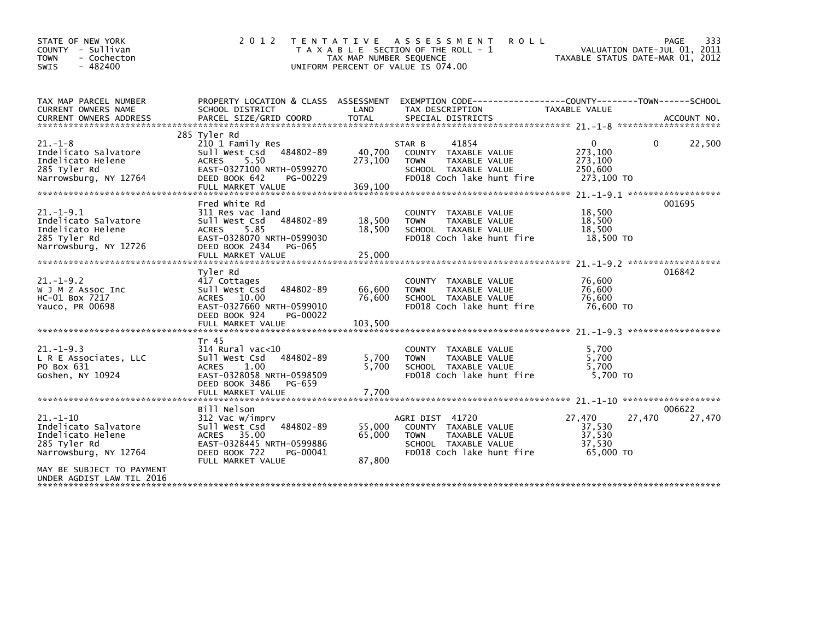| STATE OF NEW YORK<br>COUNTY - Sullivan<br><b>TOWN</b><br>- Cochecton<br>$-482400$<br><b>SWIS</b>                                  | 2 0 1 2                                                                                                                                                               | T E N T A T I V E<br>TAX MAP NUMBER SEQUENCE<br>UNIFORM PERCENT OF VALUE IS 074.00 | A S S E S S M E N T<br><b>ROLL</b><br>T A X A B L E SECTION OF THE ROLL - 1                                                  | TAXABLE STATUS DATE-MAR 01, 2012                  | 333<br>PAGE<br>VALUATION DATE-JUL 01, 2011 |
|-----------------------------------------------------------------------------------------------------------------------------------|-----------------------------------------------------------------------------------------------------------------------------------------------------------------------|------------------------------------------------------------------------------------|------------------------------------------------------------------------------------------------------------------------------|---------------------------------------------------|--------------------------------------------|
| TAX MAP PARCEL NUMBER<br>CURRENT OWNERS NAME                                                                                      | PROPERTY LOCATION & CLASS ASSESSMENT<br>SCHOOL DISTRICT                                                                                                               | LAND                                                                               | TAX DESCRIPTION                                                                                                              | <b>TAXABLE VALUE</b>                              |                                            |
|                                                                                                                                   |                                                                                                                                                                       |                                                                                    |                                                                                                                              |                                                   |                                            |
| $21. - 1 - 8$<br>Indelicato Salvatore<br>Indelicato Helene<br>285 Tyler Rd<br>Narrowsburg, NY 12764                               | 285 Tyler Rd<br>210 1 Family Res<br>Sull West Csd 484802-89<br><b>ACRES</b><br>5.50<br>EAST-0327100 NRTH-0599270<br>DEED BOOK 642<br>PG-00229<br>FULL MARKET VALUE    | 40,700<br>273,100<br>369,100                                                       | 41854<br>STAR B<br>COUNTY TAXABLE VALUE<br><b>TOWN</b><br>TAXABLE VALUE<br>SCHOOL TAXABLE VALUE<br>FD018 Coch lake hunt fire | 0<br>273,100<br>273,100<br>250,600<br>273,100 TO  | 22,500<br>0                                |
| $21. - 1 - 9.1$<br>Indelicato Salvatore<br>Indelicato Helene<br>285 Tyler Rd<br>Narrowsburg, NY 12726                             | Fred White Rd<br>311 Res vac land<br>484802-89<br>Sull West Csd<br>5.85<br><b>ACRES</b><br>EAST-0328070 NRTH-0599030<br>DEED BOOK 2434<br>PG-065<br>FULL MARKET VALUE | 18,500<br>18,500<br>25,000                                                         | COUNTY TAXABLE VALUE<br>TAXABLE VALUE<br><b>TOWN</b><br>SCHOOL TAXABLE VALUE<br>FD018 Coch lake hunt fire                    | 18,500<br>18,500<br>18,500<br>18,500 TO           | 001695                                     |
| $21. - 1 - 9.2$<br>W J M Z Assoc Inc<br>HC-01 Box 7217<br>Yauco, PR 00698                                                         | Tyler Rd<br>417 Cottages<br>484802-89<br>Sull West Csd<br>ACRES 10.00<br>EAST-0327660 NRTH-0599010<br>DEED BOOK 924<br>PG-00022                                       | 66,600<br>76,600                                                                   | COUNTY TAXABLE VALUE<br><b>TOWN</b><br>TAXABLE VALUE<br>SCHOOL TAXABLE VALUE<br>FD018 Coch lake hunt fire                    | 76,600<br>76,600<br>76,600<br>76,600 TO           | 016842                                     |
| $21. - 1 - 9.3$<br>L R E Associates, LLC<br>PO Box 631<br>Goshen, NY 10924                                                        | Tr 45<br>$314$ Rural vac<10<br>Sull West Csd<br>484802-89<br>1.00<br><b>ACRES</b><br>EAST-0328058 NRTH-0598509<br>DEED BOOK 3486<br>PG-659                            | 5,700<br>5,700                                                                     | <b>COUNTY</b><br>TAXABLE VALUE<br><b>TAXABLE VALUE</b><br><b>TOWN</b><br>SCHOOL TAXABLE VALUE<br>FD018 Coch lake hunt fire   | 5,700<br>5.700<br>5,700<br>5.700 TO               |                                            |
| $21. - 1 - 10$<br>Indelicato Salvatore<br>Indelicato Helene<br>285 Tyler Rd<br>Narrowsburg, NY 12764<br>MAY BE SUBJECT TO PAYMENT | Bill Nelson<br>312 Vac w/imprv<br>Sull West Csd<br>484802-89<br>ACRES 35.00<br>EAST-0328445 NRTH-0599886<br>DEED BOOK 722<br>PG-00041<br>FULL MARKET VALUE            | 55,000<br>65,000<br>87,800                                                         | AGRI DIST 41720<br>COUNTY TAXABLE VALUE<br><b>TOWN</b><br>TAXABLE VALUE<br>SCHOOL TAXABLE VALUE<br>FD018 Coch lake hunt fire | 27,470<br>37,530<br>37,530<br>37.530<br>65,000 TO | 006622<br>27,470<br>27,470                 |
| UNDER AGDIST LAW TIL 2016                                                                                                         |                                                                                                                                                                       |                                                                                    |                                                                                                                              |                                                   |                                            |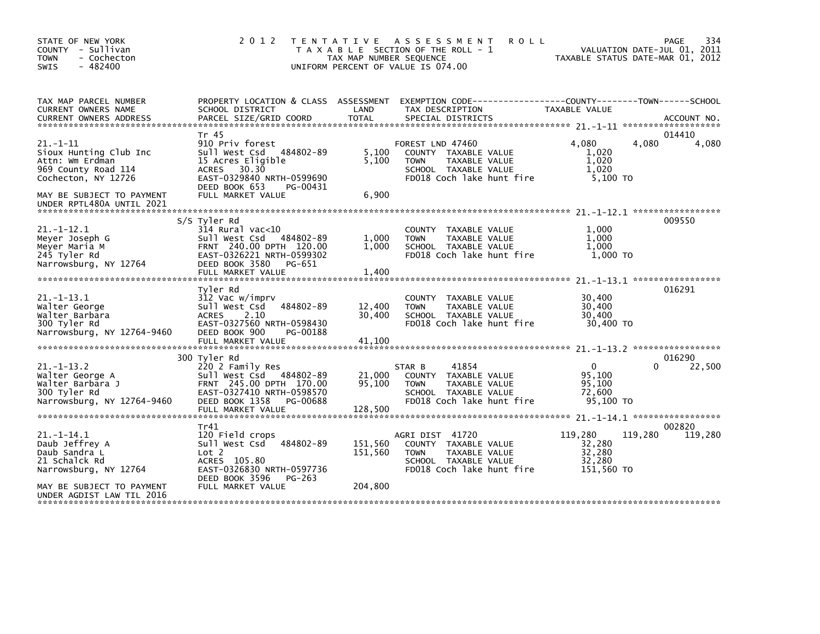| STATE OF NEW YORK<br>COUNTY - Sullivan<br><b>TOWN</b><br>- Cochecton<br>$-482400$<br><b>SWIS</b>                                      | 2 0 1 2                                                                                                                                                                      | <b>TENTATIVE</b><br>TAX MAP NUMBER SEQUENCE | A S S E S S M E N T<br><b>ROLL</b><br>T A X A B L E SECTION OF THE ROLL - 1<br>UNIFORM PERCENT OF VALUE IS 074.00             | TAXABLE STATUS DATE-MAR 01, 2012                               | 334<br>PAGE<br>VALUATION DATE-JUL 01, 2011 |
|---------------------------------------------------------------------------------------------------------------------------------------|------------------------------------------------------------------------------------------------------------------------------------------------------------------------------|---------------------------------------------|-------------------------------------------------------------------------------------------------------------------------------|----------------------------------------------------------------|--------------------------------------------|
| TAX MAP PARCEL NUMBER<br>CURRENT OWNERS NAME<br><b>CURRENT OWNERS ADDRESS</b>                                                         | PROPERTY LOCATION & CLASS ASSESSMENT<br>SCHOOL DISTRICT<br>PARCEL SIZE/GRID COORD                                                                                            | LAND<br><b>TOTAL</b>                        | EXEMPTION CODE-----------------COUNTY-------TOWN------SCHOOL<br>TAX DESCRIPTION<br>SPECIAL DISTRICTS                          | TAXABLE VALUE                                                  | ACCOUNT NO.                                |
| $21 - 1 - 11$<br>Sioux Hunting Club Inc<br>Attn: Wm Erdman<br>969 County Road 114<br>Cochecton, NY 12726<br>MAY BE SUBJECT TO PAYMENT | Tr 45<br>910 Priv forest<br>Sull West Csd<br>484802-89<br>15 Acres Eligible<br>30.30<br>ACRES<br>EAST-0329840 NRTH-0599690<br>DEED BOOK 653<br>PG-00431<br>FULL MARKET VALUE | 5,100<br>5,100<br>6,900                     | FOREST LND 47460<br>COUNTY TAXABLE VALUE<br>TAXABLE VALUE<br><b>TOWN</b><br>SCHOOL TAXABLE VALUE<br>FD018 Coch lake hunt fire | 4.080<br>1,020<br>1,020<br>1,020<br>5,100 TO                   | 014410<br>4.080<br>4,080                   |
| UNDER RPTL480A UNTIL 2021                                                                                                             |                                                                                                                                                                              |                                             |                                                                                                                               |                                                                |                                            |
| $21 - 1 - 12.1$<br>Meyer Joseph G<br>Meyer Maria M<br>245 Tyler Rd<br>Narrowsburg, NY 12764                                           | S/S Tyler Rd<br>314 Rural vac<10<br>Sull West Csd<br>484802-89<br>FRNT 240.00 DPTH 120.00<br>EAST-0326221 NRTH-0599302<br>DEED BOOK 3580<br>PG-651<br>FULL MARKET VALUE      | 1,000<br>1.000<br>1,400                     | <b>COUNTY</b><br>TAXABLE VALUE<br><b>TOWN</b><br>TAXABLE VALUE<br>SCHOOL TAXABLE VALUE<br>FD018 Coch lake hunt fire           | 1,000<br>1,000<br>1.000<br>1.000 TO                            | 009550                                     |
|                                                                                                                                       | Tyler Rd                                                                                                                                                                     |                                             |                                                                                                                               |                                                                | 016291                                     |
| $21. -1 - 13.1$<br>Walter George<br>Walter Barbara<br>300 Tyler Rd<br>Narrowsburg, NY 12764-9460                                      | 312 Vac w/imprv<br>Sull West Csd<br>484802-89<br><b>ACRES</b><br>2.10<br>EAST-0327560 NRTH-0598430<br>DEED BOOK 900<br>PG-00188                                              | 12,400<br>30,400                            | <b>COUNTY</b><br>TAXABLE VALUE<br><b>TAXABLE VALUE</b><br><b>TOWN</b><br>SCHOOL TAXABLE VALUE<br>FD018 Coch lake hunt fire    | 30,400<br>30,400<br>30,400<br>30,400 TO                        |                                            |
|                                                                                                                                       | FULL MARKET VALUE                                                                                                                                                            | 41,100                                      |                                                                                                                               |                                                                |                                            |
| $21. -1 - 13.2$<br>Walter George A                                                                                                    | 300 Tyler Rd<br>220 2 Family Res<br>Sull West Csd<br>484802-89                                                                                                               | 21,000                                      | 41854<br>STAR B<br>COUNTY TAXABLE VALUE                                                                                       | $\Omega$<br>95.100                                             | 016290<br>22,500<br>0                      |
| Walter Barbara J<br>300 Tyler Rd<br>Narrowsburg, NY 12764-9460                                                                        | FRNT 245.00 DPTH 170.00<br>EAST-0327410 NRTH-0598570<br>DEED BOOK 1358<br>PG-00688<br>FULL MARKET VALUE                                                                      | 95,100<br>128,500                           | <b>TOWN</b><br>TAXABLE VALUE<br>SCHOOL TAXABLE VALUE<br>FD018 Coch lake hunt fire                                             | 95,100<br>72,600<br>95,100 TO                                  |                                            |
|                                                                                                                                       |                                                                                                                                                                              |                                             |                                                                                                                               |                                                                |                                            |
| $21. - 1 - 14.1$<br>Daub Jeffrey A<br>Daub Sandra L<br>21 Schalck Rd<br>Narrowsburg, NY 12764                                         | Tr41<br>120 Field crops<br>Sull West Csd<br>484802-89<br>Lot 2<br>ACRES 105.80<br>EAST-0326830 NRTH-0597736                                                                  | 151,560<br>151,560                          | AGRI DIST 41720<br>COUNTY TAXABLE VALUE<br>TAXABLE VALUE<br><b>TOWN</b><br>SCHOOL TAXABLE VALUE<br>FD018 Coch lake hunt fire  | 119,280<br>119,280<br>32,280<br>32,280<br>32,280<br>151,560 TO | 002820<br>119,280                          |
| MAY BE SUBJECT TO PAYMENT<br>UNDER AGDIST LAW TIL 2016                                                                                | DEED BOOK 3596<br>PG-263<br>FULL MARKET VALUE                                                                                                                                | 204,800                                     |                                                                                                                               |                                                                |                                            |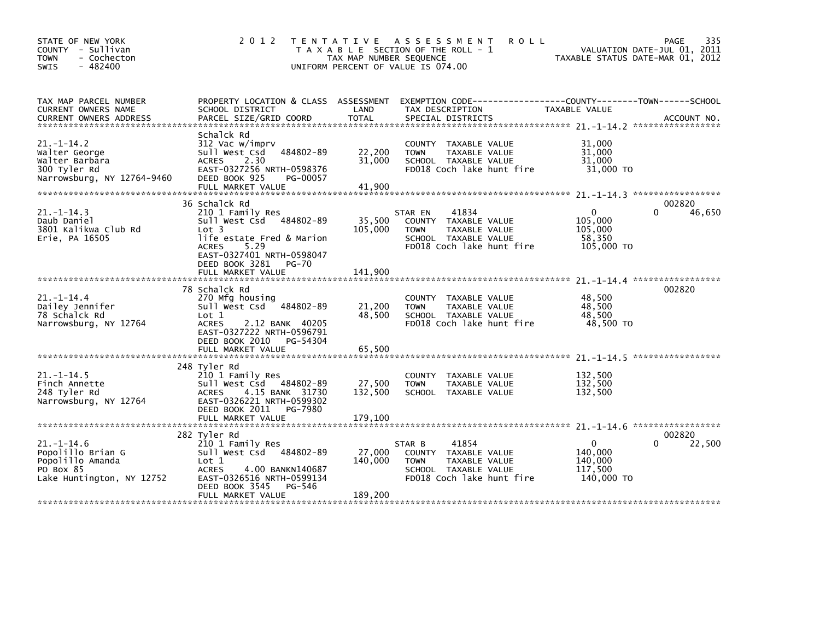| STATE OF NEW YORK<br>COUNTY - Sullivan<br><b>TOWN</b><br>- Cochecton<br>$-482400$<br><b>SWIS</b>    | 2 0 1 2<br>T E N T A T I V E                                                                                                                                                              | <b>ROLL</b><br>A S S E S S M E N T<br>T A X A B L E SECTION OF THE ROLL - 1<br>TAX MAP NUMBER SEQUENCE<br>UNIFORM PERCENT OF VALUE IS 074.00                 | 335<br>PAGE<br>VALUATION DATE-JUL 01, 2011<br>TAXABLE STATUS DATE-MAR 01, 2012             |
|-----------------------------------------------------------------------------------------------------|-------------------------------------------------------------------------------------------------------------------------------------------------------------------------------------------|--------------------------------------------------------------------------------------------------------------------------------------------------------------|--------------------------------------------------------------------------------------------|
| TAX MAP PARCEL NUMBER<br>CURRENT OWNERS NAME<br><b>CURRENT OWNERS ADDRESS</b>                       | PROPERTY LOCATION & CLASS ASSESSMENT<br>SCHOOL DISTRICT<br>PARCEL SIZE/GRID COORD                                                                                                         | LAND<br>TAX DESCRIPTION<br><b>TOTAL</b><br>SPECIAL DISTRICTS                                                                                                 | TAXABLE VALUE<br>ACCOUNT NO.                                                               |
| $21 - 1 - 14.2$<br>Walter George<br>Walter Barbara<br>300 Tyler Rd<br>Narrowsburg, NY 12764-9460    | Schalck Rd<br>312 Vac w/imprv<br>Sull West Csd<br>484802-89<br><b>ACRES</b><br>2.30<br>EAST-0327256 NRTH-0598376<br>DEED BOOK 925<br>PG-00057<br>FULL MARKET VALUE                        | COUNTY TAXABLE VALUE<br>22,200<br>TAXABLE VALUE<br><b>TOWN</b><br>31,000<br>SCHOOL TAXABLE VALUE<br>FD018 Coch lake hunt fire<br>41,900                      | 31,000<br>31,000<br>31,000<br>31,000 TO                                                    |
|                                                                                                     |                                                                                                                                                                                           |                                                                                                                                                              |                                                                                            |
| $21. -1 - 14.3$<br>Daub Daniel<br>3801 Kalikwa Club Rd<br>Erie, PA 16505                            | 36 Schalck Rd<br>210 1 Family Res<br>Sull West Csd 484802-89<br>Lot 3<br>life estate Fred & Marion<br>5.29<br><b>ACRES</b><br>EAST-0327401 NRTH-0598047<br>DEED BOOK 3281<br><b>PG-70</b> | 41834<br>STAR EN<br>35,500<br>COUNTY TAXABLE VALUE<br>105,000<br>TAXABLE VALUE<br><b>TOWN</b><br>SCHOOL TAXABLE VALUE<br>FD018 Coch lake hunt fire           | 002820<br>46,650<br>$\Omega$<br><sup>0</sup><br>105,000<br>105,000<br>58,350<br>105,000 TO |
|                                                                                                     | FULL MARKET VALUE                                                                                                                                                                         | 141,900                                                                                                                                                      |                                                                                            |
| $21. - 1 - 14.4$<br>Dailey Jennifer<br>78 Schalck Rd<br>Narrowsburg, NY 12764                       | 78 Schalck Rd<br>270 Mfg housing<br>$-484802 - 89$<br>Sull West Csd<br>Lot 1<br><b>ACRES</b><br>2.12 BANK 40205<br>EAST-0327222 NRTH-0596791<br>DEED BOOK 2010<br>PG-54304                | COUNTY TAXABLE VALUE<br>21,200<br>TAXABLE VALUE<br><b>TOWN</b><br>48,500<br>SCHOOL TAXABLE VALUE<br>FD018 Coch lake hunt fire                                | 002820<br>48,500<br>48.500<br>48,500<br>48,500 TO                                          |
|                                                                                                     | FULL MARKET VALUE                                                                                                                                                                         | 65,500                                                                                                                                                       |                                                                                            |
| $21. - 1 - 14.5$<br>Finch Annette<br>248 Tyler Rd<br>Narrowsburg, NY 12764                          | 248 Tyler Rd<br>210 1 Family Res<br>484802-89<br>Sull West Csd<br>4.15 BANK 31730<br><b>ACRES</b><br>EAST-0326221 NRTH-0599302<br>DEED BOOK 2011<br>PG-7980<br>FULL MARKET VALUE          | TAXABLE VALUE<br><b>COUNTY</b><br>27,500<br>TAXABLE VALUE<br><b>TOWN</b><br>132,500<br>SCHOOL TAXABLE VALUE<br>179,100                                       | 132,500<br>132,500<br>132,500                                                              |
|                                                                                                     |                                                                                                                                                                                           |                                                                                                                                                              |                                                                                            |
| $21. - 1 - 14.6$<br>Popolillo Brian G<br>Popolillo Amanda<br>PO Box 85<br>Lake Huntington, NY 12752 | 282 Tyler Rd<br>210 1 Family Res<br>Sull West Csd<br>484802-89<br>Lot 1<br><b>ACRES</b><br>4.00 BANKN140687<br>EAST-0326516 NRTH-0599134<br>DEED BOOK 3545<br>PG-546<br>FULL MARKET VALUE | 41854<br>STAR B<br>27,000<br>COUNTY TAXABLE VALUE<br>140,000<br><b>TOWN</b><br>TAXABLE VALUE<br>SCHOOL TAXABLE VALUE<br>FD018 Coch lake hunt fire<br>189,200 | 002820<br>22,500<br>$\Omega$<br>140,000<br>140,000<br>117,500<br>140,000 TO                |
|                                                                                                     |                                                                                                                                                                                           |                                                                                                                                                              |                                                                                            |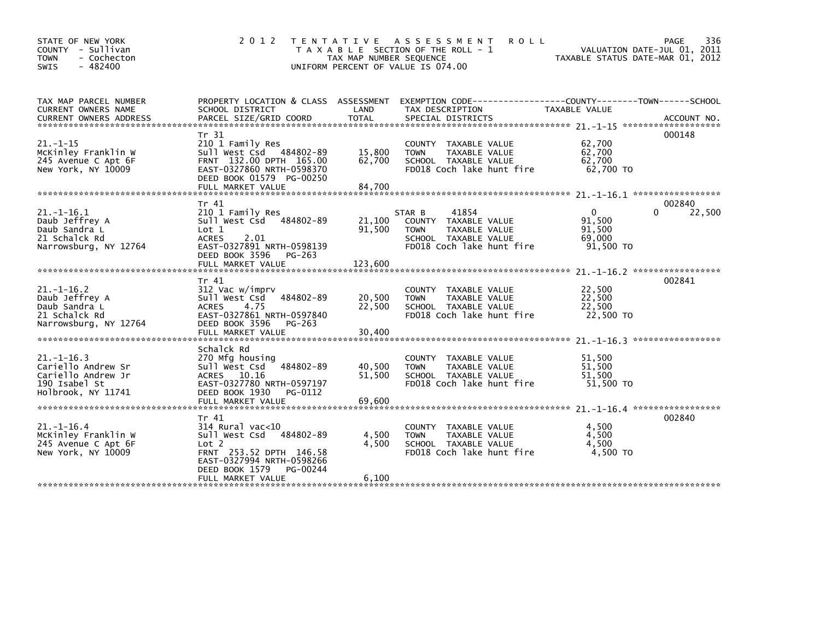| STATE OF NEW YORK<br>COUNTY - Sullivan<br><b>TOWN</b><br>- Cochecton<br>$-482400$<br><b>SWIS</b>   | 2 0 1 2                                                                                                                                                                       | T E N T A T I V E<br>TAX MAP NUMBER SEQUENCE | A S S E S S M E N T<br><b>ROLL</b><br>T A X A B L E SECTION OF THE ROLL - 1<br>UNIFORM PERCENT OF VALUE IS 074.00            | TAXABLE STATUS DATE-MAR 01, 2012                    | 336<br>PAGE<br>VALUATION DATE-JUL 01, 2011 |
|----------------------------------------------------------------------------------------------------|-------------------------------------------------------------------------------------------------------------------------------------------------------------------------------|----------------------------------------------|------------------------------------------------------------------------------------------------------------------------------|-----------------------------------------------------|--------------------------------------------|
| TAX MAP PARCEL NUMBER<br>CURRENT OWNERS NAME                                                       | SCHOOL DISTRICT                                                                                                                                                               | LAND                                         | PROPERTY LOCATION & CLASS ASSESSMENT EXEMPTION CODE----------------COUNTY-------TOWN------SCHOOL<br>TAX DESCRIPTION          | <b>TAXABLE VALUE</b>                                |                                            |
| $21. - 1 - 15$<br>McKinley Franklin W<br>245 Avenue C Apt 6F<br>New York, NY 10009                 | Tr 31<br>210 1 Family Res<br>Sull West Csd 484802-89<br>FRNT 132.00 DPTH 165.00<br>EAST-0327860 NRTH-0598370<br>DEED BOOK 01579 PG-00250                                      | 15,800<br>62,700                             | COUNTY TAXABLE VALUE<br><b>TOWN</b><br>TAXABLE VALUE<br>SCHOOL TAXABLE VALUE<br>FD018 Coch lake hunt fire                    | 62,700<br>62,700<br>62,700<br>62,700 TO             | 000148                                     |
|                                                                                                    |                                                                                                                                                                               |                                              |                                                                                                                              |                                                     |                                            |
| $21. -1 - 16.1$<br>Daub Jeffrey A<br>Daub Sandra L<br>21 Schalck Rd<br>Narrowsburg, NY 12764       | Tr 41<br>210 1 Family Res<br>Sull West Csd<br>484802-89<br>Lot 1<br>2.01<br><b>ACRES</b><br>EAST-0327891 NRTH-0598139<br>DEED BOOK 3596<br>PG-263                             | 21.100<br>91,500                             | STAR B<br>41854<br>COUNTY TAXABLE VALUE<br>TAXABLE VALUE<br><b>TOWN</b><br>SCHOOL TAXABLE VALUE<br>FD018 Coch lake hunt fire | $\Omega$<br>91.500<br>91,500<br>69.000<br>91,500 TO | 002840<br>$\Omega$<br>22,500               |
|                                                                                                    |                                                                                                                                                                               |                                              |                                                                                                                              |                                                     |                                            |
| $21. -1 - 16.2$<br>Daub Jeffrey A<br>Daub Sandra L<br>21 Schalck Rd<br>Narrowsburg, NY 12764       | Tr 41<br>312 Vac w/imprv<br>484802-89<br>Sull West Csd<br>4.75<br><b>ACRES</b><br>EAST-0327861 NRTH-0597840<br>DEED BOOK 3596<br>PG-263<br>FULL MARKET VALUE                  | 20,500<br>22,500<br>30,400                   | COUNTY TAXABLE VALUE<br>TAXABLE VALUE<br><b>TOWN</b><br>SCHOOL TAXABLE VALUE<br>FD018 Coch lake hunt fire                    | 22,500<br>22,500<br>22,500<br>22,500 TO             | 002841                                     |
|                                                                                                    | Schalck Rd                                                                                                                                                                    |                                              |                                                                                                                              |                                                     |                                            |
| $21. -1 - 16.3$<br>Cariello Andrew Sr<br>Cariello Andrew Jr<br>190 Isabel St<br>Holbrook, NY 11741 | 270 Mfg housing<br>Sull West Csd<br>484802-89<br>ACRES 10.16<br>EAST-0327780 NRTH-0597197<br>DEED BOOK 1930<br>PG-0112                                                        | 40,500<br>51,500                             | <b>COUNTY</b><br>TAXABLE VALUE<br>TAXABLE VALUE<br><b>TOWN</b><br>SCHOOL TAXABLE VALUE<br>FD018 Coch lake hunt fire          | 51.500<br>51,500<br>51,500<br>51,500 TO             |                                            |
|                                                                                                    | FULL MARKET VALUE                                                                                                                                                             | 69,600                                       |                                                                                                                              |                                                     |                                            |
| $21. - 1 - 16.4$<br>McKinley Franklin W<br>245 Avenue C Apt 6F<br>New York, NY 10009               | Tr 41<br>$314$ Rural vac<10<br>Sull West Csd<br>484802-89<br>Lot 2<br>FRNT 253.52 DPTH 146.58<br>EAST-0327994 NRTH-0598266<br>DEED BOOK 1579<br>PG-00244<br>FULL MARKET VALUE | 4,500<br>4,500<br>6,100                      | COUNTY TAXABLE VALUE<br><b>TOWN</b><br>TAXABLE VALUE<br>SCHOOL TAXABLE VALUE<br>FD018 Coch lake hunt fire                    | 4,500<br>4,500<br>4.500<br>4,500 TO                 | 002840                                     |
|                                                                                                    |                                                                                                                                                                               |                                              |                                                                                                                              |                                                     |                                            |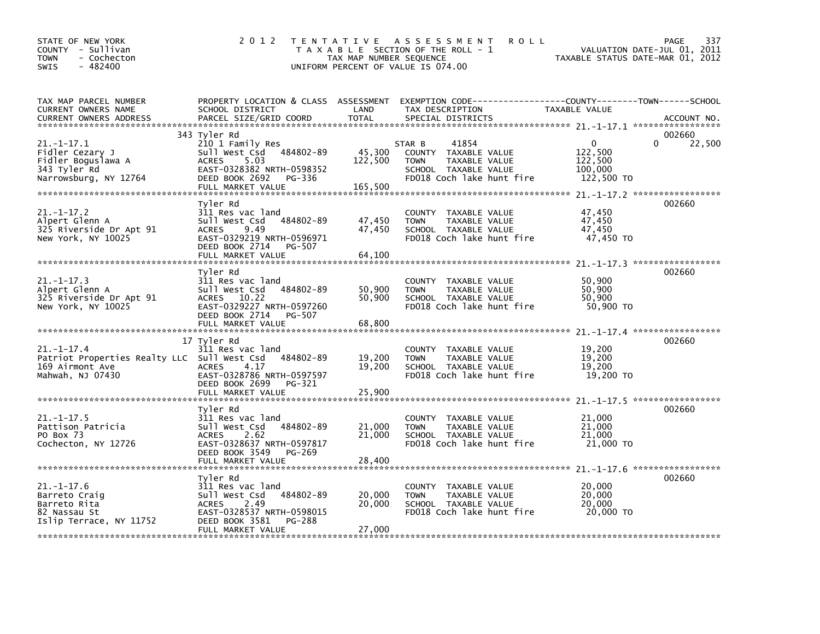| STATE OF NEW YORK<br>COUNTY - Sullivan<br>- Cochecton<br><b>TOWN</b><br>$-482400$<br><b>SWIS</b>       | 2 0 1 2                                                                                                                                                          | TAX MAP NUMBER SEQUENCE      | TENTATIVE ASSESSMENT<br><b>ROLL</b><br>T A X A B L E SECTION OF THE ROLL - 1<br>UNIFORM PERCENT OF VALUE IS 074.00                      | TAXABLE STATUS DATE-MAR 01, 2012                            | 337<br>PAGE<br>VALUATION DATE-JUL 01, 2011 |
|--------------------------------------------------------------------------------------------------------|------------------------------------------------------------------------------------------------------------------------------------------------------------------|------------------------------|-----------------------------------------------------------------------------------------------------------------------------------------|-------------------------------------------------------------|--------------------------------------------|
| TAX MAP PARCEL NUMBER<br>CURRENT OWNERS NAME<br><b>CURRENT OWNERS ADDRESS</b>                          | SCHOOL DISTRICT<br>PARCEL SIZE/GRID COORD                                                                                                                        | LAND<br><b>TOTAL</b>         | PROPERTY LOCATION & CLASS ASSESSMENT EXEMPTION CODE---------------COUNTY-------TOWN------SCHOOL<br>TAX DESCRIPTION<br>SPECIAL DISTRICTS | TAXABLE VALUE                                               | ACCOUNT NO.                                |
|                                                                                                        | 343 Tyler Rd                                                                                                                                                     |                              |                                                                                                                                         |                                                             | 002660                                     |
| $21. -1 - 17.1$<br>Fidler Cezary J<br>Fidler Boguslawa A<br>343 Tyler Rd<br>Narrowsburg, NY 12764      | 210 1 Family Res<br>Sull West Csd 484802-89<br>ACRES 5.03<br>EAST-0328382 NRTH-0598352<br>DEED BOOK 2692<br>PG-336<br>FULL MARKET VALUE                          | 45,300<br>122,500<br>165,500 | 41854<br>STAR B<br>COUNTY TAXABLE VALUE<br>TAXABLE VALUE<br><b>TOWN</b><br>SCHOOL TAXABLE VALUE<br>FD018 Coch lake hunt fire            | $\mathbf{0}$<br>122,500<br>122,500<br>100,000<br>122,500 TO | 22,500                                     |
|                                                                                                        |                                                                                                                                                                  |                              |                                                                                                                                         |                                                             |                                            |
| $21. -1 - 17.2$<br>Alpert Glenn A<br>325 Riverside Dr Apt 91<br>New York, NY 10025                     | Tvler Rd<br>311 Res vac land<br>Sull West Csd 484802-89<br>ACRES 9.49<br>EAST-0329219 NRTH-0596971<br>DEED BOOK 2714<br>PG-507<br>FULL MARKET VALUE              | 47,450<br>47,450<br>64,100   | COUNTY TAXABLE VALUE<br><b>TOWN</b><br>TAXABLE VALUE<br>SCHOOL TAXABLE VALUE<br>FD018 Coch lake hunt fire                               | 47,450<br>47,450<br>47,450<br>47,450 TO                     | 002660                                     |
|                                                                                                        |                                                                                                                                                                  |                              |                                                                                                                                         |                                                             |                                            |
| $21. - 1 - 17.3$<br>Alpert Glenn A<br>325 Riverside Dr Apt 91<br>New York, NY 10025                    | Tyler Rd<br>311 Res vac land<br>Sull West Csd 484802-89<br>ACRES 10.22<br>EAST-0329227 NRTH-0597260<br>DEED BOOK 2714 PG-507                                     | 50,900<br>50,900             | COUNTY TAXABLE VALUE<br><b>TOWN</b><br>TAXABLE VALUE<br>SCHOOL TAXABLE VALUE<br>FD018 Coch lake hunt fire                               | 50,900<br>50,900<br>50,900<br>50.900 TO                     | 002660                                     |
|                                                                                                        |                                                                                                                                                                  |                              |                                                                                                                                         |                                                             |                                            |
| $21. - 1 - 17.4$<br>Patriot Properties Realty LLC Sull West Csd<br>169 Airmont Ave<br>Mahwah, NJ 07430 | 17 Tyler Rd<br>311 Res vac land<br>484802-89<br>ACRES<br>4.17<br>EAST-0328786 NRTH-0597597<br>DEED BOOK 2699 PG-321                                              | 19,200<br>19,200             | COUNTY TAXABLE VALUE<br>TAXABLE VALUE<br><b>TOWN</b><br>SCHOOL TAXABLE VALUE<br>FD018 Coch lake hunt fire                               | 19,200<br>19,200<br>19.200<br>19,200 TO                     | 002660                                     |
|                                                                                                        |                                                                                                                                                                  |                              |                                                                                                                                         |                                                             |                                            |
| $21. -1 - 17.5$<br>Pattison Patricia<br>PO Box 73<br>Cochecton, NY 12726                               | Tyler Rd<br>311 Res vac land<br>484802-89<br>Sull West Csd<br><b>ACRES</b><br>2.62<br>EAST-0328637 NRTH-0597817<br>DEED BOOK 3549 PG-269                         | 21,000<br>21,000             | COUNTY TAXABLE VALUE<br><b>TOWN</b><br>TAXABLE VALUE<br>SCHOOL TAXABLE VALUE<br>FD018 Coch lake hunt fire                               | 21,000<br>21,000<br>21,000<br>21,000 TO                     | 002660                                     |
|                                                                                                        |                                                                                                                                                                  |                              |                                                                                                                                         |                                                             |                                            |
| $21. - 1 - 17.6$<br>Barreto Craig<br>Barreto Rita<br>82 Nassau St<br>Islip Terrace, NY 11752           | Tyler Rd<br>311 Res vac land<br>484802-89<br>Sull West Csd<br><b>ACRES</b><br>2.49<br>EAST-0328537 NRTH-0598015<br>DEED BOOK 3581<br>PG-288<br>FULL MARKET VALUE | 20,000<br>20,000<br>27,000   | COUNTY TAXABLE VALUE<br><b>TOWN</b><br>TAXABLE VALUE<br>SCHOOL TAXABLE VALUE<br>FD018 Coch lake hunt fire                               | 20,000<br>20,000<br>20,000<br>20,000 TO                     | 002660                                     |
|                                                                                                        |                                                                                                                                                                  |                              |                                                                                                                                         |                                                             |                                            |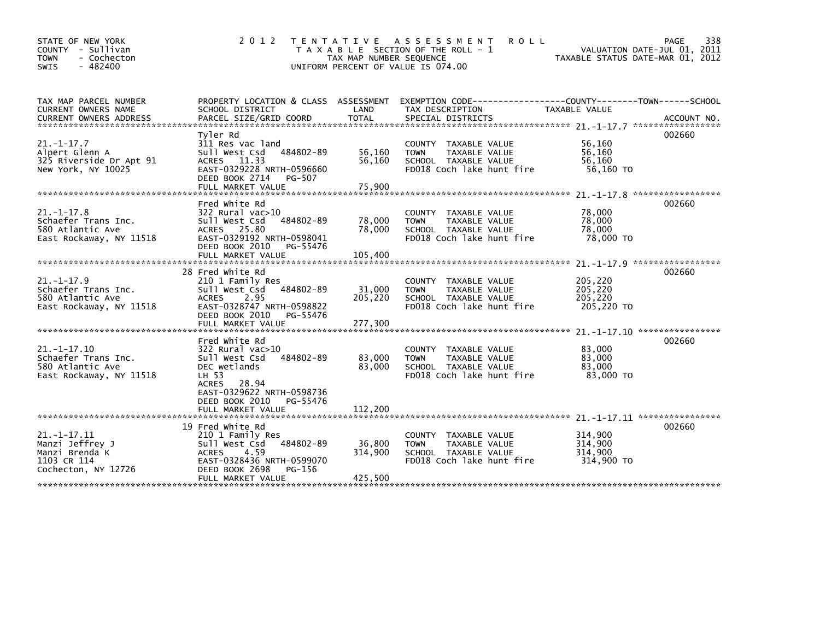| STATE OF NEW YORK<br>COUNTY - Sullivan<br>- Cochecton<br><b>TOWN</b><br>$-482400$<br><b>SWIS</b> | 2 0 1 2                                                                                                                                                                           | T E N T A T I V E<br>TAX MAP NUMBER SEQUENCE<br>UNIFORM PERCENT OF VALUE IS 074.00 | A S S E S S M E N T<br><b>ROLL</b><br>T A X A B L E SECTION OF THE ROLL - 1                                         | VALUATION DATE-JUL 01, 2011<br>TAXABLE STATUS DATE-MAR 01, 2012               | 338<br>PAGE                 |
|--------------------------------------------------------------------------------------------------|-----------------------------------------------------------------------------------------------------------------------------------------------------------------------------------|------------------------------------------------------------------------------------|---------------------------------------------------------------------------------------------------------------------|-------------------------------------------------------------------------------|-----------------------------|
| TAX MAP PARCEL NUMBER<br>CURRENT OWNERS NAME<br><b>CURRENT OWNERS ADDRESS</b>                    | PROPERTY LOCATION & CLASS ASSESSMENT<br>SCHOOL DISTRICT<br>PARCEL SIZE/GRID COORD                                                                                                 | LAND<br><b>TOTAL</b>                                                               | EXEMPTION        CODE-----------------COUNTY-------TOWN------SCHOOL<br>TAX DESCRIPTION<br>SPECIAL DISTRICTS         | TAXABLE VALUE                                                                 | ACCOUNT NO.                 |
| $21. - 1 - 17.7$<br>Alpert Glenn A<br>325 Riverside Dr Apt 91<br>New York, NY 10025              | Tyler Rd<br>311 Res vac land<br>484802-89<br>Sull West Csd<br>11.33<br><b>ACRES</b><br>EAST-0329228 NRTH-0596660<br>DEED BOOK 2714<br>PG-507<br>FULL MARKET VALUE                 | 56,160<br>56,160<br>75,900                                                         | COUNTY TAXABLE VALUE<br>TAXABLE VALUE<br><b>TOWN</b><br>SCHOOL TAXABLE VALUE<br>FD018 Coch lake hunt fire           | 56,160<br>56.160<br>56,160<br>56,160 TO                                       | 002660                      |
| $21. -1 - 17.8$<br>Schaefer Trans Inc.<br>580 Atlantic Ave<br>East Rockaway, NY 11518            | Fred White Rd<br>322 Rural vac>10<br>484802-89<br>Sull West Csd<br>ACRES 25.80<br>EAST-0329192 NRTH-0598041<br>DEED BOOK 2010<br>PG-55476<br>FULL MARKET VALUE                    | 78,000<br>78,000<br>105,400                                                        | TAXABLE VALUE<br><b>COUNTY</b><br>TAXABLE VALUE<br><b>TOWN</b><br>SCHOOL TAXABLE VALUE<br>FD018 Coch lake hunt fire | 78,000<br>78,000<br>78,000<br>78,000 TO<br>$21. -1 - 17.9$ ****************** | *****************<br>002660 |
| $21. - 1 - 17.9$<br>Schaefer Trans Inc.<br>580 Atlantic Ave<br>East Rockaway, NY 11518           | 28 Fred White Rd<br>210 1 Family Res<br>Sull West Csd<br>484802-89<br>2.95<br><b>ACRES</b><br>EAST-0328747 NRTH-0598822<br>DEED BOOK 2010<br>PG-55476<br>FULL MARKET VALUE        | 31,000<br>205,220<br>277,300                                                       | COUNTY TAXABLE VALUE<br><b>TOWN</b><br>TAXABLE VALUE<br>SCHOOL TAXABLE VALUE<br>FD018 Coch lake hunt fire           | 205,220<br>205,220<br>205.220<br>205,220 TO                                   | 002660                      |
| $21. -1 - 17.10$<br>Schaefer Trans Inc.<br>580 Atlantic Ave<br>East Rockaway, NY 11518           | Fred White Rd<br>$322$ Rural vac $>10$<br>484802-89<br>Sull West Csd<br>DEC wetlands<br>LH 53<br>28.94<br><b>ACRES</b><br>EAST-0329622 NRTH-0598736<br>DEED BOOK 2010<br>PG-55476 | 83.000<br>83,000                                                                   | COUNTY TAXABLE VALUE<br><b>TOWN</b><br>TAXABLE VALUE<br>SCHOOL TAXABLE VALUE<br>FD018 Coch lake hunt fire           | 83,000<br>83,000<br>83,000<br>83,000 TO                                       | 002660                      |
|                                                                                                  | FULL MARKET VALUE                                                                                                                                                                 | 112,200                                                                            |                                                                                                                     |                                                                               |                             |
| $21 - 1 - 17.11$<br>Manzi Jeffrey J<br>Manzi Brenda K<br>1103 CR 114<br>Cochecton, NY 12726      | 19 Fred White Rd<br>210 1 Family Res<br>484802-89<br>Sull West Csd<br><b>ACRES</b><br>4.59<br>EAST-0328436 NRTH-0599070<br>DEED BOOK 2698<br>PG-156<br>FULL MARKET VALUE          | 36,800<br>314,900<br>425,500                                                       | <b>COUNTY</b><br>TAXABLE VALUE<br>TAXABLE VALUE<br><b>TOWN</b><br>SCHOOL TAXABLE VALUE<br>FD018 Coch lake hunt fire | 314,900<br>314,900<br>314,900<br>314,900 TO                                   | 002660                      |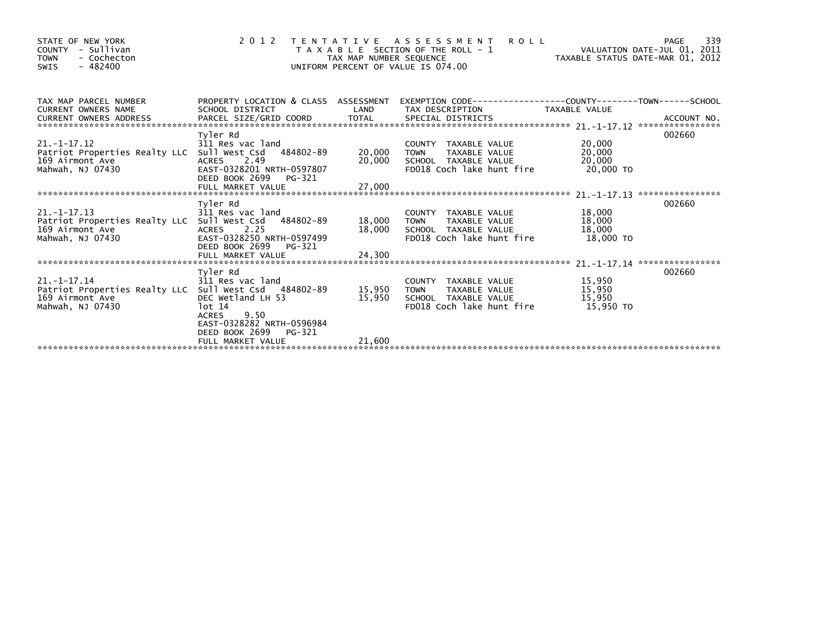| STATE OF NEW YORK<br>- Sullivan<br><b>COUNTY</b><br>- Cochecton<br><b>TOWN</b><br>$-482400$<br>SWIS |                                               | TAX MAP NUMBER SEQUENCE | <b>ROLL</b><br>2012 TENTATIVE ASSESSMENT<br>T A X A B L E SECTION OF THE ROLL - 1<br>UNIFORM PERCENT OF VALUE IS 074.00 | VALUATION DATE-JUL 01, 2011<br>VALUATION DATE-JUL 01, 2011<br>TAXABLE STATUS DATE-MAR 01, 2012 | 339<br>PAGE |
|-----------------------------------------------------------------------------------------------------|-----------------------------------------------|-------------------------|-------------------------------------------------------------------------------------------------------------------------|------------------------------------------------------------------------------------------------|-------------|
| TAX MAP PARCEL NUMBER<br><b>CURRENT OWNERS NAME</b>                                                 | SCHOOL DISTRICT                               | LAND                    | PROPERTY LOCATION & CLASS ASSESSMENT EXEMPTION CODE----------------COUNTY-------TOWN-----SCHOOL<br>TAX DESCRIPTION      | <b>TAXABLE VALUE</b>                                                                           |             |
| <b>CURRENT OWNERS ADDRESS</b>                                                                       |                                               |                         |                                                                                                                         |                                                                                                |             |
|                                                                                                     | Tyler Rd                                      |                         |                                                                                                                         |                                                                                                | 002660      |
| $21. -1 - 17.12$<br>Patriot Properties Realty LLC Sull West Csd 484802-89                           | 311 Res vac land                              | 20,000                  | COUNTY TAXABLE VALUE<br>TAXABLE VALUE<br><b>TOWN</b>                                                                    | 20,000                                                                                         |             |
| 169 Airmont Ave                                                                                     | ACRES 2.49                                    | 20,000                  | SCHOOL TAXABLE VALUE                                                                                                    | 20,000<br>20,000                                                                               |             |
| Mahwah, NJ 07430                                                                                    | EAST-0328201 NRTH-0597807                     |                         | FD018 Coch lake hunt fire                                                                                               | 20,000 TO                                                                                      |             |
|                                                                                                     | DEED BOOK 2699<br>PG-321<br>FULL MARKET VALUE | 27,000                  |                                                                                                                         |                                                                                                |             |
|                                                                                                     |                                               |                         |                                                                                                                         |                                                                                                |             |
|                                                                                                     | Tyler Rd                                      |                         |                                                                                                                         |                                                                                                | 002660      |
| $21. -1 - 17.13$                                                                                    | 311 Res vac land                              | 18,000 TOWN             | COUNTY TAXABLE VALUE                                                                                                    | 18,000<br>18,000                                                                               |             |
| Patriot Properties Realty LLC Sull West Csd 484802-89<br>169 Airmont Ave                            | 2.25<br>ACRES                                 | 18,000                  | TAXABLE VALUE<br>SCHOOL TAXABLE VALUE                                                                                   | 18,000                                                                                         |             |
| Mahwah, NJ 07430                                                                                    | EAST-0328250 NRTH-0597499                     |                         | FD018 Coch lake hunt fire                                                                                               | 18.000 TO                                                                                      |             |
|                                                                                                     | DEED BOOK 2699<br>PG-321                      |                         |                                                                                                                         |                                                                                                |             |
|                                                                                                     | FULL MARKET VALUE                             | 24,300                  |                                                                                                                         |                                                                                                |             |
|                                                                                                     | Tyler Rd                                      |                         |                                                                                                                         |                                                                                                | 002660      |
| $21. - 1 - 17.14$                                                                                   | 311 Res vac land                              |                         | COUNTY TAXABLE VALUE                                                                                                    | 15,950                                                                                         |             |
| Patriot Properties Realty LLC Sull West Csd 484802-89                                               |                                               | 15,950                  | <b>TOWN</b><br>TAXABLE VALUE                                                                                            | 15,950                                                                                         |             |
| 169 Airmont Ave                                                                                     | DEC Wetland LH 53                             | 15,950                  | SCHOOL TAXABLE VALUE                                                                                                    | 15,950                                                                                         |             |
| Mahwah, NJ 07430                                                                                    | lot 14<br>9.50<br><b>ACRES</b>                |                         | FD018 Coch lake hunt fire                                                                                               | 15,950 TO                                                                                      |             |
|                                                                                                     | EAST-0328282 NRTH-0596984                     |                         |                                                                                                                         |                                                                                                |             |
|                                                                                                     | DEED BOOK 2699 PG-321                         |                         |                                                                                                                         |                                                                                                |             |
|                                                                                                     | FULL MARKET VALUE                             | 21,600                  |                                                                                                                         |                                                                                                |             |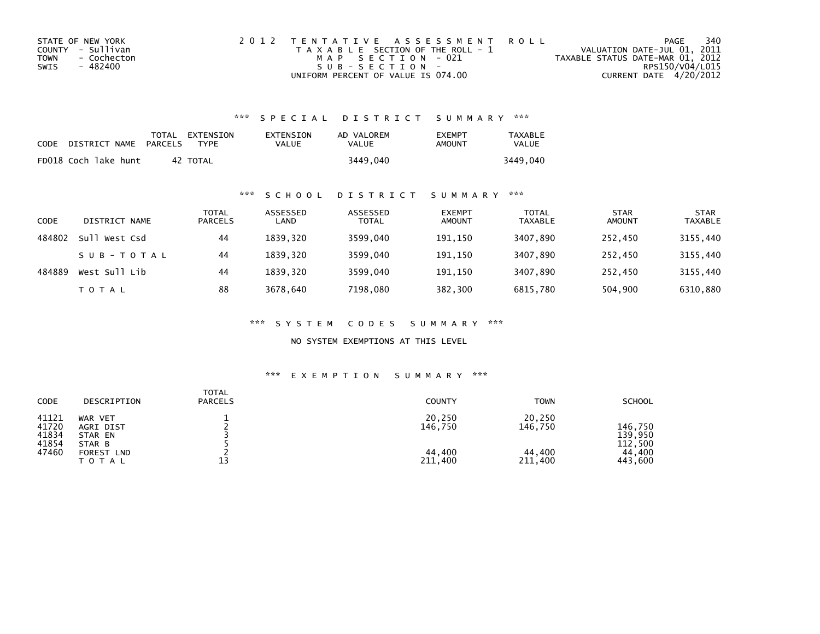| STATE OF NEW YORK          | 2012 TENTATIVE ASSESSMENT ROLL        | PAGE                             | 340             |
|----------------------------|---------------------------------------|----------------------------------|-----------------|
| COUNTY - Sullivan          | T A X A B L E SECTION OF THE ROLL - 1 | VALUATION DATE-JUL 01, 2011      |                 |
| <b>TOWN</b><br>- Cochecton | MAP SECTION - 021                     | TAXABLE STATUS DATE-MAR 01, 2012 |                 |
| SWIS<br>- 482400           | $SUB - SECTION -$                     |                                  | RPS150/V04/L015 |
|                            | UNIFORM PERCENT OF VALUE IS 074.00    | CURRENT DATE 4/20/2012           |                 |

## \*\*\* S P E C I A L D I S T R I C T S U M M A R Y \*\*\*

| CODE | DISTRICT NAME        | PARCELS | TOTAL EXTENSION<br><b>TYPF</b> | EXTENSION<br>VALUE | AD VALOREM<br>VALUE | <b>EXEMPT</b><br>AMOUNT | <b>TAXABLE</b><br><b>VALUE</b> |
|------|----------------------|---------|--------------------------------|--------------------|---------------------|-------------------------|--------------------------------|
|      | FD018 Coch lake hunt | 42      | TOTAL                          |                    | 3449,040            |                         | 3449.040                       |

### \*\*\* S C H O O L D I S T R I C T S U M M A R Y \*\*\*

| CODE   | DISTRICT NAME    | TOTAL<br><b>PARCELS</b> | ASSESSED<br>LAND | ASSESSED<br><b>TOTAL</b> | <b>EXEMPT</b><br><b>AMOUNT</b> | <b>TOTAL</b><br><b>TAXABLE</b> | <b>STAR</b><br><b>AMOUNT</b> | <b>STAR</b><br><b>TAXABLE</b> |
|--------|------------------|-------------------------|------------------|--------------------------|--------------------------------|--------------------------------|------------------------------|-------------------------------|
| 484802 | sull<br>West Csd | 44                      | 1839.320         | 3599,040                 | 191,150                        | 3407,890                       | 252,450                      | 3155,440                      |
|        | SUB-TOTAL        | 44                      | 1839.320         | 3599,040                 | 191,150                        | 3407,890                       | 252.450                      | 3155,440                      |
| 484889 | West Sull Lib    | 44                      | 1839.320         | 3599,040                 | 191,150                        | 3407,890                       | 252,450                      | 3155,440                      |
|        | T O T A L        | 88                      | 3678,640         | 7198,080                 | 382,300                        | 6815,780                       | 504,900                      | 6310,880                      |

\*\*\* S Y S T E M C O D E S S U M M A R Y \*\*\*

NO SYSTEM EXEMPTIONS AT THIS LEVEL

## \*\*\* E X E M P T I O N S U M M A R Y \*\*\*

| CODE                                                           | TOTAL<br><b>PARCELS</b><br>DESCRIPTION            | <b>COUNTY</b>                          | <b>TOWN</b>                            | <b>SCHOOL</b>                                      |
|----------------------------------------------------------------|---------------------------------------------------|----------------------------------------|----------------------------------------|----------------------------------------------------|
| 41121<br>WAR VET<br>41720<br>41834<br>41854<br>STAR B<br>47460 | AGRI DIST<br>STAR EN<br>FOREST LND<br>13<br>ΤΟΤΑΙ | 20,250<br>146,750<br>44.400<br>211,400 | 20,250<br>146,750<br>44,400<br>211,400 | 146.750<br>139,950<br>112,500<br>44,400<br>443,600 |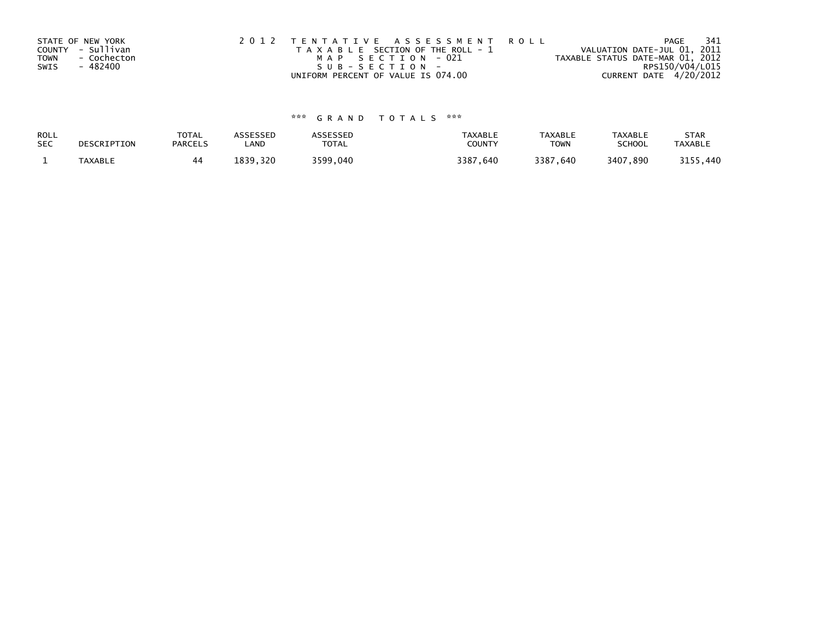| STATE OF NEW YORK   | 2012 TENTATIVE ASSESSMENT ROLL        | PAGE                             | -341 |
|---------------------|---------------------------------------|----------------------------------|------|
| COUNTY - Sullivan   | T A X A B L E SECTION OF THE ROLL - 1 | VALUATION DATE-JUL 01, 2011      |      |
| - Cochecton<br>TOWN | MAP SECTION - 021                     | TAXABLE STATUS DATE-MAR 01, 2012 |      |
| SWIS<br>- 482400    | $SUB - SECTION -$                     | RPS150/V04/L015                  |      |
|                     | UNIFORM PERCENT OF VALUE IS 074.00    | CURRENT DATE 4/20/2012           |      |

# \*\*\* G R A N D T O T A L S \*\*\*

| ROLL       | DESCRIPTION    | <b>TOTAL</b>   | ASSESSED       | <b>ASSESSED</b> | <b>TAXABLE</b> | <b>TAXABLE</b> | <b>TAXABLE</b> | <b>STAR</b>    |
|------------|----------------|----------------|----------------|-----------------|----------------|----------------|----------------|----------------|
| <b>SEC</b> |                | <b>PARCELS</b> | LAND           | TOTAL           | <b>COUNT</b>   | <b>TOWN</b>    | <b>SCHOOL</b>  | <b>TAXABLE</b> |
|            | <b>TAXABLE</b> | 44             | '839.<br>, 320 | 3599,040        | 3387,640       | 3387,640       | 3407,890       | 3155,440       |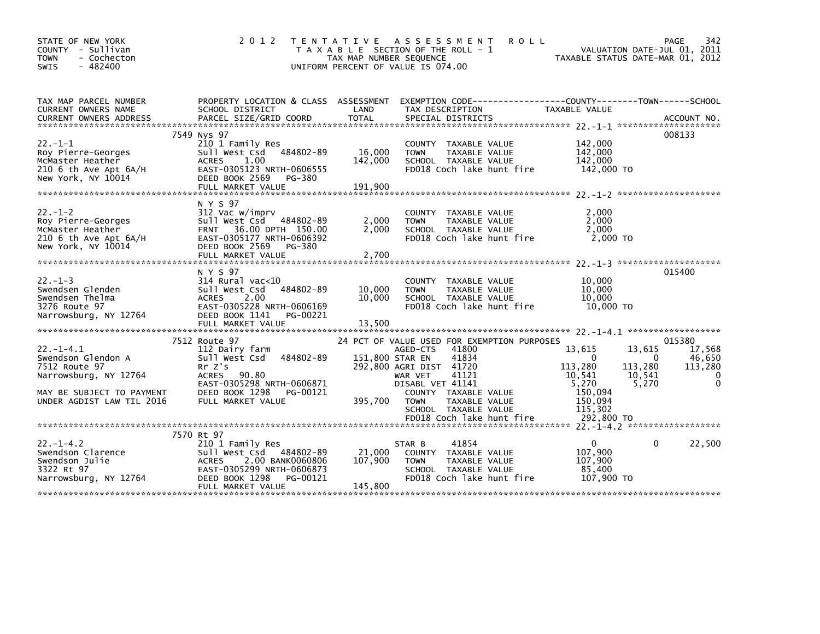| STATE OF NEW YORK<br>COUNTY - Sullivan<br><b>TOWN</b><br>- Cochecton<br>$-482400$<br><b>SWIS</b>                                         | 2 0 1 2                                                                                                                                                             | T E N T A T I V E<br>TAX MAP NUMBER SEQUENCE | A S S E S S M E N T<br><b>ROLL</b><br>T A X A B L E SECTION OF THE ROLL - 1<br>UNIFORM PERCENT OF VALUE IS 074.00                                                                                                            | VALUATION DATE-JUL 01, 2011<br>TAXABLE STATUS DATE-MAR 01, 2012                                                           | PAGE<br>342                                                            |
|------------------------------------------------------------------------------------------------------------------------------------------|---------------------------------------------------------------------------------------------------------------------------------------------------------------------|----------------------------------------------|------------------------------------------------------------------------------------------------------------------------------------------------------------------------------------------------------------------------------|---------------------------------------------------------------------------------------------------------------------------|------------------------------------------------------------------------|
| TAX MAP PARCEL NUMBER<br>CURRENT OWNERS NAME                                                                                             | SCHOOL DISTRICT                                                                                                                                                     | LAND<br><b>TOTAL</b>                         | PROPERTY LOCATION & CLASS ASSESSMENT EXEMPTION CODE----------------COUNTY-------TOWN-----SCHOOL<br>TAX DESCRIPTION                                                                                                           | TAXABLE VALUE                                                                                                             |                                                                        |
| $22. - 1 - 1$<br>Roy Pierre-Georges<br>McMaster Heather<br>210 6 th Ave Apt $6A/H$<br>New York, NY 10014                                 | 7549 Nys 97<br>210 1 Family Res<br>Sull West Csd 484802-89<br>ACRES<br>1.00<br>EAST-0305123 NRTH-0606555<br>DEED BOOK 2569<br>PG-380<br>FULL MARKET VALUE           | 16,000<br>142,000<br>191,900                 | COUNTY TAXABLE VALUE<br><b>TOWN</b><br>TAXABLE VALUE<br>SCHOOL TAXABLE VALUE<br>FD018 Coch lake hunt fire                                                                                                                    | 142,000<br>142,000<br>142,000<br>142,000 TO                                                                               | 008133                                                                 |
| $22 - 1 - 2$<br>Roy Pierre-Georges<br>McMaster Heather<br>$210$ 6 th Ave Apt $6A/H$<br>New York, NY 10014                                | N Y S 97<br>312 Vac w/imprv<br>Sull West Csd 484802-89<br>FRNT 36.00 DPTH 150.00<br>EAST-0305177 NRTH-0606392<br>DEED BOOK 2569<br>PG-380                           | 2,000<br>2,000                               | COUNTY TAXABLE VALUE<br>TAXABLE VALUE<br><b>TOWN</b><br>SCHOOL TAXABLE VALUE<br>FD018 Coch lake hunt fire                                                                                                                    | 2,000<br>2,000<br>2,000<br>2,000 TO                                                                                       |                                                                        |
| $22. -1 - 3$<br>Swendsen Glenden<br>Swendsen Thelma<br>3276 Route 97<br>Narrowsburg, NY 12764                                            | N Y S 97<br>$314$ Rural vac<10<br>Sull West Csd 484802-89<br>2.00<br><b>ACRES</b><br>EAST-0305228 NRTH-0606169<br>DEED BOOK 1141<br>PG-00221<br>FULL MARKET VALUE   | 10,000<br>10,000<br>13,500                   | COUNTY TAXABLE VALUE<br>TAXABLE VALUE<br><b>TOWN</b><br>SCHOOL TAXABLE VALUE<br>FD018 Coch lake hunt fire                                                                                                                    | 10,000<br>10,000<br>10,000<br>10,000 TO                                                                                   | 015400                                                                 |
|                                                                                                                                          |                                                                                                                                                                     |                                              |                                                                                                                                                                                                                              |                                                                                                                           |                                                                        |
| $22. -1 - 4.1$<br>Swendson Glendon A<br>7512 Route 97<br>Narrowsburg, NY 12764<br>MAY BE SUBJECT TO PAYMENT<br>UNDER AGDIST LAW TIL 2016 | 7512 Route 97<br>112 Dairy farm<br>Sull West Csd 484802-89<br>Rr Z's<br>ACRES 90.80<br>EAST-0305298 NRTH-0606871<br>DEED BOOK 1298<br>PG-00121<br>FULL MARKET VALUE | 151,800 STAR EN<br>395,700                   | 24 PCT OF VALUE USED FOR EXEMPTION PURPOSES<br>41800<br>AGED-CTS<br>41834<br>292,800 AGRI DIST 41720<br>41121<br>WAR VET<br>DISABL VET 41141<br>COUNTY TAXABLE VALUE<br><b>TOWN</b><br>TAXABLE VALUE<br>SCHOOL TAXABLE VALUE | 13,615<br>13,615<br>$\Omega$<br>113,280<br>113,280<br>10,541<br>10,541<br>5,270<br>5,270<br>150,094<br>150,094<br>115,302 | 015380<br>17,568<br>46,650<br>$\Omega$<br>113,280<br>0<br>$\mathbf{0}$ |
|                                                                                                                                          |                                                                                                                                                                     |                                              | FD018 Coch lake hunt fire                                                                                                                                                                                                    | 292,800 TO                                                                                                                |                                                                        |
| $22. -1 - 4.2$<br>Swendson Clarence<br>Swendson Julie<br>3322 Rt 97<br>Narrowsburg, NY 12764                                             | 7570 Rt 97<br>210 1 Family Res<br>Sull West Csd 484802-89<br>ACRES 2.00 BANK0060806<br>EAST-0305299 NRTH-0606873<br>DEED BOOK 1298<br>PG-00121<br>FULL MARKET VALUE | 21,000<br>107,900<br>145,800                 | 41854<br>STAR B<br>COUNTY TAXABLE VALUE<br><b>TOWN</b><br>TAXABLE VALUE<br>SCHOOL TAXABLE VALUE<br>FD018 Coch lake hunt fire                                                                                                 | $\mathbf{0}$<br>107,900<br>107,900<br>85,400<br>107,900 TO                                                                | 22,500<br>$\Omega$                                                     |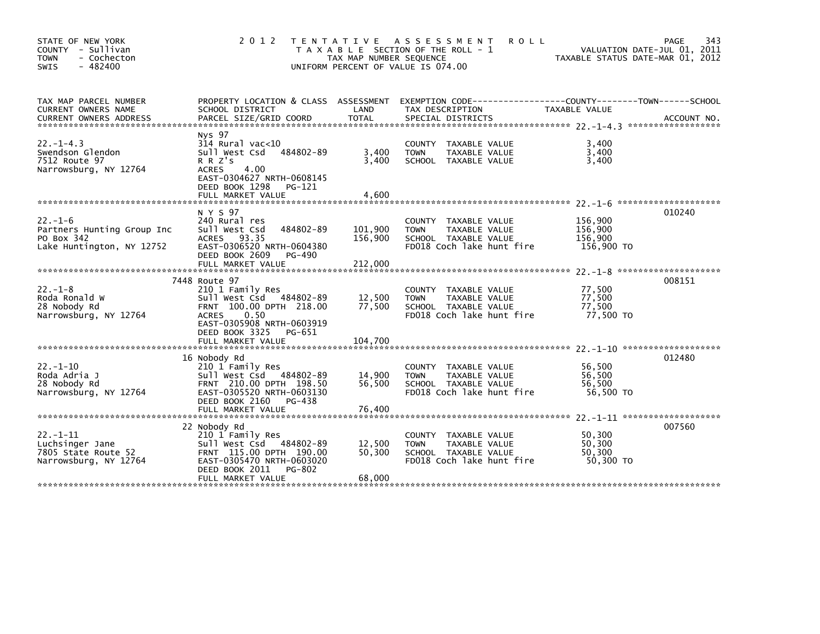| STATE OF NEW YORK<br>COUNTY - Sullivan<br>- Cochecton<br><b>TOWN</b><br>$-482400$<br><b>SWIS</b> | 2 0 1 2                                                                                                                                                                                          | TAX MAP NUMBER SEQUENCE       | TENTATIVE ASSESSMENT<br><b>ROLL</b><br>T A X A B L E SECTION OF THE ROLL - 1<br>UNIFORM PERCENT OF VALUE IS 074.00  |                                             | 343<br>PAGE<br>VALUATION DATE-JUL 01, 2011<br>TAXABLE STATUS DATE-MAR 01, 2012 |
|--------------------------------------------------------------------------------------------------|--------------------------------------------------------------------------------------------------------------------------------------------------------------------------------------------------|-------------------------------|---------------------------------------------------------------------------------------------------------------------|---------------------------------------------|--------------------------------------------------------------------------------|
| TAX MAP PARCEL NUMBER<br>CURRENT OWNERS NAME<br><b>CURRENT OWNERS ADDRESS</b>                    | PROPERTY LOCATION & CLASS ASSESSMENT<br>SCHOOL DISTRICT<br>PARCEL SIZE/GRID COORD                                                                                                                | LAND<br><b>TOTAL</b>          | TAX DESCRIPTION<br>SPECIAL DISTRICTS                                                                                | TAXABLE VALUE                               | ACCOUNT NO.                                                                    |
| $22. -1 - 4.3$<br>Swendson Glendon<br>7512 Route 97<br>Narrowsburg, NY 12764                     | Nys 97<br>$314$ Rural vac< $10$<br>484802-89<br>Sull West Csd<br>R R Z's<br>4.00<br><b>ACRES</b><br>EAST-0304627 NRTH-0608145<br>DEED BOOK 1298<br>PG-121<br>FULL MARKET VALUE                   | 3,400<br>3,400<br>4.600       | COUNTY TAXABLE VALUE<br>TAXABLE VALUE<br><b>TOWN</b><br>SCHOOL TAXABLE VALUE                                        | 3,400<br>3,400<br>3,400                     |                                                                                |
|                                                                                                  |                                                                                                                                                                                                  |                               |                                                                                                                     |                                             |                                                                                |
| $22. - 1 - 6$<br>Partners Hunting Group Inc<br>PO Box 342<br>Lake Huntington, NY 12752           | N Y S 97<br>240 Rural res<br>484802-89<br>Sull West Csd<br>ACRES 93.35<br>EAST-0306520 NRTH-0604380<br>DEED BOOK 2609<br>PG-490<br>FULL MARKET VALUE                                             | 101,900<br>156,900<br>212,000 | COUNTY TAXABLE VALUE<br>TAXABLE VALUE<br><b>TOWN</b><br>SCHOOL TAXABLE VALUE<br>FD018 Coch lake hunt fire           | 156,900<br>156,900<br>156,900<br>156,900 TO | 010240                                                                         |
|                                                                                                  |                                                                                                                                                                                                  |                               |                                                                                                                     |                                             | 008151                                                                         |
| $22. - 1 - 8$<br>Roda Ronald W<br>28 Nobody Rd<br>Narrowsburg, NY 12764                          | 7448 Route 97<br>210 1 Family Res<br>Sull West Csd<br>484802-89<br>FRNT 100.00 DPTH 218.00<br>0.50<br><b>ACRES</b><br>EAST-0305908 NRTH-0603919<br>DEED BOOK 3325<br>PG-651<br>FULL MARKET VALUE | 12,500<br>77.500<br>104,700   | COUNTY TAXABLE VALUE<br>TAXABLE VALUE<br><b>TOWN</b><br>SCHOOL TAXABLE VALUE<br>FD018 Coch lake hunt fire           | 77,500<br>77,500<br>77,500<br>77,500 TO     |                                                                                |
|                                                                                                  |                                                                                                                                                                                                  |                               |                                                                                                                     |                                             |                                                                                |
| $22. - 1 - 10$<br>Roda Adria J<br>28 Nobody Rd<br>Narrowsburg, NY 12764                          | 16 Nobody Rd<br>210 1 Family Res<br>Sull West Csd 484802-89<br>FRNT 210.00 DPTH 198.50<br>EAST-0305520 NRTH-0603130<br>DEED BOOK 2160<br>PG-438                                                  | 14,900<br>56,500              | COUNTY TAXABLE VALUE<br>TAXABLE VALUE<br><b>TOWN</b><br>SCHOOL TAXABLE VALUE<br>FD018 Coch lake hunt fire           | 56,500<br>56,500<br>56,500<br>56,500 TO     | 012480                                                                         |
|                                                                                                  | FULL MARKET VALUE                                                                                                                                                                                | 76,400                        |                                                                                                                     |                                             |                                                                                |
| $22 - 1 - 11$<br>Luchsinger Jane<br>7805 State Route 52<br>Narrowsburg, NY 12764                 | 22 Nobody Rd<br>210 1 Family Res<br>Sull West Csd<br>484802-89<br>FRNT 115.00 DPTH 190.00<br>EAST-0305470 NRTH-0603020<br>DEED BOOK 2011<br>PG-802<br>FULL MARKET VALUE                          | 12,500<br>50,300<br>68,000    | TAXABLE VALUE<br><b>COUNTY</b><br><b>TOWN</b><br>TAXABLE VALUE<br>SCHOOL TAXABLE VALUE<br>FD018 Coch lake hunt fire | 50,300<br>50.300<br>50,300<br>50.300 TO     | 007560                                                                         |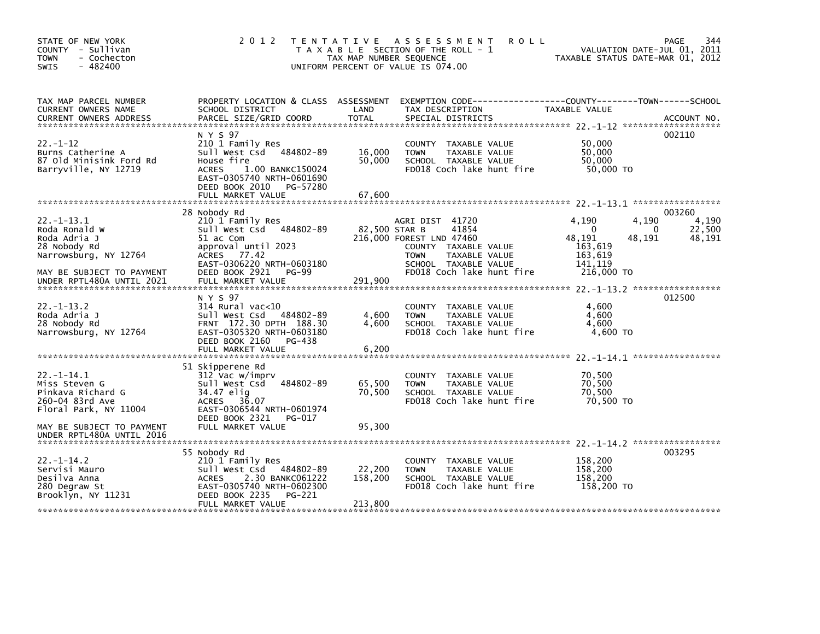| STATE OF NEW YORK<br>COUNTY - Sullivan<br><b>TOWN</b><br>- Cochecton<br>$-482400$<br><b>SWIS</b>  | 2 0 1 2                                                                                                                                                              | TAX MAP NUMBER SEQUENCE | TENTATIVE ASSESSMENT<br><b>ROLL</b><br>T A X A B L E SECTION OF THE ROLL - 1<br>UNIFORM PERCENT OF VALUE IS 074.00                                    | VALUATION DATE-JUL 01, 2011<br>TAXABLE STATUS DATE-MAR 01, 2012                 | 344<br><b>PAGE</b>                    |
|---------------------------------------------------------------------------------------------------|----------------------------------------------------------------------------------------------------------------------------------------------------------------------|-------------------------|-------------------------------------------------------------------------------------------------------------------------------------------------------|---------------------------------------------------------------------------------|---------------------------------------|
| TAX MAP PARCEL NUMBER<br>CURRENT OWNERS NAME                                                      | PROPERTY LOCATION & CLASS ASSESSMENT<br>SCHOOL DISTRICT                                                                                                              | LAND                    | EXEMPTION CODE-----------------COUNTY-------TOWN------SCHOOL<br>TAX DESCRIPTION                                                                       | TAXABLE VALUE                                                                   |                                       |
| $22 - 1 - 12$<br>Burns Catherine A<br>87 Old Minisink Ford Rd<br>Barryville, NY 12719             | N Y S 97<br>210 1 Family Res<br>Sull West Csd<br>484802-89<br>House fire<br><b>ACRES</b><br>1.00 BANKC150024<br>EAST-0305740 NRTH-0601690<br>DEED BOOK 2010 PG-57280 | 16,000<br>50,000        | COUNTY TAXABLE VALUE<br>TAXABLE VALUE<br><b>TOWN</b><br>SCHOOL TAXABLE VALUE<br>FD018 Coch lake hunt fire                                             | 50,000<br>50,000<br>50,000<br>50,000 TO                                         | 002110                                |
|                                                                                                   | 28 Nobody Rd                                                                                                                                                         |                         |                                                                                                                                                       |                                                                                 | 003260                                |
| $22 - 1 - 13.1$<br>Roda Ronald W<br>Roda Adria J<br>28 Nobody Rd<br>Narrowsburg, NY 12764         | 210 1 Family Res<br>Sull West Csd<br>484802-89<br>51 ac Com<br>approval until 2023<br>ACRES 77.42<br>EAST-0306220 NRTH-0603180                                       |                         | AGRI DIST 41720<br>82,500 STAR B<br>41854<br>216,000 FOREST LND 47460<br>COUNTY TAXABLE VALUE<br>TAXABLE VALUE<br><b>TOWN</b><br>SCHOOL TAXABLE VALUE | 4,190<br>4,190<br>$\Omega$<br>48,191<br>48,191<br>163,619<br>163,619<br>141,119 | 4,190<br>22,500<br>$\Omega$<br>48,191 |
| MAY BE SUBJECT TO PAYMENT<br>UNDER RPTL480A UNTIL 2021                                            | DEED BOOK 2921<br>PG-99<br>FULL MARKET VALUE                                                                                                                         | 291,900                 | FD018 Coch lake hunt fire                                                                                                                             | 216,000 TO                                                                      |                                       |
| $22 - 1 - 13.2$<br>Roda Adria J<br>28 Nobody Rd<br>Narrowsburg, NY 12764                          | N Y S 97<br>$314$ Rural vac<10<br>Sull West Csd 484802-89<br>FRNT 172.30 DPTH 188.30<br>EAST-0305320 NRTH-0603180<br>DEED BOOK 2160<br>PG-438                        | 4,600<br>4,600          | COUNTY TAXABLE VALUE<br><b>TOWN</b><br>TAXABLE VALUE<br>SCHOOL TAXABLE VALUE<br>FD018 Coch lake hunt fire                                             | 4,600<br>4,600<br>4,600<br>$4,600$ TO                                           | 012500                                |
|                                                                                                   | FULL MARKET VALUE                                                                                                                                                    | 6,200                   |                                                                                                                                                       |                                                                                 |                                       |
| $22. -1 - 14.1$<br>Miss Steven G<br>Pinkava Richard G<br>260-04 83rd Ave<br>Floral Park, NY 11004 | 51 Skipperene Rd<br>312 Vac w/imprv<br>484802-89<br>Sull West Csd<br>34.47 elig<br><b>ACRES</b><br>36.07<br>EAST-0306544 NRTH-0601974                                | 65,500<br>70,500        | COUNTY TAXABLE VALUE<br>TAXABLE VALUE<br><b>TOWN</b><br>SCHOOL TAXABLE VALUE<br>FD018 Coch lake hunt fire                                             | 70,500<br>70,500<br>70,500<br>70,500 TO                                         |                                       |
| MAY BE SUBJECT TO PAYMENT<br>UNDER RPTL480A UNTIL 2016                                            | DEED BOOK 2321<br>PG-017<br>FULL MARKET VALUE                                                                                                                        | 95,300                  |                                                                                                                                                       |                                                                                 |                                       |
|                                                                                                   |                                                                                                                                                                      |                         |                                                                                                                                                       |                                                                                 | 003295                                |
| $22 - 1 - 14.2$<br>Servisi Mauro<br>Desilva Anna<br>280 Degraw St<br>Brooklyn, NY 11231           | 55 Nobody Rd<br>210 1 Family Res<br>Sull West Csd 484802-89<br>2.30 BANKC061222<br><b>ACRES</b><br>EAST-0305740 NRTH-0602300<br>DEED BOOK 2235<br>PG-221             | 22,200<br>158,200       | COUNTY TAXABLE VALUE<br>TAXABLE VALUE<br><b>TOWN</b><br>SCHOOL TAXABLE VALUE<br>FD018 Coch lake hunt fire                                             | 158,200<br>158,200<br>158.200<br>158,200 TO                                     |                                       |
|                                                                                                   | FULL MARKET VALUE                                                                                                                                                    | 213,800                 |                                                                                                                                                       |                                                                                 |                                       |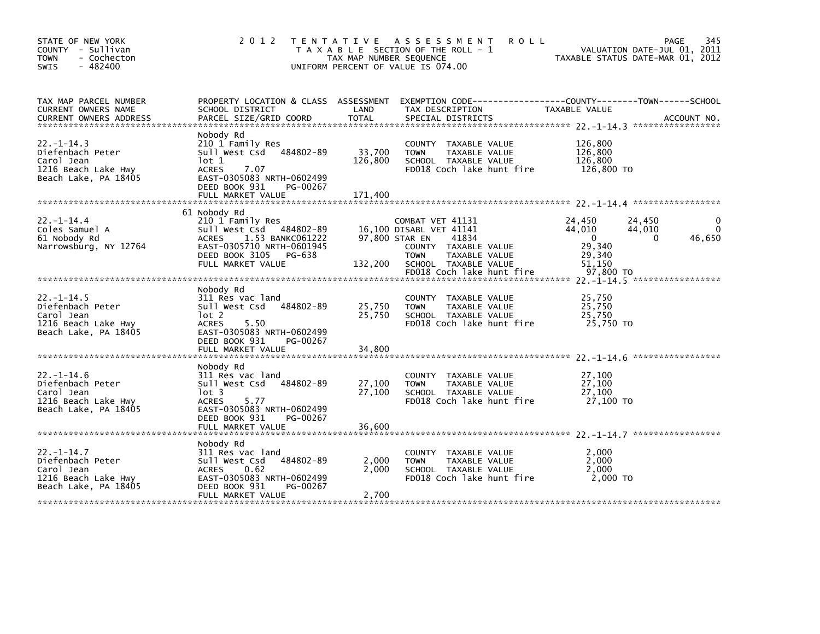| STATE OF NEW YORK<br>COUNTY - Sullivan<br><b>TOWN</b><br>- Cochecton<br>$-482400$<br><b>SWIS</b>  | 2012 TENTATIVE                                                                                                                                                              | TAX MAP NUMBER SEQUENCE      | <b>ROLL</b><br>A S S E S S M E N T<br>T A X A B L E SECTION OF THE ROLL - 1<br>UNIFORM PERCENT OF VALUE IS 074.00              | TAXABLE STATUS DATE-MAR 01, 2012                       | 345<br>PAGE<br>VALUATION DATE-JUL 01, 2011              |
|---------------------------------------------------------------------------------------------------|-----------------------------------------------------------------------------------------------------------------------------------------------------------------------------|------------------------------|--------------------------------------------------------------------------------------------------------------------------------|--------------------------------------------------------|---------------------------------------------------------|
| TAX MAP PARCEL NUMBER<br>CURRENT OWNERS NAME                                                      | SCHOOL DISTRICT                                                                                                                                                             | LAND                         | PROPERTY LOCATION & CLASS ASSESSMENT EXEMPTION CODE---------------COUNTY-------TOWN------SCHOOL<br>TAX DESCRIPTION             | TAXABLE VALUE                                          |                                                         |
| $22. - 1 - 14.3$<br>Diefenbach Peter<br>Carol Jean<br>1216 Beach Lake Hwy<br>Beach Lake, PA 18405 | Nobody Rd<br>210 1 Family Res<br>484802-89<br>sull west Csd<br>lot 1<br><b>ACRES</b><br>7.07<br>EAST-0305083 NRTH-0602499<br>DEED BOOK 931<br>PG-00267<br>FULL MARKET VALUE | 33,700<br>126,800<br>171.400 | COUNTY TAXABLE VALUE<br><b>TOWN</b><br>TAXABLE VALUE<br>SCHOOL TAXABLE VALUE<br>FD018 Coch lake hunt fire                      | 126,800<br>126,800<br>126,800<br>126,800 TO            |                                                         |
|                                                                                                   | 61 Nobody Rd                                                                                                                                                                |                              |                                                                                                                                |                                                        |                                                         |
| $22 - 1 - 14.4$<br>Coles Samuel A<br>61 Nobody Rd<br>Narrowsburg, NY 12764                        | 210 1 Family Res<br>Sull West Csd 484802-89<br>1.53 BANKC061222<br><b>ACRES</b><br>EAST-0305710 NRTH-0601945<br>DEED BOOK 3105 PG-638                                       |                              | COMBAT VET 41131<br>16,100 DISABL VET 41141<br>97,800 STAR EN<br>41834<br>COUNTY TAXABLE VALUE<br><b>TOWN</b><br>TAXABLE VALUE | 24,450<br>44,010<br>$\overline{0}$<br>29,340<br>29,340 | 0<br>24,450<br>$\Omega$<br>44,010<br>46,650<br>$\Omega$ |
|                                                                                                   | FULL MARKET VALUE                                                                                                                                                           | 132,200                      | SCHOOL TAXABLE VALUE                                                                                                           | 51,150                                                 |                                                         |
|                                                                                                   |                                                                                                                                                                             |                              | FD018 Coch lake hunt fire                                                                                                      | 97,800 TO                                              |                                                         |
| $22 - 1 - 14.5$<br>Diefenbach Peter<br>Carol Jean<br>1216 Beach Lake Hwy<br>Beach Lake, PA 18405  | Nobody Rd<br>311 Res vac land<br>Sull West Csd<br>484802-89<br>lot 2<br><b>ACRES</b><br>5.50<br>EAST-0305083 NRTH-0602499<br>DEED BOOK 931<br>PG-00267<br>FULL MARKET VALUE | 25,750<br>25,750<br>34,800   | COUNTY TAXABLE VALUE<br>TAXABLE VALUE<br><b>TOWN</b><br>SCHOOL TAXABLE VALUE<br>FD018 Coch lake hunt fire                      | 25,750<br>25,750<br>25,750<br>25.750 TO                |                                                         |
|                                                                                                   |                                                                                                                                                                             |                              |                                                                                                                                |                                                        |                                                         |
| $22. - 1 - 14.6$<br>Diefenbach Peter<br>Carol Jean<br>1216 Beach Lake Hwy<br>Beach Lake, PA 18405 | Nobody Rd<br>311 Res vac land<br>Sull West Csd 484802-89<br>lot 3<br><b>ACRES</b><br>5.77<br>EAST-0305083 NRTH-0602499                                                      | 27,100<br>27,100             | COUNTY TAXABLE VALUE<br>TAXABLE VALUE<br>TOWN<br>SCHOOL TAXABLE VALUE<br>FD018 Coch lake hunt fire                             | 27,100<br>27,100<br>27,100<br>27,100 TO                |                                                         |
|                                                                                                   | DEED BOOK 931<br>PG-00267<br>FULL MARKET VALUE                                                                                                                              | 36,600                       |                                                                                                                                |                                                        |                                                         |
|                                                                                                   | Nobody Rd                                                                                                                                                                   |                              |                                                                                                                                |                                                        |                                                         |
| $22 - 1 - 14.7$<br>Diefenbach Peter<br>Carol Jean<br>1216 Beach Lake Hwy<br>Beach Lake, PA 18405  | 311 Res vac land<br>Sull West Csd<br>484802-89<br><b>ACRES</b><br>0.62<br>EAST-0305083 NRTH-0602499<br>DEED BOOK 931<br>PG-00267                                            | 2,000<br>2,000               | COUNTY TAXABLE VALUE<br>TAXABLE VALUE<br><b>TOWN</b><br>SCHOOL TAXABLE VALUE<br>FD018 Coch lake hunt fire                      | 2,000<br>2,000<br>2.000<br>2,000 TO                    |                                                         |
|                                                                                                   | FULL MARKET VALUE                                                                                                                                                           | 2,700                        |                                                                                                                                |                                                        |                                                         |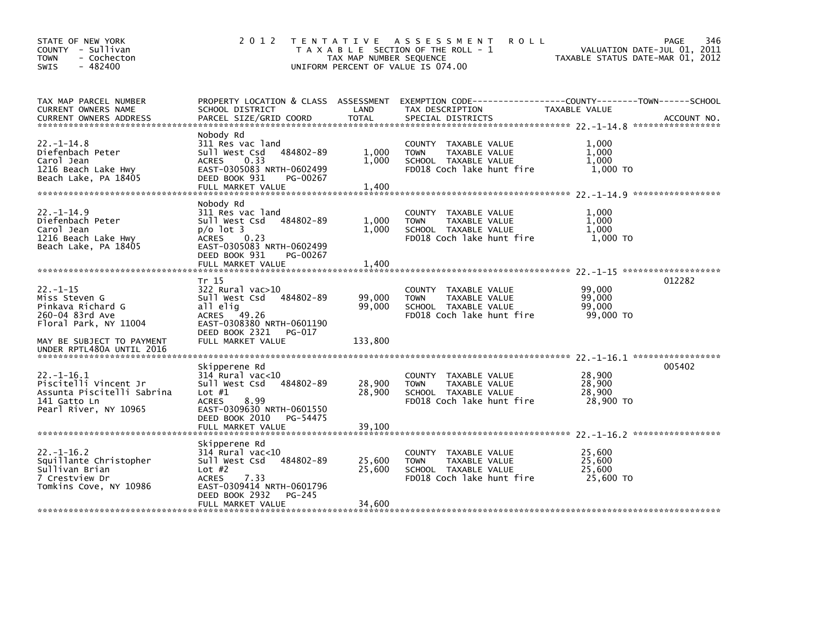| STATE OF NEW YORK<br>COUNTY - Sullivan<br><b>TOWN</b><br>- Cochecton<br>$-482400$<br>SWIS                       | 2 0 1 2                                                                                                                                                                               | TAX MAP NUMBER SEQUENCE    | TENTATIVE ASSESSMENT<br><b>ROLL</b><br>T A X A B L E SECTION OF THE ROLL - 1<br>UNIFORM PERCENT OF VALUE IS 074.00  | VALUATION DATE-JUL 01, 2011<br>TAXABLE STATUS DATE-MAR 01, 2012 | 346<br>PAGE |
|-----------------------------------------------------------------------------------------------------------------|---------------------------------------------------------------------------------------------------------------------------------------------------------------------------------------|----------------------------|---------------------------------------------------------------------------------------------------------------------|-----------------------------------------------------------------|-------------|
| TAX MAP PARCEL NUMBER<br>CURRENT OWNERS NAME<br><b>CURRENT OWNERS ADDRESS</b>                                   | PROPERTY LOCATION & CLASS ASSESSMENT<br>SCHOOL DISTRICT<br>PARCEL SIZE/GRID COORD                                                                                                     | LAND<br><b>TOTAL</b>       | EXEMPTION CODE-----------------COUNTY-------TOWN------SCHOOL<br>TAX DESCRIPTION<br>SPECIAL DISTRICTS                | TAXABLE VALUE                                                   | ACCOUNT NO. |
| $22 - 1 - 14.8$<br>Diefenbach Peter<br>Carol Jean<br>1216 Beach Lake Hwy<br>Beach Lake, PA 18405                | Nobody Rd<br>311 Res vac land<br>484802-89<br>Sull West Csd<br>0.33<br><b>ACRES</b><br>EAST-0305083 NRTH-0602499<br>DEED BOOK 931<br>PG-00267<br>FULL MARKET VALUE                    | 1,000<br>1.000<br>1,400    | COUNTY TAXABLE VALUE<br>TAXABLE VALUE<br><b>TOWN</b><br>SCHOOL TAXABLE VALUE<br>FD018 Coch lake hunt fire           | 1.000<br>1,000<br>1.000<br>1,000 TO                             |             |
| $22. - 1 - 14.9$<br>Diefenbach Peter<br>Carol Jean<br>1216 Beach Lake Hwy<br>Beach Lake, PA 18405               | Nobody Rd<br>311 Res vac land<br>Sull West Csd<br>484802-89<br>$p/O$ ot 3<br>ACRES<br>0.23<br>EAST-0305083 NRTH-0602499<br>DEED BOOK 931<br>PG-00267<br>FULL MARKET VALUE             | 1,000<br>1.000<br>1,400    | <b>COUNTY</b><br>TAXABLE VALUE<br><b>TOWN</b><br>TAXABLE VALUE<br>SCHOOL TAXABLE VALUE<br>FD018 Coch lake hunt fire | 1.000<br>1,000<br>1.000<br>1,000 TO                             |             |
| $22. -1 - 15$<br>Miss Steven G<br>Pinkava Richard G<br>260-04 83rd Ave<br>Floral Park, NY 11004                 | Tr 15<br>$322$ Rural vac $>10$<br>484802-89<br>Sull West Csd<br>all elig<br>ACRES 49.26<br>EAST-0308380 NRTH-0601190<br>DEED BOOK 2321<br>PG-017                                      | 99,000<br>99,000           | TAXABLE VALUE<br>COUNTY<br>TAXABLE VALUE<br><b>TOWN</b><br>SCHOOL TAXABLE VALUE<br>FD018 Coch lake hunt fire        | 99,000<br>99,000<br>99.000<br>99,000 TO                         | 012282      |
| MAY BE SUBJECT TO PAYMENT<br>UNDER RPTL480A UNTIL 2016                                                          | FULL MARKET VALUE                                                                                                                                                                     | 133,800                    |                                                                                                                     |                                                                 |             |
| $22. -1 - 16.1$<br>Piscitelli Vincent Jr<br>Assunta Piscitelli Sabrina<br>141 Gatto Ln<br>Pearl River, NY 10965 | Skipperene Rd<br>$314$ Rural vac<10<br>484802-89<br>Sull West Csd<br>Lot $#1$<br>8.99<br><b>ACRES</b><br>EAST-0309630 NRTH-0601550<br>DEED BOOK 2010<br>PG-54475<br>FULL MARKET VALUE | 28,900<br>28.900<br>39,100 | <b>COUNTY</b><br>TAXABLE VALUE<br><b>TOWN</b><br>TAXABLE VALUE<br>SCHOOL TAXABLE VALUE<br>FD018 Coch lake hunt fire | 28,900<br>28,900<br>28,900<br>28,900 TO                         | 005402      |
|                                                                                                                 |                                                                                                                                                                                       |                            |                                                                                                                     |                                                                 |             |
| $22. - 1 - 16.2$<br>Squillante Christopher<br>Sullivan Brian<br>7 Crestview Dr<br>Tomkins Cove, NY 10986        | Skipperene Rd<br>$314$ Rural vac< $10$<br>Sull West Csd<br>484802-89<br>Lot $#2$<br><b>ACRES</b><br>7.33<br>EAST-0309414 NRTH-0601796<br>DEED BOOK 2932<br>PG-245                     | 25,600<br>25,600           | TAXABLE VALUE<br><b>COUNTY</b><br><b>TOWN</b><br>TAXABLE VALUE<br>SCHOOL TAXABLE VALUE<br>FD018 Coch lake hunt fire | 25,600<br>25,600<br>25.600<br>25,600 TO                         |             |
|                                                                                                                 | FULL MARKET VALUE                                                                                                                                                                     | 34,600                     |                                                                                                                     |                                                                 |             |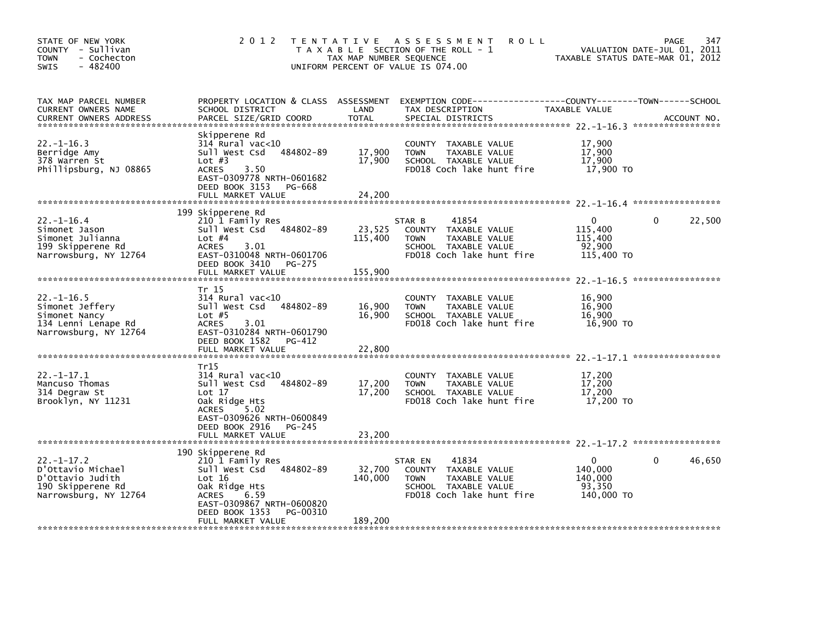| STATE OF NEW YORK<br>COUNTY - Sullivan<br><b>TOWN</b><br>- Cochecton<br>$-482400$<br>SWIS              | 2 0 1 2                                                                                                                                                                                             | TAX MAP NUMBER SEQUENCE      | TENTATIVE ASSESSMENT<br><b>ROLL</b><br>T A X A B L E SECTION OF THE ROLL - 1<br>UNIFORM PERCENT OF VALUE IS 074.00               | VALUATION DATE-JUL 01, 2011<br>TAXABLE STATUS DATE-MAR 01, 2012 | 347<br><b>PAGE</b> |
|--------------------------------------------------------------------------------------------------------|-----------------------------------------------------------------------------------------------------------------------------------------------------------------------------------------------------|------------------------------|----------------------------------------------------------------------------------------------------------------------------------|-----------------------------------------------------------------|--------------------|
| TAX MAP PARCEL NUMBER<br>CURRENT OWNERS NAME<br><b>CURRENT OWNERS ADDRESS</b>                          | PROPERTY LOCATION & CLASS ASSESSMENT<br>SCHOOL DISTRICT<br>PARCEL SIZE/GRID COORD                                                                                                                   | LAND<br><b>TOTAL</b>         | TAX DESCRIPTION<br>SPECIAL DISTRICTS                                                                                             | <b>TAXABLE VALUE</b>                                            | ACCOUNT NO.        |
| $22. -1 - 16.3$<br>Berridge Amy<br>378 Warren St<br>Phillipsburg, NJ 08865                             | Skipperene Rd<br>314 Rural vac<10<br>484802-89<br>Sull West Csd<br>Lot $#3$<br>3.50<br><b>ACRES</b><br>EAST-0309778 NRTH-0601682<br>DEED BOOK 3153<br>PG-668                                        | 17.900<br>17,900             | COUNTY TAXABLE VALUE<br>TAXABLE VALUE<br><b>TOWN</b><br>SCHOOL TAXABLE VALUE<br>FD018 Coch lake hunt fire                        | 17,900<br>17,900<br>17,900<br>17,900 TO                         |                    |
|                                                                                                        | FULL MARKET VALUE                                                                                                                                                                                   | 24,200                       |                                                                                                                                  |                                                                 |                    |
| $22. - 1 - 16.4$<br>Simonet Jason<br>Simonet Julianna<br>199 Skipperene Rd<br>Narrowsburg, NY 12764    | 199 Skipperene Rd<br>210 1 Family Res<br>Sull West Csd<br>484802-89<br>Lot $#4$<br><b>ACRES</b><br>3.01<br>EAST-0310048 NRTH-0601706<br>DEED BOOK 3410<br>PG-275<br>FULL MARKET VALUE               | 23,525<br>115,400<br>155,900 | 41854<br>STAR B<br>COUNTY TAXABLE VALUE<br>TAXABLE VALUE<br><b>TOWN</b><br>SCHOOL TAXABLE VALUE<br>FD018 Coch lake hunt fire     | 0<br>115,400<br>115,400<br>92,900<br>115,400 TO                 | 22,500<br>0        |
| $22. - 1 - 16.5$<br>Simonet Jeffery<br>Simonet Nancy<br>134 Lenni Lenape Rd<br>Narrowsburg, NY 12764   | Tr 15<br>$314$ Rural vac<10<br>484802-89<br>Sull West Csd<br>Lot $#5$<br><b>ACRES</b><br>3.01<br>EAST-0310284 NRTH-0601790<br>DEED BOOK 1582<br>PG-412<br>FULL MARKET VALUE                         | 16,900<br>16,900<br>22,800   | TAXABLE VALUE<br><b>COUNTY</b><br><b>TOWN</b><br>TAXABLE VALUE<br>SCHOOL TAXABLE VALUE<br>FD018 Coch lake hunt fire              | 16,900<br>16,900<br>16.900<br>16,900 TO                         |                    |
| $22 - 1 - 17.1$<br>Mancuso Thomas<br>314 Degraw St<br>Brooklyn, NY 11231                               | Tr15<br>314 Rural vac<10<br>484802-89<br>Sull West Csd<br>Lot 17<br>Oak Ridge Hts<br><b>ACRES</b><br>5.02<br>EAST-0309626 NRTH-0600849<br>DEED BOOK 2916<br>PG-245<br>FULL MARKET VALUE             | 17,200<br>17,200<br>23,200   | TAXABLE VALUE<br>COUNTY<br>TAXABLE VALUE<br><b>TOWN</b><br>SCHOOL TAXABLE VALUE<br>FD018 Coch lake hunt fire                     | 17,200<br>17,200<br>17,200<br>17,200 TO                         |                    |
| $22 - 1 - 17.2$<br>D'Ottavio Michael<br>D'Ottavio Judith<br>190 Skipperene Rd<br>Narrowsburg, NY 12764 | 190 Skipperene Rd<br>210 1 Family Res<br>Sull West Csd 484802-89<br>Lot 16<br>Oak Ridge Hts<br><b>ACRES</b><br>6.59<br>EAST-0309867 NRTH-0600820<br>DEED BOOK 1353<br>PG-00310<br>FULL MARKET VALUE | 32,700<br>140,000<br>189,200 | 41834<br>STAR EN<br>COUNTY<br>TAXABLE VALUE<br><b>TOWN</b><br>TAXABLE VALUE<br>SCHOOL TAXABLE VALUE<br>FD018 Coch lake hunt fire | $\Omega$<br>140,000<br>140,000<br>93,350<br>140,000 TO          | 46,650<br>0        |
|                                                                                                        |                                                                                                                                                                                                     |                              |                                                                                                                                  |                                                                 |                    |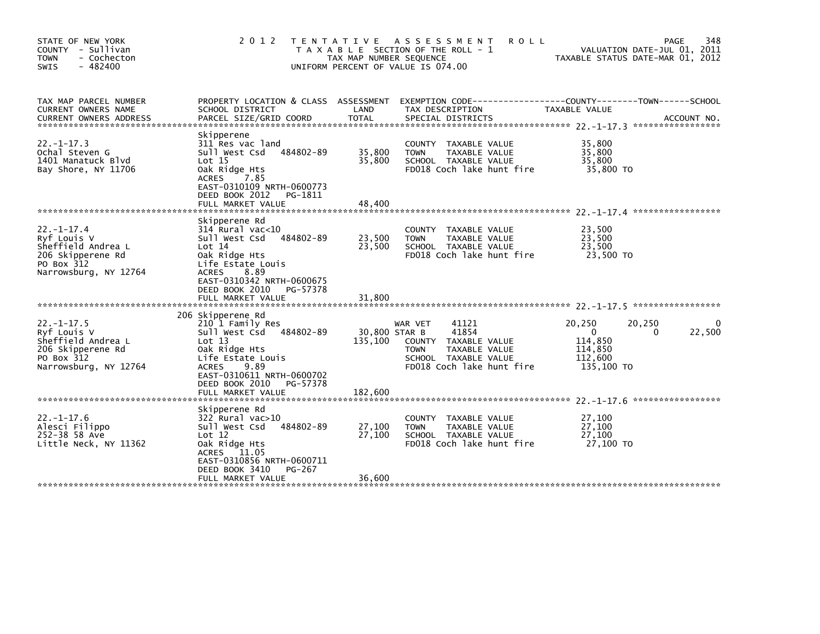| STATE OF NEW YORK<br>COUNTY - Sullivan<br><b>TOWN</b><br>- Cochecton<br>$-482400$<br><b>SWIS</b>                  | 2 0 1 2                                                                                                                                                                                                                     | TAX MAP NUMBER SEQUENCE             | TENTATIVE ASSESSMENT<br><b>ROLL</b><br>T A X A B L E SECTION OF THE ROLL - 1<br>UNIFORM PERCENT OF VALUE IS 074.00                     |                                                                   | 348<br><b>PAGE</b><br>VALUATION DATE-JUL 01, 2011<br>TAXABLE STATUS DATE-MAR 01, 2012 |
|-------------------------------------------------------------------------------------------------------------------|-----------------------------------------------------------------------------------------------------------------------------------------------------------------------------------------------------------------------------|-------------------------------------|----------------------------------------------------------------------------------------------------------------------------------------|-------------------------------------------------------------------|---------------------------------------------------------------------------------------|
| TAX MAP PARCEL NUMBER<br>CURRENT OWNERS NAME<br><b>CURRENT OWNERS ADDRESS</b>                                     | PROPERTY LOCATION & CLASS ASSESSMENT<br>SCHOOL DISTRICT<br>PARCEL SIZE/GRID COORD                                                                                                                                           | LAND<br><b>TOTAL</b>                | TAX DESCRIPTION<br>SPECIAL DISTRICTS                                                                                                   | TAXABLE VALUE                                                     | ACCOUNT NO.                                                                           |
| $22. - 1 - 17.3$<br>Ochal Steven G<br>1401 Manatuck Blvd<br>Bay Shore, NY 11706                                   | Skipperene<br>311 Res vac land<br>484802-89<br>Sull West Csd<br>Lot 15<br>Oak Ridge Hts<br><b>ACRES</b><br>7.85<br>EAST-0310109 NRTH-0600773<br>DEED BOOK 2012<br>PG-1811<br>FULL MARKET VALUE                              | 35,800<br>35,800<br>48,400          | COUNTY TAXABLE VALUE<br>TAXABLE VALUE<br><b>TOWN</b><br>SCHOOL TAXABLE VALUE<br>FD018 Coch lake hunt fire                              | 35.800<br>35,800<br>35,800<br>35,800 TO                           |                                                                                       |
| $22. - 1 - 17.4$<br>Ryf Louis V<br>Sheffield Andrea L<br>206 Skipperene Rd<br>PO Box 312<br>Narrowsburg, NY 12764 | Skipperene Rd<br>$314$ Rural vac<10<br>484802-89<br>Sull West Csd<br>Lot 14<br>Oak Ridge Hts<br>Life Estate Louis<br><b>ACRES</b><br>8.89<br>EAST-0310342 NRTH-0600675<br>DEED BOOK 2010<br>PG-57378                        | 23,500<br>23,500                    | COUNTY TAXABLE VALUE<br><b>TOWN</b><br>TAXABLE VALUE<br>SCHOOL TAXABLE VALUE<br>FD018 Coch lake hunt fire                              | 23,500<br>23,500<br>23,500<br>23,500 TO                           |                                                                                       |
| $22. -1 - 17.5$<br>Ryf Louis V<br>Sheffield Andrea L<br>206 Skipperene Rd<br>PO Box 312<br>Narrowsburg, NY 12764  | 206 Skipperene Rd<br>210 1 Family Res<br>484802-89<br>Sull West Csd<br>Lot 13<br>Oak Ridge Hts<br>Life Estate Louis<br><b>ACRES</b><br>9.89<br>EAST-0310611 NRTH-0600702<br>DEED BOOK 2010<br>PG-57378<br>FULL MARKET VALUE | 30,800 STAR B<br>135,100<br>182,600 | 41121<br>WAR VET<br>41854<br>COUNTY TAXABLE VALUE<br>TAXABLE VALUE<br><b>TOWN</b><br>SCHOOL TAXABLE VALUE<br>FD018 Coch lake hunt fire | 20,250<br>$\Omega$<br>114,850<br>114,850<br>112,600<br>135,100 TO | 20,250<br>0<br>22,500<br>$\Omega$                                                     |
| $22. - 1 - 17.6$<br>Alesci Filippo<br>252-38 58 Ave<br>Little Neck, NY 11362                                      | Skipperene Rd<br>$322$ Rural vac $>10$<br>484802-89<br>Sull West Csd<br>Lot 12<br>Oak Ridge Hts<br>11.05<br>ACRES<br>EAST-0310856 NRTH-0600711<br>DEED BOOK 3410<br>PG-267<br>FULL MARKET VALUE                             | 27,100<br>27,100<br>36,600          | TAXABLE VALUE<br><b>COUNTY</b><br>TAXABLE VALUE<br><b>TOWN</b><br>SCHOOL TAXABLE VALUE<br>FD018 Coch lake hunt fire                    | 27,100<br>27,100<br>27,100<br>27,100 TO                           | *****************                                                                     |
|                                                                                                                   |                                                                                                                                                                                                                             |                                     |                                                                                                                                        |                                                                   |                                                                                       |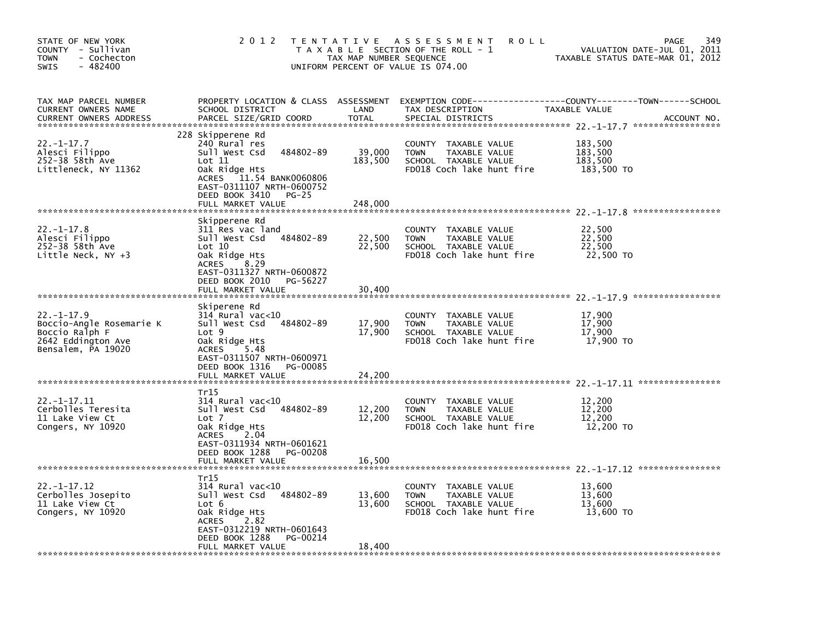| STATE OF NEW YORK<br>COUNTY - Sullivan<br><b>TOWN</b><br>- Cochecton<br>$-482400$<br><b>SWIS</b>           | 2 0 1 2                                                                                                                                                                                                  | TAX MAP NUMBER SEQUENCE      | TENTATIVE ASSESSMENT<br><b>ROLL</b><br>T A X A B L E SECTION OF THE ROLL - 1<br>UNIFORM PERCENT OF VALUE IS 074.00 | VALUATION DATE-JUL 01, 2011<br>TAXABLE STATUS DATE-MAR 01, 2012 | 349<br><b>PAGE</b> |
|------------------------------------------------------------------------------------------------------------|----------------------------------------------------------------------------------------------------------------------------------------------------------------------------------------------------------|------------------------------|--------------------------------------------------------------------------------------------------------------------|-----------------------------------------------------------------|--------------------|
| TAX MAP PARCEL NUMBER<br>CURRENT OWNERS NAME<br><b>CURRENT OWNERS ADDRESS</b>                              | PROPERTY LOCATION & CLASS ASSESSMENT<br>SCHOOL DISTRICT<br>PARCEL SIZE/GRID COORD                                                                                                                        | LAND<br><b>TOTAL</b>         | EXEMPTION CODE-----------------COUNTY-------TOWN------SCHOOL<br>TAX DESCRIPTION<br>SPECIAL DISTRICTS               | TAXABLE VALUE                                                   | ACCOUNT NO.        |
| $22. - 1 - 17.7$<br>Alesci Filippo<br>252-38 58th Ave<br>Littleneck, NY 11362                              | 228 Skipperene Rd<br>240 Rural res<br>Sull West Csd<br>484802-89<br>Lot 11<br>Oak Ridge Hts<br>11.54 BANK0060806<br>ACRES<br>EAST-0311107 NRTH-0600752<br>DEED BOOK 3410<br>$PG-25$<br>FULL MARKET VALUE | 39,000<br>183,500<br>248,000 | COUNTY TAXABLE VALUE<br>TAXABLE VALUE<br><b>TOWN</b><br>SCHOOL TAXABLE VALUE<br>FD018 Coch lake hunt fire          | 183,500<br>183,500<br>183,500<br>183,500 TO                     |                    |
| $22. - 1 - 17.8$<br>Alesci Filippo<br>252-38 58th Ave<br>Little Neck, $NY +3$                              | Skipperene Rd<br>311 Res vac land<br>484802-89<br>Sull West Csd<br>Lot 10<br>Oak Ridge Hts<br>8.29<br><b>ACRES</b><br>EAST-0311327 NRTH-0600872<br>DEED BOOK 2010<br>PG-56227                            | 22,500<br>22,500             | TAXABLE VALUE<br>COUNTY<br><b>TOWN</b><br>TAXABLE VALUE<br>SCHOOL TAXABLE VALUE<br>FD018 Coch lake hunt fire       | 22,500<br>22,500<br>22.500<br>22,500 TO                         |                    |
|                                                                                                            | FULL MARKET VALUE                                                                                                                                                                                        | 30.400                       |                                                                                                                    |                                                                 |                    |
| $22. - 1 - 17.9$<br>Boccio-Angle Rosemarie K<br>Boccio Ralph F<br>2642 Eddington Ave<br>Bensalem, PA 19020 | Skiperene Rd<br>314 Rural vac<10<br>Sull West Csd<br>484802-89<br>Lot 9<br>Oak Ridge Hts<br>5.48<br>ACRES<br>EAST-0311507 NRTH-0600971<br>DEED BOOK 1316<br>PG-00085<br>FULL MARKET VALUE                | 17,900<br>17,900<br>24.200   | COUNTY TAXABLE VALUE<br><b>TOWN</b><br>TAXABLE VALUE<br>SCHOOL TAXABLE VALUE<br>FD018 Coch lake hunt fire          | 17,900<br>17,900<br>17,900<br>17,900 TO                         |                    |
| $22. -1 - 17.11$<br>Cerbolles Teresita<br>11 Lake View Ct<br>Congers, NY 10920                             | Tr15<br>$314$ Rural vac<10<br>Sull West Csd<br>484802-89<br>Lot 7<br>Oak Ridge Hts<br>2.04<br>ACRES<br>EAST-0311934 NRTH-0601621<br>DEED BOOK 1288<br>PG-00208<br>FULL MARKET VALUE                      | 12,200<br>12,200<br>16,500   | COUNTY TAXABLE VALUE<br><b>TOWN</b><br>TAXABLE VALUE<br>SCHOOL TAXABLE VALUE<br>FD018 Coch lake hunt fire          | 12,200<br>12,200<br>12,200<br>12,200 TO                         |                    |
|                                                                                                            | Tr15                                                                                                                                                                                                     |                              |                                                                                                                    |                                                                 |                    |
| $22. - 1 - 17.12$<br>Cerbolles Josepito<br>11 Lake View Ct<br>Congers, NY 10920                            | 314 Rural vac<10<br>Sull West Csd 484802-89<br>Lot 6<br>Oak Ridge Hts<br>2.82<br><b>ACRES</b><br>EAST-0312219 NRTH-0601643<br>DEED BOOK 1288<br>PG-00214<br>FULL MARKET VALUE                            | 13,600<br>13,600<br>18,400   | COUNTY TAXABLE VALUE<br>TAXABLE VALUE<br><b>TOWN</b><br>SCHOOL TAXABLE VALUE<br>FD018 Coch lake hunt fire          | 13,600<br>13,600<br>13,600<br>13,600 TO                         |                    |
|                                                                                                            |                                                                                                                                                                                                          |                              |                                                                                                                    |                                                                 |                    |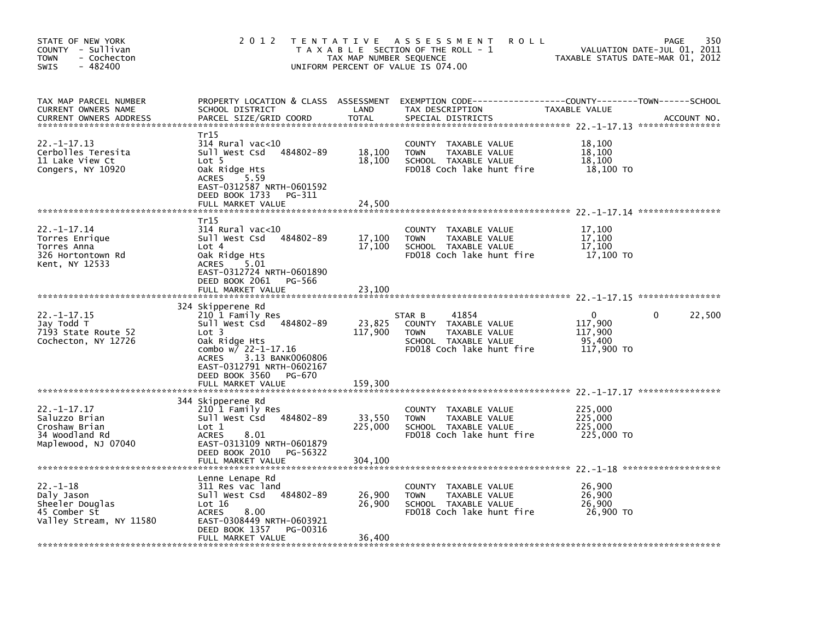| STATE OF NEW YORK<br>COUNTY - Sullivan<br><b>TOWN</b><br>- Cochecton<br>$-482400$<br><b>SWIS</b> | 2 0 1 2                                                                                                                                                                                                                                  | T E N T A T I V E<br>TAX MAP NUMBER SEQUENCE | A S S E S S M E N T<br><b>ROLL</b><br>T A X A B L E SECTION OF THE ROLL - 1<br>UNIFORM PERCENT OF VALUE IS 074.00            | TAXABLE STATUS DATE-MAR 01, 2012                           | 350<br><b>PAGE</b><br>VALUATION DATE-JUL 01, 2011 |
|--------------------------------------------------------------------------------------------------|------------------------------------------------------------------------------------------------------------------------------------------------------------------------------------------------------------------------------------------|----------------------------------------------|------------------------------------------------------------------------------------------------------------------------------|------------------------------------------------------------|---------------------------------------------------|
| TAX MAP PARCEL NUMBER<br>CURRENT OWNERS NAME<br><b>CURRENT OWNERS ADDRESS</b>                    | PROPERTY LOCATION & CLASS ASSESSMENT<br>SCHOOL DISTRICT<br>PARCEL SIZE/GRID COORD                                                                                                                                                        | LAND<br><b>TOTAL</b>                         | EXEMPTION        CODE------------------COUNTY-------TOWN------SCHOOL<br>TAX DESCRIPTION<br>SPECIAL DISTRICTS                 | TAXABLE VALUE                                              | ACCOUNT NO.                                       |
| $22. -1 - 17.13$<br>Cerbolles Teresita<br>11 Lake View Ct<br>Congers, NY 10920                   | Tr15<br>$314$ Rural vac<10<br>Sull West Csd<br>484802-89<br>Lot 5<br>Oak Ridge Hts<br>5.59<br><b>ACRES</b><br>EAST-0312587 NRTH-0601592<br>DEED BOOK 1733<br>PG-311<br>FULL MARKET VALUE                                                 | 18,100<br>18,100<br>24,500                   | COUNTY<br>TAXABLE VALUE<br><b>TOWN</b><br>TAXABLE VALUE<br>SCHOOL TAXABLE VALUE<br>FD018 Coch lake hunt fire                 | 18,100<br>18,100<br>18,100<br>18,100 TO                    |                                                   |
|                                                                                                  |                                                                                                                                                                                                                                          |                                              |                                                                                                                              |                                                            |                                                   |
| $22. - 1 - 17.14$<br>Torres Enrique<br>Torres Anna<br>326 Hortontown Rd<br>Kent, NY 12533        | Tr15<br>$314$ Rural vac<10<br>484802-89<br>Sull West Csd<br>Lot 4<br>Oak Ridge Hts<br><b>ACRES</b><br>5.01<br>EAST-0312724 NRTH-0601890                                                                                                  | 17,100<br>17,100                             | <b>COUNTY</b><br>TAXABLE VALUE<br><b>TOWN</b><br>TAXABLE VALUE<br>SCHOOL TAXABLE VALUE<br>FD018 Coch lake hunt fire          | 17,100<br>17,100<br>17,100<br>17,100 TO                    |                                                   |
|                                                                                                  | DEED BOOK 2061<br>PG-566<br>FULL MARKET VALUE                                                                                                                                                                                            | 23,100                                       |                                                                                                                              |                                                            |                                                   |
|                                                                                                  |                                                                                                                                                                                                                                          |                                              |                                                                                                                              |                                                            |                                                   |
| 22. -1-17.15<br>Jay Todd T<br>7193 State Route 52<br>Cochecton, NY 12726                         | 324 Skipperene Rd<br>210 1 Family Res<br>Sull West Csd 484802-89<br>Lot 3<br>Oak Ridge Hts<br>combo $w/22 - 1 - 17.16$<br>3.13 BANK0060806<br><b>ACRES</b><br>EAST-0312791 NRTH-0602167<br>DEED BOOK 3560<br>PG-670<br>FULL MARKET VALUE | 23,825<br>117,900<br>159,300                 | 41854<br>STAR B<br>COUNTY TAXABLE VALUE<br>TAXABLE VALUE<br><b>TOWN</b><br>SCHOOL TAXABLE VALUE<br>FD018 Coch lake hunt fire | $\mathbf{0}$<br>117,900<br>117.900<br>95,400<br>117,900 TO | 22,500<br>0                                       |
|                                                                                                  |                                                                                                                                                                                                                                          |                                              |                                                                                                                              |                                                            |                                                   |
| $22. - 1 - 17.17$<br>Saluzzo Brian<br>Croshaw Brian<br>34 Woodland Rd<br>Maplewood, NJ 07040     | 344 Skipperene Rd<br>210 1 Family Res<br>484802-89<br>Sull West Csd<br>Lot 1<br><b>ACRES</b><br>8.01<br>EAST-0313109 NRTH-0601879                                                                                                        | 33,550<br>225,000                            | COUNTY TAXABLE VALUE<br><b>TOWN</b><br>TAXABLE VALUE<br>SCHOOL TAXABLE VALUE<br>FD018 Coch lake hunt fire                    | 225,000<br>225,000<br>225,000<br>225,000 TO                |                                                   |
|                                                                                                  | DEED BOOK 2010<br>PG-56322<br>FULL MARKET VALUE                                                                                                                                                                                          | 304,100                                      |                                                                                                                              |                                                            |                                                   |
| $22. -1 - 18$<br>Daly Jason<br>Sheeler Douglas<br>45 Comber St<br>Valley Stream, NY 11580        | Lenne Lenape Rd<br>311 Res vac land<br>484802-89<br>Sull West Csd<br>Lot 16<br><b>ACRES</b><br>8.00<br>EAST-0308449 NRTH-0603921<br>DEED BOOK 1357<br>PG-00316<br>FULL MARKET VALUE                                                      | 26,900<br>26,900<br>36,400                   | <b>COUNTY</b><br>TAXABLE VALUE<br><b>TOWN</b><br>TAXABLE VALUE<br>SCHOOL TAXABLE VALUE<br>FD018 Coch lake hunt fire          | 26,900<br>26,900<br>26,900<br>26,900 TO                    |                                                   |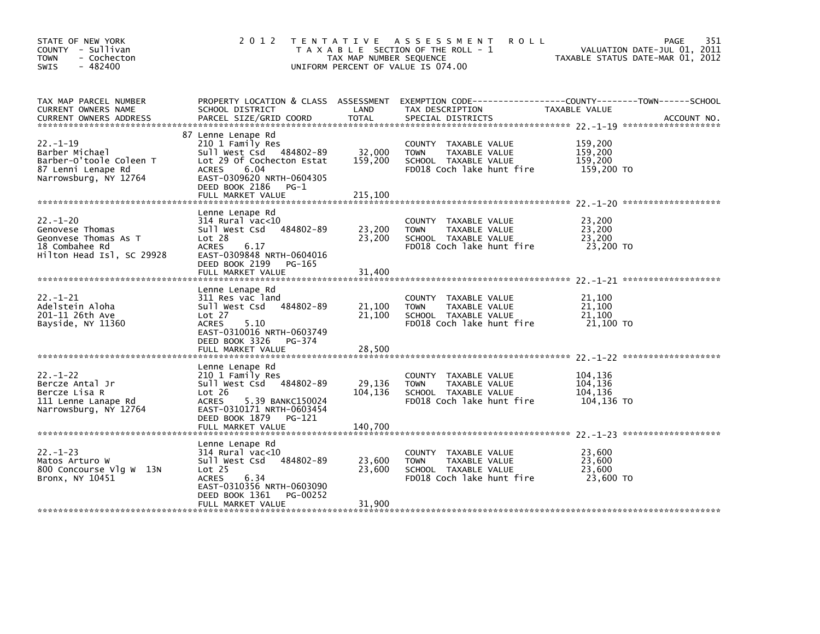| STATE OF NEW YORK<br>COUNTY - Sullivan<br>- Cochecton<br><b>TOWN</b><br>$-482400$<br><b>SWIS</b>          | 2 0 1 2                                                                                                                                                                                                 | TAX MAP NUMBER SEQUENCE      | <b>ROLL</b><br>TENTATIVE ASSESSMENT<br>T A X A B L E SECTION OF THE ROLL - 1<br>UNIFORM PERCENT OF VALUE IS 074.00 | PAGE<br>VALUATION DATE-JUL 01, 2011<br>TAXABLE STATUS DATE-MAR 01, 2012 | 351         |
|-----------------------------------------------------------------------------------------------------------|---------------------------------------------------------------------------------------------------------------------------------------------------------------------------------------------------------|------------------------------|--------------------------------------------------------------------------------------------------------------------|-------------------------------------------------------------------------|-------------|
| TAX MAP PARCEL NUMBER<br>CURRENT OWNERS NAME<br><b>CURRENT OWNERS ADDRESS</b>                             | PROPERTY LOCATION & CLASS ASSESSMENT<br>SCHOOL DISTRICT<br>PARCEL SIZE/GRID COORD                                                                                                                       | LAND<br>TOTAL                | EXEMPTION CODE-----------------COUNTY-------TOWN------SCHOOL<br>TAX DESCRIPTION<br>SPECIAL DISTRICTS               | TAXABLE VALUE                                                           | ACCOUNT NO. |
| $22 - 1 - 19$<br>Barber Michael<br>Barber-O'toole Coleen T<br>87 Lenni Lenape Rd<br>Narrowsburg, NY 12764 | 87 Lenne Lenape Rd<br>210 1 Family Res<br>Sull West Csd<br>484802-89<br>Lot 29 Of Cochecton Estat<br><b>ACRES</b><br>6.04<br>EAST-0309620 NRTH-0604305<br>DEED BOOK 2186<br>$PG-1$<br>FULL MARKET VALUE | 32,000<br>159,200<br>215,100 | COUNTY TAXABLE VALUE<br><b>TOWN</b><br>TAXABLE VALUE<br>SCHOOL TAXABLE VALUE<br>FD018 Coch lake hunt fire          | 159,200<br>159,200<br>159,200<br>159,200 TO                             |             |
| $22 - 1 - 20$<br>Genovese Thomas<br>Geonvese Thomas As T<br>18 Combahee Rd<br>Hilton Head Isl, SC 29928   | Lenne Lenape Rd<br>$314$ Rural vac< $10$<br>484802-89<br>Sull West Csd<br>Lot 28<br><b>ACRES</b><br>6.17<br>EAST-0309848 NRTH-0604016<br>DEED BOOK 2199<br>PG-165<br>FULL MARKET VALUE                  | 23,200<br>23,200<br>31,400   | COUNTY TAXABLE VALUE<br>TAXABLE VALUE<br><b>TOWN</b><br>SCHOOL TAXABLE VALUE<br>FD018 Coch lake hunt fire          | 23.200<br>23,200<br>23,200<br>23,200 TO                                 |             |
| $22. - 1 - 21$<br>Adelstein Aloha<br>201-11 26th Ave<br>Bayside, NY 11360                                 | Lenne Lenape Rd<br>311 Res vac land<br>Sull West Csd<br>484802-89<br>Lot 27<br><b>ACRES</b><br>5.10<br>EAST-0310016 NRTH-0603749<br>DEED BOOK 3326<br>PG-374<br>FULL MARKET VALUE                       | 21,100<br>21,100<br>28,500   | COUNTY TAXABLE VALUE<br><b>TOWN</b><br>TAXABLE VALUE<br>SCHOOL TAXABLE VALUE<br>FD018 Coch lake hunt fire          | 21,100<br>21,100<br>21,100<br>21,100 TO                                 |             |
| $22 - 1 - 22$<br>Bercze Antal Jr<br>Bercze Lisa R<br>111 Lenne Lanape Rd<br>Narrowsburg, NY 12764         | Lenne Lenape Rd<br>210 1 Family Res<br>Sull West Csd 484802-89<br>Lot 26<br>5.39 BANKC150024<br>ACRES<br>EAST-0310171 NRTH-0603454<br>DEED BOOK 1879<br>PG-121<br>FULL MARKET VALUE                     | 29,136<br>104,136<br>140,700 | TAXABLE VALUE<br>COUNTY<br>TAXABLE VALUE<br><b>TOWN</b><br>SCHOOL TAXABLE VALUE<br>FD018 Coch lake hunt fire       | 104,136<br>104,136<br>104,136<br>104,136 TO                             |             |
| $22. - 1 - 23$<br>Matos Arturo W<br>800 Concourse Vlg W 13N<br>Bronx, NY 10451                            | Lenne Lenape Rd<br>314 Rural vac<10<br>484802-89<br>Sull West Csd<br>Lot <sub>25</sub><br>6.34<br><b>ACRES</b><br>EAST-0310356 NRTH-0603090<br>DEED BOOK 1361<br>PG-00252<br>FULL MARKET VALUE          | 23,600<br>23,600<br>31,900   | COUNTY<br>TAXABLE VALUE<br><b>TOWN</b><br>TAXABLE VALUE<br>SCHOOL TAXABLE VALUE<br>FD018 Coch lake hunt fire       | 23,600<br>23,600<br>23,600<br>23,600 TO                                 |             |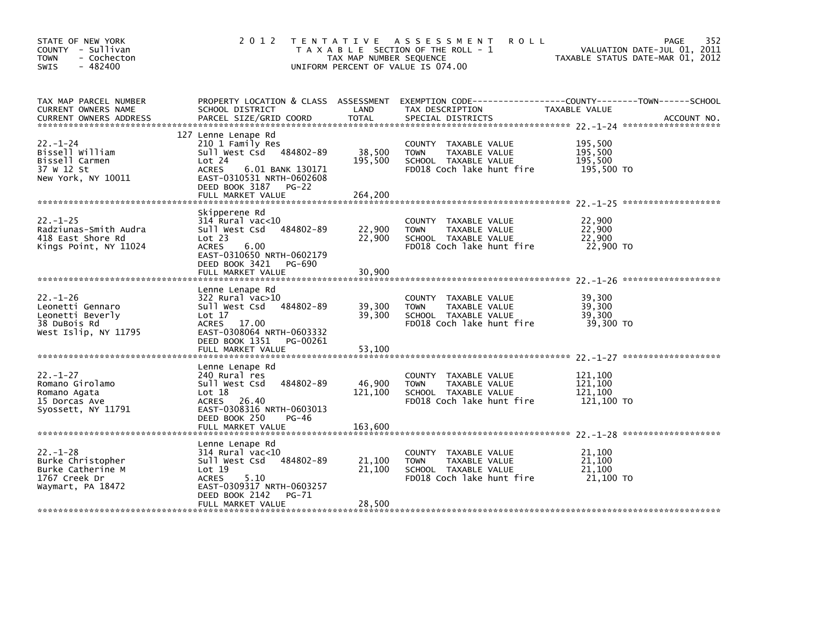| STATE OF NEW YORK<br>COUNTY - Sullivan<br><b>TOWN</b><br>- Cochecton<br>$-482400$<br><b>SWIS</b> | 2 0 1 2                                                                                                                                                                                    | TAX MAP NUMBER SEQUENCE      | TENTATIVE ASSESSMENT<br><b>ROLL</b><br>T A X A B L E SECTION OF THE ROLL - 1<br>UNIFORM PERCENT OF VALUE IS 074.00                       | TAXABLE STATUS DATE-MAR 01, 2012            | 352<br><b>PAGE</b><br>VALUATION DATE-JUL 01, 2011 |
|--------------------------------------------------------------------------------------------------|--------------------------------------------------------------------------------------------------------------------------------------------------------------------------------------------|------------------------------|------------------------------------------------------------------------------------------------------------------------------------------|---------------------------------------------|---------------------------------------------------|
| TAX MAP PARCEL NUMBER<br>CURRENT OWNERS NAME<br><b>CURRENT OWNERS ADDRESS</b>                    | SCHOOL DISTRICT<br>PARCEL SIZE/GRID COORD                                                                                                                                                  | LAND<br><b>TOTAL</b>         | PROPERTY LOCATION & CLASS ASSESSMENT EXEMPTION CODE-----------------COUNTY-------TOWN-----SCHOOL<br>TAX DESCRIPTION<br>SPECIAL DISTRICTS | TAXABLE VALUE                               | ACCOUNT NO.                                       |
| $22 - 1 - 24$<br>Bissell William<br>Bissell Carmen<br>37 W 12 St<br>New York, NY 10011           | 127 Lenne Lenape Rd<br>210 1 Family Res<br>Sull West Csd 484802-89<br>Lot 24<br><b>ACRES</b><br>6.01 BANK 130171<br>EAST-0310531 NRTH-0602608<br>DEED BOOK 3187 PG-22<br>FULL MARKET VALUE | 38,500<br>195,500<br>264,200 | COUNTY TAXABLE VALUE<br>TAXABLE VALUE<br><b>TOWN</b><br>SCHOOL TAXABLE VALUE<br>FD018 Coch lake hunt fire                                | 195,500<br>195,500<br>195,500<br>195,500 TO |                                                   |
| $22. - 1 - 25$<br>Radziunas-Smith Audra<br>418 East Shore Rd<br>Kings Point, NY 11024            | Skipperene Rd<br>$314$ Rural vac< $10$<br>484802-89<br>Sull West Csd<br>Lot 23<br>6.00<br><b>ACRES</b><br>EAST-0310650 NRTH-0602179<br>DEED BOOK 3421 PG-690                               | 22,900<br>22,900             | COUNTY TAXABLE VALUE<br>TAXABLE VALUE<br><b>TOWN</b><br>SCHOOL TAXABLE VALUE<br>FD018 Coch lake hunt fire                                | 22,900<br>22,900<br>22,900<br>22,900 TO     |                                                   |
| $22. - 1 - 26$<br>Leonetti Gennaro<br>Leonetti Beverly<br>38 DuBois Rd<br>West Islip, NY 11795   | FULL MARKET VALUE<br>Lenne Lenape Rd<br>322 Rural vac>10<br>Sull West Csd<br>484802-89<br>Lot 17<br>ACRES 17.00<br>EAST-0308064 NRTH-0603332<br>DEED BOOK 1351<br>PG-00261                 | 30,900<br>39,300<br>39,300   | COUNTY TAXABLE VALUE<br>TAXABLE VALUE<br><b>TOWN</b><br>SCHOOL TAXABLE VALUE<br>FD018 Coch lake hunt fire                                | 39,300<br>39,300<br>39,300<br>39,300 TO     |                                                   |
| $22 - 1 - 27$<br>Romano Girolamo<br>Romano Agata<br>15 Dorcas Ave<br>Syossett, NY 11791          | FULL MARKET VALUE<br>Lenne Lenape Rd<br>240 Rural res<br>Sull West Csd<br>484802-89<br>Lot 18<br>ACRES 26.40<br>EAST-0308316 NRTH-0603013                                                  | 53,100<br>46,900<br>121,100  | COUNTY<br>TAXABLE VALUE<br>TAXABLE VALUE<br><b>TOWN</b><br>SCHOOL TAXABLE VALUE<br>FD018 Coch lake hunt fire                             | 121.100<br>121,100<br>121,100<br>121,100 TO |                                                   |
|                                                                                                  | DEED BOOK 250<br>PG-46<br>FULL MARKET VALUE                                                                                                                                                | 163,600                      |                                                                                                                                          |                                             |                                                   |
| $22 - 1 - 28$<br>Burke Christopher<br>Burke Catherine M<br>1767 Creek Dr<br>Waymart, PA 18472    | Lenne Lenape Rd<br>$314$ Rural vac<10<br>484802-89<br>Sull West Csd<br>Lot 19<br><b>ACRES</b><br>5.10<br>EAST-0309317 NRTH-0603257<br>DEED BOOK 2142<br>PG-71<br>FULL MARKET VALUE         | 21,100<br>21,100<br>28,500   | COUNTY<br>TAXABLE VALUE<br><b>TOWN</b><br>TAXABLE VALUE<br>SCHOOL TAXABLE VALUE<br>FD018 Coch lake hunt fire                             | 21,100<br>21,100<br>21,100<br>21,100 TO     |                                                   |
|                                                                                                  |                                                                                                                                                                                            |                              |                                                                                                                                          |                                             |                                                   |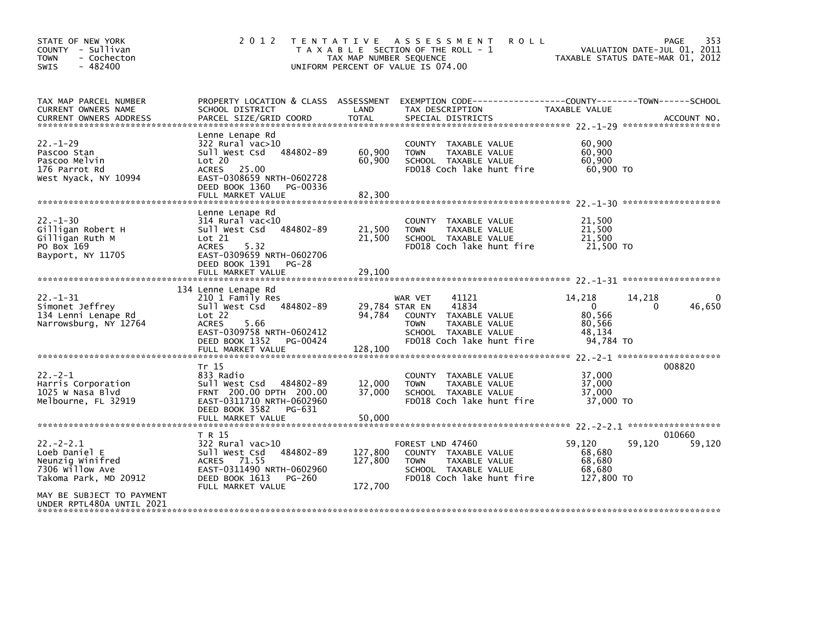| TAX MAP PARCEL NUMBER<br>PROPERTY LOCATION & CLASS ASSESSMENT EXEMPTION CODE---------------COUNTY-------TOWN-----SCHOOL<br>LAND<br>CURRENT OWNERS NAME<br>SCHOOL DISTRICT<br>TAX DESCRIPTION<br>TAXABLE VALUE<br>Lenne Lenape Rd<br>$22. - 1 - 29$<br>322 Rural vac>10<br>60,900<br>COUNTY TAXABLE VALUE<br>60,900<br>60,900<br>Pascoo Stan<br>Sull West Csd<br>484802-89<br><b>TOWN</b><br>TAXABLE VALUE<br>Lot 20<br>60,900<br>Pascoo Melvin<br>60,900<br>SCHOOL TAXABLE VALUE<br>FD018 Coch lake hunt fire<br>60,900 TO<br>176 Parrot Rd<br>ACRES 25.00<br>EAST-0308659 NRTH-0602728<br>West Nyack, NY 10994<br>DEED BOOK 1360<br>PG-00336<br>FULL MARKET VALUE<br>82,300<br>Lenne Lenape Rd<br>$22 - 1 - 30$<br>314 Rural vac<10<br>21,500<br><b>COUNTY</b><br>TAXABLE VALUE<br>Gilligan Robert H<br>21,500<br>21,500<br>Sull West Csd<br>484802-89<br>TAXABLE VALUE<br><b>TOWN</b><br>21,500<br>Gilligan Ruth M<br>Lot 21<br>21,500<br>SCHOOL TAXABLE VALUE<br>5.32<br>FD018 Coch lake hunt fire<br>21,500 TO<br>PO Box 169<br><b>ACRES</b><br>Bayport, NY 11705<br>EAST-0309659 NRTH-0602706<br>DEED BOOK 1391 PG-28<br>FULL MARKET VALUE<br>29,100<br>134 Lenne Lenape Rd<br>$22. - 1 - 31$<br>210 1 Family Res<br>14,218<br>41121<br>14,218<br>WAR VET<br>Sull West Csd 484802-89<br>29,784 STAR EN<br>41834<br>$\overline{0}$<br>Simonet Jeffrey<br>0<br>80,566<br>134 Lenni Lenape Rd<br>94,784<br>COUNTY TAXABLE VALUE<br>Lot 22<br>Narrowsburg, NY 12764<br>80,566<br><b>ACRES</b><br>5.66<br><b>TOWN</b><br>TAXABLE VALUE<br>EAST-0309758 NRTH-0602412<br>48,134<br>SCHOOL TAXABLE VALUE<br>FD018 Coch lake hunt fire<br>DEED BOOK 1352<br>94,784 TO<br>PG-00424<br>128,100<br>FULL MARKET VALUE<br>008820<br>Tr 15<br>$22 - 2 - 1$<br>833 Radio<br>37,000<br>COUNTY TAXABLE VALUE<br>37,000<br>Harris Corporation<br>Sull West Csd 484802-89<br>12,000<br>TAXABLE VALUE<br><b>TOWN</b><br>1025 W Nasa Blvd<br>FRNT 200.00 DPTH 200.00<br>37,000<br>37.000<br>SCHOOL TAXABLE VALUE<br>EAST-0311710 NRTH-0602960<br>FD018 Coch lake hunt fire<br>37,000 TO<br>Melbourne, FL 32919<br>DEED BOOK 3582<br>PG-631<br>50,000<br>FULL MARKET VALUE<br>T R 15<br>010660<br>$22 - 2 - 2.1$<br>59,120<br>59,120<br>322 Rural vac>10<br>FOREST LND 47460<br>Loeb Daniel E<br>Sull West Csd<br>484802-89<br>127,800<br>68,680<br>COUNTY TAXABLE VALUE | STATE OF NEW YORK<br>COUNTY - Sullivan<br>- Cochecton<br><b>TOWN</b><br>$-482400$<br>SWIS | 2 0 1 2     | TENTATIVE ASSESSMENT<br><b>ROLL</b><br>T A X A B L E SECTION OF THE ROLL - 1<br>TAX MAP NUMBER SEQUENCE<br>UNIFORM PERCENT OF VALUE IS 074.00 | 353<br>PAGE<br>VALUATION DATE-JUL 01, 2011<br>TAXABLE STATUS DATE-MAR 01, 2012 |
|--------------------------------------------------------------------------------------------------------------------------------------------------------------------------------------------------------------------------------------------------------------------------------------------------------------------------------------------------------------------------------------------------------------------------------------------------------------------------------------------------------------------------------------------------------------------------------------------------------------------------------------------------------------------------------------------------------------------------------------------------------------------------------------------------------------------------------------------------------------------------------------------------------------------------------------------------------------------------------------------------------------------------------------------------------------------------------------------------------------------------------------------------------------------------------------------------------------------------------------------------------------------------------------------------------------------------------------------------------------------------------------------------------------------------------------------------------------------------------------------------------------------------------------------------------------------------------------------------------------------------------------------------------------------------------------------------------------------------------------------------------------------------------------------------------------------------------------------------------------------------------------------------------------------------------------------------------------------------------------------------------------------------------------------------------------------------------------------------------------------------------------------------------------------------------------------------------------------------------------------------------------------------------------------------------------------------------------------------------|-------------------------------------------------------------------------------------------|-------------|-----------------------------------------------------------------------------------------------------------------------------------------------|--------------------------------------------------------------------------------|
|                                                                                                                                                                                                                                                                                                                                                                                                                                                                                                                                                                                                                                                                                                                                                                                                                                                                                                                                                                                                                                                                                                                                                                                                                                                                                                                                                                                                                                                                                                                                                                                                                                                                                                                                                                                                                                                                                                                                                                                                                                                                                                                                                                                                                                                                                                                                                        |                                                                                           |             |                                                                                                                                               |                                                                                |
|                                                                                                                                                                                                                                                                                                                                                                                                                                                                                                                                                                                                                                                                                                                                                                                                                                                                                                                                                                                                                                                                                                                                                                                                                                                                                                                                                                                                                                                                                                                                                                                                                                                                                                                                                                                                                                                                                                                                                                                                                                                                                                                                                                                                                                                                                                                                                        |                                                                                           |             |                                                                                                                                               |                                                                                |
|                                                                                                                                                                                                                                                                                                                                                                                                                                                                                                                                                                                                                                                                                                                                                                                                                                                                                                                                                                                                                                                                                                                                                                                                                                                                                                                                                                                                                                                                                                                                                                                                                                                                                                                                                                                                                                                                                                                                                                                                                                                                                                                                                                                                                                                                                                                                                        |                                                                                           |             |                                                                                                                                               |                                                                                |
|                                                                                                                                                                                                                                                                                                                                                                                                                                                                                                                                                                                                                                                                                                                                                                                                                                                                                                                                                                                                                                                                                                                                                                                                                                                                                                                                                                                                                                                                                                                                                                                                                                                                                                                                                                                                                                                                                                                                                                                                                                                                                                                                                                                                                                                                                                                                                        |                                                                                           |             |                                                                                                                                               | 46,650                                                                         |
|                                                                                                                                                                                                                                                                                                                                                                                                                                                                                                                                                                                                                                                                                                                                                                                                                                                                                                                                                                                                                                                                                                                                                                                                                                                                                                                                                                                                                                                                                                                                                                                                                                                                                                                                                                                                                                                                                                                                                                                                                                                                                                                                                                                                                                                                                                                                                        |                                                                                           |             |                                                                                                                                               |                                                                                |
| 7306 Willow Ave<br>EAST-0311490 NRTH-0602960<br>68,680<br>SCHOOL TAXABLE VALUE<br>FD018 Coch lake hunt fire<br>Takoma Park, MD 20912<br>DEED BOOK 1613<br>127,800 TO<br>PG-260<br>172,700<br>FULL MARKET VALUE<br>MAY BE SUBJECT TO PAYMENT<br>UNDER RPTL480A UNTIL 2021                                                                                                                                                                                                                                                                                                                                                                                                                                                                                                                                                                                                                                                                                                                                                                                                                                                                                                                                                                                                                                                                                                                                                                                                                                                                                                                                                                                                                                                                                                                                                                                                                                                                                                                                                                                                                                                                                                                                                                                                                                                                               | Neunzig Winifred                                                                          | ACRES 71.55 | 127,800<br><b>TOWN</b><br>TAXABLE VALUE                                                                                                       | 59,120<br>68,680                                                               |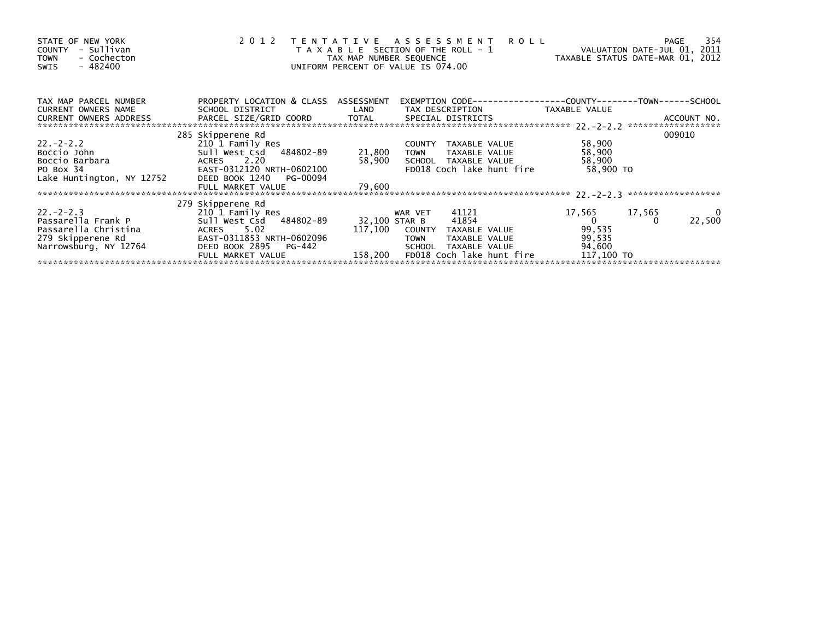| STATE OF NEW YORK<br>- Sullivan<br>COUNTY<br>- Cochecton<br><b>TOWN</b><br>$-482400$<br>SWIS |                                                            | TAX MAP NUMBER SEQUENCE | 2012 TENTATIVE ASSESSMENT ROLL<br>T A X A B L E SECTION OF THE ROLL - 1<br>UNIFORM PERCENT OF VALUE IS 074.00 |               | VALUATION DATE-JUL 01, 2011<br>TAXABLE STATUS DATE-MAR 01, 2012 |        | 354<br>PAGE              |
|----------------------------------------------------------------------------------------------|------------------------------------------------------------|-------------------------|---------------------------------------------------------------------------------------------------------------|---------------|-----------------------------------------------------------------|--------|--------------------------|
| TAX MAP PARCEL NUMBER<br>CURRENT OWNERS NAME                                                 | PROPERTY LOCATION & CLASS ASSESSMENT<br>SCHOOL DISTRICT    |                         | EXEMPTION CODE-----------------COUNTY-------TOWN------SCHOOL<br>LAND TAX DESCRIPTION TAXABLE VALUE            |               |                                                                 |        |                          |
| CURRENT OWNERS ADDRESS                                                                       |                                                            |                         |                                                                                                               |               |                                                                 |        |                          |
|                                                                                              | 285 Skipperene Rd                                          |                         |                                                                                                               |               |                                                                 |        | 009010                   |
| $22 - 2 - 2$ . 2                                                                             | 210 1 Family Res<br>Sull West Csd   484802-89       21,800 |                         | COUNTY TAXABLE VALUE                                                                                          |               | 58,900                                                          |        |                          |
| Boccio John                                                                                  |                                                            |                         | <b>TOWN</b>                                                                                                   | TAXABLE VALUE | 58,900                                                          |        |                          |
| Boccio Barbara                                                                               | ACRES 2.20                                                 | 58,900                  | SCHOOL TAXABLE VALUE                                                                                          |               | 58,900                                                          |        |                          |
|                                                                                              |                                                            |                         | FD018 Coch lake hunt fire                                                                                     |               | 58,900 TO                                                       |        |                          |
|                                                                                              |                                                            |                         |                                                                                                               |               |                                                                 |        |                          |
|                                                                                              | FULL MARKET VALUE                                          | 79,600                  |                                                                                                               |               |                                                                 |        |                          |
|                                                                                              |                                                            |                         |                                                                                                               |               |                                                                 |        |                          |
|                                                                                              | 279 Skipperene Rd                                          |                         |                                                                                                               |               |                                                                 |        |                          |
| $22 - 2 - 2 - 3$                                                                             | 210 1 Family Res                                           |                         | 41121<br>WAR VET                                                                                              |               | 17,565<br>$\overline{0}$                                        | 17,565 | $\overline{\phantom{0}}$ |
| Passarella Frank P                                                                           | Sull West Csd 484802-89                                    | 32,100 STAR B           | 41854                                                                                                         |               |                                                                 |        | 22,500                   |
| Passarella Christina                                                                         | ACRES 5.02                                                 | 117,100                 | COUNTY TAXABLE VALUE                                                                                          |               | 99,535                                                          |        |                          |
| 279 Skipperene Rd                                                                            | EAST-0311853 NRTH-0602096                                  |                         | TAXABLE VALUE<br><b>TOWN</b>                                                                                  |               | 99,535                                                          |        |                          |
| Narrowsburg, NY 12764                                                                        | DEED BOOK 2895 PG-442                                      |                         | TAXABLE VALUE<br>SCHOOL                                                                                       |               | 94,600                                                          |        |                          |
|                                                                                              | FULL MARKET VALUE                                          | 158,200                 | FD018 Coch lake hunt fire                                                                                     |               | 117,100 TO                                                      |        |                          |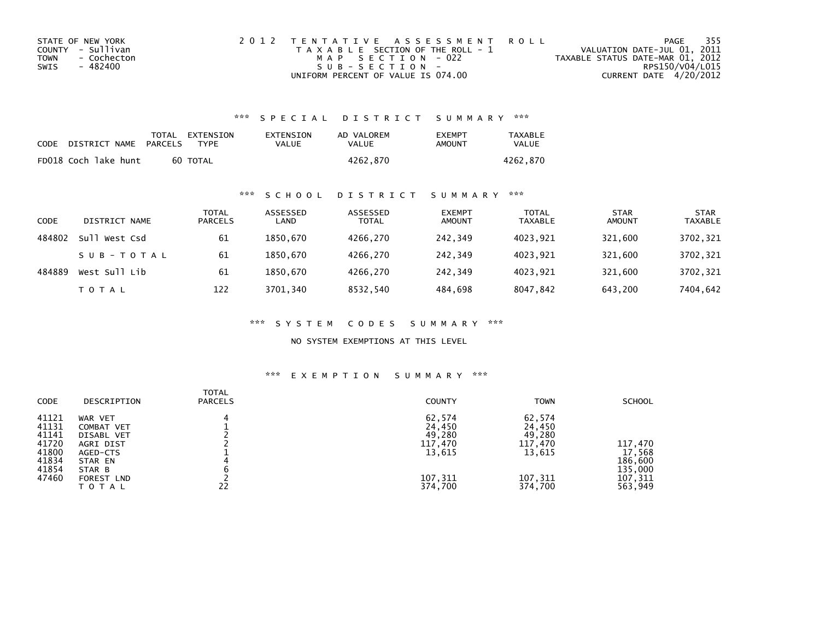| STATE OF NEW YORK   | 2012 TENTATIVE ASSESSMENT ROLL        | PAGE                             | - 355 |
|---------------------|---------------------------------------|----------------------------------|-------|
| COUNTY - Sullivan   | T A X A B L E SECTION OF THE ROLL - 1 | VALUATION DATE-JUL 01, 2011      |       |
| TOWN<br>- Cochecton | MAP SECTION - 022                     | TAXABLE STATUS DATE-MAR 01, 2012 |       |
| - 482400<br>SWIS    | $S \cup B - S F C T T O N -$          | RPS150/V04/L015                  |       |
|                     | UNIFORM PERCENT OF VALUE IS 074.00    | CURRENT DATE 4/20/2012           |       |

## \*\*\* S P E C I A L D I S T R I C T S U M M A R Y \*\*\*

| CODE | DISTRICT NAME        | PARCELS | TOTAL EXTENSION<br>TYPF | EXTENSION<br>VALUE | AD VALOREM<br>VALUE | <b>FXFMPT</b><br>AMOUNT | <b>TAXABLE</b><br>VALUE |
|------|----------------------|---------|-------------------------|--------------------|---------------------|-------------------------|-------------------------|
|      | FD018 Coch lake hunt |         | 60 TOTAL                |                    | 4262.870            |                         | 4262.870                |

## \*\*\* S C H O O L D I S T R I C T S U M M A R Y \*\*\*

| CODE   | DISTRICT NAME    | TOTAL<br><b>PARCELS</b> | ASSESSED<br>LAND | ASSESSED<br><b>TOTAL</b> | <b>EXEMPT</b><br><b>AMOUNT</b> | <b>TOTAL</b><br><b>TAXABLE</b> | <b>STAR</b><br><b>AMOUNT</b> | <b>STAR</b><br><b>TAXABLE</b> |
|--------|------------------|-------------------------|------------------|--------------------------|--------------------------------|--------------------------------|------------------------------|-------------------------------|
| 484802 | sull<br>West Csd | 61                      | 1850.670         | 4266.270                 | 242.349                        | 4023.921                       | 321,600                      | 3702,321                      |
|        | SUB-TOTAL        | -61                     | 1850.670         | 4266.270                 | 242.349                        | 4023.921                       | 321,600                      | 3702,321                      |
| 484889 | West Sull Lib    | 61                      | 1850.670         | 4266,270                 | 242.349                        | 4023,921                       | 321,600                      | 3702,321                      |
|        | T O T A L        | 122                     | 3701,340         | 8532,540                 | 484.698                        | 8047,842                       | 643,200                      | 7404,642                      |

\*\*\* S Y S T E M C O D E S S U M M A R Y \*\*\*

NO SYSTEM EXEMPTIONS AT THIS LEVEL

### \*\*\* E X E M P T I O N S U M M A R Y \*\*\*

| DESCRIPTION | <b>PARCELS</b> | <b>COUNTY</b> | <b>TOWN</b>                 | <b>SCHOOL</b> |
|-------------|----------------|---------------|-----------------------------|---------------|
| WAR VET     | 4              | 62,574        | 62,574                      |               |
|             |                |               |                             |               |
| DISABL VET  |                |               | 49,280                      |               |
| AGRI DIST   |                | 117,470       | 117,470                     | 117,470       |
| AGED-CTS    |                | 13,615        | 13,615                      | 17,568        |
| STAR EN     |                |               |                             | 186,600       |
| STAR B      |                |               |                             | 135,000       |
| FOREST LND  |                |               | 107,311                     | 107,311       |
| TOTAL       | 22             | 374,700       | 374,700                     | 563,949       |
|             | COMBAT VET     | TOTAL         | 24,450<br>49,280<br>107,311 | 24,450        |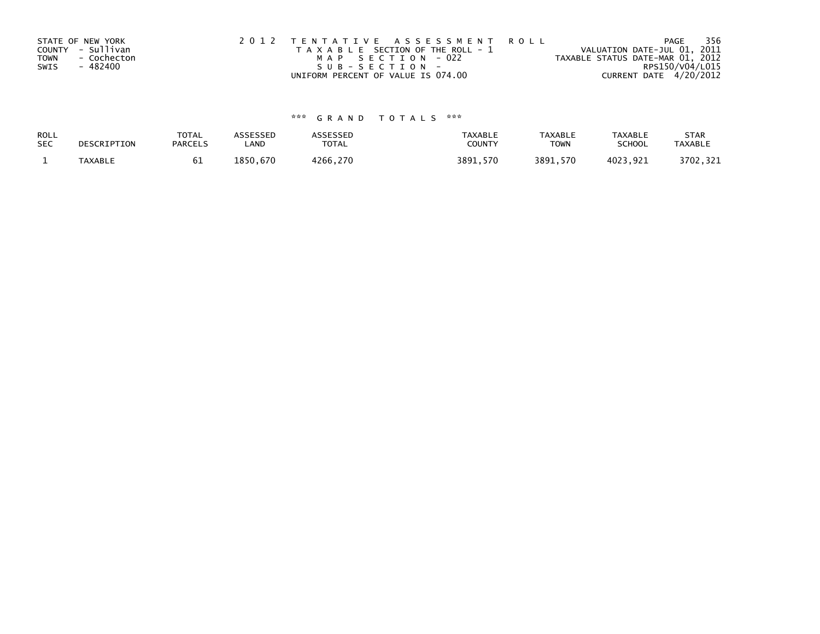| STATE OF NEW YORK          | 2012 TENTATIVE ASSESSMENT ROLL        | PAGE                             | - 356 |
|----------------------------|---------------------------------------|----------------------------------|-------|
| COUNTY - Sullivan          | T A X A B L E SECTION OF THE ROLL - 1 | VALUATION DATE-JUL 01, 2011      |       |
| <b>TOWN</b><br>- Cochecton | MAP SECTION - 022                     | TAXABLE STATUS DATE-MAR 01, 2012 |       |
| - 482400<br>SWIS           | SUB-SECTION-                          | RPS150/V04/L015                  |       |
|                            | UNIFORM PERCENT OF VALUE IS 074.00    | CURRENT DATE 4/20/2012           |       |

# \*\*\* G R A N D T O T A L S \*\*\*

| ROLL       | DESCRIPTION    | <b>TOTAL</b>   | ASSESSED | <b>ASSESSED</b> | <b>TAXABLE</b> | <b>TAXABLE</b> | <b>TAXABLE</b> | <b>STAR</b>    |
|------------|----------------|----------------|----------|-----------------|----------------|----------------|----------------|----------------|
| <b>SEC</b> |                | <b>PARCELS</b> | LAND     | TOTAL           | <b>COUNTY</b>  | TOWN           | <b>SCHOOL</b>  | <b>TAXABLE</b> |
|            | <b>TAXABLE</b> | ⊾ס             | 1850.670 | 4266.270        | 3891.570       | 3891.570       | 4023.921       | 3702,321       |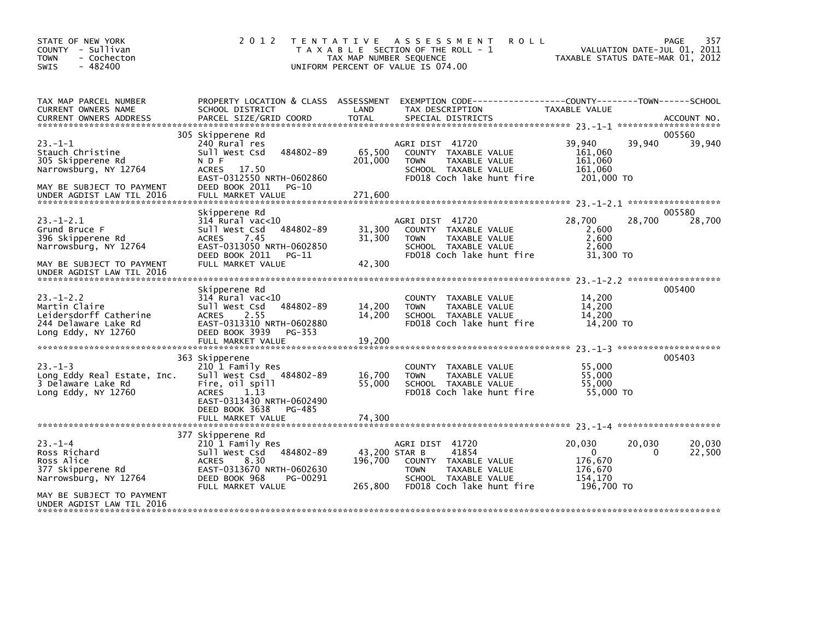| STATE OF NEW YORK<br>COUNTY - Sullivan<br>- Cochecton<br><b>TOWN</b><br>$-482400$<br><b>SWIS</b>                                         | 2 0 1 2                                                                                                                                                                                | TAX MAP NUMBER SEQUENCE             | TENTATIVE ASSESSMENT<br><b>ROLL</b><br>T A X A B L E SECTION OF THE ROLL - 1<br>UNIFORM PERCENT OF VALUE IS 074.00                    | TAXABLE STATUS DATE-MAR 01, 2012                                     | 357<br>PAGE<br>VALUATION DATE-JUL 01, 2011 |
|------------------------------------------------------------------------------------------------------------------------------------------|----------------------------------------------------------------------------------------------------------------------------------------------------------------------------------------|-------------------------------------|---------------------------------------------------------------------------------------------------------------------------------------|----------------------------------------------------------------------|--------------------------------------------|
| TAX MAP PARCEL NUMBER<br>CURRENT OWNERS NAME<br><b>CURRENT OWNERS ADDRESS</b>                                                            | PROPERTY LOCATION & CLASS ASSESSMENT<br>SCHOOL DISTRICT<br>PARCEL SIZE/GRID COORD                                                                                                      | LAND<br>TOTAL                       | EXEMPTION CODE------------------COUNTY--------TOWN------SCHOOL<br>TAX DESCRIPTION<br>SPECIAL DISTRICTS                                | TAXABLE VALUE                                                        | ACCOUNT NO.                                |
| $23 - 1 - 1$<br>Stauch Christine<br>305 Skipperene Rd<br>Narrowsburg, NY 12764<br>MAY BE SUBJECT TO PAYMENT<br>UNDER AGDIST LAW TIL 2016 | 305 Skipperene Rd<br>240 Rural res<br>Sull West Csd<br>484802-89<br>N D F<br>ACRES 17.50<br>EAST-0312550 NRTH-0602860<br>DEED BOOK 2011<br>PG-10<br>FULL MARKET VALUE                  | 65,500<br>201,000<br>271,600        | AGRI DIST 41720<br>COUNTY TAXABLE VALUE<br><b>TOWN</b><br>TAXABLE VALUE<br>SCHOOL TAXABLE VALUE<br>FD018 Coch lake hunt fire          | 39,940<br>39,940<br>161,060<br>161,060<br>161,060<br>201,000 TO      | 005560<br>39,940                           |
| $23 - 1 - 2.1$<br>Grund Bruce F<br>396 Skipperene Rd<br>Narrowsburg, NY 12764<br>MAY BE SUBJECT TO PAYMENT<br>UNDER AGDIST LAW TIL 2016  | Skipperene Rd<br>$314$ Rural vac<10<br>484802-89<br>Sull West Csd<br>ACRES<br>7.45<br>EAST-0313050 NRTH-0602850<br>DEED BOOK 2011<br>PG-11<br>FULL MARKET VALUE                        | 31,300<br>31,300<br>42,300          | AGRI DIST 41720<br>COUNTY TAXABLE VALUE<br><b>TOWN</b><br>TAXABLE VALUE<br>SCHOOL TAXABLE VALUE<br>FD018 Coch lake hunt fire          | 28,700<br>28,700<br>2,600<br>2,600<br>2.600<br>31,300 TO             | 005580<br>28,700                           |
| $23 - 1 - 2.2$<br>Martin Claire<br>Leidersdorff Catherine<br>244 Delaware Lake Rd<br>Long Eddy, NY 12760                                 | Skipperene Rd<br>$314$ Rural vac< $10$<br>Sull West Csd<br>484802-89<br>2.55<br><b>ACRES</b><br>EAST-0313310 NRTH-0602880<br>DEED BOOK 3939<br>PG-353<br>FULL MARKET VALUE             | 14,200<br>14,200<br>19,200          | COUNTY TAXABLE VALUE<br>TAXABLE VALUE<br><b>TOWN</b><br>SCHOOL TAXABLE VALUE<br>FD018 Coch lake hunt fire                             | 14,200<br>14,200<br>14,200<br>14,200 TO                              | 005400                                     |
| $23 - 1 - 3$<br>Long Eddy Real Estate, Inc.<br>3 Delaware Lake Rd<br>Long Eddy, NY 12760                                                 | 363 Skipperene<br>210 1 Family Res<br>Sull West Csd 484802-89<br>Fire, oil spill<br>1.13<br><b>ACRES</b><br>EAST-0313430 NRTH-0602490<br>DEED BOOK 3638<br>PG-485<br>FULL MARKET VALUE | 16,700<br>55,000<br>74.300          | COUNTY TAXABLE VALUE<br><b>TOWN</b><br>TAXABLE VALUE<br>SCHOOL TAXABLE VALUE<br>FD018 Coch lake hunt fire                             | 55,000<br>55,000<br>55,000<br>55,000 TO                              | 005403                                     |
| $23 - 1 - 4$<br>Ross Richard<br>Ross Alice<br>377 Skipperene Rd<br>Narrowsburg, NY 12764<br>MAY BE SUBJECT TO PAYMENT                    | 377 Skipperene Rd<br>210 1 Family Res<br>484802-89<br>Sull West Csd<br>ACRES<br>8.30<br>EAST-0313670 NRTH-0602630<br>DEED BOOK 968<br>PG-00291<br>FULL MARKET VALUE                    | 43,200 STAR B<br>196.700<br>265,800 | AGRI DIST 41720<br>41854<br>COUNTY TAXABLE VALUE<br>TAXABLE VALUE<br><b>TOWN</b><br>SCHOOL TAXABLE VALUE<br>FD018 Coch lake hunt fire | 20,030<br>20,030<br>0<br>176.670<br>176,670<br>154,170<br>196,700 TO | 20,030<br>22,500<br>0                      |
| UNDER AGDIST LAW TIL 2016                                                                                                                |                                                                                                                                                                                        |                                     |                                                                                                                                       |                                                                      |                                            |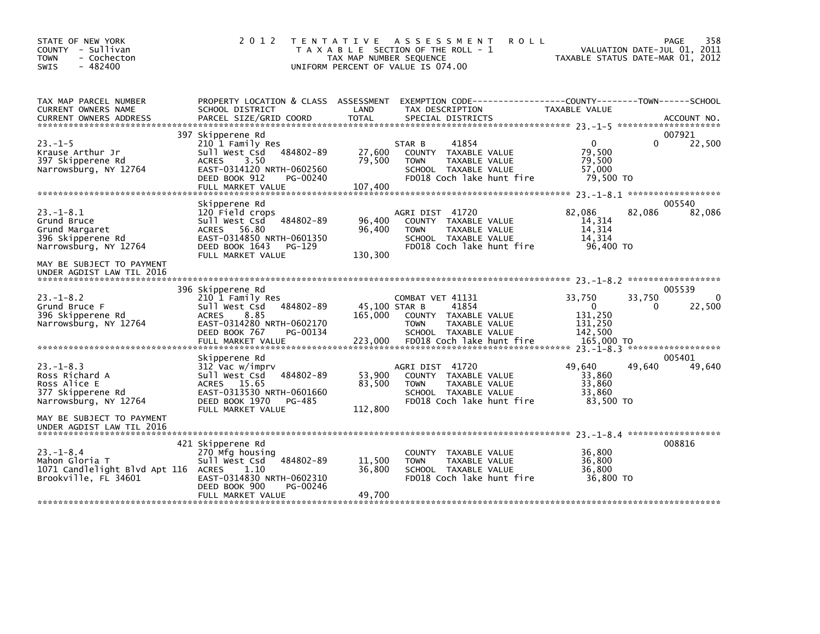| STATE OF NEW YORK<br>COUNTY - Sullivan<br><b>TOWN</b><br>- Cochecton<br>$-482400$<br><b>SWIS</b>                            | 2 0 1 2                                                                                                                                                     | T E N T A T I V E<br>A S S E S S M E N T<br><b>ROLL</b><br>T A X A B L E SECTION OF THE ROLL - 1<br>TAX MAP NUMBER SEQUENCE<br>UNIFORM PERCENT OF VALUE IS 074.00 | 358<br>PAGE<br>VALUATION DATE-JUL 01, 2011<br>TAXABLE STATUS DATE-MAR 01, 2012               |
|-----------------------------------------------------------------------------------------------------------------------------|-------------------------------------------------------------------------------------------------------------------------------------------------------------|-------------------------------------------------------------------------------------------------------------------------------------------------------------------|----------------------------------------------------------------------------------------------|
| TAX MAP PARCEL NUMBER<br>CURRENT OWNERS NAME<br><b>CURRENT OWNERS ADDRESS</b>                                               | PROPERTY LOCATION & CLASS ASSESSMENT<br>SCHOOL DISTRICT<br>PARCEL SIZE/GRID COORD                                                                           | LAND<br>TAX DESCRIPTION<br><b>TOTAL</b><br>SPECIAL DISTRICTS                                                                                                      | EXEMPTION CODE-----------------COUNTY-------TOWN------SCHOOL<br>TAXABLE VALUE<br>ACCOUNT NO. |
|                                                                                                                             | 397 Skipperene Rd                                                                                                                                           |                                                                                                                                                                   | 007921                                                                                       |
| $23. -1 - 5$<br>Krause Arthur Jr<br>397 Skipperene Rd<br>Narrowsburg, NY 12764                                              | 210 1 Family Res<br>Sull West Csd<br>484802-89<br>3.50<br><b>ACRES</b><br>EAST-0314120 NRTH-0602560<br>DEED BOOK 912<br>PG-00240                            | 41854<br>STAR B<br>27,600<br>COUNTY TAXABLE VALUE<br>79,500<br><b>TOWN</b><br>TAXABLE VALUE<br>SCHOOL TAXABLE VALUE<br>FD018 Coch lake hunt fire                  | 22,500<br>$\Omega$<br>0<br>79,500<br>79,500<br>57,000<br>79,500 TO                           |
|                                                                                                                             | FULL MARKET VALUE                                                                                                                                           | 107,400                                                                                                                                                           |                                                                                              |
| $23. - 1 - 8.1$<br>Grund Bruce<br>Grund Margaret<br>396 Skipperene Rd<br>Narrowsburg, NY 12764<br>MAY BE SUBJECT TO PAYMENT | Skipperene Rd<br>120 Field crops<br>484802-89<br>Sull West Csd<br>ACRES 56.80<br>EAST-0314850 NRTH-0601350<br>DEED BOOK 1643<br>PG-129<br>FULL MARKET VALUE | AGRI DIST 41720<br>96,400<br>COUNTY TAXABLE VALUE<br>96,400<br>TAXABLE VALUE<br><b>TOWN</b><br>SCHOOL TAXABLE VALUE<br>FD018 Coch lake hunt fire<br>130,300       | 005540<br>82,086<br>82,086<br>82,086<br>14,314<br>14.314<br>14,314<br>96,400 TO              |
| UNDER AGDIST LAW TIL 2016                                                                                                   |                                                                                                                                                             |                                                                                                                                                                   |                                                                                              |
| $23. - 1 - 8.2$<br>Grund Bruce F<br>396 Skipperene Rd<br>Narrowsburg, NY 12764                                              | 396 Skipperene Rd<br>210 1 Family Res<br>Sull West Csd<br>484802-89<br>ACRES<br>8.85<br>EAST-0314280 NRTH-0602170<br>DEED BOOK 767<br>PG-00134              | COMBAT VET 41131<br>45,100 STAR B<br>41854<br>165,000<br>COUNTY TAXABLE VALUE<br><b>TOWN</b><br>TAXABLE VALUE<br>SCHOOL TAXABLE VALUE                             | 005539<br>33,750<br>33,750<br>22,500<br>0<br>0<br>131,250<br>131,250<br>142,500              |
|                                                                                                                             | Skipperene Rd                                                                                                                                               |                                                                                                                                                                   | 005401                                                                                       |
| $23. - 1 - 8.3$<br>Ross Richard A<br>Ross Alice E<br>377 Skipperene Rd<br>Narrowsburg, NY 12764                             | 312 Vac w/imprv<br>Sull West Csd<br>484802-89<br>ACRES 15.65<br>EAST-0313530 NRTH-0601660<br>DEED BOOK 1970<br>PG-485<br>FULL MARKET VALUE                  | AGRI DIST 41720<br>53,900<br>COUNTY TAXABLE VALUE<br>83,500<br>TAXABLE VALUE<br><b>TOWN</b><br>SCHOOL TAXABLE VALUE<br>FD018 Coch lake hunt fire<br>112,800       | 49.640<br>49,640<br>49,640<br>33,860<br>33,860<br>33.860<br>83,500 TO                        |
| MAY BE SUBJECT TO PAYMENT<br>UNDER AGDIST LAW TIL 2016                                                                      |                                                                                                                                                             |                                                                                                                                                                   |                                                                                              |
| $23 - 1 - 8.4$<br>Mahon Gloria T<br>1071 Candlelight Blvd Apt 116 ACRES<br>Brookville, FL 34601                             | 421 Skipperene Rd<br>270 Mfg housing<br>484802-89<br>Sull West Csd<br>1.10<br>EAST-0314830 NRTH-0602310<br>DEED BOOK 900<br>PG-00246                        | COUNTY TAXABLE VALUE<br>11,500<br>TAXABLE VALUE<br><b>TOWN</b><br>36,800<br>SCHOOL TAXABLE VALUE<br>FD018 Coch lake hunt fire                                     | 008816<br>36,800<br>36,800<br>36,800<br>36,800 TO                                            |
|                                                                                                                             | FULL MARKET VALUE                                                                                                                                           | 49,700                                                                                                                                                            |                                                                                              |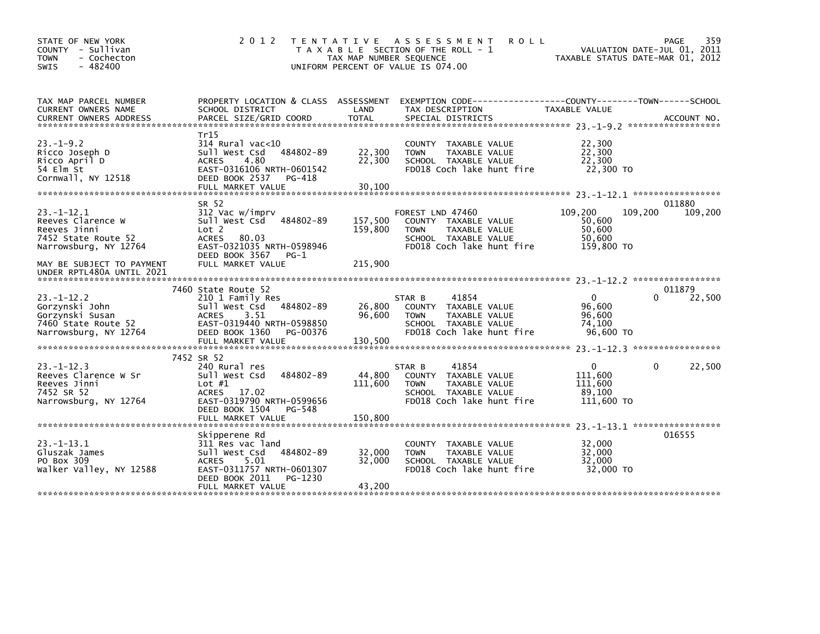| STATE OF NEW YORK<br>- Sullivan<br>COUNTY<br><b>TOWN</b><br>- Cochecton<br>$-482400$<br><b>SWIS</b>  | 2 0 1 2                                                                                                                                                                | T E N T A T I V E<br>TAX MAP NUMBER SEQUENCE | ASSESSMENT<br><b>ROLL</b><br>T A X A B L E SECTION OF THE ROLL - 1<br>UNIFORM PERCENT OF VALUE IS 074.00                               | VALUATION DATE-JUL 01, 2011<br>TAXABLE STATUS DATE-MAR 01, 2012 | 359<br>PAGE       |
|------------------------------------------------------------------------------------------------------|------------------------------------------------------------------------------------------------------------------------------------------------------------------------|----------------------------------------------|----------------------------------------------------------------------------------------------------------------------------------------|-----------------------------------------------------------------|-------------------|
| TAX MAP PARCEL NUMBER<br>CURRENT OWNERS NAME                                                         | PROPERTY LOCATION & CLASS ASSESSMENT<br>SCHOOL DISTRICT                                                                                                                | LAND                                         | TAX DESCRIPTION                                                                                                                        | TAXABLE VALUE                                                   |                   |
| $23. -1 - 9.2$<br>Ricco Joseph D<br>Ricco April D<br>54 Elm St<br>Cornwall, NY 12518                 | Tr15<br>$314$ Rural vac<10<br>Sull West Csd<br>484802-89<br><b>ACRES</b><br>4.80<br>EAST-0316106 NRTH-0601542<br>DEED BOOK 2537<br>PG-418<br>FULL MARKET VALUE         | 22,300<br>22,300<br>30,100                   | COUNTY TAXABLE VALUE<br><b>TOWN</b><br>TAXABLE VALUE<br>SCHOOL TAXABLE VALUE<br>FD018 Coch lake hunt fire                              | 22,300<br>22,300<br>22,300<br>22,300 TO                         |                   |
|                                                                                                      |                                                                                                                                                                        |                                              |                                                                                                                                        |                                                                 |                   |
| $23 - 1 - 12.1$<br>Reeves Clarence W<br>Reeves Jinni<br>7452 State Route 52<br>Narrowsburg, NY 12764 | SR 52<br>312 Vac w/imprv<br>Sull West Csd<br>484802-89<br>Lot 2<br><b>ACRES</b><br>80.03<br>EAST-0321035 NRTH-0598946                                                  | 157,500<br>159,800                           | FOREST LND 47460<br>COUNTY TAXABLE VALUE<br>TAXABLE VALUE<br><b>TOWN</b><br>SCHOOL TAXABLE VALUE<br>FD018 Coch lake hunt fire          | 109,200<br>109,200<br>50,600<br>50,600<br>50,600<br>159,800 TO  | 011880<br>109,200 |
| MAY BE SUBJECT TO PAYMENT<br>UNDER RPTL480A UNTIL 2021                                               | DEED BOOK 3567<br>$PG-1$<br>FULL MARKET VALUE                                                                                                                          | 215,900                                      |                                                                                                                                        |                                                                 |                   |
|                                                                                                      | 7460 State Route 52                                                                                                                                                    |                                              |                                                                                                                                        |                                                                 | 011879            |
| $23 - 1 - 12.2$<br>Gorzynski John<br>Gorzynski Susan<br>7460 State Route 52<br>Narrowsburg, NY 12764 | 210 1 Family Res<br>Sull West Csd<br>484802-89<br><b>ACRES</b><br>3.51<br>EAST-0319440 NRTH-0598850<br>DEED BOOK 1360<br>PG-00376                                      | 26,800<br>96.600                             | 41854<br>STAR B<br><b>COUNTY</b><br>TAXABLE VALUE<br><b>TOWN</b><br>TAXABLE VALUE<br>SCHOOL TAXABLE VALUE<br>FD018 Coch lake hunt fire | $\mathbf{0}$<br>0<br>96,600<br>96.600<br>74,100<br>96,600 TO    | 22,500            |
|                                                                                                      |                                                                                                                                                                        |                                              |                                                                                                                                        |                                                                 |                   |
| $23 - 1 - 12.3$<br>Reeves Clarence W Sr<br>Reeves Jinni<br>7452 SR 52<br>Narrowsburg, NY 12764       | 7452 SR 52<br>240 Rural res<br>Sull West Csd<br>484802-89<br>Lot $#1$<br>ACRES 17.02<br>EAST-0319790 NRTH-0599656<br>DEED BOOK 1504<br>PG-548                          | 44,800<br>111,600                            | 41854<br>STAR B<br>TAXABLE VALUE<br><b>COUNTY</b><br>TAXABLE VALUE<br><b>TOWN</b><br>SCHOOL TAXABLE VALUE<br>FD018 Coch lake hunt fire | 0<br>0<br>111,600<br>111,600<br>89,100<br>111,600 TO            | 22,500            |
|                                                                                                      | FULL MARKET VALUE                                                                                                                                                      | 150.800                                      |                                                                                                                                        |                                                                 |                   |
| $23 - 1 - 13.1$<br>Gluszak James<br>PO Box 309<br>Walker Valley, NY 12588                            | Skipperene Rd<br>311 Res vac land<br>Sull West Csd<br>484802-89<br><b>ACRES</b><br>5.01<br>EAST-0311757 NRTH-0601307<br>DEED BOOK 2011<br>PG-1230<br>FULL MARKET VALUE | 32,000<br>32,000<br>43,200                   | <b>COUNTY</b><br>TAXABLE VALUE<br>TAXABLE VALUE<br><b>TOWN</b><br>SCHOOL TAXABLE VALUE<br>FD018 Coch lake hunt fire                    | 32,000<br>32,000<br>32,000<br>32,000 TO                         | 016555            |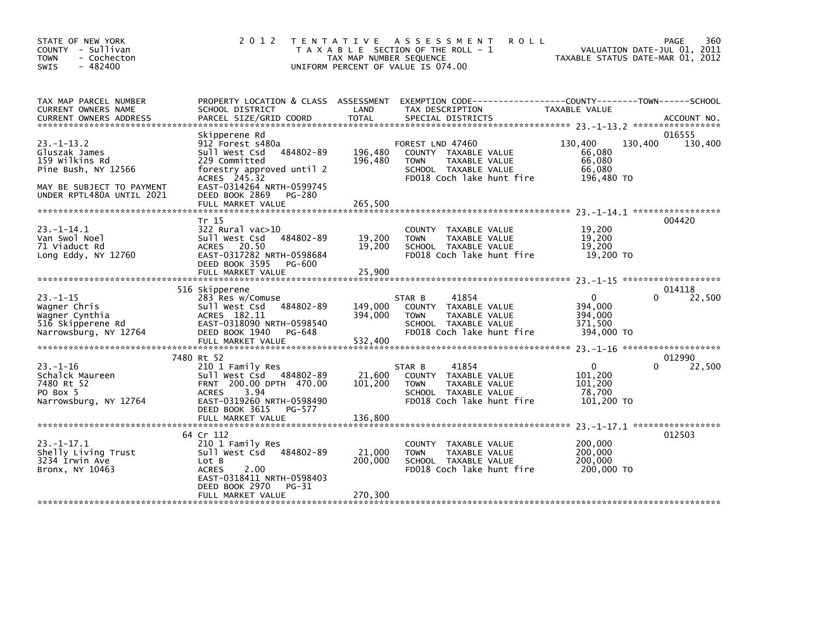| STATE OF NEW YORK<br>COUNTY - Sullivan<br>- Cochecton<br><b>TOWN</b><br>$-482400$<br>SWIS                                                                                                              | 2 0 1 2<br>T E N T A T I V E                                                                                                                                 | A S S E S S M E N T<br>T A X A B L E SECTION OF THE ROLL - 1<br>TAX MAP NUMBER SEQUENCE<br>UNIFORM PERCENT OF VALUE IS 074.00 | <b>ROLL</b>                                                                                         | VALUATION DATE-JUL 01, 2011<br>TAXABLE STATUS DATE-MAR 01, 2012 | 360<br>PAGE       |
|--------------------------------------------------------------------------------------------------------------------------------------------------------------------------------------------------------|--------------------------------------------------------------------------------------------------------------------------------------------------------------|-------------------------------------------------------------------------------------------------------------------------------|-----------------------------------------------------------------------------------------------------|-----------------------------------------------------------------|-------------------|
| TAX MAP PARCEL NUMBER<br>CURRENT OWNERS NAME                                                                                                                                                           | PROPERTY LOCATION & CLASS ASSESSMENT<br>LAND<br>SCHOOL DISTRICT                                                                                              | TAX DESCRIPTION                                                                                                               | EXEMPTION CODE-----------------COUNTY-------TOWN------SCHOOL                                        | TAXABLE VALUE                                                   |                   |
| Skipperene Rd<br>$23 - 1 - 13.2$<br>Gluszak James<br>Sull West Csd<br>159 Wilkins Rd<br>229 Committed<br>Pine Bush, NY 12566<br>ACRES 245.32<br>MAY BE SUBJECT TO PAYMENT<br>UNDER RPTL480A UNTIL 2021 | 912 Forest s480a<br>484802-89<br>forestry approved until 2<br>EAST-0314264 NRTH-0599745<br>DEED BOOK 2869<br>PG-280                                          | FOREST LND 47460<br>196,480<br>196,480<br><b>TOWN</b>                                                                         | COUNTY TAXABLE VALUE<br>TAXABLE VALUE<br>SCHOOL TAXABLE VALUE<br>FD018 Coch lake hunt fire          | 130,400<br>130,400<br>66.080<br>66,080<br>66,080<br>196,480 TO  | 016555<br>130,400 |
|                                                                                                                                                                                                        |                                                                                                                                                              |                                                                                                                               |                                                                                                     | 23. -1-14. 1 ******************                                 |                   |
| Tr 15<br>$23 - 1 - 14.1$<br>Van Swol Noel<br>Sull West Csd<br>71 Viaduct Rd<br><b>ACRES</b><br>Long Eddy, NY 12760                                                                                     | $322$ Rural vac $>10$<br>484802-89<br>20.50<br>EAST-0317282 NRTH-0598684<br>DEED BOOK 3595<br>PG-600<br>FULL MARKET VALUE                                    | 19,200<br><b>TOWN</b><br>19,200<br>25,900                                                                                     | COUNTY TAXABLE VALUE<br>TAXABLE VALUE<br>SCHOOL TAXABLE VALUE<br>FD018 Coch lake hunt fire          | 19,200<br>19,200<br>19,200<br>19,200 TO                         | 004420            |
|                                                                                                                                                                                                        |                                                                                                                                                              |                                                                                                                               |                                                                                                     |                                                                 |                   |
| 516 Skipperene<br>$23 - 1 - 15$<br>Sull West Csd<br>Wagner Chris<br>ACRES 182.11<br>Wagner Cynthia<br>516 Skipperene Rd<br>Narrowsburg, NY 12764                                                       | 283 Res w/Comuse<br>484802-89<br>EAST-0318090 NRTH-0598540<br>DEED BOOK 1940<br>PG-648                                                                       | STAR B<br>149,000<br>394,000<br><b>TOWN</b>                                                                                   | 41854<br>COUNTY TAXABLE VALUE<br>TAXABLE VALUE<br>SCHOOL TAXABLE VALUE<br>FD018 Coch lake hunt fire | 0<br>394.000<br>394,000<br>371,500<br>394,000 TO                | 014118<br>22,500  |
|                                                                                                                                                                                                        | FULL MARKET VALUE                                                                                                                                            | 532,400                                                                                                                       |                                                                                                     |                                                                 |                   |
| 7480 Rt 52<br>$23 - 1 - 16$<br>Schalck Maureen<br>7480 Rt 52<br>PO Box 5<br><b>ACRES</b><br>Narrowsburg, NY 12764                                                                                      | 210 1 Family Res<br>Sull West Csd 484802-89<br>FRNT 200.00 DPTH 470.00<br>3.94<br>EAST-0319260 NRTH-0598490<br>DEED BOOK 3615<br>PG-577<br>FULL MARKET VALUE | STAR B<br>21,600<br>101,200<br><b>TOWN</b><br>136,800                                                                         | 41854<br>COUNTY TAXABLE VALUE<br>TAXABLE VALUE<br>SCHOOL TAXABLE VALUE<br>FD018 Coch lake hunt fire | $\mathbf{0}$<br>101,200<br>101,200<br>78,700<br>101,200 TO      | 012990<br>22,500  |
| 64 Cr 112                                                                                                                                                                                              |                                                                                                                                                              |                                                                                                                               |                                                                                                     | 23. -1-17.1 *******************                                 | 012503            |
| $23 - 1 - 17.1$<br>Shelly Living Trust<br>Sull West Csd<br>3234 Irwin Ave<br>Lot B<br>Bronx, NY 10463<br><b>ACRES</b>                                                                                  | 210 1 Family Res<br>484802-89<br>2.00<br>EAST-0318411 NRTH-0598403<br>DEED BOOK 2970<br>PG-31                                                                | 21,000<br><b>TOWN</b><br>200,000                                                                                              | COUNTY TAXABLE VALUE<br>TAXABLE VALUE<br>SCHOOL TAXABLE VALUE<br>FD018 Coch lake hunt fire          | 200,000<br>200,000<br>200,000<br>200,000 TO                     |                   |
|                                                                                                                                                                                                        | FULL MARKET VALUE                                                                                                                                            | 270,300                                                                                                                       |                                                                                                     |                                                                 |                   |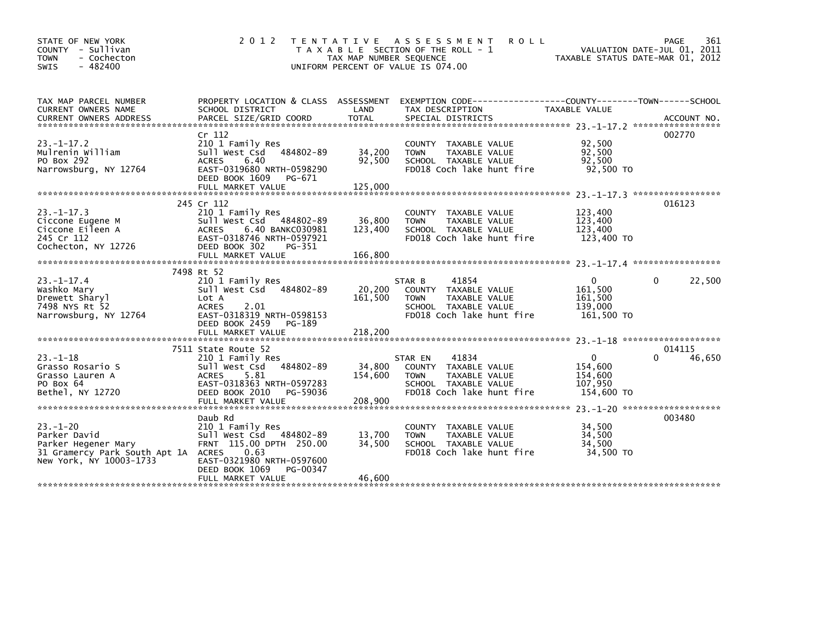| STATE OF NEW YORK<br>COUNTY - Sullivan<br>- Cochecton<br><b>TOWN</b><br>$-482400$<br>SWIS                              | 2 0 1 2                                                                                                                                                     | T E N T A T I V E<br>TAX MAP NUMBER SEQUENCE | A S S E S S M E N T<br><b>ROLL</b><br>T A X A B L E SECTION OF THE ROLL - 1<br>UNIFORM PERCENT OF VALUE IS 074.00                      | VALUATION DATE-JUL 01, 2011<br>TAXABLE STATUS DATE-MAR 01, 2012 | 361<br>PAGE      |
|------------------------------------------------------------------------------------------------------------------------|-------------------------------------------------------------------------------------------------------------------------------------------------------------|----------------------------------------------|----------------------------------------------------------------------------------------------------------------------------------------|-----------------------------------------------------------------|------------------|
| TAX MAP PARCEL NUMBER<br>CURRENT OWNERS NAME<br><b>CURRENT OWNERS ADDRESS</b>                                          | PROPERTY LOCATION & CLASS ASSESSMENT<br>SCHOOL DISTRICT<br>PARCEL SIZE/GRID COORD                                                                           | LAND<br><b>TOTAL</b>                         | EXEMPTION CODE-----------------COUNTY-------TOWN------SCHOOL<br>TAX DESCRIPTION<br>SPECIAL DISTRICTS                                   | TAXABLE VALUE                                                   | ACCOUNT NO.      |
| $23 - 1 - 17.2$<br>Mulrenin William<br>PO Box 292<br>Narrowsburg, NY 12764                                             | Cr 112<br>210 1 Family Res<br>Sull West Csd 484802-89<br>6.40<br><b>ACRES</b><br>EAST-0319680 NRTH-0598290<br>DEED BOOK 1609<br>PG-671<br>FULL MARKET VALUE | 34,200<br>92,500<br>125,000                  | <b>COUNTY</b><br>TAXABLE VALUE<br><b>TOWN</b><br>TAXABLE VALUE<br>SCHOOL TAXABLE VALUE<br>FD018 Coch lake hunt fire                    | 92,500<br>92,500<br>92,500<br>92,500 TO                         | 002770           |
|                                                                                                                        |                                                                                                                                                             |                                              |                                                                                                                                        |                                                                 |                  |
| $23 - 1 - 17.3$<br>Ciccone Eugene M<br>Ciccone Eileen A<br>245 Cr 112<br>Cochecton, NY 12726                           | 245 Cr 112<br>210 1 Family Res<br>Sull West Csd<br>484802-89<br>6.40 BANKC030981<br><b>ACRES</b><br>EAST-0318746 NRTH-0597921<br>DEED BOOK 302<br>PG-351    | 36,800<br>123,400                            | TAXABLE VALUE<br><b>COUNTY</b><br>TAXABLE VALUE<br><b>TOWN</b><br>SCHOOL TAXABLE VALUE<br>FD018 Coch lake hunt fire                    | 123,400<br>123,400<br>123,400<br>123,400 TO                     | 016123           |
|                                                                                                                        | FULL MARKET VALUE                                                                                                                                           | 166.800                                      |                                                                                                                                        |                                                                 |                  |
|                                                                                                                        | 7498 Rt 52                                                                                                                                                  |                                              |                                                                                                                                        |                                                                 |                  |
| $23. -1 - 17.4$<br>Washko Mary<br>Drewett Sharyl<br>7498 NYS Rt 52<br>Narrowsburg, NY 12764                            | 210 1 Family Res<br>Sull West Csd 484802-89<br>Lot A<br>2.01<br><b>ACRES</b><br>EAST-0318319 NRTH-0598153<br>DEED BOOK 2459<br>PG-189                       | 20,200<br>161,500                            | 41854<br>STAR B<br><b>COUNTY</b><br>TAXABLE VALUE<br>TAXABLE VALUE<br><b>TOWN</b><br>SCHOOL TAXABLE VALUE<br>FD018 Coch lake hunt fire | $\Omega$<br>0<br>161.500<br>161,500<br>139,000<br>161,500 TO    | 22,500           |
|                                                                                                                        | FULL MARKET VALUE                                                                                                                                           | 218,200                                      |                                                                                                                                        |                                                                 |                  |
| $23 - 1 - 18$<br>Grasso Rosario S<br>Grasso Lauren A<br>PO Box 64                                                      | 7511 State Route 52<br>210 1 Family Res<br>Sull West Csd<br>484802-89<br>5.81<br><b>ACRES</b><br>EAST-0318363 NRTH-0597283                                  | 34,800<br>154,600                            | 41834<br>STAR EN<br>COUNTY TAXABLE VALUE<br><b>TOWN</b><br>TAXABLE VALUE<br>SCHOOL TAXABLE VALUE                                       | $\Omega$<br>0<br>154,600<br>154,600<br>107.950                  | 014115<br>46,650 |
| Bethel, NY 12720                                                                                                       | DEED BOOK 2010<br>PG-59036<br>FULL MARKET VALUE                                                                                                             | 208,900                                      | FD018 Coch lake hunt fire                                                                                                              | 154,600 TO                                                      |                  |
|                                                                                                                        | Daub Rd                                                                                                                                                     |                                              |                                                                                                                                        | 23. -1-20 *********************                                 | 003480           |
| $23 - 1 - 20$<br>Parker David<br>Parker Hegener Mary<br>31 Gramercy Park South Apt 1A ACRES<br>New York, NY 10003-1733 | 210 1 Family Res<br>Sull West Csd 484802-89<br>FRNT 115.00 DPTH 250.00<br>0.63<br>EAST-0321980 NRTH-0597600<br>DEED BOOK 1069<br>PG-00347                   | 13,700<br>34,500                             | TAXABLE VALUE<br><b>COUNTY</b><br>TAXABLE VALUE<br><b>TOWN</b><br>SCHOOL TAXABLE VALUE<br>FD018 Coch lake hunt fire                    | 34,500<br>34,500<br>34,500<br>34,500 TO                         |                  |
|                                                                                                                        | FULL MARKET VALUE                                                                                                                                           | 46,600                                       |                                                                                                                                        |                                                                 |                  |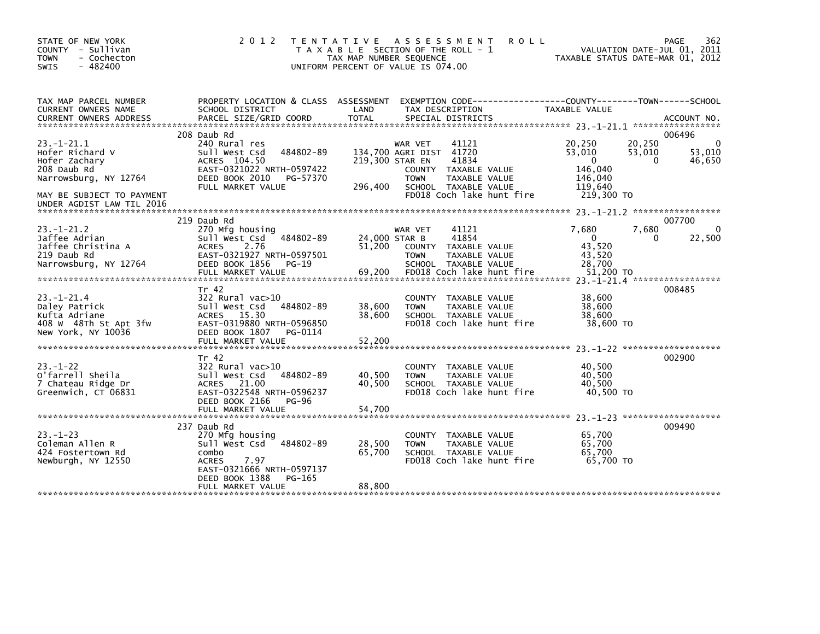| STATE OF NEW YORK<br>COUNTY - Sullivan<br>- Cochecton<br><b>TOWN</b><br>$-482400$<br><b>SWIS</b>                                                       | 2 0 1 2                                                                                                                                                              | ASSESSMENT<br><b>ROLL</b><br>T E N T A T I V E<br>T A X A B L E SECTION OF THE ROLL - 1<br>TAX MAP NUMBER SEQUENCE<br>UNIFORM PERCENT OF VALUE IS 074.00                                        | 362<br>PAGE<br>VALUATION DATE-JUL 01, 2011<br>TAXABLE STATUS DATE-MAR 01, 2012                                                                 |
|--------------------------------------------------------------------------------------------------------------------------------------------------------|----------------------------------------------------------------------------------------------------------------------------------------------------------------------|-------------------------------------------------------------------------------------------------------------------------------------------------------------------------------------------------|------------------------------------------------------------------------------------------------------------------------------------------------|
| TAX MAP PARCEL NUMBER<br>CURRENT OWNERS NAME<br><b>CURRENT OWNERS ADDRESS</b>                                                                          | PROPERTY LOCATION & CLASS ASSESSMENT<br>SCHOOL DISTRICT<br>PARCEL SIZE/GRID COORD                                                                                    | LAND<br>TAX DESCRIPTION<br><b>TOTAL</b><br>SPECIAL DISTRICTS                                                                                                                                    | EXEMPTION CODE-----------------COUNTY-------TOWN------SCHOOL<br>TAXABLE VALUE<br>ACCOUNT NO.                                                   |
| $23. - 1 - 21.1$<br>Hofer Richard V<br>Hofer Zachary<br>208 Daub Rd<br>Narrowsburg, NY 12764<br>MAY BE SUBJECT TO PAYMENT<br>UNDER AGDIST LAW TIL 2016 | 208 Daub Rd<br>240 Rural res<br>484802-89<br>Sull West Csd<br>ACRES 104.50<br>EAST-0321022 NRTH-0597422<br>DEED BOOK 2010<br>PG-57370<br>FULL MARKET VALUE           | 41121<br>WAR VET<br>134,700 AGRI DIST 41720<br>219,300 STAR EN<br>41834<br>COUNTY TAXABLE VALUE<br><b>TOWN</b><br>TAXABLE VALUE<br>296,400<br>SCHOOL TAXABLE VALUE<br>FD018 Coch lake hunt fire | 006496<br>0<br>20,250<br>20,250<br>53,010<br>53,010<br>53,010<br>46,650<br>$\Omega$<br>$\Omega$<br>146,040<br>146,040<br>119,640<br>219,300 TO |
| $23 - 1 - 21.2$<br>Jaffee Adrian<br>Jaffee Christina A<br>219 Daub Rd<br>Narrowsburg, NY 12764                                                         | 219 Daub Rd<br>270 Mfg housing<br>484802-89<br>Sull West Csd<br>2.76<br><b>ACRES</b><br>EAST-0321927 NRTH-0597501<br>DEED BOOK 1856<br>PG-19<br>FULL MARKET VALUE    | 41121<br>WAR VET<br>24,000 STAR B<br>41854<br>51,200<br>COUNTY<br>TAXABLE VALUE<br><b>TOWN</b><br>TAXABLE VALUE<br>SCHOOL TAXABLE VALUE<br>FD018 Coch lake hunt fire<br>69.200                  | 007700<br>7,680<br>$\Omega$<br>7,680<br>22,500<br>$\mathbf{0}$<br>0<br>43,520<br>43,520<br>28,700<br>51,200 TO                                 |
| $23 - 1 - 21.4$<br>Daley Patrick<br>Kufta Adriane<br>408 W 48Th St Apt 3fw<br>New York, NY 10036                                                       | Tr 42<br>$322$ Rural vac $>10$<br>Sull West Csd<br>484802-89<br><b>ACRES</b><br>15.30<br>EAST-0319880 NRTH-0596850<br>DEED BOOK 1807<br>PG-0114<br>FULL MARKET VALUE | COUNTY TAXABLE VALUE<br>38,600<br><b>TOWN</b><br>TAXABLE VALUE<br>38,600<br>SCHOOL TAXABLE VALUE<br>FD018 Coch lake hunt fire<br>52,200                                                         | 008485<br>38,600<br>38,600<br>38.600<br>38,600 TO                                                                                              |
| $23 - 1 - 22$<br>O'farrell Sheila<br>7 Chateau Ridge Dr<br>Greenwich, CT 06831                                                                         | Tr 42<br>322 Rural vac>10<br>484802-89<br>Sull West Csd<br>ACRES 21.00<br>EAST-0322548 NRTH-0596237<br>DEED BOOK 2166<br><b>PG-96</b><br>FULL MARKET VALUE           | <b>COUNTY</b><br>TAXABLE VALUE<br>40,500<br><b>TOWN</b><br>TAXABLE VALUE<br>40.500<br>SCHOOL TAXABLE VALUE<br>FD018 Coch lake hunt fire<br>54,700                                               | 002900<br>40,500<br>40,500<br>40.500<br>40.500 TO                                                                                              |
| $23 - 1 - 23$<br>Coleman Allen R<br>424 Fostertown Rd<br>Newburgh, NY 12550                                                                            | 237 Daub Rd<br>270 Mfg housing<br>Sull West Csd<br>484802-89<br>combo<br>7.97<br><b>ACRES</b><br>EAST-0321666 NRTH-0597137<br>DEED BOOK 1388<br>PG-165               | COUNTY TAXABLE VALUE<br>28,500<br>TAXABLE VALUE<br><b>TOWN</b><br>65,700<br>SCHOOL TAXABLE VALUE<br>FD018 Coch lake hunt fire                                                                   | 009490<br>65,700<br>65,700<br>65,700<br>65,700 TO                                                                                              |
|                                                                                                                                                        | FULL MARKET VALUE                                                                                                                                                    | 88,800                                                                                                                                                                                          |                                                                                                                                                |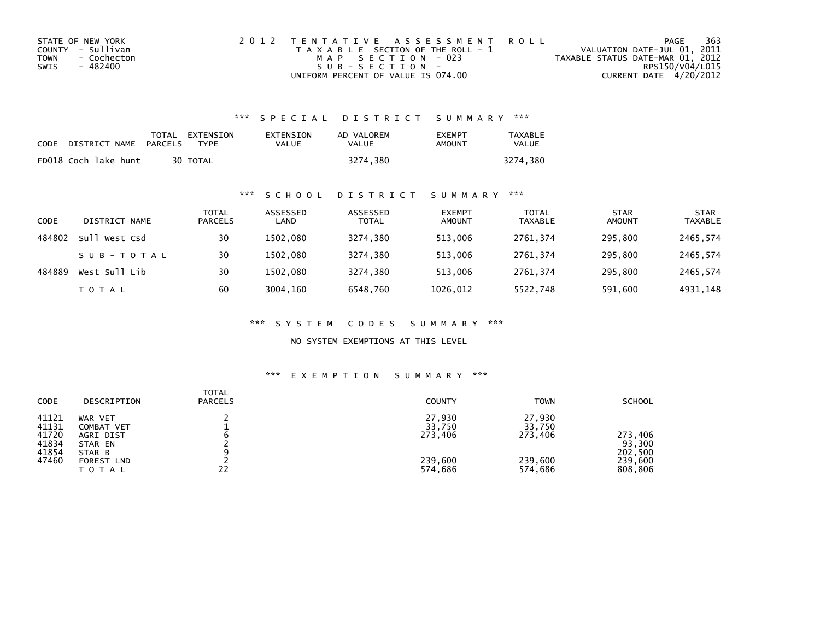| STATE OF NEW YORK   | 2012 TENTATIVE ASSESSMENT ROLL        | PAGE                             | 363             |
|---------------------|---------------------------------------|----------------------------------|-----------------|
| COUNTY - Sullivan   | T A X A B L E SECTION OF THE ROLL - 1 | VALUATION DATE-JUL 01, 2011      |                 |
| TOWN<br>- Cochecton | MAP SECTION - 023                     | TAXABLE STATUS DATE-MAR 01, 2012 |                 |
| - 482400<br>SWIS    | $SUB - SECTION -$                     |                                  | RPS150/V04/L015 |
|                     | UNIFORM PERCENT OF VALUE IS 074.00    | CURRENT DATE 4/20/2012           |                 |

| <b>CODE</b> | DISTRICT NAME        | <b>PARCELS</b> | TOTAL EXTENSION<br>TYPF | EXTENSION<br>VALUE | AD VALOREM<br>VALUE | <b>FXFMPT</b><br>AMOUNT | <b>TAXABLE</b><br>VALUE |
|-------------|----------------------|----------------|-------------------------|--------------------|---------------------|-------------------------|-------------------------|
|             | FD018 Coch lake hunt |                | 30 TOTAL                |                    | 3274.380            |                         | 3274.380                |

# \*\*\* S C H O O L D I S T R I C T S U M M A R Y \*\*\*

| <b>CODE</b> | DISTRICT NAME   | <b>TOTAL</b><br><b>PARCELS</b> | ASSESSED<br>LAND | ASSESSED<br><b>TOTAL</b> | <b>EXEMPT</b><br><b>AMOUNT</b> | <b>TOTAL</b><br><b>TAXABLE</b> | <b>STAR</b><br><b>AMOUNT</b> | <b>STAR</b><br><b>TAXABLE</b> |
|-------------|-----------------|--------------------------------|------------------|--------------------------|--------------------------------|--------------------------------|------------------------------|-------------------------------|
| 484802      | Su1<br>West Csd | 30                             | 1502.080         | 3274.380                 | 513,006                        | 2761.374                       | 295.800                      | 2465,574                      |
|             | SUB-TOTAL       | 30                             | 1502.080         | 3274.380                 | 513.006                        | 2761.374                       | 295.800                      | 2465,574                      |
| 484889      | West Sull Lib   | 30                             | 1502.080         | 3274.380                 | 513,006                        | 2761.374                       | 295,800                      | 2465,574                      |
|             | <b>TOTAL</b>    | 60                             | 3004.160         | 6548.760                 | 1026,012                       | 5522,748                       | 591,600                      | 4931,148                      |

\*\*\* S Y S T E M C O D E S S U M M A R Y \*\*\*

NO SYSTEM EXEMPTIONS AT THIS LEVEL

| <b>CODE</b>                                        | DESCRIPTION                                                                           | <b>TOTAL</b><br><b>PARCELS</b> | <b>COUNTY</b>                                     | <b>TOWN</b>                                       | <b>SCHOOL</b>                                      |
|----------------------------------------------------|---------------------------------------------------------------------------------------|--------------------------------|---------------------------------------------------|---------------------------------------------------|----------------------------------------------------|
| 41121<br>41131<br>41720<br>41834<br>41854<br>47460 | WAR VET<br>COMBAT VET<br>AGRI DIST<br>STAR EN<br>STAR B<br><b>FOREST LND</b><br>TOTAL | 22                             | 27,930<br>33,750<br>273,406<br>239,600<br>574,686 | 27,930<br>33,750<br>273.406<br>239,600<br>574,686 | 273,406<br>93,300<br>202,500<br>239,600<br>808,806 |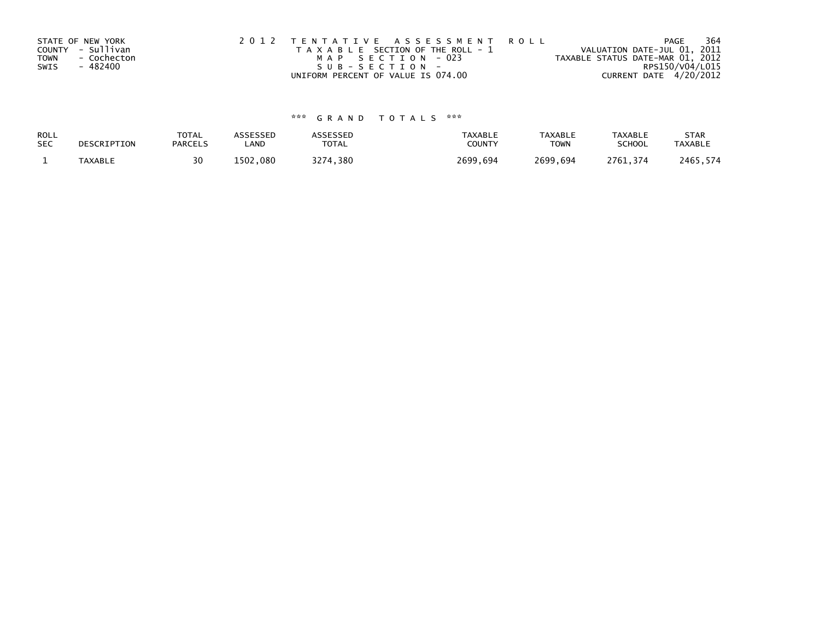| STATE OF NEW YORK<br>COUNTY - Sullivan |             | 2012 TENTATIVE ASSESSMENT ROLL | T A X A B L E SECTION OF THE ROLL - 1 | VALUATION DATE-JUL 01, 2011      | PAGE            | 364 |
|----------------------------------------|-------------|--------------------------------|---------------------------------------|----------------------------------|-----------------|-----|
| <b>TOWN</b>                            | - Cochecton |                                | MAP SECTION - 023                     | TAXABLE STATUS DATE-MAR 01, 2012 |                 |     |
| - 482400<br>SWIS                       |             |                                | $SUB - SECTION -$                     |                                  | RPS150/V04/L015 |     |
|                                        |             |                                | UNIFORM PERCENT OF VALUE IS 074.00    | CURRENT DATE 4/20/2012           |                 |     |

| ROLL       | DESCRIPTION    | <b>TOTAL</b>   | ASSESSED | <b>\SSESSED</b> | <b>TAXABLE</b> | <b>TAXABLE</b> | <b>TAXABLE</b> | <b>STAR</b>    |
|------------|----------------|----------------|----------|-----------------|----------------|----------------|----------------|----------------|
| <b>SEC</b> |                | <b>PARCELS</b> | LAND     | <b>TOTAL</b>    | COUNTY         | <b>TOWN</b>    | <b>SCHOOL</b>  | <b>TAXABLE</b> |
|            | <b>TAXABLE</b> | 30             | 1502.080 | ,380<br>つつフィ    | 2699,694       | 2699,694       | 2761.374       | 2465,574       |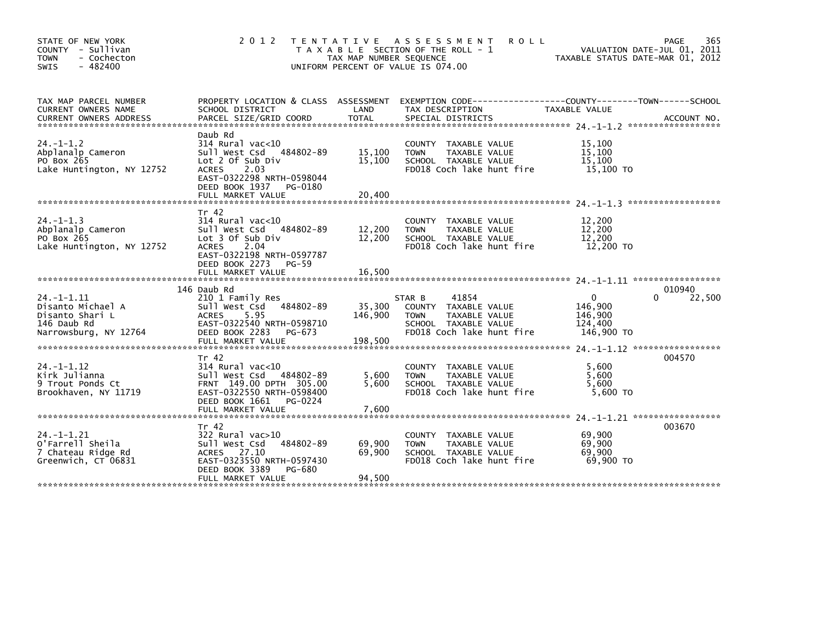| STATE OF NEW YORK<br>COUNTY - Sullivan<br>- Cochecton<br><b>TOWN</b><br>$-482400$<br><b>SWIS</b> | 2 0 1 2                                                                                                                                                                                | TAX MAP NUMBER SEQUENCE      | TENTATIVE ASSESSMENT<br><b>ROLL</b><br>T A X A B L E SECTION OF THE ROLL - 1<br>UNIFORM PERCENT OF VALUE IS 074.00           | TAXABLE STATUS DATE-MAR 01, 2012                        | 365<br>PAGE<br>VALUATION DATE-JUL 01, 2011 |
|--------------------------------------------------------------------------------------------------|----------------------------------------------------------------------------------------------------------------------------------------------------------------------------------------|------------------------------|------------------------------------------------------------------------------------------------------------------------------|---------------------------------------------------------|--------------------------------------------|
| TAX MAP PARCEL NUMBER<br><b>CURRENT OWNERS NAME</b>                                              | PROPERTY LOCATION & CLASS ASSESSMENT<br>SCHOOL DISTRICT                                                                                                                                | LAND                         | EXEMPTION CODE-----------------COUNTY-------TOWN------SCHOOL<br>TAX DESCRIPTION                                              | TAXABLE VALUE                                           |                                            |
| $24. - 1 - 1.2$<br>Abplanalp Cameron<br>PO Box 265<br>Lake Huntington, NY 12752                  | Daub Rd<br>$314$ Rural vac< $10$<br>Sull West Csd 484802-89<br>Lot 2 Of Sub Div<br><b>ACRES</b><br>2.03<br>EAST-0322298 NRTH-0598044<br>DEED BOOK 1937<br>PG-0180<br>FULL MARKET VALUE | 15,100<br>15,100<br>20,400   | COUNTY<br>TAXABLE VALUE<br>TAXABLE VALUE<br><b>TOWN</b><br>SCHOOL TAXABLE VALUE<br>FD018 Coch lake hunt fire                 | 15,100<br>15,100<br>15,100<br>15,100 TO                 |                                            |
| $24. -1 - 1.3$<br>Abplanalp Cameron<br>PO Box 265<br>Lake Huntington, NY 12752                   | Tr 42<br>$314$ Rural vac<10<br>Sull West Csd 484802-89<br>Lot 3 Of Sub Div<br><b>ACRES</b><br>2.04<br>EAST-0322198 NRTH-0597787<br>DEED BOOK 2273<br>$PG-59$<br>FULL MARKET VALUE      | 12,200<br>12,200<br>16,500   | COUNTY TAXABLE VALUE<br><b>TOWN</b><br>TAXABLE VALUE<br>SCHOOL TAXABLE VALUE<br>FD018 Coch lake hunt fire                    | 12,200<br>12,200<br>12,200<br>12,200 TO                 |                                            |
|                                                                                                  |                                                                                                                                                                                        |                              |                                                                                                                              |                                                         |                                            |
| $24. -1 - 1.11$<br>Disanto Michael A<br>Disanto Shari L<br>146 Daub Rd<br>Narrowsburg, NY 12764  | 146 Daub Rd<br>210 1 Family Res<br>Sull West Csd<br>484802-89<br><b>ACRES</b><br>5.95<br>EAST-0322540 NRTH-0598710<br>DEED BOOK 2283<br>PG-673<br>FULL MARKET VALUE                    | 35,300<br>146,900<br>198,500 | 41854<br>STAR B<br>COUNTY TAXABLE VALUE<br>TAXABLE VALUE<br><b>TOWN</b><br>SCHOOL TAXABLE VALUE<br>FD018 Coch lake hunt fire | $\Omega$<br>146.900<br>146,900<br>124,400<br>146,900 TO | 010940<br>22,500<br>0                      |
| $24. -1 - 1.12$<br>Kirk Julianna<br>9 Trout Ponds Ct<br>Brookhaven, NY 11719                     | Tr 42<br>$314$ Rural vac<10<br>Sull West Csd 484802-89<br>FRNT 149.00 DPTH 305.00<br>EAST-0322550 NRTH-0598400<br>DEED BOOK 1661<br>PG-0224<br>FULL MARKET VALUE                       | 5,600<br>5.600<br>7,600      | COUNTY TAXABLE VALUE<br>TAXABLE VALUE<br><b>TOWN</b><br>SCHOOL TAXABLE VALUE<br>FD018 Coch lake hunt fire                    | 5.600<br>5,600<br>5.600<br>5,600 TO                     | 004570                                     |
| $24. -1 - 1.21$<br>O'Farrell Sheila<br>7 Chateau Ridge Rd<br>Greenwich, CT 06831                 | Tr 42<br>$322$ Rural vac $>10$<br>484802-89<br>Sull West Csd<br>ACRES 27.10<br>EAST-0323550 NRTH-0597430<br>DEED BOOK 3389<br>PG-680                                                   | 69,900<br>69,900             | TAXABLE VALUE<br><b>COUNTY</b><br><b>TOWN</b><br>TAXABLE VALUE<br>SCHOOL TAXABLE VALUE<br>FD018 Coch lake hunt fire          | 69,900<br>69,900<br>69,900<br>69.900 TO                 | 003670                                     |
|                                                                                                  | FULL MARKET VALUE                                                                                                                                                                      | 94,500                       |                                                                                                                              |                                                         |                                            |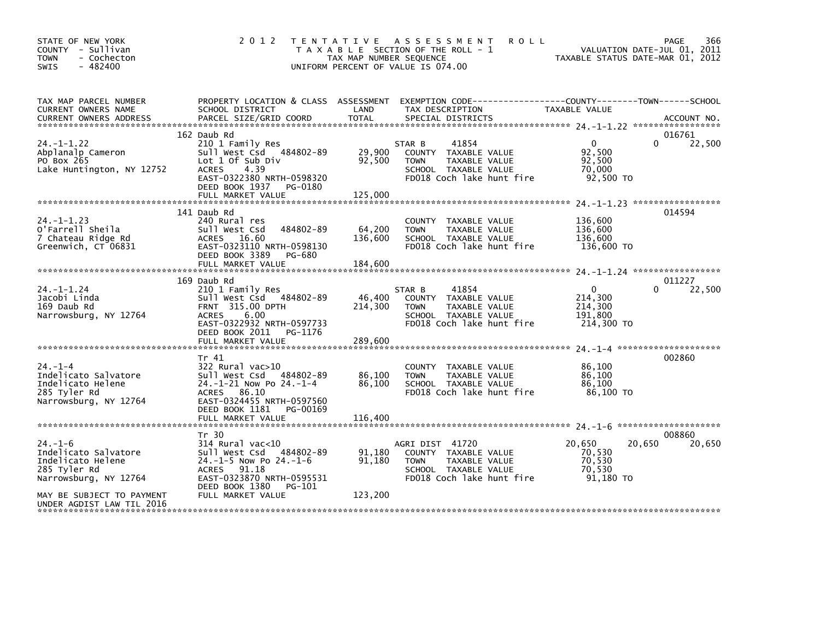| STATE OF NEW YORK<br>COUNTY - Sullivan<br>- Cochecton<br><b>TOWN</b><br>$-482400$<br><b>SWIS</b>                                 | 2 0 1 2                                                                                                                                                                              | TAX MAP NUMBER SEQUENCE      | TENTATIVE ASSESSMENT<br><b>ROLL</b><br>T A X A B L E SECTION OF THE ROLL - 1<br>UNIFORM PERCENT OF VALUE IS 074.00           | TAXABLE STATUS DATE-MAR 01, 2012                            | 366<br>PAGE<br>VALUATION DATE-JUL 01, 2011 |
|----------------------------------------------------------------------------------------------------------------------------------|--------------------------------------------------------------------------------------------------------------------------------------------------------------------------------------|------------------------------|------------------------------------------------------------------------------------------------------------------------------|-------------------------------------------------------------|--------------------------------------------|
| TAX MAP PARCEL NUMBER<br>CURRENT OWNERS NAME<br><b>CURRENT OWNERS ADDRESS</b>                                                    | PROPERTY LOCATION & CLASS ASSESSMENT<br>SCHOOL DISTRICT<br>PARCEL SIZE/GRID COORD                                                                                                    | LAND<br><b>TOTAL</b>         | TAX DESCRIPTION<br>SPECIAL DISTRICTS                                                                                         | TAXABLE VALUE                                               | ACCOUNT NO.                                |
|                                                                                                                                  | 162 Daub Rd                                                                                                                                                                          |                              |                                                                                                                              |                                                             | 016761                                     |
| $24. -1 - 1.22$<br>Abplanalp Cameron<br>PO Box 265<br>Lake Huntington, NY 12752                                                  | 210 1 Family Res<br>Sull West Csd 484802-89<br>Lot 1 Of Sub Div<br><b>ACRES</b><br>4.39<br>EAST-0322380 NRTH-0598320<br>DEED BOOK 1937 PG-0180                                       | 29,900<br>92,500             | 41854<br>STAR B<br>COUNTY TAXABLE VALUE<br>TAXABLE VALUE<br><b>TOWN</b><br>SCHOOL TAXABLE VALUE<br>FD018 Coch lake hunt fire | $\overline{0}$<br>92,500<br>92,500<br>70,000<br>92,500 TO   | 22,500<br>$\Omega$                         |
|                                                                                                                                  | FULL MARKET VALUE                                                                                                                                                                    | 125,000                      |                                                                                                                              |                                                             |                                            |
| $24. -1 - 1.23$<br>O'Farrell Sheila<br>7 Chateau Ridge Rd<br>Greenwich, CT 06831                                                 | 141 Daub Rd<br>240 Rural res<br>484802-89<br>Sull West Csd<br>ACRES 16.60<br>EAST-0323110 NRTH-0598130<br>DEED BOOK 3389<br>PG-680<br>FULL MARKET VALUE                              | 64,200<br>136,600<br>184,600 | COUNTY TAXABLE VALUE<br><b>TOWN</b><br>TAXABLE VALUE<br>SCHOOL TAXABLE VALUE<br>FD018 Coch lake hunt fire                    | 136,600<br>136,600<br>136,600<br>136,600 TO                 | 014594                                     |
|                                                                                                                                  | 169 Daub Rd                                                                                                                                                                          |                              |                                                                                                                              |                                                             | 011227                                     |
| 24. –1–1.24<br>Jacobi Linda<br>169 Daub Rd<br>Narrowsburg, NY 12764                                                              | 210 1 Family Res<br>Sull West Csd 484802-89<br>FRNT 315.00 DPTH<br><b>ACRES</b><br>6.00<br>EAST-0322932 NRTH-0597733<br>DEED BOOK 2011<br>PG-1176<br>FULL MARKET VALUE               | 46,400<br>214,300<br>289,600 | 41854<br>STAR B<br>COUNTY TAXABLE VALUE<br>TAXABLE VALUE<br><b>TOWN</b><br>SCHOOL TAXABLE VALUE<br>FD018 Coch lake hunt fire | $\mathbf{0}$<br>214,300<br>214,300<br>191,800<br>214,300 TO | 22,500<br>0                                |
|                                                                                                                                  |                                                                                                                                                                                      |                              |                                                                                                                              |                                                             |                                            |
| $24. - 1 - 4$<br>Indelicato Salvatore<br>Indelicato Helene<br>285 Tyler Rd<br>Narrowsburg, NY 12764                              | Tr 41<br>$322$ Rural vac $>10$<br>Sull West Csd 484802-89<br>24.-1-21 Now Po 24.-1-4<br>ACRES 86.10<br>EAST-0324455 NRTH-0597560<br>DEED BOOK 1181<br>PG-00169<br>FULL MARKET VALUE  | 86,100<br>86,100<br>116,400  | COUNTY TAXABLE VALUE<br>TAXABLE VALUE<br><b>TOWN</b><br>SCHOOL TAXABLE VALUE<br>FD018 Coch lake hunt fire                    | 86,100<br>86,100<br>86,100<br>86,100 TO                     | 002860                                     |
|                                                                                                                                  |                                                                                                                                                                                      |                              |                                                                                                                              |                                                             |                                            |
| $24. - 1 - 6$<br>Indelicato Salvatore<br>Indelicato Helene<br>285 Tyler Rd<br>Narrowsburg, NY 12764<br>MAY BE SUBJECT TO PAYMENT | Tr 30<br>$314$ Rural vac<10<br>Sull West Csd<br>484802-89<br>$24.-1-5$ Now Po $24.-1-6$<br>ACRES 91.18<br>EAST-0323870 NRTH-0595531<br>DEED BOOK 1380<br>PG-101<br>FULL MARKET VALUE | 91,180<br>91,180<br>123,200  | AGRI DIST 41720<br>COUNTY TAXABLE VALUE<br>TAXABLE VALUE<br><b>TOWN</b><br>SCHOOL TAXABLE VALUE<br>FD018 Coch lake hunt fire | 20,650<br>70,530<br>70,530<br>70,530<br>91,180 TO           | 008860<br>20,650<br>20,650                 |
| UNDER AGDIST LAW TIL 2016                                                                                                        |                                                                                                                                                                                      |                              |                                                                                                                              |                                                             |                                            |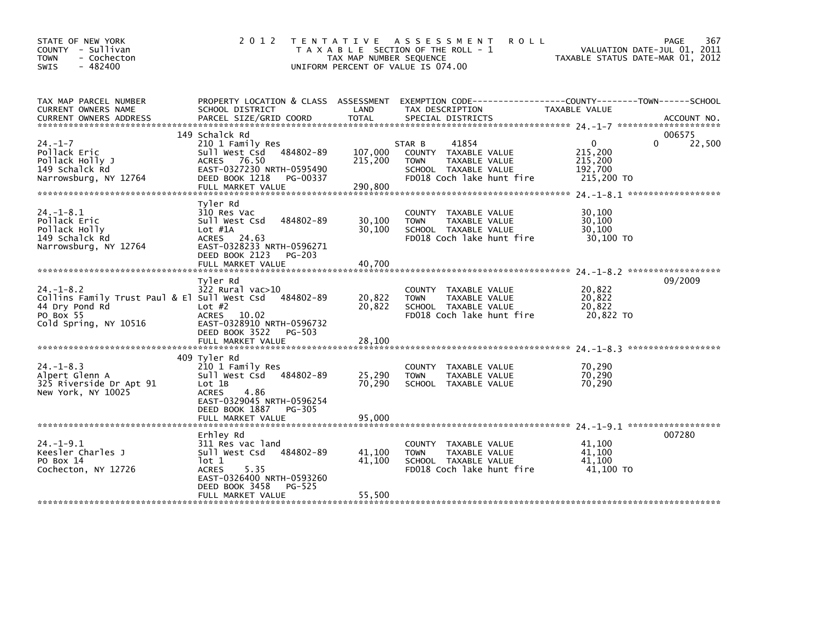| STATE OF NEW YORK<br>COUNTY - Sullivan<br><b>TOWN</b><br>- Cochecton<br>$-482400$<br><b>SWIS</b>                                  | 2012                                                                                                                                                                           | TAX MAP NUMBER SEQUENCE       | TENTATIVE ASSESSMENT<br><b>ROLL</b><br>T A X A B L E SECTION OF THE ROLL - 1<br>UNIFORM PERCENT OF VALUE IS 074.00           | TAXABLE STATUS DATE-MAR 01, 2012                        | PAGE<br>367<br>VALUATION DATE-JUL 01, 2011 |
|-----------------------------------------------------------------------------------------------------------------------------------|--------------------------------------------------------------------------------------------------------------------------------------------------------------------------------|-------------------------------|------------------------------------------------------------------------------------------------------------------------------|---------------------------------------------------------|--------------------------------------------|
| TAX MAP PARCEL NUMBER<br>CURRENT OWNERS NAME<br><b>CURRENT OWNERS ADDRESS</b>                                                     | PROPERTY LOCATION & CLASS ASSESSMENT<br>SCHOOL DISTRICT<br>PARCEL SIZE/GRID COORD                                                                                              | LAND<br><b>TOTAL</b>          | TAX DESCRIPTION<br>SPECIAL DISTRICTS                                                                                         | TAXABLE VALUE                                           | ACCOUNT NO.                                |
| $24. - 1 - 7$<br>Pollack Eric<br>Pollack Holly J<br>149 Schalck Rd<br>Narrowsburg, NY 12764                                       | 149 Schalck Rd<br>210 1 Family Res<br>Sull West Csd<br>484802-89<br>ACRES 76.50<br>EAST-0327230 NRTH-0595490<br>DEED BOOK 1218<br>PG-00337<br>FULL MARKET VALUE                | 107,000<br>215,200<br>290.800 | 41854<br>STAR B<br>COUNTY TAXABLE VALUE<br>TAXABLE VALUE<br><b>TOWN</b><br>SCHOOL TAXABLE VALUE<br>FD018 Coch lake hunt fire | $\Omega$<br>215,200<br>215,200<br>192,700<br>215,200 TO | 006575<br>22,500<br>0                      |
| $24. -1 - 8.1$<br>Pollack Eric<br>Pollack Holly<br>149 Schalck Rd<br>Narrowsburg, NY 12764                                        | Tyler Rd<br>310 Res Vac<br>484802-89<br>Sull West Csd<br>$Lot$ #1A<br>ACRES 24.63<br>EAST-0328233 NRTH-0596271<br>DEED BOOK 2123<br><b>PG-203</b><br>FULL MARKET VALUE         | 30,100<br>30,100<br>40.700    | <b>COUNTY</b><br>TAXABLE VALUE<br><b>TOWN</b><br>TAXABLE VALUE<br>SCHOOL TAXABLE VALUE<br>FD018 Coch lake hunt fire          | 30,100<br>30,100<br>30,100<br>30,100 TO                 |                                            |
| $24. - 1 - 8.2$<br>Collins Family Trust Paul & El Sull West Csd 484802-89<br>44 Dry Pond Rd<br>PO Box 55<br>Cold Spring, NY 10516 | Tyler Rd<br>$322$ Rural vac $>10$<br>Lot $#2$<br><b>ACRES</b><br>10.02<br>EAST-0328910 NRTH-0596732<br>DEED BOOK 3522<br>PG-503<br>FULL MARKET VALUE                           | 20,822<br>20,822<br>28.100    | COUNTY TAXABLE VALUE<br><b>TOWN</b><br>TAXABLE VALUE<br>SCHOOL TAXABLE VALUE<br>FD018 Coch lake hunt fire                    | 20,822<br>20,822<br>20,822<br>20,822 TO                 | 09/2009                                    |
| $24. -1 - 8.3$<br>Alpert Glenn A<br>325 Riverside Dr Apt 91<br>New York, NY 10025                                                 | 409 Tyler Rd<br>210 1 Family Res<br>Sull West Csd<br>484802-89<br>Lot 1B<br><b>ACRES</b><br>4.86<br>EAST-0329045 NRTH-0596254<br>DEED BOOK 1887<br>PG-305<br>FULL MARKET VALUE | 25,290<br>70.290<br>95,000    | COUNTY TAXABLE VALUE<br><b>TOWN</b><br>TAXABLE VALUE<br>SCHOOL TAXABLE VALUE                                                 | 70,290<br>70,290<br>70,290                              |                                            |
| $24. -1 - 9.1$<br>Keesler Charles J<br>PO Box 14<br>Cochecton, NY 12726                                                           | Erhley Rd<br>311 Res vac land<br>Sull West Csd<br>484802-89<br>lot 1<br><b>ACRES</b><br>5.35<br>EAST-0326400 NRTH-0593260<br>DEED BOOK 3458<br>PG-525<br>FULL MARKET VALUE     | 41,100<br>41,100<br>55,500    | COUNTY TAXABLE VALUE<br><b>TOWN</b><br>TAXABLE VALUE<br>SCHOOL TAXABLE VALUE<br>FD018 Coch lake hunt fire                    | 41,100<br>41.100<br>41.100<br>41,100 TO                 | 007280                                     |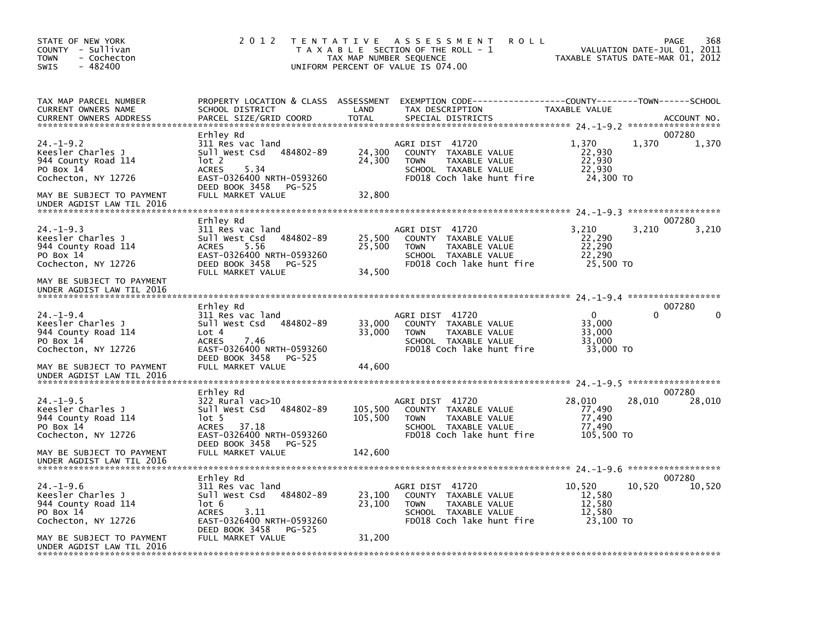| STATE OF NEW YORK<br>COUNTY - Sullivan<br><b>TOWN</b><br>- Cochecton<br>$-482400$<br><b>SWIS</b>                                                          | 2 0 1 2                                                                                                                                                                    | T E N T A T I V E<br>TAX MAP NUMBER SEQUENCE | ASSESSMENT<br><b>ROLL</b><br>T A X A B L E SECTION OF THE ROLL - 1<br>UNIFORM PERCENT OF VALUE IS 074.00                            | TAXABLE STATUS DATE-MAR 01, 2012                    | 368<br>PAGE<br>VALUATION DATE-JUL 01, 2011       |
|-----------------------------------------------------------------------------------------------------------------------------------------------------------|----------------------------------------------------------------------------------------------------------------------------------------------------------------------------|----------------------------------------------|-------------------------------------------------------------------------------------------------------------------------------------|-----------------------------------------------------|--------------------------------------------------|
| TAX MAP PARCEL NUMBER<br>CURRENT OWNERS NAME<br><b>CURRENT OWNERS ADDRESS</b>                                                                             | PROPERTY LOCATION & CLASS ASSESSMENT<br>SCHOOL DISTRICT<br>PARCEL SIZE/GRID COORD                                                                                          | LAND<br><b>TOTAL</b>                         | TAX DESCRIPTION<br>SPECIAL DISTRICTS                                                                                                | TAXABLE VALUE                                       | ACCOUNT NO.                                      |
| $24. - 1 - 9.2$<br>Keesler Charles J<br>944 County Road 114<br>PO Box 14<br>Cochecton, NY 12726<br>MAY BE SUBJECT TO PAYMENT<br>UNDER AGDIST LAW TIL 2016 | Erhley Rd<br>311 Res vac land<br>Sull West Csd<br>484802-89<br>lot 2<br><b>ACRES</b><br>5.34<br>EAST-0326400 NRTH-0593260<br>DEED BOOK 3458<br>PG-525<br>FULL MARKET VALUE | 24,300<br>24,300<br>32,800                   | AGRI DIST 41720<br>COUNTY TAXABLE VALUE<br>TAXABLE VALUE<br><b>TOWN</b><br>SCHOOL TAXABLE VALUE<br>FD018 Coch lake hunt fire        | 1,370<br>22,930<br>22,930<br>22.930<br>24,300 TO    | 007280<br>1,370<br>1,370                         |
| $24. -1 - 9.3$<br>Keesler Charles J<br>944 County Road 114<br>PO Box 14<br>Cochecton, NY 12726<br>MAY BE SUBJECT TO PAYMENT<br>UNDER AGDIST LAW TIL 2016  | Erhley Rd<br>311 Res vac land<br>484802-89<br>Sull West Csd<br><b>ACRES</b><br>5.56<br>EAST-0326400 NRTH-0593260<br>DEED BOOK 3458<br>PG-525<br>FULL MARKET VALUE          | 25,500<br>25,500<br>34,500                   | AGRI DIST 41720<br>COUNTY TAXABLE VALUE<br><b>TOWN</b><br>TAXABLE VALUE<br>SCHOOL TAXABLE VALUE<br>FD018 Coch lake hunt fire        | 3.210<br>22,290<br>22,290<br>22,290<br>25,500 TO    | 007280<br>3,210<br>3,210                         |
| $24. -1 - 9.4$<br>Keesler Charles J<br>944 County Road 114<br>PO Box 14<br>Cochecton, NY 12726<br>MAY BE SUBJECT TO PAYMENT                               | Erhley Rd<br>311 Res vac land<br>484802-89<br>Sull West Csd<br>Lot 4<br><b>ACRES</b><br>7.46<br>EAST-0326400 NRTH-0593260<br>DEED BOOK 3458<br>PG-525<br>FULL MARKET VALUE | 33,000<br>33,000<br>44,600                   | AGRI DIST 41720<br>COUNTY TAXABLE VALUE<br><b>TOWN</b><br>TAXABLE VALUE<br>SCHOOL TAXABLE VALUE<br>FD018 Coch lake hunt fire        | $\Omega$<br>33.000<br>33,000<br>33.000<br>33,000 TO | 007280<br>0                                      |
| UNDER AGDIST LAW TIL 2016<br>$24. -1 - 9.5$<br>Keesler Charles J                                                                                          | Erhley Rd<br>322 Rural vac>10<br>Sull West Csd<br>484802-89                                                                                                                | 105,500                                      | AGRI DIST 41720<br>COUNTY TAXABLE VALUE                                                                                             | 28,010<br>77,490                                    | ******************<br>007280<br>28,010<br>28,010 |
| 944 County Road 114<br>PO Box 14<br>Cochecton, NY 12726<br>MAY BE SUBJECT TO PAYMENT<br>UNDER AGDIST LAW TIL 2016                                         | $1$ ot 5<br><b>ACRES</b><br>37.18<br>EAST-0326400 NRTH-0593260<br>DEED BOOK 3458<br>PG-525<br>FULL MARKET VALUE                                                            | 105,500<br>142,600                           | TAXABLE VALUE<br><b>TOWN</b><br>SCHOOL TAXABLE VALUE<br>FD018 Coch lake hunt fire                                                   | 77,490<br>77,490<br>105,500 TO                      |                                                  |
| $24. - 1 - 9.6$<br>Keesler Charles J<br>944 County Road 114<br>PO Box 14<br>Cochecton, NY 12726                                                           | Erhley Rd<br>311 Res vac land<br>Sull West Csd<br>484802-89<br>lot 6<br><b>ACRES</b><br>3.11<br>EAST-0326400 NRTH-0593260                                                  | 23,100<br>23,100                             | AGRI DIST 41720<br>COUNTY TAXABLE VALUE<br><b>TAXABLE VALUE</b><br><b>TOWN</b><br>SCHOOL TAXABLE VALUE<br>FD018 Coch lake hunt fire | 10,520<br>12,580<br>12,580<br>12,580<br>23.100 TO   | 007280<br>10,520<br>10,520                       |
| MAY BE SUBJECT TO PAYMENT<br>UNDER AGDIST LAW TIL 2016                                                                                                    | DEED BOOK 3458<br>PG-525<br>FULL MARKET VALUE                                                                                                                              | 31,200                                       |                                                                                                                                     |                                                     |                                                  |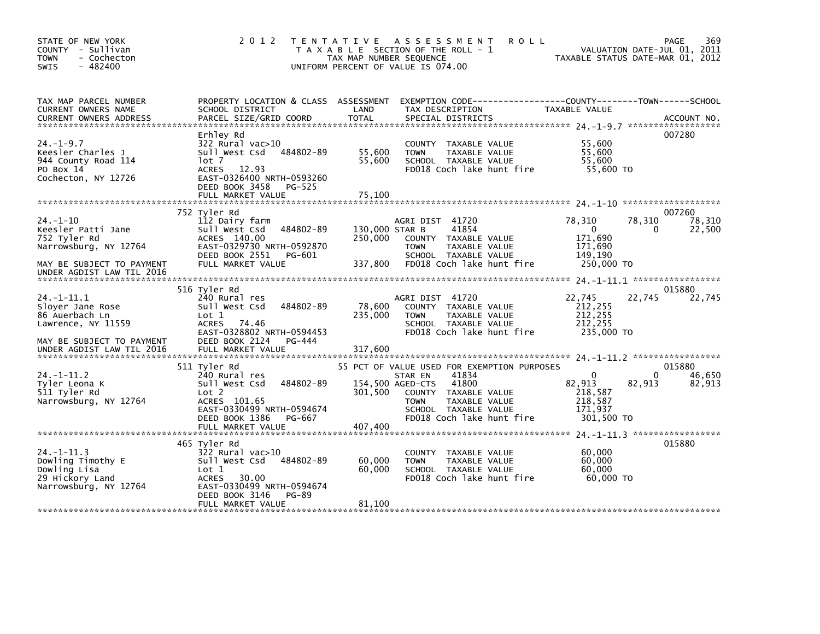| STATE OF NEW YORK<br>COUNTY - Sullivan<br>- Cochecton<br><b>TOWN</b><br>$-482400$<br><b>SWIS</b> | 2 0 1 2                                                                                                                              | TAX MAP NUMBER SEQUENCE<br>UNIFORM PERCENT OF VALUE IS 074.00 | TENTATIVE ASSESSMENT<br>T A X A B L E SECTION OF THE ROLL - 1                                                                                              | <b>ROLL</b>                                                                                                     | VALUATION DATE-JUL 01, 2011<br>TAXABLE STATUS DATE-MAR 01, 2012 | 369<br>PAGE                |
|--------------------------------------------------------------------------------------------------|--------------------------------------------------------------------------------------------------------------------------------------|---------------------------------------------------------------|------------------------------------------------------------------------------------------------------------------------------------------------------------|-----------------------------------------------------------------------------------------------------------------|-----------------------------------------------------------------|----------------------------|
| TAX MAP PARCEL NUMBER<br>CURRENT OWNERS NAME                                                     | SCHOOL DISTRICT                                                                                                                      | LAND                                                          | TAX DESCRIPTION                                                                                                                                            | PROPERTY LOCATION & CLASS ASSESSMENT EXEMPTION CODE---------------COUNTY-------TOWN-----SCHOOL<br>TAXABLE VALUE |                                                                 |                            |
| $24. - 1 - 9.7$<br>Keesler Charles J<br>944 County Road 114<br>PO Box 14<br>Cochecton, NY 12726  | Erhley Rd<br>$322$ Rural vac $>10$<br>Sull West Csd<br>lot 7<br>ACRES 12.93<br>EAST-0326400 NRTH-0593260<br>DEED BOOK 3458<br>PG-525 | 484802-89<br>55,600<br>55,600                                 | COUNTY TAXABLE VALUE<br><b>TOWN</b><br>TAXABLE VALUE<br>SCHOOL TAXABLE VALUE<br>FD018 Coch lake hunt fire                                                  |                                                                                                                 | 55,600<br>55,600<br>55,600<br>55,600 TO                         | 007280                     |
|                                                                                                  |                                                                                                                                      |                                                               |                                                                                                                                                            |                                                                                                                 |                                                                 |                            |
| $24. - 1 - 10$<br>Keesler Patti Jane<br>752 Tyler Rd<br>Narrowsburg, NY 12764                    | 752 Tyler Rd<br>112 Dairy farm<br>sull west Csd<br>ACRES 140.00<br>EAST-0329730 NRTH-0592870<br>DEED BOOK 2551<br>PG-601             | 484802-89<br>250,000                                          | AGRI DIST 41720<br>130,000 STAR B<br>41854<br>COUNTY TAXABLE VALUE<br>TAXABLE VALUE<br><b>TOWN</b><br>SCHOOL TAXABLE VALUE                                 | 78,310<br>$\mathbf{0}$<br>171,690<br>171,690<br>149,190                                                         | 78,310<br>0                                                     | 007260<br>78,310<br>22,500 |
| MAY BE SUBJECT TO PAYMENT<br>UNDER AGDIST LAW TIL 2016                                           | FULL MARKET VALUE                                                                                                                    | 337,800                                                       | FD018 Coch lake hunt fire                                                                                                                                  |                                                                                                                 | 250,000 TO                                                      |                            |
|                                                                                                  | 516 Tyler Rd                                                                                                                         |                                                               |                                                                                                                                                            |                                                                                                                 |                                                                 | 015880                     |
| $24 - 1 - 11.1$<br>Sloyer Jane Rose<br>86 Auerbach Ln<br>Lawrence, NY 11559                      | 240 Rural res<br>Sull West Csd<br>Lot 1<br><b>ACRES</b><br>74.46<br>EAST-0328802 NRTH-0594453                                        | 484802-89<br>78,600<br>235,000                                | AGRI DIST 41720<br>COUNTY TAXABLE VALUE<br>TAXABLE VALUE<br><b>TOWN</b><br>SCHOOL TAXABLE VALUE<br>FD018 Coch lake hunt fire                               | 22,745<br>212,255<br>212, 255<br>212, 255                                                                       | 22,745<br>235,000 TO                                            | 22,745                     |
| MAY BE SUBJECT TO PAYMENT                                                                        | DEED BOOK 2124<br>PG-444                                                                                                             |                                                               |                                                                                                                                                            |                                                                                                                 |                                                                 |                            |
|                                                                                                  | 511 Tyler Rd                                                                                                                         |                                                               | 55 PCT OF VALUE USED FOR EXEMPTION PURPOSES                                                                                                                |                                                                                                                 |                                                                 | 015880                     |
| $24. -1 - 11.2$<br>Tyler Leona K<br>511 Tyler Rd<br>Narrowsburg, NY 12764                        | 240 Rural res<br>Sull West Csd<br>Lot 2<br>ACRES 101.65<br>EAST-0330499 NRTH-0594674<br>PG-667<br>DEED BOOK 1386                     | 484802-89<br>301,500                                          | 41834<br>STAR EN<br>154,500 AGED-CTS<br>41800<br>COUNTY TAXABLE VALUE<br>TAXABLE VALUE<br><b>TOWN</b><br>SCHOOL TAXABLE VALUE<br>FD018 Coch lake hunt fire | $\Omega$<br>82,913<br>218,587<br>218,587<br>171,937                                                             | 0<br>82,913<br>301,500 TO                                       | 46,650<br>82,913           |
|                                                                                                  |                                                                                                                                      |                                                               |                                                                                                                                                            |                                                                                                                 |                                                                 |                            |
| $24. -1 - 11.3$<br>Dowling Timothy E<br>Dowling Lisa<br>29 Hickory Land<br>Narrowsburg, NY 12764 | 465 Tyler Rd<br>322 Rural vac>10<br>Sull West Csd<br>Lot 1<br><b>ACRES</b><br>30.00<br>EAST-0330499 NRTH-0594674                     | 484802-89<br>60,000<br>60,000                                 | COUNTY TAXABLE VALUE<br><b>TAXABLE VALUE</b><br><b>TOWN</b><br>SCHOOL TAXABLE VALUE<br>FD018 Coch lake hunt fire                                           |                                                                                                                 | 60,000<br>60,000<br>60,000<br>60.000 TO                         | 015880                     |
|                                                                                                  | DEED BOOK 3146<br><b>PG-89</b><br>FULL MARKET VALUE                                                                                  | 81,100                                                        |                                                                                                                                                            |                                                                                                                 |                                                                 |                            |
|                                                                                                  |                                                                                                                                      |                                                               |                                                                                                                                                            |                                                                                                                 |                                                                 |                            |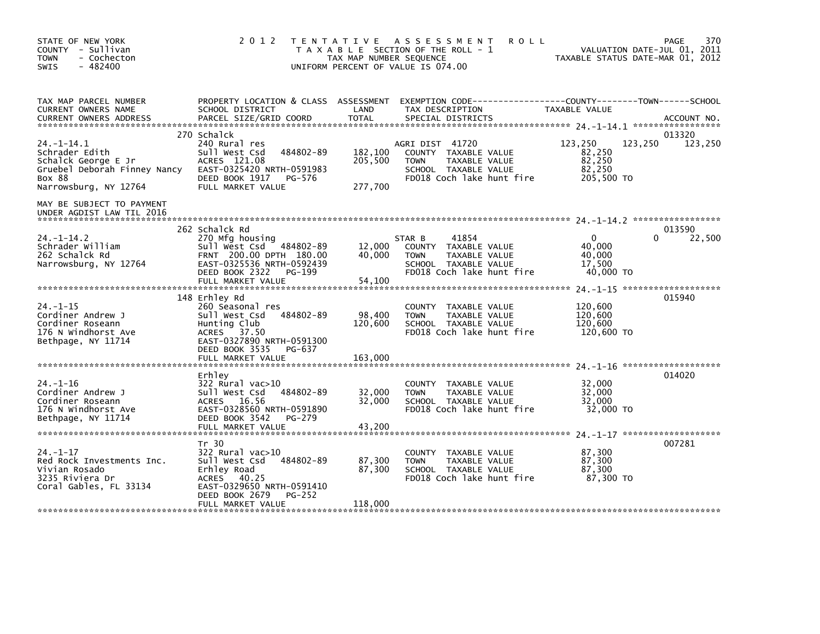| STATE OF NEW YORK<br>COUNTY - Sullivan<br><b>TOWN</b><br>- Cochecton<br>$-482400$<br>SWIS                                          | 2 0 1 2                                                                                                                                                                      | TAX MAP NUMBER SEQUENCE       | TENTATIVE ASSESSMENT<br><b>ROLL</b><br>T A X A B L E SECTION OF THE ROLL - 1<br>UNIFORM PERCENT OF VALUE IS 074.00           |                                                     | 370<br>PAGE<br>VALUATION DATE-JUL 01, 2011<br>TAXABLE STATUS DATE-MAR 01, 2012 |
|------------------------------------------------------------------------------------------------------------------------------------|------------------------------------------------------------------------------------------------------------------------------------------------------------------------------|-------------------------------|------------------------------------------------------------------------------------------------------------------------------|-----------------------------------------------------|--------------------------------------------------------------------------------|
| TAX MAP PARCEL NUMBER<br>CURRENT OWNERS NAME<br><b>CURRENT OWNERS ADDRESS</b>                                                      | PROPERTY LOCATION & CLASS ASSESSMENT<br>SCHOOL DISTRICT<br>PARCEL SIZE/GRID COORD                                                                                            | LAND<br><b>TOTAL</b>          | EXEMPTION CODE-----------------COUNTY-------TOWN------SCHOOL<br>TAX DESCRIPTION<br>SPECIAL DISTRICTS                         | TAXABLE VALUE                                       | ACCOUNT NO.                                                                    |
|                                                                                                                                    | 270 Schalck                                                                                                                                                                  |                               |                                                                                                                              |                                                     | 013320                                                                         |
| $24. -1 - 14.1$<br>Schrader Edith<br>Schalck George E Jr<br>Gruebel Deborah Finney Nancy<br><b>BOX 88</b><br>Narrowsburg, NY 12764 | 240 Rural res<br>484802-89<br>Sull West Csd<br>ACRES 121.08<br>EAST-0325420 NRTH-0591983<br>DEED BOOK 1917<br>PG-576<br>FULL MARKET VALUE                                    | 182,100<br>205,500<br>277,700 | AGRI DIST 41720<br>COUNTY TAXABLE VALUE<br>TAXABLE VALUE<br><b>TOWN</b><br>SCHOOL TAXABLE VALUE<br>FD018 Coch lake hunt fire | 123,250<br>82,250<br>82,250<br>82,250<br>205,500 TO | 123,250<br>123,250                                                             |
| MAY BE SUBJECT TO PAYMENT<br>UNDER AGDIST LAW TIL 2016                                                                             |                                                                                                                                                                              |                               |                                                                                                                              |                                                     |                                                                                |
|                                                                                                                                    | 262 Schalck Rd                                                                                                                                                               |                               |                                                                                                                              |                                                     | 013590                                                                         |
| $24. - 1 - 14.2$<br>Schrader William<br>262 Schalck Rd<br>Narrowsburg, NY 12764                                                    | 270 Mfg housing<br>Sull West Csd 484802-89<br>FRNT 200.00 DPTH 180.00<br>EAST-0325536 NRTH-0592439<br>DEED BOOK 2322<br>PG-199                                               | 12,000<br>40.000              | 41854<br>STAR B<br>COUNTY TAXABLE VALUE<br><b>TOWN</b><br>TAXABLE VALUE<br>SCHOOL TAXABLE VALUE<br>FD018 Coch lake hunt fire | $\Omega$<br>40,000<br>40.000<br>17.500<br>40,000 TO | 22,500<br>0                                                                    |
|                                                                                                                                    | FULL MARKET VALUE                                                                                                                                                            | 54,100                        |                                                                                                                              |                                                     |                                                                                |
| $24. - 1 - 15$<br>Cordiner Andrew J<br>Cordiner Roseann<br>176 N Windhorst Ave<br>Bethpage, NY 11714                               | 148 Erhley Rd<br>260 Seasonal res<br>484802-89<br>Sull West Csd<br>Hunting Club<br>ACRES 37.50<br>EAST-0327890 NRTH-0591300<br>DEED BOOK 3535<br>PG-637<br>FULL MARKET VALUE | 98,400<br>120,600<br>163,000  | COUNTY TAXABLE VALUE<br><b>TOWN</b><br>TAXABLE VALUE<br>SCHOOL TAXABLE VALUE<br>FD018 Coch lake hunt fire                    | 120,600<br>120,600<br>120,600<br>120,600 TO         | 015940                                                                         |
|                                                                                                                                    |                                                                                                                                                                              |                               |                                                                                                                              |                                                     |                                                                                |
| $24. - 1 - 16$<br>Cordiner Andrew J<br>Cordiner Roseann<br>176 N Windhorst Ave<br>Bethpage, NY 11714                               | Erhley<br>322 Rural vac>10<br>Sull West Csd<br>484802-89<br>ACRES 16.56<br>EAST-0328560 NRTH-0591890<br>DEED BOOK 3542<br>PG-279                                             | 32,000<br>32,000              | COUNTY TAXABLE VALUE<br>TAXABLE VALUE<br><b>TOWN</b><br>SCHOOL TAXABLE VALUE<br>FD018 Coch lake hunt fire                    | 32,000<br>32,000<br>32,000<br>32,000 TO             | 014020                                                                         |
|                                                                                                                                    | FULL MARKET VALUE                                                                                                                                                            | 43,200                        |                                                                                                                              |                                                     |                                                                                |
| $24. - 1 - 17$<br>Red Rock Investments Inc.<br>Vivian Rosado<br>3235 Riviera Dr<br>Coral Gables, FL 33134                          | Tr 30<br>322 Rural vac>10<br>Sull West Csd<br>484802-89<br>Erhley Road<br>ACRES 40.25<br>EAST-0329650 NRTH-0591410<br>DEED BOOK 2679<br>PG-252                               | 87,300<br>87,300              | TAXABLE VALUE<br><b>COUNTY</b><br><b>TOWN</b><br>TAXABLE VALUE<br>SCHOOL TAXABLE VALUE<br>FD018 Coch lake hunt fire          | 87,300<br>87,300<br>87,300<br>87.300 TO             | 007281                                                                         |
|                                                                                                                                    | FULL MARKET VALUE                                                                                                                                                            | 118,000                       |                                                                                                                              |                                                     |                                                                                |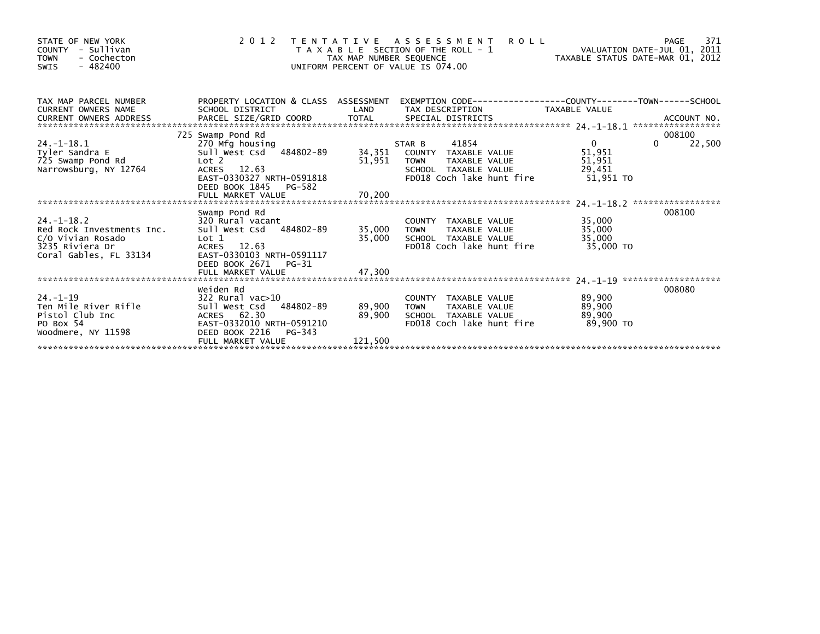| STATE OF NEW YORK<br>- Sullivan<br><b>COUNTY</b><br><b>TOWN</b><br>- Cochecton<br>$-482400$<br>SWIS             | 2 0 1 2                                                                                                                                                               | TAX MAP NUMBER SEQUENCE     | <b>ROLL</b><br>TENTATIVE ASSESSMENT<br>T A X A B L E SECTION OF THE ROLL - 1<br>UNIFORM PERCENT OF VALUE IS 074.00                  | VALUATION DATE-JUL 01, 2011<br>TAXABLE STATUS DATE-MAR 01, 2012 | 371<br>PAGE                  |
|-----------------------------------------------------------------------------------------------------------------|-----------------------------------------------------------------------------------------------------------------------------------------------------------------------|-----------------------------|-------------------------------------------------------------------------------------------------------------------------------------|-----------------------------------------------------------------|------------------------------|
| TAX MAP PARCEL NUMBER<br><b>CURRENT OWNERS NAME</b><br><b>CURRENT OWNERS ADDRESS</b>                            | SCHOOL DISTRICT                                                                                                                                                       | LAND                        | PROPERTY LOCATION & CLASS ASSESSMENT EXEMPTION CODE----------------COUNTY-------TOWN-----SCHOOL<br>TAX DESCRIPTION                  | TAXABLE VALUE                                                   |                              |
| $24. - 1 - 18.1$<br>Tyler Sandra E<br>725 Swamp Pond Rd<br>Narrowsburg, NY 12764                                | 725 Swamp Pond Rd<br>270 Mfg housing<br>Sull West Csd 484802-89<br>Lot 2<br>ACRES 12.63<br>EAST-0330327 NRTH-0591818<br>DEED BOOK 1845<br>PG-582<br>FULL MARKET VALUE | 51,951<br>70,200            | 41854<br>STAR B<br>34,351 COUNTY TAXABLE VALUE<br><b>TOWN</b><br>TAXABLE VALUE<br>SCHOOL TAXABLE VALUE<br>FD018 Coch lake hunt fire | $\overline{0}$<br>51,951<br>51,951<br>29,451<br>51.951 TO       | 008100<br>22,500<br>$\Omega$ |
| $24. - 1 - 18.2$<br>Red Rock Investments Inc.<br>C/O Vivian Rosado<br>3235 Riviera Dr<br>Coral Gables, FL 33134 | Swamp Pond Rd<br>320 Rural vacant<br>Sull West Csd 484802-89<br>Lot 1<br>ACRES<br>12.63<br>EAST-0330103 NRTH-0591117<br>DEED BOOK 2671<br>PG-31<br>FULL MARKET VALUE  | 35,000<br>35,000<br>47,300  | COUNTY TAXABLE VALUE<br>TAXABLE VALUE<br><b>TOWN</b><br>SCHOOL TAXABLE VALUE<br>FD018 Coch lake hunt fire                           | 35,000<br>35,000<br>35,000<br>35,000 TO                         | 008100                       |
| $24. -1 - 19$<br>Ten Mile River Rifle<br>Pistol Club Inc<br>PO Box 54<br>Woodmere, NY 11598                     | Weiden Rd<br>322 Rural vac>10<br>484802-89<br>Sull West Csd<br>ACRES 62.30<br>EAST-0332010 NRTH-0591210<br>DEED BOOK 2216 PG-343<br>FULL MARKET VALUE                 | 89,900<br>89,900<br>121,500 | COUNTY TAXABLE VALUE<br><b>TOWN</b><br>TAXABLE VALUE<br>SCHOOL TAXABLE VALUE<br>FD018 Coch lake hunt fire                           | 89,900<br>89,900<br>89,900<br>89,900 TO                         | 008080                       |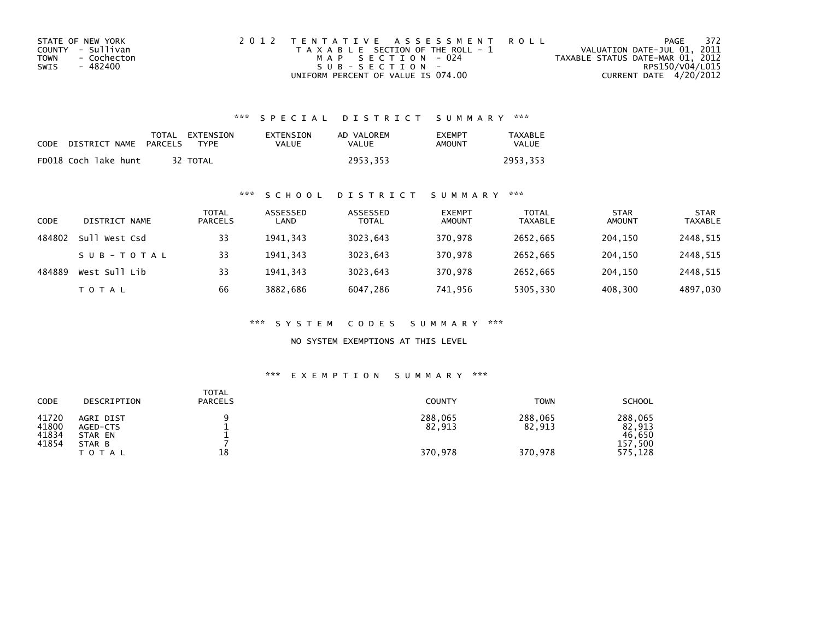| STATE OF NEW YORK   | 2012 TENTATIVE ASSESSMENT ROLL        | PAGE                             | - 372 |
|---------------------|---------------------------------------|----------------------------------|-------|
| COUNTY - Sullivan   | T A X A B L E SECTION OF THE ROLL - 1 | VALUATION DATE-JUL 01, 2011      |       |
| TOWN<br>- Cochecton | MAP SECTION - 024                     | TAXABLE STATUS DATE-MAR 01, 2012 |       |
| - 482400<br>SWIS    | $S \cup B - S F C T T O N -$          | RPS150/V04/L015                  |       |
|                     | UNIFORM PERCENT OF VALUE IS 074.00    | CURRENT DATE 4/20/2012           |       |

| CODE | DISTRICT NAME PARCELS | TOTAL EXTENSION<br>TYPF | EXTENSION<br>VALUE | AD VALOREM<br>VALUE | <b>EXEMPT</b><br>AMOUNT | <b>TAXABLE</b><br><b>VALUE</b> |
|------|-----------------------|-------------------------|--------------------|---------------------|-------------------------|--------------------------------|
|      | FD018 Coch lake hunt  | 32 TOTAL                |                    | 2953,353            |                         | 2953.353                       |

# \*\*\* S C H O O L D I S T R I C T S U M M A R Y \*\*\*

| CODE   | DISTRICT NAME | <b>TOTAL</b><br><b>PARCELS</b> | ASSESSED<br>LAND | ASSESSED<br><b>TOTAL</b> | <b>EXEMPT</b><br><b>AMOUNT</b> | <b>TOTAL</b><br><b>TAXABLE</b> | <b>STAR</b><br><b>AMOUNT</b> | <b>STAR</b><br><b>TAXABLE</b> |
|--------|---------------|--------------------------------|------------------|--------------------------|--------------------------------|--------------------------------|------------------------------|-------------------------------|
| 484802 | Sull West Csd | 33                             | 1941.343         | 3023,643                 | 370.978                        | 2652,665                       | 204.150                      | 2448,515                      |
|        | SUB-TOTAL     | 33                             | 1941.343         | 3023,643                 | 370,978                        | 2652,665                       | 204,150                      | 2448,515                      |
| 484889 | West Sull Lib | 33                             | 1941.343         | 3023,643                 | 370,978                        | 2652,665                       | 204,150                      | 2448,515                      |
|        | <b>TOTAL</b>  | 66                             | 3882,686         | 6047,286                 | 741,956                        | 5305,330                       | 408,300                      | 4897,030                      |

\*\*\* S Y S T E M C O D E S S U M M A R Y \*\*\*

NO SYSTEM EXEMPTIONS AT THIS LEVEL

| CODE                             | DESCRIPTION                                | <b>TOTAL</b><br><b>PARCELS</b> | <b>COUNTY</b>     | <b>TOWN</b>       | <b>SCHOOL</b>                          |
|----------------------------------|--------------------------------------------|--------------------------------|-------------------|-------------------|----------------------------------------|
| 41720<br>41800<br>41834<br>41854 | AGRI DIST<br>AGED-CTS<br>STAR EN<br>STAR B |                                | 288,065<br>82,913 | 288,065<br>82,913 | 288,065<br>82,913<br>46.650<br>157,500 |
|                                  | <b>TOTAL</b>                               | 18                             | 370,978           | 370.978           | 575,128                                |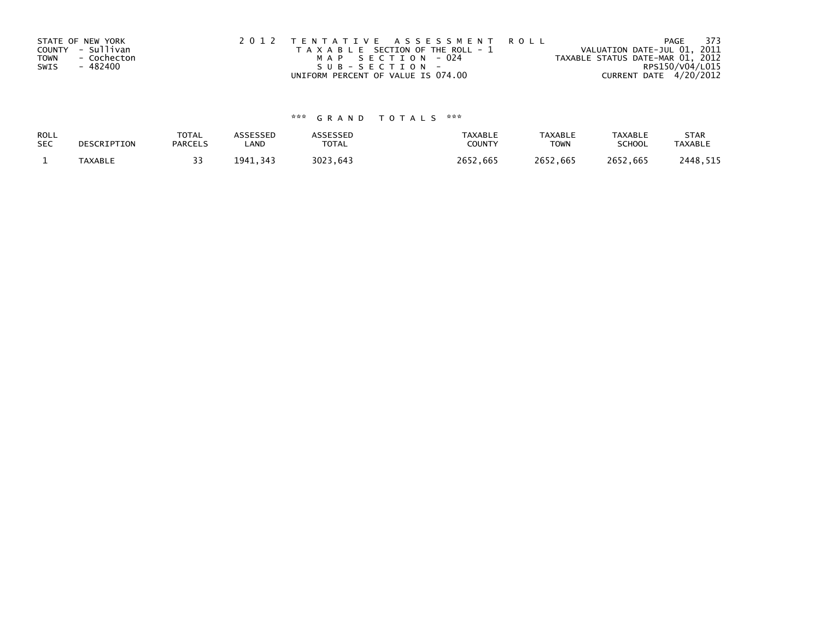| STATE OF NEW YORK          | 2012 TENTATIVE ASSESSMENT ROLL        |                                  | PAGE | 373 |
|----------------------------|---------------------------------------|----------------------------------|------|-----|
| COUNTY - Sullivan          | T A X A B L E SECTION OF THE ROLL - 1 | VALUATION DATE-JUL 01, 2011      |      |     |
| - Cochecton<br><b>TOWN</b> | MAP SECTION - 024                     | TAXABLE STATUS DATE-MAR 01, 2012 |      |     |
| - 482400<br>SWIS           | $SUB - SECTION -$                     | RPS150/V04/L015                  |      |     |
|                            | UNIFORM PERCENT OF VALUE IS 074.00    | CURRENT DATE 4/20/2012           |      |     |

| ROLL       | DESCRIPTION    | <b>TOTAL</b>   | ASSESSED | <b>ASSESSED</b> | <b>TAXABLE</b> | <b>TAXABLE</b> | <b>TAXABLE</b> | <b>STAR</b>    |
|------------|----------------|----------------|----------|-----------------|----------------|----------------|----------------|----------------|
| <b>SEC</b> |                | <b>PARCELS</b> | LAND     | TOTAL           | <b>COUNTY</b>  | <b>TOWN</b>    | <b>SCHOOL</b>  | <b>TAXABLE</b> |
|            | <b>TAXABLE</b> |                | 1941.343 | 3023.643        | 2652.665       | 2652.665       | 2652.665       | 2448,515       |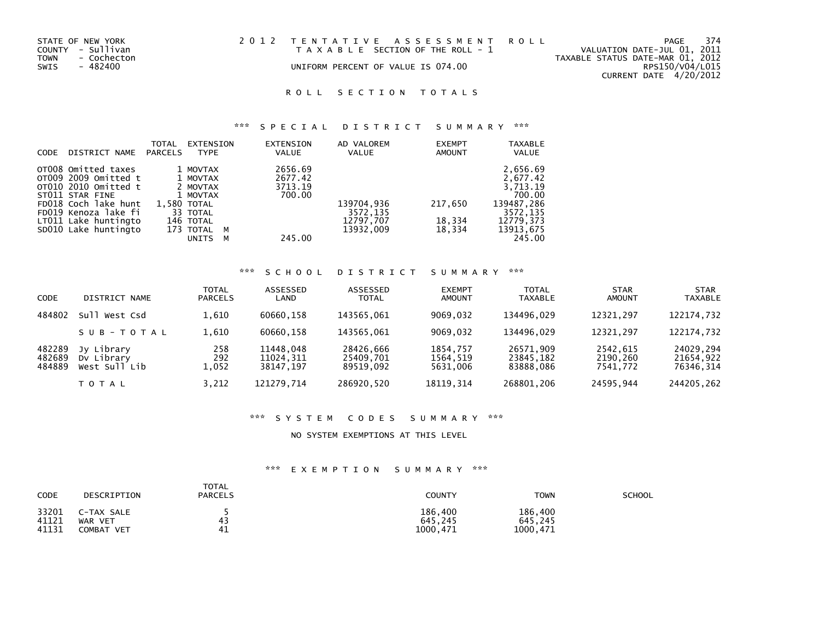| STATE OF NEW YORK<br>COUNTY - Sullivan | 2012 TENTATIVE ASSESSMENT ROLL<br>T A X A B L E SECTION OF THE ROLL - 1 | PAGE<br>VALUATION DATE-JUL 01, 2011       | 374 |
|----------------------------------------|-------------------------------------------------------------------------|-------------------------------------------|-----|
| TOWN<br>- Cochecton                    |                                                                         | TAXABLE STATUS DATE-MAR 01, 2012          |     |
| SWIS<br>- 482400                       | UNIFORM PERCENT OF VALUE IS 074.00                                      | RPS150/V04/L015<br>CURRENT DATE 4/20/2012 |     |

# \*\*\* S P E C I A L D I S T R I C T S U M M A R Y \*\*\*

| <b>CODE</b> | DISTRICT NAME        | <b>TOTAL</b><br><b>PARCELS</b> | EXTENSION<br><b>TYPE</b> |   | <b>EXTENSION</b><br><b>VALUE</b> | AD VALOREM<br><b>VALUE</b> | <b>EXEMPT</b><br><b>AMOUNT</b> | <b>TAXABLE</b><br><b>VALUE</b> |
|-------------|----------------------|--------------------------------|--------------------------|---|----------------------------------|----------------------------|--------------------------------|--------------------------------|
|             | OT008 Omitted taxes  |                                | 1 MOVTAX                 |   | 2656.69                          |                            |                                | 2,656.69                       |
|             | OT009 2009 Omitted t |                                | 1 MOVTAX                 |   | 2677.42                          |                            |                                | 2,677.42                       |
|             | OT010 2010 Omitted t |                                | 2 MOVTAX                 |   | 3713.19                          |                            |                                | 3,713.19                       |
|             | ST011 STAR FINE      |                                | 1 MOVTAX                 |   | 700.00                           |                            |                                | 700.00                         |
|             | FD018 Coch lake hunt |                                | 1,580 TOTAL              |   |                                  | 139704,936                 | 217,650                        | 139487,286                     |
|             | FD019 Kenoza lake fi |                                | 33 TOTAL                 |   |                                  | 3572.135                   |                                | 3572.135                       |
|             | LT011 Lake huntingto |                                | 146 TOTAL                |   |                                  | 12797,707                  | 18,334                         | 12779.373                      |
|             | SD010 Lake huntingto |                                | 173 TOTAL                | M |                                  | 13932.009                  | 18,334                         | 13913,675                      |
|             |                      |                                | <b>UNITS</b>             | м | 245.00                           |                            |                                | 245.00                         |

# \*\*\* S C H O O L D I S T R I C T S U M M A R Y \*\*\*

| <b>CODE</b>                | DISTRICT NAME                             | TOTAL<br><b>PARCELS</b> | <b>ASSESSED</b><br>LAND             | ASSESSED<br><b>TOTAL</b>            | <b>EXEMPT</b><br><b>AMOUNT</b>   | <b>TOTAL</b><br><b>TAXABLE</b>      | <b>STAR</b><br><b>AMOUNT</b>     | <b>STAR</b><br><b>TAXABLE</b>       |
|----------------------------|-------------------------------------------|-------------------------|-------------------------------------|-------------------------------------|----------------------------------|-------------------------------------|----------------------------------|-------------------------------------|
| 484802                     | Sull West Csd                             | 1.610                   | 60660.158                           | 143565.061                          | 9069.032                         | 134496.029                          | 12321.297                        | 122174,732                          |
|                            | SUB-TOTAL                                 | 1,610                   | 60660.158                           | 143565.061                          | 9069.032                         | 134496.029                          | 12321.297                        | 122174,732                          |
| 482289<br>482689<br>484889 | Jy Library<br>Dy Library<br>West Sull Lib | 258<br>292<br>1,052     | 11448.048<br>11024,311<br>38147.197 | 28426,666<br>25409,701<br>89519.092 | 1854.757<br>1564,519<br>5631,006 | 26571,909<br>23845,182<br>83888.086 | 2542.615<br>2190,260<br>7541.772 | 24029,294<br>21654,922<br>76346,314 |
|                            | TOTAL                                     | 3.212                   | 121279.714                          | 286920,520                          | 18119, 314                       | 268801,206                          | 24595,944                        | 244205.262                          |

## \*\*\* S Y S T E M C O D E S S U M M A R Y \*\*\*

#### NO SYSTEM EXEMPTIONS AT THIS LEVEL

| <b>CODE</b>    | DESCRIPTION           | TOTAL<br><b>PARCELS</b> | COUNTY             | <b>TOWN</b>        | SCHOOL |
|----------------|-----------------------|-------------------------|--------------------|--------------------|--------|
| 33201<br>41121 | C-TAX SALE<br>WAR VET | 43                      | 186,400<br>645.245 | 186,400<br>645,245 |        |
| 41131          | COMBAT<br><b>VET</b>  | 41                      | 1000.471           | 1000,471           |        |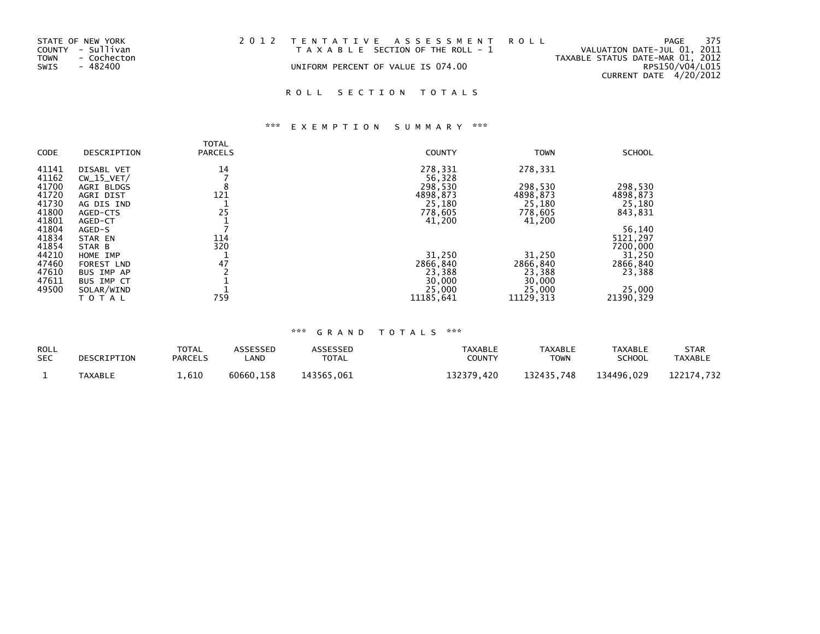| STATE OF NEW YORK   | 2012 TENTATIVE ASSESSMENT ROLL        | PAGE                             | 375 |
|---------------------|---------------------------------------|----------------------------------|-----|
| COUNTY - Sullivan   | T A X A B L E SECTION OF THE ROLL - 1 | VALUATION DATE-JUL 01, 2011      |     |
| TOWN<br>- Cochecton |                                       | TAXABLE STATUS DATE-MAR 01, 2012 |     |
| SWIS<br>- 482400    | UNIFORM PERCENT OF VALUE IS 074.00    | RPS150/V04/L015                  |     |
|                     |                                       | CURRENT DATE 4/20/2012           |     |

# \*\*\* E X E M P T I O N S U M M A R Y \*\*\*

|             |                   | TOTAL          |               |             |               |
|-------------|-------------------|----------------|---------------|-------------|---------------|
| <b>CODE</b> | DESCRIPTION       | <b>PARCELS</b> | <b>COUNTY</b> | <b>TOWN</b> | <b>SCHOOL</b> |
| 41141       | DISABL VET        | 14             | 278,331       | 278,331     |               |
| 41162       | $CW_15_VET/$      |                | 56,328        |             |               |
| 41700       | AGRI BLDGS        | 8              | 298,530       | 298,530     | 298,530       |
| 41720       | AGRI DIST         | 121            | 4898,873      | 4898,873    | 4898,873      |
| 41730       | AG DIS IND        |                | 25,180        | 25,180      | 25,180        |
| 41800       | AGED-CTS          | 25             | 778,605       | 778,605     | 843,831       |
| 41801       | AGED-CT           |                | 41,200        | 41,200      |               |
| 41804       | AGED-S            |                |               |             | 56,140        |
| 41834       | STAR EN           | 114            |               |             | 5121,297      |
| 41854       | STAR B            | 320            |               |             | 7200,000      |
| 44210       | HOME IMP          |                | 31,250        | 31,250      | 31,250        |
| 47460       | <b>FOREST LND</b> | 47             | 2866,840      | 2866,840    | 2866,840      |
| 47610       | BUS IMP AP        |                | 23,388        | 23,388      | 23,388        |
| 47611       | BUS IMP CT        |                | 30,000        | 30,000      |               |
| 49500       | SOLAR/WIND        |                | 25,000        | 25,000      | 25,000        |
|             | TOTAL             | 759            | 11185.641     | 11129.313   | 21390, 329    |

| <b>ROLL</b> | DESCRIPTION    | TOTAL          | ASSESSED  | ASSESSED     | <b>TAXABLE</b> | <b>TAXABLE</b> | <b>TAXABLE</b> | <b>STAR</b>    |
|-------------|----------------|----------------|-----------|--------------|----------------|----------------|----------------|----------------|
| <b>SEC</b>  |                | <b>PARCELS</b> | _AND      | <b>TOTAL</b> | <b>COUNTY</b>  | ⊤OWN           | SCHOOL         | <b>TAXABLE</b> |
|             | <b>TAXABLE</b> | 1,610          | 60660.158 | 143565.061   | 132379.420     | 132435.748     | 134496.029     | 122174.732     |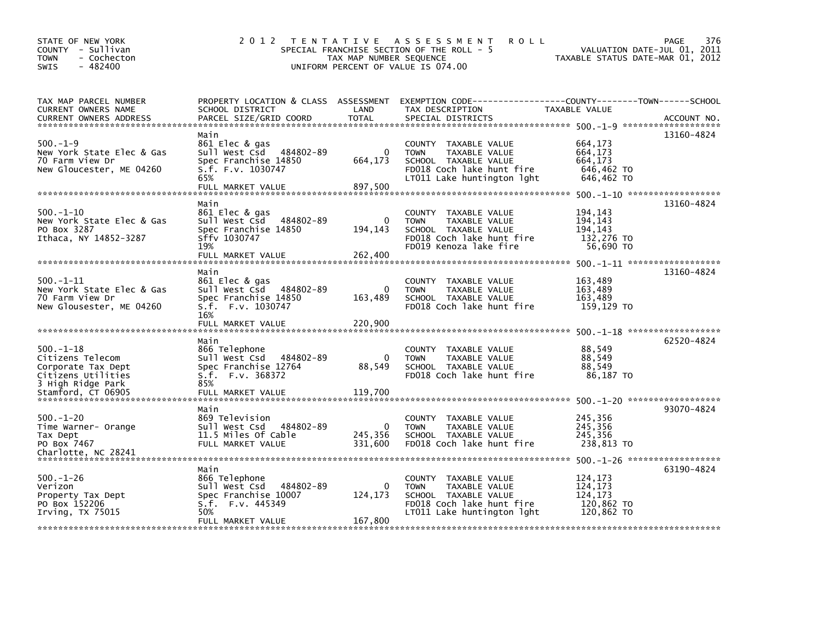| STATE OF NEW YORK<br>COUNTY - Sullivan<br>- Cochecton<br>TOWN<br>$-482400$<br>SWIS               | 2 0 1 2                                                                                                                  | TAX MAP NUMBER SEQUENCE             | TENTATIVE ASSESSMENT<br><b>ROLL</b><br>SPECIAL FRANCHISE SECTION OF THE ROLL - 5<br>UNIFORM PERCENT OF VALUE IS 074.00                  | VALUATION DATE-JUL 01, 2011<br>TAXABLE STATUS DATE-MAR 01, 2012 | <b>PAGE</b><br>376 |
|--------------------------------------------------------------------------------------------------|--------------------------------------------------------------------------------------------------------------------------|-------------------------------------|-----------------------------------------------------------------------------------------------------------------------------------------|-----------------------------------------------------------------|--------------------|
| TAX MAP PARCEL NUMBER<br>CURRENT OWNERS NAME<br><b>CURRENT OWNERS ADDRESS</b>                    | PROPERTY LOCATION & CLASS ASSESSMENT<br>SCHOOL DISTRICT<br>PARCEL SIZE/GRID COORD                                        | LAND<br><b>TOTAL</b>                | EXEMPTION CODE------------------COUNTY--------TOWN------SCHOOL<br>TAX DESCRIPTION<br>SPECIAL DISTRICTS                                  | TAXABLE VALUE                                                   | ACCOUNT NO.        |
| $500 - 1 - 9$<br>New York State Elec & Gas<br>70 Farm View Dr<br>New Gloucester, ME 04260        | Main<br>861 Elec & gas<br>Sull West Csd 484802-89<br>Spec Franchise 14850<br>S.f. F.v. 1030747<br>65%                    | $\Omega$<br>664,173                 | COUNTY TAXABLE VALUE<br><b>TOWN</b><br>TAXABLE VALUE<br>SCHOOL TAXABLE VALUE<br>FD018 Coch lake hunt fire<br>LT011 Lake huntington lght | 664,173<br>664,173<br>664,173<br>646,462 TO<br>646,462 TO       | 13160-4824         |
| $500 - 1 - 10$<br>New York State Elec & Gas<br>PO Box 3287<br>Ithaca, NY 14852-3287              | FULL MARKET VALUE<br>Main<br>861 Elec & gas<br>Sull West Csd 484802-89<br>Spec Franchise 14850<br>Sffv 1030747<br>19%    | 897,500<br>$\mathbf{0}$<br>194, 143 | COUNTY TAXABLE VALUE<br><b>TOWN</b><br>TAXABLE VALUE<br>SCHOOL TAXABLE VALUE<br>FD018 Coch lake hunt fire<br>FD019 Kenoza lake fire     | 194,143<br>194,143<br>194.143<br>132,276 TO<br>56,690 TO        | 13160-4824         |
| $500.-1-11$<br>New York State Elec & Gas<br>70 Farm View Dr<br>New Glousester, ME 04260          | Main<br>861 Elec & gas<br>sull west Csd<br>484802-89<br>Spec Franchise 14850<br>S.f. F.v. 1030747<br>16%                 | 0<br>163,489                        | COUNTY TAXABLE VALUE<br><b>TOWN</b><br>TAXABLE VALUE<br>SCHOOL TAXABLE VALUE<br>FD018 Coch lake hunt fire                               | 163,489<br>163,489<br>163,489<br>159,129 TO                     | 13160-4824         |
| $500.-1-18$<br>Citizens Telecom<br>Corporate Tax Dept<br>Citizens Utilities<br>3 High Ridge Park | Main<br>866 Telephone<br>Sull West Csd<br>484802-89<br>Spec Franchise 12764<br>S.f. F.v. 368372<br>85%                   | 0<br>88,549                         | <b>COUNTY</b><br>TAXABLE VALUE<br><b>TOWN</b><br>TAXABLE VALUE<br>SCHOOL TAXABLE VALUE<br>FD018 Coch lake hunt fire                     | 88,549<br>88,549<br>88,549<br>86,187 TO                         | 62520-4824         |
| $500.-1-20$<br>Time Warner- Orange<br>Tax Dept<br>PO Box 7467<br>Charlotte, NC 28241             | Main<br>869 Television<br>Sull West Csd 484802-89<br>11.5 Miles Of Cable<br>FULL MARKET VALUE                            | $\mathbf{0}$<br>245,356<br>331,600  | COUNTY TAXABLE VALUE<br><b>TOWN</b><br>TAXABLE VALUE<br>SCHOOL TAXABLE VALUE<br>FD018 Coch lake hunt fire                               | 245,356<br>245,356<br>245.356<br>238,813 TO                     | 93070-4824         |
| $500.-1-26$<br>Verizon<br>Property Tax Dept<br>PO Box 152206<br>Irving, $TX$ 75015               | Main<br>866 Telephone<br>Sull West Csd 484802-89<br>Spec Franchise 10007<br>S.f. F.v. 445349<br>50%<br>FULL MARKET VALUE | 0<br>124,173<br>167,800             | COUNTY TAXABLE VALUE<br>TAXABLE VALUE<br><b>TOWN</b><br>SCHOOL TAXABLE VALUE<br>FD018 Coch lake hunt fire<br>LT011 Lake huntington lght | 124,173<br>124,173<br>124.173<br>120,862 TO<br>120,862 TO       | 63190-4824         |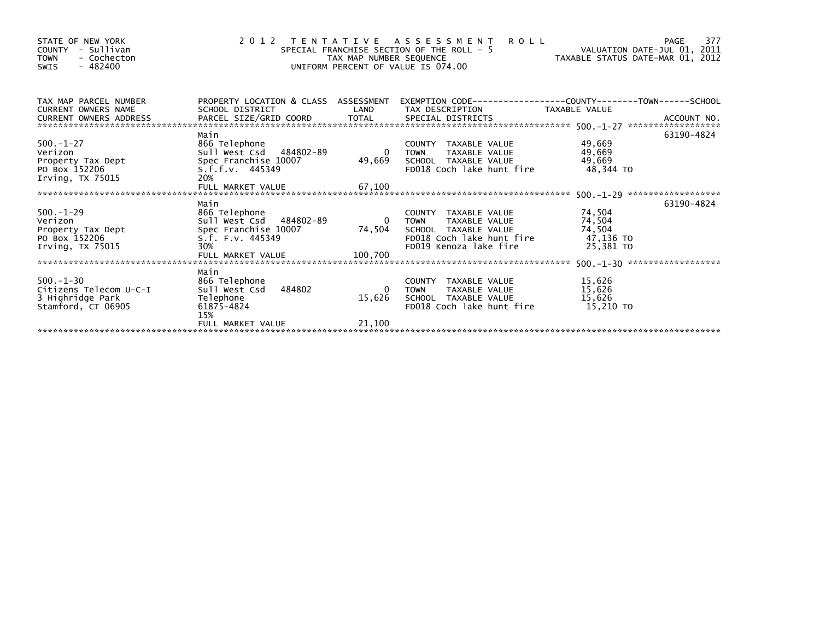| STATE OF NEW YORK<br>- Sullivan<br><b>COUNTY</b><br><b>TOWN</b><br>- Cochecton<br>$-482400$<br>SWIS |                                                                                                                          | TAX MAP NUMBER SEQUENCE                     | 2012 TENTATIVE ASSESSMENT<br><b>ROLL</b><br>SPECIAL FRANCHISE SECTION OF THE ROLL - 5<br>UNIFORM PERCENT OF VALUE IS 074.00         | VALUATION DATE-JUL 01, 2011<br>VALUATION DATE-JUL U1, ZUIL<br>TAXABLE STATUS DATE-MAR 01, 2012 | 377<br>PAGE |
|-----------------------------------------------------------------------------------------------------|--------------------------------------------------------------------------------------------------------------------------|---------------------------------------------|-------------------------------------------------------------------------------------------------------------------------------------|------------------------------------------------------------------------------------------------|-------------|
| TAX MAP PARCEL NUMBER<br><b>CURRENT OWNERS NAME</b><br>CURRENT OWNERS ADDRESS                       | PROPERTY LOCATION & CLASS ASSESSMENT<br>SCHOOL DISTRICT                                                                  | LAND                                        | EXEMPTION        CODE-----------------COUNTY-------TOWN------SCHOOL<br>TAX DESCRIPTION TAXABLE VALUE                                |                                                                                                |             |
| $500 - 1 - 27$<br>Verizon<br>Property Tax Dept<br>PO Box 152206<br>Irving, $TX$ 75015               | Main<br>866 Telephone<br>Sull West Csd 484802-89<br>Spec Franchise 10007<br>S.f.f.v. 445349<br>20%<br>FULL MARKET VALUE  | $\overline{\mathbf{0}}$<br>49,669<br>67,100 | COUNTY TAXABLE VALUE<br>TAXABLE VALUE<br><b>TOWN</b><br>SCHOOL TAXABLE VALUE<br>FD018 Coch lake hunt fire                           | 49,669<br>49,669<br>49,669<br>48,344 TO                                                        | 63190-4824  |
| $500 - 1 - 29$<br>Verizon<br>Property Tax Dept<br>PO Box 152206<br>Irving, $TX$ 75015               | Main<br>866 Telephone<br>Sull West Csd 484802-89<br>Spec Franchise 10007<br>S.f. F.v. 445349<br>30%<br>FULL MARKET VALUE | $\Omega$<br>74,504<br>100,700               | COUNTY TAXABLE VALUE<br><b>TOWN</b><br>TAXABLE VALUE<br>SCHOOL TAXABLE VALUE<br>FD018 Coch lake hunt fire<br>FD019 Kenoza lake fire | 74,504<br>74,504<br>74,504<br>47,136 TO<br>25,381 TO                                           | 63190-4824  |
| $500 - 1 - 30$<br>Citizens Telecom U-C-I<br>3 Highridge Park<br>Stamford, CT 06905                  | Main<br>866 Telephone<br>484802<br>Sull West Csd<br>Telephone<br>61875-4824<br>15%                                       | 15,626                                      | COUNTY TAXABLE VALUE<br>TAXABLE VALUE<br><b>TOWN</b><br>SCHOOL TAXABLE VALUE<br>FD018 Coch lake hunt fire                           | 15,626<br>15,626<br>15,626<br>15,210 TO                                                        |             |
|                                                                                                     | FULL MARKET VALUE                                                                                                        | 21,100                                      |                                                                                                                                     |                                                                                                |             |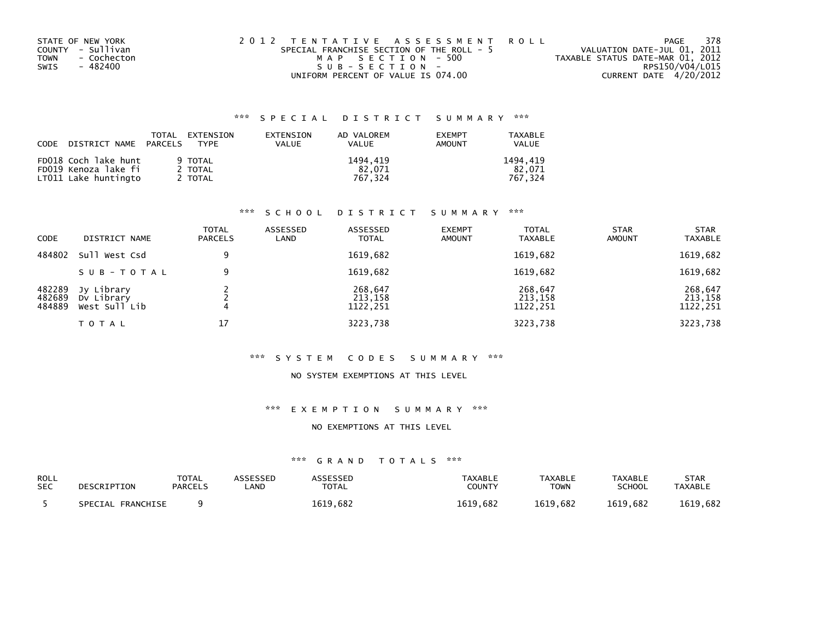| STATE OF NEW YORK   | 2012 TENTATIVE ASSESSMENT ROLL            | PAGE                             | 378             |
|---------------------|-------------------------------------------|----------------------------------|-----------------|
| COUNTY - Sullivan   | SPECIAL FRANCHISE SECTION OF THE ROLL - 5 | VALUATION DATE-JUL 01, 2011      |                 |
| - Cochecton<br>TOWN | MAP SECTION - 500                         | TAXABLE STATUS DATE-MAR 01, 2012 |                 |
| - 482400<br>SWIS    | SUB-SECTION-                              |                                  | RPS150/V04/L015 |
|                     | UNIFORM PERCENT OF VALUE IS 074.00        | CURRENT DATE 4/20/2012           |                 |

| CODE | DISTRICT NAME PARCELS                                                | TOTAL | EXTENSION<br><b>TYPF</b>      | EXTENSION<br>VALUE | AD VALOREM<br>VALUE           | <b>EXEMPT</b><br>AMOUNT | TAXABLE<br><b>VALUE</b>       |
|------|----------------------------------------------------------------------|-------|-------------------------------|--------------------|-------------------------------|-------------------------|-------------------------------|
|      | FD018 Coch lake hunt<br>FD019 Kenoza lake fi<br>LT011 Lake huntingto |       | 9 TOTAL<br>2 TOTAL<br>2 TOTAL |                    | 1494.419<br>82.071<br>767.324 |                         | 1494.419<br>82.071<br>767.324 |

## \*\*\* S C H O O L D I S T R I C T S U M M A R Y \*\*\*

| CODE                       | DISTRICT NAME                             | <b>TOTAL</b><br><b>PARCELS</b> | ASSESSED<br>LAND | ASSESSED<br><b>TOTAL</b>       | <b>EXEMPT</b><br><b>AMOUNT</b> | <b>TOTAL</b><br><b>TAXABLE</b> | <b>STAR</b><br><b>AMOUNT</b> | <b>STAR</b><br><b>TAXABLE</b>  |
|----------------------------|-------------------------------------------|--------------------------------|------------------|--------------------------------|--------------------------------|--------------------------------|------------------------------|--------------------------------|
| 484802                     | Sull West Csd                             | 9                              |                  | 1619,682                       |                                | 1619,682                       |                              | 1619,682                       |
|                            | SUB-TOTAL                                 | 9                              |                  | 1619,682                       |                                | 1619,682                       |                              | 1619,682                       |
| 482289<br>482689<br>484889 | Jy Library<br>Dy Library<br>West Sull Lib |                                |                  | 268,647<br>213,158<br>1122,251 |                                | 268,647<br>213,158<br>1122,251 |                              | 268,647<br>213,158<br>1122,251 |
|                            | T O T A L                                 | 17                             |                  | 3223,738                       |                                | 3223,738                       |                              | 3223,738                       |

## \*\*\* S Y S T E M C O D E S S U M M A R Y \*\*\*

## NO SYSTEM EXEMPTIONS AT THIS LEVEL

## \*\*\* E X E M P T I O N S U M M A R Y \*\*\*

## NO EXEMPTIONS AT THIS LEVEL

| ROLL       | DESCRIPTION       | <b>TOTAL</b>   | ASSESSED | <b>\SSESSED</b> | <b>TAXABLE</b> | <b>TAXABLE</b> | <b>TAXABLE</b> | <b>STAR</b>    |
|------------|-------------------|----------------|----------|-----------------|----------------|----------------|----------------|----------------|
| <b>SEC</b> |                   | <b>PARCELS</b> | LAND     | TOTAL           | COUNTY         | <b>TOWN</b>    | SCHOOL         | <b>TAXABLE</b> |
|            | SPECIAL FRANCHISE |                |          | 1619,682        | 1619.682       | 1619.682       | 1619.682       | 1619,682       |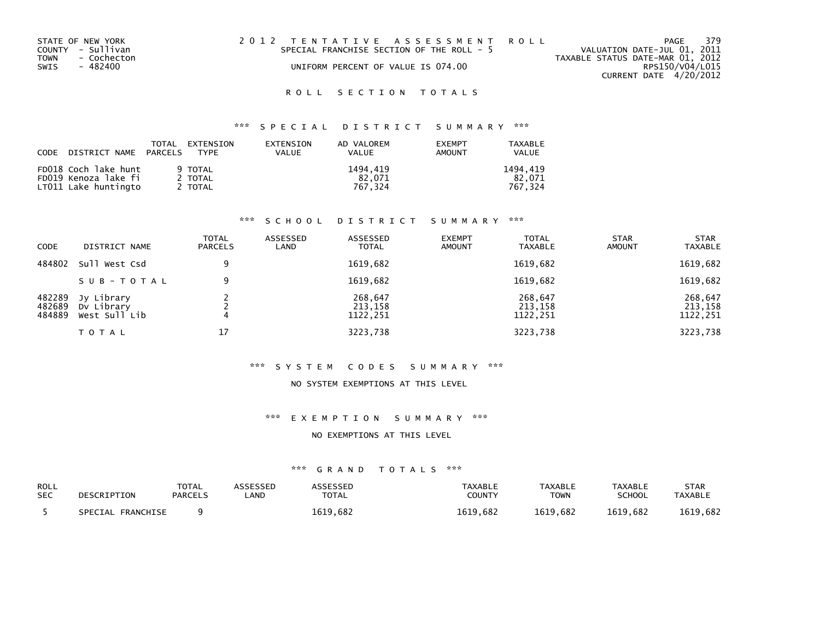| STATE OF NEW YORK   | 2012 TENTATIVE ASSESSMENT ROLL            | PAGE                             | 379 |
|---------------------|-------------------------------------------|----------------------------------|-----|
| COUNTY - Sullivan   | SPECIAL FRANCHISE SECTION OF THE ROLL - 5 | VALUATION DATE-JUL 01, 2011      |     |
| TOWN<br>- Cochecton |                                           | TAXABLE STATUS DATE-MAR 01, 2012 |     |
| SWIS<br>- 482400    | UNIFORM PERCENT OF VALUE IS 074.00        | RPS150/V04/L015                  |     |
|                     |                                           | CURRENT DATE 4/20/2012           |     |

# \*\*\* S P E C I A L D I S T R I C T S U M M A R Y \*\*\*

|                      | TOTAL<br>EXTENSION<br>CODE DISTRICT NAME PARCELS TYPE | EXTENSION<br><b>VALUE</b> | AD VALOREM<br><b>VALUE</b> | <b>FXFMPT</b><br><b>AMOUNT</b> | TAXARI F<br><b>VALUE</b> |
|----------------------|-------------------------------------------------------|---------------------------|----------------------------|--------------------------------|--------------------------|
| FD018 Coch lake hunt | 9 TOTAL                                               |                           | 1494.419                   |                                | 1494.419                 |
| FD019 Kenoza lake fi | 2 TOTAL                                               |                           | 82.071                     |                                | 82.071                   |
| LT011 Lake huntingto | 2 TOTAL                                               |                           | 767.324                    |                                | 767.324                  |

## \*\*\* S C H O O L D I S T R I C T S U M M A R Y \*\*\*

| <b>CODE</b>                | DISTRICT NAME                             | <b>TOTAL</b><br><b>PARCELS</b> | ASSESSED<br>LAND | ASSESSED<br><b>TOTAL</b>       | <b>EXEMPT</b><br><b>AMOUNT</b> | <b>TOTAL</b><br><b>TAXABLE</b> | <b>STAR</b><br><b>AMOUNT</b> | <b>STAR</b><br><b>TAXABLE</b>  |
|----------------------------|-------------------------------------------|--------------------------------|------------------|--------------------------------|--------------------------------|--------------------------------|------------------------------|--------------------------------|
| 484802                     | Sull West Csd                             | 9                              |                  | 1619,682                       |                                | 1619,682                       |                              | 1619,682                       |
|                            | SUB-TOTAL                                 | 9                              |                  | 1619,682                       |                                | 1619,682                       |                              | 1619,682                       |
| 482289<br>482689<br>484889 | Jy Library<br>Dv Library<br>West Sull Lib |                                |                  | 268,647<br>213,158<br>1122,251 |                                | 268,647<br>213,158<br>1122,251 |                              | 268,647<br>213,158<br>1122,251 |
|                            | <b>TOTAL</b>                              | 17                             |                  | 3223,738                       |                                | 3223,738                       |                              | 3223,738                       |

## \*\*\* S Y S T E M C O D E S S U M M A R Y \*\*\*

## NO SYSTEM EXEMPTIONS AT THIS LEVEL

## \*\*\* E X E M P T I O N S U M M A R Y \*\*\*

#### NO EXEMPTIONS AT THIS LEVEL

| <b>ROLL</b> | DESCRIPTION       | <b>TOTAL</b>   | ASSESSED | ASSESSED     | TAXABLE  | <b>TAXABLE</b> | <b>TAXABLE</b> | <b>STAR</b>    |
|-------------|-------------------|----------------|----------|--------------|----------|----------------|----------------|----------------|
| <b>SEC</b>  |                   | <b>PARCELS</b> | _AND     | <b>TOTAL</b> | COUNTY   | <b>TOWN</b>    | SCHOOL         | <b>TAXABLE</b> |
|             | SPECIAL FRANCHISE |                |          | 1619.682     | 1619.682 | 1619.682       | 1619.682       | 1619,682       |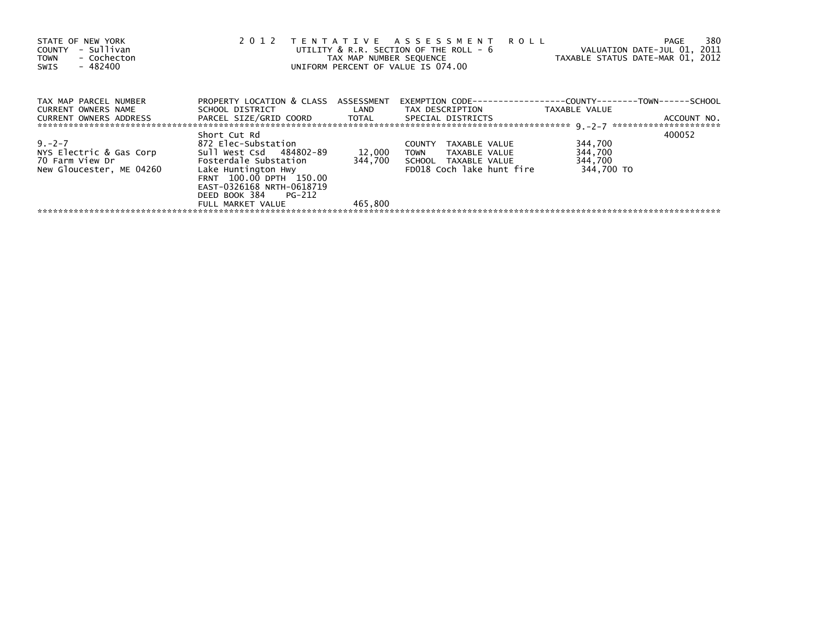| STATE OF NEW YORK<br>COUNTY - Sullivan<br>- Cochecton<br><b>TOWN</b><br>$-482400$<br>SWIS                                           | 2012                                                                                                                                                                                       | TAX MAP NUMBER SEQUENCE | TENTATIVE ASSESSMENT ROLL<br>UTILITY & R.R. SECTION OF THE ROLL - 6<br>UNIFORM PERCENT OF VALUE IS 074.00                                                                   | VALUATION DATE-JUL 01, 2011<br>TAXABLE STATUS DATE-MAR 01, 2012 | 380<br>PAGE |
|-------------------------------------------------------------------------------------------------------------------------------------|--------------------------------------------------------------------------------------------------------------------------------------------------------------------------------------------|-------------------------|-----------------------------------------------------------------------------------------------------------------------------------------------------------------------------|-----------------------------------------------------------------|-------------|
| TAX MAP PARCEL NUMBER<br>CURRENT OWNERS NAME<br><b>CURRENT OWNERS ADDRESS</b>                                                       | PROPERTY LOCATION & CLASS ASSESSMENT                                                                                                                                                       |                         | EXEMPTION        CODE-----------------COUNTY--------TOWN------SCHOOL<br>SCHOOL DISTRICT                        LAND         TAX DESCRIPTION                   TAXABLE VALUE |                                                                 | ACCOUNT NO. |
| $9 - 2 - 7$<br>NYS Electric & Gas Corp<br>70 Farm View Dr                         Fosterdale Substation<br>New Gloucester, ME 04260 | Short Cut Rd<br>872 Elec-Substation<br>sull West Csd 484802-89<br>Lake Huntington Hwy<br>FRNT 100.00 DPTH 150.00<br>EAST-0326168 NRTH-0618719<br>DEED BOOK 384 PG-212<br>FULL MARKET VALUE | 465,800                 | COUNTY<br>TAXABLE VALUE<br>12,000 TOWN TAXABLE VALUE<br>344.700 SCHOOL TAXABLE VALUE<br>FD018 Coch lake hunt fire                                                           | 344,700<br>344,700<br>344,700<br>344,700 TO                     | 400052      |
|                                                                                                                                     |                                                                                                                                                                                            |                         |                                                                                                                                                                             |                                                                 |             |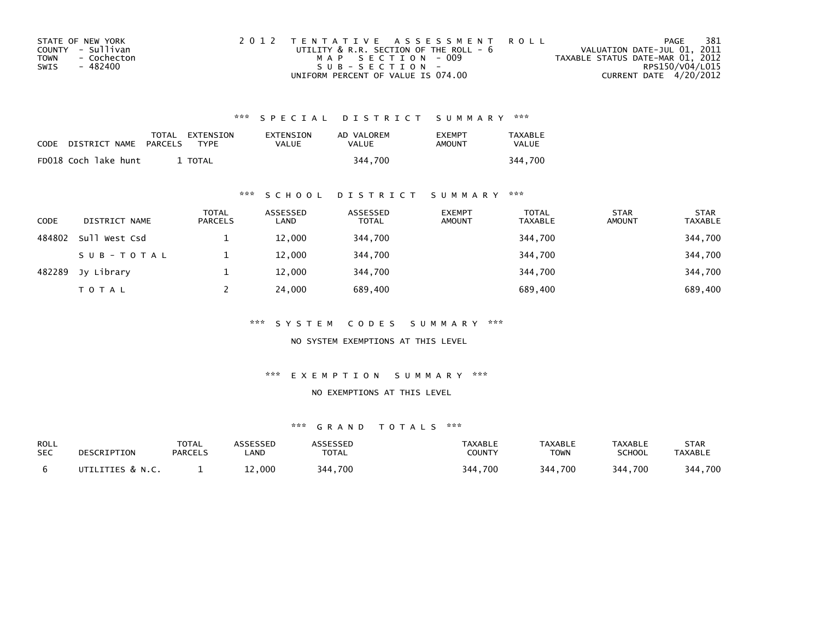| STATE OF NEW YORK   | 2012 TENTATIVE ASSESSMENT ROLL              | PAGE                             | 381 |
|---------------------|---------------------------------------------|----------------------------------|-----|
| COUNTY - Sullivan   | UTILITY $\&$ R.R. SECTION OF THE ROLL - $6$ | VALUATION DATE-JUL 01, 2011      |     |
| TOWN<br>- Cochecton | MAP SECTION - 009                           | TAXABLE STATUS DATE-MAR 01, 2012 |     |
| SWIS<br>- 482400    | $SUB - SECTION -$                           | RPS150/V04/L015                  |     |
|                     | UNIFORM PERCENT OF VALUE IS 074.00          | CURRENT DATE 4/20/2012           |     |

| CODE | DISTRICT NAME        | PARCELS | TOTAL EXTENSION<br><b>TYPF</b> | EXTENSION<br>VALUE | AD VALOREM<br>VALUE | <b>FXFMPT</b><br>AMOUNT | TAXABLE<br>VALUE |
|------|----------------------|---------|--------------------------------|--------------------|---------------------|-------------------------|------------------|
|      | FD018 Coch lake hunt |         | <b>TOTAL</b>                   |                    | 344.700             |                         | 344.700          |

## \*\*\* S C H O O L D I S T R I C T S U M M A R Y \*\*\*

| <b>CODE</b> | DISTRICT NAME | <b>TOTAL</b><br><b>PARCELS</b> | ASSESSED<br>LAND | ASSESSED<br><b>TOTAL</b> | <b>EXEMPT</b><br><b>AMOUNT</b> | <b>TOTAL</b><br><b>TAXABLE</b> | <b>STAR</b><br><b>AMOUNT</b> | <b>STAR</b><br><b>TAXABLE</b> |
|-------------|---------------|--------------------------------|------------------|--------------------------|--------------------------------|--------------------------------|------------------------------|-------------------------------|
| 484802      | Sull West Csd |                                | 12,000           | 344,700                  |                                | 344,700                        |                              | 344,700                       |
|             | SUB-TOTAL     |                                | 12,000           | 344,700                  |                                | 344,700                        |                              | 344,700                       |
| 482289      | Jy Library    |                                | 12,000           | 344.700                  |                                | 344,700                        |                              | 344,700                       |
|             | <b>TOTAL</b>  |                                | 24,000           | 689,400                  |                                | 689,400                        |                              | 689,400                       |

\*\*\* S Y S T E M C O D E S S U M M A R Y \*\*\*

NO SYSTEM EXEMPTIONS AT THIS LEVEL

\*\*\* E X E M P T I O N S U M M A R Y \*\*\*

## NO EXEMPTIONS AT THIS LEVEL

| ROLL       | DESCRIPTION      | <b>TOTAL</b>   | ASSESSED | ASSESSED     | <b>TAXABLE</b> | <b>TAXABLE</b> | TAXABLE       | STAR           |
|------------|------------------|----------------|----------|--------------|----------------|----------------|---------------|----------------|
| <b>SEC</b> |                  | <b>PARCELS</b> | .AND     | <b>TOTAL</b> | COUNTY         | TOWN           | <b>SCHOOL</b> | <b>TAXABLE</b> |
|            | UTILITIES & N.C. |                | 000.∠⊾   | 344,700      | 344,700        | 344,700        | 344,700       | 344,700        |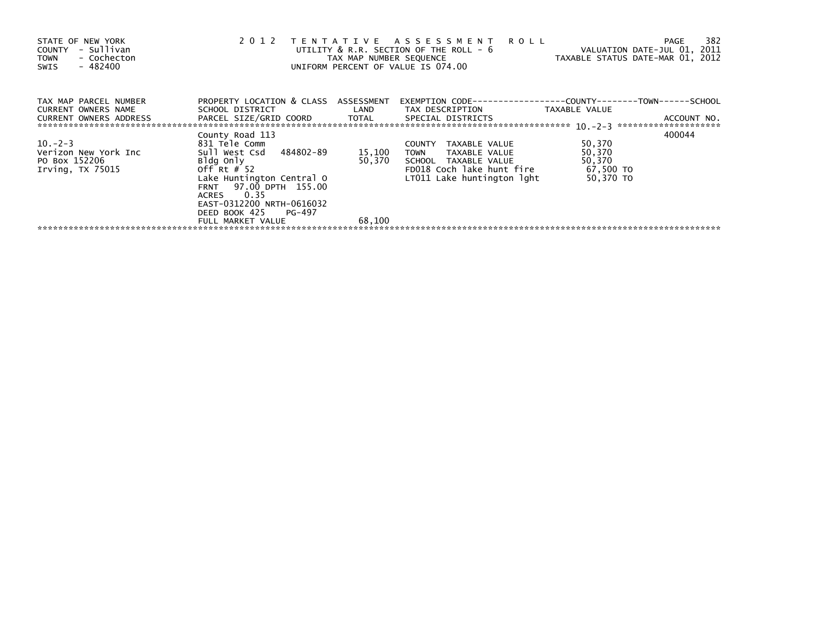| STATE OF NEW YORK<br>- Sullivan<br>COUNTY<br>- Cochecton<br><b>TOWN</b><br>- 482400<br>SWIS | 2 0 1 2                                                                                                                                                           | TAX MAP NUMBER SEQUENCE | TENTATIVE ASSESSMENT<br><b>ROLL</b><br>UTILITY & R.R. SECTION OF THE ROLL - 6<br>UNIFORM PERCENT OF VALUE IS 074.00                        | TAXABLE STATUS DATE-MAR 01, 2012                     | 382<br>PAGE<br>VALUATION DATE-JUL 01, 2011 |
|---------------------------------------------------------------------------------------------|-------------------------------------------------------------------------------------------------------------------------------------------------------------------|-------------------------|--------------------------------------------------------------------------------------------------------------------------------------------|------------------------------------------------------|--------------------------------------------|
| TAX MAP PARCEL NUMBER<br>CURRENT OWNERS NAME<br><b>CURRENT OWNERS ADDRESS</b>               | PROPERTY LOCATION & CLASS ASSESSMENT<br>SCHOOL DISTRICT<br>PARCEL SIZE/GRID COORD                                                                                 | LAND<br>TOTAL           | EXEMPTION        CODE-----------------COUNTY-------TOWN------SCHOOL<br>TAX DESCRIPTION<br>SPECIAL DISTRICTS                                | TAXABLE VALUE                                        | ACCOUNT NO.                                |
| $10 - 2 - 3$<br>Verizon New York Inc<br>PO Box 152206<br>Irving, TX 75015                   | County Road 113<br>831 Tele Comm<br>Sull West Csd 484802-89<br>Bldg Only<br>Off Rt $#$ 52<br>Lake Huntington Central O<br>FRNT 97.00 DPTH 155.00<br>0.35<br>ACRES | 15,100<br>50,370        | TAXABLE VALUE<br><b>COUNTY</b><br>TOWN<br>TAXABLE VALUE<br>SCHOOL TAXABLE VALUE<br>FD018 Coch lake hunt fire<br>LT011 Lake huntington lght | 50,370<br>50,370<br>50,370<br>67,500 TO<br>50,370 TO | 400044                                     |
|                                                                                             | EAST-0312200 NRTH-0616032<br>DEED BOOK 425 PG-497<br>FULL MARKET VALUE                                                                                            | 68,100                  |                                                                                                                                            |                                                      |                                            |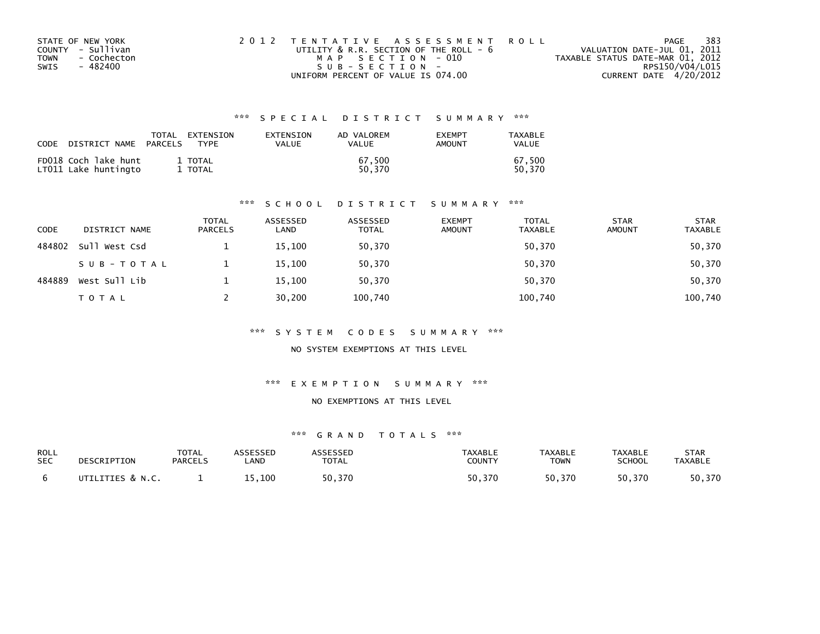| STATE OF NEW YORK   | 2012 TENTATIVE ASSESSMENT ROLL         | PAGE                             | -383 |
|---------------------|----------------------------------------|----------------------------------|------|
| COUNTY - Sullivan   | UTILITY & R.R. SECTION OF THE ROLL - 6 | VALUATION DATE-JUL 01, 2011      |      |
| - Cochecton<br>TOWN | MAP SECTION - 010                      | TAXABLE STATUS DATE-MAR 01, 2012 |      |
| - 482400<br>SWIS    | SUB-SECTION-                           | RPS150/V04/L015                  |      |
|                     | UNIFORM PERCENT OF VALUE IS 074.00     | CURRENT DATE 4/20/2012           |      |

| CODE | DISTRICT NAME                                | PARCELS | TOTAL EXTENSION<br>TYPF | EXTENSION<br><b>VALUE</b> | AD VALOREM<br><b>VALUE</b> | <b>EXEMPT</b><br>AMOUNT | TAXABLE<br><b>VALUE</b> |
|------|----------------------------------------------|---------|-------------------------|---------------------------|----------------------------|-------------------------|-------------------------|
|      | FD018 Coch lake hunt<br>LTO11 Lake huntingto |         | 1 TOTAL<br>1 TOTAL      |                           | 67.500<br>50.370           |                         | 67.500<br>50.370        |

## \*\*\* S C H O O L D I S T R I C T S U M M A R Y \*\*\*

| CODE   | DISTRICT NAME | <b>TOTAL</b><br><b>PARCELS</b> | ASSESSED<br>LAND | ASSESSED<br><b>TOTAL</b> | <b>EXEMPT</b><br><b>AMOUNT</b> | <b>TOTAL</b><br>TAXABLE | <b>STAR</b><br><b>AMOUNT</b> | <b>STAR</b><br><b>TAXABLE</b> |
|--------|---------------|--------------------------------|------------------|--------------------------|--------------------------------|-------------------------|------------------------------|-------------------------------|
| 484802 | Sull West Csd |                                | 15,100           | 50,370                   |                                | 50,370                  |                              | 50,370                        |
|        | SUB-TOTAL     |                                | 15,100           | 50,370                   |                                | 50,370                  |                              | 50,370                        |
| 484889 | West Sull Lib |                                | 15,100           | 50,370                   |                                | 50,370                  |                              | 50,370                        |
|        | TOTAL         |                                | 30,200           | 100,740                  |                                | 100,740                 |                              | 100,740                       |

## \*\*\* S Y S T E M C O D E S S U M M A R Y \*\*\*

NO SYSTEM EXEMPTIONS AT THIS LEVEL

## \*\*\* E X E M P T I O N S U M M A R Y \*\*\*

## NO EXEMPTIONS AT THIS LEVEL

| ROLL       | DESCRIPTION      | TOTAL          | ASSESSED | <b>ASSESSED</b> | <b>TAXABLE</b> | <b>TAXABLE</b> | TAXABLE       | <b>STAR</b> |
|------------|------------------|----------------|----------|-----------------|----------------|----------------|---------------|-------------|
| <b>SEC</b> |                  | <b>PARCELS</b> | _AND     | <b>TOTAL</b>    | <b>COUNTY</b>  | TOWN           | <b>SCHOOL</b> | TAXABLE     |
|            | UTILITIES & N.C. |                | 15.100   | 50,370          | 50.370         | 50.370         | 50.370        | 50,370      |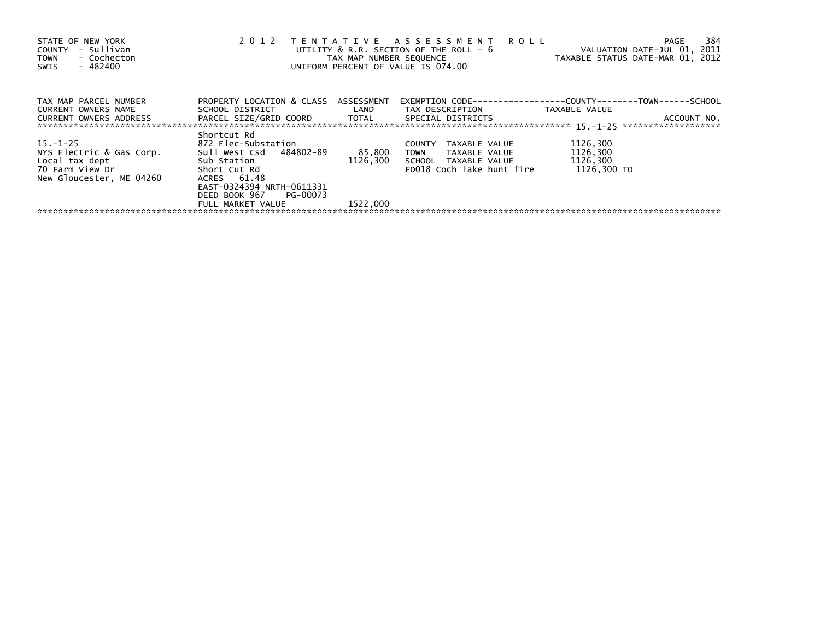| STATE OF NEW YORK<br>COUNTY - Sullivan<br>- Cochecton<br><b>TOWN</b><br>$-482400$<br>SWIS | 2012                                                                                                                                                | TAX MAP NUMBER SEQUENCE | TENTATIVE ASSESSMENT ROLL<br>UTILITY & R.R. SECTION OF THE ROLL - 6<br>UNIFORM PERCENT OF VALUE IS 074.00                                                                   | VALUATION DATE-JUL 01, 2011<br>TAXABLE STATUS DATE-MAR 01, 2012 | 384<br>PAGE |
|-------------------------------------------------------------------------------------------|-----------------------------------------------------------------------------------------------------------------------------------------------------|-------------------------|-----------------------------------------------------------------------------------------------------------------------------------------------------------------------------|-----------------------------------------------------------------|-------------|
| TAX MAP PARCEL NUMBER<br>CURRENT OWNERS NAME<br>CURRENT OWNERS ADDRESS                    | PROPERTY LOCATION & CLASS ASSESSMENT                                                                                                                |                         | EXEMPTION        CODE-----------------COUNTY--------TOWN------SCHOOL<br>SCHOOL DISTRICT                        LAND         TAX DESCRIPTION                   TAXABLE VALUE |                                                                 | ACCOUNT NO. |
| $15. -1 - 25$<br>NYS Electric & Gas Corp.<br>70 Farm View Dr<br>New Gloucester. ME 04260  | Shortcut Rd<br>872 Elec-Substation<br>Sull West Csd 484802-89<br>Short Cut Rd<br>ACRES 61.48<br>EAST-0324394 NRTH-0611331<br>DEED BOOK 967 PG-00073 | 85,800<br>1126.300      | TAXABLE VALUE<br>COUNTY<br>TOWN TAXABLE VALUE<br>SCHOOL TAXABLE VALUE<br>FD018 Coch lake hunt fire                                                                          | 1126,300<br>1126,300<br>1126,300<br>1126.300 TO                 |             |
|                                                                                           | FULL MARKET VALUE                                                                                                                                   | 1522.000                |                                                                                                                                                                             |                                                                 |             |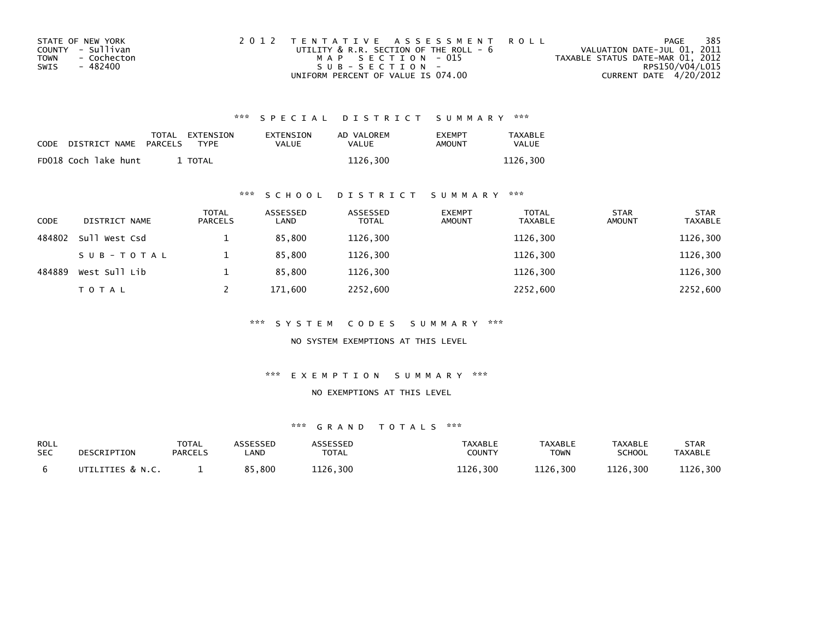| STATE OF NEW YORK   | 2012 TENTATIVE ASSESSMENT ROLL              |                                  | PAGE | 385 |
|---------------------|---------------------------------------------|----------------------------------|------|-----|
| COUNTY - Sullivan   | UTILITY $\&$ R.R. SECTION OF THE ROLL - $6$ | VALUATION DATE-JUL 01, 2011      |      |     |
| TOWN<br>- Cochecton | MAP SECTION - 015                           | TAXABLE STATUS DATE-MAR 01, 2012 |      |     |
| - 482400<br>SWIS    | $SUB - SECTION -$                           | RPS150/V04/L015                  |      |     |
|                     | UNIFORM PERCENT OF VALUE IS 074.00          | CURRENT DATE 4/20/2012           |      |     |

| CODE | DISTRICT NAME        | PARCELS | TOTAL EXTENSION<br>TYPF | EXTENSION<br>VALUE | AD VALOREM<br>VALUE | <b>FXFMPT</b><br><b>AMOUNT</b> | TAXABLE<br>VALUE |
|------|----------------------|---------|-------------------------|--------------------|---------------------|--------------------------------|------------------|
|      | FD018 Coch lake hunt |         | TOTAL                   |                    | 1126.300            |                                | 1126.300         |

## \*\*\* S C H O O L D I S T R I C T S U M M A R Y \*\*\*

| CODE   | DISTRICT NAME | <b>TOTAL</b><br>PARCELS | ASSESSED<br>LAND | ASSESSED<br><b>TOTAL</b> | <b>EXEMPT</b><br><b>AMOUNT</b> | <b>TOTAL</b><br><b>TAXABLE</b> | <b>STAR</b><br><b>AMOUNT</b> | <b>STAR</b><br><b>TAXABLE</b> |
|--------|---------------|-------------------------|------------------|--------------------------|--------------------------------|--------------------------------|------------------------------|-------------------------------|
| 484802 | Sull West Csd |                         | 85,800           | 1126,300                 |                                | 1126,300                       |                              | 1126,300                      |
|        | SUB-TOTAL     |                         | 85,800           | 1126,300                 |                                | 1126,300                       |                              | 1126,300                      |
| 484889 | West Sull Lib |                         | 85.800           | 1126,300                 |                                | 1126.300                       |                              | 1126,300                      |
|        | <b>TOTAL</b>  |                         | 171,600          | 2252,600                 |                                | 2252,600                       |                              | 2252,600                      |

\*\*\* S Y S T E M C O D E S S U M M A R Y \*\*\*

NO SYSTEM EXEMPTIONS AT THIS LEVEL

\*\*\* E X E M P T I O N S U M M A R Y \*\*\*

## NO EXEMPTIONS AT THIS LEVEL

| ROLL       | DESCRIPTION      | <b>TOTAL</b>   | <b>ISSESSEN</b> | <b>ASSESSED</b> | TAXABLE       | <b>TAXABLE</b> | <b>TAXABLE</b> | STAR           |
|------------|------------------|----------------|-----------------|-----------------|---------------|----------------|----------------|----------------|
| <b>SEC</b> |                  | <b>PARCELS</b> | .AND            | TOTAL           | <b>COUNTY</b> | <b>TOWN</b>    | SCHOOL         | <b>TAXABLE</b> |
|            | UTILITIES & N.C. |                | 85,800<br>O E.  | 1126,300        | 1126,300      | 1126,300       | 1126,300       | 1126,300       |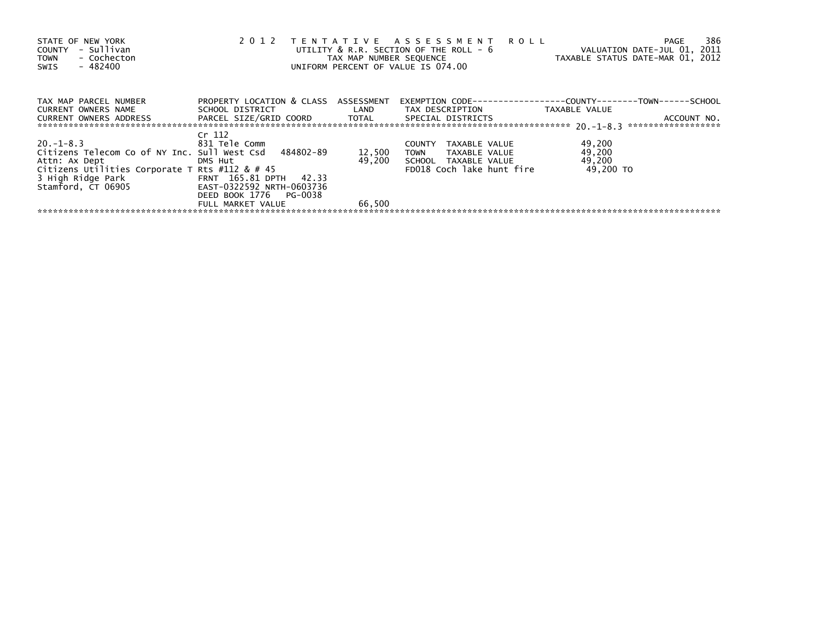| STATE OF NEW YORK<br>- Sullivan<br>COUNTY<br>- Cochecton<br><b>TOWN</b><br>$-482400$<br>SWIS | 2012                                 | TAX MAP NUMBER SEQUENCE | TENTATIVE ASSESSMENT ROLL<br>UTILITY & R.R. SECTION OF THE ROLL - 6<br>UNIFORM PERCENT OF VALUE IS 074.00 | VALUATION DATE-JUL 01, 2011<br>TAXABLE STATUS DATE-MAR 01, 2012 | 386<br>PAGE |
|----------------------------------------------------------------------------------------------|--------------------------------------|-------------------------|-----------------------------------------------------------------------------------------------------------|-----------------------------------------------------------------|-------------|
| TAX MAP PARCEL NUMBER                                                                        | PROPERTY LOCATION & CLASS ASSESSMENT |                         | EXEMPTION        CODE-----------------COUNTY--------TOWN------SCHOOL                                      |                                                                 |             |
| CURRENT OWNERS NAME                                                                          |                                      |                         | SCHOOL DISTRICT                         LAND         TAX DESCRIPTION                   TAXABLE VALUE      |                                                                 |             |
| CURRENT OWNERS ADDRESS FARCEL SIZE/GRID COORD TOTAL SPECIAL DISTRICTS                        |                                      |                         |                                                                                                           |                                                                 | ACCOUNT NO. |
|                                                                                              | Cr 112                               |                         |                                                                                                           |                                                                 |             |
| $20. -1 - 8.3$                                                                               | 831 Tele Comm                        |                         | TAXABLE VALUE<br><b>COUNTY</b>                                                                            | 49,200                                                          |             |
| Citizens Telecom Co of NY Inc. Sull West Csd 484802-89                                       |                                      | 12,500                  | TOWN TAXABLE VALUE                                                                                        | 49,200                                                          |             |
| Attn: Ax Dept DMS Hut                                                                        |                                      | 49.200                  | SCHOOL TAXABLE VALUE                                                                                      | 49,200                                                          |             |
| Citizens Utilities Corporate T Rts #112 & # 45                                               |                                      |                         | FD018 Coch lake hunt fire                                                                                 | 49.200 TO                                                       |             |
| 3 High Ridge Park FRNT 165.81 DPTH 42.33                                                     |                                      |                         |                                                                                                           |                                                                 |             |
| Stamford, CT 06905                                                                           | EAST-0322592 NRTH-0603736            |                         |                                                                                                           |                                                                 |             |
|                                                                                              | DEED BOOK 1776 PG-0038               |                         |                                                                                                           |                                                                 |             |
|                                                                                              | FULL MARKET VALUE                    | 66,500                  |                                                                                                           |                                                                 |             |
|                                                                                              |                                      |                         |                                                                                                           |                                                                 |             |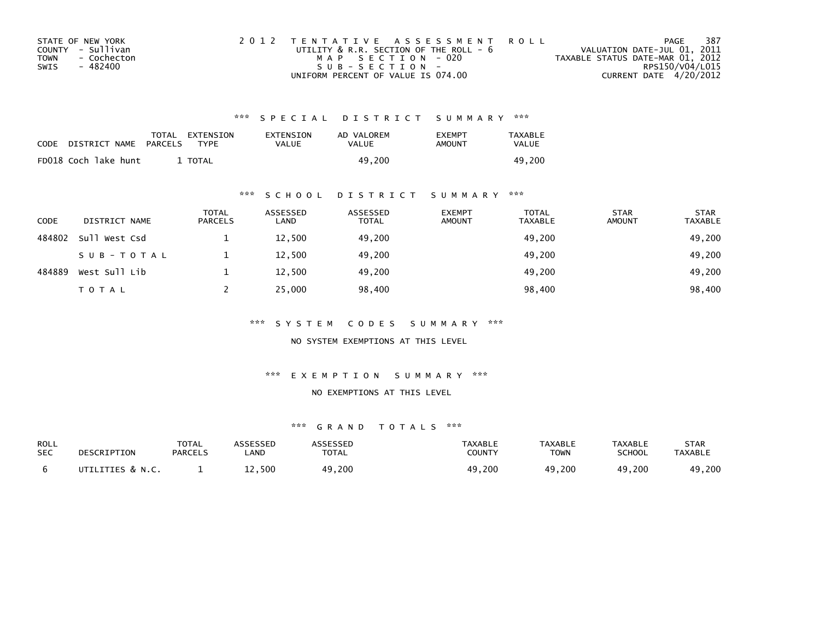| STATE OF NEW YORK   | 2012 TENTATIVE ASSESSMENT ROLL              | PAGE                             | 387             |
|---------------------|---------------------------------------------|----------------------------------|-----------------|
| COUNTY - Sullivan   | UTILITY $\&$ R.R. SECTION OF THE ROLL - $6$ | VALUATION DATE-JUL 01, 2011      |                 |
| TOWN<br>- Cochecton | MAP SECTION - 020                           | TAXABLE STATUS DATE-MAR 01, 2012 |                 |
| - 482400<br>SWIS    | $SUB - SECTION -$                           |                                  | RPS150/V04/L015 |
|                     | UNIFORM PERCENT OF VALUE IS 074.00          | CURRENT DATE 4/20/2012           |                 |

| CODE | DISTRICT NAME        | TOTAL<br>PARCELS | EXTENSION<br>EXTENSION<br><b>TYPF</b><br>VALUE | AD VALOREM<br>VALUE | <b>FXFMPT</b><br>AMOUNT | TAXABLE<br>VALUE |
|------|----------------------|------------------|------------------------------------------------|---------------------|-------------------------|------------------|
|      | FD018 Coch lake hunt | <b>TOTAL</b>     |                                                | 49.200              |                         | 49.200           |

## \*\*\* S C H O O L D I S T R I C T S U M M A R Y \*\*\*

| <b>CODE</b> | DISTRICT NAME | <b>TOTAL</b><br><b>PARCELS</b> | ASSESSED<br>LAND | ASSESSED<br><b>TOTAL</b> | <b>EXEMPT</b><br><b>AMOUNT</b> | <b>TOTAL</b><br><b>TAXABLE</b> | <b>STAR</b><br><b>AMOUNT</b> | <b>STAR</b><br><b>TAXABLE</b> |
|-------------|---------------|--------------------------------|------------------|--------------------------|--------------------------------|--------------------------------|------------------------------|-------------------------------|
| 484802      | Sull West Csd |                                | 12,500           | 49,200                   |                                | 49,200                         |                              | 49,200                        |
|             | SUB-TOTAL     |                                | 12,500           | 49,200                   |                                | 49,200                         |                              | 49,200                        |
| 484889      | West Sull Lib |                                | 12.500           | 49.200                   |                                | 49.200                         |                              | 49,200                        |
|             | <b>TOTAL</b>  |                                | 25,000           | 98,400                   |                                | 98,400                         |                              | 98,400                        |

\*\*\* S Y S T E M C O D E S S U M M A R Y \*\*\*

NO SYSTEM EXEMPTIONS AT THIS LEVEL

\*\*\* E X E M P T I O N S U M M A R Y \*\*\*

## NO EXEMPTIONS AT THIS LEVEL

| ROLL       | DESCRIPTION      | <b>TOTAL</b>   | ASSESSED   | ASSESSED      | TAXABLE       | <b>TAXABLE</b> | <b>TAXABLE</b> | STAR           |
|------------|------------------|----------------|------------|---------------|---------------|----------------|----------------|----------------|
| <b>SEC</b> |                  | <b>PARCELS</b> | <b>AND</b> | <b>TOTAL</b>  | <b>COUNTY</b> | <b>TOWN</b>    | <b>SCHOOL</b>  | <b>TAXABLE</b> |
|            | UTILITIES & N.C. |                | 12,500     | .9,200<br>49. | 49,200        | 49,200         | 49,200         | 49,200         |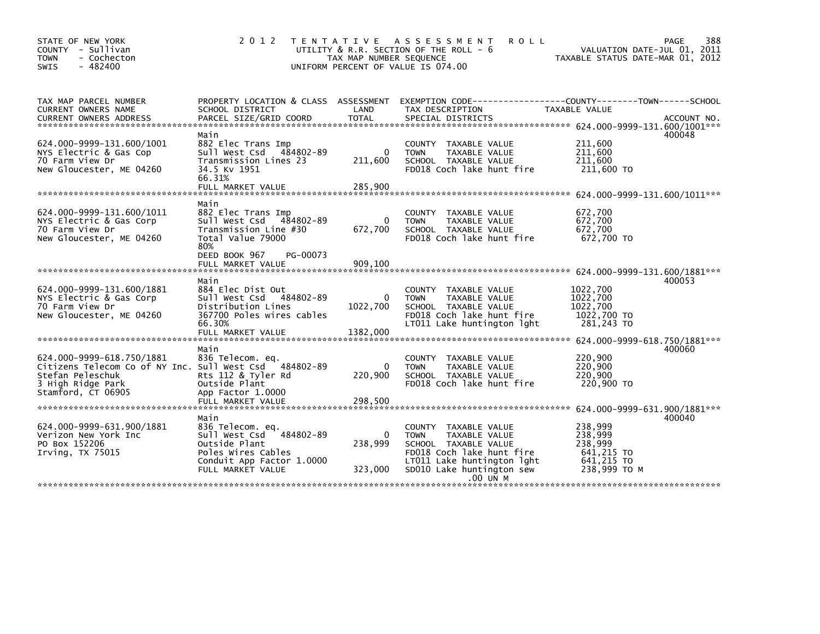| STATE OF NEW YORK<br>COUNTY<br>- Sullivan<br>- Cochecton<br><b>TOWN</b><br>$-482400$<br><b>SWIS</b>                                                | 2 0 1 2                                                                                                                                      | TAX MAP NUMBER SEQUENCE            | TENTATIVE ASSESSMENT<br><b>ROLL</b><br>UTILITY & R.R. SECTION OF THE ROLL - 6<br>UNIFORM PERCENT OF VALUE IS 074.00                                                                        | PAGE<br>VALUATION DATE-JUL 01, 2011<br>TAXABLE STATUS DATE-MAR 01, 2012             | 388         |
|----------------------------------------------------------------------------------------------------------------------------------------------------|----------------------------------------------------------------------------------------------------------------------------------------------|------------------------------------|--------------------------------------------------------------------------------------------------------------------------------------------------------------------------------------------|-------------------------------------------------------------------------------------|-------------|
| TAX MAP PARCEL NUMBER<br>CURRENT OWNERS NAME<br><b>CURRENT OWNERS ADDRESS</b>                                                                      | SCHOOL DISTRICT<br>PARCEL SIZE/GRID COORD                                                                                                    | LAND<br><b>TOTAL</b>               | PROPERTY LOCATION & CLASS ASSESSMENT EXEMPTION CODE----------------COUNTY-------TOWN-----SCHOOL<br>TAX DESCRIPTION<br>SPECIAL DISTRICTS                                                    | TAXABLE VALUE                                                                       | ACCOUNT NO. |
| 624.000-9999-131.600/1001<br>NYS Electric & Gas Cop<br>70 Farm View Dr<br>New Gloucester, ME 04260                                                 | Main<br>882 Elec Trans Imp<br>Sull West Csd<br>484802-89<br>Transmission Lines 23<br>34.5 KV 1951<br>66.31%<br>FULL MARKET VALUE             | $\mathbf{0}$<br>211,600<br>285,900 | <b>COUNTY</b><br>TAXABLE VALUE<br><b>TOWN</b><br>TAXABLE VALUE<br>SCHOOL TAXABLE VALUE<br>FD018 Coch lake hunt fire                                                                        | 400048<br>211,600<br>211,600<br>211,600<br>211,600 TO                               |             |
|                                                                                                                                                    |                                                                                                                                              |                                    |                                                                                                                                                                                            |                                                                                     |             |
| 624.000-9999-131.600/1011<br>NYS Electric & Gas Corp<br>70 Farm View Dr<br>New Gloucester, ME 04260                                                | Main<br>882 Elec Trans Imp<br>Sull West Csd 484802-89<br>Transmission Line #30<br>Total Value 79000<br>80%                                   | $\Omega$<br>672,700                | <b>COUNTY</b><br>TAXABLE VALUE<br>TAXABLE VALUE<br><b>TOWN</b><br>SCHOOL TAXABLE VALUE<br>FD018 Coch lake hunt fire                                                                        | 672,700<br>672,700<br>672,700<br>672,700 TO                                         |             |
|                                                                                                                                                    | DEED BOOK 967<br>PG-00073                                                                                                                    |                                    |                                                                                                                                                                                            |                                                                                     |             |
|                                                                                                                                                    |                                                                                                                                              |                                    |                                                                                                                                                                                            |                                                                                     |             |
| 624.000-9999-131.600/1881<br>NYS Electric & Gas Corp<br>70 Farm View Dr<br>New Gloucester, ME 04260                                                | Main<br>884 Elec Dist Out<br>Sull West Csd 484802-89<br>Distribution Lines<br>367700 Poles wires cables<br>66.30%                            | $\Omega$<br>1022,700               | <b>COUNTY</b><br>TAXABLE VALUE<br><b>TOWN</b><br>TAXABLE VALUE<br>SCHOOL TAXABLE VALUE<br>FD018 Coch lake hunt fire<br>LT011 Lake huntington lght                                          | 400053<br>1022,700<br>1022,700<br>1022,700<br>1022,700 TO<br>281,243 TO             |             |
|                                                                                                                                                    | FULL MARKET VALUE                                                                                                                            | 1382.000                           |                                                                                                                                                                                            | 624.000-9999-618.750/1881***                                                        |             |
| 624.000-9999-618.750/1881<br>Citizens Telecom Co of NY Inc. Sull West Csd 484802-89<br>Stefan Peleschuk<br>3 High Ridge Park<br>Stamford, CT 06905 | Main<br>836 Telecom. eq.<br>Rts 112 & Tyler Rd<br>Outside Plant<br>App Factor 1.0000                                                         | 0<br>220,900                       | TAXABLE VALUE<br><b>COUNTY</b><br>TAXABLE VALUE<br><b>TOWN</b><br>SCHOOL TAXABLE VALUE<br>FD018 Coch lake hunt fire                                                                        | 400060<br>220,900<br>220,900<br>220,900<br>220,900 TO                               |             |
|                                                                                                                                                    | FULL MARKET VALUE                                                                                                                            | 298.500                            |                                                                                                                                                                                            | 624.000-9999-631.900/1881***                                                        |             |
| 624.000-9999-631.900/1881<br>Verizon New York Inc<br>PO Box 152206<br>Irving, TX 75015                                                             | Main<br>836 Telecom. eq.<br>Sull West Csd 484802-89<br>Outside Plant<br>Poles Wires Cables<br>Conduit App Factor 1.0000<br>FULL MARKET VALUE | $\Omega$<br>238,999<br>323,000     | <b>COUNTY</b><br>TAXABLE VALUE<br>TAXABLE VALUE<br><b>TOWN</b><br>SCHOOL TAXABLE VALUE<br>FD018 Coch lake hunt fire<br>LT011 Lake huntington lght<br>SD010 Lake huntington sew<br>.00 UN M | 400040<br>238,999<br>238,999<br>238.999<br>641,215 TO<br>641,215 TO<br>238,999 ТО М |             |
|                                                                                                                                                    |                                                                                                                                              |                                    |                                                                                                                                                                                            |                                                                                     |             |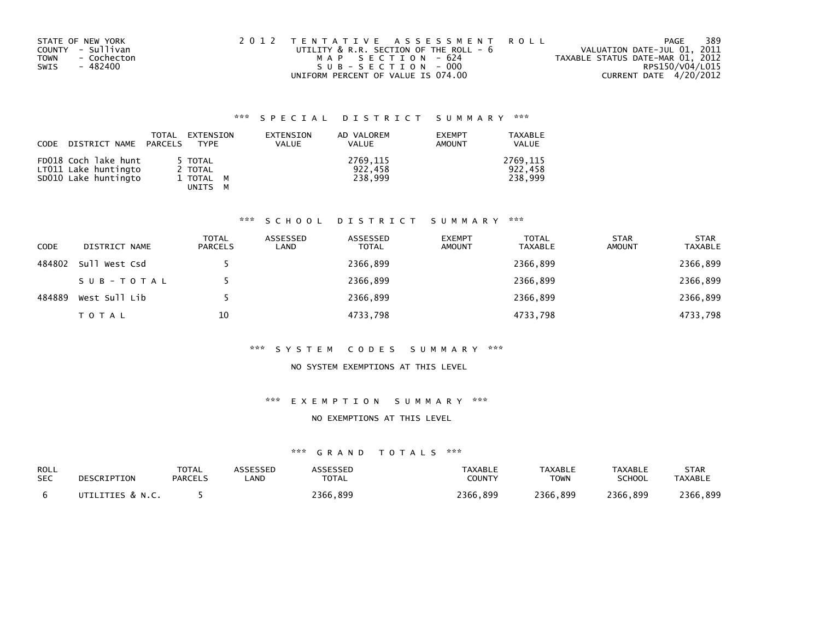| STATE OF NEW YORK   | 2012 TENTATIVE ASSESSMENT ROLL         | PAGE                             | 389             |
|---------------------|----------------------------------------|----------------------------------|-----------------|
| COUNTY - Sullivan   | UTILITY & R.R. SECTION OF THE ROLL - 6 | VALUATION DATE-JUL 01, 2011      |                 |
| - Cochecton<br>TOWN | MAP SECTION - 624                      | TAXABLE STATUS DATE-MAR 01, 2012 |                 |
| SWIS<br>- 482400    | SUB-SECTION-000                        |                                  | RPS150/V04/L015 |
|                     | UNIFORM PERCENT OF VALUE IS 074.00     | CURRENT DATE 4/20/2012           |                 |

| CODE DISTRICT NAME PARCELS                                           | TOTAL | EXTENSION<br>TYPE                          | EXTENSION<br><b>VALUE</b> | AD VALOREM<br>VALUE            | <b>EXEMPT</b><br>AMOUNT | TAXABLE<br><b>VALUE</b>        |
|----------------------------------------------------------------------|-------|--------------------------------------------|---------------------------|--------------------------------|-------------------------|--------------------------------|
| FD018 Coch lake hunt<br>LT011 Lake huntingto<br>SD010 Lake huntingto |       | 5 TOTAL<br>2 TOTAL<br>1 TOTAL M<br>UNITS M |                           | 2769,115<br>922,458<br>238.999 |                         | 2769.115<br>922.458<br>238,999 |

## \*\*\* S C H O O L D I S T R I C T S U M M A R Y \*\*\*

| <b>CODE</b> | DISTRICT NAME | TOTAL<br><b>PARCELS</b> | ASSESSED<br>LAND | ASSESSED<br><b>TOTAL</b> | <b>EXEMPT</b><br><b>AMOUNT</b> | <b>TOTAL</b><br><b>TAXABLE</b> | <b>STAR</b><br><b>AMOUNT</b> | <b>STAR</b><br><b>TAXABLE</b> |
|-------------|---------------|-------------------------|------------------|--------------------------|--------------------------------|--------------------------------|------------------------------|-------------------------------|
| 484802      | Sull West Csd |                         |                  | 2366,899                 |                                | 2366,899                       |                              | 2366,899                      |
|             | SUB-TOTAL     |                         |                  | 2366,899                 |                                | 2366,899                       |                              | 2366,899                      |
| 484889      | West Sull Lib |                         |                  | 2366,899                 |                                | 2366,899                       |                              | 2366,899                      |
|             | <b>TOTAL</b>  | 10                      |                  | 4733,798                 |                                | 4733,798                       |                              | 4733,798                      |

## \*\*\* S Y S T E M C O D E S S U M M A R Y \*\*\*

## NO SYSTEM EXEMPTIONS AT THIS LEVEL

## \*\*\* E X E M P T I O N S U M M A R Y \*\*\*

#### NO EXEMPTIONS AT THIS LEVEL

| ROLL       | DESCRIPTION      | <b>TOTAL</b> | ASSESSED | <b>ASSESSED</b> | <b>TAXABLE</b> | TAXABLE     | TAXABLE       | <b>STAR</b>    |
|------------|------------------|--------------|----------|-----------------|----------------|-------------|---------------|----------------|
| <b>SEC</b> |                  | PARCELS      | _AND     | <b>TOTAL</b>    | COUNTY         | <b>TOWN</b> | <b>SCHOOL</b> | <b>TAXABLE</b> |
|            | UTILITIES & N.C. |              |          | 2366.899        | 2366.899       | 2366.899    | 2366.899      | 2366,899       |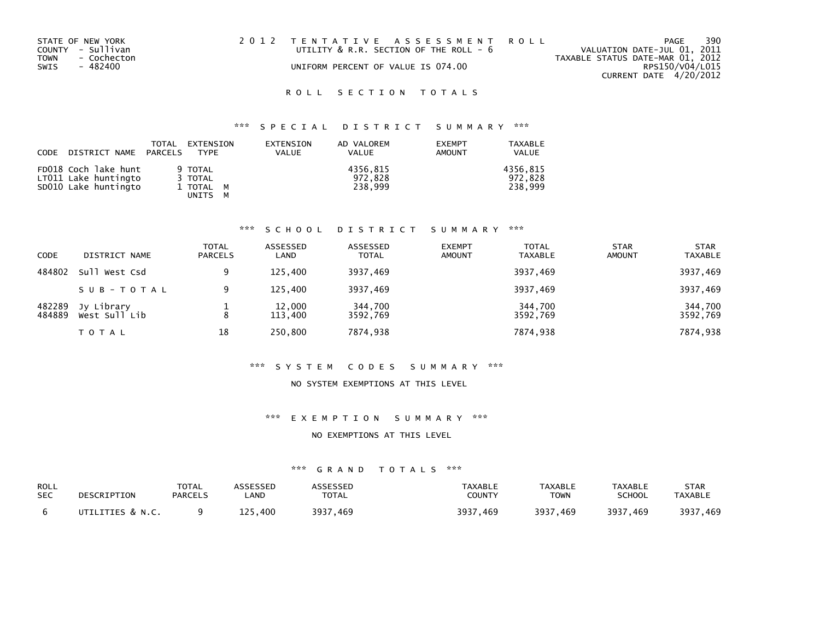|                                    | PAGE                                                                          | 390                    |
|------------------------------------|-------------------------------------------------------------------------------|------------------------|
|                                    | VALUATION DATE-JUL 01, 2011                                                   |                        |
|                                    | TAXABLE STATUS DATE-MAR 01, 2012                                              |                        |
| UNIFORM PERCENT OF VALUE IS 074.00 | RPS150/V04/L015                                                               |                        |
|                                    |                                                                               |                        |
|                                    | 2012 TENTATIVE ASSESSMENT ROLL<br>UTILITY $\&$ R.R. SECTION OF THE ROLL - $6$ | CURRENT DATE 4/20/2012 |

## \*\*\* S P E C I A L D I S T R I C T S U M M A R Y \*\*\*

| CODE | DISTRICT NAME PARCELS                                                | TOTAL | EXTENSION<br>TYPF                                    | EXTENSION<br><b>VALUE</b> | AD VALOREM<br><b>VALUE</b>     | <b>EXEMPT</b><br>AMOUNT | <b>TAXABLE</b><br><b>VALUE</b> |
|------|----------------------------------------------------------------------|-------|------------------------------------------------------|---------------------------|--------------------------------|-------------------------|--------------------------------|
|      | FD018 Coch lake hunt<br>LT011 Lake huntingto<br>SD010 Lake huntingto |       | 9 TOTAL<br>3 TOTAL<br>1 TOTAL M<br>UNITS<br><b>M</b> |                           | 4356.815<br>972.828<br>238.999 |                         | 4356.815<br>972.828<br>238.999 |

## \*\*\* S C H O O L D I S T R I C T S U M M A R Y \*\*\*

| CODE             | DISTRICT NAME               | <b>TOTAL</b><br><b>PARCELS</b> | ASSESSED<br>LAND  | ASSESSED<br><b>TOTAL</b> | <b>EXEMPT</b><br><b>AMOUNT</b> | <b>TOTAL</b><br><b>TAXABLE</b> | <b>STAR</b><br><b>AMOUNT</b> | <b>STAR</b><br><b>TAXABLE</b> |
|------------------|-----------------------------|--------------------------------|-------------------|--------------------------|--------------------------------|--------------------------------|------------------------------|-------------------------------|
| 484802           | Sull West Csd               |                                | 125.400           | 3937,469                 |                                | 3937,469                       |                              | 3937,469                      |
|                  | SUB-TOTAL                   | 9                              | 125.400           | 3937,469                 |                                | 3937,469                       |                              | 3937,469                      |
| 482289<br>484889 | Jy Library<br>West Sull Lib | 8                              | 12,000<br>113,400 | 344,700<br>3592.769      |                                | 344,700<br>3592.769            |                              | 344,700<br>3592,769           |
|                  | T O T A L                   | 18                             | 250,800           | 7874,938                 |                                | 7874,938                       |                              | 7874,938                      |

## \*\*\* S Y S T E M C O D E S S U M M A R Y \*\*\*

## NO SYSTEM EXEMPTIONS AT THIS LEVEL

## \*\*\* E X E M P T I O N S U M M A R Y \*\*\*

#### NO EXEMPTIONS AT THIS LEVEL

| ROLL       | DESCRIPTION      | <b>TOTAL</b>   | ASSESSED | ASSESSED     | <b>TAXABLE</b> | <b>TAXABLE</b> | <b>TAXABLE</b> | <b>STAR</b>    |
|------------|------------------|----------------|----------|--------------|----------------|----------------|----------------|----------------|
| <b>SEC</b> |                  | <b>PARCELS</b> | LAND     | <b>TOTAL</b> | COUNTY         | <b>TOWN</b>    | <b>SCHOOL</b>  | <b>TAXABLE</b> |
|            | UTILITIES & N.C. |                | 125.400  | 3937.469     | 3937.469       | 3937.469       | 3937.469       | 3937,469       |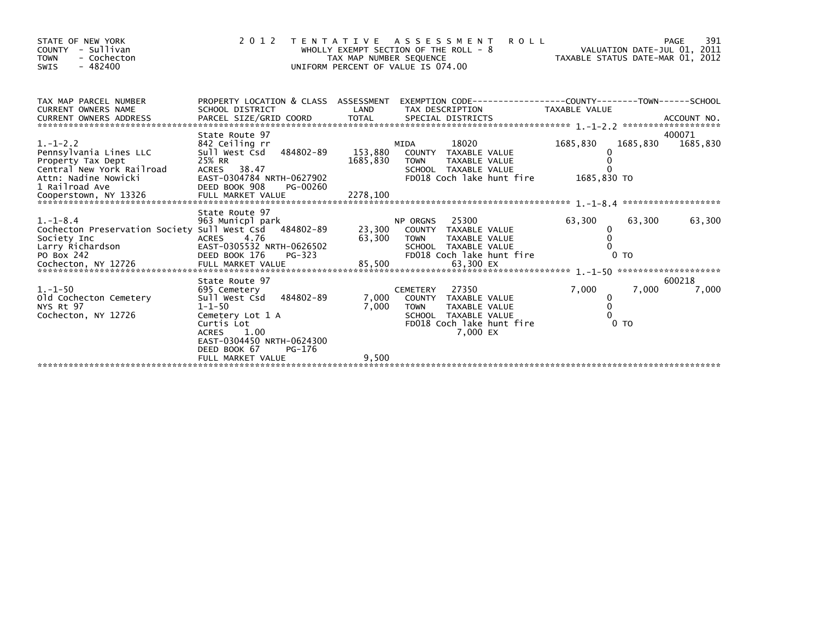| STATE OF NEW YORK<br>COUNTY - Sullivan<br><b>TOWN</b><br>- Cochecton<br>$-482400$<br>SWIS                                                                                          |                                                                                                                                                                                            | TAX MAP NUMBER SEQUENCE | <b>ROLL</b><br>2012 TENTATIVE ASSESSMENT<br>WHOLLY EXEMPT SECTION OF THE ROLL - 8<br>UNIFORM PERCENT OF VALUE IS 074.00                           | VALUATION DATE-JUL 01, 2011                                       | 391<br>PAGE        |
|------------------------------------------------------------------------------------------------------------------------------------------------------------------------------------|--------------------------------------------------------------------------------------------------------------------------------------------------------------------------------------------|-------------------------|---------------------------------------------------------------------------------------------------------------------------------------------------|-------------------------------------------------------------------|--------------------|
| TAX MAP PARCEL NUMBER<br><b>CURRENT OWNERS NAME</b>                                                                                                                                | SCHOOL DISTRICT                                                                                                                                                                            | LAND                    | PROPERTY LOCATION & CLASS ASSESSMENT EXEMPTION CODE---------------COUNTY-------TOWN------SCHOOL<br>TAX DESCRIPTION                                | TAXABLE VALUE                                                     |                    |
| $1. - 1 - 2.2$<br>Pennsylvania Lines LLC<br>Property Tax Dept<br>Central New York Railroad                                                                                         | State Route 97<br>842 Ceiling rr<br>Sull West Csd 484802-89<br>25% RR<br>ACRES 38.47                                                                                                       | 153,880<br>1685,830     | MIDA<br>18020<br>COUNTY TAXABLE VALUE<br>TAXABLE VALUE<br>TOWN<br>SCHOOL TAXABLE VALUE                                                            | 1685,830<br>1685,830<br>$\Omega$                                  | 400071<br>1685,830 |
| $1.-1-8.4$<br>Cochecton Preservation Society Sull West Csd 484802-89<br>Society Inc<br>Society Inc<br>Larry Richardson<br>PO Box 242<br>Cochecton, NY 12726<br>Cochecton, NY 12726 | State Route 97<br>963 Municpl park<br>ACRES 4.76<br>EAST-0305532 NRTH-0626502<br>PG-323<br>DEED BOOK 176                                                                                   |                         | NP UKGNS 23,300 COUNTY TAXABLE VALUE<br>SCHOOL TAXABLE VALUE<br>FD018 Coch lake hunt fire                                                         | 63,300<br>63,300<br>0<br>0<br>0 <sub>T</sub>                      | 63,300             |
| $1. - 1 - 50$<br>old Cochecton Cemetery<br>NYS Rt 97<br>Cochecton, NY 12726                                                                                                        | State Route 97<br>695 Cemetery<br>Sull West Csd 484802-89<br>$1 - 1 - 50$<br>Cemetery Lot 1 A<br>Curtis Lot<br><b>ACRES</b><br>1.00<br>EAST-0304450 NRTH-0624300<br>PG-176<br>DEED BOOK 67 | 7,000<br>7,000          | 27350<br><b>CEMETERY</b><br>COUNTY TAXABLE VALUE<br><b>TOWN</b><br>TAXABLE VALUE<br>SCHOOL TAXABLE VALUE<br>FD018 Coch lake hunt fire<br>7,000 EX | 7,000<br>7,000<br>0<br>$\mathbf{0}$<br>$\Omega$<br>0 <sub>T</sub> | 600218<br>7,000    |
|                                                                                                                                                                                    | FULL MARKET VALUE                                                                                                                                                                          | 9,500                   |                                                                                                                                                   |                                                                   |                    |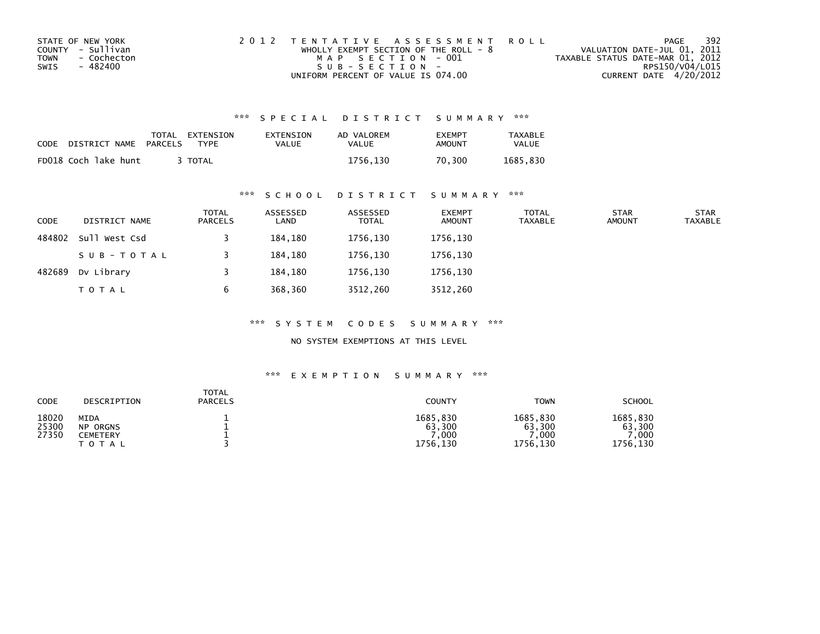| STATE OF NEW YORK   | 2012 TENTATIVE ASSESSMENT ROLL        | PAGE                             | 392             |
|---------------------|---------------------------------------|----------------------------------|-----------------|
| COUNTY - Sullivan   | WHOLLY EXEMPT SECTION OF THE ROLL - 8 | VALUATION DATE-JUL 01, 2011      |                 |
| TOWN<br>- Cochecton | MAP SECTION - 001                     | TAXABLE STATUS DATE-MAR 01, 2012 |                 |
| - 482400<br>SWIS    | $S \cup R - S F C T T O N -$          |                                  | RPS150/V04/L015 |
|                     | UNIFORM PERCENT OF VALUE IS 074.00    | CURRENT DATE 4/20/2012           |                 |

| CODE | DISTRICT NAME        | PARCELS | TOTAL EXTENSION<br><b>TYPF</b> | EXTENSION<br><b>VALUE</b> | AD VALOREM<br>VALUE | <b>FXFMPT</b><br><b>AMOUNT</b> | <b>TAXABLE</b><br>VALUE |
|------|----------------------|---------|--------------------------------|---------------------------|---------------------|--------------------------------|-------------------------|
|      | FD018 Coch lake hunt |         | TOTAL                          |                           | 1756.130            | 70.300                         | 1685.830                |

## \*\*\* S C H O O L D I S T R I C T S U M M A R Y \*\*\*

| <b>CODE</b> | DISTRICT NAME | <b>TOTAL</b><br>PARCELS | ASSESSED<br>LAND | ASSESSED<br><b>TOTAL</b> | <b>EXEMPT</b><br><b>AMOUNT</b> | <b>TOTAL</b><br>TAXABLE | <b>STAR</b><br><b>AMOUNT</b> | <b>STAR</b><br><b>TAXABLE</b> |
|-------------|---------------|-------------------------|------------------|--------------------------|--------------------------------|-------------------------|------------------------------|-------------------------------|
| 484802      | Sull West Csd |                         | 184,180          | 1756,130                 | 1756,130                       |                         |                              |                               |
|             | SUB-TOTAL     |                         | 184,180          | 1756.130                 | 1756,130                       |                         |                              |                               |
| 482689      | Dv Library    |                         | 184,180          | 1756,130                 | 1756,130                       |                         |                              |                               |
|             | <b>TOTAL</b>  | b                       | 368,360          | 3512,260                 | 3512,260                       |                         |                              |                               |

\*\*\* S Y S T E M C O D E S S U M M A R Y \*\*\*

NO SYSTEM EXEMPTIONS AT THIS LEVEL

| CODE                    | DESCRIPTION                                      | <b>TOTAL</b><br><b>PARCELS</b> | COUNTY                                 | <b>TOWN</b>                                         | <b>SCHOOL</b>                          |
|-------------------------|--------------------------------------------------|--------------------------------|----------------------------------------|-----------------------------------------------------|----------------------------------------|
| 18020<br>25300<br>27350 | MIDA<br><b>NP ORGNS</b><br>CEMETERY<br>T O T A L |                                | 1685,830<br>63,300<br>,000<br>1756,130 | 1685.830<br>63,300<br>$^{\prime}$ , 000<br>1756,130 | 1685,830<br>63,300<br>.000<br>1756,130 |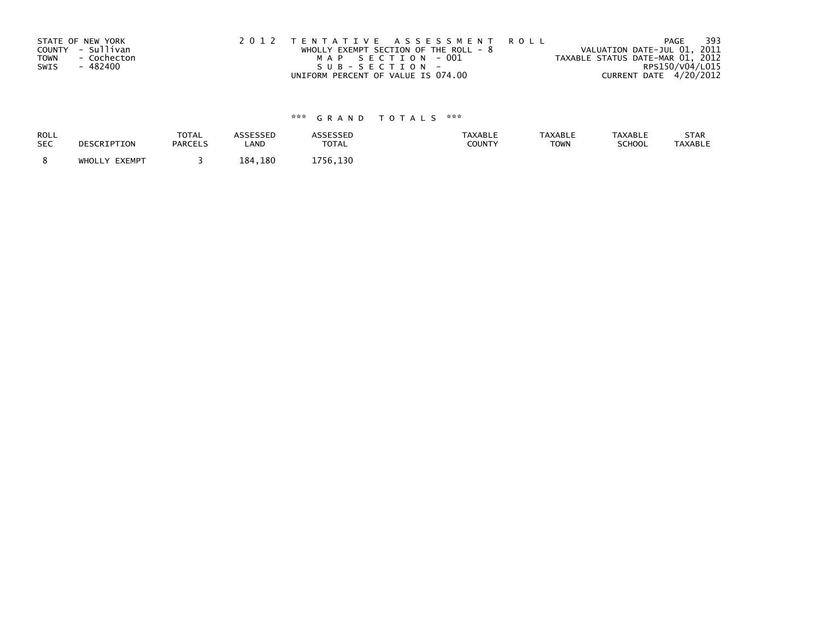| STATE OF NEW YORK          | 2012 TENTATIVE ASSESSMENT ROLL          | PAGE                             | 393 |
|----------------------------|-----------------------------------------|----------------------------------|-----|
| COUNTY - Sullivan          | WHOLLY EXEMPT SECTION OF THE ROLL - $8$ | VALUATION DATE-JUL 01, 2011      |     |
| <b>TOWN</b><br>- Cochecton | MAP SECTION - 001                       | TAXABLE STATUS DATE-MAR 01, 2012 |     |
| - 482400<br>SWIS           | SUB-SECTION-                            | RPS150/V04/L015                  |     |
|                            | UNIFORM PERCENT OF VALUE IS 074.00      | CURRENT DATE 4/20/2012           |     |

| ROLL       | DESCRIPTION   | <b>TOTAL</b>   | ASSESSED | <b>ASSESSED</b> | <b>TAXABLE</b> | <b>TAXABLE</b> | <b>TAXABLE</b> | STAR           |
|------------|---------------|----------------|----------|-----------------|----------------|----------------|----------------|----------------|
| <b>SEC</b> |               | <b>PARCELS</b> | LAND     | <b>TOTAL</b>    | <b>COUNTY</b>  | <b>TOWN</b>    | <b>SCHOOL</b>  | <b>TAXABLE</b> |
|            | WHOLLY EXEMPT |                | 184,180  | 1756,130        |                |                |                |                |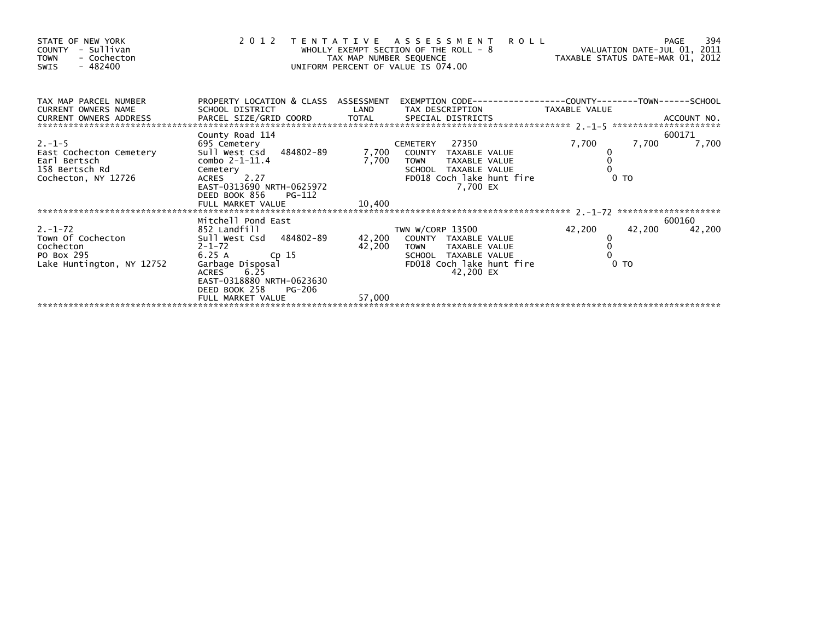| STATE OF NEW YORK<br>COUNTY - Sullivan<br>- Cochecton<br><b>TOWN</b><br>- 482400<br>SWIS                     |                                                                                                                       | 2012 TENTATIVE ASSESSMENT ROLL<br>WHOLLY EXEMPT SECTION OF THE ROLL - 8 WHOLLY EXEMPT SECTION OF THE ROLL - 8<br>TAX MAP NUMBER SEQUENCE<br>UNIFORM PERCENT OF VALUE IS 074.00                    |                                    |                  |
|--------------------------------------------------------------------------------------------------------------|-----------------------------------------------------------------------------------------------------------------------|---------------------------------------------------------------------------------------------------------------------------------------------------------------------------------------------------|------------------------------------|------------------|
| TAX MAP PARCEL NUMBER<br>CURRENT OWNERS NAME                                                                 |                                                                                                                       | PROPERTY LOCATION & CLASS ASSESSMENT EXEMPTION CODE---------------COUNTY-------TOWN------SCHOOL<br>SCHOOL DISTRICT                      LAND        TAX DESCRIPTION                 TAXABLE VALUE |                                    |                  |
| $2. -1 - 5$<br>East Cochecton Cemetery<br>Earl Bertsch<br>158 Bertsch Rd<br>Cochecton, NY 12726              | County Road 114<br>$combo$ 2-1-11.4<br>Cemetery<br>ACRES 2.27<br>EAST-0313690_NRTH-0625972<br>DEED BOOK 856<br>PG-112 | CEMETERY 27350<br>7,700 TOWN TAXABLE VALUE<br>SCHOOL TAXABLE VALUE<br>FD018 Coch lake hunt fire<br>7.700 EX                                                                                       | 7,700<br>7,700<br>$0$ TO           | 600171<br>7,700  |
|                                                                                                              |                                                                                                                       |                                                                                                                                                                                                   |                                    |                  |
| PO Box 295 $25\overline{)6.25}$ A cp 15 $42,200$<br>Lake Huntington, NY 12752 Garbage Disposal<br>ACRES 6.25 | Mitchell Pond East<br>DEED BOOK 258<br>PG-206<br>FULL MARKET VALUE                                                    | TOWN TAXABLE VALUE<br>SCHOOL TAXABLE VALUE<br>FD018 Coch lake hunt fire<br>42,200 EX<br>57,000                                                                                                    | 42,200<br>42,200<br>0 <sub>T</sub> | 600160<br>42,200 |
|                                                                                                              |                                                                                                                       |                                                                                                                                                                                                   |                                    |                  |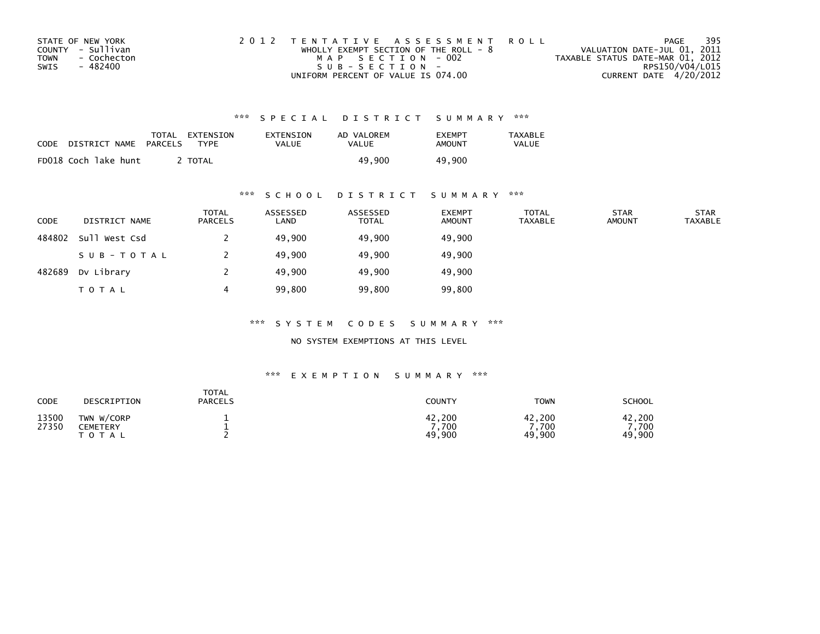| STATE OF NEW YORK          | 2012 TENTATIVE ASSESSMENT ROLL          | PAGE                             | 395             |
|----------------------------|-----------------------------------------|----------------------------------|-----------------|
| COUNTY - Sullivan          | WHOLLY EXEMPT SECTION OF THE ROLL - $8$ | VALUATION DATE-JUL 01, 2011      |                 |
| <b>TOWN</b><br>- Cochecton | MAP SECTION - 002                       | TAXABLE STATUS DATE-MAR 01, 2012 |                 |
| SWIS<br>- 482400           | $SUB - SECTION -$                       |                                  | RPS150/V04/L015 |
|                            | UNIFORM PERCENT OF VALUE IS 074.00      | CURRENT DATE 4/20/2012           |                 |

| CODE | DISTRICT NAME        | TOTAL<br>PARCELS | EXTENSION<br>TYPF | EXTENSION<br>VALUE | AD VALOREM<br>VALUE | <b>FXFMPT</b><br>AMOUNT | TAXABLE<br><b>VALUE</b> |
|------|----------------------|------------------|-------------------|--------------------|---------------------|-------------------------|-------------------------|
|      | FD018 Coch lake hunt |                  | <b>TOTAL</b>      |                    | 49.900              | 49,900                  |                         |

# \*\*\* S C H O O L D I S T R I C T S U M M A R Y \*\*\*

| <b>CODE</b> | DISTRICT NAME | <b>TOTAL</b><br>PARCELS | ASSESSED<br>LAND | ASSESSED<br><b>TOTAL</b> | <b>EXEMPT</b><br><b>AMOUNT</b> | <b>TOTAL</b><br><b>TAXABLE</b> | <b>STAR</b><br><b>AMOUNT</b> | <b>STAR</b><br><b>TAXABLE</b> |
|-------------|---------------|-------------------------|------------------|--------------------------|--------------------------------|--------------------------------|------------------------------|-------------------------------|
| 484802      | Sull West Csd |                         | 49,900           | 49,900                   | 49,900                         |                                |                              |                               |
|             | SUB-TOTAL     |                         | 49,900           | 49,900                   | 49,900                         |                                |                              |                               |
| 482689      | Dv Library    |                         | 49,900           | 49,900                   | 49,900                         |                                |                              |                               |
|             | <b>TOTAL</b>  |                         | 99,800           | 99,800                   | 99,800                         |                                |                              |                               |

\*\*\* S Y S T E M C O D E S S U M M A R Y \*\*\*

NO SYSTEM EXEMPTIONS AT THIS LEVEL

| CODE           | DESCRIPTION                                | <b>TOTAL</b><br><b>PARCELS</b> | <b>COUNTY</b>             | <b>TOWN</b>              | SCHOOL                  |
|----------------|--------------------------------------------|--------------------------------|---------------------------|--------------------------|-------------------------|
| 13500<br>27350 | TWN W/CORP<br><b>CEMETERY</b><br>T O T A L |                                | 42,200<br>7.700<br>49,900 | 42,200<br>,700<br>49,900 | 42,200<br>700<br>49,900 |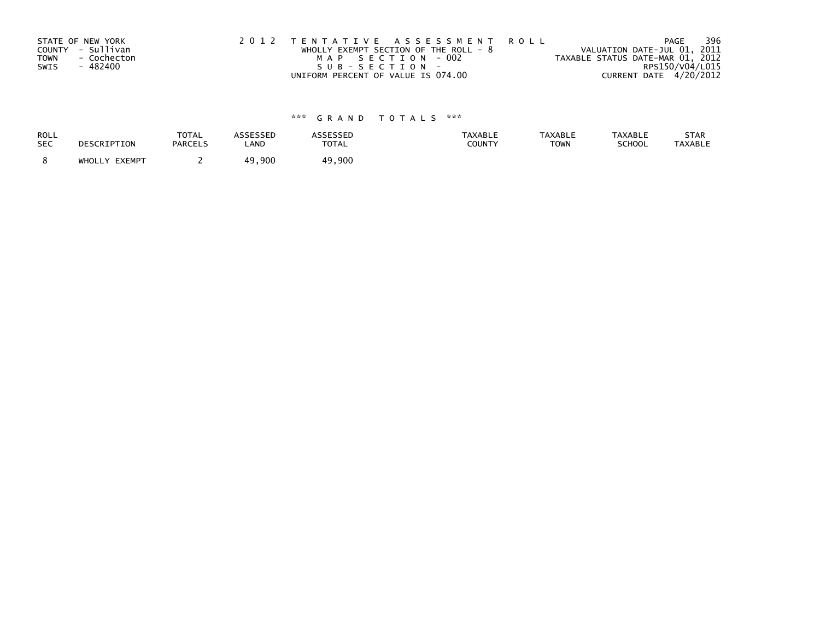| STATE OF NEW YORK<br><b>TOWN</b> | COUNTY - Sullivan<br>- Cochecton | 2012 TENTATIVE ASSESSMENT ROLL<br>WHOLLY EXEMPT SECTION OF THE ROLL - $8$<br>MAP SECTION - 002 |  | VALUATION DATE-JUL 01, 2011<br>TAXABLE STATUS DATE-MAR 01, 2012 |                        | PAGE | 396 |
|----------------------------------|----------------------------------|------------------------------------------------------------------------------------------------|--|-----------------------------------------------------------------|------------------------|------|-----|
| SWIS                             | - 482400                         | SUB-SECTION-                                                                                   |  |                                                                 | RPS150/V04/L015        |      |     |
|                                  |                                  | UNIFORM PERCENT OF VALUE IS 074.00                                                             |  |                                                                 | CURRENT DATE 4/20/2012 |      |     |

| <b>ROLL</b> | DESCRIPTION   | <b>TOTAL</b>   | <b>ASSESSED</b> | ASSESSED     | <b>TAXABLE</b> | <b>TAXABLE</b> | <b>TAXABLE</b> | STAR           |
|-------------|---------------|----------------|-----------------|--------------|----------------|----------------|----------------|----------------|
| <b>SEC</b>  |               | <b>PARCELS</b> | LAND            | <b>TOTAL</b> | <b>COUNTY</b>  | <b>TOWN</b>    | SCHOOL         | <b>TAXABLE</b> |
|             | WHOLLY EXEMPT |                | 900. ن<br>49    | 49,900       |                |                |                |                |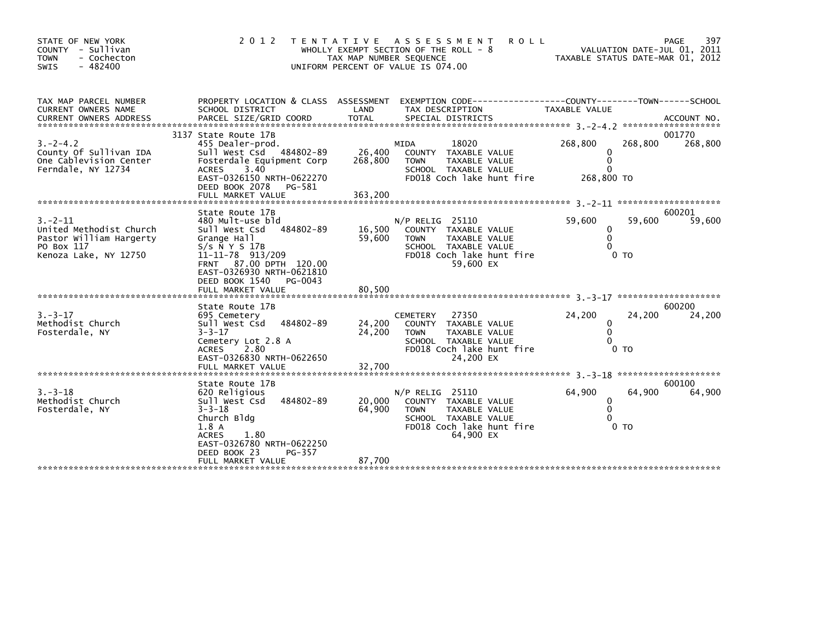| STATE OF NEW YORK<br>COUNTY - Sullivan<br><b>TOWN</b><br>- Cochecton<br>$-482400$<br><b>SWIS</b>          | 2 0 1 2                                                                                                                                                                                                                                  | TAX MAP NUMBER SEQUENCE      | <b>ROLL</b><br>TENTATIVE ASSESSMENT<br>WHOLLY EXEMPT SECTION OF THE ROLL - 8<br>UNIFORM PERCENT OF VALUE IS 074.00                                        |                                                           | 397<br>PAGE<br>VALUATION DATE-JUL 01, 2011<br>TAXABLE STATUS DATE-MAR 01, 2012 |
|-----------------------------------------------------------------------------------------------------------|------------------------------------------------------------------------------------------------------------------------------------------------------------------------------------------------------------------------------------------|------------------------------|-----------------------------------------------------------------------------------------------------------------------------------------------------------|-----------------------------------------------------------|--------------------------------------------------------------------------------|
| TAX MAP PARCEL NUMBER<br><b>CURRENT OWNERS NAME</b>                                                       | PROPERTY LOCATION & CLASS ASSESSMENT<br>SCHOOL DISTRICT                                                                                                                                                                                  | LAND                         | EXEMPTION        CODE-----------------COUNTY--------TOWN------SCHOOL<br>TAX DESCRIPTION                                                                   | TAXABLE VALUE                                             | ACCOUNT NO.<br>*******************                                             |
| $3. -2 - 4.2$<br>County Of Sullivan IDA<br>One Cablevision Center<br>Ferndale, NY 12734                   | 3137 State Route 17B<br>455 Dealer-prod.<br>Sull West Csd 484802-89<br>Fosterdale Equipment Corp<br>3.40<br><b>ACRES</b><br>EAST-0326150 NRTH-0622270<br>DEED BOOK 2078<br>PG-581<br>FULL MARKET VALUE                                   | 26,400<br>268,800<br>363,200 | 18020<br>MIDA<br>COUNTY TAXABLE VALUE<br><b>TAXABLE VALUE</b><br><b>TOWN</b><br>SCHOOL TAXABLE VALUE<br>FD018 Coch lake hunt fire                         | 268,800<br>0<br>$\Omega$<br>$\Omega$<br>268,800 TO        | 001770<br>268,800<br>268,800                                                   |
| $3 - 2 - 11$<br>United Methodist Church<br>Pastor William Hargerty<br>PO Box 117<br>Kenoza Lake, NY 12750 | State Route 17B<br>480 Mult-use bld<br>484802-89<br>Sull West Csd<br>Grange Hall<br>$S/S$ $\bar{N}$ Y S 17B<br>11-11-78 913/209<br>FRNT 87.00 DPTH 120.00<br>EAST-0326930 NRTH-0621810<br>DEED BOOK 1540<br>PG-0043<br>FULL MARKET VALUE | 16,500<br>59,600<br>80.500   | $N/P$ RELIG 25110<br>COUNTY TAXABLE VALUE<br><b>TOWN</b><br><b>TAXABLE VALUE</b><br>SCHOOL TAXABLE VALUE<br>FD018 Coch lake hunt fire<br>59,600 EX        | 59,600<br>0<br>$\mathbf{0}$<br>$\Omega$<br>0 <sub>T</sub> | 600201<br>59,600<br>59,600                                                     |
|                                                                                                           | State Route 17B                                                                                                                                                                                                                          |                              |                                                                                                                                                           |                                                           | 600200                                                                         |
| $3. - 3 - 17$<br>Methodist Church<br>Fosterdale, NY                                                       | 695 Cemetery<br>Sull West Csd<br>484802-89<br>$3 - 3 - 17$<br>Cemetery Lot 2.8 A<br>2.80<br><b>ACRES</b><br>EAST-0326830 NRTH-0622650<br>FULL MARKET VALUE                                                                               | 24,200<br>24,200<br>32,700   | 27350<br><b>CEMETERY</b><br>COUNTY TAXABLE VALUE<br><b>TAXABLE VALUE</b><br><b>TOWN</b><br>SCHOOL TAXABLE VALUE<br>FD018 Coch lake hunt fire<br>24,200 EX | 24,200<br>0<br>0<br>$\Omega$<br>0 <sub>T</sub>            | 24,200<br>24,200                                                               |
|                                                                                                           |                                                                                                                                                                                                                                          |                              |                                                                                                                                                           |                                                           |                                                                                |
| $3. - 3 - 18$<br>Methodist Church<br>Fosterdale, NY                                                       | State Route 17B<br>620 Religious<br>Sull West Csd<br>484802-89<br>$3 - 3 - 18$<br>Church Bldg<br>1.8A<br>1.80<br><b>ACRES</b><br>EAST-0326780 NRTH-0622250<br>DEED BOOK 23<br>PG-357                                                     | 20,000<br>64,900             | $N/P$ RELIG 25110<br>COUNTY TAXABLE VALUE<br><b>TOWN</b><br>TAXABLE VALUE<br>SCHOOL TAXABLE VALUE<br>FD018 Coch lake hunt fire<br>64,900 EX               | 64,900<br>0<br>$\mathbf{0}$<br>$\Omega$<br>0 <sub>T</sub> | 600100<br>64,900<br>64,900                                                     |
|                                                                                                           | FULL MARKET VALUE                                                                                                                                                                                                                        | 87,700                       |                                                                                                                                                           |                                                           |                                                                                |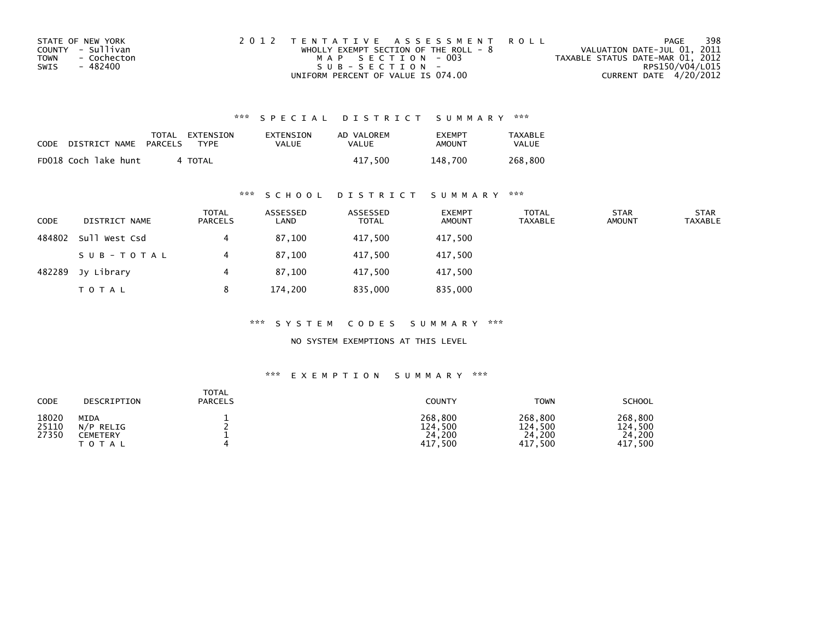| STATE OF NEW YORK          | 2012 TENTATIVE ASSESSMENT ROLL          | PAGE                             | 398             |
|----------------------------|-----------------------------------------|----------------------------------|-----------------|
| COUNTY - Sullivan          | WHOLLY EXEMPT SECTION OF THE ROLL - $8$ | VALUATION DATE-JUL 01, 2011      |                 |
| <b>TOWN</b><br>- Cochecton | MAP SECTION - 003                       | TAXABLE STATUS DATE-MAR 01, 2012 |                 |
| SWIS<br>- 482400           | $SUB - SECTION -$                       |                                  | RPS150/V04/L015 |
|                            | UNIFORM PERCENT OF VALUE IS 074.00      | CURRENT DATE 4/20/2012           |                 |

| CODE | DISTRICT NAME        | PARCELS | TOTAL EXTENSION<br>TYPF | EXTENSION<br>VALUE | AD VALOREM<br>VALUE | <b>EXEMPT</b><br>AMOUNT | TAXABLE<br>VALUE |
|------|----------------------|---------|-------------------------|--------------------|---------------------|-------------------------|------------------|
|      | FD018 Coch lake hunt |         | 4 TOTAL                 |                    | 417.500             | 148.700                 | 268.800          |

### \*\*\* S C H O O L D I S T R I C T S U M M A R Y \*\*\*

| <b>CODE</b> | DISTRICT NAME | <b>TOTAL</b><br>PARCELS | ASSESSED<br>LAND | ASSESSED<br><b>TOTAL</b> | <b>EXEMPT</b><br><b>AMOUNT</b> | <b>TOTAL</b><br><b>TAXABLE</b> | <b>STAR</b><br><b>AMOUNT</b> | <b>STAR</b><br><b>TAXABLE</b> |
|-------------|---------------|-------------------------|------------------|--------------------------|--------------------------------|--------------------------------|------------------------------|-------------------------------|
| 484802      | Sull West Csd |                         | 87,100           | 417,500                  | 417,500                        |                                |                              |                               |
|             | SUB-TOTAL     |                         | 87,100           | 417,500                  | 417,500                        |                                |                              |                               |
| 482289      | Jy Library    |                         | 87,100           | 417,500                  | 417,500                        |                                |                              |                               |
|             | <b>TOTAL</b>  | 8                       | 174,200          | 835,000                  | 835,000                        |                                |                              |                               |

\*\*\* S Y S T E M C O D E S S U M M A R Y \*\*\*

NO SYSTEM EXEMPTIONS AT THIS LEVEL

| CODE                    | DESCRIPTION                                | <b>TOTAL</b><br><b>PARCELS</b> | COUNTY                                      | <b>TOWN</b>                             | SCHOOL                                  |
|-------------------------|--------------------------------------------|--------------------------------|---------------------------------------------|-----------------------------------------|-----------------------------------------|
| 18020<br>25110<br>27350 | MIDA<br>N/P RELIG<br>CEMETERY<br>T O T A L |                                | 268,800<br>124,500<br>24,200<br>,500<br>417 | 268,800<br>124,500<br>24,200<br>417,500 | 268,800<br>124,500<br>24,200<br>417,500 |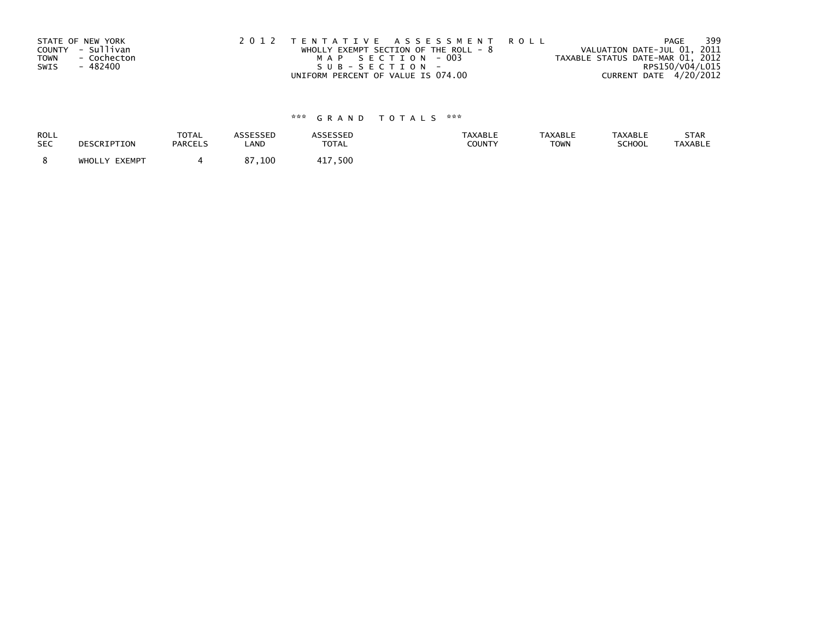| STATE OF NEW YORK<br>COUNTY - Sullivan<br><b>TOWN</b><br>- 482400 | - Cochecton | 2012 TENTATIVE ASSESSMENT ROLL | WHOLLY EXEMPT SECTION OF THE ROLL - $8$<br>MAP SECTION - 003<br>SUB-SECTION- |  | VALUATION DATE-JUL 01, 2011<br>TAXABLE STATUS DATE-MAR 01, 2012 | PAGE                   | 399 |
|-------------------------------------------------------------------|-------------|--------------------------------|------------------------------------------------------------------------------|--|-----------------------------------------------------------------|------------------------|-----|
| SWIS                                                              |             |                                |                                                                              |  |                                                                 | RPS150/V04/L015        |     |
|                                                                   |             |                                | UNIFORM PERCENT OF VALUE IS 074.00                                           |  |                                                                 | CURRENT DATE 4/20/2012 |     |

| ROLL       | DESCRIPTION   | <b>TOTAL</b>   | <b>ASSESSED</b> | <b>ASSESSED</b> | <b>TAXABLE</b> | <b>TAXABLE</b> | <b>TAXABLE</b> | STAR           |
|------------|---------------|----------------|-----------------|-----------------|----------------|----------------|----------------|----------------|
| <b>SEC</b> |               | <b>PARCELS</b> | LAND            | <b>TOTAL</b>    | COUNTY         | <b>TOWN</b>    | <b>SCHOOL</b>  | <b>TAXABLE</b> |
|            | WHOLLY EXEMPT |                | 87,100          | 417,500         |                |                |                |                |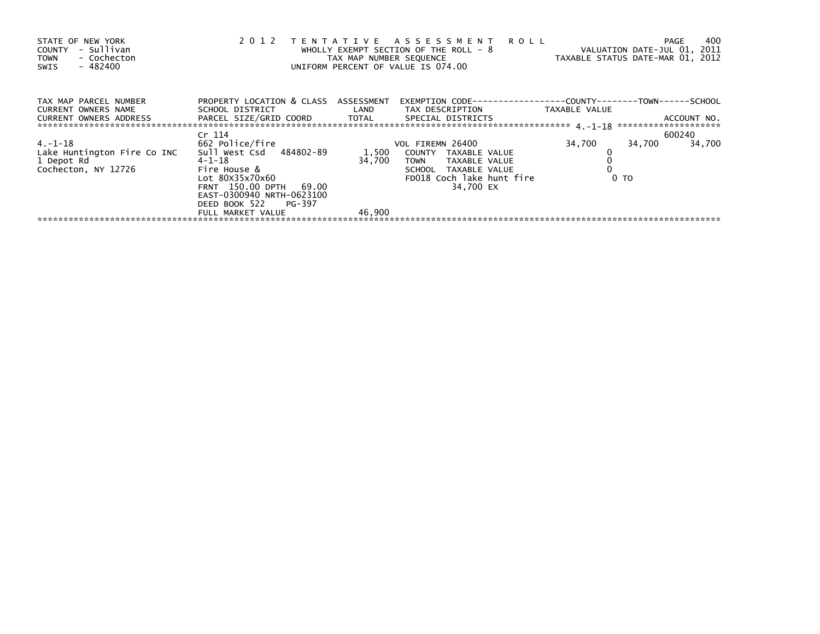| PROPERTY LOCATION & CLASS ASSESSMENT<br>TAX MAP PARCEL NUMBER<br>CURRENT OWNERS NAME<br>SCHOOL DISTRICT                         LAND         TAX DESCRIPTION                   TAXABLE VALUE<br>CURRENT OWNERS ADDRESS TARCEL SIZE/GRID COORD TOTAL SPECIAL DISTRICTS<br>ACCOUNT NO.<br>Cr 114<br>600240<br>662 Police/fire<br>$4. -1 - 18$<br>34,700<br>34,700<br>VOL FIREMN 26400<br>34,700<br>Sull West Csd 484802-89<br>1,500<br>Lake Huntington Fire Co INC<br>COUNTY TAXABLE VALUE<br>$4 - 1 - 18$<br>34,700<br>1 Depot Rd<br>TAXABLE VALUE<br>TOWN |
|-----------------------------------------------------------------------------------------------------------------------------------------------------------------------------------------------------------------------------------------------------------------------------------------------------------------------------------------------------------------------------------------------------------------------------------------------------------------------------------------------------------------------------------------------------------|
|                                                                                                                                                                                                                                                                                                                                                                                                                                                                                                                                                           |
|                                                                                                                                                                                                                                                                                                                                                                                                                                                                                                                                                           |
|                                                                                                                                                                                                                                                                                                                                                                                                                                                                                                                                                           |
|                                                                                                                                                                                                                                                                                                                                                                                                                                                                                                                                                           |
|                                                                                                                                                                                                                                                                                                                                                                                                                                                                                                                                                           |
|                                                                                                                                                                                                                                                                                                                                                                                                                                                                                                                                                           |
| Cochecton, NY 12726<br>Fire House &<br>SCHOOL TAXABLE VALUE                                                                                                                                                                                                                                                                                                                                                                                                                                                                                               |
| Lot 80X35x70x60<br>FD018 Coch lake hunt fire<br>0 <sub>T</sub>                                                                                                                                                                                                                                                                                                                                                                                                                                                                                            |
| 34,700 EX<br>FRNT 150.00 DPTH 69.00                                                                                                                                                                                                                                                                                                                                                                                                                                                                                                                       |
| EAST-0300940 NRTH-0623100                                                                                                                                                                                                                                                                                                                                                                                                                                                                                                                                 |
| DEED BOOK 522 PG-397                                                                                                                                                                                                                                                                                                                                                                                                                                                                                                                                      |
| 46,900<br>FULL MARKET VALUE                                                                                                                                                                                                                                                                                                                                                                                                                                                                                                                               |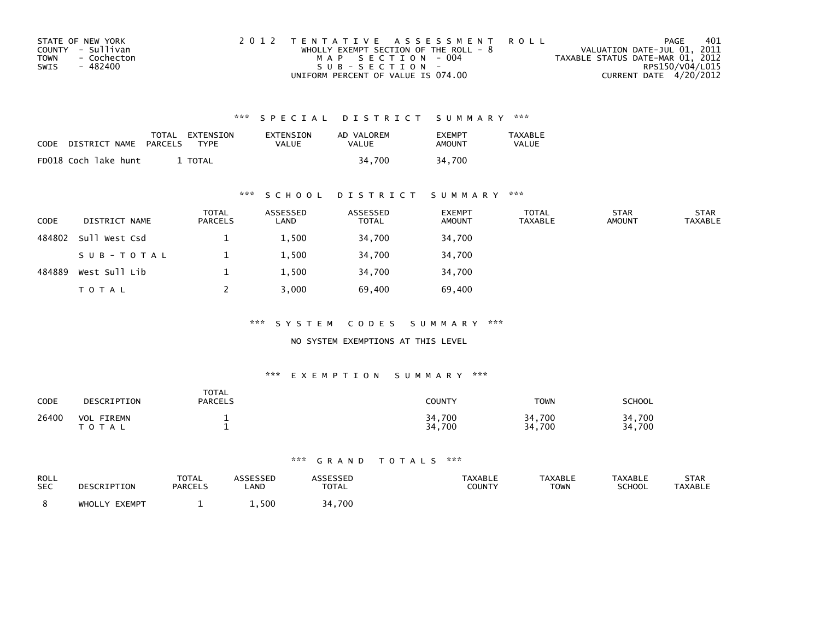| STATE OF NEW YORK          | 2012 TENTATIVE ASSESSMENT ROLL          | PAGE                             | 401             |
|----------------------------|-----------------------------------------|----------------------------------|-----------------|
| COUNTY - Sullivan          | WHOLLY EXEMPT SECTION OF THE ROLL - $8$ | VALUATION DATE-JUL 01, 2011      |                 |
| <b>TOWN</b><br>- Cochecton | MAP SECTION - 004                       | TAXABLE STATUS DATE-MAR 01, 2012 |                 |
| SWIS<br>- 482400           | $SUB - SECTION -$                       |                                  | RPS150/V04/L015 |
|                            | UNIFORM PERCENT OF VALUE IS 074.00      | CURRENT DATE 4/20/2012           |                 |

| CODE | DISTRICT NAME        | TOTAL<br>PARCELS | EXTENSION<br>TYPF | EXTENSION<br><b>VALUE</b> | AD VALOREM<br>VALUE | <b>FXFMPT</b><br>AMOUNT | <b>TAXABLE</b><br><b>VALUE</b> |
|------|----------------------|------------------|-------------------|---------------------------|---------------------|-------------------------|--------------------------------|
|      | FD018 Coch lake hunt |                  | TOTAL             |                           | 34.700              | 34.700                  |                                |

### \*\*\* S C H O O L D I S T R I C T S U M M A R Y \*\*\*

| <b>CODE</b> | DISTRICT NAME | <b>TOTAL</b><br>PARCELS | ASSESSED<br>LAND | ASSESSED<br><b>TOTAL</b> | <b>EXEMPT</b><br><b>AMOUNT</b> | <b>TOTAL</b><br><b>TAXABLE</b> | <b>STAR</b><br><b>AMOUNT</b> | <b>STAR</b><br><b>TAXABLE</b> |
|-------------|---------------|-------------------------|------------------|--------------------------|--------------------------------|--------------------------------|------------------------------|-------------------------------|
| 484802      | Sull West Csd |                         | 1,500            | 34,700                   | 34,700                         |                                |                              |                               |
|             | SUB-TOTAL     |                         | 1,500            | 34,700                   | 34,700                         |                                |                              |                               |
| 484889      | West Sull Lib |                         | 1,500            | 34,700                   | 34,700                         |                                |                              |                               |
|             | T O T A L     |                         | 3,000            | 69,400                   | 69,400                         |                                |                              |                               |

\*\*\* S Y S T E M C O D E S S U M M A R Y \*\*\*

NO SYSTEM EXEMPTIONS AT THIS LEVEL

### \*\*\* E X E M P T I O N S U M M A R Y \*\*\*

| <b>CODE</b> | DESCRIPTION                          | <b>TOTAL</b><br><b>PARCELS</b> | <b>COUNTY</b>    | <b>TOWN</b>      | SCHOOL           |
|-------------|--------------------------------------|--------------------------------|------------------|------------------|------------------|
| 26400       | <b>VOL</b><br>FIREMN<br><b>TOTAL</b> |                                | 34,700<br>34,700 | 34,700<br>34,700 | 34.700<br>34,700 |

| ROLL       | DESCRIPTION   | TOTAL   | ASSESSED | <b>ASSESSED</b> | <b>TAXABLE</b> | <b>TAXABLE</b> | <b>TAXABLE</b> | STAR           |
|------------|---------------|---------|----------|-----------------|----------------|----------------|----------------|----------------|
| <b>SEC</b> |               | PARCELS | LAND     | <b>TOTAL</b>    | COUNTY         | <b>TOWN</b>    | <b>SCHOOL</b>  | <b>TAXABLE</b> |
|            | WHOLLY EXEMPT |         | 1.500    | 34.700          |                |                |                |                |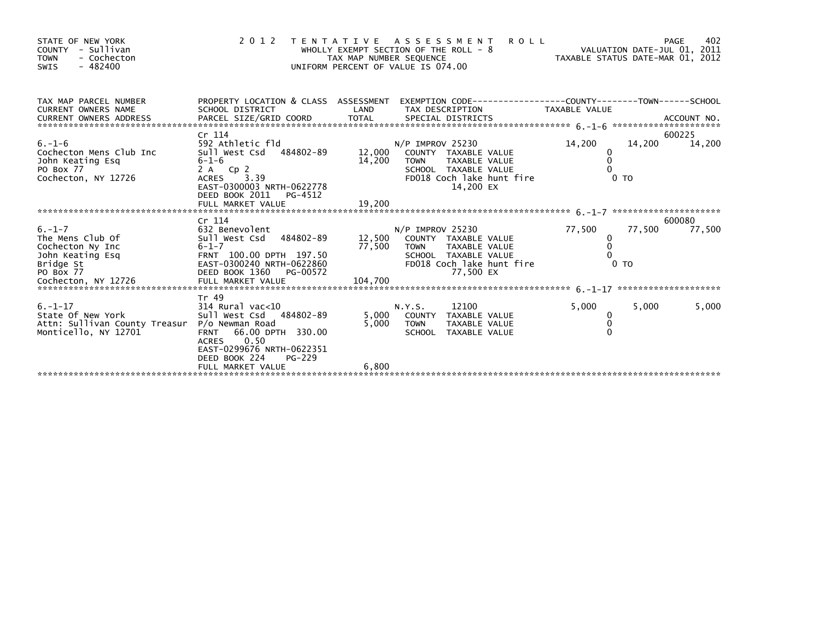| STATE OF NEW YORK<br>COUNTY - Sullivan<br><b>TOWN</b><br>- Cochecton<br>$-482400$<br><b>SWIS</b>                          |                                                                                                                                                                                                           | TAX MAP NUMBER SEQUENCE | <b>ROLL</b><br>2012 TENTATIVE ASSESSMENT<br>WHOLLY EXEMPT SECTION OF THE ROLL - 8<br>UNIFORM PERCENT OF VALUE IS 074.00               |                                           | 402<br>PAGE<br>VALUATION DATE-JUL 01, 2011<br>VALUATION DATE-JUL 01, 2011<br>TAXABLE STATUS DATE-MAR 01, 2012 |
|---------------------------------------------------------------------------------------------------------------------------|-----------------------------------------------------------------------------------------------------------------------------------------------------------------------------------------------------------|-------------------------|---------------------------------------------------------------------------------------------------------------------------------------|-------------------------------------------|---------------------------------------------------------------------------------------------------------------|
| TAX MAP PARCEL NUMBER<br>CURRENT OWNERS NAME                                                                              | SCHOOL DISTRICT                                                                                                                                                                                           | LAND                    | PROPERTY LOCATION & CLASS ASSESSMENT EXEMPTION CODE---------------COUNTY-------TOWN------SCHOOL<br>TAX DESCRIPTION                    | TAXABLE VALUE                             |                                                                                                               |
| $6. - 1 - 6$<br>Cochecton Mens Club Inc<br>John Keating Esq<br>PO Box 77<br>Cochecton, NY 12726                           | Cr 114<br>592 Athletic fld<br>Sull West Csd 484802-89<br>$6 - 1 - 6$<br>2 A Cp 2<br>3.39<br>ACRES<br>EAST-0300003 NRTH-0622778<br>DEED BOOK 2011<br>PG-4512                                               | 12,000<br>14,200        | $N/P$ IMPROV 25230<br>COUNTY TAXABLE VALUE<br>TAXABLE VALUE<br>TOWN<br>SCHOOL TAXABLE VALUE<br>FD018 Coch lake hunt fire<br>14,200 EX | 14,200<br>0<br>0 <sub>T</sub>             | 600225<br>14,200<br>14,200                                                                                    |
|                                                                                                                           |                                                                                                                                                                                                           |                         |                                                                                                                                       |                                           |                                                                                                               |
| $6. - 1 - 7$<br>The Mens Club Of<br>Cochecton Ny Inc<br>John Keating Esq<br>Bridge St<br>PO Box 77<br>Cochecton, NY 12726 | Cr 114<br>632 Benevolent<br>Sull West Csd 484802-89 12,500 COUNTY TAXABLE VALUE<br>$6 - 1 - 7$<br>FRNT 100.00 DPTH 197.50<br>EAST-0300240 NRTH-0622860<br>DEED BOOK 1360<br>PG-00572<br>FULL MARKET VALUE | 104,700                 | $N/P$ IMPROV 25230<br>77,500 TOWN<br>TAXABLE VALUE<br>SCHOOL TAXABLE VALUE<br>FD018 Coch lake hunt fire<br>77,500 EX                  | 77,500<br>0<br>$\Omega$<br>0 <sub>T</sub> | 600080<br>77,500<br>77,500                                                                                    |
| $6. - 1 - 17$<br>State Of New York<br>Attn: Sullivan County Treasur P/o Newman Road<br>Monticello, NY 12701               | Tr 49<br>314 Rural vac<10<br>Sull West Csd 484802-89<br>66.00 DPTH 330.00<br><b>FRNT</b><br>0.50<br><b>ACRES</b><br>EAST-0299676 NRTH-0622351                                                             | 5,000<br>5,000          | 12100<br>N.Y.S.<br>COUNTY TAXABLE VALUE<br><b>TOWN</b><br>TAXABLE VALUE<br>SCHOOL TAXABLE VALUE                                       | 5,000<br>0<br>$\Omega$                    | 5,000<br>5,000                                                                                                |
|                                                                                                                           | DEED BOOK 224<br>PG-229<br>FULL MARKET VALUE                                                                                                                                                              | 6,800                   |                                                                                                                                       |                                           |                                                                                                               |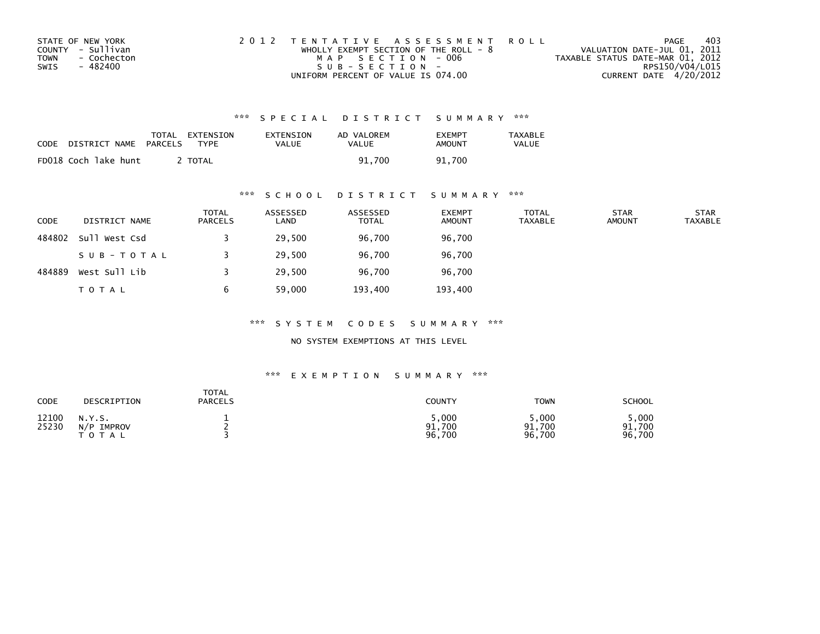| STATE OF NEW YORK          | 2012 TENTATIVE ASSESSMENT ROLL          |                                  | PAGE | 403 |
|----------------------------|-----------------------------------------|----------------------------------|------|-----|
| COUNTY - Sullivan          | WHOLLY EXEMPT SECTION OF THE ROLL - $8$ | VALUATION DATE-JUL 01, 2011      |      |     |
| <b>TOWN</b><br>- Cochecton | MAP SECTION - 006                       | TAXABLE STATUS DATE-MAR 01, 2012 |      |     |
| SWIS<br>- 482400           | $SUB - SECTION -$                       | RPS150/V04/L015                  |      |     |
|                            | UNIFORM PERCENT OF VALUE IS 074.00      | CURRENT DATE 4/20/2012           |      |     |

| CODE | DISTRICT NAME        | TOTAL<br>PARCELS | EXTENSION<br>TYPF | EXTENSION<br>VALUE | AD VALOREM<br>VALUE | <b>EXEMPT</b><br>AMOUNT | <b>TAXABLE</b><br><b>VALUE</b> |
|------|----------------------|------------------|-------------------|--------------------|---------------------|-------------------------|--------------------------------|
|      | FD018 Coch lake hunt |                  | TOTAL             |                    | 91.700              | 91.700                  |                                |

### \*\*\* S C H O O L D I S T R I C T S U M M A R Y \*\*\*

| CODE   | DISTRICT NAME | <b>TOTAL</b><br><b>PARCELS</b> | ASSESSED<br>LAND | ASSESSED<br><b>TOTAL</b> | <b>EXEMPT</b><br><b>AMOUNT</b> | TOTAL<br><b>TAXABLE</b> | <b>STAR</b><br><b>AMOUNT</b> | <b>STAR</b><br><b>TAXABLE</b> |
|--------|---------------|--------------------------------|------------------|--------------------------|--------------------------------|-------------------------|------------------------------|-------------------------------|
| 484802 | Sull West Csd |                                | 29,500           | 96,700                   | 96,700                         |                         |                              |                               |
|        | SUB-TOTAL     |                                | 29,500           | 96,700                   | 96,700                         |                         |                              |                               |
| 484889 | West Sull Lib |                                | 29,500           | 96,700                   | 96,700                         |                         |                              |                               |
|        | <b>TOTAL</b>  | b                              | 59,000           | 193,400                  | 193,400                        |                         |                              |                               |

\*\*\* S Y S T E M C O D E S S U M M A R Y \*\*\*

NO SYSTEM EXEMPTIONS AT THIS LEVEL

| CODE           | DESCRIPTION                          | TOTAL<br><b>PARCELS</b> | COUNTY                    | <b>TOWN</b>              | <b>SCHOOL</b>            |
|----------------|--------------------------------------|-------------------------|---------------------------|--------------------------|--------------------------|
| 12100<br>25230 | N.Y.S.<br>N/P<br>IMPROV<br>T O T A L |                         | 5,000<br>91,700<br>96,700 | ,000<br>91,700<br>96,700 | .000<br>91,700<br>96,700 |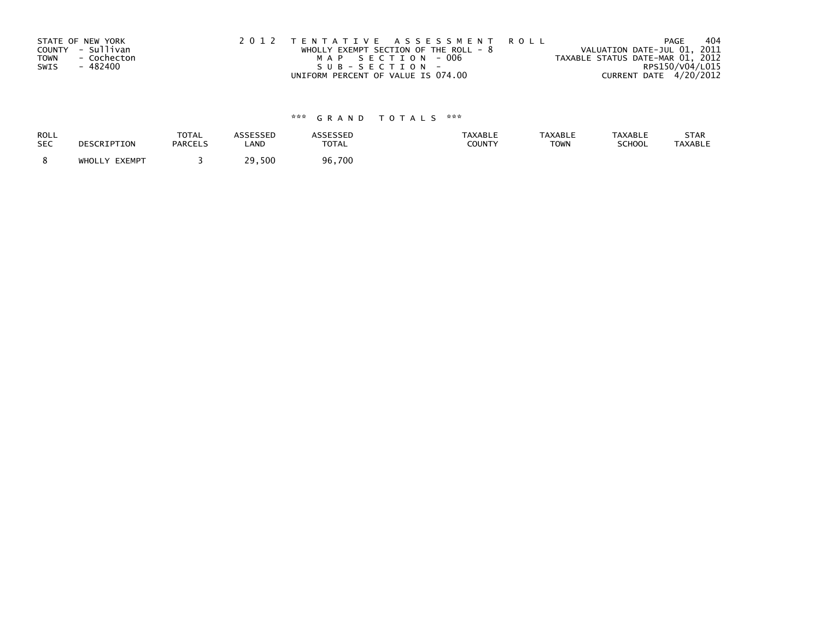| STATE OF NEW YORK<br>COUNTY - Sullivan<br>- Cochecton<br><b>TOWN</b><br>- 482400<br>SWIS | 2012 TENTATIVE ASSESSMENT ROLL<br>WHOLLY EXEMPT SECTION OF THE ROLL - $8$<br>MAP SECTION - 006<br>SUB-SECTION- | PAGE<br>VALUATION DATE-JUL 01, 2011<br>TAXABLE STATUS DATE-MAR 01, 2012 | 404<br>RPS150/V04/L015 |
|------------------------------------------------------------------------------------------|----------------------------------------------------------------------------------------------------------------|-------------------------------------------------------------------------|------------------------|
|                                                                                          | UNIFORM PERCENT OF VALUE IS 074.00                                                                             | CURRENT DATE 4/20/2012                                                  |                        |

| ROLL       | DESCRIPTION   | <b>TOTAL</b>   | <b>ASSESSED</b> | <b>ASSESSED</b> | <b>TAXABLE</b> | <b>TAXABLE</b> | <b>TAXABLE</b> | STAR           |
|------------|---------------|----------------|-----------------|-----------------|----------------|----------------|----------------|----------------|
| <b>SEC</b> |               | <b>PARCELS</b> | LAND            | <b>TOTAL</b>    | COUNTY         | <b>TOWN</b>    | SCHOOL         | <b>TAXABLE</b> |
|            | WHOLLY EXEMPT |                | 29,500          | 96,700          |                |                |                |                |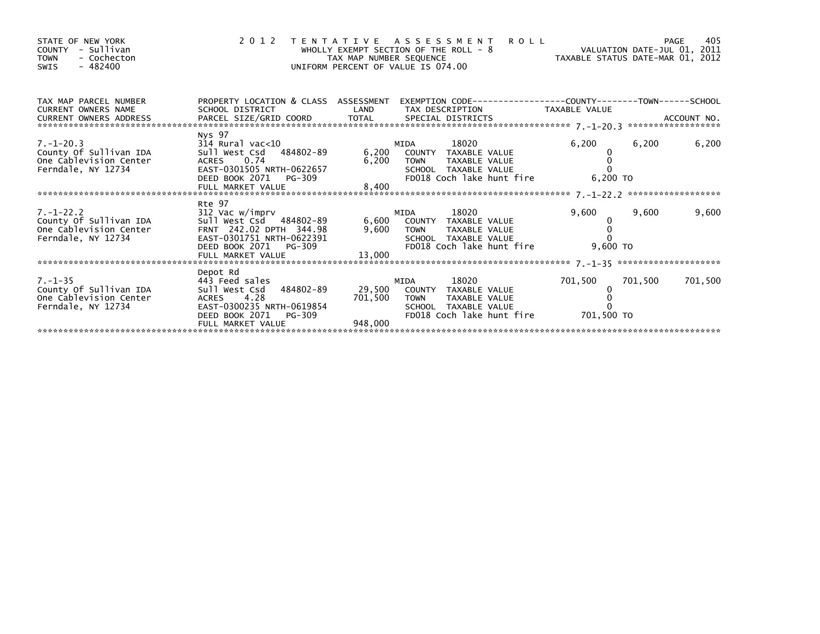| STATE OF NEW YORK<br>COUNTY - Sullivan<br>- Cochecton<br><b>TOWN</b><br>$-482400$<br>SWIS |                                                                                                                                                                           | TAX MAP NUMBER SEQUENCE | 2012 TENTATIVE ASSESSMENT<br>PAGE 405<br>ROLL - 8<br>NALUATION DATE-JUL 01, 2011<br>TAXABLE STATUS DATE-MAR 01, 2012<br>OO<br>WHOLLY EXEMPT SECTION OF THE ROLL - 8<br>UNIFORM PERCENT OF VALUE IS 074.00   |                       |         |         |
|-------------------------------------------------------------------------------------------|---------------------------------------------------------------------------------------------------------------------------------------------------------------------------|-------------------------|-------------------------------------------------------------------------------------------------------------------------------------------------------------------------------------------------------------|-----------------------|---------|---------|
| TAX MAP PARCEL NUMBER<br><b>CURRENT OWNERS NAME</b><br>CURRENT OWNERS ADDRESS             | PROPERTY LOCATION & CLASS ASSESSMENT<br><b>Example 18 DE LAND</b><br>SCHOOL DISTRICT                                                                                      |                         | TAX DESCRIPTION TAXABLE VALUE                                                                                                                                                                               |                       |         |         |
|                                                                                           |                                                                                                                                                                           |                         |                                                                                                                                                                                                             |                       |         |         |
| $7. - 1 - 20.3$<br>County Of Sullivan IDA<br>One Cablevision Center<br>Ferndale, NY 12734 | Nys 97<br>314 Rural vac<10<br>Sull West Csd 484802-89 6,200 COUNTY TAXABLE VALUE<br>ACRES 0.74<br>EAST-0301505 NRTH-0622657<br>DEED BOOK 2071 PG-309<br>FULL MARKET VALUE | 8,400                   | 18020<br>MIDA<br>6,200 TOWN<br>TAXABLE VALUE<br>SCHOOL TAXABLE VALUE<br>FD018 Coch lake hunt fire                                                                                                           | 6,200<br>6,200 TO     | 6,200   | 6,200   |
|                                                                                           | Rte 97                                                                                                                                                                    |                         |                                                                                                                                                                                                             |                       |         |         |
| $7. - 1 - 22.2$<br>County of Sullivan IDA<br>One Cablevision Center<br>Ferndale, NY 12734 | 312 Vac w/imprv<br>Sull West Csd 484802-89<br>FRNT 242.02 DPTH 344.98<br>EAST-0301751 NRTH-0622391<br>DEED BOOK 2071 PG-309<br>FULL MARKET VALUE                          | 13,000                  | 18020 — 18020 — 18020 — 18020 — 18020 — 18020 — 18020 — 18020 — 18020 — 18030 — 1804<br>MIDA<br>6,600 COUNTY TAXABLE VALUE<br>9,600 TOWN TAXABLE VALUE<br>SCHOOL TAXABLE VALUE<br>FD018 Coch lake hunt fire | 9,600<br>9,600 TO     | 9,600   | 9,600   |
|                                                                                           | Depot Rd                                                                                                                                                                  |                         |                                                                                                                                                                                                             |                       |         |         |
| $7. - 1 - 35$<br>County Of Sullivan IDA<br>One Cablevision Center<br>Ferndale, NY 12734   | 443 Feed sales<br>Sull West Csd 484802-89<br>ACRES 4.28<br>EAST-0300235 NRTH-0619854<br>DEED BOOK 2071<br>PG-309<br>FULL MARKET VALUE                                     | 701,500 TOWN<br>948,000 | MIDA<br>18020 — 18020 — 18020 — 18020 — 18020 — 18020 — 18020 — 18020 — 18020 — 18030 — 1804<br>29,500 COUNTY TAXABLE VALUE<br>TAXABLE VALUE<br>SCHOOL TAXABLE VALUE<br>FD018 Coch lake hunt fire           | 701,500<br>701,500 TO | 701,500 | 701,500 |
|                                                                                           |                                                                                                                                                                           |                         |                                                                                                                                                                                                             |                       |         |         |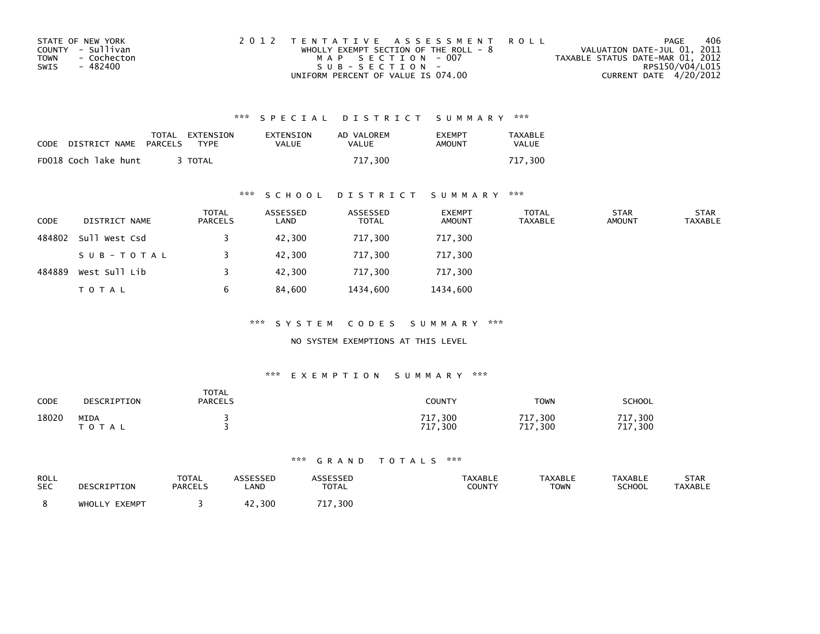| STATE OF NEW YORK          | 2012 TENTATIVE ASSESSMENT ROLL          | PAGE                             | 406 |
|----------------------------|-----------------------------------------|----------------------------------|-----|
| COUNTY - Sullivan          | WHOLLY EXEMPT SECTION OF THE ROLL - $8$ | VALUATION DATE-JUL 01, 2011      |     |
| <b>TOWN</b><br>- Cochecton | MAP SECTION - 007                       | TAXABLE STATUS DATE-MAR 01, 2012 |     |
| SWIS<br>- 482400           | $SUB - SECTION -$                       | RPS150/V04/L015                  |     |
|                            | UNIFORM PERCENT OF VALUE IS 074.00      | CURRENT DATE 4/20/2012           |     |

| CODE | DISTRICT NAME        | PARCELS | TOTAL EXTENSION<br><b>TYPF</b> | EXTENSION<br>VALUE | AD VALOREM<br>VALUE | <b>FXFMPT</b><br>AMOUNT | TAXABLE<br>VALUE |
|------|----------------------|---------|--------------------------------|--------------------|---------------------|-------------------------|------------------|
|      | FD018 Coch lake hunt |         | <b>TOTAL</b>                   |                    | 717.300             |                         | 717.300          |

### \*\*\* S C H O O L D I S T R I C T S U M M A R Y \*\*\*

| <b>CODE</b> | DISTRICT NAME | <b>TOTAL</b><br>PARCELS | ASSESSED<br>LAND | ASSESSED<br><b>TOTAL</b> | <b>EXEMPT</b><br><b>AMOUNT</b> | <b>TOTAL</b><br><b>TAXABLE</b> | <b>STAR</b><br><b>AMOUNT</b> | <b>STAR</b><br><b>TAXABLE</b> |
|-------------|---------------|-------------------------|------------------|--------------------------|--------------------------------|--------------------------------|------------------------------|-------------------------------|
| 484802      | Sull West Csd |                         | 42,300           | 717,300                  | 717,300                        |                                |                              |                               |
|             | SUB-TOTAL     |                         | 42,300           | 717,300                  | 717,300                        |                                |                              |                               |
| 484889      | West Sull Lib |                         | 42,300           | 717,300                  | 717,300                        |                                |                              |                               |
|             | <b>TOTAL</b>  | b                       | 84,600           | 1434,600                 | 1434,600                       |                                |                              |                               |

\*\*\* S Y S T E M C O D E S S U M M A R Y \*\*\*

### NO SYSTEM EXEMPTIONS AT THIS LEVEL

#### \*\*\* E X E M P T I O N S U M M A R Y \*\*\*

| CODE  | DESCRIPTION       | <b>TOTAL</b><br><b>PARCELS</b> | <b>COUNTY</b>                        | <b>TOWN</b>                            | <b>SCHOOL</b>            |
|-------|-------------------|--------------------------------|--------------------------------------|----------------------------------------|--------------------------|
| 18020 | MIDA<br>T O T A L |                                | 17,300 ،<br>717<br>$^{\prime}$ , 300 | ,300<br>717<br>717<br>,300<br><b>L</b> | 717<br>300<br>717<br>300 |

| ROLL       | DESCRIPTION   | <b>TOTAL</b>   | ASSESSED    | ASSESSED                 | <b>TAXABLE</b> | <b>TAXABLE</b> | <b>TAXABLE</b> | STAR           |
|------------|---------------|----------------|-------------|--------------------------|----------------|----------------|----------------|----------------|
| <b>SEC</b> |               | <b>PARCELS</b> | <b>_AND</b> | <b>TOTAL</b>             | <b>COUNTY</b>  | <b>TOWN</b>    | <b>SCHOOL</b>  | <b>TAXABLE</b> |
|            | WHOLLY EXEMPT |                | .300        | $^{\prime}$ , 300<br>717 |                |                |                |                |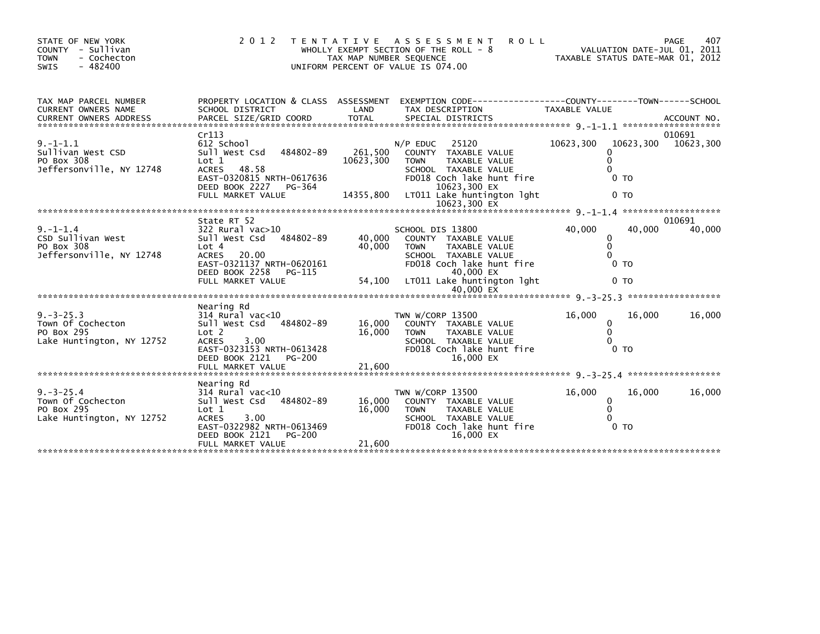| STATE OF NEW YORK<br>COUNTY<br>- Sullivan<br><b>TOWN</b><br>- Cochecton<br>$-482400$<br><b>SWIS</b> | 2 0 1 2                                                                                                                                                             | T E N T A T I V E<br>TAX MAP NUMBER SEQUENCE | <b>ROLL</b><br>A S S E S S M E N T<br>WHOLLY EXEMPT SECTION OF THE ROLL $-8$<br>UNIFORM PERCENT OF VALUE IS 074.00                                | VALUATION DATE-JUL 01, 2011<br>TAXABLE STATUS DATE-MAR 01, 2012 | 407<br><b>PAGE</b>  |
|-----------------------------------------------------------------------------------------------------|---------------------------------------------------------------------------------------------------------------------------------------------------------------------|----------------------------------------------|---------------------------------------------------------------------------------------------------------------------------------------------------|-----------------------------------------------------------------|---------------------|
| TAX MAP PARCEL NUMBER                                                                               | PROPERTY LOCATION & CLASS ASSESSMENT                                                                                                                                |                                              | EXEMPTION CODE-----------------COUNTY-------TOWN------SCHOOL                                                                                      |                                                                 |                     |
| CURRENT OWNERS NAME                                                                                 | SCHOOL DISTRICT                                                                                                                                                     | LAND                                         | TAX DESCRIPTION                                                                                                                                   | TAXABLE VALUE                                                   |                     |
|                                                                                                     | Cr113                                                                                                                                                               |                                              |                                                                                                                                                   |                                                                 | 010691              |
| $9. -1 - 1.1$<br>Sullivan West CSD<br>PO Box 308<br>Jeffersonville, NY 12748                        | 612 School<br>Sull West Csd<br>484802-89<br>Lot 1<br>ACRES 48.58                                                                                                    | 261,500<br>10623,300                         | 25120<br>$N/P$ EDUC<br>COUNTY TAXABLE VALUE<br>TAXABLE VALUE<br><b>TOWN</b><br>SCHOOL TAXABLE VALUE                                               | 10623,300<br>$\mathbf{0}$                                       | 10623,300 10623,300 |
|                                                                                                     | EAST-0320815 NRTH-0617636<br>DEED BOOK 2227<br>PG-364<br>FULL MARKET VALUE                                                                                          | 14355,800                                    | FD018 Coch lake hunt fire<br>10623,300 EX<br>LT011 Lake huntington lght                                                                           | 0 <sub>T</sub><br>0 <sub>T</sub>                                |                     |
|                                                                                                     |                                                                                                                                                                     |                                              |                                                                                                                                                   |                                                                 |                     |
| $9. - 1 - 1.4$<br>CSD Sullivan West<br>PO Box 308<br>Jeffersonville, NY 12748                       | State RT 52<br>322 Rural vac>10<br>484802-89<br>Sull West Csd<br>Lot 4<br>20.00<br><b>ACRES</b><br>EAST-0321137 NRTH-0620161<br>DEED BOOK 2258<br>PG-115            | 40,000<br>40,000                             | SCHOOL DIS 13800<br>COUNTY TAXABLE VALUE<br><b>TOWN</b><br>TAXABLE VALUE<br>SCHOOL TAXABLE VALUE<br>FD018 Coch lake hunt fire<br>40,000 EX        | 40,000<br>40,000<br>0<br>$\mathbf{0}$<br>0 <sub>T</sub>         | 010691<br>40,000    |
|                                                                                                     | FULL MARKET VALUE                                                                                                                                                   | 54,100                                       | LT011 Lake huntington lght<br>40.000 EX                                                                                                           | 0 <sub>T</sub>                                                  |                     |
|                                                                                                     |                                                                                                                                                                     |                                              |                                                                                                                                                   |                                                                 |                     |
| $9. -3 - 25.3$<br>Town Of Cochecton<br>PO Box 295<br>Lake Huntington, NY 12752                      | Nearing Rd<br>$314$ Rural vac<10<br>484802-89<br>Sull West Csd<br>Lot <sub>2</sub><br>3.00<br><b>ACRES</b><br>EAST-0323153 NRTH-0613428<br>DEED BOOK 2121<br>PG-200 | 16,000<br>16,000                             | TWN W/CORP 13500<br>COUNTY TAXABLE VALUE<br><b>TOWN</b><br>TAXABLE VALUE<br>SCHOOL TAXABLE VALUE<br>FD018 Coch lake hunt fire<br>16,000 EX        | 16,000<br>16.000<br>0<br>$\Omega$<br>0 <sub>T</sub>             | 16,000              |
| *******************************                                                                     |                                                                                                                                                                     |                                              |                                                                                                                                                   |                                                                 |                     |
| $9. -3 - 25.4$<br>Town Of Cochecton<br>PO Box 295<br>Lake Huntington, NY 12752                      | Nearing Rd<br>$314$ Rural vac<10<br>Sull West Csd<br>484802-89<br>Lot 1<br>3.00<br><b>ACRES</b><br>EAST-0322982 NRTH-0613469<br>DEED BOOK 2121<br><b>PG-200</b>     | 16,000<br>16,000                             | TWN W/CORP 13500<br>COUNTY TAXABLE VALUE<br><b>TOWN</b><br><b>TAXABLE VALUE</b><br>SCHOOL TAXABLE VALUE<br>FD018 Coch lake hunt fire<br>16,000 EX | 16,000<br>16.000<br>0<br>$\mathbf{0}$<br>0 <sub>T</sub>         | 16,000              |
|                                                                                                     | FULL MARKET VALUE                                                                                                                                                   | 21,600                                       |                                                                                                                                                   |                                                                 |                     |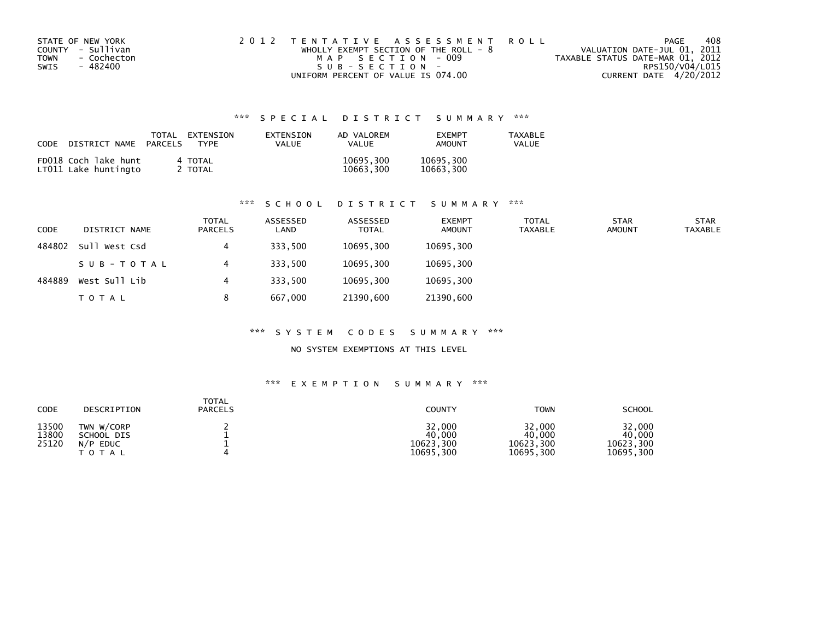| STATE OF NEW YORK          | 2012 TENTATIVE ASSESSMENT ROLL        |                                  | PAGE | 408 |
|----------------------------|---------------------------------------|----------------------------------|------|-----|
| COUNTY - Sullivan          | WHOLLY EXEMPT SECTION OF THE ROLL - 8 | VALUATION DATE-JUL 01, 2011      |      |     |
| <b>TOWN</b><br>- Cochecton | MAP SECTION - 009                     | TAXABLE STATUS DATE-MAR 01, 2012 |      |     |
| SWIS<br>- 482400           | SUB-SECTION-                          | RPS150/V04/L015                  |      |     |
|                            | UNIFORM PERCENT OF VALUE IS 074.00    | CURRENT DATE 4/20/2012           |      |     |

| CODE | DISTRICT NAME                                | TOTAL<br>PARCELS | EXTENSION<br>TYPF  | EXTENSION<br>VALUE | AD VALOREM<br><b>VALUE</b> | <b>FXFMPT</b><br>AMOUNT | <b>TAXABLE</b><br>VALUE |
|------|----------------------------------------------|------------------|--------------------|--------------------|----------------------------|-------------------------|-------------------------|
|      | FD018 Coch lake hunt<br>LT011 Lake huntingto |                  | 4 TOTAL<br>2 TOTAL |                    | 10695,300<br>10663,300     | 10695,300<br>10663,300  |                         |

# \*\*\* S C H O O L D I S T R I C T S U M M A R Y \*\*\*

| CODE   | DISTRICT NAME | <b>TOTAL</b><br><b>PARCELS</b> | ASSESSED<br>LAND | ASSESSED<br><b>TOTAL</b> | <b>EXEMPT</b><br><b>AMOUNT</b> | <b>TOTAL</b><br>TAXABLE | <b>STAR</b><br><b>AMOUNT</b> | <b>STAR</b><br><b>TAXABLE</b> |
|--------|---------------|--------------------------------|------------------|--------------------------|--------------------------------|-------------------------|------------------------------|-------------------------------|
| 484802 | Sull West Csd | 4                              | 333,500          | 10695,300                | 10695,300                      |                         |                              |                               |
|        | SUB-TOTAL     | 4                              | 333,500          | 10695,300                | 10695,300                      |                         |                              |                               |
| 484889 | West Sull Lib | 4                              | 333.500          | 10695,300                | 10695,300                      |                         |                              |                               |
|        | <b>TOTAL</b>  | 8                              | 667.000          | 21390,600                | 21390,600                      |                         |                              |                               |

#### \*\*\* S Y S T E M C O D E S S U M M A R Y \*\*\*

### NO SYSTEM EXEMPTIONS AT THIS LEVEL

| <b>CODE</b>             | DESCRIPTION                                                    | <b>TOTAL</b><br><b>PARCELS</b> | <b>COUNTY</b>                              | <b>TOWN</b>                                | <b>SCHOOL</b>                              |
|-------------------------|----------------------------------------------------------------|--------------------------------|--------------------------------------------|--------------------------------------------|--------------------------------------------|
| 13500<br>13800<br>25120 | TWN W/CORP<br>SCHOOL DIS<br>N/P<br><b>EDUC</b><br><b>TOTAL</b> |                                | 32,000<br>40,000<br>10623,300<br>10695,300 | 32,000<br>40,000<br>10623,300<br>10695,300 | 32,000<br>40.000<br>10623,300<br>10695,300 |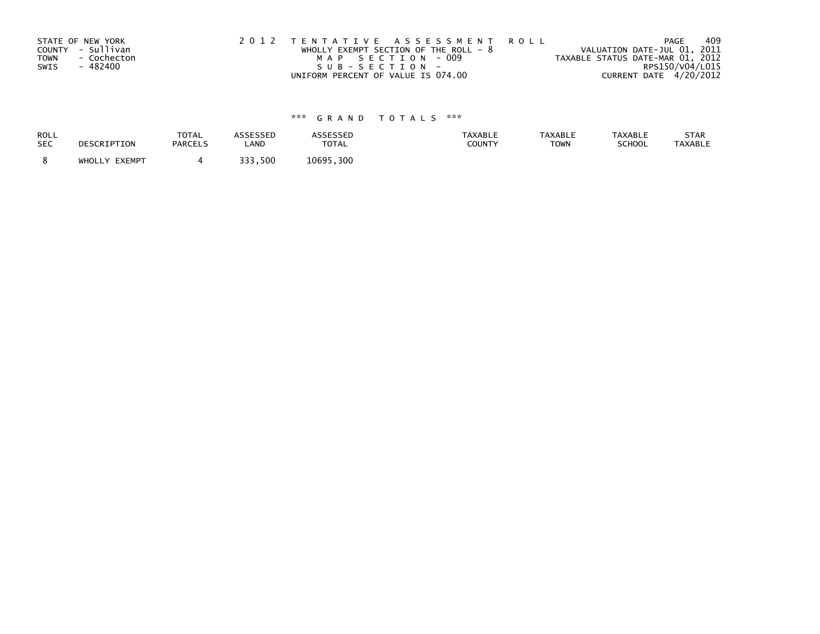| STATE OF NEW YORK          | 2012 TENTATIVE ASSESSMENT ROLL          | PAGE                             | 409             |
|----------------------------|-----------------------------------------|----------------------------------|-----------------|
| COUNTY - Sullivan          | WHOLLY EXEMPT SECTION OF THE ROLL - $8$ | VALUATION DATE-JUL 01, 2011      |                 |
| <b>TOWN</b><br>- Cochecton | MAP SECTION - 009                       | TAXABLE STATUS DATE-MAR 01, 2012 |                 |
| - 482400<br>SWIS           | SUB-SECTION-                            |                                  | RPS150/V04/L015 |
|                            | UNIFORM PERCENT OF VALUE IS 074.00      | CURRENT DATE 4/20/2012           |                 |

| ROLL       | DESCRIPTION   | <b>TOTAL</b>   | ASSESSED | <b>ASSESSED</b> | <b>TAXABLE</b> | <b>TAXABLE</b> | <b>TAXABLE</b> | STAR           |
|------------|---------------|----------------|----------|-----------------|----------------|----------------|----------------|----------------|
| <b>SEC</b> |               | <b>PARCELS</b> | LAND     | <b>TOTAL</b>    | COUNTY         | <b>TOWN</b>    | SCHOOL         | <b>TAXABLE</b> |
|            | WHOLLY EXEMPT |                | 333,500  | 10695,300       |                |                |                |                |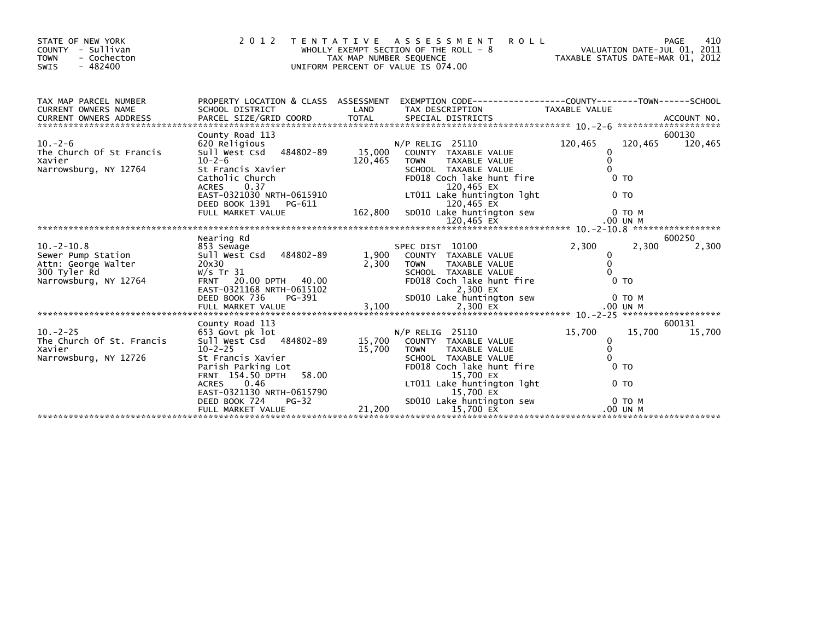| STATE OF NEW YORK<br>COUNTY - Sullivan<br>- Cochecton<br><b>TOWN</b><br>$-482400$<br>SWIS | 2 0 1 2                                                 | TAX MAP NUMBER SEQUENCE | TENTATIVE ASSESSMENT<br><b>ROLL</b><br>WHOLLY EXEMPT SECTION OF THE ROLL - 8<br>UNIFORM PERCENT OF VALUE IS 074.00 | VALUATION DATE-JUL 01, 2011<br>TAXABLE STATUS DATE-MAR 01, 2012 |                | PAGE<br>410 |
|-------------------------------------------------------------------------------------------|---------------------------------------------------------|-------------------------|--------------------------------------------------------------------------------------------------------------------|-----------------------------------------------------------------|----------------|-------------|
| TAX MAP PARCEL NUMBER<br>CURRENT OWNERS NAME                                              | PROPERTY LOCATION & CLASS ASSESSMENT<br>SCHOOL DISTRICT | LAND                    | EXEMPTION CODE------------------COUNTY--------TOWN------SCHOOL<br>TAX DESCRIPTION                                  | TAXABLE VALUE                                                   |                |             |
|                                                                                           |                                                         |                         |                                                                                                                    |                                                                 |                |             |
|                                                                                           | County Road 113                                         |                         |                                                                                                                    |                                                                 |                | 600130      |
| $10. -2 - 6$                                                                              | 620 Religious                                           |                         | $N/P$ RELIG 25110                                                                                                  | 120,465                                                         | 120,465        | 120,465     |
| The Church Of St Francis                                                                  | Sull West Csd 484802-89                                 | 15,000                  | COUNTY TAXABLE VALUE                                                                                               | 0                                                               |                |             |
| Xavier                                                                                    | $10 - 2 - 6$                                            | 120,465                 | <b>TAXABLE VALUE</b><br><b>TOWN</b>                                                                                | $\mathbf{0}$                                                    |                |             |
| Narrowsburg, NY 12764                                                                     | St Francis Xavier<br>Catholic Church                    |                         | SCHOOL TAXABLE VALUE<br>FD018 Coch lake hunt fire                                                                  |                                                                 | 0 <sub>T</sub> |             |
|                                                                                           | 0.37<br><b>ACRES</b>                                    |                         | 120,465 EX                                                                                                         |                                                                 |                |             |
|                                                                                           | EAST-0321030 NRTH-0615910                               |                         | LT011 Lake huntington lght                                                                                         |                                                                 | 0 <sub>T</sub> |             |
|                                                                                           | DEED BOOK 1391 PG-611                                   |                         | 120,465 EX                                                                                                         |                                                                 |                |             |
|                                                                                           | FULL MARKET VALUE                                       | 162,800                 | SD010 Lake huntington sew                                                                                          |                                                                 | 0 TO M         |             |
|                                                                                           |                                                         |                         |                                                                                                                    |                                                                 |                |             |
|                                                                                           |                                                         |                         |                                                                                                                    |                                                                 |                |             |
|                                                                                           | Nearing Rd                                              |                         |                                                                                                                    |                                                                 |                | 600250      |
| $10. -2 - 10.8$                                                                           | 853 Sewage                                              |                         | SPEC DIST 10100                                                                                                    | 2,300                                                           | 2,300          | 2,300       |
| Sewer Pump Station                                                                        | 484802-89<br>sull west Csd                              | 1,900                   | COUNTY TAXABLE VALUE                                                                                               | 0                                                               |                |             |
| Attn: George Walter                                                                       | 20x30                                                   | 2,300                   | <b>TAXABLE VALUE</b><br><b>TOWN</b>                                                                                | 0                                                               |                |             |
| 300 Tyler Rd                                                                              | W/s Tr $31$                                             |                         | SCHOOL TAXABLE VALUE                                                                                               | $\Omega$                                                        |                |             |
| Narrowsburg, NY 12764                                                                     | FRNT 20.00 DPTH 40.00<br>EAST-0321168 NRTH-0615102      |                         | FD018 Coch lake hunt fire<br>2,300 EX                                                                              |                                                                 | 0 <sub>T</sub> |             |
|                                                                                           | DEED BOOK 736<br>PG-391                                 |                         | SD010 Lake huntington sew                                                                                          |                                                                 | $0$ TO M       |             |
|                                                                                           |                                                         |                         |                                                                                                                    |                                                                 |                |             |
|                                                                                           |                                                         |                         |                                                                                                                    |                                                                 |                |             |
|                                                                                           | County Road 113                                         |                         |                                                                                                                    |                                                                 |                | 600131      |
| $10. -2 - 25$                                                                             | 653 Govt pk lot                                         |                         | $N/P$ RELIG 25110                                                                                                  | 15,700                                                          | 15,700         | 15,700      |
| The Church Of St. Francis                                                                 | Sull West Csd 484802-89                                 | 15,700                  | COUNTY TAXABLE VALUE                                                                                               | 0                                                               |                |             |
| Xavier                                                                                    | $10 - 2 - 25$                                           | 15,700                  | <b>TAXABLE VALUE</b><br><b>TOWN</b>                                                                                | $\Omega$                                                        |                |             |
| Narrowsburg, NY 12726                                                                     | St Francis Xavier                                       |                         | SCHOOL TAXABLE VALUE                                                                                               | $\Omega$                                                        |                |             |
|                                                                                           | Parish Parking Lot                                      |                         | FD018 Coch lake hunt fire                                                                                          |                                                                 | 0 <sub>T</sub> |             |
|                                                                                           | 58.00<br>FRNT 154.50 DPTH                               |                         | 15,700 EX                                                                                                          |                                                                 |                |             |
|                                                                                           | 0.46<br><b>ACRES</b>                                    |                         | LT011 Lake huntington lght                                                                                         |                                                                 | 0 <sub>T</sub> |             |
|                                                                                           | EAST-0321130 NRTH-0615790                               |                         | 15,700 EX                                                                                                          |                                                                 |                |             |
|                                                                                           | DEED BOOK 724<br>$PG-32$                                |                         | SD010 Lake huntington sew                                                                                          |                                                                 | $0$ TO $M$     |             |
|                                                                                           | FULL MARKET VALUE                                       | 21,200                  | 15,700 EX                                                                                                          |                                                                 | .00 UN M       |             |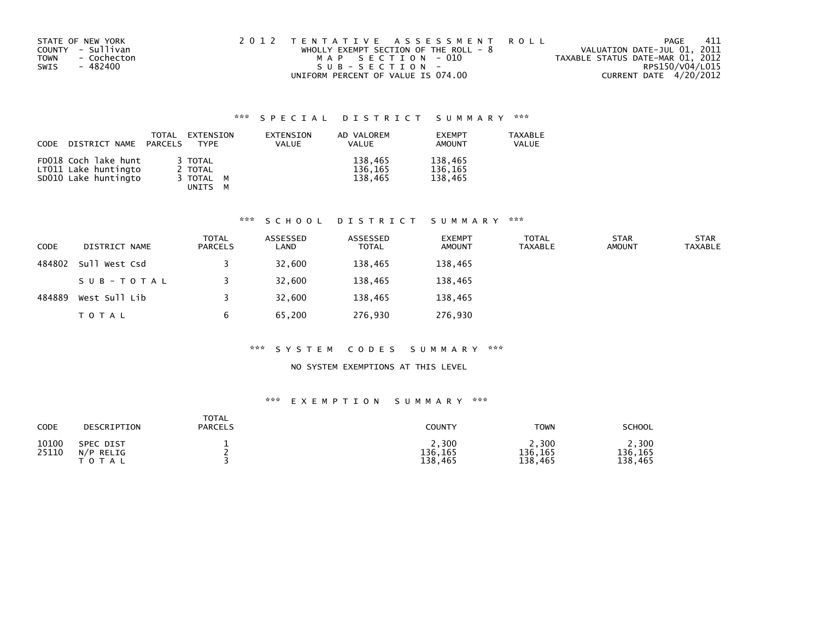| STATE OF NEW YORK   | 2012 TENTATIVE ASSESSMENT ROLL          | PAGE                             | -411 |
|---------------------|-----------------------------------------|----------------------------------|------|
| COUNTY - Sullivan   | WHOLLY EXEMPT SECTION OF THE ROLL - $8$ | VALUATION DATE-JUL 01, 2011      |      |
| - Cochecton<br>TOWN | MAP SECTION - 010                       | TAXABLE STATUS DATE-MAR 01, 2012 |      |
| - 482400<br>SWIS    | SUB-SECTION-                            | RPS150/V04/L015                  |      |
|                     | UNIFORM PERCENT OF VALUE IS 074.00      | CURRENT DATE 4/20/2012           |      |

| CODE | DISTRICT NAME                                                        | TOTAL<br>PARCELS | EXTENSION<br>TYPF                          | EXTENSION<br><b>VALUE</b> | AD VALOREM<br>VALUE           | <b>EXEMPT</b><br>AMOUNT       | <b>TAXABLE</b><br>VALUE |
|------|----------------------------------------------------------------------|------------------|--------------------------------------------|---------------------------|-------------------------------|-------------------------------|-------------------------|
|      | FD018 Coch lake hunt<br>LT011 Lake huntingto<br>SD010 Lake huntingto |                  | 3 TOTAL<br>2 TOTAL<br>3 TOTAL M<br>UNITS M |                           | 138,465<br>136,165<br>138.465 | 138,465<br>136,165<br>138.465 |                         |

#### \*\*\* S C H O O L D I S T R I C T S U M M A R Y \*\*\*

| <b>CODE</b> | DISTRICT NAME | TOTAL<br><b>PARCELS</b> | ASSESSED<br>LAND | ASSESSED<br><b>TOTAL</b> | <b>EXEMPT</b><br><b>AMOUNT</b> | <b>TOTAL</b><br>TAXABLE | <b>STAR</b><br><b>AMOUNT</b> | <b>STAR</b><br><b>TAXABLE</b> |
|-------------|---------------|-------------------------|------------------|--------------------------|--------------------------------|-------------------------|------------------------------|-------------------------------|
| 484802      | Sull West Csd |                         | 32,600           | 138,465                  | 138,465                        |                         |                              |                               |
|             | SUB-TOTAL     |                         | 32,600           | 138,465                  | 138,465                        |                         |                              |                               |
| 484889      | West Sull Lib |                         | 32,600           | 138,465                  | 138,465                        |                         |                              |                               |
|             | T O T A L     | b                       | 65,200           | 276,930                  | 276,930                        |                         |                              |                               |

#### \*\*\* S Y S T E M C O D E S S U M M A R Y \*\*\*

### NO SYSTEM EXEMPTIONS AT THIS LEVEL

| CODE           | DESCRIPTION                                   | <b>TOTAL</b><br><b>PARCELS</b> | COUNTY                      | <b>TOWN</b>                 | <b>SCHOOL</b>               |
|----------------|-----------------------------------------------|--------------------------------|-----------------------------|-----------------------------|-----------------------------|
| 10100<br>25110 | <b>SPEC DIST</b><br>N/P<br>RELIG<br>T O T A L |                                | 2,300<br>136,165<br>138,465 | 2,300<br>136,165<br>138.465 | 2,300<br>136,165<br>138.465 |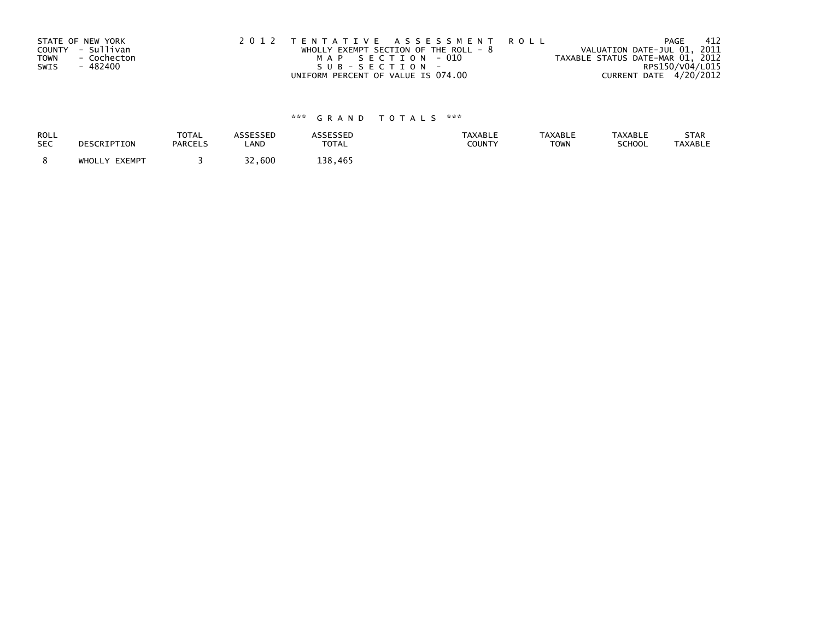|             | STATE OF NEW YORK | 2012 TENTATIVE ASSESSMENT ROLL          | PAGE                             | -412 |
|-------------|-------------------|-----------------------------------------|----------------------------------|------|
|             | COUNTY - Sullivan | WHOLLY EXEMPT SECTION OF THE ROLL - $8$ | VALUATION DATE-JUL 01, 2011      |      |
| <b>TOWN</b> | - Cochecton       | MAP SECTION - 010                       | TAXABLE STATUS DATE-MAR 01, 2012 |      |
| SWIS        | - 482400          | $SUB - SECTION -$                       | RPS150/V04/L015                  |      |
|             |                   | UNIFORM PERCENT OF VALUE IS 074.00      | CURRENT DATE 4/20/2012           |      |

| <b>ROLL</b> | DESCRIPTION   | <b>TOTAL</b>   | <b>ASSESSED</b> | <b>ASSESSED</b> | <b>TAXABLE</b> | <b>TAXABLE</b> | <b>TAXABLE</b> | STAR           |
|-------------|---------------|----------------|-----------------|-----------------|----------------|----------------|----------------|----------------|
| <b>SEC</b>  |               | <b>PARCELS</b> | LAND            | <b>TOTAL</b>    | COUNTY         | <b>TOWN</b>    | SCHOOL         | <b>TAXABLE</b> |
|             | WHOLLY EXEMPT |                | 32,600          | 138.465         |                |                |                |                |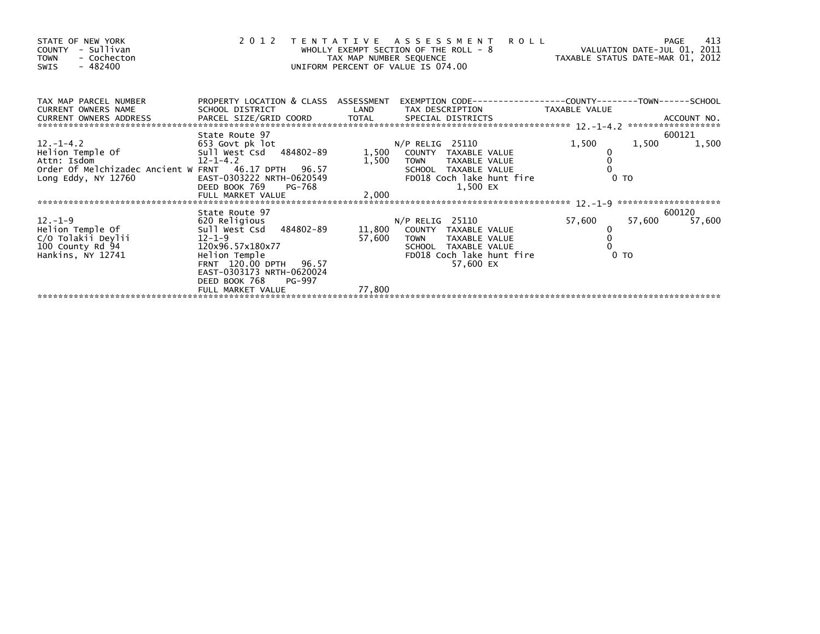| STATE OF NEW YORK<br>COUNTY - Sullivan<br>- Cochecton<br><b>TOWN</b><br>- 482400<br>SWIS             |                                                         | TAX MAP NUMBER SEQUENCE | 2012 TENTATIVE ASSESSMENT ROLL<br>WHOLLY EXEMPT SECTION OF THE ROLL - 8<br>UNIFORM PERCENT OF VALUE IS 074.00 | ROLL - 8 TAXABLE STATUS DATE-JUL 01, 2011<br>TAXABLE STATUS DATE-MAR 01, 2012 | 413<br>PAGE      |
|------------------------------------------------------------------------------------------------------|---------------------------------------------------------|-------------------------|---------------------------------------------------------------------------------------------------------------|-------------------------------------------------------------------------------|------------------|
| TAX MAP PARCEL NUMBER<br><b>CURRENT OWNERS NAME</b><br>CURRENT OWNERS ADDRESS PARCEL SIZE/GRID COORD | PROPERTY LOCATION & CLASS ASSESSMENT<br>SCHOOL DISTRICT | LAND                    | TAX DESCRIPTION                                                                                               | TAXABLE VALUE                                                                 |                  |
|                                                                                                      | State Route 97                                          |                         |                                                                                                               |                                                                               | 600121           |
|                                                                                                      |                                                         |                         |                                                                                                               | 1,500                                                                         | 1,500<br>1,500   |
|                                                                                                      |                                                         |                         |                                                                                                               |                                                                               |                  |
|                                                                                                      |                                                         |                         | 1,500 TOWN TAXABLE VALUE                                                                                      |                                                                               |                  |
|                                                                                                      |                                                         |                         | SCHOOL TAXABLE VALUE                                                                                          |                                                                               |                  |
| Long Eddy, NY 12760                                                                                  | EAST-0303222 NRTH-0620549<br>DEED BOOK 769<br>PG-768    |                         | FD018 Coch lake hunt fire<br>1,500 EX                                                                         |                                                                               | 0 <sub>T</sub>   |
|                                                                                                      |                                                         |                         |                                                                                                               |                                                                               |                  |
|                                                                                                      |                                                         |                         |                                                                                                               |                                                                               |                  |
|                                                                                                      | State Route 97                                          |                         |                                                                                                               |                                                                               | 600120           |
| 12.-1-9<br>Helion Temple Of                                                                          | 620 Religious                                           |                         | N/P RELIG 25110                                                                                               | 57,600                                                                        | 57,600<br>57,600 |
|                                                                                                      | Sull West Csd 484802-89                                 |                         | 11,800 COUNTY TAXABLE VALUE                                                                                   |                                                                               |                  |
| C/O Tolakii Deylii<br>100 County Rd 94                                                               | $12 - 1 - 9$                                            | 57,600                  | TOWN TAXABLE VALUE                                                                                            |                                                                               |                  |
| Hankins, NY 12741                                                                                    | 120x96.57x180x77                                        |                         | SCHOOL TAXABLE VALUE<br>FD018 Coch lake hunt fire                                                             |                                                                               | 0 <sub>T</sub>   |
|                                                                                                      |                                                         |                         | 57,600 EX                                                                                                     |                                                                               |                  |
|                                                                                                      | EAST-0303173 NRTH-0620024                               |                         |                                                                                                               |                                                                               |                  |
|                                                                                                      | DEED BOOK 768<br>PG-997                                 |                         |                                                                                                               |                                                                               |                  |
|                                                                                                      | FULL MARKET VALUE                                       | 77,800                  |                                                                                                               |                                                                               |                  |
|                                                                                                      |                                                         |                         |                                                                                                               |                                                                               |                  |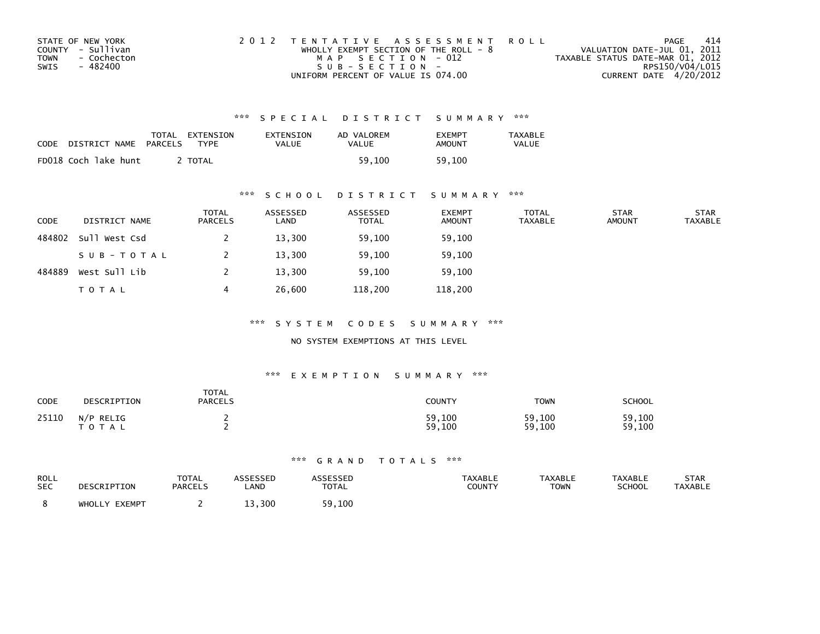| STATE OF NEW YORK          | 2012 TENTATIVE ASSESSMENT ROLL          | PAGE                             | -414            |
|----------------------------|-----------------------------------------|----------------------------------|-----------------|
| COUNTY - Sullivan          | WHOLLY EXEMPT SECTION OF THE ROLL - $8$ | VALUATION DATE-JUL 01, 2011      |                 |
| <b>TOWN</b><br>- Cochecton | MAP SECTION - 012                       | TAXABLE STATUS DATE-MAR 01, 2012 |                 |
| SWIS<br>- 482400           | $SUB - SECTION -$                       |                                  | RPS150/V04/L015 |
|                            | UNIFORM PERCENT OF VALUE IS 074.00      | CURRENT DATE 4/20/2012           |                 |

| CODE | DISTRICT NAME        | TOTAL<br>PARCELS | EXTENSION<br><b>TYPF</b> | EXTENSION<br>VALUE | AD VALOREM<br>VALUE | <b>EXEMPT</b><br>AMOUNT | TAXABLE<br>VALUE |
|------|----------------------|------------------|--------------------------|--------------------|---------------------|-------------------------|------------------|
|      | FD018 Coch lake hunt |                  | TOTAL                    |                    | 59.100              | 59.100                  |                  |

### \*\*\* S C H O O L D I S T R I C T S U M M A R Y \*\*\*

| <b>CODE</b> | DISTRICT NAME | <b>TOTAL</b><br>PARCELS | ASSESSED<br>LAND | ASSESSED<br><b>TOTAL</b> | <b>EXEMPT</b><br><b>AMOUNT</b> | <b>TOTAL</b><br><b>TAXABLE</b> | <b>STAR</b><br><b>AMOUNT</b> | <b>STAR</b><br><b>TAXABLE</b> |
|-------------|---------------|-------------------------|------------------|--------------------------|--------------------------------|--------------------------------|------------------------------|-------------------------------|
| 484802      | Sull West Csd |                         | 13,300           | 59,100                   | 59,100                         |                                |                              |                               |
|             | SUB-TOTAL     |                         | 13,300           | 59,100                   | 59,100                         |                                |                              |                               |
| 484889      | West Sull Lib |                         | 13,300           | 59,100                   | 59,100                         |                                |                              |                               |
|             | <b>TOTAL</b>  | 4                       | 26,600           | 118,200                  | 118,200                        |                                |                              |                               |

\*\*\* S Y S T E M C O D E S S U M M A R Y \*\*\*

### NO SYSTEM EXEMPTIONS AT THIS LEVEL

#### \*\*\* E X E M P T I O N S U M M A R Y \*\*\*

| CODE  | DESCRIPTION               | <b>TOTAL</b><br><b>PARCELS</b> | <b>COUNTY</b>    | TOWN             | SCHOOL           |
|-------|---------------------------|--------------------------------|------------------|------------------|------------------|
| 25110 | N/P RELIG<br><b>TOTAL</b> |                                | 59,100<br>59,100 | 59,100<br>59,100 | 59,100<br>59,100 |

| ROLL       | DESCRIPTION   | TOTAL          | <b>ASSESSED</b> | <b>ASSESSED</b> | <b>TAXABLE</b> | <b>TAXABLE</b> | <b>TAXABLE</b> | STAR           |
|------------|---------------|----------------|-----------------|-----------------|----------------|----------------|----------------|----------------|
| <b>SEC</b> |               | <b>PARCELS</b> | LAND            | <b>TOTAL</b>    | COUNTY         | TOWN           | <b>SCHOOL</b>  | <b>TAXABLE</b> |
|            | WHOLLY EXEMPT |                | 13,300          | 59,100          |                |                |                |                |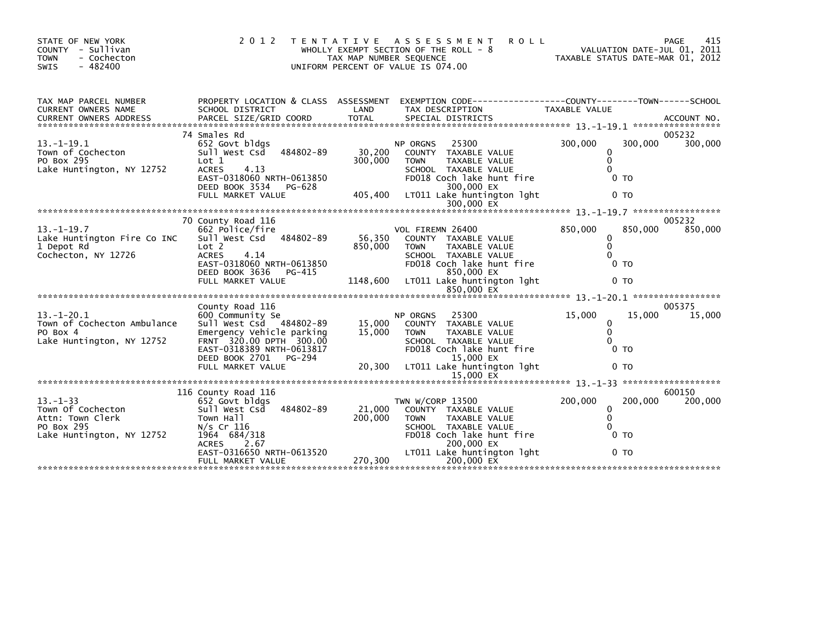| STATE OF NEW YORK<br>- Sullivan<br>COUNTY<br>- Cochecton<br><b>TOWN</b><br>$-482400$<br><b>SWIS</b> | 2 0 1 2                                                                                                                                                                            | T E N T A T I V E<br>TAX MAP NUMBER SEQUENCE | A S S E S S M E N T<br><b>ROLL</b><br>WHOLLY EXEMPT SECTION OF THE ROLL - 8<br>UNIFORM PERCENT OF VALUE IS 074.00                                                                              |                                                                              | 415<br>PAGE<br>VALUATION DATE-JUL 01, 2011<br>TAXABLE STATUS DATE-MAR 01, 2012 |
|-----------------------------------------------------------------------------------------------------|------------------------------------------------------------------------------------------------------------------------------------------------------------------------------------|----------------------------------------------|------------------------------------------------------------------------------------------------------------------------------------------------------------------------------------------------|------------------------------------------------------------------------------|--------------------------------------------------------------------------------|
| TAX MAP PARCEL NUMBER<br><b>CURRENT OWNERS NAME</b>                                                 | PROPERTY LOCATION & CLASS ASSESSMENT<br>SCHOOL DISTRICT                                                                                                                            | LAND                                         | EXEMPTION CODE-----------------COUNTY--------TOWN------SCHOOL<br>TAX DESCRIPTION                                                                                                               | TAXABLE VALUE                                                                |                                                                                |
| $13. - 1 - 19.1$<br>Town of Cochecton<br>PO Box 295<br>Lake Huntington, NY 12752                    | 74 Smales Rd<br>652 Govt bldgs<br>484802-89<br>Sull West Csd<br>Lot 1<br><b>ACRES</b><br>4.13<br>EAST-0318060 NRTH-0613850<br>DEED BOOK 3534<br>PG-628<br>FULL MARKET VALUE        | 30,200<br>300,000<br>405,400                 | NP ORGNS<br>25300<br>COUNTY TAXABLE VALUE<br><b>TOWN</b><br>TAXABLE VALUE<br>SCHOOL TAXABLE VALUE<br>FD018 Coch lake hunt fire<br>300,000 EX<br>LT011 Lake huntington lght                     | 300,000<br>$\mathbf{0}$<br>0<br>$\Omega$<br>0 <sub>T</sub><br>0 <sub>T</sub> | 005232<br>300,000<br>300,000                                                   |
|                                                                                                     |                                                                                                                                                                                    |                                              |                                                                                                                                                                                                |                                                                              |                                                                                |
| $13. - 1 - 19.7$<br>Lake Huntington Fire Co INC<br>1 Depot Rd<br>Cochecton, NY 12726                | 70 County Road 116<br>662 Police/fire<br>484802-89<br>Sull West Csd<br>Lot 2<br><b>ACRES</b><br>4.14<br>EAST-0318060 NRTH-0613850<br>DEED BOOK 3636<br>PG-415<br>FULL MARKET VALUE | 56,350<br>850,000<br>1148,600                | VOL FIREMN 26400<br>COUNTY TAXABLE VALUE<br><b>TAXABLE VALUE</b><br><b>TOWN</b><br>SCHOOL TAXABLE VALUE<br>FD018 Coch lake hunt fire<br>850,000 EX<br>LT011 Lake huntington lght<br>850,000 EX | 850,000<br>$\mathbf{0}$<br>$\mathbf{0}$<br>0 TO<br>0 <sub>T</sub>            | 005232<br>850,000<br>850,000                                                   |
|                                                                                                     |                                                                                                                                                                                    |                                              |                                                                                                                                                                                                |                                                                              |                                                                                |
| $13. - 1 - 20.1$<br>Town of Cochecton Ambulance<br>PO Box 4<br>Lake Huntington, NY 12752            | County Road 116<br>600 Community Se<br>Sull West Csd 484802-89<br>Emergency Vehicle parking<br>FRNT 320.00 DPTH 300.00<br>EAST-0318389 NRTH-0613817<br>DEED BOOK 2701 PG-294       | 15,000<br>15,000                             | 25300<br><b>NP ORGNS</b><br>COUNTY TAXABLE VALUE<br><b>TOWN</b><br><b>TAXABLE VALUE</b><br>SCHOOL TAXABLE VALUE<br>FD018 Coch lake hunt fire<br>15,000 EX                                      | 15,000<br>0<br>$\mathbf{0}$<br>0<br>0 <sub>T</sub>                           | 005375<br>15,000<br>15,000                                                     |
|                                                                                                     | FULL MARKET VALUE                                                                                                                                                                  | 20,300                                       | LT011 Lake huntington lght                                                                                                                                                                     | 0 <sub>T</sub>                                                               |                                                                                |
|                                                                                                     |                                                                                                                                                                                    |                                              |                                                                                                                                                                                                |                                                                              |                                                                                |
| $13 - 1 - 33$<br>Town Of Cochecton<br>Attn: Town Clerk<br>PO Box 295<br>Lake Huntington, NY 12752   | 116 County Road 116<br>652 Govt bldgs<br>Sull West Csd<br>484802-89<br>Town Hall<br>$N/s$ Cr 116<br>1964 684/318<br><b>ACRES</b><br>2.67<br>EAST-0316650 NRTH-0613520              | 21,000<br>200,000                            | TWN W/CORP 13500<br>COUNTY TAXABLE VALUE<br><b>TAXABLE VALUE</b><br><b>TOWN</b><br>SCHOOL TAXABLE VALUE<br>FD018 Coch lake hunt fire<br>200,000 EX<br>LT011 Lake huntington lght               | 200,000<br>0<br>$\mathbf{0}$<br>$\Omega$<br>0 <sub>T</sub><br>0 <sub>T</sub> | 600150<br>200,000<br>200,000                                                   |
|                                                                                                     | FULL MARKET VALUE                                                                                                                                                                  | 270,300                                      | 200,000 EX                                                                                                                                                                                     |                                                                              |                                                                                |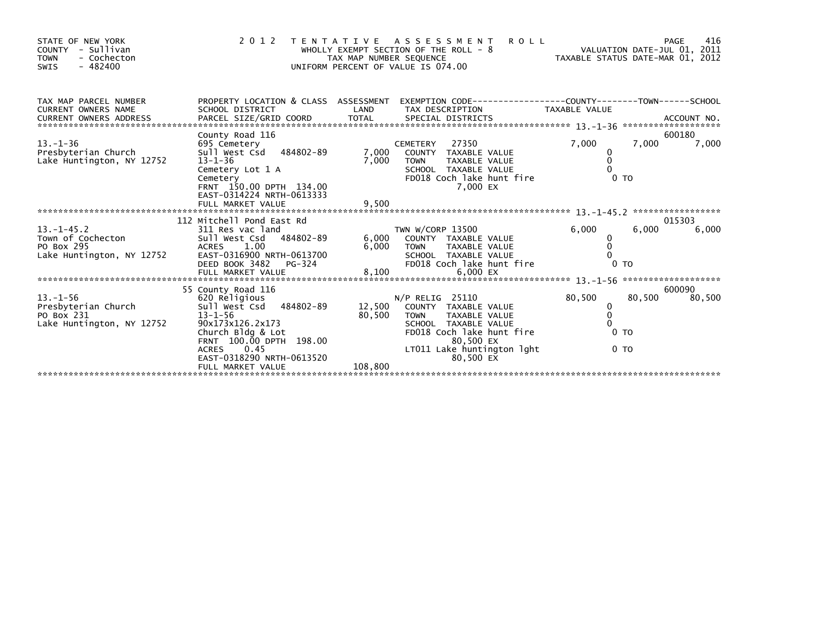| STATE OF NEW YORK<br>- Sullivan<br><b>COUNTY</b><br><b>TOWN</b><br>- Cochecton<br>$-482400$<br>SWIS | 2 0 1 2                                                                                                                                                                                                                          | A S S E S S M E N T<br>T E N T A T I V E<br>WHOLLY EXEMPT SECTION OF THE ROLL - $8$<br>TAX MAP NUMBER SEQUENCE<br>UNIFORM PERCENT OF VALUE IS 074.00                                                                       | <b>ROLL</b><br>VALUATION DATE-JUL 01, 2011<br>TAXABLE STATUS DATE-MAR 01, 2012 | 416<br>PAGE                        |
|-----------------------------------------------------------------------------------------------------|----------------------------------------------------------------------------------------------------------------------------------------------------------------------------------------------------------------------------------|----------------------------------------------------------------------------------------------------------------------------------------------------------------------------------------------------------------------------|--------------------------------------------------------------------------------|------------------------------------|
| TAX MAP PARCEL NUMBER<br><b>CURRENT OWNERS NAME</b>                                                 | PROPERTY LOCATION & CLASS ASSESSMENT<br>SCHOOL DISTRICT                                                                                                                                                                          | LAND<br>TAX DESCRIPTION                                                                                                                                                                                                    | EXEMPTION CODE-----------------COUNTY-------TOWN------SCHOOL<br>TAXABLE VALUE  | ACCOUNT NO.<br>******************* |
| $13. - 1 - 36$<br>Presbyterian Church<br>Lake Huntington, NY 12752                                  | County Road 116<br>695 Cemetery<br>484802-89<br>Sull West Csd<br>$13 - 1 - 36$<br>Cemetery Lot 1 A<br>Cemetery<br>FRNT 150.00 DPTH 134.00<br>EAST-0314224 NRTH-0613333                                                           | 27350<br><b>CEMETERY</b><br>7,000<br>COUNTY TAXABLE VALUE<br>7,000<br><b>TOWN</b><br><b>TAXABLE VALUE</b><br>SCHOOL TAXABLE VALUE<br>FD018 Coch lake hunt fire<br>7.000 EX                                                 | 7,000<br>7,000<br>0<br>$\Omega$<br>0 <sub>T</sub>                              | 600180<br>7,000                    |
|                                                                                                     | FULL MARKET VALUE<br>112 Mitchell Pond East Rd                                                                                                                                                                                   | 9,500                                                                                                                                                                                                                      |                                                                                | *****************<br>015303        |
| $13 - 1 - 45.2$<br>Town of Cochecton<br>PO Box 295<br>Lake Huntington, NY 12752                     | 311 Res vac land<br>Sull West Csd 484802-89<br><b>ACRES</b><br>1.00<br>EAST-0316900 NRTH-0613700<br>DEED BOOK 3482<br>PG-324                                                                                                     | TWN W/CORP 13500<br>6,000<br>COUNTY TAXABLE VALUE<br>6,000<br>TAXABLE VALUE<br><b>TOWN</b><br>SCHOOL TAXABLE VALUE<br>FD018 Coch lake hunt fire                                                                            | 6.000<br>6.000<br>0<br>0 <sub>T</sub>                                          | 6,000                              |
|                                                                                                     | FULL MARKET VALUE                                                                                                                                                                                                                | 8,100<br>6,000 EX                                                                                                                                                                                                          |                                                                                | *******************                |
| $13. - 1 - 56$<br>Presbyterian Church<br>PO Box 231<br>Lake Huntington, NY 12752                    | 55 County Road 116<br>620 Religious<br>Sull West Csd<br>484802-89<br>$13 - 1 - 56$<br>90x173x126.2x173<br>Church Bldg & Lot<br>FRNT 100.00 DPTH 198.00<br>0.45<br><b>ACRES</b><br>EAST-0318290 NRTH-0613520<br>FULL MARKET VALUE | N/P RELIG 25110<br>12,500<br>COUNTY TAXABLE VALUE<br>80,500<br><b>TOWN</b><br><b>TAXABLE VALUE</b><br>SCHOOL TAXABLE VALUE<br>FD018 Coch lake hunt fire<br>80.500 EX<br>LT011 Lake huntington lght<br>80,500 EX<br>108,800 | 80,500<br>80,500<br>0<br>0<br>0 <sub>T</sub><br>0 <sub>T</sub>                 | 600090<br>80,500                   |
|                                                                                                     |                                                                                                                                                                                                                                  |                                                                                                                                                                                                                            |                                                                                |                                    |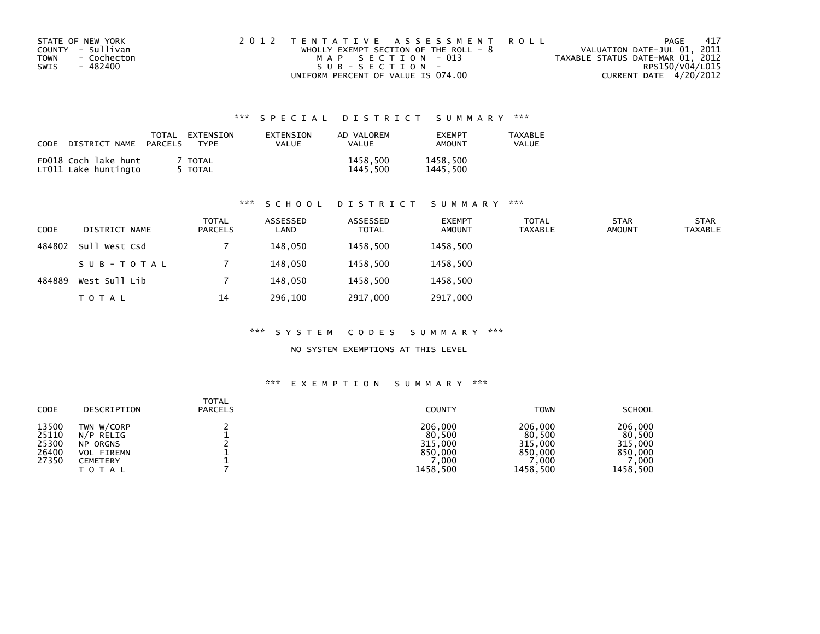|             | STATE OF NEW YORK | 2012 TENTATIVE ASSESSMENT ROLL        |                                  | PAGE | - 417 |
|-------------|-------------------|---------------------------------------|----------------------------------|------|-------|
|             | COUNTY - Sullivan | WHOLLY EXEMPT SECTION OF THE ROLL - 8 | VALUATION DATE-JUL 01, 2011      |      |       |
| <b>TOWN</b> | - Cochecton       | MAP SECTION - 013                     | TAXABLE STATUS DATE-MAR 01, 2012 |      |       |
| SWIS        | - 482400          | SUB-SECTION-                          | RPS150/V04/L015                  |      |       |
|             |                   | UNIFORM PERCENT OF VALUE IS 074.00    | CURRENT DATE 4/20/2012           |      |       |

| CODE DISTRICT NAME                           | TOTAL<br>PARCELS | EXTENSION<br><b>TYPF</b> | EXTENSION<br><b>VALUE</b> | AD VALOREM<br><b>VALUE</b> | <b>FXFMPT</b><br>AMOUNT | <b>TAXABLE</b><br>VALUE |
|----------------------------------------------|------------------|--------------------------|---------------------------|----------------------------|-------------------------|-------------------------|
| FD018 Coch lake hunt<br>LT011 Lake huntingto |                  | TOTAL<br>5 TOTAL         |                           | 1458,500<br>1445.500       | 1458,500<br>1445,500    |                         |

# \*\*\* S C H O O L D I S T R I C T S U M M A R Y \*\*\*

| <b>CODE</b> | DISTRICT NAME | <b>TOTAL</b><br><b>PARCELS</b> | ASSESSED<br>LAND | ASSESSED<br><b>TOTAL</b> | <b>EXEMPT</b><br><b>AMOUNT</b> | <b>TOTAL</b><br><b>TAXABLE</b> | <b>STAR</b><br><b>AMOUNT</b> | <b>STAR</b><br><b>TAXABLE</b> |
|-------------|---------------|--------------------------------|------------------|--------------------------|--------------------------------|--------------------------------|------------------------------|-------------------------------|
| 484802      | Sull West Csd |                                | 148,050          | 1458,500                 | 1458,500                       |                                |                              |                               |
|             | SUB-TOTAL     |                                | 148,050          | 1458,500                 | 1458,500                       |                                |                              |                               |
| 484889      | West Sull Lib |                                | 148,050          | 1458,500                 | 1458,500                       |                                |                              |                               |
|             | T O T A L     | 14                             | 296,100          | 2917,000                 | 2917,000                       |                                |                              |                               |

#### \*\*\* S Y S T E M C O D E S S U M M A R Y \*\*\*

### NO SYSTEM EXEMPTIONS AT THIS LEVEL

| <b>CODE</b>                               | DESCRIPTION                                                                                 | <b>TOTAL</b><br><b>PARCELS</b> | <b>COUNTY</b>                                               | <b>TOWN</b>                                                 | <b>SCHOOL</b>                                               |
|-------------------------------------------|---------------------------------------------------------------------------------------------|--------------------------------|-------------------------------------------------------------|-------------------------------------------------------------|-------------------------------------------------------------|
| 13500<br>25110<br>25300<br>26400<br>27350 | TWN W/CORP<br>N/P RELIG<br><b>NP ORGNS</b><br><b>VOL FIREMN</b><br>CEMETERY<br><b>TOTAL</b> |                                | 206,000<br>80,500<br>315,000<br>850,000<br>.000<br>1458,500 | 206,000<br>80,500<br>315,000<br>850.000<br>.000<br>1458.500 | 206,000<br>80,500<br>315,000<br>850,000<br>.000<br>1458,500 |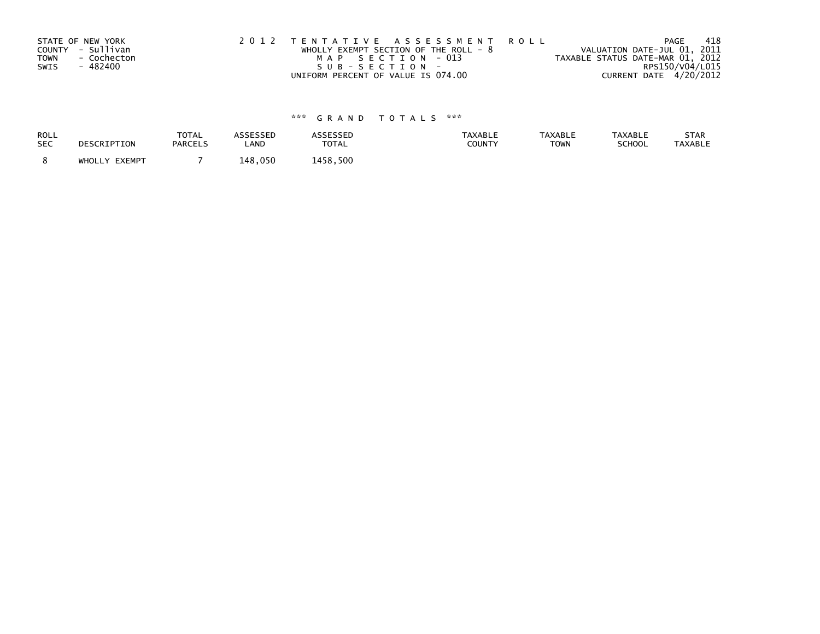| STATE OF NEW YORK          | 2012 TENTATIVE ASSESSMENT ROLL        | PAGE                             | 418 |
|----------------------------|---------------------------------------|----------------------------------|-----|
| COUNTY - Sullivan          | WHOLLY EXEMPT SECTION OF THE ROLL - 8 | VALUATION DATE-JUL 01, 2011      |     |
| <b>TOWN</b><br>- Cochecton | MAP SECTION - 013                     | TAXABLE STATUS DATE-MAR 01, 2012 |     |
| - 482400<br>SWIS           | SUB-SECTION-                          | RPS150/V04/L015                  |     |
|                            | UNIFORM PERCENT OF VALUE IS 074.00    | CURRENT DATE 4/20/2012           |     |

| ROLL       | DESCRIPTION   | <b>TOTAL</b>   | ASSESSED | <b>ASSESSED</b> | <b>TAXABLE</b> | <b>TAXABLE</b> | <b>TAXABLE</b> | STAR           |
|------------|---------------|----------------|----------|-----------------|----------------|----------------|----------------|----------------|
| <b>SEC</b> |               | <b>PARCELS</b> | LAND     | <b>TOTAL</b>    | <b>COUNTY</b>  | <b>TOWN</b>    | <b>SCHOOL</b>  | <b>TAXABLE</b> |
|            | WHOLLY EXEMPT |                | 148.050  | 1458.500        |                |                |                |                |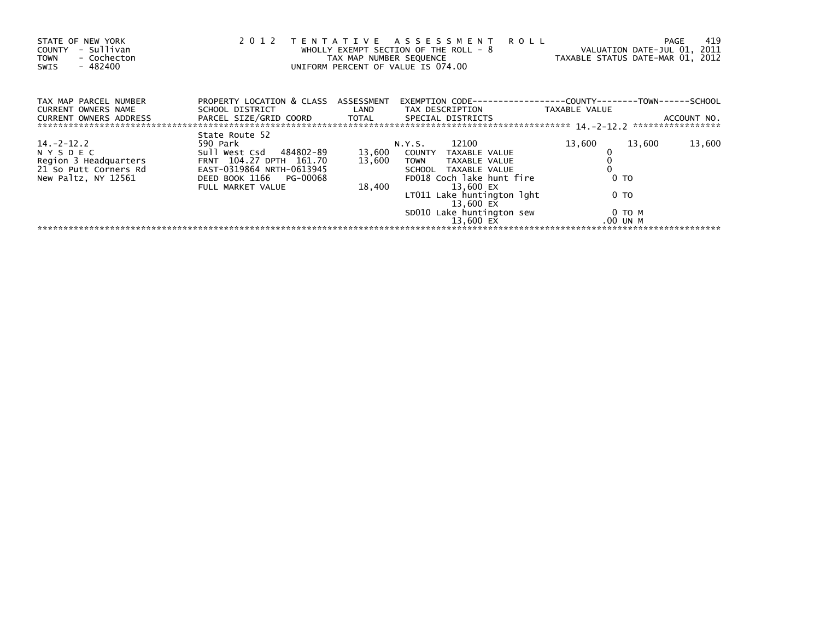| STATE OF NEW YORK<br>- Sullivan<br><b>COUNTY</b><br>- Cochecton<br><b>TOWN</b><br>$-482400$<br>SWIS       | 2 0 1 2                                                                                                                                                          | TAX MAP NUMBER SEQUENCE    | TENTATIVE ASSESSMENT<br><b>ROLL</b><br>WHOLLY EXEMPT SECTION OF THE ROLL - 8<br>UNIFORM PERCENT OF VALUE IS 074.00                                                                                                                                 | VALUATION DATE-JUL 01, 2011<br>TAXABLE STATUS DATE-MAR 01, 2012            | 419<br>PAGE                                           |
|-----------------------------------------------------------------------------------------------------------|------------------------------------------------------------------------------------------------------------------------------------------------------------------|----------------------------|----------------------------------------------------------------------------------------------------------------------------------------------------------------------------------------------------------------------------------------------------|----------------------------------------------------------------------------|-------------------------------------------------------|
| TAX MAP PARCEL NUMBER<br><b>CURRENT OWNERS NAME</b><br><b>CURRENT OWNERS ADDRESS</b>                      | PROPERTY LOCATION & CLASS ASSESSMENT<br>SCHOOL DISTRICT<br>PARCEL SIZE/GRID COORD                                                                                | LAND<br><b>TOTAL</b>       | EXEMPTION CODE---<br>TAX DESCRIPTION<br>SPECIAL DISTRICTS                                                                                                                                                                                          | -----------COUNTY-------<br>TAXABLE VALUE                                  | -T0WN------SCH00L<br>ACCOUNT NO.<br>***************** |
| $14. -2 - 12.2$<br><b>NYSDEC</b><br>Region 3 Headquarters<br>21 So Putt Corners Rd<br>New Paltz, NY 12561 | State Route 52<br>590 Park<br>Sull West Csd<br>484802-89<br>FRNT 104.27 DPTH 161.70<br>EAST-0319864 NRTH-0613945<br>DEED BOOK 1166 PG-00068<br>FULL MARKET VALUE | 13,600<br>13,600<br>18,400 | 12100<br>N.Y.S.<br><b>COUNTY</b><br>TAXABLE VALUE<br>TAXABLE VALUE<br><b>TOWN</b><br><b>SCHOOL</b><br>TAXABLE VALUE<br>FD018 Coch lake hunt fire<br>13,600 EX<br>LT011 Lake huntington lght<br>13.600 EX<br>SD010 Lake huntington sew<br>13.600 EX | 13,600<br>13,600<br>0 <sub>T</sub><br>0 <sub>T</sub><br>0 TO M<br>.00 UN M | 13,600                                                |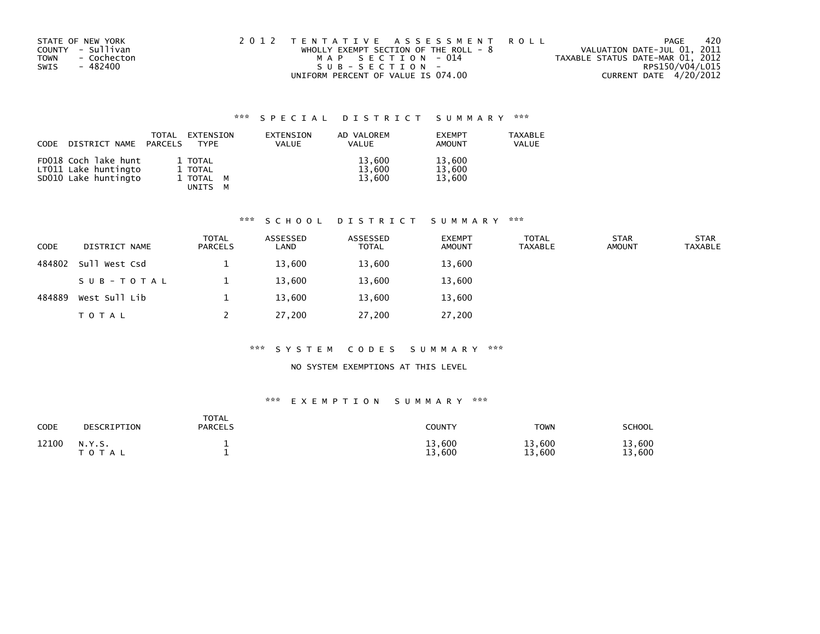| STATE OF NEW YORK          | 2012 TENTATIVE ASSESSMENT ROLL        |                                  | PAGE | -420 |
|----------------------------|---------------------------------------|----------------------------------|------|------|
| COUNTY - Sullivan          | WHOLLY EXEMPT SECTION OF THE ROLL - 8 | VALUATION DATE-JUL 01, 2011      |      |      |
| - Cochecton<br><b>TOWN</b> | MAP SECTION - 014                     | TAXABLE STATUS DATE-MAR 01, 2012 |      |      |
| SWIS<br>- 482400           | SUB-SECTION-                          | RPS150/V04/L015                  |      |      |
|                            | UNIFORM PERCENT OF VALUE IS 074.00    | CURRENT DATE 4/20/2012           |      |      |

| CODE | DISTRICT NAME                                                        | TOTAL<br>PARCELS | EXTENSION<br>TYPE                          | EXTENSION<br><b>VALUE</b> | AD VALOREM<br><b>VALUE</b> | <b>EXEMPT</b><br>AMOUNT    | <b>TAXABLE</b><br>VALUE |
|------|----------------------------------------------------------------------|------------------|--------------------------------------------|---------------------------|----------------------------|----------------------------|-------------------------|
|      | FD018 Coch lake hunt<br>LT011 Lake huntingto<br>SD010 Lake huntingto |                  | 1 TOTAL<br>1 TOTAL<br>1 TOTAL M<br>UNITS M |                           | 13,600<br>13.600<br>13,600 | 13,600<br>13,600<br>13,600 |                         |

#### \*\*\* S C H O O L D I S T R I C T S U M M A R Y \*\*\*

| <b>CODE</b> | DISTRICT NAME | <b>TOTAL</b><br><b>PARCELS</b> | ASSESSED<br>LAND | ASSESSED<br><b>TOTAL</b> | <b>EXEMPT</b><br><b>AMOUNT</b> | <b>TOTAL</b><br><b>TAXABLE</b> | <b>STAR</b><br><b>AMOUNT</b> | <b>STAR</b><br><b>TAXABLE</b> |
|-------------|---------------|--------------------------------|------------------|--------------------------|--------------------------------|--------------------------------|------------------------------|-------------------------------|
| 484802      | Sull West Csd |                                | 13,600           | 13,600                   | 13,600                         |                                |                              |                               |
|             | SUB-TOTAL     |                                | 13,600           | 13,600                   | 13,600                         |                                |                              |                               |
| 484889      | West Sull Lib |                                | 13,600           | 13,600                   | 13,600                         |                                |                              |                               |
|             | <b>TOTAL</b>  |                                | 27,200           | 27,200                   | 27,200                         |                                |                              |                               |

#### \*\*\* S Y S T E M C O D E S S U M M A R Y \*\*\*

### NO SYSTEM EXEMPTIONS AT THIS LEVEL

| <b>CODE</b> | DESCRIPTION     | <b>TOTAL</b><br><b>PARCELS</b> | <b>COUNTY</b>    | <b>TOWN</b>      | <b>SCHOOL</b>    |
|-------------|-----------------|--------------------------------|------------------|------------------|------------------|
| 12100       | N.Y.S.<br>TOTAL |                                | 13,600<br>13,600 | 13,600<br>13,600 | 13,600<br>13,600 |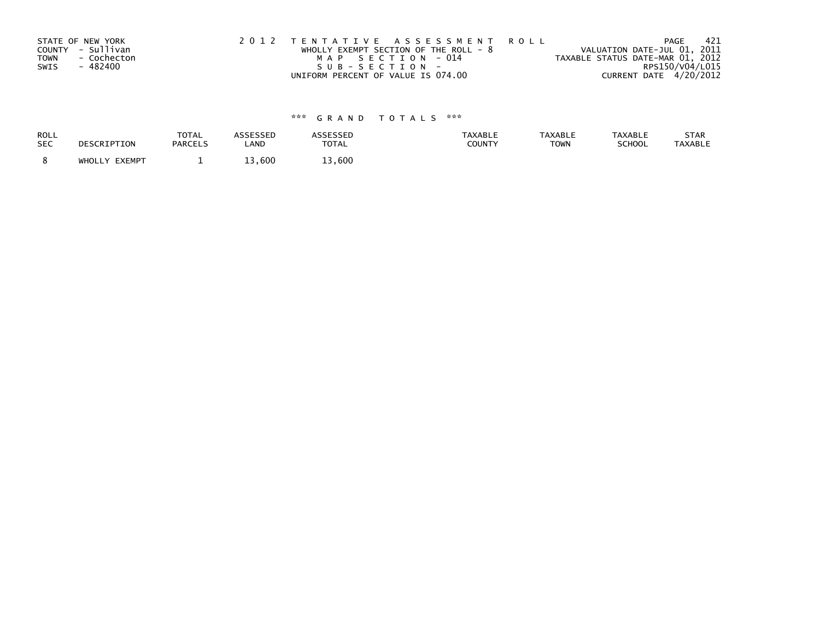|      | STATE OF NEW YORK | 2012 TENTATIVE ASSESSMENT ROLL          |                   |  |                                  | PAGE                   | - 421 |
|------|-------------------|-----------------------------------------|-------------------|--|----------------------------------|------------------------|-------|
|      | COUNTY - Sullivan | WHOLLY EXEMPT SECTION OF THE ROLL - $8$ |                   |  | VALUATION DATE-JUL 01, 2011      |                        |       |
| TOWN | - Cochecton       |                                         | MAP SECTION - 014 |  | TAXABLE STATUS DATE-MAR 01, 2012 |                        |       |
| SWIS | - 482400          | SUB-SECTION-                            |                   |  |                                  | RPS150/V04/L015        |       |
|      |                   | UNIFORM PERCENT OF VALUE IS 074.00      |                   |  |                                  | CURRENT DATE 4/20/2012 |       |

| <b>ROLL</b> | DESCRIPTION   | <b>TOTAL</b>   | <b>ASSESSED</b> | ASSESSED     | <b>TAXABLE</b> | <b>TAXABLE</b> | <b>TAXABLE</b> | STAR           |
|-------------|---------------|----------------|-----------------|--------------|----------------|----------------|----------------|----------------|
| <b>SEC</b>  |               | <b>PARCELS</b> | LAND            | <b>TOTAL</b> | <b>COUNTY</b>  | <b>TOWN</b>    | SCHOOL         | <b>TAXABLE</b> |
|             | WHOLLY EXEMPT | -              | 13,600          | 13,600       |                |                |                |                |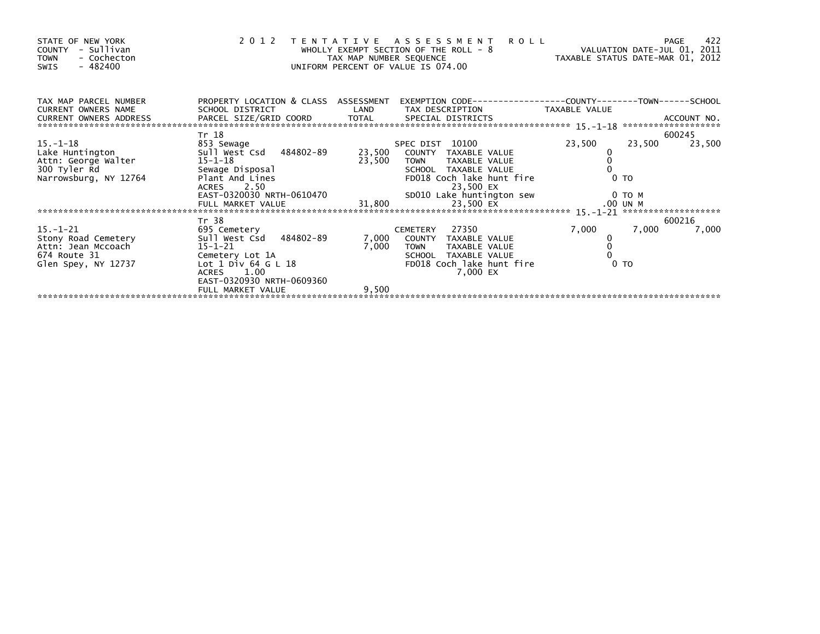| STATE OF NEW YORK<br>COUNTY - Sullivan<br>- Cochecton<br><b>TOWN</b><br>$-482400$<br>SWIS |                                                                                                  | TAX MAP NUMBER SEQUENCE | 2012 TENTATIVE ASSESSMENT<br>WHOLLY EXEMPT SECTION OF THE ROLL - 8<br>UNIFORM PERCENT OF VALUE IS 074.00 | <b>ROLL</b><br>VALUATION DATE-JUL 01, 2011<br>TAXABLE STATUS DATE-MAR 01, 2012 | 422<br>PAGE      |
|-------------------------------------------------------------------------------------------|--------------------------------------------------------------------------------------------------|-------------------------|----------------------------------------------------------------------------------------------------------|--------------------------------------------------------------------------------|------------------|
| TAX MAP PARCEL NUMBER<br><b>CURRENT OWNERS NAME</b>                                       | PROPERTY LOCATION & CLASS ASSESSMENT<br>SCHOOL DISTRICT                                          |                         | LAND TAX DESCRIPTION                                                                                     | TAXABLE VALUE                                                                  |                  |
|                                                                                           | Tr 18                                                                                            |                         |                                                                                                          |                                                                                | 600245           |
| $15. - 1 - 18$                                                                            | 853 Sewage                                                                                       |                         | SPEC DIST 10100                                                                                          | 23,500                                                                         | 23,500<br>23,500 |
| Lake Huntington 5ull West Csd 484802-89                                                   |                                                                                                  |                         | 23,500 COUNTY TAXABLE VALUE                                                                              |                                                                                |                  |
| Attn: George Walter<br>300 Tyler Rd                                                       | 15-1-18                                                                                          | 23,500                  | <b>TOWN</b><br>TAXABLE VALUE                                                                             |                                                                                |                  |
|                                                                                           | Sewage Disposal                                                                                  |                         |                                                                                                          |                                                                                | $0$ TO           |
| Narrowsburg, NY 12764                                                                     | Sewage Disposal<br>Plant And Lines<br>Plant And Lines<br>ACRES 2.50<br>EAST-0320030 NRTH-0610470 |                         |                                                                                                          |                                                                                |                  |
|                                                                                           |                                                                                                  |                         |                                                                                                          | 0 то м                                                                         |                  |
|                                                                                           |                                                                                                  |                         |                                                                                                          |                                                                                |                  |
|                                                                                           |                                                                                                  |                         |                                                                                                          |                                                                                |                  |
|                                                                                           | Tr 38                                                                                            |                         |                                                                                                          |                                                                                | 600216           |
| $15. - 1 - 21$                                                                            | 695 Cemetery                                                                                     |                         | 27350<br>CEMETERY                                                                                        | 7,000                                                                          | 7,000<br>7,000   |
| Stony Road Cemetery                                                                       | Sull West Csd 484802-89                                                                          | 7,000                   | COUNTY TAXABLE VALUE                                                                                     |                                                                                |                  |
| Attn: Jean Mccoach                                                                        | $15 - 1 - 21$                                                                                    | 7,000                   | <b>TOWN</b><br>TAXABLE VALUE                                                                             | $\overline{0}$                                                                 |                  |
| 674 Route 31                                                                              | Cemetery Lot 1A                                                                                  |                         | SCHOOL TAXABLE VALUE                                                                                     |                                                                                |                  |
| Glen Spey, NY 12737                                                                       | Lot $1$ Div 64 G L $18$                                                                          |                         | FD018 Coch lake hunt fire                                                                                |                                                                                | 0 <sub>T</sub>   |
|                                                                                           | 1.00<br><b>ACRES</b>                                                                             |                         | 7,000 EX                                                                                                 |                                                                                |                  |
|                                                                                           | EAST-0320930 NRTH-0609360                                                                        |                         |                                                                                                          |                                                                                |                  |
|                                                                                           | FULL MARKET VALUE                                                                                | 9,500                   |                                                                                                          |                                                                                |                  |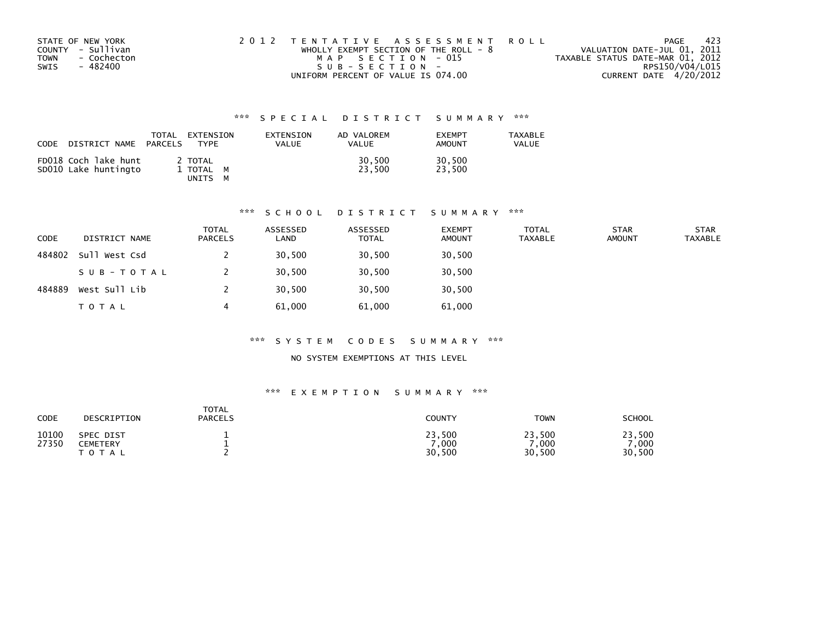| STATE OF NEW YORK          | 2012 TENTATIVE ASSESSMENT ROLL          | PAGE                             | -423 |
|----------------------------|-----------------------------------------|----------------------------------|------|
| COUNTY - Sullivan          | WHOLLY EXEMPT SECTION OF THE ROLL - $8$ | VALUATION DATE-JUL 01, 2011      |      |
| <b>TOWN</b><br>- Cochecton | MAP SECTION - 015                       | TAXABLE STATUS DATE-MAR 01, 2012 |      |
| SWIS<br>- 482400           | $SUB - SECTION -$                       | RPS150/V04/L015                  |      |
|                            | UNIFORM PERCENT OF VALUE IS 074.00      | CURRENT DATE 4/20/2012           |      |

| CODE<br>DISTRICT NAME                        | EXTENSION<br>TOTAL<br>PARCELS<br><b>TYPF</b> | EXTENSION<br><b>VALUE</b> | AD VALOREM<br><b>VALUE</b> | <b>FXFMPT</b><br><b>AMOUNT</b> | <b>TAXABLE</b><br>VALUE |
|----------------------------------------------|----------------------------------------------|---------------------------|----------------------------|--------------------------------|-------------------------|
| FD018 Coch lake hunt<br>SD010 Lake huntingto | 2 TOTAL<br>1 TOTAL M<br>UNITS                |                           | 30,500<br>23.500           | 30,500<br>23.500               |                         |

# \*\*\* S C H O O L D I S T R I C T S U M M A R Y \*\*\*

| <b>CODE</b> | DISTRICT NAME     | TOTAL<br><b>PARCELS</b> | ASSESSED<br>LAND | ASSESSED<br><b>TOTAL</b> | <b>EXEMPT</b><br><b>AMOUNT</b> | <b>TOTAL</b><br><b>TAXABLE</b> | <b>STAR</b><br><b>AMOUNT</b> | <b>STAR</b><br><b>TAXABLE</b> |
|-------------|-------------------|-------------------------|------------------|--------------------------|--------------------------------|--------------------------------|------------------------------|-------------------------------|
| 484802      | Sull West Csd     |                         | 30,500           | 30,500                   | 30,500                         |                                |                              |                               |
|             | S U B - T O T A L |                         | 30,500           | 30,500                   | 30,500                         |                                |                              |                               |
| 484889      | West Sull Lib     |                         | 30,500           | 30,500                   | 30,500                         |                                |                              |                               |
|             | T O T A L         | 4                       | 61,000           | 61,000                   | 61,000                         |                                |                              |                               |

#### \*\*\* S Y S T E M C O D E S S U M M A R Y \*\*\*

### NO SYSTEM EXEMPTIONS AT THIS LEVEL

| CODE           | DESCRIPTION                                       | <b>TOTAL</b><br><b>PARCELS</b> | <b>COUNTY</b>            | <b>TOWN</b>              | SCHOOL                   |
|----------------|---------------------------------------------------|--------------------------------|--------------------------|--------------------------|--------------------------|
| 10100<br>27350 | SPEC DIST<br><b>CEMETERY</b><br><b>τοτ</b><br>A L |                                | 23,500<br>,000<br>30,500 | 23,500<br>,000<br>30,500 | 23,500<br>,000<br>30,500 |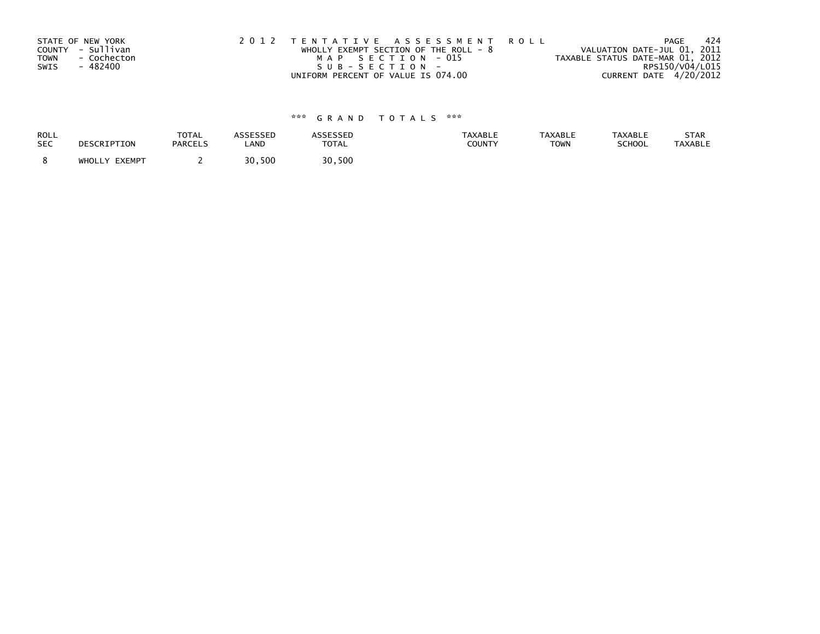| STATE OF NEW YORK          | 2012 TENTATIVE ASSESSMENT ROLL        | PAGE                             | -424 |
|----------------------------|---------------------------------------|----------------------------------|------|
| COUNTY - Sullivan          | WHOLLY EXEMPT SECTION OF THE ROLL - 8 | VALUATION DATE-JUL 01, 2011      |      |
| <b>TOWN</b><br>- Cochecton | MAP SECTION - 015                     | TAXABLE STATUS DATE-MAR 01, 2012 |      |
| - 482400<br>SWIS           | SUB-SECTION-                          | RPS150/V04/L015                  |      |
|                            | UNIFORM PERCENT OF VALUE IS 074.00    | CURRENT DATE 4/20/2012           |      |

| <b>ROLL</b> | DESCRIPTION   | <b>TOTAL</b>   | <b>ASSESSED</b> | ASSESSED     | <b>TAXABLE</b> | <b>TAXABLE</b> | <b>TAXABLE</b> | STAR           |
|-------------|---------------|----------------|-----------------|--------------|----------------|----------------|----------------|----------------|
| <b>SEC</b>  |               | <b>PARCELS</b> | LAND            | <b>TOTAL</b> | COUNTY         | <b>TOWN</b>    | SCHOOL         | <b>TAXABLE</b> |
|             | WHOLLY EXEMPT |                | 30,500          | 30,500       |                |                |                |                |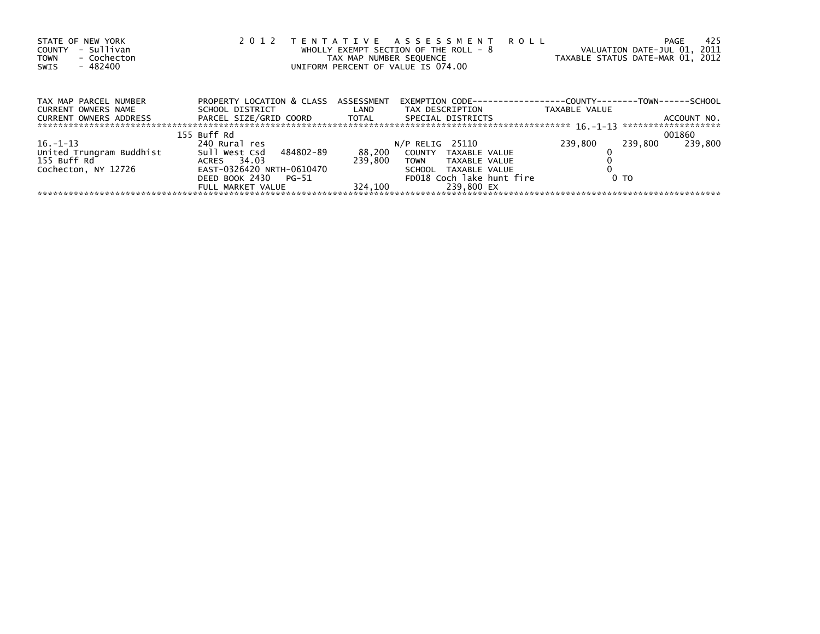| STATE OF NEW YORK<br>- Sullivan<br>COUNTY<br>- Cochecton<br><b>TOWN</b><br>- 482400<br>SWIS | 2 0 1 2                              | TAX MAP NUMBER SEQUENCE | TENTATIVE ASSESSMENT ROLL<br>WHOLLY EXEMPT SECTION OF THE ROLL - 8<br>UNIFORM PERCENT OF VALUE IS 074.00 | VALUATION DATE-JUL 01, 2011<br>TAXABLE STATUS DATE-MAR 01, 2012 | 425<br>PAGE |
|---------------------------------------------------------------------------------------------|--------------------------------------|-------------------------|----------------------------------------------------------------------------------------------------------|-----------------------------------------------------------------|-------------|
| TAX MAP PARCEL NUMBER                                                                       | PROPERTY LOCATION & CLASS ASSESSMENT |                         | EXEMPTION CODE-----------------COUNTY-------TOWN------SCHOOL                                             |                                                                 |             |
| CURRENT OWNERS NAME                                                                         | SCHOOL DISTRICT                      | <b>Example 1</b>        | TAX DESCRIPTION                                                                                          | TAXABLE VALUE                                                   |             |
| CURRENT OWNERS ADDRESS                                                                      | PARCEL SIZE/GRID COORD TOTAL         |                         | SPECIAL DISTRICTS                                                                                        |                                                                 | ACCOUNT NO. |
|                                                                                             | 155 Buff Rd                          |                         |                                                                                                          |                                                                 | 001860      |
| $16. - 1 - 13$                                                                              | 240 Rural res                        |                         | $N/P$ RELIG 25110                                                                                        | 239,800<br>239.800                                              | 239.800     |
| United Trungram Buddhist                                                                    | Sull West Csd<br>484802-89           | 88,200                  | COUNTY TAXABLE VALUE                                                                                     |                                                                 |             |
| 155 Buff Rd                                                                                 | ACRES 34.03                          | 239.800                 | TOWN<br>TAXABLE VALUE                                                                                    |                                                                 |             |
| Cochecton, NY 12726                                                                         | EAST-0326420 NRTH-0610470            |                         | SCHOOL TAXABLE VALUE                                                                                     |                                                                 |             |
|                                                                                             | DEED BOOK 2430<br>PG-51              |                         | FD018 Coch lake hunt fire                                                                                | 0 <sub>T</sub>                                                  |             |
|                                                                                             | FULL MARKET VALUE                    | 324.100                 | 239.800 EX                                                                                               |                                                                 |             |
|                                                                                             |                                      |                         |                                                                                                          |                                                                 |             |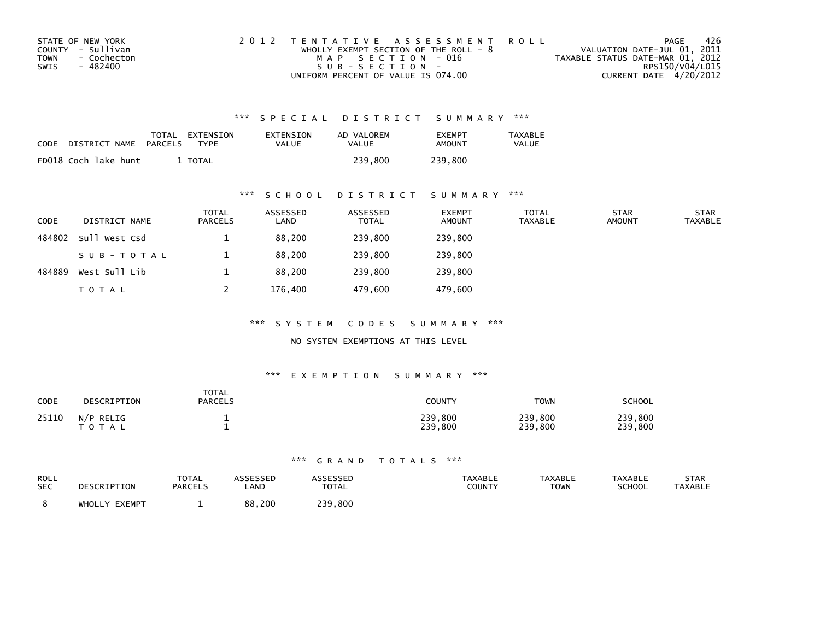| STATE OF NEW YORK          | 2012 TENTATIVE ASSESSMENT ROLL          | PAGE                             | -426            |
|----------------------------|-----------------------------------------|----------------------------------|-----------------|
| COUNTY - Sullivan          | WHOLLY EXEMPT SECTION OF THE ROLL - $8$ | VALUATION DATE-JUL 01, 2011      |                 |
| <b>TOWN</b><br>- Cochecton | MAP SECTION - 016                       | TAXABLE STATUS DATE-MAR 01, 2012 |                 |
| SWIS<br>- 482400           | $SUB - SECTION -$                       |                                  | RPS150/V04/L015 |
|                            | UNIFORM PERCENT OF VALUE IS 074.00      | CURRENT DATE 4/20/2012           |                 |

| CODE | DISTRICT NAME        | TOTAL<br>PARCELS | EXTENSION<br>TYPF | EXTENSION<br>VALUE | AD VALOREM<br>VALUE | <b>FXFMPT</b><br>AMOUNT | TAXABLE<br><b>VALUE</b> |
|------|----------------------|------------------|-------------------|--------------------|---------------------|-------------------------|-------------------------|
|      | FD018 Coch lake hunt |                  | TOTAL             |                    | 239.800             | 239.800                 |                         |

### \*\*\* S C H O O L D I S T R I C T S U M M A R Y \*\*\*

| <b>CODE</b> | DISTRICT NAME | TOTAL<br>PARCELS | ASSESSED<br>LAND | ASSESSED<br><b>TOTAL</b> | <b>EXEMPT</b><br><b>AMOUNT</b> | <b>TOTAL</b><br><b>TAXABLE</b> | <b>STAR</b><br><b>AMOUNT</b> | <b>STAR</b><br><b>TAXABLE</b> |
|-------------|---------------|------------------|------------------|--------------------------|--------------------------------|--------------------------------|------------------------------|-------------------------------|
| 484802      | Sull West Csd |                  | 88,200           | 239,800                  | 239,800                        |                                |                              |                               |
|             | SUB-TOTAL     |                  | 88,200           | 239,800                  | 239,800                        |                                |                              |                               |
| 484889      | West Sull Lib |                  | 88,200           | 239,800                  | 239,800                        |                                |                              |                               |
|             | <b>TOTAL</b>  |                  | 176,400          | 479,600                  | 479,600                        |                                |                              |                               |

\*\*\* S Y S T E M C O D E S S U M M A R Y \*\*\*

NO SYSTEM EXEMPTIONS AT THIS LEVEL

#### \*\*\* E X E M P T I O N S U M M A R Y \*\*\*

| <b>CODE</b> | DESCRIPTION               | <b>TOTAL</b><br><b>PARCELS</b> | <b>COUNTY</b>      | <b>TOWN</b>        | <b>SCHOOL</b>      |
|-------------|---------------------------|--------------------------------|--------------------|--------------------|--------------------|
| 25110       | N/P RELIG<br><b>TOTAL</b> |                                | 239,800<br>239,800 | 239,800<br>239,800 | 239,800<br>239,800 |

| ROLL<br><b>SEC</b> | DESCRIPTION   | <b>TOTAL</b><br><b>PARCELS</b> | ASSESSEP<br>LAND | <b>\SSESSED</b><br><b>TOTAL</b> | <b>TAXABLE</b><br>COUNTY | <b>TAXABLE</b><br>TOWN | <b>TAXABLE</b><br><b>SCHOOL</b> | <b>STAR</b><br><b>TAXABLE</b> |
|--------------------|---------------|--------------------------------|------------------|---------------------------------|--------------------------|------------------------|---------------------------------|-------------------------------|
|                    | WHOLLY EXEMPT |                                | 88,200           | 239,800                         |                          |                        |                                 |                               |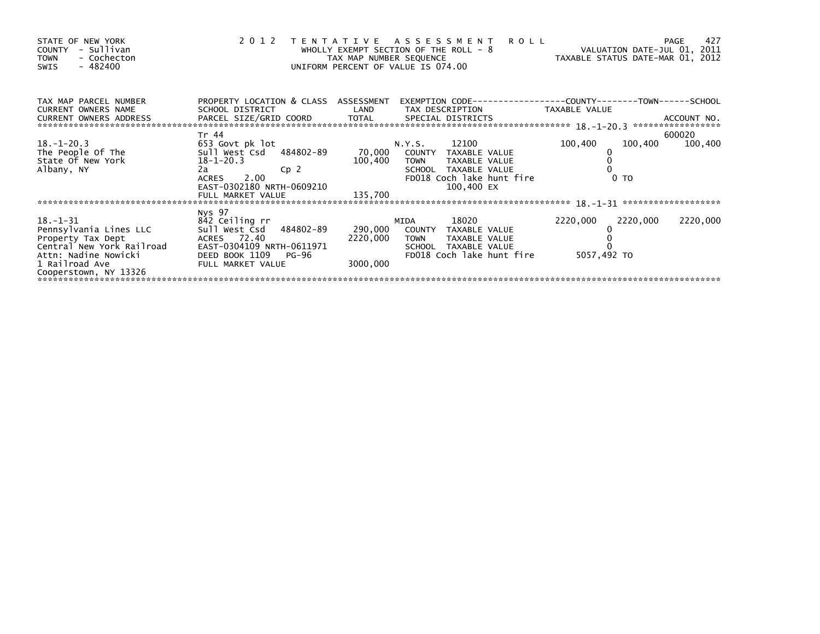| STATE OF NEW YORK<br>- Sullivan<br><b>COUNTY</b><br>- Cochecton<br><b>TOWN</b><br>$-482400$<br>SWIS               | 2 0 1 2<br>T E N T A T I V E                                                      | WHOLLY EXEMPT SECTION OF THE ROLL - 8<br>TAX MAP NUMBER SEQUENCE<br>UNIFORM PERCENT OF VALUE IS 074.00 | <b>ROLL</b><br>A S S E S S M E N T | VALUATION DATE-JUL 01, 2011<br>TAXABLE STATUS DATE-MAR 01, 2012 | 427<br>PAGE |
|-------------------------------------------------------------------------------------------------------------------|-----------------------------------------------------------------------------------|--------------------------------------------------------------------------------------------------------|------------------------------------|-----------------------------------------------------------------|-------------|
| TAX MAP PARCEL NUMBER<br><b>CURRENT OWNERS NAME</b><br>CURRENT OWNERS ADDRESS<br>******************************** | PROPERTY LOCATION & CLASS ASSESSMENT<br>SCHOOL DISTRICT<br>PARCEL SIZE/GRID COORD | LAND                                                                                                   | TAX DESCRIPTION                    | TAXABLE VALUE                                                   |             |
|                                                                                                                   | Tr 44                                                                             |                                                                                                        |                                    |                                                                 | 600020      |
| $18. - 1 - 20.3$<br>The People Of The                                                                             | 653 Govt pk lot<br>Sull West Csd 484802-89                                        | N.Y.S.<br>70,000                                                                                       | 12100<br>COUNTY<br>TAXABLE VALUE   | 100,400<br>100,400                                              | 100,400     |
| State Of New York                                                                                                 | $18 - 1 - 20.3$                                                                   | 100,400                                                                                                | <b>TOWN</b><br>TAXABLE VALUE       |                                                                 |             |
| Albany, NY                                                                                                        | 2a<br>Cp 2                                                                        |                                                                                                        | SCHOOL TAXABLE VALUE               |                                                                 |             |
|                                                                                                                   | 2.00<br>ACRES                                                                     |                                                                                                        | FD018 Coch lake hunt fire          | 0 <sub>T</sub>                                                  |             |
|                                                                                                                   | EAST-0302180 NRTH-0609210                                                         |                                                                                                        | 100,400 EX                         |                                                                 |             |
|                                                                                                                   | FULL MARKET VALUE                                                                 | 135,700                                                                                                |                                    |                                                                 |             |
|                                                                                                                   |                                                                                   |                                                                                                        |                                    |                                                                 |             |
|                                                                                                                   | Nys 97                                                                            |                                                                                                        |                                    |                                                                 |             |
| $18. - 1 - 31$                                                                                                    | 842 Ceiling rr                                                                    | MIDA                                                                                                   | 18020                              | 2220,000<br>2220,000                                            | 2220,000    |
| Pennsylvania Lines LLC                                                                                            | sull west Csd<br>484802-89                                                        | 290,000                                                                                                | COUNTY<br>TAXABLE VALUE            |                                                                 |             |
| Property Tax Dept                                                                                                 | ACRES 72.40                                                                       | 2220,000                                                                                               | TAXABLE VALUE<br><b>TOWN</b>       |                                                                 |             |
| Central New York Railroad                                                                                         | EAST-0304109 NRTH-0611971                                                         |                                                                                                        | TAXABLE VALUE<br><b>SCHOOL</b>     |                                                                 |             |
| Attn: Nadine Nowicki                                                                                              | DEED BOOK 1109<br>PG-96                                                           |                                                                                                        | FD018 Coch lake hunt fire          | 5057,492 TO                                                     |             |
| 1 Railroad Ave                                                                                                    | FULL MARKET VALUE                                                                 | 3000,000                                                                                               |                                    |                                                                 |             |
| Cooperstown, NY 13326                                                                                             |                                                                                   |                                                                                                        |                                    |                                                                 |             |
|                                                                                                                   |                                                                                   |                                                                                                        |                                    |                                                                 |             |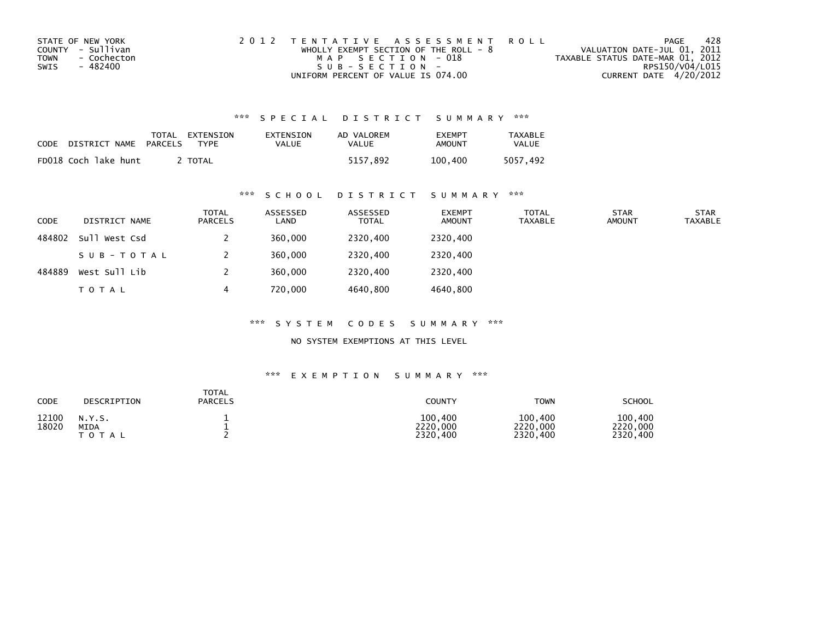| STATE OF NEW YORK          | 2012 TENTATIVE ASSESSMENT ROLL          | PAGE                             | 428 |
|----------------------------|-----------------------------------------|----------------------------------|-----|
| COUNTY - Sullivan          | WHOLLY EXEMPT SECTION OF THE ROLL - $8$ | VALUATION DATE-JUL 01, 2011      |     |
| <b>TOWN</b><br>- Cochecton | MAP SECTION - 018                       | TAXABLE STATUS DATE-MAR 01, 2012 |     |
| SWIS<br>- 482400           | $SUB - SECTION -$                       | RPS150/V04/L015                  |     |
|                            | UNIFORM PERCENT OF VALUE IS 074.00      | CURRENT DATE 4/20/2012           |     |

| CODE | DISTRICT NAME        | TOTAL<br>PARCELS | EXTENSION<br><b>TYPF</b> | EXTENSION<br>VALUE | AD VALOREM<br>VALUE | <b>EXEMPT</b><br><b>AMOUNT</b> | TAXABLE<br><b>VALUE</b> |
|------|----------------------|------------------|--------------------------|--------------------|---------------------|--------------------------------|-------------------------|
|      | FD018 Coch lake hunt |                  | <b>TOTAL</b>             |                    | 5157.892            | 100.400                        | 5057.492                |

### \*\*\* S C H O O L D I S T R I C T S U M M A R Y \*\*\*

| <b>CODE</b> | DISTRICT NAME | <b>TOTAL</b><br><b>PARCELS</b> | ASSESSED<br>LAND | ASSESSED<br><b>TOTAL</b> | <b>EXEMPT</b><br><b>AMOUNT</b> | TOTAL<br><b>TAXABLE</b> | <b>STAR</b><br><b>AMOUNT</b> | <b>STAR</b><br><b>TAXABLE</b> |
|-------------|---------------|--------------------------------|------------------|--------------------------|--------------------------------|-------------------------|------------------------------|-------------------------------|
| 484802      | Sull West Csd |                                | 360,000          | 2320,400                 | 2320,400                       |                         |                              |                               |
|             | SUB-TOTAL     |                                | 360,000          | 2320,400                 | 2320,400                       |                         |                              |                               |
| 484889      | West Sull Lib |                                | 360,000          | 2320,400                 | 2320.400                       |                         |                              |                               |
|             | <b>TOTAL</b>  | 4                              | 720,000          | 4640,800                 | 4640,800                       |                         |                              |                               |

\*\*\* S Y S T E M C O D E S S U M M A R Y \*\*\*

NO SYSTEM EXEMPTIONS AT THIS LEVEL

| CODE           | DESCRIPTION                        | <b>TOTAL</b><br><b>PARCELS</b> | COUNTY                          | <b>TOWN</b>                     | <b>SCHOOL</b>                   |
|----------------|------------------------------------|--------------------------------|---------------------------------|---------------------------------|---------------------------------|
| 12100<br>18020 | N.Y.S.<br><b>MIDA</b><br>T O T A L |                                | 100,400<br>2220,000<br>2320,400 | 100,400<br>2220,000<br>2320,400 | 100,400<br>2220,000<br>2320,400 |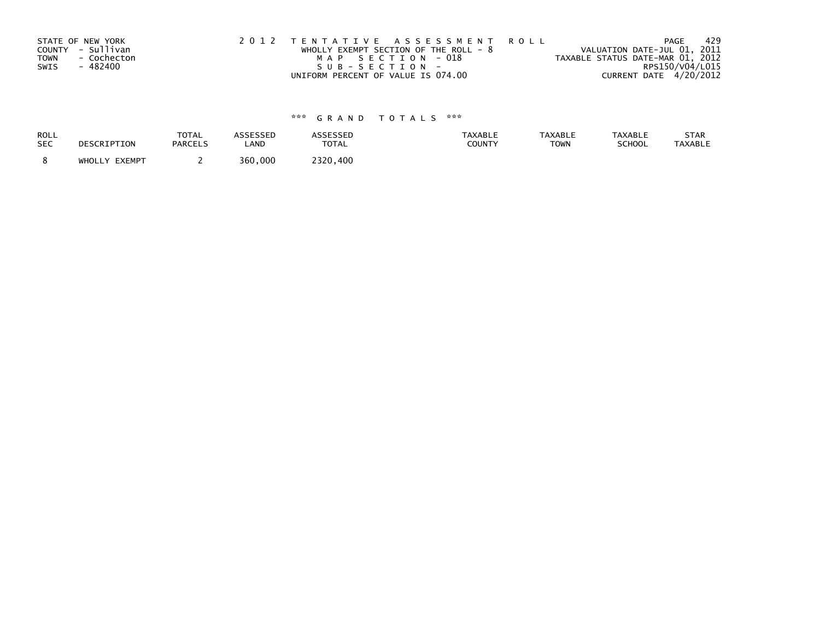| STATE OF NEW YORK          | 2012 TENTATIVE ASSESSMENT ROLL          | PAGE                             | 429 |
|----------------------------|-----------------------------------------|----------------------------------|-----|
| COUNTY - Sullivan          | WHOLLY EXEMPT SECTION OF THE ROLL - $8$ | VALUATION DATE-JUL 01, 2011      |     |
| <b>TOWN</b><br>- Cochecton | MAP SECTION - 018                       | TAXABLE STATUS DATE-MAR 01, 2012 |     |
| - 482400<br>SWIS           | SUB-SECTION-                            | RPS150/V04/L015                  |     |
|                            | UNIFORM PERCENT OF VALUE IS 074.00      | CURRENT DATE 4/20/2012           |     |

| ROLL       | DESCRIPTION   | TOTAL          | ASSESSED | <b>ASSESSED</b> | <b>TAXABLE</b> | <b>TAXABLE</b> | <b>TAXABLE</b> | STAR           |
|------------|---------------|----------------|----------|-----------------|----------------|----------------|----------------|----------------|
| <b>SEC</b> |               | <b>PARCELS</b> | LAND     | <b>TOTAL</b>    | <b>COUNTY</b>  | <b>TOWN</b>    | <b>SCHOOL</b>  | <b>TAXABLE</b> |
|            | WHOLLY EXEMPT |                | 360,000  | 2320,400        |                |                |                |                |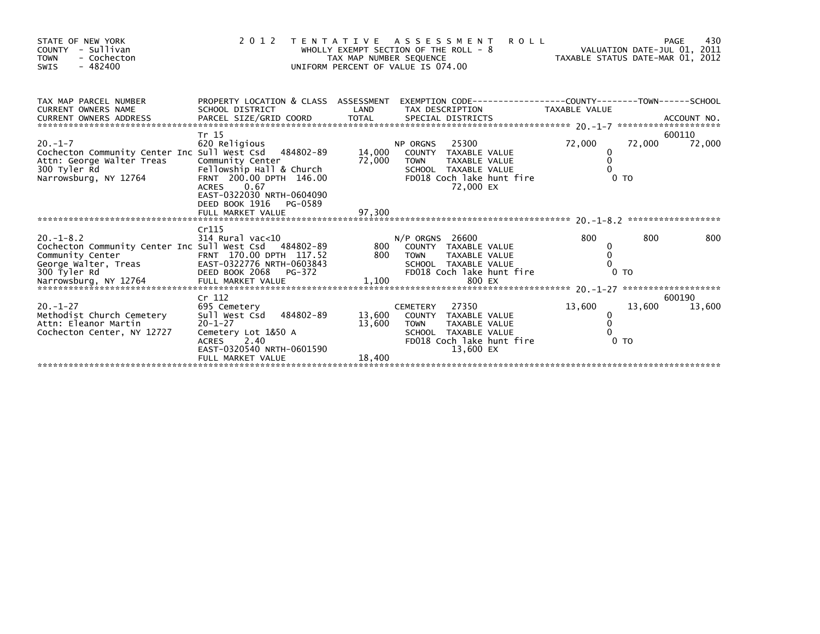| STATE OF NEW YORK<br>COUNTY - Sullivan<br><b>TOWN</b><br>- Cochecton<br>$-482400$<br>SWIS                                                                                                                                                                                                                                                   |                                                                                                                                                                           |                            | <b>ROLL</b><br>2012 TENTATIVE ASSESSMENT<br>PAGE 430<br>VALUATION DATE-JUL 01, 2011<br>UNIFORM PERCENT OF VALUE IS 074.00                   |                                                          | 430                        |
|---------------------------------------------------------------------------------------------------------------------------------------------------------------------------------------------------------------------------------------------------------------------------------------------------------------------------------------------|---------------------------------------------------------------------------------------------------------------------------------------------------------------------------|----------------------------|---------------------------------------------------------------------------------------------------------------------------------------------|----------------------------------------------------------|----------------------------|
| TAX MAP PARCEL NUMBER<br><b>CURRENT OWNERS NAME</b>                                                                                                                                                                                                                                                                                         | <b>Example 19 Service CAND</b><br>SCHOOL DISTRICT                                                                                                                         |                            | PROPERTY LOCATION & CLASS ASSESSMENT EXEMPTION CODE----------------COUNTY-------TOWN------SCHOOL<br>TAX DESCRIPTION TAXABLE VALUE           |                                                          |                            |
| $20. -1 - 7$<br>Cochecton Community Center Inc Sull West Csd 484802-89<br>Attn: George Walter Treas<br>300 Tyler Rd<br>Narrowsburg, NY 12764                                                                                                                                                                                                | Tr 15<br>620 Religious<br>Community Center<br>Fellowship Hall & Church<br>FRNT 200.00 DPTH 146.00<br>0.67<br>ACRES<br>EAST-0322030 NRTH-0604090<br>DEED BOOK 1916 PG-0589 | 14,000<br>72,000 TOWN      | 25300<br><b>NP ORGNS</b><br>COUNTY TAXABLE VALUE<br>TAXABLE VALUE<br>SCHOOL TAXABLE VALUE<br>FD018 Coch lake hunt fire<br>72,000 EX         | 72,000<br>0<br>$\mathbf 0$<br>$\Omega$<br>0 <sub>T</sub> | 600110<br>72,000<br>72,000 |
|                                                                                                                                                                                                                                                                                                                                             | FULL MARKET VALUE                                                                                                                                                         | 97,300                     |                                                                                                                                             |                                                          |                            |
| $20 - 1 - 8.2$<br>Cochecton Community Center Inc Sull West Csd 484802-89 800 COUNTY TAXABLE VALUE<br>Community Center (179.00 DPTH 117.52 800 TOWN TAXABLE VALUE 2011)<br>George Walter, Treas EAST-0322776 NRTH-0603843 SCHOOL TAXABLE VALUE 2011<br>SCHOOL TAXABLE VALUE 2018<br>Marrowsburg, NY 12764 FULL MARKET VALUE 1,100 800 EX<br> | Cr115<br>314 Rural vac<10                                                                                                                                                 |                            | $N/P$ ORGNS 26600                                                                                                                           | 800<br>0                                                 | 800<br>800                 |
|                                                                                                                                                                                                                                                                                                                                             | Cr 112                                                                                                                                                                    |                            |                                                                                                                                             |                                                          | 600190                     |
| $20. - 1 - 27$<br>Methodist Church Cemetery<br>Attn: Eleanor Martin<br>Cochecton Center, NY 12727                                                                                                                                                                                                                                           | 695 Cemetery<br>Sull West Csd<br>484802-89<br>$20 - 1 - 27$<br>Cemetery Lot 1&50 A<br>ACRES 2.40<br>EAST-0320540 NRTH-0601590<br>FULL MARKET VALUE                        | 13,600<br>13,600<br>18,400 | 27350<br><b>CEMETERY</b><br>COUNTY TAXABLE VALUE<br>TOWN<br>TAXABLE VALUE<br>SCHOOL TAXABLE VALUE<br>FD018 Coch lake hunt fire<br>13.600 EX | 13,600<br>0<br>$\mathbf 0$<br>0 <sub>T</sub>             | 13,600<br>13,600           |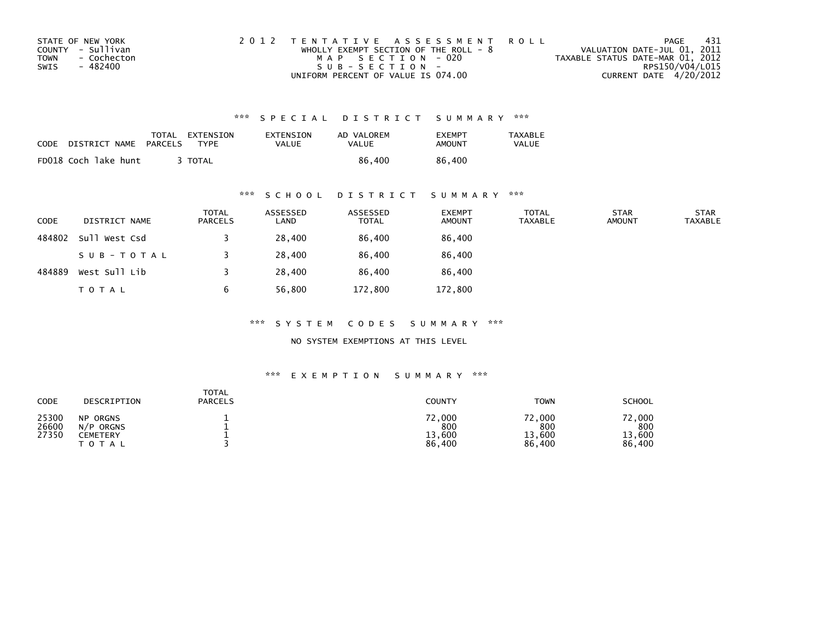| STATE OF NEW YORK          | 2012 TENTATIVE ASSESSMENT ROLL          | PAGE                             | - 431 |
|----------------------------|-----------------------------------------|----------------------------------|-------|
| COUNTY - Sullivan          | WHOLLY EXEMPT SECTION OF THE ROLL - $8$ | VALUATION DATE-JUL 01, 2011      |       |
| <b>TOWN</b><br>- Cochecton | MAP SECTION - 020                       | TAXABLE STATUS DATE-MAR 01, 2012 |       |
| SWIS<br>- 482400           | $SUB - SECTION -$                       | RPS150/V04/L015                  |       |
|                            | UNIFORM PERCENT OF VALUE IS 074.00      | CURRENT DATE 4/20/2012           |       |

| <b>CODE</b> | DISTRICT NAME        | TOTAL<br>PARCELS | EXTENSION<br><b>TYPF</b> | EXTENSION<br>VALUE | AD VALOREM<br>VALUE | <b>EXEMPT</b><br>AMOUNT | TAXABLE<br><b>VALUE</b> |
|-------------|----------------------|------------------|--------------------------|--------------------|---------------------|-------------------------|-------------------------|
|             | FD018 Coch lake hunt |                  | <b>TOTAL</b>             |                    | 86.400              | 86.400                  |                         |

# \*\*\* S C H O O L D I S T R I C T S U M M A R Y \*\*\*

| CODE   | DISTRICT NAME | <b>TOTAL</b><br>PARCELS | ASSESSED<br>LAND | ASSESSED<br><b>TOTAL</b> | <b>EXEMPT</b><br><b>AMOUNT</b> | <b>TOTAL</b><br><b>TAXABLE</b> | <b>STAR</b><br><b>AMOUNT</b> | <b>STAR</b><br><b>TAXABLE</b> |
|--------|---------------|-------------------------|------------------|--------------------------|--------------------------------|--------------------------------|------------------------------|-------------------------------|
| 484802 | Sull West Csd |                         | 28,400           | 86,400                   | 86,400                         |                                |                              |                               |
|        | SUB-TOTAL     |                         | 28,400           | 86,400                   | 86,400                         |                                |                              |                               |
| 484889 | West Sull Lib |                         | 28,400           | 86,400                   | 86,400                         |                                |                              |                               |
|        | <b>TOTAL</b>  | b                       | 56,800           | 172,800                  | 172,800                        |                                |                              |                               |

\*\*\* S Y S T E M C O D E S S U M M A R Y \*\*\*

NO SYSTEM EXEMPTIONS AT THIS LEVEL

| CODE                    | DESCRIPTION                                             | TOTAL<br><b>PARCELS</b> | COUNTY                            | <b>TOWN</b>                       | <b>SCHOOL</b>                     |
|-------------------------|---------------------------------------------------------|-------------------------|-----------------------------------|-----------------------------------|-----------------------------------|
| 25300<br>26600<br>27350 | ORGNS<br><b>NP</b><br>N/P<br>ORGNS<br>CEMETERY<br>TOTAL |                         | 72,000<br>800<br>13,600<br>86,400 | 72,000<br>800<br>13,600<br>86,400 | 72,000<br>800<br>13,600<br>86,400 |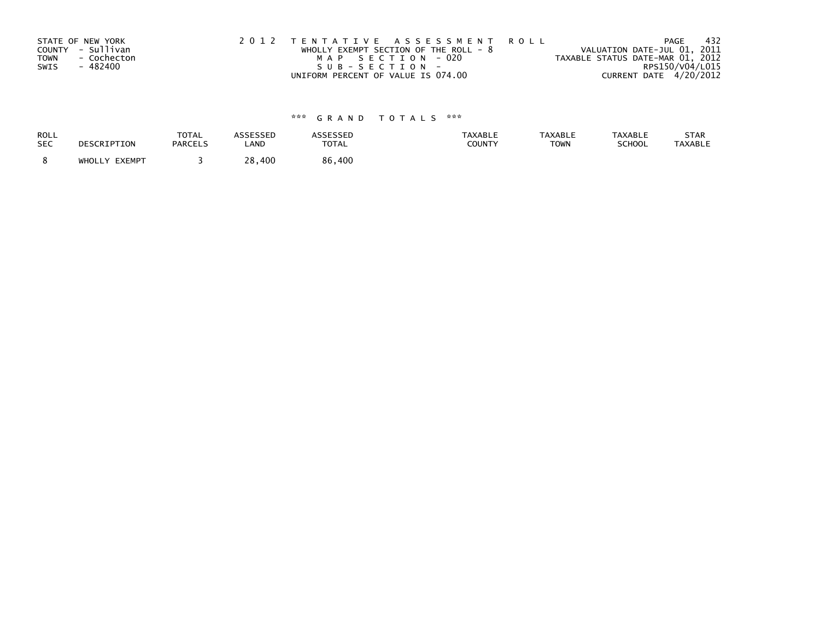|      | STATE OF NEW YORK | 2012 TENTATIVE ASSESSMENT ROLL          | - 432<br>PAGE                    |
|------|-------------------|-----------------------------------------|----------------------------------|
|      | COUNTY - Sullivan | WHOLLY EXEMPT SECTION OF THE ROLL - $8$ | VALUATION DATE-JUL 01, 2011      |
| TOWN | - Cochecton       | MAP SECTION - 020                       | TAXABLE STATUS DATE-MAR 01, 2012 |
| SWIS | - 482400          | SUB-SECTION-                            | RPS150/V04/L015                  |
|      |                   | UNIFORM PERCENT OF VALUE IS 074.00      | CURRENT DATE 4/20/2012           |

| ROLL       | DESCRIPTION   | <b>TOTAL</b>   | <b>ASSESSED</b> | <b>ASSESSED</b> | <b>TAXABLE</b> | <b>TAXABLE</b> | <b>TAXABLE</b> | STAR           |
|------------|---------------|----------------|-----------------|-----------------|----------------|----------------|----------------|----------------|
| <b>SEC</b> |               | <b>PARCELS</b> | LAND            | <b>TOTAL</b>    | <b>COUNTY</b>  | <b>TOWN</b>    | <b>SCHOOL</b>  | <b>TAXABLE</b> |
|            | WHOLLY EXEMPT |                | 28,400          | 86,400          |                |                |                |                |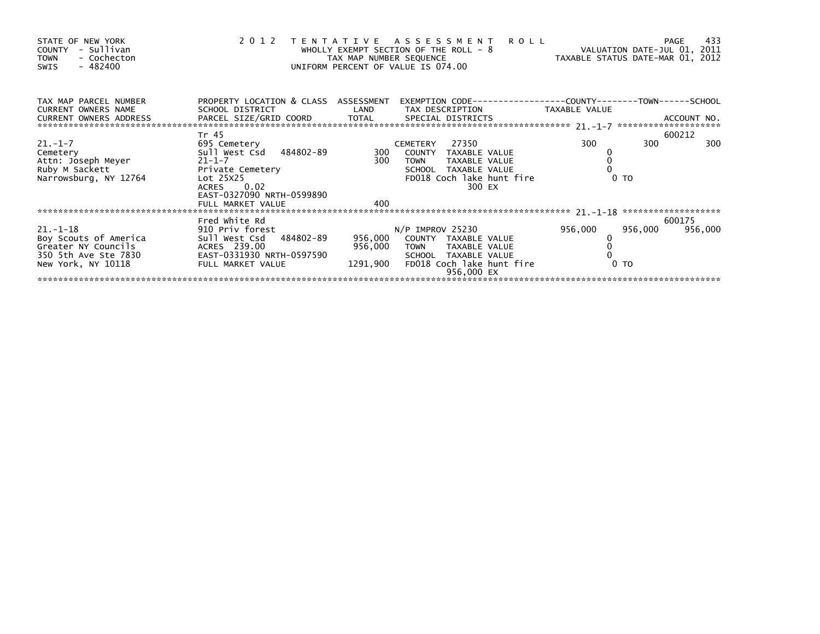| STATE OF NEW YORK<br>- Sullivan<br>COUNTY<br>- Cochecton<br><b>TOWN</b><br>$-482400$<br>SWIS                 |                                                                                                                                                                   | TAX MAP NUMBER SEQUENCE        | 2012 TENTATIVE ASSESSMENT ROLL<br>WHOLLY EXEMPT SECTION OF THE ROLL - 8<br>UNIFORM PERCENT OF VALUE IS 074.00                                 | VALUATION DATE-JUL 01, 2011<br>TAXABLE STATUS DATE-MAR 01, 2012 | 433<br>PAGE       |
|--------------------------------------------------------------------------------------------------------------|-------------------------------------------------------------------------------------------------------------------------------------------------------------------|--------------------------------|-----------------------------------------------------------------------------------------------------------------------------------------------|-----------------------------------------------------------------|-------------------|
| TAX MAP PARCEL NUMBER<br>CURRENT OWNERS NAME<br>CURRENT OWNERS ADDRESS                                       | PROPERTY LOCATION & CLASS ASSESSMENT<br>SCHOOL DISTRICT                                                                                                           | LAND                           | TAX DESCRIPTION                                                                                                                               | TAXABLE VALUE                                                   |                   |
| $21. - 1 - 7$<br>∠ı.-ı-/<br>Cemetery<br>Attn: Joseph Meyer<br>Ruby M Sackett<br>Narrowsburg, NY 12764        | Tr 45<br>695 Cemetery<br>Sull West Csd 484802-89<br>$21 - 1 - 7$<br>Private Cemetery<br>Lot 25X25<br>ACRES 0.02<br>EAST-0327090 NRTH-0599890<br>FULL MARKET VALUE | 300<br>300<br>400              | 27350<br>CEMETERY<br>COUNTY TAXABLE VALUE<br>TAXABLE VALUE<br><b>TOWN</b><br>SCHOOL TAXABLE VALUE<br>FD018 Coch lake hunt fire<br>300 EX      | 300<br>300<br>0 <sub>T</sub>                                    | 600212<br>300     |
|                                                                                                              |                                                                                                                                                                   |                                |                                                                                                                                               |                                                                 |                   |
| $21. - 1 - 18$<br>Boy Scouts of America<br>Greater NY Councils<br>350 5th Ave Ste 7830<br>New York, NY 10118 | Fred White Rd<br>910 Priv forest<br>Sull West Csd 484802-89<br>ACRES 239.00<br>EAST-0331930 NRTH-0597590<br>FULL MARKET VALUE                                     | 956,000<br>956,000<br>1291,900 | $N/P$ IMPROV 25230<br>COUNTY TAXABLE VALUE<br>TAXABLE VALUE<br><b>TOWN</b><br>SCHOOL TAXABLE VALUE<br>FD018 Coch lake hunt fire<br>956.000 EX | 956,000<br>956,000<br>0 <sub>T</sub>                            | 600175<br>956,000 |
|                                                                                                              |                                                                                                                                                                   |                                |                                                                                                                                               |                                                                 |                   |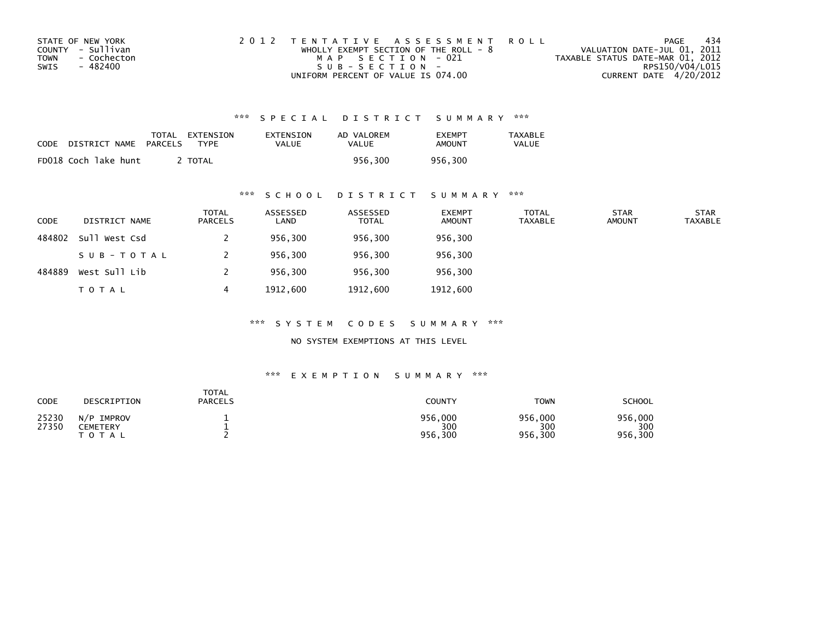| STATE OF NEW YORK          | 2012 TENTATIVE ASSESSMENT ROLL          | PAGE                             | 434 |
|----------------------------|-----------------------------------------|----------------------------------|-----|
| COUNTY - Sullivan          | WHOLLY EXEMPT SECTION OF THE ROLL - $8$ | VALUATION DATE-JUL 01, 2011      |     |
| <b>TOWN</b><br>- Cochecton | MAP SECTION - 021                       | TAXABLE STATUS DATE-MAR 01, 2012 |     |
| SWIS<br>- 482400           | $SUB - SECTION -$                       | RPS150/V04/L015                  |     |
|                            | UNIFORM PERCENT OF VALUE IS 074.00      | CURRENT DATE 4/20/2012           |     |

| <b>CODE</b> | DISTRICT NAME        | TOTAL<br>PARCELS | EXTENSION<br><b>TYPF</b> | EXTENSION<br><b>VALUE</b> | AD VALOREM<br>VALUE | <b>FXFMPT</b><br><b>AMOUNT</b> | <b>TAXABLE</b><br>VALUE |
|-------------|----------------------|------------------|--------------------------|---------------------------|---------------------|--------------------------------|-------------------------|
|             | FD018 Coch lake hunt |                  | <b>TOTAL</b>             |                           | 956.300             | 956.300                        |                         |

#### \*\*\* S C H O O L D I S T R I C T S U M M A R Y \*\*\*

| <b>CODE</b> | DISTRICT NAME | <b>TOTAL</b><br>PARCELS | ASSESSED<br>LAND | ASSESSED<br><b>TOTAL</b> | <b>EXEMPT</b><br><b>AMOUNT</b> | <b>TOTAL</b><br><b>TAXABLE</b> | <b>STAR</b><br><b>AMOUNT</b> | <b>STAR</b><br><b>TAXABLE</b> |
|-------------|---------------|-------------------------|------------------|--------------------------|--------------------------------|--------------------------------|------------------------------|-------------------------------|
| 484802      | Sull West Csd |                         | 956,300          | 956,300                  | 956,300                        |                                |                              |                               |
|             | SUB-TOTAL     |                         | 956,300          | 956,300                  | 956,300                        |                                |                              |                               |
| 484889      | West Sull Lib |                         | 956,300          | 956,300                  | 956,300                        |                                |                              |                               |
|             | <b>TOTAL</b>  | 4                       | 1912,600         | 1912,600                 | 1912,600                       |                                |                              |                               |

\*\*\* S Y S T E M C O D E S S U M M A R Y \*\*\*

NO SYSTEM EXEMPTIONS AT THIS LEVEL

| CODE           | DESCRIPTION                            | <b>TOTAL</b><br><b>PARCELS</b> | <b>COUNTY</b>             | <b>TOWN</b>               | <b>SCHOOL</b>             |
|----------------|----------------------------------------|--------------------------------|---------------------------|---------------------------|---------------------------|
| 25230<br>27350 | N/P<br>IMPROV<br>CEMETERY<br>T O T A L |                                | 956,000<br>300<br>956,300 | 956,000<br>300<br>956,300 | 956,000<br>300<br>956,300 |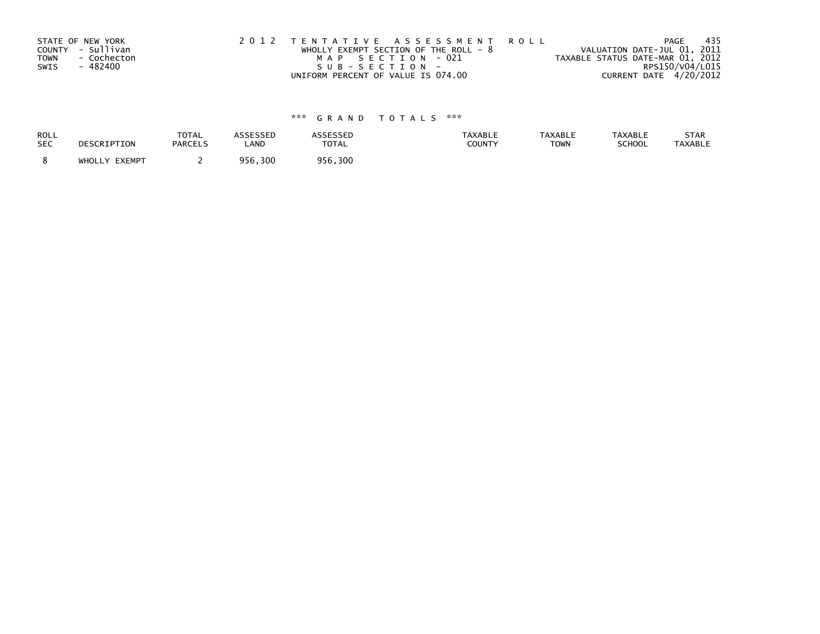| STATE OF NEW YORK          | 2012 TENTATIVE ASSESSMENT ROLL          | PAGE                             | 435 |
|----------------------------|-----------------------------------------|----------------------------------|-----|
| COUNTY - Sullivan          | WHOLLY EXEMPT SECTION OF THE ROLL - $8$ | VALUATION DATE-JUL 01, 2011      |     |
| <b>TOWN</b><br>- Cochecton | MAP SECTION - 021                       | TAXABLE STATUS DATE-MAR 01, 2012 |     |
| - 482400<br>SWIS           | SUB-SECTION-                            | RPS150/V04/L015                  |     |
|                            | UNIFORM PERCENT OF VALUE IS 074.00      | CURRENT DATE 4/20/2012           |     |

| <b>ROLL</b> | DESCRIPTION   | <b>TOTAL</b>   | <b>ASSESSED</b> | ASSESSED | <b>TAXABLE</b> | <b>TAXABLE</b> | <b>TAXABLE</b> | STAR           |
|-------------|---------------|----------------|-----------------|----------|----------------|----------------|----------------|----------------|
| <b>SEC</b>  |               | <b>PARCELS</b> | LAND            | TOTAL    | COUNTY         | <b>TOWN</b>    | SCHOOL         | <b>TAXABLE</b> |
|             | WHOLLY EXEMPT |                | 956,300         | 956,300  |                |                |                |                |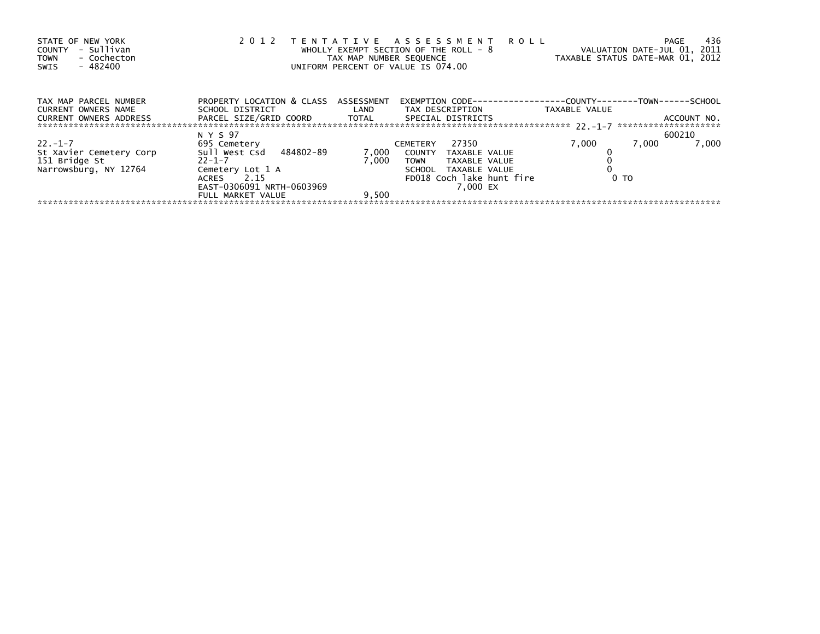| STATE OF NEW YORK<br>- Sullivan<br>COUNTY<br>- Cochecton<br><b>TOWN</b><br>- 482400<br>SWIS | 2 0 1 2                                                      |       | TENTATIVE ASSESSMENT ROLL<br>WHOLLY EXEMPT SECTION OF THE ROLL - 8<br>TAX MAP NUMBER SEQUENCE<br>UNIFORM PERCENT OF VALUE IS 074.00 | VALUATION DATE-JUL 01, 2011<br>TAXABLE STATUS DATE-MAR 01, 2012 | 436<br>PAGE    |
|---------------------------------------------------------------------------------------------|--------------------------------------------------------------|-------|-------------------------------------------------------------------------------------------------------------------------------------|-----------------------------------------------------------------|----------------|
| TAX MAP PARCEL NUMBER<br><b>CURRENT OWNERS NAME</b>                                         | PROPERTY LOCATION & CLASS ASSESSMENT<br>SCHOOL DISTRICT LAND |       | EXEMPTION        CODE-----------------COUNTY-------TOWN------SCHOOL<br>TAX DESCRIPTION                                              | TAXABLE VALUE                                                   |                |
| <b>CURRENT OWNERS ADDRESS</b>                                                               | PARCEL SIZE/GRID COORD TOTAL                                 |       | SPECIAL DISTRICTS                                                                                                                   |                                                                 | ACCOUNT NO.    |
|                                                                                             | N Y S 97                                                     |       |                                                                                                                                     |                                                                 | 600210         |
| 22. –1–7                                                                                    | 695 Cemetery                                                 |       | 27350<br>CEMETERY                                                                                                                   | 7,000                                                           | 7,000<br>7,000 |
| St Xavier Cemetery Corp                                                                     | Sull West Csd 484802-89                                      | 7,000 | COUNTY TAXABLE VALUE                                                                                                                |                                                                 |                |
| 151 Bridge St                                                                               | $22 - 1 - 7$                                                 | 7.000 | <b>TOWN</b><br>TAXABLE VALUE                                                                                                        |                                                                 |                |
| Narrowsburg, NY 12764                                                                       | Cemetery Lot 1 A                                             |       | SCHOOL TAXABLE VALUE                                                                                                                |                                                                 |                |
|                                                                                             | ACRES 2.15                                                   |       | FD018 Coch lake hunt fire                                                                                                           | 0 TO                                                            |                |
|                                                                                             | EAST-0306091 NRTH-0603969                                    |       | 7.000 EX                                                                                                                            |                                                                 |                |
|                                                                                             | FULL MARKET VALUE                                            | 9.500 |                                                                                                                                     |                                                                 |                |
|                                                                                             |                                                              |       |                                                                                                                                     |                                                                 |                |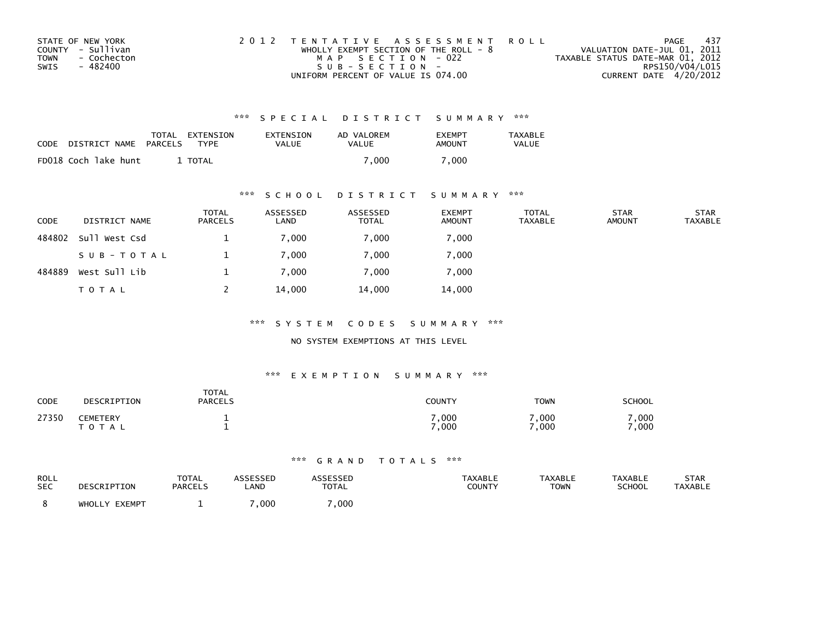| STATE OF NEW YORK          | 2012 TENTATIVE ASSESSMENT ROLL          | PAGE                             | - 437           |
|----------------------------|-----------------------------------------|----------------------------------|-----------------|
| COUNTY - Sullivan          | WHOLLY EXEMPT SECTION OF THE ROLL - $8$ | VALUATION DATE-JUL 01, 2011      |                 |
| <b>TOWN</b><br>- Cochecton | MAP SECTION - 022                       | TAXABLE STATUS DATE-MAR 01, 2012 |                 |
| SWIS<br>- 482400           | $SUB - SECTION -$                       |                                  | RPS150/V04/L015 |
|                            | UNIFORM PERCENT OF VALUE IS 074.00      | CURRENT DATE 4/20/2012           |                 |

| CODE | DISTRICT NAME        | TOTAL<br>PARCELS | EXTENSION<br>TYPF | EXTENSION<br>VALUE | AD VALOREM<br>VALUE | <b>EXEMPT</b><br>AMOUNT | TAXABLE<br><b>VALUE</b> |
|------|----------------------|------------------|-------------------|--------------------|---------------------|-------------------------|-------------------------|
|      | FD018 Coch lake hunt |                  | TOTAL             |                    | 7.000               | .000                    |                         |

#### \*\*\* S C H O O L D I S T R I C T S U M M A R Y \*\*\*

| <b>CODE</b> | DISTRICT NAME | <b>TOTAL</b><br>PARCELS | ASSESSED<br>LAND | ASSESSED<br><b>TOTAL</b> | <b>EXEMPT</b><br><b>AMOUNT</b> | <b>TOTAL</b><br><b>TAXABLE</b> | <b>STAR</b><br><b>AMOUNT</b> | <b>STAR</b><br><b>TAXABLE</b> |
|-------------|---------------|-------------------------|------------------|--------------------------|--------------------------------|--------------------------------|------------------------------|-------------------------------|
| 484802      | Sull West Csd |                         | 7,000            | 7,000                    | 7,000                          |                                |                              |                               |
|             | SUB-TOTAL     |                         | 7,000            | 7,000                    | 7,000                          |                                |                              |                               |
| 484889      | West Sull Lib |                         | 7,000            | 7,000                    | 7,000                          |                                |                              |                               |
|             | T O T A L     |                         | 14,000           | 14,000                   | 14,000                         |                                |                              |                               |

\*\*\* S Y S T E M C O D E S S U M M A R Y \*\*\*

NO SYSTEM EXEMPTIONS AT THIS LEVEL

#### \*\*\* E X E M P T I O N S U M M A R Y \*\*\*

| CODE  | DESCRIPTION                  | <b>TOTAL</b><br><b>PARCELS</b> | COUNTY       | <b>TOWN</b>  | <b>SCHOOL</b> |
|-------|------------------------------|--------------------------------|--------------|--------------|---------------|
| 27350 | <b>CEMETERY</b><br>T O T A L |                                | ,000<br>,000 | ,000<br>,000 | .000<br>.000  |

| ROLL<br><b>SEC</b> | <b>CRIPTION</b><br>DFS | <b>TOTAL</b><br><b>PARCELS</b> | SESSED<br>LAND | <b>TOTAL</b> | <b>TAXABLE</b><br>COUNTY | <b>TAXABLE</b><br><b>TOWN</b> | <b>TAXABLE</b><br><b>SCHOOL</b> | <b>STAR</b><br><b>TAXABLE</b> |
|--------------------|------------------------|--------------------------------|----------------|--------------|--------------------------|-------------------------------|---------------------------------|-------------------------------|
|                    | EXEMPT<br>WHOLLY       |                                | ,000           | ,000         |                          |                               |                                 |                               |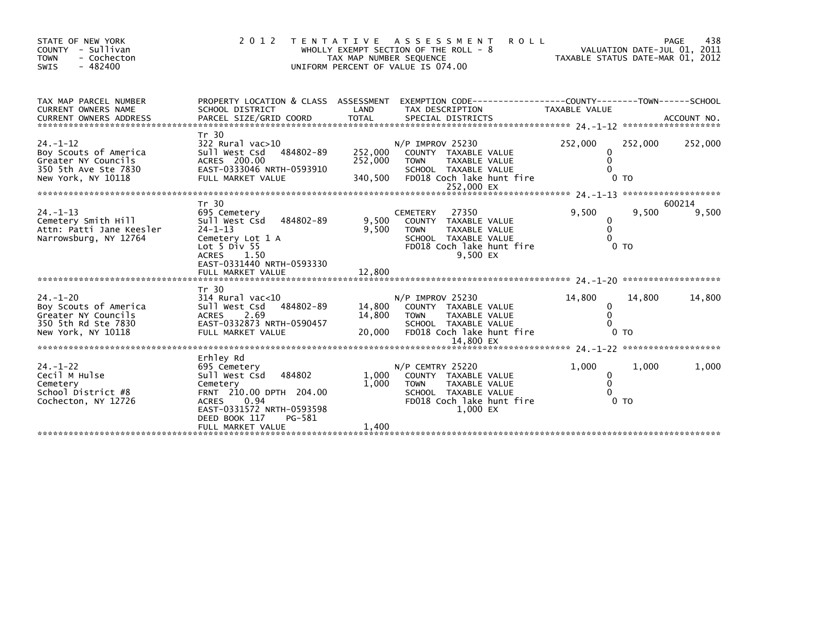| STATE OF NEW YORK<br>COUNTY - Sullivan<br><b>TOWN</b><br>- Cochecton<br>$-482400$<br>SWIS                    | 2 0 1 2                                                                                                                                                              | TAX MAP NUMBER SEQUENCE       | <b>ROLL</b><br>TENTATIVE ASSESSMENT<br>WHOLLY EXEMPT SECTION OF THE ROLL - 8<br>UNIFORM PERCENT OF VALUE IS 074.00                                | TAXABLE STATUS DATE-MAR 01, 2012 |                           | 438<br>PAGE<br>VALUATION DATE-JUL 01, 2011 |
|--------------------------------------------------------------------------------------------------------------|----------------------------------------------------------------------------------------------------------------------------------------------------------------------|-------------------------------|---------------------------------------------------------------------------------------------------------------------------------------------------|----------------------------------|---------------------------|--------------------------------------------|
| TAX MAP PARCEL NUMBER<br>CURRENT OWNERS NAME<br><b>CURRENT OWNERS ADDRESS</b>                                | PROPERTY LOCATION & CLASS ASSESSMENT<br>SCHOOL DISTRICT                                                                                                              | LAND                          | EXEMPTION CODE-----------------COUNTY-------TOWN------SCHOOL<br>TAX DESCRIPTION                                                                   | TAXABLE VALUE                    |                           |                                            |
| $24. - 1 - 12$<br>Boy Scouts of America<br>Greater NY Councils<br>350 5th Ave Ste 7830<br>New York, NY 10118 | Tr 30<br>322 Rural vac>10<br>Sull West Csd<br>484802-89<br>ACRES 200.00<br>EAST-0333046 NRTH-0593910<br>FULL MARKET VALUE                                            | 252,000<br>252,000<br>340,500 | $N/P$ IMPROV 25230<br>COUNTY TAXABLE VALUE<br>TAXABLE VALUE<br><b>TOWN</b><br>SCHOOL TAXABLE VALUE<br>FD018 Coch lake hunt fire<br>252,000 EX     | 252,000<br>0<br>$\Omega$         | 252,000<br>0 <sub>T</sub> | 252,000                                    |
|                                                                                                              |                                                                                                                                                                      |                               |                                                                                                                                                   |                                  |                           |                                            |
| $24. -1 - 13$<br>Cemetery Smith Hill<br>Attn: Patti Jane Keesler<br>Narrowsburg, NY 12764                    | Tr 30<br>695 Cemetery<br>Sull West Csd<br>484802-89<br>$24 - 1 - 13$<br>Cemetery Lot 1 A<br>Lot $5$ Div $55$<br>ACRES 1.50<br>EAST-0331440 NRTH-0593330              | 9.500<br>9,500                | 27350<br><b>CEMETERY</b><br>COUNTY TAXABLE VALUE<br>TAXABLE VALUE<br><b>TOWN</b><br>SCHOOL TAXABLE VALUE<br>FD018 Coch lake hunt fire<br>9.500 EX | 9.500<br>0<br>0                  | 9,500<br>0 <sub>T</sub>   | 600214<br>9,500                            |
|                                                                                                              | FULL MARKET VALUE                                                                                                                                                    | 12,800                        |                                                                                                                                                   |                                  |                           |                                            |
|                                                                                                              | Tr 30                                                                                                                                                                |                               |                                                                                                                                                   |                                  |                           |                                            |
| $24. - 1 - 20$<br>Boy Scouts of America<br>Greater NY Councils<br>350 5th Rd Ste 7830<br>New York, NY 10118  | $314$ Rural vac<10<br>Sull West Csd<br>484802-89<br><b>ACRES</b><br>2.69<br>EAST-0332873 NRTH-0590457<br>FULL MARKET VALUE                                           | 14,800<br>14,800<br>20,000    | $N/P$ IMPROV 25230<br>COUNTY TAXABLE VALUE<br>TAXABLE VALUE<br>TOWN<br>SCHOOL TAXABLE VALUE<br>FD018 Coch lake hunt fire                          | 14,800<br>0                      | 14,800<br>0 <sub>T</sub>  | 14,800                                     |
|                                                                                                              |                                                                                                                                                                      |                               |                                                                                                                                                   |                                  |                           |                                            |
| $24. - 1 - 22$<br>Cecil M Hulse<br>Cemetery<br>School District #8<br>Cochecton, NY 12726                     | Erhley Rd<br>695 Cemetery<br>484802<br>Sull West Csd<br>Cemetery<br>FRNT 210.00 DPTH 204.00<br>ACRES<br>0.94<br>EAST-0331572 NRTH-0593598<br>DEED BOOK 117<br>PG-581 | 1,000<br>1.000                | N/P CEMTRY 25220<br>COUNTY TAXABLE VALUE<br><b>TOWN</b><br>TAXABLE VALUE<br>SCHOOL TAXABLE VALUE<br>FD018 Coch lake hunt fire<br>1.000 EX         | 1,000<br>0<br>$\Omega$           | 1,000<br>0 <sub>T</sub>   | 1,000                                      |
| **********************                                                                                       | FULL MARKET VALUE                                                                                                                                                    | 1,400                         |                                                                                                                                                   |                                  |                           |                                            |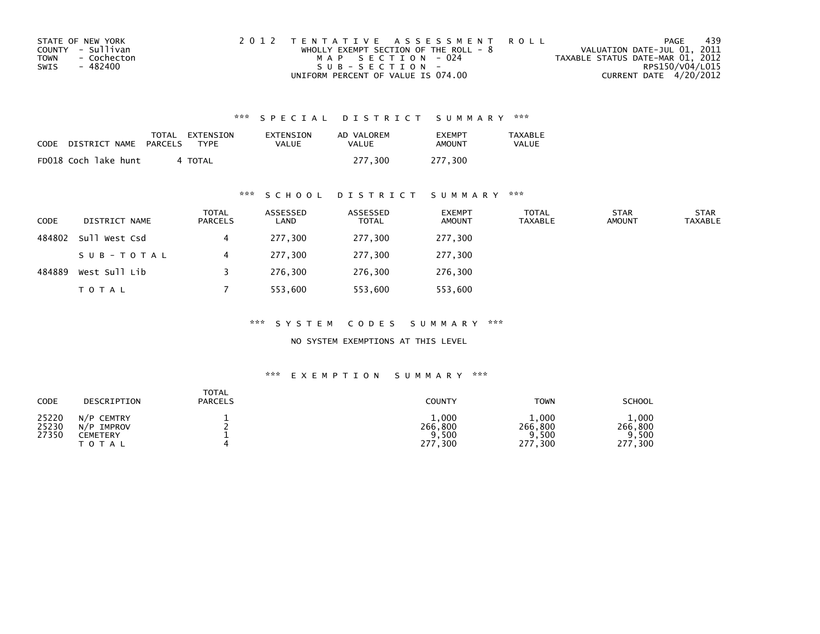| STATE OF NEW YORK          | 2012 TENTATIVE ASSESSMENT ROLL          | PAGE                             | 439             |
|----------------------------|-----------------------------------------|----------------------------------|-----------------|
| COUNTY - Sullivan          | WHOLLY EXEMPT SECTION OF THE ROLL - $8$ | VALUATION DATE-JUL 01, 2011      |                 |
| <b>TOWN</b><br>- Cochecton | MAP SECTION - 024                       | TAXABLE STATUS DATE-MAR 01, 2012 |                 |
| SWIS<br>- 482400           | $SUB - SECTION -$                       |                                  | RPS150/V04/L015 |
|                            | UNIFORM PERCENT OF VALUE IS 074.00      | CURRENT DATE 4/20/2012           |                 |

| CODE | DISTRICT NAME        | TOTAL<br>PARCELS | EXTENSION<br>TYPF | EXTENSION<br>VALUE | AD VALOREM<br>VALUE | <b>EXEMPT</b><br>AMOUNT | TAXABLE<br><b>VALUE</b> |
|------|----------------------|------------------|-------------------|--------------------|---------------------|-------------------------|-------------------------|
|      | FD018 Coch lake hunt |                  | 4 TOTAL           |                    | 277.300             | 277.300                 |                         |

## \*\*\* S C H O O L D I S T R I C T S U M M A R Y \*\*\*

| <b>CODE</b> | DISTRICT NAME | <b>TOTAL</b><br>PARCELS | ASSESSED<br>LAND | ASSESSED<br><b>TOTAL</b> | <b>EXEMPT</b><br><b>AMOUNT</b> | <b>TOTAL</b><br><b>TAXABLE</b> | <b>STAR</b><br><b>AMOUNT</b> | <b>STAR</b><br><b>TAXABLE</b> |
|-------------|---------------|-------------------------|------------------|--------------------------|--------------------------------|--------------------------------|------------------------------|-------------------------------|
| 484802      | Sull West Csd |                         | 277,300          | 277,300                  | 277,300                        |                                |                              |                               |
|             | SUB-TOTAL     |                         | 277,300          | 277,300                  | 277,300                        |                                |                              |                               |
| 484889      | West Sull Lib |                         | 276.300          | 276.300                  | 276,300                        |                                |                              |                               |
|             | <b>TOTAL</b>  |                         | 553,600          | 553,600                  | 553,600                        |                                |                              |                               |

\*\*\* S Y S T E M C O D E S S U M M A R Y \*\*\*

NO SYSTEM EXEMPTIONS AT THIS LEVEL

| CODE                    | DESCRIPTION                                                 | <b>TOTAL</b><br><b>PARCELS</b> | <b>COUNTY</b>                                        | <b>TOWN</b>                                  | <b>SCHOOL</b>                          |
|-------------------------|-------------------------------------------------------------|--------------------------------|------------------------------------------------------|----------------------------------------------|----------------------------------------|
| 25220<br>25230<br>27350 | N/P CEMTRY<br>IMPROV<br>N/P<br><b>CEMETERY</b><br>T O T A L |                                | 1,000<br>266,800<br>9,500<br>277<br>$^{\prime}$ ,300 | 1,000<br>266<br>, 800<br>,500<br>277<br>,300 | 1,000<br>266,800<br>500<br>277<br>,300 |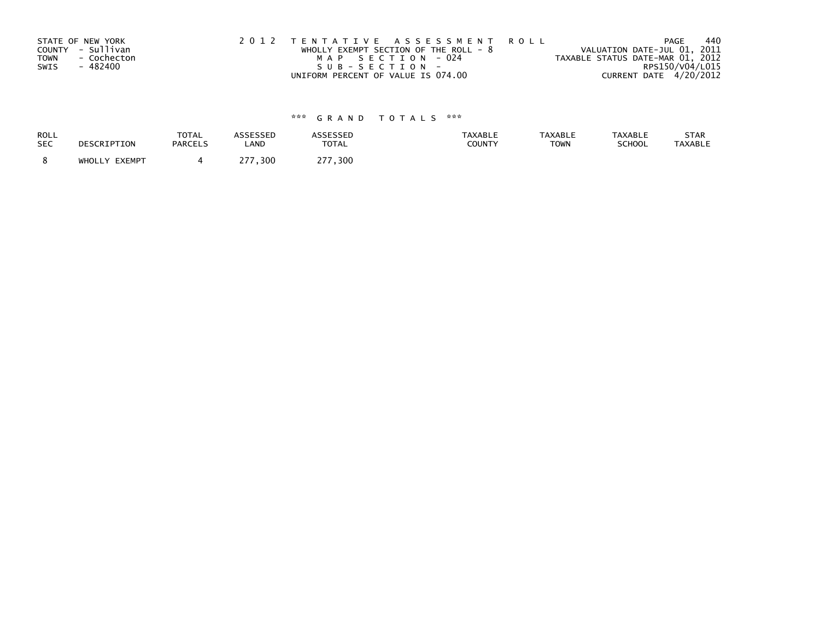|      | STATE OF NEW YORK | 2012 TENTATIVE ASSESSMENT ROLL          |                   |  |                                  | PAGE                   | 440 |
|------|-------------------|-----------------------------------------|-------------------|--|----------------------------------|------------------------|-----|
|      | COUNTY - Sullivan | WHOLLY EXEMPT SECTION OF THE ROLL - $8$ |                   |  | VALUATION DATE-JUL 01, 2011      |                        |     |
| TOWN | - Cochecton       |                                         | MAP SECTION - 024 |  | TAXABLE STATUS DATE-MAR 01, 2012 |                        |     |
| SWIS | - 482400          | SUB-SECTION-                            |                   |  |                                  | RPS150/V04/L015        |     |
|      |                   | UNIFORM PERCENT OF VALUE IS 074.00      |                   |  |                                  | CURRENT DATE 4/20/2012 |     |

| ROLL       | DESCRIPTION   | <b>TOTAL</b>   | <b>ASSESSED</b> | <b>ASSESSED</b> | <b>TAXABLE</b> | <b>TAXABLE</b> | <b>TAXABLE</b> | STAR           |
|------------|---------------|----------------|-----------------|-----------------|----------------|----------------|----------------|----------------|
| <b>SEC</b> |               | <b>PARCELS</b> | LAND            | <b>TOTAL</b>    | COUNTY         | <b>TOWN</b>    | SCHOOL         | <b>TAXABLE</b> |
|            | WHOLLY EXEMPT |                | つフフ<br>, 300    | ∠77,300         |                |                |                |                |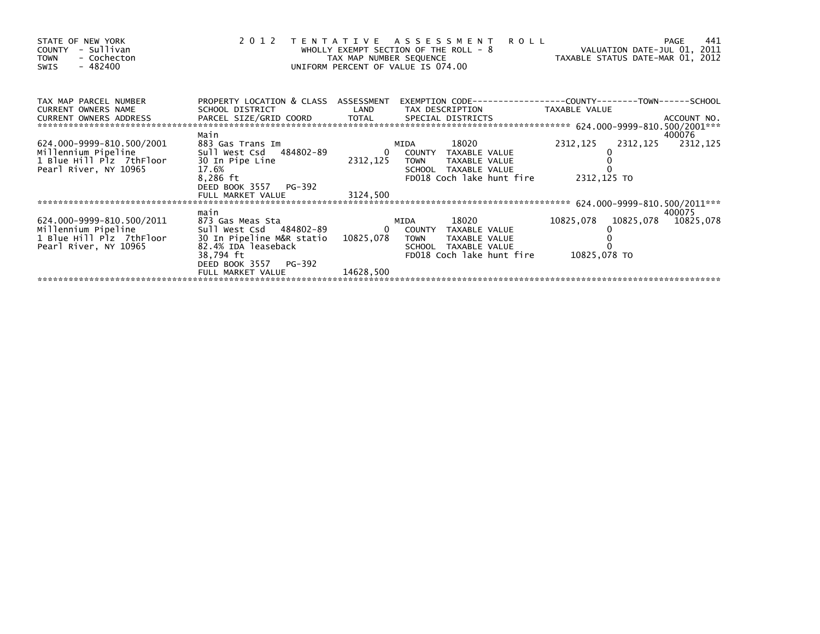| STATE OF NEW YORK<br>- Sullivan<br>COUNTY<br>- Cochecton<br><b>TOWN</b><br>- 482400<br>SWIS           |                                                                                                                                                                    | TAX MAP NUMBER SEQUENCE     | 2012 TENTATIVE ASSESSMENT<br><b>ROLL</b><br>WHOLLY EXEMPT SECTION OF THE ROLL - 8<br>UNIFORM PERCENT OF VALUE IS 074.00                                                                                                                                                                                                                                  | VALUATION DATE-JUL 01, 2011<br>1, 2011 ROLL - 8<br>TAXABLE STATUS DATE-MAR 01, 2012 | 441<br>PAGE                   |
|-------------------------------------------------------------------------------------------------------|--------------------------------------------------------------------------------------------------------------------------------------------------------------------|-----------------------------|----------------------------------------------------------------------------------------------------------------------------------------------------------------------------------------------------------------------------------------------------------------------------------------------------------------------------------------------------------|-------------------------------------------------------------------------------------|-------------------------------|
| TAX MAP PARCEL NUMBER<br>CURRENT OWNERS NAME                                                          | PROPERTY LOCATION & CLASS ASSESSMENT<br>SCHOOL DISTRICT LAND                                                                                                       |                             | TAX DESCRIPTION TAXABLE VALUE                                                                                                                                                                                                                                                                                                                            |                                                                                     |                               |
| 624.000-9999-810.500/2001<br>Millennium Pipeline<br>1 Blue Hill Plz 7thFloor<br>Pearl River, NY 10965 | Main<br>883 Gas Trans Im<br>Sull West Csd 484802-89<br>30 In Pipe Line<br>17.6%<br>8,286 ft<br>DEED BOOK 3557 PG-392                                               |                             | 18020 — 18020 — 18020 — 18020 — 18020 — 18020 — 18020 — 18020 — 18020 — 18020 — 18020 — 18020 — 18020 — 18020 — 18020 — 18020 — 18020 — 18020 — 18020 — 18020 — 18020 — 18020 — 18020 — 18020 — 18020 — 18020 — 18020 — 18020 —<br>MIDA<br>0 COUNTY TAXABLE VALUE<br>2312,125 TOWN<br>TAXABLE VALUE<br>SCHOOL TAXABLE VALUE<br>FD018 Coch lake hunt fire | 2312,125<br>2312,125<br>2312,125 TO                                                 | 400076<br>2312,125            |
|                                                                                                       | FULL MARKET VALUE                                                                                                                                                  | 3124,500                    |                                                                                                                                                                                                                                                                                                                                                          |                                                                                     |                               |
|                                                                                                       |                                                                                                                                                                    |                             |                                                                                                                                                                                                                                                                                                                                                          |                                                                                     |                               |
| 624.000-9999-810.500/2011<br>Millennium Pipeline<br>1 Blue Hill Plz 7thFloor<br>Pearl River, NY 10965 | main<br>873 Gas Meas Sta<br>sull west Csd 484802-89<br>30 In Pipeline M&R statio<br>82.4% IDA leaseback<br>38,794 ft<br>DEED BOOK 3557 PG-392<br>FULL MARKET VALUE | 10825,078 TOWN<br>14628,500 | 18020<br>MIDA<br>0 COUNTY TAXABLE VALUE<br>TAXABLE VALUE<br>SCHOOL TAXABLE VALUE<br>FD018 Coch lake hunt fire                                                                                                                                                                                                                                            | 10825,078<br>10825,078 TO                                                           | 400075<br>10825,078 10825,078 |
|                                                                                                       |                                                                                                                                                                    |                             |                                                                                                                                                                                                                                                                                                                                                          |                                                                                     |                               |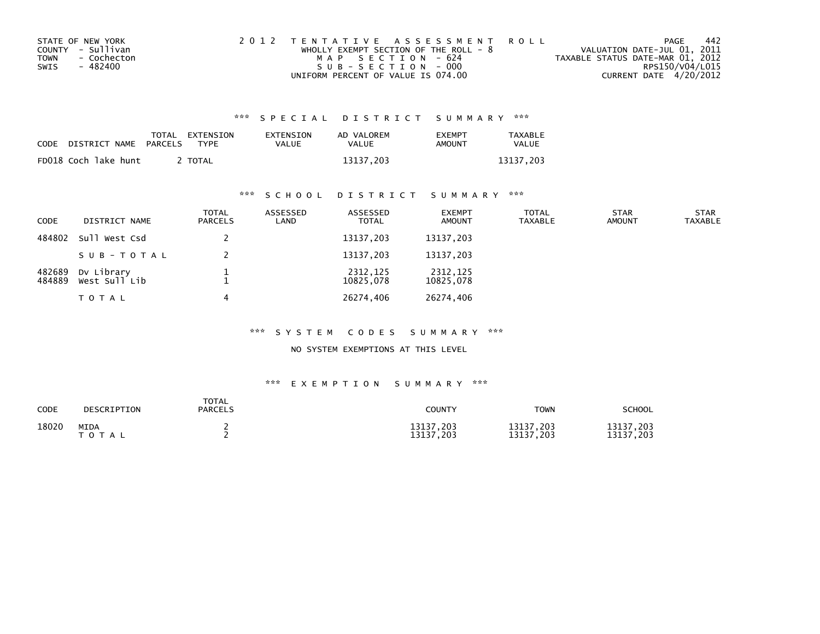| STATE OF NEW YORK   | 2012 TENTATIVE ASSESSMENT ROLL          | PAGE                             | 442             |
|---------------------|-----------------------------------------|----------------------------------|-----------------|
| COUNTY - Sullivan   | WHOLLY EXEMPT SECTION OF THE ROLL - $8$ | VALUATION DATE-JUL 01, 2011      |                 |
| - Cochecton<br>TOWN | MAP SECTION - 624                       | TAXABLE STATUS DATE-MAR 01, 2012 |                 |
| SWIS<br>- 482400    | SUB-SECTION-000                         |                                  | RPS150/V04/L015 |
|                     | UNIFORM PERCENT OF VALUE IS 074.00      | CURRENT DATE 4/20/2012           |                 |

| CODE | DISTRICT NAME        | PARCELS | TOTAL EXTENSION<br><b>TYPF</b> | <b>EXTENSION</b><br>VALUE | AD VALOREM<br>VALUE | <b>EXEMPT</b><br>AMOUNT | <b>TAXABLE</b><br><b>VALUE</b> |
|------|----------------------|---------|--------------------------------|---------------------------|---------------------|-------------------------|--------------------------------|
|      | FD018 Coch lake hunt |         | TOTAL                          |                           | 13137.203           |                         | 13137.203                      |

## \*\*\* S C H O O L D I S T R I C T S U M M A R Y \*\*\*

| <b>CODE</b>      | DISTRICT NAME               | <b>TOTAL</b><br>PARCELS | ASSESSED<br>LAND | ASSESSED<br><b>TOTAL</b> | <b>EXEMPT</b><br><b>AMOUNT</b> | <b>TOTAL</b><br><b>TAXABLE</b> | <b>STAR</b><br><b>AMOUNT</b> | <b>STAR</b><br><b>TAXABLE</b> |
|------------------|-----------------------------|-------------------------|------------------|--------------------------|--------------------------------|--------------------------------|------------------------------|-------------------------------|
| 484802           | Sull West Csd               |                         |                  | 13137,203                | 13137,203                      |                                |                              |                               |
|                  | SUB-TOTAL                   |                         |                  | 13137,203                | 13137,203                      |                                |                              |                               |
| 482689<br>484889 | Dv Library<br>West Sull Lib |                         |                  | 2312,125<br>10825,078    | 2312,125<br>10825,078          |                                |                              |                               |
|                  | TOTAL                       |                         |                  | 26274,406                | 26274,406                      |                                |                              |                               |

#### \*\*\* S Y S T E M C O D E S S U M M A R Y \*\*\*

#### NO SYSTEM EXEMPTIONS AT THIS LEVEL

| CODE  | DESCRIPTION          | <b>TOTAL</b><br><b>PARCELS</b> | COUNTY                     | <b>TOWN</b>            | <b>SCHOOL</b>          |
|-------|----------------------|--------------------------------|----------------------------|------------------------|------------------------|
| 18020 | MIDA<br>тот<br>T A L |                                | 13137,203<br>13137<br>.203 | 13137,203<br>13137,203 | 13137,203<br>13137,203 |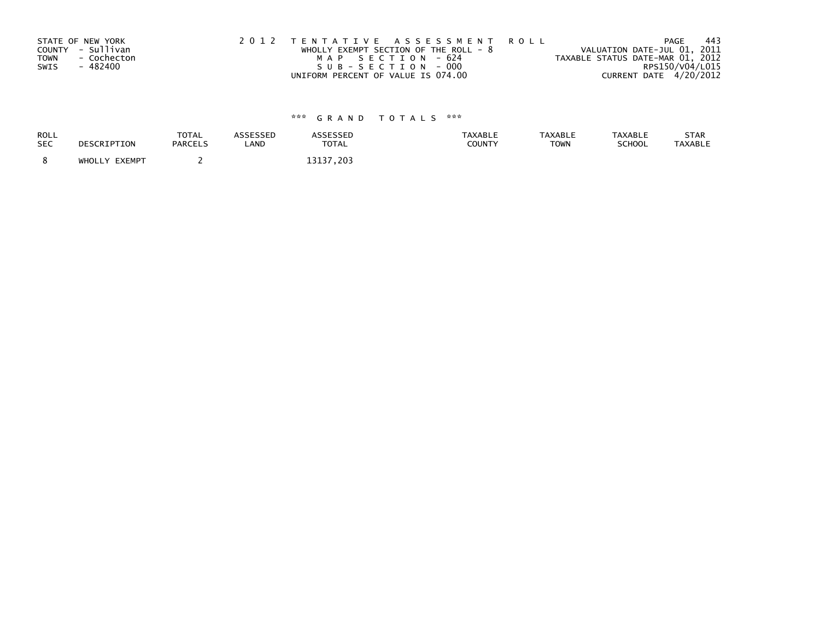|      | STATE OF NEW YORK | 2012 TENTATIVE ASSESSMENT ROLL          | PAGE                             | -443 |
|------|-------------------|-----------------------------------------|----------------------------------|------|
|      | COUNTY - Sullivan | WHOLLY EXEMPT SECTION OF THE ROLL - $8$ | VALUATION DATE-JUL 01, 2011      |      |
| TOWN | - Cochecton       | MAP SECTION - 624                       | TAXABLE STATUS DATE-MAR 01, 2012 |      |
| SWIS | - 482400          | SUB-SECTION-000                         | RPS150/V04/L015                  |      |
|      |                   | UNIFORM PERCENT OF VALUE IS 074.00      | CURRENT DATE 4/20/2012           |      |

| ROLL<br><b>SEC</b> | DESCRIPTION   | <b>TOTAL</b><br><b>PARCELS</b> | ASSESSED<br>LAND | <b>ASSESSED</b><br><b>TOTAL</b> | <b>TAXABLE</b><br><b>COUNTY</b> | <b>TAXABLE</b><br><b>TOWN</b> | <b>TAXABLE</b><br>SCHOOL | <b>STAR</b><br><b>TAXABLE</b> |
|--------------------|---------------|--------------------------------|------------------|---------------------------------|---------------------------------|-------------------------------|--------------------------|-------------------------------|
|                    | WHOLLY EXEMPT |                                |                  | 3137<br>$^{\prime}$ . 203       |                                 |                               |                          |                               |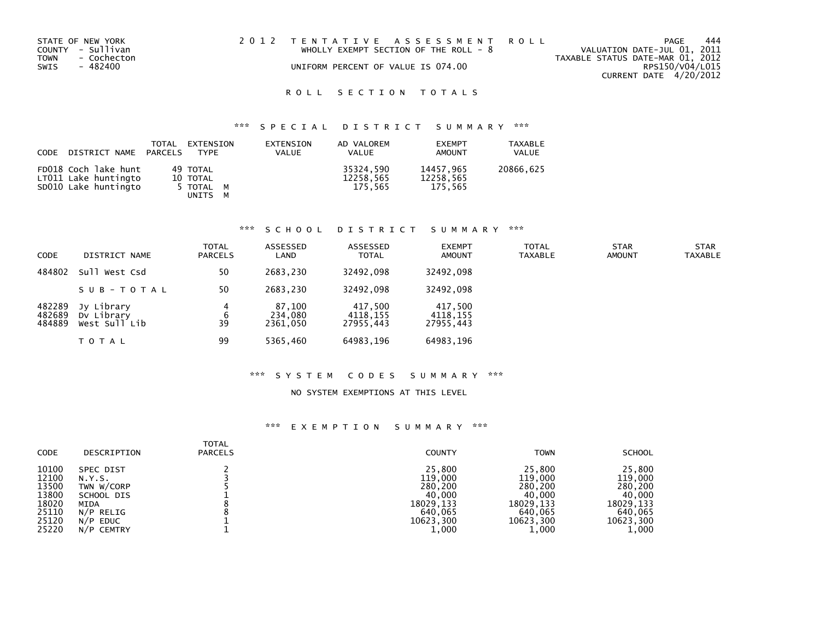| STATE OF NEW YORK   |  | 2012 TENTATIVE ASSESSMENT ROLL          |                                  | PAGE            | 444 |
|---------------------|--|-----------------------------------------|----------------------------------|-----------------|-----|
| COUNTY - Sullivan   |  | WHOLLY EXEMPT SECTION OF THE ROLL - $8$ | VALUATION DATE-JUL 01, 2011      |                 |     |
| TOWN<br>- Cochecton |  |                                         | TAXABLE STATUS DATE-MAR 01, 2012 |                 |     |
| SWIS<br>- 482400    |  | UNIFORM PERCENT OF VALUE IS 074.00      |                                  | RPS150/V04/L015 |     |
|                     |  |                                         | CURRENT DATE 4/20/2012           |                 |     |

## ROLL SECTION TOTALS

## \*\*\* S P E C I A L D I S T R I C T S U M M A R Y \*\*\*

| CODE DISTRICT NAME PARCELS                                           | TOTAL | EXTENSION<br>TYPF                            | EXTENSION<br><b>VALUE</b> | AD VALOREM<br><b>VALUE</b>        | <b>EXEMPT</b><br>AMOUNT           | <b>TAXABLE</b><br>VALUE |
|----------------------------------------------------------------------|-------|----------------------------------------------|---------------------------|-----------------------------------|-----------------------------------|-------------------------|
| FD018 Coch lake hunt<br>LT011 Lake huntingto<br>SD010 Lake huntingto |       | 49 TOTAL<br>10 TOTAL<br>5 TOTAL M<br>UNITS M |                           | 35324.590<br>12258,565<br>175.565 | 14457.965<br>12258,565<br>175.565 | 20866,625               |

#### \*\*\* S C H O O L D I S T R I C T S U M M A R Y \*\*\*

| <b>CODE</b>                | DISTRICT NAME                             | <b>TOTAL</b><br><b>PARCELS</b> | ASSESSED<br>LAND              | ASSESSED<br><b>TOTAL</b>         | <b>EXEMPT</b><br><b>AMOUNT</b>   | <b>TOTAL</b><br><b>TAXABLE</b> | <b>STAR</b><br><b>AMOUNT</b> | STAR<br><b>TAXABLE</b> |
|----------------------------|-------------------------------------------|--------------------------------|-------------------------------|----------------------------------|----------------------------------|--------------------------------|------------------------------|------------------------|
| 484802                     | Sull West Csd                             | 50                             | 2683.230                      | 32492.098                        | 32492.098                        |                                |                              |                        |
|                            | SUB-TOTAL                                 | 50                             | 2683.230                      | 32492.098                        | 32492.098                        |                                |                              |                        |
| 482289<br>482689<br>484889 | Jy Library<br>Dy Library<br>West Sull Lib | 4<br>6<br>39                   | 87,100<br>234,080<br>2361.050 | 417,500<br>4118,155<br>27955.443 | 417,500<br>4118,155<br>27955,443 |                                |                              |                        |
|                            | T O T A L                                 | 99                             | 5365.460                      | 64983.196                        | 64983.196                        |                                |                              |                        |

#### \*\*\* S Y S T E M C O D E S S U M M A R Y \*\*\*

#### NO SYSTEM EXEMPTIONS AT THIS LEVEL

| <b>CODE</b>                                                 | DESCRIPTION                                                                        | <b>TOTAL</b><br><b>PARCELS</b> | <b>COUNTY</b>                                                               | <b>TOWN</b>                                                                 | <b>SCHOOL</b>                                                               |
|-------------------------------------------------------------|------------------------------------------------------------------------------------|--------------------------------|-----------------------------------------------------------------------------|-----------------------------------------------------------------------------|-----------------------------------------------------------------------------|
| 10100<br>12100<br>13500<br>13800<br>18020<br>25110<br>25120 | SPEC DIST<br>N.Y.S.<br>TWN W/CORP<br>SCHOOL DIS<br>MIDA<br>N/P RELIG<br>$N/P$ EDUC |                                | 25,800<br>119,000<br>280,200<br>40.000<br>18029.133<br>640,065<br>10623.300 | 25,800<br>119,000<br>280,200<br>40.000<br>18029.133<br>640,065<br>10623.300 | 25,800<br>119,000<br>280,200<br>40,000<br>18029.133<br>640,065<br>10623,300 |
| 25220                                                       | N/P CEMTRY                                                                         |                                | 1,000                                                                       | 1,000                                                                       | 1,000                                                                       |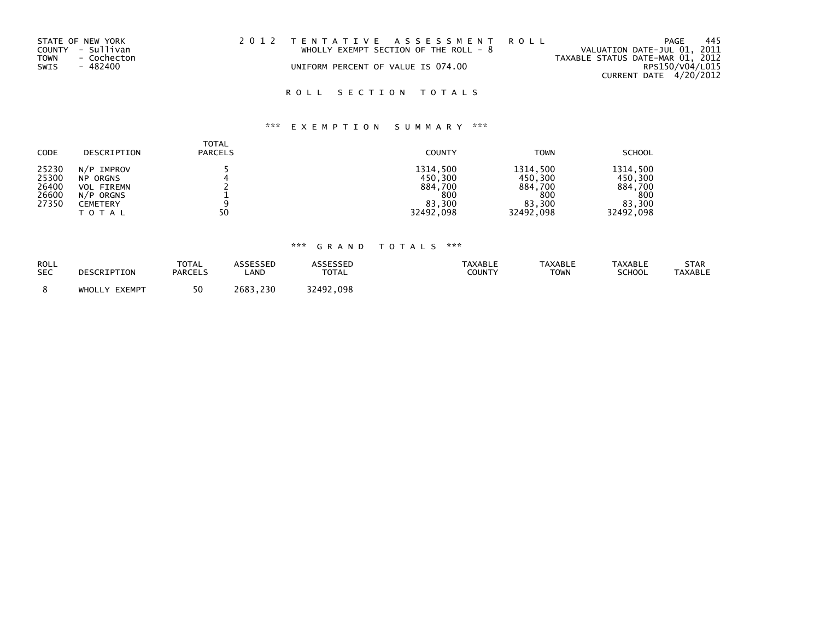| STATE OF NEW YORK   | 2012 TENTATIVE ASSESSMENT ROLL          | 445<br>PAGE                      |
|---------------------|-----------------------------------------|----------------------------------|
| COUNTY - Sullivan   | WHOLLY EXEMPT SECTION OF THE ROLL - $8$ | VALUATION DATE-JUL 01, 2011      |
| TOWN<br>- Cochecton |                                         | TAXABLE STATUS DATE-MAR 01, 2012 |
| SWIS<br>- 482400    | UNIFORM PERCENT OF VALUE IS 074.00      | RPS150/V04/L015                  |
|                     |                                         | CURRENT DATE $4/20/2012$         |

## ROLL SECTION TOTALS

# \*\*\* E X E M P T I O N S U M M A R Y \*\*\*

| <b>CODE</b>                               | DESCRIPTION                                                                          | <b>TOTAL</b><br><b>PARCELS</b> | <b>COUNTY</b>                                                | <b>TOWN</b>                                                  | <b>SCHOOL</b>                                                |
|-------------------------------------------|--------------------------------------------------------------------------------------|--------------------------------|--------------------------------------------------------------|--------------------------------------------------------------|--------------------------------------------------------------|
| 25230<br>25300<br>26400<br>26600<br>27350 | N/P IMPROV<br><b>NP ORGNS</b><br><b>VOL FIREMN</b><br>N/P ORGNS<br>CEMETERY<br>TOTAL | 50                             | 1314,500<br>450,300<br>884,700<br>800<br>83.300<br>32492,098 | 1314.500<br>450,300<br>884,700<br>800<br>83.300<br>32492,098 | 1314.500<br>450,300<br>884,700<br>800<br>83.300<br>32492,098 |

| ROLL       | DESCRIPTION      | <b>TOTAL</b>   | ASSESSED     | <b>\SSESSED</b> | TAXABLE | <b>TAXABLE</b> | <b>TAXABLE</b> | STAR    |
|------------|------------------|----------------|--------------|-----------------|---------|----------------|----------------|---------|
| <b>SEC</b> |                  | <b>PARCELS</b> | LAND         | <b>TOTAL</b>    | COUNTY  | <b>TOWN</b>    | SCHOOL         | TAXABLE |
|            | EXEMPT<br>WHOLLY | 50             | .230<br>2683 | 32492<br>.098   |         |                |                |         |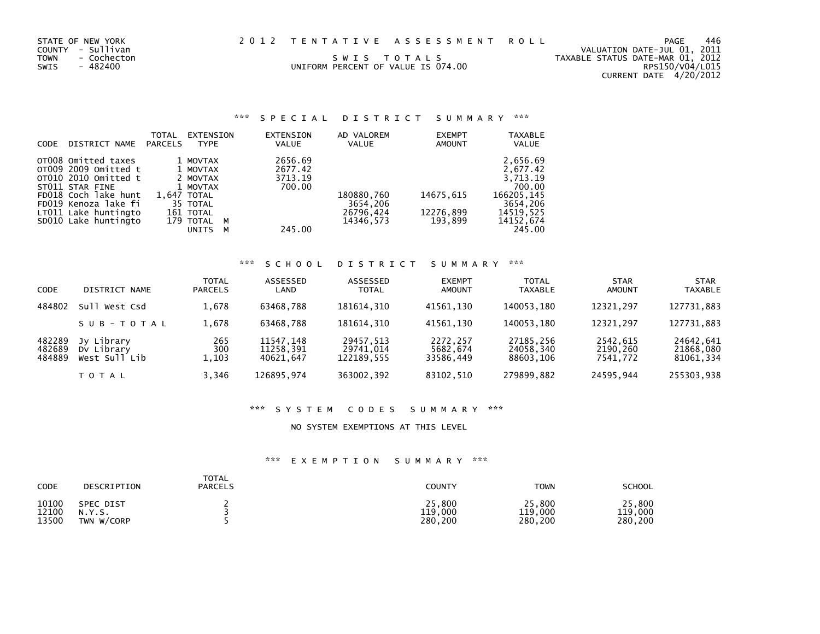| STATE OF NEW YORK   | 2012 TENTATIVE ASSESSMENT ROLL     | 446<br>PAGE                      |
|---------------------|------------------------------------|----------------------------------|
| COUNTY - Sullivan   |                                    | VALUATION DATE-JUL 01, 2011      |
| TOWN<br>- Cochecton | SWIS TOTALS                        | TAXABLE STATUS DATE-MAR 01, 2012 |
| SWIS<br>- 482400    | UNIFORM PERCENT OF VALUE IS 074.00 | RPS150/V04/L015                  |
|                     |                                    | CURRENT DATE 4/20/2012           |

| CODE | DISTRICT NAME                                                                                                                                                  | <b>TOTAL</b><br>PARCELS | <b>EXTENSION</b><br><b>TYPE</b>                                                      |        | EXTENSION<br>VALUE                      | AD VALOREM<br><b>VALUE</b>          | <b>EXEMPT</b><br>AMOUNT | <b>TAXABLE</b><br><b>VALUE</b>                                                    |
|------|----------------------------------------------------------------------------------------------------------------------------------------------------------------|-------------------------|--------------------------------------------------------------------------------------|--------|-----------------------------------------|-------------------------------------|-------------------------|-----------------------------------------------------------------------------------|
|      | OT008 Omitted taxes<br>OT009 2009 Omitted t<br>OT010 2010 Omitted t<br>ST011 STAR FINE<br>FD018 Coch lake hunt<br>FD019 Kenoza lake fi<br>LT011 Lake huntingto |                         | 1 MOVTAX<br>1 MOVTAX<br>2 MOVTAX<br>1 MOVTAX<br>1,647 TOTAL<br>35 TOTAL<br>161 TOTAL |        | 2656.69<br>2677.42<br>3713.19<br>700.00 | 180880,760<br>3654,206<br>26796,424 | 14675,615<br>12276,899  | 2,656.69<br>2.677.42<br>3,713.19<br>700.00<br>166205,145<br>3654,206<br>14519.525 |
|      | SD010 Lake huntingto                                                                                                                                           |                         | 179 TOTAL<br><b>UNITS</b>                                                            | M<br>м | 245.00                                  | 14346.573                           | 193,899                 | 14152,674<br>245.00                                                               |

# \*\*\* S C H O O L D I S T R I C T S U M M A R Y \*\*\*

| CODE                       | DISTRICT NAME                             | <b>TOTAL</b><br><b>PARCELS</b> | ASSESSED<br>LAND                    | ASSESSED<br><b>TOTAL</b>             | <b>EXEMPT</b><br><b>AMOUNT</b>    | <b>TOTAL</b><br><b>TAXABLE</b>      | <b>STAR</b><br><b>AMOUNT</b>     | <b>STAR</b><br><b>TAXABLE</b>       |
|----------------------------|-------------------------------------------|--------------------------------|-------------------------------------|--------------------------------------|-----------------------------------|-------------------------------------|----------------------------------|-------------------------------------|
| 484802                     | Sull West Csd                             | 1,678                          | 63468.788                           | 181614.310                           | 41561.130                         | 140053.180                          | 12321.297                        | 127731,883                          |
|                            | SUB-TOTAL                                 | 1,678                          | 63468.788                           | 181614.310                           | 41561.130                         | 140053.180                          | 12321.297                        | 127731,883                          |
| 482289<br>482689<br>484889 | Jy Library<br>Dy Library<br>West Sull Lib | 265<br>300<br>1,103            | 11547,148<br>11258.391<br>40621.647 | 29457.513<br>29741,014<br>122189.555 | 2272,257<br>5682,674<br>33586,449 | 27185,256<br>24058,340<br>88603,106 | 2542,615<br>2190,260<br>7541,772 | 24642,641<br>21868,080<br>81061,334 |
|                            | <b>TOTAL</b>                              | 3,346                          | 126895,974                          | 363002,392                           | 83102,510                         | 279899,882                          | 24595.944                        | 255303,938                          |

#### \*\*\* S Y S T E M C O D E S S U M M A R Y \*\*\*

#### NO SYSTEM EXEMPTIONS AT THIS LEVEL

| CODE  | DESCRIPTION | TOTAL<br><b>PARCELS</b> | COUNTY  | <b>TOWN</b> | <b>SCHOOL</b> |
|-------|-------------|-------------------------|---------|-------------|---------------|
| 10100 | SPEC DIST   |                         | 25,800  | 25,800      | 25,800        |
| 12100 | N.Y.S.      |                         | 119,000 | 119,000     | 119,000       |
| 13500 | TWN W/CORP  |                         | 280.200 | 280,200     | 280,200       |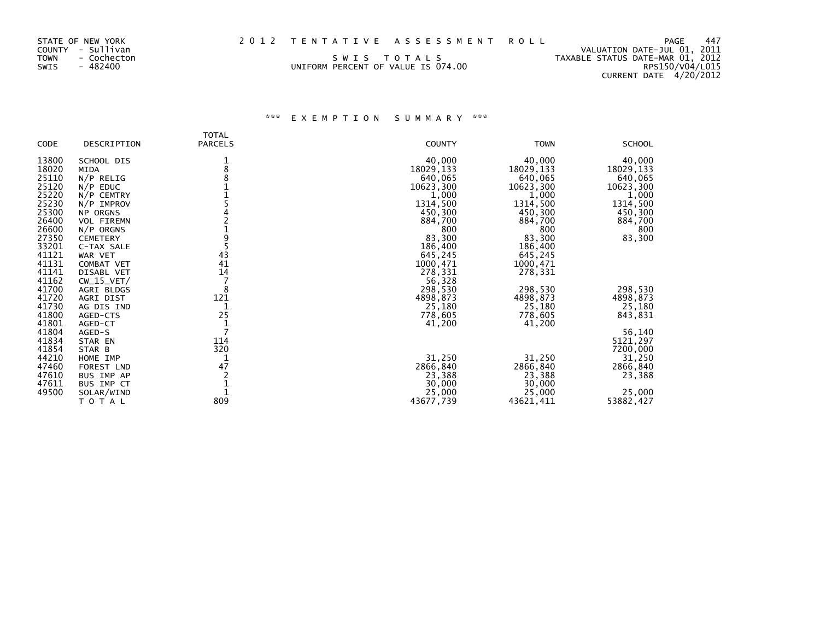| STATE OF NEW YORK<br>COUNTY - Sullivan<br>TOWN<br>- Cochecton<br>SWIS<br>- 482400 | SWIS TOTALS<br>UNIFORM PERCENT OF VALUE IS 074.00 | 2012 TENTATIVE ASSESSMENT ROLL | TAXABLE STATUS DATE-MAR 01, 2012 | PAGE<br>VALUATION DATE-JUL 01, 2011<br>RPS150/V04/L015 | 447 |
|-----------------------------------------------------------------------------------|---------------------------------------------------|--------------------------------|----------------------------------|--------------------------------------------------------|-----|
|                                                                                   |                                                   |                                |                                  | CURRENT DATE 4/20/2012                                 |     |

| <b>CODE</b> | DESCRIPTION       | <b>TOTAL</b><br><b>PARCELS</b> | <b>COUNTY</b> | <b>TOWN</b> | <b>SCHOOL</b> |
|-------------|-------------------|--------------------------------|---------------|-------------|---------------|
| 13800       | SCHOOL DIS        |                                | 40,000        | 40,000      | 40,000        |
| 18020       | <b>MIDA</b>       | 8                              | 18029,133     | 18029,133   | 18029, 133    |
| 25110       | $N/P$ RELIG       |                                | 640,065       | 640,065     | 640,065       |
| 25120       | $N/P$ EDUC        |                                | 10623,300     | 10623,300   | 10623,300     |
| 25220       | N/P CEMTRY        |                                | 1,000         | 1,000       | 1,000         |
| 25230       | $N/P$ IMPROV      |                                | 1314,500      | 1314,500    | 1314,500      |
| 25300       | NP ORGNS          |                                | 450,300       | 450,300     | 450,300       |
| 26400       | <b>VOL FIREMN</b> |                                | 884,700       | 884,700     | 884,700       |
| 26600       | $N/P$ ORGNS       |                                | 800           | 800         | 800           |
| 27350       | <b>CEMETERY</b>   | 9                              | 83,300        | 83,300      | 83,300        |
| 33201       | C-TAX SALE        |                                | 186,400       | 186,400     |               |
| 41121       | WAR VET           | 43                             | 645,245       | 645,245     |               |
| 41131       | <b>COMBAT VET</b> | 41                             | 1000,471      | 1000,471    |               |
| 41141       | DISABL VET        | 14                             | 278,331       | 278,331     |               |
| 41162       | $CW_15_VET/$      |                                | 56,328        |             |               |
| 41700       | AGRI BLDGS        | 8                              | 298,530       | 298,530     | 298,530       |
| 41720       | AGRI DIST         | 121                            | 4898,873      | 4898,873    | 4898,873      |
| 41730       | AG DIS IND        |                                | 25,180        | 25,180      | 25,180        |
| 41800       | AGED-CTS          | 25                             | 778,605       | 778,605     | 843,831       |
| 41801       | AGED-CT           |                                | 41,200        | 41,200      |               |
| 41804       | AGED-S            | 7                              |               |             | 56,140        |
| 41834       | STAR EN           | 114                            |               |             | 5121,297      |
| 41854       | STAR B            | 320                            |               |             | 7200,000      |
| 44210       | HOME IMP          |                                | 31,250        | 31,250      | 31,250        |
| 47460       | FOREST LND        | 47                             | 2866,840      | 2866,840    | 2866,840      |
| 47610       | BUS IMP AP        |                                | 23,388        | 23,388      | 23,388        |
| 47611       | BUS IMP CT        |                                | 30,000        | 30,000      |               |
| 49500       | SOLAR/WIND        |                                | 25,000        | 25,000      | 25,000        |
|             | TOTAL             | 809                            | 43677,739     | 43621,411   | 53882,427     |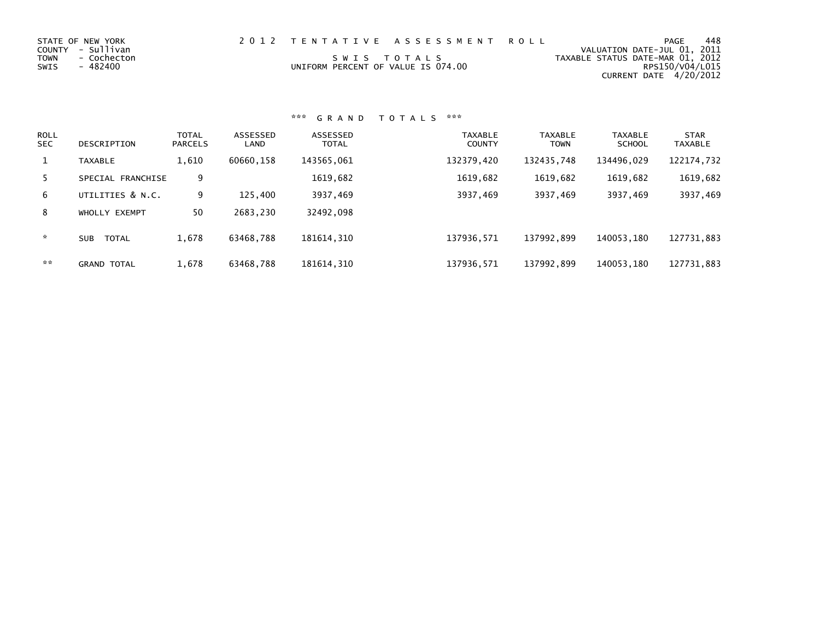| 2012 TENTATIVE ASSESSMENT ROLL<br>STATE OF NEW YORK<br>COUNTY - Sullivan<br>TOWN<br>SWIS TOTALS<br>- Cochecton<br>SWIS<br>- 482400<br>UNIFORM PERCENT OF VALUE IS 074.00 |  | 448<br>PAGE<br>VALUATION DATE-JUL 01, 2011<br>TAXABLE STATUS DATE-MAR 01, 2012<br>RPS150/V04/L015<br>CURRENT DATE 4/20/2012 |  |
|--------------------------------------------------------------------------------------------------------------------------------------------------------------------------|--|-----------------------------------------------------------------------------------------------------------------------------|--|
|--------------------------------------------------------------------------------------------------------------------------------------------------------------------------|--|-----------------------------------------------------------------------------------------------------------------------------|--|

| <b>ROLL</b><br><b>SEC</b> | DESCRIPTION                | <b>TOTAL</b><br><b>PARCELS</b> | ASSESSED<br>LAND | ASSESSED<br><b>TOTAL</b> | <b>TAXABLE</b><br><b>COUNTY</b> | <b>TAXABLE</b><br><b>TOWN</b> | <b>TAXABLE</b><br><b>SCHOOL</b> | <b>STAR</b><br><b>TAXABLE</b> |
|---------------------------|----------------------------|--------------------------------|------------------|--------------------------|---------------------------------|-------------------------------|---------------------------------|-------------------------------|
| 1                         | <b>TAXABLE</b>             | 1,610                          | 60660,158        | 143565,061               | 132379,420                      | 132435,748                    | 134496.029                      | 122174,732                    |
| 5.                        | SPECIAL FRANCHISE          | 9                              |                  | 1619,682                 | 1619,682                        | 1619,682                      | 1619,682                        | 1619,682                      |
| 6                         | UTILITIES & N.C.           | 9                              | 125,400          | 3937,469                 | 3937,469                        | 3937,469                      | 3937,469                        | 3937,469                      |
| 8                         | WHOLLY EXEMPT              | 50                             | 2683,230         | 32492,098                |                                 |                               |                                 |                               |
| *                         | <b>TOTAL</b><br><b>SUB</b> | 1,678                          | 63468,788        | 181614, 310              | 137936,571                      | 137992,899                    | 140053.180                      | 127731,883                    |
| **                        | <b>GRAND TOTAL</b>         | 1,678                          | 63468,788        | 181614, 310              | 137936,571                      | 137992,899                    | 140053,180                      | 127731,883                    |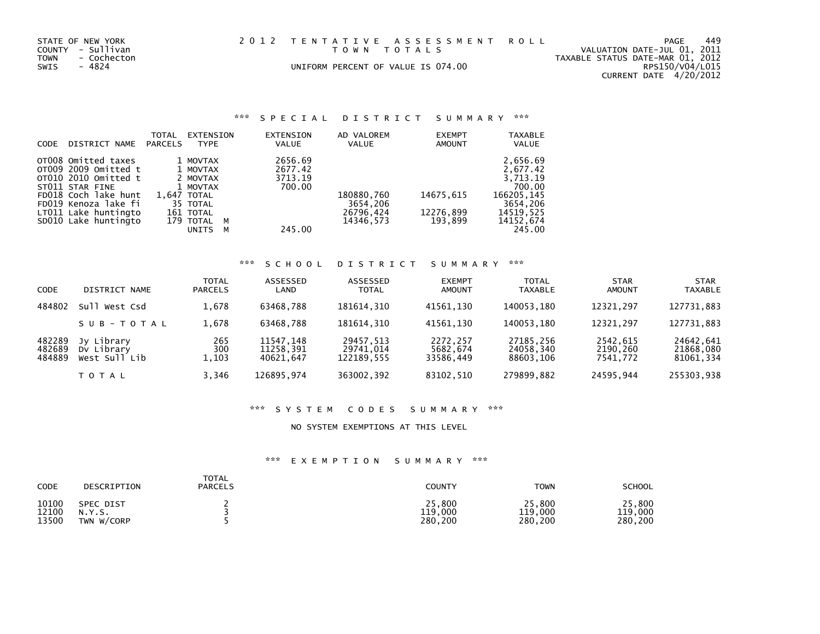|      | STATE OF NEW YORK | 2012 TENTATIVE ASSESSMENT ROLL     | <b>PAGE</b>                      | 449 |
|------|-------------------|------------------------------------|----------------------------------|-----|
|      | COUNTY - Sullivan | TOWN TOTALS                        | VALUATION DATE-JUL 01, 2011      |     |
| TOWN | - Cochecton       |                                    | TAXABLE STATUS DATE-MAR 01, 2012 |     |
| SWIS | - 4824            | UNIFORM PERCENT OF VALUE IS 074.00 | RPS150/V04/L015                  |     |
|      |                   |                                    | C(1)                             |     |

CURRENT DATE 4/20/2012

| CODE | DISTRICT NAME        | TOTAL<br>PARCELS | EXTENSION<br><b>TYPE</b> |          | EXTENSION<br>VALUE | AD VALOREM<br><b>VALUE</b> | <b>EXEMPT</b><br><b>AMOUNT</b> | <b>TAXABLE</b><br><b>VALUE</b> |
|------|----------------------|------------------|--------------------------|----------|--------------------|----------------------------|--------------------------------|--------------------------------|
|      | OT008 Omitted taxes  |                  | 1 MOVTAX                 |          | 2656.69            |                            |                                | 2,656.69                       |
|      | OT009 2009 Omitted t |                  | 1 MOVTAX                 |          | 2677.42            |                            |                                | 2,677.42                       |
|      | 0T010 2010 Omitted t |                  | 2 MOVTAX                 |          | 3713.19            |                            |                                | 3.713.19                       |
|      | ST011 STAR FINE      |                  | 1 MOVTAX                 |          | 700.00             |                            |                                | 700.00                         |
|      | FD018 Coch lake hunt |                  | 1,647 TOTAL              |          |                    | 180880,760                 | 14675,615                      | 166205,145                     |
|      | FD019 Kenoza lake fi |                  | 35 TOTAL                 |          |                    | 3654,206                   |                                | 3654,206                       |
|      | LT011 Lake huntingto |                  | 161 TOTAL                |          |                    | 26796,424                  | 12276,899                      | 14519.525                      |
|      | SD010 Lake huntingto |                  | 179 TOTAL                | <b>M</b> |                    | 14346.573                  | 193.899                        | 14152,674                      |
|      |                      |                  | <b>UNITS</b>             | М        | 245.00             |                            |                                | 245.00                         |

## \*\*\* S C H O O L D I S T R I C T S U M M A R Y \*\*\*

| CODE                       | DISTRICT<br>NAME                          | TOTAL<br><b>PARCELS</b> | ASSESSED<br>LAND                    | ASSESSED<br><b>TOTAL</b>             | <b>EXEMPT</b><br><b>AMOUNT</b>    | <b>TOTAL</b><br><b>TAXABLE</b>      | <b>STAR</b><br><b>AMOUNT</b>     | <b>STAR</b><br><b>TAXABLE</b>       |
|----------------------------|-------------------------------------------|-------------------------|-------------------------------------|--------------------------------------|-----------------------------------|-------------------------------------|----------------------------------|-------------------------------------|
| 484802                     | Sull West Csd                             | 1,678                   | 63468.788                           | 181614.310                           | 41561.130                         | 140053.180                          | 12321.297                        | 127731,883                          |
|                            | SUB-TOTAL                                 | 1,678                   | 63468.788                           | 181614.310                           | 41561.130                         | 140053.180                          | 12321.297                        | 127731,883                          |
| 482289<br>482689<br>484889 | Jy Library<br>Dy Library<br>West Sull Lib | 265<br>300<br>1,103     | 11547,148<br>11258.391<br>40621.647 | 29457,513<br>29741,014<br>122189.555 | 2272,257<br>5682,674<br>33586,449 | 27185,256<br>24058,340<br>88603.106 | 2542,615<br>2190,260<br>7541.772 | 24642,641<br>21868,080<br>81061,334 |
|                            | T O T A L                                 | 3.346                   | 126895.974                          | 363002,392                           | 83102,510                         | 279899.882                          | 24595.944                        | 255303,938                          |

#### \*\*\* S Y S T E M C O D E S S U M M A R Y \*\*\*

#### NO SYSTEM EXEMPTIONS AT THIS LEVEL

| CODE  | DESCRIPTION | TOTAL<br><b>PARCELS</b> | COUNTY  | <b>TOWN</b> | <b>SCHOOL</b> |
|-------|-------------|-------------------------|---------|-------------|---------------|
| 10100 | SPEC DIST   |                         | 25,800  | 25,800      | 25,800        |
| 12100 | N.Y.S.      |                         | 119,000 | 119,000     | 119,000       |
| 13500 | TWN W/CORP  |                         | 280,200 | 280,200     | 280,200       |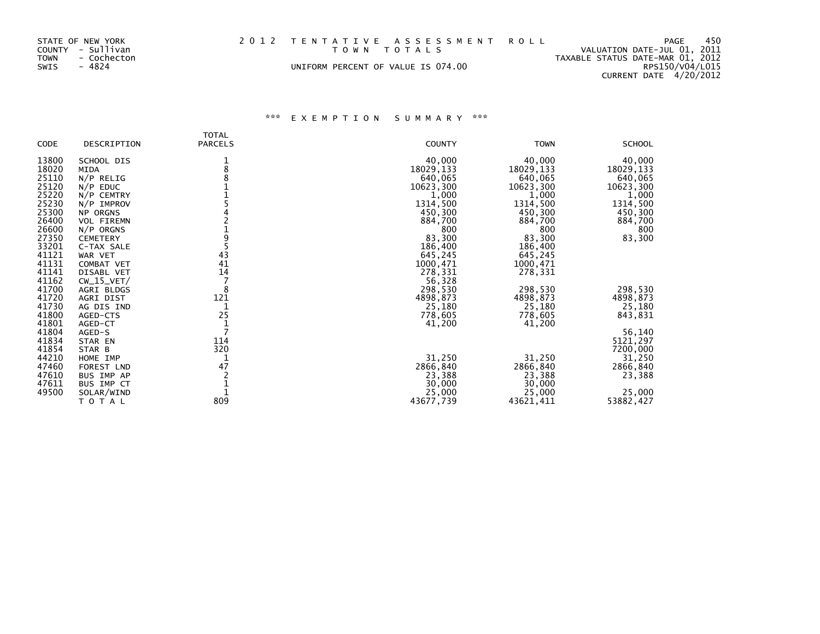| STATE OF NEW YORK<br>COUNTY - Sullivan<br>TOWN<br>- Cochecton<br>SWIS<br>- 4824 |  | 2012 TENTATIVE ASSESSMENT ROLL<br>TOWN TOTALS<br>UNIFORM PERCENT OF VALUE IS 074.00 |  | PAGE<br>VALUATION DATE-JUL 01, 2011<br>TAXABLE STATUS DATE-MAR 01, 2012<br>RPS150/V04/L015<br>CURRENT DATE 4/20/2012 | - 450 |
|---------------------------------------------------------------------------------|--|-------------------------------------------------------------------------------------|--|----------------------------------------------------------------------------------------------------------------------|-------|
|---------------------------------------------------------------------------------|--|-------------------------------------------------------------------------------------|--|----------------------------------------------------------------------------------------------------------------------|-------|

| CODE                                               | DESCRIPTION                                                                  | <b>TOTAL</b><br><b>PARCELS</b> | <b>COUNTY</b>                                                | <b>TOWN</b>                                          | <b>SCHOOL</b>                                         |
|----------------------------------------------------|------------------------------------------------------------------------------|--------------------------------|--------------------------------------------------------------|------------------------------------------------------|-------------------------------------------------------|
| 13800<br>18020<br>25110<br>25120<br>25220          | SCHOOL DIS<br><b>MIDA</b><br>$N/P$ RELIG<br>$N/P$ EDUC<br>N/P CEMTRY         | 1<br>8                         | 40,000<br>18029,133<br>640,065<br>10623,300<br>1,000         | 40,000<br>18029,133<br>640,065<br>10623,300<br>1,000 | 40,000<br>18029, 133<br>640,065<br>10623,300<br>1,000 |
| 25230<br>25300<br>26400<br>26600                   | N/P IMPROV<br><b>NP ORGNS</b><br><b>VOL FIREMN</b><br>$N/P$ ORGNS            |                                | 1314,500<br>450,300<br>884,700<br>800                        | 1314,500<br>450,300<br>884,700<br>800                | 1314,500<br>450,300<br>884,700<br>800                 |
| 27350<br>33201<br>41121<br>41131<br>41141          | <b>CEMETERY</b><br>C-TAX SALE<br>WAR VET<br>COMBAT VET<br>DISABL VET         | 9<br>43<br>41<br>14            | 83,300<br>186,400<br>645,245<br>1000,471<br>278,331          | 83,300<br>186,400<br>645,245<br>1000,471<br>278,331  | 83,300                                                |
| 41162<br>41700<br>41720<br>41730<br>41800<br>41801 | $CW_15_VET/$<br>AGRI BLDGS<br>AGRI DIST<br>AG DIS IND<br>AGED-CTS<br>AGED-CT | 8<br>121<br>1<br>25            | 56,328<br>298,530<br>4898,873<br>25,180<br>778,605<br>41,200 | 298,530<br>4898,873<br>25,180<br>778,605<br>41,200   | 298,530<br>4898,873<br>25,180<br>843,831              |
| 41804<br>41834<br>41854<br>44210<br>47460          | AGED-S<br>STAR EN<br>STAR B<br>HOME IMP<br>FOREST LND                        | 7<br>114<br>320<br>47          | 31,250<br>2866,840                                           | 31,250<br>2866,840                                   | 56,140<br>5121,297<br>7200,000<br>31,250<br>2866,840  |
| 47610<br>47611<br>49500                            | BUS IMP AP<br>BUS IMP CT<br>SOLAR/WIND<br>ΤΟΤΑL                              | 809                            | 23,388<br>30,000<br>25,000<br>43677,739                      | 23,388<br>30,000<br>25,000<br>43621,411              | 23,388<br>25,000<br>53882,427                         |